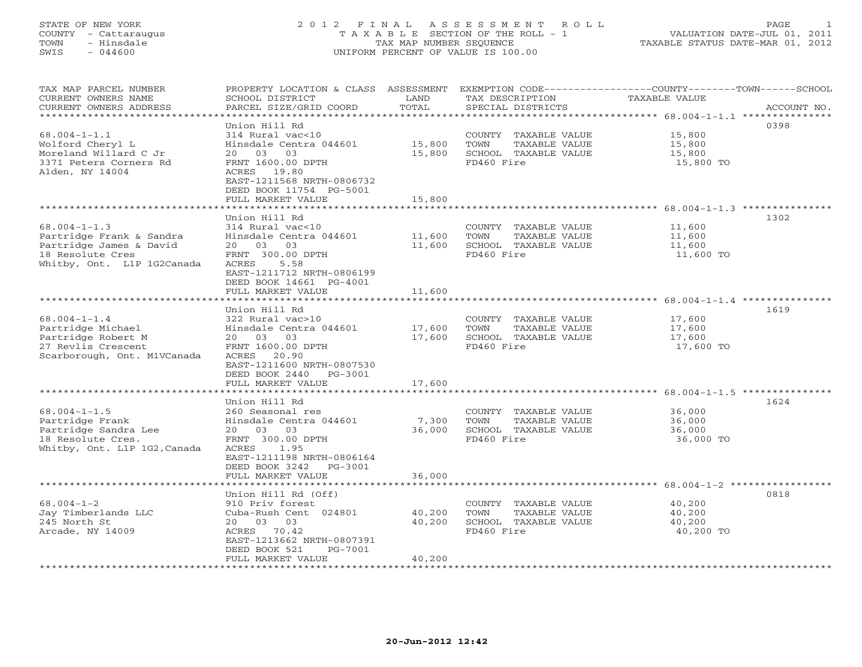## STATE OF NEW YORK 2 0 1 2 F I N A L A S S E S S M E N T R O L L PAGE 1 COUNTY - Cattaraugus T A X A B L E SECTION OF THE ROLL - 1 VALUATION DATE-JUL 01, 2011 TOWN - Hinsdale TAX MAP NUMBER SEQUENCE TAXABLE STATUS DATE-MAR 01, 2012 SWIS - 044600 UNIFORM PERCENT OF VALUE IS 100.00UNIFORM PERCENT OF VALUE IS 100.00

| TAX MAP PARCEL NUMBER<br>CURRENT OWNERS NAME<br>CURRENT OWNERS ADDRESS<br>*************************                         | PROPERTY LOCATION & CLASS ASSESSMENT<br>SCHOOL DISTRICT<br>PARCEL SIZE/GRID COORD                                                                                                                       | LAND<br>TOTAL              | TAX DESCRIPTION<br>SPECIAL DISTRICTS                                                | EXEMPTION CODE-----------------COUNTY-------TOWN------SCHOOL<br>TAXABLE VALUE<br>ACCOUNT NO. |
|-----------------------------------------------------------------------------------------------------------------------------|---------------------------------------------------------------------------------------------------------------------------------------------------------------------------------------------------------|----------------------------|-------------------------------------------------------------------------------------|----------------------------------------------------------------------------------------------|
| $68.004 - 1 - 1.1$<br>Wolford Cheryl L<br>Moreland Willard C Jr<br>3371 Peters Corners Rd<br>Alden, NY 14004                | Union Hill Rd<br>314 Rural vac<10<br>Hinsdale Centra 044601<br>03<br>03<br>20<br>FRNT 1600.00 DPTH<br>ACRES 19.80<br>EAST-1211568 NRTH-0806732<br>DEED BOOK 11754 PG-5001<br>FULL MARKET VALUE          | 15,800<br>15,800<br>15,800 | COUNTY TAXABLE VALUE<br>TOWN<br>TAXABLE VALUE<br>SCHOOL TAXABLE VALUE<br>FD460 Fire | 0398<br>15,800<br>15,800<br>15,800<br>15,800 TO                                              |
| $68.004 - 1 - 1.3$<br>Partridge Frank & Sandra<br>Partridge James & David<br>18 Resolute Cres<br>Whitby, Ont. L1P 1G2Canada | Union Hill Rd<br>314 Rural vac<10<br>Hinsdale Centra 044601<br>20 03<br>03<br>FRNT 300.00 DPTH<br>ACRES<br>5.58<br>EAST-1211712 NRTH-0806199<br>DEED BOOK 14661 PG-4001<br>FULL MARKET VALUE            | 11,600<br>11,600<br>11,600 | COUNTY TAXABLE VALUE<br>TOWN<br>TAXABLE VALUE<br>SCHOOL TAXABLE VALUE<br>FD460 Fire | 1302<br>11,600<br>11,600<br>11,600<br>11,600 TO<br>$68.004 - 1 - 1.4$ ***                    |
| $68.004 - 1 - 1.4$<br>Partridge Michael<br>Partridge Robert M<br>27 Revlis Crescent<br>Scarborough, Ont. M1VCanada          | Union Hill Rd<br>322 Rural vac>10<br>Hinsdale Centra 044601<br>20 03<br>03<br>FRNT 1600.00 DPTH<br>ACRES 20.90<br>EAST-1211600 NRTH-0807530<br>DEED BOOK 2440<br>PG-3001<br>FULL MARKET VALUE           | 17,600<br>17,600<br>17,600 | COUNTY TAXABLE VALUE<br>TOWN<br>TAXABLE VALUE<br>SCHOOL TAXABLE VALUE<br>FD460 Fire | 1619<br>17,600<br>17,600<br>17,600<br>17,600 TO                                              |
| $68.004 - 1 - 1.5$<br>Partridge Frank<br>Partridge Sandra Lee<br>18 Resolute Cres.<br>Whitby, Ont. L1P 1G2, Canada          | Union Hill Rd<br>260 Seasonal res<br>Hinsdale Centra 044601<br>20 03<br>03<br>FRNT 300.00 DPTH<br><b>ACRES</b><br>1.95<br>EAST-1211198 NRTH-0806164<br>DEED BOOK 3242<br>$PG-3001$<br>FULL MARKET VALUE | 7,300<br>36,000<br>36,000  | COUNTY TAXABLE VALUE<br>TOWN<br>TAXABLE VALUE<br>SCHOOL TAXABLE VALUE<br>FD460 Fire | 1624<br>36,000<br>36,000<br>36,000<br>36,000 TO                                              |
| $68.004 - 1 - 2$<br>Jay Timberlands LLC<br>245 North St<br>Arcade, NY 14009<br>**********************                       | *******************<br>Union Hill Rd (Off)<br>910 Priv forest<br>Cuba-Rush Cent 024801<br>20 03 03<br>ACRES 70.42<br>EAST-1213662 NRTH-0807391<br>DEED BOOK 521<br>PG-7001<br>FULL MARKET VALUE         | 40,200<br>40,200<br>40,200 | COUNTY TAXABLE VALUE<br>TOWN<br>TAXABLE VALUE<br>SCHOOL TAXABLE VALUE<br>FD460 Fire | 0818<br>40,200<br>40,200<br>40,200<br>40,200 TO                                              |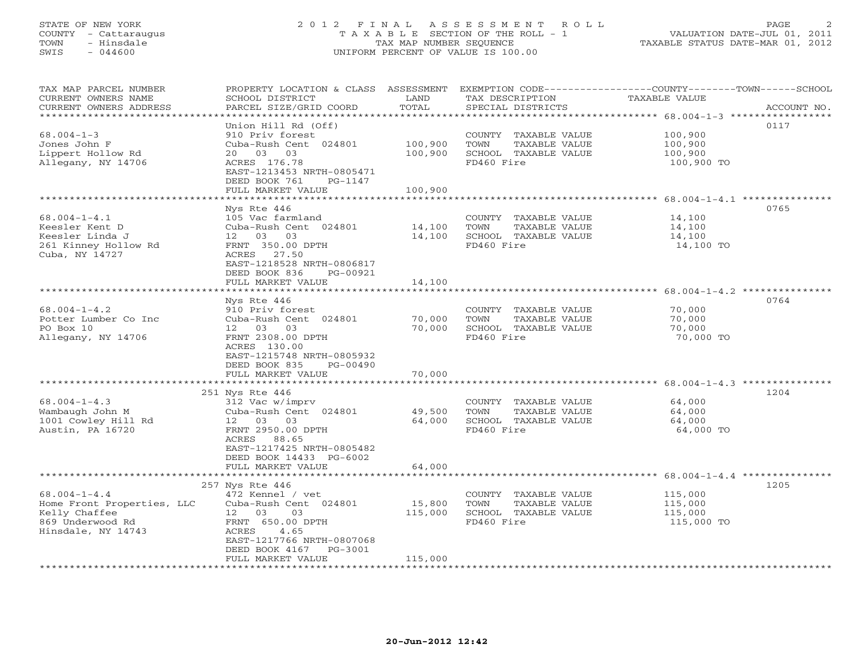## STATE OF NEW YORK 2 0 1 2 F I N A L A S S E S S M E N T R O L L PAGE 2 COUNTY - Cattaraugus T A X A B L E SECTION OF THE ROLL - 1 VALUATION DATE-JUL 01, 2011 TOWN - Hinsdale TAX MAP NUMBER SEQUENCE TAXABLE STATUS DATE-MAR 01, 2012 SWIS - 044600 UNIFORM PERCENT OF VALUE IS 100.00UNIFORM PERCENT OF VALUE IS 100.00

| TAX MAP PARCEL NUMBER<br>CURRENT OWNERS NAME<br>CURRENT OWNERS ADDRESS                                      | PROPERTY LOCATION & CLASS ASSESSMENT<br>SCHOOL DISTRICT<br>PARCEL SIZE/GRID COORD                                                                                                                  | LAND<br>TOTAL                 | TAX DESCRIPTION<br>SPECIAL DISTRICTS                                                | EXEMPTION CODE-----------------COUNTY-------TOWN------SCHOOL<br>TAXABLE VALUE<br>ACCOUNT NO. |
|-------------------------------------------------------------------------------------------------------------|----------------------------------------------------------------------------------------------------------------------------------------------------------------------------------------------------|-------------------------------|-------------------------------------------------------------------------------------|----------------------------------------------------------------------------------------------|
| ************************<br>$68.004 - 1 - 3$<br>Jones John F<br>Lippert Hollow Rd<br>Allegany, NY 14706     | Union Hill Rd (Off)<br>910 Priv forest<br>Cuba-Rush Cent 024801<br>03<br>03<br>20<br>ACRES 176.78<br>EAST-1213453 NRTH-0805471<br>DEED BOOK 761<br>PG-1147<br>FULL MARKET VALUE                    | 100,900<br>100,900<br>100,900 | COUNTY TAXABLE VALUE<br>TOWN<br>TAXABLE VALUE<br>SCHOOL TAXABLE VALUE<br>FD460 Fire | 0117<br>100,900<br>100,900<br>100,900<br>100,900 TO                                          |
|                                                                                                             |                                                                                                                                                                                                    |                               |                                                                                     | *********************** 68.004-1-4.1 **********                                              |
| $68.004 - 1 - 4.1$<br>Keesler Kent D<br>Keesler Linda J<br>261 Kinney Hollow Rd<br>Cuba, NY 14727           | Nys Rte 446<br>105 Vac farmland<br>Cuba-Rush Cent 024801<br>12  03  03<br>FRNT 350.00 DPTH<br>ACRES 27.50<br>EAST-1218528 NRTH-0806817<br>DEED BOOK 836<br>PG-00921<br>FULL MARKET VALUE           | 14,100<br>14,100<br>14,100    | COUNTY TAXABLE VALUE<br>TAXABLE VALUE<br>TOWN<br>SCHOOL TAXABLE VALUE<br>FD460 Fire | 0765<br>14,100<br>14,100<br>14,100<br>14,100 TO                                              |
|                                                                                                             |                                                                                                                                                                                                    |                               |                                                                                     |                                                                                              |
| $68.004 - 1 - 4.2$<br>Potter Lumber Co Inc<br>PO Box 10<br>Allegany, NY 14706                               | Nys Rte 446<br>910 Priv forest<br>Cuba-Rush Cent 024801<br>12 03 03<br>FRNT 2308.00 DPTH<br>ACRES 130.00<br>EAST-1215748 NRTH-0805932<br>DEED BOOK 835<br>PG-00490<br>FULL MARKET VALUE            | 70,000<br>70,000<br>70,000    | COUNTY TAXABLE VALUE<br>TAXABLE VALUE<br>TOWN<br>SCHOOL TAXABLE VALUE<br>FD460 Fire | 0764<br>70,000<br>70,000<br>70,000<br>70,000 TO                                              |
|                                                                                                             |                                                                                                                                                                                                    |                               |                                                                                     |                                                                                              |
| $68.004 - 1 - 4.3$<br>Wambaugh John M<br>1001 Cowley Hill Rd<br>Austin, PA 16720                            | 251 Nys Rte 446<br>312 Vac w/imprv<br>Cuba-Rush Cent 024801<br>12 03 03<br>FRNT 2950.00 DPTH<br>ACRES 88.65<br>EAST-1217425 NRTH-0805482<br>DEED BOOK 14433 PG-6002<br>FULL MARKET VALUE           | 49,500<br>64,000<br>64,000    | COUNTY TAXABLE VALUE<br>TAXABLE VALUE<br>TOWN<br>SCHOOL TAXABLE VALUE<br>FD460 Fire | 1204<br>64,000<br>64,000<br>64,000<br>64,000 TO                                              |
|                                                                                                             |                                                                                                                                                                                                    |                               |                                                                                     |                                                                                              |
| $68.004 - 1 - 4.4$<br>Home Front Properties, LLC<br>Kelly Chaffee<br>869 Underwood Rd<br>Hinsdale, NY 14743 | 257 Nys Rte 446<br>472 Kennel / vet<br>Cuba-Rush Cent 024801<br>12<br>03<br>03<br>FRNT 650.00 DPTH<br>ACRES<br>4.65<br>EAST-1217766 NRTH-0807068<br>DEED BOOK 4167<br>PG-3001<br>FULL MARKET VALUE | 15,800<br>115,000<br>115,000  | COUNTY TAXABLE VALUE<br>TOWN<br>TAXABLE VALUE<br>SCHOOL TAXABLE VALUE<br>FD460 Fire | 1205<br>115,000<br>115,000<br>115,000<br>115,000 TO                                          |
|                                                                                                             |                                                                                                                                                                                                    |                               |                                                                                     |                                                                                              |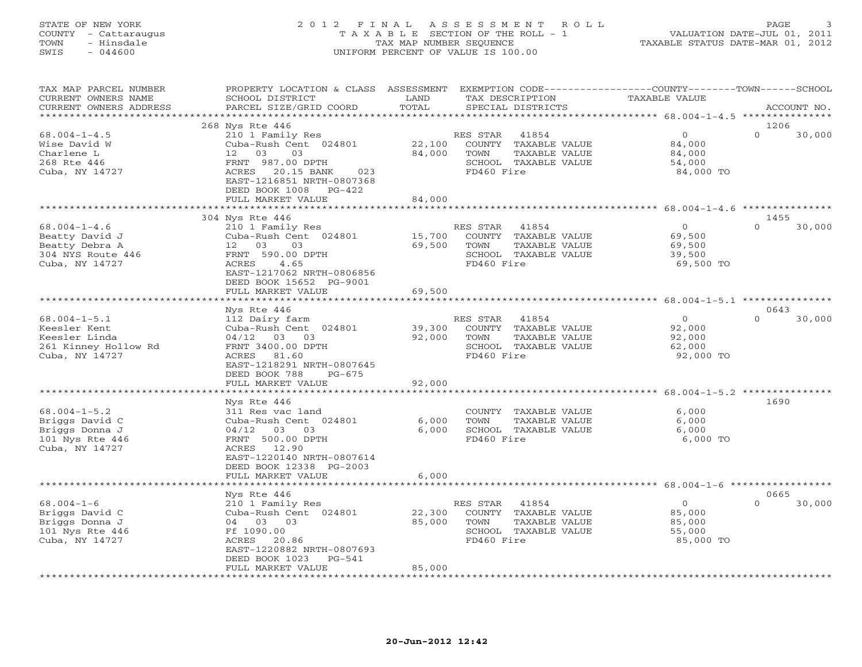## STATE OF NEW YORK 2 0 1 2 F I N A L A S S E S S M E N T R O L L PAGE 3 COUNTY - Cattaraugus T A X A B L E SECTION OF THE ROLL - 1 VALUATION DATE-JUL 01, 2011 TOWN - Hinsdale TAX MAP NUMBER SEQUENCE TAXABLE STATUS DATE-MAR 01, 2012 SWIS - 044600 UNIFORM PERCENT OF VALUE IS 100.00UNIFORM PERCENT OF VALUE IS 100.00

| TAX MAP PARCEL NUMBER<br>CURRENT OWNERS NAME<br>CURRENT OWNERS ADDRESS                        | PROPERTY LOCATION & CLASS ASSESSMENT<br>SCHOOL DISTRICT<br>PARCEL SIZE/GRID COORD                                                                                                         | LAND<br>TOTAL              |                                      | TAX DESCRIPTION<br>SPECIAL DISTRICTS                                   | EXEMPTION CODE-----------------COUNTY-------TOWN------SCHOOL<br>TAXABLE VALUE | ACCOUNT NO.                |
|-----------------------------------------------------------------------------------------------|-------------------------------------------------------------------------------------------------------------------------------------------------------------------------------------------|----------------------------|--------------------------------------|------------------------------------------------------------------------|-------------------------------------------------------------------------------|----------------------------|
| *********************                                                                         |                                                                                                                                                                                           |                            |                                      |                                                                        |                                                                               |                            |
| $68.004 - 1 - 4.5$<br>Wise David W<br>Charlene L<br>268 Rte 446<br>Cuba, NY 14727             | 268 Nys Rte 446<br>210 1 Family Res<br>Cuba-Rush Cent 024801<br>12 03<br>03<br>FRNT 987.00 DPTH<br>023<br>ACRES 20.15 BANK<br>EAST-1216851 NRTH-0807368<br>DEED BOOK 1008<br>$PG-422$     | 22,100<br>84,000           | RES STAR<br>TOWN<br>FD460 Fire       | 41854<br>COUNTY TAXABLE VALUE<br>TAXABLE VALUE<br>SCHOOL TAXABLE VALUE | $\circ$<br>84,000<br>84,000<br>54,000<br>84,000 TO                            | 1206<br>$\Omega$<br>30,000 |
|                                                                                               | FULL MARKET VALUE                                                                                                                                                                         | 84,000                     |                                      |                                                                        |                                                                               |                            |
| $68.004 - 1 - 4.6$<br>Beatty David J<br>Beatty Debra A<br>304 NYS Route 446<br>Cuba, NY 14727 | 304 Nys Rte 446<br>210 1 Family Res<br>Cuba-Rush Cent 024801<br>12 03 03<br>FRNT 590.00 DPTH<br>4.65<br>ACRES<br>EAST-1217062 NRTH-0806856<br>DEED BOOK 15652 PG-9001                     | 15,700<br>69,500           | RES STAR<br>TOWN<br>FD460 Fire       | 41854<br>COUNTY TAXABLE VALUE<br>TAXABLE VALUE<br>SCHOOL TAXABLE VALUE | $\circ$<br>69,500<br>69,500<br>39,500<br>69,500 TO                            | 1455<br>$\Omega$<br>30,000 |
|                                                                                               | FULL MARKET VALUE                                                                                                                                                                         | 69,500                     |                                      |                                                                        |                                                                               |                            |
|                                                                                               | *******************                                                                                                                                                                       | ***************            |                                      |                                                                        |                                                                               |                            |
| $68.004 - 1 - 5.1$<br>Keesler Kent<br>Keesler Linda<br>261 Kinney Hollow Rd<br>Cuba, NY 14727 | Nys Rte 446<br>112 Dairy farm<br>Cuba-Rush Cent 024801<br>$04/12$ 03 03<br>FRNT 3400.00 DPTH<br>ACRES 81.60<br>EAST-1218291 NRTH-0807645<br>DEED BOOK 788<br>$PG-675$                     | 39,300<br>92,000           | RES STAR 41854<br>TOWN<br>FD460 Fire | COUNTY TAXABLE VALUE<br>TAXABLE VALUE<br>SCHOOL TAXABLE VALUE          | $\overline{O}$<br>92,000<br>92,000<br>62,000<br>92,000 TO                     | 0643<br>$\Omega$<br>30,000 |
|                                                                                               | FULL MARKET VALUE                                                                                                                                                                         | 92,000                     |                                      |                                                                        |                                                                               |                            |
|                                                                                               |                                                                                                                                                                                           |                            |                                      |                                                                        |                                                                               |                            |
| $68.004 - 1 - 5.2$<br>Briggs David C<br>Briggs Donna J<br>101 Nys Rte 446<br>Cuba, NY 14727   | Nys Rte 446<br>311 Res vac land<br>Cuba-Rush Cent 024801<br>$04/12$ 03 03<br>FRNT 500.00 DPTH<br>ACRES 12.90<br>EAST-1220140 NRTH-0807614<br>DEED BOOK 12338 PG-2003<br>FULL MARKET VALUE | 6,000<br>6,000<br>6,000    | TOWN<br>FD460 Fire                   | COUNTY TAXABLE VALUE<br>TAXABLE VALUE<br>SCHOOL TAXABLE VALUE          | 6,000<br>6,000<br>6,000<br>6,000 TO                                           | 1690                       |
|                                                                                               | *******************                                                                                                                                                                       | * * * * * * * * * * * * *  |                                      |                                                                        |                                                                               |                            |
| $68.004 - 1 - 6$<br>Briggs David C<br>Briggs Donna J<br>101 Nys Rte 446<br>Cuba, NY 14727     | Nys Rte 446<br>210 1 Family Res<br>Cuba-Rush Cent 024801<br>04 03 03<br>Ff 1090.00<br>ACRES<br>20.86<br>EAST-1220882 NRTH-0807693<br>DEED BOOK 1023<br>$PG-541$<br>FULL MARKET VALUE      | 22,300<br>85,000<br>85,000 | RES STAR<br>TOWN<br>FD460 Fire       | 41854<br>COUNTY TAXABLE VALUE<br>TAXABLE VALUE<br>SCHOOL TAXABLE VALUE | $\circ$<br>85,000<br>85,000<br>55,000<br>85,000 TO                            | 0665<br>$\Omega$<br>30,000 |
| **********************                                                                        |                                                                                                                                                                                           |                            |                                      |                                                                        |                                                                               |                            |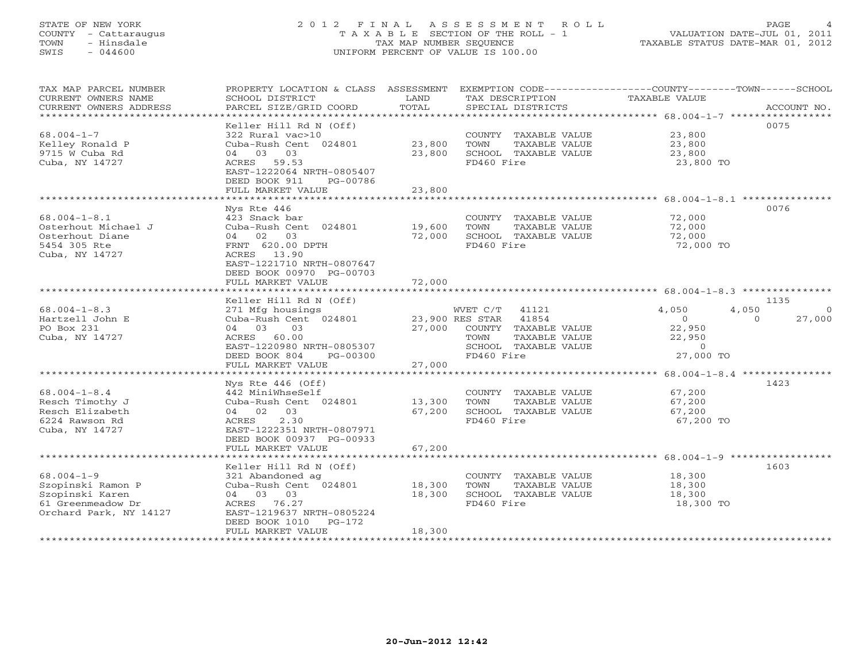## STATE OF NEW YORK 2 0 1 2 F I N A L A S S E S S M E N T R O L L PAGE 4 COUNTY - Cattaraugus T A X A B L E SECTION OF THE ROLL - 1 VALUATION DATE-JUL 01, 2011 TOWN - Hinsdale TAX MAP NUMBER SEQUENCE TAXABLE STATUS DATE-MAR 01, 2012 SWIS - 044600 UNIFORM PERCENT OF VALUE IS 100.00UNIFORM PERCENT OF VALUE IS 100.00

| TAX MAP PARCEL NUMBER<br>CURRENT OWNERS NAME<br>CURRENT OWNERS ADDRESS<br>****************************** | PROPERTY LOCATION & CLASS ASSESSMENT<br>SCHOOL DISTRICT<br>PARCEL SIZE/GRID COORD                                                    | LAND<br>TOTAL    | TAX DESCRIPTION<br>SPECIAL DISTRICTS                                                                                                     | EXEMPTION CODE-----------------COUNTY-------TOWN------SCHOOL<br>TAXABLE VALUE<br>ACCOUNT NO.                          |
|----------------------------------------------------------------------------------------------------------|--------------------------------------------------------------------------------------------------------------------------------------|------------------|------------------------------------------------------------------------------------------------------------------------------------------|-----------------------------------------------------------------------------------------------------------------------|
|                                                                                                          | Keller Hill Rd N (Off)                                                                                                               |                  |                                                                                                                                          | 0075                                                                                                                  |
| $68.004 - 1 - 7$<br>Kelley Ronald P<br>9715 W Cuba Rd<br>Cuba, NY 14727                                  | 322 Rural vac>10<br>Cuba-Rush Cent 024801<br>04 03 03<br>ACRES 59.53<br>EAST-1222064 NRTH-0805407                                    | 23,800<br>23,800 | COUNTY TAXABLE VALUE<br>TOWN<br>TAXABLE VALUE<br>SCHOOL TAXABLE VALUE<br>FD460 Fire                                                      | 23,800<br>23,800<br>23,800<br>23,800 TO                                                                               |
|                                                                                                          | DEED BOOK 911<br>PG-00786<br>FULL MARKET VALUE                                                                                       | 23,800           |                                                                                                                                          |                                                                                                                       |
|                                                                                                          | ********************                                                                                                                 | ***********      |                                                                                                                                          | ************************ 68.004-1-8.1 **********                                                                      |
| $68.004 - 1 - 8.1$<br>Osterhout Michael J<br>Osterhout Diane<br>5454 305 Rte<br>Cuba, NY 14727           | Nys Rte 446<br>423 Snack bar<br>Cuba-Rush Cent 024801<br>04 02<br>03<br>FRNT 620.00 DPTH<br>ACRES 13.90<br>EAST-1221710 NRTH-0807647 | 19,600<br>72,000 | COUNTY TAXABLE VALUE<br>TOWN<br>TAXABLE VALUE<br>SCHOOL TAXABLE VALUE<br>FD460 Fire                                                      | 0076<br>72,000<br>72,000<br>72,000<br>72,000 TO                                                                       |
|                                                                                                          | DEED BOOK 00970 PG-00703<br>FULL MARKET VALUE                                                                                        | 72,000           |                                                                                                                                          |                                                                                                                       |
|                                                                                                          | * * * * * * * * * * * * * * * * * *                                                                                                  |                  |                                                                                                                                          |                                                                                                                       |
|                                                                                                          | Keller Hill Rd N (Off)                                                                                                               |                  |                                                                                                                                          | 1135                                                                                                                  |
| $68.004 - 1 - 8.3$<br>Hartzell John E<br>PO Box 231<br>Cuba, NY 14727                                    | 271 Mfg housings<br>Cuba-Rush Cent 024801<br>04 03<br>03<br>ACRES 60.00<br>EAST-1220980 NRTH-0805307<br>DEED BOOK 804<br>PG-00300    |                  | WVET C/T<br>41121<br>23,900 RES STAR 41854<br>27,000 COUNTY TAXABLE VALUE<br>TOWN<br>TAXABLE VALUE<br>SCHOOL TAXABLE VALUE<br>FD460 Fire | 4,050<br>4,050<br>$\Omega$<br>$\overline{0}$<br>$\Omega$<br>27,000<br>22,950<br>22,950<br>$\overline{0}$<br>27,000 TO |
|                                                                                                          | FULL MARKET VALUE                                                                                                                    | 27,000           |                                                                                                                                          |                                                                                                                       |
| $68.004 - 1 - 8.4$<br>Resch Timothy J<br>Resch Elizabeth<br>6224 Rawson Rd<br>Cuba, NY 14727             | Nys Rte $446$ (Off)<br>442 MiniWhseSelf<br>Cuba-Rush Cent 024801<br>04 02 03<br>2.30<br>ACRES<br>EAST-1222351 NRTH-0807971           | 13,300<br>67,200 | COUNTY TAXABLE VALUE<br>TOWN<br>TAXABLE VALUE<br>SCHOOL TAXABLE VALUE<br>FD460 Fire                                                      | 1423<br>67,200<br>67,200<br>67,200<br>67,200 TO                                                                       |
|                                                                                                          | DEED BOOK 00937 PG-00933                                                                                                             |                  |                                                                                                                                          |                                                                                                                       |
|                                                                                                          | FULL MARKET VALUE<br>********************                                                                                            | 67,200           |                                                                                                                                          |                                                                                                                       |
|                                                                                                          | Keller Hill Rd N (Off)                                                                                                               |                  |                                                                                                                                          | 1603                                                                                                                  |
| $68.004 - 1 - 9$<br>Szopinski Ramon P<br>Szopinski Karen<br>61 Greenmeadow Dr<br>Orchard Park, NY 14127  | 321 Abandoned ag<br>Cuba-Rush Cent 024801<br>04 03 03<br>ACRES 76.27<br>EAST-1219637 NRTH-0805224<br>DEED BOOK 1010 PG-172           | 18,300<br>18,300 | COUNTY TAXABLE VALUE<br>TOWN<br>TAXABLE VALUE<br>SCHOOL TAXABLE VALUE<br>FD460 Fire                                                      | 18,300<br>18,300<br>18,300<br>18,300 TO                                                                               |
|                                                                                                          | FULL MARKET VALUE                                                                                                                    | 18,300           |                                                                                                                                          |                                                                                                                       |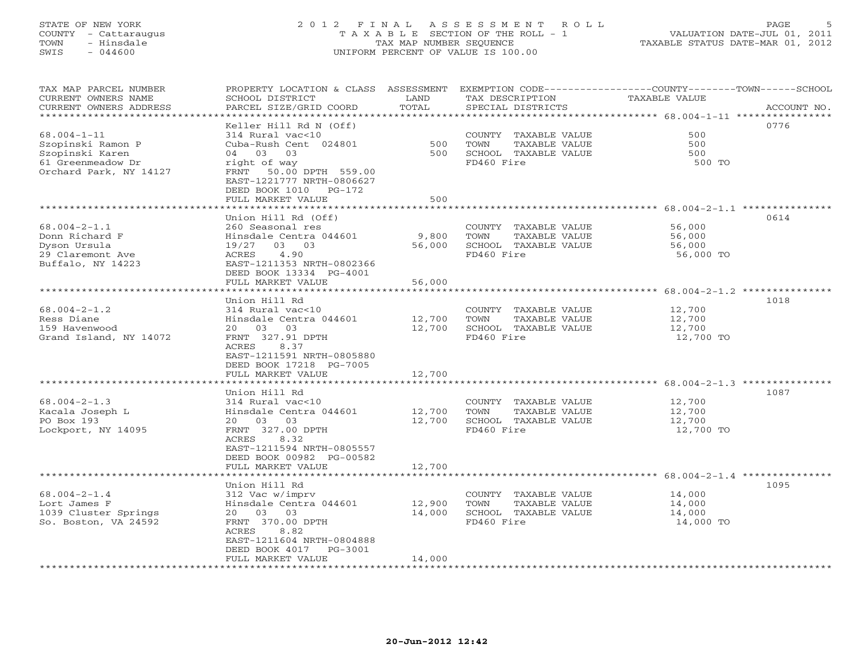## STATE OF NEW YORK 2 0 1 2 F I N A L A S S E S S M E N T R O L L PAGE 5 COUNTY - Cattaraugus T A X A B L E SECTION OF THE ROLL - 1 VALUATION DATE-JUL 01, 2011 TOWN - Hinsdale TAX MAP NUMBER SEQUENCE TAXABLE STATUS DATE-MAR 01, 2012 SWIS - 044600 UNIFORM PERCENT OF VALUE IS 100.00UNIFORM PERCENT OF VALUE IS 100.00

| TAX MAP PARCEL NUMBER<br>CURRENT OWNERS NAME<br>CURRENT OWNERS ADDRESS | PROPERTY LOCATION & CLASS ASSESSMENT<br>SCHOOL DISTRICT<br>PARCEL SIZE/GRID COORD | LAND<br>TOTAL   | TAX DESCRIPTION<br>SPECIAL DISTRICTS | EXEMPTION CODE-----------------COUNTY-------TOWN------SCHOOL<br>TAXABLE VALUE<br>ACCOUNT NO. |
|------------------------------------------------------------------------|-----------------------------------------------------------------------------------|-----------------|--------------------------------------|----------------------------------------------------------------------------------------------|
|                                                                        |                                                                                   | * * * * * * * * |                                      | ********* 68.004-1-11 ***                                                                    |
|                                                                        | Keller Hill Rd N (Off)                                                            |                 |                                      | 0776                                                                                         |
| $68.004 - 1 - 11$                                                      | 314 Rural vac<10                                                                  |                 | COUNTY TAXABLE VALUE                 | 500                                                                                          |
| Szopinski Ramon P                                                      | Cuba-Rush Cent 024801                                                             | 500             | TOWN<br>TAXABLE VALUE                | 500                                                                                          |
| Szopinski Karen                                                        | 04 03<br>03                                                                       | 500             | SCHOOL TAXABLE VALUE                 | 500                                                                                          |
| 61 Greenmeadow Dr                                                      | right of way                                                                      |                 | FD460 Fire                           | 500 TO                                                                                       |
| Orchard Park, NY 14127                                                 | FRNT 50.00 DPTH 559.00<br>EAST-1221777 NRTH-0806627                               |                 |                                      |                                                                                              |
|                                                                        | DEED BOOK 1010 PG-172                                                             |                 |                                      |                                                                                              |
|                                                                        | FULL MARKET VALUE                                                                 | 500             |                                      |                                                                                              |
|                                                                        |                                                                                   |                 |                                      | ***************** 68.004-2-1.1 ***********                                                   |
|                                                                        | Union Hill Rd (Off)                                                               |                 |                                      | 0614                                                                                         |
| $68.004 - 2 - 1.1$                                                     | 260 Seasonal res                                                                  |                 | COUNTY TAXABLE VALUE                 | 56,000                                                                                       |
| Donn Richard F                                                         | Hinsdale Centra 044601                                                            | 9,800           | TOWN<br>TAXABLE VALUE                | 56,000                                                                                       |
| Dyson Ursula                                                           | 19/27<br>03 03                                                                    | 56,000          | SCHOOL TAXABLE VALUE                 | 56,000                                                                                       |
| 29 Claremont Ave                                                       | 4.90<br>ACRES                                                                     |                 | FD460 Fire                           | 56,000 TO                                                                                    |
| Buffalo, NY 14223                                                      | EAST-1211353 NRTH-0802366                                                         |                 |                                      |                                                                                              |
|                                                                        | DEED BOOK 13334 PG-4001                                                           |                 |                                      |                                                                                              |
|                                                                        | FULL MARKET VALUE<br>******************                                           | 56,000          |                                      | ****************** 68.004-2-1.2 ***************                                              |
|                                                                        | Union Hill Rd                                                                     |                 |                                      | 1018                                                                                         |
| $68.004 - 2 - 1.2$                                                     | 314 Rural vac<10                                                                  |                 | COUNTY TAXABLE VALUE                 | 12,700                                                                                       |
| Ress Diane                                                             | Hinsdale Centra 044601                                                            | 12,700          | TOWN<br>TAXABLE VALUE                | 12,700                                                                                       |
| 159 Havenwood                                                          | 20 03 03                                                                          | 12,700          | SCHOOL TAXABLE VALUE                 | 12,700                                                                                       |
| Grand Island, NY 14072                                                 | FRNT 327.91 DPTH                                                                  |                 | FD460 Fire                           | 12,700 TO                                                                                    |
|                                                                        | 8.37<br>ACRES                                                                     |                 |                                      |                                                                                              |
|                                                                        | EAST-1211591 NRTH-0805880                                                         |                 |                                      |                                                                                              |
|                                                                        | DEED BOOK 17218 PG-7005                                                           |                 |                                      |                                                                                              |
|                                                                        | FULL MARKET VALUE                                                                 | 12,700          |                                      |                                                                                              |
|                                                                        | Union Hill Rd                                                                     |                 |                                      | 1087                                                                                         |
| $68.004 - 2 - 1.3$                                                     | 314 Rural vac<10                                                                  |                 | COUNTY TAXABLE VALUE                 | 12,700                                                                                       |
| Kacala Joseph L                                                        | Hinsdale Centra 044601                                                            | 12,700          | TOWN<br>TAXABLE VALUE                | 12,700                                                                                       |
| PO Box 193                                                             | 20  03  03                                                                        | 12,700          | SCHOOL TAXABLE VALUE                 | 12,700                                                                                       |
| Lockport, NY 14095                                                     | FRNT 327.00 DPTH                                                                  |                 | FD460 Fire                           | 12,700 TO                                                                                    |
|                                                                        | ACRES<br>8.32                                                                     |                 |                                      |                                                                                              |
|                                                                        | EAST-1211594 NRTH-0805557                                                         |                 |                                      |                                                                                              |
|                                                                        | DEED BOOK 00982 PG-00582                                                          |                 |                                      |                                                                                              |
|                                                                        | FULL MARKET VALUE                                                                 | 12,700          |                                      |                                                                                              |
|                                                                        |                                                                                   |                 |                                      | ********* 68.004-2-1.4 ********                                                              |
| $68.004 - 2 - 1.4$                                                     | Union Hill Rd<br>312 Vac w/imprv                                                  |                 | COUNTY TAXABLE VALUE                 | 1095<br>14,000                                                                               |
| Lort James F                                                           | Hinsdale Centra 044601                                                            | 12,900          | TOWN<br>TAXABLE VALUE                | 14,000                                                                                       |
| 1039 Cluster Springs                                                   | 20  03  03                                                                        | 14,000          | SCHOOL TAXABLE VALUE                 | 14,000                                                                                       |
| So. Boston, VA 24592                                                   | FRNT 370.00 DPTH                                                                  |                 | FD460 Fire                           | 14,000 TO                                                                                    |
|                                                                        | ACRES<br>8.82                                                                     |                 |                                      |                                                                                              |
|                                                                        | EAST-1211604 NRTH-0804888                                                         |                 |                                      |                                                                                              |
|                                                                        | DEED BOOK 4017<br>PG-3001                                                         |                 |                                      |                                                                                              |
|                                                                        | FULL MARKET VALUE                                                                 | 14,000          |                                      |                                                                                              |
|                                                                        |                                                                                   |                 |                                      |                                                                                              |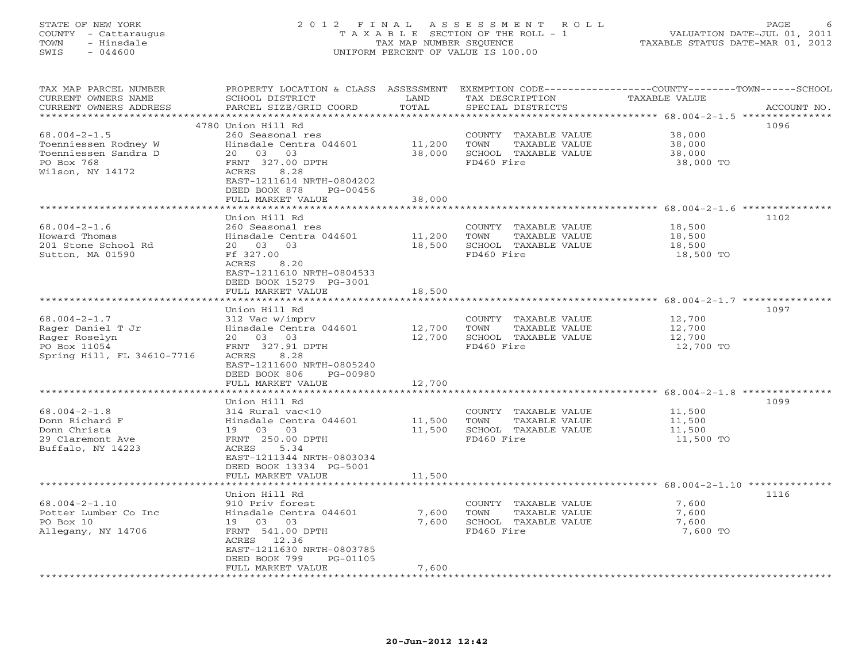## STATE OF NEW YORK 2 0 1 2 F I N A L A S S E S S M E N T R O L L PAGE 6 COUNTY - Cattaraugus T A X A B L E SECTION OF THE ROLL - 1 VALUATION DATE-JUL 01, 2011 TOWN - Hinsdale TAX MAP NUMBER SEQUENCE TAXABLE STATUS DATE-MAR 01, 2012 SWIS - 044600 UNIFORM PERCENT OF VALUE IS 100.00UNIFORM PERCENT OF VALUE IS 100.00

| TAX MAP PARCEL NUMBER<br>CURRENT OWNERS NAME<br>CURRENT OWNERS ADDRESS | PROPERTY LOCATION & CLASS ASSESSMENT<br>SCHOOL DISTRICT<br>PARCEL SIZE/GRID COORD | LAND<br>TOTAL             | TAX DESCRIPTION<br>SPECIAL DISTRICTS | EXEMPTION CODE----------------COUNTY-------TOWN-----SCHOOL<br>TAXABLE VALUE<br>ACCOUNT NO. |
|------------------------------------------------------------------------|-----------------------------------------------------------------------------------|---------------------------|--------------------------------------|--------------------------------------------------------------------------------------------|
| *********************                                                  |                                                                                   |                           |                                      |                                                                                            |
|                                                                        | 4780 Union Hill Rd                                                                |                           |                                      | 1096                                                                                       |
| $68.004 - 2 - 1.5$                                                     | 260 Seasonal res                                                                  |                           | COUNTY TAXABLE VALUE                 | 38,000                                                                                     |
| Toenniessen Rodney W                                                   | Hinsdale Centra 044601                                                            | 11,200                    | TOWN<br>TAXABLE VALUE                | 38,000                                                                                     |
| Toenniessen Sandra D                                                   | 20  03  03                                                                        | 38,000                    | SCHOOL TAXABLE VALUE                 | 38,000                                                                                     |
| PO Box 768<br>Wilson, NY 14172                                         | FRNT 327.00 DPTH                                                                  |                           | FD460 Fire                           | 38,000 TO                                                                                  |
|                                                                        | ACRES<br>8.28<br>EAST-1211614 NRTH-0804202                                        |                           |                                      |                                                                                            |
|                                                                        | DEED BOOK 878<br>PG-00456                                                         |                           |                                      |                                                                                            |
|                                                                        | FULL MARKET VALUE                                                                 | 38,000                    |                                      |                                                                                            |
|                                                                        |                                                                                   | ********                  |                                      | ************************** 68.004-2-1.6 ***************                                    |
|                                                                        | Union Hill Rd                                                                     |                           |                                      | 1102                                                                                       |
| $68.004 - 2 - 1.6$                                                     | 260 Seasonal res                                                                  |                           | COUNTY TAXABLE VALUE                 | 18,500                                                                                     |
| Howard Thomas                                                          | Hinsdale Centra 044601                                                            | 11,200                    | TAXABLE VALUE<br>TOWN                | 18,500                                                                                     |
| 201 Stone School Rd                                                    | 20 03<br>03                                                                       | 18,500                    | SCHOOL TAXABLE VALUE                 | 18,500                                                                                     |
| Sutton, MA 01590                                                       | Ff 327.00                                                                         |                           | FD460 Fire                           | 18,500 TO                                                                                  |
|                                                                        | 8.20<br>ACRES<br>EAST-1211610 NRTH-0804533                                        |                           |                                      |                                                                                            |
|                                                                        | DEED BOOK 15279 PG-3001                                                           |                           |                                      |                                                                                            |
|                                                                        | FULL MARKET VALUE                                                                 | 18,500                    |                                      |                                                                                            |
|                                                                        | *******************                                                               |                           |                                      |                                                                                            |
|                                                                        | Union Hill Rd                                                                     |                           |                                      | 1097                                                                                       |
| $68.004 - 2 - 1.7$                                                     | 312 Vac w/imprv                                                                   |                           | COUNTY TAXABLE VALUE                 | 12,700                                                                                     |
| Rager Daniel T Jr                                                      | Hinsdale Centra 044601                                                            | 12,700                    | TOWN<br>TAXABLE VALUE                | 12,700                                                                                     |
| Rager Roselyn                                                          | 20  03  03                                                                        | 12,700                    | SCHOOL TAXABLE VALUE                 | 12,700                                                                                     |
| PO Box 11054                                                           | FRNT 327.91 DPTH                                                                  |                           | FD460 Fire                           | 12,700 TO                                                                                  |
| Spring Hill, FL 34610-7716                                             | ACRES<br>8.28                                                                     |                           |                                      |                                                                                            |
|                                                                        | EAST-1211600 NRTH-0805240<br>DEED BOOK 806<br>PG-00980                            |                           |                                      |                                                                                            |
|                                                                        | FULL MARKET VALUE                                                                 | 12,700                    |                                      |                                                                                            |
|                                                                        | *******************                                                               | * * * * * * * * * * * * * |                                      | ********************* 68.004-2-1.8 **********                                              |
|                                                                        | Union Hill Rd                                                                     |                           |                                      | 1099                                                                                       |
| $68.004 - 2 - 1.8$                                                     | 314 Rural vac<10                                                                  |                           | COUNTY TAXABLE VALUE                 | 11,500                                                                                     |
| Donn Richard F                                                         | Hinsdale Centra 044601                                                            | 11,500                    | TOWN<br>TAXABLE VALUE                | 11,500                                                                                     |
| Donn Christa                                                           | 19 03 03                                                                          | 11,500                    | SCHOOL TAXABLE VALUE                 | 11,500                                                                                     |
| 29 Claremont Ave                                                       | FRNT 250.00 DPTH                                                                  |                           | FD460 Fire                           | 11,500 TO                                                                                  |
| Buffalo, NY 14223                                                      | ACRES<br>5.34                                                                     |                           |                                      |                                                                                            |
|                                                                        | EAST-1211344 NRTH-0803034                                                         |                           |                                      |                                                                                            |
|                                                                        | DEED BOOK 13334 PG-5001<br>FULL MARKET VALUE                                      | 11,500                    |                                      |                                                                                            |
|                                                                        |                                                                                   |                           |                                      |                                                                                            |
|                                                                        | Union Hill Rd                                                                     |                           |                                      | 1116                                                                                       |
| $68.004 - 2 - 1.10$                                                    | 910 Priv forest                                                                   |                           | COUNTY TAXABLE VALUE                 | 7,600                                                                                      |
| Potter Lumber Co Inc                                                   | Hinsdale Centra 044601                                                            | 7,600                     | TOWN<br>TAXABLE VALUE                | 7,600                                                                                      |
| PO Box 10                                                              | 19 03 03                                                                          | 7,600                     | SCHOOL TAXABLE VALUE                 | 7,600                                                                                      |
| Allegany, NY 14706                                                     | FRNT 541.00 DPTH                                                                  |                           | FD460 Fire                           | 7,600 TO                                                                                   |
|                                                                        | ACRES 12.36                                                                       |                           |                                      |                                                                                            |
|                                                                        | EAST-1211630 NRTH-0803785<br>DEED BOOK 799                                        |                           |                                      |                                                                                            |
|                                                                        | PG-01105<br>FULL MARKET VALUE                                                     | 7,600                     |                                      |                                                                                            |
|                                                                        |                                                                                   |                           |                                      |                                                                                            |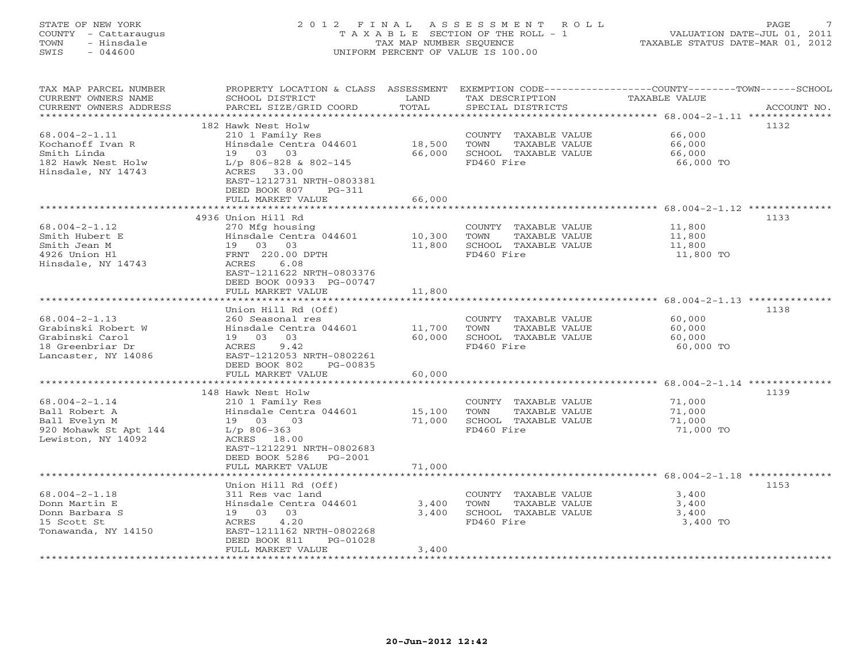# STATE OF NEW YORK 2 0 1 2 F I N A L A S S E S S M E N T R O L L PAGE 7 COUNTY - Cattaraugus T A X A B L E SECTION OF THE ROLL - 1 VALUATION DATE-JUL 01, 2011 TOWN - Hinsdale TAX MAP NUMBER SEQUENCE TAXABLE STATUS DATE-MAR 01, 2012 SWIS - 044600 UNIFORM PERCENT OF VALUE IS 100.00UNIFORM PERCENT OF VALUE IS 100.00

| TAX MAP PARCEL NUMBER<br>CURRENT OWNERS NAME<br>CURRENT OWNERS ADDRESS | PROPERTY LOCATION & CLASS ASSESSMENT<br>SCHOOL DISTRICT<br>PARCEL SIZE/GRID COORD | LAND<br>TOTAL        | TAX DESCRIPTION<br>SPECIAL DISTRICTS                 | EXEMPTION CODE-----------------COUNTY-------TOWN------SCHOOL<br>TAXABLE VALUE<br>ACCOUNT NO. |
|------------------------------------------------------------------------|-----------------------------------------------------------------------------------|----------------------|------------------------------------------------------|----------------------------------------------------------------------------------------------|
| ********************                                                   |                                                                                   |                      |                                                      |                                                                                              |
|                                                                        | 182 Hawk Nest Holw                                                                |                      |                                                      | 1132                                                                                         |
| $68.004 - 2 - 1.11$                                                    | 210 1 Family Res                                                                  |                      | COUNTY TAXABLE VALUE                                 | 66,000                                                                                       |
| Kochanoff Ivan R                                                       | Hinsdale Centra 044601                                                            | 18,500               | TOWN<br>TAXABLE VALUE                                | 66,000                                                                                       |
| Smith Linda                                                            | 19 03 03                                                                          | 66,000               | SCHOOL TAXABLE VALUE                                 | 66,000                                                                                       |
| 182 Hawk Nest Holw                                                     | $L/p$ 806-828 & 802-145                                                           |                      | FD460 Fire                                           | 66,000 TO                                                                                    |
| Hinsdale, NY 14743                                                     | ACRES 33.00<br>EAST-1212731 NRTH-0803381                                          |                      |                                                      |                                                                                              |
|                                                                        | DEED BOOK 807<br>$PG-311$                                                         |                      |                                                      |                                                                                              |
|                                                                        | FULL MARKET VALUE                                                                 | 66,000               |                                                      |                                                                                              |
|                                                                        |                                                                                   |                      |                                                      |                                                                                              |
|                                                                        | 4936 Union Hill Rd                                                                |                      |                                                      | 1133                                                                                         |
| $68.004 - 2 - 1.12$                                                    | 270 Mfg housing                                                                   |                      | COUNTY TAXABLE VALUE                                 | 11,800                                                                                       |
| Smith Hubert E                                                         | Hinsdale Centra 044601                                                            | 10,300               | TOWN<br>TAXABLE VALUE                                | 11,800                                                                                       |
| Smith Jean M                                                           | 19 03 03                                                                          | 11,800               | SCHOOL TAXABLE VALUE                                 | 11,800                                                                                       |
| 4926 Union Hl                                                          | FRNT 220.00 DPTH                                                                  |                      | FD460 Fire                                           | 11,800 TO                                                                                    |
| Hinsdale, NY 14743                                                     | ACRES<br>6.08                                                                     |                      |                                                      |                                                                                              |
|                                                                        | EAST-1211622 NRTH-0803376                                                         |                      |                                                      |                                                                                              |
|                                                                        | DEED BOOK 00933 PG-00747                                                          |                      |                                                      |                                                                                              |
|                                                                        | FULL MARKET VALUE                                                                 | 11,800               |                                                      |                                                                                              |
|                                                                        | ******************                                                                | ******************** |                                                      |                                                                                              |
|                                                                        | Union Hill Rd (Off)                                                               |                      |                                                      | 1138                                                                                         |
| $68.004 - 2 - 1.13$                                                    | 260 Seasonal res                                                                  |                      | COUNTY TAXABLE VALUE                                 | 60,000                                                                                       |
| Grabinski Robert W<br>Grabinski Carol                                  | Hinsdale Centra 044601<br>19 03 03                                                | 11,700<br>60,000     | TOWN<br><b>TAXABLE VALUE</b><br>SCHOOL TAXABLE VALUE | 60,000                                                                                       |
| 18 Greenbriar Dr                                                       | 9.42<br>ACRES                                                                     |                      | FD460 Fire                                           | 60,000                                                                                       |
| Lancaster, NY 14086                                                    | EAST-1212053 NRTH-0802261                                                         |                      |                                                      | 60,000 TO                                                                                    |
|                                                                        | DEED BOOK 802<br>PG-00835                                                         |                      |                                                      |                                                                                              |
|                                                                        | FULL MARKET VALUE                                                                 | 60,000               |                                                      |                                                                                              |
|                                                                        | *********************                                                             |                      |                                                      | ******************** 68.004-2-1.14 **************                                            |
|                                                                        | 148 Hawk Nest Holw                                                                |                      |                                                      | 1139                                                                                         |
| $68.004 - 2 - 1.14$                                                    | 210 1 Family Res                                                                  |                      | COUNTY TAXABLE VALUE                                 | 71,000                                                                                       |
| Ball Robert A                                                          | Hinsdale Centra 044601                                                            | 15,100               | TOWN<br>TAXABLE VALUE                                | 71,000                                                                                       |
| Ball Evelyn M                                                          | 19 03<br>03                                                                       | 71,000               | SCHOOL TAXABLE VALUE                                 | 71,000                                                                                       |
| 920 Mohawk St Apt 144                                                  | $L/p$ 806-363                                                                     |                      | FD460 Fire                                           | 71,000 TO                                                                                    |
| Lewiston, NY 14092                                                     | ACRES 18.00                                                                       |                      |                                                      |                                                                                              |
|                                                                        | EAST-1212291 NRTH-0802683                                                         |                      |                                                      |                                                                                              |
|                                                                        | DEED BOOK 5286<br>PG-2001                                                         |                      |                                                      |                                                                                              |
|                                                                        | FULL MARKET VALUE                                                                 | 71,000               |                                                      |                                                                                              |
|                                                                        |                                                                                   |                      |                                                      |                                                                                              |
|                                                                        | Union Hill Rd (Off)                                                               |                      |                                                      | 1153                                                                                         |
| $68.004 - 2 - 1.18$<br>Donn Martin E                                   | 311 Res vac land<br>Hinsdale Centra 044601                                        | 3,400                | COUNTY TAXABLE VALUE<br>TOWN<br>TAXABLE VALUE        | 3,400<br>3,400                                                                               |
| Donn Barbara S                                                         | 03<br>19 03                                                                       | 3,400                | SCHOOL TAXABLE VALUE                                 | 3,400                                                                                        |
| 15 Scott St                                                            | ACRES<br>4.20                                                                     |                      | FD460 Fire                                           | 3,400 TO                                                                                     |
| Tonawanda, NY 14150                                                    | EAST-1211162 NRTH-0802268                                                         |                      |                                                      |                                                                                              |
|                                                                        | DEED BOOK 811<br>PG-01028                                                         |                      |                                                      |                                                                                              |
|                                                                        | FULL MARKET VALUE                                                                 | 3,400                |                                                      |                                                                                              |
| **********************                                                 |                                                                                   |                      |                                                      |                                                                                              |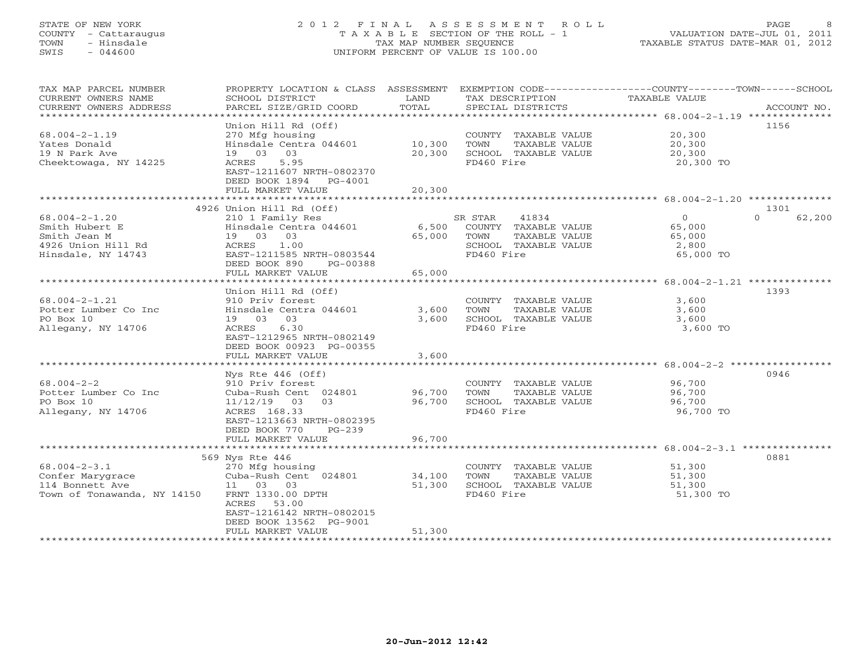## STATE OF NEW YORK 2 0 1 2 F I N A L A S S E S S M E N T R O L L PAGE 8 COUNTY - Cattaraugus T A X A B L E SECTION OF THE ROLL - 1 VALUATION DATE-JUL 01, 2011 TOWN - Hinsdale TAX MAP NUMBER SEQUENCE TAXABLE STATUS DATE-MAR 01, 2012 SWIS - 044600 UNIFORM PERCENT OF VALUE IS 100.00UNIFORM PERCENT OF VALUE IS 100.00

| TAX MAP PARCEL NUMBER<br>CURRENT OWNERS NAME<br>CURRENT OWNERS ADDRESS | PROPERTY LOCATION & CLASS ASSESSMENT<br>SCHOOL DISTRICT<br>PARCEL SIZE/GRID COORD | LAND<br>TOTAL           | TAX DESCRIPTION<br>SPECIAL DISTRICTS | EXEMPTION CODE-----------------COUNTY-------TOWN-----SCHOOL<br>TAXABLE VALUE | ACCOUNT NO.        |
|------------------------------------------------------------------------|-----------------------------------------------------------------------------------|-------------------------|--------------------------------------|------------------------------------------------------------------------------|--------------------|
| *********************                                                  |                                                                                   |                         |                                      |                                                                              |                    |
|                                                                        | Union Hill Rd (Off)                                                               |                         |                                      |                                                                              | 1156               |
| $68.004 - 2 - 1.19$                                                    | 270 Mfg housing                                                                   |                         | COUNTY TAXABLE VALUE                 | 20,300                                                                       |                    |
| Yates Donald                                                           | Hinsdale Centra 044601                                                            | 10,300                  | TOWN<br>TAXABLE VALUE                | 20,300                                                                       |                    |
| 19 N Park Ave                                                          | 03<br>19 03                                                                       | 20,300                  | SCHOOL TAXABLE VALUE                 | 20,300                                                                       |                    |
| Cheektowaga, NY 14225                                                  | ACRES<br>5.95<br>EAST-1211607 NRTH-0802370                                        |                         | FD460 Fire                           | 20,300 TO                                                                    |                    |
|                                                                        | DEED BOOK 1894<br>$PG-4001$                                                       |                         |                                      |                                                                              |                    |
|                                                                        | FULL MARKET VALUE                                                                 | 20,300                  |                                      |                                                                              |                    |
|                                                                        |                                                                                   |                         |                                      |                                                                              |                    |
|                                                                        | 4926 Union Hill Rd (Off)                                                          |                         |                                      |                                                                              | 1301               |
| $68.004 - 2 - 1.20$                                                    | 210 1 Family Res                                                                  |                         | SR STAR<br>41834                     | $\circ$                                                                      | $\Omega$<br>62,200 |
| Smith Hubert E                                                         | Hinsdale Centra 044601                                                            | 6,500                   | COUNTY TAXABLE VALUE                 | 65,000                                                                       |                    |
| Smith Jean M                                                           | 19 03 03                                                                          | 65,000                  | TOWN<br>TAXABLE VALUE                | 65,000                                                                       |                    |
| 4926 Union Hill Rd                                                     | 1.00<br>ACRES                                                                     |                         | SCHOOL TAXABLE VALUE                 | 2,800                                                                        |                    |
| Hinsdale, NY 14743                                                     | EAST-1211585 NRTH-0803544                                                         |                         | FD460 Fire                           | 65,000 TO                                                                    |                    |
|                                                                        | DEED BOOK 890<br>PG-00388                                                         |                         |                                      |                                                                              |                    |
|                                                                        | FULL MARKET VALUE                                                                 | 65,000<br>************* |                                      |                                                                              |                    |
|                                                                        |                                                                                   |                         |                                      |                                                                              |                    |
| $68.004 - 2 - 1.21$                                                    | Union Hill Rd (Off)<br>910 Priv forest                                            |                         | COUNTY TAXABLE VALUE                 | 3,600                                                                        | 1393               |
| Potter Lumber Co Inc                                                   | Hinsdale Centra 044601                                                            | 3,600                   | TOWN<br>TAXABLE VALUE                | 3,600                                                                        |                    |
| PO Box 10                                                              | 19 03 03                                                                          | 3,600                   | SCHOOL TAXABLE VALUE                 | 3,600                                                                        |                    |
| Allegany, NY 14706                                                     | 6.30<br>ACRES                                                                     |                         | FD460 Fire                           | 3,600 TO                                                                     |                    |
|                                                                        | EAST-1212965 NRTH-0802149                                                         |                         |                                      |                                                                              |                    |
|                                                                        | DEED BOOK 00923 PG-00355                                                          |                         |                                      |                                                                              |                    |
|                                                                        | FULL MARKET VALUE                                                                 | 3,600                   |                                      |                                                                              |                    |
|                                                                        |                                                                                   |                         |                                      |                                                                              |                    |
|                                                                        | Nys Rte $446$ (Off)                                                               |                         |                                      |                                                                              | 0946               |
| $68.004 - 2 - 2$                                                       | 910 Priv forest                                                                   |                         | COUNTY TAXABLE VALUE                 | 96,700                                                                       |                    |
| Potter Lumber Co Inc                                                   | Cuba-Rush Cent 024801                                                             | 96,700                  | TOWN<br>TAXABLE VALUE                | 96,700                                                                       |                    |
| PO Box 10                                                              | 11/12/19<br>03<br>03                                                              | 96,700                  | SCHOOL TAXABLE VALUE                 | 96,700                                                                       |                    |
| Allegany, NY 14706                                                     | ACRES 168.33                                                                      |                         | FD460 Fire                           | 96,700 TO                                                                    |                    |
|                                                                        | EAST-1213663 NRTH-0802395                                                         |                         |                                      |                                                                              |                    |
|                                                                        | DEED BOOK 770<br>$PG-239$<br>FULL MARKET VALUE                                    | 96,700                  |                                      |                                                                              |                    |
|                                                                        |                                                                                   |                         |                                      |                                                                              |                    |
|                                                                        | 569 Nys Rte 446                                                                   |                         |                                      |                                                                              | 0881               |
| $68.004 - 2 - 3.1$                                                     | 270 Mfg housing                                                                   |                         | COUNTY TAXABLE VALUE                 | 51,300                                                                       |                    |
| Confer Marygrace                                                       | Cuba-Rush Cent 024801                                                             | 34,100                  | TOWN<br>TAXABLE VALUE                | 51,300                                                                       |                    |
| 114 Bonnett Ave                                                        | 11 03 03                                                                          | 51,300                  | SCHOOL TAXABLE VALUE                 | 51,300                                                                       |                    |
| Town of Tonawanda, NY 14150                                            | FRNT 1330.00 DPTH                                                                 |                         | FD460 Fire                           | 51,300 TO                                                                    |                    |
|                                                                        | ACRES 53.00                                                                       |                         |                                      |                                                                              |                    |
|                                                                        | EAST-1216142 NRTH-0802015                                                         |                         |                                      |                                                                              |                    |
|                                                                        | DEED BOOK 13562 PG-9001                                                           |                         |                                      |                                                                              |                    |
|                                                                        | FULL MARKET VALUE                                                                 | 51,300                  |                                      |                                                                              |                    |
|                                                                        |                                                                                   |                         |                                      |                                                                              |                    |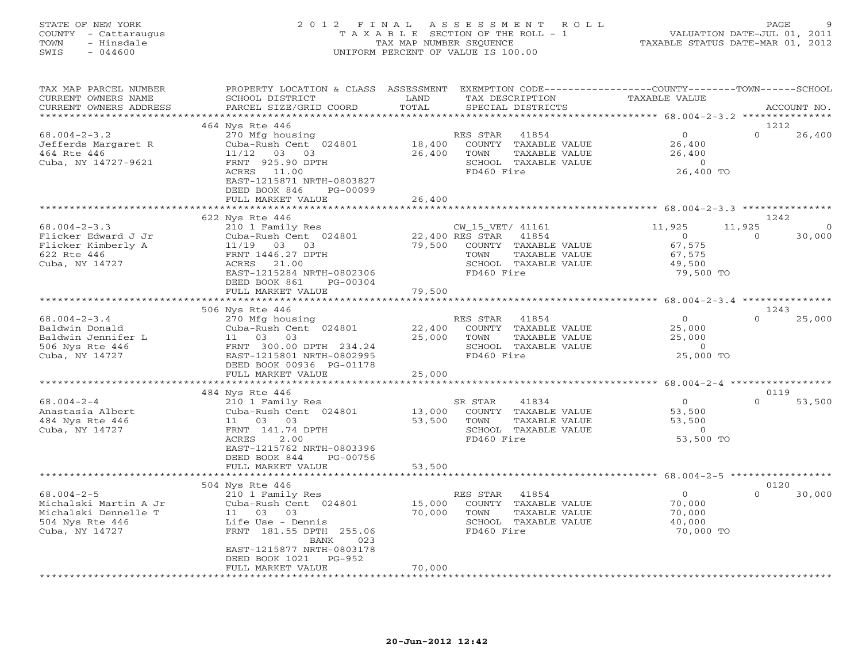## STATE OF NEW YORK 2 0 1 2 F I N A L A S S E S S M E N T R O L L PAGE 9 COUNTY - Cattaraugus T A X A B L E SECTION OF THE ROLL - 1 VALUATION DATE-JUL 01, 2011 TOWN - Hinsdale TAX MAP NUMBER SEQUENCE TAXABLE STATUS DATE-MAR 01, 2012 SWIS - 044600 UNIFORM PERCENT OF VALUE IS 100.00UNIFORM PERCENT OF VALUE IS 100.00

| TAX MAP PARCEL NUMBER<br>CURRENT OWNERS NAME     | PROPERTY LOCATION & CLASS ASSESSMENT<br>SCHOOL DISTRICT | LAND             | EXEMPTION CODE----------------COUNTY-------TOWN------SCHOOL<br>TAX DESCRIPTION | TAXABLE VALUE                               |                    |
|--------------------------------------------------|---------------------------------------------------------|------------------|--------------------------------------------------------------------------------|---------------------------------------------|--------------------|
| CURRENT OWNERS ADDRESS<br>********************** | PARCEL SIZE/GRID COORD                                  | TOTAL            | SPECIAL DISTRICTS                                                              |                                             | ACCOUNT NO.        |
|                                                  | 464 Nys Rte 446                                         |                  |                                                                                |                                             | 1212               |
| $68.004 - 2 - 3.2$                               | 270 Mfg housing                                         |                  | RES STAR<br>41854                                                              | $\overline{0}$                              | $\Omega$<br>26,400 |
| Jefferds Margaret R                              | Cuba-Rush Cent 024801                                   | 18,400           | COUNTY TAXABLE VALUE                                                           | 26,400                                      |                    |
| 464 Rte 446                                      | $11/12$ 03 03                                           | 26,400           | TOWN<br>TAXABLE VALUE                                                          | 26,400                                      |                    |
| Cuba, NY 14727-9621                              | FRNT 925.90 DPTH                                        |                  | SCHOOL TAXABLE VALUE                                                           | $\circ$                                     |                    |
|                                                  | ACRES 11.00                                             |                  | FD460 Fire                                                                     | 26,400 TO                                   |                    |
|                                                  | EAST-1215871 NRTH-0803827                               |                  |                                                                                |                                             |                    |
|                                                  | DEED BOOK 846<br>PG-00099                               |                  |                                                                                |                                             |                    |
|                                                  | FULL MARKET VALUE                                       | 26,400           |                                                                                |                                             |                    |
|                                                  | 622 Nys Rte 446                                         |                  |                                                                                |                                             | 1242               |
| $68.004 - 2 - 3.3$                               | 210 1 Family Res                                        |                  | CW_15_VET/ 41161                                                               | 11,925                                      | 11,925<br>$\Omega$ |
| Flicker Edward J Jr                              | Cuba-Rush Cent 024801                                   |                  | 22,400 RES STAR 41854                                                          | $\overline{0}$                              | $\Omega$<br>30,000 |
| Flicker Kimberly A                               | 11/19 03 03                                             | 79,500           | COUNTY TAXABLE VALUE                                                           | 67,575                                      |                    |
| 622 Rte 446                                      | FRNT 1446.27 DPTH                                       |                  | TOWN<br>TAXABLE VALUE                                                          | 67,575                                      |                    |
| Cuba, NY 14727                                   | ACRES<br>21.00                                          |                  | SCHOOL TAXABLE VALUE                                                           | 49,500                                      |                    |
|                                                  | EAST-1215284 NRTH-0802306                               |                  | FD460 Fire                                                                     | 79,500 TO                                   |                    |
|                                                  | DEED BOOK 861<br>PG-00304                               |                  |                                                                                |                                             |                    |
|                                                  | FULL MARKET VALUE                                       | 79,500           |                                                                                |                                             |                    |
|                                                  |                                                         |                  |                                                                                |                                             |                    |
|                                                  | 506 Nys Rte 446                                         |                  |                                                                                |                                             | 1243               |
| $68.004 - 2 - 3.4$                               | 270 Mfg housing                                         |                  | RES STAR 41854                                                                 | $\Omega$                                    | $\cap$<br>25,000   |
| Baldwin Donald<br>Baldwin Jennifer L             | Cuba-Rush Cent 024801<br>11 03<br>03                    | 22,400<br>25,000 | COUNTY TAXABLE VALUE<br>TOWN<br>TAXABLE VALUE                                  | 25,000<br>25,000                            |                    |
| 506 Nys Rte 446                                  | FRNT 300.00 DPTH 234.24                                 |                  | SCHOOL TAXABLE VALUE                                                           | $\circ$                                     |                    |
| Cuba, NY 14727                                   | EAST-1215801 NRTH-0802995                               |                  | FD460 Fire                                                                     | 25,000 TO                                   |                    |
|                                                  | DEED BOOK 00936 PG-01178                                |                  |                                                                                |                                             |                    |
|                                                  | FULL MARKET VALUE                                       | 25,000           |                                                                                |                                             |                    |
|                                                  |                                                         | *********        |                                                                                | ************** 68.004-2-4 ***************** |                    |
|                                                  | 484 Nys Rte 446                                         |                  |                                                                                |                                             | 0119               |
| $68.004 - 2 - 4$                                 | 210 1 Family Res                                        |                  | 41834<br>SR STAR                                                               | $\overline{0}$                              | $\Omega$<br>53,500 |
| Anastasia Albert                                 | Cuba-Rush Cent 024801                                   | 13,000           | COUNTY TAXABLE VALUE                                                           | 53,500                                      |                    |
| 484 Nys Rte 446                                  | 11 03 03                                                | 53,500           | TOWN<br>TAXABLE VALUE                                                          | 53,500                                      |                    |
| Cuba, NY 14727                                   | FRNT 141.74 DPTH<br>ACRES                               |                  | SCHOOL TAXABLE VALUE                                                           | $\overline{0}$                              |                    |
|                                                  | 2.00<br>EAST-1215762 NRTH-0803396                       |                  | FD460 Fire                                                                     | 53,500 TO                                   |                    |
|                                                  | DEED BOOK 844<br>PG-00756                               |                  |                                                                                |                                             |                    |
|                                                  | FULL MARKET VALUE                                       | 53,500           |                                                                                |                                             |                    |
|                                                  | ****************************                            |                  |                                                                                |                                             |                    |
|                                                  | 504 Nys Rte 446                                         |                  |                                                                                |                                             | 0120               |
| $68.004 - 2 - 5$                                 | 210 1 Family Res                                        |                  | RES STAR 41854                                                                 | $\circ$                                     | $\Omega$<br>30,000 |
| Michalski Martin A Jr                            | Cuba-Rush Cent 024801                                   | 15,000           | COUNTY TAXABLE VALUE                                                           | 70,000                                      |                    |
| Michalski Dennelle T                             | 11 03 03                                                | 70,000           | TOWN<br>TAXABLE VALUE                                                          | 70,000                                      |                    |
| 504 Nys Rte 446                                  | Life Use - Dennis                                       |                  | SCHOOL TAXABLE VALUE                                                           | 40,000                                      |                    |
| Cuba, NY 14727                                   | FRNT 181.55 DPTH 255.06                                 |                  | FD460 Fire                                                                     | 70,000 TO                                   |                    |
|                                                  | BANK<br>023<br>EAST-1215877 NRTH-0803178                |                  |                                                                                |                                             |                    |
|                                                  | DEED BOOK 1021<br>PG-952                                |                  |                                                                                |                                             |                    |
|                                                  | FULL MARKET VALUE                                       | 70,000           |                                                                                |                                             |                    |
|                                                  | * * * * * * * * * * * * * * * * * * *                   |                  |                                                                                |                                             |                    |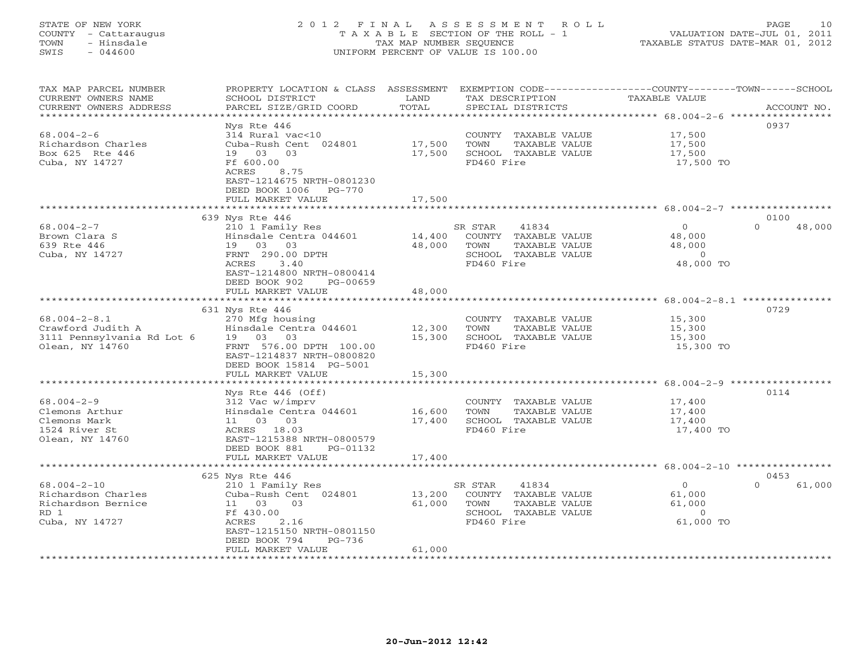# STATE OF NEW YORK 2 0 1 2 F I N A L A S S E S S M E N T R O L L PAGE 10 COUNTY - Cattaraugus T A X A B L E SECTION OF THE ROLL - 1 VALUATION DATE-JUL 01, 2011 TOWN - Hinsdale TAX MAP NUMBER SEQUENCE TAXABLE STATUS DATE-MAR 01, 2012 SWIS - 044600 UNIFORM PERCENT OF VALUE IS 100.00UNIFORM PERCENT OF VALUE IS 100.00

| TAX MAP PARCEL NUMBER<br>CURRENT OWNERS NAME<br>CURRENT OWNERS ADDRESS | PROPERTY LOCATION & CLASS ASSESSMENT<br>SCHOOL DISTRICT<br>PARCEL SIZE/GRID COORD | LAND<br>TOTAL           | TAX DESCRIPTION<br>SPECIAL DISTRICTS          | EXEMPTION CODE-----------------COUNTY-------TOWN-----SCHOOL<br>TAXABLE VALUE | ACCOUNT NO.        |
|------------------------------------------------------------------------|-----------------------------------------------------------------------------------|-------------------------|-----------------------------------------------|------------------------------------------------------------------------------|--------------------|
| * * * * * * * * * * * * * * * * * * *                                  | ***********************                                                           | ***************         | ********************************* 68.004-2-6  |                                                                              | *****************  |
|                                                                        | Nys Rte 446                                                                       |                         |                                               |                                                                              | 0937               |
| $68.004 - 2 - 6$                                                       | 314 Rural vac<10                                                                  |                         | COUNTY TAXABLE VALUE                          | 17,500                                                                       |                    |
| Richardson Charles                                                     | Cuba-Rush Cent 024801                                                             | 17,500                  | TOWN<br>TAXABLE VALUE                         | 17,500                                                                       |                    |
| Box 625 Rte 446                                                        | 03<br>19 03                                                                       | 17,500                  | SCHOOL TAXABLE VALUE                          | 17,500                                                                       |                    |
| Cuba, NY 14727                                                         | Ff 600.00                                                                         |                         | FD460 Fire                                    | 17,500 TO                                                                    |                    |
|                                                                        | ACRES<br>8.75                                                                     |                         |                                               |                                                                              |                    |
|                                                                        | EAST-1214675 NRTH-0801230                                                         |                         |                                               |                                                                              |                    |
|                                                                        | DEED BOOK 1006<br>PG-770<br>FULL MARKET VALUE                                     | 17,500                  |                                               |                                                                              |                    |
|                                                                        |                                                                                   | * * * * * * * * * * * * |                                               | *********************************** 68.004-2-7 ************                  |                    |
|                                                                        | 639 Nys Rte 446                                                                   |                         |                                               |                                                                              | 0100               |
| $68.004 - 2 - 7$                                                       | 210 1 Family Res                                                                  |                         | 41834<br>SR STAR                              | $\circ$                                                                      | $\Omega$<br>48,000 |
| Brown Clara S                                                          | Hinsdale Centra 044601                                                            | 14,400                  | COUNTY TAXABLE VALUE                          | 48,000                                                                       |                    |
| 639 Rte 446                                                            | 19<br>03 03                                                                       | 48,000                  | TOWN<br>TAXABLE VALUE                         | 48,000                                                                       |                    |
| Cuba, NY 14727                                                         | FRNT 290.00 DPTH                                                                  |                         | SCHOOL TAXABLE VALUE                          | $\overline{0}$                                                               |                    |
|                                                                        | 3.40<br>ACRES                                                                     |                         | FD460 Fire                                    | 48,000 TO                                                                    |                    |
|                                                                        | EAST-1214800 NRTH-0800414                                                         |                         |                                               |                                                                              |                    |
|                                                                        | DEED BOOK 902<br>PG-00659                                                         |                         |                                               |                                                                              |                    |
|                                                                        | FULL MARKET VALUE                                                                 | 48,000                  |                                               |                                                                              |                    |
|                                                                        |                                                                                   |                         |                                               |                                                                              |                    |
|                                                                        | 631 Nys Rte 446                                                                   |                         |                                               |                                                                              | 0729               |
| $68.004 - 2 - 8.1$                                                     | 270 Mfg housing                                                                   |                         | COUNTY TAXABLE VALUE                          | 15,300                                                                       |                    |
| Crawford Judith A                                                      | Hinsdale Centra 044601                                                            | 12,300                  | TOWN<br>TAXABLE VALUE                         | 15,300                                                                       |                    |
| 3111 Pennsylvania Rd Lot 6                                             | 19 03 03                                                                          | 15,300                  | SCHOOL TAXABLE VALUE                          | 15,300                                                                       |                    |
| Olean, NY 14760                                                        | FRNT 576.00 DPTH 100.00<br>EAST-1214837 NRTH-0800820                              |                         | FD460 Fire                                    | 15,300 TO                                                                    |                    |
|                                                                        | DEED BOOK 15814 PG-5001                                                           |                         |                                               |                                                                              |                    |
|                                                                        | FULL MARKET VALUE                                                                 | 15,300                  |                                               |                                                                              |                    |
|                                                                        | *******************                                                               | * * * * * * * * * * * * |                                               |                                                                              |                    |
|                                                                        | Nys Rte $446$ (Off)                                                               |                         |                                               |                                                                              | 0114               |
| $68.004 - 2 - 9$                                                       | 312 Vac w/imprv                                                                   |                         | COUNTY TAXABLE VALUE                          | 17,400                                                                       |                    |
| Clemons Arthur                                                         | Hinsdale Centra 044601                                                            | 16,600                  | TOWN<br>TAXABLE VALUE                         | 17,400                                                                       |                    |
| Clemons Mark                                                           | 11 03 03                                                                          | 17,400                  | SCHOOL TAXABLE VALUE                          | 17,400                                                                       |                    |
| 1524 River St                                                          | ACRES 18.03                                                                       |                         | FD460 Fire                                    | 17,400 TO                                                                    |                    |
| Olean, NY 14760                                                        | EAST-1215388 NRTH-0800579                                                         |                         |                                               |                                                                              |                    |
|                                                                        | DEED BOOK 881<br>PG-01132                                                         |                         |                                               |                                                                              |                    |
|                                                                        | FULL MARKET VALUE                                                                 | 17,400                  |                                               |                                                                              |                    |
|                                                                        |                                                                                   |                         |                                               |                                                                              |                    |
|                                                                        | 625 Nys Rte 446                                                                   |                         |                                               |                                                                              | 0453<br>$\Omega$   |
| $68.004 - 2 - 10$<br>Richardson Charles                                | 210 1 Family Res                                                                  | 13,200                  | SR STAR<br>41834                              | $\circ$                                                                      | 61,000             |
| Richardson Bernice                                                     | Cuba-Rush Cent 024801<br>03<br>11                                                 | 61,000                  | TAXABLE VALUE<br>COUNTY                       | 61,000<br>61,000                                                             |                    |
| RD 1                                                                   | 03<br>Ff 430.00                                                                   |                         | TOWN<br>TAXABLE VALUE<br>SCHOOL TAXABLE VALUE | $\Omega$                                                                     |                    |
| Cuba, NY 14727                                                         | ACRES<br>2.16                                                                     |                         | FD460 Fire                                    | 61,000 TO                                                                    |                    |
|                                                                        | EAST-1215150 NRTH-0801150                                                         |                         |                                               |                                                                              |                    |
|                                                                        | DEED BOOK 794<br>PG-736                                                           |                         |                                               |                                                                              |                    |
|                                                                        | FULL MARKET VALUE                                                                 | 61,000                  |                                               |                                                                              |                    |
|                                                                        |                                                                                   |                         |                                               |                                                                              |                    |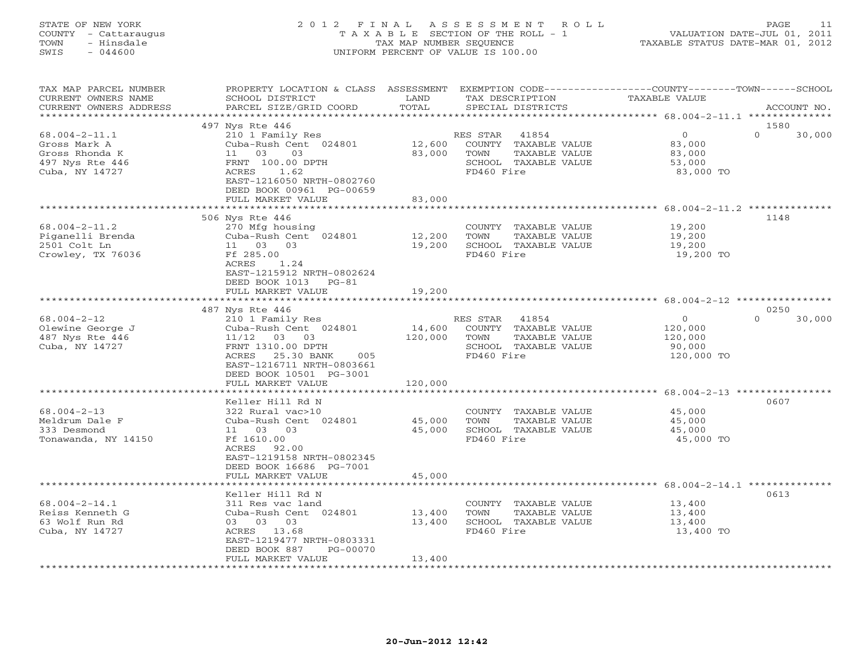## STATE OF NEW YORK 2 0 1 2 F I N A L A S S E S S M E N T R O L L PAGE 11 COUNTY - Cattaraugus T A X A B L E SECTION OF THE ROLL - 1 VALUATION DATE-JUL 01, 2011 TOWN - Hinsdale TAX MAP NUMBER SEQUENCE TAXABLE STATUS DATE-MAR 01, 2012 SWIS - 044600 UNIFORM PERCENT OF VALUE IS 100.00UNIFORM PERCENT OF VALUE IS 100.00

| TAX MAP PARCEL NUMBER<br>CURRENT OWNERS NAME<br>CURRENT OWNERS ADDRESS                     | PROPERTY LOCATION & CLASS ASSESSMENT<br>SCHOOL DISTRICT<br>PARCEL SIZE/GRID COORD                                                                                                       | LAND<br>TOTAL                | TAX DESCRIPTION<br>SPECIAL DISTRICTS                                                                     | EXEMPTION CODE-----------------COUNTY-------TOWN------SCHOOL<br><b>TAXABLE VALUE</b> | ACCOUNT NO.                |
|--------------------------------------------------------------------------------------------|-----------------------------------------------------------------------------------------------------------------------------------------------------------------------------------------|------------------------------|----------------------------------------------------------------------------------------------------------|--------------------------------------------------------------------------------------|----------------------------|
|                                                                                            | * * * * * * * * * * * * * * * * * *                                                                                                                                                     | ************                 |                                                                                                          | ************ 68.004-2-11.1 ***************                                           |                            |
| $68.004 - 2 - 11.1$<br>Gross Mark A<br>Gross Rhonda K<br>497 Nys Rte 446<br>Cuba, NY 14727 | 497 Nys Rte 446<br>210 1 Family Res<br>Cuba-Rush Cent 024801<br>11 03<br>03<br>FRNT 100.00 DPTH<br>ACRES<br>1.62<br>EAST-1216050 NRTH-0802760                                           | 12,600<br>83,000             | RES STAR<br>41854<br>COUNTY TAXABLE VALUE<br>TOWN<br>TAXABLE VALUE<br>SCHOOL TAXABLE VALUE<br>FD460 Fire | $\circ$<br>83,000<br>83,000<br>53,000<br>83,000 TO                                   | 1580<br>$\Omega$<br>30,000 |
|                                                                                            | DEED BOOK 00961 PG-00659<br>FULL MARKET VALUE                                                                                                                                           | 83,000                       |                                                                                                          |                                                                                      |                            |
|                                                                                            | *****************************                                                                                                                                                           |                              |                                                                                                          |                                                                                      |                            |
| $68.004 - 2 - 11.2$<br>Piganelli Brenda<br>2501 Colt Ln<br>Crowley, TX 76036               | 506 Nys Rte 446<br>270 Mfg housing<br>Cuba-Rush Cent 024801<br>11 03 03<br>Ff 285.00<br>ACRES<br>1.24<br>EAST-1215912 NRTH-0802624                                                      | 12,200<br>19,200             | COUNTY TAXABLE VALUE<br>TOWN<br>TAXABLE VALUE<br>SCHOOL TAXABLE VALUE<br>FD460 Fire                      | 19,200<br>19,200<br>19,200<br>19,200 TO                                              | 1148                       |
|                                                                                            | DEED BOOK 1013 PG-81<br>FULL MARKET VALUE                                                                                                                                               | 19,200                       |                                                                                                          |                                                                                      |                            |
|                                                                                            | ************************                                                                                                                                                                |                              |                                                                                                          |                                                                                      |                            |
|                                                                                            | 487 Nys Rte 446                                                                                                                                                                         |                              |                                                                                                          |                                                                                      | 0250                       |
| $68.004 - 2 - 12$<br>Olewine George J<br>487 Nys Rte 446<br>Cuba, NY 14727                 | 210 1 Family Res<br>Cuba-Rush Cent 024801<br>$11/12$ 03 03<br>FRNT 1310.00 DPTH<br>ACRES 25.30 BANK<br>005<br>EAST-1216711 NRTH-0803661<br>DEED BOOK 10501 PG-3001<br>FULL MARKET VALUE | 14,600<br>120,000<br>120,000 | RES STAR<br>41854<br>COUNTY TAXABLE VALUE<br>TOWN<br>TAXABLE VALUE<br>SCHOOL TAXABLE VALUE<br>FD460 Fire | $\overline{0}$<br>120,000<br>120,000<br>90,000<br>120,000 TO                         | 30,000<br>$\Omega$         |
|                                                                                            | ****************************                                                                                                                                                            |                              |                                                                                                          |                                                                                      |                            |
| $68.004 - 2 - 13$<br>Meldrum Dale F<br>333 Desmond<br>Tonawanda, NY 14150                  | Keller Hill Rd N<br>322 Rural vac>10<br>Cuba-Rush Cent 024801<br>11 03 03<br>Ff 1610.00<br>ACRES 92.00<br>EAST-1219158 NRTH-0802345<br>DEED BOOK 16686 PG-7001                          | 45,000<br>45,000<br>45,000   | COUNTY TAXABLE VALUE<br>TOWN<br>TAXABLE VALUE<br>SCHOOL TAXABLE VALUE<br>FD460 Fire                      | 45,000<br>45,000<br>45,000<br>45,000 TO                                              | 0607                       |
|                                                                                            | FULL MARKET VALUE                                                                                                                                                                       |                              |                                                                                                          | ********************* 68.004-2-14.1 **************                                   |                            |
| $68.004 - 2 - 14.1$<br>Reiss Kenneth G<br>63 Wolf Run Rd<br>Cuba, NY 14727                 | Keller Hill Rd N<br>311 Res vac land<br>Cuba-Rush Cent 024801<br>03 03 03<br>ACRES 13.68<br>EAST-1219477 NRTH-0803331<br>DEED BOOK 887<br>PG-00070                                      | 13,400<br>13,400             | COUNTY TAXABLE VALUE<br>TOWN<br>TAXABLE VALUE<br>SCHOOL TAXABLE VALUE<br>FD460 Fire                      | 13,400<br>13,400<br>13,400<br>13,400 TO                                              | 0613                       |
|                                                                                            | FULL MARKET VALUE                                                                                                                                                                       | 13,400                       | ************************                                                                                 |                                                                                      |                            |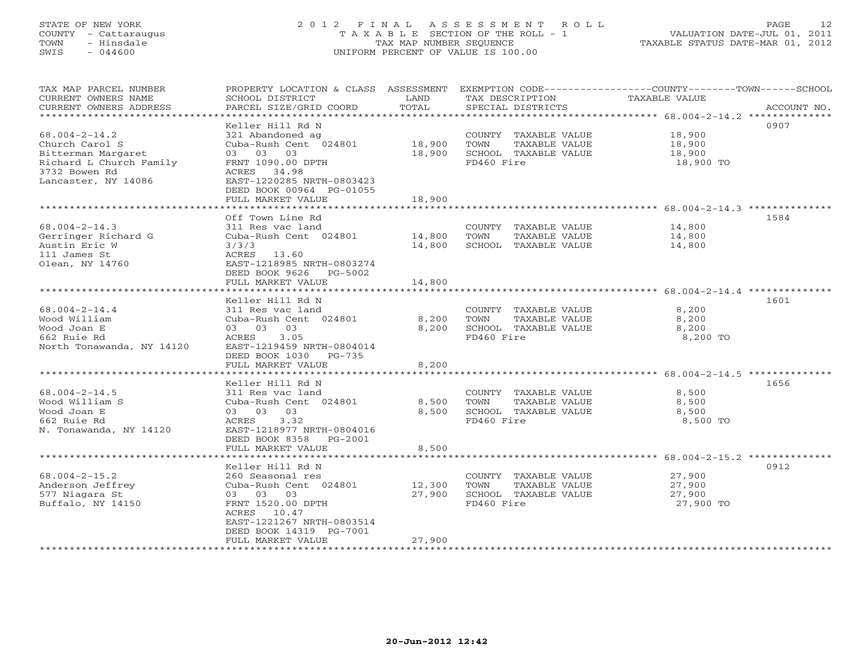## STATE OF NEW YORK 2 0 1 2 F I N A L A S S E S S M E N T R O L L PAGE 12 COUNTY - Cattaraugus T A X A B L E SECTION OF THE ROLL - 1 VALUATION DATE-JUL 01, 2011 TOWN - Hinsdale TAX MAP NUMBER SEQUENCE TAXABLE STATUS DATE-MAR 01, 2012 SWIS - 044600 UNIFORM PERCENT OF VALUE IS 100.00UNIFORM PERCENT OF VALUE IS 100.00

| TAX MAP PARCEL NUMBER<br>CURRENT OWNERS NAME<br>CURRENT OWNERS ADDRESS | PROPERTY LOCATION & CLASS ASSESSMENT<br>SCHOOL DISTRICT<br>PARCEL SIZE/GRID COORD | LAND<br>TOTAL | TAX DESCRIPTION<br>SPECIAL DISTRICTS | EXEMPTION CODE-----------------COUNTY-------TOWN-----SCHOOL<br><b>TAXABLE VALUE</b> | ACCOUNT NO. |
|------------------------------------------------------------------------|-----------------------------------------------------------------------------------|---------------|--------------------------------------|-------------------------------------------------------------------------------------|-------------|
| *********************                                                  |                                                                                   |               |                                      |                                                                                     |             |
| $68.004 - 2 - 14.2$                                                    | Keller Hill Rd N<br>321 Abandoned ag                                              |               | COUNTY TAXABLE VALUE                 | 18,900                                                                              | 0907        |
| Church Carol S                                                         | Cuba-Rush Cent 024801                                                             | 18,900        | TOWN<br>TAXABLE VALUE                | 18,900                                                                              |             |
| Bitterman Margaret                                                     | 03 03<br>03                                                                       | 18,900        | SCHOOL TAXABLE VALUE                 | 18,900                                                                              |             |
| Richard L Church Family                                                | FRNT 1090.00 DPTH                                                                 |               | FD460 Fire                           | 18,900 TO                                                                           |             |
| 3732 Bowen Rd                                                          | ACRES 34.98                                                                       |               |                                      |                                                                                     |             |
| Lancaster, NY 14086                                                    | EAST-1220285 NRTH-0803423<br>DEED BOOK 00964 PG-01055                             |               |                                      |                                                                                     |             |
|                                                                        | FULL MARKET VALUE                                                                 | 18,900        |                                      | ******************************** 68.004-2-14.3 **************                       |             |
|                                                                        | Off Town Line Rd                                                                  |               |                                      |                                                                                     | 1584        |
| $68.004 - 2 - 14.3$                                                    | 311 Res vac land                                                                  |               | COUNTY TAXABLE VALUE                 | 14,800                                                                              |             |
| Gerringer Richard G                                                    | Cuba-Rush Cent 024801                                                             | 14,800        | TOWN<br>TAXABLE VALUE                | 14,800                                                                              |             |
| Austin Eric W                                                          | 3/3/3                                                                             | 14,800        | SCHOOL TAXABLE VALUE                 | 14,800                                                                              |             |
| 111 James St                                                           | ACRES<br>13.60                                                                    |               |                                      |                                                                                     |             |
| Olean, NY 14760                                                        | EAST-1218985 NRTH-0803274                                                         |               |                                      |                                                                                     |             |
|                                                                        | DEED BOOK 9626<br>PG-5002<br>FULL MARKET VALUE                                    | 14,800        |                                      |                                                                                     |             |
| ******************************                                         |                                                                                   |               |                                      |                                                                                     |             |
|                                                                        | Keller Hill Rd N                                                                  |               |                                      |                                                                                     | 1601        |
| $68.004 - 2 - 14.4$                                                    | 311 Res vac land                                                                  |               | COUNTY TAXABLE VALUE                 | 8,200                                                                               |             |
| Wood William                                                           | Cuba-Rush Cent 024801                                                             | 8,200         | TOWN<br>TAXABLE VALUE                | 8,200                                                                               |             |
| Wood Joan E                                                            | 03 03<br>03                                                                       | 8,200         | SCHOOL TAXABLE VALUE                 | 8,200                                                                               |             |
| 662 Ruie Rd                                                            | ACRES<br>3.05                                                                     |               | FD460 Fire                           | 8,200 TO                                                                            |             |
| North Tonawanda, NY 14120                                              | EAST-1219459 NRTH-0804014                                                         |               |                                      |                                                                                     |             |
|                                                                        | DEED BOOK 1030 PG-735                                                             |               |                                      |                                                                                     |             |
|                                                                        | FULL MARKET VALUE                                                                 | 8,200         |                                      |                                                                                     |             |
|                                                                        | Keller Hill Rd N                                                                  |               |                                      |                                                                                     | 1656        |
| $68.004 - 2 - 14.5$                                                    | 311 Res vac land                                                                  |               | COUNTY TAXABLE VALUE                 | 8,500                                                                               |             |
| Wood William S                                                         | Cuba-Rush Cent 024801                                                             | 8,500         | TAXABLE VALUE<br>TOWN                | 8,500                                                                               |             |
| Wood Joan E                                                            | 03 03 03                                                                          | 8,500         | SCHOOL TAXABLE VALUE                 | 8,500                                                                               |             |
| 662 Ruie Rd                                                            | ACRES<br>3.32                                                                     |               | FD460 Fire                           | 8,500 TO                                                                            |             |
| N. Tonawanda, NY 14120                                                 | EAST-1218977 NRTH-0804016                                                         |               |                                      |                                                                                     |             |
|                                                                        | DEED BOOK 8358 PG-2001<br>FULL MARKET VALUE                                       | 8,500         |                                      |                                                                                     |             |
|                                                                        |                                                                                   |               |                                      |                                                                                     |             |
|                                                                        | Keller Hill Rd N                                                                  |               |                                      |                                                                                     | 0912        |
| $68.004 - 2 - 15.2$                                                    | 260 Seasonal res                                                                  |               | COUNTY TAXABLE VALUE                 | 27,900                                                                              |             |
| Anderson Jeffrey                                                       | Cuba-Rush Cent 024801                                                             | 12,300        | TOWN<br>TAXABLE VALUE                | 27,900                                                                              |             |
| 577 Niagara St                                                         | 03 03 03                                                                          | 27,900        | SCHOOL TAXABLE VALUE                 | 27,900                                                                              |             |
| Buffalo, NY 14150                                                      | FRNT 1520.00 DPTH                                                                 |               | FD460 Fire                           | 27,900 TO                                                                           |             |
|                                                                        | ACRES 10.47<br>EAST-1221267 NRTH-0803514                                          |               |                                      |                                                                                     |             |
|                                                                        | DEED BOOK 14319 PG-7001                                                           |               |                                      |                                                                                     |             |
|                                                                        | FULL MARKET VALUE                                                                 | 27,900        |                                      |                                                                                     |             |
| ******************                                                     |                                                                                   |               |                                      |                                                                                     |             |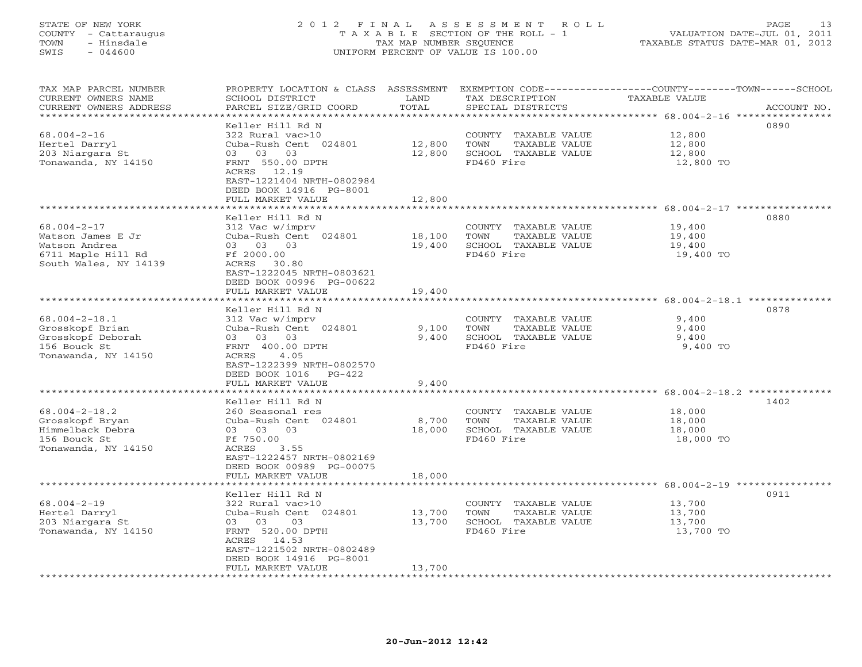#### STATE OF NEW YORK 2 0 1 2 F I N A L A S S E S S M E N T R O L L PAGE 13 COUNTY - Cattaraugus T A X A B L E SECTION OF THE ROLL - 1 VALUATION DATE-JUL 01, 2011 TOWN - Hinsdale TAX MAP NUMBER SEQUENCE TAXABLE STATUS DATE-MAR 01, 2012 SWIS - 044600 UNIFORM PERCENT OF VALUE IS 100.00UNIFORM PERCENT OF VALUE IS 100.00

| TAX MAP PARCEL NUMBER<br>CURRENT OWNERS NAME<br>CURRENT OWNERS ADDRESS                                 | PROPERTY LOCATION & CLASS ASSESSMENT<br>SCHOOL DISTRICT<br>PARCEL SIZE/GRID COORD                                                                                                                  | LAND<br>TOTAL                    | EXEMPTION CODE----------------COUNTY-------TOWN-----SCHOOL<br>TAX DESCRIPTION<br>SPECIAL DISTRICTS | TAXABLE VALUE                                                                                          | ACCOUNT NO. |
|--------------------------------------------------------------------------------------------------------|----------------------------------------------------------------------------------------------------------------------------------------------------------------------------------------------------|----------------------------------|----------------------------------------------------------------------------------------------------|--------------------------------------------------------------------------------------------------------|-------------|
| *********************<br>$68.004 - 2 - 16$<br>Hertel Darryl<br>203 Niargara St<br>Tonawanda, NY 14150  | *******************<br>Keller Hill Rd N<br>322 Rural vac>10<br>Cuba-Rush Cent 024801<br>03 03<br>03<br>FRNT 550.00 DPTH<br>ACRES 12.19<br>EAST-1221404 NRTH-0802984<br>DEED BOOK 14916 PG-8001     | ************<br>12,800<br>12,800 | COUNTY TAXABLE VALUE<br>TOWN<br>TAXABLE VALUE<br>SCHOOL TAXABLE VALUE<br>FD460 Fire                | 12,800<br>12,800<br>12,800<br>12,800 TO                                                                | 0890        |
|                                                                                                        | FULL MARKET VALUE<br>.                                                                                                                                                                             | 12,800                           |                                                                                                    |                                                                                                        |             |
| $68.004 - 2 - 17$<br>Watson James E Jr<br>Watson Andrea<br>6711 Maple Hill Rd<br>South Wales, NY 14139 | Keller Hill Rd N<br>312 Vac w/imprv<br>Cuba-Rush Cent 024801<br>03 03 03<br>Ff 2000.00<br>ACRES<br>30.80                                                                                           | ********<br>18,100<br>19,400     | COUNTY TAXABLE VALUE<br>TOWN<br>TAXABLE VALUE<br>SCHOOL TAXABLE VALUE<br>FD460 Fire                | ****************************** 68.004-2-17 ****************<br>19,400<br>19,400<br>19,400<br>19,400 TO | 0880        |
|                                                                                                        | EAST-1222045 NRTH-0803621<br>DEED BOOK 00996 PG-00622<br>FULL MARKET VALUE<br>******************                                                                                                   | 19,400                           |                                                                                                    |                                                                                                        |             |
| $68.004 - 2 - 18.1$<br>Grosskopf Brian<br>Grosskopf Deborah<br>156 Bouck St<br>Tonawanda, NY 14150     | Keller Hill Rd N<br>312 Vac w/imprv<br>Cuba-Rush Cent 024801<br>03 03 03<br>FRNT 400.00 DPTH<br>ACRES<br>4.05<br>EAST-1222399 NRTH-0802570<br>DEED BOOK 1016<br>$PG-422$                           | 9,100<br>9,400                   | COUNTY TAXABLE VALUE<br>TAXABLE VALUE<br>TOWN<br>SCHOOL TAXABLE VALUE<br>FD460 Fire                | 9,400<br>9,400<br>9,400<br>9,400 TO                                                                    | 0878        |
|                                                                                                        | FULL MARKET VALUE                                                                                                                                                                                  | 9,400                            |                                                                                                    |                                                                                                        |             |
| $68.004 - 2 - 18.2$<br>Grosskopf Bryan<br>Himmelback Debra<br>156 Bouck St<br>Tonawanda, NY 14150      | Keller Hill Rd N<br>260 Seasonal res<br>Cuba-Rush Cent 024801<br>03 03<br>03<br>Ff 750.00<br>ACRES<br>3.55<br>EAST-1222457 NRTH-0802169<br>DEED BOOK 00989 PG-00075<br>FULL MARKET VALUE           | 8,700<br>18,000<br>18,000        | COUNTY TAXABLE VALUE<br>TOWN<br>TAXABLE VALUE<br>SCHOOL TAXABLE VALUE<br>FD460 Fire                | **************** 68.004-2-18.2 **********<br>18,000<br>18,000<br>18,000<br>18,000 TO                   | 1402        |
|                                                                                                        | * * * * * * * * * * * * * * * * *                                                                                                                                                                  |                                  |                                                                                                    | ********************* 68.004-2-19 *****************                                                    |             |
| $68.004 - 2 - 19$<br>Hertel Darryl<br>203 Niargara St<br>Tonawanda, NY 14150                           | Keller Hill Rd N<br>322 Rural vac>10<br>Cuba-Rush Cent 024801<br>03<br>03<br>03<br>FRNT 520.00 DPTH<br>14.53<br>ACRES<br>EAST-1221502 NRTH-0802489<br>DEED BOOK 14916 PG-8001<br>FULL MARKET VALUE | 13,700<br>13,700<br>13,700       | COUNTY<br>TAXABLE VALUE<br>TOWN<br>TAXABLE VALUE<br>SCHOOL TAXABLE VALUE<br>FD460 Fire             | 13,700<br>13,700<br>13,700<br>13,700 TO                                                                | 0911        |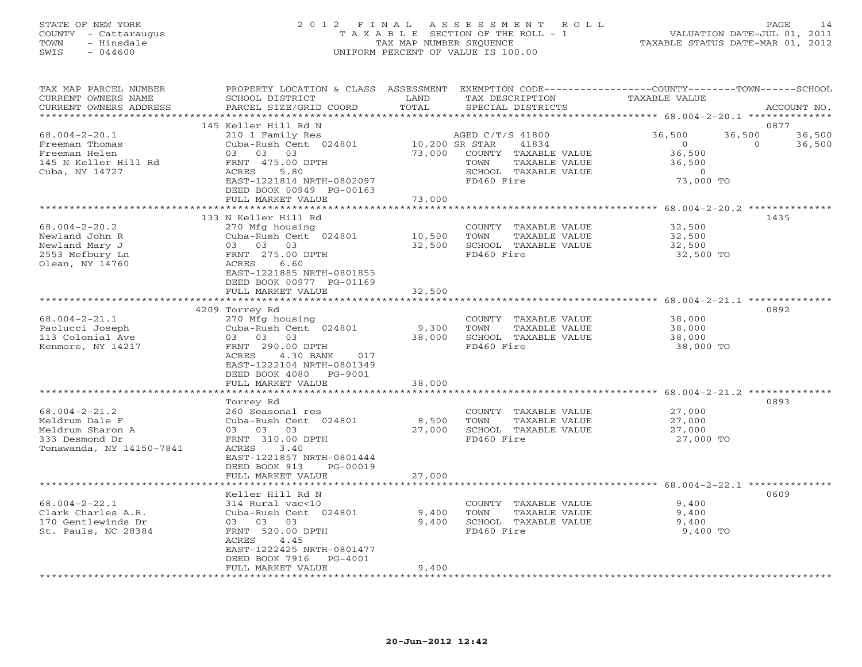## STATE OF NEW YORK 2 0 1 2 F I N A L A S S E S S M E N T R O L L PAGE 14 COUNTY - Cattaraugus T A X A B L E SECTION OF THE ROLL - 1 VALUATION DATE-JUL 01, 2011 TOWN - Hinsdale TAX MAP NUMBER SEQUENCE TAXABLE STATUS DATE-MAR 01, 2012 SWIS - 044600 UNIFORM PERCENT OF VALUE IS 100.00UNIFORM PERCENT OF VALUE IS 100.00

| TAX MAP PARCEL NUMBER<br>CURRENT OWNERS NAME<br>CURRENT OWNERS ADDRESS                                  | PROPERTY LOCATION & CLASS ASSESSMENT<br>SCHOOL DISTRICT<br>PARCEL SIZE/GRID COORD                                                                                            | LAND<br>TOTAL            | EXEMPTION CODE-----------------COUNTY-------TOWN------SCHOOL<br>TAX DESCRIPTION<br>SPECIAL DISTRICTS             | TAXABLE VALUE                                                                     | ACCOUNT NO.                          |
|---------------------------------------------------------------------------------------------------------|------------------------------------------------------------------------------------------------------------------------------------------------------------------------------|--------------------------|------------------------------------------------------------------------------------------------------------------|-----------------------------------------------------------------------------------|--------------------------------------|
| **********************                                                                                  |                                                                                                                                                                              |                          |                                                                                                                  |                                                                                   |                                      |
| $68.004 - 2 - 20.1$<br>Freeman Thomas<br>Freeman Helen<br>145 N Keller Hill Rd<br>Cuba, NY 14727        | 145 Keller Hill Rd N<br>210 1 Family Res<br>Cuba-Rush Cent 024801<br>03 03 03<br>FRNT 475.00 DPTH<br>ACRES<br>5.80<br>EAST-1221814 NRTH-0802097<br>DEED BOOK 00949 PG-00163  | 10,200 SR STAR<br>73,000 | AGED C/T/S 41800<br>41834<br>COUNTY TAXABLE VALUE<br>TOWN<br>TAXABLE VALUE<br>SCHOOL TAXABLE VALUE<br>FD460 Fire | 36,500<br>36,500<br>$\bigcirc$<br>36,500<br>36,500<br>$\overline{O}$<br>73,000 TO | 0877<br>36,500<br>$\Omega$<br>36,500 |
|                                                                                                         | FULL MARKET VALUE                                                                                                                                                            | 73,000                   |                                                                                                                  |                                                                                   |                                      |
|                                                                                                         |                                                                                                                                                                              | ********                 |                                                                                                                  | *************** 68.004-2-20.2 ***************                                     |                                      |
| $68.004 - 2 - 20.2$<br>Newland John R<br>Newland Mary J<br>2553 Mefbury Ln<br>Olean, NY 14760           | 133 N Keller Hill Rd<br>270 Mfg housing<br>Cuba-Rush Cent 024801<br>03 03 03<br>FRNT 275.00 DPTH<br>ACRES<br>6.60<br>EAST-1221885 NRTH-0801855                               | 10,500<br>32,500         | COUNTY TAXABLE VALUE<br>TOWN<br>TAXABLE VALUE<br>SCHOOL TAXABLE VALUE<br>FD460 Fire                              | 32,500<br>32,500<br>32,500<br>32,500 TO                                           | 1435                                 |
|                                                                                                         | DEED BOOK 00977 PG-01169<br>FULL MARKET VALUE                                                                                                                                | 32,500                   |                                                                                                                  |                                                                                   |                                      |
|                                                                                                         | 4209 Torrey Rd                                                                                                                                                               |                          |                                                                                                                  |                                                                                   | 0892                                 |
| $68.004 - 2 - 21.1$<br>Paolucci Joseph<br>113 Colonial Ave<br>Kenmore, NY 14217                         | 270 Mfg housing<br>Cuba-Rush Cent 024801<br>03 03 03<br>FRNT 290.00 DPTH<br>4.30 BANK<br>ACRES<br>017<br>EAST-1222104 NRTH-0801349<br>DEED BOOK 4080 PG-9001                 | 9,300<br>38,000          | COUNTY TAXABLE VALUE<br>TOWN<br>TAXABLE VALUE<br>SCHOOL TAXABLE VALUE<br>FD460 Fire                              | 38,000<br>38,000<br>38,000<br>38,000 TO                                           |                                      |
|                                                                                                         | FULL MARKET VALUE                                                                                                                                                            | 38,000                   |                                                                                                                  |                                                                                   |                                      |
|                                                                                                         | *******************                                                                                                                                                          |                          |                                                                                                                  |                                                                                   |                                      |
| $68.004 - 2 - 21.2$<br>Meldrum Dale F<br>Meldrum Sharon A<br>333 Desmond Dr<br>Tonawanda, NY 14150-7841 | Torrey Rd<br>260 Seasonal res<br>Cuba-Rush Cent 024801<br>03 03 03<br>FRNT 310.00 DPTH<br>ACRES<br>3.40<br>EAST-1221857 NRTH-0801444<br>DEED BOOK 913<br>PG-00019            | 8,500<br>27,000          | COUNTY TAXABLE VALUE<br>TOWN<br>TAXABLE VALUE<br>SCHOOL TAXABLE VALUE<br>FD460 Fire                              | 27,000<br>27,000<br>27,000<br>27,000 TO                                           | 0893                                 |
|                                                                                                         | FULL MARKET VALUE                                                                                                                                                            | 27,000                   |                                                                                                                  |                                                                                   |                                      |
|                                                                                                         | Keller Hill Rd N                                                                                                                                                             |                          |                                                                                                                  | ******************************** 68.004-2-22.1 *************                      | 0609                                 |
| $68.004 - 2 - 22.1$<br>Clark Charles A.R.<br>170 Gentlewinds Dr<br>St. Pauls, NC 28384                  | 314 Rural vac<10<br>Cuba-Rush Cent 024801<br>03<br>03 03<br>FRNT 520.00 DPTH<br>ACRES<br>4.45<br>EAST-1222425 NRTH-0801477<br>DEED BOOK 7916<br>PG-4001<br>FULL MARKET VALUE | 9,400<br>9,400<br>9,400  | COUNTY TAXABLE VALUE<br>TOWN<br>TAXABLE VALUE<br>SCHOOL TAXABLE VALUE<br>FD460 Fire                              | 9,400<br>9,400<br>9,400<br>9,400 TO                                               |                                      |
|                                                                                                         |                                                                                                                                                                              |                          |                                                                                                                  |                                                                                   |                                      |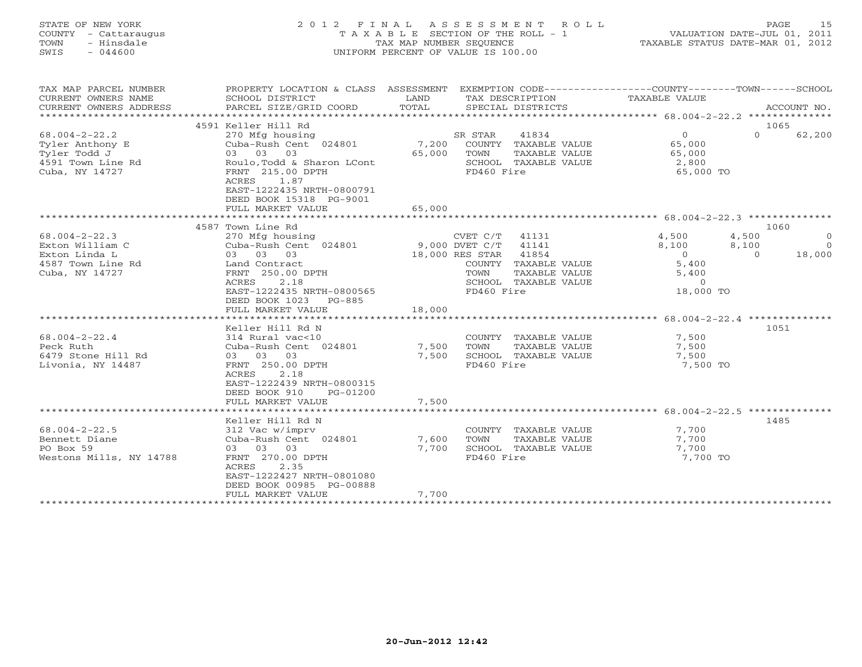## STATE OF NEW YORK 2 0 1 2 F I N A L A S S E S S M E N T R O L L PAGE 15 COUNTY - Cattaraugus T A X A B L E SECTION OF THE ROLL - 1 VALUATION DATE-JUL 01, 2011 TOWN - Hinsdale TAX MAP NUMBER SEQUENCE TAXABLE STATUS DATE-MAR 01, 2012 SWIS - 044600 UNIFORM PERCENT OF VALUE IS 100.00UNIFORM PERCENT OF VALUE IS 100.00

| TAX MAP PARCEL NUMBER<br>CURRENT OWNERS NAME<br>CURRENT OWNERS ADDRESS                                                                                                        | PROPERTY LOCATION & CLASS ASSESSMENT EXEMPTION CODE----------------COUNTY-------TOWN------SCHOOL<br>SCHOOL DISTRICT<br>PARCEL SIZE/GRID COORD                                                                                                                                                                                                                        | LAND<br>TOTAL                              |                                                                         | SPECIAL DISTRICTS                                                                                                                                         | TAX DESCRIPTION TAXABLE VALUE                                                                                      |                                    | ACCOUNT NO.                          |
|-------------------------------------------------------------------------------------------------------------------------------------------------------------------------------|----------------------------------------------------------------------------------------------------------------------------------------------------------------------------------------------------------------------------------------------------------------------------------------------------------------------------------------------------------------------|--------------------------------------------|-------------------------------------------------------------------------|-----------------------------------------------------------------------------------------------------------------------------------------------------------|--------------------------------------------------------------------------------------------------------------------|------------------------------------|--------------------------------------|
|                                                                                                                                                                               |                                                                                                                                                                                                                                                                                                                                                                      |                                            |                                                                         |                                                                                                                                                           |                                                                                                                    | 1065                               |                                      |
| $68.004 - 2 - 22.2$<br>Tyler Anthony E<br>Tyler Todd J<br>4591 Town Line Rd<br>Cuba, NY 14727                                                                                 | 4591 Keller Hill Rd<br>270 Mfg housing<br>Cuba-Rush Cent 024801 7,200<br>03 03 03<br>Roulo, Todd & Sharon LCont<br>FRNT 215.00 DPTH<br>1.87<br>ACRES                                                                                                                                                                                                                 | 65,000                                     | SR STAR<br>TOWN<br>FD460 Fire                                           | 41834<br>COUNTY TAXABLE VALUE<br>TAXABLE VALUE<br>SCHOOL TAXABLE VALUE                                                                                    | $\Omega$<br>65,000<br>65,000<br>2,800<br>65,000 TO                                                                 | $\Omega$                           | 62,200                               |
|                                                                                                                                                                               | EAST-1222435 NRTH-0800791<br>DEED BOOK 15318 PG-9001<br>FULL MARKET VALUE                                                                                                                                                                                                                                                                                            | 65,000                                     |                                                                         |                                                                                                                                                           |                                                                                                                    |                                    |                                      |
|                                                                                                                                                                               |                                                                                                                                                                                                                                                                                                                                                                      |                                            |                                                                         |                                                                                                                                                           |                                                                                                                    |                                    |                                      |
|                                                                                                                                                                               | 4587 Town Line Rd                                                                                                                                                                                                                                                                                                                                                    |                                            |                                                                         |                                                                                                                                                           |                                                                                                                    | 1060                               |                                      |
| $68.004 - 2 - 22.3$<br>Exton William C<br>Exton Linda L<br>4587 Town Line Rd<br>Cuba, NY 14727<br>$68.004 - 2 - 22.4$<br>Peck Ruth<br>6479 Stone Hill Rd<br>Livonia, NY 14487 | 270 Mfg housing<br>Cuba-Rush Cent 024801<br>03 03 03<br>Land Contract<br>FRNT 250.00 DPTH<br>2.18<br>ACRES<br>EAST-1222435 NRTH-0800565<br>DEED BOOK 1023<br>PG-885<br>FULL MARKET VALUE<br>Keller Hill Rd N<br>314 Rural vac<10<br>Cuba-Rush Cent 024801<br>03 03 03<br>FRNT 250.00 DPTH<br>2.18<br>ACRES<br>EAST-1222439 NRTH-0800315<br>DEED BOOK 910<br>PG-01200 | 9,000 DVET C/T<br>18,000<br>7,500<br>7,500 | CVET C/T<br>18,000 RES STAR<br>TOWN<br>FD460 Fire<br>TOWN<br>FD460 Fire | 41131<br>41141<br>41854<br>COUNTY TAXABLE VALUE<br>TAXABLE VALUE<br>SCHOOL TAXABLE VALUE<br>COUNTY TAXABLE VALUE<br>TAXABLE VALUE<br>SCHOOL TAXABLE VALUE | 4,500<br>8,100<br>$\overline{0}$<br>5,400<br>5,400<br>$\Omega$<br>18,000 TO<br>7,500<br>7,500<br>7,500<br>7,500 TO | 4,500<br>8,100<br>$\Omega$<br>1051 | $\overline{0}$<br>$\Omega$<br>18,000 |
|                                                                                                                                                                               | FULL MARKET VALUE                                                                                                                                                                                                                                                                                                                                                    | 7,500                                      |                                                                         |                                                                                                                                                           |                                                                                                                    |                                    |                                      |
|                                                                                                                                                                               |                                                                                                                                                                                                                                                                                                                                                                      |                                            |                                                                         |                                                                                                                                                           |                                                                                                                    |                                    |                                      |
|                                                                                                                                                                               | Keller Hill Rd N                                                                                                                                                                                                                                                                                                                                                     |                                            |                                                                         |                                                                                                                                                           |                                                                                                                    | 1485                               |                                      |
| $68.004 - 2 - 22.5$<br>Bennett Diane<br>PO Box 59<br>Westons Mills, NY 14788                                                                                                  | 312 Vac w/imprv<br>Cuba-Rush Cent 024801<br>03 03 03<br>FRNT 270.00 DPTH<br>2.35<br>ACRES<br>EAST-1222427 NRTH-0801080<br>DEED BOOK 00985 PG-00888<br>FULL MARKET VALUE                                                                                                                                                                                              | 7,600<br>7,700<br>7,700                    | TOWN<br>FD460 Fire                                                      | COUNTY TAXABLE VALUE<br>TAXABLE VALUE<br>SCHOOL TAXABLE VALUE                                                                                             | 7,700<br>7,700<br>7,700<br>7,700 TO                                                                                |                                    |                                      |
|                                                                                                                                                                               | ***********************                                                                                                                                                                                                                                                                                                                                              |                                            |                                                                         |                                                                                                                                                           |                                                                                                                    |                                    |                                      |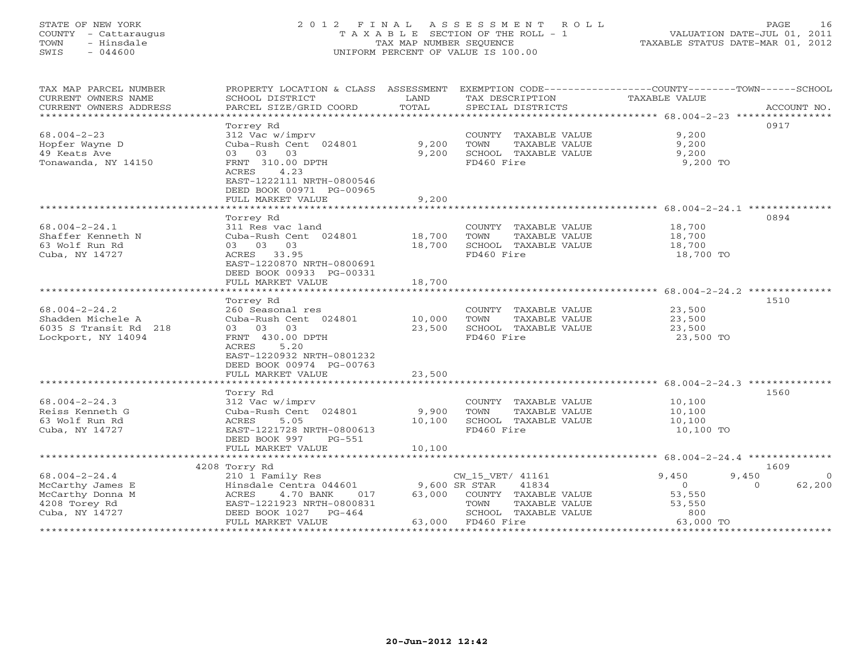## STATE OF NEW YORK 2 0 1 2 F I N A L A S S E S S M E N T R O L L PAGE 16 COUNTY - Cattaraugus T A X A B L E SECTION OF THE ROLL - 1 VALUATION DATE-JUL 01, 2011 TOWN - Hinsdale TAX MAP NUMBER SEQUENCE TAXABLE STATUS DATE-MAR 01, 2012 SWIS - 044600 UNIFORM PERCENT OF VALUE IS 100.00UNIFORM PERCENT OF VALUE IS 100.00

| TAX MAP PARCEL NUMBER<br>CURRENT OWNERS NAME<br>CURRENT OWNERS ADDRESS     | PROPERTY LOCATION & CLASS ASSESSMENT EXEMPTION CODE---------------COUNTY-------TOWN------SCHOOL<br>SCHOOL DISTRICT<br>PARCEL SIZE/GRID COORD | LAND<br>TOTAL  | TAX DESCRIPTION<br>SPECIAL DISTRICTS                                                | TAXABLE VALUE                                                     | ACCOUNT NO.                        |
|----------------------------------------------------------------------------|----------------------------------------------------------------------------------------------------------------------------------------------|----------------|-------------------------------------------------------------------------------------|-------------------------------------------------------------------|------------------------------------|
| $68.004 - 2 - 23$<br>Hopfer Wayne D<br>49 Keats Ave<br>Tonawanda, NY 14150 | Torrey Rd<br>312 Vac w/imprv<br>Cuba-Rush Cent 024801<br>03 03 03<br>FRNT 310.00 DPTH<br>ACRES<br>4.23<br>EAST-1222111 NRTH-0800546          | 9,200<br>9,200 | COUNTY TAXABLE VALUE<br>TOWN<br>TAXABLE VALUE<br>SCHOOL TAXABLE VALUE<br>FD460 Fire | 9,200<br>9,200<br>9,200<br>9,200 TO                               | 0917                               |
|                                                                            | DEED BOOK 00971 PG-00965<br>FULL MARKET VALUE                                                                                                | 9,200          |                                                                                     |                                                                   |                                    |
|                                                                            | ************************                                                                                                                     | ************   |                                                                                     | ************************************ 68.004-2-24.1 ************** |                                    |
| $68.004 - 2 - 24.1$                                                        | Torrey Rd<br>311 Res vac land                                                                                                                |                | COUNTY TAXABLE VALUE                                                                | 18,700                                                            | 0894                               |
| Shaffer Kenneth N                                                          | Cuba-Rush Cent 024801                                                                                                                        | 18,700         | TOWN<br>TAXABLE VALUE                                                               | 18,700                                                            |                                    |
| 63 Wolf Run Rd                                                             | 03 03 03                                                                                                                                     | 18,700         | SCHOOL TAXABLE VALUE                                                                | 18,700                                                            |                                    |
| Cuba, NY 14727                                                             | ACRES 33.95<br>EAST-1220870 NRTH-0800691<br>DEED BOOK 00933 PG-00331                                                                         |                | FD460 Fire                                                                          | 18,700 TO                                                         |                                    |
|                                                                            | FULL MARKET VALUE                                                                                                                            | 18,700         |                                                                                     |                                                                   |                                    |
|                                                                            |                                                                                                                                              |                |                                                                                     |                                                                   |                                    |
|                                                                            | Torrey Rd                                                                                                                                    |                |                                                                                     |                                                                   | 1510                               |
| $68.004 - 2 - 24.2$                                                        | 260 Seasonal res                                                                                                                             |                | COUNTY TAXABLE VALUE                                                                | 23,500                                                            |                                    |
| Shadden Michele A                                                          | Cuba-Rush Cent 024801                                                                                                                        | 10,000         | TOWN<br>TAXABLE VALUE                                                               | 23,500                                                            |                                    |
| 6035 S Transit Rd 218                                                      | 03 03 03                                                                                                                                     | 23,500         | SCHOOL TAXABLE VALUE                                                                | 23,500                                                            |                                    |
| Lockport, NY 14094                                                         | FRNT 430.00 DPTH<br>ACRES<br>5.20<br>EAST-1220932 NRTH-0801232<br>DEED BOOK 00974 PG-00763                                                   |                | FD460 Fire                                                                          | 23,500 TO                                                         |                                    |
|                                                                            | FULL MARKET VALUE                                                                                                                            | 23,500         |                                                                                     |                                                                   |                                    |
|                                                                            |                                                                                                                                              |                |                                                                                     |                                                                   | 1560                               |
| $68.004 - 2 - 24.3$                                                        | Torry Rd<br>312 Vac w/imprv                                                                                                                  |                | COUNTY TAXABLE VALUE                                                                | 10,100                                                            |                                    |
| Reiss Kenneth G                                                            | Cuba-Rush Cent 024801                                                                                                                        | 9,900          | TAXABLE VALUE<br>TOWN                                                               | 10,100                                                            |                                    |
| 63 Wolf Run Rd                                                             | 5.05<br>ACRES                                                                                                                                | 10,100         | SCHOOL TAXABLE VALUE                                                                | 10,100                                                            |                                    |
| Cuba, NY 14727                                                             | EAST-1221728 NRTH-0800613<br>DEED BOOK 997 PG-551                                                                                            |                | FD460 Fire                                                                          | 10,100 TO                                                         |                                    |
|                                                                            | FULL MARKET VALUE                                                                                                                            | 10,100         |                                                                                     |                                                                   |                                    |
|                                                                            |                                                                                                                                              |                |                                                                                     |                                                                   |                                    |
|                                                                            | 4208 Torry Rd                                                                                                                                |                |                                                                                     |                                                                   | 1609                               |
| $68.004 - 2 - 24.4$                                                        | 210 1 Family Res                                                                                                                             | 9,600 SR STAR  | CW_15_VET/ 41161<br>41834                                                           | 9,450<br>$\circ$                                                  | 9,450<br>- 0<br>62,200<br>$\Omega$ |
| McCarthy James E<br>McCarthy Donna M                                       | Hinsdale Centra 044601<br>ACRES<br>4.70 BANK<br>017                                                                                          | 63,000         | COUNTY TAXABLE VALUE                                                                | 53,550                                                            |                                    |
| 4208 Torey Rd                                                              | EAST-1221923 NRTH-0800831                                                                                                                    |                | TOWN<br>TAXABLE VALUE                                                               | 53,550                                                            |                                    |
| Cuba, NY 14727                                                             | DEED BOOK 1027 PG-464                                                                                                                        |                | SCHOOL TAXABLE VALUE                                                                | 800                                                               |                                    |
|                                                                            | FULL MARKET VALUE                                                                                                                            |                | 63,000 FD460 Fire                                                                   | 63,000 TO                                                         |                                    |
|                                                                            |                                                                                                                                              |                |                                                                                     |                                                                   |                                    |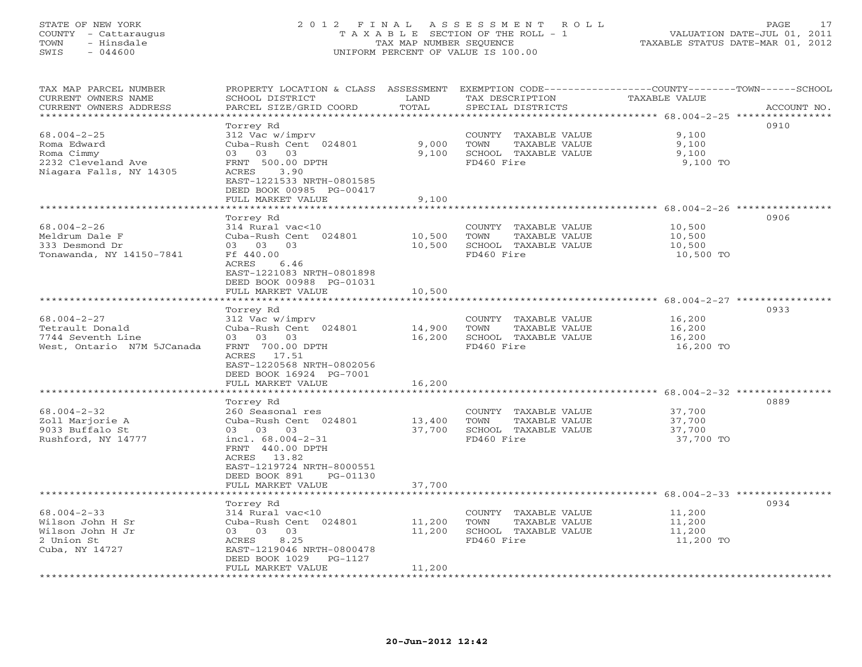## STATE OF NEW YORK 2 0 1 2 F I N A L A S S E S S M E N T R O L L PAGE 17 COUNTY - Cattaraugus T A X A B L E SECTION OF THE ROLL - 1 VALUATION DATE-JUL 01, 2011 TOWN - Hinsdale TAX MAP NUMBER SEQUENCE TAXABLE STATUS DATE-MAR 01, 2012 SWIS - 044600 UNIFORM PERCENT OF VALUE IS 100.00UNIFORM PERCENT OF VALUE IS 100.00

| TAX MAP PARCEL NUMBER<br>CURRENT OWNERS NAME<br>CURRENT OWNERS ADDRESS | PROPERTY LOCATION & CLASS ASSESSMENT EXEMPTION CODE---------------COUNTY-------TOWN------SCHOOL<br>SCHOOL DISTRICT<br>PARCEL SIZE/GRID COORD | LAND<br>TOTAL | TAX DESCRIPTION<br>SPECIAL DISTRICTS               | <b>TAXABLE VALUE</b>             | ACCOUNT NO. |
|------------------------------------------------------------------------|----------------------------------------------------------------------------------------------------------------------------------------------|---------------|----------------------------------------------------|----------------------------------|-------------|
|                                                                        |                                                                                                                                              | **********    | ********************************* 68.004-2-25 **** |                                  |             |
|                                                                        | Torrey Rd                                                                                                                                    |               |                                                    |                                  | 0910        |
| $68.004 - 2 - 25$                                                      | 312 Vac w/imprv                                                                                                                              |               | COUNTY TAXABLE VALUE                               | 9,100                            |             |
| Roma Edward                                                            | Cuba-Rush Cent 024801                                                                                                                        | 9,000         | TOWN<br>TAXABLE VALUE                              | 9,100                            |             |
| Roma Cimmy                                                             | 03 03 03                                                                                                                                     | 9,100         | SCHOOL TAXABLE VALUE                               | 9,100                            |             |
| 2232 Cleveland Ave                                                     | FRNT 500.00 DPTH                                                                                                                             |               | FD460 Fire                                         | 9,100 TO                         |             |
| Niagara Falls, NY 14305                                                | 3.90<br>ACRES                                                                                                                                |               |                                                    |                                  |             |
|                                                                        | EAST-1221533 NRTH-0801585                                                                                                                    |               |                                                    |                                  |             |
|                                                                        | DEED BOOK 00985 PG-00417                                                                                                                     |               |                                                    |                                  |             |
|                                                                        | FULL MARKET VALUE                                                                                                                            | 9,100         |                                                    |                                  |             |
|                                                                        | *******************                                                                                                                          |               |                                                    |                                  |             |
|                                                                        | Torrey Rd                                                                                                                                    |               |                                                    |                                  | 0906        |
| $68.004 - 2 - 26$                                                      | 314 Rural vac<10                                                                                                                             |               | COUNTY TAXABLE VALUE                               | 10,500                           |             |
| Meldrum Dale F                                                         | Cuba-Rush Cent 024801                                                                                                                        | 10,500        | TAXABLE VALUE<br>TOWN                              | 10,500                           |             |
| 333 Desmond Dr                                                         | 03 03 03                                                                                                                                     | 10,500        | SCHOOL TAXABLE VALUE                               | 10,500                           |             |
| Tonawanda, NY 14150-7841                                               | Ff 440.00                                                                                                                                    |               | FD460 Fire                                         | 10,500 TO                        |             |
|                                                                        | ACRES<br>6.46                                                                                                                                |               |                                                    |                                  |             |
|                                                                        | EAST-1221083 NRTH-0801898                                                                                                                    |               |                                                    |                                  |             |
|                                                                        | DEED BOOK 00988 PG-01031                                                                                                                     |               |                                                    |                                  |             |
|                                                                        | FULL MARKET VALUE                                                                                                                            | 10,500        |                                                    |                                  |             |
|                                                                        |                                                                                                                                              |               |                                                    |                                  |             |
|                                                                        | Torrey Rd                                                                                                                                    |               |                                                    |                                  | 0933        |
| $68.004 - 2 - 27$                                                      | 312 Vac w/imprv                                                                                                                              |               | COUNTY TAXABLE VALUE                               | 16,200                           |             |
| Tetrault Donald                                                        | Cuba-Rush Cent 024801                                                                                                                        | 14,900        | TOWN<br>TAXABLE VALUE                              | 16,200                           |             |
| 7744 Seventh Line                                                      | 03 03 03                                                                                                                                     | 16,200        | SCHOOL TAXABLE VALUE                               | 16,200                           |             |
| West, Ontario N7M 5JCanada                                             | FRNT 700.00 DPTH                                                                                                                             |               | FD460 Fire                                         | 16,200 TO                        |             |
|                                                                        | ACRES 17.51                                                                                                                                  |               |                                                    |                                  |             |
|                                                                        | EAST-1220568 NRTH-0802056                                                                                                                    |               |                                                    |                                  |             |
|                                                                        |                                                                                                                                              |               |                                                    |                                  |             |
|                                                                        | DEED BOOK 16924 PG-7001<br>FULL MARKET VALUE                                                                                                 | 16,200        |                                                    |                                  |             |
|                                                                        | *******************                                                                                                                          |               |                                                    |                                  |             |
|                                                                        |                                                                                                                                              |               |                                                    |                                  | 0889        |
|                                                                        | Torrey Rd                                                                                                                                    |               |                                                    |                                  |             |
| $68.004 - 2 - 32$                                                      | 260 Seasonal res                                                                                                                             |               | COUNTY TAXABLE VALUE                               | 37,700                           |             |
| Zoll Marjorie A                                                        | Cuba-Rush Cent 024801                                                                                                                        | 13,400        | TOWN<br>TAXABLE VALUE                              | 37,700                           |             |
| 9033 Buffalo St                                                        | 03 03 03                                                                                                                                     | 37,700        | SCHOOL TAXABLE VALUE                               | 37,700                           |             |
| Rushford, NY 14777                                                     | incl. $68.004 - 2 - 31$                                                                                                                      |               | FD460 Fire                                         | 37,700 TO                        |             |
|                                                                        | FRNT 440.00 DPTH                                                                                                                             |               |                                                    |                                  |             |
|                                                                        | ACRES 13.82                                                                                                                                  |               |                                                    |                                  |             |
|                                                                        | EAST-1219724 NRTH-8000551                                                                                                                    |               |                                                    |                                  |             |
|                                                                        | DEED BOOK 891<br>PG-01130                                                                                                                    |               |                                                    |                                  |             |
|                                                                        | FULL MARKET VALUE                                                                                                                            | 37,700        |                                                    |                                  |             |
|                                                                        |                                                                                                                                              |               |                                                    | ********** 68.004-2-33 ********* |             |
|                                                                        | Torrey Rd                                                                                                                                    |               |                                                    |                                  | 0934        |
| $68.004 - 2 - 33$                                                      | 314 Rural vac<10                                                                                                                             |               | COUNTY TAXABLE VALUE                               | 11,200                           |             |
| Wilson John H Sr                                                       | Cuba-Rush Cent 024801                                                                                                                        | 11,200        | TAXABLE VALUE<br>TOWN                              | 11,200                           |             |
| Wilson John H Jr                                                       | 03 03 03                                                                                                                                     | 11,200        | SCHOOL TAXABLE VALUE                               | 11,200                           |             |
| 2 Union St                                                             | 8.25<br>ACRES                                                                                                                                |               | FD460 Fire                                         | 11,200 TO                        |             |
| Cuba, NY 14727                                                         | EAST-1219046 NRTH-0800478                                                                                                                    |               |                                                    |                                  |             |
|                                                                        | DEED BOOK 1029<br>PG-1127                                                                                                                    |               |                                                    |                                  |             |
| ************************                                               | FULL MARKET VALUE                                                                                                                            | 11,200        |                                                    |                                  |             |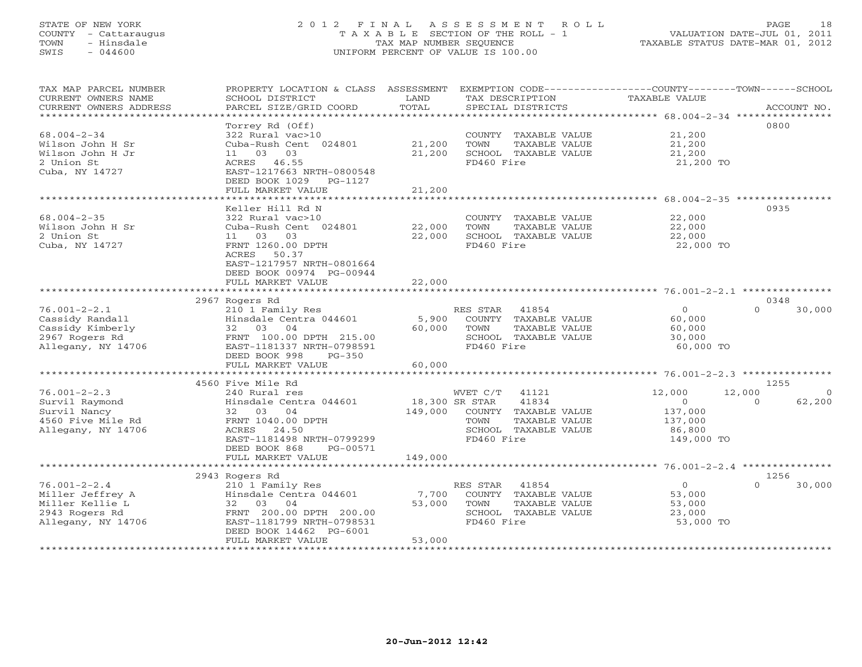## STATE OF NEW YORK 2 0 1 2 F I N A L A S S E S S M E N T R O L L PAGE 18 COUNTY - Cattaraugus T A X A B L E SECTION OF THE ROLL - 1 VALUATION DATE-JUL 01, 2011 TOWN - Hinsdale TAX MAP NUMBER SEQUENCE TAXABLE STATUS DATE-MAR 01, 2012 SWIS - 044600 UNIFORM PERCENT OF VALUE IS 100.00UNIFORM PERCENT OF VALUE IS 100.00

| TAX MAP PARCEL NUMBER<br>CURRENT OWNERS NAME<br>CURRENT OWNERS ADDRESS | PROPERTY LOCATION & CLASS ASSESSMENT EXEMPTION CODE----------------COUNTY-------TOWN------SCHOOL<br>SCHOOL DISTRICT<br>PARCEL SIZE/GRID COORD | LAND<br>TOTAL   | TAX DESCRIPTION<br>SPECIAL DISTRICTS | TAXABLE VALUE  | ACCOUNT NO.        |
|------------------------------------------------------------------------|-----------------------------------------------------------------------------------------------------------------------------------------------|-----------------|--------------------------------------|----------------|--------------------|
| ************************                                               |                                                                                                                                               |                 |                                      |                |                    |
|                                                                        | Torrey Rd (Off)                                                                                                                               |                 |                                      |                | 0800               |
| $68.004 - 2 - 34$                                                      | 322 Rural vac>10                                                                                                                              |                 | COUNTY TAXABLE VALUE                 | 21,200         |                    |
| Wilson John H Sr                                                       | Cuba-Rush Cent 024801                                                                                                                         | 21,200          | TOWN<br>TAXABLE VALUE                | 21,200         |                    |
| Wilson John H Jr                                                       | 11 03 03                                                                                                                                      | 21,200          | SCHOOL TAXABLE VALUE                 | 21,200         |                    |
| 2 Union St                                                             | ACRES 46.55                                                                                                                                   |                 | FD460 Fire                           | 21,200 TO      |                    |
| Cuba, NY 14727                                                         | EAST-1217663 NRTH-0800548                                                                                                                     |                 |                                      |                |                    |
|                                                                        | DEED BOOK 1029<br>PG-1127                                                                                                                     |                 |                                      |                |                    |
|                                                                        | FULL MARKET VALUE                                                                                                                             | 21,200          |                                      |                |                    |
|                                                                        | ******************                                                                                                                            | *************** |                                      |                |                    |
|                                                                        | Keller Hill Rd N                                                                                                                              |                 |                                      |                | 0935               |
| $68.004 - 2 - 35$                                                      | 322 Rural vac>10                                                                                                                              |                 | COUNTY TAXABLE VALUE                 | 22,000         |                    |
| Wilson John H Sr                                                       | Cuba-Rush Cent 024801                                                                                                                         | 22,000          | TOWN<br>TAXABLE VALUE                | 22,000         |                    |
| 2 Union St                                                             | 11 03<br>03                                                                                                                                   | 22,000          | SCHOOL TAXABLE VALUE                 | 22,000         |                    |
| Cuba, NY 14727                                                         | FRNT 1260.00 DPTH                                                                                                                             |                 | FD460 Fire                           | 22,000 TO      |                    |
|                                                                        | ACRES 50.37                                                                                                                                   |                 |                                      |                |                    |
|                                                                        | EAST-1217957 NRTH-0801664                                                                                                                     |                 |                                      |                |                    |
|                                                                        | DEED BOOK 00974 PG-00944                                                                                                                      |                 |                                      |                |                    |
|                                                                        | FULL MARKET VALUE                                                                                                                             | 22,000          |                                      |                |                    |
|                                                                        |                                                                                                                                               |                 |                                      |                |                    |
|                                                                        | 2967 Rogers Rd                                                                                                                                |                 |                                      |                | 0348               |
| $76.001 - 2 - 2.1$                                                     | 210 1 Family Res                                                                                                                              |                 | RES STAR 41854                       | $\circ$        | 30,000<br>$\Omega$ |
| Cassidy Randall                                                        | Hinsdale Centra 044601                                                                                                                        | 5,900           | COUNTY TAXABLE VALUE                 | 60,000         |                    |
| Cassidy Kimberly                                                       | 32 03 04                                                                                                                                      | 60,000          | TAXABLE VALUE<br>TOWN                | 60,000         |                    |
| 2967 Rogers Rd                                                         | FRNT 100.00 DPTH 215.00                                                                                                                       |                 | SCHOOL TAXABLE VALUE                 | 30,000         |                    |
| Allegany, NY 14706                                                     | EAST-1181337 NRTH-0798591                                                                                                                     |                 | FD460 Fire                           | 60,000 TO      |                    |
|                                                                        | DEED BOOK 998<br>$PG-350$                                                                                                                     |                 |                                      |                |                    |
|                                                                        | FULL MARKET VALUE                                                                                                                             | 60,000          |                                      |                |                    |
|                                                                        | 4560 Five Mile Rd                                                                                                                             |                 |                                      |                | 1255               |
| $76.001 - 2 - 2.3$                                                     | 240 Rural res                                                                                                                                 |                 | WVET C/T<br>41121                    | 12,000         | 12,000<br>$\circ$  |
| Survil Raymond                                                         | Hinsdale Centra 044601                                                                                                                        | 18,300 SR STAR  | 41834                                | $\Omega$       | 62,200<br>$\Omega$ |
| Survil Nancy                                                           | 04<br>32 03                                                                                                                                   | 149,000         | COUNTY TAXABLE VALUE                 | 137,000        |                    |
| 4560 Five Mile Rd                                                      | FRNT 1040.00 DPTH                                                                                                                             |                 | TAXABLE VALUE<br>TOWN                | 137,000        |                    |
| Allegany, NY 14706                                                     | 24.50<br>ACRES                                                                                                                                |                 | SCHOOL TAXABLE VALUE                 | 86,800         |                    |
|                                                                        | EAST-1181498 NRTH-0799299                                                                                                                     |                 | FD460 Fire                           | 149,000 TO     |                    |
|                                                                        | DEED BOOK 868<br>PG-00571                                                                                                                     |                 |                                      |                |                    |
|                                                                        | FULL MARKET VALUE                                                                                                                             | 149,000         |                                      |                |                    |
|                                                                        |                                                                                                                                               | *************   |                                      |                |                    |
|                                                                        | 2943 Rogers Rd                                                                                                                                |                 |                                      |                | 1256               |
| $76.001 - 2 - 2.4$                                                     | 210 1 Family Res                                                                                                                              |                 | RES STAR<br>41854                    | $\overline{0}$ | 30,000<br>$\Omega$ |
| Miller Jeffrey A                                                       | Hinsdale Centra 044601                                                                                                                        | 7,700           | COUNTY TAXABLE VALUE                 | 53,000         |                    |
| Miller Kellie L                                                        | 32 03<br>04                                                                                                                                   | 53,000          | TOWN<br>TAXABLE VALUE                | 53,000         |                    |
| 2943 Rogers Rd                                                         | FRNT 200.00 DPTH 200.00                                                                                                                       |                 | SCHOOL TAXABLE VALUE                 | 23,000         |                    |
| Allegany, NY 14706                                                     | EAST-1181799 NRTH-0798531                                                                                                                     |                 | FD460 Fire                           | 53,000 TO      |                    |
|                                                                        | DEED BOOK 14462 PG-6001                                                                                                                       |                 |                                      |                |                    |
|                                                                        | FULL MARKET VALUE                                                                                                                             | 53,000          |                                      |                |                    |
|                                                                        |                                                                                                                                               |                 |                                      |                |                    |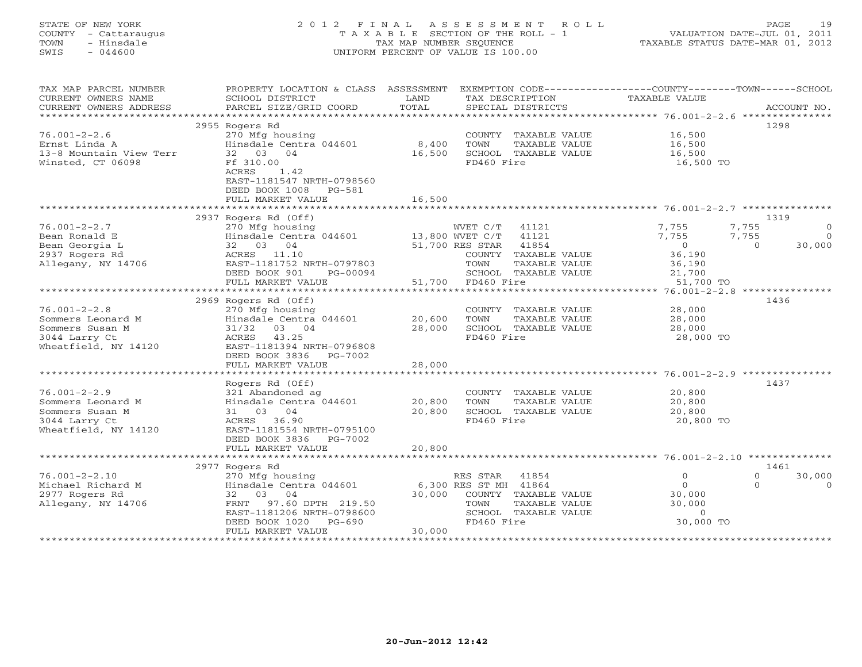## STATE OF NEW YORK 2 0 1 2 F I N A L A S S E S S M E N T R O L L PAGE 19 COUNTY - Cattaraugus T A X A B L E SECTION OF THE ROLL - 1 VALUATION DATE-JUL 01, 2011 TOWN - Hinsdale TAX MAP NUMBER SEQUENCE TAXABLE STATUS DATE-MAR 01, 2012 SWIS - 044600 UNIFORM PERCENT OF VALUE IS 100.00UNIFORM PERCENT OF VALUE IS 100.00

| TAX MAP PARCEL NUMBER<br>CURRENT OWNERS NAME<br>CURRENT OWNERS ADDRESS                              | PROPERTY LOCATION & CLASS ASSESSMENT<br>SCHOOL DISTRICT<br>PARCEL SIZE/GRID COORD                                                                                                       | LAND<br>TOTAL                        | EXEMPTION CODE-----------------COUNTY-------TOWN------SCHOOL<br>TAX DESCRIPTION<br>SPECIAL DISTRICTS                                          | <b>TAXABLE VALUE</b>                                                                          | ACCOUNT NO.                                        |
|-----------------------------------------------------------------------------------------------------|-----------------------------------------------------------------------------------------------------------------------------------------------------------------------------------------|--------------------------------------|-----------------------------------------------------------------------------------------------------------------------------------------------|-----------------------------------------------------------------------------------------------|----------------------------------------------------|
| ***********************                                                                             |                                                                                                                                                                                         |                                      |                                                                                                                                               |                                                                                               |                                                    |
|                                                                                                     | 2955 Rogers Rd                                                                                                                                                                          |                                      |                                                                                                                                               |                                                                                               | 1298                                               |
| $76.001 - 2 - 2.6$<br>Ernst Linda A<br>13-8 Mountain View Terr<br>Winsted, CT 06098                 | 270 Mfg housing<br>Hinsdale Centra 044601<br>32 03 04<br>Ff 310.00<br>1.42<br>ACRES<br>EAST-1181547 NRTH-0798560                                                                        | 8,400<br>16,500                      | COUNTY TAXABLE VALUE<br>TOWN<br>TAXABLE VALUE<br>SCHOOL TAXABLE VALUE<br>FD460 Fire                                                           | 16,500<br>16,500<br>16,500<br>16,500 TO                                                       |                                                    |
|                                                                                                     | DEED BOOK 1008<br>PG-581                                                                                                                                                                |                                      |                                                                                                                                               |                                                                                               |                                                    |
|                                                                                                     | FULL MARKET VALUE                                                                                                                                                                       | 16,500                               |                                                                                                                                               |                                                                                               |                                                    |
|                                                                                                     | 2937 Rogers Rd (Off)                                                                                                                                                                    |                                      |                                                                                                                                               |                                                                                               | 1319                                               |
| $76.001 - 2 - 2.7$<br>Bean Ronald E<br>Bean Georgia L<br>2937 Rogers Rd<br>Allegany, NY 14706       | 270 Mfg housing<br>Hinsdale Centra 044601<br>32 03 04<br>ACRES 11.10<br>EAST-1181752 NRTH-0797803<br>DEED BOOK 901<br>PG-00094<br>FULL MARKET VALUE                                     | 13,800 WVET C/T<br>51,700            | 41121<br>WVET C/T<br>41121<br>41854<br>51,700 RES STAR<br>COUNTY TAXABLE VALUE<br>TOWN<br>TAXABLE VALUE<br>SCHOOL TAXABLE VALUE<br>FD460 Fire | 7,755<br>7,755<br>7,755<br>7,755<br>$\overline{0}$<br>36,190<br>36,190<br>21,700<br>51,700 TO | $\Omega$<br>$\Omega$<br>30,000<br>$\Omega$         |
|                                                                                                     | ************************                                                                                                                                                                |                                      |                                                                                                                                               |                                                                                               |                                                    |
| $76.001 - 2 - 2.8$<br>Sommers Leonard M<br>Sommers Susan M<br>3044 Larry Ct<br>Wheatfield, NY 14120 | 2969 Rogers Rd (Off)<br>270 Mfg housing<br>Hinsdale Centra 044601<br>31/32<br>03 04<br>ACRES<br>43.25<br>EAST-1181394 NRTH-0796808<br>DEED BOOK 3836<br>PG-7002                         | 20,600<br>28,000                     | COUNTY TAXABLE VALUE<br>TOWN<br>TAXABLE VALUE<br>SCHOOL TAXABLE VALUE<br>FD460 Fire                                                           | 28,000<br>28,000<br>28,000<br>28,000 TO                                                       | 1436                                               |
|                                                                                                     | FULL MARKET VALUE                                                                                                                                                                       | 28,000                               |                                                                                                                                               |                                                                                               |                                                    |
| $76.001 - 2 - 2.9$<br>Sommers Leonard M<br>Sommers Susan M<br>3044 Larry Ct<br>Wheatfield, NY 14120 | ****************************<br>Rogers Rd (Off)<br>321 Abandoned ag<br>Hinsdale Centra 044601<br>31 03 04<br>ACRES 36.90<br>EAST-1181554 NRTH-0795100<br>DEED BOOK 3836 PG-7002         | ****************<br>20,800<br>20,800 | COUNTY TAXABLE VALUE<br>TOWN<br>TAXABLE VALUE<br>SCHOOL TAXABLE VALUE<br>FD460 Fire                                                           | 20,800<br>20,800<br>20,800<br>20,800 TO                                                       | 1437                                               |
|                                                                                                     | FULL MARKET VALUE                                                                                                                                                                       | 20,800                               |                                                                                                                                               |                                                                                               |                                                    |
|                                                                                                     | *********************                                                                                                                                                                   |                                      |                                                                                                                                               |                                                                                               |                                                    |
| $76.001 - 2 - 2.10$<br>Michael Richard M<br>2977 Rogers Rd<br>Allegany, NY 14706                    | 2977 Rogers Rd<br>270 Mfg housing<br>Hinsdale Centra 044601<br>32 03<br>04<br>97.60 DPTH 219.50<br>FRNT<br>EAST-1181206 NRTH-0798600<br>DEED BOOK 1020<br>$PG-690$<br>FULL MARKET VALUE | 30,000<br>30,000                     | 41854<br>RES STAR<br>6,300 RES ST MH 41864<br>COUNTY TAXABLE VALUE<br>TOWN<br>TAXABLE VALUE<br>SCHOOL TAXABLE VALUE<br>FD460 Fire             | $\circ$<br>$\circ$<br>30,000<br>30,000<br>$\circ$<br>30,000 TO                                | 1461<br>$\Omega$<br>30,000<br>$\Omega$<br>$\Omega$ |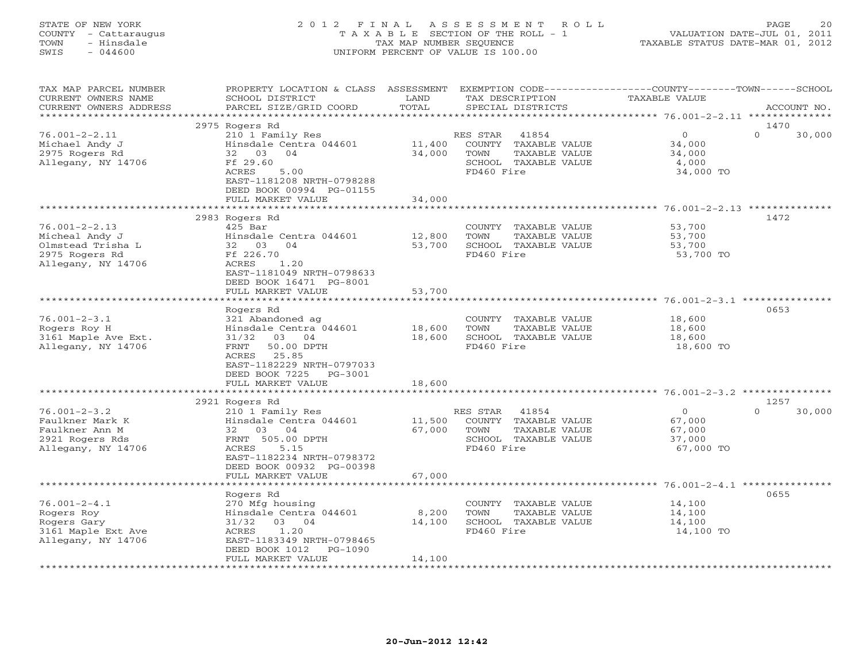| STATE OF NEW YORK<br>- Cattaraugus<br>COUNTY<br>- Hinsdale<br>TOWN<br>SWIS<br>$-044600$ | 2012 FINAL ASSESSMENT ROLL                   | T A X A B L E SECTION OF THE ROLL - 1<br>TAX MAP NUMBER SEQUENCE<br>UNIFORM PERCENT OF VALUE IS 100.00 |                                     |                   | VALUATION DATE-JUL 01, 2011<br>TAXABLE STATUS DATE-MAR 01, 2012 | PAGE           | 20          |
|-----------------------------------------------------------------------------------------|----------------------------------------------|--------------------------------------------------------------------------------------------------------|-------------------------------------|-------------------|-----------------------------------------------------------------|----------------|-------------|
| TAX MAP PARCEL NUMBER<br>CURRENT OWNERS NAME                                            | PROPERTY LOCATION & CLASS<br>SCHOOL DISTRICT | ASSESSMENT<br>LAND                                                                                     | EXEMPTION CODE--<br>TAX DESCRIPTION |                   | $-COIJNTY---$<br>TAXABLE VALUE                                  | $-$ TOWN $-$   | - SCHOOL    |
| CURRENT OWNERS ADDRESS                                                                  | PARCEL SIZE/GRID COORD                       | TOTAL                                                                                                  |                                     | SPECIAL DISTRICTS |                                                                 | ************** | ACCOUNT NO. |
|                                                                                         | 2975 Rogers Rd                               |                                                                                                        |                                     |                   |                                                                 | 1470           |             |
| 76.001-2-2.11                                                                           | 210 1 Family Res                             |                                                                                                        | RES STAR                            | 41854             |                                                                 |                | 30,000      |

| Michael Andy J<br>2975 Rogers Rd | Hinsdale Centra 044601<br>32 03<br>04 | 11,400<br>34,000 | TOWN       | COUNTY TAXABLE VALUE<br>TAXABLE VALUE | 34,000<br>34,000                                       |                    |
|----------------------------------|---------------------------------------|------------------|------------|---------------------------------------|--------------------------------------------------------|--------------------|
| Allegany, NY 14706               | Ff 29.60                              |                  |            | SCHOOL TAXABLE VALUE                  | 4,000                                                  |                    |
|                                  | ACRES<br>5.00                         |                  | FD460 Fire |                                       | 34,000 TO                                              |                    |
|                                  | EAST-1181208 NRTH-0798288             |                  |            |                                       |                                                        |                    |
|                                  | DEED BOOK 00994 PG-01155              |                  |            |                                       |                                                        |                    |
|                                  | FULL MARKET VALUE                     | 34,000           |            |                                       |                                                        |                    |
|                                  | *************************             |                  |            |                                       | ************************* 76.001-2-2.13 ************** |                    |
|                                  | 2983 Rogers Rd                        |                  |            |                                       |                                                        | 1472               |
| $76.001 - 2 - 2.13$              | $425$ Bar                             |                  | COUNTY     | TAXABLE VALUE                         | 53,700                                                 |                    |
| Micheal Andy J                   | Hinsdale Centra 044601                | 12,800           | TOWN       | TAXABLE VALUE                         | 53,700                                                 |                    |
| Olmstead Trisha L                | 32 03<br>04                           | 53,700           |            | SCHOOL TAXABLE VALUE                  | 53,700                                                 |                    |
| 2975 Rogers Rd                   | Ff 226.70                             |                  | FD460 Fire |                                       | 53,700 TO                                              |                    |
| Allegany, NY 14706               | <b>ACRES</b><br>1.20                  |                  |            |                                       |                                                        |                    |
|                                  | EAST-1181049 NRTH-0798633             |                  |            |                                       |                                                        |                    |
|                                  | DEED BOOK 16471 PG-8001               |                  |            |                                       |                                                        |                    |
|                                  | FULL MARKET VALUE                     | 53,700           |            |                                       |                                                        |                    |
|                                  |                                       |                  |            |                                       |                                                        |                    |
|                                  | Rogers Rd                             |                  |            |                                       |                                                        | 0653               |
| $76.001 - 2 - 3.1$               | 321 Abandoned ag                      |                  |            | COUNTY TAXABLE VALUE                  | 18,600                                                 |                    |
| Rogers Roy H                     | Hinsdale Centra 044601                | 18,600           | TOWN       | TAXABLE VALUE                         | 18,600                                                 |                    |
| 3161 Maple Ave Ext.              | 31/32<br>03 04                        | 18,600           |            | SCHOOL TAXABLE VALUE                  | 18,600                                                 |                    |
| Allegany, NY 14706               | 50.00 DPTH<br>FRNT                    |                  | FD460 Fire |                                       | 18,600 TO                                              |                    |
|                                  | 25.85<br>ACRES                        |                  |            |                                       |                                                        |                    |
|                                  | EAST-1182229 NRTH-0797033             |                  |            |                                       |                                                        |                    |
|                                  | DEED BOOK 7225<br>PG-3001             |                  |            |                                       |                                                        |                    |
|                                  | FULL MARKET VALUE                     | 18,600           |            |                                       |                                                        |                    |
|                                  |                                       |                  |            |                                       |                                                        |                    |
|                                  | 2921 Rogers Rd                        |                  |            |                                       |                                                        | 1257               |
| $76.001 - 2 - 3.2$               | 210 1 Family Res                      |                  | RES STAR   | 41854                                 | $\Omega$                                               | $\Omega$<br>30,000 |
| Faulkner Mark K                  | Hinsdale Centra 044601                | 11,500           |            | COUNTY TAXABLE VALUE                  | 67,000                                                 |                    |
| Faulkner Ann M                   | 32 03<br>04                           | 67,000           | TOWN       | TAXABLE VALUE                         | 67,000                                                 |                    |
| 2921 Rogers Rds                  | FRNT 505.00 DPTH                      |                  |            | SCHOOL TAXABLE VALUE                  | 37,000                                                 |                    |
| Allegany, NY 14706               | 5.15<br>ACRES                         |                  | FD460 Fire |                                       | 67,000 TO                                              |                    |
|                                  | EAST-1182234 NRTH-0798372             |                  |            |                                       |                                                        |                    |
|                                  | DEED BOOK 00932 PG-00398              |                  |            |                                       |                                                        |                    |
|                                  | FULL MARKET VALUE                     | 67,000           |            |                                       |                                                        |                    |
|                                  |                                       |                  |            |                                       | ************************ 76.001-2-4.1 **************** |                    |
|                                  | Rogers Rd                             |                  |            |                                       |                                                        | 0655               |
| $76.001 - 2 - 4.1$               | 270 Mfg housing                       |                  |            | COUNTY TAXABLE VALUE                  | 14,100                                                 |                    |
| Rogers Roy                       | Hinsdale Centra 044601                | 8,200            | TOWN       | TAXABLE VALUE                         | 14,100                                                 |                    |
| Rogers Gary                      | 31/32<br>03 04                        | 14,100           |            | SCHOOL TAXABLE VALUE                  | 14,100                                                 |                    |
| 3161 Maple Ext Ave               | 1.20<br>ACRES                         |                  | FD460 Fire |                                       | 14,100 TO                                              |                    |
| Allegany, NY 14706               | EAST-1183349 NRTH-0798465             |                  |            |                                       |                                                        |                    |
|                                  | DEED BOOK 1012<br>PG-1090             |                  |            |                                       |                                                        |                    |
|                                  | FULL MARKET VALUE                     | 14,100           |            |                                       |                                                        |                    |
|                                  |                                       |                  |            |                                       |                                                        |                    |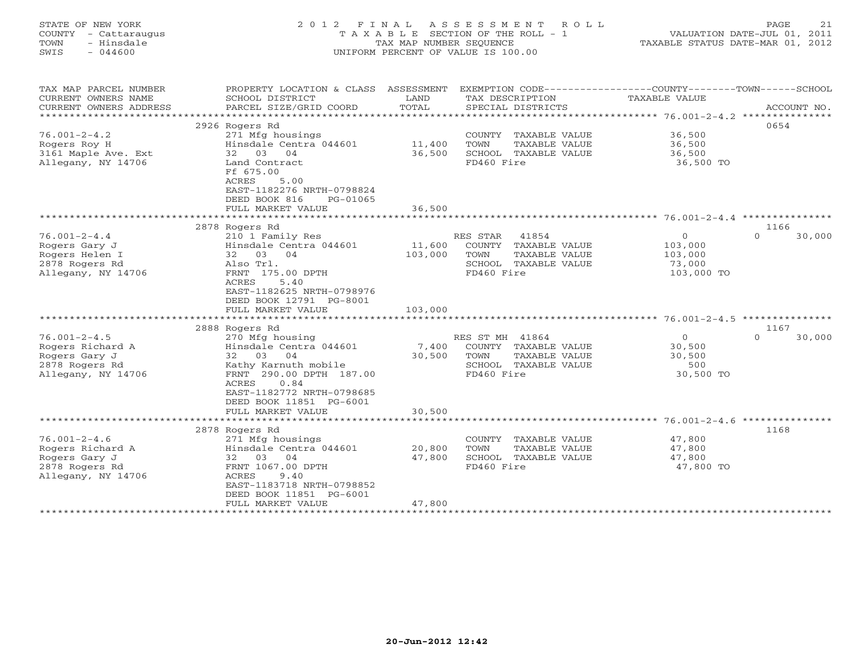| STATE OF NEW YORK<br>COUNTY<br>- Cattaraugus<br>TOWN<br>- Hinsdale<br>$-044600$<br>SWIS | 2 0 1 2<br>F I N A L                                                                             | TAX MAP NUMBER SEOUENCE             | ASSESSMENT<br>ROLL<br>TAXABLE SECTION OF THE ROLL - 1<br>UNIFORM PERCENT OF VALUE IS 100.00 | TAXABLE STATUS DATE-MAR 01, 2012           | PAGE<br>21<br>VALUATION DATE-JUL 01, 2011 |
|-----------------------------------------------------------------------------------------|--------------------------------------------------------------------------------------------------|-------------------------------------|---------------------------------------------------------------------------------------------|--------------------------------------------|-------------------------------------------|
| TAX MAP PARCEL NUMBER<br>CURRENT OWNERS NAME                                            | PROPERTY LOCATION & CLASS ASSESSMENT<br>SCHOOL DISTRICT                                          | LAND                                | EXEMPTION CODE-----------------COUNTY-------TOWN------SCHOOL<br>TAX DESCRIPTION             | TAXABLE VALUE                              |                                           |
| CURRENT OWNERS ADDRESS<br>**********************                                        | PARCEL SIZE/GRID COORD                                                                           | TOTAL                               | SPECIAL DISTRICTS                                                                           |                                            | ACCOUNT NO.                               |
|                                                                                         |                                                                                                  |                                     |                                                                                             |                                            |                                           |
| $76.001 - 2 - 4.2$                                                                      | 2926 Rogers Rd                                                                                   |                                     |                                                                                             |                                            | 0654                                      |
|                                                                                         | 271 Mfg housings<br>Hinsdale Centra 044601                                                       |                                     | COUNTY<br>TAXABLE VALUE<br>TOWN                                                             | 36,500                                     |                                           |
| Rogers Roy H<br>3161 Maple Ave. Ext                                                     | 32 03 04                                                                                         | 11,400<br>36,500                    | TAXABLE VALUE<br>SCHOOL TAXABLE VALUE                                                       | 36,500<br>36,500                           |                                           |
| Allegany, NY 14706                                                                      | Land Contract<br>Ff 675.00<br>5.00<br>ACRES<br>EAST-1182276 NRTH-0798824                         |                                     | FD460 Fire                                                                                  | 36,500 TO                                  |                                           |
|                                                                                         | DEED BOOK 816<br>PG-01065                                                                        |                                     |                                                                                             |                                            |                                           |
|                                                                                         | FULL MARKET VALUE                                                                                | 36,500                              |                                                                                             |                                            |                                           |
|                                                                                         |                                                                                                  |                                     |                                                                                             | ******** 76.001-2-4.4 ***                  |                                           |
|                                                                                         | 2878 Rogers Rd                                                                                   |                                     |                                                                                             |                                            | 1166                                      |
| $76.001 - 2 - 4.4$                                                                      | 210 1 Family Res                                                                                 |                                     | RES STAR<br>41854                                                                           | $\circ$                                    | $\Omega$<br>30,000                        |
| Rogers Gary J<br>Rogers Helen I<br>2878 Rogers Rd<br>Allegany, NY 14706                 | Hinsdale Centra 044601<br>32 03 04<br>Also Trl.<br>FRNT 175.00 DPTH                              | 11,600<br>103,000                   | COUNTY TAXABLE VALUE<br>TOWN<br>TAXABLE VALUE<br>SCHOOL<br>TAXABLE VALUE<br>FD460 Fire      | 103,000<br>103,000<br>73,000<br>103,000 TO |                                           |
|                                                                                         | 5.40<br>ACRES<br>EAST-1182625 NRTH-0798976<br>DEED BOOK 12791 PG-8001<br>FULL MARKET VALUE       | 103,000                             |                                                                                             |                                            |                                           |
|                                                                                         | ****************************                                                                     |                                     |                                                                                             |                                            |                                           |
|                                                                                         | 2888 Rogers Rd                                                                                   |                                     |                                                                                             |                                            | 1167                                      |
| $76.001 - 2 - 4.5$                                                                      | 270 Mfg housing                                                                                  |                                     | RES ST MH 41864                                                                             | $\mathbf{0}$                               | $\Omega$<br>30,000                        |
| Rogers Richard A                                                                        | Hinsdale Centra 044601                                                                           | 7,400                               | COUNTY TAXABLE VALUE                                                                        | 30,500                                     |                                           |
| Rogers Gary J                                                                           | 32<br>03 04                                                                                      | 30,500                              | TOWN<br>TAXABLE VALUE                                                                       | 30,500                                     |                                           |
| 2878 Rogers Rd                                                                          | Kathy Karnuth mobile                                                                             |                                     | SCHOOL TAXABLE VALUE                                                                        | 500                                        |                                           |
| Allegany, NY 14706                                                                      | FRNT 290.00 DPTH 187.00<br>0.84<br>ACRES<br>EAST-1182772 NRTH-0798685<br>DEED BOOK 11851 PG-6001 |                                     | FD460 Fire                                                                                  | 30,500 TO                                  |                                           |
|                                                                                         | FULL MARKET VALUE                                                                                | 30,500                              |                                                                                             |                                            |                                           |
|                                                                                         |                                                                                                  |                                     |                                                                                             |                                            |                                           |
|                                                                                         | 2878 Rogers Rd                                                                                   |                                     |                                                                                             |                                            | 1168                                      |
| $76.001 - 2 - 4.6$                                                                      | 271 Mfg housings                                                                                 |                                     | COUNTY TAXABLE VALUE                                                                        | 47,800                                     |                                           |
| Rogers Richard A                                                                        | Hinsdale Centra 044601                                                                           | 20,800                              | TOWN<br>TAXABLE VALUE                                                                       | 47,800                                     |                                           |
| Rogers Gary J                                                                           | 03<br>04<br>32                                                                                   | 47,800                              | SCHOOL TAXABLE VALUE                                                                        | 47,800                                     |                                           |
| 2878 Rogers Rd                                                                          | FRNT 1067.00 DPTH                                                                                |                                     | FD460 Fire                                                                                  | 47,800 TO                                  |                                           |
| Allegany, NY 14706                                                                      | ACRES<br>9.40                                                                                    |                                     |                                                                                             |                                            |                                           |
|                                                                                         | EAST-1183718 NRTH-0798852                                                                        |                                     |                                                                                             |                                            |                                           |
|                                                                                         | DEED BOOK 11851 PG-6001                                                                          |                                     |                                                                                             |                                            |                                           |
|                                                                                         | FULL MARKET VALUE                                                                                | 47,800<br>* * * * * * * * * * * * * |                                                                                             |                                            |                                           |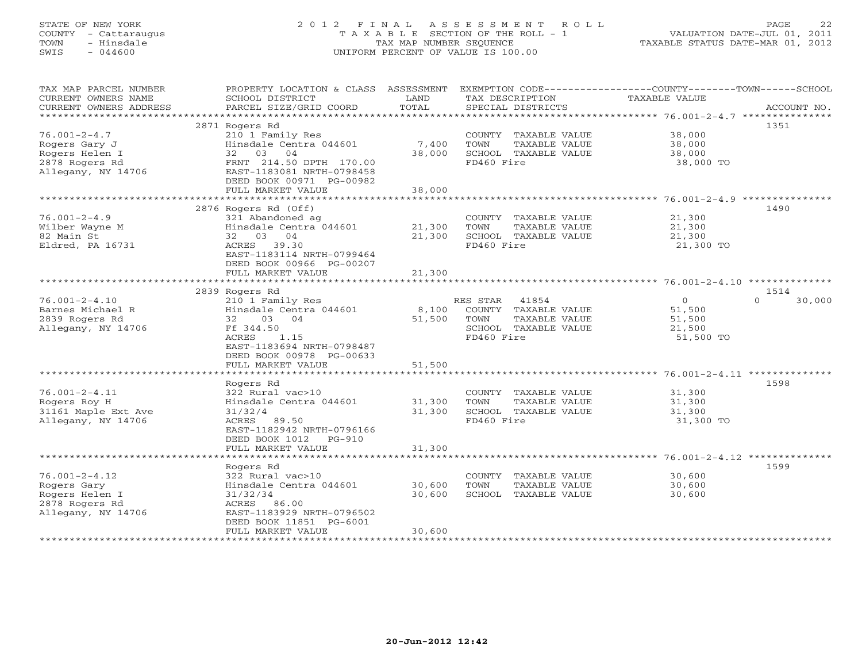# STATE OF NEW YORK 2 0 1 2 F I N A L A S S E S S M E N T R O L L PAGE 22 COUNTY - Cattaraugus T A X A B L E SECTION OF THE ROLL - 1 VALUATION DATE-JUL 01, 2011 TOWN - Hinsdale TAX MAP NUMBER SEQUENCE TAXABLE STATUS DATE-MAR 01, 2012 SWIS - 044600 UNIFORM PERCENT OF VALUE IS 100.00UNIFORM PERCENT OF VALUE IS 100.00

| TAX MAP PARCEL NUMBER<br>CURRENT OWNERS NAME<br>CURRENT OWNERS ADDRESS | PROPERTY LOCATION & CLASS ASSESSMENT<br>SCHOOL DISTRICT<br>PARCEL SIZE/GRID COORD | LAND<br>TOTAL               | TAX DESCRIPTION<br>SPECIAL DISTRICTS | EXEMPTION CODE-----------------COUNTY-------TOWN------SCHOOL<br>TAXABLE VALUE | ACCOUNT NO.        |
|------------------------------------------------------------------------|-----------------------------------------------------------------------------------|-----------------------------|--------------------------------------|-------------------------------------------------------------------------------|--------------------|
| *************************                                              |                                                                                   |                             |                                      |                                                                               |                    |
|                                                                        | 2871 Rogers Rd                                                                    |                             |                                      |                                                                               | 1351               |
| $76.001 - 2 - 4.7$                                                     | 210 1 Family Res                                                                  |                             | COUNTY TAXABLE VALUE                 | 38,000                                                                        |                    |
| Rogers Gary J                                                          | Hinsdale Centra 044601                                                            | 7,400                       | TOWN<br>TAXABLE VALUE                | 38,000                                                                        |                    |
| Rogers Helen I                                                         | 32 03 04                                                                          | 38,000                      | SCHOOL TAXABLE VALUE                 | 38,000                                                                        |                    |
| 2878 Rogers Rd                                                         | FRNT 214.50 DPTH 170.00                                                           |                             | FD460 Fire                           | 38,000 TO                                                                     |                    |
| Allegany, NY 14706                                                     | EAST-1183081 NRTH-0798458                                                         |                             |                                      |                                                                               |                    |
|                                                                        | DEED BOOK 00971 PG-00982<br>FULL MARKET VALUE                                     | 38,000                      |                                      |                                                                               |                    |
|                                                                        | **************************                                                        | * * * * * * * * * * * * * * |                                      |                                                                               |                    |
|                                                                        | 2876 Rogers Rd (Off)                                                              |                             |                                      |                                                                               | 1490               |
| $76.001 - 2 - 4.9$                                                     | 321 Abandoned ag                                                                  |                             | COUNTY TAXABLE VALUE                 | 21,300                                                                        |                    |
| Wilber Wayne M                                                         | Hinsdale Centra 044601                                                            | 21,300                      | TOWN<br>TAXABLE VALUE                | 21,300                                                                        |                    |
| 82 Main St                                                             | 32 03 04                                                                          | 21,300                      | SCHOOL TAXABLE VALUE                 | 21,300                                                                        |                    |
| Eldred, PA 16731                                                       | ACRES 39.30                                                                       |                             | FD460 Fire                           | 21,300 TO                                                                     |                    |
|                                                                        | EAST-1183114 NRTH-0799464                                                         |                             |                                      |                                                                               |                    |
|                                                                        | DEED BOOK 00966 PG-00207                                                          |                             |                                      |                                                                               |                    |
|                                                                        | FULL MARKET VALUE                                                                 | 21,300                      |                                      |                                                                               |                    |
|                                                                        | 2839 Rogers Rd                                                                    |                             |                                      |                                                                               | 1514               |
| $76.001 - 2 - 4.10$                                                    | 210 1 Family Res                                                                  |                             | RES STAR<br>41854                    | $\overline{0}$                                                                | $\Omega$<br>30,000 |
| Barnes Michael R                                                       | Hinsdale Centra 044601                                                            | 8,100                       | COUNTY TAXABLE VALUE                 | 51,500                                                                        |                    |
| 2839 Rogers Rd                                                         | 32<br>03 04                                                                       | 51,500                      | TOWN<br>TAXABLE VALUE                | 51,500                                                                        |                    |
| Allegany, NY 14706                                                     | Ff 344.50<br>1.15<br>ACRES                                                        |                             | SCHOOL TAXABLE VALUE<br>FD460 Fire   | 21,500<br>51,500 TO                                                           |                    |
|                                                                        | EAST-1183694 NRTH-0798487                                                         |                             |                                      |                                                                               |                    |
|                                                                        | DEED BOOK 00978 PG-00633                                                          |                             |                                      |                                                                               |                    |
|                                                                        | FULL MARKET VALUE                                                                 | 51,500                      |                                      |                                                                               |                    |
|                                                                        |                                                                                   |                             |                                      |                                                                               |                    |
|                                                                        | Rogers Rd                                                                         |                             |                                      |                                                                               | 1598               |
| $76.001 - 2 - 4.11$                                                    | 322 Rural vac>10                                                                  |                             | COUNTY TAXABLE VALUE                 | 31,300                                                                        |                    |
| Rogers Roy H                                                           | Hinsdale Centra 044601                                                            | 31,300                      | TOWN<br>TAXABLE VALUE                | 31,300                                                                        |                    |
| 31161 Maple Ext Ave<br>Allegany, NY 14706                              | 31/32/4<br>ACRES 89.50                                                            | 31,300                      | SCHOOL TAXABLE VALUE<br>FD460 Fire   | 31,300<br>31,300 TO                                                           |                    |
|                                                                        | EAST-1182942 NRTH-0796166                                                         |                             |                                      |                                                                               |                    |
|                                                                        | DEED BOOK 1012 PG-910                                                             |                             |                                      |                                                                               |                    |
|                                                                        | FULL MARKET VALUE                                                                 | 31,300                      |                                      |                                                                               |                    |
|                                                                        |                                                                                   |                             |                                      |                                                                               |                    |
|                                                                        | Rogers Rd                                                                         |                             |                                      |                                                                               | 1599               |
| $76.001 - 2 - 4.12$                                                    | 322 Rural vac>10                                                                  |                             | COUNTY TAXABLE VALUE                 | 30,600                                                                        |                    |
| Rogers Gary                                                            | Hinsdale Centra 044601                                                            | 30,600                      | TOWN<br>TAXABLE VALUE                | 30,600                                                                        |                    |
| Rogers Helen I<br>2878 Rogers Rd                                       | 31/32/34<br>ACRES 86.00                                                           | 30,600                      | SCHOOL TAXABLE VALUE                 | 30,600                                                                        |                    |
| Allegany, NY 14706                                                     | EAST-1183929 NRTH-0796502                                                         |                             |                                      |                                                                               |                    |
|                                                                        | DEED BOOK 11851 PG-6001                                                           |                             |                                      |                                                                               |                    |
|                                                                        | FULL MARKET VALUE                                                                 | 30,600                      |                                      |                                                                               |                    |
|                                                                        | ******************                                                                |                             |                                      |                                                                               |                    |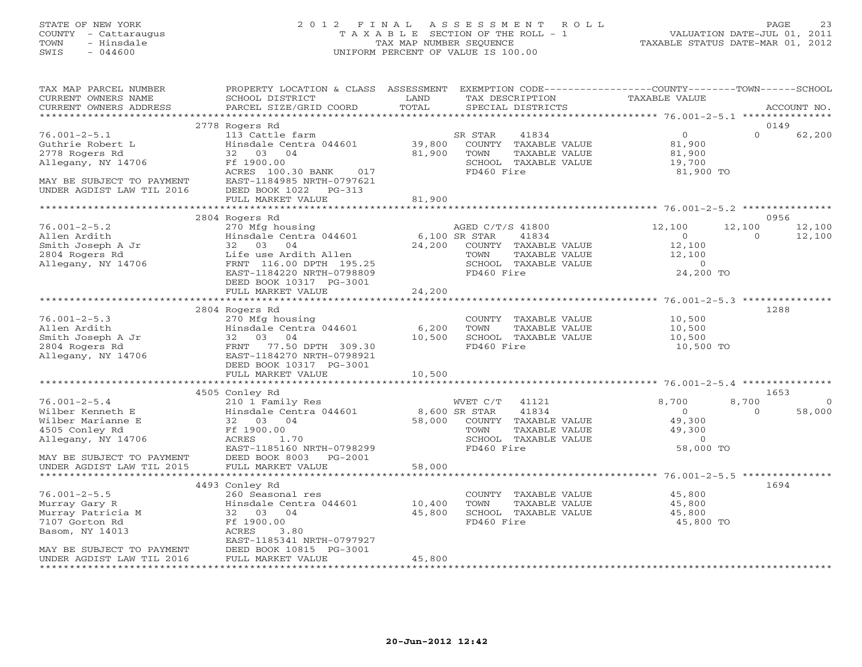# STATE OF NEW YORK 2 0 1 2 F I N A L A S S E S S M E N T R O L L PAGE 23 COUNTY - Cattaraugus T A X A B L E SECTION OF THE ROLL - 1 VALUATION DATE-JUL 01, 2011 TOWN - Hinsdale TAX MAP NUMBER SEQUENCE TAXABLE STATUS DATE-MAR 01, 2012 SWIS - 044600 UNIFORM PERCENT OF VALUE IS 100.00UNIFORM PERCENT OF VALUE IS 100.00

| TAX MAP PARCEL NUMBER<br>CURRENT OWNERS NAME<br>CURRENT OWNERS ADDRESS                                                                   | PROPERTY LOCATION & CLASS ASSESSMENT<br>SCHOOL DISTRICT<br>PARCEL SIZE/GRID COORD                                                                                                                 | LAND<br>TOTAL              | EXEMPTION CODE-----------------COUNTY-------TOWN------SCHOOL<br>TAX DESCRIPTION<br>SPECIAL DISTRICTS                              | TAXABLE VALUE                                                        | ACCOUNT NO.                                    |
|------------------------------------------------------------------------------------------------------------------------------------------|---------------------------------------------------------------------------------------------------------------------------------------------------------------------------------------------------|----------------------------|-----------------------------------------------------------------------------------------------------------------------------------|----------------------------------------------------------------------|------------------------------------------------|
| ***********************                                                                                                                  |                                                                                                                                                                                                   |                            |                                                                                                                                   |                                                                      |                                                |
| $76.001 - 2 - 5.1$<br>Guthrie Robert L<br>2778 Rogers Rd<br>Allegany, NY 14706<br>MAY BE SUBJECT TO PAYMENT<br>UNDER AGDIST LAW TIL 2016 | 2778 Rogers Rd<br>113 Cattle farm<br>Hinsdale Centra 044601<br>32 03 04<br>Ff 1900.00<br>ACRES 100.30 BANK<br>017<br>EAST-1184985 NRTH-0797621<br>DEED BOOK 1022<br>$PG-313$<br>FULL MARKET VALUE | 39,800<br>81,900<br>81,900 | SR STAR<br>41834<br>COUNTY TAXABLE VALUE<br>TOWN<br>TAXABLE VALUE<br>SCHOOL TAXABLE VALUE<br>FD460 Fire                           | $\overline{O}$<br>81,900<br>81,900<br>19,700<br>81,900 TO            | 0149<br>$\Omega$<br>62,200                     |
|                                                                                                                                          |                                                                                                                                                                                                   |                            |                                                                                                                                   |                                                                      |                                                |
| $76.001 - 2 - 5.2$<br>Allen Ardith<br>Smith Joseph A Jr<br>2804 Rogers Rd<br>Allegany, NY 14706                                          | 2804 Rogers Rd<br>270 Mfg housing<br>Hinsdale Centra 044601<br>32 03 04<br>Life use Ardith Allen<br>FRNT 116.00 DPTH 195.25<br>EAST-1184220 NRTH-0798809<br>DEED BOOK 10317 PG-3001               | 24,200                     | AGED C/T/S 41800<br>6,100 SR STAR<br>41834<br>COUNTY TAXABLE VALUE<br>TOWN<br>TAXABLE VALUE<br>SCHOOL TAXABLE VALUE<br>FD460 Fire | 12,100<br>$\circ$<br>12,100<br>12,100<br>$\overline{0}$<br>24,200 TO | 0956<br>12,100<br>12,100<br>12,100<br>$\Omega$ |
|                                                                                                                                          | FULL MARKET VALUE                                                                                                                                                                                 | 24,200                     |                                                                                                                                   |                                                                      |                                                |
|                                                                                                                                          |                                                                                                                                                                                                   |                            |                                                                                                                                   |                                                                      |                                                |
| $76.001 - 2 - 5.3$<br>Allen Ardith<br>Smith Joseph A Jr<br>2804 Rogers Rd<br>Allegany, NY 14706                                          | 2804 Rogers Rd<br>270 Mfg housing<br>Hinsdale Centra 044601<br>32 03<br>04<br>77.50 DPTH 309.30<br>FRNT<br>EAST-1184270 NRTH-0798921<br>DEED BOOK 10317 PG-3001<br>FULL MARKET VALUE              | 6,200<br>10,500<br>10,500  | COUNTY TAXABLE VALUE<br>TOWN<br>TAXABLE VALUE<br>SCHOOL TAXABLE VALUE<br>FD460 Fire                                               | 10,500<br>10,500<br>10,500<br>10,500 TO                              | 1288                                           |
|                                                                                                                                          |                                                                                                                                                                                                   |                            |                                                                                                                                   |                                                                      | 1653                                           |
| $76.001 - 2 - 5.4$<br>Wilber Kenneth E<br>Wilber Marianne E<br>4505 Conley Rd<br>Allegany, NY 14706<br>MAY BE SUBJECT TO PAYMENT         | 4505 Conley Rd<br>210 1 Family Res<br>Hinsdale Centra 044601<br>32 03 04<br>Ff 1900.00<br>ACRES<br>1.70<br>EAST-1185160 NRTH-0798299<br>DEED BOOK 8003 PG-2001                                    | 8,600 SR STAR<br>58,000    | WVET C/T<br>41121<br>41834<br>COUNTY TAXABLE VALUE<br>TOWN<br>TAXABLE VALUE<br>SCHOOL TAXABLE VALUE<br>FD460 Fire                 | 8,700<br>$\Omega$<br>49,300<br>49,300<br>$\circ$<br>58,000 TO        | 8,700<br>$\Omega$<br>58,000<br>$\Omega$        |
| UNDER AGDIST LAW TIL 2015                                                                                                                | FULL MARKET VALUE                                                                                                                                                                                 | 58,000                     |                                                                                                                                   |                                                                      |                                                |
| $76.001 - 2 - 5.5$<br>Murray Gary R<br>Murray Patricia M<br>7107 Gorton Rd<br>Basom, NY 14013<br>MAY BE SUBJECT TO PAYMENT               | 4493 Conley Rd<br>260 Seasonal res<br>Hinsdale Centra 044601<br>32 03 04<br>Ff 1900.00<br>ACRES<br>3.80<br>EAST-1185341 NRTH-0797927<br>DEED BOOK 10815 PG-3001                                   | 10,400<br>45,800           | COUNTY TAXABLE VALUE<br>TOWN<br>TAXABLE VALUE<br>SCHOOL TAXABLE VALUE<br>FD460 Fire                                               | 45,800<br>45,800<br>45,800<br>45,800 TO                              | 1694                                           |
| UNDER AGDIST LAW TIL 2016                                                                                                                | FULL MARKET VALUE                                                                                                                                                                                 | 45,800                     |                                                                                                                                   |                                                                      |                                                |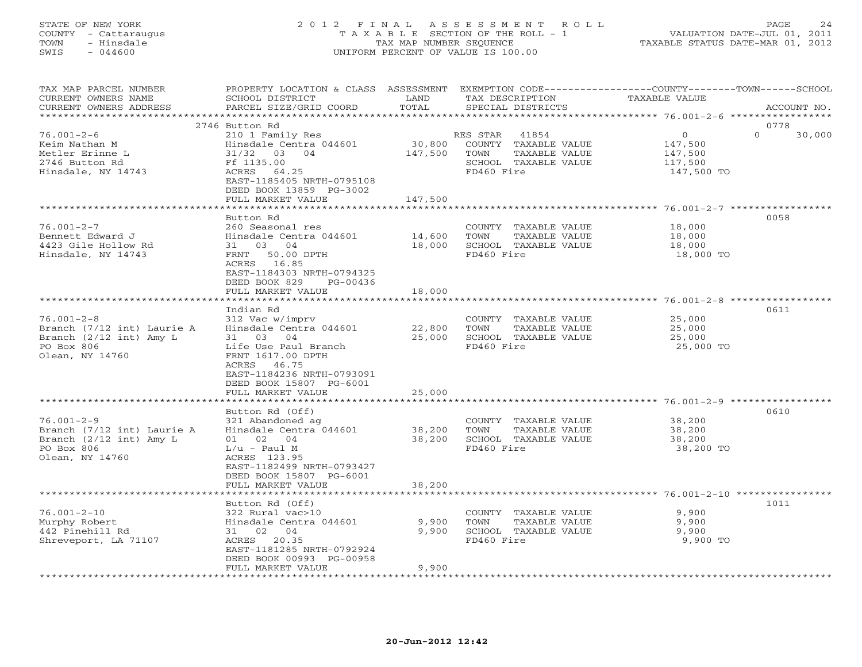## STATE OF NEW YORK 2 0 1 2 F I N A L A S S E S S M E N T R O L L PAGE 24 COUNTY - Cattaraugus T A X A B L E SECTION OF THE ROLL - 1 VALUATION DATE-JUL 01, 2011 TOWN - Hinsdale TAX MAP NUMBER SEQUENCE TAXABLE STATUS DATE-MAR 01, 2012 SWIS - 044600 UNIFORM PERCENT OF VALUE IS 100.00UNIFORM PERCENT OF VALUE IS 100.00

| TAX MAP PARCEL NUMBER<br>CURRENT OWNERS NAME<br>CURRENT OWNERS ADDRESS | PROPERTY LOCATION & CLASS ASSESSMENT EXEMPTION CODE---------------COUNTY-------TOWN------SCHOOL<br>SCHOOL DISTRICT<br>PARCEL SIZE/GRID COORD | LAND<br>TOTAL | TAX DESCRIPTION<br>SPECIAL DISTRICTS | <b>TAXABLE VALUE</b> | ACCOUNT NO.        |
|------------------------------------------------------------------------|----------------------------------------------------------------------------------------------------------------------------------------------|---------------|--------------------------------------|----------------------|--------------------|
|                                                                        |                                                                                                                                              |               |                                      |                      |                    |
|                                                                        | 2746 Button Rd                                                                                                                               |               |                                      |                      | 0778               |
| $76.001 - 2 - 6$                                                       | 210 1 Family Res                                                                                                                             |               | RES STAR 41854                       | $\circ$              | $\Omega$<br>30,000 |
| Keim Nathan M                                                          | Hinsdale Centra 044601                                                                                                                       | 30,800        | COUNTY TAXABLE VALUE                 | 147,500              |                    |
| Metler Erinne L                                                        | 31/32 03 04                                                                                                                                  | 147,500       | TOWN<br>TAXABLE VALUE                | 147,500              |                    |
| 2746 Button Rd                                                         | Ff 1135.00                                                                                                                                   |               | SCHOOL TAXABLE VALUE                 | 117,500              |                    |
| Hinsdale, NY 14743                                                     | 64.25<br>ACRES<br>EAST-1185405 NRTH-0795108                                                                                                  |               | FD460 Fire                           | 147,500 TO           |                    |
|                                                                        | DEED BOOK 13859 PG-3002                                                                                                                      |               |                                      |                      |                    |
|                                                                        | FULL MARKET VALUE                                                                                                                            | 147,500       |                                      |                      |                    |
|                                                                        | ***********************                                                                                                                      |               |                                      |                      |                    |
|                                                                        | Button Rd                                                                                                                                    |               |                                      |                      | 0058               |
| $76.001 - 2 - 7$                                                       | 260 Seasonal res                                                                                                                             |               | COUNTY TAXABLE VALUE                 | 18,000               |                    |
| Bennett Edward J                                                       | Hinsdale Centra 044601                                                                                                                       | 14,600        | TOWN<br>TAXABLE VALUE                | 18,000               |                    |
| 4423 Gile Hollow Rd                                                    | 31 03 04                                                                                                                                     | 18,000        | SCHOOL TAXABLE VALUE                 | 18,000               |                    |
| Hinsdale, NY 14743                                                     | 50.00 DPTH<br>FRNT                                                                                                                           |               | FD460 Fire                           | 18,000 TO            |                    |
|                                                                        | ACRES 16.85                                                                                                                                  |               |                                      |                      |                    |
|                                                                        | EAST-1184303 NRTH-0794325<br>DEED BOOK 829<br>PG-00436                                                                                       |               |                                      |                      |                    |
|                                                                        | FULL MARKET VALUE                                                                                                                            | 18,000        |                                      |                      |                    |
|                                                                        |                                                                                                                                              |               |                                      |                      |                    |
|                                                                        | Indian Rd                                                                                                                                    |               |                                      |                      | 0611               |
| $76.001 - 2 - 8$                                                       | 312 Vac w/imprv                                                                                                                              |               | COUNTY TAXABLE VALUE                 | 25,000               |                    |
| Branch (7/12 int) Laurie A                                             | Hinsdale Centra 044601                                                                                                                       | 22,800        | TOWN<br>TAXABLE VALUE                | 25,000               |                    |
| Branch $(2/12 \text{ int})$ Amy L                                      | 31 03 04                                                                                                                                     | 25,000        | SCHOOL TAXABLE VALUE                 | 25,000               |                    |
| PO Box 806                                                             | Life Use Paul Branch                                                                                                                         |               | FD460 Fire                           | 25,000 TO            |                    |
| Olean, NY 14760                                                        | FRNT 1617.00 DPTH                                                                                                                            |               |                                      |                      |                    |
|                                                                        | ACRES 46.75                                                                                                                                  |               |                                      |                      |                    |
|                                                                        | EAST-1184236 NRTH-0793091<br>DEED BOOK 15807 PG-6001                                                                                         |               |                                      |                      |                    |
|                                                                        | FULL MARKET VALUE                                                                                                                            | 25,000        |                                      |                      |                    |
|                                                                        |                                                                                                                                              |               |                                      |                      |                    |
|                                                                        | Button Rd (Off)                                                                                                                              |               |                                      |                      | 0610               |
| $76.001 - 2 - 9$                                                       | 321 Abandoned ag                                                                                                                             |               | COUNTY TAXABLE VALUE                 | 38,200               |                    |
| Branch (7/12 int) Laurie A                                             | Hinsdale Centra 044601                                                                                                                       | 38,200        | TOWN<br>TAXABLE VALUE                | 38,200               |                    |
| Branch $(2/12 \text{ int})$ Amy L                                      | 01 02 04                                                                                                                                     | 38,200        | SCHOOL TAXABLE VALUE                 | 38,200               |                    |
| PO Box 806                                                             | $L/u$ - Paul M                                                                                                                               |               | FD460 Fire                           | 38,200 TO            |                    |
| Olean, NY 14760                                                        | ACRES 123.95                                                                                                                                 |               |                                      |                      |                    |
|                                                                        | EAST-1182499 NRTH-0793427<br>DEED BOOK 15807 PG-6001                                                                                         |               |                                      |                      |                    |
|                                                                        | FULL MARKET VALUE                                                                                                                            | 38,200        |                                      |                      |                    |
|                                                                        |                                                                                                                                              |               |                                      |                      |                    |
|                                                                        | Button Rd (Off)                                                                                                                              |               |                                      |                      | 1011               |
| $76.001 - 2 - 10$                                                      | 322 Rural vac>10                                                                                                                             |               | COUNTY TAXABLE VALUE                 | 9,900                |                    |
| Murphy Robert                                                          | Hinsdale Centra 044601                                                                                                                       | 9,900         | TOWN<br>TAXABLE VALUE                | 9,900                |                    |
| 442 Pinehill Rd                                                        | 31 02 04                                                                                                                                     | 9,900         | SCHOOL TAXABLE VALUE                 | 9,900                |                    |
| Shreveport, LA 71107                                                   | ACRES 20.35                                                                                                                                  |               | FD460 Fire                           | 9,900 TO             |                    |
|                                                                        | EAST-1181285 NRTH-0792924                                                                                                                    |               |                                      |                      |                    |
|                                                                        | DEED BOOK 00993 PG-00958<br>FULL MARKET VALUE                                                                                                | 9,900         |                                      |                      |                    |
|                                                                        |                                                                                                                                              |               |                                      |                      |                    |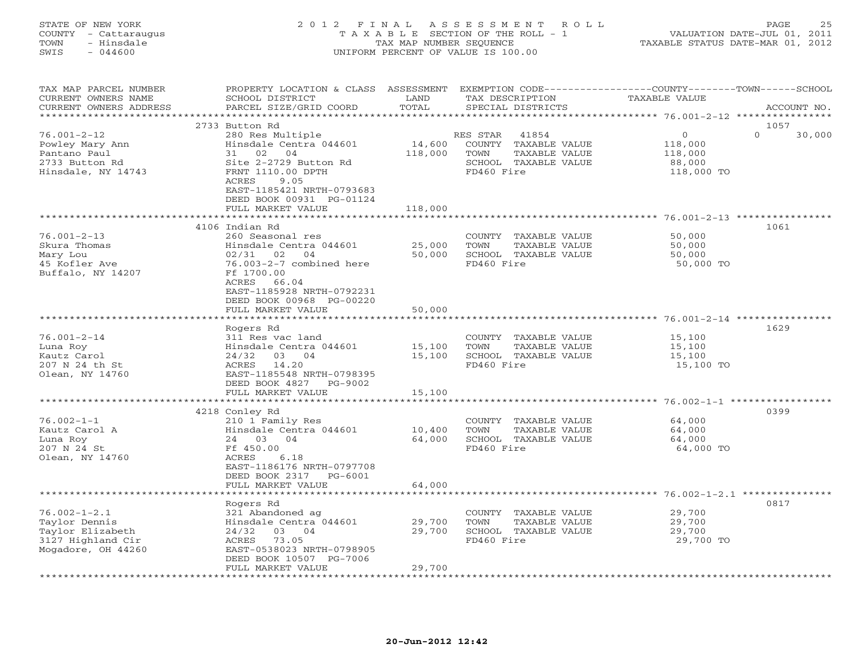#### STATE OF NEW YORK 2 0 1 2 F I N A L A S S E S S M E N T R O L L PAGE 25 COUNTY - Cattaraugus T A X A B L E SECTION OF THE ROLL - 1 VALUATION DATE-JUL 01, 2011 TOWN - Hinsdale TAX MAP NUMBER SEQUENCE TAXABLE STATUS DATE-MAR 01, 2012 SWIS - 044600 UNIFORM PERCENT OF VALUE IS 100.00UNIFORM PERCENT OF VALUE IS 100.00

| <b>TAXABLE VALUE</b><br>ACCOUNT NO.                                                      |
|------------------------------------------------------------------------------------------|
|                                                                                          |
| 1057<br>$\mathbf{0}$<br>$\Omega$<br>30,000<br>118,000<br>118,000<br>88,000<br>118,000 TO |
|                                                                                          |
| ********************************** 76.001-2-13 ************<br>1061                      |
| 50,000<br>50,000<br>50,000<br>50,000 TO                                                  |
|                                                                                          |
| 1629<br>15,100<br>15,100<br>15,100<br>15,100 TO                                          |
|                                                                                          |
| 0399<br>64,000<br>64,000<br>64,000<br>64,000 TO                                          |
| ************************ 76.002-1-2.1 ***************                                    |
| 0817<br>29,700<br>29,700<br>29,700<br>29,700 TO                                          |
|                                                                                          |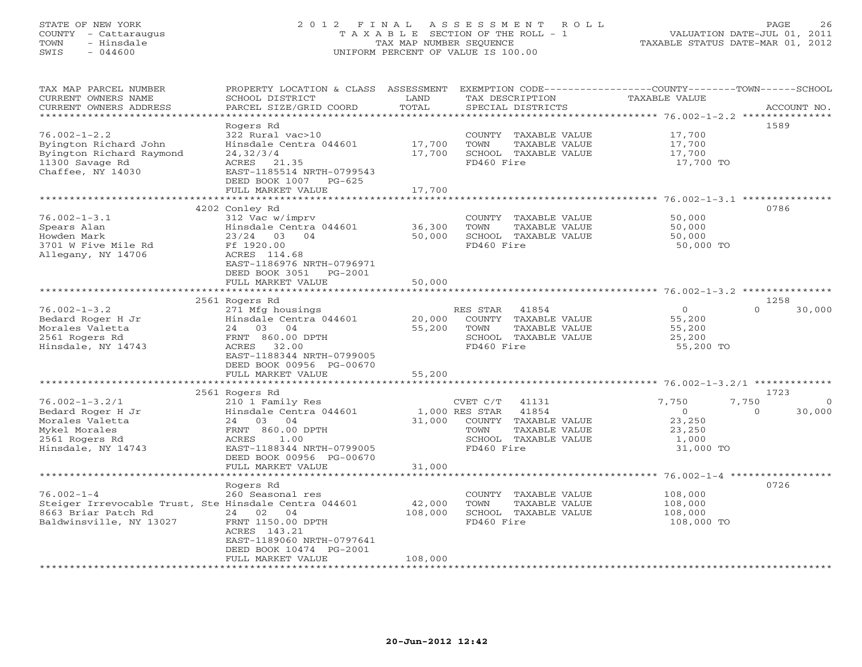## STATE OF NEW YORK 2 0 1 2 F I N A L A S S E S S M E N T R O L L PAGE 26 COUNTY - Cattaraugus T A X A B L E SECTION OF THE ROLL - 1 VALUATION DATE-JUL 01, 2011 TOWN - Hinsdale TAX MAP NUMBER SEQUENCE TAXABLE STATUS DATE-MAR 01, 2012 SWIS - 044600 UNIFORM PERCENT OF VALUE IS 100.00UNIFORM PERCENT OF VALUE IS 100.00

| TAX MAP PARCEL NUMBER<br>CURRENT OWNERS NAME<br>CURRENT OWNERS ADDRESS<br>***************                                   | PROPERTY LOCATION & CLASS ASSESSMENT<br>SCHOOL DISTRICT<br>PARCEL SIZE/GRID COORD                                                                                                            | LAND<br>TOTAL                |                                                  | TAX DESCRIPTION<br>SPECIAL DISTRICTS                                            | EXEMPTION CODE-----------------COUNTY-------TOWN------SCHOOL<br>TAXABLE VALUE |                   | ACCOUNT NO.        |
|-----------------------------------------------------------------------------------------------------------------------------|----------------------------------------------------------------------------------------------------------------------------------------------------------------------------------------------|------------------------------|--------------------------------------------------|---------------------------------------------------------------------------------|-------------------------------------------------------------------------------|-------------------|--------------------|
| $76.002 - 1 - 2.2$<br>Byington Richard John<br>Byington Richard Raymond<br>11300 Savage Rd<br>Chaffee, NY 14030             | Rogers Rd<br>322 Rural vac>10<br>Hinsdale Centra 044601<br>24, 32/3/4<br>ACRES 21.35<br>EAST-1185514 NRTH-0799543<br>DEED BOOK 1007 PG-625<br>FULL MARKET VALUE                              | 17,700<br>17,700<br>17,700   | TOWN<br>FD460 Fire                               | COUNTY TAXABLE VALUE<br>TAXABLE VALUE<br>SCHOOL TAXABLE VALUE                   | 17,700<br>17,700<br>17,700<br>17,700 TO                                       |                   | 1589               |
|                                                                                                                             |                                                                                                                                                                                              |                              |                                                  |                                                                                 |                                                                               |                   |                    |
| $76.002 - 1 - 3.1$<br>Spears Alan<br>Howden Mark<br>3701 W Five Mile Rd<br>Allegany, NY 14706                               | 4202 Conley Rd<br>312 Vac w/imprv<br>Hinsdale Centra 044601<br>$23/24$ 03 04<br>Ff 1920.00<br>ACRES 114.68<br>EAST-1186976 NRTH-0796971<br>DEED BOOK 3051<br>PG-2001<br>FULL MARKET VALUE    | 36,300<br>50,000<br>50,000   | TOWN<br>FD460 Fire                               | COUNTY TAXABLE VALUE<br><b>TAXABLE VALUE</b><br>SCHOOL TAXABLE VALUE            | 50,000<br>50,000<br>50,000<br>50,000 TO                                       |                   | 0786               |
|                                                                                                                             | ********************                                                                                                                                                                         |                              |                                                  |                                                                                 | ******************************** 76.002-1-3.2 ***************                 |                   |                    |
| $76.002 - 1 - 3.2$<br>Bedard Roger H Jr<br>Morales Valetta<br>2561 Rogers Rd<br>Hinsdale, NY 14743                          | 2561 Rogers Rd<br>271 Mfg housings<br>Hinsdale Centra 044601<br>24 03 04<br>FRNT 860.00 DPTH<br>32.00<br>ACRES<br>EAST-1188344 NRTH-0799005<br>DEED BOOK 00956 PG-00670<br>FULL MARKET VALUE | 20,000<br>55,200<br>55,200   | RES STAR<br>TOWN<br>FD460 Fire                   | 41854<br>COUNTY TAXABLE VALUE<br>TAXABLE VALUE<br>SCHOOL TAXABLE VALUE          | $\circ$<br>55,200<br>55,200<br>25,200<br>55,200 TO                            | $\Omega$          | 1258<br>30,000     |
|                                                                                                                             | 2561 Rogers Rd                                                                                                                                                                               |                              |                                                  |                                                                                 |                                                                               |                   | 1723               |
| $76.002 - 1 - 3.2/1$<br>Bedard Roger H Jr<br>Morales Valetta<br>Mykel Morales<br>2561 Rogers Rd<br>Hinsdale, NY 14743       | 210 1 Family Res<br>Hinsdale Centra 044601<br>24 03 04<br>FRNT 860.00 DPTH<br>ACRES<br>1.00<br>EAST-1188344 NRTH-0799005<br>DEED BOOK 00956 PG-00670                                         | 31,000                       | CVET C/T<br>1,000 RES STAR<br>TOWN<br>FD460 Fire | 41131<br>41854<br>COUNTY TAXABLE VALUE<br>TAXABLE VALUE<br>SCHOOL TAXABLE VALUE | 7,750<br>$\circ$<br>23,250<br>23,250<br>1,000<br>31,000 TO                    | 7,750<br>$\Omega$ | $\Omega$<br>30,000 |
|                                                                                                                             | FULL MARKET VALUE<br>********************                                                                                                                                                    | 31,000                       |                                                  |                                                                                 |                                                                               |                   |                    |
| $76.002 - 1 - 4$<br>Steiger Irrevocable Trust, Ste Hinsdale Centra 044601<br>8663 Briar Patch Rd<br>Baldwinsville, NY 13027 | Rogers Rd<br>260 Seasonal res<br>24 02 04<br>FRNT 1150.00 DPTH<br>ACRES 143.21<br>EAST-1189060 NRTH-0797641<br>DEED BOOK 10474 PG-2001<br>FULL MARKET VALUE                                  | 42,000<br>108,000<br>108,000 | TOWN<br>FD460 Fire                               | COUNTY TAXABLE VALUE<br>TAXABLE VALUE<br>SCHOOL TAXABLE VALUE                   | 108,000<br>108,000<br>108,000<br>108,000 TO                                   |                   | 0726               |
|                                                                                                                             |                                                                                                                                                                                              |                              |                                                  | *******************************                                                 |                                                                               |                   |                    |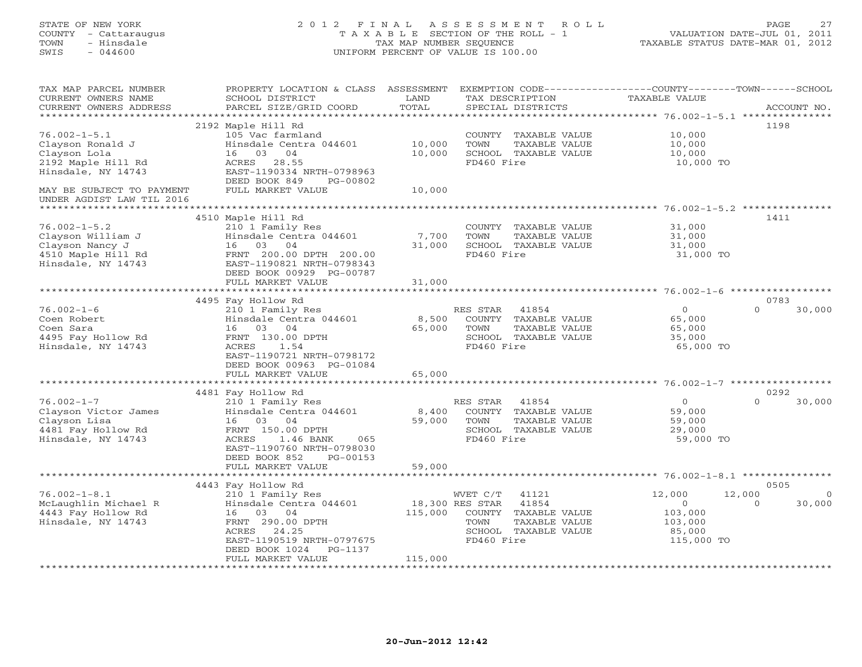## STATE OF NEW YORK 2 0 1 2 F I N A L A S S E S S M E N T R O L L PAGE 27 COUNTY - Cattaraugus T A X A B L E SECTION OF THE ROLL - 1 VALUATION DATE-JUL 01, 2011 TOWN - Hinsdale TAX MAP NUMBER SEQUENCE TAXABLE STATUS DATE-MAR 01, 2012 SWIS - 044600 UNIFORM PERCENT OF VALUE IS 100.00UNIFORM PERCENT OF VALUE IS 100.00

| TAX MAP PARCEL NUMBER<br>CURRENT OWNERS NAME<br>CURRENT OWNERS ADDRESS                                 | PROPERTY LOCATION & CLASS<br>SCHOOL DISTRICT<br>PARCEL SIZE/GRID COORD                                                                                                    | ASSESSMENT<br>LAND<br>TOTAL        | EXEMPTION CODE-----------------COUNTY-------TOWN------SCHOOL<br>TAX DESCRIPTION<br>SPECIAL DISTRICTS                                       | <b>TAXABLE VALUE</b>                                                |                    | ACCOUNT NO.       |
|--------------------------------------------------------------------------------------------------------|---------------------------------------------------------------------------------------------------------------------------------------------------------------------------|------------------------------------|--------------------------------------------------------------------------------------------------------------------------------------------|---------------------------------------------------------------------|--------------------|-------------------|
| ******************                                                                                     |                                                                                                                                                                           | ***********                        |                                                                                                                                            |                                                                     |                    |                   |
| $76.002 - 1 - 5.1$<br>Clayson Ronald J<br>Clayson Lola                                                 | 2192 Maple Hill Rd<br>105 Vac farmland<br>Hinsdale Centra 044601<br>04<br>03<br>16                                                                                        | 10,000<br>10,000                   | COUNTY<br>TAXABLE VALUE<br>TOWN<br>TAXABLE VALUE<br>SCHOOL TAXABLE VALUE                                                                   | 10,000<br>10,000<br>10,000                                          | 1198               |                   |
| 2192 Maple Hill Rd<br>Hinsdale, NY 14743                                                               | 28.55<br>ACRES<br>EAST-1190334 NRTH-0798963<br>DEED BOOK 849<br>PG-00802                                                                                                  |                                    | FD460 Fire                                                                                                                                 | 10,000 TO                                                           |                    |                   |
| MAY BE SUBJECT TO PAYMENT<br>UNDER AGDIST LAW TIL 2016                                                 | FULL MARKET VALUE                                                                                                                                                         | 10,000<br>************************ |                                                                                                                                            | **************** 76.002-1-5.2 ***************                       |                    |                   |
|                                                                                                        | 4510 Maple Hill Rd                                                                                                                                                        |                                    |                                                                                                                                            |                                                                     | 1411               |                   |
| $76.002 - 1 - 5.2$<br>Clayson William J<br>Clayson Nancy J<br>4510 Maple Hill Rd<br>Hinsdale, NY 14743 | 210 1 Family Res<br>Hinsdale Centra 044601<br>16<br>03<br>04<br>FRNT 200.00 DPTH 200.00<br>EAST-1190821 NRTH-0798343                                                      | 7,700<br>31,000                    | COUNTY TAXABLE VALUE<br><b>TOWN</b><br>TAXABLE VALUE<br>SCHOOL TAXABLE VALUE<br>FD460 Fire                                                 | 31,000<br>31,000<br>31,000<br>31,000 TO                             |                    |                   |
|                                                                                                        | DEED BOOK 00929 PG-00787<br>FULL MARKET VALUE                                                                                                                             | 31,000                             |                                                                                                                                            |                                                                     |                    |                   |
|                                                                                                        |                                                                                                                                                                           |                                    |                                                                                                                                            |                                                                     |                    |                   |
|                                                                                                        | 4495 Fay Hollow Rd                                                                                                                                                        |                                    |                                                                                                                                            |                                                                     | 0783               |                   |
| $76.002 - 1 - 6$<br>Coen Robert<br>Coen Sara<br>4495 Fay Hollow Rd<br>Hinsdale, NY 14743               | 210 1 Family Res<br>Hinsdale Centra 044601<br>16 03 04<br>FRNT 130.00 DPTH<br>ACRES<br>1.54<br>EAST-1190721 NRTH-0798172<br>DEED BOOK 00963 PG-01084<br>FULL MARKET VALUE | 8,500<br>65,000<br>65,000          | 41854<br>RES STAR<br>COUNTY<br>TAXABLE VALUE<br>TOWN<br>TAXABLE VALUE<br>SCHOOL TAXABLE VALUE<br>FD460 Fire                                | $\circ$<br>65,000<br>65,000<br>35,000<br>65,000 TO                  | $\Omega$           | 30,000            |
|                                                                                                        |                                                                                                                                                                           | * * * * * * * * * * *              |                                                                                                                                            | ************************************* 76.002-1-7 ****************** |                    |                   |
| $76.002 - 1 - 7$<br>Clayson Victor James<br>Clayson Lisa                                               | 4481 Fay Hollow Rd<br>210 1 Family Res<br>Hinsdale Centra 044601<br>16 03 04                                                                                              | 8,400<br>59,000                    | RES STAR<br>41854<br>COUNTY TAXABLE VALUE<br>TOWN<br>TAXABLE VALUE                                                                         | $\circ$<br>59,000                                                   | 0292<br>$\Omega$   | 30,000            |
| 4481 Fay Hollow Rd<br>Hinsdale, NY 14743                                                               | FRNT 150.00 DPTH<br>ACRES<br>1.46 BANK<br>065<br>EAST-1190760 NRTH-0798030<br>DEED BOOK 852<br>PG-00153                                                                   |                                    | SCHOOL TAXABLE VALUE<br>FD460 Fire                                                                                                         | 59,000<br>29,000<br>59,000 TO                                       |                    |                   |
|                                                                                                        | FULL MARKET VALUE                                                                                                                                                         | 59,000                             |                                                                                                                                            |                                                                     |                    |                   |
|                                                                                                        | 4443 Fay Hollow Rd                                                                                                                                                        |                                    |                                                                                                                                            |                                                                     | 0505               |                   |
| $76.002 - 1 - 8.1$<br>McLaughlin Michael R<br>4443 Fay Hollow Rd<br>Hinsdale, NY 14743                 | 210 1 Family Res<br>Hinsdale Centra 044601<br>16 03 04<br>FRNT 290.00 DPTH<br>24.25<br>ACRES<br>EAST-1190519 NRTH-0797675<br>DEED BOOK 1024<br>PG-1137                    | 115,000                            | WVET C/T<br>41121<br>18,300 RES STAR<br>41854<br>COUNTY<br>TAXABLE VALUE<br>TOWN<br>TAXABLE VALUE<br>SCHOOL<br>TAXABLE VALUE<br>FD460 Fire | 12,000<br>$\circ$<br>103,000<br>103,000<br>85,000<br>115,000 TO     | 12,000<br>$\Omega$ | $\circ$<br>30,000 |
|                                                                                                        | FULL MARKET VALUE                                                                                                                                                         | 115,000                            |                                                                                                                                            |                                                                     |                    |                   |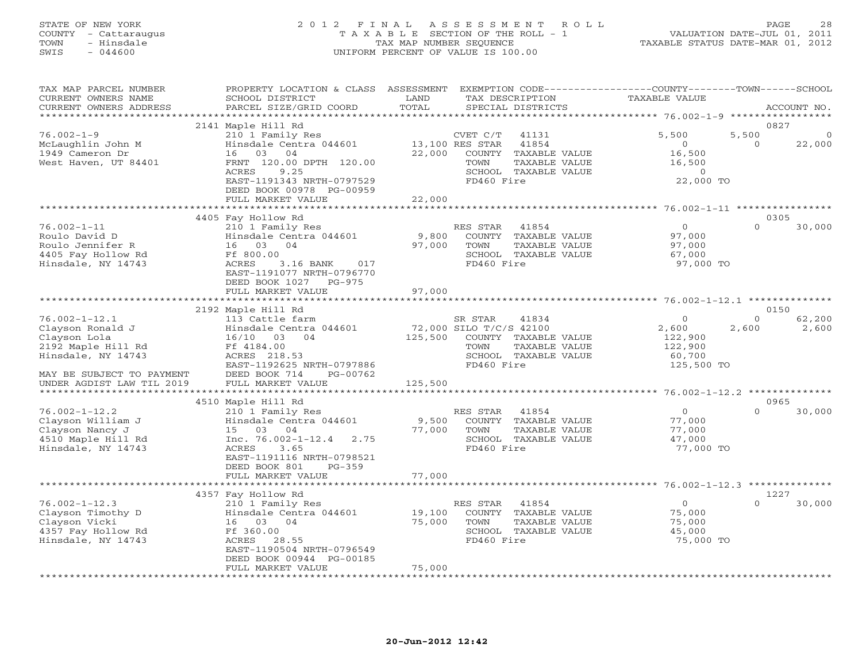## STATE OF NEW YORK 2 0 1 2 F I N A L A S S E S S M E N T R O L L PAGE 28 COUNTY - Cattaraugus T A X A B L E SECTION OF THE ROLL - 1 VALUATION DATE-JUL 01, 2011 TOWN - Hinsdale TAX MAP NUMBER SEQUENCE TAXABLE STATUS DATE-MAR 01, 2012 SWIS - 044600 UNIFORM PERCENT OF VALUE IS 100.00UNIFORM PERCENT OF VALUE IS 100.00

| EXEMPTION CODE-----------------COUNTY-------TOWN------SCHOOL<br>TAX MAP PARCEL NUMBER<br>PROPERTY LOCATION & CLASS ASSESSMENT<br>TAXABLE VALUE<br>CURRENT OWNERS NAME<br>SCHOOL DISTRICT<br>LAND<br>TAX DESCRIPTION<br>TOTAL<br>CURRENT OWNERS ADDRESS<br>PARCEL SIZE/GRID COORD<br>SPECIAL DISTRICTS | ACCOUNT NO.        |
|-------------------------------------------------------------------------------------------------------------------------------------------------------------------------------------------------------------------------------------------------------------------------------------------------------|--------------------|
| **********************                                                                                                                                                                                                                                                                                | *****************  |
| 2141 Maple Hill Rd                                                                                                                                                                                                                                                                                    | 0827               |
| $76.002 - 1 - 9$<br>5,500<br>5,500<br>210 1 Family Res<br>CVET C/T<br>41131                                                                                                                                                                                                                           | $\Omega$           |
| Hinsdale Centra 044601<br>13,100 RES STAR<br>41854<br>$\Omega$<br>McLaughlin John M                                                                                                                                                                                                                   | 22,000<br>$\Omega$ |
| 1949 Cameron Dr<br>03<br>04<br>22,000<br>16,500<br>16<br>COUNTY TAXABLE VALUE                                                                                                                                                                                                                         |                    |
| FRNT 120.00 DPTH 120.00<br>West Haven, UT 84401<br>TAXABLE VALUE<br>16,500<br>TOWN                                                                                                                                                                                                                    |                    |
| ACRES<br>9.25<br>SCHOOL TAXABLE VALUE<br>$\circ$                                                                                                                                                                                                                                                      |                    |
| EAST-1191343 NRTH-0797529<br>FD460 Fire<br>22,000 TO<br>DEED BOOK 00978 PG-00959                                                                                                                                                                                                                      |                    |
| FULL MARKET VALUE<br>22,000                                                                                                                                                                                                                                                                           |                    |
| ********<br>*********** 76.002-1-11 ***********                                                                                                                                                                                                                                                       |                    |
| 4405 Fay Hollow Rd                                                                                                                                                                                                                                                                                    | 0305               |
| $76.002 - 1 - 11$<br>210 1 Family Res<br>RES STAR<br>$\circ$<br>41854                                                                                                                                                                                                                                 | $\Omega$<br>30,000 |
| Roulo David D<br>Hinsdale Centra 044601<br>9,800<br>COUNTY TAXABLE VALUE<br>97,000                                                                                                                                                                                                                    |                    |
| 16 03 04<br>97,000<br>Roulo Jennifer R<br>TOWN<br>TAXABLE VALUE<br>97,000                                                                                                                                                                                                                             |                    |
| 4405 Fay Hollow Rd<br>Ff 800.00<br>SCHOOL TAXABLE VALUE<br>67,000                                                                                                                                                                                                                                     |                    |
| Hinsdale, NY 14743<br>3.16 BANK<br>FD460 Fire<br>ACRES<br>017<br>97,000 TO                                                                                                                                                                                                                            |                    |
| EAST-1191077 NRTH-0796770                                                                                                                                                                                                                                                                             |                    |
| DEED BOOK 1027<br>$PG-975$                                                                                                                                                                                                                                                                            |                    |
| 97,000<br>FULL MARKET VALUE                                                                                                                                                                                                                                                                           |                    |
| **************************                                                                                                                                                                                                                                                                            |                    |
| 2192 Maple Hill Rd                                                                                                                                                                                                                                                                                    | 0150               |
| $76.002 - 1 - 12.1$<br>$\Omega$<br>113 Cattle farm<br>SR STAR<br>41834                                                                                                                                                                                                                                | $\Omega$<br>62,200 |
| Clayson Ronald J<br>Hinsdale Centra 044601<br>72,000 SILO T/C/S 42100<br>2,600<br>2,600                                                                                                                                                                                                               | 2,600              |
| Clayson Lola<br>125,500<br>COUNTY TAXABLE VALUE<br>122,900<br>16/10 03<br>04                                                                                                                                                                                                                          |                    |
| 2192 Maple Hill Rd<br>Ff 4184.00<br>TOWN<br>122,900<br>TAXABLE VALUE                                                                                                                                                                                                                                  |                    |
| Hinsdale, NY 14743<br>ACRES 218.53<br>SCHOOL TAXABLE VALUE<br>60,700                                                                                                                                                                                                                                  |                    |
| EAST-1192625 NRTH-0797886<br>FD460 Fire<br>125,500 TO                                                                                                                                                                                                                                                 |                    |
| MAY BE SUBJECT TO PAYMENT<br>DEED BOOK 714<br>PG-00762                                                                                                                                                                                                                                                |                    |
| UNDER AGDIST LAW TIL 2019<br>FULL MARKET VALUE<br>125,500                                                                                                                                                                                                                                             |                    |
|                                                                                                                                                                                                                                                                                                       |                    |
| 4510 Maple Hill Rd                                                                                                                                                                                                                                                                                    | 0965               |
| $76.002 - 1 - 12.2$<br>210 1 Family Res<br>41854<br>$\circ$<br>RES STAR                                                                                                                                                                                                                               | 30,000<br>$\Omega$ |
| Hinsdale Centra 044601<br>9,500<br>Clayson William J<br>COUNTY TAXABLE VALUE<br>77,000<br>Clayson Nancy J<br>15 03<br>04<br>77,000<br>TOWN<br>TAXABLE VALUE<br>77,000                                                                                                                                 |                    |
| Inc. $76.002 - 1 - 12.4$<br>SCHOOL TAXABLE VALUE<br>4510 Maple Hill Rd<br>2.75<br>47,000                                                                                                                                                                                                              |                    |
| Hinsdale, NY 14743<br>ACRES<br>3.65<br>FD460 Fire<br>77,000 TO                                                                                                                                                                                                                                        |                    |
| EAST-1191116 NRTH-0798521                                                                                                                                                                                                                                                                             |                    |
| DEED BOOK 801<br>$PG-359$                                                                                                                                                                                                                                                                             |                    |
| FULL MARKET VALUE<br>77,000                                                                                                                                                                                                                                                                           |                    |
| ***************************<br>********************************** 76.002-1-12.3 *********                                                                                                                                                                                                             |                    |
| 4357 Fay Hollow Rd                                                                                                                                                                                                                                                                                    | 1227               |
| $76.002 - 1 - 12.3$<br>$\circ$<br>210 1 Family Res<br>RES STAR<br>41854                                                                                                                                                                                                                               | 30,000<br>$\cap$   |
| Clayson Timothy D<br>Hinsdale Centra 044601<br>19,100<br>COUNTY TAXABLE VALUE<br>75,000                                                                                                                                                                                                               |                    |
| Clayson Vicki<br>16 03 04<br>75,000<br>TOWN<br>TAXABLE VALUE<br>75,000                                                                                                                                                                                                                                |                    |
| Ff 360.00<br>4357 Fay Hollow Rd<br>SCHOOL TAXABLE VALUE<br>45,000                                                                                                                                                                                                                                     |                    |
| FD460 Fire<br>Hinsdale, NY 14743<br>ACRES<br>28.55<br>75,000 TO                                                                                                                                                                                                                                       |                    |
| EAST-1190504 NRTH-0796549                                                                                                                                                                                                                                                                             |                    |
| DEED BOOK 00944 PG-00185                                                                                                                                                                                                                                                                              |                    |
| FULL MARKET VALUE<br>75,000                                                                                                                                                                                                                                                                           |                    |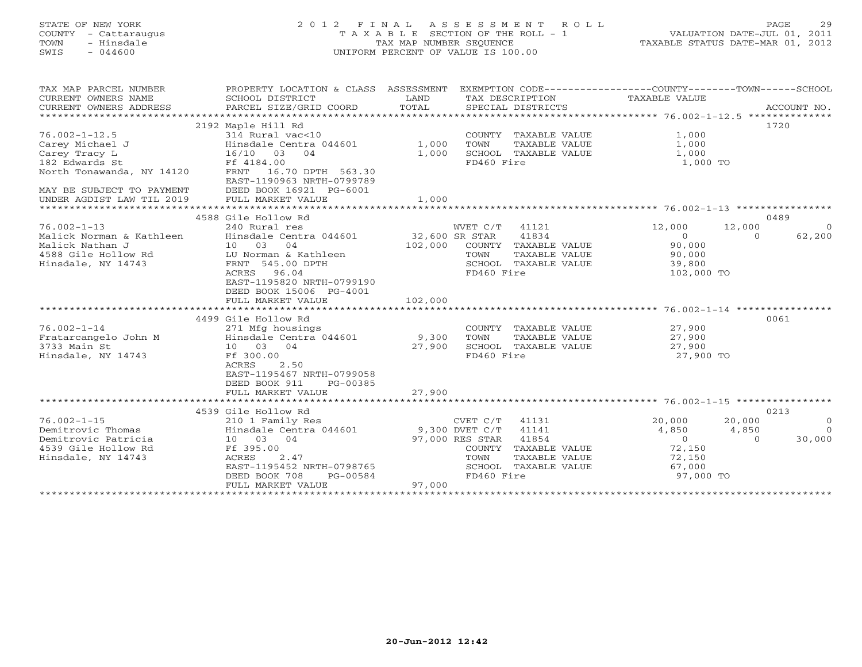# STATE OF NEW YORK 2 0 1 2 F I N A L A S S E S S M E N T R O L L PAGE 29 COUNTY - Cattaraugus T A X A B L E SECTION OF THE ROLL - 1 VALUATION DATE-JUL 01, 2011 TOWN - Hinsdale TAX MAP NUMBER SEQUENCE TAXABLE STATUS DATE-MAR 01, 2012 SWIS - 044600 UNIFORM PERCENT OF VALUE IS 100.00UNIFORM PERCENT OF VALUE IS 100.00

| TAX MAP PARCEL NUMBER     | PROPERTY LOCATION & CLASS ASSESSMENT                |                |                          | EXEMPTION CODE-----------------COUNTY-------TOWN------SCHOOL |             |
|---------------------------|-----------------------------------------------------|----------------|--------------------------|--------------------------------------------------------------|-------------|
| CURRENT OWNERS NAME       | SCHOOL DISTRICT                                     | LAND           | TAX DESCRIPTION          | TAXABLE VALUE                                                |             |
| CURRENT OWNERS ADDRESS    | PARCEL SIZE/GRID COORD                              | TOTAL          | SPECIAL DISTRICTS        |                                                              | ACCOUNT NO. |
|                           |                                                     |                |                          |                                                              |             |
|                           | 2192 Maple Hill Rd                                  |                |                          |                                                              | 1720        |
| $76.002 - 1 - 12.5$       | 314 Rural vac<10                                    |                | COUNTY TAXABLE VALUE     | 1,000                                                        |             |
| Carey Michael J           | Hinsdale Centra 044601                              | 1,000          | TOWN<br>TAXABLE VALUE    | 1,000                                                        |             |
| Carey Tracy L             | 16/10 03<br>04                                      | 1,000          | SCHOOL TAXABLE VALUE     | 1,000                                                        |             |
| 182 Edwards St            | Ff 4184.00                                          |                | FD460 Fire               | 1,000 TO                                                     |             |
| North Tonawanda, NY 14120 | FRNT 16.70 DPTH 563.30<br>EAST-1190963 NRTH-0799789 |                |                          |                                                              |             |
| MAY BE SUBJECT TO PAYMENT | DEED BOOK 16921 PG-6001                             |                |                          |                                                              |             |
| UNDER AGDIST LAW TIL 2019 | FULL MARKET VALUE                                   | 1,000          |                          |                                                              |             |
|                           |                                                     |                |                          |                                                              |             |
|                           | 4588 Gile Hollow Rd                                 |                |                          |                                                              | 0489        |
| $76.002 - 1 - 13$         | 240 Rural res                                       |                | WVET C/T 41121           | 12,000<br>12,000                                             | $\Omega$    |
| Malick Norman & Kathleen  | Hinsdale Centra 044601                              | 32,600 SR STAR | 41834                    | $\Omega$<br>$\circ$                                          | 62,200      |
| Malick Nathan J           | 10 03<br>04                                         | 102,000        | COUNTY TAXABLE VALUE     | 90,000                                                       |             |
| 4588 Gile Hollow Rd       | LU Norman & Kathleen                                |                | TAXABLE VALUE<br>TOWN    | 90,000                                                       |             |
| Hinsdale, NY 14743        | FRNT 545.00 DPTH                                    |                | SCHOOL<br>TAXABLE VALUE  | 39,800                                                       |             |
|                           | 96.04<br>ACRES                                      |                | FD460 Fire               | 102,000 TO                                                   |             |
|                           | EAST-1195820 NRTH-0799190                           |                |                          |                                                              |             |
|                           | DEED BOOK 15006 PG-4001                             |                |                          |                                                              |             |
|                           | FULL MARKET VALUE                                   | 102,000        |                          |                                                              |             |
|                           | *******************************                     |                |                          |                                                              |             |
|                           | 4499 Gile Hollow Rd                                 |                |                          |                                                              | 0061        |
| $76.002 - 1 - 14$         | 271 Mfg housings                                    |                | COUNTY TAXABLE VALUE     | 27,900                                                       |             |
| Fratarcangelo John M      | Hinsdale Centra 044601                              | 9,300          | TOWN<br>TAXABLE VALUE    | 27,900                                                       |             |
| 3733 Main St              | 10 03 04                                            | 27,900         | SCHOOL TAXABLE VALUE     | 27,900                                                       |             |
| Hinsdale, NY 14743        | Ff 300.00                                           |                | FD460 Fire               | 27,900 TO                                                    |             |
|                           | ACRES<br>2.50                                       |                |                          |                                                              |             |
|                           | EAST-1195467 NRTH-0799058                           |                |                          |                                                              |             |
|                           | DEED BOOK 911<br>PG-00385                           |                |                          |                                                              |             |
|                           | FULL MARKET VALUE                                   | 27,900         |                          |                                                              |             |
|                           |                                                     |                |                          |                                                              |             |
|                           | 4539 Gile Hollow Rd                                 |                |                          |                                                              | 0213        |
| $76.002 - 1 - 15$         | 210 1 Family Res                                    |                | $CVET C/T$ 41131         | 20,000<br>20,000                                             | $\Omega$    |
| Demitrovic Thomas         | Hinsdale Centra 044601                              | 9,300 DVET C/T | 41141                    | 4,850<br>4,850                                               | $\bigcirc$  |
| Demitrovic Patricia       | 10 03 04                                            |                | 97,000 RES STAR<br>41854 | $\overline{0}$<br>$\Omega$                                   | 30,000      |
| 4539 Gile Hollow Rd       | Ff 395.00                                           |                | COUNTY<br>TAXABLE VALUE  | 72,150                                                       |             |
| Hinsdale, NY 14743        | 2.47<br>ACRES                                       |                | TOWN<br>TAXABLE VALUE    | 72,150                                                       |             |
|                           | EAST-1195452 NRTH-0798765                           |                | SCHOOL<br>TAXABLE VALUE  | 67,000                                                       |             |
|                           | DEED BOOK 708<br>PG-00584                           |                | FD460 Fire               | 97,000 TO                                                    |             |
|                           | FULL MARKET VALUE                                   | 97,000         |                          |                                                              |             |
|                           |                                                     |                |                          |                                                              |             |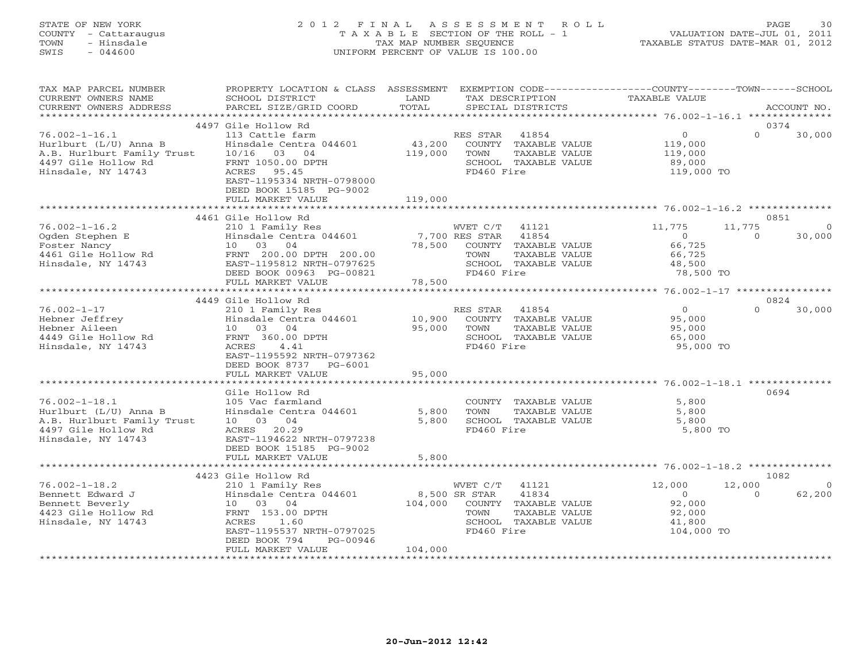## STATE OF NEW YORK 2 0 1 2 F I N A L A S S E S S M E N T R O L L PAGE 30 COUNTY - Cattaraugus T A X A B L E SECTION OF THE ROLL - 1 VALUATION DATE-JUL 01, 2011 TOWN - Hinsdale TAX MAP NUMBER SEQUENCE TAXABLE STATUS DATE-MAR 01, 2012 SWIS - 044600 UNIFORM PERCENT OF VALUE IS 100.00UNIFORM PERCENT OF VALUE IS 100.00

| TAX MAP PARCEL NUMBER<br>CURRENT OWNERS NAME<br>CURRENT OWNERS ADDRESS                                                  | PROPERTY LOCATION & CLASS ASSESSMENT<br>SCHOOL DISTRICT<br>PARCEL SIZE/GRID COORD                                                                                                                      | LAND<br>TOTAL                | EXEMPTION CODE-----------------COUNTY-------TOWN------SCHOOL<br>TAX DESCRIPTION<br>SPECIAL DISTRICTS                                | TAXABLE VALUE                                                        | ACCOUNT NO.                                      |
|-------------------------------------------------------------------------------------------------------------------------|--------------------------------------------------------------------------------------------------------------------------------------------------------------------------------------------------------|------------------------------|-------------------------------------------------------------------------------------------------------------------------------------|----------------------------------------------------------------------|--------------------------------------------------|
| *************************                                                                                               |                                                                                                                                                                                                        |                              |                                                                                                                                     |                                                                      |                                                  |
| $76.002 - 1 - 16.1$<br>Hurlburt (L/U) Anna B<br>A.B. Hurlburt Family Trust<br>4497 Gile Hollow Rd<br>Hinsdale, NY 14743 | 4497 Gile Hollow Rd<br>113 Cattle farm<br>Hinsdale Centra 044601<br>10/16<br>03 04<br>FRNT 1050.00 DPTH<br>ACRES<br>95.45<br>EAST-1195334 NRTH-0798000<br>DEED BOOK 15185 PG-9002<br>FULL MARKET VALUE | 43,200<br>119,000<br>119,000 | RES STAR<br>41854<br>COUNTY TAXABLE VALUE<br>TOWN<br>TAXABLE VALUE<br>SCHOOL TAXABLE VALUE<br>FD460 Fire                            | $\overline{O}$<br>119,000<br>119,000<br>89,000<br>119,000 TO         | 0374<br>$\Omega$<br>30,000                       |
|                                                                                                                         |                                                                                                                                                                                                        |                              |                                                                                                                                     |                                                                      | 0851                                             |
| $76.002 - 1 - 16.2$<br>Ogden Stephen E<br>Foster Nancy<br>4461 Gile Hollow Rd<br>Hinsdale, NY 14743                     | 4461 Gile Hollow Rd<br>210 1 Family Res<br>Hinsdale Centra 044601<br>10 03 04<br>FRNT 200.00 DPTH 200.00<br>EAST-1195812 NRTH-0797625<br>DEED BOOK 00963 PG-00821                                      | 78,500                       | WVET C/T<br>41121<br>7,700 RES STAR<br>41854<br>COUNTY TAXABLE VALUE<br>TOWN<br>TAXABLE VALUE<br>SCHOOL TAXABLE VALUE<br>FD460 Fire | 11,775<br>$\overline{0}$<br>66,725<br>66,725<br>48,500<br>78,500 TO  | 11,775<br>$\circ$<br>30,000<br>$\circ$           |
|                                                                                                                         | FULL MARKET VALUE<br>************************                                                                                                                                                          | 78,500                       |                                                                                                                                     |                                                                      |                                                  |
|                                                                                                                         |                                                                                                                                                                                                        |                              |                                                                                                                                     |                                                                      |                                                  |
| $76.002 - 1 - 17$<br>Hebner Jeffrey<br>Hebner Aileen<br>4449 Gile Hollow Rd<br>Hinsdale, NY 14743                       | 4449 Gile Hollow Rd<br>210 1 Family Res<br>Hinsdale Centra 044601<br>10 03 04<br>FRNT 360.00 DPTH<br>ACRES<br>4.41<br>EAST-1195592 NRTH-0797362<br>DEED BOOK 8737<br>PG-6001<br>FULL MARKET VALUE      | 10,900<br>95,000<br>95,000   | RES STAR<br>41854<br>COUNTY TAXABLE VALUE<br>TOWN<br>TAXABLE VALUE<br>SCHOOL TAXABLE VALUE<br>FD460 Fire                            | $\circ$<br>95,000<br>95,000<br>65,000<br>95,000 TO                   | 0824<br>$\Omega$<br>30,000                       |
|                                                                                                                         |                                                                                                                                                                                                        | *******                      |                                                                                                                                     | ****************** 76.002-1-18.1 **************                      |                                                  |
| $76.002 - 1 - 18.1$<br>Hurlburt (L/U) Anna B<br>A.B. Hurlburt Family Trust<br>4497 Gile Hollow Rd<br>Hinsdale, NY 14743 | Gile Hollow Rd<br>105 Vac farmland<br>Hinsdale Centra 044601<br>10 03 04<br>ACRES 20.29<br>EAST-1194622 NRTH-0797238<br>DEED BOOK 15185 PG-9002                                                        | 5,800<br>5,800               | COUNTY TAXABLE VALUE<br>TOWN<br>TAXABLE VALUE<br>SCHOOL TAXABLE VALUE<br>FD460 Fire                                                 | 5,800<br>5,800<br>5,800<br>5,800 TO                                  | 0694                                             |
|                                                                                                                         | FULL MARKET VALUE                                                                                                                                                                                      | 5,800                        |                                                                                                                                     |                                                                      |                                                  |
|                                                                                                                         |                                                                                                                                                                                                        |                              |                                                                                                                                     | ****************** 76.002-1-18.2 **************                      |                                                  |
| $76.002 - 1 - 18.2$<br>Bennett Edward J<br>Bennett Beverly<br>4423 Gile Hollow Rd<br>Hinsdale, NY 14743                 | 4423 Gile Hollow Rd<br>210 1 Family Res<br>Hinsdale Centra 044601<br>10 03 04<br>FRNT 153.00 DPTH<br>ACRES<br>1.60<br>EAST-1195537 NRTH-0797025<br>DEED BOOK 794<br>PG-00946                           | 104,000                      | 41121<br>WVET C/T<br>8,500 SR STAR<br>41834<br>COUNTY TAXABLE VALUE<br>TAXABLE VALUE<br>TOWN<br>SCHOOL TAXABLE VALUE<br>FD460 Fire  | 12,000<br>$\overline{0}$<br>92,000<br>92,000<br>41,800<br>104,000 TO | 1082<br>12,000<br>$\Omega$<br>62,200<br>$\Omega$ |
|                                                                                                                         | FULL MARKET VALUE                                                                                                                                                                                      | 104,000                      |                                                                                                                                     |                                                                      |                                                  |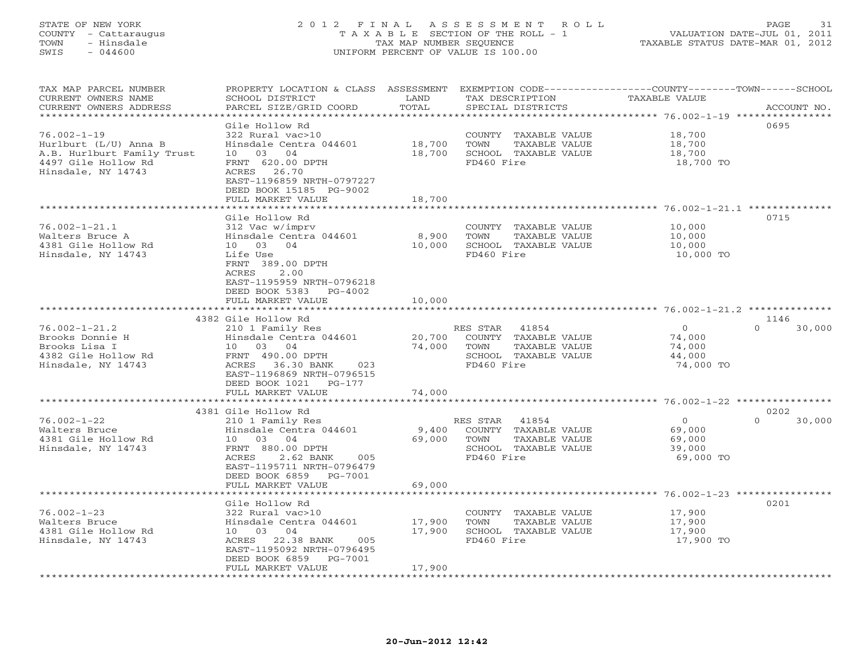## STATE OF NEW YORK 2 0 1 2 F I N A L A S S E S S M E N T R O L L PAGE 31 COUNTY - Cattaraugus T A X A B L E SECTION OF THE ROLL - 1 VALUATION DATE-JUL 01, 2011 TOWN - Hinsdale TAX MAP NUMBER SEQUENCE TAXABLE STATUS DATE-MAR 01, 2012 SWIS - 044600 UNIFORM PERCENT OF VALUE IS 100.00UNIFORM PERCENT OF VALUE IS 100.00

| TAX MAP PARCEL NUMBER<br>CURRENT OWNERS NAME<br>CURRENT OWNERS ADDRESS                                                | PROPERTY LOCATION & CLASS ASSESSMENT<br>SCHOOL DISTRICT<br>PARCEL SIZE/GRID COORD                                                                                                                               | LAND<br>TOTAL                     | EXEMPTION CODE----------------COUNTY-------TOWN-----SCHOOL<br>TAX DESCRIPTION<br>SPECIAL DISTRICTS       | TAXABLE VALUE                                       | ACCOUNT NO.                |
|-----------------------------------------------------------------------------------------------------------------------|-----------------------------------------------------------------------------------------------------------------------------------------------------------------------------------------------------------------|-----------------------------------|----------------------------------------------------------------------------------------------------------|-----------------------------------------------------|----------------------------|
|                                                                                                                       |                                                                                                                                                                                                                 | * * * * * * * *                   |                                                                                                          | ************* 76.002-1-19 *****************         |                            |
| $76.002 - 1 - 19$<br>Hurlburt (L/U) Anna B<br>A.B. Hurlburt Family Trust<br>4497 Gile Hollow Rd<br>Hinsdale, NY 14743 | Gile Hollow Rd<br>322 Rural vac>10<br>Hinsdale Centra 044601<br>03<br>04<br>10<br>FRNT 620.00 DPTH<br>26.70<br>ACRES<br>EAST-1196859 NRTH-0797227                                                               | 18,700<br>18,700                  | COUNTY TAXABLE VALUE<br>TOWN<br>TAXABLE VALUE<br>SCHOOL TAXABLE VALUE<br>FD460 Fire                      | 18,700<br>18,700<br>18,700<br>18,700 TO             | 0695                       |
|                                                                                                                       | DEED BOOK 15185 PG-9002<br>FULL MARKET VALUE<br>*******************                                                                                                                                             | 18,700<br>* * * * * * * * * * * * |                                                                                                          |                                                     |                            |
| $76.002 - 1 - 21.1$<br>Walters Bruce A<br>4381 Gile Hollow Rd<br>Hinsdale, NY 14743                                   | Gile Hollow Rd<br>312 Vac w/imprv<br>Hinsdale Centra 044601<br>10 03<br>04<br>Life Use<br>FRNT 389.00 DPTH<br>2.00<br>ACRES<br>EAST-1195959 NRTH-0796218<br>DEED BOOK 5383<br>PG-4002<br>FULL MARKET VALUE      | 8,900<br>10,000<br>10,000         | COUNTY TAXABLE VALUE<br>TAXABLE VALUE<br>TOWN<br>SCHOOL TAXABLE VALUE<br>FD460 Fire                      | 10,000<br>10,000<br>10,000<br>10,000 TO             | 0715                       |
|                                                                                                                       |                                                                                                                                                                                                                 |                                   |                                                                                                          |                                                     |                            |
| $76.002 - 1 - 21.2$<br>Brooks Donnie H<br>Brooks Lisa I<br>4382 Gile Hollow Rd<br>Hinsdale, NY 14743                  | 4382 Gile Hollow Rd<br>210 1 Family Res<br>Hinsdale Centra 044601<br>10 03 04<br>FRNT 490.00 DPTH<br>36.30 BANK<br>ACRES<br>023<br>EAST-1196869 NRTH-0796515<br>DEED BOOK 1021<br>$PG-177$<br>FULL MARKET VALUE | 20,700<br>74,000<br>74,000        | 41854<br>RES STAR<br>COUNTY TAXABLE VALUE<br>TOWN<br>TAXABLE VALUE<br>SCHOOL TAXABLE VALUE<br>FD460 Fire | $\Omega$<br>74,000<br>74,000<br>44,000<br>74,000 TO | 1146<br>$\cap$<br>30,000   |
|                                                                                                                       | *******************                                                                                                                                                                                             |                                   |                                                                                                          |                                                     |                            |
| $76.002 - 1 - 22$<br>Walters Bruce<br>4381 Gile Hollow Rd<br>Hinsdale, NY 14743                                       | 4381 Gile Hollow Rd<br>210 1 Family Res<br>Hinsdale Centra 044601<br>10 03<br>04<br>FRNT 880.00 DPTH<br>2.62 BANK<br>ACRES<br>005<br>EAST-1195711 NRTH-0796479<br>DEED BOOK 6859<br>PG-7001                     | 9,400<br>69,000                   | 41854<br>RES STAR<br>COUNTY TAXABLE VALUE<br>TOWN<br>TAXABLE VALUE<br>SCHOOL TAXABLE VALUE<br>FD460 Fire | $\circ$<br>69,000<br>69,000<br>39,000<br>69,000 TO  | 0202<br>$\Omega$<br>30,000 |
|                                                                                                                       | FULL MARKET VALUE                                                                                                                                                                                               | 69,000                            |                                                                                                          | $76.002 - 1 - 23$ ****                              |                            |
| $76.002 - 1 - 23$<br>Walters Bruce<br>4381 Gile Hollow Rd<br>Hinsdale, NY 14743                                       | Gile Hollow Rd<br>322 Rural vac>10<br>Hinsdale Centra 044601<br>10 03 04<br>ACRES 22.38 BANK<br>005<br>EAST-1195092 NRTH-0796495<br>DEED BOOK 6859<br>PG-7001<br>FULL MARKET VALUE<br>*****************         | 17,900<br>17,900<br>17,900        | COUNTY TAXABLE VALUE<br>TOWN<br>TAXABLE VALUE<br>SCHOOL TAXABLE VALUE<br>FD460 Fire                      | 17,900<br>17,900<br>17,900<br>17,900 TO             | 0201                       |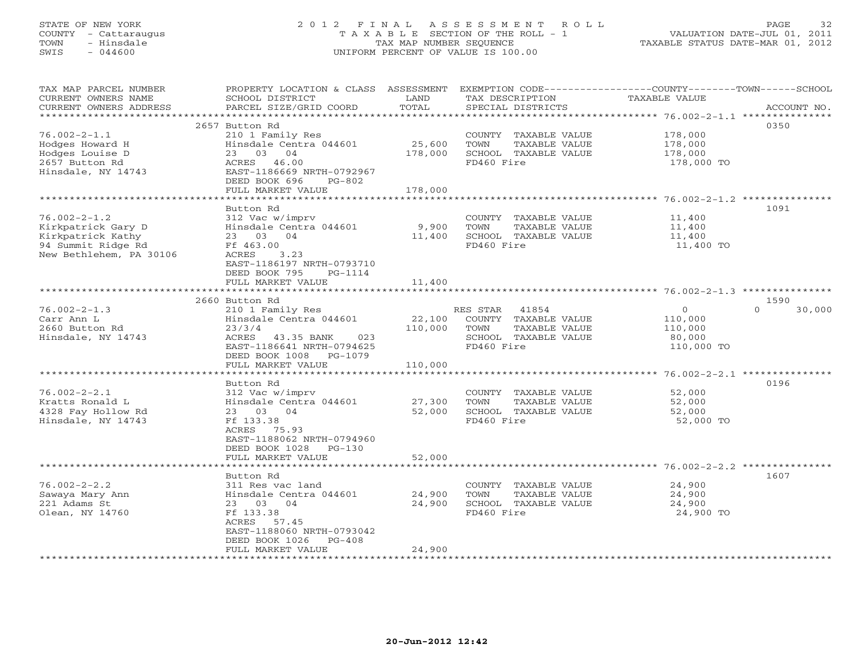## STATE OF NEW YORK 2 0 1 2 F I N A L A S S E S S M E N T R O L L PAGE 32 COUNTY - Cattaraugus T A X A B L E SECTION OF THE ROLL - 1 VALUATION DATE-JUL 01, 2011 TOWN - Hinsdale TAX MAP NUMBER SEQUENCE TAXABLE STATUS DATE-MAR 01, 2012 SWIS - 044600 UNIFORM PERCENT OF VALUE IS 100.00UNIFORM PERCENT OF VALUE IS 100.00

| 2657 Button Rd<br>0350<br>$76.002 - 2 - 1.1$<br>210 1 Family Res<br>178,000<br>COUNTY TAXABLE VALUE<br>TOWN<br>Hodges Howard H<br>Hinsdale Centra 044601<br>25,600<br>TAXABLE VALUE<br>178,000<br>Hodges Louise D<br>23 03 04<br>178,000<br>SCHOOL TAXABLE VALUE<br>178,000<br>2657 Button Rd<br>ACRES 46.00<br>FD460 Fire<br>178,000 TO<br>Hinsdale, NY 14743<br>EAST-1186669 NRTH-0792967<br>DEED BOOK 696<br>PG-802<br>FULL MARKET VALUE<br>178,000<br>Button Rd<br>1091<br>312 Vac w/imprv<br>$76.002 - 2 - 1.2$<br>COUNTY TAXABLE VALUE<br>11,400<br>Kirkpatrick Gary D<br>Hinsdale Centra 044601<br>TOWN<br>TAXABLE VALUE<br>9,900<br>11,400<br>Kirkpatrick Kathy<br>23 03 04<br>11,400<br>SCHOOL TAXABLE VALUE<br>11,400<br>94 Summit Ridge Rd<br>Ff 463.00<br>FD460 Fire<br>11,400 TO<br>New Bethlehem, PA 30106<br>ACRES<br>3.23<br>EAST-1186197 NRTH-0793710<br>DEED BOOK 795<br>PG-1114<br>FULL MARKET VALUE<br>11,400<br>1590<br>2660 Button Rd<br>$76.002 - 2 - 1.3$<br>$\circ$<br>$\cap$<br>30,000<br>210 1 Family Res<br>RES STAR 41854<br>Carr Ann L<br>Hinsdale Centra 044601<br>22,100<br>COUNTY TAXABLE VALUE<br>110,000<br>2660 Button Rd<br>23/3/4<br>110,000<br>TOWN<br>TAXABLE VALUE<br>110,000<br>Hinsdale, NY 14743<br>ACRES<br>023<br>SCHOOL TAXABLE VALUE<br>43.35 BANK<br>80,000<br>EAST-1186641 NRTH-0794625<br>FD460 Fire<br>110,000 TO<br>DEED BOOK 1008 PG-1079<br>110,000<br>FULL MARKET VALUE<br>0196<br>Button Rd<br>$76.002 - 2 - 2.1$<br>52,000<br>312 Vac w/imprv<br>COUNTY TAXABLE VALUE<br>Kratts Ronald L<br>Hinsdale Centra 044601<br>27,300<br>TOWN<br>TAXABLE VALUE<br>52,000<br>4328 Fay Hollow Rd<br>23 03 04<br>52,000<br>SCHOOL TAXABLE VALUE<br>52,000<br>FD460 Fire<br>Hinsdale, NY 14743<br>Ff 133.38<br>52,000 TO<br>ACRES<br>75.93<br>EAST-1188062 NRTH-0794960<br>DEED BOOK 1028 PG-130<br>52,000<br>FULL MARKET VALUE<br>************************* 76.002-2-2.2 *********<br>1607<br>Button Rd<br>$76.002 - 2 - 2.2$<br>24,900<br>311 Res vac land<br>COUNTY TAXABLE VALUE<br>Sawaya Mary Ann<br>Hinsdale Centra 044601<br>24,900<br>TAXABLE VALUE<br>24,900<br>TOWN<br>221 Adams St<br>23 03 04<br>24,900<br>SCHOOL TAXABLE VALUE<br>24,900<br>Olean, NY 14760<br>Ff 133.38<br>FD460 Fire<br>24,900 TO<br>ACRES 57.45<br>EAST-1188060 NRTH-0793042<br>DEED BOOK 1026 PG-408<br>24,900<br>FULL MARKET VALUE | TAX MAP PARCEL NUMBER<br>CURRENT OWNERS NAME<br>CURRENT OWNERS ADDRESS | PROPERTY LOCATION & CLASS ASSESSMENT<br>SCHOOL DISTRICT<br>PARCEL SIZE/GRID COORD | LAND<br>TOTAL | TAX DESCRIPTION<br>SPECIAL DISTRICTS | EXEMPTION CODE-----------------COUNTY-------TOWN------SCHOOL<br><b>TAXABLE VALUE</b><br>ACCOUNT NO. |  |
|--------------------------------------------------------------------------------------------------------------------------------------------------------------------------------------------------------------------------------------------------------------------------------------------------------------------------------------------------------------------------------------------------------------------------------------------------------------------------------------------------------------------------------------------------------------------------------------------------------------------------------------------------------------------------------------------------------------------------------------------------------------------------------------------------------------------------------------------------------------------------------------------------------------------------------------------------------------------------------------------------------------------------------------------------------------------------------------------------------------------------------------------------------------------------------------------------------------------------------------------------------------------------------------------------------------------------------------------------------------------------------------------------------------------------------------------------------------------------------------------------------------------------------------------------------------------------------------------------------------------------------------------------------------------------------------------------------------------------------------------------------------------------------------------------------------------------------------------------------------------------------------------------------------------------------------------------------------------------------------------------------------------------------------------------------------------------------------------------------------------------------------------------------------------------------------------------------------------------------------------------------------------------------------------------------------------------------------------------------------------|------------------------------------------------------------------------|-----------------------------------------------------------------------------------|---------------|--------------------------------------|-----------------------------------------------------------------------------------------------------|--|
|                                                                                                                                                                                                                                                                                                                                                                                                                                                                                                                                                                                                                                                                                                                                                                                                                                                                                                                                                                                                                                                                                                                                                                                                                                                                                                                                                                                                                                                                                                                                                                                                                                                                                                                                                                                                                                                                                                                                                                                                                                                                                                                                                                                                                                                                                                                                                                    |                                                                        |                                                                                   |               |                                      |                                                                                                     |  |
|                                                                                                                                                                                                                                                                                                                                                                                                                                                                                                                                                                                                                                                                                                                                                                                                                                                                                                                                                                                                                                                                                                                                                                                                                                                                                                                                                                                                                                                                                                                                                                                                                                                                                                                                                                                                                                                                                                                                                                                                                                                                                                                                                                                                                                                                                                                                                                    |                                                                        |                                                                                   |               |                                      |                                                                                                     |  |
|                                                                                                                                                                                                                                                                                                                                                                                                                                                                                                                                                                                                                                                                                                                                                                                                                                                                                                                                                                                                                                                                                                                                                                                                                                                                                                                                                                                                                                                                                                                                                                                                                                                                                                                                                                                                                                                                                                                                                                                                                                                                                                                                                                                                                                                                                                                                                                    |                                                                        |                                                                                   |               |                                      |                                                                                                     |  |
|                                                                                                                                                                                                                                                                                                                                                                                                                                                                                                                                                                                                                                                                                                                                                                                                                                                                                                                                                                                                                                                                                                                                                                                                                                                                                                                                                                                                                                                                                                                                                                                                                                                                                                                                                                                                                                                                                                                                                                                                                                                                                                                                                                                                                                                                                                                                                                    |                                                                        |                                                                                   |               |                                      |                                                                                                     |  |
|                                                                                                                                                                                                                                                                                                                                                                                                                                                                                                                                                                                                                                                                                                                                                                                                                                                                                                                                                                                                                                                                                                                                                                                                                                                                                                                                                                                                                                                                                                                                                                                                                                                                                                                                                                                                                                                                                                                                                                                                                                                                                                                                                                                                                                                                                                                                                                    |                                                                        |                                                                                   |               |                                      |                                                                                                     |  |
|                                                                                                                                                                                                                                                                                                                                                                                                                                                                                                                                                                                                                                                                                                                                                                                                                                                                                                                                                                                                                                                                                                                                                                                                                                                                                                                                                                                                                                                                                                                                                                                                                                                                                                                                                                                                                                                                                                                                                                                                                                                                                                                                                                                                                                                                                                                                                                    |                                                                        |                                                                                   |               |                                      |                                                                                                     |  |
|                                                                                                                                                                                                                                                                                                                                                                                                                                                                                                                                                                                                                                                                                                                                                                                                                                                                                                                                                                                                                                                                                                                                                                                                                                                                                                                                                                                                                                                                                                                                                                                                                                                                                                                                                                                                                                                                                                                                                                                                                                                                                                                                                                                                                                                                                                                                                                    |                                                                        |                                                                                   |               |                                      |                                                                                                     |  |
|                                                                                                                                                                                                                                                                                                                                                                                                                                                                                                                                                                                                                                                                                                                                                                                                                                                                                                                                                                                                                                                                                                                                                                                                                                                                                                                                                                                                                                                                                                                                                                                                                                                                                                                                                                                                                                                                                                                                                                                                                                                                                                                                                                                                                                                                                                                                                                    |                                                                        |                                                                                   |               |                                      |                                                                                                     |  |
|                                                                                                                                                                                                                                                                                                                                                                                                                                                                                                                                                                                                                                                                                                                                                                                                                                                                                                                                                                                                                                                                                                                                                                                                                                                                                                                                                                                                                                                                                                                                                                                                                                                                                                                                                                                                                                                                                                                                                                                                                                                                                                                                                                                                                                                                                                                                                                    |                                                                        |                                                                                   |               |                                      |                                                                                                     |  |
|                                                                                                                                                                                                                                                                                                                                                                                                                                                                                                                                                                                                                                                                                                                                                                                                                                                                                                                                                                                                                                                                                                                                                                                                                                                                                                                                                                                                                                                                                                                                                                                                                                                                                                                                                                                                                                                                                                                                                                                                                                                                                                                                                                                                                                                                                                                                                                    |                                                                        |                                                                                   |               |                                      |                                                                                                     |  |
|                                                                                                                                                                                                                                                                                                                                                                                                                                                                                                                                                                                                                                                                                                                                                                                                                                                                                                                                                                                                                                                                                                                                                                                                                                                                                                                                                                                                                                                                                                                                                                                                                                                                                                                                                                                                                                                                                                                                                                                                                                                                                                                                                                                                                                                                                                                                                                    |                                                                        |                                                                                   |               |                                      |                                                                                                     |  |
|                                                                                                                                                                                                                                                                                                                                                                                                                                                                                                                                                                                                                                                                                                                                                                                                                                                                                                                                                                                                                                                                                                                                                                                                                                                                                                                                                                                                                                                                                                                                                                                                                                                                                                                                                                                                                                                                                                                                                                                                                                                                                                                                                                                                                                                                                                                                                                    |                                                                        |                                                                                   |               |                                      |                                                                                                     |  |
|                                                                                                                                                                                                                                                                                                                                                                                                                                                                                                                                                                                                                                                                                                                                                                                                                                                                                                                                                                                                                                                                                                                                                                                                                                                                                                                                                                                                                                                                                                                                                                                                                                                                                                                                                                                                                                                                                                                                                                                                                                                                                                                                                                                                                                                                                                                                                                    |                                                                        |                                                                                   |               |                                      |                                                                                                     |  |
|                                                                                                                                                                                                                                                                                                                                                                                                                                                                                                                                                                                                                                                                                                                                                                                                                                                                                                                                                                                                                                                                                                                                                                                                                                                                                                                                                                                                                                                                                                                                                                                                                                                                                                                                                                                                                                                                                                                                                                                                                                                                                                                                                                                                                                                                                                                                                                    |                                                                        |                                                                                   |               |                                      |                                                                                                     |  |
|                                                                                                                                                                                                                                                                                                                                                                                                                                                                                                                                                                                                                                                                                                                                                                                                                                                                                                                                                                                                                                                                                                                                                                                                                                                                                                                                                                                                                                                                                                                                                                                                                                                                                                                                                                                                                                                                                                                                                                                                                                                                                                                                                                                                                                                                                                                                                                    |                                                                        |                                                                                   |               |                                      |                                                                                                     |  |
|                                                                                                                                                                                                                                                                                                                                                                                                                                                                                                                                                                                                                                                                                                                                                                                                                                                                                                                                                                                                                                                                                                                                                                                                                                                                                                                                                                                                                                                                                                                                                                                                                                                                                                                                                                                                                                                                                                                                                                                                                                                                                                                                                                                                                                                                                                                                                                    |                                                                        |                                                                                   |               |                                      |                                                                                                     |  |
|                                                                                                                                                                                                                                                                                                                                                                                                                                                                                                                                                                                                                                                                                                                                                                                                                                                                                                                                                                                                                                                                                                                                                                                                                                                                                                                                                                                                                                                                                                                                                                                                                                                                                                                                                                                                                                                                                                                                                                                                                                                                                                                                                                                                                                                                                                                                                                    |                                                                        |                                                                                   |               |                                      |                                                                                                     |  |
|                                                                                                                                                                                                                                                                                                                                                                                                                                                                                                                                                                                                                                                                                                                                                                                                                                                                                                                                                                                                                                                                                                                                                                                                                                                                                                                                                                                                                                                                                                                                                                                                                                                                                                                                                                                                                                                                                                                                                                                                                                                                                                                                                                                                                                                                                                                                                                    |                                                                        |                                                                                   |               |                                      |                                                                                                     |  |
|                                                                                                                                                                                                                                                                                                                                                                                                                                                                                                                                                                                                                                                                                                                                                                                                                                                                                                                                                                                                                                                                                                                                                                                                                                                                                                                                                                                                                                                                                                                                                                                                                                                                                                                                                                                                                                                                                                                                                                                                                                                                                                                                                                                                                                                                                                                                                                    |                                                                        |                                                                                   |               |                                      |                                                                                                     |  |
|                                                                                                                                                                                                                                                                                                                                                                                                                                                                                                                                                                                                                                                                                                                                                                                                                                                                                                                                                                                                                                                                                                                                                                                                                                                                                                                                                                                                                                                                                                                                                                                                                                                                                                                                                                                                                                                                                                                                                                                                                                                                                                                                                                                                                                                                                                                                                                    |                                                                        |                                                                                   |               |                                      |                                                                                                     |  |
|                                                                                                                                                                                                                                                                                                                                                                                                                                                                                                                                                                                                                                                                                                                                                                                                                                                                                                                                                                                                                                                                                                                                                                                                                                                                                                                                                                                                                                                                                                                                                                                                                                                                                                                                                                                                                                                                                                                                                                                                                                                                                                                                                                                                                                                                                                                                                                    |                                                                        |                                                                                   |               |                                      |                                                                                                     |  |
|                                                                                                                                                                                                                                                                                                                                                                                                                                                                                                                                                                                                                                                                                                                                                                                                                                                                                                                                                                                                                                                                                                                                                                                                                                                                                                                                                                                                                                                                                                                                                                                                                                                                                                                                                                                                                                                                                                                                                                                                                                                                                                                                                                                                                                                                                                                                                                    |                                                                        |                                                                                   |               |                                      |                                                                                                     |  |
|                                                                                                                                                                                                                                                                                                                                                                                                                                                                                                                                                                                                                                                                                                                                                                                                                                                                                                                                                                                                                                                                                                                                                                                                                                                                                                                                                                                                                                                                                                                                                                                                                                                                                                                                                                                                                                                                                                                                                                                                                                                                                                                                                                                                                                                                                                                                                                    |                                                                        |                                                                                   |               |                                      |                                                                                                     |  |
|                                                                                                                                                                                                                                                                                                                                                                                                                                                                                                                                                                                                                                                                                                                                                                                                                                                                                                                                                                                                                                                                                                                                                                                                                                                                                                                                                                                                                                                                                                                                                                                                                                                                                                                                                                                                                                                                                                                                                                                                                                                                                                                                                                                                                                                                                                                                                                    |                                                                        |                                                                                   |               |                                      |                                                                                                     |  |
|                                                                                                                                                                                                                                                                                                                                                                                                                                                                                                                                                                                                                                                                                                                                                                                                                                                                                                                                                                                                                                                                                                                                                                                                                                                                                                                                                                                                                                                                                                                                                                                                                                                                                                                                                                                                                                                                                                                                                                                                                                                                                                                                                                                                                                                                                                                                                                    |                                                                        |                                                                                   |               |                                      |                                                                                                     |  |
|                                                                                                                                                                                                                                                                                                                                                                                                                                                                                                                                                                                                                                                                                                                                                                                                                                                                                                                                                                                                                                                                                                                                                                                                                                                                                                                                                                                                                                                                                                                                                                                                                                                                                                                                                                                                                                                                                                                                                                                                                                                                                                                                                                                                                                                                                                                                                                    |                                                                        |                                                                                   |               |                                      |                                                                                                     |  |
|                                                                                                                                                                                                                                                                                                                                                                                                                                                                                                                                                                                                                                                                                                                                                                                                                                                                                                                                                                                                                                                                                                                                                                                                                                                                                                                                                                                                                                                                                                                                                                                                                                                                                                                                                                                                                                                                                                                                                                                                                                                                                                                                                                                                                                                                                                                                                                    |                                                                        |                                                                                   |               |                                      |                                                                                                     |  |
|                                                                                                                                                                                                                                                                                                                                                                                                                                                                                                                                                                                                                                                                                                                                                                                                                                                                                                                                                                                                                                                                                                                                                                                                                                                                                                                                                                                                                                                                                                                                                                                                                                                                                                                                                                                                                                                                                                                                                                                                                                                                                                                                                                                                                                                                                                                                                                    |                                                                        |                                                                                   |               |                                      |                                                                                                     |  |
|                                                                                                                                                                                                                                                                                                                                                                                                                                                                                                                                                                                                                                                                                                                                                                                                                                                                                                                                                                                                                                                                                                                                                                                                                                                                                                                                                                                                                                                                                                                                                                                                                                                                                                                                                                                                                                                                                                                                                                                                                                                                                                                                                                                                                                                                                                                                                                    |                                                                        |                                                                                   |               |                                      |                                                                                                     |  |
|                                                                                                                                                                                                                                                                                                                                                                                                                                                                                                                                                                                                                                                                                                                                                                                                                                                                                                                                                                                                                                                                                                                                                                                                                                                                                                                                                                                                                                                                                                                                                                                                                                                                                                                                                                                                                                                                                                                                                                                                                                                                                                                                                                                                                                                                                                                                                                    |                                                                        |                                                                                   |               |                                      |                                                                                                     |  |
|                                                                                                                                                                                                                                                                                                                                                                                                                                                                                                                                                                                                                                                                                                                                                                                                                                                                                                                                                                                                                                                                                                                                                                                                                                                                                                                                                                                                                                                                                                                                                                                                                                                                                                                                                                                                                                                                                                                                                                                                                                                                                                                                                                                                                                                                                                                                                                    |                                                                        |                                                                                   |               |                                      |                                                                                                     |  |
|                                                                                                                                                                                                                                                                                                                                                                                                                                                                                                                                                                                                                                                                                                                                                                                                                                                                                                                                                                                                                                                                                                                                                                                                                                                                                                                                                                                                                                                                                                                                                                                                                                                                                                                                                                                                                                                                                                                                                                                                                                                                                                                                                                                                                                                                                                                                                                    |                                                                        |                                                                                   |               |                                      |                                                                                                     |  |
|                                                                                                                                                                                                                                                                                                                                                                                                                                                                                                                                                                                                                                                                                                                                                                                                                                                                                                                                                                                                                                                                                                                                                                                                                                                                                                                                                                                                                                                                                                                                                                                                                                                                                                                                                                                                                                                                                                                                                                                                                                                                                                                                                                                                                                                                                                                                                                    |                                                                        |                                                                                   |               |                                      |                                                                                                     |  |
|                                                                                                                                                                                                                                                                                                                                                                                                                                                                                                                                                                                                                                                                                                                                                                                                                                                                                                                                                                                                                                                                                                                                                                                                                                                                                                                                                                                                                                                                                                                                                                                                                                                                                                                                                                                                                                                                                                                                                                                                                                                                                                                                                                                                                                                                                                                                                                    |                                                                        |                                                                                   |               |                                      |                                                                                                     |  |
|                                                                                                                                                                                                                                                                                                                                                                                                                                                                                                                                                                                                                                                                                                                                                                                                                                                                                                                                                                                                                                                                                                                                                                                                                                                                                                                                                                                                                                                                                                                                                                                                                                                                                                                                                                                                                                                                                                                                                                                                                                                                                                                                                                                                                                                                                                                                                                    |                                                                        |                                                                                   |               |                                      |                                                                                                     |  |
|                                                                                                                                                                                                                                                                                                                                                                                                                                                                                                                                                                                                                                                                                                                                                                                                                                                                                                                                                                                                                                                                                                                                                                                                                                                                                                                                                                                                                                                                                                                                                                                                                                                                                                                                                                                                                                                                                                                                                                                                                                                                                                                                                                                                                                                                                                                                                                    |                                                                        |                                                                                   |               |                                      |                                                                                                     |  |
|                                                                                                                                                                                                                                                                                                                                                                                                                                                                                                                                                                                                                                                                                                                                                                                                                                                                                                                                                                                                                                                                                                                                                                                                                                                                                                                                                                                                                                                                                                                                                                                                                                                                                                                                                                                                                                                                                                                                                                                                                                                                                                                                                                                                                                                                                                                                                                    |                                                                        |                                                                                   |               |                                      |                                                                                                     |  |
|                                                                                                                                                                                                                                                                                                                                                                                                                                                                                                                                                                                                                                                                                                                                                                                                                                                                                                                                                                                                                                                                                                                                                                                                                                                                                                                                                                                                                                                                                                                                                                                                                                                                                                                                                                                                                                                                                                                                                                                                                                                                                                                                                                                                                                                                                                                                                                    |                                                                        |                                                                                   |               |                                      |                                                                                                     |  |
|                                                                                                                                                                                                                                                                                                                                                                                                                                                                                                                                                                                                                                                                                                                                                                                                                                                                                                                                                                                                                                                                                                                                                                                                                                                                                                                                                                                                                                                                                                                                                                                                                                                                                                                                                                                                                                                                                                                                                                                                                                                                                                                                                                                                                                                                                                                                                                    |                                                                        |                                                                                   |               |                                      |                                                                                                     |  |
|                                                                                                                                                                                                                                                                                                                                                                                                                                                                                                                                                                                                                                                                                                                                                                                                                                                                                                                                                                                                                                                                                                                                                                                                                                                                                                                                                                                                                                                                                                                                                                                                                                                                                                                                                                                                                                                                                                                                                                                                                                                                                                                                                                                                                                                                                                                                                                    |                                                                        |                                                                                   |               |                                      |                                                                                                     |  |
|                                                                                                                                                                                                                                                                                                                                                                                                                                                                                                                                                                                                                                                                                                                                                                                                                                                                                                                                                                                                                                                                                                                                                                                                                                                                                                                                                                                                                                                                                                                                                                                                                                                                                                                                                                                                                                                                                                                                                                                                                                                                                                                                                                                                                                                                                                                                                                    |                                                                        |                                                                                   |               |                                      |                                                                                                     |  |
|                                                                                                                                                                                                                                                                                                                                                                                                                                                                                                                                                                                                                                                                                                                                                                                                                                                                                                                                                                                                                                                                                                                                                                                                                                                                                                                                                                                                                                                                                                                                                                                                                                                                                                                                                                                                                                                                                                                                                                                                                                                                                                                                                                                                                                                                                                                                                                    |                                                                        |                                                                                   |               |                                      |                                                                                                     |  |
|                                                                                                                                                                                                                                                                                                                                                                                                                                                                                                                                                                                                                                                                                                                                                                                                                                                                                                                                                                                                                                                                                                                                                                                                                                                                                                                                                                                                                                                                                                                                                                                                                                                                                                                                                                                                                                                                                                                                                                                                                                                                                                                                                                                                                                                                                                                                                                    |                                                                        |                                                                                   |               |                                      |                                                                                                     |  |
|                                                                                                                                                                                                                                                                                                                                                                                                                                                                                                                                                                                                                                                                                                                                                                                                                                                                                                                                                                                                                                                                                                                                                                                                                                                                                                                                                                                                                                                                                                                                                                                                                                                                                                                                                                                                                                                                                                                                                                                                                                                                                                                                                                                                                                                                                                                                                                    |                                                                        |                                                                                   |               |                                      |                                                                                                     |  |
|                                                                                                                                                                                                                                                                                                                                                                                                                                                                                                                                                                                                                                                                                                                                                                                                                                                                                                                                                                                                                                                                                                                                                                                                                                                                                                                                                                                                                                                                                                                                                                                                                                                                                                                                                                                                                                                                                                                                                                                                                                                                                                                                                                                                                                                                                                                                                                    |                                                                        |                                                                                   |               |                                      |                                                                                                     |  |
|                                                                                                                                                                                                                                                                                                                                                                                                                                                                                                                                                                                                                                                                                                                                                                                                                                                                                                                                                                                                                                                                                                                                                                                                                                                                                                                                                                                                                                                                                                                                                                                                                                                                                                                                                                                                                                                                                                                                                                                                                                                                                                                                                                                                                                                                                                                                                                    |                                                                        |                                                                                   |               |                                      |                                                                                                     |  |
|                                                                                                                                                                                                                                                                                                                                                                                                                                                                                                                                                                                                                                                                                                                                                                                                                                                                                                                                                                                                                                                                                                                                                                                                                                                                                                                                                                                                                                                                                                                                                                                                                                                                                                                                                                                                                                                                                                                                                                                                                                                                                                                                                                                                                                                                                                                                                                    | ********************                                                   |                                                                                   |               |                                      |                                                                                                     |  |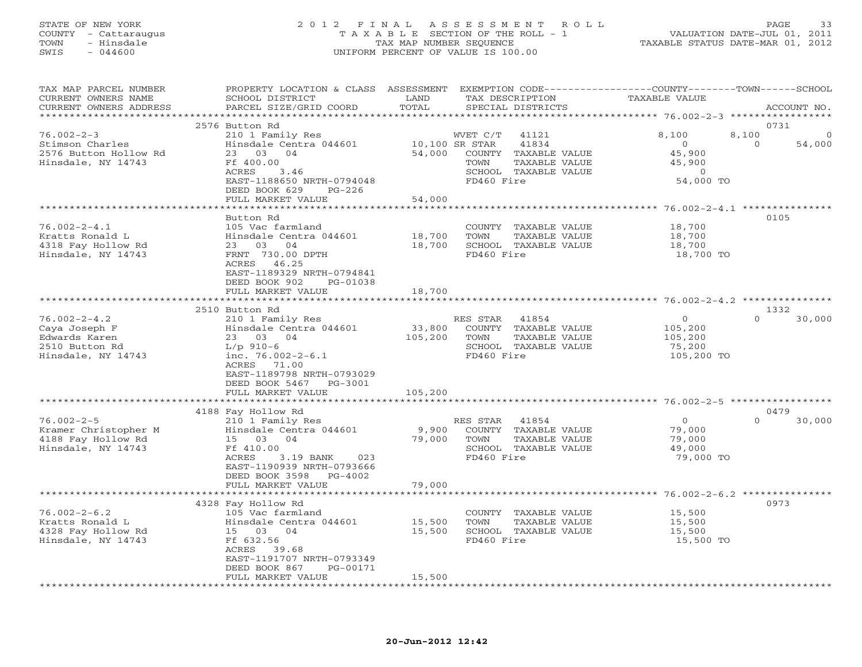## STATE OF NEW YORK 2 0 1 2 F I N A L A S S E S S M E N T R O L L PAGE 33 COUNTY - Cattaraugus T A X A B L E SECTION OF THE ROLL - 1 VALUATION DATE-JUL 01, 2011 TOWN - Hinsdale TAX MAP NUMBER SEQUENCE TAXABLE STATUS DATE-MAR 01, 2012 SWIS - 044600 UNIFORM PERCENT OF VALUE IS 100.00UNIFORM PERCENT OF VALUE IS 100.00

| TAX MAP PARCEL NUMBER<br>CURRENT OWNERS NAME<br>CURRENT OWNERS ADDRESS | PROPERTY LOCATION & CLASS<br>SCHOOL DISTRICT<br>PARCEL SIZE/GRID COORD                       | ASSESSMENT<br>LAND<br>TOTAL | EXEMPTION CODE-----------------COUNTY-------TOWN------SCHOOL<br>TAX DESCRIPTION<br>SPECIAL DISTRICTS | TAXABLE VALUE                                                       | ACCOUNT NO.                |
|------------------------------------------------------------------------|----------------------------------------------------------------------------------------------|-----------------------------|------------------------------------------------------------------------------------------------------|---------------------------------------------------------------------|----------------------------|
|                                                                        |                                                                                              | * * * * * * * * *           |                                                                                                      | ***************** 76.002-2-3 ***********                            |                            |
| $76.002 - 2 - 3$<br>Stimson Charles                                    | 2576 Button Rd<br>210 1 Family Res<br>Hinsdale Centra 044601                                 | 10,100 SR STAR              | WVET C/T<br>41121<br>41834                                                                           | 8,100<br>8,100<br>$\circ$                                           | 0731<br>54,000<br>$\Omega$ |
| 2576 Button Hollow Rd<br>Hinsdale, NY 14743                            | 23 03<br>04<br>Ff 400.00<br>ACRES<br>3.46<br>EAST-1188650 NRTH-0794048                       | 54,000                      | COUNTY TAXABLE VALUE<br>TOWN<br>TAXABLE VALUE<br>SCHOOL TAXABLE VALUE<br>FD460 Fire                  | 45,900<br>45,900<br>$\Omega$<br>54,000 TO                           |                            |
|                                                                        | DEED BOOK 629<br>$PG-226$<br>FULL MARKET VALUE                                               | 54,000                      |                                                                                                      |                                                                     |                            |
|                                                                        | ******************                                                                           |                             |                                                                                                      | *************** 76.002-2-4.1 ****************                       |                            |
|                                                                        | Button Rd                                                                                    |                             |                                                                                                      |                                                                     | 0105                       |
| $76.002 - 2 - 4.1$                                                     | 105 Vac farmland                                                                             |                             | COUNTY TAXABLE VALUE                                                                                 | 18,700                                                              |                            |
| Kratts Ronald L                                                        | Hinsdale Centra 044601                                                                       | 18,700                      | TOWN<br>TAXABLE VALUE                                                                                | 18,700                                                              |                            |
| 4318 Fay Hollow Rd                                                     | 23 03<br>04                                                                                  | 18,700                      | SCHOOL TAXABLE VALUE                                                                                 | 18,700                                                              |                            |
| Hinsdale, NY 14743                                                     | FRNT 730.00 DPTH<br>ACRES<br>46.25<br>EAST-1189329 NRTH-0794841<br>DEED BOOK 902<br>PG-01038 |                             | FD460 Fire                                                                                           | 18,700 TO                                                           |                            |
|                                                                        | FULL MARKET VALUE                                                                            | 18,700                      |                                                                                                      |                                                                     |                            |
|                                                                        | 2510 Button Rd                                                                               |                             |                                                                                                      | ***************** 76.002-2-4.2 ***************                      | 1332                       |
| $76.002 - 2 - 4.2$                                                     | 210 1 Family Res                                                                             |                             | RES STAR<br>41854                                                                                    | $\Omega$                                                            | $\Omega$<br>30,000         |
| Caya Joseph F                                                          | Hinsdale Centra 044601                                                                       | 33,800                      | COUNTY TAXABLE VALUE                                                                                 | 105,200                                                             |                            |
| Edwards Karen                                                          | 23 03<br>04                                                                                  | 105,200                     | TAXABLE VALUE<br>TOWN                                                                                | 105,200                                                             |                            |
| 2510 Button Rd                                                         | $L/p$ 910-6                                                                                  |                             | SCHOOL TAXABLE VALUE                                                                                 | 75,200                                                              |                            |
| Hinsdale, NY 14743                                                     | inc. $76.002 - 2 - 6.1$<br>71.00<br>ACRES<br>EAST-1189798 NRTH-0793029                       |                             | FD460 Fire                                                                                           | 105,200 TO                                                          |                            |
|                                                                        | DEED BOOK 5467<br>$PG-3001$                                                                  |                             |                                                                                                      |                                                                     |                            |
|                                                                        | FULL MARKET VALUE                                                                            | 105,200                     |                                                                                                      |                                                                     |                            |
|                                                                        |                                                                                              | * * * * * * * * * * * *     |                                                                                                      | **************************************56.002-2-5 ****************** |                            |
|                                                                        | 4188 Fay Hollow Rd                                                                           |                             |                                                                                                      |                                                                     | 0479<br>$\Omega$           |
| $76.002 - 2 - 5$                                                       | 210 1 Family Res                                                                             |                             | RES STAR<br>41854<br>COUNTY                                                                          | $\circ$                                                             | 30,000                     |
| Kramer Christopher M<br>4188 Fay Hollow Rd                             | Hinsdale Centra 044601<br>15 03<br>04                                                        | 9,900<br>79,000             | TAXABLE VALUE<br>TOWN<br>TAXABLE VALUE                                                               | 79,000<br>79,000                                                    |                            |
| Hinsdale, NY 14743                                                     | Ff 410.00                                                                                    |                             | SCHOOL TAXABLE VALUE                                                                                 | 49,000                                                              |                            |
|                                                                        | ACRES<br>3.19 BANK<br>023<br>EAST-1190939 NRTH-0793666<br>DEED BOOK 3598<br>PG-4002          |                             | FD460 Fire                                                                                           | 79,000 TO                                                           |                            |
|                                                                        | FULL MARKET VALUE                                                                            | 79,000                      |                                                                                                      |                                                                     |                            |
|                                                                        | **********************                                                                       | *********                   |                                                                                                      | ******************** 76.002-2-6.2 ****************                  |                            |
|                                                                        | 4328 Fay Hollow Rd                                                                           |                             |                                                                                                      |                                                                     | 0973                       |
| $76.002 - 2 - 6.2$                                                     | 105 Vac farmland                                                                             |                             | COUNTY TAXABLE VALUE                                                                                 | 15,500                                                              |                            |
| Kratts Ronald L                                                        | Hinsdale Centra 044601                                                                       | 15,500                      | TOWN<br>TAXABLE VALUE                                                                                | 15,500                                                              |                            |
| 4328 Fay Hollow Rd                                                     | 15 03<br>04                                                                                  | 15,500                      | SCHOOL TAXABLE VALUE                                                                                 | 15,500                                                              |                            |
| Hinsdale, NY 14743                                                     | Ff 632.56                                                                                    |                             | FD460 Fire                                                                                           | 15,500 TO                                                           |                            |
|                                                                        | ACRES<br>39.68<br>EAST-1191707 NRTH-0793349                                                  |                             |                                                                                                      |                                                                     |                            |
|                                                                        | DEED BOOK 867<br>PG-00171                                                                    |                             |                                                                                                      |                                                                     |                            |
|                                                                        | FULL MARKET VALUE                                                                            | 15,500                      |                                                                                                      |                                                                     |                            |
|                                                                        |                                                                                              |                             |                                                                                                      |                                                                     |                            |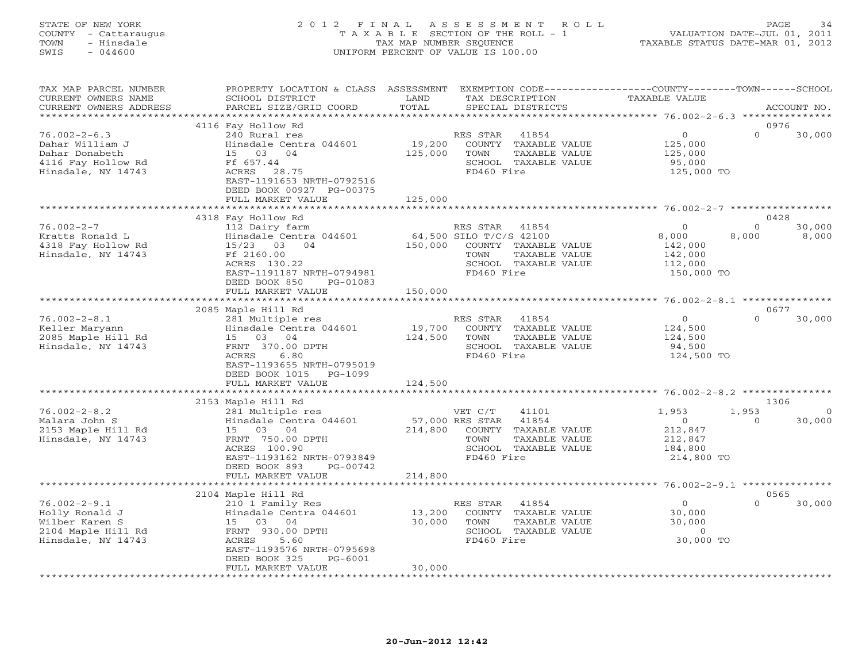## STATE OF NEW YORK 2 0 1 2 F I N A L A S S E S S M E N T R O L L PAGE 34 COUNTY - Cattaraugus T A X A B L E SECTION OF THE ROLL - 1 VALUATION DATE-JUL 01, 2011 TOWN - Hinsdale TAX MAP NUMBER SEQUENCE TAXABLE STATUS DATE-MAR 01, 2012 SWIS - 044600 UNIFORM PERCENT OF VALUE IS 100.00UNIFORM PERCENT OF VALUE IS 100.00

| TAX MAP PARCEL NUMBER<br>CURRENT OWNERS NAME                                                        | PROPERTY LOCATION & CLASS ASSESSMENT<br>SCHOOL DISTRICT                                                                                                                                    | LAND<br>TOTAL                   | TAX DESCRIPTION                                                                                                                     | EXEMPTION CODE----------------COUNTY-------TOWN-----SCHOOL<br><b>TAXABLE VALUE</b> |                                      |
|-----------------------------------------------------------------------------------------------------|--------------------------------------------------------------------------------------------------------------------------------------------------------------------------------------------|---------------------------------|-------------------------------------------------------------------------------------------------------------------------------------|------------------------------------------------------------------------------------|--------------------------------------|
| CURRENT OWNERS ADDRESS<br>************************                                                  | PARCEL SIZE/GRID COORD                                                                                                                                                                     |                                 | SPECIAL DISTRICTS                                                                                                                   |                                                                                    | ACCOUNT NO.                          |
|                                                                                                     | 4116 Fay Hollow Rd                                                                                                                                                                         |                                 |                                                                                                                                     |                                                                                    | 0976                                 |
| $76.002 - 2 - 6.3$<br>Dahar William J<br>Dahar Donabeth<br>4116 Fay Hollow Rd<br>Hinsdale, NY 14743 | 240 Rural res<br>Hinsdale Centra 044601<br>15 03 04<br>Ff 657.44<br>ACRES 28.75<br>EAST-1191653 NRTH-0792516<br>DEED BOOK 00927 PG-00375                                                   | 19,200<br>125,000               | RES STAR<br>41854<br>COUNTY TAXABLE VALUE<br>TOWN<br>TAXABLE VALUE<br>SCHOOL TAXABLE VALUE<br>FD460 Fire                            | $\circ$<br>125,000<br>125,000<br>95,000<br>125,000 TO                              | $\Omega$<br>30,000                   |
|                                                                                                     | FULL MARKET VALUE                                                                                                                                                                          | 125,000<br>*********            |                                                                                                                                     |                                                                                    |                                      |
|                                                                                                     |                                                                                                                                                                                            |                                 |                                                                                                                                     | ********************** 76.002-2-7 *************                                    |                                      |
| $76.002 - 2 - 7$<br>Kratts Ronald L<br>4318 Fay Hollow Rd<br>Hinsdale, NY 14743                     | 4318 Fay Hollow Rd<br>112 Dairy farm<br>Hinsdale Centra 044601<br>15/23 03 04<br>Ff 2160.00<br>ACRES 130.22<br>EAST-1191187 NRTH-0794981<br>DEED BOOK 850<br>PG-01083<br>FULL MARKET VALUE | 150,000<br>150,000              | RES STAR<br>41854<br>64,500 SILO T/C/S 42100<br>COUNTY TAXABLE VALUE<br>TOWN<br>TAXABLE VALUE<br>SCHOOL TAXABLE VALUE<br>FD460 Fire | $\Omega$<br>8,000<br>8,000<br>142,000<br>142,000<br>112,000<br>150,000 TO          | 0428<br>$\Omega$<br>30,000<br>8,000  |
|                                                                                                     | **************************                                                                                                                                                                 |                                 |                                                                                                                                     |                                                                                    |                                      |
|                                                                                                     | 2085 Maple Hill Rd                                                                                                                                                                         |                                 |                                                                                                                                     |                                                                                    | 0677                                 |
| $76.002 - 2 - 8.1$<br>Keller Maryann<br>2085 Maple Hill Rd<br>Hinsdale, NY 14743                    | 281 Multiple res<br>Hinsdale Centra 044601<br>15 03 04<br>FRNT 370.00 DPTH<br>ACRES<br>6.80<br>EAST-1193655 NRTH-0795019<br>DEED BOOK 1015<br>$PG-1099$                                    | 19,700<br>124,500               | RES STAR<br>41854<br>COUNTY TAXABLE VALUE<br>TOWN<br>TAXABLE VALUE<br>SCHOOL TAXABLE VALUE<br>FD460 Fire                            | $\circ$<br>124,500<br>124,500<br>94,500<br>124,500 TO                              | $\Omega$<br>30,000                   |
|                                                                                                     | FULL MARKET VALUE                                                                                                                                                                          | 124,500                         |                                                                                                                                     |                                                                                    |                                      |
|                                                                                                     |                                                                                                                                                                                            |                                 |                                                                                                                                     |                                                                                    |                                      |
|                                                                                                     | 2153 Maple Hill Rd                                                                                                                                                                         |                                 |                                                                                                                                     |                                                                                    | 1306                                 |
| $76.002 - 2 - 8.2$<br>Malara John S<br>2153 Maple Hill Rd<br>Hinsdale, NY 14743                     | 281 Multiple res<br>Hinsdale Centra 044601<br>15 03 04<br>FRNT 750.00 DPTH<br>ACRES 100.90<br>EAST-1193162 NRTH-0793849<br>DEED BOOK 893<br>PG-00742                                       | 214,800                         | VET C/T<br>41101<br>57,000 RES STAR<br>41854<br>COUNTY TAXABLE VALUE<br>TAXABLE VALUE<br>TOWN<br>SCHOOL TAXABLE VALUE<br>FD460 Fire | 1,953<br>1,953<br>$\circ$<br>212,847<br>212,847<br>184,800<br>214,800 TO           | $\overline{0}$<br>$\Omega$<br>30,000 |
|                                                                                                     | FULL MARKET VALUE                                                                                                                                                                          | 214,800                         |                                                                                                                                     |                                                                                    |                                      |
|                                                                                                     | 2104 Maple Hill Rd                                                                                                                                                                         |                                 |                                                                                                                                     |                                                                                    | 0565                                 |
| $76.002 - 2 - 9.1$<br>Holly Ronald J<br>Wilber Karen S<br>2104 Maple Hill Rd<br>Hinsdale, NY 14743  | 210 1 Family Res<br>Hinsdale Centra 044601<br>15 03 04<br>FRNT 930.00 DPTH<br><b>ACRES</b><br>5.60<br>EAST-1193576 NRTH-0795698<br>DEED BOOK 325<br>PG-6001                                | 13,200<br>30,000                | RES STAR<br>41854<br>COUNTY TAXABLE VALUE<br>TOWN<br>TAXABLE VALUE<br>SCHOOL TAXABLE VALUE<br>FD460 Fire                            | $\circ$<br>30,000<br>30,000<br>$\circ$<br>30,000 TO                                | $\Omega$<br>30,000                   |
|                                                                                                     | FULL MARKET VALUE                                                                                                                                                                          | 30,000                          |                                                                                                                                     |                                                                                    |                                      |
|                                                                                                     |                                                                                                                                                                                            | * * * * * * * * * * * * * * * * |                                                                                                                                     |                                                                                    |                                      |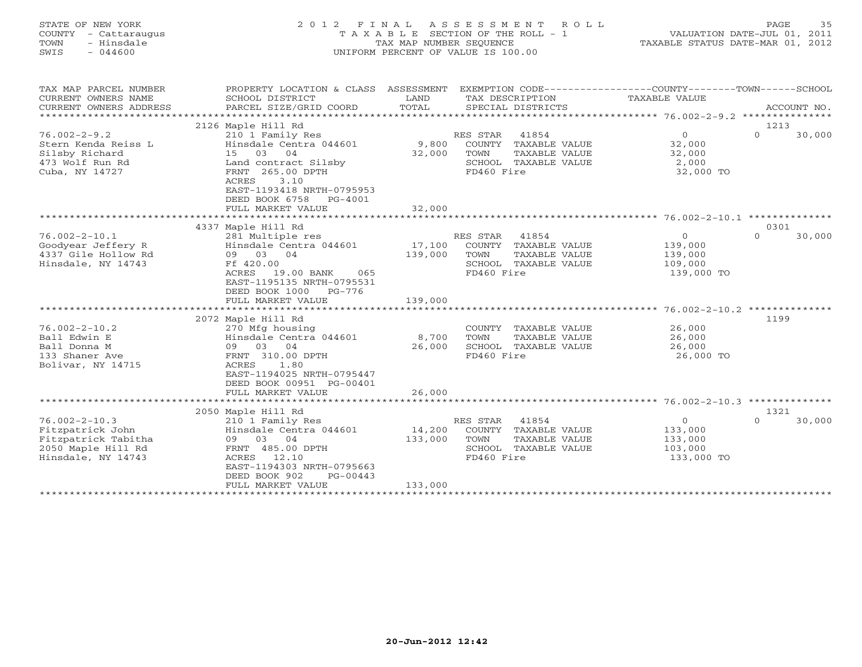| STATE OF NEW YORK       | 2 0 1 2<br>FINAL                                                                                |                                    | A S S E S S M E N T | ROLL                 |                                  | PAGE     | 35          |
|-------------------------|-------------------------------------------------------------------------------------------------|------------------------------------|---------------------|----------------------|----------------------------------|----------|-------------|
| COUNTY<br>- Cattaraugus |                                                                                                 | TAXABLE SECTION OF THE ROLL - 1    |                     |                      | VALUATION DATE-JUL 01, 2011      |          |             |
| TOWN<br>- Hinsdale      |                                                                                                 | TAX MAP NUMBER SEQUENCE            |                     |                      | TAXABLE STATUS DATE-MAR 01, 2012 |          |             |
| $-044600$<br>SWIS       |                                                                                                 | UNIFORM PERCENT OF VALUE IS 100.00 |                     |                      |                                  |          |             |
|                         |                                                                                                 |                                    |                     |                      |                                  |          |             |
| TAX MAP PARCEL NUMBER   | PROPERTY LOCATION & CLASS ASSESSMENT EXEMPTION CODE---------------COUNTY-------TOWN------SCHOOL |                                    |                     |                      |                                  |          |             |
| CURRENT OWNERS NAME     | SCHOOL DISTRICT                                                                                 | LAND                               |                     | TAX DESCRIPTION      | <b>TAXABLE VALUE</b>             |          |             |
| CURRENT OWNERS ADDRESS  | PARCEL SIZE/GRID COORD                                                                          | TOTAL                              |                     | SPECIAL DISTRICTS    |                                  |          | ACCOUNT NO. |
|                         |                                                                                                 |                                    |                     |                      |                                  |          |             |
|                         | 2126 Maple Hill Rd                                                                              |                                    |                     |                      |                                  | 1213     |             |
| $76.002 - 2 - 9.2$      | 210 1 Family Res                                                                                |                                    | RES STAR            | 41854                | $\circ$                          | $\cap$   | 30,000      |
| Stern Kenda Reiss L     | Hinsdale Centra 044601                                                                          | 9,800                              |                     | COUNTY TAXABLE VALUE | 32,000                           |          |             |
| Silsby Richard          | 15 03 04                                                                                        | 32,000                             | TOWN                | TAXABLE VALUE        | 32,000                           |          |             |
| 473 Wolf Run Rd         | Land contract Silsby                                                                            |                                    |                     | SCHOOL TAXABLE VALUE | 2,000                            |          |             |
| Cuba, NY 14727          | FRNT 265.00 DPTH                                                                                |                                    | FD460 Fire          |                      | 32,000 TO                        |          |             |
|                         | 3.10<br>ACRES                                                                                   |                                    |                     |                      |                                  |          |             |
|                         | EAST-1193418 NRTH-0795953                                                                       |                                    |                     |                      |                                  |          |             |
|                         | DEED BOOK 6758<br>PG-4001                                                                       |                                    |                     |                      |                                  |          |             |
|                         | FULL MARKET VALUE                                                                               | 32,000                             |                     |                      |                                  |          |             |
|                         |                                                                                                 |                                    |                     |                      |                                  |          |             |
|                         | 4337 Maple Hill Rd                                                                              |                                    |                     |                      |                                  | 0301     |             |
| $76.002 - 2 - 10.1$     | 281 Multiple res                                                                                |                                    | RES STAR            | 41854                | $\circ$                          | $\cap$   | 30,000      |
| Goodyear Jeffery R      | Hinsdale Centra 044601                                                                          | 17,100                             |                     | COUNTY TAXABLE VALUE | 139,000                          |          |             |
| 4337 Gile Hollow Rd     | 09 03 04                                                                                        | 139,000                            | TOWN                | TAXABLE VALUE        | 139,000                          |          |             |
| Hinsdale, NY 14743      | Ff 420.00                                                                                       |                                    |                     | SCHOOL TAXABLE VALUE | 109,000                          |          |             |
|                         | ACRES 19.00 BANK<br>065                                                                         |                                    | FD460 Fire          |                      | 139,000 TO                       |          |             |
|                         | EAST-1195135 NRTH-0795531                                                                       |                                    |                     |                      |                                  |          |             |
|                         | DEED BOOK 1000<br>PG-776                                                                        |                                    |                     |                      |                                  |          |             |
|                         | FULL MARKET VALUE                                                                               | 139,000                            |                     |                      |                                  |          |             |
|                         |                                                                                                 |                                    |                     |                      |                                  |          |             |
|                         | 2072 Maple Hill Rd                                                                              |                                    |                     |                      |                                  | 1199     |             |
| $76.002 - 2 - 10.2$     | 270 Mfg housing                                                                                 |                                    |                     | COUNTY TAXABLE VALUE | 26,000                           |          |             |
| Ball Edwin E            | Hinsdale Centra 044601                                                                          | 8,700                              | TOWN                | TAXABLE VALUE        | 26,000                           |          |             |
| Ball Donna M            | 09 03 04                                                                                        | 26,000                             |                     | SCHOOL TAXABLE VALUE | 26,000                           |          |             |
| 133 Shaner Ave          | FRNT 310.00 DPTH                                                                                |                                    | FD460 Fire          |                      | 26,000 TO                        |          |             |
| Bolivar, NY 14715       | 1.80<br>ACRES                                                                                   |                                    |                     |                      |                                  |          |             |
|                         | EAST-1194025 NRTH-0795447                                                                       |                                    |                     |                      |                                  |          |             |
|                         | DEED BOOK 00951 PG-00401                                                                        |                                    |                     |                      |                                  |          |             |
|                         | FULL MARKET VALUE                                                                               | 26,000                             |                     |                      |                                  |          |             |
|                         |                                                                                                 |                                    |                     |                      |                                  |          |             |
|                         | 2050 Maple Hill Rd                                                                              |                                    |                     |                      |                                  | 1321     |             |
| $76.002 - 2 - 10.3$     | 210 1 Family Res                                                                                |                                    | RES STAR            | 41854                | $\circ$                          | $\Omega$ | 30,000      |
| Fitzpatrick John        | Hinsdale Centra 044601                                                                          | 14,200                             |                     | COUNTY TAXABLE VALUE | 133,000                          |          |             |
| Fitzpatrick Tabitha     | 09<br>03<br>04                                                                                  | 133,000                            | TOWN                | TAXABLE VALUE        | 133,000                          |          |             |

2050 Maple Hill Rd FRNT 485.00 DPTH SCHOOL TAXABLE VALUE 103,000

Hinsdale, NY 14743 ACRES 12.10 FD460 Fire 133,000 TO EAST-1194303 NRTH-0795663 DEED BOOK 902 PG-00443 FULL MARKET VALUE 133,000 \*\*\*\*\*\*\*\*\*\*\*\*\*\*\*\*\*\*\*\*\*\*\*\*\*\*\*\*\*\*\*\*\*\*\*\*\*\*\*\*\*\*\*\*\*\*\*\*\*\*\*\*\*\*\*\*\*\*\*\*\*\*\*\*\*\*\*\*\*\*\*\*\*\*\*\*\*\*\*\*\*\*\*\*\*\*\*\*\*\*\*\*\*\*\*\*\*\*\*\*\*\*\*\*\*\*\*\*\*\*\*\*\*\*\*\*\*\*\*\*\*\*\*\*\*\*\*\*\*\*\*\*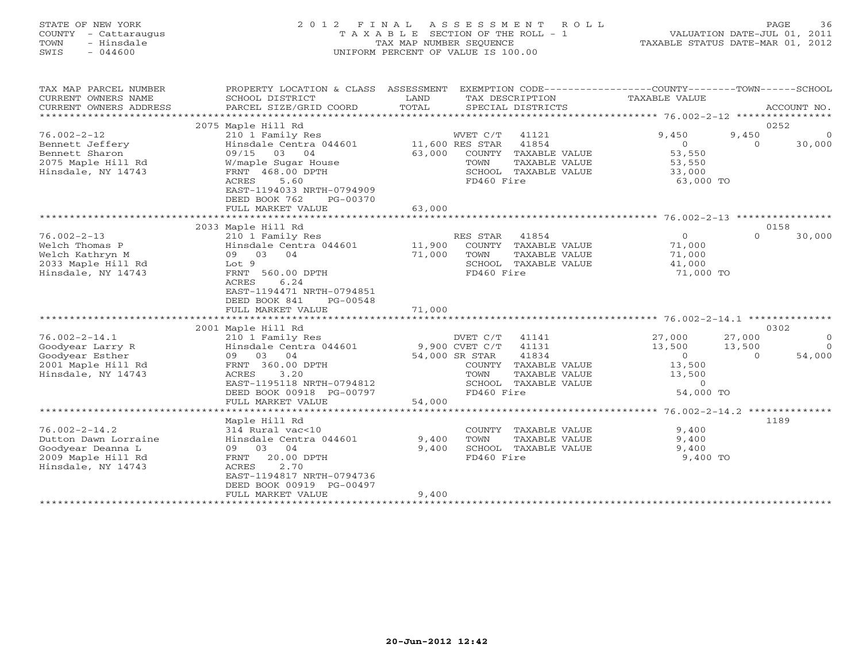## STATE OF NEW YORK 2 0 1 2 F I N A L A S S E S S M E N T R O L L PAGE 36 COUNTY - Cattaraugus T A X A B L E SECTION OF THE ROLL - 1 VALUATION DATE-JUL 01, 2011 TOWN - Hinsdale TAX MAP NUMBER SEQUENCE TAXABLE STATUS DATE-MAR 01, 2012 SWIS - 044600 UNIFORM PERCENT OF VALUE IS 100.00UNIFORM PERCENT OF VALUE IS 100.00

| TAX MAP PARCEL NUMBER<br>CURRENT OWNERS NAME<br>CURRENT OWNERS ADDRESS    | PROPERTY LOCATION & CLASS ASSESSMENT<br>SCHOOL DISTRICT<br>PARCEL SIZE/GRID COORD | LAND<br>TOTAL   |                | TAX DESCRIPTION<br>SPECIAL DISTRICTS | EXEMPTION CODE-----------------COUNTY-------TOWN------SCHOOL<br>TAXABLE VALUE |          | ACCOUNT NO. |
|---------------------------------------------------------------------------|-----------------------------------------------------------------------------------|-----------------|----------------|--------------------------------------|-------------------------------------------------------------------------------|----------|-------------|
| 0252<br>2075 Maple Hill Rd                                                |                                                                                   |                 |                |                                      |                                                                               |          |             |
|                                                                           |                                                                                   |                 |                |                                      |                                                                               |          |             |
| $76.002 - 2 - 12$                                                         | 210 1 Family Res                                                                  |                 | WVET C/T       | 41121                                | 9,450                                                                         | 9,450    | $\Omega$    |
| Bennett Jeffery                                                           | Hinsdale Centra 044601                                                            | 11,600 RES STAR |                | 41854                                | $\circ$                                                                       | $\Omega$ | 30,000      |
| Bennett Sharon                                                            | 09/15<br>03<br>04                                                                 | 63,000          |                | COUNTY TAXABLE VALUE                 | 53,550                                                                        |          |             |
| 2075 Maple Hill Rd                                                        | W/maple Sugar House                                                               |                 | TOWN           | TAXABLE VALUE                        | 53,550                                                                        |          |             |
| Hinsdale, NY 14743                                                        | FRNT 468.00 DPTH                                                                  |                 |                | SCHOOL TAXABLE VALUE                 | 33,000                                                                        |          |             |
|                                                                           | 5.60<br>ACRES                                                                     |                 | FD460 Fire     |                                      | 63,000 TO                                                                     |          |             |
|                                                                           | EAST-1194033 NRTH-0794909                                                         |                 |                |                                      |                                                                               |          |             |
|                                                                           | DEED BOOK 762<br>PG-00370                                                         |                 |                |                                      |                                                                               |          |             |
|                                                                           | FULL MARKET VALUE                                                                 | 63,000          |                |                                      |                                                                               |          |             |
|                                                                           |                                                                                   |                 |                |                                      |                                                                               |          |             |
|                                                                           | 2033 Maple Hill Rd                                                                |                 |                |                                      |                                                                               |          | 0158        |
| $76.002 - 2 - 13$                                                         | 210 1 Family Res                                                                  |                 | RES STAR       | 41854                                | $\overline{O}$                                                                | $\Omega$ | 30,000      |
| Welch Thomas P                                                            | Hinsdale Centra 044601                                                            | 11,900          |                | COUNTY TAXABLE VALUE                 | 71,000                                                                        |          |             |
| Welch Kathryn M                                                           | 09 03 04                                                                          | 71,000          | TOWN           | TAXABLE VALUE                        | 71,000                                                                        |          |             |
| 2033 Maple Hill Rd                                                        | Lot 9                                                                             |                 |                | SCHOOL TAXABLE VALUE                 | 41,000                                                                        |          |             |
| Hinsdale, NY 14743                                                        | FRNT 560.00 DPTH                                                                  |                 | FD460 Fire     |                                      | 71,000 TO                                                                     |          |             |
|                                                                           | 6.24<br>ACRES                                                                     |                 |                |                                      |                                                                               |          |             |
|                                                                           | EAST-1194471 NRTH-0794851                                                         |                 |                |                                      |                                                                               |          |             |
|                                                                           | DEED BOOK 841<br>PG-00548                                                         |                 |                |                                      |                                                                               |          |             |
|                                                                           | FULL MARKET VALUE                                                                 | 71,000          |                |                                      |                                                                               |          |             |
|                                                                           |                                                                                   |                 |                |                                      |                                                                               |          |             |
|                                                                           | 2001 Maple Hill Rd                                                                |                 |                |                                      |                                                                               |          | 0302        |
| $76.002 - 2 - 14.1$                                                       | 210 1 Family Res                                                                  |                 | DVET C/T       | 41141                                | 27,000                                                                        | 27,000   | $\circ$     |
| Goodyear Larry R                                                          | Hinsdale Centra 044601                                                            |                 | 9,900 CVET C/T | 41131                                | 13,500                                                                        | 13,500   | $\Omega$    |
| Goodyear Esther                                                           | 09 03 04                                                                          |                 | 54,000 SR STAR | 41834                                | $\circ$                                                                       | $\Omega$ | 54,000      |
| 2001 Maple Hill Rd                                                        | FRNT 360.00 DPTH                                                                  |                 | COUNTY         | TAXABLE VALUE                        | 13,500                                                                        |          |             |
| Hinsdale, NY 14743                                                        | 3.20<br>ACRES                                                                     |                 | TOWN           | TAXABLE VALUE                        | 13,500                                                                        |          |             |
|                                                                           | EAST-1195118 NRTH-0794812                                                         |                 |                | SCHOOL TAXABLE VALUE                 | $\Omega$                                                                      |          |             |
|                                                                           | DEED BOOK 00918 PG-00797                                                          |                 | FD460 Fire     |                                      | 54,000 TO                                                                     |          |             |
|                                                                           | FULL MARKET VALUE                                                                 | 54,000          |                |                                      |                                                                               |          |             |
| ***************** 76.002-2-14.2 **************<br>*********************** |                                                                                   |                 |                |                                      |                                                                               |          |             |
|                                                                           | Maple Hill Rd                                                                     |                 |                |                                      |                                                                               |          | 1189        |
| $76.002 - 2 - 14.2$                                                       | 314 Rural vac<10                                                                  |                 |                | COUNTY TAXABLE VALUE                 | 9,400                                                                         |          |             |
| Dutton Dawn Lorraine                                                      | Hinsdale Centra 044601                                                            | 9,400           | TOWN           | TAXABLE VALUE                        | 9,400                                                                         |          |             |
| Goodyear Deanna L                                                         | 09 03 04                                                                          | 9,400           |                | SCHOOL TAXABLE VALUE                 | 9,400                                                                         |          |             |
| 2009 Maple Hill Rd                                                        | 20.00 DPTH<br>FRNT                                                                |                 | FD460 Fire     |                                      | 9,400 TO                                                                      |          |             |
| Hinsdale, NY 14743                                                        | 2.70<br>ACRES                                                                     |                 |                |                                      |                                                                               |          |             |
|                                                                           | EAST-1194817 NRTH-0794736                                                         |                 |                |                                      |                                                                               |          |             |
|                                                                           | DEED BOOK 00919 PG-00497                                                          |                 |                |                                      |                                                                               |          |             |
|                                                                           | FULL MARKET VALUE                                                                 | 9,400           |                |                                      |                                                                               |          |             |
|                                                                           | ********************                                                              |                 |                |                                      |                                                                               |          |             |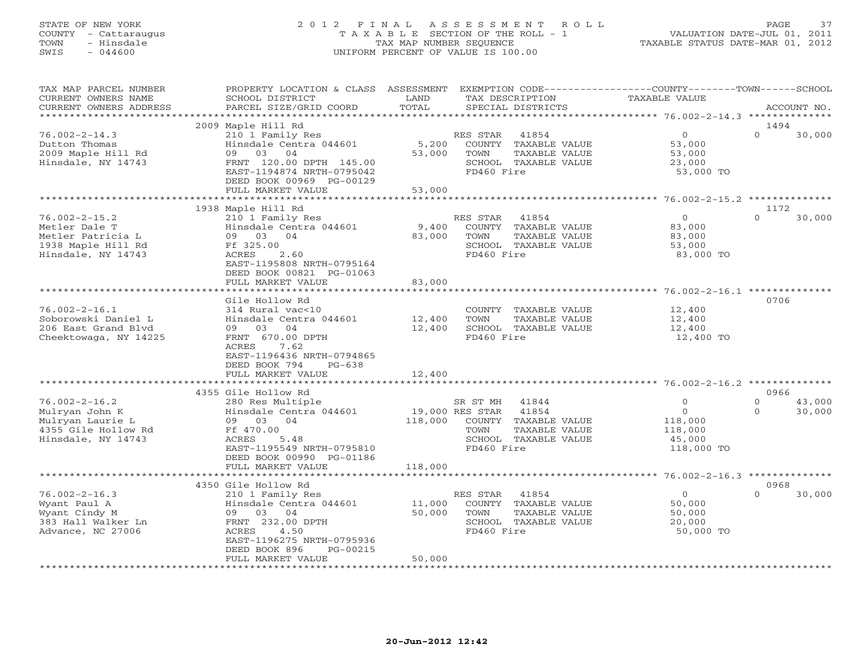#### STATE OF NEW YORK 2 0 1 2 F I N A L A S S E S S M E N T R O L L PAGE 37 COUNTY - Cattaraugus T A X A B L E SECTION OF THE ROLL - 1 VALUATION DATE-JUL 01, 2011 TOWN - Hinsdale TAX MAP NUMBER SEQUENCE TAXABLE STATUS DATE-MAR 01, 2012 SWIS - 044600 UNIFORM PERCENT OF VALUE IS 100.00UNIFORM PERCENT OF VALUE IS 100.00

| TAX MAP PARCEL NUMBER<br>CURRENT OWNERS NAME    | PROPERTY LOCATION & CLASS ASSESSMENT<br>SCHOOL DISTRICT | LAND            | TAX DESCRIPTION                           | EXEMPTION CODE-----------------COUNTY-------TOWN------SCHOOL<br><b>TAXABLE VALUE</b> |                            |
|-------------------------------------------------|---------------------------------------------------------|-----------------|-------------------------------------------|--------------------------------------------------------------------------------------|----------------------------|
| CURRENT OWNERS ADDRESS<br>********************* | PARCEL SIZE/GRID COORD                                  | TOTAL           | SPECIAL DISTRICTS                         |                                                                                      | ACCOUNT NO.                |
|                                                 |                                                         |                 |                                           |                                                                                      |                            |
| $76.002 - 2 - 14.3$                             | 2009 Maple Hill Rd<br>210 1 Family Res                  |                 |                                           | $\circ$                                                                              | 1494<br>$\Omega$<br>30,000 |
| Dutton Thomas                                   | Hinsdale Centra 044601                                  |                 | RES STAR<br>41854<br>COUNTY TAXABLE VALUE |                                                                                      |                            |
| 2009 Maple Hill Rd                              | 09<br>03 04                                             | 5,200<br>53,000 | TOWN<br>TAXABLE VALUE                     | 53,000<br>53,000                                                                     |                            |
| Hinsdale, NY 14743                              | FRNT 120.00 DPTH 145.00                                 |                 | SCHOOL TAXABLE VALUE                      | 23,000                                                                               |                            |
|                                                 | EAST-1194874 NRTH-0795042                               |                 | FD460 Fire                                | 53,000 TO                                                                            |                            |
|                                                 | DEED BOOK 00969 PG-00129                                |                 |                                           |                                                                                      |                            |
|                                                 | FULL MARKET VALUE                                       | 53,000          |                                           |                                                                                      |                            |
|                                                 |                                                         |                 |                                           |                                                                                      |                            |
|                                                 | 1938 Maple Hill Rd                                      |                 |                                           |                                                                                      | 1172                       |
| $76.002 - 2 - 15.2$                             | 210 1 Family Res                                        |                 | 41854<br>RES STAR                         | $\overline{0}$                                                                       | $\Omega$<br>30,000         |
| Metler Dale T                                   | Hinsdale Centra 044601                                  | 9,400           | COUNTY TAXABLE VALUE                      | 83,000                                                                               |                            |
| Metler Patricia L                               | 09 03 04                                                | 83,000          | TAXABLE VALUE<br>TOWN                     | 83,000                                                                               |                            |
| 1938 Maple Hill Rd                              | Ff 325.00                                               |                 | SCHOOL TAXABLE VALUE                      | 53,000                                                                               |                            |
| Hinsdale, NY 14743                              | ACRES<br>2.60                                           |                 | FD460 Fire                                | 83,000 TO                                                                            |                            |
|                                                 | EAST-1195808 NRTH-0795164                               |                 |                                           |                                                                                      |                            |
|                                                 | DEED BOOK 00821 PG-01063                                |                 |                                           |                                                                                      |                            |
|                                                 | FULL MARKET VALUE                                       | 83,000          |                                           |                                                                                      |                            |
|                                                 |                                                         |                 |                                           |                                                                                      |                            |
|                                                 | Gile Hollow Rd                                          |                 |                                           |                                                                                      | 0706                       |
| $76.002 - 2 - 16.1$                             | 314 Rural vac<10                                        |                 | COUNTY TAXABLE VALUE                      | 12,400                                                                               |                            |
| Soborowski Daniel L                             | Hinsdale Centra 044601                                  | 12,400          | TOWN<br>TAXABLE VALUE                     | 12,400                                                                               |                            |
| 206 East Grand Blvd                             | 09 03 04                                                | 12,400          | SCHOOL TAXABLE VALUE                      | 12,400                                                                               |                            |
| Cheektowaga, NY 14225                           | FRNT 670.00 DPTH                                        |                 | FD460 Fire                                | 12,400 TO                                                                            |                            |
|                                                 | 7.62<br>ACRES                                           |                 |                                           |                                                                                      |                            |
|                                                 | EAST-1196436 NRTH-0794865                               |                 |                                           |                                                                                      |                            |
|                                                 | DEED BOOK 794<br>$PG-638$                               |                 |                                           |                                                                                      |                            |
|                                                 | FULL MARKET VALUE                                       | 12,400          |                                           |                                                                                      |                            |
|                                                 |                                                         |                 |                                           |                                                                                      |                            |
|                                                 | 4355 Gile Hollow Rd                                     |                 |                                           |                                                                                      | 0966                       |
| $76.002 - 2 - 16.2$                             | 280 Res Multiple                                        |                 | SR ST MH<br>41844                         | $\overline{0}$                                                                       | $\circ$<br>43,000          |
| Mulryan John K                                  | Hinsdale Centra 044601                                  | 19,000 RES STAR | 41854                                     | $\circ$                                                                              | 30,000<br>$\Omega$         |
| Mulryan Laurie L                                | 09 03 04                                                | 118,000         | COUNTY TAXABLE VALUE                      | 118,000                                                                              |                            |
| 4355 Gile Hollow Rd                             | Ff 470.00                                               |                 | TOWN<br>TAXABLE VALUE                     | 118,000                                                                              |                            |
| Hinsdale, NY 14743                              | ACRES<br>5.48                                           |                 | SCHOOL TAXABLE VALUE                      | 45,000                                                                               |                            |
|                                                 | EAST-1195549 NRTH-0795810                               |                 | FD460 Fire                                | 118,000 TO                                                                           |                            |
|                                                 | DEED BOOK 00990 PG-01186                                |                 |                                           |                                                                                      |                            |
|                                                 | FULL MARKET VALUE                                       | 118,000         |                                           |                                                                                      |                            |
|                                                 | 4350 Gile Hollow Rd                                     |                 |                                           |                                                                                      | 0968                       |
| $76.002 - 2 - 16.3$                             | 210 1 Family Res                                        |                 | RES STAR<br>41854                         | $\overline{0}$                                                                       | $\Omega$<br>30,000         |
| Wyant Paul A                                    | Hinsdale Centra 044601                                  | 11,000          | COUNTY TAXABLE VALUE                      | 50,000                                                                               |                            |
| Wyant Cindy M                                   | 09 03 04                                                | 50,000          | TOWN<br>TAXABLE VALUE                     | 50,000                                                                               |                            |
| 383 Hall Walker Ln                              | FRNT 232.00 DPTH                                        |                 | SCHOOL TAXABLE VALUE                      | 20,000                                                                               |                            |
| Advance, NC 27006                               | <b>ACRES</b><br>4.50                                    |                 | FD460 Fire                                | 50,000 TO                                                                            |                            |
|                                                 | EAST-1196275 NRTH-0795936                               |                 |                                           |                                                                                      |                            |
|                                                 | DEED BOOK 896<br>PG-00215                               |                 |                                           |                                                                                      |                            |
|                                                 | FULL MARKET VALUE                                       | 50,000          |                                           |                                                                                      |                            |
|                                                 | ****************************                            | **************  |                                           |                                                                                      |                            |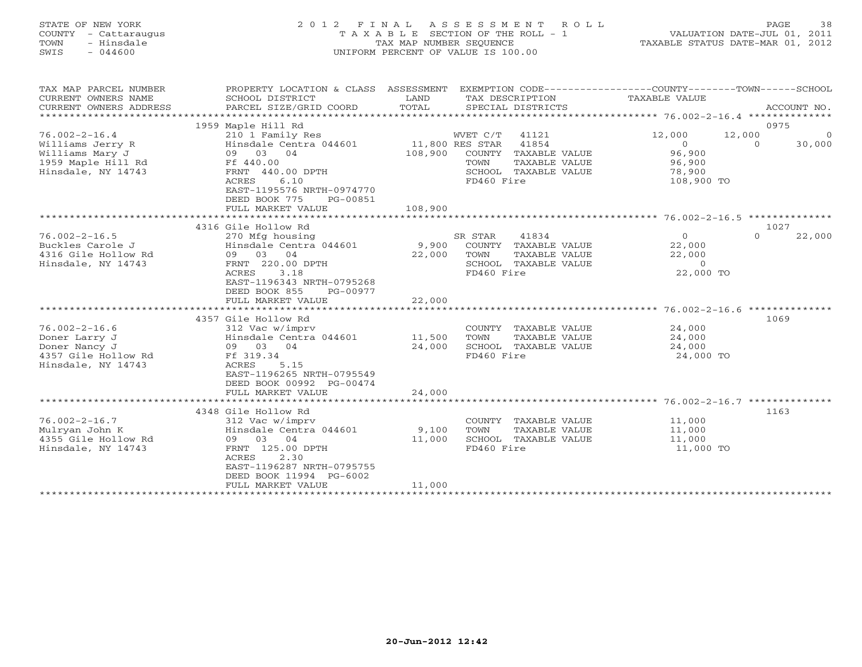| STATE OF NEW YORK<br>COUNTY - Cattaraugus<br>- Hinsdale<br>TOWN<br>$-044600$<br>SWIS                   |                                                                                                                                                                                                | T A X A B L E SECTION OF THE ROLL - 1<br>TAX MAP NUMBER SEQUENCE<br>UNIFORM PERCENT OF VALUE IS 100.00 | 2012 FINAL ASSESSMENT ROLL                                                                                     | VALUATION DATE-JUL 01, 2011<br>TAXABLE STATUS DATE-MAR 01, 2012      |                    | PAGE<br>38               |
|--------------------------------------------------------------------------------------------------------|------------------------------------------------------------------------------------------------------------------------------------------------------------------------------------------------|--------------------------------------------------------------------------------------------------------|----------------------------------------------------------------------------------------------------------------|----------------------------------------------------------------------|--------------------|--------------------------|
| TAX MAP PARCEL NUMBER<br>CURRENT OWNERS NAME<br>CURRENT OWNERS ADDRESS                                 | PROPERTY LOCATION & CLASS ASSESSMENT EXEMPTION CODE---------------COUNTY-------TOWN------SCHOOL<br>SCHOOL DISTRICT<br>PARCEL SIZE/GRID COORD                                                   | LAND<br>TOTAL                                                                                          | TAX DESCRIPTION<br>SPECIAL DISTRICTS                                                                           | TAXABLE VALUE                                                        |                    | ACCOUNT NO.              |
|                                                                                                        | 1959 Maple Hill Rd                                                                                                                                                                             |                                                                                                        |                                                                                                                |                                                                      |                    | 0975                     |
| $76.002 - 2 - 16.4$<br>Williams Jerry R<br>Williams Mary J<br>1959 Maple Hill Rd<br>Hinsdale, NY 14743 | 210 1 Family Res<br>Hinsdale Centra 044601<br>09 03 04<br>Ff 440.00<br>FRNT 440.00 DPTH<br>6.10<br><b>ACRES</b><br>EAST-1195576 NRTH-0974770<br>DEED BOOK 775<br>PG-00851<br>FULL MARKET VALUE | 11,800 RES STAR<br>TOWN<br>108,900                                                                     | WVET C/T 41121<br>41854<br>108,900 COUNTY TAXABLE VALUE<br>TAXABLE VALUE<br>SCHOOL TAXABLE VALUE<br>FD460 Fire | 12,000<br>$\overline{O}$<br>96,900<br>96,900<br>78,900<br>108,900 TO | 12,000<br>$\Omega$ | $\overline{0}$<br>30,000 |
|                                                                                                        |                                                                                                                                                                                                |                                                                                                        |                                                                                                                |                                                                      |                    |                          |
|                                                                                                        | 4316 Gile Hollow Rd                                                                                                                                                                            |                                                                                                        |                                                                                                                |                                                                      |                    | 1027                     |
| $76.002 - 2 - 16.5$<br>Buckles Carole J<br>4316 Gile Hollow Rd<br>Hinsdale, NY 14743                   | 270 Mfg housing<br>Hinsdale Centra 044601 9,900 COUNTY TAXABLE VALUE<br>09 03 04<br>FRNT 220.00 DPTH<br>3.18<br>ACRES<br>EAST-1196343 NRTH-0795268<br>DEED BOOK 855<br>PG-00977                | SR STAR<br>22,000 TOWN                                                                                 | 41834<br>TAXABLE VALUE<br>SCHOOL TAXABLE VALUE<br>FD460 Fire                                                   | $\Omega$<br>22,000<br>22,000<br>$\Omega$<br>22,000 TO                | $\Omega$           | 22,000                   |
|                                                                                                        | FULL MARKET VALUE                                                                                                                                                                              | 22,000                                                                                                 |                                                                                                                |                                                                      |                    |                          |
| $76.002 - 2 - 16.6$<br>Doner Larry J<br>Doner Nancy J<br>4357 Gile Hollow Rd<br>Hinsdale, NY 14743     | 4357 Gile Hollow Rd<br>312 Vac w/imprv<br>Hinsdale Centra 044601<br>09 03 04<br>Ff 319.34<br>5.15<br>ACRES<br>EAST-1196265 NRTH-0795549<br>DEED BOOK 00992 PG-00474                            | 11,500<br>TOWN<br>24,000                                                                               | COUNTY TAXABLE VALUE<br>TAXABLE VALUE<br>SCHOOL TAXABLE VALUE<br>FD460 Fire                                    | 24,000<br>24,000<br>24,000<br>24,000 TO                              |                    | 1069                     |

|                     | FULL MARKET VALUE         | 24,000 |            |               |           |      |
|---------------------|---------------------------|--------|------------|---------------|-----------|------|
|                     |                           |        |            |               |           |      |
|                     | 4348 Gile Hollow Rd       |        |            |               |           | 1163 |
| $76.002 - 2 - 16.7$ | 312 Vac w/imprv           |        | COUNTY     | TAXABLE VALUE | 11,000    |      |
| Mulryan John K      | Hinsdale Centra 044601    | 9,100  | TOWN       | TAXABLE VALUE | 11,000    |      |
| 4355 Gile Hollow Rd | 04<br>09<br>03            | 11,000 | SCHOOL     | TAXABLE VALUE | 11,000    |      |
| Hinsdale, NY 14743  | 125.00 DPTH<br>FRNT       |        | FD460 Fire |               | 11,000 TO |      |
|                     | 2.30<br>ACRES             |        |            |               |           |      |
|                     | EAST-1196287 NRTH-0795755 |        |            |               |           |      |
|                     | DEED BOOK 11994 PG-6002   |        |            |               |           |      |
|                     | FULL MARKET VALUE         | 11,000 |            |               |           |      |
|                     |                           |        |            |               |           |      |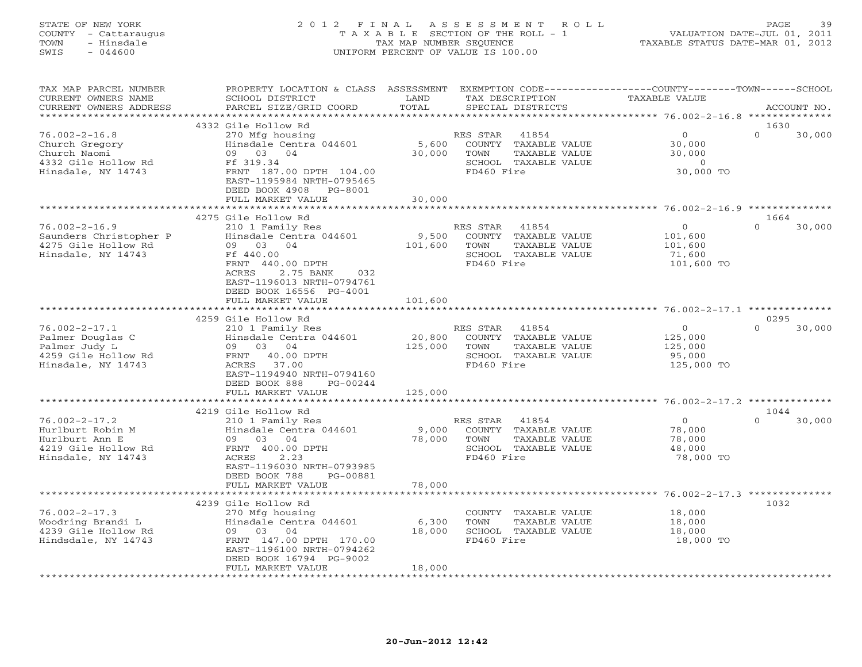#### STATE OF NEW YORK 2 0 1 2 F I N A L A S S E S S M E N T R O L L PAGE 39 COUNTY - Cattaraugus T A X A B L E SECTION OF THE ROLL - 1 VALUATION DATE-JUL 01, 2011 TOWN - Hinsdale TAX MAP NUMBER SEQUENCE TAXABLE STATUS DATE-MAR 01, 2012 SWIS - 044600 UNIFORM PERCENT OF VALUE IS 100.00UNIFORM PERCENT OF VALUE IS 100.00

| TAX MAP PARCEL NUMBER<br>CURRENT OWNERS NAME<br>CURRENT OWNERS ADDRESS                                 | PROPERTY LOCATION & CLASS<br>SCHOOL DISTRICT<br>PARCEL SIZE/GRID COORD                                                                                                                  | ASSESSMENT<br>LAND<br>TOTAL | TAX DESCRIPTION<br>SPECIAL DISTRICTS                                                                        | EXEMPTION CODE----------------COUNTY-------TOWN-----SCHOOL<br><b>TAXABLE VALUE</b> | ACCOUNT NO.                |
|--------------------------------------------------------------------------------------------------------|-----------------------------------------------------------------------------------------------------------------------------------------------------------------------------------------|-----------------------------|-------------------------------------------------------------------------------------------------------------|------------------------------------------------------------------------------------|----------------------------|
|                                                                                                        |                                                                                                                                                                                         | *******                     |                                                                                                             | ************ 76.002-2-16.8 **************                                          |                            |
| $76.002 - 2 - 16.8$<br>Church Gregory<br>Church Naomi<br>4332 Gile Hollow Rd<br>Hinsdale, NY 14743     | 4332 Gile Hollow Rd<br>270 Mfg housing<br>Hinsdale Centra 044601<br>09 03<br>04<br>Ff 319.34<br>FRNT 187.00 DPTH 104.00<br>EAST-1195984 NRTH-0795465<br>DEED BOOK 4908<br>PG-8001       | 5,600<br>30,000             | 41854<br>RES STAR<br>COUNTY<br>TAXABLE VALUE<br>TOWN<br>TAXABLE VALUE<br>SCHOOL TAXABLE VALUE<br>FD460 Fire | $\Omega$<br>30,000<br>30,000<br>$\circ$<br>30,000 TO                               | 1630<br>$\Omega$<br>30,000 |
|                                                                                                        | FULL MARKET VALUE<br>*********************                                                                                                                                              | 30,000<br>***********       |                                                                                                             |                                                                                    |                            |
|                                                                                                        | 4275 Gile Hollow Rd                                                                                                                                                                     |                             |                                                                                                             |                                                                                    | 1664                       |
| $76.002 - 2 - 16.9$<br>Saunders Christopher P<br>4275 Gile Hollow Rd<br>Hinsdale, NY 14743             | 210 1 Family Res<br>Hinsdale Centra 044601<br>09 03<br>04<br>Ff 440.00<br>FRNT 440.00 DPTH<br>2.75 BANK<br>032<br>ACRES<br>EAST-1196013 NRTH-0794761<br>DEED BOOK 16556 PG-4001         | 9,500<br>101,600            | RES STAR<br>41854<br>COUNTY TAXABLE VALUE<br>TOWN<br>TAXABLE VALUE<br>SCHOOL TAXABLE VALUE<br>FD460 Fire    | $\circ$<br>101,600<br>101,600<br>71,600<br>101,600 TO                              | $\Omega$<br>30,000         |
|                                                                                                        | FULL MARKET VALUE                                                                                                                                                                       | 101,600<br>**********       |                                                                                                             |                                                                                    |                            |
|                                                                                                        | 4259 Gile Hollow Rd                                                                                                                                                                     |                             |                                                                                                             |                                                                                    | 0295                       |
| $76.002 - 2 - 17.1$<br>Palmer Douglas C<br>Palmer Judy L<br>4259 Gile Hollow Rd<br>Hinsdale, NY 14743  | 210 1 Family Res<br>Hinsdale Centra 044601<br>09 03<br>04<br>40.00 DPTH<br>FRNT<br>37.00<br>ACRES<br>EAST-1194940 NRTH-0794160<br>DEED BOOK 888<br>PG-00244                             | 20,800<br>125,000           | 41854<br>RES STAR<br>COUNTY<br>TAXABLE VALUE<br>TOWN<br>TAXABLE VALUE<br>SCHOOL TAXABLE VALUE<br>FD460 Fire | $\circ$<br>125,000<br>125,000<br>95,000<br>125,000 TO                              | $\cap$<br>30,000           |
|                                                                                                        | FULL MARKET VALUE                                                                                                                                                                       | 125,000                     |                                                                                                             |                                                                                    |                            |
|                                                                                                        | ******************<br>4219 Gile Hollow Rd                                                                                                                                               |                             |                                                                                                             |                                                                                    | 1044                       |
| $76.002 - 2 - 17.2$<br>Hurlburt Robin M<br>Hurlburt Ann E<br>4219 Gile Hollow Rd<br>Hinsdale, NY 14743 | 210 1 Family Res<br>Hinsdale Centra 044601<br>04<br>09<br>03<br>FRNT 400.00 DPTH<br><b>ACRES</b><br>2.23<br>EAST-1196030 NRTH-0793985<br>DEED BOOK 788<br>PG-00881                      | 9,000<br>78,000<br>78,000   | 41854<br>RES STAR<br>COUNTY TAXABLE VALUE<br>TOWN<br>TAXABLE VALUE<br>SCHOOL TAXABLE VALUE<br>FD460 Fire    | $\circ$<br>78,000<br>78,000<br>48,000<br>78,000 TO                                 | $\Omega$<br>30,000         |
|                                                                                                        | FULL MARKET VALUE<br>**********************                                                                                                                                             |                             |                                                                                                             |                                                                                    |                            |
| $76.002 - 2 - 17.3$<br>Woodring Brandi L<br>4239 Gile Hollow Rd<br>Hindsdale, NY 14743                 | 4239 Gile Hollow Rd<br>270 Mfg housing<br>Hinsdale Centra 044601<br>09 03<br>04<br>FRNT 147.00 DPTH 170.00<br>EAST-1196100 NRTH-0794262<br>DEED BOOK 16794 PG-9002<br>FULL MARKET VALUE | 6,300<br>18,000<br>18,000   | COUNTY TAXABLE VALUE<br>TOWN<br>TAXABLE VALUE<br>SCHOOL TAXABLE VALUE<br>FD460 Fire                         | 18,000<br>18,000<br>18,000<br>18,000 TO                                            | 1032                       |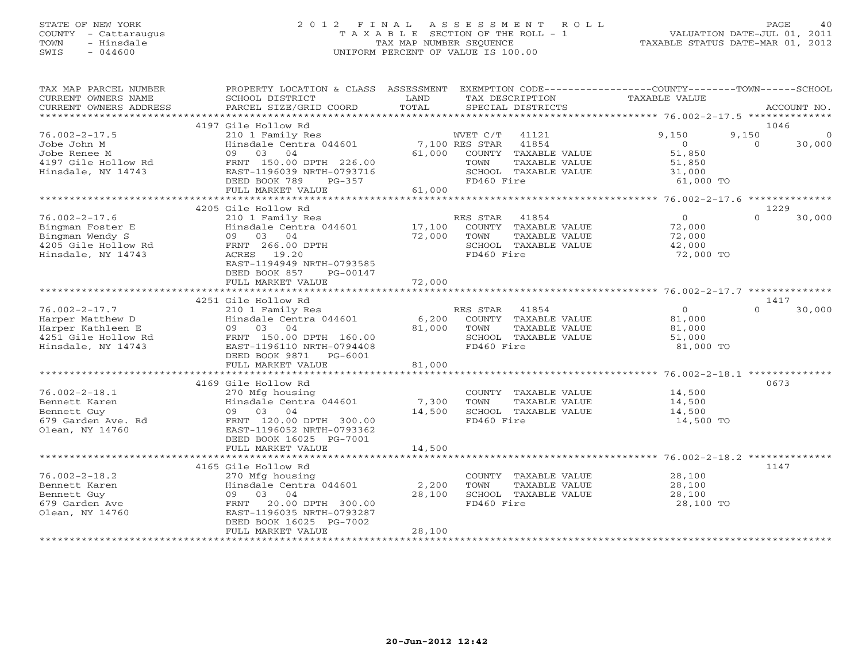#### STATE OF NEW YORK 2 0 1 2 F I N A L A S S E S S M E N T R O L L PAGE 40 COUNTY - Cattaraugus T A X A B L E SECTION OF THE ROLL - 1 VALUATION DATE-JUL 01, 2011 TOWN - Hinsdale TAX MAP NUMBER SEQUENCE TAXABLE STATUS DATE-MAR 01, 2012 SWIS - 044600 UNIFORM PERCENT OF VALUE IS 100.00UNIFORM PERCENT OF VALUE IS 100.00

| TAX MAP PARCEL NUMBER<br>CURRENT OWNERS NAME<br>CURRENT OWNERS ADDRESS                                    | PROPERTY LOCATION & CLASS ASSESSMENT<br>SCHOOL DISTRICT<br>PARCEL SIZE/GRID COORD                                                                                                                                     | LAND<br>TOTAL             | TAX DESCRIPTION<br>SPECIAL DISTRICTS                                                                     | EXEMPTION CODE-----------------COUNTY-------TOWN------SCHOOL<br>TAXABLE VALUE | ACCOUNT NO.                             |
|-----------------------------------------------------------------------------------------------------------|-----------------------------------------------------------------------------------------------------------------------------------------------------------------------------------------------------------------------|---------------------------|----------------------------------------------------------------------------------------------------------|-------------------------------------------------------------------------------|-----------------------------------------|
| **********************                                                                                    |                                                                                                                                                                                                                       |                           |                                                                                                          |                                                                               |                                         |
|                                                                                                           | 4197 Gile Hollow Rd                                                                                                                                                                                                   |                           |                                                                                                          |                                                                               | 1046                                    |
| $76.002 - 2 - 17.5$<br>Jobe John M<br>Jobe Renee M<br>4197 Gile Hollow Rd<br>Hinsdale, NY 14743           | 210 1 Family Res<br>Hinsdale Centra 044601<br>03 04<br>09<br>FRNT 150.00 DPTH 226.00<br>EAST-1196039 NRTH-0793716                                                                                                     | 7,100 RES STAR<br>61,000  | WVET C/T<br>41121<br>41854<br>COUNTY TAXABLE VALUE<br>TOWN<br>TAXABLE VALUE<br>SCHOOL TAXABLE VALUE      | 9,150<br>$\overline{0}$<br>51,850<br>51,850<br>31,000                         | 9,150<br>$\Omega$<br>$\Omega$<br>30,000 |
|                                                                                                           | PG-357<br>DEED BOOK 789<br>FULL MARKET VALUE                                                                                                                                                                          | 61,000                    | FD460 Fire                                                                                               | 61,000 TO                                                                     |                                         |
|                                                                                                           |                                                                                                                                                                                                                       |                           |                                                                                                          |                                                                               |                                         |
| $76.002 - 2 - 17.6$<br>Bingman Foster E<br>Bingman Wendy S<br>4205 Gile Hollow Rd<br>Hinsdale, NY 14743   | 4205 Gile Hollow Rd<br>210 1 Family Res<br>Hinsdale Centra 044601<br>09 03 04<br>FRNT 266.00 DPTH<br>ACRES 19.20<br>EAST-1194949 NRTH-0793585<br>DEED BOOK 857<br>PG-00147                                            | 17,100<br>72,000          | RES STAR<br>41854<br>COUNTY TAXABLE VALUE<br>TOWN<br>TAXABLE VALUE<br>SCHOOL TAXABLE VALUE<br>FD460 Fire | $\overline{O}$<br>72,000<br>72,000<br>42,000<br>72,000 TO                     | 1229<br>30,000<br>$\Omega$              |
|                                                                                                           | FULL MARKET VALUE                                                                                                                                                                                                     | 72,000                    |                                                                                                          |                                                                               |                                         |
|                                                                                                           |                                                                                                                                                                                                                       |                           |                                                                                                          |                                                                               |                                         |
| $76.002 - 2 - 17.7$<br>Harper Matthew D<br>Harper Kathleen E<br>4251 Gile Hollow Rd<br>Hinsdale, NY 14743 | 4251 Gile Hollow Rd<br>210 1 Family Res<br>Hinsdale Centra 044601<br>09 03 04<br>FRNT 150.00 DPTH 160.00<br>EAST-1196110 NRTH-0794408<br>DEED BOOK 9871<br>PG-6001                                                    | 6,200<br>81,000           | RES STAR<br>41854<br>COUNTY TAXABLE VALUE<br>TOWN<br>TAXABLE VALUE<br>SCHOOL TAXABLE VALUE<br>FD460 Fire | $\Omega$<br>81,000<br>81,000<br>51,000<br>81,000 TO                           | 1417<br>$\Omega$<br>30,000              |
|                                                                                                           | FULL MARKET VALUE                                                                                                                                                                                                     | 81,000                    |                                                                                                          |                                                                               |                                         |
| $76.002 - 2 - 18.1$<br>Bennett Karen<br>Bennett Guy<br>679 Garden Ave. Rd<br>Olean, NY 14760              | 4169 Gile Hollow Rd<br>270 Mfg housing<br>Hinsdale Centra 044601<br>09 03<br>04<br>FRNT 120.00 DPTH 300.00<br>EAST-1196052 NRTH-0793362<br>DEED BOOK 16025 PG-7001                                                    | 7,300<br>14,500           | COUNTY TAXABLE VALUE<br>TOWN<br>TAXABLE VALUE<br>SCHOOL TAXABLE VALUE<br>FD460 Fire                      | 14,500<br>14,500<br>14,500<br>14,500 TO                                       | 0673                                    |
|                                                                                                           | FULL MARKET VALUE                                                                                                                                                                                                     | 14,500                    |                                                                                                          |                                                                               |                                         |
|                                                                                                           |                                                                                                                                                                                                                       |                           |                                                                                                          |                                                                               |                                         |
| $76.002 - 2 - 18.2$<br>Bennett Karen<br>Bennett Guy<br>679 Garden Ave<br>Olean, NY 14760                  | 4165 Gile Hollow Rd<br>270 Mfg housing<br>Hinsdale Centra 044601<br>03 04<br>09<br>FRNT<br>20.00 DPTH 300.00<br>EAST-1196035 NRTH-0793287<br>DEED BOOK 16025 PG-7002<br>FULL MARKET VALUE<br>************************ | 2,200<br>28,100<br>28,100 | COUNTY TAXABLE VALUE<br>TOWN<br>TAXABLE VALUE<br>SCHOOL TAXABLE VALUE<br>FD460 Fire                      | 28,100<br>28,100<br>28,100<br>28,100 TO                                       | 1147                                    |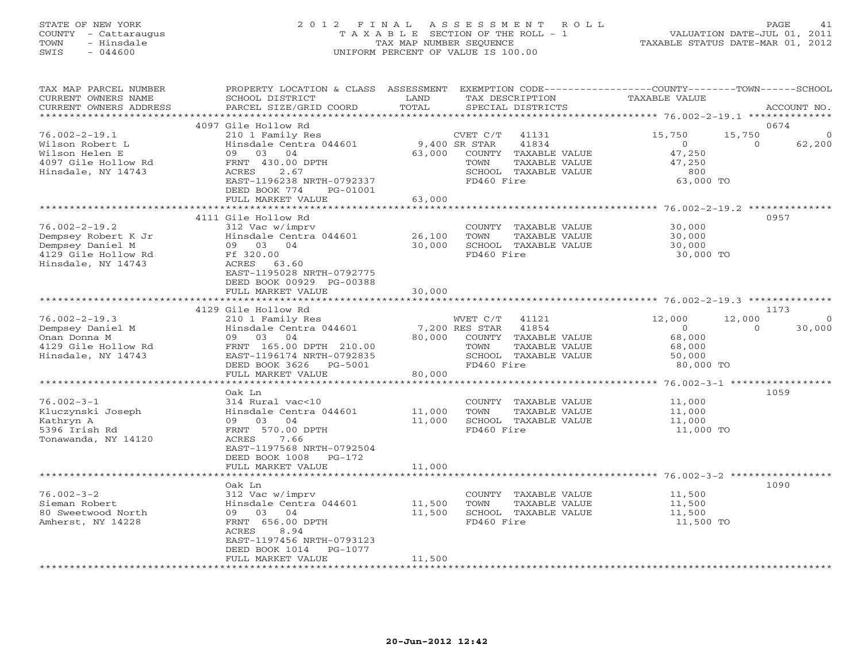#### STATE OF NEW YORK 2 0 1 2 F I N A L A S S E S S M E N T R O L L PAGE 41 COUNTY - Cattaraugus T A X A B L E SECTION OF THE ROLL - 1 VALUATION DATE-JUL 01, 2011 TOWN - Hinsdale TAX MAP NUMBER SEQUENCE TAXABLE STATUS DATE-MAR 01, 2012 SWIS - 044600 UNIFORM PERCENT OF VALUE IS 100.00UNIFORM PERCENT OF VALUE IS 100.00

| TAX MAP PARCEL NUMBER<br>CURRENT OWNERS NAME<br>CURRENT OWNERS ADDRESS<br>************************          | PROPERTY LOCATION & CLASS ASSESSMENT<br>SCHOOL DISTRICT<br>PARCEL SIZE/GRID COORD                                                                                                                       | LAND<br>TOTAL              | TAX DESCRIPTION<br>SPECIAL DISTRICTS             |                                                                                 | EXEMPTION CODE-----------------COUNTY-------TOWN------SCHOOL<br>TAXABLE VALUE |                    | ACCOUNT NO.                |
|-------------------------------------------------------------------------------------------------------------|---------------------------------------------------------------------------------------------------------------------------------------------------------------------------------------------------------|----------------------------|--------------------------------------------------|---------------------------------------------------------------------------------|-------------------------------------------------------------------------------|--------------------|----------------------------|
|                                                                                                             |                                                                                                                                                                                                         |                            |                                                  |                                                                                 |                                                                               |                    |                            |
| $76.002 - 2 - 19.1$<br>Wilson Robert L<br>Wilson Helen E<br>4097 Gile Hollow Rd<br>Hinsdale, NY 14743       | 4097 Gile Hollow Rd<br>210 1 Family Res<br>Hinsdale Centra 044601<br>09<br>03<br>04<br>FRNT 430.00 DPTH<br>ACRES<br>2.67<br>EAST-1196238 NRTH-0792337<br>DEED BOOK 774<br>PG-01001<br>FULL MARKET VALUE | 63,000<br>63,000           | CVET C/T<br>9,400 SR STAR<br>TOWN<br>FD460 Fire  | 41131<br>41834<br>COUNTY TAXABLE VALUE<br>TAXABLE VALUE<br>SCHOOL TAXABLE VALUE | 15,750<br>$\circ$<br>47,250<br>47,250<br>800<br>63,000 TO                     | 15,750<br>$\Omega$ | 0674<br>$\Omega$<br>62,200 |
|                                                                                                             |                                                                                                                                                                                                         |                            |                                                  |                                                                                 |                                                                               |                    |                            |
| $76.002 - 2 - 19.2$<br>Dempsey Robert K Jr<br>Dempsey Daniel M<br>4129 Gile Hollow Rd<br>Hinsdale, NY 14743 | 4111 Gile Hollow Rd<br>312 Vac w/imprv<br>Hinsdale Centra 044601<br>09 03 04<br>Ff 320.00<br>ACRES<br>63.60<br>EAST-1195028 NRTH-0792775<br>DEED BOOK 00929 PG-00388<br>FULL MARKET VALUE               | 26,100<br>30,000<br>30,000 | TOWN<br>FD460 Fire                               | COUNTY TAXABLE VALUE<br>TAXABLE VALUE<br>SCHOOL TAXABLE VALUE                   | 30,000<br>30,000<br>30,000<br>30,000 TO                                       |                    | 0957                       |
|                                                                                                             |                                                                                                                                                                                                         |                            |                                                  |                                                                                 |                                                                               |                    |                            |
|                                                                                                             | 4129 Gile Hollow Rd                                                                                                                                                                                     |                            |                                                  |                                                                                 |                                                                               |                    | 1173                       |
| $76.002 - 2 - 19.3$<br>Dempsey Daniel M<br>Onan Donna M<br>4129 Gile Hollow Rd<br>Hinsdale, NY 14743        | 210 1 Family Res<br>Hinsdale Centra 044601<br>09 03<br>04<br>FRNT 165.00 DPTH 210.00<br>EAST-1196174 NRTH-0792835<br>DEED BOOK 3626 PG-5001<br>FULL MARKET VALUE                                        | 80,000<br>80,000           | WVET C/T<br>7,200 RES STAR<br>TOWN<br>FD460 Fire | 41121<br>41854<br>COUNTY TAXABLE VALUE<br>TAXABLE VALUE<br>SCHOOL TAXABLE VALUE | 12,000<br>$\circ$<br>68,000<br>68,000<br>50,000<br>80,000 TO                  | 12,000<br>$\Omega$ | $\Omega$<br>30,000         |
|                                                                                                             |                                                                                                                                                                                                         | * * * * * * * * * * * * *  |                                                  |                                                                                 |                                                                               |                    |                            |
| $76.002 - 3 - 1$<br>Kluczynski Joseph<br>Kathryn A<br>5396 Irish Rd<br>Tonawanda, NY 14120                  | Oak Ln<br>314 Rural vac<10<br>Hinsdale Centra 044601<br>09 03<br>04<br>FRNT 570.00 DPTH<br>ACRES<br>7.66<br>EAST-1197568 NRTH-0792504<br>DEED BOOK 1008 PG-172<br>FULL MARKET VALUE                     | 11,000<br>11,000<br>11,000 | TOWN<br>FD460 Fire                               | COUNTY TAXABLE VALUE<br>TAXABLE VALUE<br>SCHOOL TAXABLE VALUE                   | 11,000<br>11,000<br>11,000<br>11,000 TO                                       |                    | 1059                       |
|                                                                                                             |                                                                                                                                                                                                         |                            |                                                  |                                                                                 |                                                                               |                    |                            |
| $76.002 - 3 - 2$<br>Sieman Robert<br>80 Sweetwood North<br>Amherst, NY 14228                                | Oak Ln<br>312 Vac w/imprv<br>Hinsdale Centra 044601<br>04<br>03<br>09<br>FRNT 656.00 DPTH<br>ACRES<br>8.94<br>EAST-1197456 NRTH-0793123<br>DEED BOOK 1014<br>PG-1077                                    | 11,500<br>11,500           | TOWN<br>FD460 Fire                               | COUNTY TAXABLE VALUE<br>TAXABLE VALUE<br>SCHOOL TAXABLE VALUE                   | 11,500<br>11,500<br>11,500<br>11,500 TO                                       |                    | 1090                       |
| ***********************                                                                                     | FULL MARKET VALUE<br>***********************                                                                                                                                                            | 11,500                     |                                                  |                                                                                 |                                                                               |                    |                            |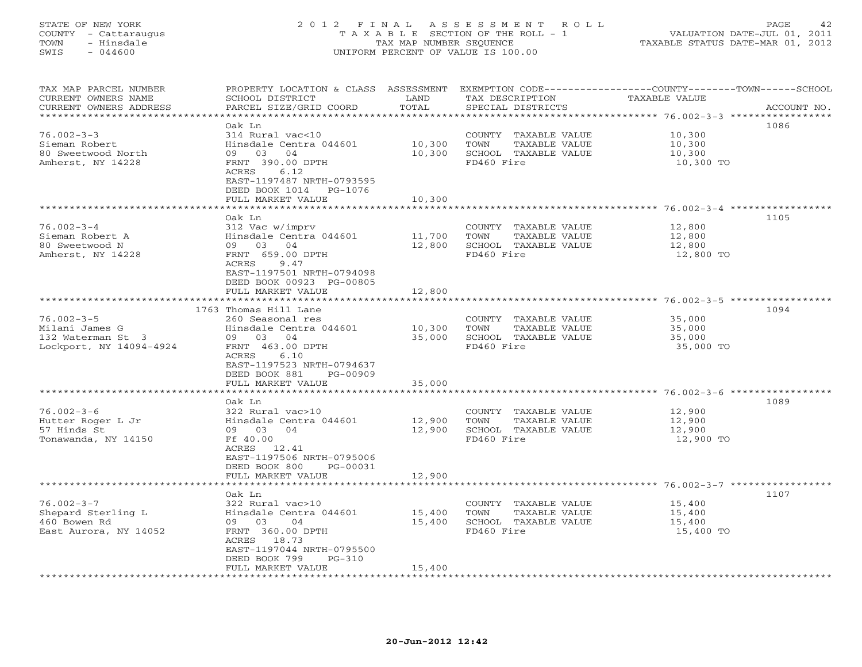#### STATE OF NEW YORK 2 0 1 2 F I N A L A S S E S S M E N T R O L L PAGE 42 COUNTY - Cattaraugus T A X A B L E SECTION OF THE ROLL - 1 VALUATION DATE-JUL 01, 2011 TOWN - Hinsdale TAX MAP NUMBER SEQUENCE TAXABLE STATUS DATE-MAR 01, 2012 SWIS - 044600 UNIFORM PERCENT OF VALUE IS 100.00UNIFORM PERCENT OF VALUE IS 100.00

| TAX MAP PARCEL NUMBER<br>CURRENT OWNERS NAME<br>CURRENT OWNERS ADDRESS | PROPERTY LOCATION & CLASS ASSESSMENT<br>SCHOOL DISTRICT<br>PARCEL SIZE/GRID COORD | LAND<br>TOTAL | TAX DESCRIPTION<br>SPECIAL DISTRICTS | EXEMPTION CODE-----------------COUNTY-------TOWN------SCHOOL<br>TAXABLE VALUE | ACCOUNT NO. |
|------------------------------------------------------------------------|-----------------------------------------------------------------------------------|---------------|--------------------------------------|-------------------------------------------------------------------------------|-------------|
| *********************                                                  |                                                                                   |               |                                      |                                                                               |             |
| $76.002 - 3 - 3$                                                       | Oak Ln<br>314 Rural vac<10                                                        |               | COUNTY TAXABLE VALUE                 | 10,300                                                                        | 1086        |
| Sieman Robert                                                          | Hinsdale Centra 044601                                                            | 10,300        | TAXABLE VALUE<br>TOWN                | 10,300                                                                        |             |
| 80 Sweetwood North                                                     | 09 03 04                                                                          | 10,300        | SCHOOL TAXABLE VALUE                 | 10,300                                                                        |             |
| Amherst, NY 14228                                                      | FRNT 390.00 DPTH                                                                  |               | FD460 Fire                           | 10,300 TO                                                                     |             |
|                                                                        | ACRES<br>6.12                                                                     |               |                                      |                                                                               |             |
|                                                                        | EAST-1197487 NRTH-0793595<br>DEED BOOK 1014 PG-1076                               |               |                                      |                                                                               |             |
|                                                                        | FULL MARKET VALUE                                                                 | 10,300        |                                      |                                                                               |             |
|                                                                        |                                                                                   |               |                                      |                                                                               |             |
|                                                                        | Oak Ln                                                                            |               |                                      |                                                                               | 1105        |
| $76.002 - 3 - 4$                                                       | 312 Vac w/imprv                                                                   |               | COUNTY TAXABLE VALUE                 | 12,800                                                                        |             |
| Sieman Robert A                                                        | Hinsdale Centra 044601                                                            | 11,700        | TOWN<br>TAXABLE VALUE                | 12,800                                                                        |             |
| 80 Sweetwood N                                                         | 09 03 04                                                                          | 12,800        | SCHOOL TAXABLE VALUE                 | 12,800                                                                        |             |
| Amherst, NY 14228                                                      | FRNT 659.00 DPTH                                                                  |               | FD460 Fire                           | 12,800 TO                                                                     |             |
|                                                                        | 9.47<br>ACRES                                                                     |               |                                      |                                                                               |             |
|                                                                        | EAST-1197501 NRTH-0794098                                                         |               |                                      |                                                                               |             |
|                                                                        | DEED BOOK 00923 PG-00805                                                          |               |                                      |                                                                               |             |
|                                                                        | FULL MARKET VALUE                                                                 | 12,800        |                                      |                                                                               |             |
|                                                                        | 1763 Thomas Hill Lane                                                             |               |                                      |                                                                               | 1094        |
| $76.002 - 3 - 5$                                                       | 260 Seasonal res                                                                  |               | COUNTY TAXABLE VALUE                 | 35,000                                                                        |             |
| Milani James G                                                         | Hinsdale Centra 044601                                                            | 10,300        | TOWN<br>TAXABLE VALUE                | 35,000                                                                        |             |
| 132 Waterman St 3                                                      | 09 03 04                                                                          | 35,000        | SCHOOL TAXABLE VALUE                 | 35,000                                                                        |             |
| Lockport, NY 14094-4924                                                | FRNT 463.00 DPTH                                                                  |               | FD460 Fire                           | 35,000 TO                                                                     |             |
|                                                                        | ACRES<br>6.10                                                                     |               |                                      |                                                                               |             |
|                                                                        | EAST-1197523 NRTH-0794637                                                         |               |                                      |                                                                               |             |
|                                                                        | DEED BOOK 881<br>PG-00909                                                         |               |                                      |                                                                               |             |
|                                                                        | FULL MARKET VALUE                                                                 | 35,000        |                                      |                                                                               |             |
|                                                                        | Oak Ln                                                                            |               |                                      |                                                                               | 1089        |
| $76.002 - 3 - 6$                                                       | 322 Rural vac>10                                                                  |               | COUNTY TAXABLE VALUE                 | 12,900                                                                        |             |
| Hutter Roger L Jr                                                      | Hinsdale Centra 044601                                                            | 12,900        | TOWN<br>TAXABLE VALUE                | 12,900                                                                        |             |
| 57 Hinds St                                                            | 09 03<br>04                                                                       | 12,900        | SCHOOL TAXABLE VALUE                 | 12,900                                                                        |             |
| Tonawanda, NY 14150                                                    | Ff 40.00                                                                          |               | FD460 Fire                           | 12,900 TO                                                                     |             |
|                                                                        | ACRES 12.41                                                                       |               |                                      |                                                                               |             |
|                                                                        | EAST-1197506 NRTH-0795006                                                         |               |                                      |                                                                               |             |
|                                                                        | DEED BOOK 800<br>PG-00031                                                         |               |                                      |                                                                               |             |
|                                                                        | FULL MARKET VALUE                                                                 | 12,900        |                                      |                                                                               |             |
|                                                                        |                                                                                   |               |                                      |                                                                               |             |
| $76.002 - 3 - 7$                                                       | Oak Ln<br>322 Rural vac>10                                                        |               | COUNTY TAXABLE VALUE                 | 15,400                                                                        | 1107        |
| Shepard Sterling L                                                     | Hinsdale Centra 044601                                                            | 15,400        | TOWN<br>TAXABLE VALUE                | 15,400                                                                        |             |
| 460 Bowen Rd                                                           | 09 03<br>04                                                                       | 15,400        | SCHOOL TAXABLE VALUE                 | 15,400                                                                        |             |
| East Aurora, NY 14052                                                  | FRNT 360.00 DPTH                                                                  |               | FD460 Fire                           | 15,400 TO                                                                     |             |
|                                                                        | ACRES 18.73                                                                       |               |                                      |                                                                               |             |
|                                                                        | EAST-1197044 NRTH-0795500                                                         |               |                                      |                                                                               |             |
|                                                                        | DEED BOOK 799<br>$PG-310$                                                         |               |                                      |                                                                               |             |
| *********************                                                  | FULL MARKET VALUE                                                                 | 15,400        |                                      |                                                                               |             |
|                                                                        | ****************************                                                      |               |                                      |                                                                               |             |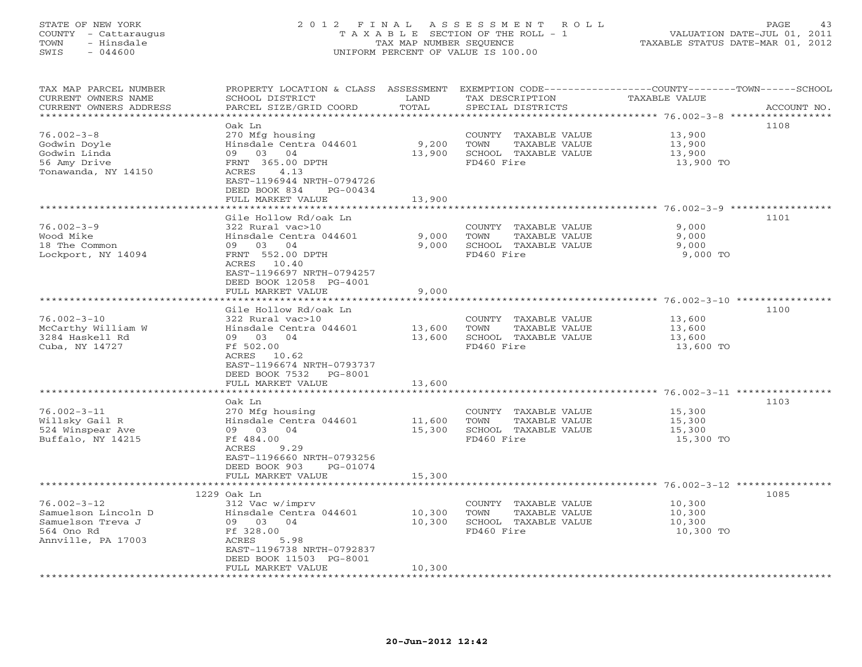#### STATE OF NEW YORK 2 0 1 2 F I N A L A S S E S S M E N T R O L L PAGE 43 COUNTY - Cattaraugus T A X A B L E SECTION OF THE ROLL - 1 VALUATION DATE-JUL 01, 2011 TOWN - Hinsdale TAX MAP NUMBER SEQUENCE TAXABLE STATUS DATE-MAR 01, 2012 SWIS - 044600 UNIFORM PERCENT OF VALUE IS 100.00UNIFORM PERCENT OF VALUE IS 100.00

| TAX MAP PARCEL NUMBER                    |                                                |                        |                                               | PROPERTY LOCATION & CLASS ASSESSMENT EXEMPTION CODE---------------COUNTY-------TOWN------SCHOOL |             |
|------------------------------------------|------------------------------------------------|------------------------|-----------------------------------------------|-------------------------------------------------------------------------------------------------|-------------|
| CURRENT OWNERS NAME                      | SCHOOL DISTRICT                                | LAND                   | TAX DESCRIPTION                               | TAXABLE VALUE                                                                                   |             |
| CURRENT OWNERS ADDRESS                   | PARCEL SIZE/GRID COORD                         | TOTAL                  | SPECIAL DISTRICTS                             |                                                                                                 | ACCOUNT NO. |
|                                          |                                                | ********************** |                                               | **************** 76.002-3-8 ***********                                                         |             |
|                                          | Oak Ln                                         |                        |                                               | 1108                                                                                            |             |
| $76.002 - 3 - 8$                         | 270 Mfg housing                                |                        | COUNTY TAXABLE VALUE                          | 13,900                                                                                          |             |
| Godwin Doyle                             | Hinsdale Centra 044601                         | 9,200                  | TOWN<br>TAXABLE VALUE                         | 13,900                                                                                          |             |
| Godwin Linda                             | 09 03 04                                       | 13,900                 | SCHOOL TAXABLE VALUE                          | 13,900                                                                                          |             |
| 56 Amy Drive                             | FRNT 365.00 DPTH                               |                        | FD460 Fire                                    | 13,900 TO                                                                                       |             |
| Tonawanda, NY 14150                      | ACRES<br>4.13                                  |                        |                                               |                                                                                                 |             |
|                                          | EAST-1196944 NRTH-0794726                      |                        |                                               |                                                                                                 |             |
|                                          | DEED BOOK 834<br>$PG-00434$                    |                        |                                               |                                                                                                 |             |
|                                          | FULL MARKET VALUE                              | 13,900                 |                                               |                                                                                                 |             |
|                                          |                                                |                        |                                               |                                                                                                 |             |
|                                          | Gile Hollow Rd/oak Ln                          |                        |                                               | 1101                                                                                            |             |
| $76.002 - 3 - 9$                         | 322 Rural vac>10                               |                        | COUNTY TAXABLE VALUE                          | 9,000                                                                                           |             |
| Wood Mike                                | Hinsdale Centra 044601                         | 9,000                  | TAXABLE VALUE<br>TOWN                         | 9,000                                                                                           |             |
| 18 The Common                            | 09 03 04                                       | 9,000                  | SCHOOL TAXABLE VALUE                          | 9,000                                                                                           |             |
| Lockport, NY 14094                       | FRNT 552.00 DPTH                               |                        | FD460 Fire                                    | 9,000 TO                                                                                        |             |
|                                          | ACRES 10.40                                    |                        |                                               |                                                                                                 |             |
|                                          | EAST-1196697 NRTH-0794257                      |                        |                                               |                                                                                                 |             |
|                                          | DEED BOOK 12058 PG-4001                        |                        |                                               |                                                                                                 |             |
|                                          | FULL MARKET VALUE                              | 9,000                  |                                               |                                                                                                 |             |
|                                          |                                                |                        |                                               |                                                                                                 |             |
|                                          | Gile Hollow Rd/oak Ln                          |                        |                                               | 1100                                                                                            |             |
| $76.002 - 3 - 10$                        | 322 Rural vac>10                               |                        | COUNTY TAXABLE VALUE                          | 13,600                                                                                          |             |
| McCarthy William W                       | Hinsdale Centra 044601                         | 13,600                 | TOWN<br>TAXABLE VALUE                         | 13,600                                                                                          |             |
| 3284 Haskell Rd                          | 09 03 04                                       | 13,600                 | SCHOOL TAXABLE VALUE                          | 13,600                                                                                          |             |
| Cuba, NY 14727                           | Ff 502.00                                      |                        | FD460 Fire                                    | 13,600 TO                                                                                       |             |
|                                          | ACRES 10.62                                    |                        |                                               |                                                                                                 |             |
|                                          | EAST-1196674 NRTH-0793737                      |                        |                                               |                                                                                                 |             |
|                                          |                                                |                        |                                               |                                                                                                 |             |
|                                          | DEED BOOK 7532<br>PG-8001<br>FULL MARKET VALUE | 13,600                 |                                               |                                                                                                 |             |
|                                          | *******************                            | **************         |                                               | ************************************** 76.002-3-11 *****************                            |             |
|                                          | Oak Ln                                         |                        |                                               | 1103                                                                                            |             |
| $76.002 - 3 - 11$                        |                                                |                        |                                               | 15,300                                                                                          |             |
|                                          | 270 Mfg housing                                |                        | COUNTY TAXABLE VALUE                          |                                                                                                 |             |
| Willsky Gail R                           | Hinsdale Centra 044601<br>04                   | 11,600                 | TAXABLE VALUE<br>TOWN<br>SCHOOL TAXABLE VALUE | 15,300                                                                                          |             |
| 524 Winspear Ave                         | 09 03                                          | 15,300                 | FD460 Fire                                    | 15,300                                                                                          |             |
| Buffalo, NY 14215                        | Ff 484.00                                      |                        |                                               | 15,300 TO                                                                                       |             |
|                                          | ACRES<br>9.29                                  |                        |                                               |                                                                                                 |             |
|                                          | EAST-1196660 NRTH-0793256<br>PG-01074          |                        |                                               |                                                                                                 |             |
|                                          | DEED BOOK 903                                  |                        |                                               |                                                                                                 |             |
|                                          | FULL MARKET VALUE                              | 15,300                 |                                               |                                                                                                 |             |
|                                          |                                                |                        |                                               | 1085                                                                                            |             |
| $76.002 - 3 - 12$                        | 1229 Oak Ln                                    |                        |                                               |                                                                                                 |             |
|                                          | 312 Vac w/imprv                                |                        | COUNTY TAXABLE VALUE                          | 10,300                                                                                          |             |
| Samuelson Lincoln D<br>Samuelson Treva J | Hinsdale Centra 044601                         | 10,300                 | TOWN<br>TAXABLE VALUE                         | 10,300                                                                                          |             |
|                                          | 09 03 04                                       | 10,300                 | SCHOOL TAXABLE VALUE                          | 10,300                                                                                          |             |
| 564 Ono Rd                               | Ff 328.00                                      |                        | FD460 Fire                                    | 10,300 TO                                                                                       |             |
| Annville, PA 17003                       | ACRES<br>5.98                                  |                        |                                               |                                                                                                 |             |
|                                          | EAST-1196738 NRTH-0792837                      |                        |                                               |                                                                                                 |             |
|                                          | DEED BOOK 11503 PG-8001                        |                        |                                               |                                                                                                 |             |
|                                          | FULL MARKET VALUE                              | 10,300                 |                                               |                                                                                                 |             |
|                                          |                                                |                        |                                               |                                                                                                 |             |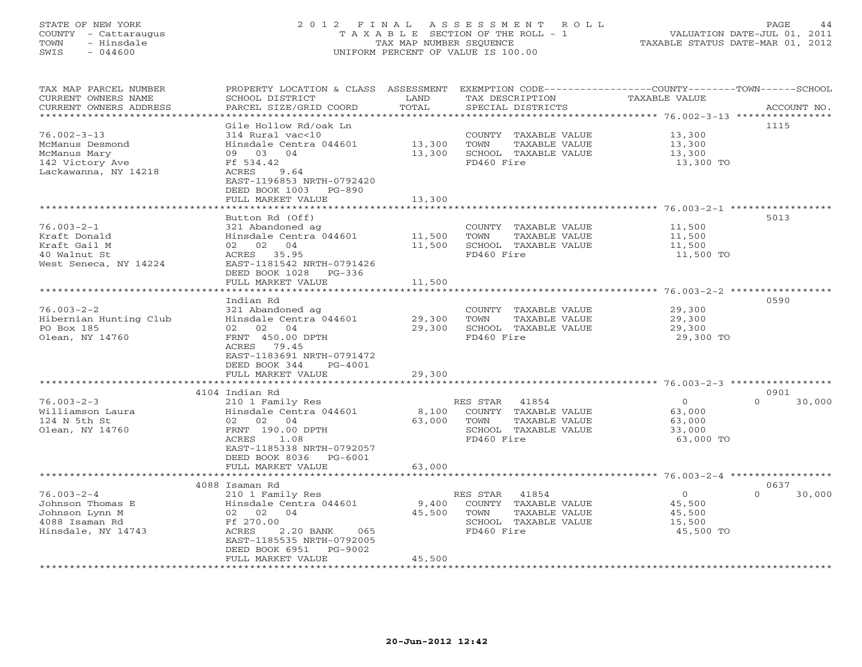#### STATE OF NEW YORK 2 0 1 2 F I N A L A S S E S S M E N T R O L L PAGE 44 COUNTY - Cattaraugus T A X A B L E SECTION OF THE ROLL - 1 VALUATION DATE-JUL 01, 2011 TOWN - Hinsdale TAX MAP NUMBER SEQUENCE TAXABLE STATUS DATE-MAR 01, 2012 SWIS - 044600 UNIFORM PERCENT OF VALUE IS 100.00UNIFORM PERCENT OF VALUE IS 100.00

| TAX MAP PARCEL NUMBER<br>CURRENT OWNERS NAME<br>CURRENT OWNERS ADDRESS<br>********************** | PROPERTY LOCATION & CLASS ASSESSMENT EXEMPTION CODE----------------COUNTY-------TOWN------SCHOOL<br>SCHOOL DISTRICT<br>PARCEL SIZE/GRID COORD                                                     | LAND<br>TOTAL              | TAX DESCRIPTION<br>SPECIAL DISTRICTS                                                                     | TAXABLE VALUE                                             | ACCOUNT NO.                |
|--------------------------------------------------------------------------------------------------|---------------------------------------------------------------------------------------------------------------------------------------------------------------------------------------------------|----------------------------|----------------------------------------------------------------------------------------------------------|-----------------------------------------------------------|----------------------------|
| $76.002 - 3 - 13$<br>McManus Desmond<br>McManus Mary<br>142 Victory Ave<br>Lackawanna, NY 14218  | Gile Hollow Rd/oak Ln<br>314 Rural vac<10<br>Hinsdale Centra 044601<br>09 03 04<br>Ff 534.42<br>9.64<br>ACRES<br>EAST-1196853 NRTH-0792420<br>DEED BOOK 1003 PG-890<br>FULL MARKET VALUE          | 13,300<br>13,300<br>13,300 | COUNTY TAXABLE VALUE<br>TOWN<br>TAXABLE VALUE<br>SCHOOL TAXABLE VALUE<br>FD460 Fire                      | 13,300<br>13,300<br>13,300<br>13,300 TO                   | 1115                       |
|                                                                                                  | Button Rd (Off)                                                                                                                                                                                   |                            |                                                                                                          | ******************************** 76.003-2-1 **********    | 5013                       |
| $76.003 - 2 - 1$<br>Kraft Donald<br>Kraft Gail M<br>40 Walnut St<br>West Seneca, NY 14224        | 321 Abandoned ag<br>Hinsdale Centra 044601<br>02 02 04<br>ACRES 35.95<br>EAST-1181542 NRTH-0791426<br>DEED BOOK 1028 PG-336<br>FULL MARKET VALUE                                                  | 11,500<br>11,500<br>11,500 | COUNTY TAXABLE VALUE<br>TOWN<br>TAXABLE VALUE<br>SCHOOL TAXABLE VALUE<br>FD460 Fire                      | 11,500<br>11,500<br>11,500<br>11,500 TO                   |                            |
|                                                                                                  |                                                                                                                                                                                                   |                            |                                                                                                          |                                                           | 0590                       |
| $76.003 - 2 - 2$<br>Hibernian Hunting Club<br>PO Box 185<br>Olean, NY 14760                      | Indian Rd<br>321 Abandoned ag<br>Hinsdale Centra 044601<br>02 02 04<br>FRNT 450.00 DPTH<br>ACRES 79.45<br>EAST-1183691 NRTH-0791472<br>DEED BOOK 344<br>PG-4001<br>FULL MARKET VALUE              | 29,300<br>29,300<br>29,300 | COUNTY TAXABLE VALUE<br>TOWN<br>TAXABLE VALUE<br>SCHOOL TAXABLE VALUE<br>FD460 Fire                      | 29,300<br>29,300<br>29,300<br>29,300 TO                   |                            |
|                                                                                                  | 4104 Indian Rd                                                                                                                                                                                    |                            |                                                                                                          |                                                           | 0901                       |
| $76.003 - 2 - 3$<br>Williamson Laura<br>124 N 5th St<br>Olean, NY 14760                          | 210 1 Family Res<br>Hinsdale Centra 044601<br>02 02 04<br>FRNT 190.00 DPTH<br>ACRES<br>1.08<br>EAST-1185338 NRTH-0792057<br>DEED BOOK 8036 PG-6001<br>FULL MARKET VALUE                           | 8,100<br>63,000<br>63,000  | RES STAR<br>41854<br>COUNTY TAXABLE VALUE<br>TOWN<br>TAXABLE VALUE<br>SCHOOL TAXABLE VALUE<br>FD460 Fire | $\Omega$<br>63,000<br>63,000<br>33,000<br>63,000 TO       | $\Omega$<br>30,000         |
|                                                                                                  |                                                                                                                                                                                                   |                            |                                                                                                          |                                                           |                            |
| $76.003 - 2 - 4$<br>Johnson Thomas E<br>Johnson Lynn M<br>4088 Isaman Rd<br>Hinsdale, NY 14743   | 4088 Isaman Rd<br>210 1 Family Res<br>Hinsdale Centra 044601<br>02 02 04<br>Ff 270.00<br>ACRES<br>2.20 BANK<br>065<br>EAST-1185535 NRTH-0792005<br>DEED BOOK 6951<br>PG-9002<br>FULL MARKET VALUE | 9,400<br>45,500<br>45,500  | 41854<br>RES STAR<br>COUNTY TAXABLE VALUE<br>TOWN<br>TAXABLE VALUE<br>SCHOOL TAXABLE VALUE<br>FD460 Fire | $\overline{0}$<br>45,500<br>45,500<br>15,500<br>45,500 TO | 0637<br>$\Omega$<br>30,000 |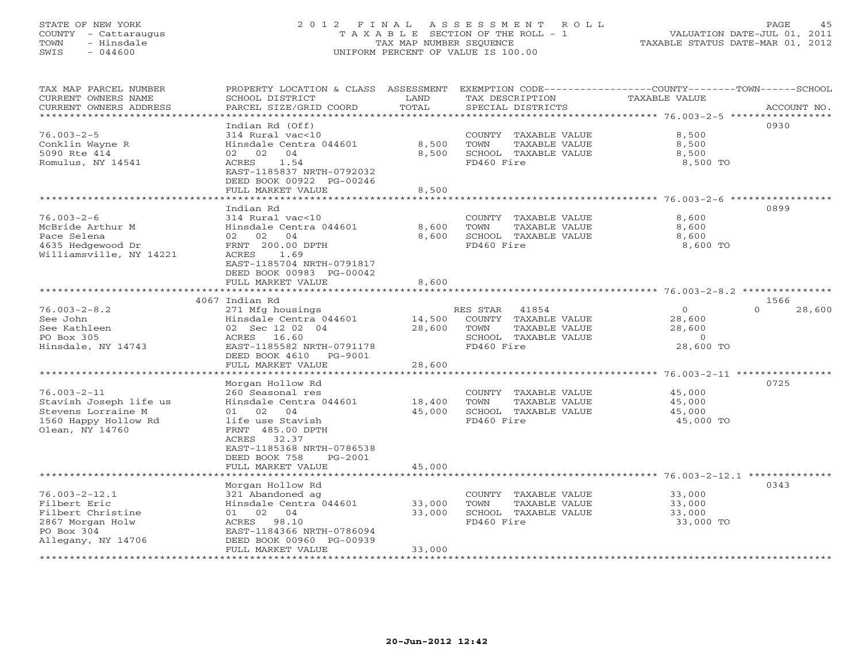### STATE OF NEW YORK 2 0 1 2 F I N A L A S S E S S M E N T R O L L PAGE 45 COUNTY - Cattaraugus T A X A B L E SECTION OF THE ROLL - 1 VALUATION DATE-JUL 01, 2011 TOWN - Hinsdale TAX MAP NUMBER SEQUENCE TAXABLE STATUS DATE-MAR 01, 2012 SWIS - 044600 UNIFORM PERCENT OF VALUE IS 100.00UNIFORM PERCENT OF VALUE IS 100.00

| TAX MAP PARCEL NUMBER<br>CURRENT OWNERS NAME<br>CURRENT OWNERS ADDRESS<br>************************               | PROPERTY LOCATION & CLASS ASSESSMENT EXEMPTION CODE---------------COUNTY-------TOWN------SCHOOL<br>SCHOOL DISTRICT<br>PARCEL SIZE/GRID COORD                                               | LAND<br>TOTAL           | TAX DESCRIPTION<br>SPECIAL DISTRICTS                                                                     | TAXABLE VALUE                                              | ACCOUNT NO.        |
|------------------------------------------------------------------------------------------------------------------|--------------------------------------------------------------------------------------------------------------------------------------------------------------------------------------------|-------------------------|----------------------------------------------------------------------------------------------------------|------------------------------------------------------------|--------------------|
| $76.003 - 2 - 5$<br>Conklin Wayne R<br>5090 Rte 414<br>Romulus, NY 14541                                         | Indian Rd (Off)<br>314 Rural vac<10<br>Hinsdale Centra 044601<br>04<br>02 02<br>1.54<br>ACRES<br>EAST-1185837 NRTH-0792032<br>DEED BOOK 00922 PG-00246<br>FULL MARKET VALUE                | 8,500<br>8,500<br>8,500 | COUNTY TAXABLE VALUE<br>TOWN<br>TAXABLE VALUE<br>SCHOOL TAXABLE VALUE<br>FD460 Fire                      | 8,500<br>8,500<br>8,500<br>8,500 TO                        | 0930               |
|                                                                                                                  | *******************                                                                                                                                                                        |                         |                                                                                                          |                                                            |                    |
| $76.003 - 2 - 6$<br>McBride Arthur M<br>Pace Selena<br>4635 Hedgewood Dr<br>Williamsville, NY 14221              | Indian Rd<br>314 Rural vac<10<br>Hinsdale Centra 044601<br>02 02<br>04<br>FRNT 200.00 DPTH<br>ACRES<br>1.69<br>EAST-1185704 NRTH-0791817<br>DEED BOOK 00983 PG-00042                       | 8,600<br>8,600          | COUNTY TAXABLE VALUE<br>TOWN<br>TAXABLE VALUE<br>SCHOOL TAXABLE VALUE<br>FD460 Fire                      | 8,600<br>8,600<br>8,600<br>8,600 TO                        | 0899               |
|                                                                                                                  | FULL MARKET VALUE                                                                                                                                                                          | 8,600                   |                                                                                                          |                                                            |                    |
|                                                                                                                  | 4067 Indian Rd                                                                                                                                                                             |                         |                                                                                                          |                                                            | 1566               |
| $76.003 - 2 - 8.2$<br>See John<br>See Kathleen<br>PO Box 305<br>Hinsdale, NY 14743                               | 271 Mfg housings<br>Hinsdale Centra 044601<br>02 Sec 12 02 04<br>ACRES 16.60<br>EAST-1185582 NRTH-0791178<br>DEED BOOK 4610 PG-9001                                                        | 14,500<br>28,600        | RES STAR<br>41854<br>COUNTY TAXABLE VALUE<br>TOWN<br>TAXABLE VALUE<br>SCHOOL TAXABLE VALUE<br>FD460 Fire | $\circ$<br>28,600<br>28,600<br>$\overline{0}$<br>28,600 TO | $\Omega$<br>28,600 |
|                                                                                                                  | FULL MARKET VALUE                                                                                                                                                                          | 28,600                  |                                                                                                          |                                                            |                    |
| $76.003 - 2 - 11$<br>Stavish Joseph life us<br>Stevens Lorraine M<br>1560 Happy Hollow Rd<br>Olean, NY 14760     | Morgan Hollow Rd<br>260 Seasonal res<br>Hinsdale Centra 044601<br>01 02 04<br>life use Stavish<br>FRNT 485.00 DPTH<br>ACRES 32.37<br>EAST-1185368 NRTH-0786538<br>DEED BOOK 758<br>PG-2001 | 18,400<br>45,000        | COUNTY TAXABLE VALUE<br>TOWN<br>TAXABLE VALUE<br>SCHOOL TAXABLE VALUE<br>FD460 Fire                      | 45,000<br>45,000<br>45,000<br>45,000 TO                    | 0725               |
|                                                                                                                  | FULL MARKET VALUE                                                                                                                                                                          | 45,000                  |                                                                                                          |                                                            |                    |
| $76.003 - 2 - 12.1$<br>Filbert Eric<br>Filbert Christine<br>2867 Morgan Holw<br>PO Box 304<br>Allegany, NY 14706 | Morgan Hollow Rd<br>321 Abandoned ag<br>Hinsdale Centra 044601<br>01 02 04<br>ACRES 98.10<br>EAST-1184366 NRTH-0786094<br>DEED BOOK 00960 PG-00939                                         | 33,000<br>33,000        | COUNTY TAXABLE VALUE<br>TOWN<br>TAXABLE VALUE<br>SCHOOL TAXABLE VALUE<br>FD460 Fire                      | 33,000<br>33,000<br>33,000<br>33,000 TO                    | 0343               |
|                                                                                                                  | FULL MARKET VALUE                                                                                                                                                                          | 33,000                  |                                                                                                          |                                                            |                    |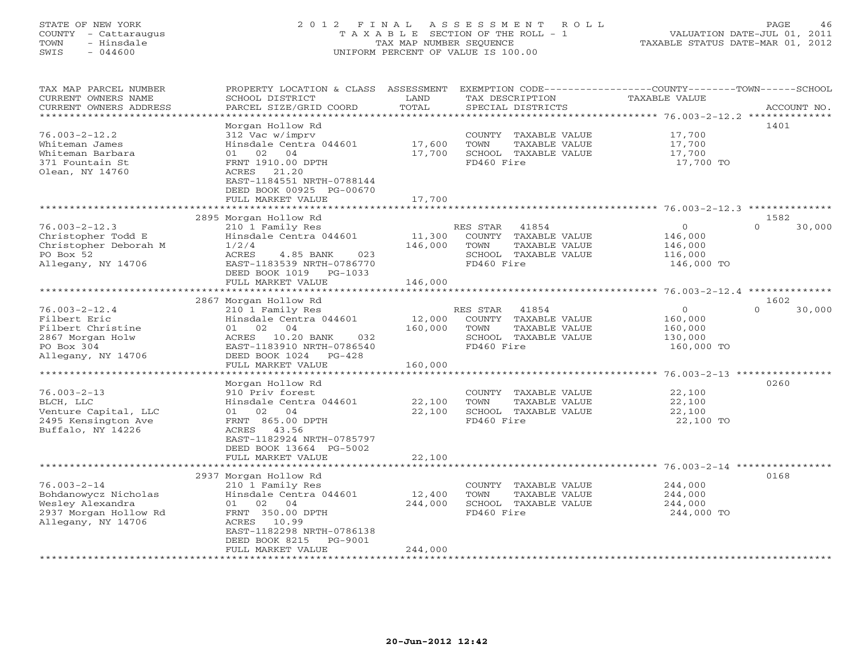### STATE OF NEW YORK 2 0 1 2 F I N A L A S S E S S M E N T R O L L PAGE 46 COUNTY - Cattaraugus T A X A B L E SECTION OF THE ROLL - 1 VALUATION DATE-JUL 01, 2011 TOWN - Hinsdale TAX MAP NUMBER SEQUENCE TAXABLE STATUS DATE-MAR 01, 2012 SWIS - 044600 UNIFORM PERCENT OF VALUE IS 100.00

|  | TAXABLE STATUS DATE-MAR 01, 2012 |  |
|--|----------------------------------|--|
|  |                                  |  |
|  |                                  |  |

| TAX MAP PARCEL NUMBER<br>CURRENT OWNERS NAME<br>CURRENT OWNERS ADDRESS                                           | PROPERTY LOCATION & CLASS<br>SCHOOL DISTRICT<br>PARCEL SIZE/GRID COORD                                                                                                                            | ASSESSMENT<br>LAND<br>TOTAL  | EXEMPTION CODE-----------------COUNTY-------TOWN------SCHOOL<br>TAX DESCRIPTION<br>SPECIAL DISTRICTS     | <b>TAXABLE VALUE</b>                                    | ACCOUNT NO.                        |
|------------------------------------------------------------------------------------------------------------------|---------------------------------------------------------------------------------------------------------------------------------------------------------------------------------------------------|------------------------------|----------------------------------------------------------------------------------------------------------|---------------------------------------------------------|------------------------------------|
| *********************                                                                                            |                                                                                                                                                                                                   |                              |                                                                                                          |                                                         |                                    |
| $76.003 - 2 - 12.2$<br>Whiteman James<br>Whiteman Barbara<br>371 Fountain St<br>Olean, NY 14760                  | Morgan Hollow Rd<br>312 Vac w/imprv<br>Hinsdale Centra 044601<br>04<br>02<br>01<br>FRNT 1910.00 DPTH<br>ACRES 21.20<br>EAST-1184551 NRTH-0788144<br>DEED BOOK 00925 PG-00670<br>FULL MARKET VALUE | 17,600<br>17,700<br>17,700   | COUNTY<br>TAXABLE VALUE<br>TOWN<br>TAXABLE VALUE<br>SCHOOL TAXABLE VALUE<br>FD460 Fire                   | 17,700<br>17,700<br>17,700<br>17,700 TO                 | 1401                               |
|                                                                                                                  |                                                                                                                                                                                                   |                              |                                                                                                          |                                                         |                                    |
|                                                                                                                  | 2895 Morgan Hollow Rd                                                                                                                                                                             |                              |                                                                                                          |                                                         | 1582                               |
| $76.003 - 2 - 12.3$<br>Christopher Todd E<br>Christopher Deborah M<br>PO Box 52<br>Allegany, NY 14706            | 210 1 Family Res<br>Hinsdale Centra 044601<br>1/2/4<br>ACRES<br>023<br>4.85 BANK<br>EAST-1183539 NRTH-0786770<br>DEED BOOK 1019<br>PG-1033<br>FULL MARKET VALUE                                   | 11,300<br>146,000<br>146,000 | 41854<br>RES STAR<br>COUNTY TAXABLE VALUE<br>TOWN<br>TAXABLE VALUE<br>SCHOOL TAXABLE VALUE<br>FD460 Fire | $\circ$<br>146,000<br>146,000<br>116,000<br>146,000 TO  | $\Omega$<br>30,000                 |
|                                                                                                                  |                                                                                                                                                                                                   |                              |                                                                                                          |                                                         |                                    |
|                                                                                                                  | 2867 Morgan Hollow Rd                                                                                                                                                                             |                              |                                                                                                          |                                                         | 1602                               |
| $76.003 - 2 - 12.4$<br>Filbert Eric<br>Filbert Christine<br>2867 Morgan Holw<br>PO Box 304<br>Allegany, NY 14706 | 210 1 Family Res<br>Hinsdale Centra 044601<br>02<br>04<br>01<br>ACRES 10.20 BANK<br>032<br>EAST-1183910 NRTH-0786540<br>DEED BOOK 1024<br>$PG-428$<br>FULL MARKET VALUE                           | 12,000<br>160,000<br>160,000 | RES STAR<br>41854<br>COUNTY TAXABLE VALUE<br>TOWN<br>TAXABLE VALUE<br>SCHOOL TAXABLE VALUE<br>FD460 Fire | $\Omega$<br>160,000<br>160,000<br>130,000<br>160,000 TO | $\Omega$<br>30,000                 |
|                                                                                                                  |                                                                                                                                                                                                   | ************                 |                                                                                                          |                                                         | $76.003 - 2 - 13$ **************** |
| $76.003 - 2 - 13$<br>BLCH, LLC<br>Venture Capital, LLC<br>2495 Kensington Ave<br>Buffalo, NY 14226               | Morgan Hollow Rd<br>910 Priv forest<br>Hinsdale Centra 044601<br>02<br>04<br>01<br>FRNT 865.00 DPTH<br>ACRES<br>43.56<br>EAST-1182924 NRTH-0785797<br>DEED BOOK 13664 PG-5002                     | 22,100<br>22,100             | COUNTY TAXABLE VALUE<br>TOWN<br>TAXABLE VALUE<br>SCHOOL TAXABLE VALUE<br>FD460 Fire                      | 22,100<br>22,100<br>22,100<br>22,100 TO                 | 0260                               |
|                                                                                                                  | FULL MARKET VALUE                                                                                                                                                                                 | 22,100                       |                                                                                                          |                                                         |                                    |
|                                                                                                                  | *******************                                                                                                                                                                               |                              |                                                                                                          |                                                         |                                    |
|                                                                                                                  | 2937 Morgan Hollow Rd                                                                                                                                                                             |                              |                                                                                                          |                                                         | 0168                               |
| $76.003 - 2 - 14$<br>Bohdanowycz Nicholas<br>Wesley Alexandra<br>2937 Morgan Hollow Rd<br>Allegany, NY 14706     | 210 1 Family Res<br>Hinsdale Centra 044601<br>02 04<br>01<br>FRNT 350.00 DPTH<br>10.99<br>ACRES<br>EAST-1182298 NRTH-0786138<br>DEED BOOK 8215<br>$PG-9001$<br>FULL MARKET VALUE                  | 12,400<br>244,000<br>244,000 | COUNTY TAXABLE VALUE<br>TOWN<br>TAXABLE VALUE<br>SCHOOL TAXABLE VALUE<br>FD460 Fire                      | 244,000<br>244,000<br>244,000<br>244,000 TO             |                                    |
|                                                                                                                  |                                                                                                                                                                                                   |                              |                                                                                                          |                                                         |                                    |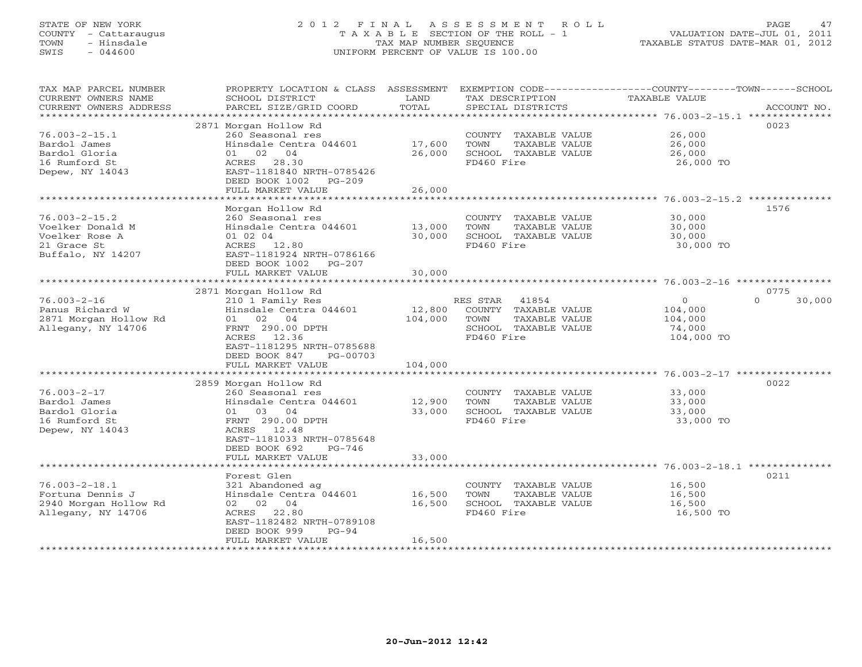#### STATE OF NEW YORK 2 0 1 2 F I N A L A S S E S S M E N T R O L L PAGE 47 COUNTY - Cattaraugus T A X A B L E SECTION OF THE ROLL - 1 VALUATION DATE-JUL 01, 2011 TOWN - Hinsdale TAX MAP NUMBER SEQUENCE TAXABLE STATUS DATE-MAR 01, 2012 SWIS - 044600 UNIFORM PERCENT OF VALUE IS 100.00UNIFORM PERCENT OF VALUE IS 100.00

| TAX MAP PARCEL NUMBER<br>CURRENT OWNERS NAME<br>CURRENT OWNERS ADDRESS | PROPERTY LOCATION & CLASS ASSESSMENT<br>SCHOOL DISTRICT<br>PARCEL SIZE/GRID COORD | LAND<br>TOTAL | TAX DESCRIPTION<br>SPECIAL DISTRICTS          | EXEMPTION CODE-----------------COUNTY-------TOWN------SCHOOL<br>TAXABLE VALUE | ACCOUNT NO.        |
|------------------------------------------------------------------------|-----------------------------------------------------------------------------------|---------------|-----------------------------------------------|-------------------------------------------------------------------------------|--------------------|
|                                                                        |                                                                                   |               |                                               |                                                                               |                    |
|                                                                        | 2871 Morgan Hollow Rd                                                             |               |                                               |                                                                               | 0023               |
| $76.003 - 2 - 15.1$<br>Bardol James                                    | 260 Seasonal res<br>Hinsdale Centra 044601                                        | 17,600        | COUNTY TAXABLE VALUE<br>TOWN<br>TAXABLE VALUE | 26,000<br>26,000                                                              |                    |
| Bardol Gloria                                                          | 01 02 04                                                                          | 26,000        | SCHOOL TAXABLE VALUE                          | 26,000                                                                        |                    |
| 16 Rumford St                                                          | ACRES 28.30                                                                       |               | FD460 Fire                                    | 26,000 TO                                                                     |                    |
| Depew, NY 14043                                                        | EAST-1181840 NRTH-0785426                                                         |               |                                               |                                                                               |                    |
|                                                                        | DEED BOOK 1002<br>$PG-209$                                                        |               |                                               |                                                                               |                    |
|                                                                        | FULL MARKET VALUE                                                                 | 26,000        |                                               |                                                                               |                    |
|                                                                        | ***************************                                                       |               |                                               |                                                                               |                    |
|                                                                        | Morgan Hollow Rd                                                                  |               |                                               |                                                                               | 1576               |
| $76.003 - 2 - 15.2$                                                    | 260 Seasonal res                                                                  |               | COUNTY TAXABLE VALUE                          | 30,000                                                                        |                    |
| Voelker Donald M                                                       | Hinsdale Centra 044601                                                            | 13,000        | TAXABLE VALUE<br>TOWN                         | 30,000                                                                        |                    |
| Voelker Rose A                                                         | 01 02 04                                                                          | 30,000        | SCHOOL TAXABLE VALUE                          | 30,000                                                                        |                    |
| 21 Grace St                                                            | ACRES 12.80                                                                       |               | FD460 Fire                                    | 30,000 TO                                                                     |                    |
| Buffalo, NY 14207                                                      | EAST-1181924 NRTH-0786166                                                         |               |                                               |                                                                               |                    |
|                                                                        | DEED BOOK 1002<br>PG-207                                                          |               |                                               |                                                                               |                    |
|                                                                        | FULL MARKET VALUE                                                                 | 30,000        |                                               |                                                                               |                    |
|                                                                        |                                                                                   |               |                                               |                                                                               |                    |
|                                                                        | 2871 Morgan Hollow Rd                                                             |               |                                               |                                                                               | 0775               |
| $76.003 - 2 - 16$                                                      | 210 1 Family Res                                                                  |               | RES STAR<br>41854                             | $\circ$                                                                       | $\Omega$<br>30,000 |
| Panus Richard W                                                        | Hinsdale Centra 044601                                                            | 12,800        | COUNTY TAXABLE VALUE                          | 104,000                                                                       |                    |
| 2871 Morgan Hollow Rd                                                  | 01 02 04                                                                          | 104,000       | TOWN<br>TAXABLE VALUE                         | 104,000                                                                       |                    |
| Allegany, NY 14706                                                     | FRNT 290.00 DPTH                                                                  |               | SCHOOL TAXABLE VALUE                          | 74,000                                                                        |                    |
|                                                                        | ACRES 12.36                                                                       |               | FD460 Fire                                    | 104,000 TO                                                                    |                    |
|                                                                        | EAST-1181295 NRTH-0785688                                                         |               |                                               |                                                                               |                    |
|                                                                        | DEED BOOK 847<br>PG-00703<br>FULL MARKET VALUE                                    | 104,000       |                                               |                                                                               |                    |
|                                                                        |                                                                                   |               |                                               |                                                                               |                    |
|                                                                        | 2859 Morgan Hollow Rd                                                             |               |                                               |                                                                               | 0022               |
| $76.003 - 2 - 17$                                                      | 260 Seasonal res                                                                  |               | COUNTY TAXABLE VALUE                          | 33,000                                                                        |                    |
| Bardol James                                                           | Hinsdale Centra 044601                                                            | 12,900        | TOWN<br>TAXABLE VALUE                         | 33,000                                                                        |                    |
| Bardol Gloria                                                          | 01 03 04                                                                          | 33,000        | SCHOOL TAXABLE VALUE                          | 33,000                                                                        |                    |
| 16 Rumford St                                                          | FRNT 290.00 DPTH                                                                  |               | FD460 Fire                                    | 33,000 TO                                                                     |                    |
| Depew, NY 14043                                                        | 12.48<br>ACRES                                                                    |               |                                               |                                                                               |                    |
|                                                                        | EAST-1181033 NRTH-0785648                                                         |               |                                               |                                                                               |                    |
|                                                                        | DEED BOOK 692<br>$PG-746$                                                         |               |                                               |                                                                               |                    |
|                                                                        | FULL MARKET VALUE                                                                 | 33,000        |                                               |                                                                               |                    |
|                                                                        |                                                                                   |               |                                               |                                                                               |                    |
|                                                                        | Forest Glen                                                                       |               |                                               |                                                                               | 0211               |
| $76.003 - 2 - 18.1$                                                    | 321 Abandoned ag                                                                  |               | COUNTY TAXABLE VALUE                          | 16,500                                                                        |                    |
| Fortuna Dennis J                                                       | Hinsdale Centra 044601                                                            | 16,500        | TOWN<br>TAXABLE VALUE                         | 16,500                                                                        |                    |
| 2940 Morgan Hollow Rd                                                  | 02 02 04                                                                          | 16,500        | SCHOOL TAXABLE VALUE                          | 16,500                                                                        |                    |
| Allegany, NY 14706                                                     | ACRES 22.80                                                                       |               | FD460 Fire                                    | 16,500 TO                                                                     |                    |
|                                                                        | EAST-1182482 NRTH-0789108                                                         |               |                                               |                                                                               |                    |
|                                                                        | DEED BOOK 999<br>$PG-94$                                                          |               |                                               |                                                                               |                    |
|                                                                        | FULL MARKET VALUE                                                                 | 16,500        |                                               |                                                                               |                    |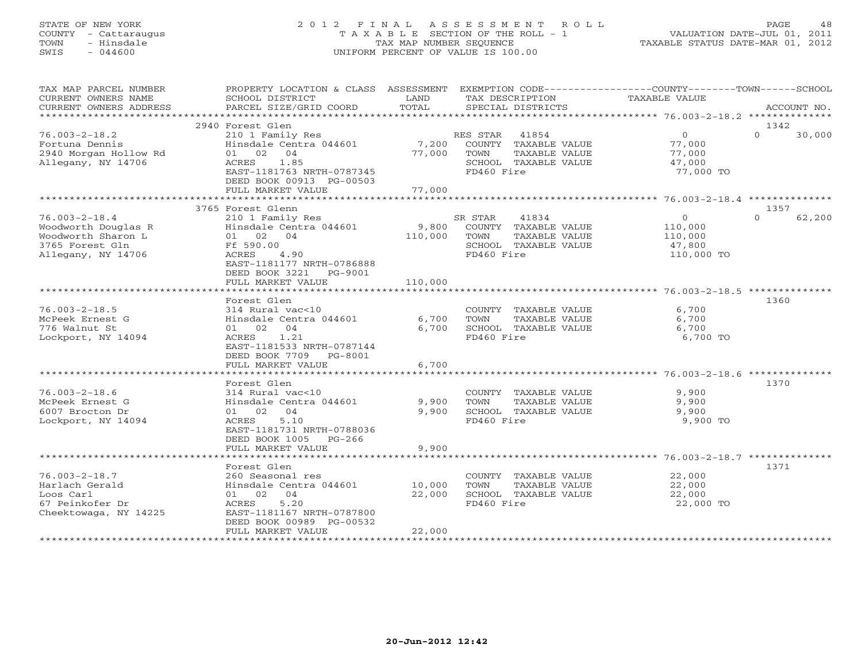### STATE OF NEW YORK 2 0 1 2 F I N A L A S S E S S M E N T R O L L PAGE 48 COUNTY - Cattaraugus T A X A B L E SECTION OF THE ROLL - 1 VALUATION DATE-JUL 01, 2011 TOWN - Hinsdale TAX MAP NUMBER SEQUENCE TAXABLE STATUS DATE-MAR 01, 2012 SWIS - 044600 UNIFORM PERCENT OF VALUE IS 100.00UNIFORM PERCENT OF VALUE IS 100.00

| TAX MAP PARCEL NUMBER<br>CURRENT OWNERS NAME | PROPERTY LOCATION & CLASS ASSESSMENT EXEMPTION CODE---------------COUNTY-------TOWN------SCHOOL<br>SCHOOL DISTRICT | LAND             | TAX DESCRIPTION                               | TAXABLE VALUE            |                            |  |
|----------------------------------------------|--------------------------------------------------------------------------------------------------------------------|------------------|-----------------------------------------------|--------------------------|----------------------------|--|
| CURRENT OWNERS ADDRESS                       | PARCEL SIZE/GRID COORD                                                                                             | TOTAL            | SPECIAL DISTRICTS                             |                          | ACCOUNT NO.                |  |
| *************************                    |                                                                                                                    |                  |                                               |                          |                            |  |
|                                              | 2940 Forest Glen                                                                                                   |                  |                                               |                          | 1342                       |  |
| $76.003 - 2 - 18.2$<br>Fortuna Dennis        | 210 1 Family Res<br>Hinsdale Centra 044601                                                                         | 7,200            | RES STAR 41854<br>COUNTY TAXABLE VALUE        | $\overline{0}$<br>77,000 | $\Omega$<br>30,000         |  |
| 2940 Morgan Hollow Rd                        | 01 02<br>04                                                                                                        | 77,000           | TOWN<br>TAXABLE VALUE                         | 77,000                   |                            |  |
| Allegany, NY 14706                           | ACRES<br>1.85                                                                                                      |                  | SCHOOL TAXABLE VALUE                          | 47,000                   |                            |  |
|                                              | EAST-1181763 NRTH-0787345                                                                                          |                  | FD460 Fire                                    | 77,000 TO                |                            |  |
|                                              | DEED BOOK 00913 PG-00503                                                                                           |                  |                                               |                          |                            |  |
|                                              | FULL MARKET VALUE                                                                                                  | 77,000           |                                               |                          |                            |  |
|                                              |                                                                                                                    |                  |                                               |                          |                            |  |
| $76.003 - 2 - 18.4$                          | 3765 Forest Glenn<br>210 1 Family Res                                                                              |                  | SR STAR<br>41834                              | $\circ$                  | 1357<br>$\Omega$<br>62,200 |  |
| Woodworth Douglas R                          | Hinsdale Centra 044601                                                                                             | 9,800            | COUNTY TAXABLE VALUE                          | 110,000                  |                            |  |
| Woodworth Sharon L                           | 01 02 04                                                                                                           | 110,000          | TOWN<br>TAXABLE VALUE                         | 110,000                  |                            |  |
| 3765 Forest Gln                              | Ff 590.00                                                                                                          |                  | SCHOOL TAXABLE VALUE                          | 47,800                   |                            |  |
| Allegany, NY 14706                           | 4.90<br>ACRES                                                                                                      |                  | FD460 Fire                                    | 110,000 TO               |                            |  |
|                                              | EAST-1181177 NRTH-0786888                                                                                          |                  |                                               |                          |                            |  |
|                                              | DEED BOOK 3221 PG-9001                                                                                             |                  |                                               |                          |                            |  |
|                                              | FULL MARKET VALUE                                                                                                  | 110,000          |                                               |                          |                            |  |
|                                              |                                                                                                                    |                  |                                               |                          |                            |  |
| $76.003 - 2 - 18.5$                          | Forest Glen<br>314 Rural vac<10                                                                                    |                  |                                               | 6,700                    | 1360                       |  |
| McPeek Ernest G                              | Hinsdale Centra 044601                                                                                             | 6,700            | COUNTY TAXABLE VALUE<br>TAXABLE VALUE<br>TOWN | 6,700                    |                            |  |
| 776 Walnut St                                | 01 02 04                                                                                                           | 6,700            | SCHOOL TAXABLE VALUE                          | 6,700                    |                            |  |
| Lockport, NY 14094                           | 1.21<br>ACRES                                                                                                      |                  | FD460 Fire                                    | 6,700 TO                 |                            |  |
|                                              | EAST-1181533 NRTH-0787144                                                                                          |                  |                                               |                          |                            |  |
|                                              | DEED BOOK 7709 PG-8001                                                                                             |                  |                                               |                          |                            |  |
|                                              | FULL MARKET VALUE                                                                                                  | 6,700            |                                               |                          |                            |  |
|                                              |                                                                                                                    |                  |                                               |                          |                            |  |
|                                              | Forest Glen                                                                                                        |                  |                                               |                          | 1370                       |  |
| $76.003 - 2 - 18.6$<br>McPeek Ernest G       | 314 Rural vac<10<br>Hinsdale Centra 044601                                                                         | 9,900            | COUNTY TAXABLE VALUE<br>TAXABLE VALUE<br>TOWN | 9,900<br>9,900           |                            |  |
| 6007 Brocton Dr                              | 01 02 04                                                                                                           | 9,900            | SCHOOL TAXABLE VALUE                          | 9,900                    |                            |  |
| Lockport, NY 14094                           | 5.10<br>ACRES                                                                                                      |                  | FD460 Fire                                    | 9,900 TO                 |                            |  |
|                                              | EAST-1181731 NRTH-0788036                                                                                          |                  |                                               |                          |                            |  |
|                                              | DEED BOOK 1005 PG-266                                                                                              |                  |                                               |                          |                            |  |
|                                              | FULL MARKET VALUE                                                                                                  | 9,900            |                                               |                          |                            |  |
| *************************                    |                                                                                                                    |                  |                                               |                          |                            |  |
|                                              | Forest Glen                                                                                                        |                  |                                               |                          | 1371                       |  |
| $76.003 - 2 - 18.7$                          | 260 Seasonal res                                                                                                   |                  | COUNTY TAXABLE VALUE                          | 22,000                   |                            |  |
| Harlach Gerald<br>Loos Carl                  | Hinsdale Centra 044601<br>01 02 04                                                                                 | 10,000<br>22,000 | TOWN<br>TAXABLE VALUE<br>SCHOOL TAXABLE VALUE | 22,000<br>22,000         |                            |  |
| 67 Peinkofer Dr                              | 5.20<br>ACRES                                                                                                      |                  | FD460 Fire                                    | 22,000 TO                |                            |  |
| Cheektowaga, NY 14225                        | EAST-1181167 NRTH-0787800                                                                                          |                  |                                               |                          |                            |  |
|                                              | DEED BOOK 00989 PG-00532                                                                                           |                  |                                               |                          |                            |  |
|                                              | FULL MARKET VALUE                                                                                                  | 22,000           |                                               |                          |                            |  |
|                                              |                                                                                                                    |                  |                                               |                          |                            |  |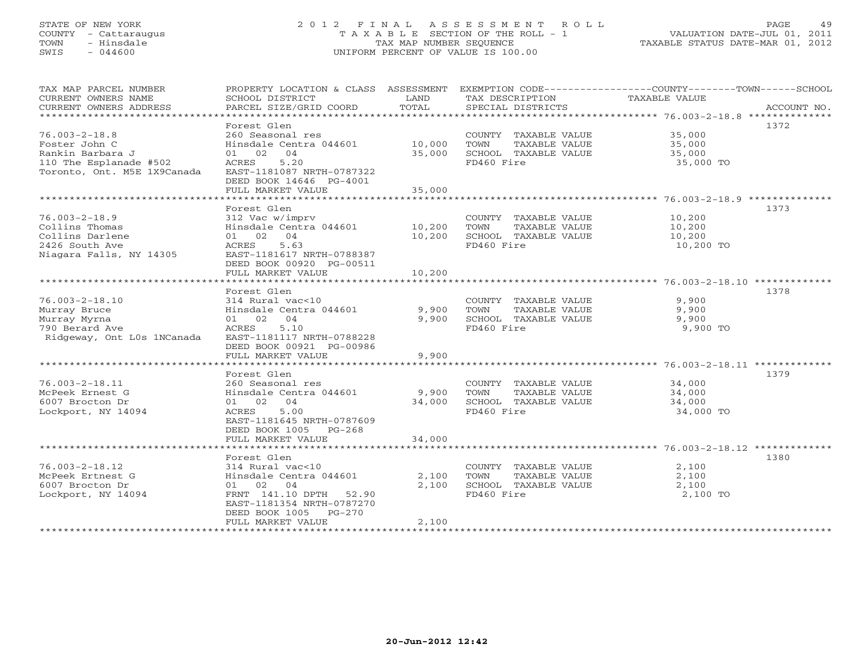#### STATE OF NEW YORK 2 0 1 2 F I N A L A S S E S S M E N T R O L L PAGE 49 COUNTY - Cattaraugus T A X A B L E SECTION OF THE ROLL - 1 VALUATION DATE-JUL 01, 2011 TOWN - Hinsdale TAX MAP NUMBER SEQUENCE TAXABLE STATUS DATE-MAR 01, 2012 SWIS - 044600 UNIFORM PERCENT OF VALUE IS 100.00UNIFORM PERCENT OF VALUE IS 100.00

| TAX MAP PARCEL NUMBER<br>CURRENT OWNERS NAME<br>CURRENT OWNERS ADDRESS | SCHOOL DISTRICT<br>PARCEL SIZE/GRID COORD  | LAND<br>TOTAL  | TAX DESCRIPTION TAXABLE VALUE<br>SPECIAL DISTRICTS | PROPERTY LOCATION & CLASS ASSESSMENT EXEMPTION CODE---------------COUNTY-------TOWN------SCHOOL<br>ACCOUNT NO. |
|------------------------------------------------------------------------|--------------------------------------------|----------------|----------------------------------------------------|----------------------------------------------------------------------------------------------------------------|
|                                                                        |                                            |                |                                                    |                                                                                                                |
|                                                                        | Forest Glen                                |                |                                                    | 1372                                                                                                           |
| $76.003 - 2 - 18.8$                                                    | 260 Seasonal res                           |                | COUNTY TAXABLE VALUE                               | 35,000                                                                                                         |
| Foster John C                                                          | Hinsdale Centra 044601 10,000              |                | TAXABLE VALUE<br>TOWN                              | 35,000                                                                                                         |
| Rankin Barbara J                                                       | 01 02 04                                   | 35,000         | SCHOOL TAXABLE VALUE                               | 35,000                                                                                                         |
| 110 The Esplanade #502                                                 | 5.20<br>ACRES                              |                | FD460 Fire                                         | 35,000 TO                                                                                                      |
| Toronto, Ont. M5E 1X9Canada                                            | EAST-1181087 NRTH-0787322                  |                |                                                    |                                                                                                                |
|                                                                        | DEED BOOK 14646 PG-4001                    |                |                                                    |                                                                                                                |
|                                                                        | FULL MARKET VALUE                          | 35,000         |                                                    |                                                                                                                |
|                                                                        |                                            |                |                                                    |                                                                                                                |
|                                                                        | Forest Glen                                |                |                                                    | 1373                                                                                                           |
| $76.003 - 2 - 18.9$                                                    | 312 Vac w/imprv                            |                | COUNTY TAXABLE VALUE                               | 10,200                                                                                                         |
| Collins Thomas                                                         | Hinsdale Centra 044601 10,200              |                | TAXABLE VALUE<br>TOWN                              | 10,200                                                                                                         |
| Collins Darlene                                                        | 01 02 04                                   | 10,200         | SCHOOL TAXABLE VALUE                               | 10,200                                                                                                         |
| 2426 South Ave                                                         | 5.63<br>ACRES                              |                | FD460 Fire                                         | 10,200 TO                                                                                                      |
| Niagara Falls, NY 14305                                                | EAST-1181617 NRTH-0788387                  |                |                                                    |                                                                                                                |
|                                                                        | DEED BOOK 00920 PG-00511                   |                |                                                    |                                                                                                                |
|                                                                        | FULL MARKET VALUE                          | 10,200         |                                                    |                                                                                                                |
|                                                                        |                                            |                |                                                    |                                                                                                                |
|                                                                        | Forest Glen                                |                |                                                    | 1378                                                                                                           |
| $76.003 - 2 - 18.10$                                                   | 314 Rural vac<10                           |                | COUNTY TAXABLE VALUE                               | 9,900                                                                                                          |
| Murray Bruce                                                           | Hinsdale Centra 044601                     | 9,900          | TOWN<br>TAXABLE VALUE                              | 9,900                                                                                                          |
| Murray Myrna                                                           | 01 02 04                                   | 9,900          | SCHOOL TAXABLE VALUE                               | 9,900                                                                                                          |
| 790 Berard Ave                                                         | 5.10<br>ACRES                              |                | FD460 Fire                                         | 9,900 TO                                                                                                       |
| Ridgeway, Ont LOs 1NCanada                                             | EAST-1181117 NRTH-0788228                  |                |                                                    |                                                                                                                |
|                                                                        | DEED BOOK 00921 PG-00986                   |                |                                                    |                                                                                                                |
|                                                                        | FULL MARKET VALUE                          | 9,900          |                                                    |                                                                                                                |
|                                                                        |                                            |                |                                                    |                                                                                                                |
|                                                                        | Forest Glen                                |                |                                                    | 1379                                                                                                           |
| $76.003 - 2 - 18.11$                                                   | 260 Seasonal res                           |                | COUNTY TAXABLE VALUE                               | 34,000                                                                                                         |
| McPeek Ernest G                                                        | Hinsdale Centra 044601 9,900               |                | <b>TOWN</b><br>TAXABLE VALUE                       | 34,000                                                                                                         |
| 6007 Brocton Dr                                                        | 01 02 04                                   | 34,000         | SCHOOL TAXABLE VALUE                               | 34,000                                                                                                         |
| Lockport, NY 14094                                                     | 5.00<br>ACRES                              |                | FD460 Fire                                         | 34,000 TO                                                                                                      |
|                                                                        | EAST-1181645 NRTH-0787609                  |                |                                                    |                                                                                                                |
|                                                                        | DEED BOOK 1005 PG-268                      |                |                                                    |                                                                                                                |
|                                                                        | FULL MARKET VALUE                          | 34,000         |                                                    |                                                                                                                |
|                                                                        |                                            |                |                                                    |                                                                                                                |
|                                                                        | Forest Glen                                |                |                                                    | 1380                                                                                                           |
|                                                                        |                                            |                |                                                    |                                                                                                                |
| $76.003 - 2 - 18.12$<br>McPeek Ertnest G                               | 314 Rural vac<10                           |                | COUNTY TAXABLE VALUE                               | 2,100                                                                                                          |
|                                                                        | Hinsdale Centra 044601<br>01 02 04         | 2,100<br>2,100 | TAXABLE VALUE<br>TOWN<br>SCHOOL TAXABLE VALUE      | 2,100<br>2,100                                                                                                 |
| 6007 Brocton Dr<br>Lockport, NY 14094                                  | FRNT 141.10 DPTH 52.90                     |                | FD460 Fire                                         |                                                                                                                |
|                                                                        |                                            |                |                                                    | 2,100 TO                                                                                                       |
|                                                                        | EAST-1181354 NRTH-0787270                  |                |                                                    |                                                                                                                |
|                                                                        | DEED BOOK 1005 PG-270<br>FULL MARKET VALUE | 2,100          |                                                    |                                                                                                                |
|                                                                        |                                            |                |                                                    |                                                                                                                |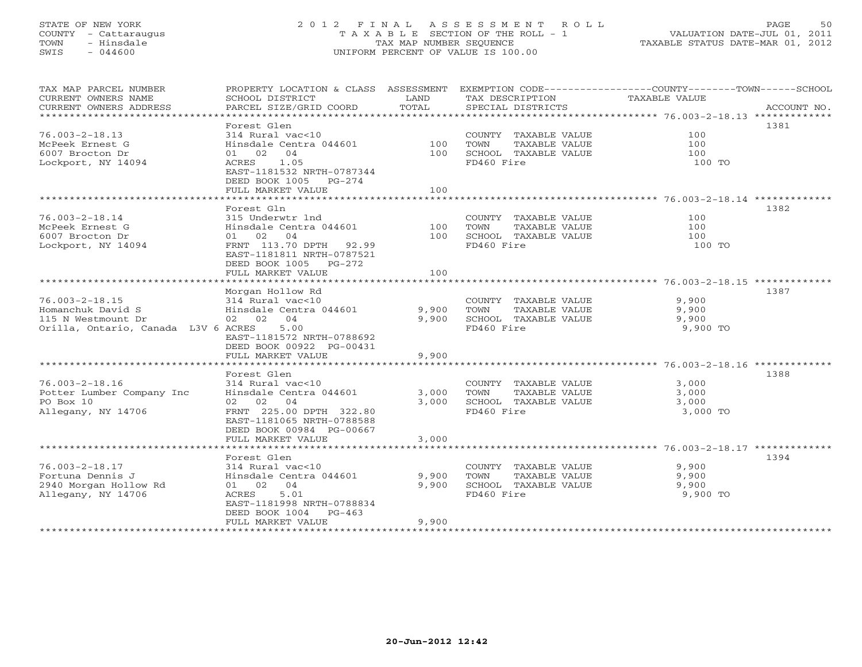#### STATE OF NEW YORK 2 0 1 2 F I N A L A S S E S S M E N T R O L L PAGE 50 COUNTY - Cattaraugus T A X A B L E SECTION OF THE ROLL - 1 VALUATION DATE-JUL 01, 2011 TOWN - Hinsdale TAX MAP NUMBER SEQUENCE TAXABLE STATUS DATE-MAR 01, 2012 SWIS - 044600 UNIFORM PERCENT OF VALUE IS 100.00UNIFORM PERCENT OF VALUE IS 100.00

| TAX MAP PARCEL NUMBER<br>CURRENT OWNERS NAME<br>CURRENT OWNERS ADDRESS | PROPERTY LOCATION & CLASS ASSESSMENT<br>SCHOOL DISTRICT<br>PARCEL SIZE/GRID COORD            | LAND<br>TOTAL | TAX DESCRIPTION<br>SPECIAL DISTRICTS                                  | EXEMPTION CODE-----------------COUNTY-------TOWN------SCHOOL<br>TAXABLE VALUE<br>ACCOUNT NO. |
|------------------------------------------------------------------------|----------------------------------------------------------------------------------------------|---------------|-----------------------------------------------------------------------|----------------------------------------------------------------------------------------------|
| $76.003 - 2 - 18.13$<br>McPeek Ernest G<br>6007 Brocton Dr             | Forest Glen<br>314 Rural vac<10<br>Hinsdale Centra 044601<br>01 02 04                        | 100<br>100    | COUNTY TAXABLE VALUE<br>TOWN<br>TAXABLE VALUE<br>SCHOOL TAXABLE VALUE | 1381<br>100<br>100<br>100                                                                    |
| Lockport, NY 14094                                                     | ACRES<br>1.05<br>EAST-1181532 NRTH-0787344<br>DEED BOOK 1005 PG-274<br>FULL MARKET VALUE     | 100           | FD460 Fire                                                            | 100 TO                                                                                       |
|                                                                        |                                                                                              |               |                                                                       |                                                                                              |
|                                                                        | Forest Gln                                                                                   |               |                                                                       | 1382                                                                                         |
| $76.003 - 2 - 18.14$                                                   | 315 Underwtr 1nd                                                                             |               | COUNTY TAXABLE VALUE                                                  | 100                                                                                          |
| McPeek Ernest G                                                        | Hinsdale Centra 044601                                                                       | 100           | TOWN<br>TAXABLE VALUE                                                 | 100                                                                                          |
| 6007 Brocton Dr                                                        | 01 02 04                                                                                     | 100           | SCHOOL TAXABLE VALUE                                                  | 100                                                                                          |
| Lockport, NY 14094                                                     | FRNT 113.70 DPTH 92.99<br>EAST-1181811 NRTH-0787521<br>DEED BOOK 1005 PG-272                 | 100           | FD460 Fire                                                            | 100 TO                                                                                       |
|                                                                        | FULL MARKET VALUE                                                                            |               |                                                                       |                                                                                              |
|                                                                        | Morgan Hollow Rd                                                                             |               |                                                                       | 1387                                                                                         |
| $76.003 - 2 - 18.15$                                                   | 314 Rural vac<10                                                                             |               | COUNTY TAXABLE VALUE                                                  | 9,900                                                                                        |
| Homanchuk David S                                                      | Hinsdale Centra 044601                                                                       | 9,900         | TOWN<br>TAXABLE VALUE                                                 | 9,900                                                                                        |
| 115 N Westmount Dr                                                     | 02 02 04                                                                                     | 9,900         | SCHOOL TAXABLE VALUE                                                  | 9,900                                                                                        |
| Orilla, Ontario, Canada L3V 6 ACRES                                    | 5.00<br>EAST-1181572 NRTH-0788692<br>DEED BOOK 00922 PG-00431                                |               | FD460 Fire                                                            | 9,900 TO                                                                                     |
|                                                                        | FULL MARKET VALUE                                                                            | 9,900         |                                                                       |                                                                                              |
|                                                                        |                                                                                              |               |                                                                       |                                                                                              |
|                                                                        | Forest Glen                                                                                  |               |                                                                       | 1388                                                                                         |
| $76.003 - 2 - 18.16$                                                   | 314 Rural vac<10                                                                             |               | COUNTY TAXABLE VALUE                                                  | 3,000                                                                                        |
| Potter Lumber Company Inc                                              | Hinsdale Centra 044601                                                                       | 3,000         | TOWN<br>TAXABLE VALUE                                                 | 3,000                                                                                        |
| PO Box 10<br>Allegany, NY 14706                                        | 02 02 04<br>FRNT 225.00 DPTH 322.80<br>EAST-1181065 NRTH-0788588<br>DEED BOOK 00984 PG-00667 | 3.000         | SCHOOL TAXABLE VALUE<br>FD460 Fire                                    | 3,000<br>3,000 TO                                                                            |
|                                                                        | FULL MARKET VALUE                                                                            | 3,000         |                                                                       |                                                                                              |
|                                                                        |                                                                                              |               |                                                                       |                                                                                              |
|                                                                        | Forest Glen                                                                                  |               |                                                                       | 1394                                                                                         |
| $76.003 - 2 - 18.17$                                                   | 314 Rural vac<10                                                                             |               | COUNTY TAXABLE VALUE                                                  | 9,900                                                                                        |
| Fortuna Dennis J                                                       | Hinsdale Centra 044601                                                                       | 9,900         | TOWN<br>TAXABLE VALUE                                                 | 9,900                                                                                        |
| 2940 Morgan Hollow Rd                                                  | 01 02 04                                                                                     | 9,900         | SCHOOL TAXABLE VALUE                                                  | 9,900                                                                                        |
| Allegany, NY 14706                                                     | 5.01<br>ACRES<br>EAST-1181998 NRTH-0788834<br>DEED BOOK 1004<br>$PG-463$                     |               | FD460 Fire                                                            | 9,900 TO                                                                                     |
|                                                                        | FULL MARKET VALUE                                                                            | 9,900         |                                                                       |                                                                                              |
| **********************                                                 |                                                                                              |               |                                                                       |                                                                                              |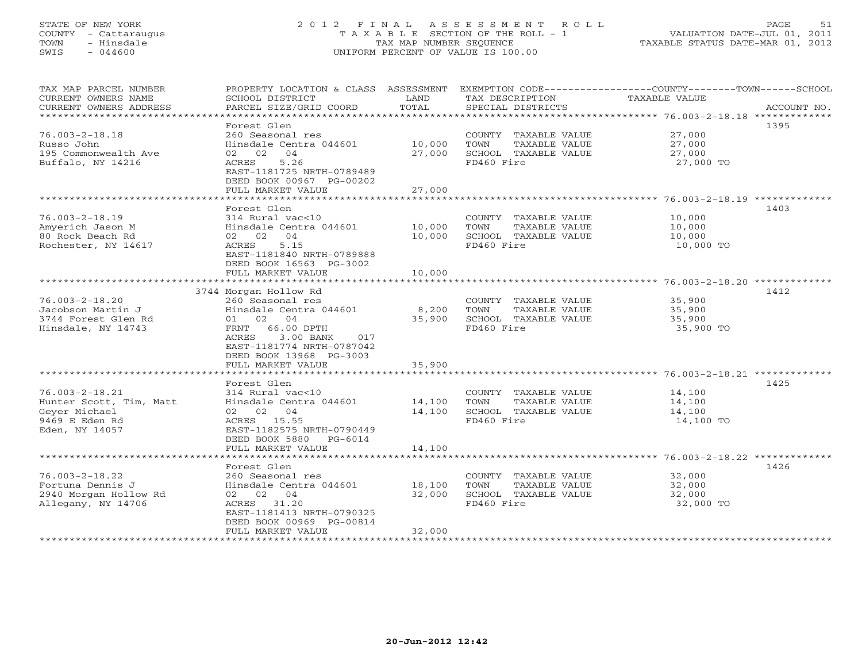#### STATE OF NEW YORK 2 0 1 2 F I N A L A S S E S S M E N T R O L L PAGE 51 COUNTY - Cattaraugus T A X A B L E SECTION OF THE ROLL - 1 VALUATION DATE-JUL 01, 2011 TOWN - Hinsdale TAX MAP NUMBER SEQUENCE TAXABLE STATUS DATE-MAR 01, 2012 SWIS - 044600 UNIFORM PERCENT OF VALUE IS 100.00UNIFORM PERCENT OF VALUE IS 100.00

| TAX MAP PARCEL NUMBER                         | PROPERTY LOCATION & CLASS ASSESSMENT       |                 |                                               | EXEMPTION CODE-----------------COUNTY-------TOWN------SCHOOL |             |
|-----------------------------------------------|--------------------------------------------|-----------------|-----------------------------------------------|--------------------------------------------------------------|-------------|
| CURRENT OWNERS NAME<br>CURRENT OWNERS ADDRESS | SCHOOL DISTRICT<br>PARCEL SIZE/GRID COORD  | LAND<br>TOTAL   | TAX DESCRIPTION<br>SPECIAL DISTRICTS          | TAXABLE VALUE                                                | ACCOUNT NO. |
| *************************                     |                                            |                 |                                               |                                                              |             |
|                                               | Forest Glen                                |                 |                                               |                                                              | 1395        |
| $76.003 - 2 - 18.18$                          | 260 Seasonal res                           |                 | COUNTY TAXABLE VALUE                          | 27,000                                                       |             |
| Russo John                                    | Hinsdale Centra 044601                     | 10,000          | TOWN<br>TAXABLE VALUE                         | 27,000                                                       |             |
| 195 Commonwealth Ave                          | 02 02 04                                   | 27,000          | SCHOOL TAXABLE VALUE                          | 27,000                                                       |             |
| Buffalo, NY 14216                             | 5.26<br>ACRES                              |                 | FD460 Fire                                    | 27,000 TO                                                    |             |
|                                               | EAST-1181725 NRTH-0789489                  |                 |                                               |                                                              |             |
|                                               | DEED BOOK 00967 PG-00202                   |                 |                                               |                                                              |             |
|                                               | FULL MARKET VALUE                          | 27,000          |                                               |                                                              |             |
|                                               |                                            |                 |                                               |                                                              |             |
|                                               | Forest Glen                                |                 |                                               |                                                              | 1403        |
| $76.003 - 2 - 18.19$                          | 314 Rural vac<10                           |                 | COUNTY TAXABLE VALUE                          | 10,000                                                       |             |
| Amyerich Jason M                              | Hinsdale Centra 044601                     | 10,000          | TAXABLE VALUE<br>TOWN                         | 10,000                                                       |             |
| 80 Rock Beach Rd                              | 02 02 04                                   | 10,000          | SCHOOL TAXABLE VALUE                          | 10,000                                                       |             |
| Rochester, NY 14617                           | ACRES<br>5.15                              |                 | FD460 Fire                                    | 10,000 TO                                                    |             |
|                                               | EAST-1181840 NRTH-0789888                  |                 |                                               |                                                              |             |
|                                               | DEED BOOK 16563 PG-3002                    |                 |                                               |                                                              |             |
|                                               | FULL MARKET VALUE                          | 10,000          |                                               |                                                              |             |
|                                               |                                            |                 |                                               |                                                              |             |
|                                               | 3744 Morgan Hollow Rd                      |                 |                                               |                                                              | 1412        |
| $76.003 - 2 - 18.20$                          | 260 Seasonal res                           |                 | COUNTY TAXABLE VALUE<br>TAXABLE VALUE         | 35,900                                                       |             |
| Jacobson Martin J<br>3744 Forest Glen Rd      | Hinsdale Centra 044601<br>01 02 04         | 8,200<br>35,900 | TOWN<br>SCHOOL TAXABLE VALUE                  | 35,900<br>35,900                                             |             |
| Hinsdale, NY 14743                            | FRNT 66.00 DPTH                            |                 | FD460 Fire                                    | 35,900 TO                                                    |             |
|                                               | ACRES<br>3.00 BANK<br>017                  |                 |                                               |                                                              |             |
|                                               | EAST-1181774 NRTH-0787042                  |                 |                                               |                                                              |             |
|                                               | DEED BOOK 13968 PG-3003                    |                 |                                               |                                                              |             |
|                                               | FULL MARKET VALUE                          | 35,900          |                                               |                                                              |             |
|                                               |                                            |                 |                                               |                                                              |             |
|                                               | Forest Glen                                |                 |                                               |                                                              | 1425        |
| $76.003 - 2 - 18.21$                          | 314 Rural vac<10                           |                 | COUNTY TAXABLE VALUE                          | 14,100                                                       |             |
| Hunter Scott, Tim, Matt                       | Hinsdale Centra 044601                     | 14,100          | TOWN<br>TAXABLE VALUE                         | 14,100                                                       |             |
| Gever Michael                                 | 02 02 04                                   | 14,100          | SCHOOL TAXABLE VALUE                          | 14,100                                                       |             |
| 9469 E Eden Rd                                | ACRES 15.55                                |                 | FD460 Fire                                    | 14,100 TO                                                    |             |
| Eden, NY 14057                                | EAST-1182575 NRTH-0790449                  |                 |                                               |                                                              |             |
|                                               | DEED BOOK 5880 PG-6014                     |                 |                                               |                                                              |             |
|                                               | FULL MARKET VALUE                          | 14,100          |                                               |                                                              |             |
|                                               |                                            |                 |                                               |                                                              |             |
|                                               | Forest Glen                                |                 |                                               |                                                              | 1426        |
| $76.003 - 2 - 18.22$<br>Fortuna Dennis J      | 260 Seasonal res<br>Hinsdale Centra 044601 | 18,100          | COUNTY TAXABLE VALUE<br>TOWN<br>TAXABLE VALUE | 32,000<br>32,000                                             |             |
| 2940 Morgan Hollow Rd                         | 02 02 04                                   | 32,000          | SCHOOL TAXABLE VALUE                          | 32,000                                                       |             |
| Allegany, NY 14706                            | ACRES 31.20                                |                 | FD460 Fire                                    | 32,000 TO                                                    |             |
|                                               | EAST-1181413 NRTH-0790325                  |                 |                                               |                                                              |             |
|                                               | DEED BOOK 00969 PG-00814                   |                 |                                               |                                                              |             |
|                                               | FULL MARKET VALUE                          | 32,000          |                                               |                                                              |             |
|                                               |                                            |                 |                                               |                                                              |             |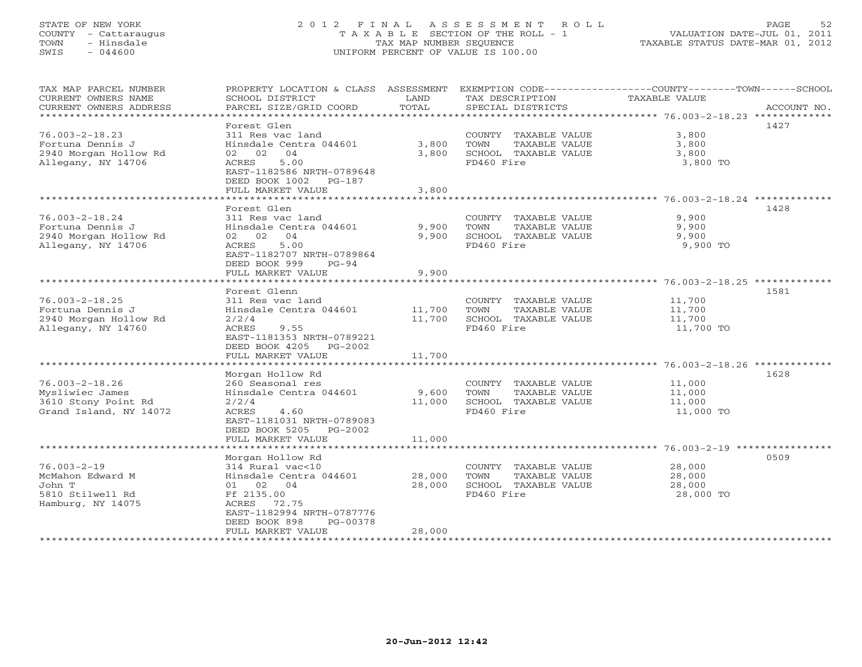#### STATE OF NEW YORK 2 0 1 2 F I N A L A S S E S S M E N T R O L L PAGE 52 COUNTY - Cattaraugus T A X A B L E SECTION OF THE ROLL - 1 VALUATION DATE-JUL 01, 2011 TOWN - Hinsdale TAX MAP NUMBER SEQUENCE TAXABLE STATUS DATE-MAR 01, 2012 SWIS - 044600 UNIFORM PERCENT OF VALUE IS 100.00UNIFORM PERCENT OF VALUE IS 100.00

| TAX MAP PARCEL NUMBER<br>CURRENT OWNERS NAME | PROPERTY LOCATION & CLASS ASSESSMENT<br>SCHOOL DISTRICT | LAND                        | TAX DESCRIPTION                               | EXEMPTION CODE-----------------COUNTY-------TOWN------SCHOOL<br>TAXABLE VALUE |
|----------------------------------------------|---------------------------------------------------------|-----------------------------|-----------------------------------------------|-------------------------------------------------------------------------------|
| CURRENT OWNERS ADDRESS                       | PARCEL SIZE/GRID COORD                                  | TOTAL                       | SPECIAL DISTRICTS                             | ACCOUNT NO.                                                                   |
| ************************                     |                                                         |                             |                                               |                                                                               |
| $76.003 - 2 - 18.23$                         | Forest Glen<br>311 Res vac land                         |                             | COUNTY TAXABLE VALUE                          | 1427<br>3,800                                                                 |
| Fortuna Dennis J                             | Hinsdale Centra 044601                                  | 3,800                       | TOWN<br>TAXABLE VALUE                         | 3,800                                                                         |
| 2940 Morgan Hollow Rd                        | 02 02<br>04                                             | 3,800                       | SCHOOL TAXABLE VALUE                          | 3,800                                                                         |
| Allegany, NY 14706                           | ACRES<br>5.00                                           |                             | FD460 Fire                                    | 3,800 TO                                                                      |
|                                              | EAST-1182586 NRTH-0789648                               |                             |                                               |                                                                               |
|                                              | DEED BOOK 1002 PG-187                                   |                             |                                               |                                                                               |
|                                              | FULL MARKET VALUE                                       | 3,800                       |                                               |                                                                               |
|                                              | ********************                                    | * * * * * * * * * * * * * * |                                               |                                                                               |
|                                              | Forest Glen                                             |                             |                                               | 1428                                                                          |
| $76.003 - 2 - 18.24$                         | 311 Res vac land                                        |                             | COUNTY TAXABLE VALUE                          | 9,900                                                                         |
| Fortuna Dennis J                             | Hinsdale Centra 044601                                  | 9,900                       | TOWN<br>TAXABLE VALUE                         | 9,900                                                                         |
| 2940 Morgan Hollow Rd                        | 02 02 04                                                | 9,900                       | SCHOOL TAXABLE VALUE                          | 9,900                                                                         |
| Allegany, NY 14706                           | 5.00<br>ACRES                                           |                             | FD460 Fire                                    | 9,900 TO                                                                      |
|                                              | EAST-1182707 NRTH-0789864                               |                             |                                               |                                                                               |
|                                              | DEED BOOK 999<br>PG-94                                  |                             |                                               |                                                                               |
|                                              | FULL MARKET VALUE                                       | 9,900                       |                                               |                                                                               |
|                                              | Forest Glenn                                            |                             |                                               | 1581                                                                          |
| $76.003 - 2 - 18.25$                         | 311 Res vac land                                        |                             | COUNTY TAXABLE VALUE                          | 11,700                                                                        |
| Fortuna Dennis J                             | Hinsdale Centra 044601                                  | 11,700                      | TOWN<br>TAXABLE VALUE                         | 11,700                                                                        |
| 2940 Morgan Hollow Rd                        | 2/2/4                                                   | 11,700                      | SCHOOL TAXABLE VALUE                          | 11,700                                                                        |
| Allegany, NY 14760                           | ACRES<br>9.55                                           |                             | FD460 Fire                                    | 11,700 TO                                                                     |
|                                              | EAST-1181353 NRTH-0789221                               |                             |                                               |                                                                               |
|                                              | DEED BOOK 4205 PG-2002                                  |                             |                                               |                                                                               |
|                                              | FULL MARKET VALUE                                       | 11,700                      |                                               |                                                                               |
|                                              |                                                         |                             |                                               |                                                                               |
|                                              | Morgan Hollow Rd                                        |                             |                                               | 1628                                                                          |
| $76.003 - 2 - 18.26$                         | 260 Seasonal res                                        |                             | COUNTY TAXABLE VALUE                          | 11,000                                                                        |
| Mysliwiec James<br>3610 Stony Point Rd       | Hinsdale Centra 044601                                  | 9,600<br>11,000             | TOWN<br>TAXABLE VALUE<br>SCHOOL TAXABLE VALUE | 11,000                                                                        |
| Grand Island, NY 14072                       | 2/2/4<br>ACRES<br>4.60                                  |                             | FD460 Fire                                    | 11,000<br>11,000 TO                                                           |
|                                              | EAST-1181031 NRTH-0789083                               |                             |                                               |                                                                               |
|                                              | DEED BOOK 5205 PG-2002                                  |                             |                                               |                                                                               |
|                                              | FULL MARKET VALUE                                       | 11,000                      |                                               |                                                                               |
|                                              |                                                         |                             |                                               |                                                                               |
|                                              | Morgan Hollow Rd                                        |                             |                                               | 0509                                                                          |
| $76.003 - 2 - 19$                            | 314 Rural vac<10                                        |                             | COUNTY TAXABLE VALUE                          | 28,000                                                                        |
| McMahon Edward M                             | Hinsdale Centra 044601                                  | 28,000                      | TOWN<br>TAXABLE VALUE                         | 28,000                                                                        |
| John T                                       | 01 02 04                                                | 28,000                      | SCHOOL TAXABLE VALUE                          | 28,000                                                                        |
| 5810 Stilwell Rd                             | Ff 2135.00                                              |                             | FD460 Fire                                    | 28,000 TO                                                                     |
| Hamburg, NY 14075                            | ACRES<br>72.75                                          |                             |                                               |                                                                               |
|                                              | EAST-1182994 NRTH-0787776                               |                             |                                               |                                                                               |
|                                              | DEED BOOK 898<br>PG-00378<br>FULL MARKET VALUE          | 28,000                      |                                               |                                                                               |
|                                              |                                                         |                             |                                               |                                                                               |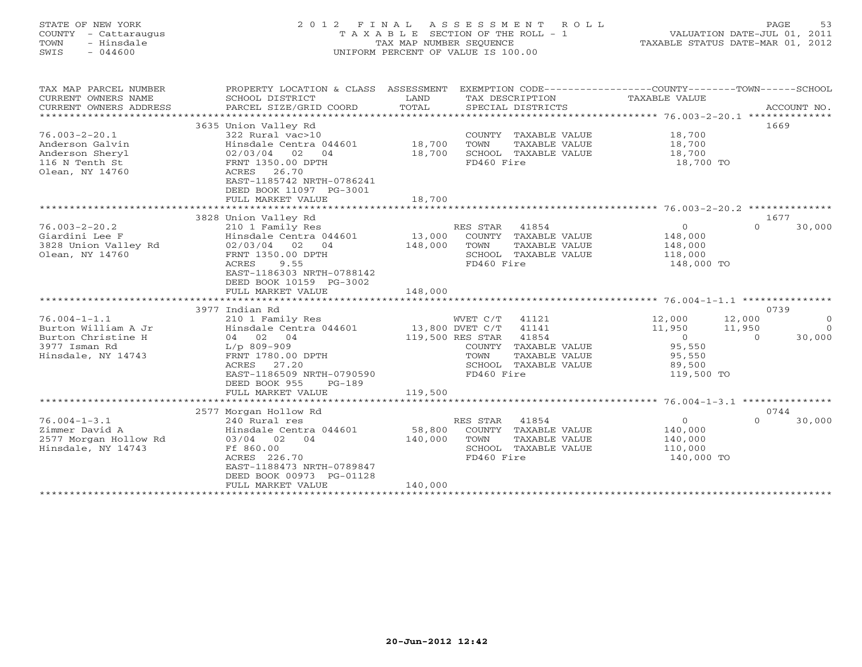#### STATE OF NEW YORK 2 0 1 2 F I N A L A S S E S S M E N T R O L L PAGE 53COUNTY - Cattaraugus T A X A B L E SECTION OF THE ROLL - 1 VALUATION DATE-JUL 01, 2011 TOWN - Hinsdale COME TAX MAP NUMBER SEQUENCE TAXABLE STATUS DATE-MAR 01, 2012<br>TAXABLE STATUS DATE-MAR 01, 2012 SWIS - 044600 UNIFORM PERCENT OF VALUE IS 100.00

| TAX MAP PARCEL NUMBER  | PROPERTY LOCATION & CLASS ASSESSMENT      |                  | EXEMPTION CODE-----------------COUNTY-------TOWN------SCHOOL |                                                   |                    |
|------------------------|-------------------------------------------|------------------|--------------------------------------------------------------|---------------------------------------------------|--------------------|
| CURRENT OWNERS NAME    | SCHOOL DISTRICT                           | LAND             | TAX DESCRIPTION                                              | TAXABLE VALUE                                     |                    |
| CURRENT OWNERS ADDRESS | PARCEL SIZE/GRID COORD                    | TOTAL            | SPECIAL DISTRICTS                                            |                                                   | ACCOUNT NO.        |
| ********************** |                                           |                  |                                                              |                                                   |                    |
|                        | 3635 Union Valley Rd                      |                  |                                                              |                                                   | 1669               |
| $76.003 - 2 - 20.1$    | 322 Rural vac>10                          |                  | COUNTY<br>TAXABLE VALUE                                      | 18,700                                            |                    |
| Anderson Galvin        | Hinsdale Centra 044601                    | 18,700           | TOWN<br>TAXABLE VALUE                                        | 18,700                                            |                    |
| Anderson Sheryl        | 02/03/04 02<br>04                         | 18,700           | SCHOOL TAXABLE VALUE                                         | 18,700                                            |                    |
| 116 N Tenth St         | FRNT 1350.00 DPTH                         |                  | FD460 Fire                                                   | 18,700 TO                                         |                    |
| Olean, NY 14760        | ACRES 26.70                               |                  |                                                              |                                                   |                    |
|                        | EAST-1185742 NRTH-0786241                 |                  |                                                              |                                                   |                    |
|                        | DEED BOOK 11097 PG-3001                   |                  |                                                              |                                                   |                    |
|                        | FULL MARKET VALUE                         | 18,700           |                                                              |                                                   |                    |
|                        | 3828 Union Valley Rd                      |                  |                                                              |                                                   | 1677               |
| $76.003 - 2 - 20.2$    | 210 1 Family Res                          |                  | RES STAR<br>41854                                            | $\overline{0}$                                    | $\Omega$<br>30,000 |
| Giardini Lee F         | Hinsdale Centra 044601                    | 13,000           | COUNTY TAXABLE VALUE                                         | 148,000                                           |                    |
| 3828 Union Valley Rd   | 02/03/04<br>02<br>04                      | 148,000          | TOWN<br>TAXABLE VALUE                                        | 148,000                                           |                    |
| Olean, NY 14760        | FRNT 1350.00 DPTH                         |                  | SCHOOL TAXABLE VALUE                                         | 118,000                                           |                    |
|                        | 9.55<br>ACRES                             |                  | FD460 Fire                                                   | 148,000 TO                                        |                    |
|                        | EAST-1186303 NRTH-0788142                 |                  |                                                              |                                                   |                    |
|                        | DEED BOOK 10159 PG-3002                   |                  |                                                              |                                                   |                    |
|                        | FULL MARKET VALUE                         | 148,000          |                                                              |                                                   |                    |
|                        | ************************                  |                  |                                                              |                                                   |                    |
|                        | 3977 Indian Rd                            |                  |                                                              |                                                   | 0739               |
| $76.004 - 1 - 1.1$     | 210 1 Family Res                          |                  | WVET C/T<br>41121                                            | 12,000                                            | 12,000<br>$\Omega$ |
| Burton William A Jr    | Hinsdale Centra 044601                    | 13,800 DVET C/T  | 41141                                                        | 11,950                                            | 11,950<br>$\Omega$ |
| Burton Christine H     | 04 02<br>04                               | 119,500 RES STAR | 41854                                                        | $\overline{O}$                                    | $\Omega$<br>30,000 |
| 3977 Isman Rd          | $L/p$ 809-909                             |                  | COUNTY<br>TAXABLE VALUE                                      | 95,550                                            |                    |
| Hinsdale, NY 14743     | FRNT 1780.00 DPTH                         |                  | TOWN<br>TAXABLE VALUE                                        | 95,550                                            |                    |
|                        | ACRES 27.20                               |                  | SCHOOL<br>TAXABLE VALUE                                      | 89,500                                            |                    |
|                        | EAST-1186509 NRTH-0790590                 |                  | FD460 Fire                                                   | 119,500 TO                                        |                    |
|                        | DEED BOOK 955<br>$PG-189$                 |                  |                                                              |                                                   |                    |
|                        | FULL MARKET VALUE                         | 119,500          |                                                              |                                                   |                    |
|                        | ***********************                   | ***********      |                                                              | ******************** 76.004-1-3.1 *************** |                    |
|                        | 2577 Morgan Hollow Rd                     |                  |                                                              |                                                   | 0744               |
| $76.004 - 1 - 3.1$     | 240 Rural res                             |                  | 41854<br>RES STAR                                            | $\circ$                                           | $\Omega$<br>30,000 |
| Zimmer David A         | Hinsdale Centra 044601                    | 58,800           | TAXABLE VALUE<br>COUNTY                                      | 140,000                                           |                    |
| 2577 Morgan Hollow Rd  | 03/04 02 04                               | 140,000          | TOWN<br>TAXABLE VALUE                                        | 140,000                                           |                    |
| Hinsdale, NY 14743     | Ff 860.00                                 |                  | SCHOOL TAXABLE VALUE                                         | 110,000                                           |                    |
|                        | ACRES 226.70<br>EAST-1188473 NRTH-0789847 |                  | FD460 Fire                                                   | 140,000 TO                                        |                    |
|                        | DEED BOOK 00973 PG-01128                  |                  |                                                              |                                                   |                    |
|                        | FULL MARKET VALUE                         | 140,000          |                                                              |                                                   |                    |
|                        | ************************                  |                  |                                                              |                                                   |                    |
|                        |                                           |                  |                                                              |                                                   |                    |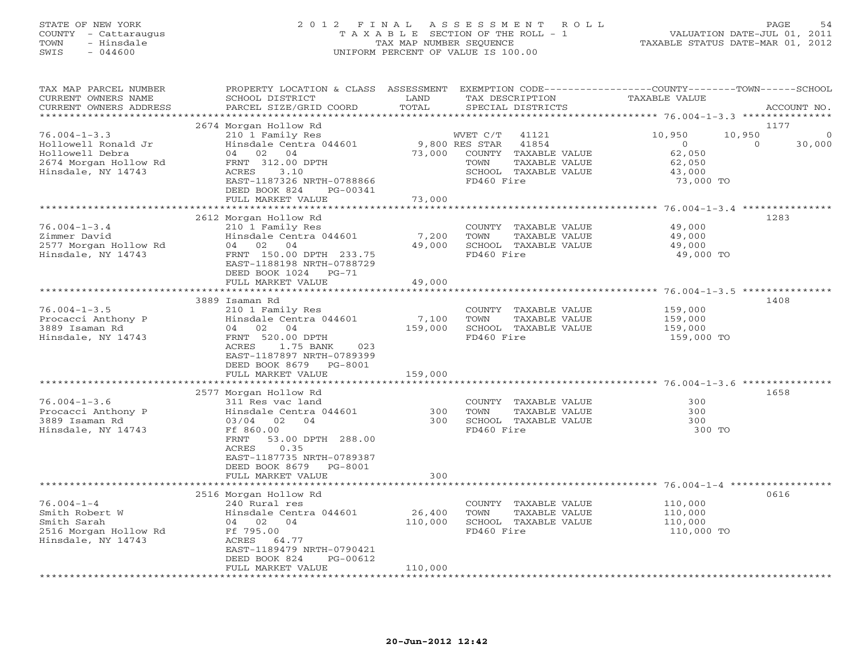#### STATE OF NEW YORK 2 0 1 2 F I N A L A S S E S S M E N T R O L L PAGE 54 COUNTY - Cattaraugus T A X A B L E SECTION OF THE ROLL - 1 VALUATION DATE-JUL 01, 2011 TOWN - Hinsdale TAX MAP NUMBER SEQUENCE TAXABLE STATUS DATE-MAR 01, 2012 SWIS - 044600 UNIFORM PERCENT OF VALUE IS 100.00UNIFORM PERCENT OF VALUE IS 100.00

| TAX MAP PARCEL NUMBER<br>CURRENT OWNERS NAME<br>CURRENT OWNERS ADDRESS | PROPERTY LOCATION & CLASS<br>SCHOOL DISTRICT<br>PARCEL SIZE/GRID COORD                                            | ASSESSMENT<br>LAND<br>TOTAL | TAX DESCRIPTION<br>SPECIAL DISTRICTS                                  | EXEMPTION CODE-----------------COUNTY-------TOWN------SCHOOL<br>TAXABLE VALUE | ACCOUNT NO. |
|------------------------------------------------------------------------|-------------------------------------------------------------------------------------------------------------------|-----------------------------|-----------------------------------------------------------------------|-------------------------------------------------------------------------------|-------------|
| **************                                                         |                                                                                                                   |                             |                                                                       |                                                                               |             |
| $76.004 - 1 - 3.3$<br>Hollowell Ronald Jr                              | 2674 Morgan Hollow Rd<br>210 1 Family Res<br>Hinsdale Centra 044601                                               |                             | WVET C/T<br>41121<br>9,800 RES STAR<br>41854                          | 1177<br>10,950<br>10,950<br>$\Omega$<br>$\Omega$                              | ∩<br>30,000 |
| Hollowell Debra<br>2674 Morgan Hollow Rd<br>Hinsdale, NY 14743         | 04<br>02<br>04<br>FRNT 312.00 DPTH<br>3.10<br>ACRES                                                               | 73,000                      | COUNTY TAXABLE VALUE<br>TOWN<br>TAXABLE VALUE<br>SCHOOL TAXABLE VALUE | 62,050<br>62,050<br>43,000                                                    |             |
|                                                                        | EAST-1187326 NRTH-0788866<br>DEED BOOK 824<br>PG-00341<br>FULL MARKET VALUE                                       | 73,000                      | FD460 Fire                                                            | 73,000 TO                                                                     |             |
|                                                                        |                                                                                                                   | ********                    |                                                                       | ********** 76.004-1-3.4 **************                                        |             |
|                                                                        | 2612 Morgan Hollow Rd                                                                                             |                             |                                                                       | 1283                                                                          |             |
| $76.004 - 1 - 3.4$                                                     | 210 1 Family Res                                                                                                  |                             | COUNTY TAXABLE VALUE                                                  | 49,000                                                                        |             |
| Zimmer David                                                           | Hinsdale Centra 044601                                                                                            | 7,200                       | TAXABLE VALUE<br>TOWN                                                 | 49,000                                                                        |             |
| 2577 Morgan Hollow Rd                                                  | 04 02<br>04                                                                                                       | 49,000                      | SCHOOL TAXABLE VALUE                                                  | 49,000                                                                        |             |
| Hinsdale, NY 14743                                                     | FRNT 150.00 DPTH 233.75<br>EAST-1188198 NRTH-0788729<br>DEED BOOK 1024<br>$PG-71$                                 |                             | FD460 Fire                                                            | 49,000 TO                                                                     |             |
|                                                                        | FULL MARKET VALUE                                                                                                 | 49,000                      |                                                                       |                                                                               |             |
|                                                                        |                                                                                                                   |                             |                                                                       |                                                                               |             |
|                                                                        | 3889 Isaman Rd                                                                                                    |                             |                                                                       | 1408                                                                          |             |
| $76.004 - 1 - 3.5$                                                     | 210 1 Family Res                                                                                                  |                             | COUNTY TAXABLE VALUE                                                  | 159,000                                                                       |             |
| Procacci Anthony P                                                     | Hinsdale Centra 044601                                                                                            | 7,100                       | TOWN<br>TAXABLE VALUE                                                 | 159,000                                                                       |             |
| 3889 Isaman Rd                                                         | 04 02 04<br>FRNT 520.00 DPTH                                                                                      | 159,000                     | SCHOOL TAXABLE VALUE<br>FD460 Fire                                    | 159,000                                                                       |             |
| Hinsdale, NY 14743                                                     | ACRES<br>1.75 BANK<br>023<br>EAST-1187897 NRTH-0789399<br>DEED BOOK 8679<br>PG-8001                               |                             |                                                                       | 159,000 TO                                                                    |             |
|                                                                        | FULL MARKET VALUE                                                                                                 | 159,000                     |                                                                       |                                                                               |             |
|                                                                        | *********************                                                                                             |                             |                                                                       |                                                                               |             |
|                                                                        | 2577 Morgan Hollow Rd                                                                                             |                             |                                                                       | 1658<br>300                                                                   |             |
| $76.004 - 1 - 3.6$<br>Procacci Anthony P                               | 311 Res vac land<br>Hinsdale Centra 044601                                                                        | 300                         | COUNTY TAXABLE VALUE<br>TOWN<br>TAXABLE VALUE                         | 300                                                                           |             |
| 3889 Isaman Rd                                                         | $03/04$ 02<br>04                                                                                                  | 300                         | SCHOOL TAXABLE VALUE                                                  | 300                                                                           |             |
| Hinsdale, NY 14743                                                     | Ff 860.00<br>53.00 DPTH 288.00<br>FRNT<br>0.35<br>ACRES<br>EAST-1187735 NRTH-0789387<br>DEED BOOK 8679<br>PG-8001 |                             | FD460 Fire                                                            | 300 TO                                                                        |             |
|                                                                        | FULL MARKET VALUE                                                                                                 | 300                         |                                                                       |                                                                               |             |
|                                                                        | ******************                                                                                                |                             |                                                                       |                                                                               |             |
|                                                                        | 2516 Morgan Hollow Rd                                                                                             |                             |                                                                       | 0616                                                                          |             |
| $76.004 - 1 - 4$                                                       | 240 Rural res                                                                                                     |                             | COUNTY TAXABLE VALUE                                                  | 110,000                                                                       |             |
| Smith Robert W                                                         | Hinsdale Centra 044601                                                                                            | 26,400                      | TOWN<br>TAXABLE VALUE                                                 | 110,000                                                                       |             |
| Smith Sarah                                                            | 04 02 04                                                                                                          | 110,000                     | SCHOOL TAXABLE VALUE                                                  | 110,000                                                                       |             |
| 2516 Morgan Hollow Rd                                                  | Ff 795.00                                                                                                         |                             | FD460 Fire                                                            | 110,000 TO                                                                    |             |
| Hinsdale, NY 14743                                                     | ACRES<br>64.77                                                                                                    |                             |                                                                       |                                                                               |             |
|                                                                        | EAST-1189479 NRTH-0790421                                                                                         |                             |                                                                       |                                                                               |             |
|                                                                        | DEED BOOK 824<br>PG-00612<br>FULL MARKET VALUE                                                                    | 110,000                     |                                                                       |                                                                               |             |
|                                                                        |                                                                                                                   |                             |                                                                       |                                                                               |             |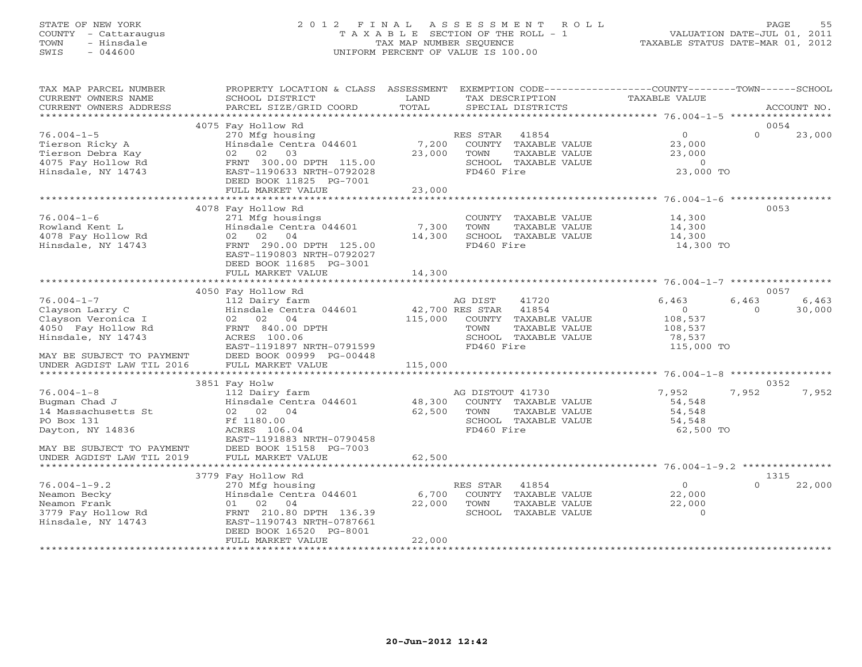#### STATE OF NEW YORK 2 0 1 2 F I N A L A S S E S S M E N T R O L L PAGE 55 COUNTY - Cattaraugus T A X A B L E SECTION OF THE ROLL - 1 VALUATION DATE-JUL 01, 2011 TOWN - Hinsdale TAX MAP NUMBER SEQUENCE TAXABLE STATUS DATE-MAR 01, 2012 SWIS - 044600 UNIFORM PERCENT OF VALUE IS 100.00UNIFORM PERCENT OF VALUE IS 100.00

| TAX MAP PARCEL NUMBER<br>CURRENT OWNERS NAME<br>CURRENT OWNERS ADDRESS                                                                                                                  | PROPERTY LOCATION & CLASS<br>SCHOOL DISTRICT<br>PARCEL SIZE/GRID COORD                                                                                                                                                                                                                                                                 | ASSESSMENT<br>LAND<br>TOTAL          | EXEMPTION CODE----------------COUNTY-------TOWN-----SCHOOL<br>TAX DESCRIPTION<br>SPECIAL DISTRICTS                                                                                                                         | <b>TAXABLE VALUE</b>                                                                                      | ACCOUNT NO.                                          |
|-----------------------------------------------------------------------------------------------------------------------------------------------------------------------------------------|----------------------------------------------------------------------------------------------------------------------------------------------------------------------------------------------------------------------------------------------------------------------------------------------------------------------------------------|--------------------------------------|----------------------------------------------------------------------------------------------------------------------------------------------------------------------------------------------------------------------------|-----------------------------------------------------------------------------------------------------------|------------------------------------------------------|
| ********************                                                                                                                                                                    |                                                                                                                                                                                                                                                                                                                                        |                                      |                                                                                                                                                                                                                            |                                                                                                           |                                                      |
| $76.004 - 1 - 5$<br>Tierson Ricky A<br>Tierson Debra Kay<br>4075 Fay Hollow Rd<br>Hinsdale, NY 14743                                                                                    | 4075 Fay Hollow Rd<br>270 Mfg housing<br>Hinsdale Centra 044601<br>02 02<br>03<br>FRNT 300.00 DPTH 115.00<br>EAST-1190633 NRTH-0792028<br>DEED BOOK 11825 PG-7001                                                                                                                                                                      | 7,200<br>23,000                      | RES STAR<br>41854<br>COUNTY TAXABLE VALUE<br>TOWN<br>TAXABLE VALUE<br>SCHOOL TAXABLE VALUE<br>FD460 Fire                                                                                                                   | $\circ$<br>23,000<br>23,000<br>$\overline{0}$<br>23,000 TO                                                | 0054<br>$\Omega$<br>23,000                           |
|                                                                                                                                                                                         | FULL MARKET VALUE<br>************************                                                                                                                                                                                                                                                                                          | 23,000                               |                                                                                                                                                                                                                            |                                                                                                           |                                                      |
| $76.004 - 1 - 6$<br>Rowland Kent L<br>4078 Fay Hollow Rd<br>Hinsdale, NY 14743<br>$76.004 - 1 - 7$<br>Clayson Larry C<br>Clayson Veronica I<br>4050 Fay Hollow Rd<br>Hinsdale, NY 14743 | 4078 Fay Hollow Rd<br>271 Mfg housings<br>Hinsdale Centra 044601<br>04<br>02 02<br>FRNT 290.00 DPTH 125.00<br>EAST-1190803 NRTH-0792027<br>DEED BOOK 11685 PG-3001<br>FULL MARKET VALUE<br>4050 Fay Hollow Rd<br>112 Dairy farm<br>Hinsdale Centra 044601<br>02 02 04<br>FRNT 840.00 DPTH<br>ACRES 100.06<br>EAST-1191897 NRTH-0791599 | 7,300<br>14,300<br>14,300<br>115,000 | COUNTY TAXABLE VALUE<br>TOWN<br>TAXABLE VALUE<br>SCHOOL TAXABLE VALUE<br>FD460 Fire<br>AG DIST<br>41720<br>42,700 RES STAR<br>41854<br>COUNTY TAXABLE VALUE<br>TOWN<br>TAXABLE VALUE<br>SCHOOL TAXABLE VALUE<br>FD460 Fire | 14,300<br>14,300<br>14,300<br>14,300 TO<br>6,463<br>$\circ$<br>108,537<br>108,537<br>78,537<br>115,000 TO | 0053<br>0057<br>6,463<br>6,463<br>30,000<br>$\Omega$ |
| MAY BE SUBJECT TO PAYMENT<br>UNDER AGDIST LAW TIL 2016                                                                                                                                  | DEED BOOK 00999 PG-00448<br>FULL MARKET VALUE                                                                                                                                                                                                                                                                                          | 115,000                              |                                                                                                                                                                                                                            |                                                                                                           |                                                      |
|                                                                                                                                                                                         |                                                                                                                                                                                                                                                                                                                                        |                                      |                                                                                                                                                                                                                            |                                                                                                           | *****************                                    |
|                                                                                                                                                                                         | 3851 Fay Holw                                                                                                                                                                                                                                                                                                                          |                                      |                                                                                                                                                                                                                            |                                                                                                           | 0352                                                 |
| $76.004 - 1 - 8$<br>Bugman Chad J<br>14 Massachusetts St<br>PO Box 131<br>Dayton, NY 14836<br>MAY BE SUBJECT TO PAYMENT                                                                 | 112 Dairy farm<br>Hinsdale Centra 044601<br>02 02 04<br>Ff 1180.00<br>ACRES 106.04<br>EAST-1191883 NRTH-0790458<br>DEED BOOK 15158 PG-7003                                                                                                                                                                                             | 48,300<br>62,500                     | AG DISTOUT 41730<br>COUNTY TAXABLE VALUE<br>TOWN<br>TAXABLE VALUE<br>SCHOOL TAXABLE VALUE<br>FD460 Fire                                                                                                                    | 7,952<br>54,548<br>54,548<br>54,548<br>62,500 TO                                                          | 7,952<br>7,952                                       |
| UNDER AGDIST LAW TIL 2019                                                                                                                                                               | FULL MARKET VALUE                                                                                                                                                                                                                                                                                                                      | 62,500                               |                                                                                                                                                                                                                            |                                                                                                           |                                                      |
| ************************                                                                                                                                                                | ***************************                                                                                                                                                                                                                                                                                                            |                                      |                                                                                                                                                                                                                            |                                                                                                           |                                                      |
| $76.004 - 1 - 9.2$<br>Neamon Becky<br>Neamon Frank<br>3779 Fay Hollow Rd<br>Hinsdale, NY 14743                                                                                          | 3779 Fay Hollow Rd<br>270 Mfg housing<br>Hinsdale Centra 044601<br>01 02<br>04<br>FRNT 210.80 DPTH 136.39<br>EAST-1190743 NRTH-0787661<br>DEED BOOK 16520 PG-8001<br>FULL MARKET VALUE                                                                                                                                                 | 6,700<br>22,000<br>22,000            | RES STAR<br>41854<br>COUNTY TAXABLE VALUE<br>TOWN<br>TAXABLE VALUE<br>SCHOOL<br>TAXABLE VALUE                                                                                                                              | $\Omega$<br>22,000<br>22,000<br>$\Omega$                                                                  | 1315<br>22,000<br>$\Omega$                           |
|                                                                                                                                                                                         | *******************************                                                                                                                                                                                                                                                                                                        |                                      |                                                                                                                                                                                                                            |                                                                                                           |                                                      |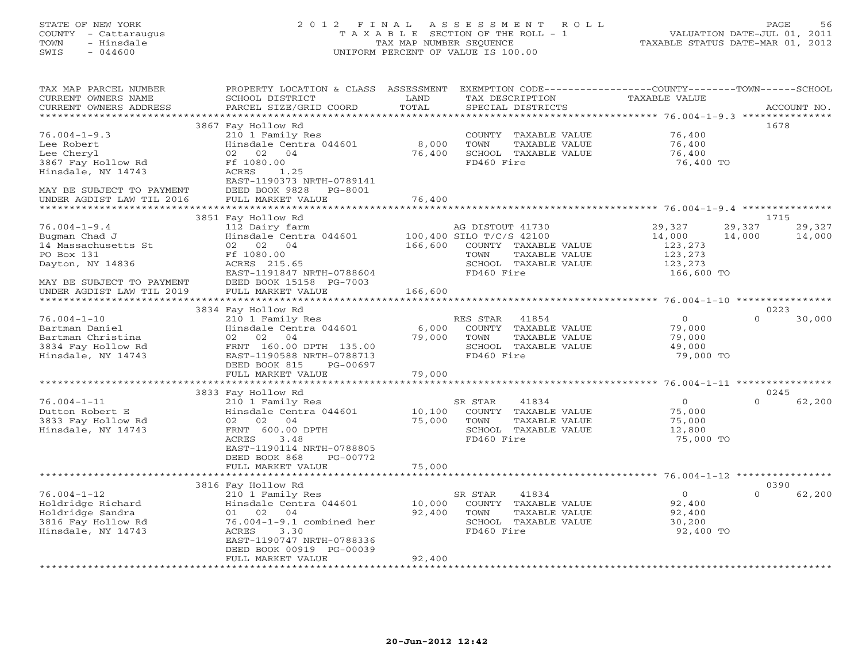#### STATE OF NEW YORK 2 0 1 2 F I N A L A S S E S S M E N T R O L L PAGE 56 COUNTY - Cattaraugus T A X A B L E SECTION OF THE ROLL - 1 VALUATION DATE-JUL 01, 2011 TOWN - Hinsdale TAX MAP NUMBER SEQUENCE TAXABLE STATUS DATE-MAR 01, 2012 SWIS - 044600 UNIFORM PERCENT OF VALUE IS 100.00UNIFORM PERCENT OF VALUE IS 100.00

| TAX MAP PARCEL NUMBER     | PROPERTY LOCATION & CLASS ASSESSMENT |             | EXEMPTION CODE-----------------COUNTY-------TOWN------SCHOOL |                                           |                    |
|---------------------------|--------------------------------------|-------------|--------------------------------------------------------------|-------------------------------------------|--------------------|
| CURRENT OWNERS NAME       | SCHOOL DISTRICT                      | LAND        | TAX DESCRIPTION                                              | TAXABLE VALUE                             |                    |
| CURRENT OWNERS ADDRESS    | PARCEL SIZE/GRID COORD               | TOTAL       | SPECIAL DISTRICTS                                            |                                           | ACCOUNT NO.        |
| *******************       | ****************************         |             | *******************************                              | ************ 76.004-1-9.3 *************** |                    |
|                           | 3867 Fay Hollow Rd                   |             |                                                              |                                           | 1678               |
| $76.004 - 1 - 9.3$        | 210 1 Family Res                     |             | COUNTY TAXABLE VALUE                                         | 76,400                                    |                    |
| Lee Robert                | Hinsdale Centra 044601               | 8,000       | TOWN<br>TAXABLE VALUE                                        | 76,400                                    |                    |
| Lee Cheryl                | 02 <sub>1</sub><br>02<br>04          | 76,400      | SCHOOL TAXABLE VALUE                                         | 76,400                                    |                    |
| 3867 Fay Hollow Rd        | Ff 1080.00                           |             | FD460 Fire                                                   | 76,400 TO                                 |                    |
| Hinsdale, NY 14743        | 1.25<br>ACRES                        |             |                                                              |                                           |                    |
|                           | EAST-1190373 NRTH-0789141            |             |                                                              |                                           |                    |
| MAY BE SUBJECT TO PAYMENT | DEED BOOK 9828<br>PG-8001            |             |                                                              |                                           |                    |
| UNDER AGDIST LAW TIL 2016 | FULL MARKET VALUE                    | 76,400      |                                                              |                                           |                    |
| *********************     | ***********************              | *********** |                                                              |                                           |                    |
|                           | 3851 Fay Hollow Rd                   |             |                                                              |                                           | 1715               |
| $76.004 - 1 - 9.4$        | 112 Dairy farm                       |             | AG DISTOUT 41730                                             | 29,327                                    | 29,327<br>29,327   |
| Bugman Chad J             | Hinsdale Centra 044601               |             | 100,400 SILO T/C/S 42100                                     | 14,000                                    | 14,000<br>14,000   |
| 14 Massachusetts St       | 02 02 04                             | 166,600     | COUNTY TAXABLE VALUE                                         | 123,273                                   |                    |
| PO Box 131                | Ff 1080.00                           |             | TOWN<br>TAXABLE VALUE                                        | 123,273                                   |                    |
| Dayton, NY 14836          | ACRES 215.65                         |             | SCHOOL TAXABLE VALUE                                         | 123,273                                   |                    |
|                           | EAST-1191847 NRTH-0788604            |             | FD460 Fire                                                   | 166,600 TO                                |                    |
| MAY BE SUBJECT TO PAYMENT | DEED BOOK 15158 PG-7003              |             |                                                              |                                           |                    |
| UNDER AGDIST LAW TIL 2019 | FULL MARKET VALUE                    | 166,600     |                                                              |                                           |                    |
| ************************* |                                      |             |                                                              |                                           |                    |
|                           | 3834 Fay Hollow Rd                   |             |                                                              |                                           | 0223               |
| $76.004 - 1 - 10$         | 210 1 Family Res                     |             | RES STAR<br>41854                                            | $\circ$                                   | $\Omega$<br>30,000 |
| Bartman Daniel            | Hinsdale Centra 044601               | 6,000       | COUNTY TAXABLE VALUE                                         | 79,000                                    |                    |
| Bartman Christina         | 02 02 04                             | 79,000      | TOWN<br>TAXABLE VALUE                                        | 79,000                                    |                    |
| 3834 Fay Hollow Rd        | FRNT 160.00 DPTH 135.00              |             | SCHOOL TAXABLE VALUE                                         | 49,000                                    |                    |
| Hinsdale, NY 14743        | EAST-1190588 NRTH-0788713            |             | FD460 Fire                                                   | 79,000 TO                                 |                    |
|                           | DEED BOOK 815<br>PG-00697            |             |                                                              |                                           |                    |
|                           | FULL MARKET VALUE                    | 79,000      |                                                              |                                           |                    |
|                           | ************************             |             |                                                              |                                           |                    |
|                           | 3833 Fay Hollow Rd                   |             |                                                              |                                           | 0245               |
| $76.004 - 1 - 11$         | 210 1 Family Res                     |             | SR STAR<br>41834                                             | $\overline{0}$                            | $\Omega$<br>62,200 |
| Dutton Robert E           | Hinsdale Centra 044601               | 10,100      | COUNTY TAXABLE VALUE                                         | 75,000                                    |                    |
| 3833 Fay Hollow Rd        | 02 02 04                             | 75,000      | TOWN<br>TAXABLE VALUE                                        | 75,000                                    |                    |
| Hinsdale, NY 14743        | FRNT 600.00 DPTH                     |             | SCHOOL TAXABLE VALUE                                         | 12,800                                    |                    |
|                           | ACRES<br>3.48                        |             | FD460 Fire                                                   | 75,000 TO                                 |                    |
|                           | EAST-1190114 NRTH-0788805            |             |                                                              |                                           |                    |
|                           | DEED BOOK 868<br>PG-00772            |             |                                                              |                                           |                    |
|                           | FULL MARKET VALUE                    | 75,000      |                                                              |                                           |                    |
|                           |                                      |             |                                                              |                                           |                    |
|                           | 3816 Fay Hollow Rd                   |             |                                                              |                                           | 0390               |
| $76.004 - 1 - 12$         | 210 1 Family Res                     |             | SR STAR<br>41834                                             | $\circ$                                   | 62,200<br>$\Omega$ |
| Holdridge Richard         | Hinsdale Centra 044601               | 10,000      | COUNTY TAXABLE VALUE                                         | 92,400                                    |                    |
| Holdridge Sandra          | 01 02 04                             | 92,400      | TOWN<br>TAXABLE VALUE                                        | 92,400                                    |                    |
| 3816 Fay Hollow Rd        | 76.004-1-9.1 combined her            |             | SCHOOL TAXABLE VALUE                                         | 30,200                                    |                    |
| Hinsdale, NY 14743        | ACRES<br>3.30                        |             | FD460 Fire                                                   | 92,400 TO                                 |                    |
|                           | EAST-1190747 NRTH-0788336            |             |                                                              |                                           |                    |
|                           | DEED BOOK 00919 PG-00039             |             |                                                              |                                           |                    |
|                           | FULL MARKET VALUE                    | 92,400      |                                                              |                                           |                    |
|                           |                                      |             |                                                              |                                           |                    |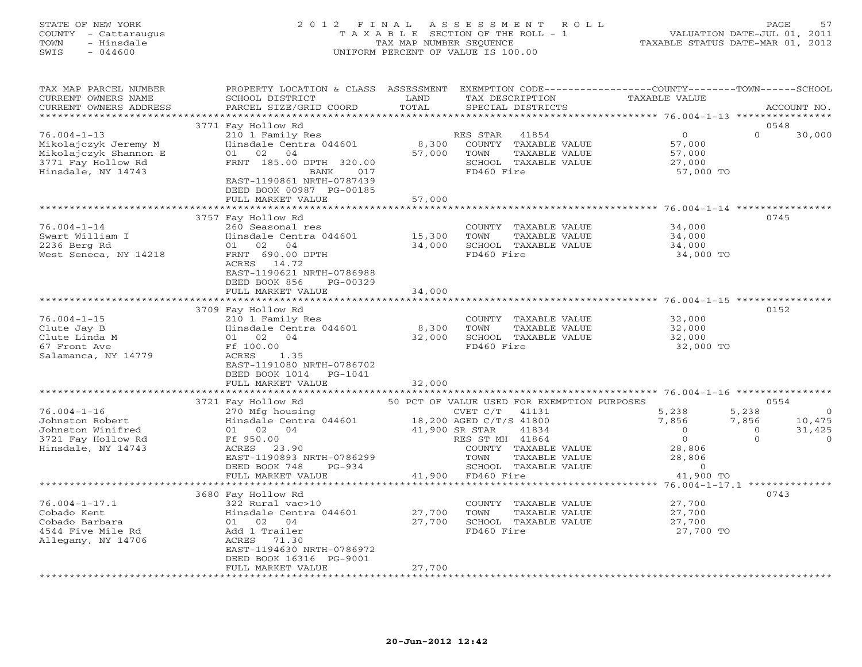#### STATE OF NEW YORK 2 0 1 2 F I N A L A S S E S S M E N T R O L L PAGE 57 COUNTY - Cattaraugus T A X A B L E SECTION OF THE ROLL - 1 VALUATION DATE-JUL 01, 2011 TOWN - Hinsdale TAX MAP NUMBER SEQUENCE TAXABLE STATUS DATE-MAR 01, 2012 SWIS - 044600 UNIFORM PERCENT OF VALUE IS 100.00UNIFORM PERCENT OF VALUE IS 100.00

| TAX MAP PARCEL NUMBER<br>CURRENT OWNERS NAME<br>CURRENT OWNERS ADDRESS | PROPERTY LOCATION & CLASS ASSESSMENT EXEMPTION CODE---------------COUNTY-------TOWN------SCHOOL<br>SCHOOL DISTRICT<br>PARCEL SIZE/GRID COORD | LAND<br>TOTAL            | TAX DESCRIPTION<br>SPECIAL DISTRICTS          | <b>TAXABLE VALUE</b>                                    | ACCOUNT NO.              |
|------------------------------------------------------------------------|----------------------------------------------------------------------------------------------------------------------------------------------|--------------------------|-----------------------------------------------|---------------------------------------------------------|--------------------------|
|                                                                        |                                                                                                                                              |                          |                                               |                                                         |                          |
|                                                                        | 3771 Fay Hollow Rd                                                                                                                           |                          |                                               |                                                         | 0548                     |
| $76.004 - 1 - 13$<br>Mikolajczyk Jeremy M                              | 210 1 Family Res<br>Hinsdale Centra 044601                                                                                                   | 8,300                    | RES STAR 41854<br>COUNTY TAXABLE VALUE        | $\Omega$<br>57,000                                      | $\Omega$<br>30,000       |
| Mikolajczyk Shannon E<br>3771 Fay Hollow Rd                            | 01 02 04<br>FRNT 185.00 DPTH 320.00                                                                                                          | 57,000                   | TOWN<br>TAXABLE VALUE<br>SCHOOL TAXABLE VALUE | 57,000<br>27,000                                        |                          |
| Hinsdale, NY 14743                                                     | BANK<br>017<br>EAST-1190861 NRTH-0787439<br>DEED BOOK 00987 PG-00185                                                                         |                          | FD460 Fire                                    | 57,000 TO                                               |                          |
|                                                                        | FULL MARKET VALUE<br>************************                                                                                                | 57,000<br>************** |                                               |                                                         |                          |
|                                                                        |                                                                                                                                              |                          |                                               |                                                         | 0745                     |
| $76.004 - 1 - 14$                                                      | 3757 Fay Hollow Rd<br>260 Seasonal res                                                                                                       |                          | COUNTY TAXABLE VALUE                          | 34,000                                                  |                          |
| Swart William I                                                        | Hinsdale Centra 044601                                                                                                                       | 15,300                   | TAXABLE VALUE<br>TOWN                         | 34,000                                                  |                          |
| 2236 Berg Rd                                                           | 01 02 04                                                                                                                                     | 34,000                   | SCHOOL TAXABLE VALUE                          | 34,000                                                  |                          |
| West Seneca, NY 14218                                                  | FRNT 690.00 DPTH                                                                                                                             |                          | FD460 Fire                                    | 34,000 TO                                               |                          |
|                                                                        | ACRES 14.72<br>EAST-1190621 NRTH-0786988<br>DEED BOOK 856<br>PG-00329                                                                        |                          |                                               |                                                         |                          |
|                                                                        | FULL MARKET VALUE                                                                                                                            | 34,000                   |                                               |                                                         |                          |
|                                                                        |                                                                                                                                              | *********************    |                                               |                                                         |                          |
|                                                                        | 3709 Fay Hollow Rd                                                                                                                           |                          |                                               |                                                         | 0152                     |
| $76.004 - 1 - 15$                                                      | 210 1 Family Res                                                                                                                             |                          | COUNTY TAXABLE VALUE                          | 32,000                                                  |                          |
| Clute Jay B                                                            | Hinsdale Centra 044601                                                                                                                       | 8,300                    | TAXABLE VALUE<br>TOWN                         | 32,000                                                  |                          |
| Clute Linda M                                                          | 01 02 04                                                                                                                                     | 32,000                   | SCHOOL TAXABLE VALUE                          | 32,000                                                  |                          |
| 67 Front Ave                                                           | Ff 100.00                                                                                                                                    |                          | FD460 Fire                                    | 32,000 TO                                               |                          |
| Salamanca, NY 14779                                                    | ACRES<br>1.35                                                                                                                                |                          |                                               |                                                         |                          |
|                                                                        | EAST-1191080 NRTH-0786702                                                                                                                    |                          |                                               |                                                         |                          |
|                                                                        | DEED BOOK 1014<br>PG-1041                                                                                                                    |                          |                                               |                                                         |                          |
|                                                                        | FULL MARKET VALUE                                                                                                                            | 32,000                   |                                               |                                                         |                          |
|                                                                        |                                                                                                                                              |                          |                                               |                                                         |                          |
|                                                                        | 3721 Fay Hollow Rd                                                                                                                           |                          | 50 PCT OF VALUE USED FOR EXEMPTION PURPOSES   |                                                         | 0554                     |
| $76.004 - 1 - 16$                                                      | 270 Mfg housing                                                                                                                              |                          | CVET C/T<br>41131                             | 5,238                                                   | 5,238<br>$\Omega$        |
| Johnston Robert                                                        | Hinsdale Centra 044601                                                                                                                       |                          | 18,200 AGED C/T/S 41800                       | 7,856                                                   | 7,856<br>10,475          |
| Johnston Winifred                                                      | 01 02 04                                                                                                                                     |                          | 41,900 SR STAR<br>41834                       | $\overline{0}$                                          | $\overline{0}$<br>31,425 |
| 3721 Fay Hollow Rd                                                     | Ff 950.00                                                                                                                                    |                          | RES ST MH 41864                               | $\overline{0}$                                          | $\Omega$<br>$\Omega$     |
| Hinsdale, NY 14743                                                     | ACRES 23.90                                                                                                                                  |                          | COUNTY TAXABLE VALUE                          | 28,806                                                  |                          |
|                                                                        | EAST-1190893 NRTH-0786299                                                                                                                    |                          | TOWN<br>TAXABLE VALUE                         | 28,806                                                  |                          |
|                                                                        | DEED BOOK 748<br>$PG-934$                                                                                                                    |                          | SCHOOL TAXABLE VALUE                          | $\overline{0}$                                          |                          |
|                                                                        | FULL MARKET VALUE<br>**********************                                                                                                  | 41,900                   | FD460 Fire                                    | 41,900 TO                                               |                          |
|                                                                        |                                                                                                                                              |                          |                                               | ************************** 76.004-1-17.1 ************** | 0743                     |
| $76.004 - 1 - 17.1$                                                    | 3680 Fay Hollow Rd<br>322 Rural vac>10                                                                                                       |                          |                                               | 27,700                                                  |                          |
| Cobado Kent                                                            | Hinsdale Centra 044601                                                                                                                       | 27,700                   | COUNTY TAXABLE VALUE<br>TOWN<br>TAXABLE VALUE | 27,700                                                  |                          |
| Cobado Barbara                                                         | 01 02 04                                                                                                                                     | 27,700                   | SCHOOL TAXABLE VALUE                          | 27,700                                                  |                          |
| 4544 Five Mile Rd                                                      | Add 1 Trailer                                                                                                                                |                          | FD460 Fire                                    | 27,700 TO                                               |                          |
| Allegany, NY 14706                                                     | ACRES 71.30                                                                                                                                  |                          |                                               |                                                         |                          |
|                                                                        | EAST-1194630 NRTH-0786972                                                                                                                    |                          |                                               |                                                         |                          |
|                                                                        | DEED BOOK 16316 PG-9001                                                                                                                      |                          |                                               |                                                         |                          |
|                                                                        | FULL MARKET VALUE                                                                                                                            | 27,700                   |                                               |                                                         |                          |
|                                                                        |                                                                                                                                              |                          |                                               |                                                         |                          |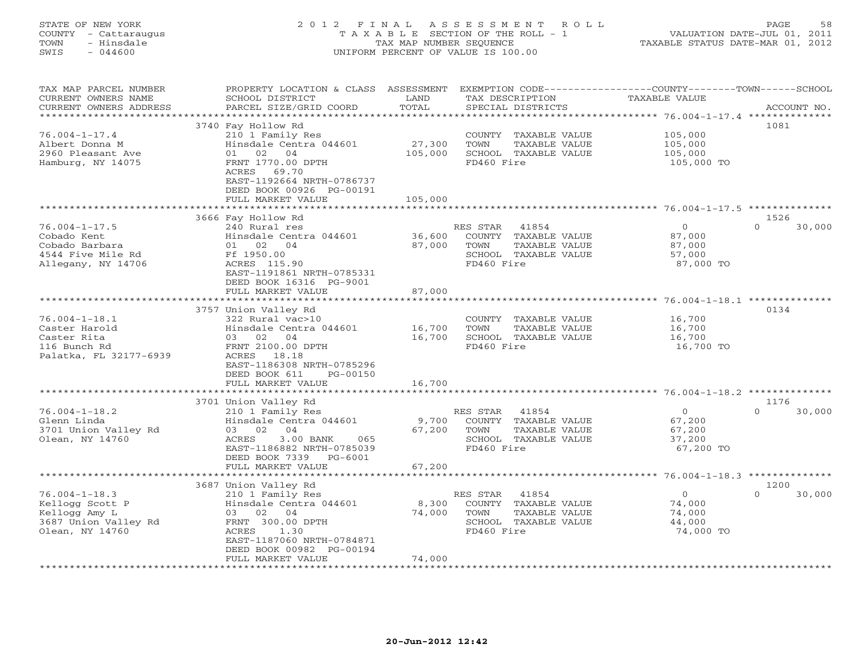#### STATE OF NEW YORK 2 0 1 2 F I N A L A S S E S S M E N T R O L L PAGE 58 COUNTY - Cattaraugus T A X A B L E SECTION OF THE ROLL - 1 VALUATION DATE-JUL 01, 2011 TOWN - Hinsdale TAX MAP NUMBER SEQUENCE TAXABLE STATUS DATE-MAR 01, 2012 SWIS - 044600 UNIFORM PERCENT OF VALUE IS 100.00UNIFORM PERCENT OF VALUE IS 100.00

| TAX MAP PARCEL NUMBER<br>CURRENT OWNERS NAME<br>CURRENT OWNERS ADDRESS<br>******************       | PROPERTY LOCATION & CLASS<br>SCHOOL DISTRICT<br>PARCEL SIZE/GRID COORD                                                                                                                                  | ASSESSMENT<br>LAND<br>TOTAL   | EXEMPTION CODE-----------------COUNTY-------TOWN------SCHOOL<br>TAX DESCRIPTION<br>SPECIAL DISTRICTS        | <b>TAXABLE VALUE</b>                                                 | ACCOUNT NO.                |
|----------------------------------------------------------------------------------------------------|---------------------------------------------------------------------------------------------------------------------------------------------------------------------------------------------------------|-------------------------------|-------------------------------------------------------------------------------------------------------------|----------------------------------------------------------------------|----------------------------|
| $76.004 - 1 - 17.4$<br>Albert Donna M<br>2960 Pleasant Ave<br>Hamburg, NY 14075                    | 3740 Fay Hollow Rd<br>210 1 Family Res<br>Hinsdale Centra 044601<br>01<br>02<br>04<br>FRNT 1770.00 DPTH<br>69.70<br>ACRES<br>EAST-1192664 NRTH-0786737<br>DEED BOOK 00926 PG-00191<br>FULL MARKET VALUE | 27,300<br>105,000<br>105,000  | COUNTY<br>TAXABLE VALUE<br><b>TOWN</b><br>TAXABLE VALUE<br>SCHOOL TAXABLE VALUE<br>FD460 Fire               | 105,000<br>105,000<br>105,000<br>105,000 TO                          | 1081                       |
|                                                                                                    |                                                                                                                                                                                                         |                               |                                                                                                             |                                                                      |                            |
| $76.004 - 1 - 17.5$<br>Cobado Kent<br>Cobado Barbara<br>4544 Five Mile Rd<br>Allegany, NY 14706    | 3666 Fay Hollow Rd<br>240 Rural res<br>Hinsdale Centra 044601<br>01 02 04<br>Ff 1950.00<br>ACRES 115.90<br>EAST-1191861 NRTH-0785331<br>DEED BOOK 16316 PG-9001                                         | 36,600<br>87,000              | RES STAR<br>41854<br>COUNTY<br>TAXABLE VALUE<br>TOWN<br>TAXABLE VALUE<br>SCHOOL TAXABLE VALUE<br>FD460 Fire | $\circ$<br>87,000<br>87,000<br>57,000<br>87,000 TO                   | 1526<br>30,000<br>$\Omega$ |
|                                                                                                    | FULL MARKET VALUE                                                                                                                                                                                       | 87,000<br>* * * * * * * * * * |                                                                                                             | $76.004 - 1 - 18.1$ **************                                   |                            |
| $76.004 - 1 - 18.1$<br>Caster Harold<br>Caster Rita<br>116 Bunch Rd<br>Palatka, FL 32177-6939      | 3757 Union Valley Rd<br>322 Rural vac>10<br>Hinsdale Centra 044601<br>02<br>04<br>03<br>FRNT 2100.00 DPTH<br>18.18<br>ACRES<br>EAST-1186308 NRTH-0785296<br>DEED BOOK 611<br>PG-00150                   | 16,700<br>16,700              | COUNTY<br>TAXABLE VALUE<br>TOWN<br>TAXABLE VALUE<br>SCHOOL TAXABLE VALUE<br>FD460 Fire                      | 16,700<br>16,700<br>16,700<br>16,700 TO                              | 0134                       |
|                                                                                                    | FULL MARKET VALUE                                                                                                                                                                                       | 16,700                        |                                                                                                             | $76.004 - 1 - 18.2$                                                  |                            |
| $76.004 - 1 - 18.2$<br>Glenn Linda<br>3701 Union Valley Rd<br>Olean, NY 14760                      | 3701 Union Valley Rd<br>210 1 Family Res<br>Hinsdale Centra 044601<br>03 02<br>04<br>3.00 BANK<br>ACRES<br>065<br>EAST-1186882 NRTH-0785039<br>DEED BOOK 7339<br>$PG-6001$                              | 9,700<br>67,200               | 41854<br>RES STAR<br>COUNTY<br>TAXABLE VALUE<br>TOWN<br>TAXABLE VALUE<br>SCHOOL TAXABLE VALUE<br>FD460 Fire | $\circ$<br>67,200<br>67,200<br>37,200<br>67,200 TO                   | 1176<br>30,000<br>$\Omega$ |
|                                                                                                    | FULL MARKET VALUE<br>***************                                                                                                                                                                    | 67,200                        |                                                                                                             |                                                                      |                            |
|                                                                                                    | 3687 Union Valley Rd                                                                                                                                                                                    |                               |                                                                                                             | ************************************** 76.004-1-18.3 *************** | 1200                       |
| $76.004 - 1 - 18.3$<br>Kellogg Scott P<br>Kellogg Amy L<br>3687 Union Valley Rd<br>Olean, NY 14760 | 210 1 Family Res<br>Hinsdale Centra 044601<br>03<br>02<br>04<br>FRNT 300.00 DPTH<br><b>ACRES</b><br>1.30<br>EAST-1187060 NRTH-0784871<br>DEED BOOK 00982 PG-00194<br>FULL MARKET VALUE                  | 8,300<br>74,000<br>74,000     | RES STAR<br>41854<br>COUNTY<br>TAXABLE VALUE<br>TAXABLE VALUE<br>TOWN<br>SCHOOL TAXABLE VALUE<br>FD460 Fire | $\circ$<br>74,000<br>74,000<br>44,000<br>74,000 TO                   | $\Omega$<br>30,000         |
|                                                                                                    | . * * * * * * * * * * * * * * * * *                                                                                                                                                                     |                               |                                                                                                             |                                                                      |                            |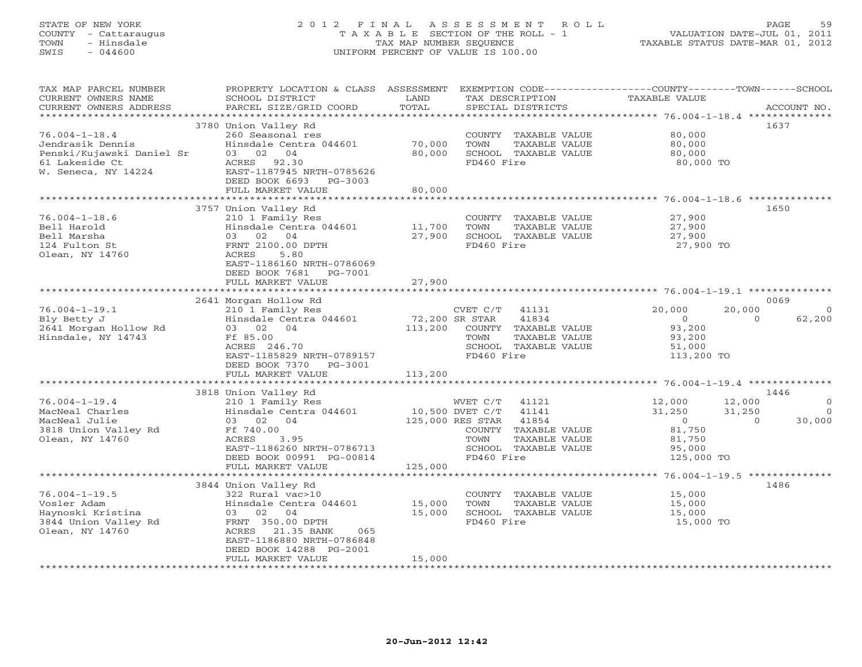### STATE OF NEW YORK 2 0 1 2 F I N A L A S S E S S M E N T R O L L PAGE 59 COUNTY - Cattaraugus T A X A B L E SECTION OF THE ROLL - 1 VALUATION DATE-JUL 01, 2011 TOWN - Hinsdale TAX MAP NUMBER SEQUENCE TAXABLE STATUS DATE-MAR 01, 2012 SWIS - 044600 UNIFORM PERCENT OF VALUE IS 100.00UNIFORM PERCENT OF VALUE IS 100.00

| TAX MAP PARCEL NUMBER<br>CURRENT OWNERS NAME<br>CURRENT OWNERS ADDRESS                                        | PROPERTY LOCATION & CLASS ASSESSMENT<br>SCHOOL DISTRICT<br>PARCEL SIZE/GRID COORD                                                                                                                             | LAND<br>TOTAL                        | TAX DESCRIPTION<br>SPECIAL DISTRICTS                                                                                                              | EXEMPTION CODE-----------------COUNTY-------TOWN------SCHOOL<br><b>TAXABLE VALUE</b> | ACCOUNT NO.                                                              |
|---------------------------------------------------------------------------------------------------------------|---------------------------------------------------------------------------------------------------------------------------------------------------------------------------------------------------------------|--------------------------------------|---------------------------------------------------------------------------------------------------------------------------------------------------|--------------------------------------------------------------------------------------|--------------------------------------------------------------------------|
| **********************                                                                                        |                                                                                                                                                                                                               |                                      |                                                                                                                                                   |                                                                                      |                                                                          |
| $76.004 - 1 - 18.4$<br>Jendrasik Dennis<br>Penski/Kujawski Daniel Sr<br>61 Lakeside Ct<br>W. Seneca, NY 14224 | 3780 Union Valley Rd<br>260 Seasonal res<br>Hinsdale Centra 044601<br>03 02 04<br>ACRES 92.30<br>EAST-1187945 NRTH-0785626<br>DEED BOOK 6693 PG-3003                                                          | 70,000<br>80,000                     | COUNTY TAXABLE VALUE<br>TOWN<br>TAXABLE VALUE<br>SCHOOL TAXABLE VALUE<br>FD460 Fire                                                               | 80,000<br>80,000<br>80,000<br>80,000 TO                                              | 1637                                                                     |
|                                                                                                               | FULL MARKET VALUE                                                                                                                                                                                             | 80,000                               |                                                                                                                                                   |                                                                                      |                                                                          |
|                                                                                                               |                                                                                                                                                                                                               |                                      |                                                                                                                                                   |                                                                                      |                                                                          |
| $76.004 - 1 - 18.6$<br>Bell Harold<br>Bell Marsha<br>124 Fulton St<br>Olean, NY 14760                         | 3757 Union Valley Rd<br>210 1 Family Res<br>Hinsdale Centra 044601<br>03 02 04<br>FRNT 2100.00 DPTH<br>5.80<br>ACRES<br>EAST-1186160 NRTH-0786069<br>DEED BOOK 7681 PG-7001<br>FULL MARKET VALUE              | 11,700<br>27,900<br>27,900           | COUNTY TAXABLE VALUE<br>TAXABLE VALUE<br>TOWN<br>SCHOOL TAXABLE VALUE<br>FD460 Fire                                                               | 27,900<br>27,900<br>27,900<br>27,900 TO                                              | 1650                                                                     |
|                                                                                                               |                                                                                                                                                                                                               |                                      |                                                                                                                                                   |                                                                                      |                                                                          |
|                                                                                                               | 2641 Morgan Hollow Rd                                                                                                                                                                                         |                                      |                                                                                                                                                   |                                                                                      | 0069                                                                     |
| $76.004 - 1 - 19.1$<br>Bly Betty J<br>2641 Morgan Hollow Rd<br>Hinsdale, NY 14743                             | 210 1 Family Res<br>Hinsdale Centra 044601<br>03 02 04<br>Ff 85.00<br>ACRES 246.70<br>EAST-1185829 NRTH-0789157<br>DEED BOOK 7370<br>PG-3001<br>FULL MARKET VALUE                                             | 72,200 SR STAR<br>113,200<br>113,200 | 41131<br>CVET C/T<br>41834<br>COUNTY TAXABLE VALUE<br>TOWN<br>TAXABLE VALUE<br>SCHOOL TAXABLE VALUE<br>FD460 Fire                                 | 20,000<br>$\overline{0}$<br>93,200<br>93,200<br>51,000<br>113,200 TO                 | 20,000<br>$\Omega$<br>62,200<br>$\Omega$                                 |
|                                                                                                               |                                                                                                                                                                                                               |                                      |                                                                                                                                                   |                                                                                      |                                                                          |
|                                                                                                               | 3818 Union Valley Rd                                                                                                                                                                                          |                                      |                                                                                                                                                   |                                                                                      | 1446                                                                     |
| $76.004 - 1 - 19.4$<br>MacNeal Charles<br>MacNeal Julie<br>3818 Union Valley Rd<br>Olean, NY 14760            | 210 1 Family Res<br>Hinsdale Centra 044601<br>03 02 04<br>Ff 740.00<br>ACRES<br>3.95<br>EAST-1186260 NRTH-0786713<br>DEED BOOK 00991 PG-00814                                                                 | 10,500 DVET C/T                      | WVET C/T<br>41121<br>41141<br>125,000 RES STAR<br>41854<br>TAXABLE VALUE<br>COUNTY<br>TOWN<br>TAXABLE VALUE<br>SCHOOL TAXABLE VALUE<br>FD460 Fire | 12,000<br>31,250<br>$\overline{0}$<br>81,750<br>81,750<br>95,000<br>125,000 TO       | 12,000<br>$\mathbf{0}$<br>31,250<br>$\overline{0}$<br>30,000<br>$\Omega$ |
|                                                                                                               | FULL MARKET VALUE                                                                                                                                                                                             | 125,000                              |                                                                                                                                                   |                                                                                      |                                                                          |
| $76.004 - 1 - 19.5$<br>Vosler Adam<br>Haynoski Kristina<br>3844 Union Valley Rd<br>Olean, NY 14760            | 3844 Union Valley Rd<br>322 Rural vac>10<br>Hinsdale Centra 044601<br>03 02 04<br>FRNT 350.00 DPTH<br>ACRES<br>21.35 BANK<br>065<br>EAST-1186880 NRTH-0786848<br>DEED BOOK 14288 PG-2001<br>FULL MARKET VALUE | 15,000<br>15,000<br>15,000           | COUNTY TAXABLE VALUE<br>TOWN<br>TAXABLE VALUE<br>SCHOOL TAXABLE VALUE<br>FD460 Fire                                                               | 15,000<br>15,000<br>15,000<br>15,000 TO                                              | 1486                                                                     |
|                                                                                                               |                                                                                                                                                                                                               |                                      |                                                                                                                                                   |                                                                                      |                                                                          |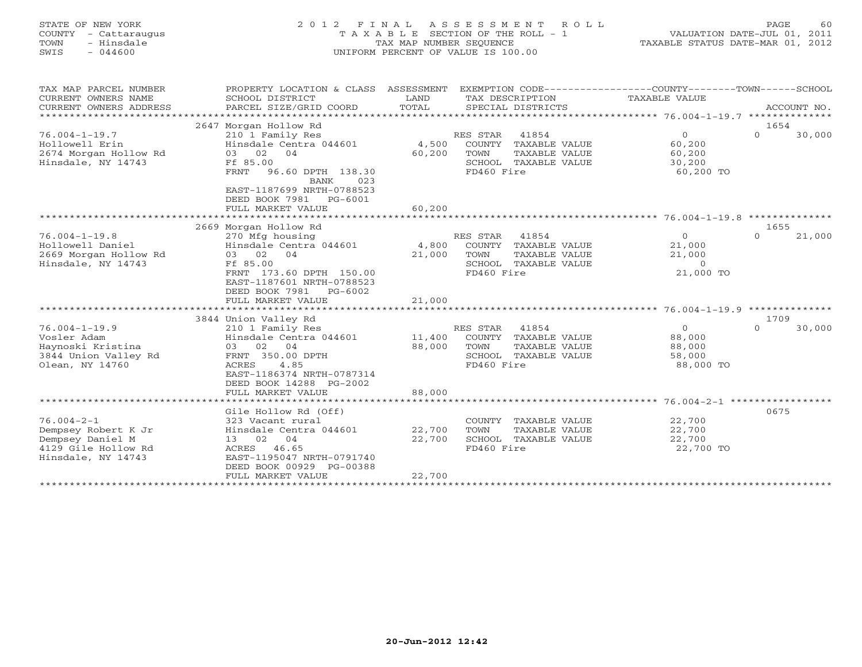#### STATE OF NEW YORK 2 0 1 2 F I N A L A S S E S S M E N T R O L L PAGE 60 COUNTY - Cattaraugus T A X A B L E SECTION OF THE ROLL - 1 VALUATION DATE-JUL 01, 2011 TOWN - Hinsdale TAX MAP NUMBER SEQUENCE TAXABLE STATUS DATE-MAR 01, 2012 SWIS - 044600 UNIFORM PERCENT OF VALUE IS 100.00UNIFORM PERCENT OF VALUE IS 100.00

| 1654<br>RES STAR 41854<br>$\Omega$<br>$\Omega$<br>30,000<br>COUNTY TAXABLE VALUE<br>60,200<br>TAXABLE VALUE<br>60,200                                            |                                                |
|------------------------------------------------------------------------------------------------------------------------------------------------------------------|------------------------------------------------|
|                                                                                                                                                                  |                                                |
| FD460 Fire<br>60,200 TO                                                                                                                                          |                                                |
|                                                                                                                                                                  |                                                |
| 1655<br>41854<br>$\Omega$<br>21,000<br>$\overline{0}$<br>COUNTY TAXABLE VALUE<br>21,000                                                                          |                                                |
| TAXABLE VALUE<br>21,000<br>SCHOOL TAXABLE VALUE<br>$\overline{0}$<br>FD460 Fire<br>21,000 TO                                                                     |                                                |
|                                                                                                                                                                  |                                                |
|                                                                                                                                                                  |                                                |
| 30,000<br>41854<br>$\circ$<br>$\Omega$<br>COUNTY TAXABLE VALUE<br>88,000<br>TAXABLE VALUE<br>88,000<br>SCHOOL TAXABLE VALUE<br>58,000<br>FD460 Fire<br>88,000 TO |                                                |
|                                                                                                                                                                  |                                                |
| COUNTY TAXABLE VALUE<br>22,700<br>22,700<br>TAXABLE VALUE<br>SCHOOL TAXABLE VALUE<br>22,700<br>22,700 TO<br>FD460 Fire                                           |                                                |
|                                                                                                                                                                  | SCHOOL TAXABLE VALUE<br>30,200<br>1709<br>0675 |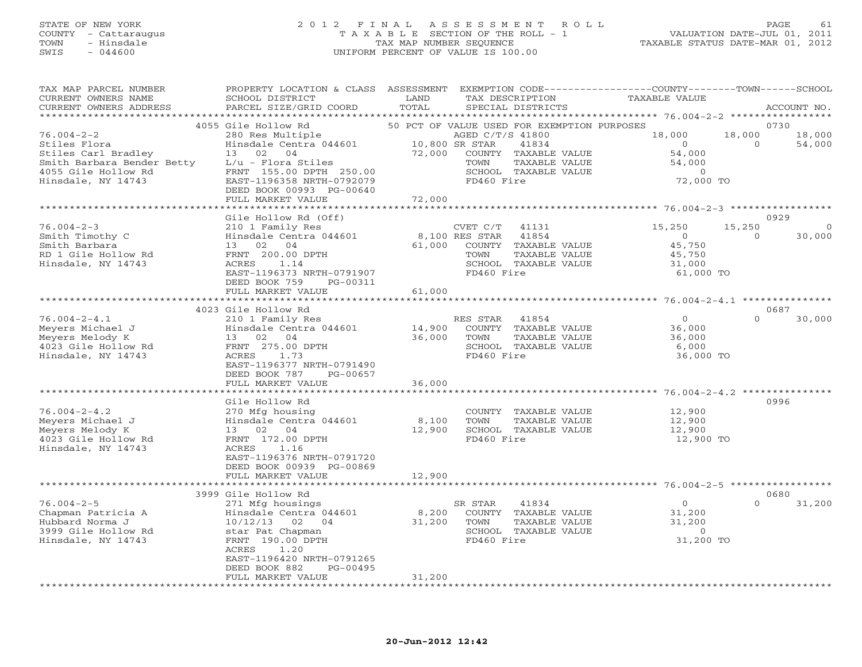## STATE OF NEW YORK 2 0 1 2 F I N A L A S S E S S M E N T R O L L PAGE 61 COUNTY - Cattaraugus T A X A B L E SECTION OF THE ROLL - 1 VALUATION DATE-JUL 01, 2011 TOWN - Hinsdale TAX MAP NUMBER SEQUENCE TAXABLE STATUS DATE-MAR 01, 2012 SWIS - 044600 UNIFORM PERCENT OF VALUE IS 100.00

| TAX MAP PARCEL NUMBER<br>CURRENT OWNERS NAME<br>CURRENT OWNERS ADDRESS | PROPERTY LOCATION & CLASS ASSESSMENT<br>SCHOOL DISTRICT<br>PARCEL SIZE/GRID COORD                     | LAND<br>TOTAL    |                        | TAX DESCRIPTION<br>SPECIAL DISTRICTS           | EXEMPTION CODE-----------------COUNTY-------TOWN------SCHOOL<br>TAXABLE VALUE |                | ACCOUNT NO.           |
|------------------------------------------------------------------------|-------------------------------------------------------------------------------------------------------|------------------|------------------------|------------------------------------------------|-------------------------------------------------------------------------------|----------------|-----------------------|
| **********************                                                 |                                                                                                       |                  |                        |                                                |                                                                               |                |                       |
| $76.004 - 2 - 2$                                                       | 4055 Gile Hollow Rd                                                                                   |                  | AGED C/T/S 41800       |                                                | 50 PCT OF VALUE USED FOR EXEMPTION PURPOSES<br>18,000                         |                | 0730<br>18,000 18,000 |
| Stiles Flora<br>Stiles Carl Bradley                                    | 280 Res Multiple<br>Hinsdale Centra 044601 10,800 8<br>72,000 11<br>13 02 04                          |                  | 10,800 SR STAR<br>TOWN | 41834<br>COUNTY TAXABLE VALUE<br>TAXABLE VALUE | $\overline{0}$<br>54,000<br>54,000                                            | $\overline{0}$ | 54,000                |
| 4055 Gile Hollow Rd<br>Hinsdale, NY 14743                              | FRNT 155.00 DPTH 250.00<br>EAST-1196358 NRTH-0792079<br>DEED BOOK 00993 PG-00640<br>FULL MARKET VALUE | 72,000           | FD460 Fire             | SCHOOL TAXABLE VALUE                           | $\overline{0}$<br>72,000 TO                                                   |                |                       |
|                                                                        |                                                                                                       |                  |                        |                                                |                                                                               |                |                       |
|                                                                        | Gile Hollow Rd (Off)                                                                                  |                  |                        |                                                |                                                                               |                | 0929                  |
| $76.004 - 2 - 3$                                                       | 210 1 Family Res                                                                                      |                  | CVET $C/T$ 41131       |                                                | 15,250                                                                        | 15,250         | $\overline{0}$        |
| Smith Timothy C                                                        | Hinsdale Centra 044601                                                                                | 8,100 RES STAR   |                        | 41854                                          | $\overline{0}$                                                                | $\bigcirc$     | 30,000                |
| Smith Barbara                                                          | 13 02 04                                                                                              | 61,000           |                        | COUNTY TAXABLE VALUE                           | 45,750                                                                        |                |                       |
| RD 1 Gile Hollow Rd<br>Hinsdale, NY 14743                              | FRNT 200.00 DPTH<br>ACRES 1.14                                                                        |                  | TOWN                   | TAXABLE VALUE<br>SCHOOL TAXABLE VALUE          | 45,750<br>31,000                                                              |                |                       |
|                                                                        | EAST-1196373 NRTH-0791907                                                                             |                  | FD460 Fire             |                                                | 61,000 TO                                                                     |                |                       |
|                                                                        | DEED BOOK 759 PG-00311                                                                                |                  |                        |                                                |                                                                               |                |                       |
|                                                                        | FULL MARKET VALUE                                                                                     | 61,000           |                        |                                                |                                                                               |                |                       |
|                                                                        |                                                                                                       |                  |                        |                                                |                                                                               |                |                       |
|                                                                        | 4023 Gile Hollow Rd                                                                                   |                  |                        |                                                |                                                                               |                | 0687                  |
| $76.004 - 2 - 4.1$                                                     | 210 1 Family Res                                                                                      |                  | RES STAR               | 41854                                          | $\overline{0}$<br>36,000                                                      | $\Omega$       | 30,000                |
| Meyers Michael J<br>Meyers Melody K                                    | Hinsdale Centra 044601<br>Hinsdale Centra 04<br>13 02 04<br>FRNT 275.00 DPTH                          | 14,900<br>36,000 | TOWN                   | COUNTY TAXABLE VALUE<br>TAXABLE VALUE          | 36,000                                                                        |                |                       |
| 4023 Gile Hollow Rd                                                    |                                                                                                       |                  |                        | SCHOOL TAXABLE VALUE                           | 6,000                                                                         |                |                       |
| Hinsdale, NY 14743                                                     | ACRES 1.73                                                                                            |                  | FD460 Fire             |                                                | 36,000 TO                                                                     |                |                       |
|                                                                        | EAST-1196377 NRTH-0791490                                                                             |                  |                        |                                                |                                                                               |                |                       |
|                                                                        | DEED BOOK 787<br>PG-00657                                                                             |                  |                        |                                                |                                                                               |                |                       |
|                                                                        | FULL MARKET VALUE                                                                                     | 36,000           |                        |                                                |                                                                               |                |                       |
|                                                                        | Gile Hollow Rd                                                                                        |                  |                        |                                                |                                                                               |                | 0996                  |
| $76.004 - 2 - 4.2$                                                     | 270 Mfg housing                                                                                       |                  |                        | COUNTY TAXABLE VALUE                           | 12,900                                                                        |                |                       |
| Meyers Michael J                                                       | Hinsdale Centra 044601                                                                                | 8,100            | TOWN                   | TAXABLE VALUE                                  |                                                                               |                |                       |
| Meyers Melody K                                                        | 13 02 04                                                                                              | 12,900           |                        | SCHOOL TAXABLE VALUE                           | 12,900<br>12,900                                                              |                |                       |
| 4023 Gile Hollow Rd                                                    | FRNT 172.00 DPTH                                                                                      |                  | FD460 Fire             |                                                | 12,900 TO                                                                     |                |                       |
| Hinsdale, NY 14743                                                     | ACRES 1.16                                                                                            |                  |                        |                                                |                                                                               |                |                       |
|                                                                        | EAST-1196376 NRTH-0791720                                                                             |                  |                        |                                                |                                                                               |                |                       |
|                                                                        | DEED BOOK 00939 PG-00869<br>FULL MARKET VALUE                                                         | 12,900           |                        |                                                |                                                                               |                |                       |
|                                                                        |                                                                                                       |                  |                        |                                                |                                                                               |                |                       |
|                                                                        | 3999 Gile Hollow Rd                                                                                   |                  |                        |                                                |                                                                               |                | 0680                  |
| $76.004 - 2 - 5$                                                       | 271 Mfg housings                                                                                      |                  | SR STAR                | 41834                                          | $\overline{0}$                                                                | $\Omega$       | 31,200                |
| Chapman Patricia A                                                     | Hinsdale Centra 044601                                                                                | 8,200            |                        | COUNTY TAXABLE VALUE                           | 31,200                                                                        |                |                       |
| Hubbard Norma J                                                        | 10/12/13 02 04                                                                                        | 31,200 TOWN      |                        | TAXABLE VALUE                                  | 31,200                                                                        |                |                       |
| 3999 Gile Hollow Rd                                                    | star Pat Chapman                                                                                      |                  |                        | SCHOOL TAXABLE VALUE                           | $\overline{0}$                                                                |                |                       |
| Hinsdale, NY 14743                                                     | FRNT 190.00 DPTH<br>1.20<br>ACRES                                                                     |                  | FD460 Fire             |                                                | 31,200 TO                                                                     |                |                       |
|                                                                        | EAST-1196420 NRTH-0791265                                                                             |                  |                        |                                                |                                                                               |                |                       |
|                                                                        | PG-00495<br>DEED BOOK 882                                                                             |                  |                        |                                                |                                                                               |                |                       |
|                                                                        | FULL MARKET VALUE                                                                                     | 31,200           |                        |                                                |                                                                               |                |                       |
| ***********************                                                |                                                                                                       |                  |                        |                                                |                                                                               |                |                       |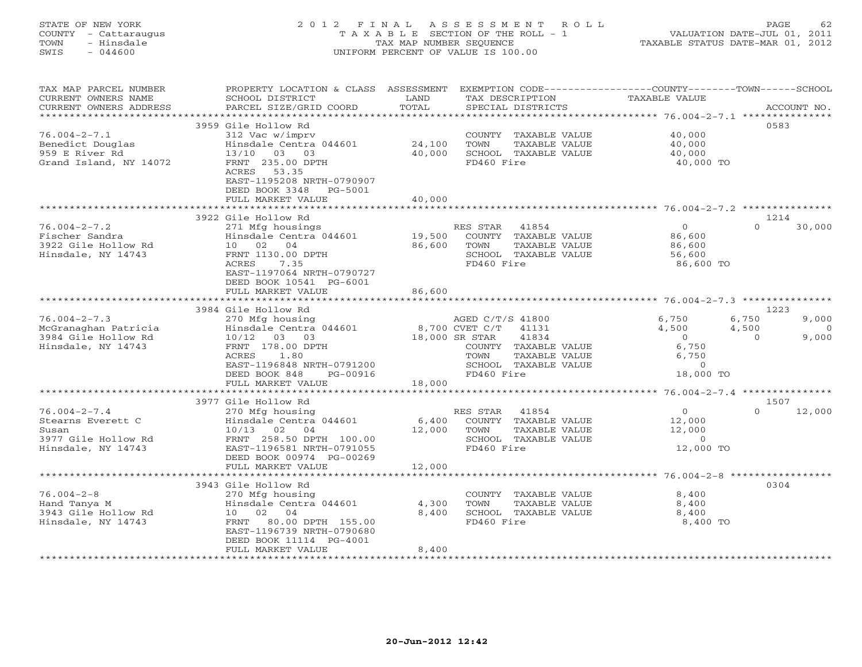### STATE OF NEW YORK 2 0 1 2 F I N A L A S S E S S M E N T R O L L PAGE 62 COUNTY - Cattaraugus T A X A B L E SECTION OF THE ROLL - 1 VALUATION DATE-JUL 01, 2011 TOWN - Hinsdale TAX MAP NUMBER SEQUENCE TAXABLE STATUS DATE-MAR 01, 2012 SWIS - 044600 UNIFORM PERCENT OF VALUE IS 100.00UNIFORM PERCENT OF VALUE IS 100.00

| TAX MAP PARCEL NUMBER<br>CURRENT OWNERS NAME<br>CURRENT OWNERS ADDRESS                        | PROPERTY LOCATION & CLASS ASSESSMENT<br>SCHOOL DISTRICT<br>PARCEL SIZE/GRID COORD                                                                    | LAND<br>TOTAL    | EXEMPTION CODE-----------------COUNTY-------TOWN------SCHOOL<br>TAX DESCRIPTION<br>SPECIAL DISTRICTS           | TAXABLE VALUE                                              |                | ACCOUNT NO.       |
|-----------------------------------------------------------------------------------------------|------------------------------------------------------------------------------------------------------------------------------------------------------|------------------|----------------------------------------------------------------------------------------------------------------|------------------------------------------------------------|----------------|-------------------|
| *********************<br>$76.004 - 2 - 7.1$                                                   | 3959 Gile Hollow Rd                                                                                                                                  |                  |                                                                                                                | 40,000                                                     | 0583           |                   |
| Benedict Douglas<br>959 E River Rd<br>Grand Island, NY 14072                                  | 312 Vac w/imprv<br>Hinsdale Centra 044601<br>13/10 03 03<br>FRNT 235.00 DPTH                                                                         | 24,100<br>40,000 | COUNTY TAXABLE VALUE<br>TOWN<br>TAXABLE VALUE<br>SCHOOL TAXABLE VALUE<br>FD460 Fire                            | 40,000<br>40,000<br>40,000 TO                              |                |                   |
|                                                                                               | ACRES<br>53.35<br>EAST-1195208 NRTH-0790907<br>DEED BOOK 3348<br>$PG-5001$<br>FULL MARKET VALUE                                                      | 40,000           |                                                                                                                |                                                            |                |                   |
|                                                                                               | 3922 Gile Hollow Rd                                                                                                                                  |                  |                                                                                                                |                                                            | 1214           |                   |
| $76.004 - 2 - 7.2$<br>Fischer Sandra<br>3922 Gile Hollow Rd<br>Hinsdale, NY 14743             | 271 Mfg housings<br>Hinsdale Centra 044601<br>10 02 04<br>FRNT 1130.00 DPTH<br>7.35<br>ACRES<br>EAST-1197064 NRTH-0790727<br>DEED BOOK 10541 PG-6001 | 19,500<br>86,600 | 41854<br>RES STAR<br>COUNTY TAXABLE VALUE<br>TAXABLE VALUE<br>TOWN<br>SCHOOL TAXABLE VALUE<br>FD460 Fire       | $\Omega$<br>86,600<br>86,600<br>56,600<br>86,600 TO        | $\Omega$       | 30,000            |
|                                                                                               | FULL MARKET VALUE                                                                                                                                    | 86,600           |                                                                                                                |                                                            |                |                   |
|                                                                                               | 3984 Gile Hollow Rd                                                                                                                                  |                  |                                                                                                                |                                                            | 1223           |                   |
| $76.004 - 2 - 7.3$<br>McGranaghan Patricia                                                    | 270 Mfg housing<br>Hinsdale Centra 044601                                                                                                            |                  | AGED C/T/S 41800<br>8,700 CVET C/T<br>41131                                                                    | 6,750<br>4,500                                             | 6,750<br>4,500 | 9,000<br>$\Omega$ |
| 3984 Gile Hollow Rd<br>Hinsdale, NY 14743                                                     | 10/12 03 03<br>FRNT 178.00 DPTH<br>ACRES<br>1.80<br>EAST-1196848 NRTH-0791200<br>DEED BOOK 848<br>PG-00916<br>FULL MARKET VALUE                      | 18,000           | 41834<br>18,000 SR STAR<br>COUNTY TAXABLE VALUE<br>TOWN<br>TAXABLE VALUE<br>SCHOOL TAXABLE VALUE<br>FD460 Fire | $\Omega$<br>6,750<br>6,750<br>$\circ$<br>18,000 TO         | $\Omega$       | 9,000             |
|                                                                                               |                                                                                                                                                      |                  |                                                                                                                |                                                            |                |                   |
|                                                                                               | 3977 Gile Hollow Rd                                                                                                                                  |                  |                                                                                                                |                                                            | 1507           |                   |
| $76.004 - 2 - 7.4$<br>Stearns Everett C<br>Susan<br>3977 Gile Hollow Rd<br>Hinsdale, NY 14743 | 270 Mfg housing<br>Hinsdale Centra 044601<br>$10/13$ 02<br>04<br>FRNT 258.50 DPTH 100.00<br>EAST-1196581 NRTH-0791055<br>DEED BOOK 00974 PG-00269    | 6,400<br>12,000  | RES STAR<br>41854<br>COUNTY TAXABLE VALUE<br>TAXABLE VALUE<br>TOWN<br>SCHOOL TAXABLE VALUE<br>FD460 Fire       | $\overline{0}$<br>12,000<br>12,000<br>$\circ$<br>12,000 TO | $\Omega$       | 12,000            |
|                                                                                               | FULL MARKET VALUE<br>***************************                                                                                                     | 12,000           |                                                                                                                |                                                            |                |                   |
|                                                                                               | 3943 Gile Hollow Rd                                                                                                                                  |                  |                                                                                                                |                                                            | 0304           |                   |
| $76.004 - 2 - 8$<br>Hand Tanya M<br>3943 Gile Hollow Rd<br>Hinsdale, NY 14743                 | 270 Mfg housing<br>Hinsdale Centra 044601<br>10 02 04<br>80.00 DPTH 155.00<br>FRNT<br>EAST-1196739 NRTH-0790680<br>DEED BOOK 11114 PG-4001           | 4,300<br>8,400   | COUNTY TAXABLE VALUE<br>TOWN<br>TAXABLE VALUE<br>SCHOOL TAXABLE VALUE<br>FD460 Fire                            | 8,400<br>8,400<br>8,400<br>8,400 TO                        |                |                   |
|                                                                                               | FULL MARKET VALUE                                                                                                                                    | 8,400            |                                                                                                                |                                                            |                |                   |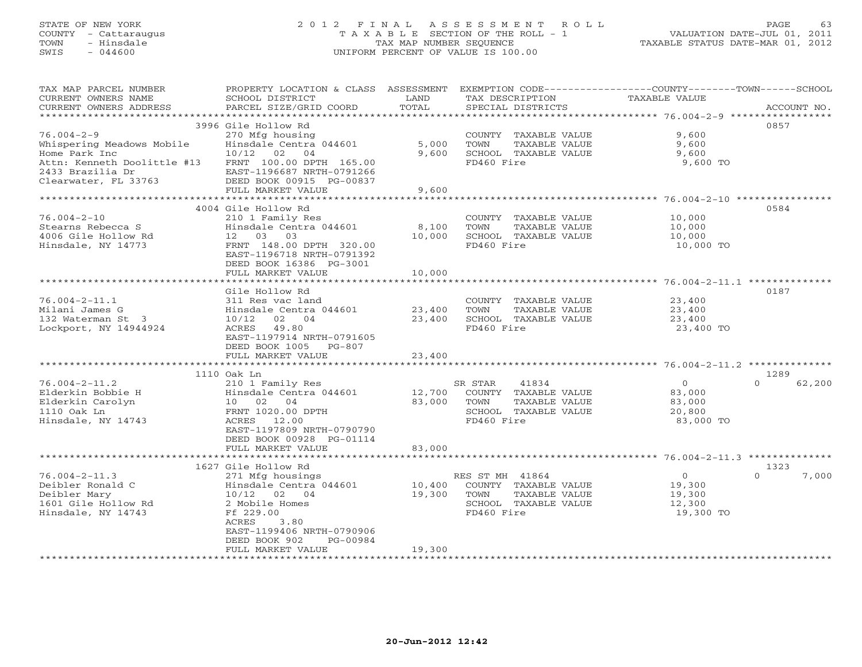### STATE OF NEW YORK 2 0 1 2 F I N A L A S S E S S M E N T R O L L PAGE 63 COUNTY - Cattaraugus T A X A B L E SECTION OF THE ROLL - 1 VALUATION DATE-JUL 01, 2011 TOWN - Hinsdale TAX MAP NUMBER SEQUENCE TAXABLE STATUS DATE-MAR 01, 2012 SWIS - 044600 UNIFORM PERCENT OF VALUE IS 100.00UNIFORM PERCENT OF VALUE IS 100.00

| TAX MAP PARCEL NUMBER                           | PROPERTY LOCATION & CLASS ASSESSMENT EXEMPTION CODE---------------COUNTY-------TOWN------SCHOOL |                  |                                         |                          |                    |
|-------------------------------------------------|-------------------------------------------------------------------------------------------------|------------------|-----------------------------------------|--------------------------|--------------------|
| CURRENT OWNERS NAME<br>CURRENT OWNERS ADDRESS   | SCHOOL DISTRICT<br>PARCEL SIZE/GRID COORD                                                       | LAND<br>TOTAL    | TAX DESCRIPTION<br>SPECIAL DISTRICTS    | TAXABLE VALUE            | ACCOUNT NO.        |
|                                                 |                                                                                                 |                  |                                         |                          |                    |
|                                                 | 3996 Gile Hollow Rd                                                                             |                  |                                         |                          | 0857               |
| $76.004 - 2 - 9$                                | 270 Mfg housing                                                                                 |                  | COUNTY TAXABLE VALUE                    | 9,600                    |                    |
| Whispering Meadows Mobile                       | Hinsdale Centra 044601                                                                          | 5,000            | TOWN<br>TAXABLE VALUE                   | 9,600                    |                    |
| Home Park Inc                                   | 10/12 02 04                                                                                     | 9,600            | SCHOOL TAXABLE VALUE                    | 9,600                    |                    |
| Attn: Kenneth Doolittle #13<br>2433 Brazilia Dr | FRNT 100.00 DPTH 165.00<br>EAST-1196687 NRTH-0791266                                            |                  | FD460 Fire                              | 9,600 TO                 |                    |
| Clearwater, FL 33763                            | DEED BOOK 00915 PG-00837                                                                        |                  |                                         |                          |                    |
|                                                 | FULL MARKET VALUE                                                                               | 9,600            |                                         |                          |                    |
|                                                 |                                                                                                 |                  |                                         |                          |                    |
|                                                 | 4004 Gile Hollow Rd                                                                             |                  |                                         |                          | 0584               |
| 76.004-2-10                                     | 210 1 Family Res                                                                                |                  | COUNTY TAXABLE VALUE                    | 10,000                   |                    |
| Stearns Rebecca S                               | Hinsdale Centra 044601                                                                          | 8,100            | TAXABLE VALUE<br>TOWN                   | 10,000                   |                    |
| 4006 Gile Hollow Rd                             | 12  03  03                                                                                      | 10,000           | SCHOOL TAXABLE VALUE                    | 10,000                   |                    |
| Hinsdale, NY 14773                              | FRNT 148.00 DPTH 320.00<br>EAST-1196718 NRTH-0791392                                            |                  | FD460 Fire                              | 10,000 TO                |                    |
|                                                 | DEED BOOK 16386 PG-3001                                                                         |                  |                                         |                          |                    |
|                                                 | FULL MARKET VALUE                                                                               | 10,000           |                                         |                          |                    |
|                                                 |                                                                                                 |                  |                                         |                          |                    |
|                                                 | Gile Hollow Rd                                                                                  |                  |                                         |                          | 0187               |
| $76.004 - 2 - 11.1$                             | 311 Res vac land                                                                                |                  | COUNTY TAXABLE VALUE                    | 23,400                   |                    |
| Milani James G                                  | Hinsdale Centra 044601                                                                          | 23,400           | TAXABLE VALUE<br>TOWN                   | 23,400                   |                    |
| 132 Waterman St 3<br>Lockport, NY 14944924      | 10/12 02 04                                                                                     | 23,400           | SCHOOL TAXABLE VALUE<br>FD460 Fire      | 23,400                   |                    |
|                                                 | ACRES 49.80<br>EAST-1197914 NRTH-0791605                                                        |                  |                                         | 23,400 TO                |                    |
|                                                 | DEED BOOK 1005 PG-807                                                                           |                  |                                         |                          |                    |
|                                                 | FULL MARKET VALUE                                                                               | 23,400           |                                         |                          |                    |
|                                                 |                                                                                                 |                  |                                         |                          |                    |
|                                                 | 1110 Oak Ln                                                                                     |                  |                                         |                          | 1289               |
| $76.004 - 2 - 11.2$                             | 210 1 Family Res                                                                                |                  | 41834<br>SR STAR                        | $\overline{O}$           | $\Omega$<br>62,200 |
| Elderkin Bobbie H                               | Hinsdale Centra 044601                                                                          | 12,700<br>83,000 | COUNTY TAXABLE VALUE<br>TOWN            | 83,000                   |                    |
| Elderkin Carolyn<br>1110 Oak Ln                 | 10 02 04<br>FRNT 1020.00 DPTH                                                                   |                  | TAXABLE VALUE<br>SCHOOL TAXABLE VALUE   | 83,000<br>20,800         |                    |
| Hinsdale, NY 14743                              | ACRES 12.00                                                                                     |                  | FD460 Fire                              | 83,000 TO                |                    |
|                                                 | EAST-1197809 NRTH-0790790                                                                       |                  |                                         |                          |                    |
|                                                 | DEED BOOK 00928 PG-01114                                                                        |                  |                                         |                          |                    |
|                                                 | FULL MARKET VALUE                                                                               | 83,000           |                                         |                          |                    |
|                                                 |                                                                                                 |                  |                                         |                          |                    |
|                                                 | 1627 Gile Hollow Rd                                                                             |                  |                                         |                          | 1323               |
| $76.004 - 2 - 11.3$<br>Deibler Ronald C         | 271 Mfg housings<br>Hinsdale Centra 044601                                                      | 10,400           | RES ST MH 41864<br>COUNTY TAXABLE VALUE | $\overline{0}$<br>19,300 | $\Omega$<br>7,000  |
| Deibler Mary                                    | 10/12 02 04                                                                                     | 19,300           | TOWN<br>TAXABLE VALUE                   | 19,300                   |                    |
| 1601 Gile Hollow Rd                             | 2 Mobile Homes                                                                                  |                  | SCHOOL TAXABLE VALUE                    | 12,300                   |                    |
| Hinsdale, NY 14743                              | Ff 229.00                                                                                       |                  | FD460 Fire                              | 19,300 TO                |                    |
|                                                 | ACRES<br>3.80                                                                                   |                  |                                         |                          |                    |
|                                                 | EAST-1199406 NRTH-0790906                                                                       |                  |                                         |                          |                    |
|                                                 | DEED BOOK 902<br>PG-00984                                                                       |                  |                                         |                          |                    |
|                                                 | FULL MARKET VALUE                                                                               | 19,300           |                                         |                          |                    |
|                                                 |                                                                                                 |                  |                                         |                          |                    |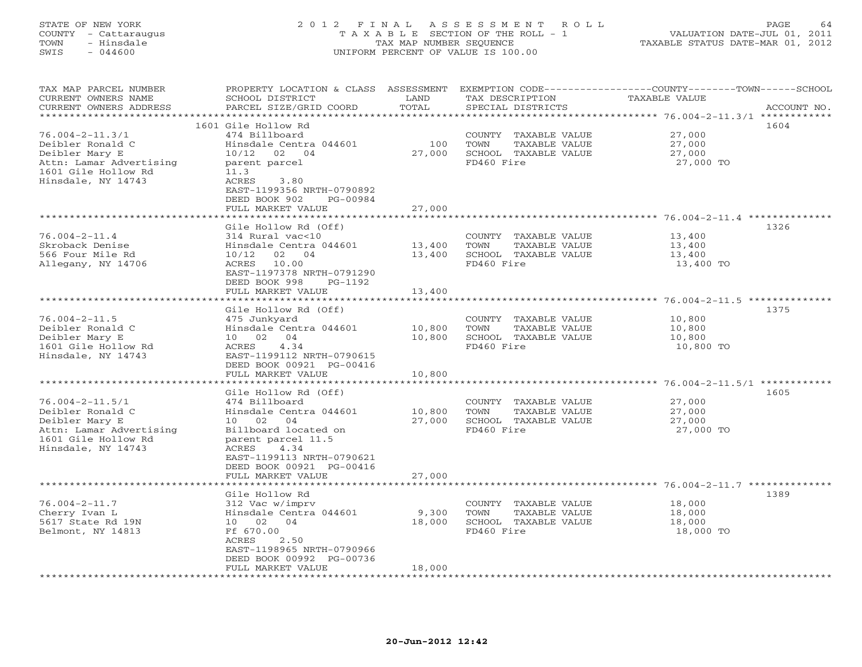#### STATE OF NEW YORK 2 0 1 2 F I N A L A S S E S S M E N T R O L L PAGE 64 COUNTY - Cattaraugus T A X A B L E SECTION OF THE ROLL - 1 VALUATION DATE-JUL 01, 2011 TOWN - Hinsdale TAX MAP NUMBER SEQUENCE TAXABLE STATUS DATE-MAR 01, 2012 SWIS - 044600 UNIFORM PERCENT OF VALUE IS 100.00UNIFORM PERCENT OF VALUE IS 100.00

| TAX MAP PARCEL NUMBER<br>CURRENT OWNERS NAME<br>CURRENT OWNERS ADDRESS | PROPERTY LOCATION & CLASS<br>SCHOOL DISTRICT<br>PARCEL SIZE/GRID COORD                                               | ASSESSMENT<br>LAND<br>TOTAL | TAX DESCRIPTION<br>SPECIAL DISTRICTS | EXEMPTION CODE----------------COUNTY-------TOWN-----SCHOOL<br><b>TAXABLE VALUE</b><br>ACCOUNT NO. |  |
|------------------------------------------------------------------------|----------------------------------------------------------------------------------------------------------------------|-----------------------------|--------------------------------------|---------------------------------------------------------------------------------------------------|--|
| * * * * * * * * * * * * * * * * * * *                                  |                                                                                                                      | ******                      |                                      | *********** 76.004-2-11.3/1 ************                                                          |  |
|                                                                        | 1601 Gile Hollow Rd                                                                                                  |                             |                                      | 1604                                                                                              |  |
| $76.004 - 2 - 11.3/1$                                                  | 474 Billboard                                                                                                        |                             | COUNTY TAXABLE VALUE                 | 27,000                                                                                            |  |
| Deibler Ronald C                                                       | Hinsdale Centra 044601                                                                                               | 100                         | TOWN<br>TAXABLE VALUE                | 27,000                                                                                            |  |
| Deibler Mary E                                                         | 10/12<br>02<br>04                                                                                                    | 27,000                      | SCHOOL TAXABLE VALUE                 | 27,000                                                                                            |  |
| Attn: Lamar Advertising                                                | parent parcel                                                                                                        |                             | FD460 Fire                           | 27,000 TO                                                                                         |  |
| 1601 Gile Hollow Rd                                                    | 11.3                                                                                                                 |                             |                                      |                                                                                                   |  |
| Hinsdale, NY 14743                                                     | ACRES<br>3.80<br>EAST-1199356 NRTH-0790892<br>DEED BOOK 902<br>PG-00984                                              |                             |                                      |                                                                                                   |  |
|                                                                        | FULL MARKET VALUE                                                                                                    | 27,000                      |                                      |                                                                                                   |  |
|                                                                        | *****************                                                                                                    | ***********                 |                                      |                                                                                                   |  |
|                                                                        | Gile Hollow Rd (Off)                                                                                                 |                             |                                      | 1326                                                                                              |  |
| $76.004 - 2 - 11.4$                                                    | 314 Rural vac<10                                                                                                     |                             | COUNTY TAXABLE VALUE                 | 13,400                                                                                            |  |
| Skroback Denise                                                        | Hinsdale Centra 044601                                                                                               | 13,400                      | TOWN<br>TAXABLE VALUE                | 13,400                                                                                            |  |
| 566 Four Mile Rd                                                       | 02 04<br>10/12                                                                                                       | 13,400                      | SCHOOL TAXABLE VALUE                 | 13,400                                                                                            |  |
| Allegany, NY 14706                                                     | 10.00<br>ACRES<br>EAST-1197378 NRTH-0791290<br>DEED BOOK 998<br>PG-1192                                              |                             | FD460 Fire                           | 13,400 TO                                                                                         |  |
|                                                                        | FULL MARKET VALUE                                                                                                    | 13,400                      |                                      |                                                                                                   |  |
|                                                                        | *****************************                                                                                        |                             |                                      |                                                                                                   |  |
|                                                                        | Gile Hollow Rd (Off)                                                                                                 |                             |                                      | 1375                                                                                              |  |
| $76.004 - 2 - 11.5$                                                    | 475 Junkyard                                                                                                         |                             | COUNTY TAXABLE VALUE                 | 10,800                                                                                            |  |
| Deibler Ronald C                                                       | Hinsdale Centra 044601                                                                                               | 10,800                      | TOWN<br>TAXABLE VALUE                | 10,800                                                                                            |  |
| Deibler Mary E                                                         | 10 02<br>04                                                                                                          | 10,800                      | SCHOOL TAXABLE VALUE                 | 10,800                                                                                            |  |
| 1601 Gile Hollow Rd<br>Hinsdale, NY 14743                              | ACRES<br>4.34<br>EAST-1199112 NRTH-0790615<br>DEED BOOK 00921 PG-00416                                               |                             | FD460 Fire                           | 10,800 TO                                                                                         |  |
|                                                                        | FULL MARKET VALUE                                                                                                    | 10,800                      |                                      |                                                                                                   |  |
|                                                                        | ***********************                                                                                              | *********                   |                                      | ************************ 76.004-2-11.5/1 ************                                             |  |
|                                                                        | Gile Hollow Rd (Off)                                                                                                 |                             |                                      | 1605                                                                                              |  |
| $76.004 - 2 - 11.5/1$                                                  | 474 Billboard                                                                                                        |                             | COUNTY TAXABLE VALUE                 | 27,000                                                                                            |  |
| Deibler Ronald C                                                       | Hinsdale Centra 044601                                                                                               | 10,800                      | TOWN<br>TAXABLE VALUE                | 27,000                                                                                            |  |
| Deibler Mary E                                                         | 10 02 04                                                                                                             | 27,000                      | SCHOOL TAXABLE VALUE                 | 27,000                                                                                            |  |
| Attn: Lamar Advertising<br>1601 Gile Hollow Rd<br>Hinsdale, NY 14743   | Billboard located on<br>parent parcel 11.5<br>4.34<br>ACRES<br>EAST-1199113 NRTH-0790621<br>DEED BOOK 00921 PG-00416 |                             | FD460 Fire                           | 27,000 TO                                                                                         |  |
|                                                                        | FULL MARKET VALUE                                                                                                    | 27,000                      |                                      |                                                                                                   |  |
|                                                                        |                                                                                                                      |                             |                                      |                                                                                                   |  |
|                                                                        | Gile Hollow Rd                                                                                                       |                             |                                      | 1389                                                                                              |  |
| $76.004 - 2 - 11.7$                                                    | 312 Vac w/imprv                                                                                                      |                             | COUNTY<br>TAXABLE VALUE              | 18,000                                                                                            |  |
| Cherry Ivan L                                                          | Hinsdale Centra 044601                                                                                               | 9,300                       | TOWN<br>TAXABLE VALUE                | 18,000                                                                                            |  |
| 5617 State Rd 19N                                                      | 10 02<br>04                                                                                                          | 18,000                      | SCHOOL TAXABLE VALUE                 | 18,000                                                                                            |  |
| Belmont, NY 14813                                                      | Ff 670.00<br>ACRES<br>2.50<br>EAST-1198965 NRTH-0790966<br>DEED BOOK 00992 PG-00736                                  |                             | FD460 Fire                           | 18,000 TO                                                                                         |  |
|                                                                        | FULL MARKET VALUE                                                                                                    | 18,000                      |                                      |                                                                                                   |  |
|                                                                        |                                                                                                                      |                             |                                      |                                                                                                   |  |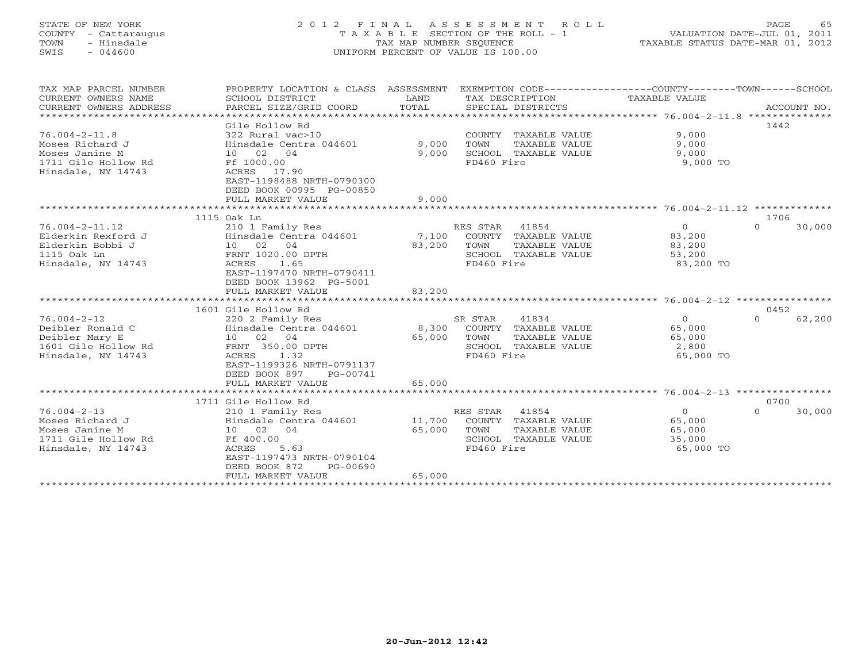### STATE OF NEW YORK 2 0 1 2 F I N A L A S S E S S M E N T R O L L PAGE 65 COUNTY - Cattaraugus T A X A B L E SECTION OF THE ROLL - 1 VALUATION DATE-JUL 01, 2011 TOWN - Hinsdale TAX MAP NUMBER SEQUENCE TAXABLE STATUS DATE-MAR 01, 2012 SWIS - 044600 UNIFORM PERCENT OF VALUE IS 100.00UNIFORM PERCENT OF VALUE IS 100.00

| TAX MAP PARCEL NUMBER<br>CURRENT OWNERS NAME<br>CURRENT OWNERS ADDRESS                                | PROPERTY LOCATION & CLASS ASSESSMENT<br>SCHOOL DISTRICT<br>PARCEL SIZE/GRID COORD                                                                                                          | LAND<br>TOTAL              | TAX DESCRIPTION<br>SPECIAL DISTRICTS                                                                       | EXEMPTION CODE-----------------COUNTY-------TOWN------SCHOOL<br>TAXABLE VALUE<br>ACCOUNT NO. |  |
|-------------------------------------------------------------------------------------------------------|--------------------------------------------------------------------------------------------------------------------------------------------------------------------------------------------|----------------------------|------------------------------------------------------------------------------------------------------------|----------------------------------------------------------------------------------------------|--|
| $76.004 - 2 - 11.8$<br>Moses Richard J<br>Moses Janine M<br>1711 Gile Hollow Rd<br>Hinsdale, NY 14743 | Gile Hollow Rd<br>322 Rural vac>10<br>Hinsdale Centra 044601<br>10 02 04<br>Ff 1000.00<br>ACRES 17.90<br>EAST-1198488 NRTH-0790300<br>DEED BOOK 00995 PG-00850                             | 9,000<br>9,000             | COUNTY TAXABLE VALUE<br>TOWN<br>TAXABLE VALUE<br>SCHOOL TAXABLE VALUE<br>FD460 Fire                        | 1442<br>9,000<br>9,000<br>9,000<br>9,000 TO                                                  |  |
|                                                                                                       | FULL MARKET VALUE<br>***********************                                                                                                                                               | 9,000<br>**********        |                                                                                                            | ********************* 76.004-2-11.12 *************                                           |  |
| $76.004 - 2 - 11.12$<br>Elderkin Rexford J                                                            | 1115 Oak Ln<br>210 1 Family Res<br>Hinsdale Centra 044601                                                                                                                                  | 7,100                      | RES STAR<br>41854<br>COUNTY TAXABLE VALUE                                                                  | 1706<br>$\overline{0}$<br>$\Omega$<br>30,000<br>83,200                                       |  |
| Elderkin Bobbi J<br>1115 Oak Ln<br>Hinsdale, NY 14743                                                 | 10 02 04<br>FRNT 1020.00 DPTH<br>1.65<br>ACRES<br>EAST-1197470 NRTH-0790411<br>DEED BOOK 13962 PG-5001<br>FULL MARKET VALUE                                                                | 83,200<br>83,200           | TOWN<br>TAXABLE VALUE<br>SCHOOL TAXABLE VALUE<br>FD460 Fire                                                | 83,200<br>53,200<br>83,200 TO                                                                |  |
|                                                                                                       |                                                                                                                                                                                            |                            |                                                                                                            |                                                                                              |  |
| $76.004 - 2 - 12$<br>Deibler Ronald C<br>Deibler Mary E<br>1601 Gile Hollow Rd<br>Hinsdale, NY 14743  | 1601 Gile Hollow Rd<br>220 2 Family Res<br>Hinsdale Centra 044601<br>10 02 04<br>FRNT 350.00 DPTH<br>1.32<br>ACRES<br>EAST-1199326 NRTH-0791137<br>DEED BOOK 897<br>PG-00741               | 8,300<br>65,000            | 41834<br>SR STAR<br>COUNTY TAXABLE VALUE<br>TOWN<br>TAXABLE VALUE<br>SCHOOL<br>TAXABLE VALUE<br>FD460 Fire | 0452<br>$\circ$<br>$\Omega$<br>62,200<br>65,000<br>65,000<br>2,800<br>65,000 TO              |  |
|                                                                                                       | FULL MARKET VALUE                                                                                                                                                                          | 65,000                     |                                                                                                            |                                                                                              |  |
| $76.004 - 2 - 13$<br>Moses Richard J<br>Moses Janine M<br>1711 Gile Hollow Rd<br>Hinsdale, NY 14743   | 1711 Gile Hollow Rd<br>210 1 Family Res<br>Hinsdale Centra 044601<br>10 02 04<br>Ff 400.00<br>ACRES<br>5.63<br>EAST-1197473 NRTH-0790104<br>DEED BOOK 872<br>PG-00690<br>FULL MARKET VALUE | 11,700<br>65,000<br>65,000 | RES STAR<br>41854<br>COUNTY TAXABLE VALUE<br>TOWN<br>TAXABLE VALUE<br>SCHOOL TAXABLE VALUE<br>FD460 Fire   | 0700<br>$\overline{0}$<br>$\Omega$<br>30,000<br>65,000<br>65,000<br>35,000<br>65,000 TO      |  |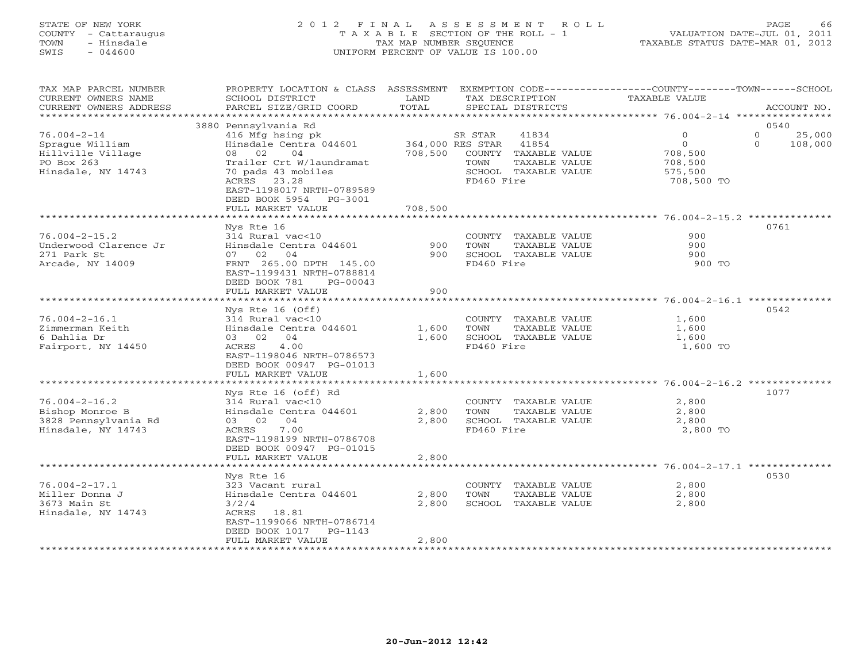#### STATE OF NEW YORK 2 0 1 2 F I N A L A S S E S S M E N T R O L L PAGE 66 COUNTY - Cattaraugus T A X A B L E SECTION OF THE ROLL - 1 VALUATION DATE-JUL 01, 2011 TOWN - Hinsdale TAX MAP NUMBER SEQUENCE TAXABLE STATUS DATE-MAR 01, 2012 SWIS - 044600 UNIFORM PERCENT OF VALUE IS 100.00UNIFORM PERCENT OF VALUE IS 100.00

| TAX MAP PARCEL NUMBER<br>CURRENT OWNERS NAME<br>CURRENT OWNERS ADDRESS   | PROPERTY LOCATION & CLASS ASSESSMENT EXEMPTION CODE----------------COUNTY-------TOWN-----SCHOOL<br>SCHOOL DISTRICT<br>PARCEL SIZE/GRID COORD | LAND<br>TOTAL               | TAX DESCRIPTION<br>SPECIAL DISTRICTS                                           | TAXABLE VALUE                                      |                  | ACCOUNT NO. |
|--------------------------------------------------------------------------|----------------------------------------------------------------------------------------------------------------------------------------------|-----------------------------|--------------------------------------------------------------------------------|----------------------------------------------------|------------------|-------------|
| ********************                                                     |                                                                                                                                              |                             |                                                                                |                                                    |                  |             |
| $76.004 - 2 - 14$                                                        | 3880 Pennsylvania Rd<br>416 Mfg hsing pk                                                                                                     |                             | SR STAR<br>41834                                                               | $\mathbf{0}$                                       | 0540<br>$\Omega$ | 25,000      |
| Sprague William<br>Hillville Village<br>PO Box 263<br>Hinsdale, NY 14743 | Hinsdale Centra 044601<br>08 02<br>04<br>Trailer Crt W/laundramat<br>70 pads 43 mobiles                                                      | 364,000 RES STAR<br>708,500 | 41854<br>COUNTY TAXABLE VALUE<br>TAXABLE VALUE<br>TOWN<br>SCHOOL TAXABLE VALUE | $\circ$<br>708,500<br>708,500<br>575,500           | $\Omega$         | 108,000     |
|                                                                          | ACRES 23.28<br>EAST-1198017 NRTH-0789589<br>DEED BOOK 5954 PG-3001<br>FULL MARKET VALUE                                                      | 708,500                     | FD460 Fire                                                                     | 708,500 TO                                         |                  |             |
|                                                                          |                                                                                                                                              |                             |                                                                                |                                                    |                  |             |
| $76.004 - 2 - 15.2$                                                      | Nys Rte 16<br>314 Rural vac<10                                                                                                               |                             | COUNTY TAXABLE VALUE                                                           | 900                                                | 0761             |             |
| Underwood Clarence Jr<br>271 Park St                                     | Hinsdale Centra 044601<br>07 02<br>04                                                                                                        | 900<br>900                  | TOWN<br>TAXABLE VALUE<br>SCHOOL TAXABLE VALUE                                  | 900<br>900                                         |                  |             |
| Arcade, NY 14009                                                         | FRNT 265.00 DPTH 145.00<br>EAST-1199431 NRTH-0788814<br>DEED BOOK 781<br>PG-00043<br>FULL MARKET VALUE                                       | 900                         | FD460 Fire                                                                     | 900 TO                                             |                  |             |
|                                                                          |                                                                                                                                              |                             |                                                                                |                                                    |                  |             |
|                                                                          | $Nys$ Rte 16 (Off)                                                                                                                           |                             |                                                                                |                                                    | 0542             |             |
| $76.004 - 2 - 16.1$                                                      | 314 Rural vac<10                                                                                                                             |                             | COUNTY TAXABLE VALUE                                                           | 1,600                                              |                  |             |
| Zimmerman Keith<br>6 Dahlia Dr                                           | Hinsdale Centra 044601<br>03 02 04                                                                                                           | 1,600<br>1,600              | TOWN<br>TAXABLE VALUE<br>SCHOOL TAXABLE VALUE                                  | 1,600<br>1,600                                     |                  |             |
| Fairport, NY 14450                                                       | ACRES<br>4.00<br>EAST-1198046 NRTH-0786573<br>DEED BOOK 00947 PG-01013                                                                       |                             | FD460 Fire                                                                     | 1,600 TO                                           |                  |             |
|                                                                          | FULL MARKET VALUE                                                                                                                            | 1,600                       |                                                                                |                                                    |                  |             |
|                                                                          | Nys Rte 16 (off) Rd                                                                                                                          |                             |                                                                                |                                                    | 1077             |             |
| $76.004 - 2 - 16.2$                                                      | 314 Rural vac<10                                                                                                                             |                             | COUNTY TAXABLE VALUE                                                           | 2,800                                              |                  |             |
| Bishop Monroe B<br>3828 Pennsylvania Rd                                  | Hinsdale Centra 044601<br>03 02 04                                                                                                           | 2,800<br>2,800              | TOWN<br>TAXABLE VALUE<br>SCHOOL TAXABLE VALUE                                  | 2,800<br>2,800                                     |                  |             |
| Hinsdale, NY 14743                                                       | 7.00<br>ACRES<br>EAST-1198199 NRTH-0786708<br>DEED BOOK 00947 PG-01015<br>FULL MARKET VALUE                                                  | 2,800                       | FD460 Fire                                                                     | 2,800 TO                                           |                  |             |
|                                                                          |                                                                                                                                              | **********                  |                                                                                | ********************** 76.004-2-17.1 ************* |                  |             |
|                                                                          | Nys Rte 16                                                                                                                                   |                             |                                                                                |                                                    | 0530             |             |
| $76.004 - 2 - 17.1$                                                      | 323 Vacant rural                                                                                                                             |                             | COUNTY TAXABLE VALUE                                                           | 2,800                                              |                  |             |
| Miller Donna J<br>3673 Main St                                           | Hinsdale Centra 044601<br>3/2/4                                                                                                              | 2,800<br>2,800              | TOWN<br>TAXABLE VALUE<br>SCHOOL TAXABLE VALUE                                  | 2,800<br>2,800                                     |                  |             |
| Hinsdale, NY 14743                                                       | ACRES<br>18.81<br>EAST-1199066 NRTH-0786714<br>DEED BOOK 1017<br>$PG-1143$                                                                   |                             |                                                                                |                                                    |                  |             |
|                                                                          | FULL MARKET VALUE                                                                                                                            | 2,800                       |                                                                                |                                                    |                  |             |
|                                                                          | ***********************                                                                                                                      |                             |                                                                                |                                                    |                  |             |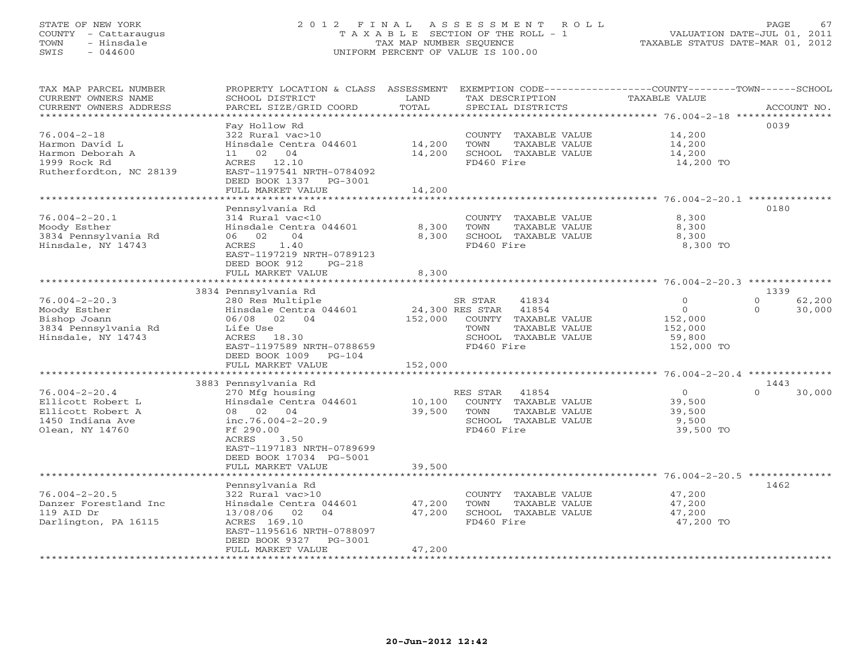### STATE OF NEW YORK 2 0 1 2 F I N A L A S S E S S M E N T R O L L PAGE 67 COUNTY - Cattaraugus T A X A B L E SECTION OF THE ROLL - 1 VALUATION DATE-JUL 01, 2011 TOWN - Hinsdale TAX MAP NUMBER SEQUENCE TAXABLE STATUS DATE-MAR 01, 2012 SWIS - 044600 UNIFORM PERCENT OF VALUE IS 100.00UNIFORM PERCENT OF VALUE IS 100.00

| TAX MAP PARCEL NUMBER<br>CURRENT OWNERS NAME  | PROPERTY LOCATION & CLASS ASSESSMENT<br>SCHOOL DISTRICT    | LAND<br>TOTAL      | EXEMPTION CODE-----------------COUNTY-------TOWN------SCHOOL<br>TAX DESCRIPTION | <b>TAXABLE VALUE</b>                                  |                                |
|-----------------------------------------------|------------------------------------------------------------|--------------------|---------------------------------------------------------------------------------|-------------------------------------------------------|--------------------------------|
| CURRENT OWNERS ADDRESS<br>******************* | PARCEL SIZE/GRID COORD                                     |                    | SPECIAL DISTRICTS                                                               |                                                       | ACCOUNT NO.                    |
|                                               | Fay Hollow Rd                                              |                    |                                                                                 |                                                       | 0039                           |
| $76.004 - 2 - 18$                             | 322 Rural vac>10                                           |                    | COUNTY<br>TAXABLE VALUE                                                         | 14,200                                                |                                |
| Harmon David L                                | Hinsdale Centra 044601                                     | 14,200             | TOWN<br>TAXABLE VALUE                                                           | 14,200                                                |                                |
| Harmon Deborah A                              | 02<br>04<br>11                                             | 14,200             | SCHOOL TAXABLE VALUE                                                            | 14,200                                                |                                |
| 1999 Rock Rd                                  | ACRES 12.10                                                |                    | FD460 Fire                                                                      | 14,200 TO                                             |                                |
| Rutherfordton, NC 28139                       | EAST-1197541 NRTH-0784092                                  |                    |                                                                                 |                                                       |                                |
|                                               | DEED BOOK 1337<br>PG-3001                                  |                    |                                                                                 |                                                       |                                |
|                                               | FULL MARKET VALUE                                          | 14,200             |                                                                                 |                                                       |                                |
|                                               |                                                            |                    |                                                                                 |                                                       |                                |
|                                               | Pennsylvania Rd                                            |                    |                                                                                 |                                                       | 0180                           |
| $76.004 - 2 - 20.1$                           | 314 Rural vac<10                                           |                    | COUNTY TAXABLE VALUE                                                            | 8,300                                                 |                                |
| Moody Esther                                  | Hinsdale Centra 044601                                     | 8,300              | TOWN<br>TAXABLE VALUE                                                           | 8,300                                                 |                                |
| 3834 Pennsylvania Rd                          | 06 02<br>04                                                | 8,300              | SCHOOL TAXABLE VALUE                                                            | 8,300                                                 |                                |
| Hinsdale, NY 14743                            | 1.40<br>ACRES                                              |                    | FD460 Fire                                                                      | 8,300 TO                                              |                                |
|                                               | EAST-1197219 NRTH-0789123                                  |                    |                                                                                 |                                                       |                                |
|                                               | DEED BOOK 912<br>$PG-218$                                  |                    |                                                                                 |                                                       |                                |
|                                               | FULL MARKET VALUE<br>* * * * * * * * * * * * * * * * * * * | 8,300              |                                                                                 |                                                       |                                |
|                                               |                                                            | **********         |                                                                                 | ************************ 76.004-2-20.3 ************** |                                |
|                                               | 3834 Pennsylvania Rd                                       |                    |                                                                                 |                                                       | 1339                           |
| $76.004 - 2 - 20.3$                           | 280 Res Multiple                                           |                    | 41834<br>SR STAR<br>41854                                                       | $\mathbf 0$<br>$\circ$                                | 62,200<br>$\Omega$<br>$\Omega$ |
| Moody Esther<br>Bishop Joann                  | Hinsdale Centra 044601<br>06/08 02 04                      | 152,000            | 24,300 RES STAR<br>COUNTY TAXABLE VALUE                                         | 152,000                                               | 30,000                         |
| 3834 Pennsylvania Rd                          | Life Use                                                   |                    | TOWN<br>TAXABLE VALUE                                                           | 152,000                                               |                                |
| Hinsdale, NY 14743                            | ACRES 18.30                                                |                    | SCHOOL TAXABLE VALUE                                                            | 59,800                                                |                                |
|                                               | EAST-1197589 NRTH-0788659                                  |                    | FD460 Fire                                                                      | 152,000 TO                                            |                                |
|                                               | DEED BOOK 1009<br>$PG-104$                                 |                    |                                                                                 |                                                       |                                |
|                                               | FULL MARKET VALUE                                          | 152,000            |                                                                                 |                                                       |                                |
|                                               |                                                            |                    |                                                                                 |                                                       |                                |
|                                               | 3883 Pennsylvania Rd                                       |                    |                                                                                 |                                                       | 1443                           |
| $76.004 - 2 - 20.4$                           | 270 Mfg housing                                            |                    | 41854<br>RES STAR                                                               | $\circ$                                               | $\Omega$<br>30,000             |
| Ellicott Robert L                             | Hinsdale Centra 044601                                     | 10,100             | COUNTY TAXABLE VALUE                                                            | 39,500                                                |                                |
| Ellicott Robert A                             | 08 02 04                                                   | 39,500             | TOWN<br>TAXABLE VALUE                                                           | 39,500                                                |                                |
| 1450 Indiana Ave                              | inc.76.004-2-20.9                                          |                    | SCHOOL TAXABLE VALUE                                                            | 9,500                                                 |                                |
| Olean, NY 14760                               | Ff 290.00                                                  |                    | FD460 Fire                                                                      | 39,500 TO                                             |                                |
|                                               | ACRES<br>3.50                                              |                    |                                                                                 |                                                       |                                |
|                                               | EAST-1197183 NRTH-0789699                                  |                    |                                                                                 |                                                       |                                |
|                                               | DEED BOOK 17034 PG-5001                                    |                    |                                                                                 |                                                       |                                |
|                                               | FULL MARKET VALUE<br>* * * * * * * * * * * * * * * * * *   | 39,500<br>******** |                                                                                 |                                                       |                                |
|                                               |                                                            |                    |                                                                                 | ************************ 76.004-2-20.5 ************** |                                |
| $76.004 - 2 - 20.5$                           | Pennsylvania Rd                                            |                    |                                                                                 |                                                       | 1462                           |
| Danzer Forestland Inc                         | 322 Rural vac>10<br>Hinsdale Centra 044601                 | 47,200             | COUNTY TAXABLE VALUE<br>TOWN<br>TAXABLE VALUE                                   | 47,200<br>47,200                                      |                                |
| 119 AID Dr                                    | 04<br>13/08/06<br>02                                       | 47,200             | SCHOOL TAXABLE VALUE                                                            | 47,200                                                |                                |
| Darlington, PA 16115                          | ACRES 169.10                                               |                    | FD460 Fire                                                                      | 47,200 TO                                             |                                |
|                                               | EAST-1195616 NRTH-0788097                                  |                    |                                                                                 |                                                       |                                |
|                                               | DEED BOOK 9327<br>PG-3001                                  |                    |                                                                                 |                                                       |                                |
|                                               | FULL MARKET VALUE                                          | 47,200             |                                                                                 |                                                       |                                |
|                                               | *****************                                          |                    |                                                                                 |                                                       |                                |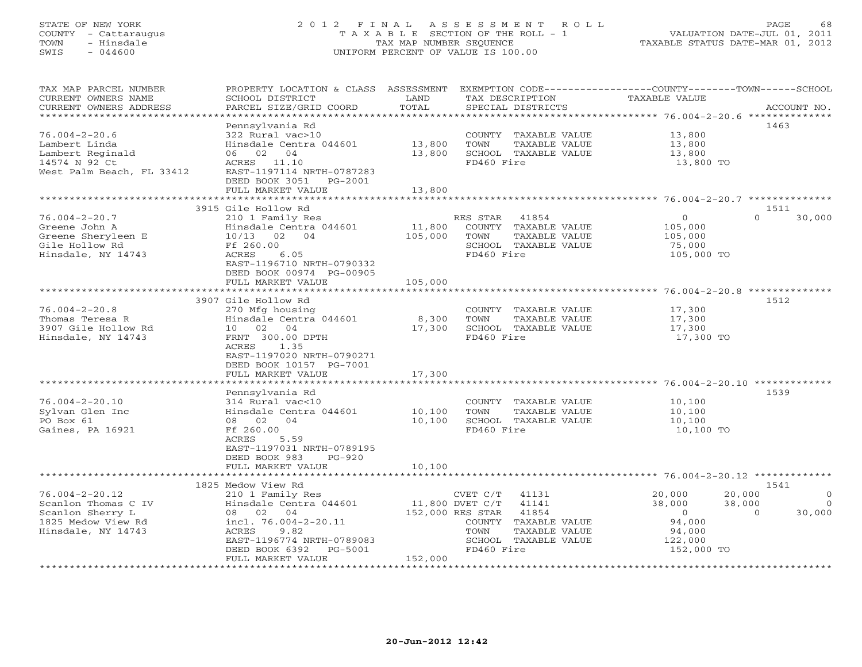#### STATE OF NEW YORK 2 0 1 2 F I N A L A S S E S S M E N T R O L L PAGE 68 COUNTY - Cattaraugus T A X A B L E SECTION OF THE ROLL - 1 VALUATION DATE-JUL 01, 2011 TOWN - Hinsdale TAX MAP NUMBER SEQUENCE TAXABLE STATUS DATE-MAR 01, 2012 SWIS - 044600 UNIFORM PERCENT OF VALUE IS 100.00UNIFORM PERCENT OF VALUE IS 100.00

| TAX MAP PARCEL NUMBER<br>CURRENT OWNERS NAME<br>CURRENT OWNERS ADDRESS<br>***********************           | PROPERTY LOCATION & CLASS ASSESSMENT<br>SCHOOL DISTRICT<br>PARCEL SIZE/GRID COORD                                                                                                              | LAND<br>TOTAL                       | TAX DESCRIPTION<br>SPECIAL DISTRICTS                                                                                       | EXEMPTION CODE-----------------COUNTY-------TOWN------SCHOOL<br><b>TAXABLE VALUE</b>                | ACCOUNT NO.                                       |
|-------------------------------------------------------------------------------------------------------------|------------------------------------------------------------------------------------------------------------------------------------------------------------------------------------------------|-------------------------------------|----------------------------------------------------------------------------------------------------------------------------|-----------------------------------------------------------------------------------------------------|---------------------------------------------------|
| $76.004 - 2 - 20.6$<br>Lambert Linda<br>Lambert Reginald<br>14574 N 92 Ct<br>West Palm Beach, FL 33412      | Pennsylvania Rd<br>322 Rural vac>10<br>Hinsdale Centra 044601<br>06<br>02 04<br>ACRES 11.10<br>EAST-1197114 NRTH-0787283<br>DEED BOOK 3051<br>PG-2001<br>FULL MARKET VALUE                     | 13,800<br>13,800<br>13,800          | COUNTY TAXABLE VALUE<br>TOWN<br>TAXABLE VALUE<br>SCHOOL TAXABLE VALUE<br>FD460 Fire                                        | 13,800<br>13,800<br>13,800<br>13,800 TO                                                             | 1463                                              |
|                                                                                                             | ******************************                                                                                                                                                                 | ************                        |                                                                                                                            |                                                                                                     |                                                   |
| $76.004 - 2 - 20.7$<br>Greene John A<br>Greene Sheryleen E<br>Gile Hollow Rd<br>Hinsdale, NY 14743          | 3915 Gile Hollow Rd<br>210 1 Family Res<br>Hinsdale Centra 044601<br>10/13 02 04<br>Ff 260.00<br>ACRES<br>6.05<br>EAST-1196710 NRTH-0790332<br>DEED BOOK 00974 PG-00905                        | 11,800<br>105,000                   | 41854<br>RES STAR<br>COUNTY TAXABLE VALUE<br>TAXABLE VALUE<br>TOWN<br>SCHOOL TAXABLE VALUE<br>FD460 Fire                   | $\circ$<br>105,000<br>105,000<br>75,000<br>105,000 TO                                               | 1511<br>$\Omega$<br>30,000                        |
|                                                                                                             | FULL MARKET VALUE                                                                                                                                                                              | 105,000                             |                                                                                                                            |                                                                                                     |                                                   |
| $76.004 - 2 - 20.8$<br>Thomas Teresa R<br>3907 Gile Hollow Rd<br>Hinsdale, NY 14743                         | 3907 Gile Hollow Rd<br>270 Mfg housing<br>Hinsdale Centra 044601<br>10 02 04<br>FRNT 300.00 DPTH<br>1.35<br>ACRES<br>EAST-1197020 NRTH-0790271<br>DEED BOOK 10157 PG-7001<br>FULL MARKET VALUE | 8,300<br>17,300<br>17,300           | COUNTY TAXABLE VALUE<br>TOWN<br>TAXABLE VALUE<br>SCHOOL TAXABLE VALUE<br>FD460 Fire                                        | 17,300<br>17,300<br>17,300<br>17,300 TO                                                             | 1512                                              |
|                                                                                                             | Pennsylvania Rd                                                                                                                                                                                |                                     |                                                                                                                            |                                                                                                     | 1539                                              |
| $76.004 - 2 - 20.10$<br>Sylvan Glen Inc<br>PO Box 61<br>Gaines, PA 16921                                    | 314 Rural vac<10<br>Hinsdale Centra 044601<br>08 02 04<br>Ff 260.00<br>ACRES<br>5.59<br>EAST-1197031 NRTH-0789195<br>DEED BOOK 983<br>$PG-920$                                                 | 10,100<br>10,100                    | COUNTY TAXABLE VALUE<br>TOWN<br>TAXABLE VALUE<br>SCHOOL TAXABLE VALUE<br>FD460 Fire                                        | 10,100<br>10,100<br>10,100<br>10,100 TO                                                             |                                                   |
|                                                                                                             | FULL MARKET VALUE                                                                                                                                                                              | 10,100                              |                                                                                                                            |                                                                                                     |                                                   |
| $76.004 - 2 - 20.12$<br>Scanlon Thomas C IV<br>Scanlon Sherry L<br>1825 Medow View Rd<br>Hinsdale, NY 14743 | 1825 Medow View Rd<br>210 1 Family Res<br>Hinsdale Centra 044601<br>08 02 04<br>incl. $76.004 - 2 - 20.11$<br>ACRES<br>9.82<br>EAST-1196774 NRTH-0789083<br>DEED BOOK 6392<br>PG-5001          | 11,800 DVET C/T<br>152,000 RES STAR | CVET C/T<br>41131<br>41141<br>41854<br>COUNTY TAXABLE VALUE<br>TOWN<br>TAXABLE VALUE<br>SCHOOL TAXABLE VALUE<br>FD460 Fire | 20,000<br>20,000<br>38,000<br>38,000<br>$\overline{0}$<br>94,000<br>94,000<br>122,000<br>152,000 TO | 1541<br>$\Omega$<br>$\circ$<br>30,000<br>$\Omega$ |
|                                                                                                             | FULL MARKET VALUE                                                                                                                                                                              | 152,000                             |                                                                                                                            |                                                                                                     |                                                   |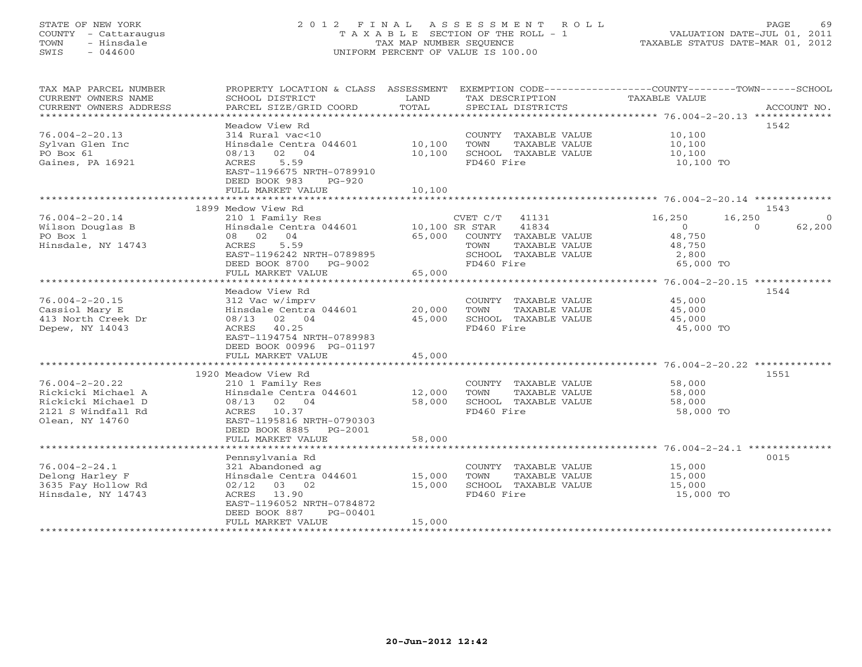### STATE OF NEW YORK 2 0 1 2 F I N A L A S S E S S M E N T R O L L PAGE 69 COUNTY - Cattaraugus T A X A B L E SECTION OF THE ROLL - 1 VALUATION DATE-JUL 01, 2011 TOWN - Hinsdale TAX MAP NUMBER SEQUENCE TAXABLE STATUS DATE-MAR 01, 2012 SWIS - 044600 UNIFORM PERCENT OF VALUE IS 100.00UNIFORM PERCENT OF VALUE IS 100.00

| TAX MAP PARCEL NUMBER                              | PROPERTY LOCATION & CLASS ASSESSMENT                  |        | EXEMPTION CODE-----------------COUNTY-------TOWN------SCHOOL |                  |                    |
|----------------------------------------------------|-------------------------------------------------------|--------|--------------------------------------------------------------|------------------|--------------------|
| CURRENT OWNERS NAME                                | SCHOOL DISTRICT                                       | LAND   | TAX DESCRIPTION                                              | TAXABLE VALUE    |                    |
| CURRENT OWNERS ADDRESS<br>************************ | PARCEL SIZE/GRID COORD                                | TOTAL  | SPECIAL DISTRICTS                                            |                  | ACCOUNT NO.        |
|                                                    | Meadow View Rd                                        |        |                                                              |                  | 1542               |
| $76.004 - 2 - 20.13$                               | 314 Rural vac<10                                      |        | COUNTY TAXABLE VALUE                                         | 10,100           |                    |
| Sylvan Glen Inc                                    | Hinsdale Centra 044601                                | 10,100 | TOWN<br>TAXABLE VALUE                                        | 10,100           |                    |
| PO Box 61                                          | 08/13 02 04                                           | 10,100 | SCHOOL TAXABLE VALUE                                         | 10,100           |                    |
| Gaines, PA 16921                                   | ACRES<br>5.59                                         |        | FD460 Fire                                                   | 10,100 TO        |                    |
|                                                    | EAST-1196675 NRTH-0789910                             |        |                                                              |                  |                    |
|                                                    | DEED BOOK 983<br>PG-920                               |        |                                                              |                  |                    |
|                                                    | FULL MARKET VALUE                                     | 10,100 |                                                              |                  |                    |
|                                                    |                                                       |        |                                                              |                  |                    |
|                                                    | 1899 Medow View Rd                                    |        |                                                              |                  | 1543               |
| $76.004 - 2 - 20.14$                               | 210 1 Family Res                                      |        | $CVET C/T$ 41131                                             | 16,250<br>16,250 | $\Omega$           |
| Wilson Douglas B                                   | Hinsdale Centra 044601 10,100 SR STAR                 |        | 41834                                                        | $\circ$          | $\Omega$<br>62,200 |
| PO Box 1                                           | 08 02 04                                              | 65,000 | COUNTY TAXABLE VALUE                                         | 48,750           |                    |
| Hinsdale, NY 14743                                 | ACRES<br>5.59                                         |        | TOWN<br>TAXABLE VALUE                                        | 48,750           |                    |
|                                                    | EAST-1196242 NRTH-0789895                             |        | SCHOOL TAXABLE VALUE                                         | 2,800            |                    |
|                                                    | DEED BOOK 8700 PG-9002                                |        | FD460 Fire                                                   | 65,000 TO        |                    |
|                                                    | FULL MARKET VALUE                                     | 65,000 |                                                              |                  |                    |
|                                                    |                                                       |        |                                                              |                  |                    |
|                                                    | Meadow View Rd                                        |        |                                                              |                  | 1544               |
| $76.004 - 2 - 20.15$                               | 312 Vac w/imprv                                       |        | COUNTY TAXABLE VALUE                                         | 45,000           |                    |
| Cassiol Mary E                                     | Hinsdale Centra 044601                                | 20,000 | TAXABLE VALUE<br>TOWN                                        | 45,000           |                    |
| 413 North Creek Dr                                 | 08/13 02 04                                           | 45,000 | SCHOOL TAXABLE VALUE                                         | 45,000           |                    |
| Depew, NY 14043                                    | ACRES 40.25                                           |        | FD460 Fire                                                   | 45,000 TO        |                    |
|                                                    | EAST-1194754 NRTH-0789983<br>DEED BOOK 00996 PG-01197 |        |                                                              |                  |                    |
|                                                    | FULL MARKET VALUE                                     | 45,000 |                                                              |                  |                    |
|                                                    |                                                       |        |                                                              |                  |                    |
|                                                    | 1920 Meadow View Rd                                   |        |                                                              |                  | 1551               |
| $76.004 - 2 - 20.22$                               | 210 1 Family Res                                      |        | COUNTY TAXABLE VALUE                                         | 58,000           |                    |
| Rickicki Michael A                                 | Hinsdale Centra 044601                                | 12,000 | TOWN<br>TAXABLE VALUE                                        | 58,000           |                    |
| Rickicki Michael D                                 | 08/13 02 04                                           | 58,000 | SCHOOL TAXABLE VALUE                                         | 58,000           |                    |
| 2121 S Windfall Rd                                 | ACRES 10.37                                           |        | FD460 Fire                                                   | 58,000 TO        |                    |
| Olean, NY 14760                                    | EAST-1195816 NRTH-0790303                             |        |                                                              |                  |                    |
|                                                    | DEED BOOK 8885 PG-2001                                |        |                                                              |                  |                    |
|                                                    | FULL MARKET VALUE                                     | 58,000 |                                                              |                  |                    |
|                                                    |                                                       |        |                                                              |                  |                    |
|                                                    | Pennsylvania Rd                                       |        |                                                              |                  | 0015               |
| $76.004 - 2 - 24.1$                                | 321 Abandoned ag                                      |        | COUNTY TAXABLE VALUE                                         | 15,000           |                    |
| Delong Harley F                                    | Hinsdale Centra 044601                                | 15,000 | TOWN<br>TAXABLE VALUE                                        | 15,000           |                    |
| 3635 Fay Hollow Rd                                 | $02/12$ 03 02                                         | 15,000 | SCHOOL TAXABLE VALUE                                         | 15,000           |                    |
| Hinsdale, NY 14743                                 | ACRES<br>13.90                                        |        | FD460 Fire                                                   | 15,000 TO        |                    |
|                                                    | EAST-1196052 NRTH-0784872                             |        |                                                              |                  |                    |
|                                                    | DEED BOOK 887<br>PG-00401<br>FULL MARKET VALUE        | 15,000 |                                                              |                  |                    |
| **********************                             |                                                       |        |                                                              |                  |                    |
|                                                    |                                                       |        |                                                              |                  |                    |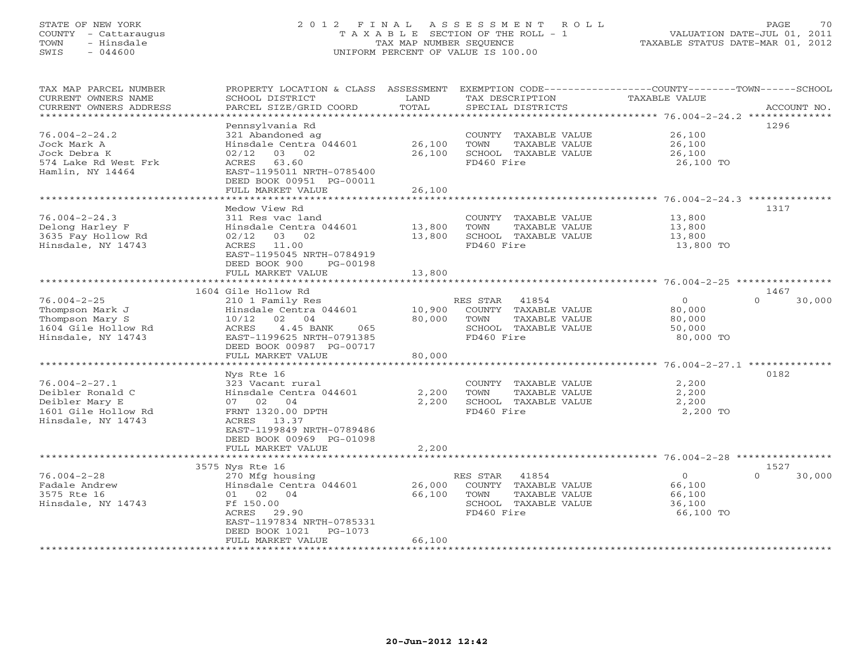TOWN - Hinsdale  $SWIS$  - 044600

# STATE OF NEW YORK 2012 FINAL ASSESSMENT ROLL PAGE 70

| COUNTY - Cattaraugus<br>- Hinsdale<br>TOWN<br>$-044600$<br>SWIS                                     |                                                                                                                                                        | TAX MAP NUMBER SEQUENCE | T A X A B L E SECTION OF THE ROLL - 1<br>UNIFORM PERCENT OF VALUE IS 100.00                | VALUATION DATE-JUL 01, 2011<br>TAXABLE STATUS DATE-MAR 01, 2012 |                    |
|-----------------------------------------------------------------------------------------------------|--------------------------------------------------------------------------------------------------------------------------------------------------------|-------------------------|--------------------------------------------------------------------------------------------|-----------------------------------------------------------------|--------------------|
|                                                                                                     |                                                                                                                                                        |                         |                                                                                            |                                                                 |                    |
| TAX MAP PARCEL NUMBER<br>CURRENT OWNERS NAME                                                        | PROPERTY LOCATION & CLASS ASSESSMENT<br>SCHOOL DISTRICT                                                                                                | LAND                    | EXEMPTION CODE-----------------COUNTY-------TOWN-----SCHOOL<br>TAX DESCRIPTION             | TAXABLE VALUE                                                   |                    |
| CURRENT OWNERS ADDRESS                                                                              | PARCEL SIZE/GRID COORD                                                                                                                                 | TOTAL                   | SPECIAL DISTRICTS                                                                          |                                                                 | ACCOUNT NO.        |
|                                                                                                     |                                                                                                                                                        |                         |                                                                                            |                                                                 |                    |
| $76.004 - 2 - 24.2$<br>Jock Mark A<br>Jock Debra K                                                  | Pennsylvania Rd<br>321 Abandoned ag<br>Hinsdale Centra 044601 26,100<br>02/12 03 02                                                                    | 26,100                  | COUNTY TAXABLE VALUE<br>TOWN<br>TAXABLE VALUE<br>SCHOOL TAXABLE VALUE                      | 26,100<br>26,100<br>26,100                                      | 1296               |
| 574 Lake Rd West Frk<br>Hamlin, NY 14464                                                            | ACRES 63.60<br>EAST-1195011 NRTH-0785400<br>DEED BOOK 00951 PG-00011<br>FULL MARKET VALUE                                                              | 26,100                  | FD460 Fire                                                                                 | 26,100 TO                                                       |                    |
|                                                                                                     |                                                                                                                                                        |                         |                                                                                            |                                                                 |                    |
| $76.004 - 2 - 24.3$<br>Delong Harley F<br>3635 Fay Hollow Rd<br>Hinsdale, NY 14743                  | Medow View Rd<br>311 Res vac land<br>Hinsdale Centra 044601<br>02/12 03 02<br>11.00<br>ACRES<br>EAST-1195045 NRTH-0784919<br>DEED BOOK 900<br>PG-00198 | 13,800<br>13,800        | COUNTY TAXABLE VALUE 13,800<br>TOWN<br>TAXABLE VALUE<br>SCHOOL TAXABLE VALUE<br>FD460 Fire | 13,800<br>13,800<br>13,800 TO                                   | 1317               |
|                                                                                                     | FULL MARKET VALUE                                                                                                                                      | 13,800                  |                                                                                            |                                                                 |                    |
|                                                                                                     |                                                                                                                                                        |                         |                                                                                            |                                                                 |                    |
|                                                                                                     | 1604 Gile Hollow Rd                                                                                                                                    |                         |                                                                                            |                                                                 | 1467               |
| $76.004 - 2 - 25$<br>Thompson Mark J<br>Thompson Mary S<br>1604 Gile Hollow Rd<br>Hinedale NV 14743 | 210 1 Family Res<br>Hinsdale Centra 044601 10,900 COUNTY TAXABLE VALUE<br>10/12 02 04<br>4.45 BANK<br>ACRES<br>065<br>FAST-1199625 NRTH-0791385        | 80,000                  | RES STAR<br>41854<br>TOWN<br>TAXABLE VALUE<br>TAXABLE VALUE<br>SCHOOL<br>FD460 Fire        | $\Omega$<br>80,000<br>80,000<br>50,000<br>80.000.TO             | $\Omega$<br>30,000 |

|                     | DEED BOOK 00987 PG-00717  |                                                   | 001000 LO                      |
|---------------------|---------------------------|---------------------------------------------------|--------------------------------|
|                     | FULL MARKET VALUE         | 80,000                                            |                                |
|                     |                           | *********************************** 76.004-2-27.1 | **************                 |
|                     | Nys Rte 16                |                                                   | 0182                           |
| 76.004-2-27.1       | 323 Vacant rural          | COUNTY<br>TAXABLE VALUE                           | 2,200                          |
| Deibler Ronald C    | Hinsdale Centra 044601    | 2,200<br>TOWN<br>TAXABLE VALUE                    | 2,200                          |
| Deibler Mary E      | 07 02 04                  | 2,200<br>SCHOOL TAXABLE VALUE                     | 2,200                          |
| 1601 Gile Hollow Rd | FRNT 1320.00 DPTH         | FD460 Fire                                        | 2,200 TO                       |
| Hinsdale, NY 14743  | ACRES 13.37               |                                                   |                                |
|                     | EAST-1199849 NRTH-0789486 |                                                   |                                |
|                     | DEED BOOK 00969 PG-01098  |                                                   |                                |
|                     | FULL MARKET VALUE         | 2,200                                             |                                |
|                     |                           |                                                   |                                |
|                     | 3575 Nys Rte 16           |                                                   | 1527                           |
| 76.004-2-28         | 270 Mfg housing           | 41854<br>RES STAR                                 | 30,000<br>$\Omega$<br>$\Omega$ |
| Fadale Andrew       | Hinsdale Centra 044601    | 26,000<br>COUNTY<br>TAXABLE VALUE                 | 66,100                         |
| 3575 Rte 16         | 01 02 04                  | 66,100<br>TOWN<br>TAXABLE VALUE                   | 66,100                         |
| Hinsdale, NY 14743  | Ff 150.00                 | SCHOOL<br>TAXABLE VALUE                           | 36,100                         |
|                     | 29.90<br>ACRES            | FD460 Fire                                        | 66,100 TO                      |
|                     | EAST-1197834 NRTH-0785331 |                                                   |                                |
|                     | DEED BOOK 1021 PG-1073    |                                                   |                                |
|                     | FULL MARKET VALUE         | 66,100                                            |                                |
|                     |                           |                                                   |                                |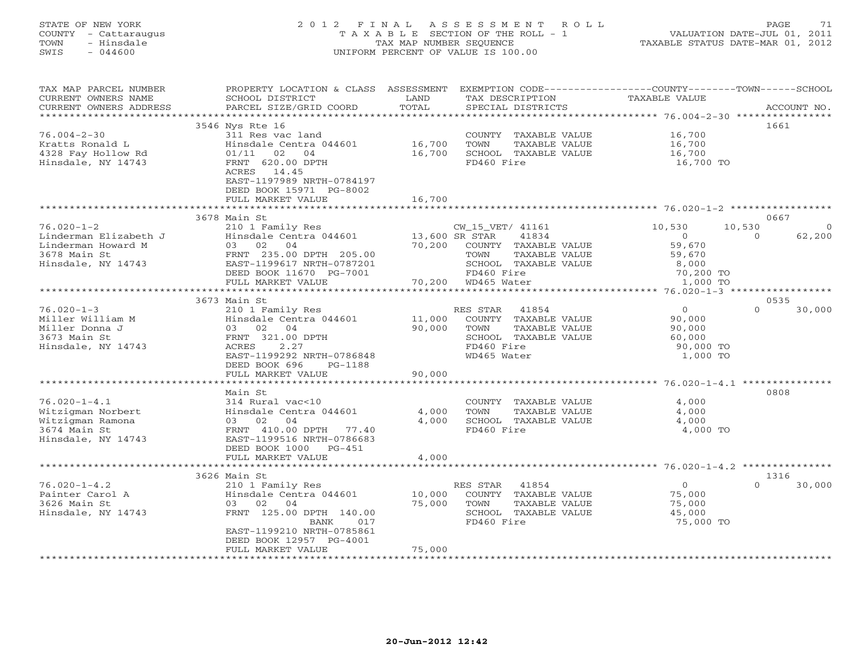#### STATE OF NEW YORK 2 0 1 2 F I N A L A S S E S S M E N T R O L L PAGE 71 COUNTY - Cattaraugus T A X A B L E SECTION OF THE ROLL - 1 VALUATION DATE-JUL 01, 2011 TOWN - Hinsdale TAX MAP NUMBER SEQUENCE TAXABLE STATUS DATE-MAR 01, 2012 SWIS - 044600 UNIFORM PERCENT OF VALUE IS 100.00UNIFORM PERCENT OF VALUE IS 100.00

| TAX MAP PARCEL NUMBER<br>CURRENT OWNERS NAME        | PROPERTY LOCATION & CLASS ASSESSMENT<br>SCHOOL DISTRICT | LAND           | EXEMPTION CODE-----------------COUNTY-------TOWN------SCHOOL<br>TAX DESCRIPTION | TAXABLE VALUE  |                    |
|-----------------------------------------------------|---------------------------------------------------------|----------------|---------------------------------------------------------------------------------|----------------|--------------------|
| CURRENT OWNERS ADDRESS<br>************************* | PARCEL SIZE/GRID COORD                                  | TOTAL          | SPECIAL DISTRICTS                                                               |                | ACCOUNT NO.        |
|                                                     | 3546 Nys Rte 16                                         |                |                                                                                 |                | 1661               |
| $76.004 - 2 - 30$                                   | 311 Res vac land                                        |                | COUNTY TAXABLE VALUE                                                            | 16,700         |                    |
| Kratts Ronald L                                     | Hinsdale Centra 044601                                  | 16,700         | TOWN<br>TAXABLE VALUE                                                           | 16,700         |                    |
| 4328 Fay Hollow Rd                                  | 01/11<br>02<br>04                                       | 16,700         | SCHOOL TAXABLE VALUE                                                            | 16,700         |                    |
| Hinsdale, NY 14743                                  | FRNT 620.00 DPTH                                        |                | FD460 Fire                                                                      | 16,700 TO      |                    |
|                                                     | ACRES 14.45                                             |                |                                                                                 |                |                    |
|                                                     | EAST-1197989 NRTH-0784197                               |                |                                                                                 |                |                    |
|                                                     | DEED BOOK 15971 PG-8002                                 |                |                                                                                 |                |                    |
|                                                     | FULL MARKET VALUE                                       | 16,700         |                                                                                 |                |                    |
|                                                     |                                                         |                |                                                                                 |                |                    |
|                                                     | 3678 Main St                                            |                |                                                                                 |                | 0667               |
| $76.020 - 1 - 2$                                    | 210 1 Family Res                                        |                | CW_15_VET/ 41161                                                                | 10,530         | 10,530<br>$\circ$  |
| Linderman Elizabeth J                               | Hinsdale Centra 044601                                  | 13,600 SR STAR | 41834                                                                           | $\overline{0}$ | 62,200<br>$\Omega$ |
| Linderman Howard M                                  | 03 02<br>04                                             | 70,200         | COUNTY TAXABLE VALUE                                                            | 59,670         |                    |
| 3678 Main St                                        | FRNT 235.00 DPTH 205.00                                 |                | TOWN<br>TAXABLE VALUE                                                           | 59,670         |                    |
| Hinsdale, NY 14743                                  | EAST-1199617 NRTH-0787201                               |                | SCHOOL TAXABLE VALUE                                                            | 8,000          |                    |
|                                                     | DEED BOOK 11670 PG-7001                                 |                | FD460 Fire                                                                      | 70,200 TO      |                    |
|                                                     | FULL MARKET VALUE                                       |                | 70,200 WD465 Water                                                              | 1,000 TO       |                    |
|                                                     | ******************************                          |                |                                                                                 |                |                    |
|                                                     | 3673 Main St                                            |                |                                                                                 |                | 0535               |
| $76.020 - 1 - 3$                                    | 210 1 Family Res                                        |                | RES STAR 41854                                                                  | $\overline{0}$ | $\Omega$<br>30,000 |
| Miller William M                                    | Hinsdale Centra 044601                                  | 11,000         | COUNTY TAXABLE VALUE                                                            | 90,000         |                    |
| Miller Donna J                                      | 04<br>03 02                                             | 90,000         | TOWN<br>TAXABLE VALUE                                                           | 90,000         |                    |
| 3673 Main St                                        | FRNT 321.00 DPTH                                        |                | SCHOOL TAXABLE VALUE                                                            | 60,000         |                    |
| Hinsdale, NY 14743                                  | 2.27<br>ACRES                                           |                | FD460 Fire                                                                      | 90,000 TO      |                    |
|                                                     | EAST-1199292 NRTH-0786848                               |                | WD465 Water                                                                     | 1,000 TO       |                    |
|                                                     | DEED BOOK 696<br>PG-1188                                |                |                                                                                 |                |                    |
|                                                     | FULL MARKET VALUE                                       | 90,000         |                                                                                 |                |                    |
|                                                     |                                                         |                |                                                                                 |                | 0808               |
| $76.020 - 1 - 4.1$                                  | Main St<br>314 Rural vac<10                             |                | COUNTY TAXABLE VALUE                                                            | 4,000          |                    |
|                                                     | Hinsdale Centra 044601                                  |                | TOWN                                                                            | 4,000          |                    |
| Witzigman Norbert<br>Witzigman Ramona               | 03 02 04                                                | 4,000<br>4,000 | TAXABLE VALUE<br>SCHOOL TAXABLE VALUE                                           | 4,000          |                    |
| 3674 Main St                                        | FRNT 410.00 DPTH 77.40                                  |                | FD460 Fire                                                                      | 4,000 TO       |                    |
| Hinsdale, NY 14743                                  | EAST-1199516 NRTH-0786683                               |                |                                                                                 |                |                    |
|                                                     | DEED BOOK 1000 PG-451                                   |                |                                                                                 |                |                    |
|                                                     | FULL MARKET VALUE                                       | 4,000          |                                                                                 |                |                    |
|                                                     |                                                         |                |                                                                                 |                |                    |
|                                                     | 3626 Main St                                            |                |                                                                                 |                | 1316               |
| $76.020 - 1 - 4.2$                                  | 210 1 Family Res                                        |                | RES STAR 41854                                                                  | $\circ$        | $\Omega$<br>30,000 |
| Painter Carol A                                     | Hinsdale Centra 044601                                  | 10,000         | COUNTY TAXABLE VALUE                                                            | 75,000         |                    |
| 3626 Main St                                        | 03 02 04                                                | 75,000         | TOWN<br>TAXABLE VALUE                                                           | 75,000         |                    |
| Hinsdale, NY 14743                                  | FRNT 125.00 DPTH 140.00                                 |                | SCHOOL TAXABLE VALUE                                                            | 45,000         |                    |
|                                                     | BANK<br>017                                             |                | FD460 Fire                                                                      | 75,000 TO      |                    |
|                                                     | EAST-1199210 NRTH-0785861                               |                |                                                                                 |                |                    |
|                                                     | DEED BOOK 12957 PG-4001                                 |                |                                                                                 |                |                    |
|                                                     | FULL MARKET VALUE                                       | 75,000         |                                                                                 |                |                    |
|                                                     |                                                         |                |                                                                                 |                |                    |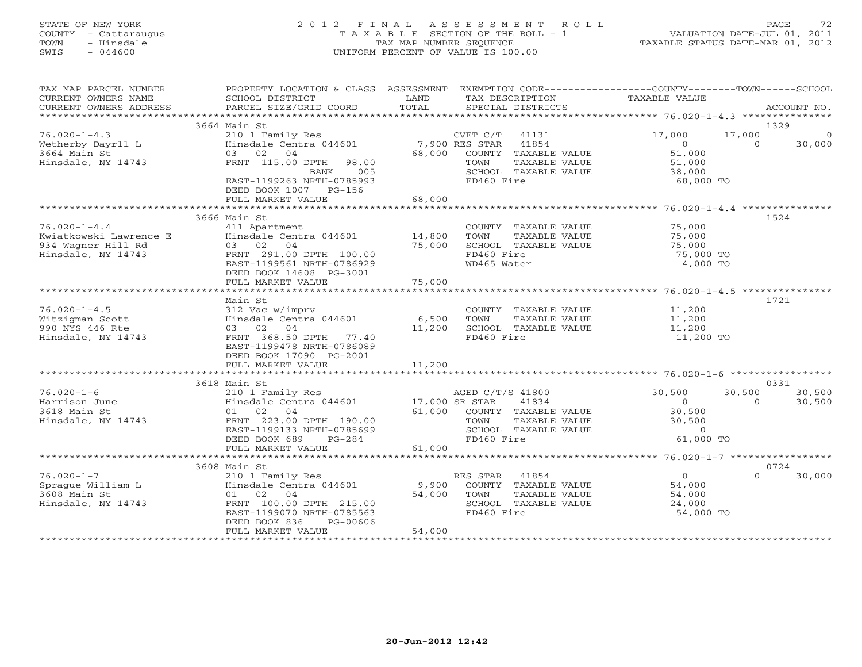#### STATE OF NEW YORK 2 0 1 2 F I N A L A S S E S S M E N T R O L L PAGE 72 COUNTY - Cattaraugus T A X A B L E SECTION OF THE ROLL - 1 VALUATION DATE-JUL 01, 2011 TOWN - Hinsdale TAX MAP NUMBER SEQUENCE TAXABLE STATUS DATE-MAR 01, 2012 SWIS - 044600 UNIFORM PERCENT OF VALUE IS 100.00UNIFORM PERCENT OF VALUE IS 100.00

| TAX MAP PARCEL NUMBER<br>CURRENT OWNERS NAME<br>CURRENT OWNERS ADDRESS | PROPERTY LOCATION & CLASS ASSESSMENT<br>SCHOOL DISTRICT<br>PARCEL SIZE/GRID COORD | LAND<br>TOTAL  | EXEMPTION CODE-----------------COUNTY-------TOWN------SCHOOL<br>TAX DESCRIPTION<br>SPECIAL DISTRICTS | TAXABLE VALUE  |          | ACCOUNT NO.    |
|------------------------------------------------------------------------|-----------------------------------------------------------------------------------|----------------|------------------------------------------------------------------------------------------------------|----------------|----------|----------------|
|                                                                        |                                                                                   |                |                                                                                                      |                |          |                |
|                                                                        | 3664 Main St                                                                      |                |                                                                                                      |                |          | 1329           |
| $76.020 - 1 - 4.3$                                                     | 210 1 Family Res                                                                  |                | CVET C/T<br>41131                                                                                    | 17,000         | 17,000   | $\overline{0}$ |
| Wetherby Dayrll L                                                      | Hinsdale Centra 044601                                                            | 7,900 RES STAR | 41854                                                                                                | $\overline{O}$ | $\Omega$ | 30,000         |
| 3664 Main St                                                           | 03 02 04                                                                          | 68,000         | COUNTY TAXABLE VALUE                                                                                 | 51,000         |          |                |
| Hinsdale, NY 14743                                                     | FRNT 115.00 DPTH<br>98.00                                                         |                | TOWN<br>TAXABLE VALUE                                                                                | 51,000         |          |                |
|                                                                        | 005<br>BANK                                                                       |                | SCHOOL TAXABLE VALUE                                                                                 | 38,000         |          |                |
|                                                                        | EAST-1199263 NRTH-0785993<br>DEED BOOK 1007 PG-156                                |                | FD460 Fire                                                                                           | 68,000 TO      |          |                |
|                                                                        | FULL MARKET VALUE                                                                 | 68,000         |                                                                                                      |                |          |                |
|                                                                        |                                                                                   |                |                                                                                                      |                |          |                |
|                                                                        | 3666 Main St                                                                      |                |                                                                                                      |                |          | 1524           |
| $76.020 - 1 - 4.4$                                                     | 411 Apartment                                                                     |                | COUNTY TAXABLE VALUE                                                                                 | 75,000         |          |                |
| Kwiatkowski Lawrence E                                                 | Hinsdale Centra 044601                                                            | 14,800         | TOWN<br>TAXABLE VALUE                                                                                | 75,000         |          |                |
| 934 Wagner Hill Rd                                                     | 03 02 04                                                                          | 75,000         | SCHOOL TAXABLE VALUE                                                                                 | 75,000         |          |                |
| Hinsdale, NY 14743                                                     | FRNT 291.00 DPTH 100.00                                                           |                | FD460 Fire                                                                                           | 75,000 TO      |          |                |
|                                                                        | EAST-1199561 NRTH-0786929                                                         |                | WD465 Water                                                                                          | 4,000 TO       |          |                |
|                                                                        | DEED BOOK 14608 PG-3001                                                           |                |                                                                                                      |                |          |                |
|                                                                        |                                                                                   |                |                                                                                                      |                |          |                |
|                                                                        |                                                                                   |                |                                                                                                      |                |          |                |
|                                                                        | Main St                                                                           |                |                                                                                                      |                |          | 1721           |
| $76.020 - 1 - 4.5$                                                     | 312 Vac w/imprv                                                                   |                | COUNTY TAXABLE VALUE                                                                                 | 11,200         |          |                |
| Witzigman Scott                                                        | Hinsdale Centra 044601                                                            | 6,500          | TOWN<br>TAXABLE VALUE                                                                                | 11,200         |          |                |
| 990 NYS 446 Rte                                                        | 03 02 04                                                                          | 11,200         | SCHOOL TAXABLE VALUE                                                                                 | 11,200         |          |                |
| Hinsdale, NY 14743                                                     | FRNT 368.50 DPTH 77.40                                                            |                | FD460 Fire                                                                                           | 11,200 TO      |          |                |
|                                                                        | EAST-1199478 NRTH-0786089                                                         |                |                                                                                                      |                |          |                |
|                                                                        | DEED BOOK 17090 PG-2001                                                           |                |                                                                                                      |                |          |                |
|                                                                        | FULL MARKET VALUE                                                                 | 11,200         |                                                                                                      |                |          |                |
|                                                                        |                                                                                   |                |                                                                                                      |                |          |                |
|                                                                        | 3618 Main St                                                                      |                |                                                                                                      |                |          | 0331           |
| $76.020 - 1 - 6$                                                       | 210 1 Family Res                                                                  |                | AGED C/T/S 41800                                                                                     | 30,500         | 30,500   | 30,500         |
| Harrison June                                                          | Hinsdale Centra 044601                                                            | 17,000 SR STAR | 41834                                                                                                | $\overline{0}$ | $\Omega$ | 30,500         |
| 3618 Main St                                                           | 01 02 04                                                                          |                | 61,000 COUNTY TAXABLE VALUE                                                                          | 30,500         |          |                |
| Hinsdale, NY 14743                                                     | FRNT 223.00 DPTH 190.00                                                           |                | TOWN<br>TAXABLE VALUE                                                                                | 30,500         |          |                |
|                                                                        | EAST-1199133 NRTH-0785699                                                         |                | SCHOOL TAXABLE VALUE                                                                                 | $\Omega$       |          |                |
|                                                                        | DEED BOOK 689<br>$PG-284$                                                         |                | FD460 Fire                                                                                           | 61,000 TO      |          |                |
|                                                                        | FULL MARKET VALUE                                                                 | 61,000         |                                                                                                      |                |          |                |
|                                                                        |                                                                                   |                |                                                                                                      |                |          |                |
|                                                                        | 3608 Main St                                                                      |                |                                                                                                      |                |          | 0724           |
| $76.020 - 1 - 7$                                                       | 210 1 Family Res                                                                  |                | RES STAR<br>41854                                                                                    | $\Omega$       | $\Omega$ | 30,000         |
| Sprague William L                                                      | Hinsdale Centra 044601                                                            | 9,900          | COUNTY TAXABLE VALUE                                                                                 | 54,000         |          |                |
| 3608 Main St                                                           | 01 02<br>04                                                                       | 54,000         | TOWN<br>TAXABLE VALUE                                                                                | 54,000         |          |                |
| Hinsdale, NY 14743                                                     | FRNT 100.00 DPTH 215.00                                                           |                | SCHOOL TAXABLE VALUE                                                                                 | 24,000         |          |                |
|                                                                        | EAST-1199070 NRTH-0785563                                                         |                | FD460 Fire                                                                                           | 54,000 TO      |          |                |
|                                                                        | DEED BOOK 836<br>PG-00606                                                         |                |                                                                                                      |                |          |                |
|                                                                        | FULL MARKET VALUE                                                                 | 54,000         |                                                                                                      |                |          |                |
|                                                                        |                                                                                   |                |                                                                                                      |                |          |                |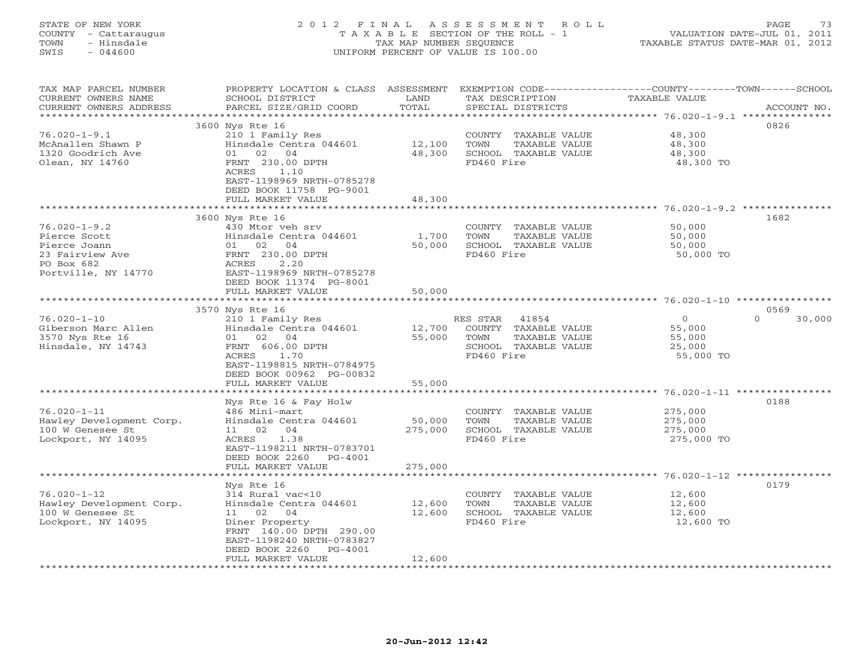## STATE OF NEW YORK 2 0 1 2 F I N A L A S S E S S M E N T R O L L PAGE 73 COUNTY - Cattaraugus T A X A B L E SECTION OF THE ROLL - 1 VALUATION DATE-JUL 01, 2011 TOWN - Hinsdale TAX MAP NUMBER SEQUENCE TAXABLE STATUS DATE-MAR 01, 2012 SWIS - 044600 UNIFORM PERCENT OF VALUE IS 100.00UNIFORM PERCENT OF VALUE IS 100.00

| TAX MAP PARCEL NUMBER<br>CURRENT OWNERS NAME<br>CURRENT OWNERS ADDRESS                                      | PROPERTY LOCATION & CLASS ASSESSMENT EXEMPTION CODE----------------COUNTY-------TOWN------SCHOOL<br>SCHOOL DISTRICT<br>PARCEL SIZE/GRID COORD                                                    | LAND<br>TOTAL                | TAX DESCRIPTION<br>SPECIAL DISTRICTS                                                                     | TAXABLE VALUE                                             | ACCOUNT NO.      |
|-------------------------------------------------------------------------------------------------------------|--------------------------------------------------------------------------------------------------------------------------------------------------------------------------------------------------|------------------------------|----------------------------------------------------------------------------------------------------------|-----------------------------------------------------------|------------------|
| ************************<br>$76.020 - 1 - 9.1$<br>McAnallen Shawn P<br>1320 Goodrich Ave<br>Olean, NY 14760 | 3600 Nys Rte 16<br>210 1 Family Res<br>Hinsdale Centra 044601<br>01 02 04<br>FRNT 230.00 DPTH<br>ACRES<br>1.10<br>EAST-1198969 NRTH-0785278<br>DEED BOOK 11758 PG-9001<br>FULL MARKET VALUE      | 12,100<br>48,300<br>48,300   | COUNTY TAXABLE VALUE<br>TOWN<br>TAXABLE VALUE<br>SCHOOL TAXABLE VALUE<br>FD460 Fire                      | 48,300<br>48,300<br>48,300<br>48,300 TO                   | 0826             |
|                                                                                                             |                                                                                                                                                                                                  |                              |                                                                                                          |                                                           |                  |
| $76.020 - 1 - 9.2$<br>Pierce Scott<br>Pierce Joann<br>23 Fairview Ave<br>PO Box 682<br>Portville, NY 14770  | 3600 Nys Rte 16<br>430 Mtor veh srv<br>Hinsdale Centra 044601<br>01 02 04<br>FRNT 230.00 DPTH<br>ACRES<br>2.20<br>EAST-1198969 NRTH-0785278<br>DEED BOOK 11374 PG-8001                           | 1,700<br>50,000              | COUNTY TAXABLE VALUE<br>TOWN<br>TAXABLE VALUE<br>SCHOOL TAXABLE VALUE<br>FD460 Fire                      | 50,000<br>50,000<br>50,000<br>50,000 TO                   | 1682             |
|                                                                                                             | FULL MARKET VALUE                                                                                                                                                                                | 50,000                       |                                                                                                          |                                                           |                  |
|                                                                                                             | 3570 Nys Rte 16                                                                                                                                                                                  |                              |                                                                                                          |                                                           | 0569             |
| $76.020 - 1 - 10$<br>Giberson Marc Allen<br>3570 Nys Rte 16<br>Hinsdale, NY 14743                           | 210 1 Family Res<br>Hinsdale Centra 044601<br>01 02 04<br>FRNT 606.00 DPTH<br>ACRES<br>1.70<br>EAST-1198815 NRTH-0784975<br>DEED BOOK 00962 PG-00832<br>FULL MARKET VALUE                        | 12,700<br>55,000<br>55,000   | 41854<br>RES STAR<br>COUNTY TAXABLE VALUE<br>TOWN<br>TAXABLE VALUE<br>SCHOOL TAXABLE VALUE<br>FD460 Fire | $\overline{0}$<br>55,000<br>55,000<br>25,000<br>55,000 TO | $\cap$<br>30,000 |
|                                                                                                             |                                                                                                                                                                                                  |                              |                                                                                                          | ********* 76.020-1-11 ****************                    |                  |
| $76.020 - 1 - 11$<br>Hawley Development Corp.<br>100 W Genesee St<br>Lockport, NY 14095                     | Nys Rte 16 & Fay Holw<br>486 Mini-mart<br>Hinsdale Centra 044601<br>11 02 04<br>ACRES<br>1.38<br>EAST-1198211 NRTH-0783701<br>DEED BOOK 2260 PG-4001<br>FULL MARKET VALUE                        | 50,000<br>275,000<br>275,000 | COUNTY TAXABLE VALUE<br>TOWN<br>TAXABLE VALUE<br>SCHOOL TAXABLE VALUE<br>FD460 Fire                      | 275,000<br>275,000<br>275,000<br>275,000 TO               | 0188             |
|                                                                                                             | ********************                                                                                                                                                                             |                              |                                                                                                          |                                                           |                  |
| $76.020 - 1 - 12$<br>Hawley Development Corp.<br>100 W Genesee St<br>Lockport, NY 14095                     | Nys Rte 16<br>314 Rural vac<10<br>Hinsdale Centra 044601<br>11 02 04<br>Diner Property<br>FRNT 140.00 DPTH 290.00<br>EAST-1198240 NRTH-0783827<br>DEED BOOK 2260<br>PG-4001<br>FULL MARKET VALUE | 12,600<br>12,600<br>12,600   | COUNTY TAXABLE VALUE<br>TOWN<br>TAXABLE VALUE<br>SCHOOL TAXABLE VALUE<br>FD460 Fire                      | 12,600<br>12,600<br>12,600<br>12,600 TO                   | 0179             |
|                                                                                                             | * * * * * * * * * * * * * * * * * * * *                                                                                                                                                          |                              |                                                                                                          |                                                           |                  |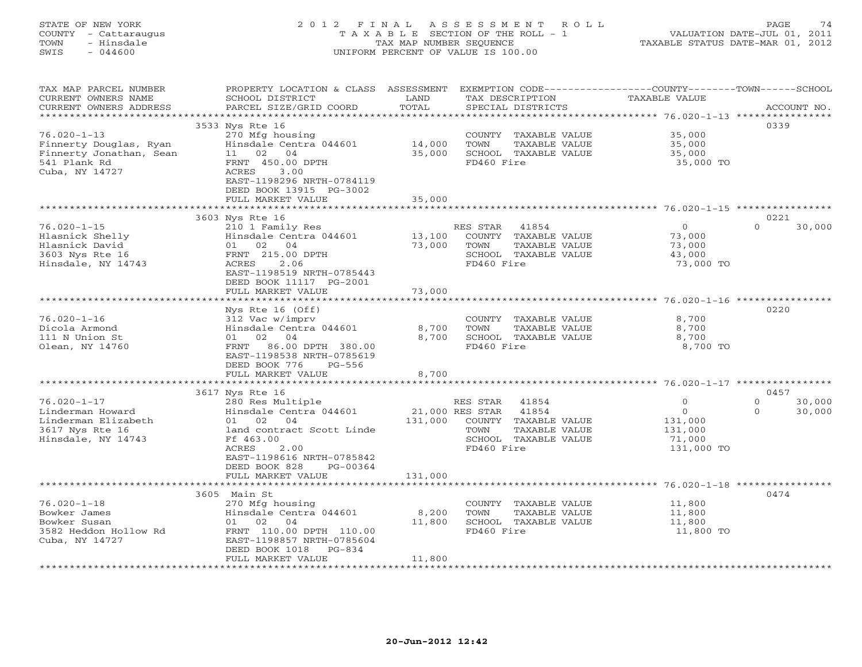## STATE OF NEW YORK 2 0 1 2 F I N A L A S S E S S M E N T R O L L PAGE 74 COUNTY - Cattaraugus T A X A B L E SECTION OF THE ROLL - 1 VALUATION DATE-JUL 01, 2011 TOWN - Hinsdale TAX MAP NUMBER SEQUENCE TAXABLE STATUS DATE-MAR 01, 2012 SWIS - 044600 UNIFORM PERCENT OF VALUE IS 100.00UNIFORM PERCENT OF VALUE IS 100.00

| TAX MAP PARCEL NUMBER<br>CURRENT OWNERS NAME<br>CURRENT OWNERS ADDRESS                                   | PROPERTY LOCATION & CLASS ASSESSMENT<br>SCHOOL DISTRICT<br>PARCEL SIZE/GRID COORD                                                                                                           | LAND<br>TOTAL             | EXEMPTION CODE----------------COUNTY-------TOWN------SCHOOL<br>TAX DESCRIPTION<br>SPECIAL DISTRICTS                | <b>TAXABLE VALUE</b>                                   | ACCOUNT NO.               |
|----------------------------------------------------------------------------------------------------------|---------------------------------------------------------------------------------------------------------------------------------------------------------------------------------------------|---------------------------|--------------------------------------------------------------------------------------------------------------------|--------------------------------------------------------|---------------------------|
|                                                                                                          | 3533 Nys Rte 16                                                                                                                                                                             | * * * * * * * *           |                                                                                                                    | ********** 76.020-1-13 ***                             | 0339                      |
| $76.020 - 1 - 13$<br>Finnerty Douglas, Ryan<br>Finnerty Jonathan, Sean<br>541 Plank Rd<br>Cuba, NY 14727 | 270 Mfg housing<br>Hinsdale Centra 044601<br>11 02 04<br>FRNT 450.00 DPTH<br>3.00<br>ACRES<br>EAST-1198296 NRTH-0784119<br>DEED BOOK 13915 PG-3002                                          | 14,000<br>35,000          | TAXABLE VALUE<br>COUNTY<br>TOWN<br>TAXABLE VALUE<br>SCHOOL TAXABLE VALUE<br>FD460 Fire                             | 35,000<br>35,000<br>35,000<br>35,000 TO                |                           |
|                                                                                                          | FULL MARKET VALUE                                                                                                                                                                           | 35,000                    |                                                                                                                    |                                                        |                           |
|                                                                                                          | 3603 Nys Rte 16                                                                                                                                                                             | *******                   |                                                                                                                    | ************************** 76.020-1-15 ************    | 0221                      |
| $76.020 - 1 - 15$<br>Hlasnick Shelly<br>Hlasnick David<br>3603 Nys Rte 16<br>Hinsdale, NY 14743          | 210 1 Family Res<br>Hinsdale Centra 044601<br>02 04<br>01<br>FRNT 215.00 DPTH<br>2.06<br>ACRES<br>EAST-1198519 NRTH-0785443<br>DEED BOOK 11117 PG-2001                                      | 13,100<br>73,000          | RES STAR<br>41854<br>COUNTY TAXABLE VALUE<br>TOWN<br>TAXABLE VALUE<br>SCHOOL TAXABLE VALUE<br>FD460 Fire           | $\circ$<br>73,000<br>73,000<br>43,000<br>73,000 TO     | $\Omega$<br>30,000        |
|                                                                                                          | FULL MARKET VALUE                                                                                                                                                                           | 73,000<br>*********       |                                                                                                                    | ************************ 76.020-1-16 ***************** |                           |
| $76.020 - 1 - 16$<br>Dicola Armond<br>111 N Union St<br>Olean, NY 14760                                  | Nys Rte 16 (Off)<br>312 Vac w/imprv<br>Hinsdale Centra 044601<br>02<br>04<br>01<br>86.00 DPTH 380.00<br>FRNT<br>EAST-1198538 NRTH-0785619<br>DEED BOOK 776<br>$PG-556$<br>FULL MARKET VALUE | 8,700<br>8,700<br>8,700   | COUNTY<br>TAXABLE VALUE<br>TOWN<br>TAXABLE VALUE<br>SCHOOL TAXABLE VALUE<br>FD460 Fire                             | 8,700<br>8,700<br>8,700<br>8,700 TO                    | 0220                      |
|                                                                                                          |                                                                                                                                                                                             |                           |                                                                                                                    |                                                        |                           |
| $76.020 - 1 - 17$                                                                                        | 3617 Nys Rte 16<br>280 Res Multiple                                                                                                                                                         |                           | RES STAR<br>41854                                                                                                  | $\circ$                                                | 0457<br>$\circ$<br>30,000 |
| Linderman Howard<br>Linderman Elizabeth<br>3617 Nys Rte 16<br>Hinsdale, NY 14743                         | Hinsdale Centra 044601<br>01 02 04<br>land contract Scott Linde<br>Ff 463.00<br>ACRES<br>2.00<br>EAST-1198616 NRTH-0785842<br>DEED BOOK 828<br>PG-00364<br>FULL MARKET VALUE                | 131,000<br>131,000        | 21,000 RES STAR<br>41854<br>COUNTY<br>TAXABLE VALUE<br>TOWN<br>TAXABLE VALUE<br>SCHOOL TAXABLE VALUE<br>FD460 Fire | $\circ$<br>131,000<br>131,000<br>71,000<br>131,000 TO  | $\Omega$<br>30,000        |
|                                                                                                          |                                                                                                                                                                                             |                           |                                                                                                                    | ************************* 76.020-1-18 **************** |                           |
| $76.020 - 1 - 18$<br>Bowker James<br>Bowker Susan<br>3582 Heddon Hollow Rd<br>Cuba, NY 14727             | 3605 Main St<br>270 Mfg housing<br>Hinsdale Centra 044601<br>01 02<br>04<br>FRNT 110.00 DPTH 110.00<br>EAST-1198857 NRTH-0785604<br>DEED BOOK 1018<br>$PG-834$<br>FULL MARKET VALUE         | 8,200<br>11,800<br>11,800 | COUNTY TAXABLE VALUE<br>TOWN<br>TAXABLE VALUE<br>SCHOOL TAXABLE VALUE<br>FD460 Fire                                | 11,800<br>11,800<br>11,800<br>11,800 TO                | 0474                      |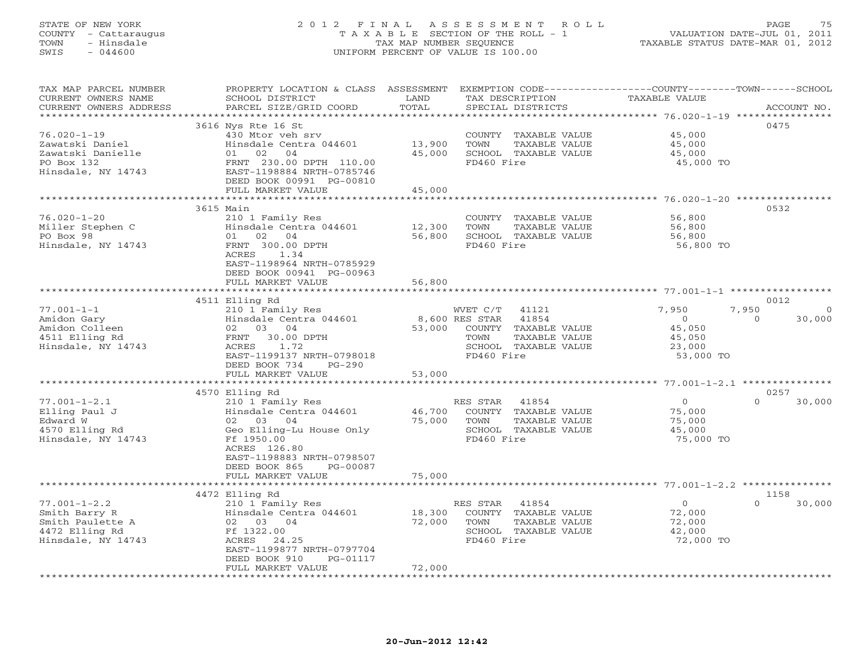## STATE OF NEW YORK 2 0 1 2 F I N A L A S S E S S M E N T R O L L PAGE 75 COUNTY - Cattaraugus T A X A B L E SECTION OF THE ROLL - 1 VALUATION DATE-JUL 01, 2011 TOWN - Hinsdale TAX MAP NUMBER SEQUENCE TAXABLE STATUS DATE-MAR 01, 2012 SWIS - 044600 UNIFORM PERCENT OF VALUE IS 100.00UNIFORM PERCENT OF VALUE IS 100.00

| TAX MAP PARCEL NUMBER<br>CURRENT OWNERS NAME<br>CURRENT OWNERS ADDRESS | PROPERTY LOCATION & CLASS ASSESSMENT<br>SCHOOL DISTRICT<br>PARCEL SIZE/GRID COORD | LAND<br>TOTAL    | EXEMPTION CODE-----------------COUNTY-------TOWN------SCHOOL<br>TAX DESCRIPTION<br>SPECIAL DISTRICTS | TAXABLE VALUE              | ACCOUNT NO.                |
|------------------------------------------------------------------------|-----------------------------------------------------------------------------------|------------------|------------------------------------------------------------------------------------------------------|----------------------------|----------------------------|
| *********************                                                  | ************************                                                          |                  |                                                                                                      |                            |                            |
| $76.020 - 1 - 19$<br>Zawatski Daniel<br>Zawatski Danielle              | 3616 Nys Rte 16 St<br>430 Mtor veh srv<br>Hinsdale Centra 044601<br>01 02 04      | 13,900<br>45,000 | COUNTY TAXABLE VALUE<br>TAXABLE VALUE<br>TOWN<br>SCHOOL TAXABLE VALUE                                | 45,000<br>45,000<br>45,000 | 0475                       |
| PO Box 132<br>Hinsdale, NY 14743                                       | FRNT 230.00 DPTH 110.00<br>EAST-1198884 NRTH-0785746<br>DEED BOOK 00991 PG-00810  |                  | FD460 Fire                                                                                           | 45,000 TO                  |                            |
|                                                                        | FULL MARKET VALUE                                                                 | 45,000           |                                                                                                      |                            |                            |
|                                                                        |                                                                                   |                  |                                                                                                      |                            |                            |
|                                                                        | 3615 Main                                                                         |                  |                                                                                                      |                            | 0532                       |
| $76.020 - 1 - 20$<br>Miller Stephen C                                  | 210 1 Family Res<br>Hinsdale Centra 044601                                        | 12,300           | COUNTY TAXABLE VALUE<br>TOWN<br>TAXABLE VALUE                                                        | 56,800<br>56,800           |                            |
| PO Box 98                                                              | 01 02<br>04                                                                       | 56,800           | SCHOOL TAXABLE VALUE                                                                                 | 56,800                     |                            |
| Hinsdale, NY 14743                                                     | FRNT 300.00 DPTH                                                                  |                  | FD460 Fire                                                                                           | 56,800 TO                  |                            |
|                                                                        | ACRES<br>1.34                                                                     |                  |                                                                                                      |                            |                            |
|                                                                        | EAST-1198964 NRTH-0785929                                                         |                  |                                                                                                      |                            |                            |
|                                                                        | DEED BOOK 00941 PG-00963                                                          |                  |                                                                                                      |                            |                            |
|                                                                        | FULL MARKET VALUE                                                                 | 56,800           |                                                                                                      |                            |                            |
|                                                                        |                                                                                   |                  |                                                                                                      |                            |                            |
|                                                                        | 4511 Elling Rd                                                                    |                  |                                                                                                      |                            | 0012                       |
| $77.001 - 1 - 1$                                                       | 210 1 Family Res                                                                  |                  | WVET C/T<br>41121                                                                                    | 7,950                      | 7,950<br>$\Omega$          |
| Amidon Gary                                                            | Hinsdale Centra 044601                                                            |                  | 8,600 RES STAR 41854                                                                                 | $\circ$                    | 30,000<br>$\Omega$         |
| Amidon Colleen                                                         | 02 03 04                                                                          | 53,000           | COUNTY TAXABLE VALUE                                                                                 | 45,050                     |                            |
| 4511 Elling Rd                                                         | FRNT 30.00 DPTH                                                                   |                  | TAXABLE VALUE<br>TOWN                                                                                | 45,050                     |                            |
| Hinsdale, NY 14743                                                     | ACRES<br>1.72<br>EAST-1199137 NRTH-0798018                                        |                  | SCHOOL TAXABLE VALUE<br>FD460 Fire                                                                   | 23,000                     |                            |
|                                                                        | DEED BOOK 734<br>$PG-290$<br>FULL MARKET VALUE                                    | 53,000           |                                                                                                      | 53,000 TO                  |                            |
|                                                                        |                                                                                   |                  |                                                                                                      |                            |                            |
|                                                                        | 4570 Elling Rd                                                                    |                  |                                                                                                      |                            | 0257                       |
| $77.001 - 1 - 2.1$                                                     | 210 1 Family Res                                                                  |                  | RES STAR<br>41854                                                                                    | $\Omega$                   | 30,000<br>$\Omega$         |
| Elling Paul J                                                          | Hinsdale Centra 044601                                                            | 46,700           | COUNTY TAXABLE VALUE                                                                                 | 75,000                     |                            |
| Edward W                                                               | 02 03 04                                                                          | 75,000           | TOWN<br>TAXABLE VALUE                                                                                | 75,000                     |                            |
| 4570 Elling Rd                                                         | Geo Elling-Lu House Only                                                          |                  | SCHOOL TAXABLE VALUE                                                                                 | 45,000                     |                            |
| Hinsdale, NY 14743                                                     | Ff 1950.00                                                                        |                  | FD460 Fire                                                                                           | 75,000 TO                  |                            |
|                                                                        | ACRES 126.80                                                                      |                  |                                                                                                      |                            |                            |
|                                                                        | EAST-1198883 NRTH-0798507                                                         |                  |                                                                                                      |                            |                            |
|                                                                        | DEED BOOK 865<br>PG-00087                                                         |                  |                                                                                                      |                            |                            |
|                                                                        | FULL MARKET VALUE                                                                 | 75,000           |                                                                                                      |                            |                            |
|                                                                        |                                                                                   |                  |                                                                                                      |                            |                            |
| $77.001 - 1 - 2.2$                                                     | 4472 Elling Rd                                                                    |                  | RES STAR<br>41854                                                                                    | $\circ$                    | 1158<br>$\Omega$<br>30,000 |
| Smith Barry R                                                          | 210 1 Family Res<br>Hinsdale Centra 044601                                        | 18,300           | COUNTY TAXABLE VALUE                                                                                 | 72,000                     |                            |
| Smith Paulette A                                                       | 02 03 04                                                                          | 72,000           | TOWN<br>TAXABLE VALUE                                                                                | 72,000                     |                            |
| 4472 Elling Rd                                                         | Ff 1322.00                                                                        |                  | SCHOOL TAXABLE VALUE                                                                                 | 42,000                     |                            |
| Hinsdale, NY 14743                                                     | ACRES<br>24.25                                                                    |                  | FD460 Fire                                                                                           | 72,000 TO                  |                            |
|                                                                        | EAST-1199877 NRTH-0797704                                                         |                  |                                                                                                      |                            |                            |
|                                                                        | DEED BOOK 910<br>PG-01117                                                         |                  |                                                                                                      |                            |                            |
|                                                                        | FULL MARKET VALUE                                                                 | 72,000           |                                                                                                      |                            |                            |
|                                                                        |                                                                                   |                  |                                                                                                      |                            |                            |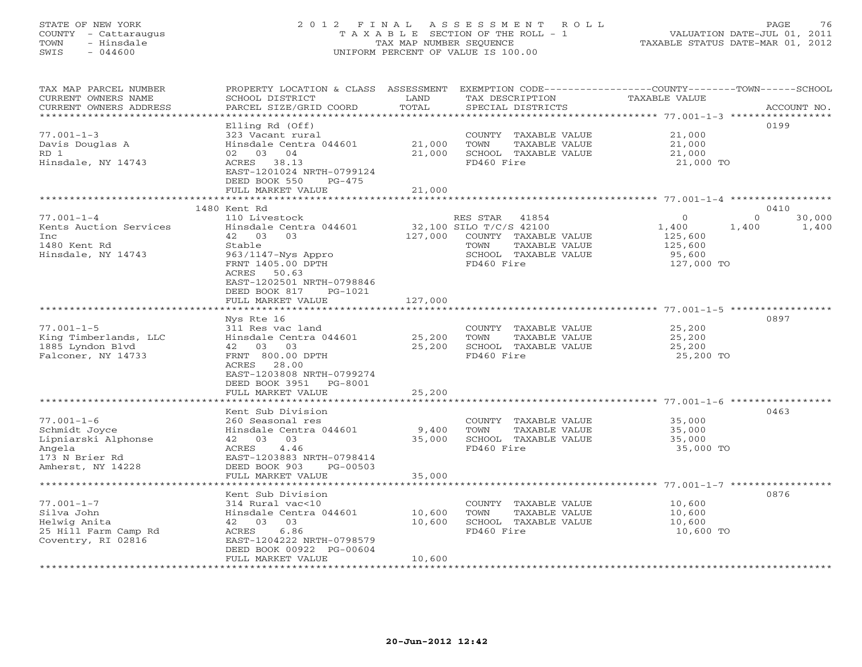### STATE OF NEW YORK 2 0 1 2 F I N A L A S S E S S M E N T R O L L PAGE 76 COUNTY - Cattaraugus T A X A B L E SECTION OF THE ROLL - 1 VALUATION DATE-JUL 01, 2011 TOWN - Hinsdale TAX MAP NUMBER SEQUENCE TAXABLE STATUS DATE-MAR 01, 2012 SWIS - 044600 UNIFORM PERCENT OF VALUE IS 100.00UNIFORM PERCENT OF VALUE IS 100.00

| TAX MAP PARCEL NUMBER<br>CURRENT OWNERS NAME<br>CURRENT OWNERS ADDRESS                                    | PROPERTY LOCATION & CLASS ASSESSMENT<br>SCHOOL DISTRICT<br>PARCEL SIZE/GRID COORD                                                                                                   | LAND<br>TOTAL              | TAX DESCRIPTION<br>SPECIAL DISTRICTS                                                                                             | EXEMPTION CODE-----------------COUNTY-------TOWN------SCHOOL<br>TAXABLE VALUE        | ACCOUNT NO.     |
|-----------------------------------------------------------------------------------------------------------|-------------------------------------------------------------------------------------------------------------------------------------------------------------------------------------|----------------------------|----------------------------------------------------------------------------------------------------------------------------------|--------------------------------------------------------------------------------------|-----------------|
| ***********************<br>$77.001 - 1 - 3$<br>Davis Douglas A<br>RD 1<br>Hinsdale, NY 14743              | Elling Rd (Off)<br>323 Vacant rural<br>Hinsdale Centra 044601<br>02 03 04<br>ACRES 38.13<br>EAST-1201024 NRTH-0799124<br>DEED BOOK 550<br>PG-475<br>FULL MARKET VALUE               | 21,000<br>21,000<br>21,000 | COUNTY TAXABLE VALUE<br>TOWN<br>TAXABLE VALUE<br>SCHOOL TAXABLE VALUE<br>FD460 Fire                                              | 21,000<br>21,000<br>21,000<br>21,000 TO                                              | 0199            |
|                                                                                                           | 1480 Kent Rd                                                                                                                                                                        |                            |                                                                                                                                  |                                                                                      | 0410            |
| $77.001 - 1 - 4$<br>Kents Auction Services<br>Inc<br>1480 Kent Rd<br>Hinsdale, NY 14743                   | 110 Livestock<br>Hinsdale Centra 044601<br>42 03<br>03<br>Stable<br>963/1147-Nys Appro<br>FRNT 1405.00 DPTH<br>ACRES 50.63<br>EAST-1202501 NRTH-0798846<br>DEED BOOK 817<br>PG-1021 | 127,000                    | RES STAR 41854<br>32,100 SILO T/C/S 42100<br>COUNTY TAXABLE VALUE<br>TOWN<br>TAXABLE VALUE<br>SCHOOL TAXABLE VALUE<br>FD460 Fire | $\Omega$<br>$\Omega$<br>1,400<br>1,400<br>125,600<br>125,600<br>95,600<br>127,000 TO | 30,000<br>1,400 |
|                                                                                                           | FULL MARKET VALUE                                                                                                                                                                   | 127,000                    |                                                                                                                                  |                                                                                      |                 |
| $77.001 - 1 - 5$<br>King Timberlands, LLC<br>1885 Lyndon Blvd<br>Falconer, NY 14733                       | Nys Rte 16<br>311 Res vac land<br>Hinsdale Centra 044601<br>42 03 03<br>FRNT 800.00 DPTH<br>ACRES 28.00<br>EAST-1203808 NRTH-0799274<br>DEED BOOK 3951 PG-8001<br>FULL MARKET VALUE | 25,200<br>25,200<br>25,200 | COUNTY TAXABLE VALUE<br>TOWN<br>TAXABLE VALUE<br>SCHOOL TAXABLE VALUE<br>FD460 Fire                                              | 25,200<br>25,200<br>25,200<br>25,200 TO                                              | 0897            |
|                                                                                                           | Kent Sub Division                                                                                                                                                                   |                            |                                                                                                                                  |                                                                                      | 0463            |
| $77.001 - 1 - 6$<br>Schmidt Joyce<br>Lipniarski Alphonse<br>Angela<br>173 N Brier Rd<br>Amherst, NY 14228 | 260 Seasonal res<br>Hinsdale Centra 044601<br>42 03 03<br>ACRES<br>4.46<br>EAST-1203883 NRTH-0798414<br>DEED BOOK 903<br>PG-00503                                                   | 9,400<br>35,000            | COUNTY TAXABLE VALUE<br>TOWN<br>TAXABLE VALUE<br>SCHOOL TAXABLE VALUE<br>FD460 Fire                                              | 35,000<br>35,000<br>35,000<br>35,000 TO                                              |                 |
|                                                                                                           | FULL MARKET VALUE                                                                                                                                                                   | 35,000                     |                                                                                                                                  | ******************************* 77.001-1-7 ******                                    |                 |
| $77.001 - 1 - 7$<br>Silva John<br>Helwig Anita<br>25 Hill Farm Camp Rd<br>Coventry, RI 02816              | Kent Sub Division<br>314 Rural vac<10<br>Hinsdale Centra 044601<br>42 03 03<br>ACRES<br>6.86<br>EAST-1204222 NRTH-0798579<br>DEED BOOK 00922 PG-00604                               | 10,600<br>10,600           | COUNTY TAXABLE VALUE<br>TOWN<br>TAXABLE VALUE<br>SCHOOL TAXABLE VALUE<br>FD460 Fire                                              | 10,600<br>10,600<br>10,600<br>10,600 TO                                              | 0876            |
| **********************                                                                                    | FULL MARKET VALUE<br>************************                                                                                                                                       | 10,600                     | ****************************                                                                                                     |                                                                                      |                 |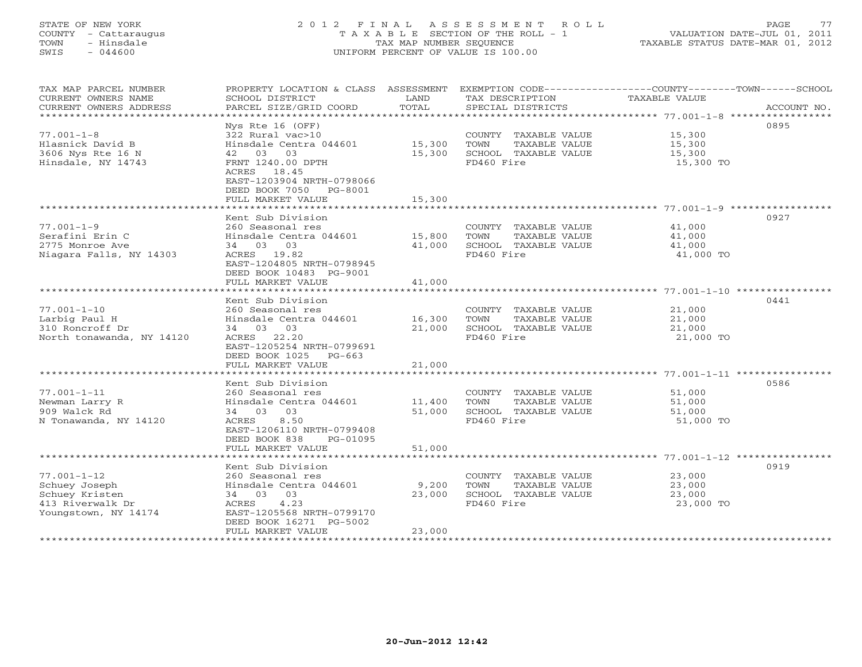## STATE OF NEW YORK 2 0 1 2 F I N A L A S S E S S M E N T R O L L PAGE 77 COUNTY - Cattaraugus T A X A B L E SECTION OF THE ROLL - 1 VALUATION DATE-JUL 01, 2011 TOWN - Hinsdale TAX MAP NUMBER SEQUENCE TAXABLE STATUS DATE-MAR 01, 2012 SWIS - 044600 UNIFORM PERCENT OF VALUE IS 100.00UNIFORM PERCENT OF VALUE IS 100.00

| SCHOOL DISTRICT<br>PARCEL SIZE/GRID COORD                                                                                                                                                  | LAND<br>TOTAL                                                                    | TAX DESCRIPTION<br>SPECIAL DISTRICTS                                                | EXEMPTION CODE-----------------COUNTY--------TOWN------SCHOOL<br>TAXABLE VALUE<br>ACCOUNT NO. |
|--------------------------------------------------------------------------------------------------------------------------------------------------------------------------------------------|----------------------------------------------------------------------------------|-------------------------------------------------------------------------------------|-----------------------------------------------------------------------------------------------|
| Nys Rte 16 (OFF)<br>322 Rural vac>10<br>Hinsdale Centra 044601<br>42 03 03<br>FRNT 1240.00 DPTH<br>ACRES 18.45<br>EAST-1203904 NRTH-0798066<br>DEED BOOK 7050 PG-8001<br>FULL MARKET VALUE | 15,300<br>15,300<br>15,300                                                       | COUNTY TAXABLE VALUE<br>TAXABLE VALUE<br>TOWN<br>SCHOOL TAXABLE VALUE<br>FD460 Fire | 0895<br>15,300<br>15,300<br>15,300<br>15,300 TO                                               |
| **********************                                                                                                                                                                     |                                                                                  |                                                                                     |                                                                                               |
| 260 Seasonal res<br>Hinsdale Centra 044601<br>34 03 03<br>ACRES 19.82<br>EAST-1204805 NRTH-0798945<br>DEED BOOK 10483 PG-9001<br>FULL MARKET VALUE                                         | 15,800<br>41,000<br>41,000                                                       | COUNTY TAXABLE VALUE<br>TAXABLE VALUE<br>TOWN<br>SCHOOL TAXABLE VALUE<br>FD460 Fire | 0927<br>41,000<br>41,000<br>41,000<br>41,000 TO                                               |
|                                                                                                                                                                                            |                                                                                  |                                                                                     | 0441                                                                                          |
| 260 Seasonal res<br>Hinsdale Centra 044601<br>34 03 03<br>ACRES 22.20<br>EAST-1205254 NRTH-0799691<br>DEED BOOK 1025 PG-663                                                                | 16,300<br>21,000                                                                 | COUNTY TAXABLE VALUE<br>TOWN<br>TAXABLE VALUE<br>SCHOOL TAXABLE VALUE<br>FD460 Fire | 21,000<br>21,000<br>21,000<br>21,000 TO                                                       |
|                                                                                                                                                                                            |                                                                                  |                                                                                     |                                                                                               |
| Kent Sub Division<br>260 Seasonal res<br>Hinsdale Centra 044601<br>03<br>34 03<br>8.50<br>ACRES<br>EAST-1206110 NRTH-0799408<br>DEED BOOK 838<br>PG-01095                                  | 11,400<br>51,000                                                                 | COUNTY TAXABLE VALUE<br>TOWN<br>TAXABLE VALUE<br>SCHOOL TAXABLE VALUE<br>FD460 Fire | 0586<br>51,000<br>51,000<br>51,000<br>51,000 TO                                               |
|                                                                                                                                                                                            | **********                                                                       |                                                                                     |                                                                                               |
| Kent Sub Division<br>260 Seasonal res<br>Hinsdale Centra 044601<br>34 03 03<br>4.23<br>ACRES<br>EAST-1205568 NRTH-0799170<br>DEED BOOK 16271 PG-5002<br>FULL MARKET VALUE                  | 9,200<br>23,000<br>23,000                                                        | COUNTY TAXABLE VALUE<br>TOWN<br>TAXABLE VALUE<br>SCHOOL TAXABLE VALUE<br>FD460 Fire | 0919<br>23,000<br>23,000<br>23,000<br>23,000 TO                                               |
|                                                                                                                                                                                            | Kent Sub Division<br>Kent Sub Division<br>FULL MARKET VALUE<br>FULL MARKET VALUE | PROPERTY LOCATION & CLASS ASSESSMENT<br>21,000<br>51,000                            | **************                                                                                |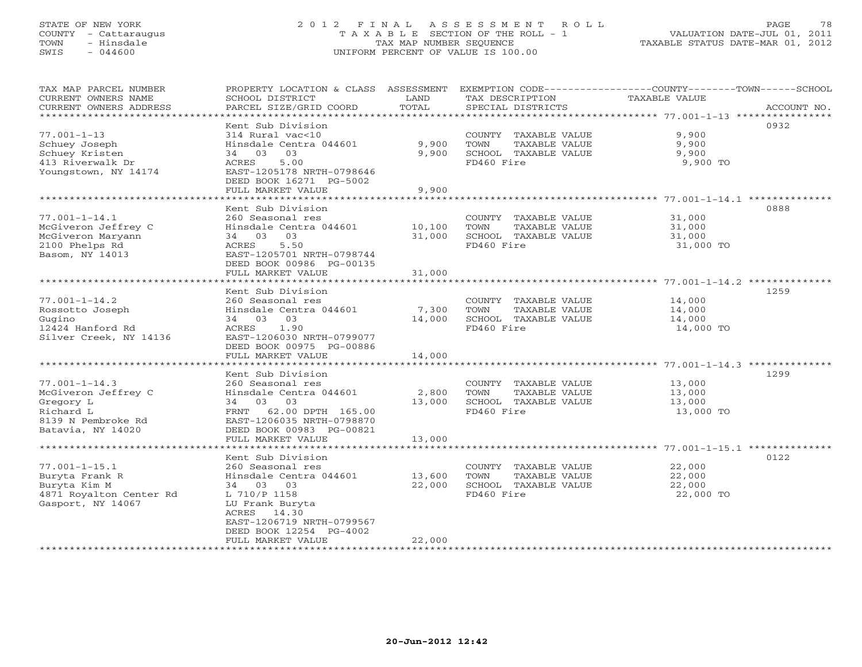## STATE OF NEW YORK 2 0 1 2 F I N A L A S S E S S M E N T R O L L PAGE 78 COUNTY - Cattaraugus T A X A B L E SECTION OF THE ROLL - 1 VALUATION DATE-JUL 01, 2011 TOWN - Hinsdale TAX MAP NUMBER SEQUENCE TAXABLE STATUS DATE-MAR 01, 2012 SWIS - 044600 UNIFORM PERCENT OF VALUE IS 100.00UNIFORM PERCENT OF VALUE IS 100.00

| TAX MAP PARCEL NUMBER   | PROPERTY LOCATION & CLASS ASSESSMENT |        | EXEMPTION CODE-----------------COUNTY-------TOWN------SCHOOL |               |             |
|-------------------------|--------------------------------------|--------|--------------------------------------------------------------|---------------|-------------|
| CURRENT OWNERS NAME     | SCHOOL DISTRICT                      | LAND   | TAX DESCRIPTION                                              | TAXABLE VALUE |             |
| CURRENT OWNERS ADDRESS  | PARCEL SIZE/GRID COORD               | TOTAL  | SPECIAL DISTRICTS                                            |               | ACCOUNT NO. |
|                         |                                      |        |                                                              |               |             |
|                         | Kent Sub Division                    |        |                                                              |               | 0932        |
| $77.001 - 1 - 13$       | 314 Rural vac<10                     |        | COUNTY TAXABLE VALUE                                         | 9,900         |             |
| Schuey Joseph           | Hinsdale Centra 044601               | 9,900  | TOWN<br>TAXABLE VALUE                                        | 9,900         |             |
| Schuey Kristen          | 34 03 03                             | 9,900  | SCHOOL TAXABLE VALUE                                         | 9,900         |             |
| 413 Riverwalk Dr        | 5.00<br>ACRES                        |        | FD460 Fire                                                   | 9,900 TO      |             |
| Youngstown, NY 14174    | EAST-1205178 NRTH-0798646            |        |                                                              |               |             |
|                         | DEED BOOK 16271 PG-5002              |        |                                                              |               |             |
|                         | FULL MARKET VALUE                    | 9,900  |                                                              |               |             |
|                         |                                      |        |                                                              |               |             |
|                         | Kent Sub Division                    |        |                                                              |               | 0888        |
| $77.001 - 1 - 14.1$     | 260 Seasonal res                     |        | COUNTY TAXABLE VALUE                                         | 31,000        |             |
| McGiveron Jeffrey C     | Hinsdale Centra 044601 10,100        |        | TOWN<br>TAXABLE VALUE                                        | 31,000        |             |
| McGiveron Maryann       | 34 03 03                             | 31,000 | SCHOOL TAXABLE VALUE                                         | 31,000        |             |
| 2100 Phelps Rd          | 5.50<br>ACRES                        |        | FD460 Fire                                                   | 31,000 TO     |             |
| Basom, NY 14013         | EAST-1205701 NRTH-0798744            |        |                                                              |               |             |
|                         | DEED BOOK 00986 PG-00135             |        |                                                              |               |             |
|                         | FULL MARKET VALUE                    | 31,000 |                                                              |               |             |
|                         |                                      |        |                                                              |               |             |
|                         | Kent Sub Division                    |        |                                                              |               | 1259        |
| $77.001 - 1 - 14.2$     | 260 Seasonal res                     |        | COUNTY TAXABLE VALUE 14,000                                  |               |             |
| Rossotto Joseph         | Hinsdale Centra 044601               | 7,300  | TOWN<br>TAXABLE VALUE                                        | 14,000        |             |
| Gugino                  | 34 03 03                             | 14,000 | SCHOOL TAXABLE VALUE                                         | 14,000        |             |
| 12424 Hanford Rd        | ACRES<br>1.90                        |        | FD460 Fire                                                   |               |             |
|                         | EAST-1206030 NRTH-0799077            |        |                                                              | 14,000 TO     |             |
| Silver Creek, NY 14136  |                                      |        |                                                              |               |             |
|                         | DEED BOOK 00975 PG-00886             |        |                                                              |               |             |
|                         | FULL MARKET VALUE                    | 14,000 |                                                              |               |             |
|                         |                                      |        |                                                              |               |             |
|                         | Kent Sub Division                    |        |                                                              |               | 1299        |
| $77.001 - 1 - 14.3$     | 260 Seasonal res                     |        | COUNTY TAXABLE VALUE                                         | 13,000        |             |
| McGiveron Jeffrey C     | Hinsdale Centra 044601               | 2,800  | TOWN<br>TAXABLE VALUE                                        | 13,000        |             |
| Gregory L               | 34 03 03                             | 13,000 | SCHOOL TAXABLE VALUE                                         | 13,000        |             |
| Richard L               | FRNT 62.00 DPTH 165.00               |        | FD460 Fire                                                   | 13,000 TO     |             |
| 8139 N Pembroke Rd      | EAST-1206035 NRTH-0798870            |        |                                                              |               |             |
| Batavia, NY 14020       | DEED BOOK 00983 PG-00821             |        |                                                              |               |             |
|                         | FULL MARKET VALUE                    | 13,000 |                                                              |               |             |
|                         |                                      |        |                                                              |               |             |
|                         | Kent Sub Division                    |        |                                                              |               | 0122        |
| $77.001 - 1 - 15.1$     | 260 Seasonal res                     |        | COUNTY TAXABLE VALUE                                         | 22,000        |             |
| Buryta Frank R          | Hinsdale Centra 044601 13,600        |        | TOWN<br>TAXABLE VALUE                                        | 22,000        |             |
| Buryta Kim M            | 34 03 03                             | 22,000 | SCHOOL TAXABLE VALUE                                         | 22,000        |             |
| 4871 Royalton Center Rd | L 710/P 1158                         |        | FD460 Fire                                                   | 22,000 TO     |             |
| Gasport, NY 14067       | LU Frank Buryta                      |        |                                                              |               |             |
|                         | 14.30<br>ACRES                       |        |                                                              |               |             |
|                         | EAST-1206719 NRTH-0799567            |        |                                                              |               |             |
|                         | DEED BOOK 12254 PG-4002              |        |                                                              |               |             |
|                         | FULL MARKET VALUE                    | 22,000 | *************************                                    |               |             |
|                         |                                      |        |                                                              |               |             |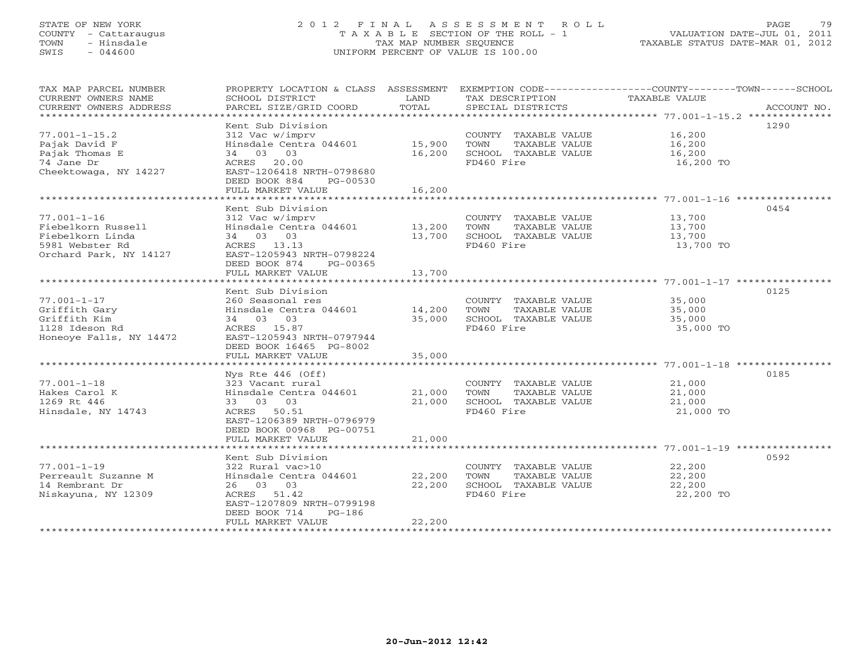## STATE OF NEW YORK 2 0 1 2 F I N A L A S S E S S M E N T R O L L PAGE 79 COUNTY - Cattaraugus T A X A B L E SECTION OF THE ROLL - 1 VALUATION DATE-JUL 01, 2011 TOWN - Hinsdale TAX MAP NUMBER SEQUENCE TAXABLE STATUS DATE-MAR 01, 2012 SWIS - 044600 UNIFORM PERCENT OF VALUE IS 100.00UNIFORM PERCENT OF VALUE IS 100.00

| TAX MAP PARCEL NUMBER<br>CURRENT OWNERS NAME<br>CURRENT OWNERS ADDRESS                                   | SCHOOL DISTRICT<br>PARCEL SIZE/GRID COORD                                                                                                                                  | LAND<br>TOTAL              | TAX DESCRIPTION TAXABLE VALUE<br>SPECIAL DISTRICTS                                  | PROPERTY LOCATION & CLASS ASSESSMENT EXEMPTION CODE----------------COUNTY-------TOWN------SCHOOL<br>ACCOUNT NO. |
|----------------------------------------------------------------------------------------------------------|----------------------------------------------------------------------------------------------------------------------------------------------------------------------------|----------------------------|-------------------------------------------------------------------------------------|-----------------------------------------------------------------------------------------------------------------|
| $77.001 - 1 - 15.2$<br>Pajak David F<br>Pajak Thomas E<br>74 Jane Dr<br>Cheektowaga, NY 14227            | Kent Sub Division<br>312 Vac w/imprv<br>Hinsdale Centra 044601<br>34 03 03<br>ACRES 20.00<br>EAST-1206418 NRTH-0798680<br>DEED BOOK 884<br>PG-00530<br>FULL MARKET VALUE   | 15,900<br>16,200<br>16,200 | COUNTY TAXABLE VALUE<br>TOWN<br>TAXABLE VALUE<br>SCHOOL TAXABLE VALUE<br>FD460 Fire | 1290<br>16,200<br>16,200<br>16,200<br>16,200 TO                                                                 |
|                                                                                                          |                                                                                                                                                                            |                            |                                                                                     |                                                                                                                 |
| $77.001 - 1 - 16$<br>Fiebelkorn Russell<br>Fiebelkorn Linda<br>5981 Webster Rd<br>Orchard Park, NY 14127 | Kent Sub Division<br>312 Vac w/imprv<br>Hinsdale Centra 044601 13,200<br>34 03 03<br>ACRES 13.13<br>EAST-1205943 NRTH-0798224<br>DEED BOOK 874<br>PG-00365                 | 13,700                     | COUNTY TAXABLE VALUE<br>TOWN<br>TAXABLE VALUE<br>SCHOOL TAXABLE VALUE<br>FD460 Fire | 0454<br>13,700<br>13,700<br>13,700<br>13,700 TO                                                                 |
|                                                                                                          | FULL MARKET VALUE                                                                                                                                                          | 13,700                     |                                                                                     |                                                                                                                 |
| $77.001 - 1 - 17$<br>Griffith Gary<br>Griffith Kim<br>1128 Ideson Rd<br>Honeoye Falls, NY 14472          | Kent Sub Division<br>260 Seasonal res<br>Hinsdale Centra 044601<br>34 03 03<br>ACRES 15.87<br>EAST-1205943 NRTH-0797944<br>DEED BOOK 16465 PG-8002                         | 14,200<br>35,000           | COUNTY TAXABLE VALUE<br>TOWN<br>TAXABLE VALUE<br>SCHOOL TAXABLE VALUE<br>FD460 Fire | 0125<br>35,000<br>35,000<br>35,000<br>35,000 TO                                                                 |
|                                                                                                          | FULL MARKET VALUE                                                                                                                                                          | 35,000                     |                                                                                     |                                                                                                                 |
| $77.001 - 1 - 18$<br>Hakes Carol K<br>1269 Rt 446<br>Hinsdale, NY 14743                                  | Nys Rte $446$ (Off)<br>323 Vacant rural<br>Hinsdale Centra 044601<br>33 03 03<br>ACRES 50.51<br>EAST-1206389 NRTH-0796979<br>DEED BOOK 00968 PG-00751<br>FULL MARKET VALUE | 21,000<br>21,000<br>21,000 | COUNTY TAXABLE VALUE<br>TOWN<br>TAXABLE VALUE<br>SCHOOL TAXABLE VALUE<br>FD460 Fire | 0185<br>21,000<br>21,000<br>21,000<br>21,000 TO                                                                 |
|                                                                                                          |                                                                                                                                                                            |                            |                                                                                     |                                                                                                                 |
| $77.001 - 1 - 19$<br>Perreault Suzanne M<br>14 Rembrant Dr<br>Niskayuna, NY 12309                        | Kent Sub Division<br>322 Rural vac>10<br>Hinsdale Centra 044601<br>26 03 03<br>ACRES 51.42<br>EAST-1207809 NRTH-0799198<br>DEED BOOK 714<br>$PG-186$<br>FULL MARKET VALUE  | 22,200<br>22,200<br>22,200 | COUNTY TAXABLE VALUE<br>TOWN<br>TAXABLE VALUE<br>SCHOOL TAXABLE VALUE<br>FD460 Fire | 0592<br>22,200<br>22,200<br>22,200<br>22,200 TO                                                                 |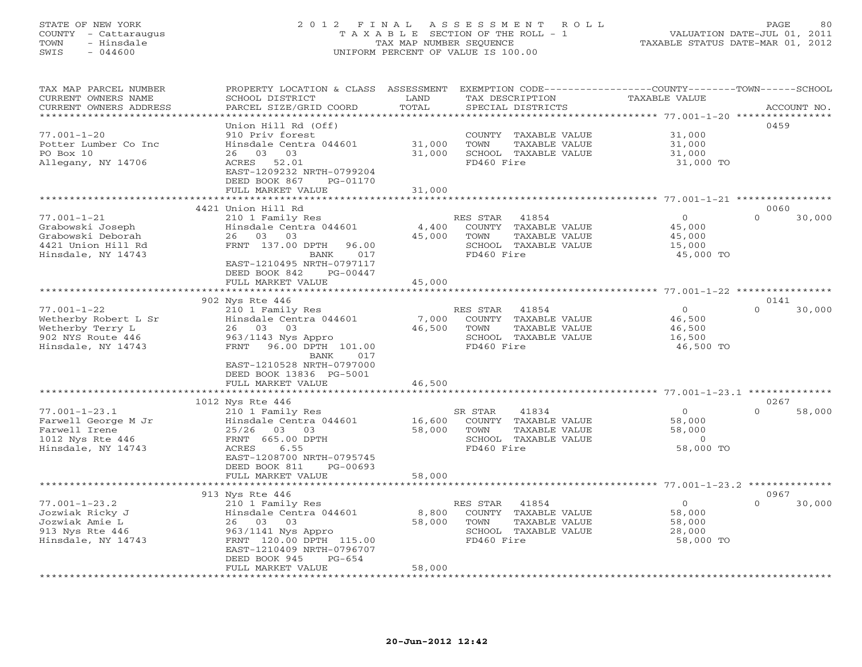## STATE OF NEW YORK 2 0 1 2 F I N A L A S S E S S M E N T R O L L PAGE 80 COUNTY - Cattaraugus T A X A B L E SECTION OF THE ROLL - 1 VALUATION DATE-JUL 01, 2011 TOWN - Hinsdale TAX MAP NUMBER SEQUENCE TAXABLE STATUS DATE-MAR 01, 2012 SWIS - 044600 UNIFORM PERCENT OF VALUE IS 100.00UNIFORM PERCENT OF VALUE IS 100.00

| TAX MAP PARCEL NUMBER<br>CURRENT OWNERS NAME<br>CURRENT OWNERS ADDRESS | PROPERTY LOCATION & CLASS ASSESSMENT<br>SCHOOL DISTRICT<br>PARCEL SIZE/GRID COORD | LAND<br>TOTAL   | TAX DESCRIPTION<br>SPECIAL DISTRICTS          | EXEMPTION CODE----------------COUNTY-------TOWN-----SCHOOL<br><b>TAXABLE VALUE</b> | ACCOUNT NO.        |
|------------------------------------------------------------------------|-----------------------------------------------------------------------------------|-----------------|-----------------------------------------------|------------------------------------------------------------------------------------|--------------------|
| ********************                                                   | ******************                                                                |                 |                                               |                                                                                    |                    |
|                                                                        | Union Hill Rd (Off)                                                               |                 |                                               |                                                                                    | 0459               |
| $77.001 - 1 - 20$                                                      | 910 Priv forest                                                                   |                 | COUNTY TAXABLE VALUE                          | 31,000                                                                             |                    |
| Potter Lumber Co Inc                                                   | Hinsdale Centra 044601                                                            | 31,000          | TOWN<br>TAXABLE VALUE                         | 31,000                                                                             |                    |
| PO Box 10                                                              | 03 03<br>26                                                                       | 31,000          | SCHOOL TAXABLE VALUE                          | 31,000                                                                             |                    |
| Allegany, NY 14706                                                     | ACRES 52.01                                                                       |                 | FD460 Fire                                    | 31,000 TO                                                                          |                    |
|                                                                        | EAST-1209232 NRTH-0799204<br>DEED BOOK 867<br>PG-01170                            |                 |                                               |                                                                                    |                    |
|                                                                        | FULL MARKET VALUE                                                                 | 31,000          |                                               |                                                                                    |                    |
|                                                                        |                                                                                   |                 |                                               |                                                                                    |                    |
|                                                                        | 4421 Union Hill Rd                                                                |                 |                                               |                                                                                    | 0060               |
| $77.001 - 1 - 21$                                                      | 210 1 Family Res                                                                  |                 | RES STAR<br>41854                             | $\overline{0}$                                                                     | $\Omega$<br>30,000 |
| Grabowski Joseph                                                       | Hinsdale Centra 044601                                                            | 4,400           | COUNTY TAXABLE VALUE                          | 45,000                                                                             |                    |
| Grabowski Deborah                                                      | 26 03 03                                                                          | 45,000          | TAXABLE VALUE<br>TOWN                         | 45,000                                                                             |                    |
| 4421 Union Hill Rd                                                     | FRNT 137.00 DPTH<br>96.00                                                         |                 | SCHOOL TAXABLE VALUE                          | 15,000                                                                             |                    |
| Hinsdale, NY 14743                                                     | 017<br>BANK<br>EAST-1210495 NRTH-0797117                                          |                 | FD460 Fire                                    | 45,000 TO                                                                          |                    |
|                                                                        | DEED BOOK 842<br>$PG-00447$                                                       |                 |                                               |                                                                                    |                    |
|                                                                        | FULL MARKET VALUE                                                                 | 45,000          |                                               |                                                                                    |                    |
|                                                                        | *********************************                                                 |                 |                                               |                                                                                    |                    |
|                                                                        | 902 Nys Rte 446                                                                   |                 |                                               |                                                                                    | 0141               |
| $77.001 - 1 - 22$                                                      | 210 1 Family Res                                                                  |                 | RES STAR<br>41854                             | $\Omega$                                                                           | $\Omega$<br>30,000 |
| Wetherby Robert L Sr                                                   | Hinsdale Centra 044601                                                            | 7,000           | COUNTY TAXABLE VALUE                          | 46,500                                                                             |                    |
| Wetherby Terry L                                                       | 26 03 03                                                                          | 46,500          | TOWN<br>TAXABLE VALUE                         | 46,500                                                                             |                    |
| 902 NYS Route 446                                                      | 963/1143 Nys Appro                                                                |                 | SCHOOL TAXABLE VALUE                          | 16,500                                                                             |                    |
| Hinsdale, NY 14743                                                     | FRNT 96.00 DPTH 101.00<br>BANK<br>017                                             |                 | FD460 Fire                                    | 46,500 TO                                                                          |                    |
|                                                                        | EAST-1210528 NRTH-0797000                                                         |                 |                                               |                                                                                    |                    |
|                                                                        | DEED BOOK 13836 PG-5001                                                           |                 |                                               |                                                                                    |                    |
|                                                                        | FULL MARKET VALUE                                                                 | 46,500          |                                               |                                                                                    |                    |
|                                                                        | ***********************                                                           | *************   |                                               | ******************************* 77.001-1-23.1 *********                            |                    |
|                                                                        | 1012 Nys Rte 446                                                                  |                 |                                               |                                                                                    | 0267               |
| $77.001 - 1 - 23.1$                                                    | 210 1 Family Res                                                                  |                 | 41834<br>SR STAR                              | $\mathbf 0$                                                                        | $\cap$<br>58,000   |
| Farwell George M Jr<br>Farwell Irene                                   | Hinsdale Centra 044601                                                            | 16,600          | COUNTY TAXABLE VALUE                          | 58,000<br>58,000                                                                   |                    |
| 1012 Nys Rte 446                                                       | 25/26<br>03<br>03<br>FRNT 665.00 DPTH                                             | 58,000          | TOWN<br>TAXABLE VALUE<br>SCHOOL TAXABLE VALUE | $\circ$                                                                            |                    |
| Hinsdale, NY 14743                                                     | ACRES<br>6.55                                                                     |                 | FD460 Fire                                    | 58,000 TO                                                                          |                    |
|                                                                        | EAST-1208700 NRTH-0795745                                                         |                 |                                               |                                                                                    |                    |
|                                                                        | DEED BOOK 811<br>PG-00693                                                         |                 |                                               |                                                                                    |                    |
|                                                                        | FULL MARKET VALUE                                                                 | 58,000          |                                               |                                                                                    |                    |
|                                                                        |                                                                                   |                 |                                               |                                                                                    |                    |
|                                                                        | 913 Nys Rte 446                                                                   |                 |                                               |                                                                                    | 0967               |
| $77.001 - 1 - 23.2$                                                    | 210 1 Family Res                                                                  |                 | RES STAR<br>41854                             | $\circ$                                                                            | $\Omega$<br>30,000 |
| Jozwiak Ricky J<br>Jozwiak Amie L                                      | Hinsdale Centra 044601<br>26 03<br>03                                             | 8,800<br>58,000 | COUNTY TAXABLE VALUE<br>TOWN<br>TAXABLE VALUE | 58,000<br>58,000                                                                   |                    |
| 913 Nys Rte 446                                                        | 963/1141 Nys Appro                                                                |                 | SCHOOL TAXABLE VALUE                          | 28,000                                                                             |                    |
| Hinsdale, NY 14743                                                     | FRNT 120.00 DPTH 115.00                                                           |                 | FD460 Fire                                    | 58,000 TO                                                                          |                    |
|                                                                        | EAST-1210409 NRTH-0796707                                                         |                 |                                               |                                                                                    |                    |
|                                                                        | DEED BOOK 945<br>$PG - 654$                                                       |                 |                                               |                                                                                    |                    |
|                                                                        | FULL MARKET VALUE                                                                 | 58,000          |                                               |                                                                                    |                    |
|                                                                        |                                                                                   |                 |                                               |                                                                                    |                    |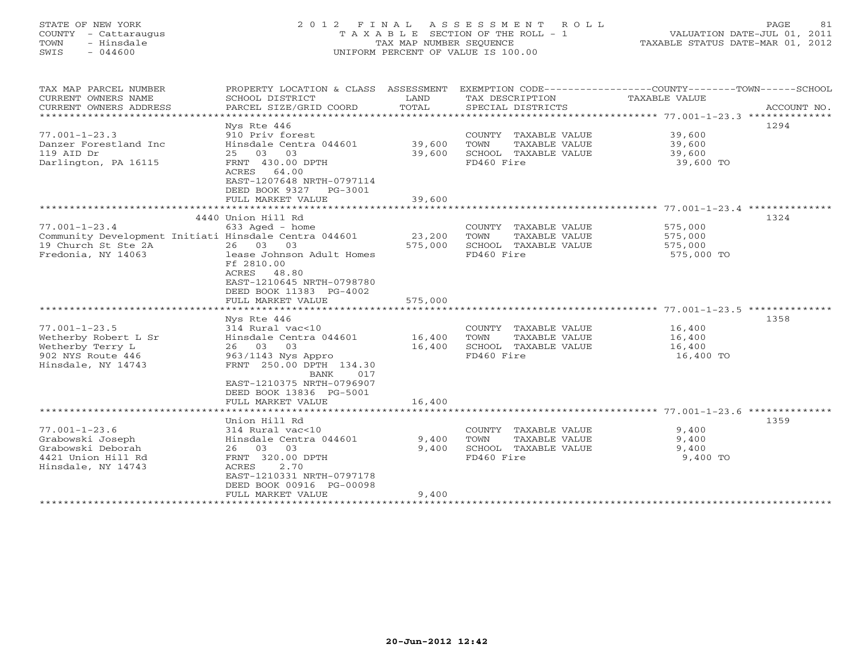# STATE OF NEW YORK 2 0 1 2 F I N A L A S S E S S M E N T R O L L PAGE 81 COUNTY - Cattaraugus T A X A B L E SECTION OF THE ROLL - 1 VALUATION DATE-JUL 01, 2011 TOWN - Hinsdale TAX MAP NUMBER SEQUENCE TAXABLE STATUS DATE-MAR 01, 2012 SWIS - 044600 UNIFORM PERCENT OF VALUE IS 100.00UNIFORM PERCENT OF VALUE IS 100.00

| TAX MAP PARCEL NUMBER<br>CURRENT OWNERS NAME<br>CURRENT OWNERS ADDRESS                                                    | PROPERTY LOCATION & CLASS ASSESSMENT<br>SCHOOL DISTRICT<br>PARCEL SIZE/GRID COORD                                                                                                                | LAND<br>TOTAL                | TAX DESCRIPTION<br>SPECIAL DISTRICTS                                                | EXEMPTION CODE-----------------COUNTY-------TOWN------SCHOOL<br>TAXABLE VALUE<br>ACCOUNT NO. |
|---------------------------------------------------------------------------------------------------------------------------|--------------------------------------------------------------------------------------------------------------------------------------------------------------------------------------------------|------------------------------|-------------------------------------------------------------------------------------|----------------------------------------------------------------------------------------------|
| $77.001 - 1 - 23.3$<br>Danzer Forestland Inc<br>119 AID Dr<br>Darlington, PA 16115                                        | Nys Rte 446<br>910 Priv forest<br>Hinsdale Centra 044601<br>25 03 03<br>FRNT 430.00 DPTH<br>ACRES 64.00<br>EAST-1207648 NRTH-0797114<br>DEED BOOK 9327 PG-3001<br>FULL MARKET VALUE              | 39,600<br>39,600<br>39,600   | COUNTY TAXABLE VALUE<br>TAXABLE VALUE<br>TOWN<br>SCHOOL TAXABLE VALUE<br>FD460 Fire | 1294<br>39,600<br>39,600<br>39,600<br>39,600 TO                                              |
|                                                                                                                           |                                                                                                                                                                                                  |                              |                                                                                     |                                                                                              |
| $77.001 - 1 - 23.4$<br>Community Development Initiati Hinsdale Centra 044601<br>19 Church St Ste 2A<br>Fredonia, NY 14063 | 4440 Union Hill Rd<br>633 Aged - home<br>26 03<br>03<br>lease Johnson Adult Homes<br>Ff 2810.00<br>ACRES 48.80<br>EAST-1210645 NRTH-0798780<br>DEED BOOK 11383 PG-4002<br>FULL MARKET VALUE      | 23,200<br>575,000<br>575,000 | COUNTY TAXABLE VALUE<br>TOWN<br>TAXABLE VALUE<br>SCHOOL TAXABLE VALUE<br>FD460 Fire | 1324<br>575,000<br>575,000<br>575,000<br>575,000 TO                                          |
|                                                                                                                           |                                                                                                                                                                                                  |                              |                                                                                     |                                                                                              |
| $77.001 - 1 - 23.5$<br>Wetherby Robert L Sr<br>Wetherby Terry L<br>902 NYS Route 446<br>Hinsdale, NY 14743                | Nys Rte 446<br>314 Rural vac<10<br>Hinsdale Centra 044601<br>26 03<br>03<br>963/1143 Nys Appro<br>FRNT 250.00 DPTH 134.30<br>BANK<br>017<br>EAST-1210375 NRTH-0796907<br>DEED BOOK 13836 PG-5001 | 16,400<br>16,400             | COUNTY TAXABLE VALUE<br>TOWN<br>TAXABLE VALUE<br>SCHOOL TAXABLE VALUE<br>FD460 Fire | 1358<br>16,400<br>16,400<br>16,400<br>16,400 TO                                              |
|                                                                                                                           | FULL MARKET VALUE                                                                                                                                                                                | 16,400                       |                                                                                     |                                                                                              |
|                                                                                                                           | Union Hill Rd                                                                                                                                                                                    |                              |                                                                                     | 1359                                                                                         |
| $77.001 - 1 - 23.6$<br>Grabowski Joseph<br>Grabowski Deborah<br>4421 Union Hill Rd<br>Hinsdale, NY 14743                  | 314 Rural vac<10<br>Hinsdale Centra 044601<br>26 03 03<br>FRNT 320.00 DPTH<br>ACRES<br>2.70<br>EAST-1210331 NRTH-0797178<br>DEED BOOK 00916 PG-00098<br>FULL MARKET VALUE                        | 9,400<br>9,400<br>9,400      | COUNTY TAXABLE VALUE<br>TOWN<br>TAXABLE VALUE<br>SCHOOL TAXABLE VALUE<br>FD460 Fire | 9,400<br>9,400<br>9,400<br>9,400 TO                                                          |
|                                                                                                                           | *********************                                                                                                                                                                            |                              |                                                                                     |                                                                                              |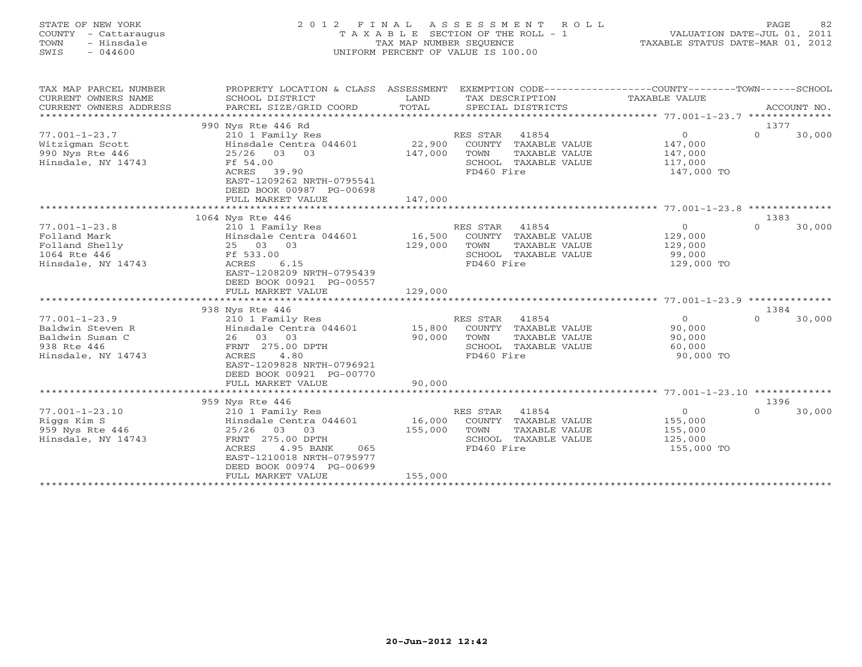# STATE OF NEW YORK 2 0 1 2 F I N A L A S S E S S M E N T R O L L PAGE 82 COUNTY - Cattaraugus T A X A B L E SECTION OF THE ROLL - 1 VALUATION DATE-JUL 01, 2011 TOWN - Hinsdale TAX MAP NUMBER SEQUENCE TAXABLE STATUS DATE-MAR 01, 2012 SWIS - 044600 UNIFORM PERCENT OF VALUE IS 100.00UNIFORM PERCENT OF VALUE IS 100.00

| TAX MAP PARCEL NUMBER<br>CURRENT OWNERS NAME<br>CURRENT OWNERS ADDRESS<br>************************** | PROPERTY LOCATION & CLASS ASSESSMENT<br>SCHOOL DISTRICT<br>PARCEL SIZE/GRID COORD           | LAND<br>TOTAL |                | TAX DESCRIPTION<br>SPECIAL DISTRICTS | EXEMPTION CODE-----------------COUNTY-------TOWN------SCHOOL<br>TAXABLE VALUE | ACCOUNT NO. |        |
|------------------------------------------------------------------------------------------------------|---------------------------------------------------------------------------------------------|---------------|----------------|--------------------------------------|-------------------------------------------------------------------------------|-------------|--------|
|                                                                                                      | 990 Nys Rte 446 Rd                                                                          |               |                |                                      |                                                                               | 1377        |        |
| $77.001 - 1 - 23.7$                                                                                  | 210 1 Family Res                                                                            |               | RES STAR 41854 |                                      | $\circ$                                                                       | $\Omega$    | 30,000 |
| Witzigman Scott                                                                                      | Hinsdale Centra 044601                                                                      | 22,900        |                | COUNTY TAXABLE VALUE                 | 147,000                                                                       |             |        |
| 990 Nys Rte 446                                                                                      | 25/26 03 03                                                                                 | 147,000       | TOWN           | TAXABLE VALUE                        | 147,000                                                                       |             |        |
| Hinsdale, NY 14743                                                                                   | Ff 54.00                                                                                    |               |                | SCHOOL TAXABLE VALUE                 | 117,000                                                                       |             |        |
|                                                                                                      | ACRES 39.90<br>EAST-1209262 NRTH-0795541<br>DEED BOOK 00987 PG-00698                        |               | FD460 Fire     |                                      | 147,000 TO                                                                    |             |        |
|                                                                                                      | FULL MARKET VALUE                                                                           | 147,000       |                |                                      |                                                                               |             |        |
|                                                                                                      | ***********************                                                                     | ************  |                |                                      |                                                                               |             |        |
|                                                                                                      | 1064 Nys Rte 446                                                                            |               |                |                                      |                                                                               | 1383        |        |
| $77.001 - 1 - 23.8$                                                                                  | 210 1 Family Res                                                                            |               | RES STAR 41854 |                                      | $\overline{0}$                                                                | $\Omega$    | 30,000 |
| Folland Mark                                                                                         | Hinsdale Centra 044601                                                                      | 16,500        |                | COUNTY TAXABLE VALUE                 | 129,000                                                                       |             |        |
| Folland Shelly                                                                                       | 25 03 03                                                                                    | 129,000       | TOWN           | TAXABLE VALUE                        | 129,000                                                                       |             |        |
| 1064 Rte 446                                                                                         | Ff 533.00                                                                                   |               |                | SCHOOL TAXABLE VALUE                 | 99,000                                                                        |             |        |
| Hinsdale, NY 14743                                                                                   | ACRES<br>6.15<br>EAST-1208209 NRTH-0795439<br>DEED BOOK 00921 PG-00557<br>FULL MARKET VALUE | 129,000       | FD460 Fire     |                                      | 129,000 TO                                                                    |             |        |
|                                                                                                      |                                                                                             |               |                |                                      |                                                                               |             |        |
|                                                                                                      | 938 Nys Rte 446                                                                             |               |                |                                      |                                                                               | 1384        |        |
| $77.001 - 1 - 23.9$                                                                                  | 210 1 Family Res                                                                            |               | RES STAR 41854 |                                      | $\Omega$                                                                      | $\Omega$    | 30,000 |
| Baldwin Steven R                                                                                     | Hinsdale Centra 044601                                                                      | 15,800        |                | COUNTY TAXABLE VALUE                 | 90,000                                                                        |             |        |
| Baldwin Susan C                                                                                      | 26 03 03                                                                                    | 90,000        | TOWN           | TAXABLE VALUE                        | 90,000                                                                        |             |        |
| 938 Rte 446                                                                                          | FRNT 275.00 DPTH                                                                            |               |                | SCHOOL TAXABLE VALUE                 | 60,000                                                                        |             |        |
| Hinsdale, NY 14743                                                                                   | ACRES<br>4.80                                                                               |               | FD460 Fire     |                                      | 90,000 TO                                                                     |             |        |
|                                                                                                      | EAST-1209828 NRTH-0796921                                                                   |               |                |                                      |                                                                               |             |        |
|                                                                                                      | DEED BOOK 00921 PG-00770                                                                    |               |                |                                      |                                                                               |             |        |
|                                                                                                      | FULL MARKET VALUE                                                                           | 90,000        |                |                                      |                                                                               |             |        |
|                                                                                                      | *************************                                                                   |               |                |                                      |                                                                               |             |        |
|                                                                                                      | 959 Nys Rte 446                                                                             |               |                |                                      |                                                                               | 1396        |        |
| $77.001 - 1 - 23.10$                                                                                 | 210 1 Family Res                                                                            |               | RES STAR       | 41854                                | $\Omega$                                                                      | $\Omega$    | 30,000 |
| Riggs Kim S                                                                                          | Hinsdale Centra 044601                                                                      | 16,000        |                | COUNTY TAXABLE VALUE                 | 155,000                                                                       |             |        |
| 959 Nys Rte 446                                                                                      | 25/26<br>03 03                                                                              | 155,000       | TOWN           | TAXABLE VALUE                        | 155,000                                                                       |             |        |
| Hinsdale, NY 14743                                                                                   | FRNT 275.00 DPTH                                                                            |               |                | SCHOOL TAXABLE VALUE                 | 125,000                                                                       |             |        |
|                                                                                                      | ACRES<br>4.95 BANK<br>065<br>EAST-1210018 NRTH-0795977<br>DEED BOOK 00974 PG-00699          |               | FD460 Fire     |                                      | 155,000 TO                                                                    |             |        |
|                                                                                                      | FULL MARKET VALUE                                                                           | 155,000       |                |                                      |                                                                               |             |        |
|                                                                                                      |                                                                                             |               |                |                                      |                                                                               |             |        |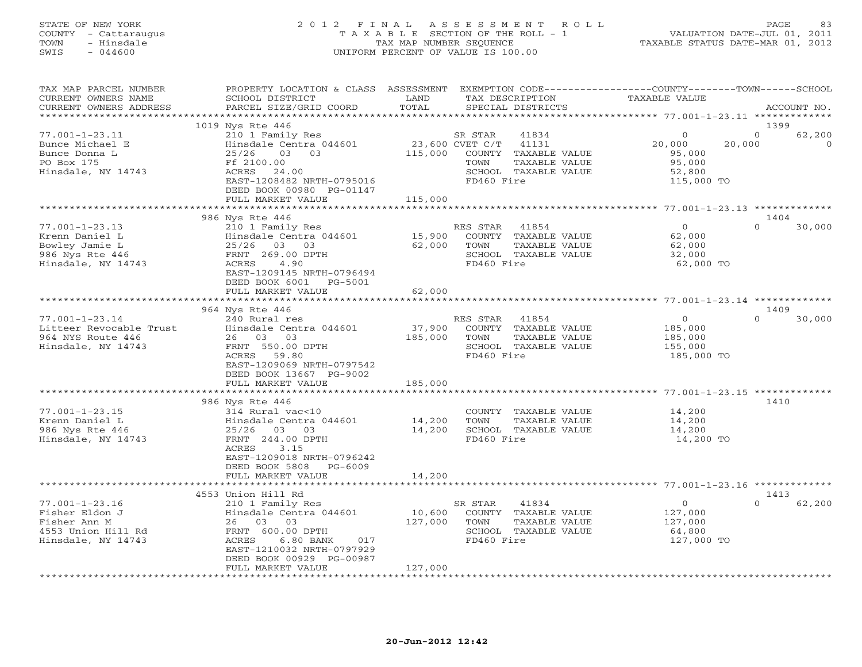### STATE OF NEW YORK 2 0 1 2 F I N A L A S S E S S M E N T R O L L PAGE 83 COUNTY - Cattaraugus T A X A B L E SECTION OF THE ROLL - 1 VALUATION DATE-JUL 01, 2011 TOWN - Hinsdale TAX MAP NUMBER SEQUENCE TAXABLE STATUS DATE-MAR 01, 2012 SWIS - 044600 UNIFORM PERCENT OF VALUE IS 100.00UNIFORM PERCENT OF VALUE IS 100.00

| TAX MAP PARCEL NUMBER<br>CURRENT OWNERS NAME<br>CURRENT OWNERS ADDRESS                            | PROPERTY LOCATION & CLASS ASSESSMENT<br>SCHOOL DISTRICT<br>PARCEL SIZE/GRID COORD                               | LAND<br>TOTAL     | TAX DESCRIPTION<br>SPECIAL DISTRICTS                                                                        | EXEMPTION CODE-----------------COUNTY-------TOWN------SCHOOL<br><b>TAXABLE VALUE</b> | ACCOUNT NO.                              |
|---------------------------------------------------------------------------------------------------|-----------------------------------------------------------------------------------------------------------------|-------------------|-------------------------------------------------------------------------------------------------------------|--------------------------------------------------------------------------------------|------------------------------------------|
| *********************                                                                             |                                                                                                                 |                   |                                                                                                             |                                                                                      |                                          |
|                                                                                                   | 1019 Nys Rte 446                                                                                                |                   |                                                                                                             |                                                                                      | 1399                                     |
| $77.001 - 1 - 23.11$<br>Bunce Michael E<br>Bunce Donna L<br>PO Box 175                            | 210 1 Family Res<br>Hinsdale Centra 044601<br>25/26<br>03 03<br>Ff 2100.00                                      | 115,000           | SR STAR<br>41834<br>23,600 CVET C/T<br>41131<br>COUNTY TAXABLE VALUE<br>TOWN<br>TAXABLE VALUE               | $\mathbf{0}$<br>20,000<br>95,000<br>95,000                                           | $\Omega$<br>62,200<br>20,000<br>$\Omega$ |
| Hinsdale, NY 14743                                                                                | ACRES<br>24.00<br>EAST-1208482 NRTH-0795016<br>DEED BOOK 00980 PG-01147<br>FULL MARKET VALUE                    | 115,000           | SCHOOL TAXABLE VALUE<br>FD460 Fire                                                                          | 52,800<br>115,000 TO                                                                 |                                          |
|                                                                                                   | **********************                                                                                          |                   |                                                                                                             |                                                                                      |                                          |
|                                                                                                   | 986 Nys Rte 446                                                                                                 |                   |                                                                                                             |                                                                                      | 1404                                     |
| $77.001 - 1 - 23.13$<br>Krenn Daniel L<br>Bowley Jamie L<br>986 Nys Rte 446<br>Hinsdale, NY 14743 | 210 1 Family Res<br>Hinsdale Centra 044601<br>25/26 03 03<br>FRNT 269.00 DPTH<br>4.90<br>ACRES                  | 15,900<br>62,000  | RES STAR<br>41854<br>COUNTY<br>TAXABLE VALUE<br>TOWN<br>TAXABLE VALUE<br>SCHOOL TAXABLE VALUE<br>FD460 Fire | $\circ$<br>62,000<br>62,000<br>32,000<br>62,000 TO                                   | $\Omega$<br>30,000                       |
|                                                                                                   | EAST-1209145 NRTH-0796494<br>DEED BOOK 6001<br>PG-5001<br>FULL MARKET VALUE                                     | 62,000            |                                                                                                             |                                                                                      |                                          |
|                                                                                                   | ***********************                                                                                         | ************      |                                                                                                             | ****************************** 77.001-1-23.14 *************                          |                                          |
|                                                                                                   | 964 Nys Rte 446                                                                                                 |                   |                                                                                                             |                                                                                      | 1409                                     |
| $77.001 - 1 - 23.14$                                                                              | 240 Rural res                                                                                                   |                   | RES STAR<br>41854                                                                                           | $\circ$                                                                              | $\Omega$<br>30,000                       |
| Litteer Revocable Trust                                                                           | Hinsdale Centra 044601                                                                                          | 37,900            | COUNTY TAXABLE VALUE                                                                                        | 185,000                                                                              |                                          |
| 964 NYS Route 446                                                                                 | 26 03 03                                                                                                        | 185,000           | TOWN<br>TAXABLE VALUE                                                                                       | 185,000                                                                              |                                          |
| Hinsdale, NY 14743                                                                                | FRNT 550.00 DPTH<br>ACRES<br>59.80<br>EAST-1209069 NRTH-0797542<br>DEED BOOK 13667 PG-9002                      |                   | SCHOOL TAXABLE VALUE<br>FD460 Fire                                                                          | 155,000<br>185,000 TO                                                                |                                          |
|                                                                                                   | FULL MARKET VALUE                                                                                               | 185,000           |                                                                                                             |                                                                                      |                                          |
|                                                                                                   |                                                                                                                 |                   |                                                                                                             |                                                                                      |                                          |
|                                                                                                   | 986 Nys Rte 446                                                                                                 |                   |                                                                                                             |                                                                                      | 1410                                     |
| $77.001 - 1 - 23.15$                                                                              | 314 Rural vac<10                                                                                                |                   | COUNTY TAXABLE VALUE                                                                                        | 14,200                                                                               |                                          |
| Krenn Daniel L                                                                                    | Hinsdale Centra 044601                                                                                          | 14,200            | TOWN<br>TAXABLE VALUE                                                                                       | 14,200                                                                               |                                          |
| 986 Nys Rte 446<br>Hinsdale, NY 14743                                                             | 25/26<br>03 03<br>FRNT 244.00 DPTH<br>ACRES<br>3.15<br>EAST-1209018 NRTH-0796242<br>DEED BOOK 5808<br>$PG-6009$ | 14,200            | SCHOOL TAXABLE VALUE<br>FD460 Fire                                                                          | 14,200<br>14,200 TO                                                                  |                                          |
|                                                                                                   | FULL MARKET VALUE                                                                                               | 14,200            |                                                                                                             |                                                                                      |                                          |
|                                                                                                   | *******************<br>4553 Union Hill Rd                                                                       |                   |                                                                                                             | ***************************** 77.001-1-23.16 *************                           | 1413                                     |
| $77.001 - 1 - 23.16$                                                                              | 210 1 Family Res                                                                                                |                   | 41834<br>SR STAR                                                                                            | $\circ$                                                                              | $\cap$<br>62,200                         |
| Fisher Eldon J<br>Fisher Ann M<br>4553 Union Hill Rd<br>Hinsdale, NY 14743                        | Hinsdale Centra 044601<br>26 03<br>03<br>FRNT 600.00 DPTH<br>ACRES<br>6.80 BANK<br>017                          | 10,600<br>127,000 | COUNTY TAXABLE VALUE<br>TOWN<br>TAXABLE VALUE<br>SCHOOL TAXABLE VALUE<br>FD460 Fire                         | 127,000<br>127,000<br>64,800<br>127,000 TO                                           |                                          |
| *********************                                                                             | EAST-1210032 NRTH-0797929<br>DEED BOOK 00929 PG-00987<br>FULL MARKET VALUE                                      | 127,000           |                                                                                                             |                                                                                      |                                          |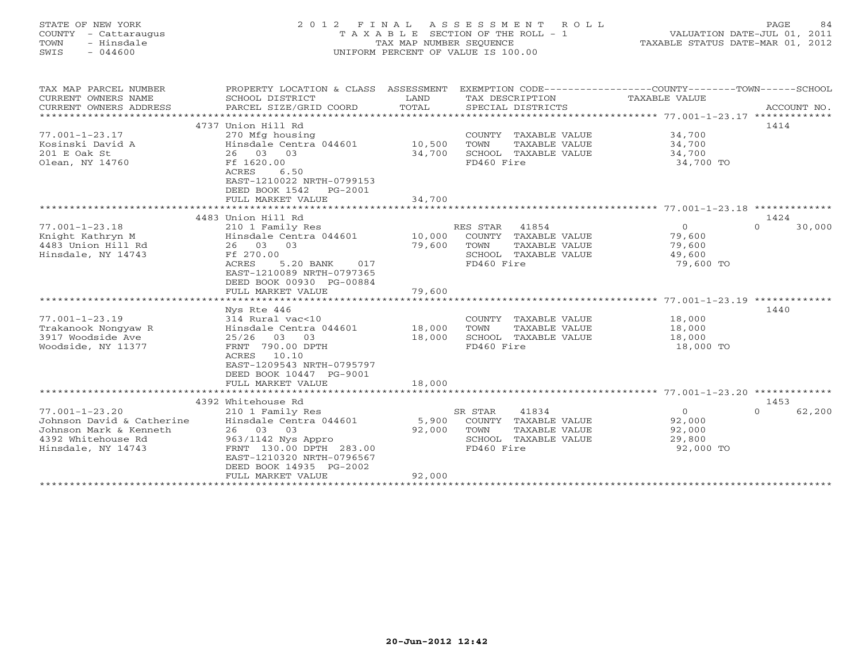# STATE OF NEW YORK 2 0 1 2 F I N A L A S S E S S M E N T R O L L PAGE 84 COUNTY - Cattaraugus T A X A B L E SECTION OF THE ROLL - 1 VALUATION DATE-JUL 01, 2011 TOWN - Hinsdale TAX MAP NUMBER SEQUENCE TAXABLE STATUS DATE-MAR 01, 2012 SWIS - 044600 UNIFORM PERCENT OF VALUE IS 100.00UNIFORM PERCENT OF VALUE IS 100.00

| TAX MAP PARCEL NUMBER<br>CURRENT OWNERS NAME<br>CURRENT OWNERS ADDRESS                                                  | PROPERTY LOCATION & CLASS ASSESSMENT<br>SCHOOL DISTRICT<br>PARCEL SIZE/GRID COORD                                                                                                                           | LAND<br>TOTAL             | EXEMPTION CODE----------------COUNTY-------TOWN------SCHOOL<br>TAX DESCRIPTION<br>SPECIAL DISTRICTS     | TAXABLE VALUE                                             | ACCOUNT NO.                |
|-------------------------------------------------------------------------------------------------------------------------|-------------------------------------------------------------------------------------------------------------------------------------------------------------------------------------------------------------|---------------------------|---------------------------------------------------------------------------------------------------------|-----------------------------------------------------------|----------------------------|
| $77.001 - 1 - 23.17$<br>Kosinski David A<br>201 E Oak St<br>Olean, NY 14760                                             | 4737 Union Hill Rd<br>270 Mfg housing<br>Hinsdale Centra 044601 10,500<br>26 03 03<br>Ff 1620.00<br>ACRES<br>6.50<br>EAST-1210022 NRTH-0799153<br>DEED BOOK 1542<br>PG-2001<br>FULL MARKET VALUE            | 34,700<br>34,700          | COUNTY TAXABLE VALUE<br>TAXABLE VALUE<br>TOWN<br>SCHOOL TAXABLE VALUE<br>FD460 Fire                     | 34,700<br>34,700<br>34,700<br>34,700 TO                   | 1414                       |
|                                                                                                                         |                                                                                                                                                                                                             | ************              |                                                                                                         |                                                           |                            |
| $77.001 - 1 - 23.18$<br>Knight Kathryn M<br>4483 Union Hill Rd<br>Hinsdale, NY 14743                                    | 4483 Union Hill Rd<br>210 1 Family Res<br>Hinsdale Centra 044601 10,000<br>26 03 03<br>Ff 270.00<br>ACRES<br>5.20 BANK<br>017<br>EAST-1210089 NRTH-0797365<br>DEED BOOK 00930 PG-00884<br>FULL MARKET VALUE | 79,600<br>79,600          | RES STAR 41854<br>COUNTY TAXABLE VALUE<br>TOWN<br>TAXABLE VALUE<br>SCHOOL TAXABLE VALUE<br>FD460 Fire   | $\overline{0}$<br>79,600<br>79,600<br>49,600<br>79,600 TO | 1424<br>30,000<br>$\Omega$ |
| $77.001 - 1 - 23.19$<br>Trakanook Nongyaw R<br>3917 Woodside Ave<br>Woodside, NY 11377                                  | Nys Rte 446<br>314 Rural vac<10<br>Hinsdale Centra 044601 18,000<br>25/26 03 03<br>FRNT 790.00 DPTH<br>ACRES 10.10<br>EAST-1209543 NRTH-0795797<br>DEED BOOK 10447 PG-9001<br>FULL MARKET VALUE             | 18,000<br>18,000          | COUNTY TAXABLE VALUE<br>TOWN<br>TAXABLE VALUE<br>SCHOOL TAXABLE VALUE<br>FD460 Fire                     | 18,000<br>18,000<br>18,000<br>18,000 TO                   | 1440                       |
| $77.001 - 1 - 23.20$<br>Johnson David & Catherine<br>Johnson Mark & Kenneth<br>4392 Whitehouse Rd<br>Hinsdale, NY 14743 | 4392 Whitehouse Rd<br>210 1 Family Res<br>Hinsdale Centra 044601<br>26 03 03<br>963/1142 Nys Appro<br>FRNT 130.00 DPTH 283.00<br>EAST-1210320 NRTH-0796567<br>DEED BOOK 14935 PG-2002<br>FULL MARKET VALUE  | 5,900<br>92,000<br>92,000 | 41834<br>SR STAR<br>COUNTY TAXABLE VALUE<br>TOWN<br>TAXABLE VALUE<br>SCHOOL TAXABLE VALUE<br>FD460 Fire | $\overline{0}$<br>92,000<br>92,000<br>29,800<br>92,000 TO | 1453<br>62,200<br>$\Omega$ |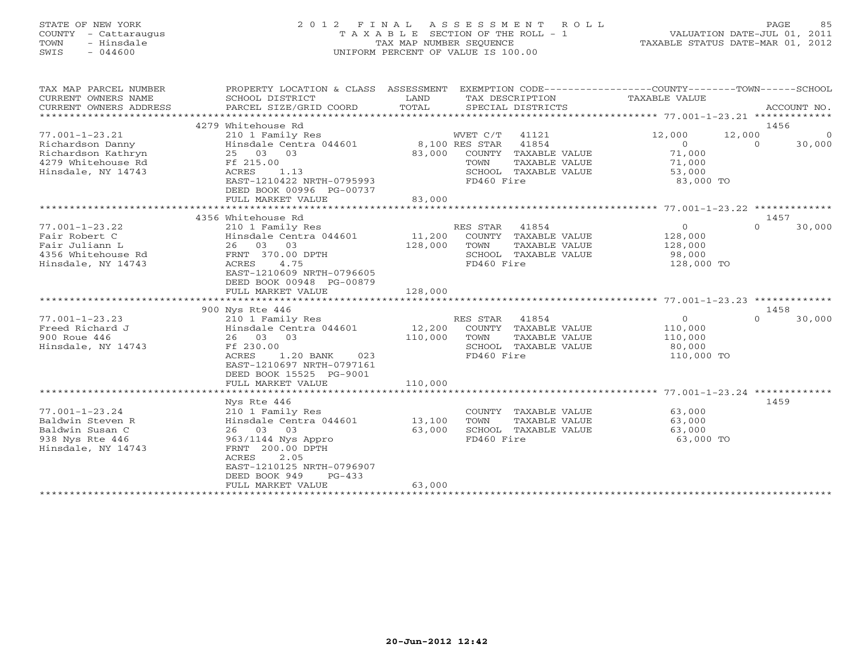# STATE OF NEW YORK 2 0 1 2 F I N A L A S S E S S M E N T R O L L PAGE 85 COUNTY - Cattaraugus T A X A B L E SECTION OF THE ROLL - 1 VALUATION DATE-JUL 01, 2011 TOWN - Hinsdale TAX MAP NUMBER SEQUENCE TAXABLE STATUS DATE-MAR 01, 2012 SWIS - 044600 UNIFORM PERCENT OF VALUE IS 100.00UNIFORM PERCENT OF VALUE IS 100.00

| TAX MAP PARCEL NUMBER<br>CURRENT OWNERS NAME<br>CURRENT OWNERS ADDRESS                                     | PROPERTY LOCATION & CLASS ASSESSMENT<br>SCHOOL DISTRICT<br>PARCEL SIZE/GRID COORD                                                                                                                 | LAND<br>TOTAL                | EXEMPTION CODE-----------------COUNTY-------TOWN------SCHOOL<br>TAX DESCRIPTION<br>SPECIAL DISTRICTS                                   | TAXABLE VALUE<br>*************** 77.001-1-23.21 **************         | ACCOUNT NO.                           |
|------------------------------------------------------------------------------------------------------------|---------------------------------------------------------------------------------------------------------------------------------------------------------------------------------------------------|------------------------------|----------------------------------------------------------------------------------------------------------------------------------------|------------------------------------------------------------------------|---------------------------------------|
| $77.001 - 1 - 23.21$<br>Richardson Danny<br>Richardson Kathryn<br>4279 Whitehouse Rd<br>Hinsdale, NY 14743 | 4279 Whitehouse Rd<br>210 1 Family Res<br>Hinsdale Centra 044601<br>25<br>03<br>03<br>Ff 215.00<br>ACRES<br>1.13<br>EAST-1210422 NRTH-0795993<br>DEED BOOK 00996 PG-00737<br>FULL MARKET VALUE    | 83,000<br>83,000             | WVET C/T<br>41121<br>8,100 RES STAR<br>41854<br>COUNTY<br>TAXABLE VALUE<br>TOWN<br>TAXABLE VALUE<br>SCHOOL TAXABLE VALUE<br>FD460 Fire | 12,000<br>12,000<br>$\circ$<br>71,000<br>71,000<br>53,000<br>83,000 TO | 1456<br>$\Omega$<br>$\circ$<br>30,000 |
|                                                                                                            | 4356 Whitehouse Rd                                                                                                                                                                                |                              |                                                                                                                                        |                                                                        | 1457                                  |
| $77.001 - 1 - 23.22$<br>Fair Robert C<br>Fair Juliann L<br>4356 Whitehouse Rd<br>Hinsdale, NY 14743        | 210 1 Family Res<br>Hinsdale Centra 044601<br>03<br>03<br>26<br>FRNT 370.00 DPTH<br>4.75<br>ACRES<br>EAST-1210609 NRTH-0796605<br>DEED BOOK 00948 PG-00879                                        | 11,200<br>128,000            | 41854<br>RES STAR<br>COUNTY TAXABLE VALUE<br>TAXABLE VALUE<br>TOWN<br>SCHOOL TAXABLE VALUE<br>FD460 Fire                               | $\mathbf 0$<br>128,000<br>128,000<br>98,000<br>128,000 TO              | $\Omega$<br>30,000                    |
|                                                                                                            | FULL MARKET VALUE                                                                                                                                                                                 | 128,000                      |                                                                                                                                        |                                                                        |                                       |
|                                                                                                            |                                                                                                                                                                                                   |                              |                                                                                                                                        |                                                                        |                                       |
|                                                                                                            | 900 Nys Rte 446                                                                                                                                                                                   |                              |                                                                                                                                        |                                                                        | 1458                                  |
| $77.001 - 1 - 23.23$<br>Freed Richard J<br>900 Roue 446<br>Hinsdale, NY 14743                              | 210 1 Family Res<br>Hinsdale Centra 044601<br>26 03 03<br>Ff 230.00<br>ACRES<br>$1.20$ BANK<br>023<br>EAST-1210697 NRTH-0797161<br>DEED BOOK 15525 PG-9001<br>FULL MARKET VALUE                   | 12,200<br>110,000<br>110,000 | RES STAR<br>41854<br>COUNTY TAXABLE VALUE<br>TOWN<br>TAXABLE VALUE<br>SCHOOL TAXABLE VALUE<br>FD460 Fire                               | $\Omega$<br>110,000<br>110,000<br>80,000<br>110,000 TO                 | $\Omega$<br>30,000                    |
|                                                                                                            |                                                                                                                                                                                                   | *******************          |                                                                                                                                        | ************************ 77.001-1-23.24 ************                   |                                       |
| $77.001 - 1 - 23.24$<br>Baldwin Steven R<br>Baldwin Susan C<br>938 Nys Rte 446<br>Hinsdale, NY 14743       | Nys Rte 446<br>210 1 Family Res<br>Hinsdale Centra 044601<br>26 03 03<br>963/1144 Nys Appro<br>FRNT 200.00 DPTH<br>2.05<br><b>ACRES</b><br>EAST-1210125 NRTH-0796907<br>DEED BOOK 949<br>$PG-433$ | 13,100<br>63,000             | COUNTY<br>TAXABLE VALUE<br>TOWN<br>TAXABLE VALUE<br>SCHOOL TAXABLE VALUE<br>FD460 Fire                                                 | 63,000<br>63,000<br>63,000<br>63,000 TO                                | 1459                                  |
|                                                                                                            | FULL MARKET VALUE                                                                                                                                                                                 | 63,000                       |                                                                                                                                        |                                                                        |                                       |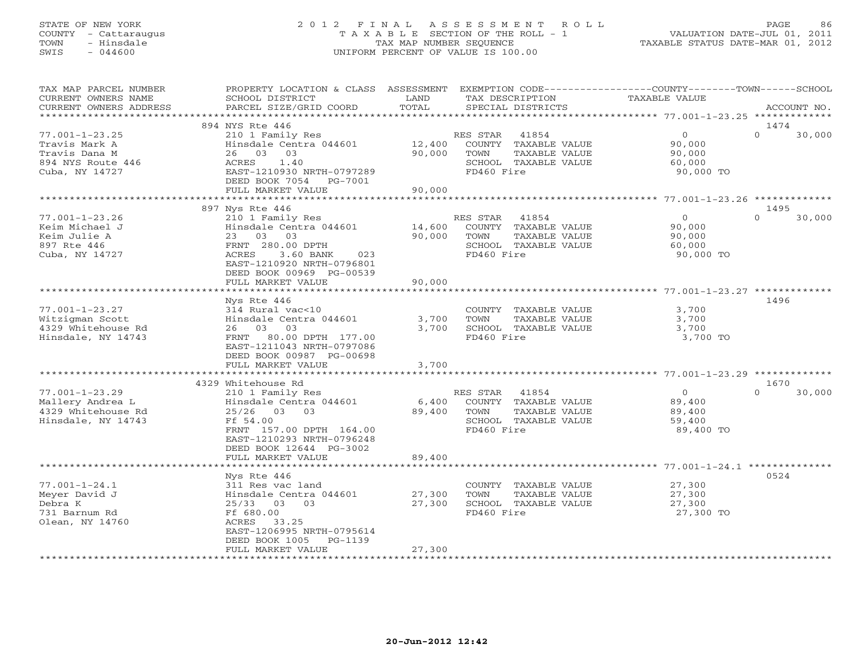# STATE OF NEW YORK 2 0 1 2 F I N A L A S S E S S M E N T R O L L PAGE 86 COUNTY - Cattaraugus T A X A B L E SECTION OF THE ROLL - 1 VALUATION DATE-JUL 01, 2011 TOWN - Hinsdale TAX MAP NUMBER SEQUENCE TAXABLE STATUS DATE-MAR 01, 2012 SWIS - 044600 UNIFORM PERCENT OF VALUE IS 100.00UNIFORM PERCENT OF VALUE IS 100.00

| TAX MAP PARCEL NUMBER<br>CURRENT OWNERS NAME<br>CURRENT OWNERS ADDRESS                                      | PROPERTY LOCATION & CLASS ASSESSMENT<br>SCHOOL DISTRICT<br>PARCEL SIZE/GRID COORD                                                                                                                                       | LAND<br>TOTAL              | TAX DESCRIPTION<br>SPECIAL DISTRICTS                                                                     | EXEMPTION CODE-----------------COUNTY-------TOWN------SCHOOL<br>TAXABLE VALUE | ACCOUNT NO.                        |
|-------------------------------------------------------------------------------------------------------------|-------------------------------------------------------------------------------------------------------------------------------------------------------------------------------------------------------------------------|----------------------------|----------------------------------------------------------------------------------------------------------|-------------------------------------------------------------------------------|------------------------------------|
| *******************                                                                                         |                                                                                                                                                                                                                         |                            |                                                                                                          |                                                                               |                                    |
| $77.001 - 1 - 23.25$<br>Travis Mark A<br>Travis Dana M<br>894 NYS Route 446<br>Cuba, NY 14727               | 894 NYS Rte 446<br>210 1 Family Res<br>Hinsdale Centra 044601<br>03<br>26<br>03<br>ACRES<br>1.40<br>EAST-1210930 NRTH-0797289<br>DEED BOOK 7054 PG-7001<br>FULL MARKET VALUE                                            | 12,400<br>90,000<br>90,000 | RES STAR<br>41854<br>COUNTY TAXABLE VALUE<br>TAXABLE VALUE<br>TOWN<br>SCHOOL TAXABLE VALUE<br>FD460 Fire | $\circ$<br>90,000<br>90,000<br>60,000<br>90,000 TO                            | 1474<br>$\Omega$<br>30,000         |
|                                                                                                             |                                                                                                                                                                                                                         |                            |                                                                                                          |                                                                               |                                    |
|                                                                                                             | 897 Nys Rte 446                                                                                                                                                                                                         |                            |                                                                                                          |                                                                               | 1495                               |
| $77.001 - 1 - 23.26$<br>Keim Michael J<br>Keim Julie A<br>897 Rte 446<br>Cuba, NY 14727                     | 210 1 Family Res<br>Hinsdale Centra 044601<br>23 03 03<br>FRNT 280.00 DPTH<br>ACRES<br>3.60 BANK<br>023<br>EAST-1210920 NRTH-0796801<br>DEED BOOK 00969 PG-00539                                                        | 14,600<br>90,000           | RES STAR<br>41854<br>COUNTY TAXABLE VALUE<br>TOWN<br>TAXABLE VALUE<br>SCHOOL TAXABLE VALUE<br>FD460 Fire | $\Omega$<br>90,000<br>90,000<br>60,000<br>90,000 TO                           | $\Omega$<br>30,000                 |
|                                                                                                             | FULL MARKET VALUE                                                                                                                                                                                                       | 90,000                     |                                                                                                          |                                                                               |                                    |
| $77.001 - 1 - 23.27$<br>Witzigman Scott<br>4329 Whitehouse Rd<br>Hinsdale, NY 14743<br>$77.001 - 1 - 23.29$ | Nys Rte 446<br>314 Rural vac<10<br>Hinsdale Centra 044601<br>26 03 03<br>FRNT 80.00 DPTH 177.00<br>EAST-1211043 NRTH-0797086<br>DEED BOOK 00987 PG-00698<br>FULL MARKET VALUE<br>4329 Whitehouse Rd<br>210 1 Family Res | 3,700<br>3,700<br>3,700    | COUNTY TAXABLE VALUE<br>TAXABLE VALUE<br>TOWN<br>SCHOOL TAXABLE VALUE<br>FD460 Fire<br>RES STAR<br>41854 | 3,700<br>3,700<br>3,700<br>3,700 TO<br>$\circ$                                | 1496<br>1670<br>$\Omega$<br>30,000 |
| Mallery Andrea L<br>4329 Whitehouse Rd<br>Hinsdale, NY 14743                                                | Hinsdale Centra 044601<br>$25/26$ 03<br>0.3<br>Ff 54.00<br>FRNT 157.00 DPTH 164.00<br>EAST-1210293 NRTH-0796248<br>DEED BOOK 12644 PG-3002<br>FULL MARKET VALUE                                                         | 6,400<br>89,400<br>89,400  | COUNTY TAXABLE VALUE<br>TAXABLE VALUE<br>TOWN<br>SCHOOL TAXABLE VALUE<br>FD460 Fire                      | 89,400<br>89,400<br>59,400<br>89,400 TO                                       |                                    |
|                                                                                                             |                                                                                                                                                                                                                         |                            |                                                                                                          | ********** 77.001-1-24.1 ********                                             |                                    |
| $77.001 - 1 - 24.1$<br>Meyer David J<br>Debra K<br>731 Barnum Rd<br>Olean, NY 14760                         | Nys Rte 446<br>311 Res vac land<br>Hinsdale Centra 044601<br>25/33 03 03<br>Ff 680.00<br>33.25<br>ACRES<br>EAST-1206995 NRTH-0795614<br>DEED BOOK 1005<br>$PG-1139$<br>FULL MARKET VALUE                                | 27,300<br>27,300<br>27,300 | COUNTY TAXABLE VALUE<br>TAXABLE VALUE<br>TOWN<br>SCHOOL TAXABLE VALUE<br>FD460 Fire                      | 27,300<br>27,300<br>27,300<br>27,300 TO                                       | 0524                               |
|                                                                                                             |                                                                                                                                                                                                                         |                            | ********************************                                                                         |                                                                               |                                    |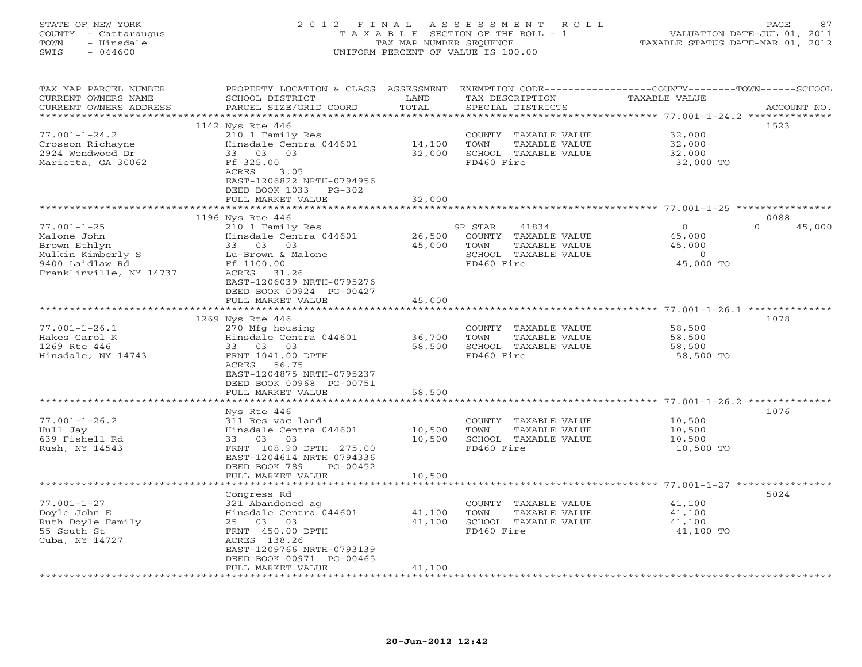## STATE OF NEW YORK 2 0 1 2 F I N A L A S S E S S M E N T R O L L PAGE 87 COUNTY - Cattaraugus T A X A B L E SECTION OF THE ROLL - 1 VALUATION DATE-JUL 01, 2011 TOWN - Hinsdale TAX MAP NUMBER SEQUENCE TAXABLE STATUS DATE-MAR 01, 2012 SWIS - 044600 UNIFORM PERCENT OF VALUE IS 100.00UNIFORM PERCENT OF VALUE IS 100.00

| TAX MAP PARCEL NUMBER<br>CURRENT OWNERS NAME | PROPERTY LOCATION & CLASS ASSESSMENT<br>SCHOOL DISTRICT | LAND                | TAX DESCRIPTION       | EXEMPTION CODE-----------------COUNTY-------TOWN------SCHOOL<br>TAXABLE VALUE |             |
|----------------------------------------------|---------------------------------------------------------|---------------------|-----------------------|-------------------------------------------------------------------------------|-------------|
| CURRENT OWNERS ADDRESS                       | PARCEL SIZE/GRID COORD                                  | TOTAL               | SPECIAL DISTRICTS     |                                                                               | ACCOUNT NO. |
| *********************                        |                                                         |                     |                       |                                                                               |             |
|                                              | 1142 Nys Rte 446                                        |                     |                       | 1523                                                                          |             |
| $77.001 - 1 - 24.2$                          | 210 1 Family Res                                        |                     | COUNTY TAXABLE VALUE  | 32,000                                                                        |             |
| Crosson Richayne                             | Hinsdale Centra 044601                                  | 14,100              | TOWN<br>TAXABLE VALUE | 32,000                                                                        |             |
| 2924 Wendwood Dr                             | 33 03 03                                                | 32,000              | SCHOOL TAXABLE VALUE  | 32,000                                                                        |             |
| Marietta, GA 30062                           | Ff 325.00                                               |                     | FD460 Fire            | 32,000 TO                                                                     |             |
|                                              | ACRES<br>3.05                                           |                     |                       |                                                                               |             |
|                                              | EAST-1206822 NRTH-0794956                               |                     |                       |                                                                               |             |
|                                              | DEED BOOK 1033 PG-302                                   |                     |                       |                                                                               |             |
|                                              | FULL MARKET VALUE                                       | 32,000<br>********* |                       | ********************* 77.001-1-25 ***********                                 |             |
|                                              |                                                         |                     |                       | 0088                                                                          |             |
| $77.001 - 1 - 25$                            | 1196 Nys Rte 446<br>210 1 Family Res                    |                     | SR STAR               | $\mathbf{O}$<br>$\Omega$                                                      |             |
|                                              | Hinsdale Centra 044601                                  |                     | 41834                 |                                                                               | 45,000      |
| Malone John                                  |                                                         | 26,500              | COUNTY TAXABLE VALUE  | 45,000                                                                        |             |
| Brown Ethlyn                                 | 33 03 03                                                | 45,000              | TOWN<br>TAXABLE VALUE | 45,000                                                                        |             |
| Mulkin Kimberly S                            | Lu-Brown & Malone                                       |                     | SCHOOL TAXABLE VALUE  | $\overline{0}$                                                                |             |
| 9400 Laidlaw Rd                              | Ff 1100.00                                              |                     | FD460 Fire            | 45,000 TO                                                                     |             |
| Franklinville, NY 14737                      | ACRES 31.26                                             |                     |                       |                                                                               |             |
|                                              | EAST-1206039 NRTH-0795276                               |                     |                       |                                                                               |             |
|                                              | DEED BOOK 00924 PG-00427                                |                     |                       |                                                                               |             |
|                                              | FULL MARKET VALUE                                       | 45,000              |                       |                                                                               |             |
|                                              |                                                         | ******************* |                       |                                                                               |             |
|                                              | 1269 Nys Rte 446                                        |                     |                       | 1078                                                                          |             |
| $77.001 - 1 - 26.1$                          | 270 Mfg housing                                         |                     | COUNTY TAXABLE VALUE  | 58,500                                                                        |             |
| Hakes Carol K                                | Hinsdale Centra 044601                                  | 36,700              | TOWN<br>TAXABLE VALUE | 58,500                                                                        |             |
| 1269 Rte 446                                 | 33 03 03                                                | 58,500              | SCHOOL TAXABLE VALUE  | 58,500                                                                        |             |
| Hinsdale, NY 14743                           | FRNT 1041.00 DPTH<br>ACRES 56.75                        |                     | FD460 Fire            | 58,500 TO                                                                     |             |
|                                              | EAST-1204875 NRTH-0795237                               |                     |                       |                                                                               |             |
|                                              | DEED BOOK 00968 PG-00751                                |                     |                       |                                                                               |             |
|                                              | FULL MARKET VALUE                                       | 58,500              |                       |                                                                               |             |
|                                              |                                                         |                     |                       |                                                                               |             |
|                                              | Nys Rte 446                                             |                     |                       | 1076                                                                          |             |
| $77.001 - 1 - 26.2$                          | 311 Res vac land                                        |                     | COUNTY TAXABLE VALUE  | 10,500                                                                        |             |
| Hull Jay                                     | Hinsdale Centra 044601                                  | 10,500              | TOWN<br>TAXABLE VALUE | 10,500                                                                        |             |
| 639 Fishell Rd                               | 33 03 03                                                | 10,500              | SCHOOL TAXABLE VALUE  | 10,500                                                                        |             |
| Rush, NY 14543                               | FRNT 108.90 DPTH 275.00                                 |                     | FD460 Fire            | 10,500 TO                                                                     |             |
|                                              | EAST-1204614 NRTH-0794336                               |                     |                       |                                                                               |             |
|                                              | DEED BOOK 789<br>PG-00452                               |                     |                       |                                                                               |             |
|                                              | FULL MARKET VALUE                                       | 10,500              |                       |                                                                               |             |
|                                              |                                                         |                     |                       |                                                                               |             |
|                                              | Congress Rd                                             |                     |                       | 5024                                                                          |             |
| $77.001 - 1 - 27$                            | 321 Abandoned ag                                        |                     | COUNTY TAXABLE VALUE  | 41,100                                                                        |             |
| Doyle John E                                 | Hinsdale Centra 044601                                  | 41,100              | TOWN<br>TAXABLE VALUE | 41,100                                                                        |             |
| Ruth Doyle Family                            | 25 03 03                                                | 41,100              | SCHOOL TAXABLE VALUE  | 41,100                                                                        |             |
| 55 South St                                  | FRNT 450.00 DPTH                                        |                     | FD460 Fire            | 41,100 TO                                                                     |             |
| Cuba, NY 14727                               | ACRES 138.26                                            |                     |                       |                                                                               |             |
|                                              | EAST-1209766 NRTH-0793139                               |                     |                       |                                                                               |             |
|                                              | DEED BOOK 00971 PG-00465                                |                     |                       |                                                                               |             |
|                                              | FULL MARKET VALUE                                       | 41,100              |                       |                                                                               |             |
|                                              |                                                         |                     |                       |                                                                               |             |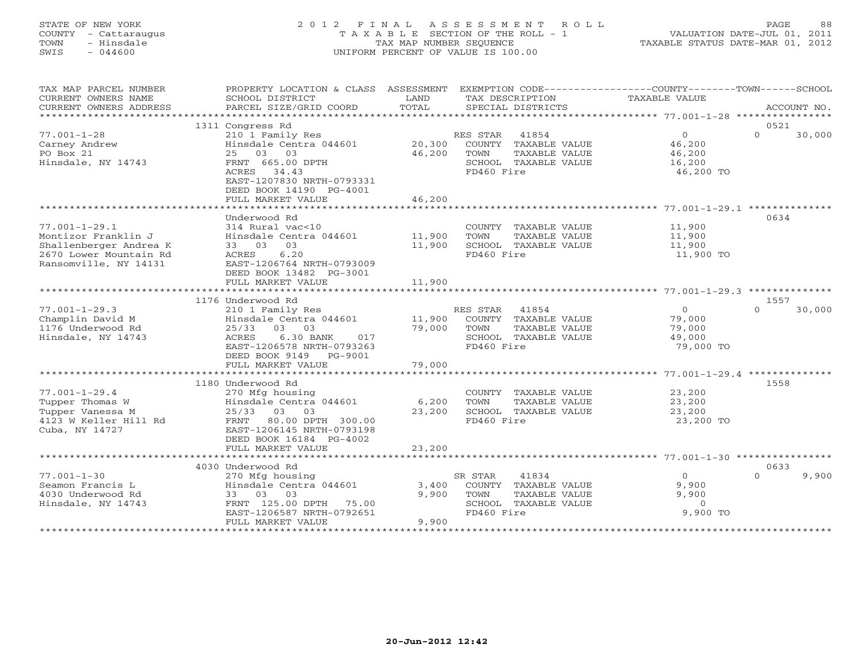## STATE OF NEW YORK 2 0 1 2 F I N A L A S S E S S M E N T R O L L PAGE 88 COUNTY - Cattaraugus T A X A B L E SECTION OF THE ROLL - 1 VALUATION DATE-JUL 01, 2011 TOWN - Hinsdale TAX MAP NUMBER SEQUENCE TAXABLE STATUS DATE-MAR 01, 2012 SWIS - 044600 UNIFORM PERCENT OF VALUE IS 100.00UNIFORM PERCENT OF VALUE IS 100.00

| TAX MAP PARCEL NUMBER  | PROPERTY LOCATION & CLASS ASSESSMENT |        |                       | EXEMPTION CODE-----------------COUNTY-------TOWN------SCHOOL |             |
|------------------------|--------------------------------------|--------|-----------------------|--------------------------------------------------------------|-------------|
| CURRENT OWNERS NAME    | SCHOOL DISTRICT                      | LAND   | TAX DESCRIPTION       | TAXABLE VALUE                                                |             |
| CURRENT OWNERS ADDRESS | PARCEL SIZE/GRID COORD               | TOTAL  | SPECIAL DISTRICTS     |                                                              | ACCOUNT NO. |
| ******************     | *****************************        |        |                       |                                                              |             |
|                        | 1311 Congress Rd                     |        |                       | 0521                                                         |             |
| $77.001 - 1 - 28$      | 210 1 Family Res                     |        | RES STAR<br>41854     | $\circ$<br>$\Omega$                                          | 30,000      |
| Carney Andrew          | Hinsdale Centra 044601               | 20,300 | COUNTY TAXABLE VALUE  | 46,200                                                       |             |
| PO Box 21              | 25 03 03                             | 46,200 | TOWN<br>TAXABLE VALUE | 46,200                                                       |             |
| Hinsdale, NY 14743     | FRNT 665.00 DPTH                     |        | SCHOOL TAXABLE VALUE  | 16,200                                                       |             |
|                        | 34.43<br>ACRES                       |        | FD460 Fire            | 46,200 TO                                                    |             |
|                        | EAST-1207830 NRTH-0793331            |        |                       |                                                              |             |
|                        | DEED BOOK 14190 PG-4001              |        |                       |                                                              |             |
|                        | FULL MARKET VALUE                    | 46,200 |                       |                                                              |             |
|                        |                                      |        |                       |                                                              |             |
|                        | Underwood Rd                         |        |                       | 0634                                                         |             |
| $77.001 - 1 - 29.1$    | 314 Rural vac<10                     |        | COUNTY TAXABLE VALUE  | 11,900                                                       |             |
| Montizor Franklin J    | Hinsdale Centra 044601               | 11,900 | TAXABLE VALUE<br>TOWN | 11,900                                                       |             |
| Shallenberger Andrea K | 33 03 03                             | 11,900 | SCHOOL TAXABLE VALUE  | 11,900                                                       |             |
| 2670 Lower Mountain Rd | ACRES<br>6.20                        |        | FD460 Fire            | 11,900 TO                                                    |             |
| Ransomville, NY 14131  | EAST-1206764 NRTH-0793009            |        |                       |                                                              |             |
|                        | DEED BOOK 13482 PG-3001              |        |                       |                                                              |             |
|                        | FULL MARKET VALUE                    | 11,900 |                       |                                                              |             |
|                        |                                      |        |                       |                                                              |             |
|                        |                                      |        |                       |                                                              |             |
|                        | 1176 Underwood Rd                    |        |                       | 1557<br>$\Omega$                                             |             |
| $77.001 - 1 - 29.3$    | 210 1 Family Res                     |        | RES STAR<br>41854     | $\Omega$                                                     | 30,000      |
| Champlin David M       | Hinsdale Centra 044601               | 11,900 | COUNTY TAXABLE VALUE  | 79,000                                                       |             |
| 1176 Underwood Rd      | 25/33 03 03                          | 79,000 | TOWN<br>TAXABLE VALUE | 79,000                                                       |             |
| Hinsdale, NY 14743     | ACRES<br>6.30 BANK<br>017            |        | SCHOOL TAXABLE VALUE  | 49,000                                                       |             |
|                        | EAST-1206578 NRTH-0793263            |        | FD460 Fire            | 79,000 TO                                                    |             |
|                        | DEED BOOK 9149<br>PG-9001            |        |                       |                                                              |             |
|                        | FULL MARKET VALUE                    | 79,000 |                       |                                                              |             |
|                        |                                      |        |                       |                                                              |             |
|                        | 1180 Underwood Rd                    |        |                       | 1558                                                         |             |
| $77.001 - 1 - 29.4$    | 270 Mfg housing                      |        | COUNTY TAXABLE VALUE  | 23,200                                                       |             |
| Tupper Thomas W        | Hinsdale Centra 044601               | 6,200  | TOWN<br>TAXABLE VALUE | 23,200                                                       |             |
| Tupper Vanessa M       | 25/33 03 03                          | 23,200 | SCHOOL TAXABLE VALUE  | 23,200                                                       |             |
| 4123 W Keller Hill Rd  | FRNT 80.00 DPTH 300.00               |        | FD460 Fire            | 23,200 TO                                                    |             |
| Cuba, NY 14727         | EAST-1206145 NRTH-0793198            |        |                       |                                                              |             |
|                        | DEED BOOK 16184 PG-4002              |        |                       |                                                              |             |
|                        | FULL MARKET VALUE                    | 23,200 |                       |                                                              |             |
|                        | **************************           |        |                       |                                                              |             |
|                        | 4030 Underwood Rd                    |        |                       | 0633                                                         |             |
| $77.001 - 1 - 30$      | 270 Mfg housing                      |        | 41834<br>SR STAR      | $\overline{0}$<br>$\Omega$                                   | 9,900       |
| Seamon Francis L       | Hinsdale Centra 044601               | 3,400  | COUNTY TAXABLE VALUE  | 9,900                                                        |             |
| 4030 Underwood Rd      | 33 03 03                             | 9,900  | TOWN<br>TAXABLE VALUE | 9,900                                                        |             |
| Hinsdale, NY 14743     | FRNT 125.00 DPTH 75.00               |        | SCHOOL TAXABLE VALUE  | $\circ$                                                      |             |
|                        | EAST-1206587 NRTH-0792651            |        | FD460 Fire            | 9,900 TO                                                     |             |
|                        | FULL MARKET VALUE                    | 9,900  |                       |                                                              |             |
|                        |                                      |        |                       |                                                              |             |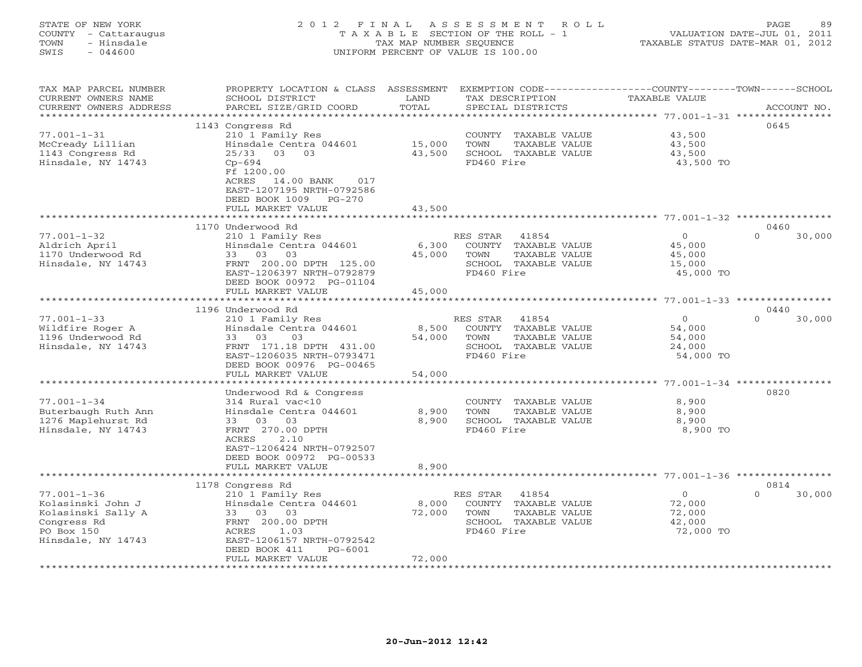## STATE OF NEW YORK 2 0 1 2 F I N A L A S S E S S M E N T R O L L PAGE 89 COUNTY - Cattaraugus T A X A B L E SECTION OF THE ROLL - 1 VALUATION DATE-JUL 01, 2011 TOWN - Hinsdale TAX MAP NUMBER SEQUENCE TAXABLE STATUS DATE-MAR 01, 2012 SWIS - 044600 UNIFORM PERCENT OF VALUE IS 100.00UNIFORM PERCENT OF VALUE IS 100.00

| TAX MAP PARCEL NUMBER  | PROPERTY LOCATION & CLASS ASSESSMENT |            | EXEMPTION CODE-----------------COUNTY-------TOWN-----SCHOOL |                |                    |
|------------------------|--------------------------------------|------------|-------------------------------------------------------------|----------------|--------------------|
| CURRENT OWNERS NAME    | SCHOOL DISTRICT                      | LAND       | TAX DESCRIPTION                                             | TAXABLE VALUE  |                    |
| CURRENT OWNERS ADDRESS | PARCEL SIZE/GRID COORD               | TOTAL      | SPECIAL DISTRICTS                                           |                | ACCOUNT NO.        |
| ************           |                                      |            |                                                             |                |                    |
|                        | 1143 Congress Rd                     |            |                                                             |                | 0645               |
| $77.001 - 1 - 31$      | 210 1 Family Res                     |            | COUNTY TAXABLE VALUE                                        | 43,500         |                    |
| McCready Lillian       | Hinsdale Centra 044601               | 15,000     | TOWN<br>TAXABLE VALUE                                       | 43,500         |                    |
|                        | $25/33$ 03<br>03                     | 43,500     | SCHOOL TAXABLE VALUE                                        | 43,500         |                    |
| 1143 Congress Rd       |                                      |            |                                                             |                |                    |
| Hinsdale, NY 14743     | $Cp-694$                             |            | FD460 Fire                                                  | 43,500 TO      |                    |
|                        | Ff 1200.00                           |            |                                                             |                |                    |
|                        | 14.00 BANK<br>ACRES<br>017           |            |                                                             |                |                    |
|                        | EAST-1207195 NRTH-0792586            |            |                                                             |                |                    |
|                        | DEED BOOK 1009<br>PG-270             |            |                                                             |                |                    |
|                        | FULL MARKET VALUE                    | 43,500     |                                                             |                |                    |
|                        |                                      | ********** |                                                             |                |                    |
|                        | 1170 Underwood Rd                    |            |                                                             |                | 0460               |
| $77.001 - 1 - 32$      | 210 1 Family Res                     |            | 41854<br>RES STAR                                           | $\overline{O}$ | $\Omega$<br>30,000 |
| Aldrich April          | Hinsdale Centra 044601               | 6,300      | COUNTY TAXABLE VALUE                                        | 45,000         |                    |
| 1170 Underwood Rd      | 33 03 03                             | 45,000     | TOWN<br>TAXABLE VALUE                                       | 45,000         |                    |
|                        |                                      |            |                                                             |                |                    |
| Hinsdale, NY 14743     | FRNT 200.00 DPTH 125.00              |            | SCHOOL TAXABLE VALUE                                        | 15,000         |                    |
|                        | EAST-1206397 NRTH-0792879            |            | FD460 Fire                                                  | 45,000 TO      |                    |
|                        | DEED BOOK 00972 PG-01104             |            |                                                             |                |                    |
|                        | FULL MARKET VALUE                    | 45,000     |                                                             |                |                    |
|                        |                                      |            |                                                             |                |                    |
|                        | 1196 Underwood Rd                    |            |                                                             |                | 0440               |
| $77.001 - 1 - 33$      | 210 1 Family Res                     |            | RES STAR<br>41854                                           | $\circ$        | $\Omega$<br>30,000 |
| Wildfire Roger A       | Hinsdale Centra 044601               | 8,500      | COUNTY TAXABLE VALUE                                        | 54,000         |                    |
| 1196 Underwood Rd      | 33 03<br>03                          | 54,000     | TOWN<br>TAXABLE VALUE                                       | 54,000         |                    |
| Hinsdale, NY 14743     | FRNT 171.18 DPTH 431.00              |            | SCHOOL TAXABLE VALUE                                        | 24,000         |                    |
|                        | EAST-1206035 NRTH-0793471            |            | FD460 Fire                                                  | 54,000 TO      |                    |
|                        | DEED BOOK 00976 PG-00465             |            |                                                             |                |                    |
|                        | FULL MARKET VALUE                    | 54,000     |                                                             |                |                    |
|                        |                                      |            |                                                             |                |                    |
|                        |                                      |            |                                                             |                |                    |
|                        | Underwood Rd & Congress              |            |                                                             |                | 0820               |
| $77.001 - 1 - 34$      | 314 Rural vac<10                     |            | COUNTY TAXABLE VALUE                                        | 8,900          |                    |
| Buterbaugh Ruth Ann    | Hinsdale Centra 044601               | 8,900      | TOWN<br>TAXABLE VALUE                                       | 8,900          |                    |
| 1276 Maplehurst Rd     | 33 03 03                             | 8,900      | SCHOOL TAXABLE VALUE                                        | 8,900          |                    |
| Hinsdale, NY 14743     | FRNT 270.00 DPTH                     |            | FD460 Fire                                                  | 8,900 TO       |                    |
|                        | ACRES<br>2.10                        |            |                                                             |                |                    |
|                        | EAST-1206424 NRTH-0792507            |            |                                                             |                |                    |
|                        | DEED BOOK 00972 PG-00533             |            |                                                             |                |                    |
|                        | FULL MARKET VALUE                    | 8,900      |                                                             |                |                    |
|                        | *******************                  |            |                                                             |                |                    |
|                        | 1178 Congress Rd                     |            |                                                             |                | 0814               |
| $77.001 - 1 - 36$      | 210 1 Family Res                     |            | 41854<br>RES STAR                                           | $\overline{0}$ | $\Omega$<br>30,000 |
| Kolasinski John J      | Hinsdale Centra 044601               | 8,000      | COUNTY TAXABLE VALUE                                        | 72,000         |                    |
| Kolasinski Sally A     | 33<br>03 03                          | 72,000     | TOWN<br>TAXABLE VALUE                                       | 72,000         |                    |
| Congress Rd            | FRNT 200.00 DPTH                     |            | SCHOOL TAXABLE VALUE                                        | 42,000         |                    |
| PO Box 150             | 1.03                                 |            | FD460 Fire                                                  |                |                    |
|                        | ACRES                                |            |                                                             | 72,000 TO      |                    |
| Hinsdale, NY 14743     | EAST-1206157 NRTH-0792542            |            |                                                             |                |                    |
|                        | DEED BOOK 411<br>PG-6001             |            |                                                             |                |                    |
|                        | FULL MARKET VALUE                    | 72,000     |                                                             |                |                    |
|                        |                                      |            |                                                             |                |                    |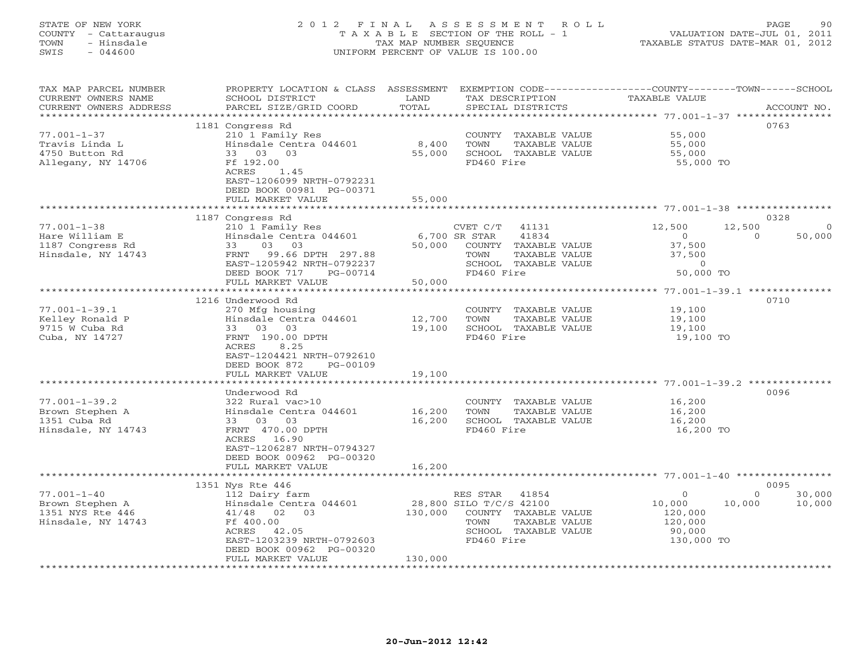## STATE OF NEW YORK 2 0 1 2 F I N A L A S S E S S M E N T R O L L PAGE 90 COUNTY - Cattaraugus T A X A B L E SECTION OF THE ROLL - 1 VALUATION DATE-JUL 01, 2011 TOWN - Hinsdale TAX MAP NUMBER SEQUENCE TAXABLE STATUS DATE-MAR 01, 2012 SWIS - 044600 UNIFORM PERCENT OF VALUE IS 100.00UNIFORM PERCENT OF VALUE IS 100.00

| TAX MAP PARCEL NUMBER<br>CURRENT OWNERS NAME<br>CURRENT OWNERS ADDRESS         | PROPERTY LOCATION & CLASS ASSESSMENT EXEMPTION CODE---------------COUNTY-------TOWN------SCHOOL<br>SCHOOL DISTRICT<br>PARCEL SIZE/GRID COORD                                                   | LAND<br>TOTAL              | TAX DESCRIPTION<br>SPECIAL DISTRICTS                                                                                                | TAXABLE VALUE                                                        | ACCOUNT NO.                                    |
|--------------------------------------------------------------------------------|------------------------------------------------------------------------------------------------------------------------------------------------------------------------------------------------|----------------------------|-------------------------------------------------------------------------------------------------------------------------------------|----------------------------------------------------------------------|------------------------------------------------|
| $77.001 - 1 - 37$<br>Travis Linda L<br>4750 Button Rd<br>Allegany, NY 14706    | 1181 Congress Rd<br>210 1 Family Res<br>Hinsdale Centra 044601<br>33 03 03<br>Ff 192.00<br>ACRES<br>1.45<br>EAST-1206099 NRTH-0792231<br>DEED BOOK 00981 PG-00371<br>FULL MARKET VALUE         | 8,400<br>55,000<br>55,000  | COUNTY TAXABLE VALUE<br>TOWN<br>TAXABLE VALUE<br>SCHOOL TAXABLE VALUE<br>FD460 Fire                                                 | 55,000<br>55,000<br>55,000<br>55,000 TO                              | 0763                                           |
|                                                                                | 1187 Congress Rd                                                                                                                                                                               |                            |                                                                                                                                     |                                                                      | 0328                                           |
| $77.001 - 1 - 38$<br>Hare William E<br>1187 Congress Rd<br>Hinsdale, NY 14743  | 210 1 Family Res<br>Hinsdale Centra 044601<br>03 03<br>33<br>FRNT 99.66 DPTH 297.88<br>EAST-1205942 NRTH-0792237<br>DEED BOOK 717<br>PG-00714                                                  | 6,700 SR STAR<br>50,000    | CVET C/T<br>41131<br>41834<br>COUNTY TAXABLE VALUE<br>TOWN<br>TAXABLE VALUE<br>SCHOOL TAXABLE VALUE<br>FD460 Fire                   | 12,500<br>$\circ$<br>37,500<br>37,500<br>$\overline{0}$<br>50,000 TO | 12,500<br>50,000<br>$\Omega$                   |
|                                                                                | FULL MARKET VALUE<br>***********************                                                                                                                                                   | 50,000                     |                                                                                                                                     |                                                                      |                                                |
| $77.001 - 1 - 39.1$<br>Kelley Ronald P<br>9715 W Cuba Rd<br>Cuba, NY 14727     | 1216 Underwood Rd<br>270 Mfg housing<br>Hinsdale Centra 044601<br>33 03 03<br>FRNT 190.00 DPTH<br>ACRES<br>8.25<br>EAST-1204421 NRTH-0792610<br>DEED BOOK 872<br>PG-00109<br>FULL MARKET VALUE | 12,700<br>19,100<br>19,100 | COUNTY TAXABLE VALUE<br>TOWN<br>TAXABLE VALUE<br>SCHOOL TAXABLE VALUE<br>FD460 Fire                                                 | 19,100<br>19,100<br>19,100<br>19,100 TO                              | 0710                                           |
|                                                                                | Underwood Rd                                                                                                                                                                                   |                            |                                                                                                                                     |                                                                      | 0096                                           |
| $77.001 - 1 - 39.2$<br>Brown Stephen A<br>1351 Cuba Rd<br>Hinsdale, NY 14743   | 322 Rural vac>10<br>Hinsdale Centra 044601<br>33 03 03<br>FRNT 470.00 DPTH<br>ACRES 16.90<br>EAST-1206287 NRTH-0794327<br>DEED BOOK 00962 PG-00320<br>FULL MARKET VALUE                        | 16,200<br>16,200<br>16,200 | COUNTY TAXABLE VALUE<br>TOWN<br>TAXABLE VALUE<br>SCHOOL TAXABLE VALUE<br>FD460 Fire                                                 | 16,200<br>16,200<br>16,200<br>16,200 TO                              |                                                |
|                                                                                |                                                                                                                                                                                                |                            |                                                                                                                                     |                                                                      |                                                |
| $77.001 - 1 - 40$<br>Brown Stephen A<br>1351 NYS Rte 446<br>Hinsdale, NY 14743 | 1351 Nys Rte 446<br>112 Dairy farm<br>Hinsdale Centra 044601<br>41/48 02 03<br>Ff 400.00<br>ACRES 42.05<br>EAST-1203239 NRTH-0792603<br>DEED BOOK 00962 PG-00320<br>FULL MARKET VALUE          | 130,000<br>130,000         | RES STAR<br>41854<br>28,800 SILO T/C/S 42100<br>COUNTY TAXABLE VALUE<br>TAXABLE VALUE<br>TOWN<br>SCHOOL TAXABLE VALUE<br>FD460 Fire | $\Omega$<br>10,000<br>120,000<br>120,000<br>90,000<br>130,000 TO     | 0095<br>30,000<br>$\Omega$<br>10,000<br>10,000 |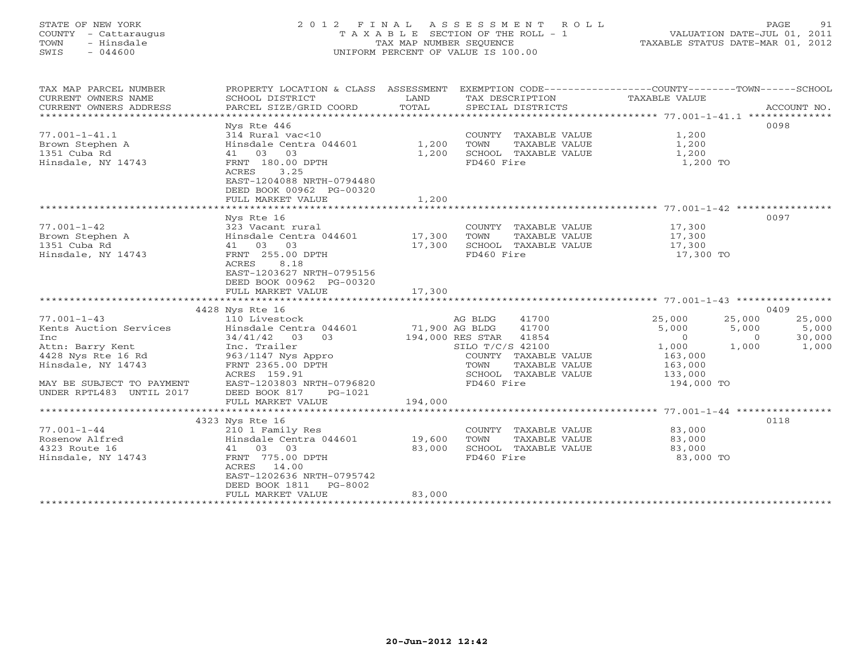## STATE OF NEW YORK 2 0 1 2 F I N A L A S S E S S M E N T R O L L PAGE 91 COUNTY - Cattaraugus T A X A B L E SECTION OF THE ROLL - 1 VALUATION DATE-JUL 01, 2011 TOWN - Hinsdale TAX MAP NUMBER SEQUENCE TAXABLE STATUS DATE-MAR 01, 2012 SWIS - 044600 UNIFORM PERCENT OF VALUE IS 100.00UNIFORM PERCENT OF VALUE IS 100.00

| TAX MAP PARCEL NUMBER<br>CURRENT OWNERS NAME<br>CURRENT OWNERS ADDRESS                                                                                                                                                                       | PROPERTY LOCATION & CLASS ASSESSMENT<br>SCHOOL DISTRICT<br>PARCEL SIZE/GRID COORD                                                                                                                  | LAND<br>TOTAL                      | TAX DESCRIPTION TAXABLE VALUE<br>SPECIAL DISTRICTS                                                                                            | EXEMPTION CODE-----------------COUNTY-------TOWN------SCHOOL                                                 | ACCOUNT NO.                                                           |
|----------------------------------------------------------------------------------------------------------------------------------------------------------------------------------------------------------------------------------------------|----------------------------------------------------------------------------------------------------------------------------------------------------------------------------------------------------|------------------------------------|-----------------------------------------------------------------------------------------------------------------------------------------------|--------------------------------------------------------------------------------------------------------------|-----------------------------------------------------------------------|
| $77.001 - 1 - 41.1$<br>Brown Stephen A<br>1351 Cuba Rd<br>Hinsdale, NY 14743                                                                                                                                                                 | Nys Rte 446<br>314 Rural vac<10<br>Hinsdale Centra 044601 1,200<br>41 03 03<br>FRNT 180.00 DPTH<br>ACRES<br>3.25<br>EAST-1204088 NRTH-0794480<br>DEED BOOK 00962 PG-00320                          | 1,200                              | COUNTY TAXABLE VALUE<br>TOWN<br>TAXABLE VALUE<br>SCHOOL TAXABLE VALUE<br>FD460 Fire                                                           | 1,200<br>1,200<br>1,200<br>1,200 TO                                                                          | 0098                                                                  |
|                                                                                                                                                                                                                                              | FULL MARKET VALUE                                                                                                                                                                                  | 1,200                              |                                                                                                                                               |                                                                                                              |                                                                       |
| $77.001 - 1 - 42$<br>Brown Stephen A<br>1351 Cuba Rd<br>Hinsdale NV 14742<br>Hinsdale, NY 14743                                                                                                                                              | Nys Rte 16<br>323 Vacant rural<br>Hinsdale Centra 044601 17,300<br>41 03 03<br>FRNT 255.00 DPTH<br>ACRES<br>8.18<br>EAST-1203627 NRTH-0795156<br>DEED BOOK 00962 PG-00320                          | 17,300                             | COUNTY TAXABLE VALUE 17,300<br>TOWN<br>SCHOOL TAXABLE VALUE<br>FD460 Fire                                                                     | TAXABLE VALUE 17,300<br>17,300<br>17,300 TO                                                                  | 0097                                                                  |
|                                                                                                                                                                                                                                              | FULL MARKET VALUE                                                                                                                                                                                  | 17,300                             |                                                                                                                                               |                                                                                                              |                                                                       |
|                                                                                                                                                                                                                                              | 4428 Nys Rte 16                                                                                                                                                                                    |                                    |                                                                                                                                               |                                                                                                              |                                                                       |
|                                                                                                                                                                                                                                              |                                                                                                                                                                                                    |                                    |                                                                                                                                               |                                                                                                              |                                                                       |
| 77.001-1-43<br>Kents Auction Services<br>$\frac{110 \text{ Lives} \text{to} \text{K}}{2444442}$<br>$\frac{0.44601}{0.3}$<br>Inc<br>Accu: Barry Kent<br>4428 Nys Rte 16 Rd<br>Hinedole Pro<br>Hinsdale, NY 14743<br>MAY BE SUBJECT TO PAYMENT | 03<br>34/41/42 03<br>Inc. Trailer<br>963/1147 Nys Appro                                                                                                                                            | 71,900 AG BLDG<br>194,000 RES STAR | 41700<br>AG BLDG<br>41700<br>41854<br>SILO T/C/S 42100<br>COUNTY TAXABLE VALUE<br>TOWN<br>TAXABLE VALUE<br>SCHOOL TAXABLE VALUE<br>FD460 Fire | 25,000<br>25,000<br>5,000<br>5,000<br>$\overline{0}$<br>1,000<br>163,000<br>163,000<br>133,000<br>194,000 TO | 0409<br>25,000<br>5,000<br>30,000<br>$\overline{0}$<br>1,000<br>1,000 |
| UNDER RPTL483 UNTIL 2017                                                                                                                                                                                                                     | FRNT 2365.00 DPTH<br>ACRES 159.91<br>EAST-1203803 NRTH-0796820<br>DEED BOOK 817<br>PG-1021                                                                                                         |                                    |                                                                                                                                               |                                                                                                              |                                                                       |
|                                                                                                                                                                                                                                              | FULL MARKET VALUE                                                                                                                                                                                  | 194,000                            |                                                                                                                                               |                                                                                                              |                                                                       |
|                                                                                                                                                                                                                                              |                                                                                                                                                                                                    |                                    |                                                                                                                                               |                                                                                                              |                                                                       |
| $77.001 - 1 - 44$<br>Rosenow Alfred<br>4323 Route 16<br>Hinsdale, NY 14743                                                                                                                                                                   | 4323 Nys Rte 16<br>210 1 Family Res<br>Hinsdale Centra 044601 19,600<br>41 03 03<br>FRNT 775.00 DPTH<br>ACRES 14.00<br>EAST-1202636 NRTH-0795742<br>DEED BOOK 1811<br>PG-8002<br>FULL MARKET VALUE | 83,000<br>83,000                   | COUNTY TAXABLE VALUE<br>TOWN<br>TAXABLE VALUE<br>SCHOOL TAXABLE VALUE<br>FD460 Fire                                                           | 83,000<br>83,000<br>83,000<br>83,000 TO                                                                      | 0118                                                                  |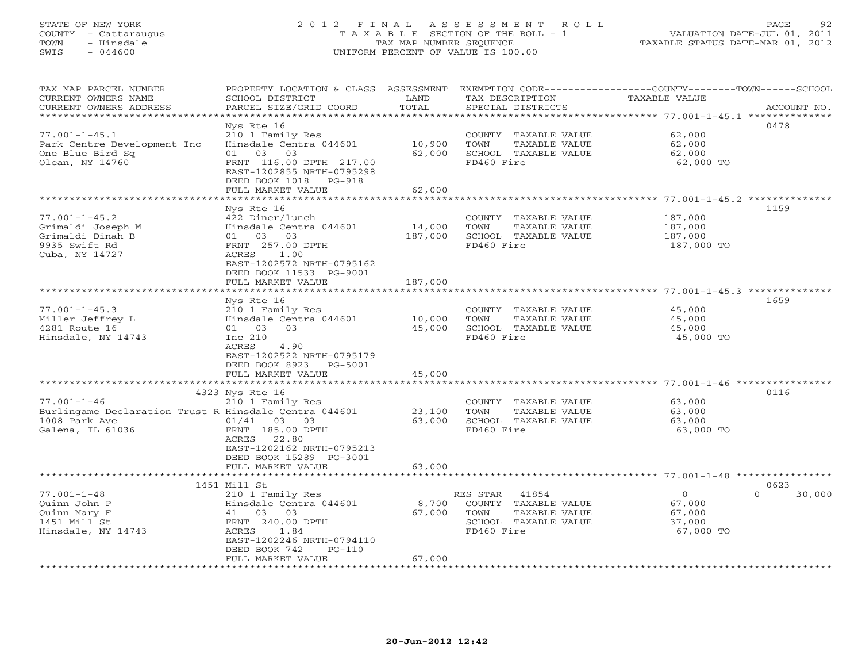# STATE OF NEW YORK 2 0 1 2 F I N A L A S S E S S M E N T R O L L PAGE 92 COUNTY - Cattaraugus T A X A B L E SECTION OF THE ROLL - 1 VALUATION DATE-JUL 01, 2011 TOWN - Hinsdale TAX MAP NUMBER SEQUENCE TAXABLE STATUS DATE-MAR 01, 2012 SWIS - 044600 UNIFORM PERCENT OF VALUE IS 100.00UNIFORM PERCENT OF VALUE IS 100.00

| TAX MAP PARCEL NUMBER<br>CURRENT OWNERS NAME<br>CURRENT OWNERS ADDRESS<br>********************                  | PROPERTY LOCATION & CLASS ASSESSMENT<br>SCHOOL DISTRICT<br>PARCEL SIZE/GRID COORD                                                                                                           | LAND<br>TOTAL                              | TAX DESCRIPTION<br>SPECIAL DISTRICTS                                                                     | EXEMPTION CODE-----------------COUNTY-------TOWN------SCHOOL<br>TAXABLE VALUE                      | ACCOUNT NO.        |
|-----------------------------------------------------------------------------------------------------------------|---------------------------------------------------------------------------------------------------------------------------------------------------------------------------------------------|--------------------------------------------|----------------------------------------------------------------------------------------------------------|----------------------------------------------------------------------------------------------------|--------------------|
| $77.001 - 1 - 45.1$<br>Park Centre Development Inc<br>One Blue Bird Sq<br>Olean, NY 14760                       | Nys Rte 16<br>210 1 Family Res<br>Hinsdale Centra 044601<br>03<br>03<br>01<br>FRNT 116.00 DPTH 217.00<br>EAST-1202855 NRTH-0795298<br>DEED BOOK 1018 PG-918<br>FULL MARKET VALUE            | 10,900<br>62,000<br>62,000                 | COUNTY TAXABLE VALUE<br>TOWN<br>TAXABLE VALUE<br>SCHOOL TAXABLE VALUE<br>FD460 Fire                      | 62,000<br>62,000<br>62,000<br>62,000 TO                                                            | 0478               |
|                                                                                                                 |                                                                                                                                                                                             |                                            |                                                                                                          |                                                                                                    |                    |
| $77.001 - 1 - 45.2$<br>Grimaldi Joseph M<br>Grimaldi Dinah B<br>9935 Swift Rd<br>Cuba, NY 14727                 | Nys Rte 16<br>422 Diner/lunch<br>Hinsdale Centra 044601<br>01 03 03<br>FRNT 257.00 DPTH<br>ACRES<br>1.00<br>EAST-1202572 NRTH-0795162<br>DEED BOOK 11533 PG-9001<br>FULL MARKET VALUE       | 14,000<br>187,000<br>187,000               | COUNTY TAXABLE VALUE<br>TOWN<br>TAXABLE VALUE<br>SCHOOL TAXABLE VALUE<br>FD460 Fire                      | 187,000<br>187,000<br>187,000<br>187,000 TO                                                        | 1159               |
|                                                                                                                 |                                                                                                                                                                                             |                                            |                                                                                                          |                                                                                                    |                    |
| $77.001 - 1 - 45.3$<br>Miller Jeffrey L<br>4281 Route 16<br>Hinsdale, NY 14743                                  | Nys Rte 16<br>210 1 Family Res<br>Hinsdale Centra 044601<br>01 03<br>03<br>Inc 210<br><b>ACRES</b><br>4.90<br>EAST-1202522 NRTH-0795179<br>DEED BOOK 8923 PG-5001<br>FULL MARKET VALUE<br>. | 10,000<br>45,000<br>45,000<br>************ | COUNTY TAXABLE VALUE<br>TOWN<br>TAXABLE VALUE<br>SCHOOL TAXABLE VALUE<br>FD460 Fire                      | 45,000<br>45,000<br>45,000<br>45,000 TO<br>************************* 77.001-1-46 ***************** | 1659               |
|                                                                                                                 | 4323 Nys Rte 16                                                                                                                                                                             |                                            |                                                                                                          |                                                                                                    | 0116               |
| $77.001 - 1 - 46$<br>Burlingame Declaration Trust R Hinsdale Centra 044601<br>1008 Park Ave<br>Galena, IL 61036 | 210 1 Family Res<br>$01/41$ 03 03<br>FRNT 185.00 DPTH<br>ACRES<br>22.80<br>EAST-1202162 NRTH-0795213<br>DEED BOOK 15289 PG-3001                                                             | 23,100<br>63,000                           | COUNTY TAXABLE VALUE<br>TOWN<br>TAXABLE VALUE<br>SCHOOL TAXABLE VALUE<br>FD460 Fire                      | 63,000<br>63,000<br>63,000<br>63,000 TO                                                            |                    |
|                                                                                                                 | FULL MARKET VALUE                                                                                                                                                                           | 63,000                                     |                                                                                                          |                                                                                                    |                    |
|                                                                                                                 | 1451 Mill St                                                                                                                                                                                |                                            |                                                                                                          |                                                                                                    | 0623               |
| $77.001 - 1 - 48$<br>Ouinn John P<br>Quinn Mary F<br>1451 Mill St<br>Hinsdale, NY 14743                         | 210 1 Family Res<br>Hinsdale Centra 044601<br>41 03 03<br>FRNT 240.00 DPTH<br>ACRES<br>1.84<br>EAST-1202246 NRTH-0794110<br>DEED BOOK 742<br>$PG-110$<br>FULL MARKET VALUE                  | 8,700<br>67,000<br>67,000                  | 41854<br>RES STAR<br>COUNTY TAXABLE VALUE<br>TOWN<br>TAXABLE VALUE<br>SCHOOL TAXABLE VALUE<br>FD460 Fire | $\Omega$<br>67,000<br>67,000<br>37,000<br>67,000 TO                                                | $\Omega$<br>30,000 |
|                                                                                                                 |                                                                                                                                                                                             |                                            |                                                                                                          |                                                                                                    |                    |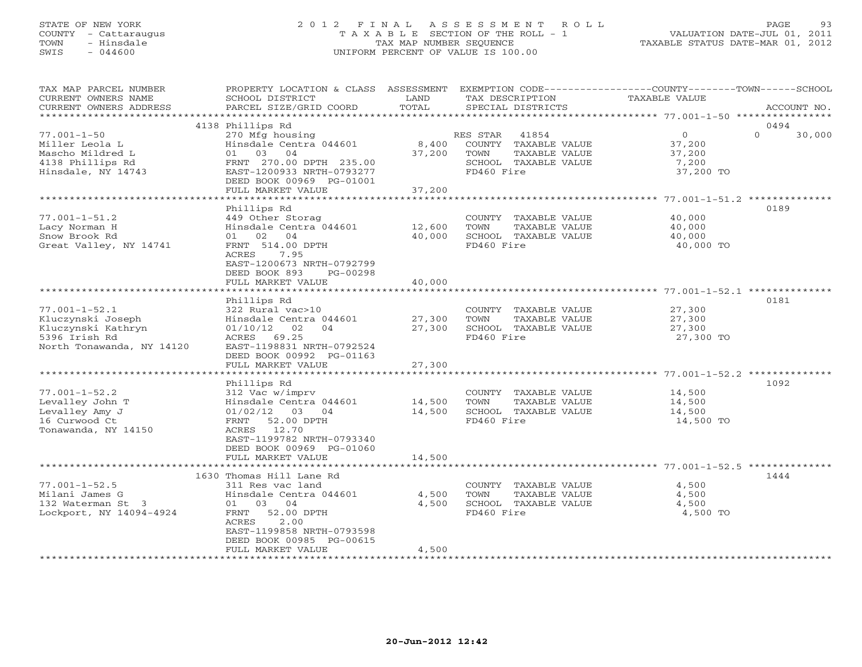## STATE OF NEW YORK 2 0 1 2 F I N A L A S S E S S M E N T R O L L PAGE 93 COUNTY - Cattaraugus T A X A B L E SECTION OF THE ROLL - 1 VALUATION DATE-JUL 01, 2011 TOWN - Hinsdale TAX MAP NUMBER SEQUENCE TAXABLE STATUS DATE-MAR 01, 2012 SWIS - 044600 UNIFORM PERCENT OF VALUE IS 100.00UNIFORM PERCENT OF VALUE IS 100.00

| TAX MAP PARCEL NUMBER               | PROPERTY LOCATION & CLASS ASSESSMENT       |        | EXEMPTION CODE-----------------COUNTY-------TOWN------SCHOOL |                  |          |             |
|-------------------------------------|--------------------------------------------|--------|--------------------------------------------------------------|------------------|----------|-------------|
| CURRENT OWNERS NAME                 | SCHOOL DISTRICT                            | LAND   | TAX DESCRIPTION                                              | TAXABLE VALUE    |          |             |
| CURRENT OWNERS ADDRESS              | PARCEL SIZE/GRID COORD                     | TOTAL  | SPECIAL DISTRICTS                                            |                  |          | ACCOUNT NO. |
|                                     | 4138 Phillips Rd                           |        |                                                              |                  | 0494     |             |
|                                     |                                            |        |                                                              | $\overline{O}$   | $\Omega$ |             |
| $77.001 - 1 - 50$<br>Miller Leola L | 270 Mfg housing<br>Hinsdale Centra 044601  | 8,400  | 41854<br>RES STAR<br>COUNTY TAXABLE VALUE                    |                  |          | 30,000      |
| Mascho Mildred L                    | 01 03 04                                   | 37,200 | TOWN<br>TAXABLE VALUE                                        | 37,200<br>37,200 |          |             |
| 4138 Phillips Rd                    | FRNT 270.00 DPTH 235.00                    |        | SCHOOL TAXABLE VALUE                                         | 7,200            |          |             |
| Hinsdale, NY 14743                  | EAST-1200933 NRTH-0793277                  |        | FD460 Fire                                                   | 37,200 TO        |          |             |
|                                     | DEED BOOK 00969 PG-01001                   |        |                                                              |                  |          |             |
|                                     | FULL MARKET VALUE                          | 37,200 |                                                              |                  |          |             |
|                                     |                                            |        |                                                              |                  |          |             |
|                                     | Phillips Rd                                |        |                                                              |                  | 0189     |             |
| $77.001 - 1 - 51.2$                 | 449 Other Storag                           |        | COUNTY TAXABLE VALUE                                         | 40,000           |          |             |
| Lacy Norman H                       | Hinsdale Centra 044601                     | 12,600 | TAXABLE VALUE<br>TOWN                                        | 40,000           |          |             |
| Snow Brook Rd                       | 01 02 04                                   | 40,000 | SCHOOL TAXABLE VALUE                                         | 40,000           |          |             |
| Great Valley, NY 14741              | FRNT 514.00 DPTH                           |        | FD460 Fire                                                   | 40,000 TO        |          |             |
|                                     | ACRES<br>7.95                              |        |                                                              |                  |          |             |
|                                     | EAST-1200673 NRTH-0792799                  |        |                                                              |                  |          |             |
|                                     | DEED BOOK 893<br>PG-00298                  |        |                                                              |                  |          |             |
|                                     | FULL MARKET VALUE                          | 40,000 |                                                              |                  |          |             |
|                                     |                                            |        |                                                              |                  |          |             |
|                                     | Phillips Rd                                |        |                                                              |                  | 0181     |             |
| $77.001 - 1 - 52.1$                 | 322 Rural vac>10                           |        | COUNTY TAXABLE VALUE                                         | 27,300           |          |             |
| Kluczynski Joseph                   | Hinsdale Centra 044601                     | 27,300 | TOWN<br>TAXABLE VALUE                                        | 27,300           |          |             |
| Kluczynski Kathryn                  | 01/10/12<br>02<br>04<br>ACRES 69.25        | 27,300 | SCHOOL TAXABLE VALUE<br>FD460 Fire                           | 27,300           |          |             |
| 5396 Irish Rd                       | EAST-1198831 NRTH-0792524                  |        |                                                              | 27,300 TO        |          |             |
| North Tonawanda, NY 14120           | DEED BOOK 00992 PG-01163                   |        |                                                              |                  |          |             |
|                                     | FULL MARKET VALUE                          | 27,300 |                                                              |                  |          |             |
|                                     |                                            |        |                                                              |                  |          |             |
|                                     | Phillips Rd                                |        |                                                              |                  | 1092     |             |
| $77.001 - 1 - 52.2$                 | 312 Vac w/imprv                            |        | COUNTY TAXABLE VALUE                                         | 14,500           |          |             |
| Levalley John T                     | Hinsdale Centra 044601                     | 14,500 | TOWN<br>TAXABLE VALUE                                        | 14,500           |          |             |
| Levalley Amy J                      | 01/02/12<br>03 04                          | 14,500 | SCHOOL TAXABLE VALUE                                         | 14,500           |          |             |
| 16 Curwood Ct                       | FRNT 52.00 DPTH                            |        | FD460 Fire                                                   | 14,500 TO        |          |             |
| Tonawanda, NY 14150                 | ACRES 12.70                                |        |                                                              |                  |          |             |
|                                     | EAST-1199782 NRTH-0793340                  |        |                                                              |                  |          |             |
|                                     | DEED BOOK 00969 PG-01060                   |        |                                                              |                  |          |             |
|                                     | FULL MARKET VALUE                          | 14,500 |                                                              |                  |          |             |
|                                     |                                            |        |                                                              |                  |          |             |
|                                     | 1630 Thomas Hill Lane Rd                   |        |                                                              |                  | 1444     |             |
| $77.001 - 1 - 52.5$                 | 311 Res vac land                           |        | COUNTY TAXABLE VALUE                                         | 4,500            |          |             |
| Milani James G                      | Hinsdale Centra 044601                     | 4,500  | TOWN<br>TAXABLE VALUE                                        | 4,500            |          |             |
| 132 Waterman St 3                   | 01 03 04                                   | 4,500  | SCHOOL TAXABLE VALUE                                         | 4,500            |          |             |
| Lockport, NY 14094-4924             | 52.00 DPTH<br>FRNT                         |        | FD460 Fire                                                   | 4,500 TO         |          |             |
|                                     | 2.00<br>ACRES<br>EAST-1199858 NRTH-0793598 |        |                                                              |                  |          |             |
|                                     | DEED BOOK 00985 PG-00615                   |        |                                                              |                  |          |             |
|                                     | FULL MARKET VALUE                          | 4,500  |                                                              |                  |          |             |
|                                     |                                            |        |                                                              |                  |          |             |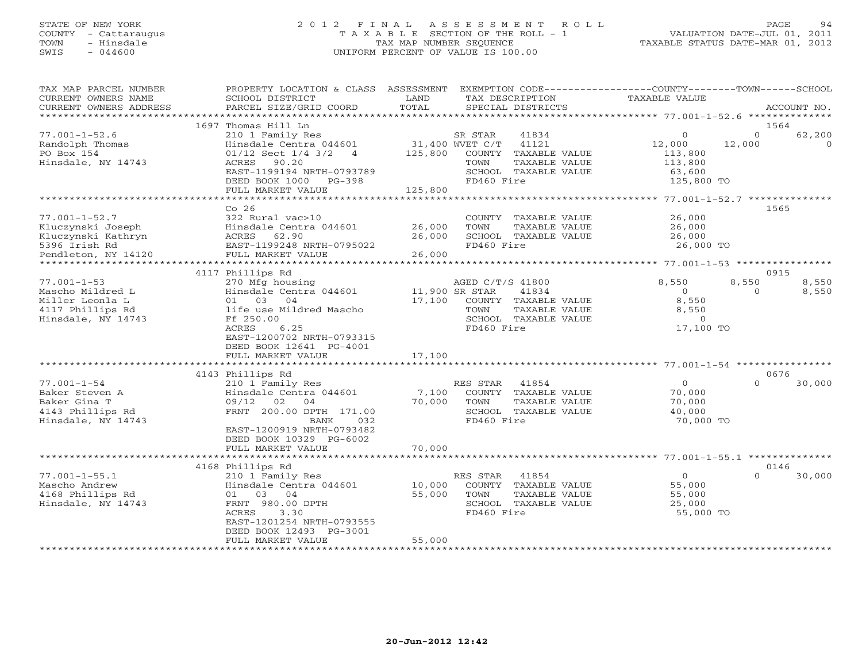# STATE OF NEW YORK 2 0 1 2 F I N A L A S S E S S M E N T R O L L PAGE 94 COUNTY - Cattaraugus T A X A B L E SECTION OF THE ROLL - 1 VALUATION DATE-JUL 01, 2011 TOWN - Hinsdale TAX MAP NUMBER SEQUENCE TAXABLE STATUS DATE-MAR 01, 2012 SWIS - 044600 UNIFORM PERCENT OF VALUE IS 100.00UNIFORM PERCENT OF VALUE IS 100.00

| TAX MAP PARCEL NUMBER<br>CURRENT OWNERS NAME<br>CURRENT OWNERS ADDRESS | PROPERTY LOCATION & CLASS ASSESSMENT<br>SCHOOL DISTRICT<br>PARCEL SIZE/GRID COORD | LAND<br>TOTAL     | EXEMPTION CODE-----------------COUNTY-------TOWN-----SCHOOL<br>TAX DESCRIPTION<br>SPECIAL DISTRICTS | <b>TAXABLE VALUE</b>                  |                    | ACCOUNT NO.       |
|------------------------------------------------------------------------|-----------------------------------------------------------------------------------|-------------------|-----------------------------------------------------------------------------------------------------|---------------------------------------|--------------------|-------------------|
| *************************                                              |                                                                                   |                   |                                                                                                     |                                       |                    |                   |
|                                                                        | 1697 Thomas Hill Ln                                                               |                   |                                                                                                     |                                       |                    | 1564              |
| $77.001 - 1 - 52.6$<br>Randolph Thomas                                 | 210 1 Family Res<br>Hinsdale Centra 044601                                        |                   | SR STAR<br>41834<br>31,400 WVET C/T<br>41121                                                        | $\circ$<br>12,000                     | $\Omega$<br>12,000 | 62,200<br>$\circ$ |
| PO Box 154<br>Hinsdale, NY 14743                                       | $01/12$ Sect $1/4$ 3/2<br>$\overline{4}$<br>ACRES 90.20                           | 125,800           | COUNTY TAXABLE VALUE<br>TOWN<br>TAXABLE VALUE                                                       | 113,800<br>113,800                    |                    |                   |
|                                                                        | EAST-1199194 NRTH-0793789                                                         |                   | SCHOOL TAXABLE VALUE                                                                                | 63,600                                |                    |                   |
|                                                                        | DEED BOOK 1000 PG-398                                                             |                   | FD460 Fire                                                                                          | 125,800 TO                            |                    |                   |
|                                                                        | FULL MARKET VALUE                                                                 | 125,800           |                                                                                                     |                                       |                    |                   |
|                                                                        | ***********************                                                           | ***************** |                                                                                                     | ******** 77.001-1-52.7 ************** |                    |                   |
|                                                                        | Co <sub>26</sub>                                                                  |                   |                                                                                                     |                                       |                    | 1565              |
| $77.001 - 1 - 52.7$                                                    | 322 Rural vac>10                                                                  |                   | COUNTY TAXABLE VALUE                                                                                | 26,000                                |                    |                   |
| Kluczynski Joseph                                                      | Hinsdale Centra 044601                                                            | 26,000            | TAXABLE VALUE<br>TOWN                                                                               | 26,000                                |                    |                   |
| Kluczynski Kathryn                                                     | 62.90<br>ACRES                                                                    | 26,000            | SCHOOL TAXABLE VALUE                                                                                | 26,000                                |                    |                   |
| 5396 Irish Rd                                                          | EAST-1199248 NRTH-0795022                                                         |                   | FD460 Fire                                                                                          | 26,000 TO                             |                    |                   |
| Pendleton, NY 14120                                                    | FULL MARKET VALUE                                                                 | 26,000            |                                                                                                     |                                       |                    |                   |
|                                                                        | 4117 Phillips Rd                                                                  |                   |                                                                                                     |                                       |                    | 0915              |
| $77.001 - 1 - 53$                                                      | 270 Mfg housing                                                                   |                   | AGED C/T/S 41800                                                                                    | 8,550                                 | 8,550              | 8,550             |
| Mascho Mildred L                                                       | Hinsdale Centra 044601                                                            |                   | 11,900 SR STAR<br>41834                                                                             | $\overline{O}$                        | $\Omega$           | 8,550             |
| Miller Leonla L                                                        | 01 03 04                                                                          | 17,100            | COUNTY TAXABLE VALUE                                                                                | 8,550                                 |                    |                   |
| 4117 Phillips Rd                                                       | life use Mildred Mascho                                                           |                   | TOWN<br>TAXABLE VALUE                                                                               | 8,550                                 |                    |                   |
| Hinsdale, NY 14743                                                     | Ff 250.00                                                                         |                   | SCHOOL TAXABLE VALUE                                                                                | $\Omega$                              |                    |                   |
|                                                                        | 6.25<br>ACRES                                                                     |                   | FD460 Fire                                                                                          | 17,100 TO                             |                    |                   |
|                                                                        | EAST-1200702 NRTH-0793315                                                         |                   |                                                                                                     |                                       |                    |                   |
|                                                                        | DEED BOOK 12641 PG-4001                                                           |                   |                                                                                                     |                                       |                    |                   |
|                                                                        | FULL MARKET VALUE                                                                 | 17,100            |                                                                                                     |                                       |                    |                   |
|                                                                        | ************************                                                          | **************    | ******************************** 77.001-1-54 ****************                                       |                                       |                    |                   |
|                                                                        | 4143 Phillips Rd                                                                  |                   |                                                                                                     |                                       |                    | 0676              |
| $77.001 - 1 - 54$                                                      | 210 1 Family Res                                                                  |                   | RES STAR<br>41854                                                                                   | $\Omega$                              | $\cap$             | 30,000            |
| Baker Steven A                                                         | Hinsdale Centra 044601                                                            | 7,100             | COUNTY TAXABLE VALUE                                                                                | 70,000                                |                    |                   |
| Baker Gina T                                                           | 09/12<br>02<br>04                                                                 | 70,000            | TOWN<br>TAXABLE VALUE                                                                               | 70,000                                |                    |                   |
| 4143 Phillips Rd                                                       | FRNT 200.00 DPTH 171.00                                                           |                   | SCHOOL TAXABLE VALUE<br>FD460 Fire                                                                  | 40,000                                |                    |                   |
| Hinsdale, NY 14743                                                     | 032<br>BANK<br>EAST-1200919 NRTH-0793482                                          |                   |                                                                                                     | 70,000 TO                             |                    |                   |
|                                                                        | DEED BOOK 10329 PG-6002                                                           |                   |                                                                                                     |                                       |                    |                   |
|                                                                        | FULL MARKET VALUE                                                                 | 70,000            |                                                                                                     |                                       |                    |                   |
|                                                                        |                                                                                   |                   |                                                                                                     |                                       |                    |                   |
|                                                                        | 4168 Phillips Rd                                                                  |                   |                                                                                                     |                                       |                    | 0146              |
| $77.001 - 1 - 55.1$                                                    | 210 1 Family Res                                                                  |                   | 41854<br>RES STAR                                                                                   | $\Omega$                              | $\Omega$           | 30,000            |
| Mascho Andrew                                                          | Hinsdale Centra 044601                                                            | 10,000            | COUNTY TAXABLE VALUE                                                                                | 55,000                                |                    |                   |
| 4168 Phillips Rd                                                       | 01<br>03 04                                                                       | 55,000            | TOWN<br>TAXABLE VALUE                                                                               | 55,000                                |                    |                   |
| Hinsdale, NY 14743                                                     | FRNT 980.00 DPTH                                                                  |                   | SCHOOL TAXABLE VALUE                                                                                | 25,000                                |                    |                   |
|                                                                        | ACRES<br>3.30                                                                     |                   | FD460 Fire                                                                                          | 55,000 TO                             |                    |                   |
|                                                                        | EAST-1201254 NRTH-0793555                                                         |                   |                                                                                                     |                                       |                    |                   |
|                                                                        | DEED BOOK 12493 PG-3001                                                           |                   |                                                                                                     |                                       |                    |                   |
|                                                                        | FULL MARKET VALUE                                                                 | 55,000            |                                                                                                     |                                       |                    |                   |
|                                                                        |                                                                                   |                   |                                                                                                     |                                       |                    |                   |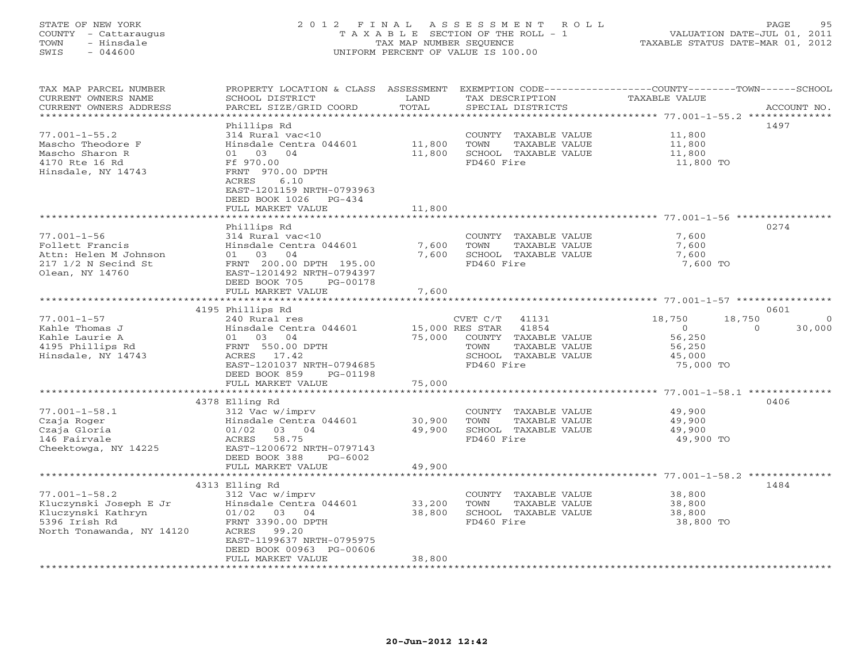## STATE OF NEW YORK 2 0 1 2 F I N A L A S S E S S M E N T R O L L PAGE 95 COUNTY - Cattaraugus T A X A B L E SECTION OF THE ROLL - 1 VALUATION DATE-JUL 01, 2011 TOWN - Hinsdale TAX MAP NUMBER SEQUENCE TAXABLE STATUS DATE-MAR 01, 2012 SWIS - 044600 UNIFORM PERCENT OF VALUE IS 100.00UNIFORM PERCENT OF VALUE IS 100.00

| TAX MAP PARCEL NUMBER<br>CURRENT OWNERS NAME<br>CURRENT OWNERS ADDRESS<br>********************          | PROPERTY LOCATION & CLASS<br>SCHOOL DISTRICT<br>PARCEL SIZE/GRID COORD                                                                           | ASSESSMENT<br>LAND<br>TOTAL | TAX DESCRIPTION<br>SPECIAL DISTRICTS                                                | EXEMPTION CODE-----------------COUNTY-------TOWN------SCHOOL<br><b>TAXABLE VALUE</b> | ACCOUNT NO. |
|---------------------------------------------------------------------------------------------------------|--------------------------------------------------------------------------------------------------------------------------------------------------|-----------------------------|-------------------------------------------------------------------------------------|--------------------------------------------------------------------------------------|-------------|
|                                                                                                         | Phillips Rd                                                                                                                                      |                             |                                                                                     | ************************************** 77.001-1-55.2 **************                  | 1497        |
| $77.001 - 1 - 55.2$<br>Mascho Theodore F                                                                | 314 Rural vac<10<br>Hinsdale Centra 044601                                                                                                       | 11,800                      | COUNTY<br>TAXABLE VALUE<br>TOWN<br>TAXABLE VALUE                                    | 11,800<br>11,800                                                                     |             |
| Mascho Sharon R<br>4170 Rte 16 Rd<br>Hinsdale, NY 14743                                                 | 01<br>03<br>04<br>Ff 970.00<br>FRNT 970.00 DPTH<br>6.10<br>ACRES<br>EAST-1201159 NRTH-0793963<br>DEED BOOK 1026<br>$PG-434$<br>FULL MARKET VALUE | 11,800<br>11,800            | SCHOOL TAXABLE VALUE<br>FD460 Fire                                                  | 11,800<br>11,800 TO                                                                  |             |
|                                                                                                         | * * * * * * * * * * * * * * * *                                                                                                                  | **********                  |                                                                                     | *********************** 77.001-1-56 ************                                     |             |
| $77.001 - 1 - 56$<br>Follett Francis<br>Attn: Helen M Johnson<br>217 1/2 N Secind St<br>Olean, NY 14760 | Phillips Rd<br>314 Rural vac<10<br>Hinsdale Centra 044601<br>04<br>03<br>01<br>FRNT 200.00 DPTH 195.00<br>EAST-1201492 NRTH-0794397              | 7,600<br>7,600              | COUNTY TAXABLE VALUE<br>TOWN<br>TAXABLE VALUE<br>SCHOOL TAXABLE VALUE<br>FD460 Fire | 7,600<br>7,600<br>7,600<br>7,600 TO                                                  | 0274        |
|                                                                                                         | DEED BOOK 705<br>PG-00178                                                                                                                        | 7,600                       |                                                                                     |                                                                                      |             |
|                                                                                                         | FULL MARKET VALUE<br>****************************                                                                                                |                             |                                                                                     |                                                                                      |             |
|                                                                                                         | 4195 Phillips Rd                                                                                                                                 |                             |                                                                                     |                                                                                      | 0601        |
| $77.001 - 1 - 57$                                                                                       | 240 Rural res                                                                                                                                    |                             | CVET C/T<br>41131                                                                   | 18,750<br>18,750                                                                     |             |
| Kahle Thomas J                                                                                          | Hinsdale Centra 044601                                                                                                                           |                             | 15,000 RES STAR<br>41854                                                            | $\overline{0}$<br>$\Omega$                                                           | 30,000      |
| Kahle Laurie A                                                                                          | 01<br>03<br>04                                                                                                                                   | 75,000                      | COUNTY<br>TAXABLE VALUE                                                             | 56,250                                                                               |             |
| 4195 Phillips Rd                                                                                        | FRNT 550.00 DPTH                                                                                                                                 |                             | TOWN<br>TAXABLE VALUE                                                               | 56,250                                                                               |             |
| Hinsdale, NY 14743                                                                                      | ACRES 17.42                                                                                                                                      |                             | SCHOOL TAXABLE VALUE                                                                | 45,000                                                                               |             |
|                                                                                                         | EAST-1201037 NRTH-0794685                                                                                                                        |                             | FD460 Fire                                                                          | 75,000 TO                                                                            |             |
|                                                                                                         | DEED BOOK 859<br>PG-01198                                                                                                                        |                             |                                                                                     |                                                                                      |             |
|                                                                                                         | FULL MARKET VALUE                                                                                                                                | 75,000                      |                                                                                     |                                                                                      |             |
|                                                                                                         | 4378 Elling Rd                                                                                                                                   |                             |                                                                                     |                                                                                      | 0406        |
| $77.001 - 1 - 58.1$                                                                                     | 312 Vac w/imprv                                                                                                                                  |                             | COUNTY TAXABLE VALUE                                                                | 49,900                                                                               |             |
| Czaja Roger                                                                                             | Hinsdale Centra 044601                                                                                                                           | 30,900                      | TOWN<br>TAXABLE VALUE                                                               | 49,900                                                                               |             |
| Czaja Gloria                                                                                            | 01/02<br>03 04                                                                                                                                   | 49,900                      | SCHOOL TAXABLE VALUE                                                                | 49,900                                                                               |             |
| 146 Fairvale                                                                                            | 58.75<br>ACRES                                                                                                                                   |                             | FD460 Fire                                                                          | 49,900 TO                                                                            |             |
| Cheektowga, NY 14225                                                                                    | EAST-1200672 NRTH-0797143<br>DEED BOOK 388<br>$PG-6002$                                                                                          |                             |                                                                                     |                                                                                      |             |
|                                                                                                         | FULL MARKET VALUE                                                                                                                                | 49,900                      |                                                                                     |                                                                                      |             |
|                                                                                                         | 4313 Elling Rd                                                                                                                                   |                             |                                                                                     | ********* 77.001-1-58.2 ***                                                          | 1484        |
| $77.001 - 1 - 58.2$                                                                                     | 312 Vac w/imprv                                                                                                                                  |                             | COUNTY TAXABLE VALUE                                                                | 38,800                                                                               |             |
| Kluczynski Joseph E Jr                                                                                  | Hinsdale Centra 044601                                                                                                                           | 33,200                      | TOWN<br>TAXABLE VALUE                                                               | 38,800                                                                               |             |
| Kluczynski Kathryn                                                                                      | 01/02<br>03 04                                                                                                                                   | 38,800                      | SCHOOL TAXABLE VALUE                                                                | 38,800                                                                               |             |
| 5396 Irish Rd                                                                                           | FRNT 3390.00 DPTH                                                                                                                                |                             | FD460 Fire                                                                          | 38,800 TO                                                                            |             |
| North Tonawanda, NY 14120                                                                               | ACRES<br>99.20                                                                                                                                   |                             |                                                                                     |                                                                                      |             |
|                                                                                                         | EAST-1199637 NRTH-0795975                                                                                                                        |                             |                                                                                     |                                                                                      |             |
|                                                                                                         | DEED BOOK 00963 PG-00606                                                                                                                         |                             |                                                                                     |                                                                                      |             |
|                                                                                                         | FULL MARKET VALUE                                                                                                                                | 38,800                      |                                                                                     |                                                                                      |             |
|                                                                                                         |                                                                                                                                                  |                             |                                                                                     |                                                                                      |             |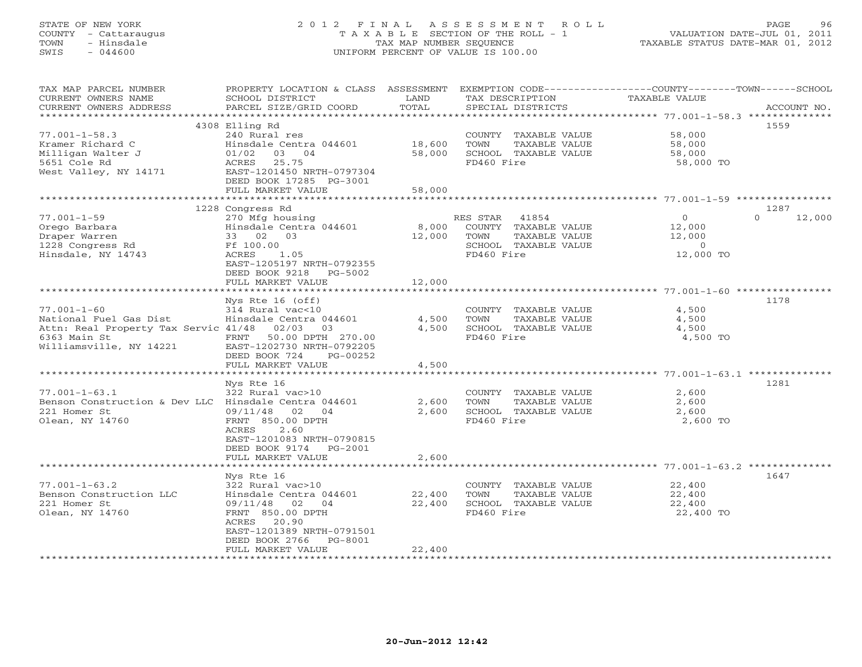## STATE OF NEW YORK 2 0 1 2 F I N A L A S S E S S M E N T R O L L PAGE 96 COUNTY - Cattaraugus T A X A B L E SECTION OF THE ROLL - 1 VALUATION DATE-JUL 01, 2011 TOWN - Hinsdale TAX MAP NUMBER SEQUENCE TAXABLE STATUS DATE-MAR 01, 2012 SWIS - 044600 UNIFORM PERCENT OF VALUE IS 100.00UNIFORM PERCENT OF VALUE IS 100.00

| TAX MAP PARCEL NUMBER<br>CURRENT OWNERS NAME         | PROPERTY LOCATION & CLASS ASSESSMENT<br>SCHOOL DISTRICT | LAND                              | EXEMPTION CODE-----------------COUNTY-------TOWN------SCHOOL<br>TAX DESCRIPTION | <b>TAXABLE VALUE</b>                                  |                    |
|------------------------------------------------------|---------------------------------------------------------|-----------------------------------|---------------------------------------------------------------------------------|-------------------------------------------------------|--------------------|
| CURRENT OWNERS ADDRESS                               | PARCEL SIZE/GRID COORD                                  | TOTAL                             | SPECIAL DISTRICTS                                                               |                                                       | ACCOUNT NO.        |
|                                                      |                                                         | **********                        |                                                                                 | ************************ 77.001-1-58.3 ************** |                    |
|                                                      | 4308 Elling Rd                                          |                                   |                                                                                 |                                                       | 1559               |
| $77.001 - 1 - 58.3$                                  | 240 Rural res                                           |                                   | COUNTY TAXABLE VALUE                                                            | 58,000                                                |                    |
| Kramer Richard C                                     | Hinsdale Centra 044601                                  | 18,600                            | TAXABLE VALUE<br>TOWN                                                           | 58,000                                                |                    |
| Milligan Walter J                                    | 01/02<br>03<br>04                                       | 58,000                            | SCHOOL TAXABLE VALUE                                                            | 58,000                                                |                    |
| 5651 Cole Rd                                         | 25.75<br>ACRES                                          |                                   | FD460 Fire                                                                      | 58,000 TO                                             |                    |
| West Valley, NY 14171                                | EAST-1201450 NRTH-0797304                               |                                   |                                                                                 |                                                       |                    |
|                                                      | DEED BOOK 17285 PG-3001                                 |                                   |                                                                                 |                                                       |                    |
|                                                      | FULL MARKET VALUE                                       | 58,000                            |                                                                                 |                                                       |                    |
|                                                      |                                                         | * * * * * * * * * * * * * * * * * |                                                                                 |                                                       |                    |
|                                                      | 1228 Congress Rd                                        |                                   |                                                                                 |                                                       | 1287               |
| $77.001 - 1 - 59$                                    | 270 Mfg housing                                         |                                   | 41854<br>RES STAR                                                               | $\circ$                                               | $\Omega$<br>12,000 |
| Orego Barbara                                        | Hinsdale Centra 044601                                  | 8,000                             | COUNTY TAXABLE VALUE                                                            | 12,000                                                |                    |
| Draper Warren                                        | 33 02 03                                                | 12,000                            | TOWN<br>TAXABLE VALUE                                                           | 12,000                                                |                    |
| 1228 Congress Rd                                     | Ff 100.00                                               |                                   | SCHOOL TAXABLE VALUE                                                            | $\Omega$                                              |                    |
| Hinsdale, NY 14743                                   | ACRES<br>1.05                                           |                                   | FD460 Fire                                                                      | 12,000 TO                                             |                    |
|                                                      | EAST-1205197 NRTH-0792355                               |                                   |                                                                                 |                                                       |                    |
|                                                      | DEED BOOK 9218<br>PG-5002                               |                                   |                                                                                 |                                                       |                    |
|                                                      | FULL MARKET VALUE                                       | 12,000                            |                                                                                 |                                                       |                    |
|                                                      |                                                         |                                   |                                                                                 |                                                       |                    |
|                                                      | Nys Rte 16 (off)                                        |                                   |                                                                                 |                                                       | 1178               |
| $77.001 - 1 - 60$                                    | 314 Rural vac<10                                        |                                   | COUNTY TAXABLE VALUE                                                            | 4,500                                                 |                    |
| National Fuel Gas Dist                               | Hinsdale Centra 044601                                  | 4,500                             | TOWN<br>TAXABLE VALUE                                                           | 4,500                                                 |                    |
| Attn: Real Property Tax Servic 41/48                 | 02/03<br>03                                             | 4,500                             | SCHOOL TAXABLE VALUE<br>FD460 Fire                                              | 4,500                                                 |                    |
| 6363 Main St                                         | FRNT 50.00 DPTH 270.00                                  |                                   |                                                                                 | 4,500 TO                                              |                    |
| Williamsville, NY 14221                              | EAST-1202730 NRTH-0792205<br>DEED BOOK 724<br>PG-00252  |                                   |                                                                                 |                                                       |                    |
|                                                      | FULL MARKET VALUE                                       | 4,500                             |                                                                                 |                                                       |                    |
|                                                      |                                                         |                                   |                                                                                 |                                                       |                    |
|                                                      | Nys Rte 16                                              |                                   |                                                                                 |                                                       | 1281               |
| $77.001 - 1 - 63.1$                                  | 322 Rural vac>10                                        |                                   | COUNTY TAXABLE VALUE                                                            | 2,600                                                 |                    |
| Benson Construction & Dev LLC Hinsdale Centra 044601 |                                                         | 2,600                             | TOWN<br>TAXABLE VALUE                                                           | 2,600                                                 |                    |
| 221 Homer St                                         | 09/11/48<br>02<br>04                                    | 2,600                             | SCHOOL TAXABLE VALUE                                                            | 2,600                                                 |                    |
| Olean, NY 14760                                      | FRNT 850.00 DPTH                                        |                                   | FD460 Fire                                                                      | 2,600 TO                                              |                    |
|                                                      | 2.60<br>ACRES                                           |                                   |                                                                                 |                                                       |                    |
|                                                      | EAST-1201083 NRTH-0790815                               |                                   |                                                                                 |                                                       |                    |
|                                                      | DEED BOOK 9174<br>$PG-2001$                             |                                   |                                                                                 |                                                       |                    |
|                                                      | FULL MARKET VALUE                                       | 2,600                             |                                                                                 |                                                       |                    |
|                                                      | ******************                                      | ************                      |                                                                                 | ************************ 77.001-1-63.2 ************** |                    |
|                                                      | Nys Rte 16                                              |                                   |                                                                                 |                                                       | 1647               |
| $77.001 - 1 - 63.2$                                  | 322 Rural vac>10                                        |                                   | COUNTY TAXABLE VALUE                                                            | 22,400                                                |                    |
| Benson Construction LLC                              | Hinsdale Centra 044601                                  | 22,400                            | TOWN<br>TAXABLE VALUE                                                           | 22,400                                                |                    |
| 221 Homer St                                         | 09/11/48 02<br>04                                       | 22,400                            | SCHOOL TAXABLE VALUE                                                            | 22,400                                                |                    |
| Olean, NY 14760                                      | FRNT 850.00 DPTH                                        |                                   | FD460 Fire                                                                      | 22,400 TO                                             |                    |
|                                                      | 20.90<br>ACRES                                          |                                   |                                                                                 |                                                       |                    |
|                                                      | EAST-1201389 NRTH-0791501                               |                                   |                                                                                 |                                                       |                    |
|                                                      | DEED BOOK 2766<br>PG-8001                               |                                   |                                                                                 |                                                       |                    |
|                                                      | FULL MARKET VALUE                                       | 22,400                            |                                                                                 |                                                       |                    |
|                                                      |                                                         |                                   |                                                                                 |                                                       |                    |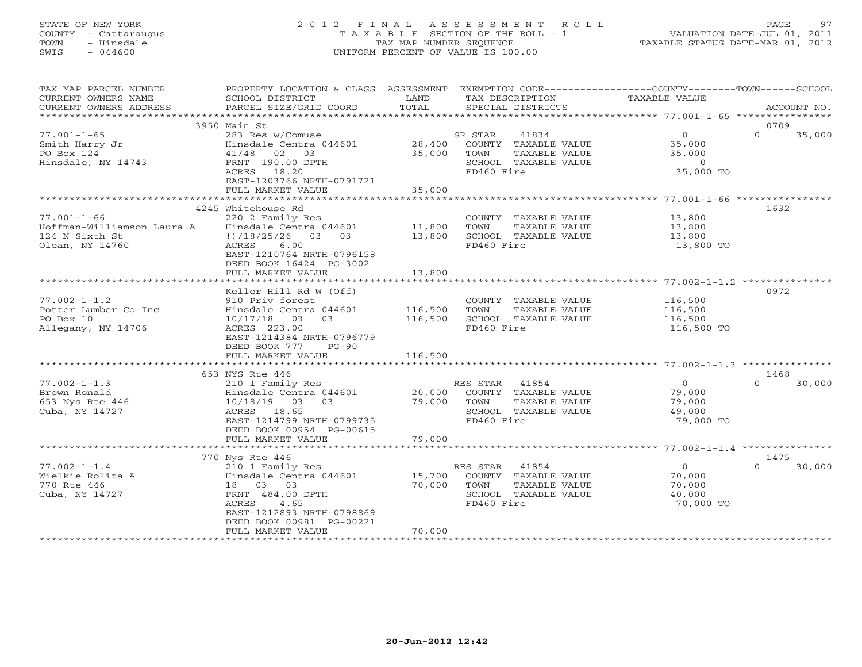## STATE OF NEW YORK 2 0 1 2 F I N A L A S S E S S M E N T R O L L PAGE 97 COUNTY - Cattaraugus T A X A B L E SECTION OF THE ROLL - 1 VALUATION DATE-JUL 01, 2011 TOWN - Hinsdale TAX MAP NUMBER SEQUENCE TAXABLE STATUS DATE-MAR 01, 2012 SWIS - 044600 UNIFORM PERCENT OF VALUE IS 100.00UNIFORM PERCENT OF VALUE IS 100.00

| TAX MAP PARCEL NUMBER      | PROPERTY LOCATION & CLASS ASSESSMENT |         | EXEMPTION CODE----------------COUNTY-------TOWN------SCHOOL |                    |                    |
|----------------------------|--------------------------------------|---------|-------------------------------------------------------------|--------------------|--------------------|
| CURRENT OWNERS NAME        | SCHOOL DISTRICT                      | LAND    | TAX DESCRIPTION                                             | TAXABLE VALUE      |                    |
| CURRENT OWNERS ADDRESS     | PARCEL SIZE/GRID COORD               | TOTAL   | SPECIAL DISTRICTS                                           |                    | ACCOUNT NO.        |
| **********************     |                                      |         |                                                             |                    |                    |
|                            | 3950 Main St                         |         |                                                             |                    | 0709               |
| $77.001 - 1 - 65$          | 283 Res w/Comuse                     |         | SR STAR<br>41834                                            | 0                  | $\Omega$<br>35,000 |
| Smith Harry Jr             | Hinsdale Centra 044601               | 28,400  | COUNTY TAXABLE VALUE                                        | 35,000             |                    |
| PO Box 124                 | 02 03<br>41/48                       | 35,000  | TOWN<br>TAXABLE VALUE                                       | 35,000             |                    |
| Hinsdale, NY 14743         | FRNT 190.00 DPTH                     |         | SCHOOL TAXABLE VALUE                                        | $\circ$            |                    |
|                            | ACRES 18.20                          |         | FD460 Fire                                                  | 35,000 TO          |                    |
|                            | EAST-1203766 NRTH-0791721            |         |                                                             |                    |                    |
|                            | FULL MARKET VALUE                    | 35,000  |                                                             |                    |                    |
|                            |                                      |         |                                                             |                    |                    |
|                            | 4245 Whitehouse Rd                   |         |                                                             |                    | 1632               |
| $77.001 - 1 - 66$          | 220 2 Family Res                     |         | COUNTY TAXABLE VALUE                                        | 13,800             |                    |
| Hoffman-Williamson Laura A | Hinsdale Centra 044601               | 11,800  | TOWN<br>TAXABLE VALUE                                       | 13,800             |                    |
| 124 N Sixth St             | $\frac{1}{2}$ /18/25/26 03 03        | 13,800  | SCHOOL TAXABLE VALUE                                        | 13,800             |                    |
| Olean, NY 14760            | 6.00<br>ACRES                        |         | FD460 Fire                                                  | 13,800 TO          |                    |
|                            | EAST-1210764 NRTH-0796158            |         |                                                             |                    |                    |
|                            | DEED BOOK 16424 PG-3002              |         |                                                             |                    |                    |
|                            | FULL MARKET VALUE                    | 13,800  |                                                             |                    |                    |
|                            | Keller Hill Rd W (Off)               |         |                                                             |                    | 0972               |
| $77.002 - 1 - 1.2$         | 910 Priv forest                      |         |                                                             |                    |                    |
| Potter Lumber Co Inc       | Hinsdale Centra 044601               | 116,500 | COUNTY TAXABLE VALUE<br>TOWN<br>TAXABLE VALUE               | 116,500<br>116,500 |                    |
| PO Box 10                  | 10/17/18<br>03<br>03                 | 116,500 | SCHOOL TAXABLE VALUE                                        | 116,500            |                    |
| Allegany, NY 14706         | ACRES 223.00                         |         | FD460 Fire                                                  | 116,500 TO         |                    |
|                            | EAST-1214384 NRTH-0796779            |         |                                                             |                    |                    |
|                            | DEED BOOK 777<br>$PG-90$             |         |                                                             |                    |                    |
|                            | FULL MARKET VALUE                    | 116,500 |                                                             |                    |                    |
|                            |                                      |         |                                                             |                    |                    |
|                            | 653 NYS Rte 446                      |         |                                                             |                    | 1468               |
| $77.002 - 1 - 1.3$         | 210 1 Family Res                     |         | RES STAR 41854                                              | $\Omega$           | $\cap$<br>30,000   |
| Brown Ronald               | Hinsdale Centra 044601               | 20,000  | COUNTY TAXABLE VALUE                                        | 79,000             |                    |
| 653 Nys Rte 446            | 10/18/19 03 03                       | 79,000  | TAXABLE VALUE<br>TOWN                                       | 79,000             |                    |
| Cuba, NY 14727             | ACRES 18.65                          |         | SCHOOL TAXABLE VALUE                                        | 49,000             |                    |
|                            | EAST-1214799 NRTH-0799735            |         | FD460 Fire                                                  | 79,000 TO          |                    |
|                            | DEED BOOK 00954 PG-00615             |         |                                                             |                    |                    |
|                            | FULL MARKET VALUE                    | 79,000  |                                                             |                    |                    |
|                            | *************************            |         |                                                             |                    |                    |
|                            | 770 Nys Rte 446                      |         |                                                             |                    | 1475               |
| $77.002 - 1 - 1.4$         | 210 1 Family Res                     |         | RES STAR<br>41854                                           | $\overline{0}$     | 30,000<br>$\Omega$ |
| Wielkie Rolita A           | Hinsdale Centra 044601               | 15,700  | COUNTY TAXABLE VALUE                                        | 70,000             |                    |
| 770 Rte 446                | 18  03  03                           | 70,000  | TOWN<br>TAXABLE VALUE                                       | 70,000             |                    |
| Cuba, NY 14727             | FRNT 484.00 DPTH                     |         | SCHOOL TAXABLE VALUE                                        | 40,000             |                    |
|                            | 4.65<br>ACRES                        |         | FD460 Fire                                                  | 70,000 TO          |                    |
|                            | EAST-1212893 NRTH-0798869            |         |                                                             |                    |                    |
|                            | DEED BOOK 00981 PG-00221             |         |                                                             |                    |                    |
|                            | FULL MARKET VALUE                    | 70,000  |                                                             |                    |                    |
|                            |                                      |         |                                                             |                    |                    |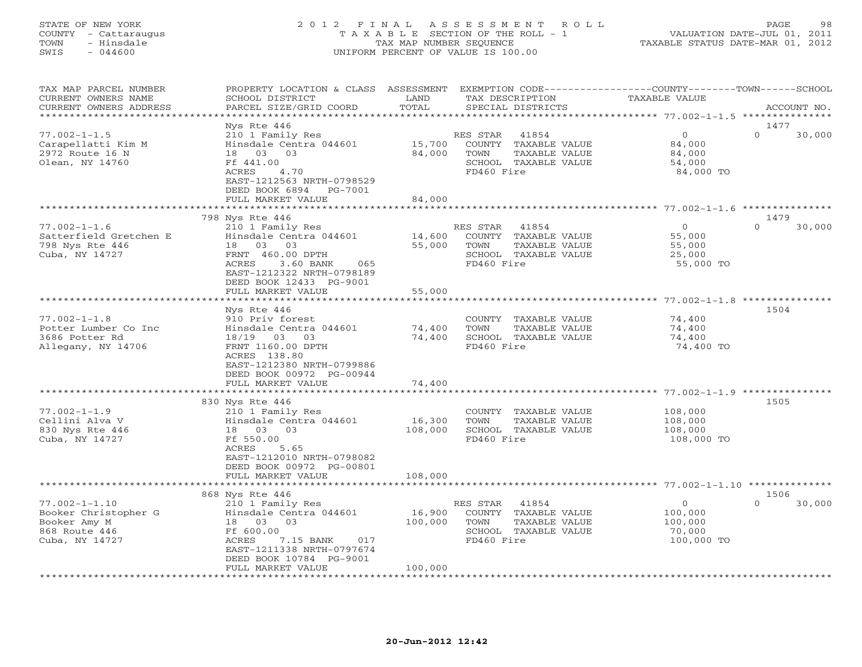## STATE OF NEW YORK 2 0 1 2 F I N A L A S S E S S M E N T R O L L PAGE 98 COUNTY - Cattaraugus T A X A B L E SECTION OF THE ROLL - 1 VALUATION DATE-JUL 01, 2011 TOWN - Hinsdale TAX MAP NUMBER SEQUENCE TAXABLE STATUS DATE-MAR 01, 2012 SWIS - 044600 UNIFORM PERCENT OF VALUE IS 100.00UNIFORM PERCENT OF VALUE IS 100.00

| TAX MAP PARCEL NUMBER<br>CURRENT OWNERS NAME<br>CURRENT OWNERS ADDRESS                                                  | PROPERTY LOCATION & CLASS ASSESSMENT<br>SCHOOL DISTRICT<br>PARCEL SIZE/GRID COORD                                                                                                    | LAND<br>TOTAL                | TAX DESCRIPTION<br>SPECIAL DISTRICTS                                                                            | EXEMPTION CODE-----------------COUNTY-------TOWN------SCHOOL<br>TAXABLE VALUE | ACCOUNT NO.        |
|-------------------------------------------------------------------------------------------------------------------------|--------------------------------------------------------------------------------------------------------------------------------------------------------------------------------------|------------------------------|-----------------------------------------------------------------------------------------------------------------|-------------------------------------------------------------------------------|--------------------|
| ********************                                                                                                    |                                                                                                                                                                                      |                              |                                                                                                                 |                                                                               |                    |
| $77.002 - 1 - 1.5$<br>Carapellatti Kim M<br>2972 Route 16 N<br>Olean, NY 14760                                          | Nys Rte 446<br>210 1 Family Res<br>Hinsdale Centra 044601<br>03 03<br>18<br>Ff 441.00<br>ACRES<br>4.70<br>EAST-1212563 NRTH-0798529<br>DEED BOOK 6894<br>PG-7001                     | 15,700<br>84,000             | RES STAR<br>41854<br>COUNTY TAXABLE VALUE<br>TOWN<br>TAXABLE VALUE<br>SCHOOL TAXABLE VALUE<br>FD460 Fire        | $\circ$<br>$\Omega$<br>84,000<br>84,000<br>54,000<br>84,000 TO                | 1477<br>30,000     |
|                                                                                                                         | FULL MARKET VALUE                                                                                                                                                                    | 84,000                       |                                                                                                                 | *********** 77.002-1-1.6 **********                                           |                    |
|                                                                                                                         | 798 Nys Rte 446                                                                                                                                                                      |                              |                                                                                                                 |                                                                               | 1479               |
| $77.002 - 1 - 1.6$<br>Satterfield Gretchen E<br>798 Nys Rte 446<br>Cuba, NY 14727                                       | 210 1 Family Res<br>Hinsdale Centra 044601<br>18 03 03<br>FRNT 460.00 DPTH<br>3.60 BANK<br>ACRES<br>065<br>EAST-1212322 NRTH-0798189<br>DEED BOOK 12433 PG-9001<br>FULL MARKET VALUE | 14,600<br>55,000<br>55,000   | RES STAR<br>41854<br>COUNTY TAXABLE VALUE<br><b>TOWN</b><br>TAXABLE VALUE<br>SCHOOL TAXABLE VALUE<br>FD460 Fire | $\mathbf{0}$<br>55,000<br>55,000<br>25,000<br>55,000 TO                       | $\Omega$<br>30,000 |
|                                                                                                                         |                                                                                                                                                                                      |                              |                                                                                                                 |                                                                               |                    |
| $77.002 - 1 - 1.8$<br>Potter Lumber Co Inc<br>3686 Potter Rd<br>Allegany, NY 14706                                      | Nys Rte 446<br>910 Priv forest<br>Hinsdale Centra 044601<br>18/19 03<br>03<br>FRNT 1160.00 DPTH<br>ACRES 138.80<br>EAST-1212380 NRTH-0799886<br>DEED BOOK 00972 PG-00944             | 74,400<br>74,400             | COUNTY TAXABLE VALUE<br><b>TOWN</b><br>TAXABLE VALUE<br>SCHOOL TAXABLE VALUE<br>FD460 Fire                      | 74,400<br>74,400<br>74,400<br>74,400 TO                                       | 1504               |
|                                                                                                                         | FULL MARKET VALUE                                                                                                                                                                    | 74,400                       |                                                                                                                 |                                                                               |                    |
|                                                                                                                         | **********************                                                                                                                                                               | * * * * * * * * * * *        |                                                                                                                 |                                                                               |                    |
| $77.002 - 1 - 1.9$<br>Cellini Alva V<br>830 Nys Rte 446<br>Cuba, NY 14727                                               | 830 Nys Rte 446<br>210 1 Family Res<br>Hinsdale Centra 044601<br>18 03<br>0.3<br>Ff 550.00<br>ACRES<br>5.65<br>EAST-1212010 NRTH-0798082<br>DEED BOOK 00972 PG-00801                 | 16,300<br>108,000            | COUNTY TAXABLE VALUE<br>TOWN<br>TAXABLE VALUE<br>SCHOOL TAXABLE VALUE<br>FD460 Fire                             | 108,000<br>108,000<br>108,000<br>108,000 TO                                   | 1505               |
|                                                                                                                         | FULL MARKET VALUE<br>*********************                                                                                                                                           | 108,000                      |                                                                                                                 |                                                                               |                    |
|                                                                                                                         | 868 Nys Rte 446                                                                                                                                                                      |                              |                                                                                                                 | ***************************** 77.002-1-1.10 *********                         | 1506               |
| $77.002 - 1 - 1.10$<br>Booker Christopher G<br>Booker Amy M<br>868 Route 446<br>Cuba, NY 14727<br>********************* | 210 1 Family Res<br>Hinsdale Centra 044601<br>18 03<br>03<br>Ff 600.00<br>ACRES<br>7.15 BANK<br>017<br>EAST-1211338 NRTH-0797674<br>DEED BOOK 10784 PG-9001<br>FULL MARKET VALUE     | 16,900<br>100,000<br>100,000 | RES STAR<br>41854<br>COUNTY TAXABLE VALUE<br>TOWN<br>TAXABLE VALUE<br>SCHOOL TAXABLE VALUE<br>FD460 Fire        | $\circ$<br>100,000<br>100,000<br>70,000<br>100,000 TO                         | $\Omega$<br>30,000 |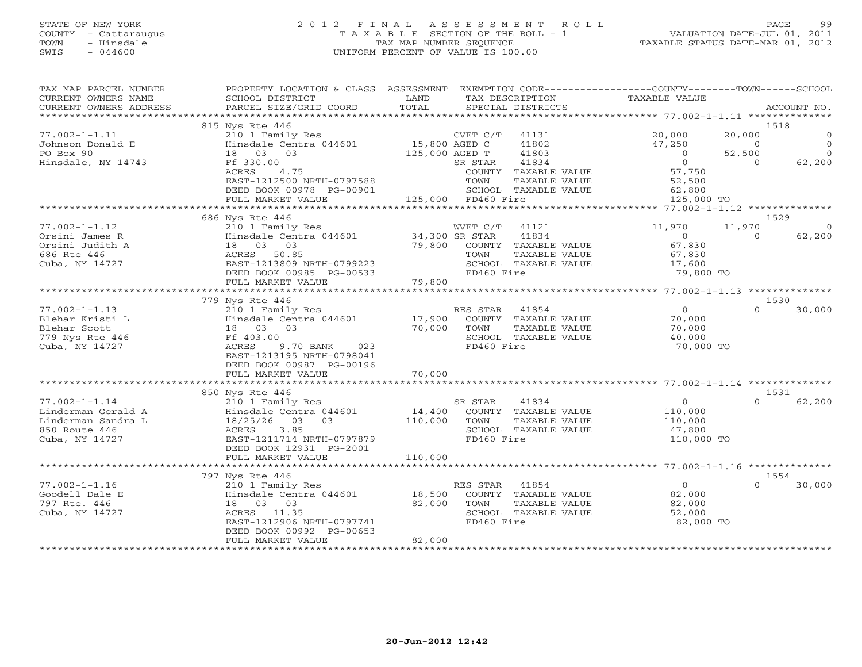## STATE OF NEW YORK 2 0 1 2 F I N A L A S S E S S M E N T R O L L PAGE 99 COUNTY - Cattaraugus T A X A B L E SECTION OF THE ROLL - 1 VALUATION DATE-JUL 01, 2011 TOWN - Hinsdale TAX MAP NUMBER SEQUENCE TAXABLE STATUS DATE-MAR 01, 2012 SWIS - 044600 UNIFORM PERCENT OF VALUE IS 100.00UNIFORM PERCENT OF VALUE IS 100.00

| TAX MAP PARCEL NUMBER<br>CURRENT OWNERS NAME<br>CURRENT OWNERS ADDRESS | PROPERTY LOCATION & CLASS ASSESSMENT<br>SCHOOL DISTRICT<br>PARCEL SIZE/GRID COORD | LAND<br>TOTAL      |            | TAX DESCRIPTION<br>SPECIAL DISTRICTS  | EXEMPTION CODE-----------------COUNTY-------TOWN------SCHOOL<br>TAXABLE VALUE |          | ACCOUNT NO. |
|------------------------------------------------------------------------|-----------------------------------------------------------------------------------|--------------------|------------|---------------------------------------|-------------------------------------------------------------------------------|----------|-------------|
| ***********************                                                |                                                                                   |                    |            |                                       |                                                                               |          |             |
|                                                                        | 815 Nys Rte 446                                                                   |                    |            |                                       |                                                                               |          | 1518        |
| $77.002 - 1 - 1.11$                                                    | 210 1 Family Res                                                                  |                    | CVET C/T   | 41131                                 | 20,000                                                                        | 20,000   | $\Omega$    |
| Johnson Donald E                                                       | Hinsdale Centra 044601 15,800 AGED C                                              |                    |            | 41802                                 | 47,250                                                                        | $\Omega$ | $\Omega$    |
| PO Box 90                                                              | 18<br>03 03                                                                       | 125,000 AGED T     |            | 41803                                 | $\Omega$<br>$\Omega$                                                          | 52,500   | $\Omega$    |
| Hinsdale, NY 14743                                                     | Ff 330.00                                                                         |                    | SR STAR    | 41834                                 |                                                                               | $\Omega$ | 62,200      |
|                                                                        | ACRES<br>4.75<br>EAST-1212500 NRTH-0797588                                        |                    | TOWN       | COUNTY TAXABLE VALUE                  | 57,750<br>52,500                                                              |          |             |
|                                                                        | DEED BOOK 00978 PG-00901                                                          |                    |            | TAXABLE VALUE<br>SCHOOL TAXABLE VALUE | 62,800                                                                        |          |             |
|                                                                        | FULL MARKET VALUE                                                                 | 125,000 FD460 Fire |            |                                       | 125,000 TO                                                                    |          |             |
|                                                                        | **************************                                                        |                    |            |                                       |                                                                               |          |             |
|                                                                        | 686 Nys Rte 446                                                                   |                    |            |                                       |                                                                               |          | 1529        |
| $77.002 - 1 - 1.12$                                                    | 210 1 Family Res                                                                  |                    | WVET C/T   | 41121                                 | 11,970                                                                        | 11,970   | $\Omega$    |
| Orsini James R                                                         | Hinsdale Centra 044601                                                            | 34,300 SR STAR     |            | 41834                                 | $\circ$                                                                       | $\Omega$ | 62,200      |
| Orsini Judith A                                                        | 18  03  03                                                                        | 79,800             |            | COUNTY TAXABLE VALUE                  | 67,830                                                                        |          |             |
| 686 Rte 446                                                            | ACRES 50.85                                                                       |                    | TOWN       | TAXABLE VALUE                         | 67,830                                                                        |          |             |
| Cuba, NY 14727                                                         | EAST-1213809 NRTH-0799223                                                         |                    |            | SCHOOL TAXABLE VALUE                  | 17,600                                                                        |          |             |
|                                                                        | DEED BOOK 00985 PG-00533                                                          |                    | FD460 Fire |                                       | 79,800 TO                                                                     |          |             |
|                                                                        | FULL MARKET VALUE                                                                 | 79,800             |            |                                       |                                                                               |          |             |
|                                                                        | 779 Nys Rte 446                                                                   |                    |            |                                       |                                                                               |          | 1530        |
| $77.002 - 1 - 1.13$                                                    | 210 1 Family Res                                                                  |                    | RES STAR   | 41854                                 | $\overline{0}$                                                                | $\Omega$ | 30,000      |
| Blehar Kristi L                                                        | Hinsdale Centra 044601                                                            | 17,900             |            | COUNTY TAXABLE VALUE                  | 70,000                                                                        |          |             |
| Blehar Scott                                                           | 18 03<br>03                                                                       | 70,000             | TOWN       | TAXABLE VALUE                         | 70,000                                                                        |          |             |
| 779 Nys Rte 446                                                        | Ff 403.00                                                                         |                    |            | SCHOOL TAXABLE VALUE                  | 40,000                                                                        |          |             |
| Cuba, NY 14727                                                         | ACRES<br>9.70 BANK<br>023                                                         |                    | FD460 Fire |                                       | 70,000 TO                                                                     |          |             |
|                                                                        | EAST-1213195 NRTH-0798041                                                         |                    |            |                                       |                                                                               |          |             |
|                                                                        | DEED BOOK 00987 PG-00196                                                          |                    |            |                                       |                                                                               |          |             |
|                                                                        | FULL MARKET VALUE                                                                 | 70,000             |            |                                       |                                                                               |          |             |
|                                                                        |                                                                                   |                    |            |                                       |                                                                               |          |             |
|                                                                        | 850 Nys Rte 446                                                                   |                    |            |                                       |                                                                               |          | 1531        |
| $77.002 - 1 - 1.14$                                                    | 210 1 Family Res                                                                  |                    | SR STAR    | 41834                                 | $\circ$                                                                       | $\Omega$ | 62,200      |
| Linderman Gerald A<br>Linderman Sandra L                               | Hinsdale Centra 044601<br>18/25/26<br>03<br>03                                    | 14,400<br>110,000  | TOWN       | COUNTY TAXABLE VALUE<br>TAXABLE VALUE | 110,000<br>110,000                                                            |          |             |
| 850 Route 446                                                          | 3.85<br>ACRES                                                                     |                    |            | SCHOOL TAXABLE VALUE                  | 47,800                                                                        |          |             |
| Cuba, NY 14727                                                         | EAST-1211714 NRTH-0797879                                                         |                    | FD460 Fire |                                       | 110,000 TO                                                                    |          |             |
|                                                                        | DEED BOOK 12931 PG-2001                                                           |                    |            |                                       |                                                                               |          |             |
|                                                                        | FULL MARKET VALUE                                                                 | 110,000            |            |                                       |                                                                               |          |             |
|                                                                        |                                                                                   |                    |            |                                       |                                                                               |          |             |
|                                                                        | 797 Nys Rte 446                                                                   |                    |            |                                       |                                                                               |          | 1554        |
| $77.002 - 1 - 1.16$                                                    | 210 1 Family Res                                                                  |                    | RES STAR   | 41854                                 | $\overline{0}$                                                                | $\cap$   | 30,000      |
| Goodell Dale E                                                         | Hinsdale Centra 044601                                                            | 18,500             |            | COUNTY TAXABLE VALUE                  | 82,000                                                                        |          |             |
| 797 Rte. 446                                                           | 18  03  03                                                                        | 82,000             | TOWN       | TAXABLE VALUE                         | 82,000                                                                        |          |             |
| Cuba, NY 14727                                                         | 11.35<br>ACRES                                                                    |                    |            | SCHOOL TAXABLE VALUE                  | 52,000                                                                        |          |             |
|                                                                        | EAST-1212906 NRTH-0797741                                                         |                    | FD460 Fire |                                       | 82,000 TO                                                                     |          |             |
|                                                                        | DEED BOOK 00992 PG-00653<br>FULL MARKET VALUE                                     | 82,000             |            |                                       |                                                                               |          |             |
| ***********************                                                |                                                                                   |                    |            |                                       |                                                                               |          |             |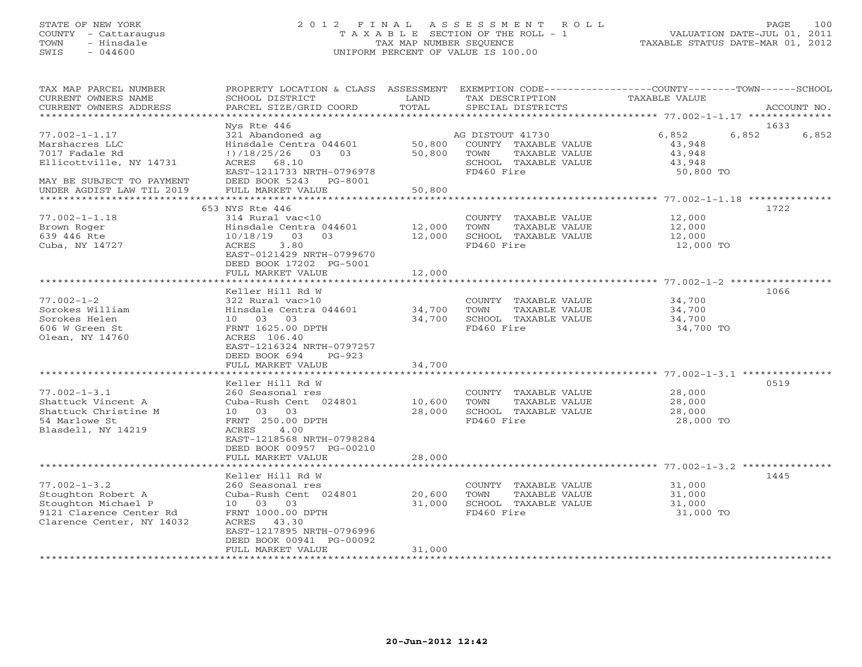## STATE OF NEW YORK 2 0 1 2 F I N A L A S S E S S M E N T R O L L PAGE 100 COUNTY - Cattaraugus T A X A B L E SECTION OF THE ROLL - 1 VALUATION DATE-JUL 01, 2011 TOWN - Hinsdale TAX MAP NUMBER SEQUENCE TAXABLE STATUS DATE-MAR 01, 2012 SWIS - 044600 UNIFORM PERCENT OF VALUE IS 100.00UNIFORM PERCENT OF VALUE IS 100.00

| TAX MAP PARCEL NUMBER<br>CURRENT OWNERS NAME<br>CURRENT OWNERS ADDRESS | PROPERTY LOCATION & CLASS ASSESSMENT<br>SCHOOL DISTRICT<br>PARCEL SIZE/GRID COORD | LAND<br>TOTAL           | EXEMPTION CODE-----------------COUNTY-------TOWN------SCHOOL<br>TAX DESCRIPTION<br>SPECIAL DISTRICTS | <b>TAXABLE VALUE</b>                                    | ACCOUNT NO.    |
|------------------------------------------------------------------------|-----------------------------------------------------------------------------------|-------------------------|------------------------------------------------------------------------------------------------------|---------------------------------------------------------|----------------|
| *****************                                                      |                                                                                   | * * * * * * * * * * * * |                                                                                                      | ********************* 77.002-1-1.17 ********            |                |
|                                                                        | Nys Rte 446                                                                       |                         |                                                                                                      |                                                         | 1633           |
| $77.002 - 1 - 1.17$                                                    | 321 Abandoned ag                                                                  |                         | AG DISTOUT 41730                                                                                     | 6,852                                                   | 6,852<br>6,852 |
| Marshacres LLC                                                         | Hinsdale Centra 044601                                                            | 50,800                  | COUNTY TAXABLE VALUE                                                                                 | 43,948                                                  |                |
| 7017 Fadale Rd                                                         | $\binom{1}{18/25/26}$ 03 03                                                       | 50,800                  | TOWN<br>TAXABLE VALUE                                                                                | 43,948                                                  |                |
| Ellicottville, NY 14731                                                | ACRES<br>68.10                                                                    |                         | SCHOOL TAXABLE VALUE                                                                                 | 43,948                                                  |                |
|                                                                        | EAST-1211733 NRTH-0796978                                                         |                         | FD460 Fire                                                                                           | 50,800 TO                                               |                |
| MAY BE SUBJECT TO PAYMENT                                              | DEED BOOK 5243 PG-8001                                                            |                         |                                                                                                      |                                                         |                |
| UNDER AGDIST LAW TIL 2019<br>*************************                 | FULL MARKET VALUE                                                                 | 50,800                  |                                                                                                      |                                                         |                |
|                                                                        | 653 NYS Rte 446                                                                   |                         |                                                                                                      |                                                         | 1722           |
| $77.002 - 1 - 1.18$                                                    | 314 Rural vac<10                                                                  |                         | COUNTY TAXABLE VALUE                                                                                 | 12,000                                                  |                |
| Brown Roger                                                            | Hinsdale Centra 044601                                                            | 12,000                  | TOWN<br>TAXABLE VALUE                                                                                | 12,000                                                  |                |
| 639 446 Rte                                                            | 10/18/19<br>03<br>03                                                              | 12,000                  | SCHOOL TAXABLE VALUE                                                                                 | 12,000                                                  |                |
| Cuba, NY 14727                                                         | 3.80<br>ACRES                                                                     |                         | FD460 Fire                                                                                           | 12,000 TO                                               |                |
|                                                                        | EAST-0121429 NRTH-0799670                                                         |                         |                                                                                                      |                                                         |                |
|                                                                        | DEED BOOK 17202 PG-5001                                                           |                         |                                                                                                      |                                                         |                |
|                                                                        | FULL MARKET VALUE                                                                 | 12,000                  |                                                                                                      |                                                         |                |
|                                                                        | *******************                                                               | ************            |                                                                                                      | ************************* 77.002-1-2 ****************** |                |
|                                                                        | Keller Hill Rd W                                                                  |                         |                                                                                                      |                                                         | 1066           |
| $77.002 - 1 - 2$                                                       | 322 Rural vac>10                                                                  |                         | COUNTY TAXABLE VALUE                                                                                 | 34,700                                                  |                |
| Sorokes William                                                        | Hinsdale Centra 044601                                                            | 34,700                  | TOWN<br>TAXABLE VALUE                                                                                | 34,700                                                  |                |
| Sorokes Helen                                                          | 10 03 03                                                                          | 34,700                  | SCHOOL TAXABLE VALUE                                                                                 | 34,700                                                  |                |
| 606 W Green St                                                         | FRNT 1625.00 DPTH                                                                 |                         | FD460 Fire                                                                                           | 34,700 TO                                               |                |
| Olean, NY 14760                                                        | ACRES 106.40                                                                      |                         |                                                                                                      |                                                         |                |
|                                                                        | EAST-1216324 NRTH-0797257                                                         |                         |                                                                                                      |                                                         |                |
|                                                                        | DEED BOOK 694<br>$PG-923$                                                         |                         |                                                                                                      |                                                         |                |
|                                                                        | FULL MARKET VALUE<br>*********************                                        | 34,700                  |                                                                                                      |                                                         |                |
|                                                                        | Keller Hill Rd W                                                                  |                         |                                                                                                      |                                                         | 0519           |
| $77.002 - 1 - 3.1$                                                     | 260 Seasonal res                                                                  |                         | COUNTY TAXABLE VALUE                                                                                 | 28,000                                                  |                |
| Shattuck Vincent A                                                     | Cuba-Rush Cent 024801                                                             | 10,600                  | TOWN<br>TAXABLE VALUE                                                                                | 28,000                                                  |                |
| Shattuck Christine M                                                   | 10 03 03                                                                          | 28,000                  | SCHOOL TAXABLE VALUE                                                                                 | 28,000                                                  |                |
| 54 Marlowe St                                                          | FRNT 250.00 DPTH                                                                  |                         | FD460 Fire                                                                                           | 28,000 TO                                               |                |
| Blasdell, NY 14219                                                     | ACRES<br>4.00                                                                     |                         |                                                                                                      |                                                         |                |
|                                                                        | EAST-1218568 NRTH-0798284                                                         |                         |                                                                                                      |                                                         |                |
|                                                                        | DEED BOOK 00957 PG-00210                                                          |                         |                                                                                                      |                                                         |                |
|                                                                        | FULL MARKET VALUE                                                                 | 28,000                  |                                                                                                      |                                                         |                |
|                                                                        |                                                                                   |                         |                                                                                                      |                                                         |                |
|                                                                        | Keller Hill Rd W                                                                  |                         |                                                                                                      |                                                         | 1445           |
| $77.002 - 1 - 3.2$                                                     | 260 Seasonal res                                                                  |                         | COUNTY TAXABLE VALUE                                                                                 | 31,000                                                  |                |
| Stoughton Robert A                                                     | Cuba-Rush Cent 024801                                                             | 20,600                  | TAXABLE VALUE<br>TOWN                                                                                | 31,000                                                  |                |
| Stoughton Michael P                                                    | 10 03 03                                                                          | 31,000                  | SCHOOL TAXABLE VALUE                                                                                 | 31,000                                                  |                |
| 9121 Clarence Center Rd                                                | FRNT 1000.00 DPTH                                                                 |                         | FD460 Fire                                                                                           | 31,000 TO                                               |                |
| Clarence Center, NY 14032                                              | ACRES 43.30                                                                       |                         |                                                                                                      |                                                         |                |
|                                                                        | EAST-1217895 NRTH-0796996                                                         |                         |                                                                                                      |                                                         |                |
|                                                                        | DEED BOOK 00941 PG-00092<br>FULL MARKET VALUE                                     | 31,000                  |                                                                                                      |                                                         |                |
|                                                                        |                                                                                   |                         |                                                                                                      |                                                         |                |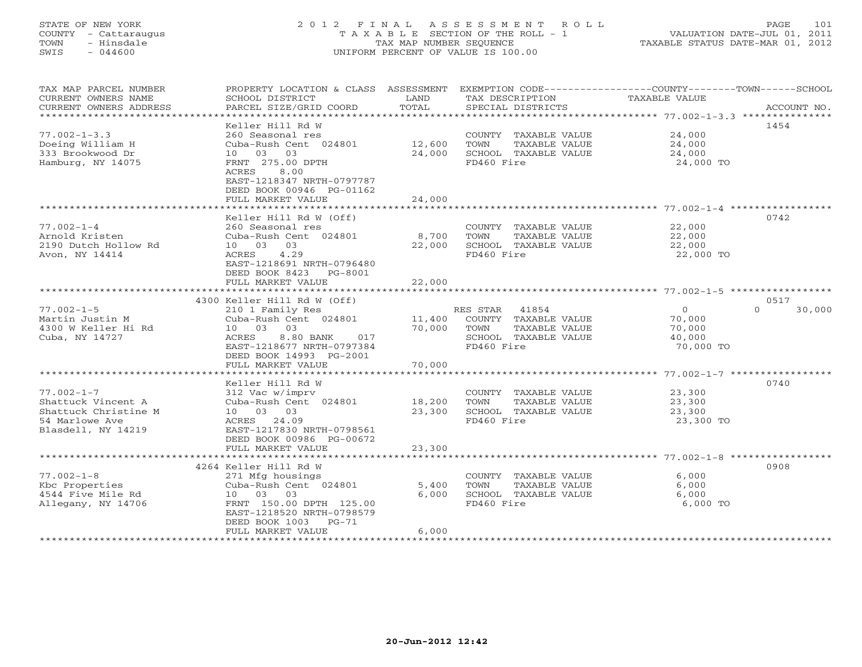## STATE OF NEW YORK 2 0 1 2 F I N A L A S S E S S M E N T R O L L PAGE 101 COUNTY - Cattaraugus T A X A B L E SECTION OF THE ROLL - 1 VALUATION DATE-JUL 01, 2011 TOWN - Hinsdale TAX MAP NUMBER SEQUENCE TAXABLE STATUS DATE-MAR 01, 2012 SWIS - 044600 UNIFORM PERCENT OF VALUE IS 100.00UNIFORM PERCENT OF VALUE IS 100.00

| TAX MAP PARCEL NUMBER<br>CURRENT OWNERS NAME<br>CURRENT OWNERS ADDRESS                                 | PROPERTY LOCATION & CLASS ASSESSMENT EXEMPTION CODE----------------COUNTY-------TOWN------SCHOOL<br>SCHOOL DISTRICT<br>PARCEL SIZE/GRID COORD                   | LAND<br>TOTAL                   | TAX DESCRIPTION<br>SPECIAL DISTRICTS                                                                     | <b>TAXABLE VALUE</b>                               | ACCOUNT NO.        |
|--------------------------------------------------------------------------------------------------------|-----------------------------------------------------------------------------------------------------------------------------------------------------------------|---------------------------------|----------------------------------------------------------------------------------------------------------|----------------------------------------------------|--------------------|
| $77.002 - 1 - 3.3$                                                                                     | Keller Hill Rd W<br>260 Seasonal res                                                                                                                            |                                 | COUNTY TAXABLE VALUE                                                                                     | 24,000                                             | 1454               |
| Doeing William H<br>333 Brookwood Dr<br>Hamburg, NY 14075                                              | Cuba-Rush Cent 024801<br>10 03 03<br>FRNT 275.00 DPTH<br>8.00<br>ACRES<br>EAST-1218347 NRTH-0797787<br>DEED BOOK 00946 PG-01162                                 | 12,600<br>24,000                | TAXABLE VALUE<br>TOWN<br>SCHOOL TAXABLE VALUE<br>FD460 Fire                                              | 24,000<br>24,000<br>24,000 TO                      |                    |
|                                                                                                        | FULL MARKET VALUE<br>*********************                                                                                                                      | 24,000<br>********************* |                                                                                                          |                                                    |                    |
|                                                                                                        | Keller Hill Rd W (Off)                                                                                                                                          |                                 |                                                                                                          |                                                    | 0742               |
| $77.002 - 1 - 4$<br>Arnold Kristen<br>2190 Dutch Hollow Rd<br>Avon, NY 14414                           | 260 Seasonal res<br>Cuba-Rush Cent 024801<br>10 03 03<br>ACRES<br>4.29<br>EAST-1218691 NRTH-0796480<br>DEED BOOK 8423<br>PG-8001                                | 8,700<br>22,000                 | COUNTY TAXABLE VALUE<br>TOWN<br>TAXABLE VALUE<br>SCHOOL TAXABLE VALUE<br>FD460 Fire                      | 22,000<br>22,000<br>22,000<br>22,000 TO            |                    |
|                                                                                                        | FULL MARKET VALUE                                                                                                                                               | 22,000                          |                                                                                                          |                                                    |                    |
|                                                                                                        | 4300 Keller Hill Rd W (Off)                                                                                                                                     |                                 |                                                                                                          |                                                    | 0517               |
| $77.002 - 1 - 5$<br>Martin Justin M<br>4300 W Keller Hi Rd<br>Cuba, NY 14727                           | 210 1 Family Res<br>Cuba-Rush Cent 024801<br>10 03 03<br>8.80 BANK<br>ACRES<br>017<br>EAST-1218677 NRTH-0797384<br>DEED BOOK 14993 PG-2001                      | 11,400<br>70,000                | RES STAR<br>41854<br>COUNTY TAXABLE VALUE<br>TOWN<br>TAXABLE VALUE<br>SCHOOL TAXABLE VALUE<br>FD460 Fire | $\circ$<br>70,000<br>70,000<br>40,000<br>70,000 TO | $\Omega$<br>30,000 |
|                                                                                                        | FULL MARKET VALUE                                                                                                                                               | 70,000                          |                                                                                                          |                                                    |                    |
| $77.002 - 1 - 7$<br>Shattuck Vincent A<br>Shattuck Christine M<br>54 Marlowe Ave<br>Blasdell, NY 14219 | Keller Hill Rd W<br>312 Vac w/imprv<br>Cuba-Rush Cent 024801<br>10 03 03<br>ACRES 24.09<br>EAST-1217830 NRTH-0798561                                            | 18,200<br>23,300                | COUNTY TAXABLE VALUE<br>TOWN<br>TAXABLE VALUE<br>SCHOOL TAXABLE VALUE<br>FD460 Fire                      | 23,300<br>23,300<br>23,300<br>23,300 TO            | 0740               |
|                                                                                                        | DEED BOOK 00986 PG-00672<br>FULL MARKET VALUE                                                                                                                   | 23,300                          |                                                                                                          |                                                    |                    |
|                                                                                                        |                                                                                                                                                                 |                                 |                                                                                                          |                                                    |                    |
|                                                                                                        | 4264 Keller Hill Rd W                                                                                                                                           |                                 |                                                                                                          |                                                    | 0908               |
| $77.002 - 1 - 8$<br>Kbc Properties<br>4544 Five Mile Rd<br>Allegany, NY 14706                          | 271 Mfg housings<br>Cuba-Rush Cent 024801<br>10 03 03<br>FRNT 150.00 DPTH 125.00<br>EAST-1218520 NRTH-0798579<br>DEED BOOK 1003<br>$PG-71$<br>FULL MARKET VALUE | 5,400<br>6,000<br>6,000         | COUNTY TAXABLE VALUE<br>TOWN<br>TAXABLE VALUE<br>SCHOOL TAXABLE VALUE<br>FD460 Fire                      | 6,000<br>6,000<br>6.000<br>6,000 TO                |                    |
|                                                                                                        |                                                                                                                                                                 |                                 | ********************************                                                                         |                                                    |                    |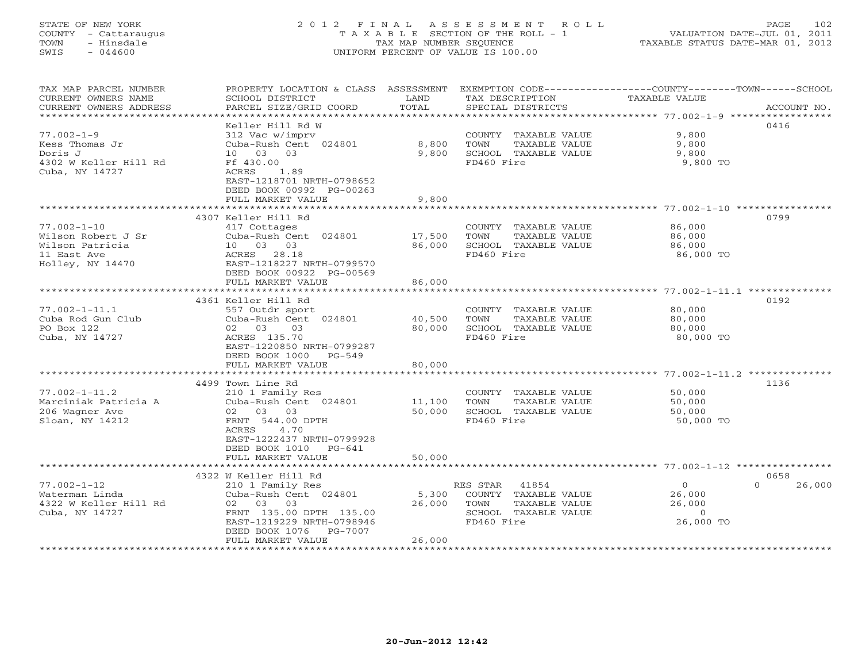## STATE OF NEW YORK 2 0 1 2 F I N A L A S S E S S M E N T R O L L PAGE 102 COUNTY - Cattaraugus T A X A B L E SECTION OF THE ROLL - 1 VALUATION DATE-JUL 01, 2011 TOWN - Hinsdale TAX MAP NUMBER SEQUENCE TAXABLE STATUS DATE-MAR 01, 2012 SWIS - 044600 UNIFORM PERCENT OF VALUE IS 100.00UNIFORM PERCENT OF VALUE IS 100.00

| TAX MAP PARCEL NUMBER<br>CURRENT OWNERS NAME       | PROPERTY LOCATION & CLASS ASSESSMENT<br>SCHOOL DISTRICT      | LAND             | TAX DESCRIPTION                               | EXEMPTION CODE-----------------COUNTY-------TOWN------SCHOOL<br><b>TAXABLE VALUE</b> |
|----------------------------------------------------|--------------------------------------------------------------|------------------|-----------------------------------------------|--------------------------------------------------------------------------------------|
| CURRENT OWNERS ADDRESS<br>************************ | PARCEL SIZE/GRID COORD                                       | TOTAL            | SPECIAL DISTRICTS                             | ACCOUNT NO.                                                                          |
|                                                    | Keller Hill Rd W                                             |                  |                                               | 0416                                                                                 |
| $77.002 - 1 - 9$                                   | 312 Vac w/imprv                                              |                  | COUNTY TAXABLE VALUE                          | 9,800                                                                                |
| Kess Thomas Jr                                     | Cuba-Rush Cent 024801                                        | 8,800            | TOWN<br>TAXABLE VALUE                         | 9,800                                                                                |
| Doris J                                            | 10 03<br>03                                                  | 9,800            | SCHOOL TAXABLE VALUE                          | 9,800                                                                                |
| 4302 W Keller Hill Rd                              | Ff 430.00                                                    |                  | FD460 Fire                                    | 9,800 TO                                                                             |
| Cuba, NY 14727                                     | ACRES<br>1.89                                                |                  |                                               |                                                                                      |
|                                                    | EAST-1218701 NRTH-0798652                                    |                  |                                               |                                                                                      |
|                                                    | DEED BOOK 00992 PG-00263                                     |                  |                                               |                                                                                      |
|                                                    | FULL MARKET VALUE<br>* * * * * * * * * * * * * * * * * * * * | 9,800            |                                               |                                                                                      |
|                                                    |                                                              |                  |                                               | ********** 77.002-1-10                                                               |
|                                                    | 4307 Keller Hill Rd                                          |                  |                                               | 0799                                                                                 |
| $77.002 - 1 - 10$<br>Wilson Robert J Sr            | 417 Cottages                                                 |                  | COUNTY TAXABLE VALUE<br>TOWN                  | 86,000                                                                               |
| Wilson Patricia                                    | Cuba-Rush Cent 024801<br>10 03 03                            | 17,500<br>86,000 | TAXABLE VALUE<br>SCHOOL TAXABLE VALUE         | 86,000<br>86,000                                                                     |
| 11 East Ave                                        | ACRES 28.18                                                  |                  | FD460 Fire                                    | 86,000 TO                                                                            |
| Holley, NY 14470                                   | EAST-1218227 NRTH-0799570                                    |                  |                                               |                                                                                      |
|                                                    | DEED BOOK 00922 PG-00569                                     |                  |                                               |                                                                                      |
|                                                    | FULL MARKET VALUE                                            | 86,000           |                                               |                                                                                      |
|                                                    | *************************                                    | ************     |                                               | ************************* 77.002-1-11.1 **************                               |
|                                                    | 4361 Keller Hill Rd                                          |                  |                                               | 0192                                                                                 |
| $77.002 - 1 - 11.1$                                | 557 Outdr sport                                              |                  | COUNTY TAXABLE VALUE                          | 80,000                                                                               |
| Cuba Rod Gun Club                                  | Cuba-Rush Cent 024801                                        | 40,500           | TOWN<br>TAXABLE VALUE                         | 80,000                                                                               |
| PO Box 122                                         | 02 03<br>0.3                                                 | 80,000           | SCHOOL TAXABLE VALUE                          | 80,000                                                                               |
| Cuba, NY 14727                                     | ACRES 135.70                                                 |                  | FD460 Fire                                    | 80,000 TO                                                                            |
|                                                    | EAST-1220850 NRTH-0799287                                    |                  |                                               |                                                                                      |
|                                                    | DEED BOOK 1000<br>PG-549                                     |                  |                                               |                                                                                      |
|                                                    | FULL MARKET VALUE                                            | 80,000           |                                               |                                                                                      |
|                                                    |                                                              |                  |                                               | ******************* 77.002-1-11.2                                                    |
|                                                    | 4499 Town Line Rd                                            |                  |                                               | 1136                                                                                 |
| $77.002 - 1 - 11.2$                                | 210 1 Family Res                                             |                  | COUNTY TAXABLE VALUE                          | 50,000                                                                               |
| Marciniak Patricia A<br>206 Wagner Ave             | Cuba-Rush Cent 024801<br>02 03 03                            | 11,100<br>50,000 | TOWN<br>TAXABLE VALUE<br>SCHOOL TAXABLE VALUE | 50,000<br>50,000                                                                     |
| Sloan, NY 14212                                    | FRNT 544.00 DPTH                                             |                  | FD460 Fire                                    | 50,000 TO                                                                            |
|                                                    | 4.70<br>ACRES                                                |                  |                                               |                                                                                      |
|                                                    | EAST-1222437 NRTH-0799928                                    |                  |                                               |                                                                                      |
|                                                    | DEED BOOK 1010<br>$PG-641$                                   |                  |                                               |                                                                                      |
|                                                    | FULL MARKET VALUE                                            | 50,000           |                                               |                                                                                      |
|                                                    | *******************************                              |                  |                                               |                                                                                      |
|                                                    | 4322 W Keller Hill Rd                                        |                  |                                               | 0658                                                                                 |
| $77.002 - 1 - 12$                                  | 210 1 Family Res                                             |                  | RES STAR<br>41854                             | $\circ$<br>26,000<br>$\Omega$                                                        |
| Waterman Linda                                     | Cuba-Rush Cent 024801                                        | 5,300            | COUNTY TAXABLE VALUE                          | 26,000                                                                               |
| 4322 W Keller Hill Rd                              | 02 03 03                                                     | 26,000           | TOWN<br>TAXABLE VALUE                         | 26,000                                                                               |
| Cuba, NY 14727                                     | FRNT 135.00 DPTH 135.00                                      |                  | SCHOOL TAXABLE VALUE                          | $\circ$                                                                              |
|                                                    | EAST-1219229 NRTH-0798946                                    |                  | FD460 Fire                                    | 26,000 TO                                                                            |
|                                                    | DEED BOOK 1076<br><b>PG-7007</b>                             |                  |                                               |                                                                                      |
|                                                    | FULL MARKET VALUE                                            | 26,000           |                                               |                                                                                      |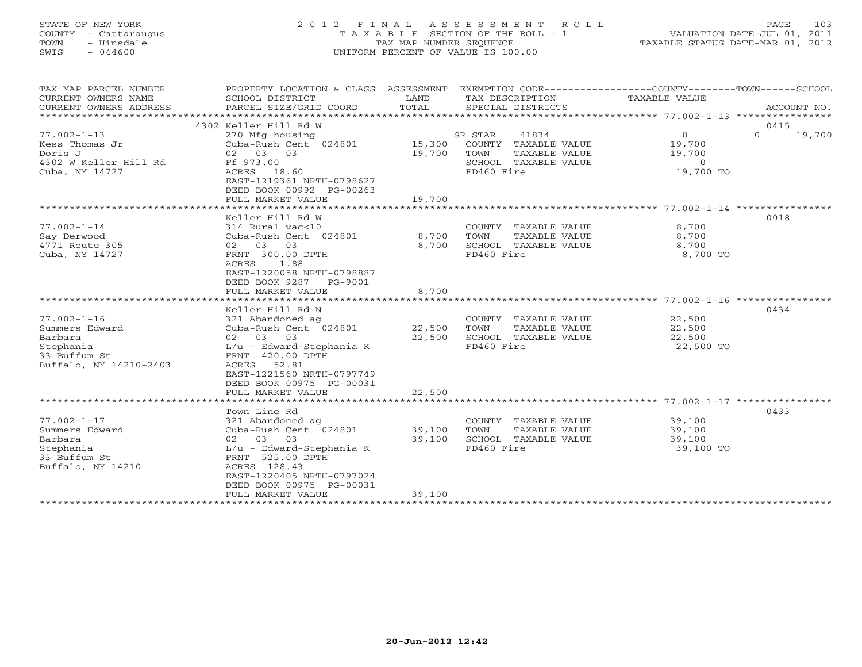## STATE OF NEW YORK 2 0 1 2 F I N A L A S S E S S M E N T R O L L PAGE 103 COUNTY - Cattaraugus T A X A B L E SECTION OF THE ROLL - 1 VALUATION DATE-JUL 01, 2011 TOWN - Hinsdale TAX MAP NUMBER SEQUENCE TAXABLE STATUS DATE-MAR 01, 2012 SWIS - 044600 UNIFORM PERCENT OF VALUE IS 100.00UNIFORM PERCENT OF VALUE IS 100.00

| TAX MAP PARCEL NUMBER<br>CURRENT OWNERS NAME<br>CURRENT OWNERS ADDRESS | PROPERTY LOCATION & CLASS ASSESSMENT<br>SCHOOL DISTRICT<br>PARCEL SIZE/GRID COORD | LAND<br>TOTAL | EXEMPTION CODE-----------------COUNTY-------TOWN------SCHOOL<br>TAX DESCRIPTION<br>SPECIAL DISTRICTS | TAXABLE VALUE  | ACCOUNT NO.        |
|------------------------------------------------------------------------|-----------------------------------------------------------------------------------|---------------|------------------------------------------------------------------------------------------------------|----------------|--------------------|
|                                                                        | 4302 Keller Hill Rd W                                                             |               |                                                                                                      |                | 0415               |
| $77.002 - 1 - 13$                                                      | 270 Mfg housing                                                                   |               | SR STAR<br>41834                                                                                     | $\circ$        | $\Omega$<br>19,700 |
| Kess Thomas Jr                                                         | Cuba-Rush Cent 024801                                                             | 15,300        | COUNTY TAXABLE VALUE                                                                                 | 19,700         |                    |
| Doris J                                                                | 02 03 03                                                                          | 19,700        | TOWN<br>TAXABLE VALUE                                                                                | 19,700         |                    |
| 4302 W Keller Hill Rd                                                  | Ff 973.00                                                                         |               | SCHOOL TAXABLE VALUE                                                                                 | $\overline{0}$ |                    |
| Cuba, NY 14727                                                         | ACRES 18.60                                                                       |               | FD460 Fire                                                                                           | 19,700 TO      |                    |
|                                                                        | EAST-1219361 NRTH-0798627                                                         |               |                                                                                                      |                |                    |
|                                                                        | DEED BOOK 00992 PG-00263                                                          |               |                                                                                                      |                |                    |
|                                                                        | FULL MARKET VALUE                                                                 | 19,700        |                                                                                                      |                |                    |
|                                                                        |                                                                                   |               |                                                                                                      |                |                    |
|                                                                        | Keller Hill Rd W                                                                  |               |                                                                                                      |                | 0018               |
| $77.002 - 1 - 14$                                                      | 314 Rural vac<10                                                                  |               | COUNTY TAXABLE VALUE                                                                                 | 8,700          |                    |
| Say Derwood                                                            | Cuba-Rush Cent 024801                                                             | 8,700         | TOWN<br>TAXABLE VALUE                                                                                | 8,700          |                    |
| 4771 Route 305                                                         | 02 03 03                                                                          | 8,700         | SCHOOL TAXABLE VALUE                                                                                 | 8,700          |                    |
| Cuba, NY 14727                                                         | FRNT 300.00 DPTH                                                                  |               | FD460 Fire                                                                                           | 8,700 TO       |                    |
|                                                                        | ACRES<br>1.88                                                                     |               |                                                                                                      |                |                    |
|                                                                        | EAST-1220058 NRTH-0798887                                                         |               |                                                                                                      |                |                    |
|                                                                        | DEED BOOK 9287<br>PG-9001<br>FULL MARKET VALUE                                    | 8,700         |                                                                                                      |                |                    |
|                                                                        |                                                                                   |               |                                                                                                      |                |                    |
|                                                                        | Keller Hill Rd N                                                                  |               |                                                                                                      |                | 0434               |
| $77.002 - 1 - 16$                                                      | 321 Abandoned ag                                                                  |               | COUNTY TAXABLE VALUE                                                                                 | 22,500         |                    |
| Summers Edward                                                         | Cuba-Rush Cent 024801                                                             | 22,500        | TAXABLE VALUE<br>TOWN                                                                                | 22,500         |                    |
| Barbara                                                                | 02 03 03                                                                          | 22,500        | SCHOOL TAXABLE VALUE                                                                                 | 22,500         |                    |
| Stephania                                                              | L/u - Edward-Stephania K                                                          |               | FD460 Fire                                                                                           | 22,500 TO      |                    |
| 33 Buffum St                                                           | FRNT 420.00 DPTH                                                                  |               |                                                                                                      |                |                    |
| Buffalo, NY 14210-2403                                                 | ACRES 52.81                                                                       |               |                                                                                                      |                |                    |
|                                                                        | EAST-1221560 NRTH-0797749                                                         |               |                                                                                                      |                |                    |
|                                                                        | DEED BOOK 00975 PG-00031                                                          |               |                                                                                                      |                |                    |
|                                                                        | FULL MARKET VALUE                                                                 | 22,500        |                                                                                                      |                |                    |
|                                                                        |                                                                                   |               |                                                                                                      |                |                    |
|                                                                        | Town Line Rd                                                                      |               |                                                                                                      |                | 0433               |
| $77.002 - 1 - 17$                                                      | 321 Abandoned ag                                                                  |               | COUNTY TAXABLE VALUE                                                                                 | 39,100         |                    |
| Summers Edward                                                         | Cuba-Rush Cent 024801                                                             | 39,100        | TAXABLE VALUE<br>TOWN                                                                                | 39,100         |                    |
| Barbara                                                                | 02 03 03                                                                          | 39,100        | SCHOOL TAXABLE VALUE                                                                                 | 39,100         |                    |
| Stephania                                                              | L/u - Edward-Stephania K                                                          |               | FD460 Fire                                                                                           | 39,100 TO      |                    |
| 33 Buffum St<br>Buffalo, NY 14210                                      | FRNT 525.00 DPTH<br>ACRES 128.43                                                  |               |                                                                                                      |                |                    |
|                                                                        | EAST-1220405 NRTH-0797024                                                         |               |                                                                                                      |                |                    |
|                                                                        | DEED BOOK 00975 PG-00031                                                          |               |                                                                                                      |                |                    |
|                                                                        | FULL MARKET VALUE                                                                 | 39,100        |                                                                                                      |                |                    |
| *********************                                                  |                                                                                   |               |                                                                                                      |                |                    |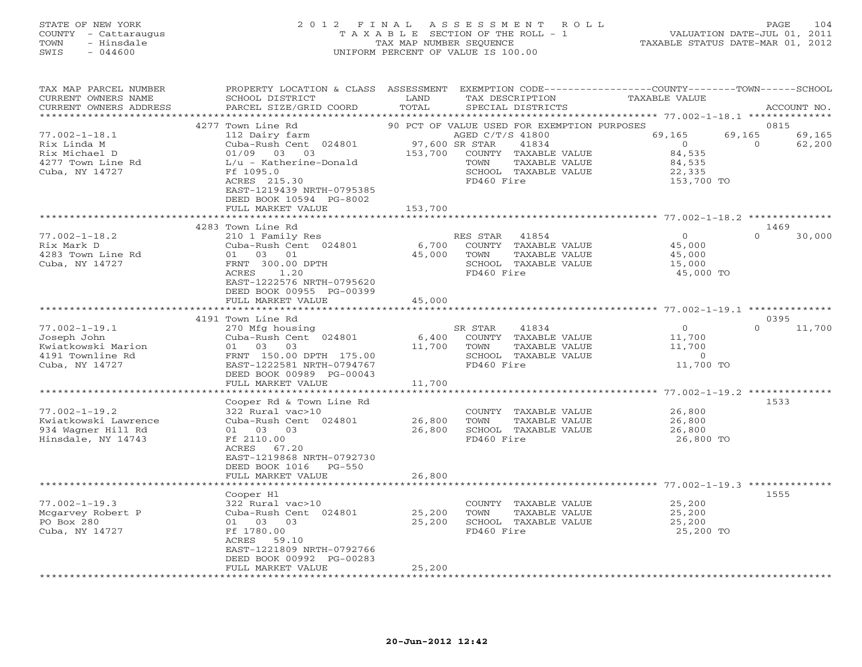#### STATE OF NEW YORK 2 0 1 2 F I N A L A S S E S S M E N T R O L L PAGE 104 COUNTY - Cattaraugus T A X A B L E SECTION OF THE ROLL - 1 VALUATION DATE-JUL 01, 2011 TOWN - Hinsdale TAX MAP NUMBER SEQUENCE TAXABLE STATUS DATE-MAR 01, 2012 SWIS - 044600 UNIFORM PERCENT OF VALUE IS 100.00UNIFORM PERCENT OF VALUE IS 100.00

| TAX MAP PARCEL NUMBER<br>CURRENT OWNERS NAME<br>CURRENT OWNERS ADDRESS                         | PROPERTY LOCATION & CLASS ASSESSMENT<br>SCHOOL DISTRICT<br>PARCEL SIZE/GRID COORD                                                                                               | LAND<br>TOTAL             | EXEMPTION CODE-----------------COUNTY-------TOWN-----SCHOOL<br>TAX DESCRIPTION<br>SPECIAL DISTRICTS              | TAXABLE VALUE                                                        | ACCOUNT NO.                            |
|------------------------------------------------------------------------------------------------|---------------------------------------------------------------------------------------------------------------------------------------------------------------------------------|---------------------------|------------------------------------------------------------------------------------------------------------------|----------------------------------------------------------------------|----------------------------------------|
| *********************                                                                          | ****************************                                                                                                                                                    |                           |                                                                                                                  |                                                                      |                                        |
|                                                                                                | 4277 Town Line Rd                                                                                                                                                               |                           | 90 PCT OF VALUE USED FOR EXEMPTION PURPOSES                                                                      |                                                                      | 0815                                   |
| $77.002 - 1 - 18.1$<br>Rix Linda M<br>Rix Michael D<br>4277 Town Line Rd<br>Cuba, NY 14727     | 112 Dairy farm<br>Cuba-Rush Cent 024801<br>01/09 03 03<br>$L/u$ - Katherine-Donald<br>Ff 1095.0<br>ACRES 215.30<br>EAST-1219439 NRTH-0795385<br>DEED BOOK 10594 PG-8002         | 97,600 SR STAR<br>153,700 | AGED C/T/S 41800<br>41834<br>COUNTY TAXABLE VALUE<br>TOWN<br>TAXABLE VALUE<br>SCHOOL TAXABLE VALUE<br>FD460 Fire | 69,165<br>$\overline{0}$<br>84,535<br>84,535<br>22,335<br>153,700 TO | 69,165<br>69,165<br>$\Omega$<br>62,200 |
|                                                                                                | FULL MARKET VALUE                                                                                                                                                               | 153,700                   |                                                                                                                  |                                                                      |                                        |
|                                                                                                | 4283 Town Line Rd                                                                                                                                                               |                           |                                                                                                                  |                                                                      | 1469                                   |
| $77.002 - 1 - 18.2$<br>Rix Mark D<br>4283 Town Line Rd<br>Cuba, NY 14727                       | 210 1 Family Res<br>Cuba-Rush Cent 024801<br>01 03 01<br>FRNT 300.00 DPTH<br>1.20<br>ACRES<br>EAST-1222576 NRTH-0795620<br>DEED BOOK 00955 PG-00399                             | 6,700<br>45,000           | RES STAR<br>41854<br>COUNTY TAXABLE VALUE<br>TOWN<br>TAXABLE VALUE<br>SCHOOL TAXABLE VALUE<br>FD460 Fire         | $\overline{0}$<br>45,000<br>45,000<br>15,000<br>45,000 TO            | $\Omega$<br>30,000                     |
|                                                                                                | FULL MARKET VALUE                                                                                                                                                               | 45,000                    |                                                                                                                  |                                                                      |                                        |
|                                                                                                | *********************                                                                                                                                                           | ****************          |                                                                                                                  |                                                                      |                                        |
|                                                                                                | 4191 Town Line Rd                                                                                                                                                               |                           |                                                                                                                  |                                                                      | 0395                                   |
| $77.002 - 1 - 19.1$<br>Joseph John<br>Kwiatkowski Marion<br>4191 Townline Rd<br>Cuba, NY 14727 | 270 Mfg housing<br>Cuba-Rush Cent 024801<br>01 03 03<br>FRNT 150.00 DPTH 175.00<br>EAST-1222581 NRTH-0794767<br>DEED BOOK 00989 PG-00043                                        | 6,400<br>11,700           | SR STAR<br>41834<br>COUNTY TAXABLE VALUE<br>TOWN<br>TAXABLE VALUE<br>SCHOOL TAXABLE VALUE<br>FD460 Fire          | $\overline{O}$<br>11,700<br>11,700<br>$\Omega$<br>11,700 TO          | 11,700<br>$\Omega$                     |
|                                                                                                | FULL MARKET VALUE                                                                                                                                                               | 11,700                    |                                                                                                                  |                                                                      |                                        |
|                                                                                                |                                                                                                                                                                                 |                           |                                                                                                                  |                                                                      |                                        |
| $77.002 - 1 - 19.2$<br>Kwiatkowski Lawrence<br>934 Wagner Hill Rd<br>Hinsdale, NY 14743        | Cooper Rd & Town Line Rd<br>322 Rural vac>10<br>Cuba-Rush Cent 024801<br>03<br>01 03<br>Ff 2110.00<br>ACRES<br>67.20<br>EAST-1219868 NRTH-0792730<br>DEED BOOK 1016<br>$PG-550$ | 26,800<br>26,800          | COUNTY TAXABLE VALUE<br>TOWN<br>TAXABLE VALUE<br>SCHOOL TAXABLE VALUE<br>FD460 Fire                              | 26,800<br>26,800<br>26,800<br>26,800 TO                              | 1533                                   |
|                                                                                                | FULL MARKET VALUE                                                                                                                                                               | 26,800                    |                                                                                                                  |                                                                      |                                        |
|                                                                                                | Cooper H1                                                                                                                                                                       |                           |                                                                                                                  | ******************* 77.002-1-19.3 *********                          | 1555                                   |
| $77.002 - 1 - 19.3$<br>Mcgarvey Robert P<br>PO Box 280<br>Cuba, NY 14727                       | 322 Rural vac>10<br>Cuba-Rush Cent 024801<br>01 03 03<br>Ff 1780.00<br>ACRES<br>59.10<br>EAST-1221809 NRTH-0792766<br>DEED BOOK 00992 PG-00283                                  | 25,200<br>25,200          | COUNTY TAXABLE VALUE<br>TOWN<br>TAXABLE VALUE<br>SCHOOL TAXABLE VALUE<br>FD460 Fire                              | 25,200<br>25,200<br>25,200<br>25,200 TO                              |                                        |
| *********************                                                                          | FULL MARKET VALUE                                                                                                                                                               | 25,200                    |                                                                                                                  |                                                                      |                                        |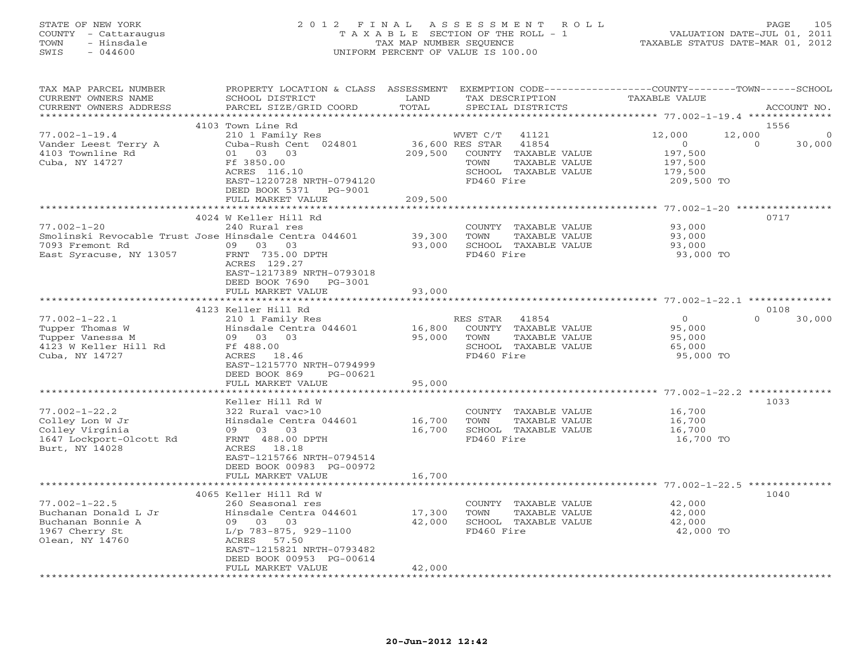## STATE OF NEW YORK 2 0 1 2 F I N A L A S S E S S M E N T R O L L PAGE 105 COUNTY - Cattaraugus T A X A B L E SECTION OF THE ROLL - 1 VALUATION DATE-JUL 01, 2011 TOWN - Hinsdale TAX MAP NUMBER SEQUENCE TAXABLE STATUS DATE-MAR 01, 2012 SWIS - 044600 UNIFORM PERCENT OF VALUE IS 100.00UNIFORM PERCENT OF VALUE IS 100.00

| TAX MAP PARCEL NUMBER<br>CURRENT OWNERS NAME<br>CURRENT OWNERS ADDRESS<br>******************** | PROPERTY LOCATION & CLASS<br>SCHOOL DISTRICT<br>PARCEL SIZE/GRID COORD                                 | ASSESSMENT<br>LAND<br>TOTAL | EXEMPTION CODE-----------------COUNTY-------TOWN------SCHOOL<br>TAX DESCRIPTION<br>SPECIAL DISTRICTS | <b>TAXABLE VALUE</b>                             | ACCOUNT NO.                               |
|------------------------------------------------------------------------------------------------|--------------------------------------------------------------------------------------------------------|-----------------------------|------------------------------------------------------------------------------------------------------|--------------------------------------------------|-------------------------------------------|
|                                                                                                |                                                                                                        |                             |                                                                                                      |                                                  |                                           |
| $77.002 - 1 - 19.4$<br>Vander Leest Terry A<br>4103 Townline Rd                                | 4103 Town Line Rd<br>210 1 Family Res<br>Cuba-Rush Cent 024801<br>01 03 03                             | 209,500                     | WVET C/T<br>41121<br>36,600 RES STAR<br>41854<br>COUNTY TAXABLE VALUE                                | 12,000<br>$\Omega$<br>197,500                    | 1556<br>12,000<br>0<br>$\Omega$<br>30,000 |
| Cuba, NY 14727                                                                                 | Ff 3850.00<br>ACRES 116.10<br>EAST-1220728 NRTH-0794120                                                |                             | TOWN<br>TAXABLE VALUE<br>SCHOOL TAXABLE VALUE<br>FD460 Fire                                          | 197,500<br>179,500<br>209,500 TO                 |                                           |
|                                                                                                | DEED BOOK 5371<br>PG-9001<br>FULL MARKET VALUE                                                         | 209,500                     |                                                                                                      |                                                  |                                           |
|                                                                                                | ***********************                                                                                | * * * * * * * * * * * *     |                                                                                                      | ******************* 77.002-1-20 **************** |                                           |
| $77.002 - 1 - 20$                                                                              | 4024 W Keller Hill Rd<br>240 Rural res<br>Smolinski Revocable Trust Jose Hinsdale Centra 044601        | 39,300                      | COUNTY TAXABLE VALUE<br>TOWN<br>TAXABLE VALUE                                                        | 93,000<br>93,000                                 | 0717                                      |
| 7093 Fremont Rd<br>East Syracuse, NY 13057                                                     | 09 03 03<br>FRNT 735.00 DPTH<br>ACRES 129.27<br>EAST-1217389 NRTH-0793018<br>DEED BOOK 7690<br>PG-3001 | 93,000                      | SCHOOL TAXABLE VALUE<br>FD460 Fire                                                                   | 93,000<br>93,000 TO                              |                                           |
|                                                                                                | FULL MARKET VALUE                                                                                      | 93,000                      |                                                                                                      |                                                  |                                           |
|                                                                                                |                                                                                                        |                             |                                                                                                      |                                                  |                                           |
|                                                                                                | 4123 Keller Hill Rd                                                                                    |                             |                                                                                                      |                                                  | 0108                                      |
| $77.002 - 1 - 22.1$                                                                            | 210 1 Family Res                                                                                       |                             | RES STAR<br>41854                                                                                    | $\circ$                                          | $\Omega$<br>30,000                        |
| Tupper Thomas W                                                                                | Hinsdale Centra 044601                                                                                 | 16,800                      | COUNTY TAXABLE VALUE                                                                                 | 95,000                                           |                                           |
| Tupper Vanessa M<br>4123 W Keller Hill Rd                                                      | 09 03 03<br>Ff 488.00                                                                                  | 95,000                      | TOWN<br>TAXABLE VALUE<br>SCHOOL TAXABLE VALUE                                                        | 95,000<br>65,000                                 |                                           |
| Cuba, NY 14727                                                                                 | ACRES<br>18.46<br>EAST-1215770 NRTH-0794999                                                            |                             | FD460 Fire                                                                                           | 95,000 TO                                        |                                           |
|                                                                                                | DEED BOOK 869<br>PG-00621<br>FULL MARKET VALUE                                                         | 95,000                      |                                                                                                      |                                                  |                                           |
|                                                                                                | ******************                                                                                     |                             |                                                                                                      |                                                  |                                           |
|                                                                                                | Keller Hill Rd W                                                                                       |                             |                                                                                                      |                                                  | 1033                                      |
| $77.002 - 1 - 22.2$                                                                            | 322 Rural vac>10                                                                                       |                             | COUNTY TAXABLE VALUE                                                                                 | 16,700                                           |                                           |
| Colley Lon W Jr                                                                                | Hinsdale Centra 044601                                                                                 | 16,700                      | TOWN<br>TAXABLE VALUE                                                                                | 16,700                                           |                                           |
| Colley Virginia                                                                                | 09 03 03                                                                                               | 16,700                      | SCHOOL TAXABLE VALUE                                                                                 | 16,700                                           |                                           |
| 1647 Lockport-Olcott Rd<br>Burt, NY 14028                                                      | FRNT 488.00 DPTH<br>ACRES 18.18<br>EAST-1215766 NRTH-0794514<br>DEED BOOK 00983 PG-00972               |                             | FD460 Fire                                                                                           | 16,700 TO                                        |                                           |
|                                                                                                | FULL MARKET VALUE                                                                                      | 16,700                      |                                                                                                      |                                                  |                                           |
|                                                                                                |                                                                                                        |                             |                                                                                                      |                                                  |                                           |
|                                                                                                | 4065 Keller Hill Rd W                                                                                  |                             |                                                                                                      |                                                  | 1040                                      |
| $77.002 - 1 - 22.5$                                                                            | 260 Seasonal res                                                                                       |                             | COUNTY TAXABLE VALUE                                                                                 | 42,000                                           |                                           |
| Buchanan Donald L Jr<br>Buchanan Bonnie A                                                      | Hinsdale Centra 044601<br>09 03 03                                                                     | 17,300<br>42,000            | TOWN<br>TAXABLE VALUE<br>SCHOOL TAXABLE VALUE                                                        | 42,000<br>42,000                                 |                                           |
| 1967 Cherry St                                                                                 | $L/p$ 783-875, 929-1100                                                                                |                             | FD460 Fire                                                                                           | 42,000 TO                                        |                                           |
| Olean, NY 14760                                                                                | ACRES 57.50<br>EAST-1215821 NRTH-0793482<br>DEED BOOK 00953 PG-00614                                   |                             |                                                                                                      |                                                  |                                           |
|                                                                                                | FULL MARKET VALUE                                                                                      | 42,000                      | ********************************                                                                     |                                                  |                                           |
|                                                                                                |                                                                                                        |                             |                                                                                                      |                                                  |                                           |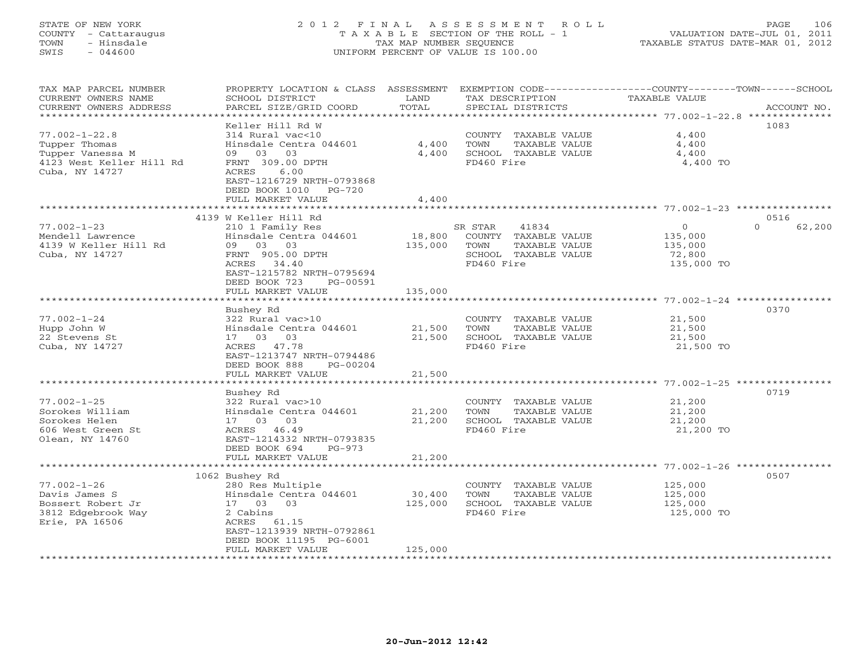# STATE OF NEW YORK 2 0 1 2 F I N A L A S S E S S M E N T R O L L PAGE 106 COUNTY - Cattaraugus T A X A B L E SECTION OF THE ROLL - 1 VALUATION DATE-JUL 01, 2011 TOWN - Hinsdale TAX MAP NUMBER SEQUENCE TAXABLE STATUS DATE-MAR 01, 2012 SWIS - 044600 UNIFORM PERCENT OF VALUE IS 100.00UNIFORM PERCENT OF VALUE IS 100.00

| TAX MAP PARCEL NUMBER<br>CURRENT OWNERS NAME<br>CURRENT OWNERS ADDRESS           | PROPERTY LOCATION & CLASS ASSESSMENT<br>SCHOOL DISTRICT<br>PARCEL SIZE/GRID COORD                                                                         | LAND<br>TOTAL                            | TAX DESCRIPTION<br>SPECIAL DISTRICTS                                                                    | EXEMPTION CODE-----------------COUNTY-------TOWN------SCHOOL<br>TAXABLE VALUE | ACCOUNT NO.        |
|----------------------------------------------------------------------------------|-----------------------------------------------------------------------------------------------------------------------------------------------------------|------------------------------------------|---------------------------------------------------------------------------------------------------------|-------------------------------------------------------------------------------|--------------------|
| **********************                                                           |                                                                                                                                                           |                                          |                                                                                                         |                                                                               |                    |
| $77.002 - 1 - 22.8$<br>Tupper Thomas                                             | Keller Hill Rd W<br>314 Rural vac<10<br>Hinsdale Centra 044601                                                                                            | 4,400                                    | COUNTY TAXABLE VALUE<br>TOWN<br>TAXABLE VALUE                                                           | 4,400<br>4,400                                                                | 1083               |
| Tupper Vanessa M<br>4123 West Keller Hill Rd<br>Cuba, NY 14727                   | 03<br>03<br>09<br>FRNT 309.00 DPTH<br>ACRES<br>6.00<br>EAST-1216729 NRTH-0793868<br>DEED BOOK 1010<br>$PG-720$<br>FULL MARKET VALUE                       | 4,400<br>4,400                           | SCHOOL TAXABLE VALUE<br>FD460 Fire                                                                      | 4,400<br>4,400 TO                                                             |                    |
|                                                                                  |                                                                                                                                                           |                                          |                                                                                                         |                                                                               |                    |
|                                                                                  | 4139 W Keller Hill Rd                                                                                                                                     |                                          |                                                                                                         |                                                                               | 0516               |
| $77.002 - 1 - 23$<br>Mendell Lawrence<br>4139 W Keller Hill Rd<br>Cuba, NY 14727 | 210 1 Family Res<br>Hinsdale Centra 044601<br>03<br>03<br>09<br>FRNT 905.00 DPTH<br>ACRES 34.40<br>EAST-1215782 NRTH-0795694<br>DEED BOOK 723<br>PG-00591 | 18,800<br>135,000                        | SR STAR<br>41834<br>COUNTY TAXABLE VALUE<br>TOWN<br>TAXABLE VALUE<br>SCHOOL TAXABLE VALUE<br>FD460 Fire | $\circ$<br>135,000<br>135,000<br>72,800<br>135,000 TO                         | $\Omega$<br>62,200 |
|                                                                                  | FULL MARKET VALUE                                                                                                                                         | 135,000                                  |                                                                                                         |                                                                               |                    |
|                                                                                  |                                                                                                                                                           |                                          |                                                                                                         |                                                                               |                    |
|                                                                                  | Bushey Rd                                                                                                                                                 |                                          |                                                                                                         |                                                                               | 0370               |
| $77.002 - 1 - 24$<br>Hupp John W                                                 | 322 Rural vac>10<br>Hinsdale Centra 044601                                                                                                                | 21,500                                   | COUNTY<br>TAXABLE VALUE<br>TOWN<br>TAXABLE VALUE                                                        | 21,500<br>21,500                                                              |                    |
| 22 Stevens St                                                                    | 03<br>17 03                                                                                                                                               | 21,500                                   | SCHOOL TAXABLE VALUE                                                                                    | 21,500                                                                        |                    |
| Cuba, NY 14727                                                                   | ACRES 47.78<br>EAST-1213747 NRTH-0794486<br>DEED BOOK 888<br>PG-00204                                                                                     |                                          | FD460 Fire                                                                                              | 21,500 TO                                                                     |                    |
|                                                                                  | FULL MARKET VALUE                                                                                                                                         | 21,500                                   |                                                                                                         |                                                                               |                    |
|                                                                                  |                                                                                                                                                           | ********                                 |                                                                                                         | ******************** 77.002-1-25 *****************                            |                    |
| $77.002 - 1 - 25$                                                                | Bushey Rd                                                                                                                                                 |                                          |                                                                                                         |                                                                               | 0719               |
| Sorokes William                                                                  | 322 Rural vac>10<br>Hinsdale Centra 044601                                                                                                                | 21,200                                   | COUNTY TAXABLE VALUE<br>TOWN<br>TAXABLE VALUE                                                           | 21,200<br>21,200                                                              |                    |
| Sorokes Helen                                                                    | 03<br>17 03                                                                                                                                               | 21,200                                   | SCHOOL TAXABLE VALUE                                                                                    | 21,200                                                                        |                    |
| 606 West Green St<br>Olean, NY 14760                                             | ACRES 46.49<br>EAST-1214332 NRTH-0793835<br>DEED BOOK 694<br>$PG-973$                                                                                     |                                          | FD460 Fire                                                                                              | 21,200 TO                                                                     |                    |
|                                                                                  | FULL MARKET VALUE                                                                                                                                         | 21,200                                   |                                                                                                         |                                                                               |                    |
|                                                                                  |                                                                                                                                                           |                                          |                                                                                                         |                                                                               |                    |
|                                                                                  | 1062 Bushey Rd                                                                                                                                            |                                          |                                                                                                         |                                                                               | 0507               |
| $77.002 - 1 - 26$                                                                | 280 Res Multiple                                                                                                                                          |                                          | COUNTY<br>TAXABLE VALUE                                                                                 | 125,000                                                                       |                    |
| Davis James S                                                                    | Hinsdale Centra 044601                                                                                                                                    | 30,400                                   | TOWN<br>TAXABLE VALUE                                                                                   | 125,000                                                                       |                    |
| Bossert Robert Jr<br>3812 Edgebrook Way                                          | 17 03<br>03<br>2 Cabins                                                                                                                                   | 125,000                                  | SCHOOL TAXABLE VALUE<br>FD460 Fire                                                                      | 125,000<br>125,000 TO                                                         |                    |
| Erie, PA 16506                                                                   | ACRES 61.15<br>EAST-1213939 NRTH-0792861<br>DEED BOOK 11195 PG-6001                                                                                       |                                          |                                                                                                         |                                                                               |                    |
| *************************                                                        | FULL MARKET VALUE<br>***********************                                                                                                              | 125,000<br>* * * * * * * * * * * * * * * |                                                                                                         |                                                                               |                    |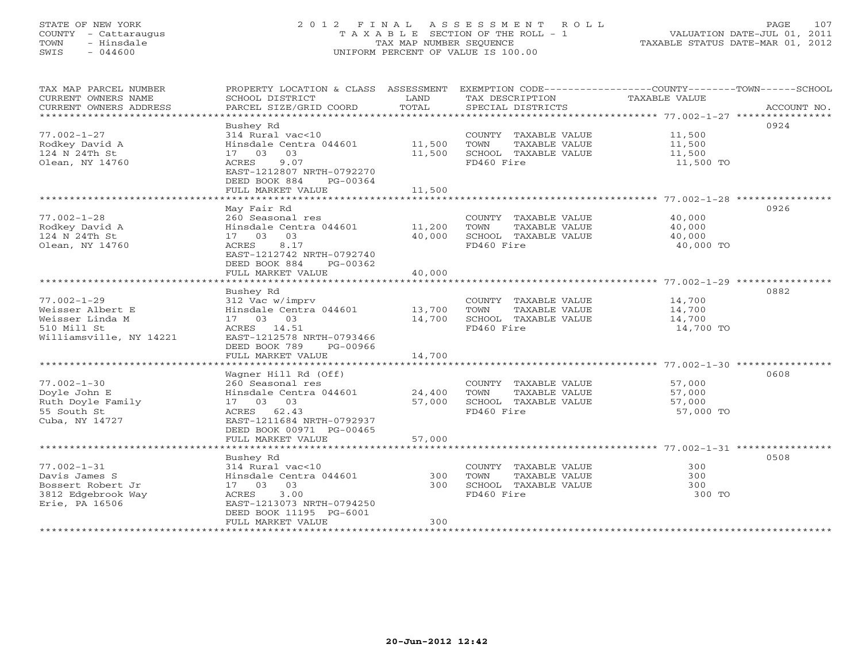## STATE OF NEW YORK 2 0 1 2 F I N A L A S S E S S M E N T R O L L PAGE 107 COUNTY - Cattaraugus T A X A B L E SECTION OF THE ROLL - 1 VALUATION DATE-JUL 01, 2011 TOWN - Hinsdale TAX MAP NUMBER SEQUENCE TAXABLE STATUS DATE-MAR 01, 2012 SWIS - 044600 UNIFORM PERCENT OF VALUE IS 100.00UNIFORM PERCENT OF VALUE IS 100.00

| TAX MAP PARCEL NUMBER<br>CURRENT OWNERS NAME<br>CURRENT OWNERS ADDRESS                             | PROPERTY LOCATION & CLASS ASSESSMENT<br>SCHOOL DISTRICT<br>PARCEL SIZE/GRID COORD                                                                                     | LAND<br>TOTAL              | EXEMPTION CODE-----------------COUNTY-------TOWN------SCHOOL<br>TAX DESCRIPTION<br>SPECIAL DISTRICTS | TAXABLE VALUE                           | ACCOUNT NO. |
|----------------------------------------------------------------------------------------------------|-----------------------------------------------------------------------------------------------------------------------------------------------------------------------|----------------------------|------------------------------------------------------------------------------------------------------|-----------------------------------------|-------------|
| $77.002 - 1 - 27$<br>Rodkey David A<br>124 N 24Th St<br>Olean, NY 14760                            | Bushey Rd<br>314 Rural vac<10<br>Hinsdale Centra 044601<br>17 03 03<br>9.07<br>ACRES<br>EAST-1212807 NRTH-0792270<br>DEED BOOK 884<br>PG-00364<br>FULL MARKET VALUE   | 11,500<br>11,500<br>11,500 | COUNTY TAXABLE VALUE<br>TOWN<br>TAXABLE VALUE<br>SCHOOL TAXABLE VALUE<br>FD460 Fire                  | 11,500<br>11,500<br>11,500<br>11,500 TO | 0924        |
| $77.002 - 1 - 28$<br>Rodkey David A<br>124 N 24Th St<br>Olean, NY 14760                            | May Fair Rd<br>260 Seasonal res<br>Hinsdale Centra 044601<br>17 03 03<br>8.17<br>ACRES<br>EAST-1212742 NRTH-0792740<br>DEED BOOK 884<br>PG-00362<br>FULL MARKET VALUE | 11,200<br>40,000<br>40,000 | COUNTY TAXABLE VALUE<br>TOWN<br>TAXABLE VALUE<br>SCHOOL TAXABLE VALUE<br>FD460 Fire                  | 40,000<br>40,000<br>40,000<br>40,000 TO | 0926        |
|                                                                                                    |                                                                                                                                                                       |                            |                                                                                                      |                                         |             |
| $77.002 - 1 - 29$<br>Weisser Albert E<br>Weisser Linda M<br>510 Mill St<br>Williamsville, NY 14221 | Bushey Rd<br>312 Vac w/imprv<br>Hinsdale Centra 044601<br>17 03 03<br>ACRES 14.51<br>EAST-1212578 NRTH-0793466<br>DEED BOOK 789<br>PG-00966                           | 13,700<br>14,700           | COUNTY TAXABLE VALUE<br>TOWN<br>TAXABLE VALUE<br>SCHOOL TAXABLE VALUE<br>FD460 Fire                  | 14,700<br>14,700<br>14,700<br>14,700 TO | 0882        |
|                                                                                                    | FULL MARKET VALUE                                                                                                                                                     | 14,700                     |                                                                                                      |                                         |             |
| $77.002 - 1 - 30$<br>Doyle John E<br>Ruth Doyle Family<br>55 South St<br>Cuba, NY 14727            | Wagner Hill Rd (Off)<br>260 Seasonal res<br>Hinsdale Centra 044601<br>17 03 03<br>ACRES 62.43<br>EAST-1211684 NRTH-0792937<br>DEED BOOK 00971 PG-00465                | 24,400<br>57,000           | COUNTY TAXABLE VALUE<br>TOWN<br>TAXABLE VALUE<br>SCHOOL TAXABLE VALUE<br>FD460 Fire                  | 57,000<br>57,000<br>57,000<br>57,000 TO | 0608        |
|                                                                                                    | FULL MARKET VALUE                                                                                                                                                     | 57,000                     |                                                                                                      |                                         |             |
| $77.002 - 1 - 31$<br>Davis James S<br>Bossert Robert Jr<br>3812 Edgebrook Way<br>Erie, PA 16506    | Bushey Rd<br>314 Rural vac<10<br>Hinsdale Centra 044601<br>17 03 03<br>3.00<br>ACRES<br>EAST-1213073 NRTH-0794250<br>DEED BOOK 11195 PG-6001<br>FULL MARKET VALUE     | 300<br>300<br>300          | COUNTY TAXABLE VALUE<br>TOWN<br>TAXABLE VALUE<br>SCHOOL TAXABLE VALUE<br>FD460 Fire                  | 300<br>300<br>300<br>300 TO             | 0508        |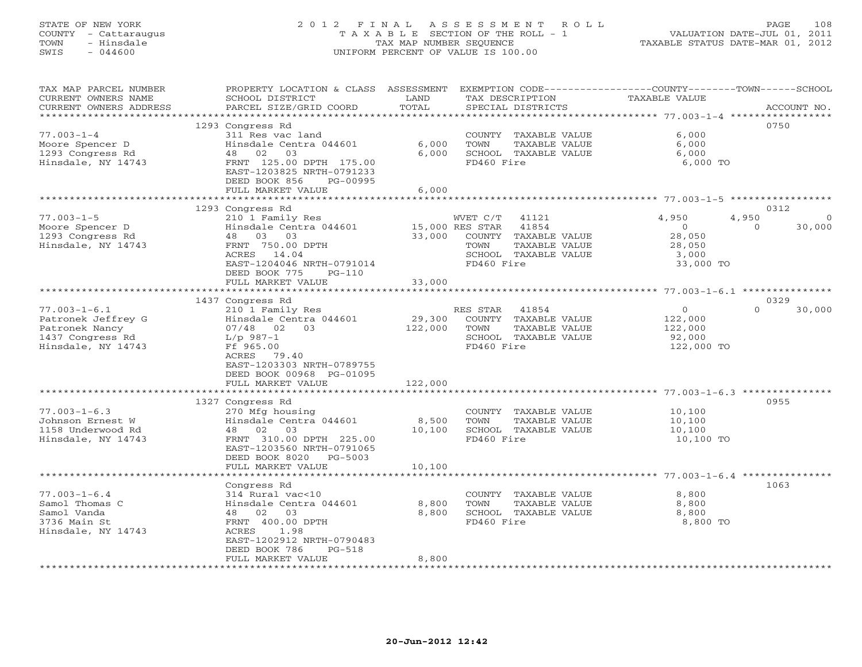## STATE OF NEW YORK 2 0 1 2 F I N A L A S S E S S M E N T R O L L PAGE 108 COUNTY - Cattaraugus T A X A B L E SECTION OF THE ROLL - 1 VALUATION DATE-JUL 01, 2011 TOWN - Hinsdale TAX MAP NUMBER SEQUENCE TAXABLE STATUS DATE-MAR 01, 2012 SWIS - 044600 UNIFORM PERCENT OF VALUE IS 100.00UNIFORM PERCENT OF VALUE IS 100.00

| TAX MAP PARCEL NUMBER   | PROPERTY LOCATION & CLASS ASSESSMENT |                 | EXEMPTION CODE-----------------COUNTY-------TOWN------SCHOOL |                      |                    |
|-------------------------|--------------------------------------|-----------------|--------------------------------------------------------------|----------------------|--------------------|
| CURRENT OWNERS NAME     | SCHOOL DISTRICT                      | LAND            | TAX DESCRIPTION                                              | <b>TAXABLE VALUE</b> |                    |
| CURRENT OWNERS ADDRESS  | PARCEL SIZE/GRID COORD               | TOTAL           | SPECIAL DISTRICTS                                            |                      | ACCOUNT NO.        |
| *********************** |                                      |                 |                                                              |                      |                    |
|                         | 1293 Congress Rd                     |                 |                                                              |                      | 0750               |
| $77.003 - 1 - 4$        | 311 Res vac land                     |                 | COUNTY TAXABLE VALUE                                         | 6.000                |                    |
| Moore Spencer D         | Hinsdale Centra 044601               | 6,000           | <b>TOWN</b><br>TAXABLE VALUE                                 | 6,000                |                    |
| 1293 Congress Rd        | 03<br>48 02                          | 6,000           | SCHOOL TAXABLE VALUE                                         | 6,000                |                    |
| Hinsdale, NY 14743      | FRNT 125.00 DPTH 175.00              |                 | FD460 Fire                                                   | 6,000 TO             |                    |
|                         | EAST-1203825 NRTH-0791233            |                 |                                                              |                      |                    |
|                         | DEED BOOK 856<br>PG-00995            |                 |                                                              |                      |                    |
|                         | FULL MARKET VALUE                    | 6,000           |                                                              |                      |                    |
|                         | *********************                |                 |                                                              |                      |                    |
|                         | 1293 Congress Rd                     |                 |                                                              |                      | 0312               |
| $77.003 - 1 - 5$        | 210 1 Family Res                     |                 | WVET C/T<br>41121                                            | 4,950                | 4,950<br>$\Omega$  |
| Moore Spencer D         | Hinsdale Centra 044601               | 15,000 RES STAR | 41854                                                        | $\overline{0}$       | 30,000<br>$\Omega$ |
| 1293 Congress Rd        | 48 03 03                             | 33,000          | COUNTY TAXABLE VALUE                                         | 28,050               |                    |
| Hinsdale, NY 14743      | FRNT 750.00 DPTH                     |                 | TOWN<br>TAXABLE VALUE                                        | 28,050               |                    |
|                         | ACRES 14.04                          |                 | SCHOOL TAXABLE VALUE                                         | 3,000                |                    |
|                         | EAST-1204046 NRTH-0791014            |                 | FD460 Fire                                                   | 33,000 TO            |                    |
|                         | DEED BOOK 775<br>$PG-110$            |                 |                                                              |                      |                    |
|                         | FULL MARKET VALUE                    | 33,000          |                                                              |                      |                    |
|                         |                                      |                 |                                                              |                      |                    |
|                         | 1437 Congress Rd                     |                 |                                                              |                      | 0329               |
| $77.003 - 1 - 6.1$      | 210 1 Family Res                     |                 | RES STAR<br>41854                                            | $\circ$              | $\Omega$<br>30,000 |
| Patronek Jeffrey G      | Hinsdale Centra 044601               | 29,300          | COUNTY TAXABLE VALUE                                         | 122,000              |                    |
| Patronek Nancy          | $07/48$ 02 03                        | 122,000         | TOWN<br>TAXABLE VALUE                                        | 122,000              |                    |
| 1437 Congress Rd        | L/p 987-1                            |                 | SCHOOL TAXABLE VALUE                                         | 92,000               |                    |
| Hinsdale, NY 14743      | Ff 965.00                            |                 | FD460 Fire                                                   | 122,000 TO           |                    |
|                         | ACRES 79.40                          |                 |                                                              |                      |                    |
|                         | EAST-1203303 NRTH-0789755            |                 |                                                              |                      |                    |
|                         | DEED BOOK 00968 PG-01095             |                 |                                                              |                      |                    |
|                         | FULL MARKET VALUE                    | 122,000         |                                                              |                      |                    |
|                         |                                      |                 |                                                              |                      |                    |
|                         | 1327 Congress Rd                     |                 |                                                              |                      | 0955               |
| $77.003 - 1 - 6.3$      | 270 Mfg housing                      |                 | COUNTY TAXABLE VALUE                                         | 10,100               |                    |
| Johnson Ernest W        | Hinsdale Centra 044601               | 8,500           | TOWN<br>TAXABLE VALUE                                        | 10,100               |                    |
| 1158 Underwood Rd       | 48 02<br>03                          | 10,100          | SCHOOL TAXABLE VALUE                                         | 10,100               |                    |
| Hinsdale, NY 14743      | FRNT 310.00 DPTH 225.00              |                 | FD460 Fire                                                   | 10,100 TO            |                    |
|                         | EAST-1203560 NRTH-0791065            |                 |                                                              |                      |                    |
|                         | DEED BOOK 8020<br>PG-5003            |                 |                                                              |                      |                    |
|                         | FULL MARKET VALUE                    | 10,100          |                                                              |                      |                    |
|                         | Congress Rd                          |                 |                                                              |                      | 1063               |
| $77.003 - 1 - 6.4$      | 314 Rural vac<10                     |                 | COUNTY TAXABLE VALUE                                         | 8,800                |                    |
| Samol Thomas C          | Hinsdale Centra 044601               | 8,800           | TOWN<br>TAXABLE VALUE                                        | 8,800                |                    |
| Samol Vanda             | 48<br>02 03                          | 8,800           | SCHOOL TAXABLE VALUE                                         | 8,800                |                    |
| 3736 Main St            | FRNT 400.00 DPTH                     |                 | FD460 Fire                                                   | 8,800 TO             |                    |
| Hinsdale, NY 14743      | 1.98<br>ACRES                        |                 |                                                              |                      |                    |
|                         | EAST-1202912 NRTH-0790483            |                 |                                                              |                      |                    |
|                         | DEED BOOK 786<br>$PG-518$            |                 |                                                              |                      |                    |
|                         | FULL MARKET VALUE                    | 8,800           |                                                              |                      |                    |
|                         |                                      |                 |                                                              |                      |                    |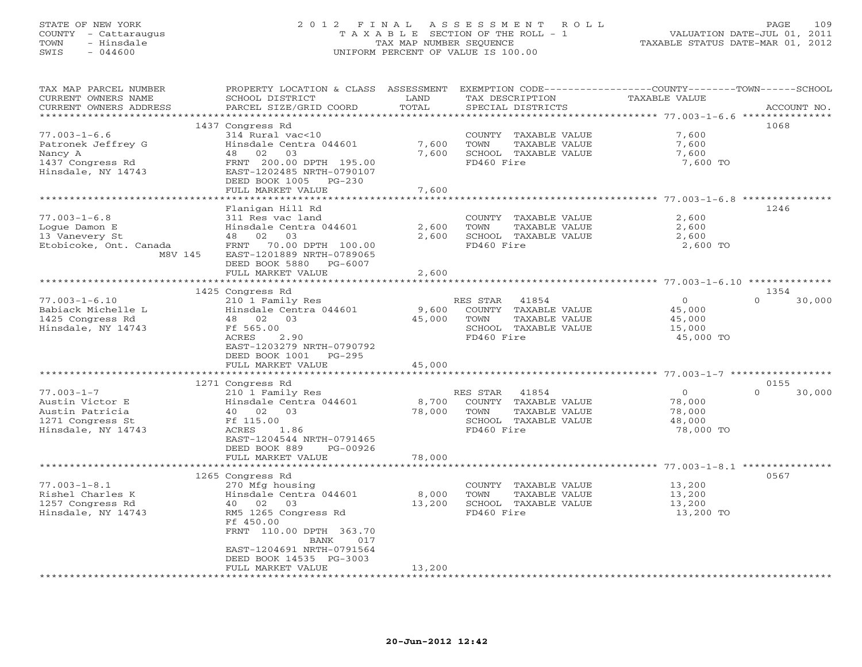## STATE OF NEW YORK 2 0 1 2 F I N A L A S S E S S M E N T R O L L PAGE 109 COUNTY - Cattaraugus T A X A B L E SECTION OF THE ROLL - 1 VALUATION DATE-JUL 01, 2011 TOWN - Hinsdale TAX MAP NUMBER SEQUENCE TAXABLE STATUS DATE-MAR 01, 2012 SWIS - 044600 UNIFORM PERCENT OF VALUE IS 100.00UNIFORM PERCENT OF VALUE IS 100.00

| TAX MAP PARCEL NUMBER  |                           |        |                       | PROPERTY LOCATION & CLASS ASSESSMENT EXEMPTION CODE---------------COUNTY-------TOWN------SCHOOL |
|------------------------|---------------------------|--------|-----------------------|-------------------------------------------------------------------------------------------------|
| CURRENT OWNERS NAME    | SCHOOL DISTRICT           | LAND   | TAX DESCRIPTION       | TAXABLE VALUE                                                                                   |
| CURRENT OWNERS ADDRESS | PARCEL SIZE/GRID COORD    | TOTAL  | SPECIAL DISTRICTS     | ACCOUNT NO.                                                                                     |
|                        |                           |        |                       |                                                                                                 |
|                        | 1437 Congress Rd          |        |                       | 1068                                                                                            |
| $77.003 - 1 - 6.6$     | 314 Rural vac<10          |        | COUNTY TAXABLE VALUE  | 7,600                                                                                           |
| Patronek Jeffrey G     | Hinsdale Centra 044601    | 7,600  | TOWN<br>TAXABLE VALUE | 7,600                                                                                           |
| Nancy A                | 48 02<br>03               | 7,600  | SCHOOL TAXABLE VALUE  | 7,600                                                                                           |
| 1437 Congress Rd       | FRNT 200.00 DPTH 195.00   |        | FD460 Fire            | 7,600 TO                                                                                        |
| Hinsdale, NY 14743     | EAST-1202485 NRTH-0790107 |        |                       |                                                                                                 |
|                        | DEED BOOK 1005 PG-230     |        |                       |                                                                                                 |
|                        | FULL MARKET VALUE         | 7,600  |                       |                                                                                                 |
|                        |                           |        |                       |                                                                                                 |
|                        |                           |        |                       |                                                                                                 |
|                        | Flanigan Hill Rd          |        |                       | 1246                                                                                            |
| $77.003 - 1 - 6.8$     | 311 Res vac land          |        | COUNTY TAXABLE VALUE  | 2,600                                                                                           |
| Logue Damon E          | Hinsdale Centra 044601    | 2,600  | TOWN<br>TAXABLE VALUE | 2,600                                                                                           |
| 13 Vanevery St         | 48 02 03                  | 2,600  | SCHOOL TAXABLE VALUE  | 2,600                                                                                           |
| Etobicoke, Ont. Canada | FRNT 70.00 DPTH 100.00    |        | FD460 Fire            | 2,600 TO                                                                                        |
| M8V 145                | EAST-1201889 NRTH-0789065 |        |                       |                                                                                                 |
|                        | DEED BOOK 5880 PG-6007    |        |                       |                                                                                                 |
|                        | FULL MARKET VALUE         | 2,600  |                       |                                                                                                 |
| *********************  |                           |        |                       |                                                                                                 |
|                        | 1425 Congress Rd          |        |                       | 1354                                                                                            |
| $77.003 - 1 - 6.10$    | 210 1 Family Res          |        | RES STAR 41854        | $\overline{0}$<br>$\Omega$<br>30,000                                                            |
| Babiack Michelle L     | Hinsdale Centra 044601    | 9,600  | COUNTY TAXABLE VALUE  | 45,000                                                                                          |
| 1425 Congress Rd       | 48 02 03                  | 45,000 | TAXABLE VALUE<br>TOWN | 45,000                                                                                          |
| Hinsdale, NY 14743     | Ff 565.00                 |        | SCHOOL TAXABLE VALUE  | 15,000                                                                                          |
|                        | ACRES<br>2.90             |        | FD460 Fire            | 45,000 TO                                                                                       |
|                        | EAST-1203279 NRTH-0790792 |        |                       |                                                                                                 |
|                        | DEED BOOK 1001 PG-295     |        |                       |                                                                                                 |
|                        | FULL MARKET VALUE         | 45,000 |                       |                                                                                                 |
|                        |                           |        |                       |                                                                                                 |
|                        | 1271 Congress Rd          |        |                       | 0155                                                                                            |
| $77.003 - 1 - 7$       | 210 1 Family Res          |        | RES STAR<br>41854     | $\Omega$<br>$\Omega$<br>30,000                                                                  |
| Austin Victor E        |                           |        |                       |                                                                                                 |
|                        | Hinsdale Centra 044601    | 8,700  | COUNTY TAXABLE VALUE  | 78,000                                                                                          |
| Austin Patricia        | 40 02 03                  | 78,000 | TOWN<br>TAXABLE VALUE | 78,000                                                                                          |
| 1271 Congress St       | Ff 115.00                 |        | SCHOOL TAXABLE VALUE  | 48,000                                                                                          |
| Hinsdale, NY 14743     | 1.86<br>ACRES             |        | FD460 Fire            | 78,000 TO                                                                                       |
|                        | EAST-1204544 NRTH-0791465 |        |                       |                                                                                                 |
|                        | DEED BOOK 889<br>PG-00926 |        |                       |                                                                                                 |
|                        | FULL MARKET VALUE         | 78,000 |                       |                                                                                                 |
|                        |                           |        |                       |                                                                                                 |
|                        | 1265 Congress Rd          |        |                       | 0567                                                                                            |
| $77.003 - 1 - 8.1$     | 270 Mfg housing           |        | COUNTY TAXABLE VALUE  | 13,200                                                                                          |
| Rishel Charles K       | Hinsdale Centra 044601    | 8,000  | TOWN<br>TAXABLE VALUE | 13,200                                                                                          |
| 1257 Congress Rd       | 40 02<br>03               | 13,200 | SCHOOL TAXABLE VALUE  | 13,200                                                                                          |
| Hinsdale, NY 14743     | RM5 1265 Congress Rd      |        | FD460 Fire            | 13,200 TO                                                                                       |
|                        | Ff 450.00                 |        |                       |                                                                                                 |
|                        | FRNT 110.00 DPTH 363.70   |        |                       |                                                                                                 |
|                        | BANK<br>017               |        |                       |                                                                                                 |
|                        | EAST-1204691 NRTH-0791564 |        |                       |                                                                                                 |
|                        | DEED BOOK 14535 PG-3003   |        |                       |                                                                                                 |
|                        | FULL MARKET VALUE         | 13,200 |                       |                                                                                                 |
|                        |                           |        |                       |                                                                                                 |
|                        |                           |        |                       |                                                                                                 |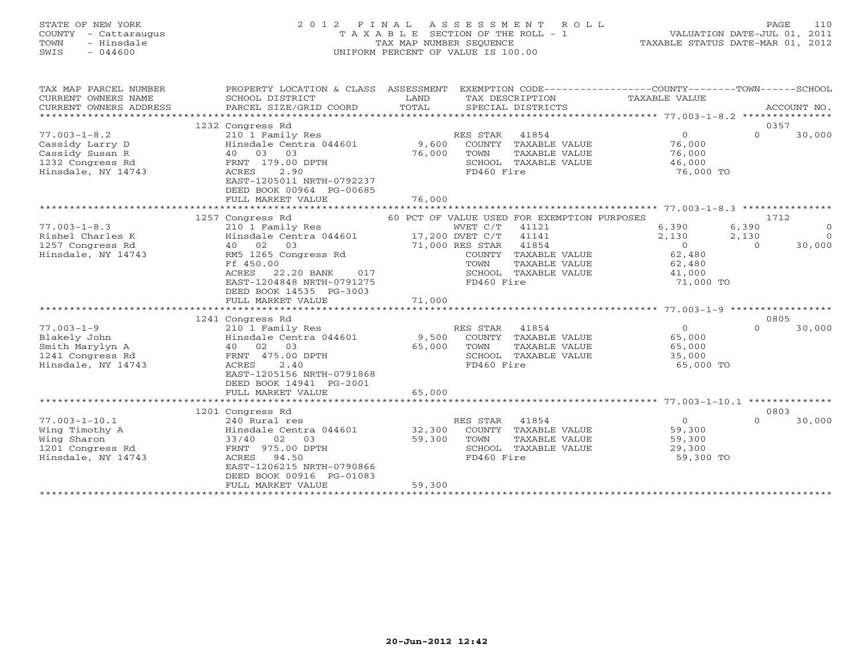# STATE OF NEW YORK 2 0 1 2 F I N A L A S S E S S M E N T R O L L PAGE 110 COUNTY - Cattaraugus T A X A B L E SECTION OF THE ROLL - 1 VALUATION DATE-JUL 01, 2011 TOWN - Hinsdale TAX MAP NUMBER SEQUENCE TAXABLE STATUS DATE-MAR 01, 2012 SWIS - 044600 UNIFORM PERCENT OF VALUE IS 100.00UNIFORM PERCENT OF VALUE IS 100.00

| TAX MAP PARCEL NUMBER<br>CURRENT OWNERS NAME<br>CURRENT OWNERS ADDRESS                         | PROPERTY LOCATION & CLASS ASSESSMENT<br>SCHOOL DISTRICT<br>PARCEL SIZE/GRID COORD                                                                                                 | LAND<br>TOTAL    | TAX DESCRIPTION<br>SPECIAL DISTRICTS                                                                                                             | EXEMPTION CODE-----------------COUNTY-------TOWN------SCHOOL<br>TAXABLE VALUE |                            | ACCOUNT NO.                          |
|------------------------------------------------------------------------------------------------|-----------------------------------------------------------------------------------------------------------------------------------------------------------------------------------|------------------|--------------------------------------------------------------------------------------------------------------------------------------------------|-------------------------------------------------------------------------------|----------------------------|--------------------------------------|
| $77.003 - 1 - 8.2$<br>Cassidy Larry D                                                          | 1232 Congress Rd<br>210 1 Family Res<br>Hinsdale Centra 044601                                                                                                                    | 9,600            | RES STAR 41854<br>COUNTY TAXABLE VALUE                                                                                                           | $\Omega$<br>76,000                                                            | $\Omega$                   | 0357<br>30,000                       |
| Cassidy Susan R<br>1232 Congress Rd<br>Hinsdale, NY 14743                                      | 40 03 03<br>FRNT 179.00 DPTH<br>2.90<br>ACRES<br>EAST-1205011 NRTH-0792237<br>DEED BOOK 00964 PG-00685                                                                            | 76,000           | TOWN<br>TAXABLE VALUE<br>SCHOOL TAXABLE VALUE<br>FD460 Fire                                                                                      | 76,000<br>46,000<br>76,000 TO                                                 |                            |                                      |
|                                                                                                | FULL MARKET VALUE                                                                                                                                                                 | 76,000           |                                                                                                                                                  |                                                                               |                            |                                      |
|                                                                                                | 1257 Congress Rd                                                                                                                                                                  |                  | 60 PCT OF VALUE USED FOR EXEMPTION PURPOSES                                                                                                      |                                                                               |                            | 1712                                 |
| $77.003 - 1 - 8.3$<br>Rishel Charles K<br>1257 Congress Rd<br>Hinsdale, NY 14743               | 210 1 Family Res<br>Hinsdale Centra 044601<br>40 02 03<br>RM5 1265 Congress Rd<br>Ff 450.00<br>22.20 BANK<br>ACRES<br>017<br>EAST-1204848 NRTH-0791275<br>DEED BOOK 14535 PG-3003 | 17,200 DVET C/T  | WVET C/T<br>41121<br>41141<br>41854<br>71,000 RES STAR<br>TAXABLE VALUE<br>COUNTY<br>TOWN<br>TAXABLE VALUE<br>SCHOOL TAXABLE VALUE<br>FD460 Fire | 6,390<br>2,130<br>$\bigcirc$<br>62,480<br>62,480<br>41,000<br>71,000 TO       | 6,390<br>2,130<br>$\Omega$ | $\overline{0}$<br>$\Omega$<br>30,000 |
|                                                                                                | FULL MARKET VALUE<br>*********************************                                                                                                                            | 71,000           |                                                                                                                                                  |                                                                               |                            |                                      |
|                                                                                                | 1241 Congress Rd                                                                                                                                                                  |                  |                                                                                                                                                  |                                                                               |                            | 0805                                 |
| $77.003 - 1 - 9$<br>Blakely John<br>Smith Marylyn A<br>1241 Congress Rd<br>Hinsdale, NY 14743  | 210 1 Family Res<br>Hinsdale Centra 044601<br>40 02 03<br>FRNT 475.00 DPTH<br>2.40<br>ACRES<br>EAST-1205156 NRTH-0791868<br>DEED BOOK 14941 PG-2001                               | 9,500<br>65,000  | RES STAR<br>41854<br>COUNTY TAXABLE VALUE<br>TOWN<br>TAXABLE VALUE<br>SCHOOL TAXABLE VALUE<br>FD460 Fire                                         | $\overline{0}$<br>65,000<br>65,000<br>35,000<br>65,000 TO                     | $\Omega$                   | 30,000                               |
|                                                                                                | FULL MARKET VALUE                                                                                                                                                                 | 65,000           |                                                                                                                                                  |                                                                               |                            |                                      |
|                                                                                                | 1201 Congress Rd                                                                                                                                                                  |                  |                                                                                                                                                  |                                                                               |                            | 0803                                 |
| $77.003 - 1 - 10.1$<br>Wing Timothy A<br>Wing Sharon<br>1201 Congress Rd<br>Hinsdale, NY 14743 | 240 Rural res<br>Hinsdale Centra 044601<br>33/40 02 03<br>FRNT 975.00 DPTH<br>94.50<br>ACRES<br>EAST-1206215 NRTH-0790866<br>DEED BOOK 00916 PG-01083                             | 32,300<br>59,300 | RES STAR<br>41854<br>COUNTY TAXABLE VALUE<br>TOWN<br>TAXABLE VALUE<br>SCHOOL TAXABLE VALUE<br>FD460 Fire                                         | $\Omega$<br>59,300<br>59,300<br>29,300<br>59,300 TO                           | $\Omega$                   | 30,000                               |
|                                                                                                | FULL MARKET VALUE<br>************************                                                                                                                                     | 59,300           |                                                                                                                                                  |                                                                               |                            |                                      |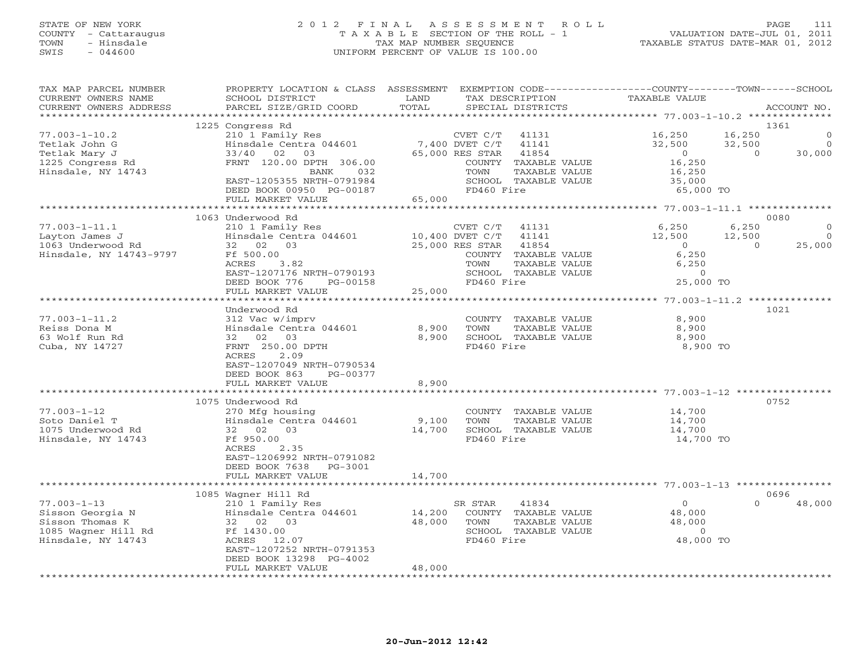# STATE OF NEW YORK 2 0 1 2 F I N A L A S S E S S M E N T R O L L PAGE 111 COUNTY - Cattaraugus T A X A B L E SECTION OF THE ROLL - 1 VALUATION DATE-JUL 01, 2011 TOWN - Hinsdale TAX MAP NUMBER SEQUENCE TAXABLE STATUS DATE-MAR 01, 2012 SWIS - 044600 UNIFORM PERCENT OF VALUE IS 100.00UNIFORM PERCENT OF VALUE IS 100.00

| TAX MAP PARCEL NUMBER<br>CURRENT OWNERS NAME | PROPERTY LOCATION & CLASS ASSESSMENT<br>SCHOOL DISTRICT | LAND               | EXEMPTION CODE-----------------COUNTY-------TOWN------SCHOOL<br>TAX DESCRIPTION | <b>TAXABLE VALUE</b>                            |                              |
|----------------------------------------------|---------------------------------------------------------|--------------------|---------------------------------------------------------------------------------|-------------------------------------------------|------------------------------|
| CURRENT OWNERS ADDRESS                       | PARCEL SIZE/GRID COORD                                  | TOTAL              | SPECIAL DISTRICTS                                                               |                                                 | ACCOUNT NO.                  |
|                                              |                                                         |                    | **************************                                                      | ****************** 77.003-1-10.2 ************** |                              |
|                                              | 1225 Congress Rd                                        |                    |                                                                                 |                                                 | 1361                         |
| $77.003 - 1 - 10.2$<br>Tetlak John G         | 210 1 Family Res<br>Hinsdale Centra 044601              |                    | CVET C/T<br>41131<br>$7,400$ DVET $C/T$<br>41141                                | 16,250<br>32,500                                | 16,250<br>32,500<br>$\Omega$ |
| Tetlak Mary J                                | $33/40$ 02<br>03                                        |                    | 65,000 RES STAR<br>41854                                                        | $\circ$                                         | 30,000<br>$\Omega$           |
| 1225 Congress Rd                             | FRNT 120.00 DPTH 306.00                                 |                    | COUNTY TAXABLE VALUE                                                            | 16,250                                          |                              |
| Hinsdale, NY 14743                           | <b>BANK</b><br>032                                      |                    | TOWN<br>TAXABLE VALUE                                                           | 16,250                                          |                              |
|                                              | EAST-1205355 NRTH-0791984                               |                    | SCHOOL TAXABLE VALUE                                                            | 35,000                                          |                              |
|                                              | DEED BOOK 00950 PG-00187                                |                    | FD460 Fire                                                                      | 65,000 TO                                       |                              |
|                                              | FULL MARKET VALUE                                       | 65,000             |                                                                                 |                                                 |                              |
|                                              |                                                         |                    |                                                                                 |                                                 |                              |
|                                              | 1063 Underwood Rd                                       |                    |                                                                                 |                                                 | 0080                         |
| $77.003 - 1 - 11.1$                          | 210 1 Family Res                                        |                    | CVET C/T<br>41131                                                               | 6,250                                           | 6,250<br>∩                   |
| Layton James J                               | Hinsdale Centra 044601                                  |                    | 10,400 DVET C/T<br>41141                                                        | 12,500                                          | 12,500<br>$\Omega$           |
| 1063 Underwood Rd                            | 32 02 03                                                |                    | 25,000 RES STAR<br>41854                                                        | $\Omega$                                        | $\Omega$<br>25,000           |
| Hinsdale, NY 14743-9797                      | Ff 500.00                                               |                    | TAXABLE VALUE<br>COUNTY                                                         | 6,250                                           |                              |
|                                              | ACRES<br>3.82                                           |                    | TOWN<br>TAXABLE VALUE                                                           | 6,250                                           |                              |
|                                              | EAST-1207176 NRTH-0790193                               |                    | SCHOOL TAXABLE VALUE                                                            | $\Omega$                                        |                              |
|                                              | DEED BOOK 776<br>PG-00158                               |                    | FD460 Fire                                                                      | 25,000 TO                                       |                              |
|                                              | FULL MARKET VALUE                                       | 25,000<br>******** |                                                                                 |                                                 |                              |
|                                              |                                                         |                    |                                                                                 | ******* 77.003-1-11.2 ************              |                              |
|                                              | Underwood Rd                                            |                    |                                                                                 |                                                 | 1021                         |
| $77.003 - 1 - 11.2$                          | 312 Vac w/imprv                                         |                    | COUNTY TAXABLE VALUE                                                            | 8,900                                           |                              |
| Reiss Dona M<br>63 Wolf Run Rd               | Hinsdale Centra 044601<br>32<br>02<br>03                | 8,900<br>8,900     | TOWN<br>TAXABLE VALUE<br>SCHOOL TAXABLE VALUE                                   | 8,900<br>8,900                                  |                              |
| Cuba, NY 14727                               | FRNT 250.00 DPTH                                        |                    | FD460 Fire                                                                      | 8,900 TO                                        |                              |
|                                              | ACRES<br>2.09                                           |                    |                                                                                 |                                                 |                              |
|                                              | EAST-1207049 NRTH-0790534                               |                    |                                                                                 |                                                 |                              |
|                                              | DEED BOOK 863<br>PG-00377                               |                    |                                                                                 |                                                 |                              |
|                                              | FULL MARKET VALUE                                       | 8,900              |                                                                                 |                                                 |                              |
|                                              |                                                         |                    |                                                                                 |                                                 |                              |
|                                              | 1075 Underwood Rd                                       |                    |                                                                                 |                                                 | 0752                         |
| $77.003 - 1 - 12$                            | 270 Mfg housing                                         |                    | COUNTY TAXABLE VALUE                                                            | 14,700                                          |                              |
| Soto Daniel T                                | Hinsdale Centra 044601                                  | 9,100              | TOWN<br>TAXABLE VALUE                                                           | 14,700                                          |                              |
| 1075 Underwood Rd                            | 02<br>03<br>32                                          | 14,700             | SCHOOL TAXABLE VALUE                                                            | 14,700                                          |                              |
| Hinsdale, NY 14743                           | Ff 950.00                                               |                    | FD460 Fire                                                                      | 14,700 TO                                       |                              |
|                                              | 2.35<br>ACRES                                           |                    |                                                                                 |                                                 |                              |
|                                              | EAST-1206992 NRTH-0791082                               |                    |                                                                                 |                                                 |                              |
|                                              | DEED BOOK 7638<br>PG-3001                               |                    |                                                                                 |                                                 |                              |
|                                              | FULL MARKET VALUE<br>************************           | 14,700             |                                                                                 |                                                 |                              |
|                                              |                                                         |                    |                                                                                 |                                                 | 0696                         |
| $77.003 - 1 - 13$                            | 1085 Wagner Hill Rd<br>210 1 Family Res                 |                    | SR STAR<br>41834                                                                | $\mathbf 0$                                     | 48,000<br>$\Omega$           |
| Sisson Georgia N                             | Hinsdale Centra 044601                                  | 14,200             | COUNTY TAXABLE VALUE                                                            | 48,000                                          |                              |
| Sisson Thomas K                              | 32 02 03                                                | 48,000             | TOWN<br>TAXABLE VALUE                                                           | 48,000                                          |                              |
| 1085 Wagner Hill Rd                          | Ff 1430.00                                              |                    | SCHOOL TAXABLE VALUE                                                            | $\circ$                                         |                              |
| Hinsdale, NY 14743                           | ACRES<br>12.07                                          |                    | FD460 Fire                                                                      | 48,000 TO                                       |                              |
|                                              | EAST-1207252 NRTH-0791353                               |                    |                                                                                 |                                                 |                              |
|                                              | DEED BOOK 13298 PG-4002                                 |                    |                                                                                 |                                                 |                              |
|                                              | FULL MARKET VALUE                                       | 48,000             |                                                                                 |                                                 |                              |
|                                              |                                                         | .                  |                                                                                 |                                                 |                              |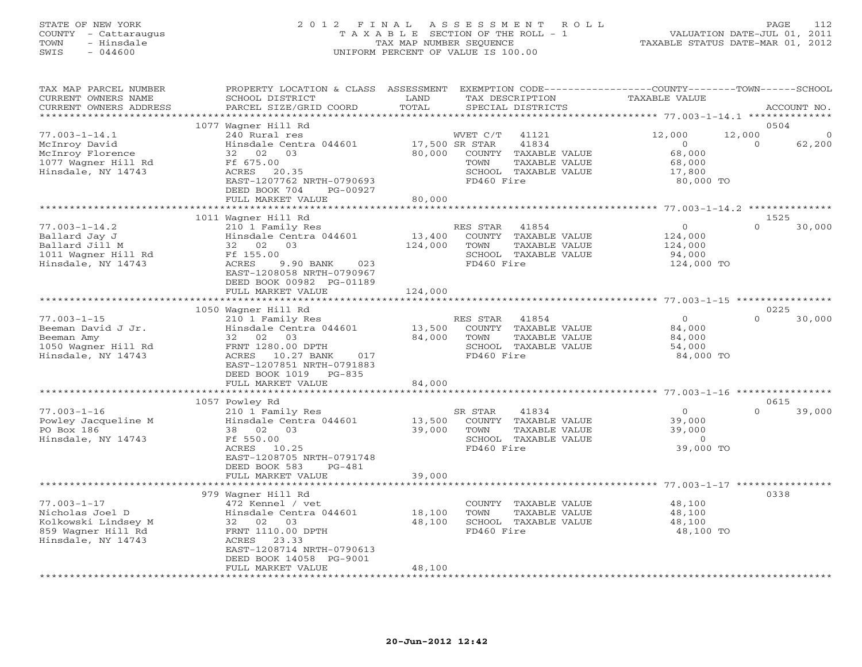### STATE OF NEW YORK 2 0 1 2 F I N A L A S S E S S M E N T R O L L PAGE 112 COUNTY - Cattaraugus T A X A B L E SECTION OF THE ROLL - 1 VALUATION DATE-JUL 01, 2011 TOWN - Hinsdale TAX MAP NUMBER SEQUENCE TAXABLE STATUS DATE-MAR 01, 2012 SWIS - 044600 UNIFORM PERCENT OF VALUE IS 100.00UNIFORM PERCENT OF VALUE IS 100.00

| TAX MAP PARCEL NUMBER<br>CURRENT OWNERS NAME<br>CURRENT OWNERS ADDRESS                                  | PROPERTY LOCATION & CLASS<br>SCHOOL DISTRICT<br>PARCEL SIZE/GRID COORD                                                                                                                           | ASSESSMENT<br>LAND<br>TOTAL | EXEMPTION CODE-----------------COUNTY-------TOWN------SCHOOL<br>TAX DESCRIPTION<br>SPECIAL DISTRICTS                                | TAXABLE VALUE                                                                   | ACCOUNT NO.                |
|---------------------------------------------------------------------------------------------------------|--------------------------------------------------------------------------------------------------------------------------------------------------------------------------------------------------|-----------------------------|-------------------------------------------------------------------------------------------------------------------------------------|---------------------------------------------------------------------------------|----------------------------|
| ******************                                                                                      |                                                                                                                                                                                                  |                             |                                                                                                                                     |                                                                                 |                            |
| $77.003 - 1 - 14.1$<br>McInroy David<br>McInroy Florence<br>1077 Wagner Hill Rd<br>Hinsdale, NY 14743   | 1077 Wagner Hill Rd<br>240 Rural res<br>Hinsdale Centra 044601<br>32 02<br>03<br>Ff 675.00<br>ACRES<br>20.35<br>EAST-1207762 NRTH-0790693<br>DEED BOOK 704<br>PG-00927<br>FULL MARKET VALUE      | 80,000<br>80,000            | WVET C/T<br>41121<br>17,500 SR STAR<br>41834<br>COUNTY TAXABLE VALUE<br>TAXABLE VALUE<br>TOWN<br>SCHOOL TAXABLE VALUE<br>FD460 Fire | 12,000<br>12,000<br>$\Omega$<br>68,000<br>68,000<br>17,800<br>80,000 TO         | 0504<br>$\Omega$<br>62,200 |
|                                                                                                         | **************                                                                                                                                                                                   | ***********                 |                                                                                                                                     | ********************* 77.003-1-14.2 ***************                             |                            |
| $77.003 - 1 - 14.2$<br>Ballard Jay J<br>Ballard Jill M<br>1011 Wagner Hill Rd<br>Hinsdale, NY 14743     | 1011 Wagner Hill Rd<br>210 1 Family Res<br>Hinsdale Centra 044601<br>32 02<br>03<br>Ff 155.00<br>ACRES<br>9.90 BANK<br>023<br>EAST-1208058 NRTH-0790967<br>DEED BOOK 00982 PG-01189              | 13,400<br>124,000           | RES STAR<br>41854<br>COUNTY<br>TAXABLE VALUE<br>TOWN<br>TAXABLE VALUE<br>SCHOOL TAXABLE VALUE<br>FD460 Fire                         | $\circ$<br>124,000<br>124,000<br>94,000<br>124,000 TO                           | 1525<br>$\Omega$<br>30,000 |
|                                                                                                         | FULL MARKET VALUE<br>**********************                                                                                                                                                      | 124,000<br>*************    |                                                                                                                                     | **************************************503-1-15 *****************                |                            |
|                                                                                                         | 1050 Wagner Hill Rd                                                                                                                                                                              |                             |                                                                                                                                     |                                                                                 | 0225                       |
| $77.003 - 1 - 15$<br>Beeman David J Jr.<br>Beeman Amy<br>1050 Wagner Hill Rd<br>Hinsdale, NY 14743      | 210 1 Family Res<br>Hinsdale Centra 044601<br>02<br>03<br>32<br>FRNT 1280.00 DPTH<br>ACRES<br>10.27 BANK<br>017<br>EAST-1207851 NRTH-0791883<br>DEED BOOK 1019<br>$PG-835$                       | 13,500<br>84,000            | RES STAR<br>41854<br>COUNTY<br>TAXABLE VALUE<br>TOWN<br>TAXABLE VALUE<br>SCHOOL TAXABLE VALUE<br>FD460 Fire                         | $\overline{0}$<br>84,000<br>84,000<br>54,000<br>84,000 TO                       | $\cap$<br>30,000           |
|                                                                                                         | FULL MARKET VALUE                                                                                                                                                                                | 84,000                      |                                                                                                                                     |                                                                                 |                            |
|                                                                                                         | 1057 Powley Rd                                                                                                                                                                                   |                             |                                                                                                                                     | ********** 77.003-1-16 *********                                                | 0615                       |
| $77.003 - 1 - 16$<br>Powley Jacqueline M<br>PO Box 186<br>Hinsdale, NY 14743                            | 210 1 Family Res<br>Hinsdale Centra 044601<br>38 02<br>03<br>Ff 550.00<br>ACRES 10.25<br>EAST-1208705 NRTH-0791748<br>DEED BOOK 583<br>$PG-481$                                                  | 13,500<br>39,000            | SR STAR<br>41834<br>COUNTY<br>TAXABLE VALUE<br>TOWN<br>TAXABLE VALUE<br>SCHOOL TAXABLE VALUE<br>FD460 Fire                          | $\circ$<br>39,000<br>39,000<br>$\Omega$<br>39,000 TO                            | 39,000<br>$\Omega$         |
|                                                                                                         | FULL MARKET VALUE                                                                                                                                                                                | 39,000                      |                                                                                                                                     |                                                                                 |                            |
| $77.003 - 1 - 17$<br>Nicholas Joel D<br>Kolkowski Lindsey M<br>859 Wagner Hill Rd<br>Hinsdale, NY 14743 | 979 Wagner Hill Rd<br>472 Kennel / vet<br>Hinsdale Centra 044601<br>32 02 03<br>FRNT 1110.00 DPTH<br>ACRES<br>23.33<br>EAST-1208714 NRTH-0790613<br>DEED BOOK 14058 PG-9001<br>FULL MARKET VALUE | 18,100<br>48,100<br>48,100  | COUNTY<br>TAXABLE VALUE<br>TOWN<br>TAXABLE VALUE<br>SCHOOL TAXABLE VALUE<br>FD460 Fire                                              | ************* 77.003-1-17 **********<br>48,100<br>48,100<br>48,100<br>48,100 TO | 0338                       |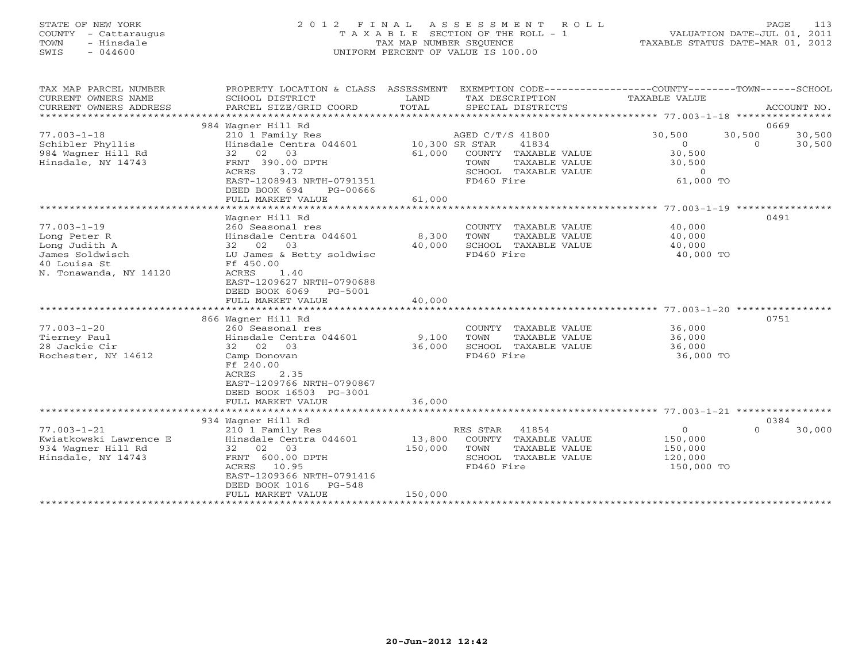# STATE OF NEW YORK 2 0 1 2 F I N A L A S S E S S M E N T R O L L PAGE 113 COUNTY - Cattaraugus T A X A B L E SECTION OF THE ROLL - 1 VALUATION DATE-JUL 01, 2011 TOWN - Hinsdale TAX MAP NUMBER SEQUENCE TAXABLE STATUS DATE-MAR 01, 2012 SWIS - 044600 UNIFORM PERCENT OF VALUE IS 100.00UNIFORM PERCENT OF VALUE IS 100.00

| TAX MAP PARCEL NUMBER<br>CURRENT OWNERS NAME<br>CURRENT OWNERS ADDRESS | PROPERTY LOCATION & CLASS ASSESSMENT<br>SCHOOL DISTRICT<br>PARCEL SIZE/GRID COORD | LAND<br>TOTAL | EXEMPTION CODE-----------------COUNTY-------TOWN------SCHOOL<br>TAX DESCRIPTION TAXABLE VALUE<br>SPECIAL DISTRICTS |                | ACCOUNT NO.        |
|------------------------------------------------------------------------|-----------------------------------------------------------------------------------|---------------|--------------------------------------------------------------------------------------------------------------------|----------------|--------------------|
|                                                                        | 984 Waqner Hill Rd                                                                |               |                                                                                                                    |                | 0669               |
| $77.003 - 1 - 18$                                                      | 210 1 Family Res                                                                  |               | AGED C/T/S 41800                                                                                                   | 30,500         | 30,500<br>30,500   |
|                                                                        |                                                                                   |               |                                                                                                                    |                | $\overline{a}$     |
| Schibler Phyllis                                                       | Hinsdale Centra 044601 10,300 SR STAR                                             |               | 41834                                                                                                              | $\Omega$       | 30,500             |
| 984 Wagner Hill Rd                                                     | 32 02 03                                                                          | 61,000        | COUNTY TAXABLE VALUE                                                                                               | 30,500         |                    |
| Hinsdale, NY 14743                                                     | FRNT 390.00 DPTH                                                                  |               | TOWN<br>TAXABLE VALUE                                                                                              | 30,500         |                    |
|                                                                        | ACRES<br>3.72                                                                     |               | SCHOOL TAXABLE VALUE                                                                                               | $\overline{0}$ |                    |
|                                                                        | EAST-1208943 NRTH-0791351                                                         |               | FD460 Fire                                                                                                         | 61,000 TO      |                    |
|                                                                        | DEED BOOK 694<br>PG-00666                                                         |               |                                                                                                                    |                |                    |
|                                                                        | FULL MARKET VALUE                                                                 | 61,000        |                                                                                                                    |                |                    |
|                                                                        |                                                                                   |               |                                                                                                                    |                |                    |
|                                                                        | Wagner Hill Rd                                                                    |               |                                                                                                                    |                | 0491               |
| $77.003 - 1 - 19$                                                      | 260 Seasonal res                                                                  |               | COUNTY TAXABLE VALUE                                                                                               | 40,000         |                    |
| Long Peter R                                                           | Hinsdale Centra 044601 8,300                                                      |               | TOWN<br>TAXABLE VALUE                                                                                              | 40,000         |                    |
| Long Judith A                                                          | 32 02 03                                                                          | 40,000        | SCHOOL TAXABLE VALUE                                                                                               | 40,000         |                    |
| James Soldwisch                                                        | LU James & Betty soldwisc                                                         |               | FD460 Fire                                                                                                         | 40,000 TO      |                    |
| 40 Louisa St                                                           | Ff 450.00                                                                         |               |                                                                                                                    |                |                    |
| N. Tonawanda, NY 14120                                                 | ACRES<br>1.40                                                                     |               |                                                                                                                    |                |                    |
|                                                                        | EAST-1209627 NRTH-0790688                                                         |               |                                                                                                                    |                |                    |
|                                                                        | DEED BOOK 6069 PG-5001                                                            |               |                                                                                                                    |                |                    |
|                                                                        | FULL MARKET VALUE                                                                 | 40,000        |                                                                                                                    |                |                    |
|                                                                        |                                                                                   |               |                                                                                                                    |                |                    |
|                                                                        | 866 Wagner Hill Rd                                                                |               |                                                                                                                    |                | 0751               |
| $77.003 - 1 - 20$                                                      | 260 Seasonal res                                                                  |               | COUNTY TAXABLE VALUE                                                                                               | 36,000         |                    |
| Tierney Paul                                                           | Hinsdale Centra 044601 9,100                                                      |               | TOWN<br>TAXABLE VALUE                                                                                              | 36,000         |                    |
| 28 Jackie Cir                                                          | 32 02 03                                                                          | 36,000        | SCHOOL TAXABLE VALUE                                                                                               | 36,000         |                    |
| Rochester, NY 14612                                                    | Camp Donovan                                                                      |               | FD460 Fire                                                                                                         | 36,000 TO      |                    |
|                                                                        | Ff 240.00                                                                         |               |                                                                                                                    |                |                    |
|                                                                        |                                                                                   |               |                                                                                                                    |                |                    |
|                                                                        | <b>ACRES</b><br>2.35                                                              |               |                                                                                                                    |                |                    |
|                                                                        | EAST-1209766 NRTH-0790867                                                         |               |                                                                                                                    |                |                    |
|                                                                        | DEED BOOK 16503 PG-3001                                                           |               |                                                                                                                    |                |                    |
|                                                                        | FULL MARKET VALUE                                                                 | 36,000        |                                                                                                                    |                |                    |
|                                                                        |                                                                                   |               |                                                                                                                    |                |                    |
|                                                                        | 934 Wagner Hill Rd                                                                |               |                                                                                                                    |                | 0384               |
| $77.003 - 1 - 21$                                                      | 210 1 Family Res                                                                  |               | RES STAR<br>41854                                                                                                  | $\overline{O}$ | $\Omega$<br>30,000 |
| Kwiatkowski Lawrence E                                                 | Hinsdale Centra 044601                                                            | 13,800        | COUNTY TAXABLE VALUE                                                                                               | 150,000        |                    |
| 934 Wagner Hill Rd                                                     | 32 02 03                                                                          | 150,000       | TOWN<br>TAXABLE VALUE                                                                                              | 150,000        |                    |
| Hinsdale, NY 14743                                                     | FRNT 600.00 DPTH                                                                  |               | SCHOOL TAXABLE VALUE                                                                                               | 120,000        |                    |
|                                                                        | ACRES 10.95                                                                       |               | FD460 Fire                                                                                                         | 150,000 TO     |                    |
|                                                                        | EAST-1209366 NRTH-0791416                                                         |               |                                                                                                                    |                |                    |
|                                                                        | DEED BOOK 1016 PG-548                                                             |               |                                                                                                                    |                |                    |
|                                                                        | FULL MARKET VALUE                                                                 | 150,000       |                                                                                                                    |                |                    |
|                                                                        |                                                                                   |               |                                                                                                                    |                |                    |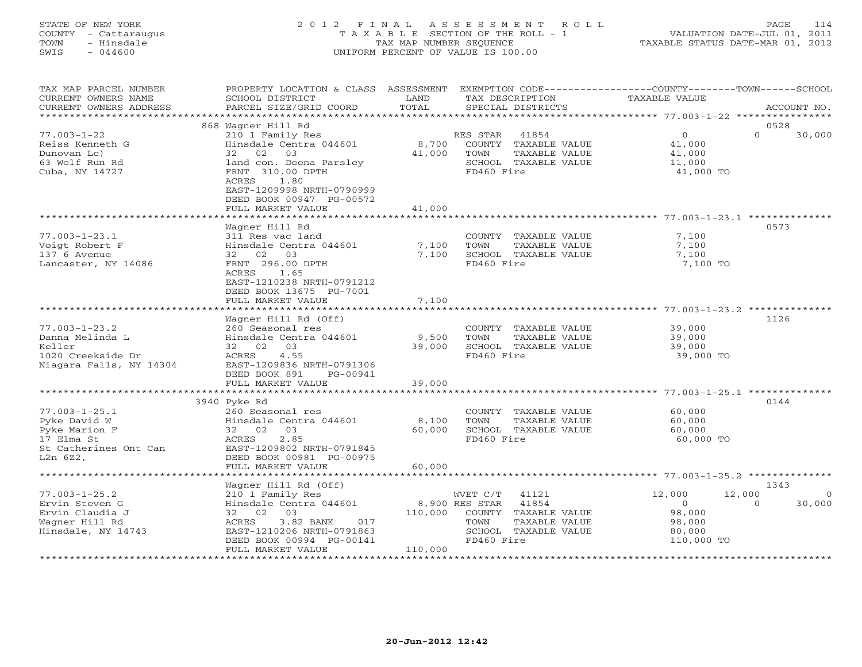# STATE OF NEW YORK 2 0 1 2 F I N A L A S S E S S M E N T R O L L PAGE 114 COUNTY - Cattaraugus T A X A B L E SECTION OF THE ROLL - 1 VALUATION DATE-JUL 01, 2011 TOWN - Hinsdale TAX MAP NUMBER SEQUENCE TAXABLE STATUS DATE-MAR 01, 2012 SWIS - 044600 UNIFORM PERCENT OF VALUE IS 100.00

| TAX MAP PARCEL NUMBER<br>CURRENT OWNERS NAME<br>CURRENT OWNERS ADDRESS                                  | PROPERTY LOCATION & CLASS ASSESSMENT EXEMPTION CODE----------------COUNTY-------TOWN------SCHOOL<br>SCHOOL DISTRICT<br>PARCEL SIZE/GRID COORD                                                                              | LAND<br>TOTAL             | TAX DESCRIPTION<br>SPECIAL DISTRICTS                                                                                          | TAXABLE VALUE                                                        | ACCOUNT NO.                                            |
|---------------------------------------------------------------------------------------------------------|----------------------------------------------------------------------------------------------------------------------------------------------------------------------------------------------------------------------------|---------------------------|-------------------------------------------------------------------------------------------------------------------------------|----------------------------------------------------------------------|--------------------------------------------------------|
| ********************                                                                                    | ***************************                                                                                                                                                                                                |                           |                                                                                                                               |                                                                      |                                                        |
| $77.003 - 1 - 22$<br>Reiss Kenneth G<br>Dunovan Lc)<br>63 Wolf Run Rd<br>Cuba, NY 14727                 | 868 Waqner Hill Rd<br>210 1 Family Res<br>Hinsdale Centra 044601<br>32 02 03<br>land con. Deena Parsley<br>FRNT 310.00 DPTH<br>1.80<br>ACRES<br>EAST-1209998 NRTH-0790999<br>DEED BOOK 00947 PG-00572<br>FULL MARKET VALUE | 8,700<br>41,000<br>41,000 | RES STAR<br>41854<br>COUNTY TAXABLE VALUE<br>TOWN<br>TAXABLE VALUE<br>SCHOOL TAXABLE VALUE<br>FD460 Fire                      | $\overline{0}$<br>41,000<br>41,000<br>11,000<br>41,000 TO            | 0528<br>$\Omega$<br>30,000                             |
|                                                                                                         | **********************                                                                                                                                                                                                     |                           |                                                                                                                               |                                                                      |                                                        |
| $77.003 - 1 - 23.1$<br>Voigt Robert F<br>137 6 Avenue<br>Lancaster, NY 14086                            | Wagner Hill Rd<br>311 Res vac land<br>Hinsdale Centra 044601<br>32 02 03<br>FRNT 296.00 DPTH<br>ACRES 1.65<br>EAST-1210238 NRTH-0791212<br>DEED BOOK 13675 PG-7001<br>FULL MARKET VALUE                                    | 7,100<br>7,100<br>7,100   | COUNTY TAXABLE VALUE<br>TOWN<br>TAXABLE VALUE<br>SCHOOL TAXABLE VALUE<br>FD460 Fire                                           | 7,100<br>7,100<br>7,100<br>7,100 TO                                  | 0573                                                   |
|                                                                                                         |                                                                                                                                                                                                                            |                           |                                                                                                                               |                                                                      |                                                        |
| $77.003 - 1 - 23.2$<br>Danna Melinda L<br>Keller<br>1020 Creekside Dr<br>Niagara Falls, NY 14304        | Wagner Hill Rd (Off)<br>260 Seasonal res<br>Hinsdale Centra 044601<br>32 02 03<br>ACRES 4.55<br>EAST-1209836 NRTH-0791306<br>DEED BOOK 891<br>PG-00941<br>FULL MARKET VALUE                                                | 9,500<br>39,000<br>39,000 | COUNTY TAXABLE VALUE<br>TOWN<br>TAXABLE VALUE<br>SCHOOL TAXABLE VALUE<br>FD460 Fire                                           | 39,000<br>39,000<br>39,000<br>39,000 TO                              | 1126                                                   |
|                                                                                                         | 3940 Pyke Rd                                                                                                                                                                                                               |                           |                                                                                                                               |                                                                      | 0144                                                   |
| $77.003 - 1 - 25.1$<br>Pyke David W<br>Pyke Marion F<br>17 Elma St<br>St Catherines Ont Can<br>L2n 6Z2, | 260 Seasonal res<br>Hinsdale Centra 044601<br>32 02 03<br>2.85<br>ACRES<br>EAST-1209802 NRTH-0791845<br>DEED BOOK 00981 PG-00975<br>FULL MARKET VALUE                                                                      | 8,100<br>60,000<br>60,000 | COUNTY TAXABLE VALUE<br>TOWN<br>TAXABLE VALUE<br>SCHOOL TAXABLE VALUE<br>FD460 Fire                                           | 60,000<br>60,000<br>60,000<br>60,000 TO                              |                                                        |
|                                                                                                         |                                                                                                                                                                                                                            |                           |                                                                                                                               |                                                                      |                                                        |
| $77.003 - 1 - 25.2$<br>Ervin Steven G<br>Ervin Claudia J<br>Wagner Hill Rd<br>Hinsdale, NY 14743        | Wagner Hill Rd (Off)<br>210 1 Family Res<br>Hinsdale Centra $044601$<br>32 02 03<br>3.82 BANK 017<br>ACRES<br>EAST-1210206 NRTH-0791863<br>DEED BOOK 00994 PG-00141<br>FULL MARKET VALUE                                   | 110,000<br>110,000        | WVET C/T 41121<br>8,900 RES STAR 41854<br>COUNTY TAXABLE VALUE<br>TAXABLE VALUE<br>TOWN<br>SCHOOL TAXABLE VALUE<br>FD460 Fire | 12,000<br>$\overline{0}$<br>98,000<br>98,000<br>80,000<br>110,000 TO | 1343<br>12,000<br>$\overline{0}$<br>30,000<br>$\Omega$ |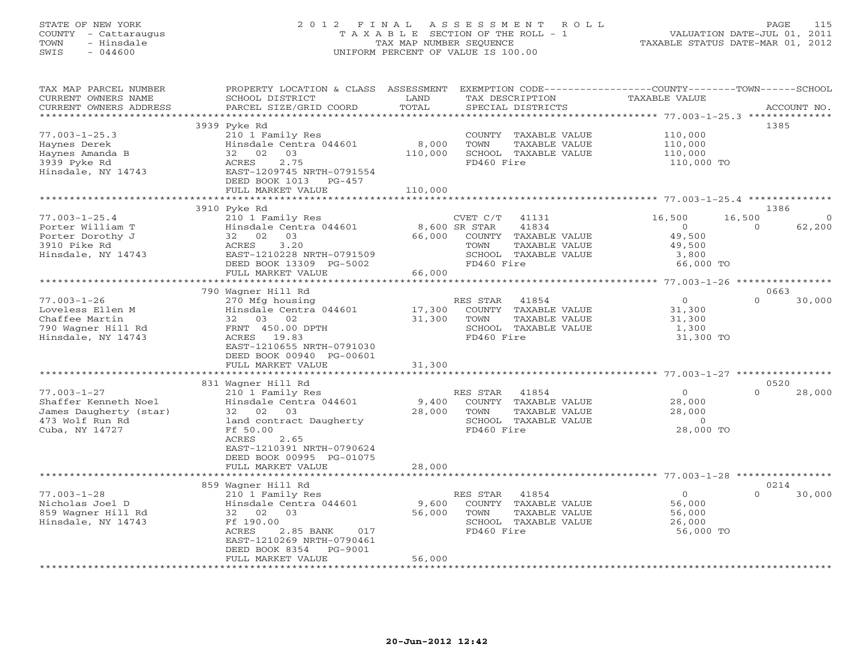# STATE OF NEW YORK 2 0 1 2 F I N A L A S S E S S M E N T R O L L PAGE 115 COUNTY - Cattaraugus T A X A B L E SECTION OF THE ROLL - 1 VALUATION DATE-JUL 01, 2011 TOWN - Hinsdale TAX MAP NUMBER SEQUENCE TAXABLE STATUS DATE-MAR 01, 2012 SWIS - 044600 UNIFORM PERCENT OF VALUE IS 100.00UNIFORM PERCENT OF VALUE IS 100.00

| TAX MAP PARCEL NUMBER<br>CURRENT OWNERS NAME<br>CURRENT OWNERS ADDRESS                                   | PROPERTY LOCATION & CLASS ASSESSMENT<br>SCHOOL DISTRICT<br>PARCEL SIZE/GRID COORD                                                                                                                                  | LAND<br>TOTAL                     | EXEMPTION CODE-----------------COUNTY-------TOWN------SCHOOL<br>TAX DESCRIPTION<br>SPECIAL DISTRICTS           | TAXABLE VALUE                                                      | ACCOUNT NO.                  |
|----------------------------------------------------------------------------------------------------------|--------------------------------------------------------------------------------------------------------------------------------------------------------------------------------------------------------------------|-----------------------------------|----------------------------------------------------------------------------------------------------------------|--------------------------------------------------------------------|------------------------------|
| **********************                                                                                   |                                                                                                                                                                                                                    |                                   |                                                                                                                |                                                                    |                              |
| $77.003 - 1 - 25.3$<br>Haynes Derek<br>Haynes Amanda B<br>3939 Pyke Rd<br>Hinsdale, NY 14743             | 3939 Pyke Rd<br>210 1 Family Res<br>Hinsdale Centra 044601<br>32 02 03<br>2.75<br>ACRES<br>EAST-1209745 NRTH-0791554<br>DEED BOOK 1013 PG-457<br>FULL MARKET VALUE                                                 | 8,000<br>110,000<br>110,000       | COUNTY TAXABLE VALUE<br>TOWN<br>TAXABLE VALUE<br>SCHOOL TAXABLE VALUE<br>FD460 Fire                            | 110,000<br>110,000<br>110,000<br>110,000 TO                        | 1385                         |
|                                                                                                          |                                                                                                                                                                                                                    |                                   |                                                                                                                |                                                                    |                              |
|                                                                                                          | 3910 Pyke Rd                                                                                                                                                                                                       |                                   |                                                                                                                |                                                                    | 1386                         |
| $77.003 - 1 - 25.4$<br>Porter William T<br>Porter Dorothy J<br>3910 Pike Rd<br>Hinsdale, NY 14743        | 210 1 Family Res<br>Hinsdale Centra 044601<br>32 02<br>03<br>ACRES<br>3.20<br>EAST-1210228 NRTH-0791509<br>DEED BOOK 13309 PG-5002<br>FULL MARKET VALUE                                                            | 8,600 SR STAR<br>66,000<br>66,000 | CVET C/T 41131<br>41834<br>COUNTY TAXABLE VALUE<br>TAXABLE VALUE<br>TOWN<br>SCHOOL TAXABLE VALUE<br>FD460 Fire | 16,500<br>$\overline{0}$<br>49,500<br>49,500<br>3,800<br>66,000 TO | 16,500<br>62,200<br>$\Omega$ |
|                                                                                                          |                                                                                                                                                                                                                    |                                   |                                                                                                                |                                                                    |                              |
|                                                                                                          | 790 Wagner Hill Rd                                                                                                                                                                                                 |                                   |                                                                                                                |                                                                    | 0663                         |
| $77.003 - 1 - 26$<br>Loveless Ellen M<br>Chaffee Martin<br>790 Wagner Hill Rd<br>Hinsdale, NY 14743      | 270 Mfg housing<br>Hinsdale Centra 044601<br>32 03<br>02<br>FRNT 450.00 DPTH<br>ACRES 19.83<br>EAST-1210655 NRTH-0791030<br>DEED BOOK 00940 PG-00601<br>FULL MARKET VALUE                                          | 17,300<br>31,300<br>31,300        | RES STAR 41854<br>COUNTY TAXABLE VALUE<br>TOWN<br>TAXABLE VALUE<br>SCHOOL TAXABLE VALUE<br>FD460 Fire          | $\mathbf{0}$<br>31,300<br>31,300<br>1,300<br>31,300 TO             | $\Omega$<br>30,000           |
|                                                                                                          |                                                                                                                                                                                                                    |                                   |                                                                                                                |                                                                    |                              |
| $77.003 - 1 - 27$<br>Shaffer Kenneth Noel<br>James Daugherty (star)<br>473 Wolf Run Rd<br>Cuba, NY 14727 | 831 Wagner Hill Rd<br>210 1 Family Res<br>Hinsdale Centra 044601<br>32 02 03<br>land contract Daugherty<br>Ff 50.00<br>ACRES<br>2.65<br>EAST-1210391 NRTH-0790624<br>DEED BOOK 00995 PG-01075<br>FULL MARKET VALUE | 9,400<br>28,000<br>28,000         | RES STAR 41854<br>COUNTY TAXABLE VALUE<br>TOWN<br>TAXABLE VALUE<br>SCHOOL TAXABLE VALUE<br>FD460 Fire          | $\overline{O}$<br>28,000<br>28,000<br>$\circ$<br>28,000 TO         | 0520<br>$\Omega$<br>28,000   |
|                                                                                                          |                                                                                                                                                                                                                    |                                   |                                                                                                                |                                                                    |                              |
| $77.003 - 1 - 28$<br>Nicholas Joel D<br>859 Wagner Hill Rd<br>Hinsdale, NY 14743                         | 859 Wagner Hill Rd<br>210 1 Family Res<br>Hinsdale Centra 044601<br>32 02<br>03<br>Ff 190.00<br>ACRES<br>2.85 BANK<br>017<br>EAST-1210269 NRTH-0790461<br>DEED BOOK 8354<br>PG-9001<br>FULL MARKET VALUE           | 9,600<br>56,000<br>56,000         | RES STAR<br>41854<br>COUNTY TAXABLE VALUE<br>TOWN<br>TAXABLE VALUE<br>SCHOOL TAXABLE VALUE<br>FD460 Fire       | $\circ$<br>56,000<br>56,000<br>26,000<br>56,000 TO                 | 0214<br>30,000<br>$\Omega$   |
|                                                                                                          |                                                                                                                                                                                                                    |                                   |                                                                                                                |                                                                    |                              |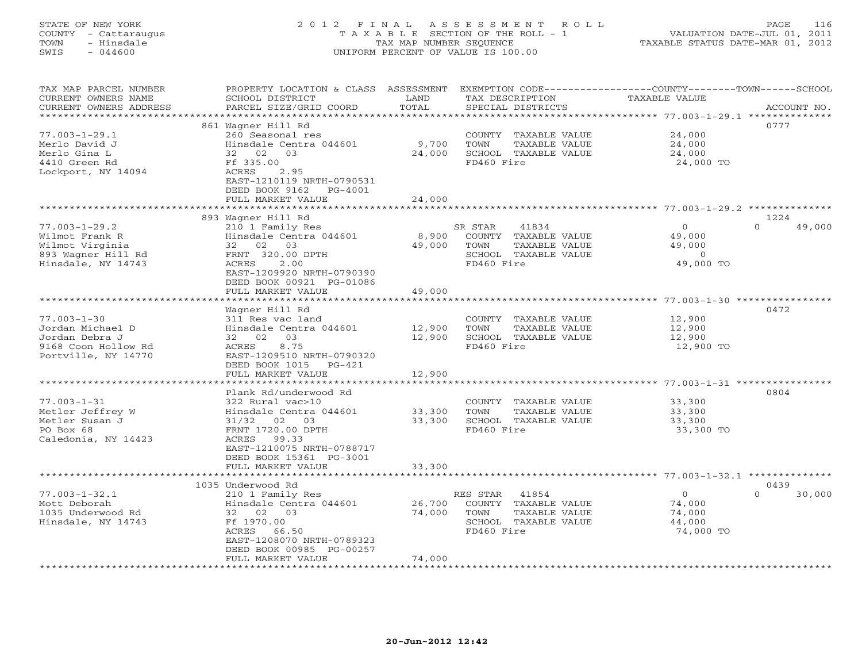# STATE OF NEW YORK 2 0 1 2 F I N A L A S S E S S M E N T R O L L PAGE 116 COUNTY - Cattaraugus T A X A B L E SECTION OF THE ROLL - 1 VALUATION DATE-JUL 01, 2011 TOWN - Hinsdale TAX MAP NUMBER SEQUENCE TAXABLE STATUS DATE-MAR 01, 2012 SWIS - 044600 UNIFORM PERCENT OF VALUE IS 100.00UNIFORM PERCENT OF VALUE IS 100.00

| TAX MAP PARCEL NUMBER<br>CURRENT OWNERS NAME<br>CURRENT OWNERS ADDRESS                                | PROPERTY LOCATION & CLASS<br>SCHOOL DISTRICT<br>PARCEL SIZE/GRID COORD                                                                                                                  | ASSESSMENT<br>LAND<br>TOTAL           | EXEMPTION CODE-----------------COUNTY-------TOWN------SCHOOL<br>TAX DESCRIPTION<br>SPECIAL DISTRICTS        | <b>TAXABLE VALUE</b>                                                 | ACCOUNT NO.        |
|-------------------------------------------------------------------------------------------------------|-----------------------------------------------------------------------------------------------------------------------------------------------------------------------------------------|---------------------------------------|-------------------------------------------------------------------------------------------------------------|----------------------------------------------------------------------|--------------------|
| *******************                                                                                   | **********************                                                                                                                                                                  | ************                          |                                                                                                             | ************************************** 77.003-1-29.1 **************  |                    |
| $77.003 - 1 - 29.1$<br>Merlo David J<br>Merlo Gina L                                                  | 861 Waqner Hill Rd<br>260 Seasonal res<br>Hinsdale Centra 044601<br>32<br>02<br>03                                                                                                      | 9,700<br>24,000                       | COUNTY<br>TAXABLE VALUE<br>TOWN<br>TAXABLE VALUE<br>SCHOOL TAXABLE VALUE                                    | 24,000<br>24,000<br>24,000                                           | 0777               |
| 4410 Green Rd<br>Lockport, NY 14094                                                                   | Ff 335.00<br>ACRES<br>2.95<br>EAST-1210119 NRTH-0790531<br>DEED BOOK 9162<br>PG-4001                                                                                                    |                                       | FD460 Fire                                                                                                  | 24,000 TO                                                            |                    |
|                                                                                                       | FULL MARKET VALUE<br>* * * * * * * * * * * * * * * * * *                                                                                                                                | 24,000                                |                                                                                                             |                                                                      |                    |
|                                                                                                       | 893 Wagner Hill Rd                                                                                                                                                                      |                                       |                                                                                                             |                                                                      | 1224               |
| $77.003 - 1 - 29.2$<br>Wilmot Frank R<br>Wilmot Virginia<br>893 Wagner Hill Rd<br>Hinsdale, NY 14743  | 210 1 Family Res<br>Hinsdale Centra 044601<br>32<br>02<br>03<br>FRNT 320.00 DPTH<br>ACRES<br>2.00<br>EAST-1209920 NRTH-0790390<br>DEED BOOK 00921 PG-01086                              | 8,900<br>49,000                       | SR STAR<br>41834<br>COUNTY TAXABLE VALUE<br>TOWN<br>TAXABLE VALUE<br>SCHOOL TAXABLE VALUE<br>FD460 Fire     | $\circ$<br>49,000<br>49,000<br>$\circ$<br>49,000 TO                  | 49,000<br>$\Omega$ |
|                                                                                                       | FULL MARKET VALUE                                                                                                                                                                       | 49,000                                |                                                                                                             |                                                                      |                    |
|                                                                                                       | Wagner Hill Rd                                                                                                                                                                          |                                       |                                                                                                             | $77.003 - 1 - 30$ ***                                                | 0472               |
| $77.003 - 1 - 30$<br>Jordan Michael D<br>Jordan Debra J<br>9168 Coon Hollow Rd<br>Portville, NY 14770 | 311 Res vac land<br>Hinsdale Centra 044601<br>03<br>02<br>32<br>8.75<br>ACRES<br>EAST-1209510 NRTH-0790320<br>DEED BOOK 1015<br>PG-421                                                  | 12,900<br>12,900                      | COUNTY TAXABLE VALUE<br>TOWN<br>TAXABLE VALUE<br>SCHOOL TAXABLE VALUE<br>FD460 Fire                         | 12,900<br>12,900<br>12,900<br>12,900 TO                              |                    |
|                                                                                                       | FULL MARKET VALUE                                                                                                                                                                       | 12,900                                |                                                                                                             |                                                                      |                    |
|                                                                                                       |                                                                                                                                                                                         |                                       |                                                                                                             | ************************************** 77.003-1-31 ***************** |                    |
| $77.003 - 1 - 31$<br>Metler Jeffrey W<br>Metler Susan J<br>PO Box 68<br>Caledonia, NY 14423           | Plank Rd/underwood Rd<br>322 Rural vac>10<br>Hinsdale Centra 044601<br>02<br>31/32<br>03<br>FRNT 1720.00 DPTH<br>99.33<br>ACRES<br>EAST-1210075 NRTH-0788717<br>DEED BOOK 15361 PG-3001 | 33,300<br>33,300                      | COUNTY<br>TAXABLE VALUE<br>TOWN<br>TAXABLE VALUE<br>SCHOOL TAXABLE VALUE<br>FD460 Fire                      | 33,300<br>33,300<br>33,300<br>33,300 TO                              | 0804               |
|                                                                                                       | FULL MARKET VALUE                                                                                                                                                                       | 33,300                                |                                                                                                             |                                                                      |                    |
|                                                                                                       | 1035 Underwood Rd                                                                                                                                                                       |                                       |                                                                                                             |                                                                      | 0439               |
| $77.003 - 1 - 32.1$<br>Mott Deborah<br>1035 Underwood Rd<br>Hinsdale, NY 14743                        | 210 1 Family Res<br>Hinsdale Centra 044601<br>32 02<br>03<br>Ff 1970.00<br>ACRES<br>66.50<br>EAST-1208070 NRTH-0789323<br>DEED BOOK 00985 PG-00257                                      | 26,700<br>74,000                      | RES STAR<br>41854<br>COUNTY<br>TAXABLE VALUE<br>TOWN<br>TAXABLE VALUE<br>SCHOOL TAXABLE VALUE<br>FD460 Fire | 0<br>74,000<br>74,000<br>44,000<br>74,000 TO                         | 30,000<br>$\Omega$ |
| ***********************                                                                               | FULL MARKET VALUE                                                                                                                                                                       | 74,000<br>* * * * * * * * * * * * * * |                                                                                                             |                                                                      |                    |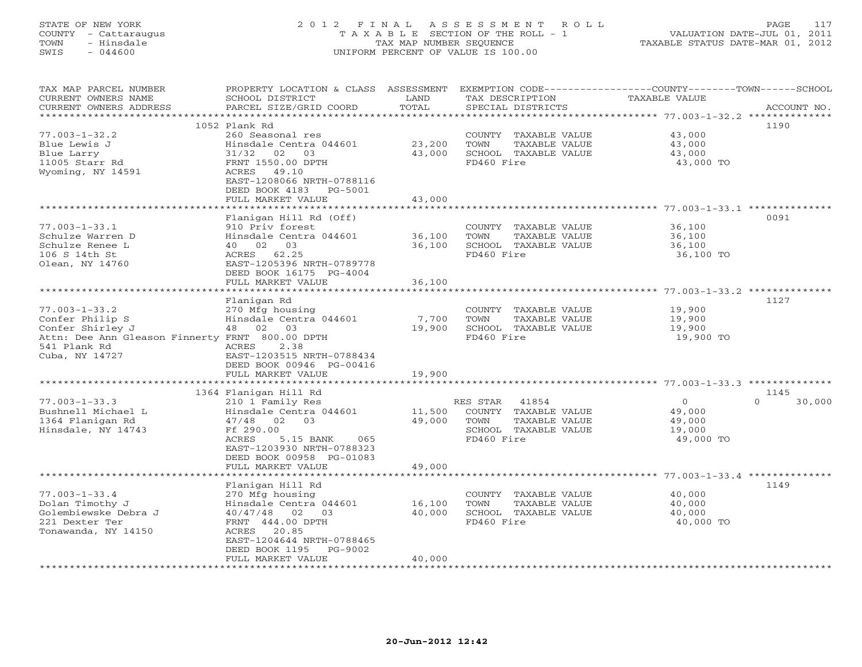# STATE OF NEW YORK 2 0 1 2 F I N A L A S S E S S M E N T R O L L PAGE 117 COUNTY - Cattaraugus T A X A B L E SECTION OF THE ROLL - 1 VALUATION DATE-JUL 01, 2011 TOWN - Hinsdale TAX MAP NUMBER SEQUENCE TAXABLE STATUS DATE-MAR 01, 2012 SWIS - 044600 UNIFORM PERCENT OF VALUE IS 100.00UNIFORM PERCENT OF VALUE IS 100.00

| TAX MAP PARCEL NUMBER<br>CURRENT OWNERS NAME<br>CURRENT OWNERS ADDRESS | PROPERTY LOCATION & CLASS<br>SCHOOL DISTRICT<br>PARCEL SIZE/GRID COORD | ASSESSMENT<br>LAND<br>TOTAL | TAX DESCRIPTION<br>SPECIAL DISTRICTS | EXEMPTION CODE-----------------COUNTY-------TOWN------SCHOOL<br>TAXABLE VALUE | ACCOUNT NO.        |
|------------------------------------------------------------------------|------------------------------------------------------------------------|-----------------------------|--------------------------------------|-------------------------------------------------------------------------------|--------------------|
| *********************                                                  |                                                                        | **********                  |                                      | ************************************** 77.003-1-32.2 **************           |                    |
|                                                                        | 1052 Plank Rd                                                          |                             |                                      |                                                                               | 1190               |
| $77.003 - 1 - 32.2$                                                    | 260 Seasonal res                                                       |                             | COUNTY TAXABLE VALUE                 | 43,000                                                                        |                    |
| Blue Lewis J                                                           | Hinsdale Centra 044601                                                 | 23,200                      | TOWN<br>TAXABLE VALUE                | 43,000                                                                        |                    |
| Blue Larry                                                             | 31/32 02<br>03                                                         | 43,000                      | SCHOOL TAXABLE VALUE                 | 43,000                                                                        |                    |
| 11005 Starr Rd                                                         | FRNT 1550.00 DPTH                                                      |                             | FD460 Fire                           | 43,000 TO                                                                     |                    |
| Wyoming, NY 14591                                                      | ACRES<br>49.10                                                         |                             |                                      |                                                                               |                    |
|                                                                        | EAST-1208066 NRTH-0788116                                              |                             |                                      |                                                                               |                    |
|                                                                        | DEED BOOK 4183<br>PG-5001                                              |                             |                                      |                                                                               |                    |
|                                                                        | FULL MARKET VALUE<br>**********************                            | 43,000<br>**************    |                                      |                                                                               |                    |
|                                                                        | Flanigan Hill Rd (Off)                                                 |                             |                                      |                                                                               | 0091               |
| $77.003 - 1 - 33.1$                                                    | 910 Priv forest                                                        |                             | COUNTY TAXABLE VALUE                 | 36,100                                                                        |                    |
| Schulze Warren D                                                       | Hinsdale Centra 044601                                                 | 36,100                      | TOWN<br>TAXABLE VALUE                | 36,100                                                                        |                    |
| Schulze Renee L                                                        | 40 02 03                                                               | 36,100                      | SCHOOL TAXABLE VALUE                 | 36,100                                                                        |                    |
| 106 S 14th St                                                          | ACRES 62.25                                                            |                             | FD460 Fire                           | 36,100 TO                                                                     |                    |
| Olean, NY 14760                                                        | EAST-1205396 NRTH-0789778                                              |                             |                                      |                                                                               |                    |
|                                                                        | DEED BOOK 16175 PG-4004                                                |                             |                                      |                                                                               |                    |
|                                                                        | FULL MARKET VALUE                                                      | 36,100                      |                                      |                                                                               |                    |
|                                                                        |                                                                        |                             |                                      | ************************************77.003-1-33.2 ***************             |                    |
|                                                                        | Flanigan Rd                                                            |                             |                                      |                                                                               | 1127               |
| $77.003 - 1 - 33.2$                                                    | 270 Mfg housing                                                        |                             | COUNTY TAXABLE VALUE                 | 19,900                                                                        |                    |
| Confer Philip S                                                        | Hinsdale Centra 044601                                                 | 7,700                       | TOWN<br>TAXABLE VALUE                | 19,900                                                                        |                    |
| Confer Shirley J                                                       | 48 02 03                                                               | 19,900                      | SCHOOL TAXABLE VALUE                 | 19,900                                                                        |                    |
| Attn: Dee Ann Gleason Finnerty FRNT 800.00 DPTH                        |                                                                        |                             | FD460 Fire                           | 19,900 TO                                                                     |                    |
| 541 Plank Rd                                                           | ACRES<br>2.38<br>EAST-1203515 NRTH-0788434                             |                             |                                      |                                                                               |                    |
| Cuba, NY 14727                                                         | DEED BOOK 00946 PG-00416                                               |                             |                                      |                                                                               |                    |
|                                                                        | FULL MARKET VALUE                                                      | 19,900                      |                                      |                                                                               |                    |
|                                                                        |                                                                        |                             |                                      |                                                                               |                    |
|                                                                        | 1364 Flanigan Hill Rd                                                  |                             |                                      |                                                                               | 1145               |
| $77.003 - 1 - 33.3$                                                    | 210 1 Family Res                                                       |                             | RES STAR<br>41854                    | $\overline{0}$                                                                | $\Omega$<br>30,000 |
| Bushnell Michael L                                                     | Hinsdale Centra 044601                                                 | 11,500                      | COUNTY TAXABLE VALUE                 | 49,000                                                                        |                    |
| 1364 Flanigan Rd                                                       | 47/48 02 03                                                            | 49,000                      | TOWN<br>TAXABLE VALUE                | 49,000                                                                        |                    |
| Hinsdale, NY 14743                                                     | Ff 290.00                                                              |                             | SCHOOL TAXABLE VALUE                 | 19,000                                                                        |                    |
|                                                                        | ACRES<br>5.15 BANK<br>065                                              |                             | FD460 Fire                           | 49,000 TO                                                                     |                    |
|                                                                        | EAST-1203930 NRTH-0788323                                              |                             |                                      |                                                                               |                    |
|                                                                        | DEED BOOK 00958 PG-01083                                               |                             |                                      |                                                                               |                    |
|                                                                        | FULL MARKET VALUE                                                      | 49,000                      |                                      |                                                                               |                    |
|                                                                        |                                                                        |                             |                                      |                                                                               | 1149               |
| $77.003 - 1 - 33.4$                                                    | Flanigan Hill Rd<br>270 Mfg housing                                    |                             | COUNTY TAXABLE VALUE                 | 40,000                                                                        |                    |
| Dolan Timothy J                                                        | Hinsdale Centra 044601                                                 | 16,100                      | TOWN<br>TAXABLE VALUE                | 40,000                                                                        |                    |
| Golembiewske Debra J                                                   | 40/47/48<br>02<br>03                                                   | 40,000                      | SCHOOL TAXABLE VALUE                 | 40,000                                                                        |                    |
| 221 Dexter Ter                                                         | FRNT 444.00 DPTH                                                       |                             | FD460 Fire                           | 40,000 TO                                                                     |                    |
| Tonawanda, NY 14150                                                    | ACRES 20.85                                                            |                             |                                      |                                                                               |                    |
|                                                                        | EAST-1204644 NRTH-0788465                                              |                             |                                      |                                                                               |                    |
|                                                                        | DEED BOOK 1195<br>PG-9002                                              |                             |                                      |                                                                               |                    |
|                                                                        | FULL MARKET VALUE                                                      | 40,000                      |                                      |                                                                               |                    |
|                                                                        |                                                                        |                             |                                      |                                                                               |                    |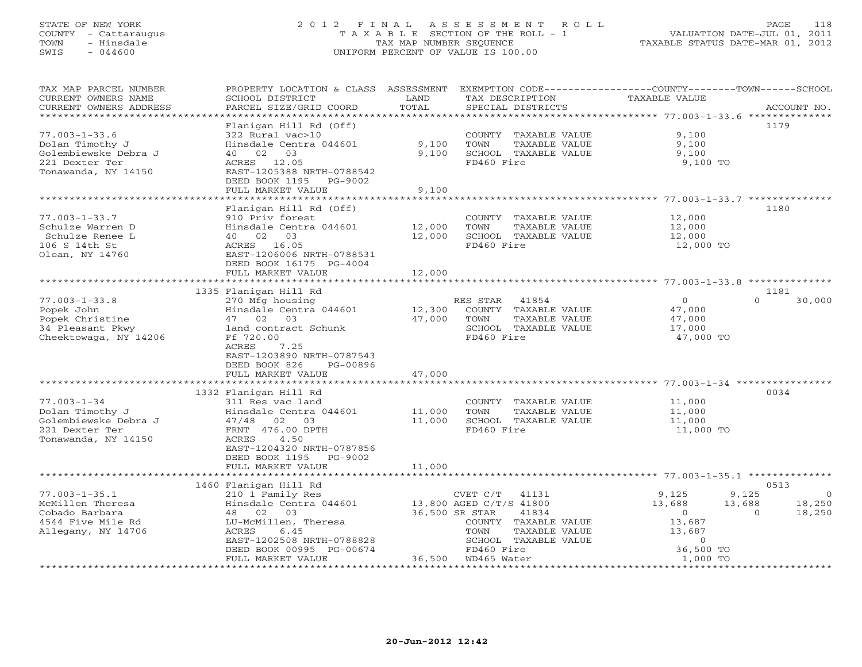# STATE OF NEW YORK 2 0 1 2 F I N A L A S S E S S M E N T R O L L PAGE 118 COUNTY - Cattaraugus T A X A B L E SECTION OF THE ROLL - 1 VALUATION DATE-JUL 01, 2011 TOWN - Hinsdale TAX MAP NUMBER SEQUENCE TAXABLE STATUS DATE-MAR 01, 2012 SWIS - 044600 UNIFORM PERCENT OF VALUE IS 100.00UNIFORM PERCENT OF VALUE IS 100.00

| TAX MAP PARCEL NUMBER<br>CURRENT OWNERS NAME<br>CURRENT OWNERS ADDRESS                                  | PROPERTY LOCATION & CLASS ASSESSMENT<br>SCHOOL DISTRICT<br>PARCEL SIZE/GRID COORD                                                                                                                                   | LAND<br>TOTAL              | EXEMPTION CODE-----------------COUNTY-------TOWN------SCHOOL<br>TAX DESCRIPTION<br>SPECIAL DISTRICTS                                                           | TAXABLE VALUE                                                          | ACCOUNT NO.                                                 |
|---------------------------------------------------------------------------------------------------------|---------------------------------------------------------------------------------------------------------------------------------------------------------------------------------------------------------------------|----------------------------|----------------------------------------------------------------------------------------------------------------------------------------------------------------|------------------------------------------------------------------------|-------------------------------------------------------------|
| * * * * * * * * * * * * * * * *                                                                         |                                                                                                                                                                                                                     | ***********                |                                                                                                                                                                |                                                                        |                                                             |
| $77.003 - 1 - 33.6$<br>Dolan Timothy J<br>Golembiewske Debra J<br>221 Dexter Ter<br>Tonawanda, NY 14150 | Flanigan Hill Rd (Off)<br>322 Rural vac>10<br>Hinsdale Centra 044601<br>40 02 03<br>12.05<br>ACRES<br>EAST-1205388 NRTH-0788542<br>DEED BOOK 1195<br>PG-9002                                                        | 9,100<br>9,100             | COUNTY TAXABLE VALUE<br>TOWN<br>TAXABLE VALUE<br>SCHOOL TAXABLE VALUE<br>FD460 Fire                                                                            | 9,100<br>9,100<br>9,100<br>9,100 TO                                    | 1179                                                        |
|                                                                                                         | FULL MARKET VALUE                                                                                                                                                                                                   | 9,100                      |                                                                                                                                                                |                                                                        |                                                             |
| $77.003 - 1 - 33.7$<br>Schulze Warren D<br>Schulze Renee L<br>106 S 14th St<br>Olean, NY 14760          | Flanigan Hill Rd (Off)<br>910 Priv forest<br>Hinsdale Centra 044601<br>40 02 03<br>ACRES 16.05<br>EAST-1206006 NRTH-0788531<br>DEED BOOK 16175 PG-4004                                                              | 12,000<br>12,000           | COUNTY TAXABLE VALUE<br>TOWN<br>TAXABLE VALUE<br>SCHOOL TAXABLE VALUE<br>FD460 Fire                                                                            | 12,000<br>12,000<br>12,000<br>12,000 TO                                | 1180                                                        |
|                                                                                                         | FULL MARKET VALUE                                                                                                                                                                                                   | 12,000                     |                                                                                                                                                                |                                                                        |                                                             |
|                                                                                                         | *************************                                                                                                                                                                                           |                            |                                                                                                                                                                |                                                                        |                                                             |
| $77.003 - 1 - 33.8$<br>Popek John<br>Popek Christine<br>34 Pleasant Pkwy<br>Cheektowaga, NY 14206       | 1335 Flanigan Hill Rd<br>270 Mfg housing<br>Hinsdale Centra 044601<br>47 02 03<br>land contract Schunk<br>Ff 720.00<br>ACRES<br>7.25<br>EAST-1203890 NRTH-0787543<br>DEED BOOK 826<br>PG-00896<br>FULL MARKET VALUE | 12,300<br>47,000<br>47,000 | RES STAR<br>41854<br>COUNTY TAXABLE VALUE<br>TOWN<br>TAXABLE VALUE<br>SCHOOL TAXABLE VALUE<br>FD460 Fire                                                       | $\circ$<br>47,000<br>47,000<br>17,000<br>47,000 TO                     | 1181<br>$\Omega$<br>30,000                                  |
|                                                                                                         | 1332 Flanigan Hill Rd                                                                                                                                                                                               |                            |                                                                                                                                                                |                                                                        | 0034                                                        |
| $77.003 - 1 - 34$<br>Dolan Timothy J<br>Golembiewske Debra J<br>221 Dexter Ter<br>Tonawanda, NY 14150   | 311 Res vac land<br>Hinsdale Centra 044601<br>47/48 02 03<br>FRNT 476.00 DPTH<br>ACRES<br>4.50<br>EAST-1204320 NRTH-0787856<br>DEED BOOK 1195 PG-9002                                                               | 11,000<br>11,000           | COUNTY TAXABLE VALUE<br>TOWN<br>TAXABLE VALUE<br>SCHOOL TAXABLE VALUE<br>FD460 Fire                                                                            | 11,000<br>11,000<br>11,000<br>11,000 TO                                |                                                             |
|                                                                                                         | FULL MARKET VALUE                                                                                                                                                                                                   | 11,000                     |                                                                                                                                                                |                                                                        |                                                             |
|                                                                                                         | 1460 Flanigan Hill Rd                                                                                                                                                                                               |                            |                                                                                                                                                                |                                                                        | 0513                                                        |
| $77.003 - 1 - 35.1$<br>McMillen Theresa<br>Cobado Barbara<br>4544 Five Mile Rd<br>Allegany, NY 14706    | 210 1 Family Res<br>Hinsdale Centra 044601<br>48 02<br>03<br>LU-McMillen, Theresa<br>ACRES<br>6.45<br>EAST-1202508 NRTH-0788828<br>DEED BOOK 00995 PG-00674                                                         |                            | CVET C/T<br>41131<br>13,800 AGED C/T/S 41800<br>36,500 SR STAR<br>41834<br>COUNTY TAXABLE VALUE<br>TAXABLE VALUE<br>TOWN<br>SCHOOL TAXABLE VALUE<br>FD460 Fire | 9,125<br>13,688<br>$\circ$<br>13,687<br>13,687<br>$\circ$<br>36,500 TO | 9,125<br>$\Omega$<br>13,688<br>18,250<br>$\Omega$<br>18,250 |
|                                                                                                         | FULL MARKET VALUE                                                                                                                                                                                                   | 36,500                     | WD465 Water                                                                                                                                                    | 1,000 TO                                                               |                                                             |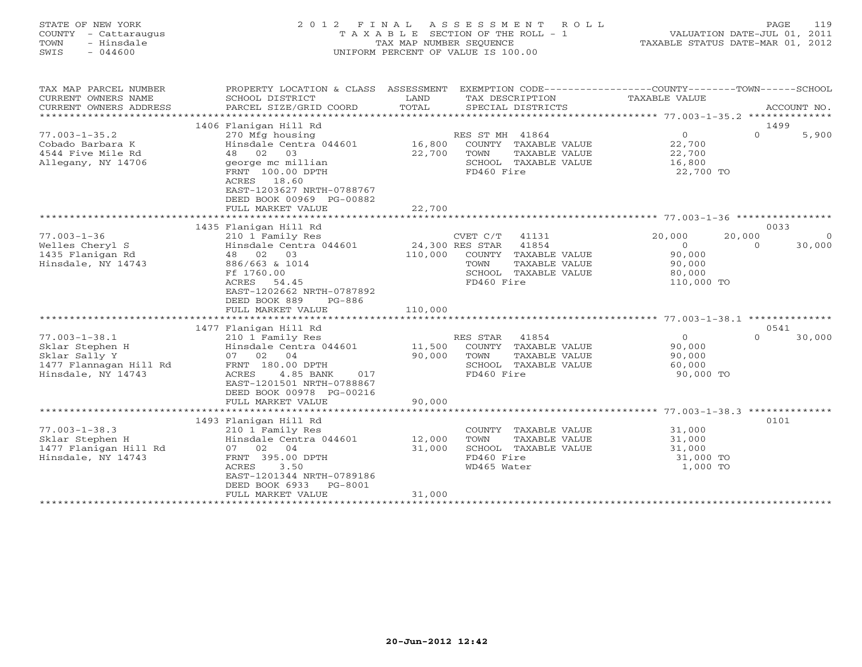STATE OF NEW YORK 2 0 1 2 F I N A L A S S E S S M E N T R O L L PAGE 119 COUNTY - Cattaraugus T A X A B L E SECTION OF THE ROLL - 1 VALUATION DATE-JUL 01, 2011 TOWN - Hinsdale TAX MAP NUMBER SEQUENCE TAXABLE STATUS DATE-MAR 01, 2012 SWIS - 044600 UNIFORM PERCENT OF VALUE IS 100.00 TAX MAP PARCEL NUMBER PROPERTY LOCATION & CLASS ASSESSMENT EXEMPTION CODE---------------COUNTY-------TOWN-----SCHOOL

| CURRENT OWNERS NAME    | SCHOOL DISTRICT                           | LAND    | TAX DESCRIPTION          | <b>TAXABLE VALUE</b> |                    |
|------------------------|-------------------------------------------|---------|--------------------------|----------------------|--------------------|
| CURRENT OWNERS ADDRESS | PARCEL SIZE/GRID COORD                    | TOTAL   | SPECIAL DISTRICTS        |                      | ACCOUNT NO.        |
|                        |                                           |         |                          |                      |                    |
|                        | 1406 Flanigan Hill Rd                     |         |                          |                      | 1499               |
| $77.003 - 1 - 35.2$    | 270 Mfg housing                           |         | RES ST MH 41864          | $\Omega$             | $\Omega$<br>5,900  |
| Cobado Barbara K       | Hinsdale Centra 044601                    | 16,800  | COUNTY TAXABLE VALUE     | 22,700               |                    |
| 4544 Five Mile Rd      | 02<br>03<br>48                            | 22,700  | TOWN<br>TAXABLE VALUE    | 22,700               |                    |
| Allegany, NY 14706     | george mc millian                         |         | SCHOOL TAXABLE VALUE     | 16,800               |                    |
|                        | FRNT 100.00 DPTH                          |         | FD460 Fire               | 22,700 TO            |                    |
|                        | 18.60<br>ACRES                            |         |                          |                      |                    |
|                        | EAST-1203627 NRTH-0788767                 |         |                          |                      |                    |
|                        | DEED BOOK 00969 PG-00882                  |         |                          |                      |                    |
|                        | FULL MARKET VALUE                         | 22,700  |                          |                      |                    |
|                        |                                           |         |                          |                      |                    |
| $77.003 - 1 - 36$      | 1435 Flanigan Hill Rd<br>210 1 Family Res |         | CVET C/T<br>41131        | 20,000<br>20,000     | 0033<br>$\Omega$   |
| Welles Cheryl S        | Hinsdale Centra 044601                    |         | 24,300 RES STAR<br>41854 | $\Omega$             | 30,000<br>$\Omega$ |
| 1435 Flanigan Rd       | 48 02 03                                  | 110,000 | COUNTY TAXABLE VALUE     | 90,000               |                    |
| Hinsdale, NY 14743     | 886/663 & 1014                            |         | TOWN<br>TAXABLE VALUE    | 90,000               |                    |
|                        | Ff 1760.00                                |         | SCHOOL TAXABLE VALUE     | 80,000               |                    |
|                        | ACRES<br>54.45                            |         | FD460 Fire               | 110,000 TO           |                    |
|                        | EAST-1202662 NRTH-0787892                 |         |                          |                      |                    |
|                        | DEED BOOK 889<br>$PG-886$                 |         |                          |                      |                    |
|                        | FULL MARKET VALUE                         | 110,000 |                          |                      |                    |
|                        |                                           |         |                          |                      |                    |
|                        | 1477 Flanigan Hill Rd                     |         |                          |                      | 0541               |
| $77.003 - 1 - 38.1$    | 210 1 Family Res                          |         | RES STAR<br>41854        | $\Omega$             | $\Omega$<br>30,000 |
| Sklar Stephen H        | Hinsdale Centra 044601                    | 11,500  | COUNTY TAXABLE VALUE     | 90,000               |                    |
| Sklar Sally Y          | 07 02<br>04                               | 90,000  | TOWN<br>TAXABLE VALUE    | 90,000               |                    |
| 1477 Flannagan Hill Rd | FRNT 180.00 DPTH                          |         | SCHOOL TAXABLE VALUE     | 60,000               |                    |
| Hinsdale, NY 14743     | <b>ACRES</b><br>4.85 BANK<br>017          |         | FD460 Fire               | 90,000 TO            |                    |
|                        | EAST-1201501 NRTH-0788867                 |         |                          |                      |                    |
|                        | DEED BOOK 00978 PG-00216                  |         |                          |                      |                    |
|                        | FULL MARKET VALUE                         | 90,000  |                          |                      |                    |
|                        |                                           |         |                          |                      |                    |
|                        | 1493 Flanigan Hill Rd                     |         |                          |                      | 0101               |
| $77.003 - 1 - 38.3$    | 210 1 Family Res                          |         | COUNTY TAXABLE VALUE     | 31,000               |                    |
| Sklar Stephen H        | Hinsdale Centra 044601                    | 12,000  | TOWN<br>TAXABLE VALUE    | 31,000               |                    |
| 1477 Flanigan Hill Rd  | 07 02<br>04                               | 31,000  | SCHOOL TAXABLE VALUE     | 31,000               |                    |
| Hinsdale, NY 14743     | FRNT 395.00 DPTH                          |         | FD460 Fire               | 31,000 TO            |                    |
|                        | ACRES<br>3.50                             |         | WD465 Water              | 1,000 TO             |                    |
|                        | EAST-1201344 NRTH-0789186                 |         |                          |                      |                    |
|                        | DEED BOOK 6933<br>PG-8001                 |         |                          |                      |                    |
|                        | FULL MARKET VALUE                         | 31,000  |                          |                      |                    |
|                        | ******************************            |         |                          |                      |                    |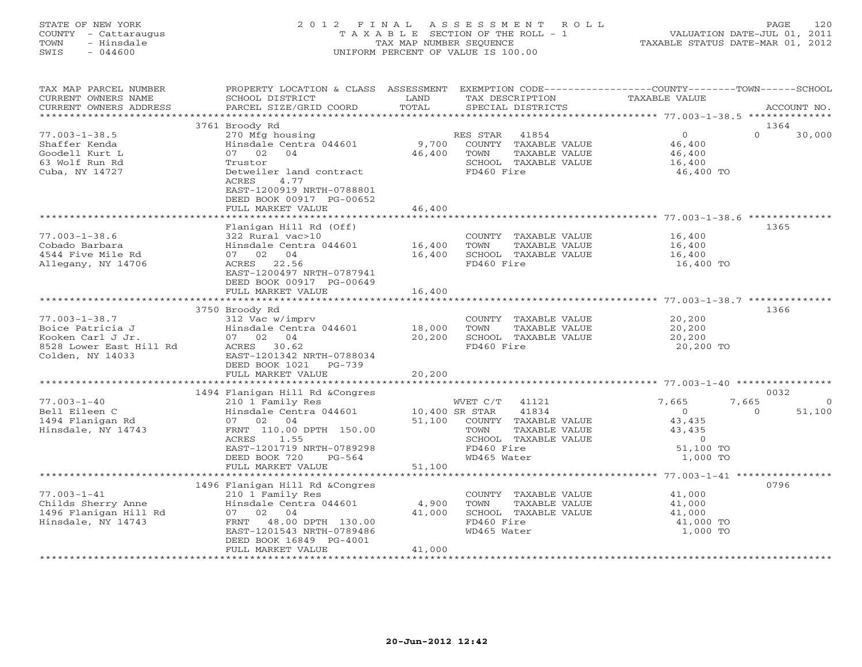## STATE OF NEW YORK 2 0 1 2 F I N A L A S S E S S M E N T R O L L PAGE 120 COUNTY - Cattaraugus T A X A B L E SECTION OF THE ROLL - 1 VALUATION DATE-JUL 01, 2011 TOWN - Hinsdale TAX MAP NUMBER SEQUENCE TAXABLE STATUS DATE-MAR 01, 2012 SWIS - 044600 UNIFORM PERCENT OF VALUE IS 100.00UNIFORM PERCENT OF VALUE IS 100.00

| TAX MAP PARCEL NUMBER<br>CURRENT OWNERS NAME<br>CURRENT OWNERS ADDRESS                                      | PROPERTY LOCATION & CLASS ASSESSMENT<br>SCHOOL DISTRICT<br>PARCEL SIZE/GRID COORD                                                                                                                                 | LAND<br>TOTAL                      | TAX DESCRIPTION<br>SPECIAL DISTRICTS                                                                                             | EXEMPTION CODE-----------------COUNTY-------TOWN------SCHOOL<br>TAXABLE VALUE                  | ACCOUNT NO.                |
|-------------------------------------------------------------------------------------------------------------|-------------------------------------------------------------------------------------------------------------------------------------------------------------------------------------------------------------------|------------------------------------|----------------------------------------------------------------------------------------------------------------------------------|------------------------------------------------------------------------------------------------|----------------------------|
| **********************                                                                                      |                                                                                                                                                                                                                   |                                    |                                                                                                                                  |                                                                                                |                            |
| $77.003 - 1 - 38.5$<br>Shaffer Kenda<br>Goodell Kurt L<br>63 Wolf Run Rd<br>Cuba, NY 14727                  | 3761 Broody Rd<br>270 Mfg housing<br>Hinsdale Centra 044601<br>07 02<br>04<br>Trustor<br>Detweiler land contract<br>4.77<br>ACRES<br>EAST-1200919 NRTH-0788801<br>DEED BOOK 00917 PG-00652<br>FULL MARKET VALUE   | 9,700<br>46,400<br>46,400          | 41854<br>RES STAR<br>COUNTY TAXABLE VALUE<br>TOWN<br>TAXABLE VALUE<br>SCHOOL TAXABLE VALUE<br>FD460 Fire                         | $\overline{0}$<br>$\Omega$<br>46,400<br>46,400<br>16,400<br>46,400 TO                          | 1364<br>30,000             |
|                                                                                                             | ********************                                                                                                                                                                                              | ************                       |                                                                                                                                  | ******************************** 77.003-1-38.6 ***************                                 |                            |
| $77.003 - 1 - 38.6$<br>Cobado Barbara<br>4544 Five Mile Rd<br>Allegany, NY 14706                            | Flanigan Hill Rd (Off)<br>322 Rural vac>10<br>Hinsdale Centra 044601<br>07 02 04<br>ACRES 22.56<br>EAST-1200497 NRTH-0787941<br>DEED BOOK 00917 PG-00649<br>FULL MARKET VALUE                                     | 16,400<br>16,400<br>16,400         | COUNTY TAXABLE VALUE<br>TOWN<br>TAXABLE VALUE<br>SCHOOL TAXABLE VALUE<br>FD460 Fire                                              | 16,400<br>16,400<br>16,400<br>16,400 TO                                                        | 1365                       |
|                                                                                                             | ***********************                                                                                                                                                                                           | ************                       |                                                                                                                                  |                                                                                                |                            |
|                                                                                                             | 3750 Broody Rd                                                                                                                                                                                                    |                                    |                                                                                                                                  |                                                                                                | 1366                       |
| $77.003 - 1 - 38.7$<br>Boice Patricia J<br>Kooken Carl J Jr.<br>8528 Lower East Hill Rd<br>Colden, NY 14033 | 312 Vac w/imprv<br>Hinsdale Centra 044601<br>07 02 04<br>ACRES 30.62<br>EAST-1201342 NRTH-0788034<br>DEED BOOK 1021<br>$PG-739$                                                                                   | 18,000<br>20,200                   | COUNTY TAXABLE VALUE<br>TOWN<br>TAXABLE VALUE<br>SCHOOL TAXABLE VALUE<br>FD460 Fire                                              | 20,200<br>20,200<br>20,200<br>20,200 TO                                                        |                            |
|                                                                                                             | FULL MARKET VALUE                                                                                                                                                                                                 | 20,200                             |                                                                                                                                  |                                                                                                |                            |
|                                                                                                             |                                                                                                                                                                                                                   | ***********                        |                                                                                                                                  |                                                                                                |                            |
| $77.003 - 1 - 40$<br>Bell Eileen C<br>1494 Flanigan Rd<br>Hinsdale, NY 14743                                | 1494 Flanigan Hill Rd &Congres<br>210 1 Family Res<br>Hinsdale Centra 044601<br>07 02 04<br>FRNT 110.00 DPTH 150.00<br>1.55<br>ACRES<br>EAST-1201719 NRTH-0789298<br>DEED BOOK 720<br>PG-564<br>FULL MARKET VALUE | 10,400 SR STAR<br>51,100<br>51,100 | WVET C/T<br>41121<br>41834<br>COUNTY TAXABLE VALUE<br>TOWN<br>TAXABLE VALUE<br>SCHOOL TAXABLE VALUE<br>FD460 Fire<br>WD465 Water | 7,665<br>7,665<br>$\Omega$<br>$\Omega$<br>43,435<br>43,435<br>$\circ$<br>51,100 TO<br>1,000 TO | 0032<br>$\Omega$<br>51,100 |
|                                                                                                             | ************************                                                                                                                                                                                          |                                    |                                                                                                                                  |                                                                                                |                            |
| $77.003 - 1 - 41$<br>Childs Sherry Anne<br>1496 Flanigan Hill Rd<br>Hinsdale, NY 14743                      | 1496 Flanigan Hill Rd &Congres<br>210 1 Family Res<br>Hinsdale Centra 044601<br>07 02 04<br>FRNT 48.00 DPTH 130.00<br>EAST-1201543 NRTH-0789486<br>DEED BOOK 16849 PG-4001<br>FULL MARKET VALUE                   | 4,900<br>41,000<br>41,000          | COUNTY TAXABLE VALUE<br>TOWN<br>TAXABLE VALUE<br>SCHOOL TAXABLE VALUE<br>FD460 Fire<br>WD465 Water                               | 41,000<br>41,000<br>41,000<br>41,000 TO<br>1,000 TO                                            | 0796                       |
|                                                                                                             |                                                                                                                                                                                                                   |                                    |                                                                                                                                  |                                                                                                |                            |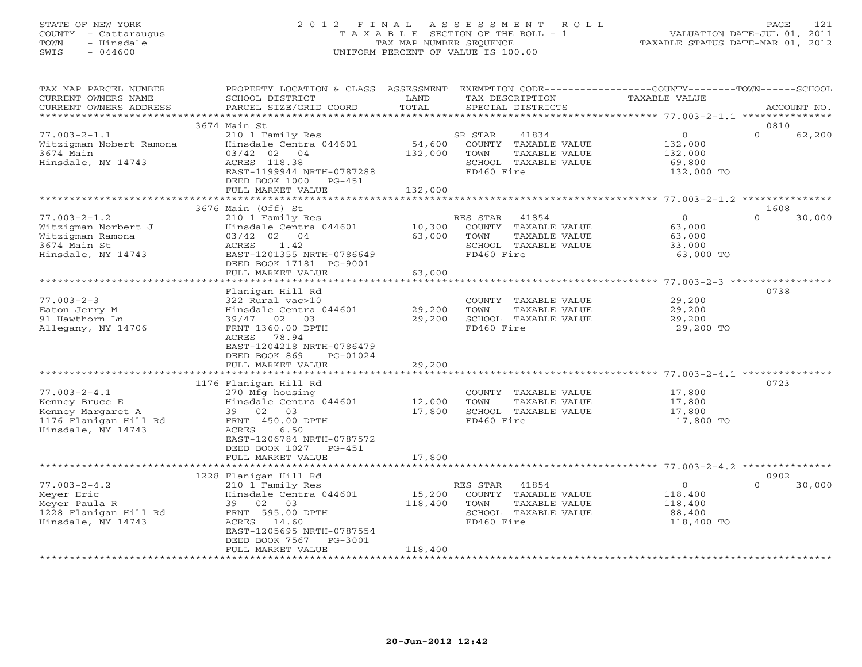# STATE OF NEW YORK 2 0 1 2 F I N A L A S S E S S M E N T R O L L PAGE 121 COUNTY - Cattaraugus T A X A B L E SECTION OF THE ROLL - 1 VALUATION DATE-JUL 01, 2011 TOWN - Hinsdale TAX MAP NUMBER SEQUENCE TAXABLE STATUS DATE-MAR 01, 2012 SWIS - 044600 UNIFORM PERCENT OF VALUE IS 100.00UNIFORM PERCENT OF VALUE IS 100.00

| TAX MAP PARCEL NUMBER<br>CURRENT OWNERS NAME  | PROPERTY LOCATION & CLASS ASSESSMENT<br>SCHOOL DISTRICT | LAND         | EXEMPTION CODE-----------------COUNTY--------TOWN------SCHOOL<br>TAX DESCRIPTION | <b>TAXABLE VALUE</b> |                    |
|-----------------------------------------------|---------------------------------------------------------|--------------|----------------------------------------------------------------------------------|----------------------|--------------------|
| CURRENT OWNERS ADDRESS<br>******************* | PARCEL SIZE/GRID COORD<br>**************************    | TOTAL        | SPECIAL DISTRICTS                                                                |                      | ACCOUNT NO.        |
|                                               | 3674 Main St                                            |              |                                                                                  |                      | 0810               |
|                                               |                                                         |              |                                                                                  | $\Omega$             | $\Omega$           |
| $77.003 - 2 - 1.1$                            | 210 1 Family Res                                        |              | 41834<br>SR STAR                                                                 |                      | 62,200             |
| Witzigman Nobert Ramona                       | Hinsdale Centra 044601                                  | 54,600       | COUNTY TAXABLE VALUE                                                             | 132,000              |                    |
| 3674 Main                                     | 03/42 02<br>04                                          | 132,000      | TOWN<br>TAXABLE VALUE                                                            | 132,000              |                    |
| Hinsdale, NY 14743                            | ACRES 118.38                                            |              | SCHOOL TAXABLE VALUE<br>FD460 Fire                                               | 69,800               |                    |
|                                               | EAST-1199944 NRTH-0787288<br>DEED BOOK 1000 PG-451      |              |                                                                                  | 132,000 TO           |                    |
|                                               | FULL MARKET VALUE                                       | 132,000      |                                                                                  |                      |                    |
|                                               |                                                         |              |                                                                                  |                      |                    |
|                                               | 3676 Main (Off) St                                      |              |                                                                                  |                      | 1608               |
| $77.003 - 2 - 1.2$                            | 210 1 Family Res                                        |              | RES STAR<br>41854                                                                | $\overline{0}$       | $\Omega$<br>30,000 |
| Witzigman Norbert J                           | Hinsdale Centra 044601                                  | 10,300       | COUNTY TAXABLE VALUE                                                             | 63,000               |                    |
| Witzigman Ramona                              | 03/42 02 04                                             | 63,000       | TOWN<br>TAXABLE VALUE                                                            | 63,000               |                    |
| 3674 Main St                                  | 1.42<br>ACRES                                           |              | SCHOOL TAXABLE VALUE                                                             | 33,000               |                    |
| Hinsdale, NY 14743                            | EAST-1201355 NRTH-0786649                               |              | FD460 Fire                                                                       | 63,000 TO            |                    |
|                                               | DEED BOOK 17181 PG-9001                                 |              |                                                                                  |                      |                    |
|                                               | FULL MARKET VALUE                                       | 63,000       |                                                                                  |                      |                    |
|                                               | ********************                                    | ************ |                                                                                  |                      |                    |
|                                               | Flanigan Hill Rd                                        |              |                                                                                  |                      | 0738               |
| $77.003 - 2 - 3$                              | 322 Rural vac>10                                        |              | COUNTY TAXABLE VALUE                                                             | 29,200               |                    |
| Eaton Jerry M                                 | Hinsdale Centra 044601                                  | 29,200       | TOWN<br>TAXABLE VALUE                                                            | 29,200               |                    |
| 91 Hawthorn Ln                                | 39/47 02<br>03                                          | 29,200       | SCHOOL TAXABLE VALUE                                                             | 29,200               |                    |
| Allegany, NY 14706                            | FRNT 1360.00 DPTH                                       |              | FD460 Fire                                                                       | 29,200 TO            |                    |
|                                               | 78.94<br>ACRES                                          |              |                                                                                  |                      |                    |
|                                               | EAST-1204218 NRTH-0786479                               |              |                                                                                  |                      |                    |
|                                               | DEED BOOK 869<br>PG-01024                               |              |                                                                                  |                      |                    |
|                                               | FULL MARKET VALUE                                       | 29,200       |                                                                                  |                      |                    |
|                                               |                                                         |              |                                                                                  |                      |                    |
|                                               | 1176 Flanigan Hill Rd                                   |              |                                                                                  |                      | 0723               |
| $77.003 - 2 - 4.1$                            | 270 Mfg housing                                         |              | COUNTY TAXABLE VALUE                                                             | 17,800               |                    |
| Kenney Bruce E                                | Hinsdale Centra 044601                                  | 12,000       | TOWN<br>TAXABLE VALUE                                                            | 17,800               |                    |
| Kenney Margaret A                             | 39 02 03                                                | 17,800       | SCHOOL TAXABLE VALUE                                                             | 17,800               |                    |
| 1176 Flanigan Hill Rd                         | FRNT 450.00 DPTH                                        |              | FD460 Fire                                                                       | 17,800 TO            |                    |
| Hinsdale, NY 14743                            | 6.50<br>ACRES                                           |              |                                                                                  |                      |                    |
|                                               | EAST-1206784 NRTH-0787572                               |              |                                                                                  |                      |                    |
|                                               | DEED BOOK 1027<br>PG-451                                |              |                                                                                  |                      |                    |
|                                               | FULL MARKET VALUE                                       | 17,800       |                                                                                  |                      |                    |
|                                               | ********************                                    |              |                                                                                  |                      |                    |
|                                               | 1228 Flanigan Hill Rd                                   |              |                                                                                  |                      | 0902               |
| $77.003 - 2 - 4.2$                            | 210 1 Family Res                                        |              | 41854<br>RES STAR                                                                | $\circ$              | $\Omega$<br>30,000 |
| Meyer Eric                                    | Hinsdale Centra 044601                                  | 15,200       | COUNTY TAXABLE VALUE                                                             | 118,400              |                    |
| Meyer Paula R                                 | 39 02 03                                                | 118,400      | TOWN<br>TAXABLE VALUE                                                            | 118,400              |                    |
| 1228 Flanigan Hill Rd                         | FRNT 595.00 DPTH                                        |              | SCHOOL TAXABLE VALUE                                                             | 88,400               |                    |
| Hinsdale, NY 14743                            | ACRES 14.60                                             |              | FD460 Fire                                                                       | 118,400 TO           |                    |
|                                               | EAST-1205695 NRTH-0787554                               |              |                                                                                  |                      |                    |
|                                               | DEED BOOK 7567<br>PG-3001                               |              |                                                                                  |                      |                    |
|                                               | FULL MARKET VALUE                                       | 118,400      |                                                                                  |                      |                    |
|                                               |                                                         |              |                                                                                  |                      |                    |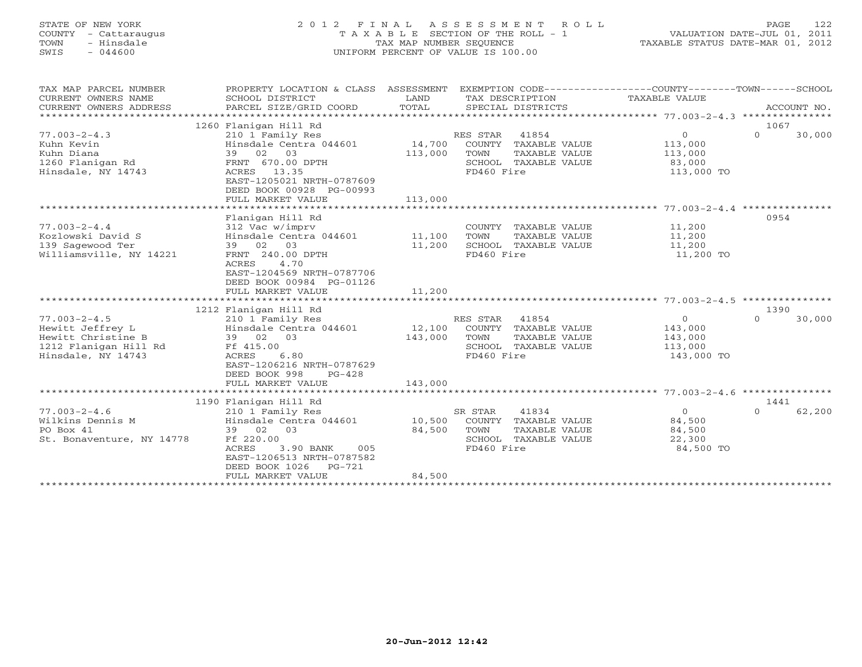# STATE OF NEW YORK 2 0 1 2 F I N A L A S S E S S M E N T R O L L PAGE 122 COUNTY - Cattaraugus T A X A B L E SECTION OF THE ROLL - 1 VALUATION DATE-JUL 01, 2011 TOWN - Hinsdale TAX MAP NUMBER SEQUENCE TAXABLE STATUS DATE-MAR 01, 2012 SWIS - 044600 UNIFORM PERCENT OF VALUE IS 100.00UNIFORM PERCENT OF VALUE IS 100.00

| TAX MAP PARCEL NUMBER     | PROPERTY LOCATION & CLASS ASSESSMENT EXEMPTION CODE---------------COUNTY-------TOWN-----SCHOOL |         |                       |                                |          |             |
|---------------------------|------------------------------------------------------------------------------------------------|---------|-----------------------|--------------------------------|----------|-------------|
| CURRENT OWNERS NAME       | SCHOOL DISTRICT                                                                                | LAND    | TAX DESCRIPTION       | TAXABLE VALUE                  |          |             |
| CURRENT OWNERS ADDRESS    | PARCEL SIZE/GRID COORD                                                                         | TOTAL   | SPECIAL DISTRICTS     |                                |          | ACCOUNT NO. |
|                           |                                                                                                |         |                       |                                |          |             |
|                           | 1260 Flanigan Hill Rd                                                                          |         |                       |                                | 1067     |             |
| $77.003 - 2 - 4.3$        | 210 1 Family Res                                                                               |         | 41854<br>RES STAR     | $\overline{0}$                 | $\Omega$ | 30,000      |
| Kuhn Kevin                | Hinsdale Centra 044601                                                                         | 14,700  | COUNTY TAXABLE VALUE  | 113,000                        |          |             |
| Kuhn Diana                | 39 02 03                                                                                       | 113,000 | TAXABLE VALUE<br>TOWN | 113,000                        |          |             |
| 1260 Flanigan Rd          | FRNT 670.00 DPTH                                                                               |         | SCHOOL TAXABLE VALUE  | 83,000                         |          |             |
| Hinsdale, NY 14743        | ACRES 13.35                                                                                    |         | FD460 Fire            | 113,000 TO                     |          |             |
|                           | EAST-1205021 NRTH-0787609                                                                      |         |                       |                                |          |             |
|                           | DEED BOOK 00928 PG-00993                                                                       |         |                       |                                |          |             |
|                           | FULL MARKET VALUE                                                                              | 113,000 |                       |                                |          |             |
|                           |                                                                                                |         |                       |                                |          |             |
|                           | Flanigan Hill Rd                                                                               |         |                       |                                | 0954     |             |
| $77.003 - 2 - 4.4$        | 312 Vac w/imprv                                                                                |         | COUNTY TAXABLE VALUE  | 11,200                         |          |             |
| Kozlowski David S         | Hinsdale Centra 044601                                                                         | 11,100  | TOWN<br>TAXABLE VALUE | 11,200<br>$\frac{1}{11}$ , 200 |          |             |
| 139 Sagewood Ter          | 39 02 03                                                                                       | 11,200  | SCHOOL TAXABLE VALUE  |                                |          |             |
| Williamsville, NY 14221   | FRNT 240.00 DPTH                                                                               |         | FD460 Fire            | 11,200 TO                      |          |             |
|                           | ACRES<br>4.70<br>EAST-1204569 NRTH-0787706                                                     |         |                       |                                |          |             |
|                           |                                                                                                |         |                       |                                |          |             |
|                           | DEED BOOK 00984 PG-01126<br>FULL MARKET VALUE                                                  | 11,200  |                       |                                |          |             |
|                           |                                                                                                |         |                       |                                |          |             |
|                           | 1212 Flanigan Hill Rd                                                                          |         |                       |                                | 1390     |             |
| $77.003 - 2 - 4.5$        | 210 1 Family Res                                                                               |         | 41854<br>RES STAR     | $\circ$                        | $\Omega$ | 30,000      |
| Hewitt Jeffrey L          | Hinsdale Centra 044601                                                                         | 12,100  | COUNTY TAXABLE VALUE  | 143,000                        |          |             |
| Hewitt Christine B        | 39 02 03                                                                                       | 143,000 | TOWN<br>TAXABLE VALUE | 143,000                        |          |             |
| 1212 Flanigan Hill Rd     | Ff 415.00                                                                                      |         | SCHOOL TAXABLE VALUE  | 113,000                        |          |             |
| Hinsdale, NY 14743        | 6.80<br>ACRES                                                                                  |         | FD460 Fire            | 143,000 TO                     |          |             |
|                           | EAST-1206216 NRTH-0787629                                                                      |         |                       |                                |          |             |
|                           | DEED BOOK 998<br>$PG-428$                                                                      |         |                       |                                |          |             |
|                           | FULL MARKET VALUE                                                                              | 143,000 |                       |                                |          |             |
|                           |                                                                                                |         |                       |                                |          |             |
|                           | 1190 Flanigan Hill Rd                                                                          |         |                       |                                | 1441     |             |
| $77.003 - 2 - 4.6$        | 210 1 Family Res                                                                               |         | 41834<br>SR STAR      | $\overline{0}$                 | $\Omega$ | 62,200      |
| Wilkins Dennis M          | Hinsdale Centra 044601                                                                         | 10,500  | COUNTY TAXABLE VALUE  | 84,500                         |          |             |
| PO Box 41                 | 39 02 03                                                                                       | 84,500  | TOWN<br>TAXABLE VALUE | 84,500                         |          |             |
| St. Bonaventure, NY 14778 | Ff 220.00                                                                                      |         | SCHOOL TAXABLE VALUE  | 22,300                         |          |             |
|                           | ACRES<br>3.90 BANK<br>005                                                                      |         | FD460 Fire            | 84,500 TO                      |          |             |
|                           | EAST-1206513 NRTH-0787582                                                                      |         |                       |                                |          |             |
|                           | DEED BOOK 1026<br>PG-721                                                                       |         |                       |                                |          |             |
|                           | FULL MARKET VALUE                                                                              | 84,500  |                       |                                |          |             |
|                           |                                                                                                |         |                       |                                |          |             |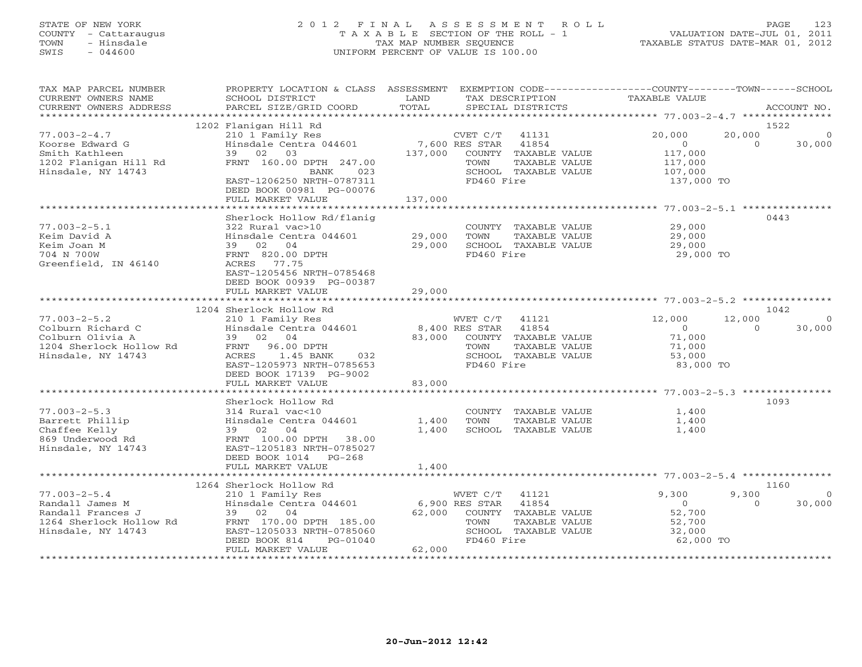# STATE OF NEW YORK 2 0 1 2 F I N A L A S S E S S M E N T R O L L PAGE 123 COUNTY - Cattaraugus T A X A B L E SECTION OF THE ROLL - 1 VALUATION DATE-JUL 01, 2011 TOWN - Hinsdale TAX MAP NUMBER SEQUENCE TAXABLE STATUS DATE-MAR 01, 2012 SWIS - 044600 UNIFORM PERCENT OF VALUE IS 100.00UNIFORM PERCENT OF VALUE IS 100.00

| TAX MAP PARCEL NUMBER<br>CURRENT OWNERS NAME<br>CURRENT OWNERS ADDRESS                                      | PROPERTY LOCATION & CLASS ASSESSMENT<br>SCHOOL DISTRICT<br>PARCEL SIZE/GRID COORD                                                                                                      | LAND<br>TOTAL                                | EXEMPTION CODE-----------------COUNTY-------TOWN------SCHOOL<br>TAX DESCRIPTION<br>SPECIAL DISTRICTS                                   | TAXABLE VALUE                                                    | ACCOUNT NO.                                      |
|-------------------------------------------------------------------------------------------------------------|----------------------------------------------------------------------------------------------------------------------------------------------------------------------------------------|----------------------------------------------|----------------------------------------------------------------------------------------------------------------------------------------|------------------------------------------------------------------|--------------------------------------------------|
|                                                                                                             |                                                                                                                                                                                        |                                              |                                                                                                                                        |                                                                  |                                                  |
| $77.003 - 2 - 4.7$<br>Koorse Edward G<br>Smith Kathleen<br>1202 Flanigan Hill Rd<br>Hinsdale, NY 14743      | 1202 Flanigan Hill Rd<br>210 1 Family Res<br>Hinsdale Centra 044601<br>39 02 03<br>FRNT 160.00 DPTH 247.00<br>BANK<br>023<br>EAST-1206250 NRTH-0787311                                 | 137,000                                      | CVET C/T<br>41131<br>7,600 RES STAR<br>41854<br>COUNTY<br>TAXABLE VALUE<br>TAXABLE VALUE<br>TOWN<br>SCHOOL TAXABLE VALUE<br>FD460 Fire | 20,000<br>$\circ$<br>117,000<br>117,000<br>107,000<br>137,000 TO | 1522<br>20,000<br>$\Omega$<br>30,000             |
|                                                                                                             | DEED BOOK 00981 PG-00076<br>FULL MARKET VALUE                                                                                                                                          | 137,000                                      |                                                                                                                                        |                                                                  |                                                  |
|                                                                                                             |                                                                                                                                                                                        |                                              |                                                                                                                                        |                                                                  |                                                  |
| $77.003 - 2 - 5.1$<br>Keim David A<br>Keim Joan M<br>704 N 700W<br>Greenfield, IN 46140                     | Sherlock Hollow Rd/flanig<br>322 Rural vac>10<br>Hinsdale Centra 044601<br>39 02 04<br>FRNT 820.00 DPTH<br>ACRES 77.75<br>EAST-1205456 NRTH-0785468<br>DEED BOOK 00939 PG-00387        | 29,000<br>29,000                             | COUNTY TAXABLE VALUE<br>TOWN<br>TAXABLE VALUE<br>SCHOOL TAXABLE VALUE<br>FD460 Fire                                                    | 29,000<br>29,000<br>29,000<br>29,000 TO                          | 0443                                             |
|                                                                                                             | FULL MARKET VALUE                                                                                                                                                                      | 29,000                                       |                                                                                                                                        |                                                                  |                                                  |
|                                                                                                             |                                                                                                                                                                                        |                                              |                                                                                                                                        |                                                                  |                                                  |
| $77.003 - 2 - 5.2$<br>Colburn Richard C                                                                     | 1204 Sherlock Hollow Rd<br>210 1 Family Res<br>Hinsdale Centra 044601                                                                                                                  |                                              | WVET C/T<br>41121<br>8,400 RES STAR<br>41854                                                                                           | 12,000<br>$\circ$                                                | 1042<br>12,000<br>$\Omega$<br>$\Omega$<br>30,000 |
| Colburn Olivia A<br>1204 Sherlock Hollow Rd<br>Hinsdale, NY 14743                                           | 39 02 04<br>96.00 DPTH<br>FRNT<br>ACRES<br>1.45 BANK<br>032<br>EAST-1205973 NRTH-0785653<br>DEED BOOK 17139 PG-9002<br>FULL MARKET VALUE                                               | 83,000<br>83,000                             | COUNTY TAXABLE VALUE<br>TOWN<br>TAXABLE VALUE<br>SCHOOL TAXABLE VALUE<br>FD460 Fire                                                    | 71,000<br>71,000<br>53,000<br>83,000 TO                          |                                                  |
|                                                                                                             |                                                                                                                                                                                        |                                              |                                                                                                                                        |                                                                  |                                                  |
| $77.003 - 2 - 5.3$<br>Barrett Phillip<br>Chaffee Kelly<br>869 Underwood Rd<br>Hinsdale, NY 14743            | Sherlock Hollow Rd<br>314 Rural vac<10<br>Hinsdale Centra 044601<br>39 02 04<br>FRNT 100.00 DPTH 38.00<br>EAST-1205183 NRTH-0785027<br>DEED BOOK 1014<br>$PG-268$<br>FULL MARKET VALUE | 1,400<br>1,400<br>1,400                      | COUNTY TAXABLE VALUE<br>TOWN<br>TAXABLE VALUE<br>SCHOOL TAXABLE VALUE                                                                  | 1,400<br>1,400<br>1,400                                          | 1093                                             |
|                                                                                                             |                                                                                                                                                                                        |                                              |                                                                                                                                        |                                                                  |                                                  |
|                                                                                                             | 1264 Sherlock Hollow Rd                                                                                                                                                                |                                              |                                                                                                                                        |                                                                  | 1160                                             |
| $77.003 - 2 - 5.4$<br>Randall James M<br>Randall Frances J<br>1264 Sherlock Hollow Rd<br>Hinsdale, NY 14743 | 210 1 Family Res<br>Hinsdale Centra 044601<br>39 02 04<br>FRNT 170.00 DPTH 185.00<br>EAST-1205033 NRTH-0785060<br>DEED BOOK 814<br>$PG-01040$<br>FULL MARKET VALUE                     | 62,000<br>62,000<br>************************ | WVET C/T<br>41121<br>6,900 RES STAR<br>41854<br>COUNTY TAXABLE VALUE<br>TOWN<br>TAXABLE VALUE<br>SCHOOL TAXABLE VALUE<br>FD460 Fire    | 9,300<br>$\Omega$<br>52,700<br>52,700<br>32,000<br>62,000 TO     | 9,300<br>$\Omega$<br>30,000<br>$\Omega$          |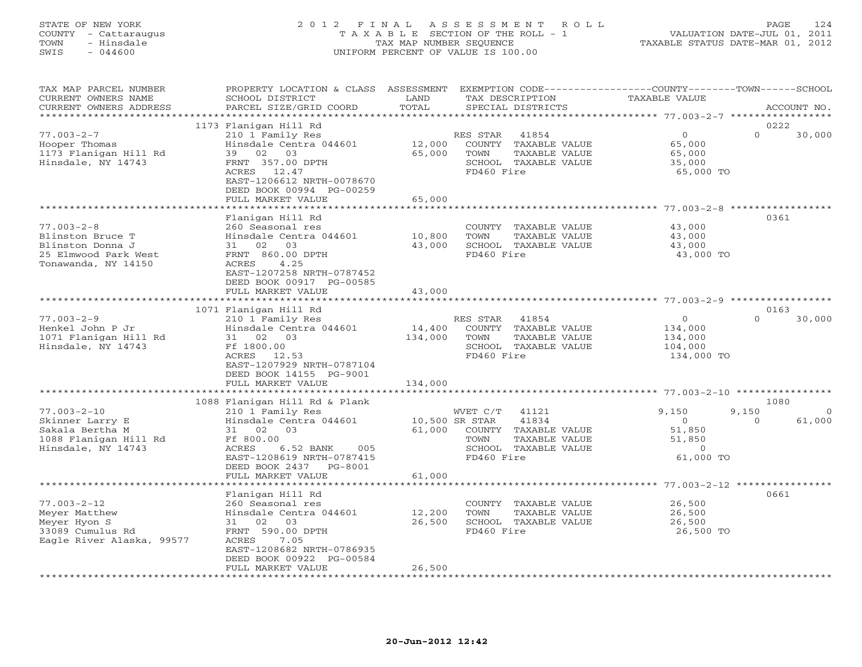### STATE OF NEW YORK 2 0 1 2 F I N A L A S S E S S M E N T R O L L PAGE 124 COUNTY - Cattaraugus T A X A B L E SECTION OF THE ROLL - 1 VALUATION DATE-JUL 01, 2011 TOWN - Hinsdale TAX MAP NUMBER SEQUENCE TAXABLE STATUS DATE-MAR 01, 2012 SWIS - 044600 UNIFORM PERCENT OF VALUE IS 100.00UNIFORM PERCENT OF VALUE IS 100.00

| TAX MAP PARCEL NUMBER<br>CURRENT OWNERS NAME<br>CURRENT OWNERS ADDRESS                                  | PROPERTY LOCATION & CLASS<br>SCHOOL DISTRICT<br>PARCEL SIZE/GRID COORD                                                                                                      | ASSESSMENT<br>LAND<br>TOTAL | EXEMPTION CODE-----------------COUNTY-------TOWN------SCHOOL<br>TAX DESCRIPTION<br>SPECIAL DISTRICTS        | TAXABLE VALUE                                                 |          | ACCOUNT NO. |
|---------------------------------------------------------------------------------------------------------|-----------------------------------------------------------------------------------------------------------------------------------------------------------------------------|-----------------------------|-------------------------------------------------------------------------------------------------------------|---------------------------------------------------------------|----------|-------------|
| * * * * * * * * * * * * * * * * * * * *                                                                 |                                                                                                                                                                             |                             |                                                                                                             |                                                               |          |             |
|                                                                                                         | 1173 Flanigan Hill Rd                                                                                                                                                       |                             |                                                                                                             |                                                               | 0222     |             |
| $77.003 - 2 - 7$<br>Hooper Thomas<br>1173 Flanigan Hill Rd<br>Hinsdale, NY 14743                        | 210 1 Family Res<br>Hinsdale Centra 044601<br>39<br>02<br>03<br>FRNT 357.00 DPTH<br>ACRES<br>12.47<br>EAST-1206612 NRTH-0078670<br>DEED BOOK 00994 PG-00259                 | 12,000<br>65,000            | RES STAR<br>41854<br>COUNTY<br>TAXABLE VALUE<br>TOWN<br>TAXABLE VALUE<br>SCHOOL TAXABLE VALUE<br>FD460 Fire | $\Omega$<br>65,000<br>65,000<br>35,000<br>65,000 TO           | $\Omega$ | 30,000      |
|                                                                                                         | FULL MARKET VALUE                                                                                                                                                           | 65,000                      |                                                                                                             |                                                               |          |             |
|                                                                                                         | ***********************                                                                                                                                                     | ************                |                                                                                                             |                                                               |          |             |
| $77.003 - 2 - 8$<br>Blinston Bruce T<br>Blinston Donna J<br>25 Elmwood Park West<br>Tonawanda, NY 14150 | Flanigan Hill Rd<br>260 Seasonal res<br>Hinsdale Centra 044601<br>31 02<br>03<br>FRNT 860.00 DPTH<br>4.25<br>ACRES<br>EAST-1207258 NRTH-0787452<br>DEED BOOK 00917 PG-00585 | 10,800<br>43,000            | COUNTY TAXABLE VALUE<br>TOWN<br>TAXABLE VALUE<br>SCHOOL TAXABLE VALUE<br>FD460 Fire                         | 43,000<br>43,000<br>43,000<br>43,000 TO                       | 0361     |             |
|                                                                                                         | FULL MARKET VALUE                                                                                                                                                           | 43,000                      |                                                                                                             |                                                               |          |             |
|                                                                                                         |                                                                                                                                                                             |                             |                                                                                                             |                                                               |          |             |
|                                                                                                         | 1071 Flanigan Hill Rd                                                                                                                                                       |                             |                                                                                                             |                                                               | 0163     |             |
| $77.003 - 2 - 9$<br>Henkel John P Jr<br>1071 Flanigan Hill Rd<br>Hinsdale, NY 14743                     | 210 1 Family Res<br>Hinsdale Centra 044601<br>31 02 03<br>Ff 1800.00<br>ACRES 12.53<br>EAST-1207929 NRTH-0787104<br>DEED BOOK 14155 PG-9001                                 | 14,400<br>134,000           | 41854<br>RES STAR<br>COUNTY TAXABLE VALUE<br>TOWN<br>TAXABLE VALUE<br>SCHOOL TAXABLE VALUE<br>FD460 Fire    | $\overline{O}$<br>134,000<br>134,000<br>104,000<br>134,000 TO | $\Omega$ | 30,000      |
|                                                                                                         | FULL MARKET VALUE                                                                                                                                                           | 134,000                     |                                                                                                             |                                                               |          |             |
|                                                                                                         | *************************                                                                                                                                                   |                             |                                                                                                             | *********************************** 77.003-2-10 ************  | 1080     |             |
| $77.003 - 2 - 10$                                                                                       | 1088 Flanigan Hill Rd & Plank<br>210 1 Family Res                                                                                                                           |                             | WVET C/T<br>41121                                                                                           | 9,150                                                         | 9,150    | $\Omega$    |
| Skinner Larry E<br>Sakala Bertha M<br>1088 Flanigan Hill Rd<br>Hinsdale, NY 14743                       | Hinsdale Centra 044601<br>31 02<br>03<br>Ff 800.00<br>ACRES<br>6.52 BANK<br>005<br>EAST-1208619 NRTH-0787415<br>DEED BOOK 2437 PG-8001                                      | 10,500 SR STAR<br>61,000    | 41834<br>COUNTY TAXABLE VALUE<br>TOWN<br>TAXABLE VALUE<br>SCHOOL TAXABLE VALUE<br>FD460 Fire                | $\circ$<br>51,850<br>51,850<br>$\Omega$<br>61,000 TO          | $\Omega$ | 61,000      |
|                                                                                                         | FULL MARKET VALUE                                                                                                                                                           | 61,000                      |                                                                                                             |                                                               |          |             |
|                                                                                                         | ********************                                                                                                                                                        | *************               |                                                                                                             |                                                               |          |             |
| $77.003 - 2 - 12$<br>Meyer Matthew<br>Meyer Hyon S<br>33089 Cumulus Rd<br>Eagle River Alaska, 99577     | Flanigan Hill Rd<br>260 Seasonal res<br>Hinsdale Centra 044601<br>02 03<br>31<br>FRNT 590.00 DPTH<br>ACRES<br>7.05<br>EAST-1208682 NRTH-0786935<br>DEED BOOK 00922 PG-00584 | 12,200<br>26,500            | COUNTY<br>TAXABLE VALUE<br>TOWN<br>TAXABLE VALUE<br>SCHOOL TAXABLE VALUE<br>FD460 Fire                      | 26,500<br>26,500<br>26,500<br>26,500 TO                       | 0661     |             |
|                                                                                                         | FULL MARKET VALUE                                                                                                                                                           | 26,500                      |                                                                                                             |                                                               |          |             |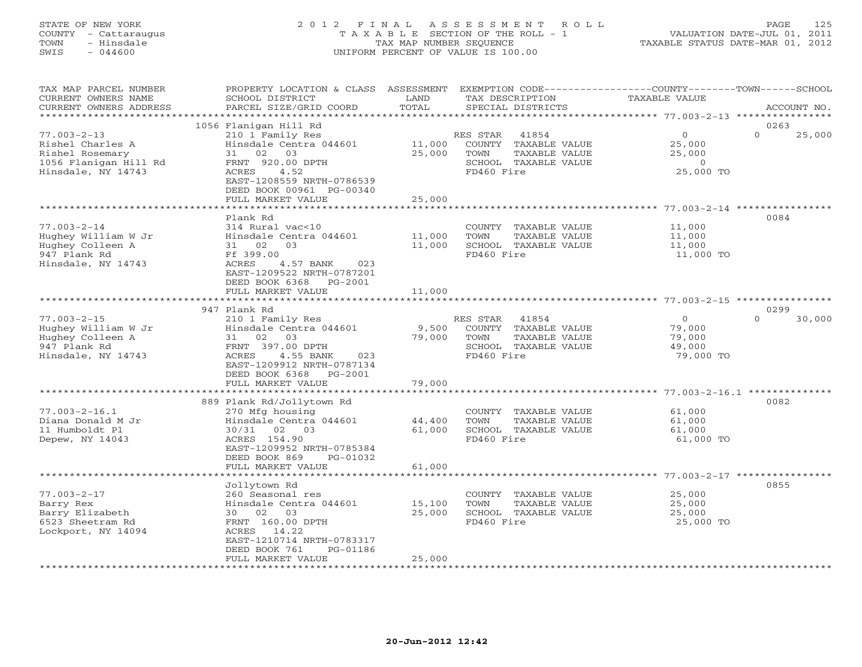# STATE OF NEW YORK 2 0 1 2 F I N A L A S S E S S M E N T R O L L PAGE 125 COUNTY - Cattaraugus T A X A B L E SECTION OF THE ROLL - 1 VALUATION DATE-JUL 01, 2011 TOWN - Hinsdale TAX MAP NUMBER SEQUENCE TAXABLE STATUS DATE-MAR 01, 2012 SWIS - 044600 UNIFORM PERCENT OF VALUE IS 100.00UNIFORM PERCENT OF VALUE IS 100.00

| TAX MAP PARCEL NUMBER<br>CURRENT OWNERS NAME<br>CURRENT OWNERS ADDRESS                                  | PROPERTY LOCATION & CLASS ASSESSMENT<br>SCHOOL DISTRICT<br>PARCEL SIZE/GRID COORD                                                                                                                  | LAND<br>TOTAL              | TAX DESCRIPTION<br>SPECIAL DISTRICTS                                                                     | EXEMPTION CODE-----------------COUNTY-------TOWN------SCHOOL<br><b>TAXABLE VALUE</b> | ACCOUNT NO.                |
|---------------------------------------------------------------------------------------------------------|----------------------------------------------------------------------------------------------------------------------------------------------------------------------------------------------------|----------------------------|----------------------------------------------------------------------------------------------------------|--------------------------------------------------------------------------------------|----------------------------|
| *********************                                                                                   |                                                                                                                                                                                                    |                            |                                                                                                          |                                                                                      |                            |
| $77.003 - 2 - 13$<br>Rishel Charles A<br>Rishel Rosemary<br>1056 Flanigan Hill Rd<br>Hinsdale, NY 14743 | 1056 Flanigan Hill Rd<br>210 1 Family Res<br>Hinsdale Centra 044601<br>31 02 03<br>FRNT 920.00 DPTH<br>4.52<br>ACRES<br>EAST-1208559 NRTH-0786539<br>DEED BOOK 00961 PG-00340<br>FULL MARKET VALUE | 11,000<br>25,000<br>25,000 | RES STAR<br>41854<br>COUNTY TAXABLE VALUE<br>TOWN<br>TAXABLE VALUE<br>SCHOOL TAXABLE VALUE<br>FD460 Fire | $\overline{0}$<br>25,000<br>25,000<br>$\overline{0}$<br>25,000 TO                    | 0263<br>$\Omega$<br>25,000 |
|                                                                                                         | **********************                                                                                                                                                                             | ***********                |                                                                                                          |                                                                                      |                            |
| $77.003 - 2 - 14$<br>Hughey William W Jr<br>Hughey Colleen A<br>947 Plank Rd<br>Hinsdale, NY 14743      | Plank Rd<br>314 Rural vac<10<br>Hinsdale Centra 044601<br>31 02<br>03<br>Ff 399.00<br>ACRES<br>4.57 BANK<br>023<br>EAST-1209522 NRTH-0787201<br>DEED BOOK 6368 PG-2001<br>FULL MARKET VALUE        | 11,000<br>11,000<br>11,000 | COUNTY TAXABLE VALUE<br>TOWN<br>TAXABLE VALUE<br>SCHOOL TAXABLE VALUE<br>FD460 Fire                      | 11,000<br>11,000<br>11,000<br>11,000 TO                                              | 0084                       |
|                                                                                                         |                                                                                                                                                                                                    |                            |                                                                                                          |                                                                                      |                            |
|                                                                                                         | 947 Plank Rd                                                                                                                                                                                       |                            |                                                                                                          |                                                                                      | 0299                       |
| $77.003 - 2 - 15$<br>Hughey William W Jr<br>Hughey Colleen A<br>947 Plank Rd<br>Hinsdale, NY 14743      | 210 1 Family Res<br>Hinsdale Centra 044601<br>31 02<br>03<br>FRNT 397.00 DPTH<br>ACRES<br>4.55 BANK<br>023<br>EAST-1209912 NRTH-0787134<br>DEED BOOK 6368<br>PG-2001                               | 9,500<br>79,000            | RES STAR<br>41854<br>COUNTY TAXABLE VALUE<br>TOWN<br>TAXABLE VALUE<br>SCHOOL TAXABLE VALUE<br>FD460 Fire | $\overline{O}$<br>79,000<br>79,000<br>49,000<br>79,000 TO                            | $\Omega$<br>30,000         |
|                                                                                                         | FULL MARKET VALUE                                                                                                                                                                                  | 79,000                     |                                                                                                          |                                                                                      |                            |
| $77.003 - 2 - 16.1$<br>Diana Donald M Jr<br>11 Humboldt Pl<br>Depew, NY 14043                           | 889 Plank Rd/Jollytown Rd<br>270 Mfg housing<br>Hinsdale Centra 044601<br>30/31 02 03<br>ACRES 154.90<br>EAST-1209952 NRTH-0785384<br>DEED BOOK 869<br>PG-01032<br>FULL MARKET VALUE               | 44,400<br>61,000<br>61,000 | COUNTY TAXABLE VALUE<br>TOWN<br>TAXABLE VALUE<br>SCHOOL TAXABLE VALUE<br>FD460 Fire                      | 61,000<br>61,000<br>61,000<br>61,000 TO                                              | 0082                       |
|                                                                                                         | * * * * * * * * * * * * * * * * * * *                                                                                                                                                              | *************              |                                                                                                          | ************************************77.003-2-17 ************                         |                            |
| $77.003 - 2 - 17$<br>Barry Rex<br>Barry Elizabeth<br>6523 Sheetram Rd<br>Lockport, NY 14094             | Jollytown Rd<br>260 Seasonal res<br>Hinsdale Centra 044601<br>30 02 03<br>FRNT 160.00 DPTH<br>ACRES 14.22<br>EAST-1210714 NRTH-0783317<br>DEED BOOK 761<br>PG-01186<br>FULL MARKET VALUE           | 15,100<br>25,000<br>25,000 | COUNTY TAXABLE VALUE<br>TOWN<br>TAXABLE VALUE<br>SCHOOL TAXABLE VALUE<br>FD460 Fire                      | 25,000<br>25,000<br>25,000<br>25,000 TO                                              | 0855                       |
| *******************                                                                                     |                                                                                                                                                                                                    |                            |                                                                                                          |                                                                                      |                            |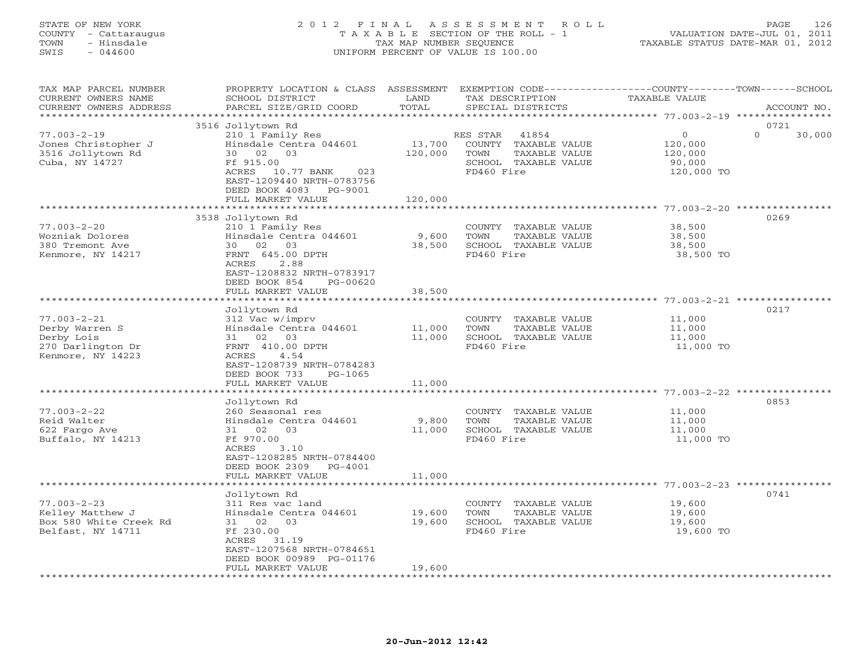# STATE OF NEW YORK 2 0 1 2 F I N A L A S S E S S M E N T R O L L PAGE 126 COUNTY - Cattaraugus T A X A B L E SECTION OF THE ROLL - 1 VALUATION DATE-JUL 01, 2011 TOWN - Hinsdale TAX MAP NUMBER SEQUENCE TAXABLE STATUS DATE-MAR 01, 2012 SWIS - 044600 UNIFORM PERCENT OF VALUE IS 100.00UNIFORM PERCENT OF VALUE IS 100.00

| TAX MAP PARCEL NUMBER<br>CURRENT OWNERS NAME<br>CURRENT OWNERS ADDRESS | PROPERTY LOCATION & CLASS ASSESSMENT<br>SCHOOL DISTRICT<br>PARCEL SIZE/GRID COORD | LAND<br>TOTAL | EXEMPTION CODE-----------------COUNTY-------TOWN------SCHOOL<br>TAX DESCRIPTION<br>SPECIAL DISTRICTS | <b>TAXABLE VALUE</b>                          | ACCOUNT NO.        |
|------------------------------------------------------------------------|-----------------------------------------------------------------------------------|---------------|------------------------------------------------------------------------------------------------------|-----------------------------------------------|--------------------|
|                                                                        |                                                                                   |               |                                                                                                      |                                               |                    |
|                                                                        | 3516 Jollytown Rd                                                                 |               |                                                                                                      |                                               | 0721               |
| $77.003 - 2 - 19$                                                      | 210 1 Family Res                                                                  |               | RES STAR<br>41854                                                                                    | $\circ$                                       | $\Omega$<br>30,000 |
| Jones Christopher J                                                    | Hinsdale Centra 044601                                                            | 13,700        | COUNTY TAXABLE VALUE                                                                                 | 120,000                                       |                    |
| 3516 Jollytown Rd                                                      | 30 02<br>03                                                                       | 120,000       | TOWN<br>TAXABLE VALUE                                                                                | 120,000                                       |                    |
| Cuba, NY 14727                                                         | Ff 915.00                                                                         |               | SCHOOL TAXABLE VALUE                                                                                 | 90,000                                        |                    |
|                                                                        | ACRES<br>10.77 BANK<br>023                                                        |               | FD460 Fire                                                                                           | 120,000 TO                                    |                    |
|                                                                        | EAST-1209440 NRTH-0783756                                                         |               |                                                                                                      |                                               |                    |
|                                                                        | DEED BOOK 4083<br>PG-9001                                                         |               |                                                                                                      |                                               |                    |
|                                                                        | FULL MARKET VALUE                                                                 | 120,000       |                                                                                                      |                                               |                    |
|                                                                        |                                                                                   |               |                                                                                                      |                                               |                    |
|                                                                        | 3538 Jollytown Rd                                                                 |               |                                                                                                      |                                               | 0269               |
| $77.003 - 2 - 20$                                                      | 210 1 Family Res                                                                  |               | COUNTY TAXABLE VALUE                                                                                 | 38,500                                        |                    |
| Wozniak Dolores                                                        | Hinsdale Centra 044601                                                            | 9,600         | TAXABLE VALUE<br>TOWN                                                                                | 38,500                                        |                    |
| 380 Tremont Ave                                                        | 30 02 03                                                                          | 38,500        | SCHOOL TAXABLE VALUE                                                                                 | 38,500                                        |                    |
| Kenmore, NY 14217                                                      | FRNT 645.00 DPTH                                                                  |               | FD460 Fire                                                                                           | 38,500 TO                                     |                    |
|                                                                        | ACRES<br>2.88                                                                     |               |                                                                                                      |                                               |                    |
|                                                                        | EAST-1208832 NRTH-0783917                                                         |               |                                                                                                      |                                               |                    |
|                                                                        | DEED BOOK 854<br>PG-00620<br>FULL MARKET VALUE                                    | 38,500        |                                                                                                      |                                               |                    |
|                                                                        | ******************                                                                |               |                                                                                                      | ********************* 77.003-2-21 *********** |                    |
|                                                                        | Jollytown Rd                                                                      |               |                                                                                                      |                                               | 0217               |
| $77.003 - 2 - 21$                                                      | 312 Vac w/imprv                                                                   |               | COUNTY TAXABLE VALUE                                                                                 | 11,000                                        |                    |
| Derby Warren S                                                         | Hinsdale Centra 044601                                                            | 11,000        | TAXABLE VALUE<br>TOWN                                                                                | 11,000                                        |                    |
| Derby Lois                                                             | 02<br>03<br>31                                                                    | 11,000        | SCHOOL TAXABLE VALUE                                                                                 | 11,000                                        |                    |
| 270 Darlington Dr                                                      | FRNT 410.00 DPTH                                                                  |               | FD460 Fire                                                                                           | 11,000 TO                                     |                    |
| Kenmore, NY 14223                                                      | ACRES<br>4.54                                                                     |               |                                                                                                      |                                               |                    |
|                                                                        | EAST-1208739 NRTH-0784283                                                         |               |                                                                                                      |                                               |                    |
|                                                                        | DEED BOOK 733<br>PG-1065                                                          |               |                                                                                                      |                                               |                    |
|                                                                        | FULL MARKET VALUE                                                                 | 11,000        |                                                                                                      |                                               |                    |
|                                                                        |                                                                                   |               |                                                                                                      |                                               |                    |
|                                                                        | Jollytown Rd                                                                      |               |                                                                                                      |                                               | 0853               |
| $77.003 - 2 - 22$                                                      | 260 Seasonal res                                                                  |               | COUNTY TAXABLE VALUE                                                                                 | 11,000                                        |                    |
| Reid Walter                                                            | Hinsdale Centra 044601                                                            | 9,800         | TOWN<br>TAXABLE VALUE                                                                                | 11,000                                        |                    |
| 622 Fargo Ave                                                          | 31 02 03                                                                          | 11,000        | SCHOOL TAXABLE VALUE                                                                                 | 11,000                                        |                    |
| Buffalo, NY 14213                                                      | Ff 970.00                                                                         |               | FD460 Fire                                                                                           | 11,000 TO                                     |                    |
|                                                                        | ACRES<br>3.10                                                                     |               |                                                                                                      |                                               |                    |
|                                                                        | EAST-1208285 NRTH-0784400                                                         |               |                                                                                                      |                                               |                    |
|                                                                        | DEED BOOK 2309 PG-4001                                                            |               |                                                                                                      |                                               |                    |
|                                                                        | FULL MARKET VALUE                                                                 | 11,000        |                                                                                                      |                                               |                    |
|                                                                        |                                                                                   |               |                                                                                                      |                                               |                    |
| $77.003 - 2 - 23$                                                      | Jollytown Rd<br>311 Res vac land                                                  |               | COUNTY TAXABLE VALUE                                                                                 | 19,600                                        | 0741               |
| Kelley Matthew J                                                       | Hinsdale Centra 044601                                                            | 19,600        | TOWN<br>TAXABLE VALUE                                                                                | 19,600                                        |                    |
| Box 580 White Creek Rd                                                 | 31 02 03                                                                          | 19,600        | SCHOOL TAXABLE VALUE                                                                                 | 19,600                                        |                    |
| Belfast, NY 14711                                                      | Ff 230.00                                                                         |               | FD460 Fire                                                                                           | 19,600 TO                                     |                    |
|                                                                        | ACRES<br>31.19                                                                    |               |                                                                                                      |                                               |                    |
|                                                                        | EAST-1207568 NRTH-0784651                                                         |               |                                                                                                      |                                               |                    |
|                                                                        | DEED BOOK 00989 PG-01176                                                          |               |                                                                                                      |                                               |                    |
|                                                                        | FULL MARKET VALUE                                                                 | 19,600        |                                                                                                      |                                               |                    |
|                                                                        | *******************                                                               |               |                                                                                                      |                                               |                    |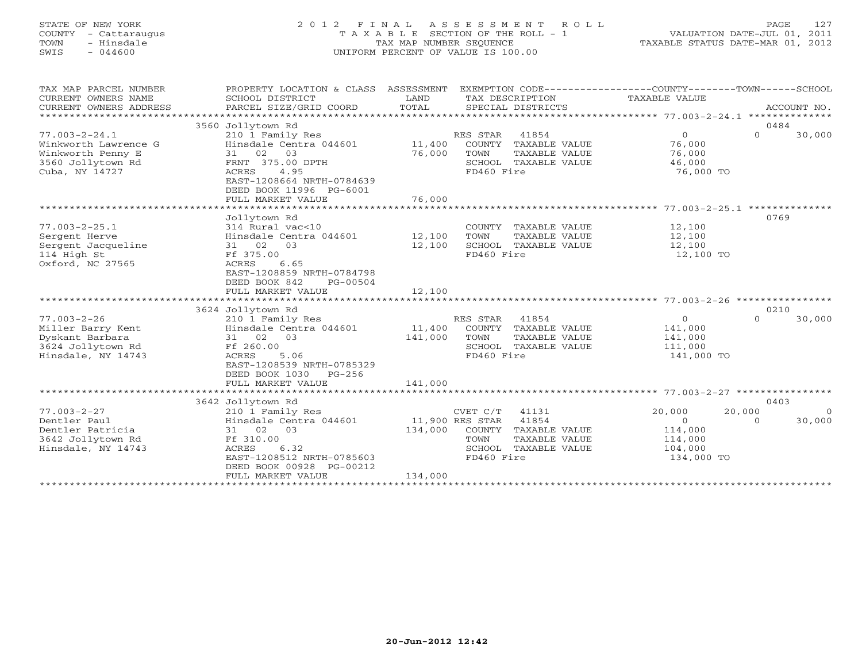# STATE OF NEW YORK 2 0 1 2 F I N A L A S S E S S M E N T R O L L PAGE 127 COUNTY - Cattaraugus T A X A B L E SECTION OF THE ROLL - 1 VALUATION DATE-JUL 01, 2011 TOWN - Hinsdale TAX MAP NUMBER SEQUENCE TAXABLE STATUS DATE-MAR 01, 2012 SWIS - 044600 UNIFORM PERCENT OF VALUE IS 100.00UNIFORM PERCENT OF VALUE IS 100.00

| TAX MAP PARCEL NUMBER<br>CURRENT OWNERS NAME<br>CURRENT OWNERS ADDRESS<br>*******************           | PROPERTY LOCATION & CLASS<br>SCHOOL DISTRICT<br>PARCEL SIZE/GRID COORD                                                                                                             | ASSESSMENT<br>LAND<br>TOTAL           |                                                             | TAX DESCRIPTION<br>SPECIAL DISTRICTS                                     | EXEMPTION CODE-----------------COUNTY-------TOWN------SCHOOL<br>TAXABLE VALUE |                    | ACCOUNT NO.        |
|---------------------------------------------------------------------------------------------------------|------------------------------------------------------------------------------------------------------------------------------------------------------------------------------------|---------------------------------------|-------------------------------------------------------------|--------------------------------------------------------------------------|-------------------------------------------------------------------------------|--------------------|--------------------|
| $77.003 - 2 - 24.1$<br>Winkworth Lawrence G<br>Winkworth Penny E<br>3560 Jollytown Rd<br>Cuba, NY 14727 | 3560 Jollytown Rd<br>210 1 Family Res<br>Hinsdale Centra 044601<br>31 02<br>03<br>FRNT 375.00 DPTH<br><b>ACRES</b><br>4.95<br>EAST-1208664 NRTH-0784639<br>DEED BOOK 11996 PG-6001 | 11,400<br>76,000                      | RES STAR<br>COUNTY<br>TOWN<br>FD460 Fire                    | 41854<br>TAXABLE VALUE<br>TAXABLE VALUE<br>SCHOOL TAXABLE VALUE          | $\mathbf{O}$<br>76,000<br>76,000<br>46,000<br>76,000 TO                       | 0484<br>$\Omega$   | 30,000             |
|                                                                                                         | FULL MARKET VALUE<br>**************                                                                                                                                                | 76,000<br>* * * * * * * * * * * * * * |                                                             |                                                                          | ****************** 77.003-2-25.1 ***************                              |                    |                    |
| $77.003 - 2 - 25.1$<br>Sergent Herve<br>Sergent Jacqueline<br>114 High St<br>Oxford, NC 27565           | Jollytown Rd<br>314 Rural vac<10<br>Hinsdale Centra 044601<br>31 02<br>03<br>Ff 375.00<br>6.65<br>ACRES<br>EAST-1208859 NRTH-0784798<br>DEED BOOK 842<br>PG-00504                  | 12,100<br>12,100                      | TOWN<br>FD460 Fire                                          | COUNTY TAXABLE VALUE<br>TAXABLE VALUE<br>SCHOOL TAXABLE VALUE            | 12,100<br>12,100<br>12,100<br>12,100 TO                                       | 0769               |                    |
|                                                                                                         | FULL MARKET VALUE                                                                                                                                                                  | 12,100                                |                                                             |                                                                          |                                                                               |                    |                    |
|                                                                                                         |                                                                                                                                                                                    |                                       |                                                             |                                                                          |                                                                               |                    |                    |
| $77.003 - 2 - 26$<br>Miller Barry Kent<br>Dyskant Barbara<br>3624 Jollytown Rd<br>Hinsdale, NY 14743    | 3624 Jollytown Rd<br>210 1 Family Res<br>Hinsdale Centra 044601<br>31 02<br>03<br>Ff 260.00<br>5.06<br>ACRES<br>EAST-1208539 NRTH-0785329<br>DEED BOOK 1030<br>$PG-256$            | 11,400<br>141,000                     | RES STAR<br>TOWN<br>FD460 Fire                              | 41854<br>COUNTY TAXABLE VALUE<br>TAXABLE VALUE<br>SCHOOL TAXABLE VALUE   | $\circ$<br>141,000<br>141,000<br>111,000<br>141,000 TO                        | 0210<br>$\Omega$   | 30,000             |
|                                                                                                         | FULL MARKET VALUE                                                                                                                                                                  | 141,000                               |                                                             |                                                                          |                                                                               |                    |                    |
|                                                                                                         | 3642 Jollytown Rd                                                                                                                                                                  |                                       |                                                             |                                                                          |                                                                               | 0403               |                    |
| $77.003 - 2 - 27$<br>Dentler Paul<br>Dentler Patricia<br>3642 Jollytown Rd<br>Hinsdale, NY 14743        | 210 1 Family Res<br>Hinsdale Centra 044601<br>31 02<br>03<br>Ff 310.00<br>6.32<br>ACRES<br>EAST-1208512 NRTH-0785603<br>DEED BOOK 00928 PG-00212<br>FULL MARKET VALUE              | 134,000<br>134,000                    | CVET C/T<br>11,900 RES STAR<br>COUNTY<br>TOWN<br>FD460 Fire | 41131<br>41854<br>TAXABLE VALUE<br>TAXABLE VALUE<br>SCHOOL TAXABLE VALUE | 20,000<br>$\Omega$<br>114,000<br>114,000<br>104,000<br>134,000 TO             | 20,000<br>$\Omega$ | $\Omega$<br>30,000 |
|                                                                                                         |                                                                                                                                                                                    |                                       |                                                             |                                                                          |                                                                               |                    |                    |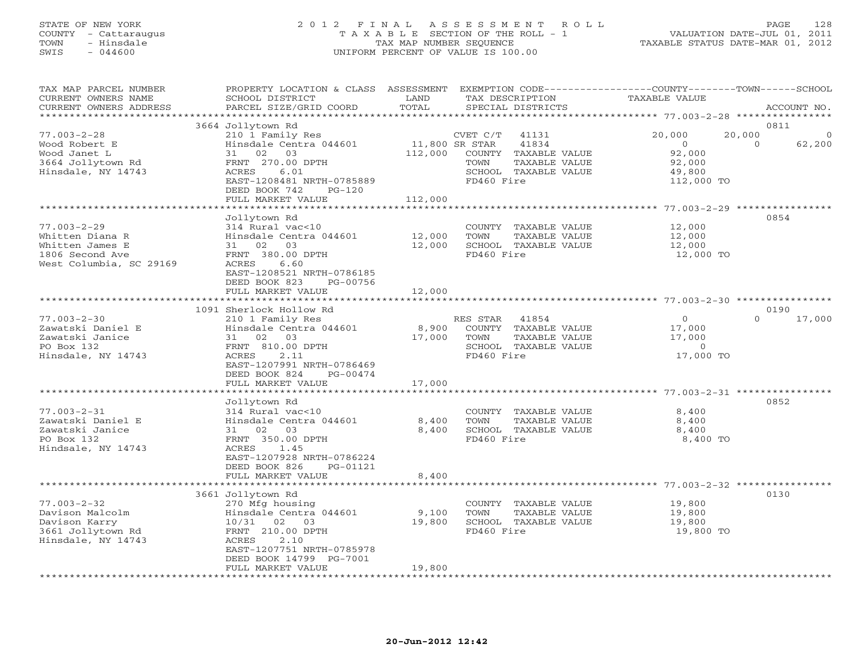# STATE OF NEW YORK 2 0 1 2 F I N A L A S S E S S M E N T R O L L PAGE 128 COUNTY - Cattaraugus T A X A B L E SECTION OF THE ROLL - 1 VALUATION DATE-JUL 01, 2011 TOWN - Hinsdale TAX MAP NUMBER SEQUENCE TAXABLE STATUS DATE-MAR 01, 2012 SWIS - 044600 UNIFORM PERCENT OF VALUE IS 100.00UNIFORM PERCENT OF VALUE IS 100.00

| TAX MAP PARCEL NUMBER<br>CURRENT OWNERS NAME<br>CURRENT OWNERS ADDRESS | PROPERTY LOCATION & CLASS ASSESSMENT<br>SCHOOL DISTRICT<br>PARCEL SIZE/GRID COORD | LAND<br>TOTAL             | EXEMPTION CODE-----------------COUNTY-------TOWN------SCHOOL<br>TAX DESCRIPTION<br>SPECIAL DISTRICTS | TAXABLE VALUE                                            | ACCOUNT NO.                              |
|------------------------------------------------------------------------|-----------------------------------------------------------------------------------|---------------------------|------------------------------------------------------------------------------------------------------|----------------------------------------------------------|------------------------------------------|
| ***********************                                                |                                                                                   |                           |                                                                                                      |                                                          |                                          |
|                                                                        | 3664 Jollytown Rd                                                                 |                           |                                                                                                      |                                                          | 0811                                     |
| $77.003 - 2 - 28$<br>Wood Robert E<br>Wood Janet L                     | 210 1 Family Res<br>Hinsdale Centra 044601<br>31 02 03                            | 11,800 SR STAR<br>112,000 | CVET C/T<br>41131<br>41834<br>COUNTY TAXABLE VALUE                                                   | 20,000<br>$\overline{0}$<br>92,000                       | 20,000<br>$\Omega$<br>$\Omega$<br>62,200 |
| 3664 Jollytown Rd<br>Hinsdale, NY 14743                                | FRNT 270.00 DPTH<br>ACRES<br>6.01                                                 |                           | TOWN<br>TAXABLE VALUE<br>SCHOOL TAXABLE VALUE                                                        | 92,000<br>49,800                                         |                                          |
|                                                                        | EAST-1208481 NRTH-0785889<br>DEED BOOK 742<br>$PG-120$                            |                           | FD460 Fire                                                                                           | 112,000 TO                                               |                                          |
|                                                                        | FULL MARKET VALUE                                                                 | 112,000                   |                                                                                                      | *************** 77.003-2-29 *****************            |                                          |
|                                                                        | Jollytown Rd                                                                      |                           |                                                                                                      |                                                          | 0854                                     |
| $77.003 - 2 - 29$                                                      | 314 Rural vac<10                                                                  |                           | COUNTY TAXABLE VALUE                                                                                 | 12,000                                                   |                                          |
| Whitten Diana R                                                        | Hinsdale Centra 044601                                                            | 12,000                    | TOWN<br>TAXABLE VALUE                                                                                | 12,000                                                   |                                          |
| Whitten James E                                                        | 31 02 03                                                                          | 12,000                    | SCHOOL TAXABLE VALUE                                                                                 | 12,000                                                   |                                          |
| 1806 Second Ave                                                        | FRNT 380.00 DPTH                                                                  |                           | FD460 Fire                                                                                           | 12,000 TO                                                |                                          |
| West Columbia, SC 29169                                                | 6.60<br>ACRES<br>EAST-1208521 NRTH-0786185<br>DEED BOOK 823<br>PG-00756           |                           |                                                                                                      |                                                          |                                          |
|                                                                        | FULL MARKET VALUE                                                                 | 12,000                    |                                                                                                      |                                                          |                                          |
|                                                                        | 1091 Sherlock Hollow Rd                                                           |                           |                                                                                                      |                                                          | 0190                                     |
| $77.003 - 2 - 30$                                                      | 210 1 Family Res                                                                  |                           | RES STAR<br>41854                                                                                    | $\circ$                                                  | $\Omega$<br>17,000                       |
| Zawatski Daniel E                                                      | Hinsdale Centra 044601                                                            | 8,900                     | COUNTY TAXABLE VALUE                                                                                 | 17,000                                                   |                                          |
| Zawatski Janice                                                        | 31 02 03                                                                          | 17,000                    | TOWN<br>TAXABLE VALUE                                                                                | 17,000                                                   |                                          |
| PO Box 132                                                             | FRNT 810.00 DPTH                                                                  |                           | SCHOOL TAXABLE VALUE                                                                                 | $\circ$                                                  |                                          |
| Hinsdale, NY 14743                                                     | 2.11<br>ACRES<br>EAST-1207991 NRTH-0786469                                        |                           | FD460 Fire                                                                                           | 17,000 TO                                                |                                          |
|                                                                        | DEED BOOK 824<br>PG-00474                                                         |                           |                                                                                                      |                                                          |                                          |
|                                                                        | FULL MARKET VALUE                                                                 | 17,000                    |                                                                                                      |                                                          |                                          |
|                                                                        | Jollytown Rd                                                                      |                           |                                                                                                      |                                                          | 0852                                     |
| $77.003 - 2 - 31$                                                      | 314 Rural vac<10                                                                  |                           | COUNTY TAXABLE VALUE                                                                                 | 8,400                                                    |                                          |
| Zawatski Daniel E                                                      | Hinsdale Centra 044601                                                            | 8,400                     | TOWN<br>TAXABLE VALUE                                                                                | 8,400                                                    |                                          |
| Zawatski Janice                                                        | 31 02 03                                                                          | 8,400                     | SCHOOL TAXABLE VALUE                                                                                 | 8,400                                                    |                                          |
| PO Box 132                                                             | FRNT 350.00 DPTH                                                                  |                           | FD460 Fire                                                                                           | 8,400 TO                                                 |                                          |
| Hindsale, NY 14743                                                     | ACRES<br>1.45<br>EAST-1207928 NRTH-0786224<br>DEED BOOK 826<br>PG-01121           |                           |                                                                                                      |                                                          |                                          |
|                                                                        | FULL MARKET VALUE                                                                 | 8,400                     |                                                                                                      |                                                          |                                          |
|                                                                        |                                                                                   |                           |                                                                                                      | ******************************** 77.003-2-32 *********** |                                          |
|                                                                        | 3661 Jollytown Rd                                                                 |                           |                                                                                                      |                                                          | 0130                                     |
| $77.003 - 2 - 32$                                                      | 270 Mfg housing                                                                   |                           | COUNTY TAXABLE VALUE                                                                                 | 19,800                                                   |                                          |
| Davison Malcolm                                                        | Hinsdale Centra 044601                                                            | 9,100                     | TOWN<br>TAXABLE VALUE                                                                                | 19,800                                                   |                                          |
| Davison Karry                                                          | 10/31 02 03                                                                       | 19,800                    | SCHOOL TAXABLE VALUE                                                                                 | 19,800                                                   |                                          |
| 3661 Jollytown Rd                                                      | FRNT 210.00 DPTH                                                                  |                           | FD460 Fire                                                                                           | 19,800 TO                                                |                                          |
| Hinsdale, NY 14743                                                     | ACRES<br>2.10                                                                     |                           |                                                                                                      |                                                          |                                          |
|                                                                        | EAST-1207751 NRTH-0785978                                                         |                           |                                                                                                      |                                                          |                                          |
|                                                                        | DEED BOOK 14799 PG-7001                                                           | 19,800                    |                                                                                                      |                                                          |                                          |
|                                                                        | FULL MARKET VALUE                                                                 |                           |                                                                                                      |                                                          |                                          |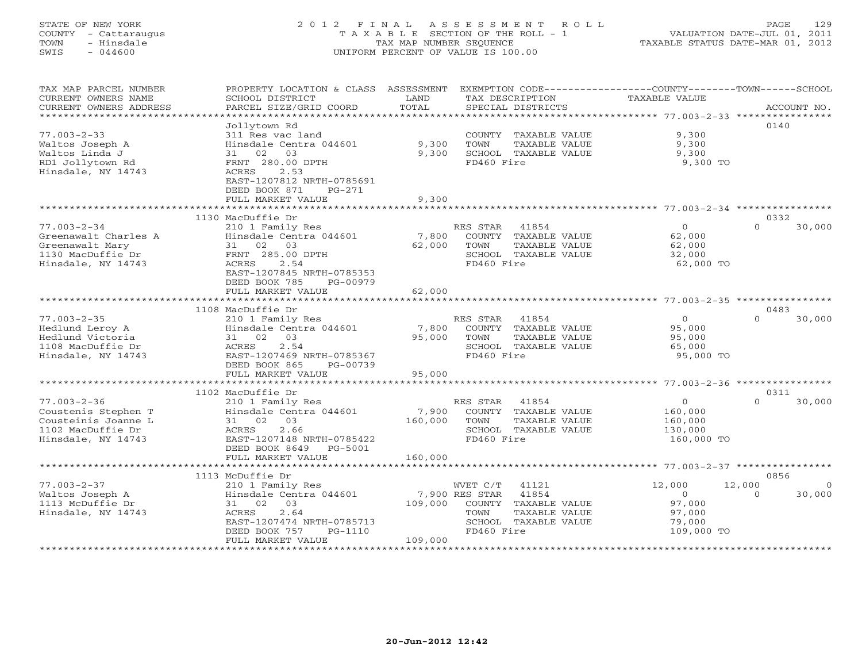# STATE OF NEW YORK 2 0 1 2 F I N A L A S S E S S M E N T R O L L PAGE 129 COUNTY - Cattaraugus T A X A B L E SECTION OF THE ROLL - 1 VALUATION DATE-JUL 01, 2011 TOWN - Hinsdale TAX MAP NUMBER SEQUENCE TAXABLE STATUS DATE-MAR 01, 2012 SWIS - 044600 UNIFORM PERCENT OF VALUE IS 100.00UNIFORM PERCENT OF VALUE IS 100.00

| TAX MAP PARCEL NUMBER<br>CURRENT OWNERS NAME<br>CURRENT OWNERS ADDRESS | PROPERTY LOCATION & CLASS ASSESSMENT<br>SCHOOL DISTRICT<br>PARCEL SIZE/GRID COORD | LAND<br>TOTAL | EXEMPTION CODE-----------------COUNTY-------TOWN------SCHOOL<br>TAX DESCRIPTION<br>SPECIAL DISTRICTS | TAXABLE VALUE       | ACCOUNT NO.        |
|------------------------------------------------------------------------|-----------------------------------------------------------------------------------|---------------|------------------------------------------------------------------------------------------------------|---------------------|--------------------|
| **********************                                                 |                                                                                   |               |                                                                                                      |                     |                    |
|                                                                        | Jollytown Rd                                                                      |               |                                                                                                      |                     | 0140               |
| $77.003 - 2 - 33$                                                      | 311 Res vac land                                                                  |               | COUNTY TAXABLE VALUE                                                                                 | 9,300               |                    |
| Waltos Joseph A                                                        | Hinsdale Centra 044601                                                            | 9,300         | TOWN<br>TAXABLE VALUE                                                                                | 9,300               |                    |
| Waltos Linda J                                                         | 02<br>03<br>31                                                                    | 9,300         | SCHOOL TAXABLE VALUE                                                                                 | 9,300               |                    |
| RD1 Jollytown Rd                                                       | FRNT 280.00 DPTH                                                                  |               | FD460 Fire                                                                                           | 9,300 TO            |                    |
| Hinsdale, NY 14743                                                     | 2.53<br>ACRES                                                                     |               |                                                                                                      |                     |                    |
|                                                                        | EAST-1207812 NRTH-0785691<br>DEED BOOK 871<br>$PG-271$                            |               |                                                                                                      |                     |                    |
|                                                                        | FULL MARKET VALUE                                                                 | 9,300         |                                                                                                      |                     |                    |
|                                                                        | **************************                                                        |               |                                                                                                      |                     |                    |
|                                                                        | 1130 MacDuffie Dr                                                                 |               |                                                                                                      |                     | 0332               |
| $77.003 - 2 - 34$                                                      | 210 1 Family Res                                                                  |               | RES STAR<br>41854                                                                                    | $\Omega$            | $\Omega$<br>30,000 |
| Greenawalt Charles A                                                   | Hinsdale Centra 044601                                                            | 7,800         | COUNTY TAXABLE VALUE                                                                                 | 62,000              |                    |
| Greenawalt Mary                                                        | 31 02<br>03                                                                       | 62,000        | TOWN<br>TAXABLE VALUE                                                                                | 62,000              |                    |
| 1130 MacDuffie Dr                                                      | FRNT 285.00 DPTH                                                                  |               | SCHOOL TAXABLE VALUE                                                                                 | 32,000              |                    |
| Hinsdale, NY 14743                                                     | ACRES<br>2.54                                                                     |               | FD460 Fire                                                                                           | 62,000 TO           |                    |
|                                                                        | EAST-1207845 NRTH-0785353                                                         |               |                                                                                                      |                     |                    |
|                                                                        | DEED BOOK 785<br>PG-00979                                                         |               |                                                                                                      |                     |                    |
|                                                                        | FULL MARKET VALUE                                                                 | 62,000        |                                                                                                      |                     |                    |
|                                                                        | ************************                                                          |               |                                                                                                      |                     |                    |
|                                                                        | 1108 MacDuffie Dr                                                                 |               |                                                                                                      |                     | 0483               |
| $77.003 - 2 - 35$                                                      | 210 1 Family Res                                                                  |               | RES STAR<br>41854                                                                                    | $\Omega$            | $\Omega$<br>30,000 |
| Hedlund Leroy A                                                        | Hinsdale Centra 044601                                                            | 7,800         | COUNTY TAXABLE VALUE                                                                                 | 95,000              |                    |
| Hedlund Victoria                                                       | 03<br>31 02                                                                       | 95,000        | TOWN<br>TAXABLE VALUE                                                                                | 95,000              |                    |
| 1108 MacDuffie Dr<br>Hinsdale, NY 14743                                | 2.54<br><b>ACRES</b><br>EAST-1207469 NRTH-0785367                                 |               | SCHOOL TAXABLE VALUE<br>FD460 Fire                                                                   | 65,000<br>95,000 TO |                    |
|                                                                        | DEED BOOK 865<br>PG-00739                                                         |               |                                                                                                      |                     |                    |
|                                                                        | FULL MARKET VALUE                                                                 | 95,000        |                                                                                                      |                     |                    |
|                                                                        |                                                                                   |               |                                                                                                      |                     |                    |
|                                                                        | 1102 MacDuffie Dr                                                                 |               |                                                                                                      |                     | 0311               |
| $77.003 - 2 - 36$                                                      | 210 1 Family Res                                                                  |               | RES STAR<br>41854                                                                                    | $\circ$             | $\Omega$<br>30,000 |
| Coustenis Stephen T                                                    | Hinsdale Centra 044601                                                            | 7,900         | COUNTY TAXABLE VALUE                                                                                 | 160,000             |                    |
| Cousteinis Joanne L                                                    | 31 02<br>03                                                                       | 160,000       | TOWN<br>TAXABLE VALUE                                                                                | 160,000             |                    |
| 1102 MacDuffie Dr                                                      | 2.66<br>ACRES                                                                     |               | SCHOOL TAXABLE VALUE                                                                                 | 130,000             |                    |
| Hinsdale, NY 14743                                                     | EAST-1207148 NRTH-0785422                                                         |               | FD460 Fire                                                                                           | 160,000 TO          |                    |
|                                                                        | DEED BOOK 8649<br>PG-5001                                                         |               |                                                                                                      |                     |                    |
|                                                                        | FULL MARKET VALUE                                                                 | 160,000       |                                                                                                      |                     |                    |
|                                                                        | **************************                                                        |               |                                                                                                      |                     |                    |
|                                                                        | 1113 McDuffie Dr                                                                  |               |                                                                                                      |                     | 0856               |
| $77.003 - 2 - 37$                                                      | 210 1 Family Res                                                                  |               | 41121<br>WVET C/T                                                                                    | 12,000              | 12,000             |
| Waltos Joseph A                                                        | Hinsdale Centra 044601                                                            |               | 7,900 RES STAR<br>41854                                                                              | $\Omega$            | 30,000<br>$\Omega$ |
| 1113 McDuffie Dr                                                       | 03<br>31 02                                                                       | 109,000       | COUNTY<br>TAXABLE VALUE                                                                              | 97,000              |                    |
| Hinsdale, NY 14743                                                     | 2.64<br>ACRES<br>EAST-1207474 NRTH-0785713                                        |               | TAXABLE VALUE<br>TOWN<br>SCHOOL TAXABLE VALUE                                                        | 97,000<br>79,000    |                    |
|                                                                        | DEED BOOK 757<br>PG-1110                                                          |               | FD460 Fire                                                                                           | 109,000 TO          |                    |
|                                                                        | FULL MARKET VALUE                                                                 | 109,000       |                                                                                                      |                     |                    |
| ***********************                                                |                                                                                   |               |                                                                                                      |                     |                    |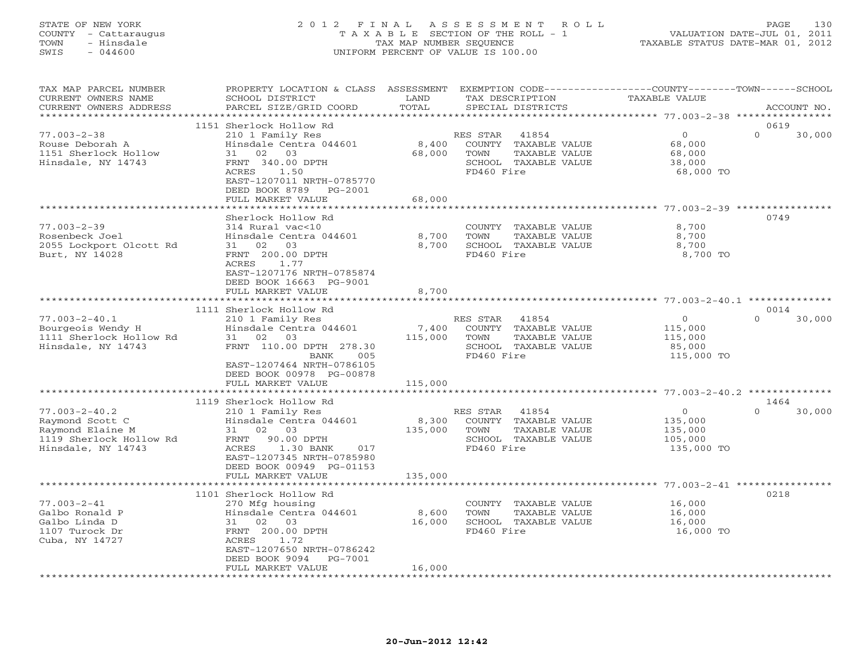#### STATE OF NEW YORK 2 0 1 2 F I N A L A S S E S S M E N T R O L L PAGE 130 COUNTY - Cattaraugus T A X A B L E SECTION OF THE ROLL - 1 VALUATION DATE-JUL 01, 2011 TOWN - Hinsdale TAX MAP NUMBER SEQUENCE TAXABLE STATUS DATE-MAR 01, 2012 SWIS - 044600 UNIFORM PERCENT OF VALUE IS 100.00UNIFORM PERCENT OF VALUE IS 100.00

| TAX MAP PARCEL NUMBER<br>CURRENT OWNERS NAME<br>CURRENT OWNERS ADDRESS                                      | PROPERTY LOCATION & CLASS ASSESSMENT EXEMPTION CODE----------------COUNTY-------TOWN------SCHOOL<br>SCHOOL DISTRICT<br>PARCEL SIZE/GRID COORD                                   | LAND<br>TOTAL    | TAX DESCRIPTION<br>SPECIAL DISTRICTS                                                                     | TAXABLE VALUE                                          | ACCOUNT NO.        |
|-------------------------------------------------------------------------------------------------------------|---------------------------------------------------------------------------------------------------------------------------------------------------------------------------------|------------------|----------------------------------------------------------------------------------------------------------|--------------------------------------------------------|--------------------|
|                                                                                                             |                                                                                                                                                                                 |                  |                                                                                                          |                                                        |                    |
|                                                                                                             | 1151 Sherlock Hollow Rd                                                                                                                                                         |                  |                                                                                                          |                                                        | 0619               |
| $77.003 - 2 - 38$<br>Rouse Deborah A<br>1151 Sherlock Hollow<br>Hinsdale, NY 14743                          | 210 1 Family Res<br>Hinsdale Centra 044601<br>31 02 03<br>FRNT 340.00 DPTH<br>1.50<br>ACRES<br>EAST-1207011 NRTH-0785770<br>DEED BOOK 8789 PG-2001                              | 8,400<br>68,000  | RES STAR<br>41854<br>COUNTY TAXABLE VALUE<br>TOWN<br>TAXABLE VALUE<br>SCHOOL TAXABLE VALUE<br>FD460 Fire | $\Omega$<br>68,000<br>68,000<br>38,000<br>68,000 TO    | $\Omega$<br>30,000 |
|                                                                                                             | FULL MARKET VALUE<br>*******************                                                                                                                                        | 68,000           |                                                                                                          |                                                        |                    |
|                                                                                                             |                                                                                                                                                                                 |                  |                                                                                                          |                                                        |                    |
| $77.003 - 2 - 39$<br>Rosenbeck Joel<br>2055 Lockport Olcott Rd<br>Burt, NY 14028                            | Sherlock Hollow Rd<br>314 Rural vac<10<br>Hinsdale Centra 044601<br>03<br>31 02<br>FRNT 200.00 DPTH<br>ACRES<br>1.77<br>EAST-1207176 NRTH-0785874<br>DEED BOOK 16663 PG-9001    | 8,700<br>8,700   | COUNTY TAXABLE VALUE<br>TOWN<br>TAXABLE VALUE<br>SCHOOL TAXABLE VALUE<br>FD460 Fire                      | 8,700<br>8,700<br>8,700<br>8,700 TO                    | 0749               |
|                                                                                                             | FULL MARKET VALUE                                                                                                                                                               | 8,700            |                                                                                                          |                                                        |                    |
|                                                                                                             | 1111 Sherlock Hollow Rd                                                                                                                                                         |                  |                                                                                                          |                                                        | 0014               |
| $77.003 - 2 - 40.1$<br>Bourgeois Wendy H<br>1111 Sherlock Hollow Rd<br>Hinsdale, NY 14743                   | 210 1 Family Res<br>Hinsdale Centra 044601<br>31 02 03<br>FRNT 110.00 DPTH 278.30<br>BANK<br>005                                                                                | 7,400<br>115,000 | RES STAR<br>41854<br>COUNTY TAXABLE VALUE<br>TOWN<br>TAXABLE VALUE<br>SCHOOL TAXABLE VALUE<br>FD460 Fire | $\circ$<br>115,000<br>115,000<br>85,000<br>115,000 TO  | $\Omega$<br>30,000 |
|                                                                                                             | EAST-1207464 NRTH-0786105<br>DEED BOOK 00978 PG-00878                                                                                                                           |                  |                                                                                                          |                                                        |                    |
|                                                                                                             | FULL MARKET VALUE                                                                                                                                                               | 115,000          |                                                                                                          |                                                        |                    |
|                                                                                                             | 1119 Sherlock Hollow Rd                                                                                                                                                         |                  |                                                                                                          |                                                        | 1464               |
| $77.003 - 2 - 40.2$<br>Raymond Scott C<br>Raymond Elaine M<br>1119 Sherlock Hollow Rd<br>Hinsdale, NY 14743 | 210 1 Family Res<br>Hinsdale Centra 044601<br>31<br>02 03<br>FRNT 90.00 DPTH<br>ACRES<br>1.30 BANK<br>017<br>EAST-1207345 NRTH-0785980<br>DEED BOOK 00949 PG-01153              | 8,300<br>135,000 | RES STAR<br>41854<br>COUNTY TAXABLE VALUE<br>TOWN<br>TAXABLE VALUE<br>SCHOOL TAXABLE VALUE<br>FD460 Fire | $\circ$<br>135,000<br>135,000<br>105,000<br>135,000 TO | $\Omega$<br>30,000 |
|                                                                                                             | FULL MARKET VALUE                                                                                                                                                               | 135,000          |                                                                                                          |                                                        |                    |
|                                                                                                             |                                                                                                                                                                                 |                  |                                                                                                          |                                                        |                    |
| $77.003 - 2 - 41$<br>Galbo Ronald P<br>Galbo Linda D<br>1107 Turock Dr<br>Cuba, NY 14727                    | 1101 Sherlock Hollow Rd<br>270 Mfg housing<br>Hinsdale Centra 044601<br>31 02 03<br>FRNT 200.00 DPTH<br>ACRES<br>1.72<br>EAST-1207650 NRTH-0786242<br>DEED BOOK 9094<br>PG-7001 | 8,600<br>16,000  | COUNTY TAXABLE VALUE<br>TAXABLE VALUE<br>TOWN<br>SCHOOL TAXABLE VALUE<br>FD460 Fire                      | 16,000<br>16,000<br>16,000<br>16,000 TO                | 0218               |
|                                                                                                             | FULL MARKET VALUE                                                                                                                                                               | 16,000           |                                                                                                          |                                                        |                    |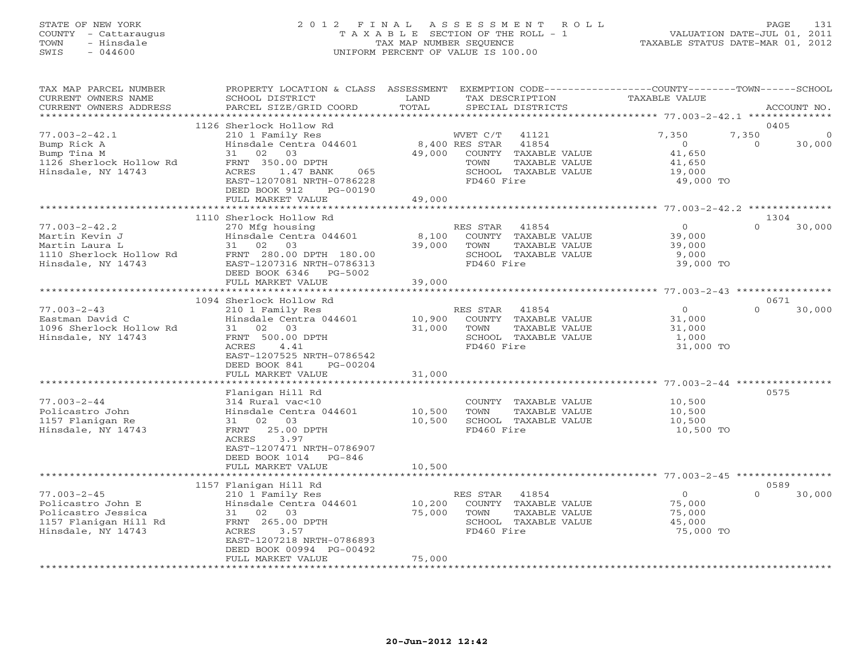## STATE OF NEW YORK 2 0 1 2 F I N A L A S S E S S M E N T R O L L PAGE 131 COUNTY - Cattaraugus T A X A B L E SECTION OF THE ROLL - 1 VALUATION DATE-JUL 01, 2011 TOWN - Hinsdale TAX MAP NUMBER SEQUENCE TAXABLE STATUS DATE-MAR 01, 2012 SWIS - 044600 UNIFORM PERCENT OF VALUE IS 100.00UNIFORM PERCENT OF VALUE IS 100.00

| TAX MAP PARCEL NUMBER<br>CURRENT OWNERS NAME<br>CURRENT OWNERS ADDRESS<br>***********************           | PROPERTY LOCATION & CLASS ASSESSMENT<br>SCHOOL DISTRICT<br>PARCEL SIZE/GRID COORD                                                                                                                                       | LAND<br>TOTAL              |                                                  | TAX DESCRIPTION<br>SPECIAL DISTRICTS                                            | EXEMPTION CODE-----------------COUNTY-------TOWN------SCHOOL<br>TAXABLE VALUE |                           | ACCOUNT NO. |
|-------------------------------------------------------------------------------------------------------------|-------------------------------------------------------------------------------------------------------------------------------------------------------------------------------------------------------------------------|----------------------------|--------------------------------------------------|---------------------------------------------------------------------------------|-------------------------------------------------------------------------------|---------------------------|-------------|
|                                                                                                             |                                                                                                                                                                                                                         |                            |                                                  |                                                                                 |                                                                               |                           |             |
| $77.003 - 2 - 42.1$<br>Bump Rick A<br>Bump Tina M<br>1126 Sherlock Hollow Rd<br>Hinsdale, NY 14743          | 1126 Sherlock Hollow Rd<br>210 1 Family Res<br>Hinsdale Centra 044601<br>02<br>03<br>31<br>FRNT 350.00 DPTH<br>ACRES<br>1.47 BANK<br>065<br>EAST-1207081 NRTH-0786228<br>DEED BOOK 912<br>PG-00190<br>FULL MARKET VALUE | 49,000<br>49,000           | WVET C/T<br>8,400 RES STAR<br>TOWN<br>FD460 Fire | 41121<br>41854<br>COUNTY TAXABLE VALUE<br>TAXABLE VALUE<br>SCHOOL TAXABLE VALUE | 7,350<br>$\Omega$<br>41,650<br>41,650<br>19,000<br>49,000 TO                  | 0405<br>7,350<br>$\Omega$ | 30,000      |
|                                                                                                             |                                                                                                                                                                                                                         |                            |                                                  |                                                                                 |                                                                               |                           |             |
| $77.003 - 2 - 42.2$<br>Martin Kevin J<br>Martin Laura L<br>1110 Sherlock Hollow Rd<br>Hinsdale, NY 14743    | 1110 Sherlock Hollow Rd<br>270 Mfg housing<br>Hinsdale Centra 044601<br>31 02<br>03<br>FRNT 280.00 DPTH 180.00<br>EAST-1207316 NRTH-0786313<br>DEED BOOK 6346<br>PG-5002                                                | 8,100<br>39,000            | RES STAR<br>TOWN<br>FD460 Fire                   | 41854<br>COUNTY TAXABLE VALUE<br>TAXABLE VALUE<br>SCHOOL TAXABLE VALUE          | $\circ$<br>39,000<br>39,000<br>9,000<br>39,000 TO                             | 1304<br>$\Omega$          | 30,000      |
|                                                                                                             | FULL MARKET VALUE                                                                                                                                                                                                       | 39,000                     |                                                  |                                                                                 |                                                                               |                           |             |
|                                                                                                             |                                                                                                                                                                                                                         |                            |                                                  |                                                                                 |                                                                               |                           |             |
| $77.003 - 2 - 43$<br>Eastman David C<br>1096 Sherlock Hollow Rd<br>Hinsdale, NY 14743                       | 1094 Sherlock Hollow Rd<br>210 1 Family Res<br>Hinsdale Centra 044601<br>02 03<br>31<br>FRNT 500.00 DPTH<br><b>ACRES</b><br>4.41<br>EAST-1207525 NRTH-0786542<br>DEED BOOK 841<br>$PG-00204$<br>FULL MARKET VALUE       | 10,900<br>31,000<br>31,000 | RES STAR<br>TOWN<br>FD460 Fire                   | 41854<br>COUNTY TAXABLE VALUE<br>TAXABLE VALUE<br>SCHOOL TAXABLE VALUE          | $\circ$<br>31,000<br>31,000<br>1,000<br>31,000 TO                             | 0671<br>$\Omega$          | 30,000      |
|                                                                                                             |                                                                                                                                                                                                                         |                            |                                                  |                                                                                 | ******************************* 77.003-2-44 **********                        |                           |             |
| $77.003 - 2 - 44$<br>Policastro John<br>1157 Flanigan Re<br>Hinsdale, NY 14743                              | Flanigan Hill Rd<br>314 Rural vac<10<br>Hinsdale Centra 044601<br>31 02 03<br>25.00 DPTH<br>FRNT<br>ACRES<br>3.97<br>EAST-1207471 NRTH-0786907<br>DEED BOOK 1014<br>$PG-846$                                            | 10,500<br>10,500           | TOWN<br>FD460 Fire                               | COUNTY TAXABLE VALUE<br>TAXABLE VALUE<br>SCHOOL TAXABLE VALUE                   | 10,500<br>10,500<br>10,500<br>10,500 TO                                       | 0575                      |             |
|                                                                                                             | FULL MARKET VALUE                                                                                                                                                                                                       | 10,500                     |                                                  |                                                                                 |                                                                               |                           |             |
|                                                                                                             |                                                                                                                                                                                                                         |                            |                                                  |                                                                                 |                                                                               |                           |             |
| $77.003 - 2 - 45$<br>Policastro John E<br>Policastro Jessica<br>1157 Flanigan Hill Rd<br>Hinsdale, NY 14743 | 1157 Flanigan Hill Rd<br>210 1 Family Res<br>Hinsdale Centra 044601<br>31 02<br>03<br>FRNT 265.00 DPTH<br>ACRES<br>3.57<br>EAST-1207218 NRTH-0786893                                                                    | 10,200<br>75,000           | RES STAR<br>TOWN<br>FD460 Fire                   | 41854<br>COUNTY TAXABLE VALUE<br>TAXABLE VALUE<br>SCHOOL TAXABLE VALUE          | $\circ$<br>75,000<br>75,000<br>45,000<br>75,000 TO                            | 0589<br>$\Omega$          | 30,000      |
|                                                                                                             | DEED BOOK 00994 PG-00492<br>FULL MARKET VALUE                                                                                                                                                                           | 75,000                     |                                                  |                                                                                 |                                                                               |                           |             |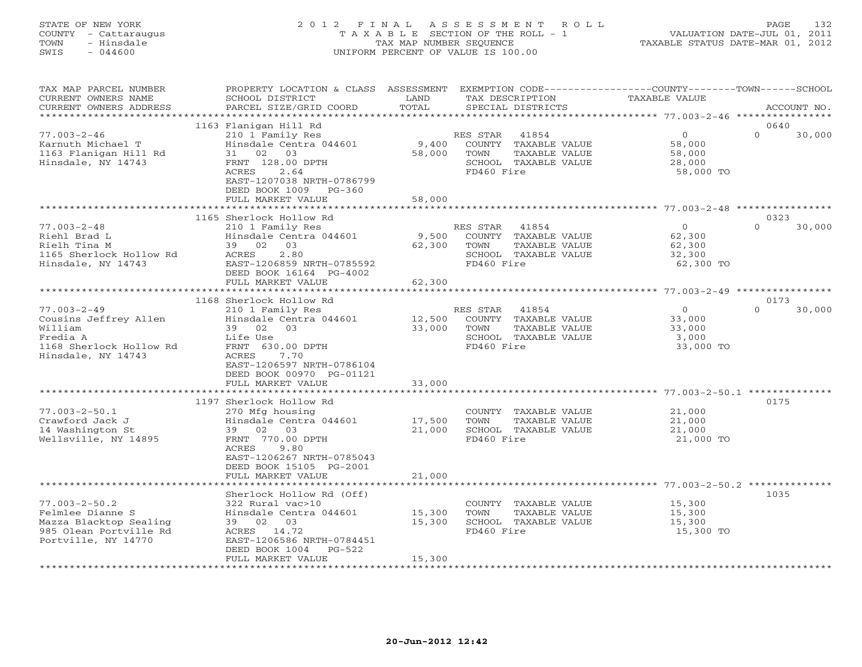# STATE OF NEW YORK 2 0 1 2 F I N A L A S S E S S M E N T R O L L PAGE 132 COUNTY - Cattaraugus T A X A B L E SECTION OF THE ROLL - 1 VALUATION DATE-JUL 01, 2011 TOWN - Hinsdale TAX MAP NUMBER SEQUENCE TAXABLE STATUS DATE-MAR 01, 2012 SWIS - 044600 UNIFORM PERCENT OF VALUE IS 100.00UNIFORM PERCENT OF VALUE IS 100.00

| TAX MAP PARCEL NUMBER<br>CURRENT OWNERS NAME<br>CURRENT OWNERS ADDRESS                                                                                                                                   | PROPERTY LOCATION & CLASS<br>SCHOOL DISTRICT<br>PARCEL SIZE/GRID COORD                                                                                                                                                                                                                                                                                                                               | ASSESSMENT<br>LAND<br>TOTAL                                               | EXEMPTION CODE----------------COUNTY-------TOWN-----SCHOOL<br>TAX DESCRIPTION<br>SPECIAL DISTRICTS                                                                                              | TAXABLE VALUE                                                                                                                 | ACCOUNT NO.                        |  |
|----------------------------------------------------------------------------------------------------------------------------------------------------------------------------------------------------------|------------------------------------------------------------------------------------------------------------------------------------------------------------------------------------------------------------------------------------------------------------------------------------------------------------------------------------------------------------------------------------------------------|---------------------------------------------------------------------------|-------------------------------------------------------------------------------------------------------------------------------------------------------------------------------------------------|-------------------------------------------------------------------------------------------------------------------------------|------------------------------------|--|
| ******************                                                                                                                                                                                       | * * * * * * * * * * * * * * * * * *                                                                                                                                                                                                                                                                                                                                                                  |                                                                           |                                                                                                                                                                                                 |                                                                                                                               |                                    |  |
| $77.003 - 2 - 46$<br>Karnuth Michael T<br>1163 Flanigan Hill Rd<br>Hinsdale, NY 14743                                                                                                                    | 1163 Flanigan Hill Rd<br>210 1 Family Res<br>Hinsdale Centra 044601<br>02<br>03<br>31<br>FRNT 128.00 DPTH<br>2.64<br>ACRES<br>EAST-1207038 NRTH-0786799<br>DEED BOOK 1009<br>$PG-360$<br>FULL MARKET VALUE                                                                                                                                                                                           | 9,400<br>58,000<br>58,000                                                 | RES STAR<br>41854<br>COUNTY TAXABLE VALUE<br>TAXABLE VALUE<br>TOWN<br>SCHOOL TAXABLE VALUE<br>FD460 Fire                                                                                        | $\overline{O}$<br>58,000<br>58,000<br>28,000<br>58,000 TO                                                                     | 0640<br>$\Omega$<br>30,000         |  |
|                                                                                                                                                                                                          | *******************                                                                                                                                                                                                                                                                                                                                                                                  | * * * * * * * * * * * *                                                   |                                                                                                                                                                                                 |                                                                                                                               |                                    |  |
| $77.003 - 2 - 48$<br>Riehl Brad L<br>Rielh Tina M<br>1165 Sherlock Hollow Rd<br>Hinsdale, NY 14743                                                                                                       | 1165 Sherlock Hollow Rd<br>210 1 Family Res<br>Hinsdale Centra 044601<br>39 02 03<br>2.80<br>ACRES<br>EAST-1206859 NRTH-0785592<br>DEED BOOK 16164 PG-4002                                                                                                                                                                                                                                           | 9,500<br>62,300                                                           | RES STAR<br>41854<br>COUNTY TAXABLE VALUE<br>TOWN<br>TAXABLE VALUE<br>SCHOOL TAXABLE VALUE<br>FD460 Fire                                                                                        | $\Omega$<br>62,300<br>62,300<br>32,300<br>62,300 TO                                                                           | 0323<br>30,000<br>$\Omega$         |  |
|                                                                                                                                                                                                          | FULL MARKET VALUE                                                                                                                                                                                                                                                                                                                                                                                    | 62,300                                                                    |                                                                                                                                                                                                 |                                                                                                                               |                                    |  |
|                                                                                                                                                                                                          |                                                                                                                                                                                                                                                                                                                                                                                                      |                                                                           |                                                                                                                                                                                                 |                                                                                                                               |                                    |  |
| $77.003 - 2 - 49$<br>Cousins Jeffrey Allen<br>William<br>Fredia A<br>1168 Sherlock Hollow Rd<br>Hinsdale, NY 14743<br>$77.003 - 2 - 50.1$<br>Crawford Jack J<br>14 Washington St<br>Wellsville, NY 14895 | 1168 Sherlock Hollow Rd<br>210 1 Family Res<br>Hinsdale Centra 044601<br>39 02 03<br>Life Use<br>FRNT 630.00 DPTH<br>7.70<br>ACRES<br>EAST-1206597 NRTH-0786104<br>DEED BOOK 00970 PG-01121<br>FULL MARKET VALUE<br>1197 Sherlock Hollow Rd<br>270 Mfg housing<br>Hinsdale Centra 044601<br>39 02<br>03<br>FRNT 770.00 DPTH<br>9.80<br>ACRES<br>EAST-1206267 NRTH-0785043<br>DEED BOOK 15105 PG-2001 | 12,500<br>33,000<br>33,000<br>* * * * * * * * * * * *<br>17,500<br>21,000 | RES STAR<br>41854<br>COUNTY TAXABLE VALUE<br>TOWN<br>TAXABLE VALUE<br>SCHOOL TAXABLE VALUE<br>FD460 Fire<br>COUNTY TAXABLE VALUE<br>TOWN<br>TAXABLE VALUE<br>SCHOOL TAXABLE VALUE<br>FD460 Fire | $\circ$<br>33,000<br>33,000<br>3,000<br>33,000 TO<br>$77.003 - 2 - 50.1$ *********<br>21,000<br>21,000<br>21,000<br>21,000 TO | 0173<br>$\Omega$<br>30,000<br>0175 |  |
| $77.003 - 2 - 50.2$<br>Felmlee Dianne S<br>Mazza Blacktop Sealing<br>985 Olean Portville Rd<br>Portville, NY 14770                                                                                       | FULL MARKET VALUE<br>Sherlock Hollow Rd (Off)<br>322 Rural vac>10<br>Hinsdale Centra 044601<br>39 02 03<br>ACRES<br>14.72<br>EAST-1206586 NRTH-0784451<br>DEED BOOK 1004<br>$PG-522$<br>FULL MARKET VALUE                                                                                                                                                                                            | 21,000<br>15,300<br>15,300<br>15,300                                      | COUNTY TAXABLE VALUE<br>TOWN<br>TAXABLE VALUE<br>SCHOOL TAXABLE VALUE<br>FD460 Fire                                                                                                             | 15,300<br>15,300<br>15,300<br>15,300 TO                                                                                       | 1035                               |  |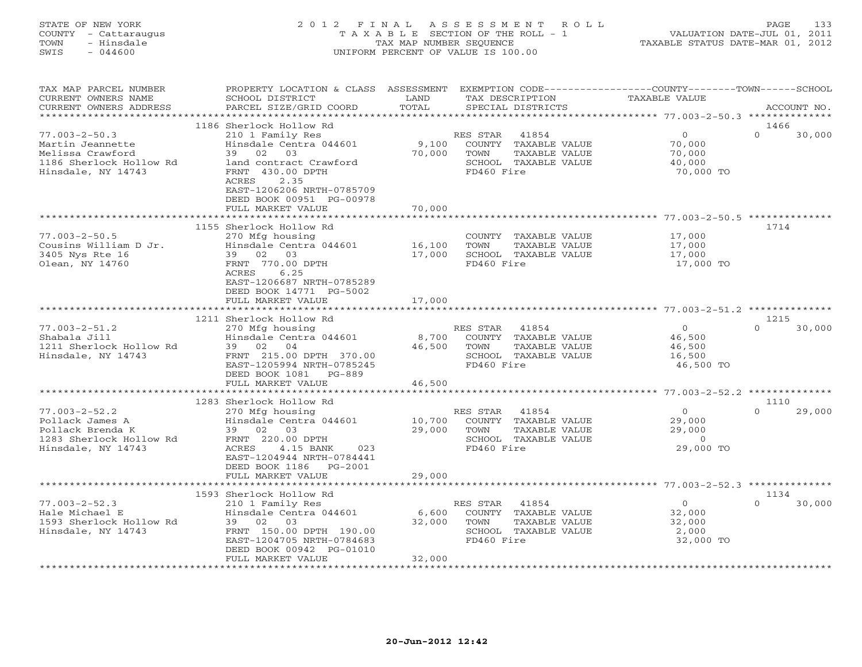### STATE OF NEW YORK 2 0 1 2 F I N A L A S S E S S M E N T R O L L PAGE 133 COUNTY - Cattaraugus T A X A B L E SECTION OF THE ROLL - 1 VALUATION DATE-JUL 01, 2011 TOWN - Hinsdale TAX MAP NUMBER SEQUENCE TAXABLE STATUS DATE-MAR 01, 2012 SWIS - 044600 UNIFORM PERCENT OF VALUE IS 100.00UNIFORM PERCENT OF VALUE IS 100.00

| TAX MAP PARCEL NUMBER                          | PROPERTY LOCATION & CLASS ASSESSMENT                 |              | EXEMPTION CODE-----------------COUNTY-------TOWN------SCHOOL |                      |                    |
|------------------------------------------------|------------------------------------------------------|--------------|--------------------------------------------------------------|----------------------|--------------------|
| CURRENT OWNERS NAME                            | SCHOOL DISTRICT                                      | LAND         | TAX DESCRIPTION                                              | <b>TAXABLE VALUE</b> |                    |
| CURRENT OWNERS ADDRESS<br>******************** | PARCEL SIZE/GRID COORD                               | TOTAL        | SPECIAL DISTRICTS                                            |                      | ACCOUNT NO.        |
|                                                | 1186 Sherlock Hollow Rd                              |              |                                                              |                      | 1466               |
| $77.003 - 2 - 50.3$                            | 210 1 Family Res                                     |              | RES STAR<br>41854                                            | $\circ$              | $\Omega$<br>30,000 |
| Martin Jeannette                               | Hinsdale Centra 044601                               | 9,100        | COUNTY<br>TAXABLE VALUE                                      | 70,000               |                    |
| Melissa Crawford                               | 39 02 03                                             | 70,000       | TOWN<br>TAXABLE VALUE                                        | 70,000               |                    |
| 1186 Sherlock Hollow Rd                        | land contract Crawford                               |              | SCHOOL TAXABLE VALUE                                         | 40,000               |                    |
| Hinsdale, NY 14743                             | FRNT 430.00 DPTH                                     |              | FD460 Fire                                                   | 70,000 TO            |                    |
|                                                | ACRES<br>2.35                                        |              |                                                              |                      |                    |
|                                                | EAST-1206206 NRTH-0785709                            |              |                                                              |                      |                    |
|                                                | DEED BOOK 00951 PG-00978                             |              |                                                              |                      |                    |
|                                                | FULL MARKET VALUE<br>*******************             | 70,000       |                                                              |                      |                    |
|                                                |                                                      | ************ |                                                              |                      |                    |
| $77.003 - 2 - 50.5$                            | 1155 Sherlock Hollow Rd                              |              |                                                              |                      | 1714               |
| Cousins William D Jr.                          | 270 Mfg housing<br>Hinsdale Centra 044601            | 16,100       | COUNTY TAXABLE VALUE<br>TOWN<br>TAXABLE VALUE                | 17,000<br>17,000     |                    |
| 3405 Nys Rte 16                                | 39 02 03                                             | 17,000       | SCHOOL TAXABLE VALUE                                         | 17,000               |                    |
| Olean, NY 14760                                | FRNT 770.00 DPTH                                     |              | FD460 Fire                                                   | 17,000 TO            |                    |
|                                                | ACRES<br>6.25                                        |              |                                                              |                      |                    |
|                                                | EAST-1206687 NRTH-0785289                            |              |                                                              |                      |                    |
|                                                | DEED BOOK 14771 PG-5002                              |              |                                                              |                      |                    |
|                                                | FULL MARKET VALUE                                    | 17,000       |                                                              |                      |                    |
|                                                | *************************                            |              |                                                              |                      |                    |
|                                                | 1211 Sherlock Hollow Rd                              |              |                                                              |                      | 1215               |
| $77.003 - 2 - 51.2$                            | 270 Mfg housing                                      |              | RES STAR<br>41854                                            | $\circ$              | $\Omega$<br>30,000 |
| Shabala Jill                                   | Hinsdale Centra 044601                               | 8,700        | COUNTY TAXABLE VALUE                                         | 46,500               |                    |
| 1211 Sherlock Hollow Rd                        | 39 02<br>04                                          | 46,500       | TOWN<br>TAXABLE VALUE                                        | 46,500               |                    |
| Hinsdale, NY 14743                             | FRNT 215.00 DPTH 370.00<br>EAST-1205994 NRTH-0785245 |              | SCHOOL TAXABLE VALUE<br>FD460 Fire                           | 16,500<br>46,500 TO  |                    |
|                                                | DEED BOOK 1081<br>$PG-889$                           |              |                                                              |                      |                    |
|                                                | FULL MARKET VALUE                                    | 46,500       |                                                              |                      |                    |
|                                                |                                                      |              |                                                              |                      |                    |
|                                                | 1283 Sherlock Hollow Rd                              |              |                                                              |                      | 1110               |
| $77.003 - 2 - 52.2$                            | 270 Mfg housing                                      |              | RES STAR<br>41854                                            | $\Omega$             | 29,000<br>$\Omega$ |
| Pollack James A                                | Hinsdale Centra 044601                               | 10,700       | COUNTY TAXABLE VALUE                                         | 29,000               |                    |
| Pollack Brenda K                               | 39 02<br>03                                          | 29,000       | TOWN<br>TAXABLE VALUE                                        | 29,000               |                    |
| 1283 Sherlock Hollow Rd                        | FRNT 220.00 DPTH                                     |              | SCHOOL TAXABLE VALUE                                         | $\circ$              |                    |
| Hinsdale, NY 14743                             | ACRES<br>4.15 BANK<br>023                            |              | FD460 Fire                                                   | 29,000 TO            |                    |
|                                                | EAST-1204944 NRTH-0784441                            |              |                                                              |                      |                    |
|                                                | DEED BOOK 1186<br>$PG-2001$                          |              |                                                              |                      |                    |
|                                                | FULL MARKET VALUE<br>**************************      | 29,000       |                                                              |                      |                    |
|                                                | 1593 Sherlock Hollow Rd                              |              |                                                              |                      | 1134               |
| $77.003 - 2 - 52.3$                            | 210 1 Family Res                                     |              | RES STAR<br>41854                                            | $\overline{0}$       | $\Omega$<br>30,000 |
| Hale Michael E                                 | Hinsdale Centra 044601                               | 6,600        | COUNTY TAXABLE VALUE                                         | 32,000               |                    |
| 1593 Sherlock Hollow Rd                        | 39 02 03                                             | 32,000       | TOWN<br>TAXABLE VALUE                                        | 32,000               |                    |
| Hinsdale, NY 14743                             | FRNT 150.00 DPTH 190.00                              |              | SCHOOL TAXABLE VALUE                                         | 2,000                |                    |
|                                                | EAST-1204705 NRTH-0784683                            |              | FD460 Fire                                                   | 32,000 TO            |                    |
|                                                | DEED BOOK 00942 PG-01010                             |              |                                                              |                      |                    |
|                                                | FULL MARKET VALUE                                    | 32,000       |                                                              |                      |                    |
|                                                |                                                      |              |                                                              |                      |                    |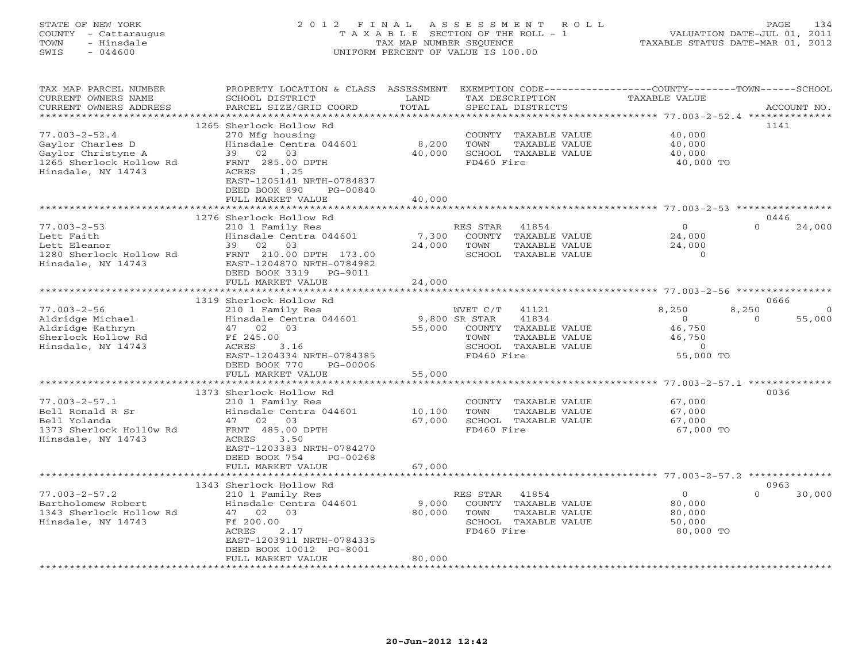# STATE OF NEW YORK 2 0 1 2 F I N A L A S S E S S M E N T R O L L PAGE 134 COUNTY - Cattaraugus T A X A B L E SECTION OF THE ROLL - 1 VALUATION DATE-JUL 01, 2011 TOWN - Hinsdale TAX MAP NUMBER SEQUENCE TAXABLE STATUS DATE-MAR 01, 2012 SWIS - 044600 UNIFORM PERCENT OF VALUE IS 100.00UNIFORM PERCENT OF VALUE IS 100.00

| TAX MAP PARCEL NUMBER<br>CURRENT OWNERS NAME<br>CURRENT OWNERS ADDRESS                                                                  | PROPERTY LOCATION & CLASS ASSESSMENT<br>SCHOOL DISTRICT<br>PARCEL SIZE/GRID COORD                                                                                                                          | LAND<br>TOTAL                   | TAX DESCRIPTION<br>SPECIAL DISTRICTS                                                                                                  | EXEMPTION CODE----------------COUNTY-------TOWN-----SCHOOL<br><b>TAXABLE VALUE</b> | ACCOUNT NO.                             |
|-----------------------------------------------------------------------------------------------------------------------------------------|------------------------------------------------------------------------------------------------------------------------------------------------------------------------------------------------------------|---------------------------------|---------------------------------------------------------------------------------------------------------------------------------------|------------------------------------------------------------------------------------|-----------------------------------------|
| *********************<br>$77.003 - 2 - 52.4$<br>Gaylor Charles D<br>Gaylor Christyne A<br>1265 Sherlock Hollow Rd<br>Hinsdale, NY 14743 | 1265 Sherlock Hollow Rd<br>270 Mfg housing<br>Hinsdale Centra 044601<br>02<br>03<br>39<br>FRNT 285.00 DPTH<br>ACRES<br>1.25<br>EAST-1205141 NRTH-0784837<br>DEED BOOK 890<br>PG-00840<br>FULL MARKET VALUE | 8,200<br>40,000<br>40,000       | COUNTY TAXABLE VALUE<br>TOWN<br>TAXABLE VALUE<br>SCHOOL TAXABLE VALUE<br>FD460 Fire                                                   | 40,000<br>40,000<br>40,000<br>40,000 TO                                            | 1141                                    |
|                                                                                                                                         | 1276 Sherlock Hollow Rd                                                                                                                                                                                    |                                 |                                                                                                                                       | ********************** 77.003-2-53 ****************                                | 0446                                    |
| $77.003 - 2 - 53$<br>Lett Faith<br>Lett Eleanor<br>1280 Sherlock Hollow Rd<br>Hinsdale, NY 14743                                        | 210 1 Family Res<br>Hinsdale Centra 044601<br>02<br>03<br>39<br>FRNT 210.00 DPTH 173.00<br>EAST-1204870 NRTH-0784982<br>DEED BOOK 3319<br>PG-9011                                                          | 7,300<br>24,000                 | RES STAR<br>41854<br>TAXABLE VALUE<br>COUNTY<br>TOWN<br>TAXABLE VALUE<br>SCHOOL TAXABLE VALUE                                         | $\mathbf{0}$<br>24,000<br>24,000<br>$\Omega$                                       | $\Omega$<br>24,000                      |
|                                                                                                                                         | FULL MARKET VALUE                                                                                                                                                                                          | 24,000<br>* * * * * * * * * * * |                                                                                                                                       | ******************************* 77.003-2-56 ***************                        |                                         |
|                                                                                                                                         | 1319 Sherlock Hollow Rd                                                                                                                                                                                    |                                 |                                                                                                                                       |                                                                                    | 0666                                    |
| $77.003 - 2 - 56$<br>Aldridge Michael<br>Aldridge Kathryn<br>Sherlock Hollow Rd<br>Hinsdale, NY 14743                                   | 210 1 Family Res<br>Hinsdale Centra 044601<br>47 02<br>03<br>Ff 245.00<br>ACRES<br>3.16<br>EAST-1204334 NRTH-0784385<br>DEED BOOK 770<br>PG-00006<br>FULL MARKET VALUE                                     | 55,000<br>55,000                | 41121<br>WVET C/T<br>41834<br>9,800 SR STAR<br>COUNTY<br>TAXABLE VALUE<br>TOWN<br>TAXABLE VALUE<br>SCHOOL TAXABLE VALUE<br>FD460 Fire | 8,250<br>$\Omega$<br>46,750<br>46,750<br>$\circ$<br>55,000 TO                      | 8,250<br>$\Omega$<br>55,000<br>$\Omega$ |
|                                                                                                                                         |                                                                                                                                                                                                            |                                 |                                                                                                                                       | ********** 77.003-2-57.1 **************                                            | 0036                                    |
| $77.003 - 2 - 57.1$<br>Bell Ronald R Sr<br>Bell Yolanda<br>1373 Sherlock HollOw Rd<br>Hinsdale, NY 14743                                | 1373 Sherlock Hollow Rd<br>210 1 Family Res<br>Hinsdale Centra 044601<br>02 03<br>47<br>FRNT 485.00 DPTH<br>ACRES<br>3.50<br>EAST-1203383 NRTH-0784270<br>DEED BOOK 754<br>$PG-00268$                      | 10,100<br>67,000                | COUNTY<br>TAXABLE VALUE<br>TOWN<br>TAXABLE VALUE<br>SCHOOL TAXABLE VALUE<br>FD460 Fire                                                | 67,000<br>67,000<br>67,000<br>67,000 TO                                            |                                         |
|                                                                                                                                         | FULL MARKET VALUE                                                                                                                                                                                          | 67,000                          |                                                                                                                                       |                                                                                    |                                         |
|                                                                                                                                         |                                                                                                                                                                                                            |                                 |                                                                                                                                       |                                                                                    |                                         |
| $77.003 - 2 - 57.2$<br>Bartholomew Robert<br>1343 Sherlock Hollow Rd<br>Hinsdale, NY 14743                                              | 1343 Sherlock Hollow Rd<br>210 1 Family Res<br>Hinsdale Centra 044601<br>02<br>03<br>47<br>Ff 200.00<br>ACRES<br>2.17<br>EAST-1203911 NRTH-0784335<br>DEED BOOK 10012 PG-8001<br>FULL MARKET VALUE         | 9,000<br>80,000<br>80,000       | 41854<br>RES STAR<br>COUNTY TAXABLE VALUE<br>TOWN<br>TAXABLE VALUE<br>SCHOOL TAXABLE VALUE<br>FD460 Fire                              | $\circ$<br>80,000<br>80,000<br>50,000<br>80,000 TO                                 | 0963<br>$\Omega$<br>30,000              |
|                                                                                                                                         |                                                                                                                                                                                                            |                                 |                                                                                                                                       |                                                                                    |                                         |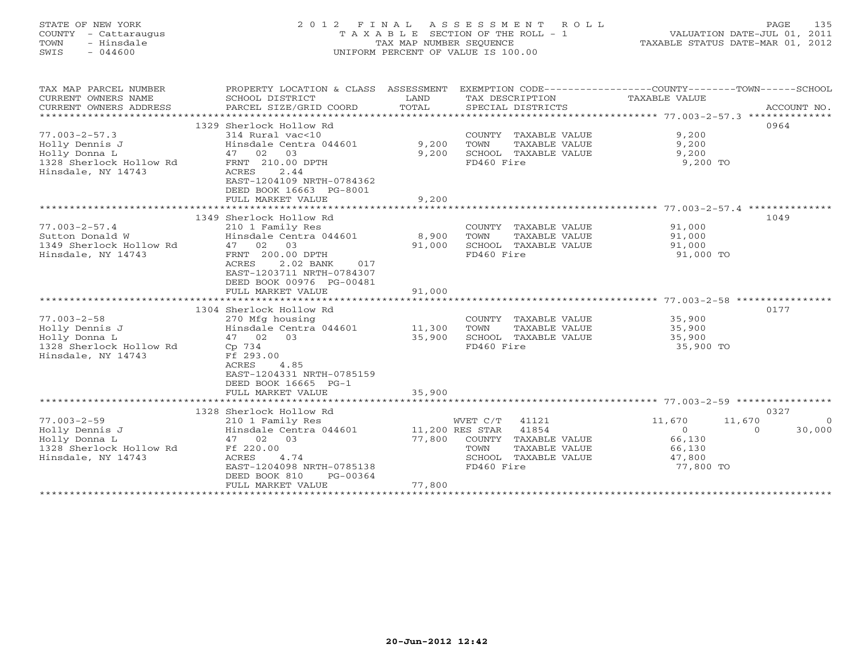# STATE OF NEW YORK 2 0 1 2 F I N A L A S S E S S M E N T R O L L PAGE 135 COUNTY - Cattaraugus T A X A B L E SECTION OF THE ROLL - 1 VALUATION DATE-JUL 01, 2011 TOWN - Hinsdale TAX MAP NUMBER SEQUENCE TAXABLE STATUS DATE-MAR 01, 2012 SWIS - 044600 UNIFORM PERCENT OF VALUE IS 100.00UNIFORM PERCENT OF VALUE IS 100.00

| TAX MAP PARCEL NUMBER<br>CURRENT OWNERS NAME<br>CURRENT OWNERS ADDRESS<br>***********************       | PROPERTY LOCATION & CLASS ASSESSMENT<br>SCHOOL DISTRICT<br>PARCEL SIZE/GRID COORD                                                                                                                                | LAND<br>TOTAL                       | TAX DESCRIPTION<br>SPECIAL DISTRICTS                                                                              | EXEMPTION CODE-----------------COUNTY-------TOWN------SCHOOL<br>TAXABLE VALUE       | ACCOUNT NO.        |
|---------------------------------------------------------------------------------------------------------|------------------------------------------------------------------------------------------------------------------------------------------------------------------------------------------------------------------|-------------------------------------|-------------------------------------------------------------------------------------------------------------------|-------------------------------------------------------------------------------------|--------------------|
| $77.003 - 2 - 57.3$<br>Holly Dennis J<br>Holly Donna L<br>1328 Sherlock Hollow Rd<br>Hinsdale, NY 14743 | 1329 Sherlock Hollow Rd<br>314 Rural vac<10<br>Hinsdale Centra 044601<br>47 02<br>03<br>FRNT 210.00 DPTH<br>2.44<br>ACRES<br>EAST-1204109 NRTH-0784362<br>DEED BOOK 16663 PG-8001<br>FULL MARKET VALUE           | 9,200<br>9,200<br>9,200             | COUNTY TAXABLE VALUE<br>TAXABLE VALUE<br>TOWN<br>SCHOOL TAXABLE VALUE<br>FD460 Fire                               | 9,200<br>9,200<br>9,200<br>9,200 TO                                                 | 0964               |
|                                                                                                         | *****************************                                                                                                                                                                                    | *************                       |                                                                                                                   | ***************** 77.003-2-57.4 ***************                                     |                    |
| $77.003 - 2 - 57.4$<br>Sutton Donald W<br>1349 Sherlock Hollow Rd<br>Hinsdale, NY 14743                 | 1349 Sherlock Hollow Rd<br>210 1 Family Res<br>Hinsdale Centra 044601<br>47 02 03<br>FRNT 200.00 DPTH<br>2.02 BANK<br>ACRES<br>017<br>EAST-1203711 NRTH-0784307<br>DEED BOOK 00976 PG-00481<br>FULL MARKET VALUE | 8,900<br>91,000<br>91,000           | COUNTY TAXABLE VALUE<br>TOWN<br>TAXABLE VALUE<br>SCHOOL TAXABLE VALUE<br>FD460 Fire                               | 91,000<br>91,000<br>91,000<br>91,000 TO                                             | 1049               |
|                                                                                                         |                                                                                                                                                                                                                  |                                     |                                                                                                                   |                                                                                     |                    |
| $77.003 - 2 - 58$<br>Holly Dennis J<br>Holly Donna L<br>1328 Sherlock Hollow Rd<br>Hinsdale, NY 14743   | 1304 Sherlock Hollow Rd<br>270 Mfg housing<br>Hinsdale Centra 044601<br>47 02 03<br>Cp 734<br>Ff 293.00<br>ACRES<br>4.85<br>EAST-1204331 NRTH-0785159<br>DEED BOOK 16665 PG-1                                    | 11,300<br>35,900                    | COUNTY TAXABLE VALUE<br>TOWN<br>TAXABLE VALUE<br>SCHOOL TAXABLE VALUE<br>FD460 Fire                               | 35,900<br>35,900<br>35,900<br>35,900 TO                                             | 0177               |
|                                                                                                         | FULL MARKET VALUE                                                                                                                                                                                                | 35,900                              |                                                                                                                   |                                                                                     |                    |
|                                                                                                         | 1328 Sherlock Hollow Rd                                                                                                                                                                                          |                                     |                                                                                                                   |                                                                                     | 0327               |
| $77.003 - 2 - 59$<br>Holly Dennis J<br>Holly Donna L<br>1328 Sherlock Hollow Rd<br>Hinsdale, NY 14743   | 210 1 Family Res<br>Hinsdale Centra 044601<br>47 02 03<br>Ff 220.00<br>ACRES<br>4.74<br>EAST-1204098 NRTH-0785138<br>DEED BOOK 810<br>PG-00364<br>FULL MARKET VALUE                                              | 11,200 RES STAR<br>77,800<br>77,800 | WVET C/T<br>41121<br>41854<br>COUNTY TAXABLE VALUE<br>TOWN<br>TAXABLE VALUE<br>SCHOOL TAXABLE VALUE<br>FD460 Fire | 11,670<br>11,670<br>$\Omega$<br>$\Omega$<br>66,130<br>66,130<br>47,800<br>77,800 TO | $\Omega$<br>30,000 |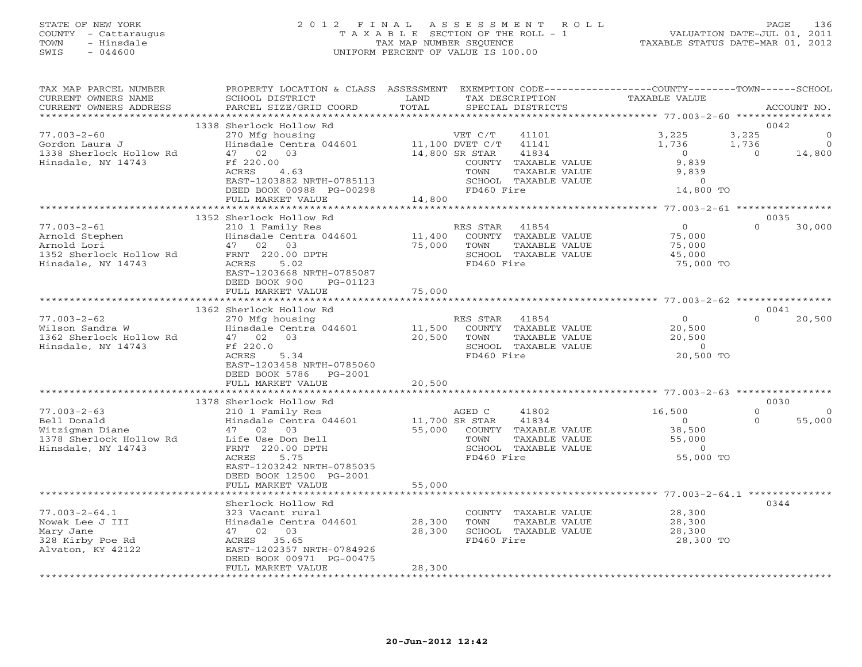## STATE OF NEW YORK 2 0 1 2 F I N A L A S S E S S M E N T R O L L PAGE 136 COUNTY - Cattaraugus T A X A B L E SECTION OF THE ROLL - 1 VALUATION DATE-JUL 01, 2011 TOWN - Hinsdale TAX MAP NUMBER SEQUENCE TAXABLE STATUS DATE-MAR 01, 2012 SWIS - 044600 UNIFORM PERCENT OF VALUE IS 100.00UNIFORM PERCENT OF VALUE IS 100.00

| TAX MAP PARCEL NUMBER<br>CURRENT OWNERS NAME | PROPERTY LOCATION & CLASS ASSESSMENT<br>SCHOOL DISTRICT | LAND                         | EXEMPTION CODE-----------------COUNTY-------TOWN------SCHOOL<br>TAX DESCRIPTION | <b>TAXABLE VALUE</b>                        |          |             |
|----------------------------------------------|---------------------------------------------------------|------------------------------|---------------------------------------------------------------------------------|---------------------------------------------|----------|-------------|
| CURRENT OWNERS ADDRESS                       | PARCEL SIZE/GRID COORD                                  | TOTAL                        | SPECIAL DISTRICTS                                                               |                                             |          | ACCOUNT NO. |
| **********************                       |                                                         |                              |                                                                                 |                                             |          |             |
|                                              | 1338 Sherlock Hollow Rd                                 |                              |                                                                                 |                                             | 0042     |             |
| $77.003 - 2 - 60$                            | 270 Mfg housing                                         |                              | VET C/T<br>41101                                                                | 3,225                                       | 3,225    | $\Omega$    |
| Gordon Laura J                               | Hinsdale Centra 044601                                  |                              | 11,100 DVET C/T<br>41141                                                        | 1,736                                       | 1,736    | $\Omega$    |
| 1338 Sherlock Hollow Rd                      | 47 02 03                                                |                              | 14,800 SR STAR<br>41834                                                         | $\Omega$                                    | $\Omega$ | 14,800      |
| Hinsdale, NY 14743                           | Ff 220.00                                               |                              | COUNTY TAXABLE VALUE                                                            | 9,839                                       |          |             |
|                                              | ACRES<br>4.63                                           |                              | TOWN<br>TAXABLE VALUE                                                           | 9,839                                       |          |             |
|                                              | EAST-1203882 NRTH-0785113                               |                              | SCHOOL TAXABLE VALUE                                                            | $\Omega$                                    |          |             |
|                                              | DEED BOOK 00988 PG-00298                                |                              | FD460 Fire                                                                      | 14,800 TO                                   |          |             |
|                                              | FULL MARKET VALUE                                       | 14,800<br>***********        |                                                                                 |                                             |          |             |
|                                              |                                                         |                              |                                                                                 | ************** 77.003-2-61 **************** |          |             |
|                                              | 1352 Sherlock Hollow Rd                                 |                              |                                                                                 |                                             | 0035     |             |
| $77.003 - 2 - 61$                            | 210 1 Family Res                                        |                              | RES STAR<br>41854                                                               | $\circ$                                     | $\Omega$ | 30,000      |
| Arnold Stephen                               | Hinsdale Centra 044601                                  | 11,400                       | COUNTY TAXABLE VALUE                                                            | 75,000                                      |          |             |
| Arnold Lori                                  | 47 02 03                                                | 75,000                       | TOWN<br>TAXABLE VALUE                                                           | 75,000                                      |          |             |
| 1352 Sherlock Hollow Rd                      | FRNT 220.00 DPTH<br>5.02                                |                              | SCHOOL TAXABLE VALUE<br>FD460 Fire                                              | 45,000                                      |          |             |
| Hinsdale, NY 14743                           | ACRES<br>EAST-1203668 NRTH-0785087                      |                              |                                                                                 | 75,000 TO                                   |          |             |
|                                              | DEED BOOK 900<br>PG-01123                               |                              |                                                                                 |                                             |          |             |
|                                              | FULL MARKET VALUE                                       | 75,000                       |                                                                                 |                                             |          |             |
|                                              |                                                         |                              |                                                                                 |                                             |          |             |
|                                              | 1362 Sherlock Hollow Rd                                 |                              |                                                                                 |                                             | 0041     |             |
| $77.003 - 2 - 62$                            | 270 Mfg housing                                         |                              | RES STAR<br>41854                                                               | $\circ$                                     | $\Omega$ | 20,500      |
| Wilson Sandra W                              | Hinsdale Centra 044601                                  | 11,500                       | COUNTY TAXABLE VALUE                                                            | 20,500                                      |          |             |
| 1362 Sherlock Hollow Rd                      | 47 02<br>03                                             | 20,500                       | TOWN<br>TAXABLE VALUE                                                           | 20,500                                      |          |             |
| Hinsdale, NY 14743                           | Ff 220.0                                                |                              | SCHOOL TAXABLE VALUE                                                            | $\overline{O}$                              |          |             |
|                                              | 5.34<br>ACRES                                           |                              | FD460 Fire                                                                      | 20,500 TO                                   |          |             |
|                                              | EAST-1203458 NRTH-0785060                               |                              |                                                                                 |                                             |          |             |
|                                              | DEED BOOK 5786<br>PG-2001                               |                              |                                                                                 |                                             |          |             |
|                                              | FULL MARKET VALUE                                       | 20,500                       |                                                                                 |                                             |          |             |
|                                              | ****************************                            |                              |                                                                                 |                                             |          |             |
|                                              | 1378 Sherlock Hollow Rd                                 |                              |                                                                                 |                                             | 0030     |             |
| $77.003 - 2 - 63$                            | 210 1 Family Res                                        |                              | AGED C<br>41802                                                                 | 16,500                                      | $\Omega$ | $\circ$     |
| Bell Donald                                  | Hinsdale Centra 044601                                  |                              | 11,700 SR STAR<br>41834                                                         | $\circ$                                     | $\Omega$ | 55,000      |
| Witzigman Diane                              | 47 02 03                                                | 55,000                       | COUNTY TAXABLE VALUE                                                            | 38,500                                      |          |             |
| 1378 Sherlock Hollow Rd                      | Life Use Don Bell                                       |                              | TAXABLE VALUE<br>TOWN                                                           | 55,000                                      |          |             |
| Hinsdale, NY 14743                           | FRNT 220.00 DPTH                                        |                              | SCHOOL TAXABLE VALUE                                                            | $\mathbf{0}$                                |          |             |
|                                              | ACRES<br>5.75                                           |                              | FD460 Fire                                                                      | 55,000 TO                                   |          |             |
|                                              | EAST-1203242 NRTH-0785035                               |                              |                                                                                 |                                             |          |             |
|                                              | DEED BOOK 12500 PG-2001                                 |                              |                                                                                 |                                             |          |             |
|                                              | FULL MARKET VALUE                                       | 55,000                       |                                                                                 |                                             |          |             |
|                                              |                                                         |                              | ******************************* 77.003-2-64.1 *******                           |                                             |          |             |
|                                              | Sherlock Hollow Rd                                      |                              |                                                                                 |                                             | 0344     |             |
| $77.003 - 2 - 64.1$                          | 323 Vacant rural                                        |                              | COUNTY TAXABLE VALUE                                                            | 28,300                                      |          |             |
| Nowak Lee J III                              | Hinsdale Centra 044601                                  | 28,300                       | TAXABLE VALUE<br>TOWN                                                           | 28,300                                      |          |             |
| Mary Jane                                    | 47 02 03                                                | 28,300                       | SCHOOL TAXABLE VALUE                                                            | 28,300                                      |          |             |
| 328 Kirby Poe Rd                             | ACRES 35.65                                             |                              | FD460 Fire                                                                      | 28,300 TO                                   |          |             |
| Alvaton, KY 42122                            | EAST-1202357 NRTH-0784926                               |                              |                                                                                 |                                             |          |             |
|                                              | DEED BOOK 00971 PG-00475                                |                              |                                                                                 |                                             |          |             |
|                                              | FULL MARKET VALUE<br>************************           | 28,300<br>****************** |                                                                                 |                                             |          |             |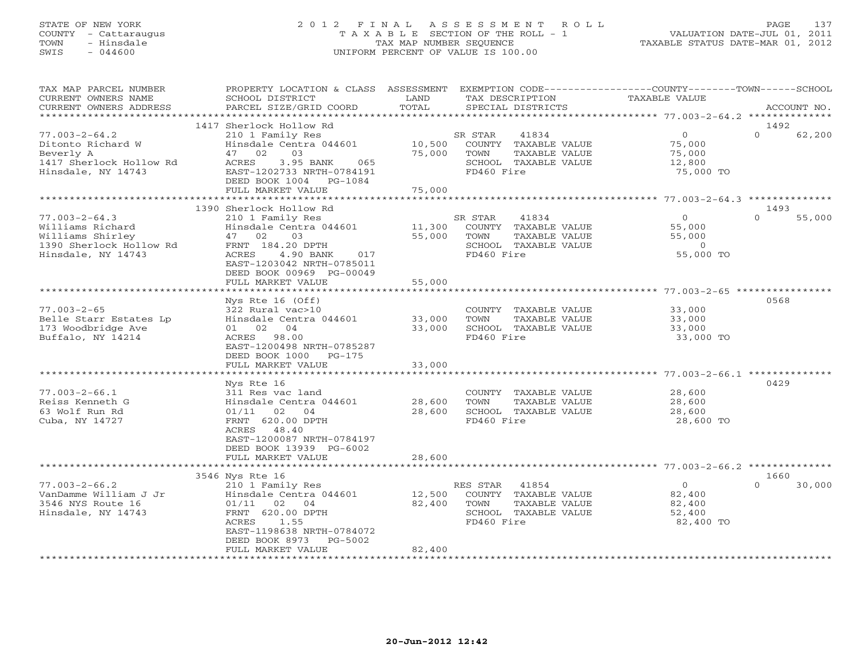# STATE OF NEW YORK 2 0 1 2 F I N A L A S S E S S M E N T R O L L PAGE 137 COUNTY - Cattaraugus T A X A B L E SECTION OF THE ROLL - 1 VALUATION DATE-JUL 01, 2011 TOWN - Hinsdale TAX MAP NUMBER SEQUENCE TAXABLE STATUS DATE-MAR 01, 2012 SWIS - 044600 UNIFORM PERCENT OF VALUE IS 100.00UNIFORM PERCENT OF VALUE IS 100.00

| TAX MAP PARCEL NUMBER<br>CURRENT OWNERS NAME<br>CURRENT OWNERS ADDRESS                                 | PROPERTY LOCATION & CLASS ASSESSMENT EXEMPTION CODE---------------COUNTY-------TOWN------SCHOOL<br>SCHOOL DISTRICT<br>PARCEL SIZE/GRID COORD                                                  | LAND<br>TOTAL              | TAX DESCRIPTION<br>SPECIAL DISTRICTS                                                                     | <b>TAXABLE VALUE</b>                                         | ACCOUNT NO.                |
|--------------------------------------------------------------------------------------------------------|-----------------------------------------------------------------------------------------------------------------------------------------------------------------------------------------------|----------------------------|----------------------------------------------------------------------------------------------------------|--------------------------------------------------------------|----------------------------|
| *********************                                                                                  |                                                                                                                                                                                               |                            |                                                                                                          |                                                              |                            |
| $77.003 - 2 - 64.2$<br>Ditonto Richard W<br>Beverly A<br>1417 Sherlock Hollow Rd<br>Hinsdale, NY 14743 | 1417 Sherlock Hollow Rd<br>210 1 Family Res<br>Hinsdale Centra 044601<br>03<br>47 02<br>ACRES<br>3.95 BANK<br>065<br>EAST-1202733 NRTH-0784191<br>DEED BOOK 1004 PG-1084<br>FULL MARKET VALUE | 10,500<br>75,000<br>75,000 | 41834<br>SR STAR<br>COUNTY TAXABLE VALUE<br>TOWN<br>TAXABLE VALUE<br>SCHOOL TAXABLE VALUE<br>FD460 Fire  | $\circ$<br>75,000<br>75,000<br>12,800<br>75,000 TO           | 1492<br>$\Omega$<br>62,200 |
|                                                                                                        |                                                                                                                                                                                               |                            |                                                                                                          |                                                              |                            |
| $77.003 - 2 - 64.3$                                                                                    | 1390 Sherlock Hollow Rd<br>210 1 Family Res                                                                                                                                                   |                            | SR STAR<br>41834                                                                                         | $\Omega$                                                     | 1493<br>$\Omega$<br>55,000 |
| Williams Richard<br>Williams Shirley<br>1390 Sherlock Hollow Rd<br>Hinsdale, NY 14743                  | Hinsdale Centra 044601<br>47 02<br>03<br>FRNT 184.20 DPTH<br>ACRES<br>4.90 BANK<br>017<br>EAST-1203042 NRTH-0785011<br>DEED BOOK 00969 PG-00049                                               | 11,300<br>55,000           | COUNTY TAXABLE VALUE<br>TOWN<br>TAXABLE VALUE<br>SCHOOL TAXABLE VALUE<br>FD460 Fire                      | 55,000<br>55,000<br>$\circ$<br>55,000 TO                     |                            |
|                                                                                                        | FULL MARKET VALUE<br>*******************                                                                                                                                                      | 55,000                     |                                                                                                          |                                                              |                            |
| $77.003 - 2 - 65$<br>Belle Starr Estates Lp<br>173 Woodbridge Ave<br>Buffalo, NY 14214                 | Nys Rte $16$ (Off)<br>322 Rural vac>10<br>Hinsdale Centra 044601<br>01 02 04<br>ACRES 98.00<br>EAST-1200498 NRTH-0785287<br>DEED BOOK 1000<br>PG-175<br>FULL MARKET VALUE                     | 33,000<br>33,000<br>33,000 | COUNTY TAXABLE VALUE<br>TOWN<br>TAXABLE VALUE<br>SCHOOL TAXABLE VALUE<br>FD460 Fire                      | 33,000<br>33,000<br>33,000<br>33,000 TO                      | 0568                       |
|                                                                                                        | Nys Rte 16                                                                                                                                                                                    |                            |                                                                                                          |                                                              | 0429                       |
| $77.003 - 2 - 66.1$<br>Reiss Kenneth G<br>63 Wolf Run Rd<br>Cuba, NY 14727                             | 311 Res vac land<br>Hinsdale Centra 044601<br>02<br>01/11<br>04<br>FRNT 620.00 DPTH<br>48.40<br>ACRES<br>EAST-1200087 NRTH-0784197<br>DEED BOOK 13939 PG-6002                                 | 28,600<br>28,600           | COUNTY TAXABLE VALUE<br>TOWN<br>TAXABLE VALUE<br>SCHOOL TAXABLE VALUE<br>FD460 Fire                      | 28,600<br>28,600<br>28,600<br>28,600 TO                      |                            |
|                                                                                                        | FULL MARKET VALUE                                                                                                                                                                             | 28,600                     |                                                                                                          | ******************************* 77.003-2-66.2 ************** |                            |
|                                                                                                        | 3546 Nys Rte 16                                                                                                                                                                               |                            |                                                                                                          |                                                              | 1660                       |
| $77.003 - 2 - 66.2$<br>VanDamme William J Jr<br>3546 NYS Route 16<br>Hinsdale, NY 14743                | 210 1 Family Res<br>Hinsdale Centra 044601<br>$01/11$ 02 04<br>FRNT 620.00 DPTH<br>ACRES<br>1.55<br>EAST-1198638 NRTH-0784072<br>DEED BOOK 8973<br>$PG-5002$                                  | 12,500<br>82,400           | RES STAR<br>41854<br>COUNTY TAXABLE VALUE<br>TOWN<br>TAXABLE VALUE<br>SCHOOL TAXABLE VALUE<br>FD460 Fire | $\overline{0}$<br>82,400<br>82,400<br>52,400<br>82,400 TO    | $\Omega$<br>30,000         |
| **********************                                                                                 | FULL MARKET VALUE                                                                                                                                                                             | 82,400                     |                                                                                                          |                                                              |                            |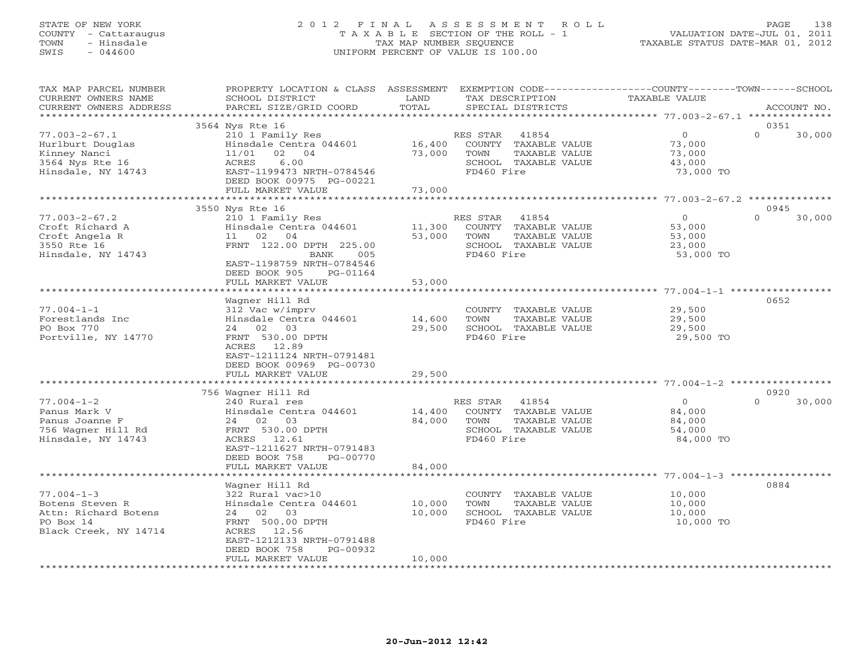### STATE OF NEW YORK 2 0 1 2 F I N A L A S S E S S M E N T R O L L PAGE 138 COUNTY - Cattaraugus T A X A B L E SECTION OF THE ROLL - 1 VALUATION DATE-JUL 01, 2011 TOWN - Hinsdale TAX MAP NUMBER SEQUENCE TAXABLE STATUS DATE-MAR 01, 2012 SWIS - 044600 UNIFORM PERCENT OF VALUE IS 100.00UNIFORM PERCENT OF VALUE IS 100.00

| TAX MAP PARCEL NUMBER                         | PROPERTY LOCATION & CLASS ASSESSMENT EXEMPTION CODE---------------COUNTY-------TOWN------SCHOOL |               |                                      |                     |                    |
|-----------------------------------------------|-------------------------------------------------------------------------------------------------|---------------|--------------------------------------|---------------------|--------------------|
| CURRENT OWNERS NAME<br>CURRENT OWNERS ADDRESS | SCHOOL DISTRICT<br>PARCEL SIZE/GRID COORD                                                       | LAND<br>TOTAL | TAX DESCRIPTION<br>SPECIAL DISTRICTS | TAXABLE VALUE       | ACCOUNT NO.        |
|                                               |                                                                                                 |               |                                      |                     |                    |
|                                               | 3564 Nys Rte 16                                                                                 |               |                                      |                     | 0351               |
| $77.003 - 2 - 67.1$                           | 210 1 Family Res                                                                                |               | RES STAR<br>41854                    | $\Omega$            | $\cap$<br>30,000   |
| Hurlburt Douglas                              | Hinsdale Centra 044601                                                                          | 16,400        | COUNTY TAXABLE VALUE                 | 73,000              |                    |
| Kinney Nanci                                  | 11/01<br>02 04                                                                                  | 73,000        | TOWN<br>TAXABLE VALUE                | 73,000              |                    |
| 3564 Nys Rte 16                               | ACRES<br>6.00                                                                                   |               | SCHOOL TAXABLE VALUE                 | 43,000              |                    |
| Hinsdale, NY 14743                            | EAST-1199473 NRTH-0784546                                                                       |               | FD460 Fire                           | 73,000 TO           |                    |
|                                               | DEED BOOK 00975 PG-00221                                                                        |               |                                      |                     |                    |
|                                               | FULL MARKET VALUE                                                                               | 73,000        |                                      |                     |                    |
|                                               |                                                                                                 |               |                                      |                     |                    |
|                                               | 3550 Nys Rte 16                                                                                 |               |                                      |                     | 0945               |
| $77.003 - 2 - 67.2$                           | 210 1 Family Res                                                                                |               | RES STAR<br>41854                    | $\overline{0}$      | $\Omega$<br>30,000 |
| Croft Richard A                               | Hinsdale Centra 044601                                                                          | 11,300        | COUNTY TAXABLE VALUE                 | 53,000              |                    |
| Croft Angela R                                | 11 02 04                                                                                        | 53,000        | TOWN<br>TAXABLE VALUE                | 53,000              |                    |
| 3550 Rte 16                                   | FRNT 122.00 DPTH 225.00                                                                         |               | SCHOOL TAXABLE VALUE                 | 23,000              |                    |
| Hinsdale, NY 14743                            | BANK<br>005<br>EAST-1198759 NRTH-0784546                                                        |               | FD460 Fire                           | 53,000 TO           |                    |
|                                               | DEED BOOK 905<br>PG-01164                                                                       |               |                                      |                     |                    |
|                                               | FULL MARKET VALUE                                                                               | 53,000        |                                      |                     |                    |
|                                               |                                                                                                 |               |                                      |                     |                    |
|                                               | Wagner Hill Rd                                                                                  |               |                                      |                     | 0652               |
| $77.004 - 1 - 1$                              | 312 Vac w/imprv                                                                                 |               | COUNTY TAXABLE VALUE                 | 29,500              |                    |
| Forestlands Inc                               | Hinsdale Centra 044601                                                                          | 14,600        | TOWN<br>TAXABLE VALUE                | 29,500              |                    |
| PO Box 770                                    | 24 02 03                                                                                        | 29,500        | SCHOOL TAXABLE VALUE                 | 29,500              |                    |
| Portville, NY 14770                           | FRNT 530.00 DPTH                                                                                |               | FD460 Fire                           | 29,500 TO           |                    |
|                                               | ACRES 12.89                                                                                     |               |                                      |                     |                    |
|                                               | EAST-1211124 NRTH-0791481                                                                       |               |                                      |                     |                    |
|                                               | DEED BOOK 00969 PG-00730                                                                        |               |                                      |                     |                    |
|                                               | FULL MARKET VALUE                                                                               | 29,500        |                                      |                     |                    |
|                                               |                                                                                                 |               |                                      |                     |                    |
|                                               | 756 Wagner Hill Rd                                                                              |               |                                      |                     | 0920               |
| $77.004 - 1 - 2$                              | 240 Rural res                                                                                   |               | RES STAR<br>41854                    | $\overline{0}$      | $\Omega$<br>30,000 |
| Panus Mark V                                  | Hinsdale Centra 044601                                                                          | 14,400        | COUNTY TAXABLE VALUE                 | 84,000              |                    |
| Panus Joanne F                                | 24 02 03                                                                                        | 84,000        | TAXABLE VALUE<br>TOWN                | 84,000              |                    |
| 756 Wagner Hill Rd<br>Hinsdale, NY 14743      | FRNT 530.00 DPTH<br>ACRES 12.61                                                                 |               | SCHOOL TAXABLE VALUE<br>FD460 Fire   | 54,000<br>84,000 TO |                    |
|                                               | EAST-1211627 NRTH-0791483                                                                       |               |                                      |                     |                    |
|                                               | DEED BOOK 758<br>PG-00770                                                                       |               |                                      |                     |                    |
|                                               | FULL MARKET VALUE                                                                               | 84,000        |                                      |                     |                    |
|                                               |                                                                                                 |               |                                      |                     |                    |
|                                               | Wagner Hill Rd                                                                                  |               |                                      |                     | 0884               |
| $77.004 - 1 - 3$                              | 322 Rural vac>10                                                                                |               | COUNTY TAXABLE VALUE                 | 10,000              |                    |
| Botens Steven R                               | Hinsdale Centra 044601                                                                          | 10,000        | TOWN<br>TAXABLE VALUE                | 10,000              |                    |
| Attn: Richard Botens                          | 24 02 03                                                                                        | 10,000        | SCHOOL TAXABLE VALUE                 | 10,000              |                    |
| PO Box 14                                     | FRNT 500.00 DPTH                                                                                |               | FD460 Fire                           | 10,000 TO           |                    |
| Black Creek, NY 14714                         | ACRES 12.56                                                                                     |               |                                      |                     |                    |
|                                               | EAST-1212133 NRTH-0791488                                                                       |               |                                      |                     |                    |
|                                               | DEED BOOK 758<br>PG-00932                                                                       |               |                                      |                     |                    |
|                                               | FULL MARKET VALUE                                                                               | 10,000        |                                      |                     |                    |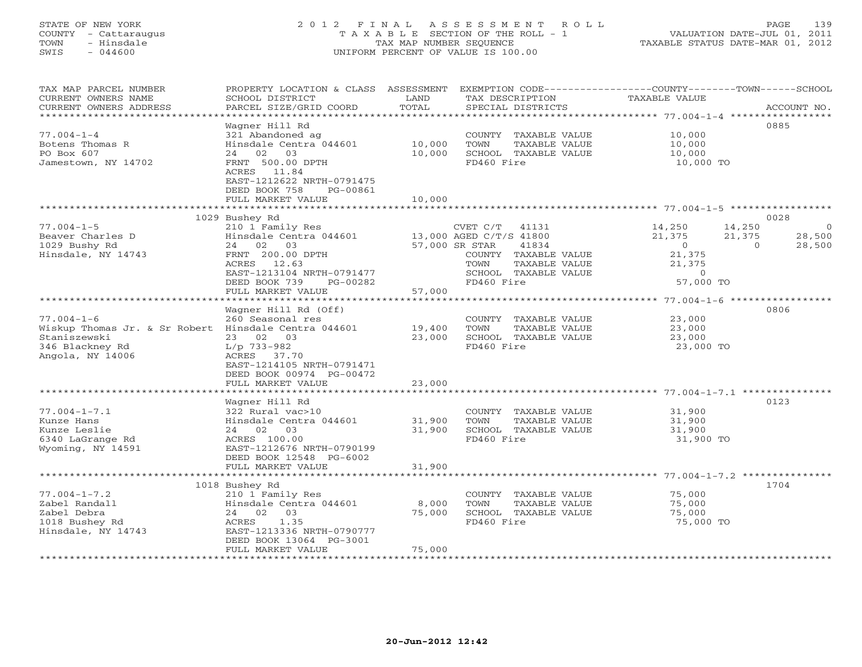# STATE OF NEW YORK 2 0 1 2 F I N A L A S S E S S M E N T R O L L PAGE 139 COUNTY - Cattaraugus T A X A B L E SECTION OF THE ROLL - 1 VALUATION DATE-JUL 01, 2011 TOWN - Hinsdale TAX MAP NUMBER SEQUENCE TAXABLE STATUS DATE-MAR 01, 2012 SWIS - 044600 UNIFORM PERCENT OF VALUE IS 100.00UNIFORM PERCENT OF VALUE IS 100.00

| **********************<br>0885<br>Waqner Hill Rd<br>321 Abandoned ag<br>COUNTY TAXABLE VALUE<br>10,000<br>TOWN<br>Hinsdale Centra 044601<br>10,000<br>TAXABLE VALUE<br>10,000<br>02<br>03<br>10,000<br>SCHOOL TAXABLE VALUE<br>10,000<br>24<br>FRNT 500.00 DPTH<br>FD460 Fire<br>10,000 TO<br>ACRES<br>11.84<br>EAST-1212622 NRTH-0791475<br>DEED BOOK 758<br>PG-00861<br>10,000<br>FULL MARKET VALUE<br>0028<br>1029 Bushey Rd<br>210 1 Family Res<br>14,250<br>CVET C/T<br>41131<br>14,250<br>$\circ$<br>Hinsdale Centra 044601<br>13,000 AGED C/T/S 41800<br>21,375<br>21,375<br>28,500<br>02 03<br>24<br>57,000 SR STAR<br>41834<br>$\overline{0}$<br>$\Omega$<br>28,500<br>FRNT 200.00 DPTH<br>21,375<br>COUNTY TAXABLE VALUE<br>ACRES<br>12.63<br>TAXABLE VALUE<br>21,375<br>TOWN<br>EAST-1213104 NRTH-0791477<br>SCHOOL TAXABLE VALUE<br>$\overline{0}$<br>57,000 TO<br>DEED BOOK 739<br>FD460 Fire<br>PG-00282<br>FULL MARKET VALUE<br>57,000<br>********** 77.004-1-6 *******<br>Wagner Hill Rd (Off)<br>0806<br>$77.004 - 1 - 6$<br>260 Seasonal res<br>23,000<br>COUNTY<br>TAXABLE VALUE<br>Wiskup Thomas Jr. & Sr Robert Hinsdale Centra 044601<br>19,400<br>TOWN<br>TAXABLE VALUE<br>23,000<br>23,000<br>SCHOOL TAXABLE VALUE<br>Staniszewski<br>23<br>$02$ 03<br>23,000<br>346 Blackney Rd<br>$L/p$ 733-982<br>FD460 Fire<br>23,000 TO<br>Angola, NY 14006<br>ACRES 37.70<br>EAST-1214105 NRTH-0791471<br>DEED BOOK 00974 PG-00472<br>FULL MARKET VALUE<br>23,000<br>*******************<br>****************<br>0123<br>Wagner Hill Rd<br>$77.004 - 1 - 7.1$<br>322 Rural vac>10<br>COUNTY TAXABLE VALUE<br>31,900<br>Kunze Hans<br>Hinsdale Centra 044601<br>31,900<br>TOWN<br>TAXABLE VALUE<br>31,900<br>31,900<br>SCHOOL TAXABLE VALUE<br>Kunze Leslie<br>24 02<br>03<br>31,900<br>ACRES 100.00<br>FD460 Fire<br>6340 LaGrange Rd<br>31,900 TO<br>Wyoming, NY 14591<br>EAST-1212676 NRTH-0790199<br>DEED BOOK 12548 PG-6002<br>31,900<br>FULL MARKET VALUE<br>1704<br>1018 Bushey Rd<br>$77.004 - 1 - 7.2$<br>210 1 Family Res<br>COUNTY TAXABLE VALUE<br>75,000<br>Hinsdale Centra 044601<br>8,000<br>TOWN<br>75,000<br>TAXABLE VALUE<br>24 02 03<br>75,000<br>SCHOOL TAXABLE VALUE<br>75,000<br>ACRES<br>1.35<br>FD460 Fire<br>75,000 TO<br>EAST-1213336 NRTH-0790777<br>DEED BOOK 13064 PG-3001 | TAX MAP PARCEL NUMBER<br>CURRENT OWNERS NAME<br>CURRENT OWNERS ADDRESS | PROPERTY LOCATION & CLASS<br>SCHOOL DISTRICT<br>PARCEL SIZE/GRID COORD | ASSESSMENT<br>LAND<br>TOTAL | TAX DESCRIPTION<br>SPECIAL DISTRICTS | EXEMPTION CODE-----------------COUNTY-------TOWN------SCHOOL<br>TAXABLE VALUE | ACCOUNT NO. |
|---------------------------------------------------------------------------------------------------------------------------------------------------------------------------------------------------------------------------------------------------------------------------------------------------------------------------------------------------------------------------------------------------------------------------------------------------------------------------------------------------------------------------------------------------------------------------------------------------------------------------------------------------------------------------------------------------------------------------------------------------------------------------------------------------------------------------------------------------------------------------------------------------------------------------------------------------------------------------------------------------------------------------------------------------------------------------------------------------------------------------------------------------------------------------------------------------------------------------------------------------------------------------------------------------------------------------------------------------------------------------------------------------------------------------------------------------------------------------------------------------------------------------------------------------------------------------------------------------------------------------------------------------------------------------------------------------------------------------------------------------------------------------------------------------------------------------------------------------------------------------------------------------------------------------------------------------------------------------------------------------------------------------------------------------------------------------------------------------------------------------------------------------------------------------------------------------------------------------------------------------------------------------------------------------------------------|------------------------------------------------------------------------|------------------------------------------------------------------------|-----------------------------|--------------------------------------|-------------------------------------------------------------------------------|-------------|
|                                                                                                                                                                                                                                                                                                                                                                                                                                                                                                                                                                                                                                                                                                                                                                                                                                                                                                                                                                                                                                                                                                                                                                                                                                                                                                                                                                                                                                                                                                                                                                                                                                                                                                                                                                                                                                                                                                                                                                                                                                                                                                                                                                                                                                                                                                                     |                                                                        |                                                                        |                             |                                      |                                                                               |             |
|                                                                                                                                                                                                                                                                                                                                                                                                                                                                                                                                                                                                                                                                                                                                                                                                                                                                                                                                                                                                                                                                                                                                                                                                                                                                                                                                                                                                                                                                                                                                                                                                                                                                                                                                                                                                                                                                                                                                                                                                                                                                                                                                                                                                                                                                                                                     | $77.004 - 1 - 4$                                                       |                                                                        |                             |                                      |                                                                               |             |
|                                                                                                                                                                                                                                                                                                                                                                                                                                                                                                                                                                                                                                                                                                                                                                                                                                                                                                                                                                                                                                                                                                                                                                                                                                                                                                                                                                                                                                                                                                                                                                                                                                                                                                                                                                                                                                                                                                                                                                                                                                                                                                                                                                                                                                                                                                                     | Botens Thomas R                                                        |                                                                        |                             |                                      |                                                                               |             |
|                                                                                                                                                                                                                                                                                                                                                                                                                                                                                                                                                                                                                                                                                                                                                                                                                                                                                                                                                                                                                                                                                                                                                                                                                                                                                                                                                                                                                                                                                                                                                                                                                                                                                                                                                                                                                                                                                                                                                                                                                                                                                                                                                                                                                                                                                                                     | PO Box 607                                                             |                                                                        |                             |                                      |                                                                               |             |
|                                                                                                                                                                                                                                                                                                                                                                                                                                                                                                                                                                                                                                                                                                                                                                                                                                                                                                                                                                                                                                                                                                                                                                                                                                                                                                                                                                                                                                                                                                                                                                                                                                                                                                                                                                                                                                                                                                                                                                                                                                                                                                                                                                                                                                                                                                                     | Jamestown, NY 14702                                                    |                                                                        |                             |                                      |                                                                               |             |
|                                                                                                                                                                                                                                                                                                                                                                                                                                                                                                                                                                                                                                                                                                                                                                                                                                                                                                                                                                                                                                                                                                                                                                                                                                                                                                                                                                                                                                                                                                                                                                                                                                                                                                                                                                                                                                                                                                                                                                                                                                                                                                                                                                                                                                                                                                                     |                                                                        |                                                                        |                             |                                      |                                                                               |             |
|                                                                                                                                                                                                                                                                                                                                                                                                                                                                                                                                                                                                                                                                                                                                                                                                                                                                                                                                                                                                                                                                                                                                                                                                                                                                                                                                                                                                                                                                                                                                                                                                                                                                                                                                                                                                                                                                                                                                                                                                                                                                                                                                                                                                                                                                                                                     |                                                                        |                                                                        |                             |                                      |                                                                               |             |
|                                                                                                                                                                                                                                                                                                                                                                                                                                                                                                                                                                                                                                                                                                                                                                                                                                                                                                                                                                                                                                                                                                                                                                                                                                                                                                                                                                                                                                                                                                                                                                                                                                                                                                                                                                                                                                                                                                                                                                                                                                                                                                                                                                                                                                                                                                                     |                                                                        |                                                                        |                             |                                      |                                                                               |             |
|                                                                                                                                                                                                                                                                                                                                                                                                                                                                                                                                                                                                                                                                                                                                                                                                                                                                                                                                                                                                                                                                                                                                                                                                                                                                                                                                                                                                                                                                                                                                                                                                                                                                                                                                                                                                                                                                                                                                                                                                                                                                                                                                                                                                                                                                                                                     | $77.004 - 1 - 5$                                                       |                                                                        |                             |                                      |                                                                               |             |
|                                                                                                                                                                                                                                                                                                                                                                                                                                                                                                                                                                                                                                                                                                                                                                                                                                                                                                                                                                                                                                                                                                                                                                                                                                                                                                                                                                                                                                                                                                                                                                                                                                                                                                                                                                                                                                                                                                                                                                                                                                                                                                                                                                                                                                                                                                                     | Beaver Charles D                                                       |                                                                        |                             |                                      |                                                                               |             |
|                                                                                                                                                                                                                                                                                                                                                                                                                                                                                                                                                                                                                                                                                                                                                                                                                                                                                                                                                                                                                                                                                                                                                                                                                                                                                                                                                                                                                                                                                                                                                                                                                                                                                                                                                                                                                                                                                                                                                                                                                                                                                                                                                                                                                                                                                                                     | 1029 Bushy Rd                                                          |                                                                        |                             |                                      |                                                                               |             |
|                                                                                                                                                                                                                                                                                                                                                                                                                                                                                                                                                                                                                                                                                                                                                                                                                                                                                                                                                                                                                                                                                                                                                                                                                                                                                                                                                                                                                                                                                                                                                                                                                                                                                                                                                                                                                                                                                                                                                                                                                                                                                                                                                                                                                                                                                                                     | Hinsdale, NY 14743                                                     |                                                                        |                             |                                      |                                                                               |             |
|                                                                                                                                                                                                                                                                                                                                                                                                                                                                                                                                                                                                                                                                                                                                                                                                                                                                                                                                                                                                                                                                                                                                                                                                                                                                                                                                                                                                                                                                                                                                                                                                                                                                                                                                                                                                                                                                                                                                                                                                                                                                                                                                                                                                                                                                                                                     |                                                                        |                                                                        |                             |                                      |                                                                               |             |
|                                                                                                                                                                                                                                                                                                                                                                                                                                                                                                                                                                                                                                                                                                                                                                                                                                                                                                                                                                                                                                                                                                                                                                                                                                                                                                                                                                                                                                                                                                                                                                                                                                                                                                                                                                                                                                                                                                                                                                                                                                                                                                                                                                                                                                                                                                                     |                                                                        |                                                                        |                             |                                      |                                                                               |             |
|                                                                                                                                                                                                                                                                                                                                                                                                                                                                                                                                                                                                                                                                                                                                                                                                                                                                                                                                                                                                                                                                                                                                                                                                                                                                                                                                                                                                                                                                                                                                                                                                                                                                                                                                                                                                                                                                                                                                                                                                                                                                                                                                                                                                                                                                                                                     |                                                                        |                                                                        |                             |                                      |                                                                               |             |
|                                                                                                                                                                                                                                                                                                                                                                                                                                                                                                                                                                                                                                                                                                                                                                                                                                                                                                                                                                                                                                                                                                                                                                                                                                                                                                                                                                                                                                                                                                                                                                                                                                                                                                                                                                                                                                                                                                                                                                                                                                                                                                                                                                                                                                                                                                                     |                                                                        |                                                                        |                             |                                      |                                                                               |             |
|                                                                                                                                                                                                                                                                                                                                                                                                                                                                                                                                                                                                                                                                                                                                                                                                                                                                                                                                                                                                                                                                                                                                                                                                                                                                                                                                                                                                                                                                                                                                                                                                                                                                                                                                                                                                                                                                                                                                                                                                                                                                                                                                                                                                                                                                                                                     |                                                                        |                                                                        |                             |                                      |                                                                               |             |
|                                                                                                                                                                                                                                                                                                                                                                                                                                                                                                                                                                                                                                                                                                                                                                                                                                                                                                                                                                                                                                                                                                                                                                                                                                                                                                                                                                                                                                                                                                                                                                                                                                                                                                                                                                                                                                                                                                                                                                                                                                                                                                                                                                                                                                                                                                                     |                                                                        |                                                                        |                             |                                      |                                                                               |             |
|                                                                                                                                                                                                                                                                                                                                                                                                                                                                                                                                                                                                                                                                                                                                                                                                                                                                                                                                                                                                                                                                                                                                                                                                                                                                                                                                                                                                                                                                                                                                                                                                                                                                                                                                                                                                                                                                                                                                                                                                                                                                                                                                                                                                                                                                                                                     |                                                                        |                                                                        |                             |                                      |                                                                               |             |
|                                                                                                                                                                                                                                                                                                                                                                                                                                                                                                                                                                                                                                                                                                                                                                                                                                                                                                                                                                                                                                                                                                                                                                                                                                                                                                                                                                                                                                                                                                                                                                                                                                                                                                                                                                                                                                                                                                                                                                                                                                                                                                                                                                                                                                                                                                                     |                                                                        |                                                                        |                             |                                      |                                                                               |             |
|                                                                                                                                                                                                                                                                                                                                                                                                                                                                                                                                                                                                                                                                                                                                                                                                                                                                                                                                                                                                                                                                                                                                                                                                                                                                                                                                                                                                                                                                                                                                                                                                                                                                                                                                                                                                                                                                                                                                                                                                                                                                                                                                                                                                                                                                                                                     |                                                                        |                                                                        |                             |                                      |                                                                               |             |
|                                                                                                                                                                                                                                                                                                                                                                                                                                                                                                                                                                                                                                                                                                                                                                                                                                                                                                                                                                                                                                                                                                                                                                                                                                                                                                                                                                                                                                                                                                                                                                                                                                                                                                                                                                                                                                                                                                                                                                                                                                                                                                                                                                                                                                                                                                                     |                                                                        |                                                                        |                             |                                      |                                                                               |             |
|                                                                                                                                                                                                                                                                                                                                                                                                                                                                                                                                                                                                                                                                                                                                                                                                                                                                                                                                                                                                                                                                                                                                                                                                                                                                                                                                                                                                                                                                                                                                                                                                                                                                                                                                                                                                                                                                                                                                                                                                                                                                                                                                                                                                                                                                                                                     |                                                                        |                                                                        |                             |                                      |                                                                               |             |
|                                                                                                                                                                                                                                                                                                                                                                                                                                                                                                                                                                                                                                                                                                                                                                                                                                                                                                                                                                                                                                                                                                                                                                                                                                                                                                                                                                                                                                                                                                                                                                                                                                                                                                                                                                                                                                                                                                                                                                                                                                                                                                                                                                                                                                                                                                                     |                                                                        |                                                                        |                             |                                      |                                                                               |             |
|                                                                                                                                                                                                                                                                                                                                                                                                                                                                                                                                                                                                                                                                                                                                                                                                                                                                                                                                                                                                                                                                                                                                                                                                                                                                                                                                                                                                                                                                                                                                                                                                                                                                                                                                                                                                                                                                                                                                                                                                                                                                                                                                                                                                                                                                                                                     |                                                                        |                                                                        |                             |                                      |                                                                               |             |
|                                                                                                                                                                                                                                                                                                                                                                                                                                                                                                                                                                                                                                                                                                                                                                                                                                                                                                                                                                                                                                                                                                                                                                                                                                                                                                                                                                                                                                                                                                                                                                                                                                                                                                                                                                                                                                                                                                                                                                                                                                                                                                                                                                                                                                                                                                                     |                                                                        |                                                                        |                             |                                      |                                                                               |             |
|                                                                                                                                                                                                                                                                                                                                                                                                                                                                                                                                                                                                                                                                                                                                                                                                                                                                                                                                                                                                                                                                                                                                                                                                                                                                                                                                                                                                                                                                                                                                                                                                                                                                                                                                                                                                                                                                                                                                                                                                                                                                                                                                                                                                                                                                                                                     |                                                                        |                                                                        |                             |                                      |                                                                               |             |
|                                                                                                                                                                                                                                                                                                                                                                                                                                                                                                                                                                                                                                                                                                                                                                                                                                                                                                                                                                                                                                                                                                                                                                                                                                                                                                                                                                                                                                                                                                                                                                                                                                                                                                                                                                                                                                                                                                                                                                                                                                                                                                                                                                                                                                                                                                                     |                                                                        |                                                                        |                             |                                      |                                                                               |             |
|                                                                                                                                                                                                                                                                                                                                                                                                                                                                                                                                                                                                                                                                                                                                                                                                                                                                                                                                                                                                                                                                                                                                                                                                                                                                                                                                                                                                                                                                                                                                                                                                                                                                                                                                                                                                                                                                                                                                                                                                                                                                                                                                                                                                                                                                                                                     |                                                                        |                                                                        |                             |                                      |                                                                               |             |
|                                                                                                                                                                                                                                                                                                                                                                                                                                                                                                                                                                                                                                                                                                                                                                                                                                                                                                                                                                                                                                                                                                                                                                                                                                                                                                                                                                                                                                                                                                                                                                                                                                                                                                                                                                                                                                                                                                                                                                                                                                                                                                                                                                                                                                                                                                                     |                                                                        |                                                                        |                             |                                      |                                                                               |             |
|                                                                                                                                                                                                                                                                                                                                                                                                                                                                                                                                                                                                                                                                                                                                                                                                                                                                                                                                                                                                                                                                                                                                                                                                                                                                                                                                                                                                                                                                                                                                                                                                                                                                                                                                                                                                                                                                                                                                                                                                                                                                                                                                                                                                                                                                                                                     |                                                                        |                                                                        |                             |                                      |                                                                               |             |
|                                                                                                                                                                                                                                                                                                                                                                                                                                                                                                                                                                                                                                                                                                                                                                                                                                                                                                                                                                                                                                                                                                                                                                                                                                                                                                                                                                                                                                                                                                                                                                                                                                                                                                                                                                                                                                                                                                                                                                                                                                                                                                                                                                                                                                                                                                                     |                                                                        |                                                                        |                             |                                      |                                                                               |             |
|                                                                                                                                                                                                                                                                                                                                                                                                                                                                                                                                                                                                                                                                                                                                                                                                                                                                                                                                                                                                                                                                                                                                                                                                                                                                                                                                                                                                                                                                                                                                                                                                                                                                                                                                                                                                                                                                                                                                                                                                                                                                                                                                                                                                                                                                                                                     |                                                                        |                                                                        |                             |                                      |                                                                               |             |
|                                                                                                                                                                                                                                                                                                                                                                                                                                                                                                                                                                                                                                                                                                                                                                                                                                                                                                                                                                                                                                                                                                                                                                                                                                                                                                                                                                                                                                                                                                                                                                                                                                                                                                                                                                                                                                                                                                                                                                                                                                                                                                                                                                                                                                                                                                                     |                                                                        |                                                                        |                             |                                      |                                                                               |             |
|                                                                                                                                                                                                                                                                                                                                                                                                                                                                                                                                                                                                                                                                                                                                                                                                                                                                                                                                                                                                                                                                                                                                                                                                                                                                                                                                                                                                                                                                                                                                                                                                                                                                                                                                                                                                                                                                                                                                                                                                                                                                                                                                                                                                                                                                                                                     |                                                                        |                                                                        |                             |                                      |                                                                               |             |
|                                                                                                                                                                                                                                                                                                                                                                                                                                                                                                                                                                                                                                                                                                                                                                                                                                                                                                                                                                                                                                                                                                                                                                                                                                                                                                                                                                                                                                                                                                                                                                                                                                                                                                                                                                                                                                                                                                                                                                                                                                                                                                                                                                                                                                                                                                                     |                                                                        |                                                                        |                             |                                      |                                                                               |             |
|                                                                                                                                                                                                                                                                                                                                                                                                                                                                                                                                                                                                                                                                                                                                                                                                                                                                                                                                                                                                                                                                                                                                                                                                                                                                                                                                                                                                                                                                                                                                                                                                                                                                                                                                                                                                                                                                                                                                                                                                                                                                                                                                                                                                                                                                                                                     | Zabel Randall                                                          |                                                                        |                             |                                      |                                                                               |             |
|                                                                                                                                                                                                                                                                                                                                                                                                                                                                                                                                                                                                                                                                                                                                                                                                                                                                                                                                                                                                                                                                                                                                                                                                                                                                                                                                                                                                                                                                                                                                                                                                                                                                                                                                                                                                                                                                                                                                                                                                                                                                                                                                                                                                                                                                                                                     | Zabel Debra                                                            |                                                                        |                             |                                      |                                                                               |             |
|                                                                                                                                                                                                                                                                                                                                                                                                                                                                                                                                                                                                                                                                                                                                                                                                                                                                                                                                                                                                                                                                                                                                                                                                                                                                                                                                                                                                                                                                                                                                                                                                                                                                                                                                                                                                                                                                                                                                                                                                                                                                                                                                                                                                                                                                                                                     | 1018 Bushey Rd                                                         |                                                                        |                             |                                      |                                                                               |             |
|                                                                                                                                                                                                                                                                                                                                                                                                                                                                                                                                                                                                                                                                                                                                                                                                                                                                                                                                                                                                                                                                                                                                                                                                                                                                                                                                                                                                                                                                                                                                                                                                                                                                                                                                                                                                                                                                                                                                                                                                                                                                                                                                                                                                                                                                                                                     | Hinsdale, NY 14743                                                     |                                                                        |                             |                                      |                                                                               |             |
|                                                                                                                                                                                                                                                                                                                                                                                                                                                                                                                                                                                                                                                                                                                                                                                                                                                                                                                                                                                                                                                                                                                                                                                                                                                                                                                                                                                                                                                                                                                                                                                                                                                                                                                                                                                                                                                                                                                                                                                                                                                                                                                                                                                                                                                                                                                     |                                                                        |                                                                        |                             |                                      |                                                                               |             |
|                                                                                                                                                                                                                                                                                                                                                                                                                                                                                                                                                                                                                                                                                                                                                                                                                                                                                                                                                                                                                                                                                                                                                                                                                                                                                                                                                                                                                                                                                                                                                                                                                                                                                                                                                                                                                                                                                                                                                                                                                                                                                                                                                                                                                                                                                                                     |                                                                        | FULL MARKET VALUE                                                      | 75,000                      |                                      |                                                                               |             |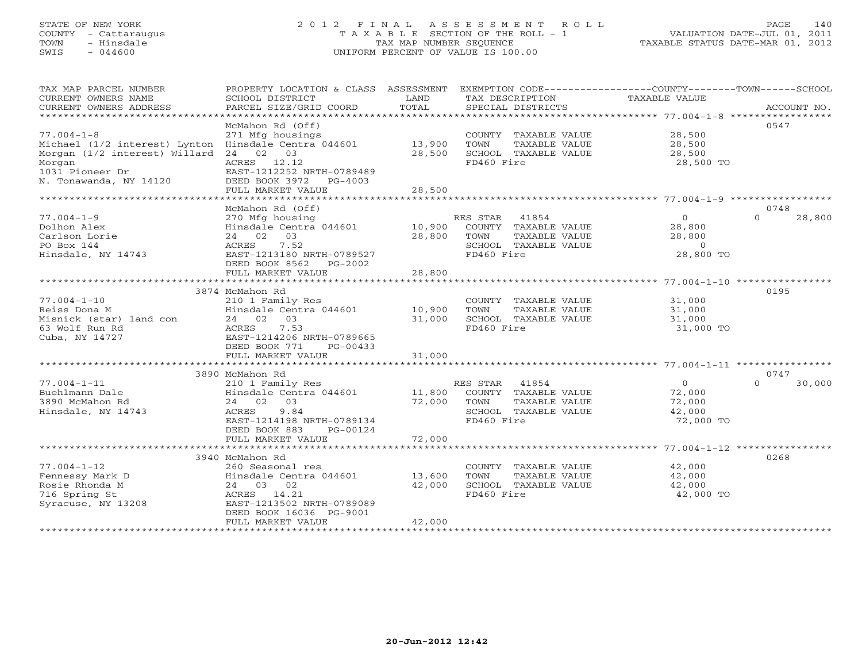# STATE OF NEW YORK 2 0 1 2 F I N A L A S S E S S M E N T R O L L PAGE 140 COUNTY - Cattaraugus T A X A B L E SECTION OF THE ROLL - 1 VALUATION DATE-JUL 01, 2011 TOWN - Hinsdale TAX MAP NUMBER SEQUENCE TAXABLE STATUS DATE-MAR 01, 2012 SWIS - 044600 UNIFORM PERCENT OF VALUE IS 100.00UNIFORM PERCENT OF VALUE IS 100.00

| TAX MAP PARCEL NUMBER<br>CURRENT OWNERS NAME<br>CURRENT OWNERS ADDRESS                                                                                           | PROPERTY LOCATION & CLASS ASSESSMENT<br>SCHOOL DISTRICT<br>PARCEL SIZE/GRID COORD                                                                                                             | LAND<br>TOTAL              | TAX DESCRIPTION<br>SPECIAL DISTRICTS                                                                     | EXEMPTION CODE-----------------COUNTY-------TOWN------SCHOOL<br><b>TAXABLE VALUE</b> | ACCOUNT NO.    |
|------------------------------------------------------------------------------------------------------------------------------------------------------------------|-----------------------------------------------------------------------------------------------------------------------------------------------------------------------------------------------|----------------------------|----------------------------------------------------------------------------------------------------------|--------------------------------------------------------------------------------------|----------------|
| $77.004 - 1 - 8$<br>Michael (1/2 interest) Lynton Hinsdale Centra 044601<br>Morgan (1/2 interest) Willard<br>Morgan<br>1031 Pioneer Dr<br>N. Tonawanda, NY 14120 | McMahon Rd (Off)<br>271 Mfg housings<br>24 02 03<br>ACRES 12.12<br>EAST-1212252 NRTH-0789489<br>DEED BOOK 3972<br>$PG-4003$<br>FULL MARKET VALUE                                              | 13,900<br>28,500<br>28,500 | COUNTY TAXABLE VALUE<br>TAXABLE VALUE<br>TOWN<br>SCHOOL TAXABLE VALUE<br>FD460 Fire                      | 28,500<br>28,500<br>28,500<br>28,500 TO                                              | 0547           |
|                                                                                                                                                                  |                                                                                                                                                                                               |                            |                                                                                                          |                                                                                      |                |
| $77.004 - 1 - 9$<br>Dolhon Alex<br>Carlson Lorie<br>PO Box 144<br>Hinsdale, NY 14743                                                                             | McMahon Rd (Off)<br>270 Mfg housing<br>Hinsdale Centra 044601<br>24 02<br>03<br>7.52<br>ACRES<br>EAST-1213180 NRTH-0789527<br>DEED BOOK 8562<br>PG-2002<br>FULL MARKET VALUE                  | 10,900<br>28,800<br>28,800 | RES STAR<br>41854<br>COUNTY TAXABLE VALUE<br>TOWN<br>TAXABLE VALUE<br>SCHOOL TAXABLE VALUE<br>FD460 Fire | $\circ$<br>$\Omega$<br>28,800<br>28,800<br>$\Omega$<br>28,800 TO                     | 0748<br>28,800 |
|                                                                                                                                                                  | ***************************                                                                                                                                                                   | ************               |                                                                                                          | ************************ 77.004-1-10 ****************                                |                |
| $77.004 - 1 - 10$<br>Reiss Dona M<br>Misnick (star) land con<br>63 Wolf Run Rd<br>Cuba, NY 14727                                                                 | 3874 McMahon Rd<br>210 1 Family Res<br>Hinsdale Centra 044601<br>24 02 03<br>7.53<br>ACRES<br>EAST-1214206 NRTH-0789665<br>DEED BOOK 771<br>$PG-00433$                                        | 10,900<br>31,000           | COUNTY TAXABLE VALUE<br>TOWN<br>TAXABLE VALUE<br>SCHOOL TAXABLE VALUE<br>FD460 Fire                      | 31,000<br>31,000<br>31,000<br>31,000 TO                                              | 0195           |
|                                                                                                                                                                  | FULL MARKET VALUE                                                                                                                                                                             | 31,000                     |                                                                                                          |                                                                                      |                |
|                                                                                                                                                                  | 3890 McMahon Rd                                                                                                                                                                               |                            |                                                                                                          |                                                                                      | 0747           |
| $77.004 - 1 - 11$<br>Buehlmann Dale<br>3890 McMahon Rd<br>Hinsdale, NY 14743                                                                                     | 210 1 Family Res<br>Hinsdale Centra 044601<br>24 02 03<br>ACRES<br>9.84<br>EAST-1214198 NRTH-0789134<br>DEED BOOK 883<br>PG-00124                                                             | 11,800<br>72,000<br>72,000 | RES STAR<br>41854<br>COUNTY TAXABLE VALUE<br>TOWN<br>TAXABLE VALUE<br>SCHOOL TAXABLE VALUE<br>FD460 Fire | $\overline{0}$<br>$\Omega$<br>72,000<br>72,000<br>42,000<br>72,000 TO                | 30,000         |
|                                                                                                                                                                  | FULL MARKET VALUE                                                                                                                                                                             |                            |                                                                                                          |                                                                                      |                |
| $77.004 - 1 - 12$<br>Fennessy Mark D<br>Rosie Rhonda M<br>716 Spring St<br>Syracuse, NY 13208                                                                    | 3940 McMahon Rd<br>260 Seasonal res<br>Hinsdale Centra 044601<br>24 03 02<br>ACRES 14.21<br>EAST-1213502 NRTH-0789089<br>DEED BOOK 16036 PG-9001<br>FULL MARKET VALUE<br>******************** | 13,600<br>42,000<br>42,000 | COUNTY TAXABLE VALUE<br>TAXABLE VALUE<br>TOWN<br>SCHOOL TAXABLE VALUE<br>FD460 Fire                      | 42,000<br>42,000<br>42,000<br>42,000 TO                                              | 0268           |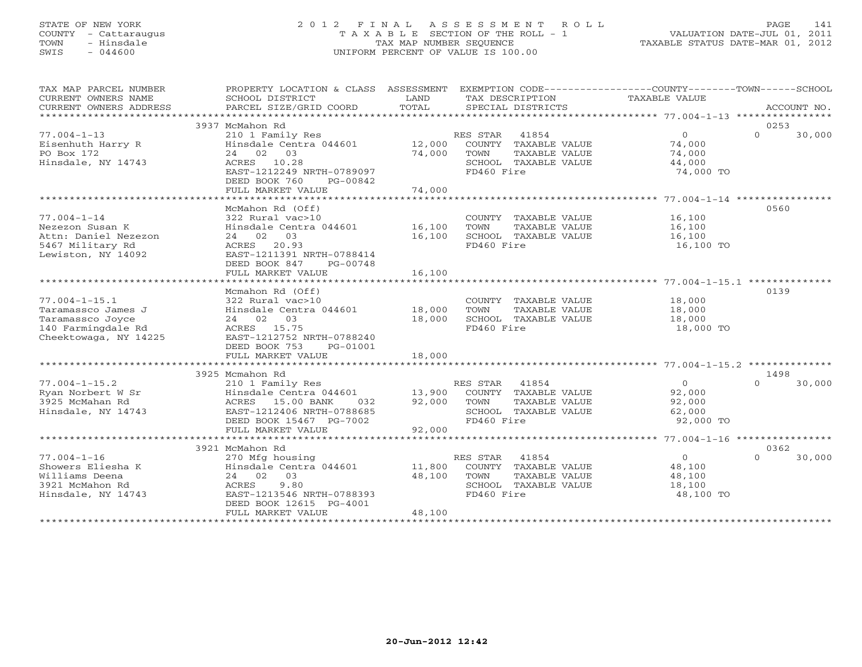# STATE OF NEW YORK 2 0 1 2 F I N A L A S S E S S M E N T R O L L PAGE 141 COUNTY - Cattaraugus T A X A B L E SECTION OF THE ROLL - 1 VALUATION DATE-JUL 01, 2011 TOWN - Hinsdale TAX MAP NUMBER SEQUENCE TAXABLE STATUS DATE-MAR 01, 2012 SWIS - 044600 UNIFORM PERCENT OF VALUE IS 100.00UNIFORM PERCENT OF VALUE IS 100.00

| TAX MAP PARCEL NUMBER                       | PROPERTY LOCATION & CLASS ASSESSMENT EXEMPTION CODE---------------COUNTY-------TOWN------SCHOOL |        |                       |                         |                            |
|---------------------------------------------|-------------------------------------------------------------------------------------------------|--------|-----------------------|-------------------------|----------------------------|
| CURRENT OWNERS NAME                         | SCHOOL DISTRICT                                                                                 | LAND   | TAX DESCRIPTION       | TAXABLE VALUE           |                            |
| CURRENT OWNERS ADDRESS                      | PARCEL SIZE/GRID COORD                                                                          | TOTAL  | SPECIAL DISTRICTS     |                         | ACCOUNT NO.                |
|                                             | 3937 McMahon Rd                                                                                 |        |                       |                         | 0253                       |
| $77.004 - 1 - 13$                           | 210 1 Family Res                                                                                |        | RES STAR 41854        | $\Omega$                | $\Omega$<br>30,000         |
| Eisenhuth Harry R                           | Hinsdale Centra 044601 12,000                                                                   |        | COUNTY TAXABLE VALUE  | 74,000                  |                            |
| PO Box 172                                  | 24 02 03                                                                                        | 74,000 | TOWN<br>TAXABLE VALUE | 74,000                  |                            |
| Hinsdale, NY 14743                          | ACRES 10.28                                                                                     |        | SCHOOL TAXABLE VALUE  | 44,000                  |                            |
|                                             | EAST-1212249 NRTH-0789097                                                                       |        | FD460 Fire            | 74,000 TO               |                            |
|                                             | DEED BOOK 760<br>PG-00842                                                                       |        |                       |                         |                            |
|                                             | FULL MARKET VALUE                                                                               | 74,000 |                       |                         |                            |
|                                             |                                                                                                 |        |                       |                         |                            |
| $77.004 - 1 - 14$                           | McMahon Rd (Off)<br>322 Rural vac>10                                                            |        | COUNTY TAXABLE VALUE  | 16,100                  | 0560                       |
| Nezezon Susan K                             | Hinsdale Centra 044601 16,100                                                                   |        | TAXABLE VALUE<br>TOWN | 16,100                  |                            |
| Attn: Daniel Nezezon                        | 24 02 03                                                                                        | 16,100 | SCHOOL TAXABLE VALUE  | 16,100                  |                            |
| 5467 Military Rd                            | ACRES 20.93                                                                                     |        | FD460 Fire            | 16,100 TO               |                            |
| Lewiston, NY 14092                          | EAST-1211391 NRTH-0788414                                                                       |        |                       |                         |                            |
|                                             | DEED BOOK 847<br>PG-00748                                                                       |        |                       |                         |                            |
|                                             | FULL MARKET VALUE                                                                               | 16,100 |                       |                         |                            |
|                                             |                                                                                                 |        |                       |                         |                            |
|                                             | Mcmahon Rd (Off)                                                                                |        |                       |                         | 0139                       |
| $77.004 - 1 - 15.1$                         | 322 Rural vac>10                                                                                |        | COUNTY TAXABLE VALUE  | $\frac{18,000}{18,000}$ |                            |
| Taramassco James J                          | Hinsdale Centra 044601 18,000                                                                   |        | TOWN<br>TAXABLE VALUE | 18,000                  |                            |
| Taramassco Joyce                            | 24 02 03                                                                                        | 18,000 | SCHOOL TAXABLE VALUE  | 18,000                  |                            |
| 140 Farmingdale Rd<br>Cheektowaga, NY 14225 | ACRES 15.75<br>EAST-1212752 NRTH-0788240                                                        |        | FD460 Fire            | 18,000 TO               |                            |
|                                             | DEED BOOK 753<br>PG-01001                                                                       |        |                       |                         |                            |
|                                             | FULL MARKET VALUE                                                                               | 18,000 |                       |                         |                            |
|                                             |                                                                                                 |        |                       |                         |                            |
|                                             | 3925 Mcmahon Rd                                                                                 |        |                       |                         | 1498                       |
| $77.004 - 1 - 15.2$                         | 210 1 Family Res                                                                                |        | RES STAR 41854        | $\overline{0}$          | $\Omega$<br>30,000         |
| Ryan Norbert W Sr                           | Hinsdale Centra 044601 13,900 COUNTY TAXABLE VALUE                                              |        |                       | 92,000                  |                            |
| 3925 McMahan Rd                             | ACRES 15.00 BANK<br>032                                                                         | 92,000 | TOWN<br>TAXABLE VALUE | 92,000                  |                            |
| Hinsdale, NY 14743                          | EAST-1212406 NRTH-0788685                                                                       |        | SCHOOL TAXABLE VALUE  | 62,000                  |                            |
|                                             | DEED BOOK 15467 PG-7002                                                                         |        | FD460 Fire            | 92,000 TO               |                            |
|                                             | FULL MARKET VALUE                                                                               | 92,000 |                       |                         |                            |
|                                             |                                                                                                 |        |                       |                         |                            |
| $77.004 - 1 - 16$                           | 3921 McMahon Rd<br>270 Mfg housing                                                              |        | RES STAR 41854        | $\overline{0}$          | 0362<br>$\Omega$<br>30,000 |
| Showers Eliesha K                           | Hinsdale Centra 044601 11,800                                                                   |        | COUNTY TAXABLE VALUE  | 48,100                  |                            |
| Williams Deena                              | 24 02 03                                                                                        | 48,100 | TOWN<br>TAXABLE VALUE | 48,100                  |                            |
| 3921 McMahon Rd                             | ACRES<br>9.80                                                                                   |        | SCHOOL TAXABLE VALUE  | 18,100                  |                            |
| Hinsdale, NY 14743                          | EAST-1213546 NRTH-0788393                                                                       |        | FD460 Fire            | 48,100 TO               |                            |
|                                             | DEED BOOK 12615 PG-4001                                                                         |        |                       |                         |                            |
|                                             | FULL MARKET VALUE                                                                               | 48,100 |                       |                         |                            |
|                                             |                                                                                                 |        |                       |                         |                            |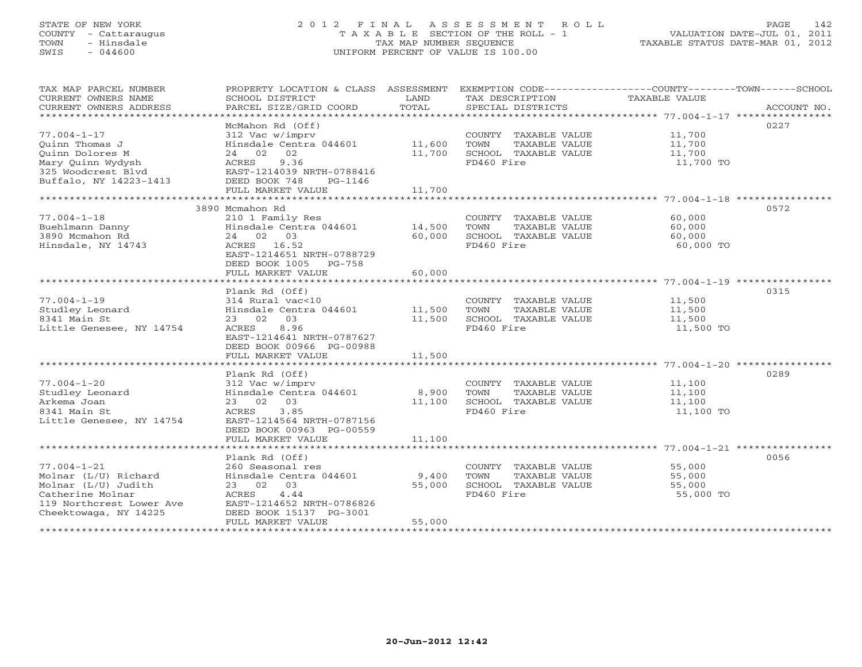# STATE OF NEW YORK 2 0 1 2 F I N A L A S S E S S M E N T R O L L PAGE 142 COUNTY - Cattaraugus T A X A B L E SECTION OF THE ROLL - 1 VALUATION DATE-JUL 01, 2011 TOWN - Hinsdale TAX MAP NUMBER SEQUENCE TAXABLE STATUS DATE-MAR 01, 2012 SWIS - 044600 UNIFORM PERCENT OF VALUE IS 100.00UNIFORM PERCENT OF VALUE IS 100.00

| TAX MAP PARCEL NUMBER<br>CURRENT OWNERS NAME<br>CURRENT OWNERS ADDRESS                                                                    | PROPERTY LOCATION & CLASS ASSESSMENT<br>SCHOOL DISTRICT<br>PARCEL SIZE/GRID COORD                                                                                      | LAND<br>TOTAL             | EXEMPTION CODE-----------------COUNTY-------TOWN-----SCHOOL<br>TAX DESCRIPTION<br>SPECIAL DISTRICTS | TAXABLE VALUE                           | ACCOUNT NO. |
|-------------------------------------------------------------------------------------------------------------------------------------------|------------------------------------------------------------------------------------------------------------------------------------------------------------------------|---------------------------|-----------------------------------------------------------------------------------------------------|-----------------------------------------|-------------|
| *************************                                                                                                                 |                                                                                                                                                                        |                           |                                                                                                     |                                         |             |
| $77.004 - 1 - 17$<br>Ouinn Thomas J<br>Ouinn Dolores M<br>Mary Ouinn Wydysh<br>325 Woodcrest Blvd                                         | McMahon Rd (Off)<br>312 Vac w/imprv<br>Hinsdale Centra 044601<br>24 02 02<br>9.36<br>ACRES<br>EAST-1214039 NRTH-0788416                                                | 11,600<br>11,700          | COUNTY TAXABLE VALUE<br>TOWN<br>TAXABLE VALUE<br>SCHOOL TAXABLE VALUE<br>FD460 Fire                 | 11,700<br>11,700<br>11,700<br>11,700 TO | 0227        |
| Buffalo, NY 14223-1413                                                                                                                    | DEED BOOK 748<br>PG-1146<br>FULL MARKET VALUE                                                                                                                          | 11,700                    |                                                                                                     |                                         |             |
|                                                                                                                                           |                                                                                                                                                                        |                           |                                                                                                     |                                         |             |
| $77.004 - 1 - 18$<br>Buehlmann Danny<br>3890 Mcmahon Rd<br>Hinsdale, NY 14743                                                             | 3890 Mcmahon Rd<br>210 1 Family Res<br>Hinsdale Centra 044601<br>24 02 03<br>ACRES 16.52<br>EAST-1214651 NRTH-0788729                                                  | 14,500<br>60,000          | COUNTY TAXABLE VALUE<br>TOWN<br>TAXABLE VALUE<br>SCHOOL TAXABLE VALUE<br>FD460 Fire                 | 60,000<br>60,000<br>60,000<br>60,000 TO | 0572        |
|                                                                                                                                           | DEED BOOK 1005<br>PG-758<br>FULL MARKET VALUE                                                                                                                          | 60,000                    |                                                                                                     |                                         |             |
|                                                                                                                                           | Plank Rd (Off)                                                                                                                                                         |                           |                                                                                                     |                                         | 0315        |
| $77.004 - 1 - 19$<br>Studley Leonard<br>8341 Main St<br>Little Genesee, NY 14754                                                          | 314 Rural vac<10<br>Hinsdale Centra 044601<br>23 02<br>03<br><b>ACRES</b><br>8.96<br>EAST-1214641 NRTH-0787627<br>DEED BOOK 00966 PG-00988                             | 11,500<br>11,500          | COUNTY TAXABLE VALUE<br>TOWN<br>TAXABLE VALUE<br>SCHOOL TAXABLE VALUE<br>FD460 Fire                 | 11,500<br>11,500<br>11,500<br>11,500 TO |             |
|                                                                                                                                           | FULL MARKET VALUE                                                                                                                                                      | 11,500                    |                                                                                                     |                                         |             |
|                                                                                                                                           |                                                                                                                                                                        |                           |                                                                                                     |                                         |             |
| $77.004 - 1 - 20$<br>Studley Leonard<br>Arkema Joan<br>8341 Main St<br>Little Genesee, NY 14754                                           | Plank Rd (Off)<br>312 Vac w/imprv<br>Hinsdale Centra 044601<br>23 02 03<br>3.85<br>ACRES<br>EAST-1214564 NRTH-0787156<br>DEED BOOK 00963 PG-00559<br>FULL MARKET VALUE | 8,900<br>11,100<br>11,100 | COUNTY TAXABLE VALUE<br><b>TOWN</b><br>TAXABLE VALUE<br>SCHOOL TAXABLE VALUE<br>FD460 Fire          | 11,100<br>11,100<br>11,100<br>11,100 TO | 0289        |
|                                                                                                                                           |                                                                                                                                                                        |                           |                                                                                                     |                                         |             |
| $77.004 - 1 - 21$<br>Molnar (L/U) Richard<br>Molnar (L/U) Judith<br>Catherine Molnar<br>119 Northcrest Lower Ave<br>Cheektowaga, NY 14225 | Plank Rd (Off)<br>260 Seasonal res<br>Hinsdale Centra 044601<br>23 02 03<br>ACRES<br>4.44<br>EAST-1214652 NRTH-0786826<br>DEED BOOK 15137 PG-3001<br>FULL MARKET VALUE | 9,400<br>55,000<br>55,000 | COUNTY TAXABLE VALUE<br>TOWN<br>TAXABLE VALUE<br>SCHOOL TAXABLE VALUE<br>FD460 Fire                 | 55,000<br>55,000<br>55,000<br>55,000 TO | 0056        |
|                                                                                                                                           | ********************                                                                                                                                                   |                           |                                                                                                     |                                         |             |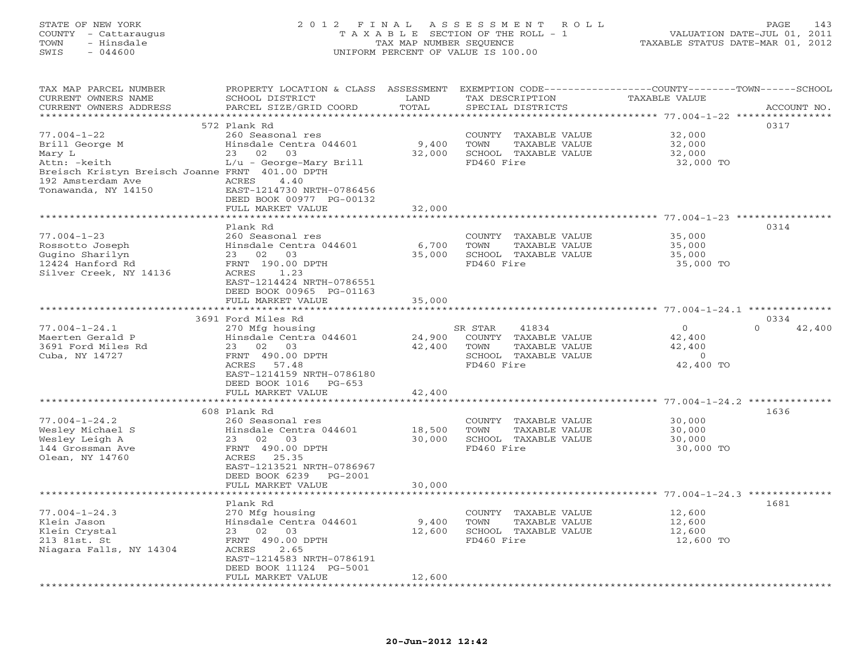### STATE OF NEW YORK 2 0 1 2 F I N A L A S S E S S M E N T R O L L PAGE 143 COUNTY - Cattaraugus T A X A B L E SECTION OF THE ROLL - 1 VALUATION DATE-JUL 01, 2011 TOWN - Hinsdale TAX MAP NUMBER SEQUENCE TAXABLE STATUS DATE-MAR 01, 2012 SWIS - 044600 UNIFORM PERCENT OF VALUE IS 100.00UNIFORM PERCENT OF VALUE IS 100.00

| *********************<br>***************************<br>***************<br>0317<br>572 Plank Rd<br>$77.004 - 1 - 22$<br>32,000<br>260 Seasonal res<br>COUNTY TAXABLE VALUE<br>9,400<br>Brill George M<br>Hinsdale Centra 044601<br>TOWN<br>TAXABLE VALUE<br>32,000<br>23 02<br>03<br>32,000<br>SCHOOL TAXABLE VALUE<br>32,000<br>Mary L<br>Attn: - keith<br>$L/u$ - George-Mary Brill<br>FD460 Fire<br>32,000 TO<br>Breisch Kristyn Breisch Joanne FRNT 401.00 DPTH<br>192 Amsterdam Ave<br>ACRES<br>4.40<br>Tonawanda, NY 14150<br>EAST-1214730 NRTH-0786456<br>DEED BOOK 00977 PG-00132<br>FULL MARKET VALUE<br>32,000<br>********* 77.004-1-23 *********<br>Plank Rd<br>0314<br>$77.004 - 1 - 23$<br>260 Seasonal res<br>35,000<br>COUNTY TAXABLE VALUE<br>Rossotto Joseph<br>Hinsdale Centra 044601<br>6,700<br>35,000<br>TOWN<br>TAXABLE VALUE<br>02 03<br>35,000<br>35,000<br>Gugino Sharilyn<br>23<br>SCHOOL TAXABLE VALUE<br>FRNT 190.00 DPTH<br>FD460 Fire<br>12424 Hanford Rd<br>35,000 TO<br>Silver Creek, NY 14136<br>ACRES<br>1.23<br>EAST-1214424 NRTH-0786551<br>DEED BOOK 00965 PG-01163<br>35,000<br>FULL MARKET VALUE<br>* * * * * * * * * * * * * * * * * * *<br>0334<br>3691 Ford Miles Rd<br>$77.004 - 1 - 24.1$<br>41834<br>$\Omega$<br>$\Omega$<br>270 Mfg housing<br>SR STAR<br>42,400<br>Maerten Gerald P<br>Hinsdale Centra 044601<br>24,900<br>COUNTY TAXABLE VALUE<br>42,400<br>3691 Ford Miles Rd<br>23 02<br>03<br>42,400<br><b>TOWN</b><br>TAXABLE VALUE<br>42,400<br>Cuba, NY 14727<br>FRNT 490.00 DPTH<br>SCHOOL TAXABLE VALUE<br>$\circ$<br>FD460 Fire<br>42,400 TO<br>ACRES<br>57.48<br>EAST-1214159 NRTH-0786180<br>DEED BOOK 1016<br>$PG-653$<br>42,400<br>FULL MARKET VALUE<br>$77.004 - 1 - 24.2$ **************<br>**********************<br>1636<br>608 Plank Rd<br>$77.004 - 1 - 24.2$<br>260 Seasonal res<br>COUNTY TAXABLE VALUE<br>30,000<br>Wesley Michael S<br>Hinsdale Centra 044601<br>18,500<br>TOWN<br>TAXABLE VALUE<br>30,000<br>Wesley Leigh A<br>30,000<br>23 02 03<br>SCHOOL TAXABLE VALUE<br>30,000<br>FRNT 490.00 DPTH<br>FD460 Fire<br>144 Grossman Ave<br>30,000 TO<br>Olean, NY 14760<br>ACRES 25.35<br>EAST-1213521 NRTH-0786967<br>DEED BOOK 6239<br>$PG-2001$<br>FULL MARKET VALUE<br>30,000<br>Plank Rd<br>1681<br>$77.004 - 1 - 24.3$<br>270 Mfg housing<br>COUNTY TAXABLE VALUE<br>12,600<br>9,400<br>Klein Jason<br>Hinsdale Centra 044601<br>TOWN<br>TAXABLE VALUE<br>12,600<br>12,600<br>SCHOOL TAXABLE VALUE<br>12,600<br>Klein Crystal<br>23<br>02<br>03<br>FD460 Fire<br>213 81st. St<br>FRNT 490.00 DPTH<br>12,600 TO<br>Niagara Falls, NY 14304<br>ACRES<br>2.65<br>EAST-1214583 NRTH-0786191<br>DEED BOOK 11124 PG-5001<br>FULL MARKET VALUE<br>12,600<br>*************************<br>***********************<br>************ | TAX MAP PARCEL NUMBER<br>CURRENT OWNERS NAME | PROPERTY LOCATION & CLASS ASSESSMENT<br>SCHOOL DISTRICT | LAND  | TAX DESCRIPTION   | EXEMPTION CODE-----------------COUNTY-------TOWN------SCHOOL<br><b>TAXABLE VALUE</b> |             |
|-----------------------------------------------------------------------------------------------------------------------------------------------------------------------------------------------------------------------------------------------------------------------------------------------------------------------------------------------------------------------------------------------------------------------------------------------------------------------------------------------------------------------------------------------------------------------------------------------------------------------------------------------------------------------------------------------------------------------------------------------------------------------------------------------------------------------------------------------------------------------------------------------------------------------------------------------------------------------------------------------------------------------------------------------------------------------------------------------------------------------------------------------------------------------------------------------------------------------------------------------------------------------------------------------------------------------------------------------------------------------------------------------------------------------------------------------------------------------------------------------------------------------------------------------------------------------------------------------------------------------------------------------------------------------------------------------------------------------------------------------------------------------------------------------------------------------------------------------------------------------------------------------------------------------------------------------------------------------------------------------------------------------------------------------------------------------------------------------------------------------------------------------------------------------------------------------------------------------------------------------------------------------------------------------------------------------------------------------------------------------------------------------------------------------------------------------------------------------------------------------------------------------------------------------------------------------------------------------------------------------------------------------------------------------------------------------------------------------------------------------------------------------------------------------------------|----------------------------------------------|---------------------------------------------------------|-------|-------------------|--------------------------------------------------------------------------------------|-------------|
|                                                                                                                                                                                                                                                                                                                                                                                                                                                                                                                                                                                                                                                                                                                                                                                                                                                                                                                                                                                                                                                                                                                                                                                                                                                                                                                                                                                                                                                                                                                                                                                                                                                                                                                                                                                                                                                                                                                                                                                                                                                                                                                                                                                                                                                                                                                                                                                                                                                                                                                                                                                                                                                                                                                                                                                                           | CURRENT OWNERS ADDRESS                       | PARCEL SIZE/GRID COORD                                  | TOTAL | SPECIAL DISTRICTS |                                                                                      | ACCOUNT NO. |
|                                                                                                                                                                                                                                                                                                                                                                                                                                                                                                                                                                                                                                                                                                                                                                                                                                                                                                                                                                                                                                                                                                                                                                                                                                                                                                                                                                                                                                                                                                                                                                                                                                                                                                                                                                                                                                                                                                                                                                                                                                                                                                                                                                                                                                                                                                                                                                                                                                                                                                                                                                                                                                                                                                                                                                                                           |                                              |                                                         |       |                   |                                                                                      |             |
|                                                                                                                                                                                                                                                                                                                                                                                                                                                                                                                                                                                                                                                                                                                                                                                                                                                                                                                                                                                                                                                                                                                                                                                                                                                                                                                                                                                                                                                                                                                                                                                                                                                                                                                                                                                                                                                                                                                                                                                                                                                                                                                                                                                                                                                                                                                                                                                                                                                                                                                                                                                                                                                                                                                                                                                                           |                                              |                                                         |       |                   |                                                                                      |             |
|                                                                                                                                                                                                                                                                                                                                                                                                                                                                                                                                                                                                                                                                                                                                                                                                                                                                                                                                                                                                                                                                                                                                                                                                                                                                                                                                                                                                                                                                                                                                                                                                                                                                                                                                                                                                                                                                                                                                                                                                                                                                                                                                                                                                                                                                                                                                                                                                                                                                                                                                                                                                                                                                                                                                                                                                           |                                              |                                                         |       |                   |                                                                                      |             |
|                                                                                                                                                                                                                                                                                                                                                                                                                                                                                                                                                                                                                                                                                                                                                                                                                                                                                                                                                                                                                                                                                                                                                                                                                                                                                                                                                                                                                                                                                                                                                                                                                                                                                                                                                                                                                                                                                                                                                                                                                                                                                                                                                                                                                                                                                                                                                                                                                                                                                                                                                                                                                                                                                                                                                                                                           |                                              |                                                         |       |                   |                                                                                      |             |
|                                                                                                                                                                                                                                                                                                                                                                                                                                                                                                                                                                                                                                                                                                                                                                                                                                                                                                                                                                                                                                                                                                                                                                                                                                                                                                                                                                                                                                                                                                                                                                                                                                                                                                                                                                                                                                                                                                                                                                                                                                                                                                                                                                                                                                                                                                                                                                                                                                                                                                                                                                                                                                                                                                                                                                                                           |                                              |                                                         |       |                   |                                                                                      |             |
|                                                                                                                                                                                                                                                                                                                                                                                                                                                                                                                                                                                                                                                                                                                                                                                                                                                                                                                                                                                                                                                                                                                                                                                                                                                                                                                                                                                                                                                                                                                                                                                                                                                                                                                                                                                                                                                                                                                                                                                                                                                                                                                                                                                                                                                                                                                                                                                                                                                                                                                                                                                                                                                                                                                                                                                                           |                                              |                                                         |       |                   |                                                                                      |             |
|                                                                                                                                                                                                                                                                                                                                                                                                                                                                                                                                                                                                                                                                                                                                                                                                                                                                                                                                                                                                                                                                                                                                                                                                                                                                                                                                                                                                                                                                                                                                                                                                                                                                                                                                                                                                                                                                                                                                                                                                                                                                                                                                                                                                                                                                                                                                                                                                                                                                                                                                                                                                                                                                                                                                                                                                           |                                              |                                                         |       |                   |                                                                                      |             |
|                                                                                                                                                                                                                                                                                                                                                                                                                                                                                                                                                                                                                                                                                                                                                                                                                                                                                                                                                                                                                                                                                                                                                                                                                                                                                                                                                                                                                                                                                                                                                                                                                                                                                                                                                                                                                                                                                                                                                                                                                                                                                                                                                                                                                                                                                                                                                                                                                                                                                                                                                                                                                                                                                                                                                                                                           |                                              |                                                         |       |                   |                                                                                      |             |
|                                                                                                                                                                                                                                                                                                                                                                                                                                                                                                                                                                                                                                                                                                                                                                                                                                                                                                                                                                                                                                                                                                                                                                                                                                                                                                                                                                                                                                                                                                                                                                                                                                                                                                                                                                                                                                                                                                                                                                                                                                                                                                                                                                                                                                                                                                                                                                                                                                                                                                                                                                                                                                                                                                                                                                                                           |                                              |                                                         |       |                   |                                                                                      |             |
|                                                                                                                                                                                                                                                                                                                                                                                                                                                                                                                                                                                                                                                                                                                                                                                                                                                                                                                                                                                                                                                                                                                                                                                                                                                                                                                                                                                                                                                                                                                                                                                                                                                                                                                                                                                                                                                                                                                                                                                                                                                                                                                                                                                                                                                                                                                                                                                                                                                                                                                                                                                                                                                                                                                                                                                                           |                                              |                                                         |       |                   |                                                                                      |             |
|                                                                                                                                                                                                                                                                                                                                                                                                                                                                                                                                                                                                                                                                                                                                                                                                                                                                                                                                                                                                                                                                                                                                                                                                                                                                                                                                                                                                                                                                                                                                                                                                                                                                                                                                                                                                                                                                                                                                                                                                                                                                                                                                                                                                                                                                                                                                                                                                                                                                                                                                                                                                                                                                                                                                                                                                           |                                              |                                                         |       |                   |                                                                                      |             |
|                                                                                                                                                                                                                                                                                                                                                                                                                                                                                                                                                                                                                                                                                                                                                                                                                                                                                                                                                                                                                                                                                                                                                                                                                                                                                                                                                                                                                                                                                                                                                                                                                                                                                                                                                                                                                                                                                                                                                                                                                                                                                                                                                                                                                                                                                                                                                                                                                                                                                                                                                                                                                                                                                                                                                                                                           |                                              |                                                         |       |                   |                                                                                      |             |
|                                                                                                                                                                                                                                                                                                                                                                                                                                                                                                                                                                                                                                                                                                                                                                                                                                                                                                                                                                                                                                                                                                                                                                                                                                                                                                                                                                                                                                                                                                                                                                                                                                                                                                                                                                                                                                                                                                                                                                                                                                                                                                                                                                                                                                                                                                                                                                                                                                                                                                                                                                                                                                                                                                                                                                                                           |                                              |                                                         |       |                   |                                                                                      |             |
|                                                                                                                                                                                                                                                                                                                                                                                                                                                                                                                                                                                                                                                                                                                                                                                                                                                                                                                                                                                                                                                                                                                                                                                                                                                                                                                                                                                                                                                                                                                                                                                                                                                                                                                                                                                                                                                                                                                                                                                                                                                                                                                                                                                                                                                                                                                                                                                                                                                                                                                                                                                                                                                                                                                                                                                                           |                                              |                                                         |       |                   |                                                                                      |             |
|                                                                                                                                                                                                                                                                                                                                                                                                                                                                                                                                                                                                                                                                                                                                                                                                                                                                                                                                                                                                                                                                                                                                                                                                                                                                                                                                                                                                                                                                                                                                                                                                                                                                                                                                                                                                                                                                                                                                                                                                                                                                                                                                                                                                                                                                                                                                                                                                                                                                                                                                                                                                                                                                                                                                                                                                           |                                              |                                                         |       |                   |                                                                                      |             |
|                                                                                                                                                                                                                                                                                                                                                                                                                                                                                                                                                                                                                                                                                                                                                                                                                                                                                                                                                                                                                                                                                                                                                                                                                                                                                                                                                                                                                                                                                                                                                                                                                                                                                                                                                                                                                                                                                                                                                                                                                                                                                                                                                                                                                                                                                                                                                                                                                                                                                                                                                                                                                                                                                                                                                                                                           |                                              |                                                         |       |                   |                                                                                      |             |
|                                                                                                                                                                                                                                                                                                                                                                                                                                                                                                                                                                                                                                                                                                                                                                                                                                                                                                                                                                                                                                                                                                                                                                                                                                                                                                                                                                                                                                                                                                                                                                                                                                                                                                                                                                                                                                                                                                                                                                                                                                                                                                                                                                                                                                                                                                                                                                                                                                                                                                                                                                                                                                                                                                                                                                                                           |                                              |                                                         |       |                   |                                                                                      |             |
|                                                                                                                                                                                                                                                                                                                                                                                                                                                                                                                                                                                                                                                                                                                                                                                                                                                                                                                                                                                                                                                                                                                                                                                                                                                                                                                                                                                                                                                                                                                                                                                                                                                                                                                                                                                                                                                                                                                                                                                                                                                                                                                                                                                                                                                                                                                                                                                                                                                                                                                                                                                                                                                                                                                                                                                                           |                                              |                                                         |       |                   |                                                                                      |             |
|                                                                                                                                                                                                                                                                                                                                                                                                                                                                                                                                                                                                                                                                                                                                                                                                                                                                                                                                                                                                                                                                                                                                                                                                                                                                                                                                                                                                                                                                                                                                                                                                                                                                                                                                                                                                                                                                                                                                                                                                                                                                                                                                                                                                                                                                                                                                                                                                                                                                                                                                                                                                                                                                                                                                                                                                           |                                              |                                                         |       |                   |                                                                                      |             |
|                                                                                                                                                                                                                                                                                                                                                                                                                                                                                                                                                                                                                                                                                                                                                                                                                                                                                                                                                                                                                                                                                                                                                                                                                                                                                                                                                                                                                                                                                                                                                                                                                                                                                                                                                                                                                                                                                                                                                                                                                                                                                                                                                                                                                                                                                                                                                                                                                                                                                                                                                                                                                                                                                                                                                                                                           |                                              |                                                         |       |                   |                                                                                      |             |
|                                                                                                                                                                                                                                                                                                                                                                                                                                                                                                                                                                                                                                                                                                                                                                                                                                                                                                                                                                                                                                                                                                                                                                                                                                                                                                                                                                                                                                                                                                                                                                                                                                                                                                                                                                                                                                                                                                                                                                                                                                                                                                                                                                                                                                                                                                                                                                                                                                                                                                                                                                                                                                                                                                                                                                                                           |                                              |                                                         |       |                   |                                                                                      |             |
|                                                                                                                                                                                                                                                                                                                                                                                                                                                                                                                                                                                                                                                                                                                                                                                                                                                                                                                                                                                                                                                                                                                                                                                                                                                                                                                                                                                                                                                                                                                                                                                                                                                                                                                                                                                                                                                                                                                                                                                                                                                                                                                                                                                                                                                                                                                                                                                                                                                                                                                                                                                                                                                                                                                                                                                                           |                                              |                                                         |       |                   |                                                                                      |             |
|                                                                                                                                                                                                                                                                                                                                                                                                                                                                                                                                                                                                                                                                                                                                                                                                                                                                                                                                                                                                                                                                                                                                                                                                                                                                                                                                                                                                                                                                                                                                                                                                                                                                                                                                                                                                                                                                                                                                                                                                                                                                                                                                                                                                                                                                                                                                                                                                                                                                                                                                                                                                                                                                                                                                                                                                           |                                              |                                                         |       |                   |                                                                                      |             |
|                                                                                                                                                                                                                                                                                                                                                                                                                                                                                                                                                                                                                                                                                                                                                                                                                                                                                                                                                                                                                                                                                                                                                                                                                                                                                                                                                                                                                                                                                                                                                                                                                                                                                                                                                                                                                                                                                                                                                                                                                                                                                                                                                                                                                                                                                                                                                                                                                                                                                                                                                                                                                                                                                                                                                                                                           |                                              |                                                         |       |                   |                                                                                      |             |
|                                                                                                                                                                                                                                                                                                                                                                                                                                                                                                                                                                                                                                                                                                                                                                                                                                                                                                                                                                                                                                                                                                                                                                                                                                                                                                                                                                                                                                                                                                                                                                                                                                                                                                                                                                                                                                                                                                                                                                                                                                                                                                                                                                                                                                                                                                                                                                                                                                                                                                                                                                                                                                                                                                                                                                                                           |                                              |                                                         |       |                   |                                                                                      |             |
|                                                                                                                                                                                                                                                                                                                                                                                                                                                                                                                                                                                                                                                                                                                                                                                                                                                                                                                                                                                                                                                                                                                                                                                                                                                                                                                                                                                                                                                                                                                                                                                                                                                                                                                                                                                                                                                                                                                                                                                                                                                                                                                                                                                                                                                                                                                                                                                                                                                                                                                                                                                                                                                                                                                                                                                                           |                                              |                                                         |       |                   |                                                                                      |             |
|                                                                                                                                                                                                                                                                                                                                                                                                                                                                                                                                                                                                                                                                                                                                                                                                                                                                                                                                                                                                                                                                                                                                                                                                                                                                                                                                                                                                                                                                                                                                                                                                                                                                                                                                                                                                                                                                                                                                                                                                                                                                                                                                                                                                                                                                                                                                                                                                                                                                                                                                                                                                                                                                                                                                                                                                           |                                              |                                                         |       |                   |                                                                                      |             |
|                                                                                                                                                                                                                                                                                                                                                                                                                                                                                                                                                                                                                                                                                                                                                                                                                                                                                                                                                                                                                                                                                                                                                                                                                                                                                                                                                                                                                                                                                                                                                                                                                                                                                                                                                                                                                                                                                                                                                                                                                                                                                                                                                                                                                                                                                                                                                                                                                                                                                                                                                                                                                                                                                                                                                                                                           |                                              |                                                         |       |                   |                                                                                      |             |
|                                                                                                                                                                                                                                                                                                                                                                                                                                                                                                                                                                                                                                                                                                                                                                                                                                                                                                                                                                                                                                                                                                                                                                                                                                                                                                                                                                                                                                                                                                                                                                                                                                                                                                                                                                                                                                                                                                                                                                                                                                                                                                                                                                                                                                                                                                                                                                                                                                                                                                                                                                                                                                                                                                                                                                                                           |                                              |                                                         |       |                   |                                                                                      |             |
|                                                                                                                                                                                                                                                                                                                                                                                                                                                                                                                                                                                                                                                                                                                                                                                                                                                                                                                                                                                                                                                                                                                                                                                                                                                                                                                                                                                                                                                                                                                                                                                                                                                                                                                                                                                                                                                                                                                                                                                                                                                                                                                                                                                                                                                                                                                                                                                                                                                                                                                                                                                                                                                                                                                                                                                                           |                                              |                                                         |       |                   |                                                                                      |             |
|                                                                                                                                                                                                                                                                                                                                                                                                                                                                                                                                                                                                                                                                                                                                                                                                                                                                                                                                                                                                                                                                                                                                                                                                                                                                                                                                                                                                                                                                                                                                                                                                                                                                                                                                                                                                                                                                                                                                                                                                                                                                                                                                                                                                                                                                                                                                                                                                                                                                                                                                                                                                                                                                                                                                                                                                           |                                              |                                                         |       |                   |                                                                                      |             |
|                                                                                                                                                                                                                                                                                                                                                                                                                                                                                                                                                                                                                                                                                                                                                                                                                                                                                                                                                                                                                                                                                                                                                                                                                                                                                                                                                                                                                                                                                                                                                                                                                                                                                                                                                                                                                                                                                                                                                                                                                                                                                                                                                                                                                                                                                                                                                                                                                                                                                                                                                                                                                                                                                                                                                                                                           |                                              |                                                         |       |                   |                                                                                      |             |
|                                                                                                                                                                                                                                                                                                                                                                                                                                                                                                                                                                                                                                                                                                                                                                                                                                                                                                                                                                                                                                                                                                                                                                                                                                                                                                                                                                                                                                                                                                                                                                                                                                                                                                                                                                                                                                                                                                                                                                                                                                                                                                                                                                                                                                                                                                                                                                                                                                                                                                                                                                                                                                                                                                                                                                                                           |                                              |                                                         |       |                   |                                                                                      |             |
|                                                                                                                                                                                                                                                                                                                                                                                                                                                                                                                                                                                                                                                                                                                                                                                                                                                                                                                                                                                                                                                                                                                                                                                                                                                                                                                                                                                                                                                                                                                                                                                                                                                                                                                                                                                                                                                                                                                                                                                                                                                                                                                                                                                                                                                                                                                                                                                                                                                                                                                                                                                                                                                                                                                                                                                                           |                                              |                                                         |       |                   |                                                                                      |             |
|                                                                                                                                                                                                                                                                                                                                                                                                                                                                                                                                                                                                                                                                                                                                                                                                                                                                                                                                                                                                                                                                                                                                                                                                                                                                                                                                                                                                                                                                                                                                                                                                                                                                                                                                                                                                                                                                                                                                                                                                                                                                                                                                                                                                                                                                                                                                                                                                                                                                                                                                                                                                                                                                                                                                                                                                           |                                              |                                                         |       |                   |                                                                                      |             |
|                                                                                                                                                                                                                                                                                                                                                                                                                                                                                                                                                                                                                                                                                                                                                                                                                                                                                                                                                                                                                                                                                                                                                                                                                                                                                                                                                                                                                                                                                                                                                                                                                                                                                                                                                                                                                                                                                                                                                                                                                                                                                                                                                                                                                                                                                                                                                                                                                                                                                                                                                                                                                                                                                                                                                                                                           |                                              |                                                         |       |                   |                                                                                      |             |
|                                                                                                                                                                                                                                                                                                                                                                                                                                                                                                                                                                                                                                                                                                                                                                                                                                                                                                                                                                                                                                                                                                                                                                                                                                                                                                                                                                                                                                                                                                                                                                                                                                                                                                                                                                                                                                                                                                                                                                                                                                                                                                                                                                                                                                                                                                                                                                                                                                                                                                                                                                                                                                                                                                                                                                                                           |                                              |                                                         |       |                   |                                                                                      |             |
|                                                                                                                                                                                                                                                                                                                                                                                                                                                                                                                                                                                                                                                                                                                                                                                                                                                                                                                                                                                                                                                                                                                                                                                                                                                                                                                                                                                                                                                                                                                                                                                                                                                                                                                                                                                                                                                                                                                                                                                                                                                                                                                                                                                                                                                                                                                                                                                                                                                                                                                                                                                                                                                                                                                                                                                                           |                                              |                                                         |       |                   |                                                                                      |             |
|                                                                                                                                                                                                                                                                                                                                                                                                                                                                                                                                                                                                                                                                                                                                                                                                                                                                                                                                                                                                                                                                                                                                                                                                                                                                                                                                                                                                                                                                                                                                                                                                                                                                                                                                                                                                                                                                                                                                                                                                                                                                                                                                                                                                                                                                                                                                                                                                                                                                                                                                                                                                                                                                                                                                                                                                           |                                              |                                                         |       |                   |                                                                                      |             |
|                                                                                                                                                                                                                                                                                                                                                                                                                                                                                                                                                                                                                                                                                                                                                                                                                                                                                                                                                                                                                                                                                                                                                                                                                                                                                                                                                                                                                                                                                                                                                                                                                                                                                                                                                                                                                                                                                                                                                                                                                                                                                                                                                                                                                                                                                                                                                                                                                                                                                                                                                                                                                                                                                                                                                                                                           |                                              |                                                         |       |                   |                                                                                      |             |
|                                                                                                                                                                                                                                                                                                                                                                                                                                                                                                                                                                                                                                                                                                                                                                                                                                                                                                                                                                                                                                                                                                                                                                                                                                                                                                                                                                                                                                                                                                                                                                                                                                                                                                                                                                                                                                                                                                                                                                                                                                                                                                                                                                                                                                                                                                                                                                                                                                                                                                                                                                                                                                                                                                                                                                                                           |                                              |                                                         |       |                   |                                                                                      |             |
|                                                                                                                                                                                                                                                                                                                                                                                                                                                                                                                                                                                                                                                                                                                                                                                                                                                                                                                                                                                                                                                                                                                                                                                                                                                                                                                                                                                                                                                                                                                                                                                                                                                                                                                                                                                                                                                                                                                                                                                                                                                                                                                                                                                                                                                                                                                                                                                                                                                                                                                                                                                                                                                                                                                                                                                                           |                                              |                                                         |       |                   |                                                                                      |             |
|                                                                                                                                                                                                                                                                                                                                                                                                                                                                                                                                                                                                                                                                                                                                                                                                                                                                                                                                                                                                                                                                                                                                                                                                                                                                                                                                                                                                                                                                                                                                                                                                                                                                                                                                                                                                                                                                                                                                                                                                                                                                                                                                                                                                                                                                                                                                                                                                                                                                                                                                                                                                                                                                                                                                                                                                           |                                              |                                                         |       |                   |                                                                                      |             |
|                                                                                                                                                                                                                                                                                                                                                                                                                                                                                                                                                                                                                                                                                                                                                                                                                                                                                                                                                                                                                                                                                                                                                                                                                                                                                                                                                                                                                                                                                                                                                                                                                                                                                                                                                                                                                                                                                                                                                                                                                                                                                                                                                                                                                                                                                                                                                                                                                                                                                                                                                                                                                                                                                                                                                                                                           |                                              |                                                         |       |                   |                                                                                      |             |
|                                                                                                                                                                                                                                                                                                                                                                                                                                                                                                                                                                                                                                                                                                                                                                                                                                                                                                                                                                                                                                                                                                                                                                                                                                                                                                                                                                                                                                                                                                                                                                                                                                                                                                                                                                                                                                                                                                                                                                                                                                                                                                                                                                                                                                                                                                                                                                                                                                                                                                                                                                                                                                                                                                                                                                                                           |                                              |                                                         |       |                   |                                                                                      |             |
|                                                                                                                                                                                                                                                                                                                                                                                                                                                                                                                                                                                                                                                                                                                                                                                                                                                                                                                                                                                                                                                                                                                                                                                                                                                                                                                                                                                                                                                                                                                                                                                                                                                                                                                                                                                                                                                                                                                                                                                                                                                                                                                                                                                                                                                                                                                                                                                                                                                                                                                                                                                                                                                                                                                                                                                                           |                                              |                                                         |       |                   |                                                                                      |             |
|                                                                                                                                                                                                                                                                                                                                                                                                                                                                                                                                                                                                                                                                                                                                                                                                                                                                                                                                                                                                                                                                                                                                                                                                                                                                                                                                                                                                                                                                                                                                                                                                                                                                                                                                                                                                                                                                                                                                                                                                                                                                                                                                                                                                                                                                                                                                                                                                                                                                                                                                                                                                                                                                                                                                                                                                           |                                              |                                                         |       |                   |                                                                                      |             |
|                                                                                                                                                                                                                                                                                                                                                                                                                                                                                                                                                                                                                                                                                                                                                                                                                                                                                                                                                                                                                                                                                                                                                                                                                                                                                                                                                                                                                                                                                                                                                                                                                                                                                                                                                                                                                                                                                                                                                                                                                                                                                                                                                                                                                                                                                                                                                                                                                                                                                                                                                                                                                                                                                                                                                                                                           |                                              |                                                         |       |                   |                                                                                      |             |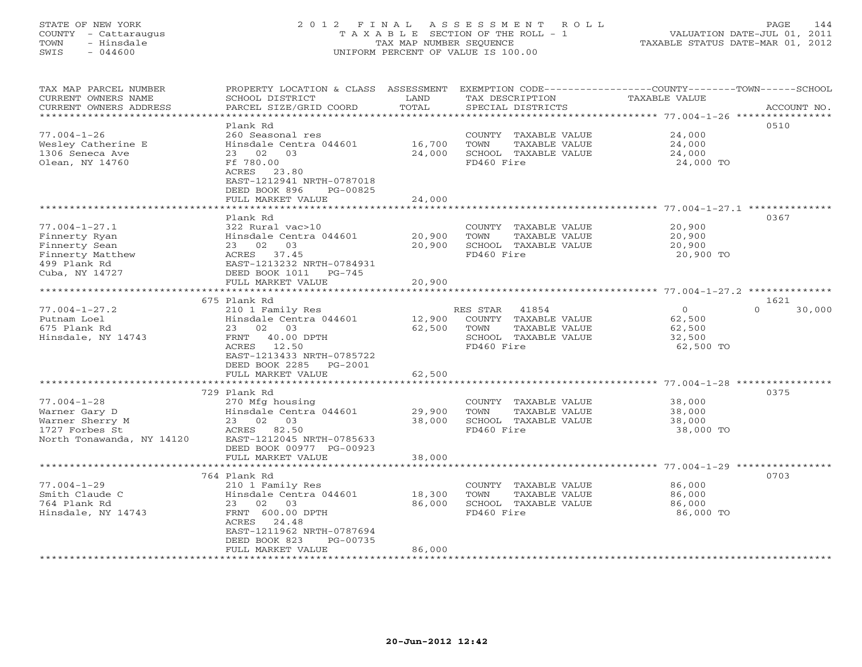# STATE OF NEW YORK 2 0 1 2 F I N A L A S S E S S M E N T R O L L PAGE 144 COUNTY - Cattaraugus T A X A B L E SECTION OF THE ROLL - 1 VALUATION DATE-JUL 01, 2011 TOWN - Hinsdale TAX MAP NUMBER SEQUENCE TAXABLE STATUS DATE-MAR 01, 2012 SWIS - 044600 UNIFORM PERCENT OF VALUE IS 100.00UNIFORM PERCENT OF VALUE IS 100.00

| TAX MAP PARCEL NUMBER<br>CURRENT OWNERS NAME<br>CURRENT OWNERS ADDRESS | PROPERTY LOCATION & CLASS<br>SCHOOL DISTRICT<br>PARCEL SIZE/GRID COORD | ASSESSMENT<br>LAND<br>TOTAL | TAX DESCRIPTION<br>SPECIAL DISTRICTS | EXEMPTION CODE----------------COUNTY-------TOWN-----SCHOOL<br>TAXABLE VALUE<br>ACCOUNT NO. |
|------------------------------------------------------------------------|------------------------------------------------------------------------|-----------------------------|--------------------------------------|--------------------------------------------------------------------------------------------|
|                                                                        |                                                                        | ***********                 |                                      |                                                                                            |
|                                                                        | Plank Rd                                                               |                             |                                      | 0510                                                                                       |
| $77.004 - 1 - 26$                                                      | 260 Seasonal res                                                       |                             | COUNTY TAXABLE VALUE                 | 24,000                                                                                     |
| Wesley Catherine E                                                     | Hinsdale Centra 044601                                                 | 16,700                      | TOWN<br>TAXABLE VALUE                | 24,000                                                                                     |
| 1306 Seneca Ave                                                        | 02<br>03<br>23                                                         | 24,000                      | SCHOOL TAXABLE VALUE                 | 24,000                                                                                     |
| Olean, NY 14760                                                        | Ff 780.00                                                              |                             | FD460 Fire                           | 24,000 TO                                                                                  |
|                                                                        | ACRES<br>23.80                                                         |                             |                                      |                                                                                            |
|                                                                        | EAST-1212941 NRTH-0787018                                              |                             |                                      |                                                                                            |
|                                                                        | DEED BOOK 896<br>PG-00825                                              |                             |                                      |                                                                                            |
|                                                                        | FULL MARKET VALUE<br>******************                                | 24,000<br>************      |                                      | ************************ 77.004-1-27.1 **************                                      |
|                                                                        | Plank Rd                                                               |                             |                                      | 0367                                                                                       |
| $77.004 - 1 - 27.1$                                                    | 322 Rural vac>10                                                       |                             | COUNTY TAXABLE VALUE                 | 20,900                                                                                     |
| Finnerty Ryan                                                          | Hinsdale Centra 044601                                                 | 20,900                      | TOWN<br>TAXABLE VALUE                | 20,900                                                                                     |
| Finnerty Sean                                                          | 23 02<br>03                                                            | 20,900                      | SCHOOL TAXABLE VALUE                 | 20,900                                                                                     |
| Finnerty Matthew                                                       | ACRES 37.45                                                            |                             | FD460 Fire                           | 20,900 TO                                                                                  |
| 499 Plank Rd                                                           | EAST-1213232 NRTH-0784931                                              |                             |                                      |                                                                                            |
| Cuba, NY 14727                                                         | DEED BOOK 1011<br>PG-745                                               |                             |                                      |                                                                                            |
|                                                                        | FULL MARKET VALUE                                                      | 20,900                      |                                      |                                                                                            |
|                                                                        | ************************                                               |                             |                                      |                                                                                            |
|                                                                        | 675 Plank Rd                                                           |                             |                                      | 1621                                                                                       |
| $77.004 - 1 - 27.2$                                                    | 210 1 Family Res                                                       |                             | RES STAR<br>41854                    | $\mathbf{O}$<br>$\Omega$<br>30,000                                                         |
| Putnam Loel                                                            | Hinsdale Centra 044601                                                 | 12,900                      | COUNTY TAXABLE VALUE                 | 62,500                                                                                     |
| 675 Plank Rd                                                           | 02<br>23<br>03                                                         | 62,500                      | TOWN<br>TAXABLE VALUE                | 62,500                                                                                     |
| Hinsdale, NY 14743                                                     | FRNT<br>40.00 DPTH                                                     |                             | SCHOOL TAXABLE VALUE                 | 32,500                                                                                     |
|                                                                        | 12.50<br>ACRES                                                         |                             | FD460 Fire                           | 62,500 TO                                                                                  |
|                                                                        | EAST-1213433 NRTH-0785722                                              |                             |                                      |                                                                                            |
|                                                                        | DEED BOOK 2285<br>PG-2001                                              |                             |                                      |                                                                                            |
|                                                                        | FULL MARKET VALUE                                                      | 62,500                      |                                      |                                                                                            |
|                                                                        | ***********************                                                | **********                  |                                      | ***************************** 77.004-1-28 ****************                                 |
|                                                                        | 729 Plank Rd                                                           |                             |                                      | 0375                                                                                       |
| $77.004 - 1 - 28$                                                      | 270 Mfg housing                                                        |                             | COUNTY TAXABLE VALUE                 | 38,000                                                                                     |
| Warner Gary D                                                          | Hinsdale Centra 044601                                                 | 29,900                      | TOWN<br>TAXABLE VALUE                | 38,000                                                                                     |
| Warner Sherry M                                                        | 23 02<br>03                                                            | 38,000                      | SCHOOL TAXABLE VALUE                 | 38,000                                                                                     |
| 1727 Forbes St                                                         | 82.50<br>ACRES                                                         |                             | FD460 Fire                           | 38,000 TO                                                                                  |
| North Tonawanda, NY 14120                                              | EAST-1212045 NRTH-0785633                                              |                             |                                      |                                                                                            |
|                                                                        | DEED BOOK 00977 PG-00923                                               |                             |                                      |                                                                                            |
|                                                                        | FULL MARKET VALUE                                                      | 38,000                      |                                      |                                                                                            |
|                                                                        | ******************                                                     |                             |                                      | ********* 77.004-1-29 ****************                                                     |
|                                                                        | 764 Plank Rd                                                           |                             |                                      | 0703                                                                                       |
| $77.004 - 1 - 29$                                                      | 210 1 Family Res                                                       |                             | COUNTY TAXABLE VALUE                 | 86,000                                                                                     |
| Smith Claude C                                                         | Hinsdale Centra 044601                                                 | 18,300                      | TOWN<br>TAXABLE VALUE                | 86,000                                                                                     |
| 764 Plank Rd                                                           | 02<br>03<br>23                                                         | 86,000                      | SCHOOL TAXABLE VALUE                 | 86,000                                                                                     |
| Hinsdale, NY 14743                                                     | FRNT 600.00 DPTH                                                       |                             | FD460 Fire                           | 86,000 TO                                                                                  |
|                                                                        | ACRES<br>24.48                                                         |                             |                                      |                                                                                            |
|                                                                        | EAST-1211962 NRTH-0787694                                              |                             |                                      |                                                                                            |
|                                                                        | DEED BOOK 823<br>PG-00735<br>FULL MARKET VALUE                         | 86,000                      |                                      |                                                                                            |
|                                                                        |                                                                        |                             |                                      |                                                                                            |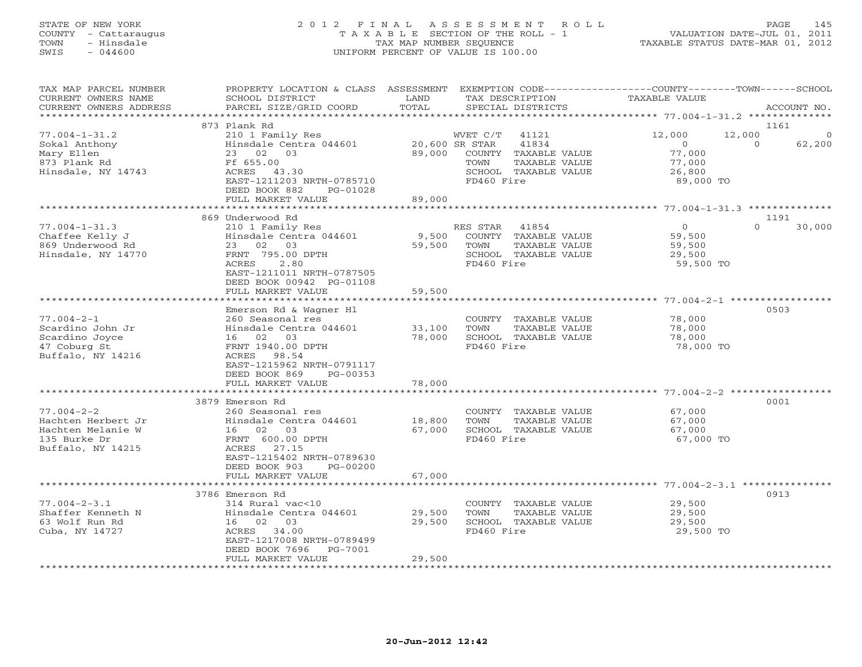## STATE OF NEW YORK 2 0 1 2 F I N A L A S S E S S M E N T R O L L PAGE 145 COUNTY - Cattaraugus T A X A B L E SECTION OF THE ROLL - 1 VALUATION DATE-JUL 01, 2011 TOWN - Hinsdale TAX MAP NUMBER SEQUENCE TAXABLE STATUS DATE-MAR 01, 2012 SWIS - 044600 UNIFORM PERCENT OF VALUE IS 100.00UNIFORM PERCENT OF VALUE IS 100.00

| TAX MAP PARCEL NUMBER<br>CURRENT OWNERS NAME<br>CURRENT OWNERS ADDRESS                           | PROPERTY LOCATION & CLASS ASSESSMENT<br>SCHOOL DISTRICT<br>PARCEL SIZE/GRID COORD                                                                                                                     | LAND<br>TOTAL              |                                                  | TAX DESCRIPTION<br>SPECIAL DISTRICTS                                            | EXEMPTION CODE-----------------COUNTY-------TOWN------SCHOOL<br><b>TAXABLE VALUE</b> |                    | ACCOUNT NO.                |
|--------------------------------------------------------------------------------------------------|-------------------------------------------------------------------------------------------------------------------------------------------------------------------------------------------------------|----------------------------|--------------------------------------------------|---------------------------------------------------------------------------------|--------------------------------------------------------------------------------------|--------------------|----------------------------|
| ********************                                                                             |                                                                                                                                                                                                       |                            |                                                  |                                                                                 |                                                                                      |                    |                            |
| $77.004 - 1 - 31.2$<br>Sokal Anthony<br>Mary Ellen<br>873 Plank Rd<br>Hinsdale, NY 14743         | 873 Plank Rd<br>210 1 Family Res<br>Hinsdale Centra 044601<br>23 02 03<br>Ff 655.00<br>ACRES 43.30<br>EAST-1211203 NRTH-0785710<br>DEED BOOK 882<br>PG-01028                                          | 89,000                     | WVET C/T<br>20,600 SR STAR<br>TOWN<br>FD460 Fire | 41121<br>41834<br>COUNTY TAXABLE VALUE<br>TAXABLE VALUE<br>SCHOOL TAXABLE VALUE | 12,000<br>$\circ$<br>77,000<br>77,000<br>26,800<br>89,000 TO                         | 12,000<br>$\Omega$ | 1161<br>$\Omega$<br>62,200 |
|                                                                                                  | FULL MARKET VALUE                                                                                                                                                                                     | 89,000                     |                                                  |                                                                                 |                                                                                      |                    |                            |
| $77.004 - 1 - 31.3$<br>Chaffee Kelly J<br>869 Underwood Rd<br>Hinsdale, NY 14770                 | 869 Underwood Rd<br>210 1 Family Res<br>Hinsdale Centra 044601<br>23 02<br>03<br>FRNT 795.00 DPTH<br>ACRES<br>2.80<br>EAST-1211011 NRTH-0787505<br>DEED BOOK 00942 PG-01108<br>FULL MARKET VALUE      | 9,500<br>59,500<br>59,500  | RES STAR<br>TOWN<br>FD460 Fire                   | 41854<br>COUNTY TAXABLE VALUE<br>TAXABLE VALUE<br>SCHOOL TAXABLE VALUE          | $\circ$<br>59,500<br>59,500<br>29,500<br>59,500 TO                                   | $\Omega$           | 1191<br>30,000             |
|                                                                                                  |                                                                                                                                                                                                       |                            |                                                  |                                                                                 | $77.004 - 2 - 1$ **                                                                  |                    |                            |
| $77.004 - 2 - 1$<br>Scardino John Jr<br>Scardino Joyce<br>47 Coburg St<br>Buffalo, NY 14216      | Emerson Rd & Wagner Hl<br>260 Seasonal res<br>Hinsdale Centra 044601<br>16 02 03<br>FRNT 1940.00 DPTH<br>ACRES 98.54<br>EAST-1215962 NRTH-0791117<br>DEED BOOK 869<br>$PG-00353$<br>FULL MARKET VALUE | 33,100<br>78,000<br>78,000 | TOWN<br>FD460 Fire                               | COUNTY TAXABLE VALUE<br>TAXABLE VALUE<br>SCHOOL TAXABLE VALUE                   | 78,000<br>78,000<br>78,000<br>78,000 TO                                              |                    | 0503                       |
|                                                                                                  |                                                                                                                                                                                                       |                            |                                                  |                                                                                 |                                                                                      |                    |                            |
| $77.004 - 2 - 2$<br>Hachten Herbert Jr<br>Hachten Melanie W<br>135 Burke Dr<br>Buffalo, NY 14215 | 3879 Emerson Rd<br>260 Seasonal res<br>Hinsdale Centra 044601<br>16 02<br>03<br>FRNT 600.00 DPTH<br>27.15<br>ACRES<br>EAST-1215402 NRTH-0789630<br>DEED BOOK 903<br>PG-00200<br>FULL MARKET VALUE     | 18,800<br>67,000<br>67,000 | TOWN<br>FD460 Fire                               | COUNTY TAXABLE VALUE<br>TAXABLE VALUE<br>SCHOOL TAXABLE VALUE                   | 67,000<br>67,000<br>67,000<br>67,000 TO                                              |                    | 0001                       |
|                                                                                                  | ***********************                                                                                                                                                                               |                            |                                                  |                                                                                 |                                                                                      |                    |                            |
| $77.004 - 2 - 3.1$<br>Shaffer Kenneth N<br>63 Wolf Run Rd<br>Cuba, NY 14727                      | 3786 Emerson Rd<br>314 Rural vac<10<br>Hinsdale Centra 044601<br>16 02<br>03<br>ACRES 34.00<br>EAST-1217008 NRTH-0789499<br>DEED BOOK 7696<br>PG-7001<br>FULL MARKET VALUE                            | 29,500<br>29,500<br>29,500 | TOWN<br>FD460 Fire                               | COUNTY TAXABLE VALUE<br>TAXABLE VALUE<br>SCHOOL TAXABLE VALUE                   | 29,500<br>29,500<br>29,500<br>29,500 TO                                              |                    | 0913                       |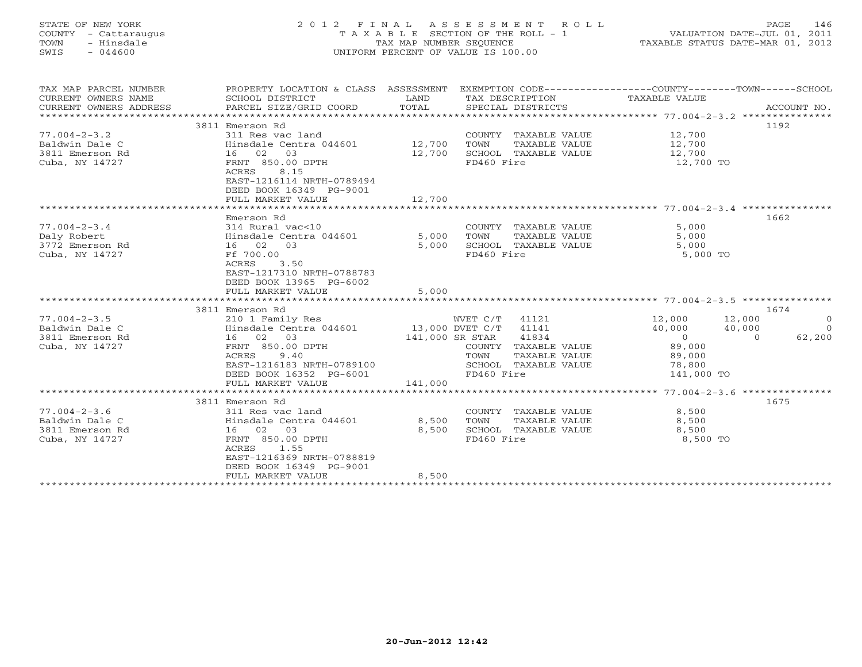# STATE OF NEW YORK 2 0 1 2 F I N A L A S S E S S M E N T R O L L PAGE 146 COUNTY - Cattaraugus T A X A B L E SECTION OF THE ROLL - 1 VALUATION DATE-JUL 01, 2011 TOWN - Hinsdale TAX MAP NUMBER SEQUENCE TAXABLE STATUS DATE-MAR 01, 2012 SWIS - 044600 UNIFORM PERCENT OF VALUE IS 100.00UNIFORM PERCENT OF VALUE IS 100.00

| TAX MAP PARCEL NUMBER<br>CURRENT OWNERS NAME | PROPERTY LOCATION & CLASS ASSESSMENT<br>SCHOOL DISTRICT<br>PARCEL SIZE/GRID COORD | LAND<br>TOTAL   | SPECIAL DISTRICTS                  | EXEMPTION CODE-----------------COUNTY-------TOWN------SCHOOL<br>TAX DESCRIPTION TAXABLE VALUE | ACCOUNT NO.              |
|----------------------------------------------|-----------------------------------------------------------------------------------|-----------------|------------------------------------|-----------------------------------------------------------------------------------------------|--------------------------|
| CURRENT OWNERS ADDRESS                       |                                                                                   |                 |                                    |                                                                                               |                          |
|                                              | 3811 Emerson Rd                                                                   |                 |                                    |                                                                                               | 1192                     |
| $77.004 - 2 - 3.2$                           | 311 Res vac land                                                                  |                 | COUNTY TAXABLE VALUE               | 12,700                                                                                        |                          |
| Baldwin Dale C                               | Hinsdale Centra 044601 12,700                                                     |                 | TAXABLE VALUE<br>TOWN              | 12,700                                                                                        |                          |
| 3811 Emerson Rd                              | 16 02<br>03                                                                       | 12,700          | SCHOOL TAXABLE VALUE               | 12,700                                                                                        |                          |
| Cuba, NY 14727                               | FRNT 850.00 DPTH                                                                  |                 | FD460 Fire                         | 12,700 TO                                                                                     |                          |
|                                              | 8.15<br>ACRES                                                                     |                 |                                    |                                                                                               |                          |
|                                              | EAST-1216114 NRTH-0789494                                                         |                 |                                    |                                                                                               |                          |
|                                              | DEED BOOK 16349 PG-9001<br>FULL MARKET VALUE                                      | 12,700          |                                    |                                                                                               |                          |
|                                              |                                                                                   |                 |                                    |                                                                                               |                          |
|                                              | Emerson Rd                                                                        |                 |                                    |                                                                                               | 1662                     |
| $77.004 - 2 - 3.4$                           | 314 Rural vac<10                                                                  |                 | COUNTY TAXABLE VALUE               | 5,000                                                                                         |                          |
| Daly Robert                                  | Hinsdale Centra 044601                                                            | 5,000           | TOWN<br>TAXABLE VALUE              | 5,000                                                                                         |                          |
| 3772 Emerson Rd                              | 16 02 03                                                                          | 5,000           | SCHOOL TAXABLE VALUE               | 5,000                                                                                         |                          |
| Cuba, NY 14727                               | Ff 700.00                                                                         |                 | FD460 Fire                         | 5,000 TO                                                                                      |                          |
|                                              | ACRES<br>3.50                                                                     |                 |                                    |                                                                                               |                          |
|                                              | EAST-1217310 NRTH-0788783<br>DEED BOOK 13965 PG-6002                              |                 |                                    |                                                                                               |                          |
|                                              | FULL MARKET VALUE                                                                 | 5,000           |                                    |                                                                                               |                          |
|                                              |                                                                                   |                 |                                    |                                                                                               |                          |
|                                              | 3811 Emerson Rd                                                                   |                 |                                    |                                                                                               | 1674                     |
| $77.004 - 2 - 3.5$                           | 210 1 Family Res                                                                  |                 | WVET C/T 41121                     | 12,000                                                                                        | 12,000<br>$\circ$        |
| Baldwin Dale C                               | Hinsdale Centra 044601 13,000 DVET C/T 41141                                      |                 |                                    | 40,000                                                                                        | 40,000<br>$\Omega$       |
| 3811 Emerson Rd                              | 16 02 03                                                                          | 141,000 SR STAR | 41834                              | $\overline{0}$                                                                                | 62,200<br>$\overline{0}$ |
| Cuba, NY 14727                               | FRNT 850.00 DPTH                                                                  |                 | COUNTY TAXABLE VALUE               | 89,000                                                                                        |                          |
|                                              | 9.40<br>ACRES                                                                     |                 | TOWN<br>TAXABLE VALUE              | 89,000                                                                                        |                          |
|                                              | EAST-1216183 NRTH-0789100                                                         |                 | SCHOOL TAXABLE VALUE<br>FD460 Fire | 78,800<br>141,000 TO                                                                          |                          |
|                                              | DEED BOOK 16352 PG-6001<br>FULL MARKET VALUE                                      | 141,000         |                                    |                                                                                               |                          |
|                                              |                                                                                   |                 |                                    |                                                                                               |                          |
|                                              | 3811 Emerson Rd                                                                   |                 |                                    |                                                                                               | 1675                     |
| $77.004 - 2 - 3.6$                           | 311 Res vac land                                                                  |                 | COUNTY TAXABLE VALUE               | 8,500                                                                                         |                          |
| Baldwin Dale C                               | Hinsdale Centra 044601                                                            | 8,500           | TOWN<br>TAXABLE VALUE              | 8,500                                                                                         |                          |
| 3811 Emerson Rd                              | 16 02 03                                                                          | 8,500           | SCHOOL TAXABLE VALUE               | 8,500                                                                                         |                          |
| Cuba, NY 14727                               | FRNT 850.00 DPTH                                                                  |                 | FD460 Fire                         | 8,500 TO                                                                                      |                          |
|                                              | ACRES<br>1.55                                                                     |                 |                                    |                                                                                               |                          |
|                                              | EAST-1216369 NRTH-0788819<br>DEED BOOK 16349 PG-9001                              |                 |                                    |                                                                                               |                          |
|                                              | FULL MARKET VALUE                                                                 | 8,500           |                                    |                                                                                               |                          |
|                                              |                                                                                   |                 |                                    |                                                                                               |                          |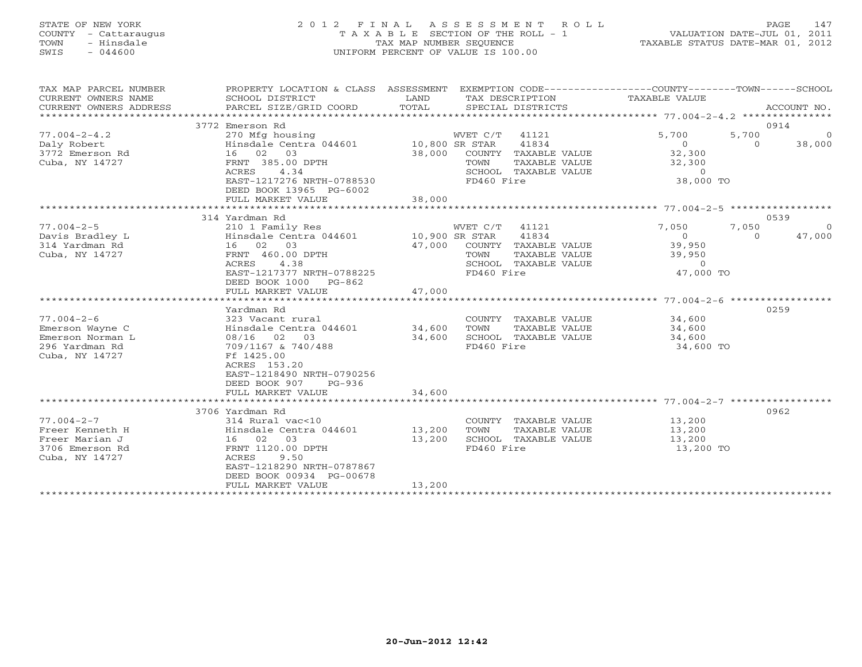# STATE OF NEW YORK 2 0 1 2 F I N A L A S S E S S M E N T R O L L PAGE 147 COUNTY - Cattaraugus T A X A B L E SECTION OF THE ROLL - 1 VALUATION DATE-JUL 01, 2011 TOWN - Hinsdale TAX MAP NUMBER SEQUENCE TAXABLE STATUS DATE-MAR 01, 2012 SWIS - 044600 UNIFORM PERCENT OF VALUE IS 100.00UNIFORM PERCENT OF VALUE IS 100.00

| TAX MAP PARCEL NUMBER<br>CURRENT OWNERS NAME<br>CURRENT OWNERS ADDRESS | PROPERTY LOCATION & CLASS ASSESSMENT EXEMPTION CODE----------------COUNTY-------TOWN------SCHOOL<br>SCHOOL DISTRICT<br>PARCEL SIZE/GRID COORD | LAND<br>TOTAL  | SPECIAL DISTRICTS     | TAX DESCRIPTION TAXABLE VALUE |          | ACCOUNT NO. |
|------------------------------------------------------------------------|-----------------------------------------------------------------------------------------------------------------------------------------------|----------------|-----------------------|-------------------------------|----------|-------------|
|                                                                        | 3772 Emerson Rd                                                                                                                               |                |                       |                               | 0914     |             |
|                                                                        |                                                                                                                                               |                |                       |                               |          |             |
| $77.004 - 2 - 4.2$                                                     | 270 Mfg housing                                                                                                                               |                | WVET C/T 41121        | 5,700                         | 5,700    | $\Omega$    |
| Daly Robert                                                            | Hinsdale Centra 044601 10,800 SR STAR                                                                                                         |                | 41834                 | $\circ$                       | $\Omega$ | 38,000      |
| 3772 Emerson Rd                                                        | 16 02 03                                                                                                                                      | 38,000         | COUNTY TAXABLE VALUE  | 32,300                        |          |             |
| Cuba, NY 14727                                                         | FRNT 385.00 DPTH                                                                                                                              |                | TOWN<br>TAXABLE VALUE | 32,300                        |          |             |
|                                                                        | 4.34<br>ACRES                                                                                                                                 |                | SCHOOL TAXABLE VALUE  | $\circ$                       |          |             |
|                                                                        | EAST-1217276 NRTH-0788530                                                                                                                     |                | FD460 Fire            | 38,000 TO                     |          |             |
|                                                                        | DEED BOOK 13965 PG-6002                                                                                                                       |                |                       |                               |          |             |
|                                                                        | FULL MARKET VALUE                                                                                                                             | 38,000         |                       |                               |          |             |
|                                                                        |                                                                                                                                               |                |                       |                               |          |             |
|                                                                        | 314 Yardman Rd                                                                                                                                |                |                       |                               | 0539     |             |
| $77.004 - 2 - 5$                                                       | 210 1 Family Res                                                                                                                              |                | WVET C/T<br>41121     | 7,050                         | 7,050    | $\Omega$    |
| Davis Bradley L                                                        | Hinsdale Centra 044601                                                                                                                        | 10,900 SR STAR | 41834                 | $\overline{0}$                | $\Omega$ | 47,000      |
| 314 Yardman Rd                                                         | 16 02 03                                                                                                                                      | 47,000         | COUNTY TAXABLE VALUE  | 39,950                        |          |             |
| Cuba, NY 14727                                                         | FRNT 460.00 DPTH                                                                                                                              |                | TAXABLE VALUE<br>TOWN | 39,950                        |          |             |
|                                                                        | ACRES<br>4.38                                                                                                                                 |                | SCHOOL TAXABLE VALUE  | $\circ$                       |          |             |
|                                                                        | EAST-1217377 NRTH-0788225                                                                                                                     |                | FD460 Fire            | 47,000 TO                     |          |             |
|                                                                        | DEED BOOK 1000 PG-862                                                                                                                         |                |                       |                               |          |             |
|                                                                        | FULL MARKET VALUE                                                                                                                             | 47,000         |                       |                               |          |             |
|                                                                        |                                                                                                                                               |                |                       |                               |          |             |
|                                                                        | Yardman Rd                                                                                                                                    |                |                       |                               | 0259     |             |
| $77.004 - 2 - 6$                                                       | 323 Vacant rural                                                                                                                              |                | COUNTY TAXABLE VALUE  | 34,600                        |          |             |
| Emerson Wayne C                                                        | Hinsdale Centra 044601 34,600                                                                                                                 |                | TOWN<br>TAXABLE VALUE | 34,600                        |          |             |
| Emerson Norman L                                                       | 08/16 02 03                                                                                                                                   | 34,600         | SCHOOL TAXABLE VALUE  | 34,600                        |          |             |
| 296 Yardman Rd                                                         | 709/1167 & 740/488                                                                                                                            |                | FD460 Fire            | 34,600 TO                     |          |             |
| Cuba, NY 14727                                                         | Ff 1425.00                                                                                                                                    |                |                       |                               |          |             |
|                                                                        | ACRES 153.20                                                                                                                                  |                |                       |                               |          |             |
|                                                                        | EAST-1218490 NRTH-0790256                                                                                                                     |                |                       |                               |          |             |
|                                                                        | DEED BOOK 907<br>$PG-936$                                                                                                                     |                |                       |                               |          |             |
|                                                                        | FULL MARKET VALUE                                                                                                                             | 34,600         |                       |                               |          |             |
|                                                                        |                                                                                                                                               |                |                       |                               |          |             |
|                                                                        | 3706 Yardman Rd                                                                                                                               |                |                       |                               | 0962     |             |
| $77.004 - 2 - 7$                                                       | 314 Rural vac<10                                                                                                                              |                | COUNTY TAXABLE VALUE  |                               |          |             |
| Freer Kenneth H                                                        | Hinsdale Centra 044601                                                                                                                        | 13,200         | TOWN<br>TAXABLE VALUE | 13,200<br>13,200              |          |             |
| Freer Marian J                                                         | 16 02 03                                                                                                                                      | 13,200         | SCHOOL TAXABLE VALUE  | 13,200                        |          |             |
| 3706 Emerson Rd                                                        | FRNT 1120.00 DPTH                                                                                                                             |                | FD460 Fire            | 13,200 TO                     |          |             |
| Cuba, NY 14727                                                         | 9.50<br>ACRES                                                                                                                                 |                |                       |                               |          |             |
|                                                                        | EAST-1218290 NRTH-0787867                                                                                                                     |                |                       |                               |          |             |
|                                                                        | DEED BOOK 00934 PG-00678                                                                                                                      |                |                       |                               |          |             |
|                                                                        | FULL MARKET VALUE                                                                                                                             | 13,200         |                       |                               |          |             |
|                                                                        |                                                                                                                                               |                |                       |                               |          |             |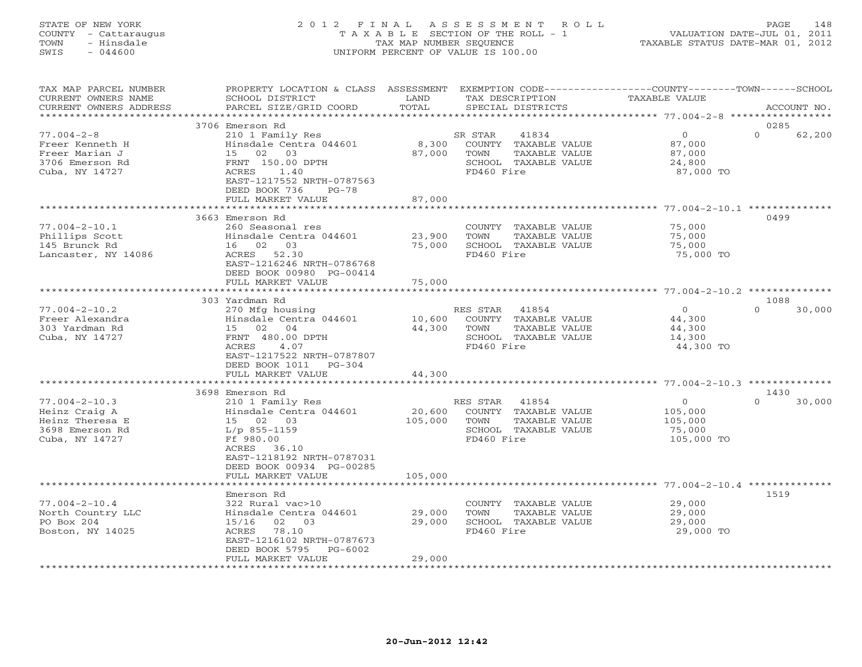## STATE OF NEW YORK 2 0 1 2 F I N A L A S S E S S M E N T R O L L PAGE 148 COUNTY - Cattaraugus T A X A B L E SECTION OF THE ROLL - 1 VALUATION DATE-JUL 01, 2011 TOWN - Hinsdale TAX MAP NUMBER SEQUENCE TAXABLE STATUS DATE-MAR 01, 2012 SWIS - 044600 UNIFORM PERCENT OF VALUE IS 100.00UNIFORM PERCENT OF VALUE IS 100.00

| TAX MAP PARCEL NUMBER<br>CURRENT OWNERS NAME<br>CURRENT OWNERS ADDRESS                       | PROPERTY LOCATION & CLASS ASSESSMENT<br>SCHOOL DISTRICT<br>PARCEL SIZE/GRID COORD                                                                                                            | LAND<br>TOTAL                | TAX DESCRIPTION<br>SPECIAL DISTRICTS                                                                     | EXEMPTION CODE-----------------COUNTY-------TOWN------SCHOOL<br><b>TAXABLE VALUE</b> | ACCOUNT NO.                |
|----------------------------------------------------------------------------------------------|----------------------------------------------------------------------------------------------------------------------------------------------------------------------------------------------|------------------------------|----------------------------------------------------------------------------------------------------------|--------------------------------------------------------------------------------------|----------------------------|
| ******************                                                                           |                                                                                                                                                                                              |                              |                                                                                                          |                                                                                      |                            |
| $77.004 - 2 - 8$<br>Freer Kenneth H<br>Freer Marian J<br>3706 Emerson Rd<br>Cuba, NY 14727   | 3706 Emerson Rd<br>210 1 Family Res<br>Hinsdale Centra 044601<br>15 02 03<br>FRNT 150.00 DPTH<br>ACRES<br>1.40<br>EAST-1217552 NRTH-0787563<br>DEED BOOK 736<br>$PG-78$<br>FULL MARKET VALUE | 8,300<br>87,000<br>87,000    | 41834<br>SR STAR<br>COUNTY TAXABLE VALUE<br>TOWN<br>TAXABLE VALUE<br>SCHOOL TAXABLE VALUE<br>FD460 Fire  | $\circ$<br>87,000<br>87,000<br>24,800<br>87,000 TO                                   | 0285<br>$\Omega$<br>62,200 |
|                                                                                              |                                                                                                                                                                                              | ***********                  |                                                                                                          | ************************** 77.004-2-10.1 **************                              |                            |
| $77.004 - 2 - 10.1$<br>Phillips Scott<br>145 Brunck Rd<br>Lancaster, NY 14086                | 3663 Emerson Rd<br>260 Seasonal res<br>Hinsdale Centra 044601<br>16 02 03<br>ACRES 52.30<br>EAST-1216246 NRTH-0786768<br>DEED BOOK 00980 PG-00414<br>FULL MARKET VALUE                       | 23,900<br>75,000<br>75,000   | COUNTY TAXABLE VALUE<br>TOWN<br>TAXABLE VALUE<br>SCHOOL TAXABLE VALUE<br>FD460 Fire                      | 75,000<br>75,000<br>75,000<br>75,000 TO                                              | 0499                       |
|                                                                                              | ***********************                                                                                                                                                                      |                              |                                                                                                          |                                                                                      |                            |
| $77.004 - 2 - 10.2$<br>Freer Alexandra<br>303 Yardman Rd<br>Cuba, NY 14727                   | 303 Yardman Rd<br>270 Mfg housing<br>Hinsdale Centra 044601<br>15 02 04<br>FRNT 480.00 DPTH<br>4.07<br>ACRES<br>EAST-1217522 NRTH-0787807<br>DEED BOOK 1011<br>$PG-304$<br>FULL MARKET VALUE | 10,600<br>44,300<br>44,300   | RES STAR<br>41854<br>COUNTY TAXABLE VALUE<br>TOWN<br>TAXABLE VALUE<br>SCHOOL TAXABLE VALUE<br>FD460 Fire | $\overline{O}$<br>44,300<br>44,300<br>14,300<br>44,300 TO                            | 1088<br>$\Omega$<br>30,000 |
|                                                                                              | 3698 Emerson Rd                                                                                                                                                                              |                              |                                                                                                          |                                                                                      | 1430                       |
| $77.004 - 2 - 10.3$<br>Heinz Craig A<br>Heinz Theresa E<br>3698 Emerson Rd<br>Cuba, NY 14727 | 210 1 Family Res<br>Hinsdale Centra 044601<br>15 02 03<br>$L/p$ 855-1159<br>Ff 980.00<br>ACRES 36.10<br>EAST-1218192 NRTH-0787031<br>DEED BOOK 00934 PG-00285<br>FULL MARKET VALUE           | 20,600<br>105,000<br>105,000 | 41854<br>RES STAR<br>COUNTY TAXABLE VALUE<br>TOWN<br>TAXABLE VALUE<br>SCHOOL TAXABLE VALUE<br>FD460 Fire | $\Omega$<br>105,000<br>105,000<br>75,000<br>105,000 TO                               | $\Omega$<br>30,000         |
|                                                                                              | **********************                                                                                                                                                                       |                              |                                                                                                          |                                                                                      |                            |
| $77.004 - 2 - 10.4$<br>North Country LLC<br>PO Box 204<br>Boston, NY 14025                   | Emerson Rd<br>322 Rural vac>10<br>Hinsdale Centra 044601<br>15/16 02 03<br>ACRES<br>78.10<br>EAST-1216102 NRTH-0787673<br>DEED BOOK 5795<br>PG-6002<br>FULL MARKET VALUE                     | 29,000<br>29,000<br>29,000   | COUNTY TAXABLE VALUE<br>TOWN<br>TAXABLE VALUE<br>SCHOOL TAXABLE VALUE<br>FD460 Fire                      | 29,000<br>29,000<br>29,000<br>29,000 TO                                              | 1519                       |
|                                                                                              |                                                                                                                                                                                              |                              |                                                                                                          |                                                                                      |                            |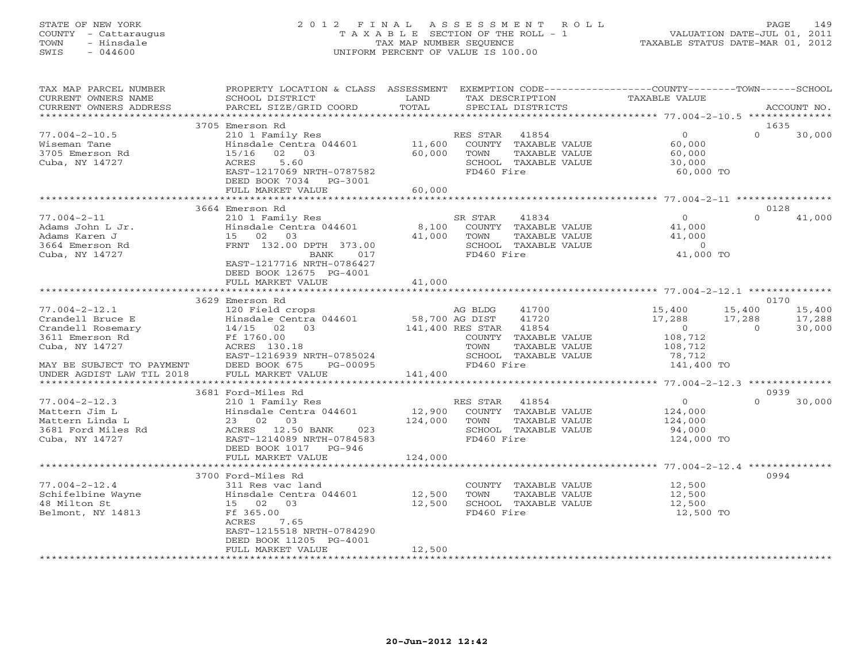# STATE OF NEW YORK 2 0 1 2 F I N A L A S S E S S M E N T R O L L PAGE 149 COUNTY - Cattaraugus T A X A B L E SECTION OF THE ROLL - 1 VALUATION DATE-JUL 01, 2011 TOWN - Hinsdale TAX MAP NUMBER SEQUENCE TAXABLE STATUS DATE-MAR 01, 2012 SWIS - 044600 UNIFORM PERCENT OF VALUE IS 100.00UNIFORM PERCENT OF VALUE IS 100.00

| TAX MAP PARCEL NUMBER<br>CURRENT OWNERS NAME<br>CURRENT OWNERS ADDRESS                                                         | PROPERTY LOCATION & CLASS ASSESSMENT<br>SCHOOL DISTRICT<br>PARCEL SIZE/GRID COORD                                                                                                              | LAND<br>TOTAL     | EXEMPTION CODE-----------------COUNTY-------TOWN------SCHOOL<br>TAX DESCRIPTION<br>SPECIAL DISTRICTS                                          | <b>TAXABLE VALUE</b>                                                                                 | ACCOUNT NO.                                          |
|--------------------------------------------------------------------------------------------------------------------------------|------------------------------------------------------------------------------------------------------------------------------------------------------------------------------------------------|-------------------|-----------------------------------------------------------------------------------------------------------------------------------------------|------------------------------------------------------------------------------------------------------|------------------------------------------------------|
| ***********************                                                                                                        |                                                                                                                                                                                                |                   |                                                                                                                                               |                                                                                                      |                                                      |
| $77.004 - 2 - 10.5$<br>Wiseman Tane<br>3705 Emerson Rd<br>Cuba, NY 14727                                                       | 3705 Emerson Rd<br>210 1 Family Res<br>Hinsdale Centra 044601<br>02 03<br>15/16<br>5.60<br>ACRES<br>EAST-1217069 NRTH-0787582<br>DEED BOOK 7034 PG-3001                                        | 11,600<br>60,000  | RES STAR<br>41854<br>COUNTY TAXABLE VALUE<br>TOWN<br>TAXABLE VALUE<br>SCHOOL TAXABLE VALUE<br>FD460 Fire                                      | 0<br>60,000<br>60,000<br>30,000<br>60,000 TO                                                         | 1635<br>$\Omega$<br>30,000                           |
|                                                                                                                                | FULL MARKET VALUE                                                                                                                                                                              | 60,000            |                                                                                                                                               |                                                                                                      |                                                      |
|                                                                                                                                |                                                                                                                                                                                                |                   |                                                                                                                                               |                                                                                                      | 0128                                                 |
| $77.004 - 2 - 11$<br>Adams John L Jr.<br>Adams Karen J<br>3664 Emerson Rd<br>Cuba, NY 14727                                    | 3664 Emerson Rd<br>210 1 Family Res<br>Hinsdale Centra 044601<br>15 02 03<br>FRNT 132.00 DPTH 373.00<br>BANK<br>017<br>EAST-1217716 NRTH-0786427                                               | 8,100<br>41,000   | SR STAR<br>41834<br>COUNTY TAXABLE VALUE<br>TOWN<br>TAXABLE VALUE<br>SCHOOL TAXABLE VALUE<br>FD460 Fire                                       | $\overline{0}$<br>41,000<br>41,000<br>$\Omega$<br>41,000 TO                                          | $\Omega$<br>41,000                                   |
|                                                                                                                                | DEED BOOK 12675 PG-4001<br>FULL MARKET VALUE                                                                                                                                                   | 41,000            |                                                                                                                                               |                                                                                                      |                                                      |
|                                                                                                                                | ***********************                                                                                                                                                                        |                   |                                                                                                                                               |                                                                                                      |                                                      |
| $77.004 - 2 - 12.1$<br>Crandell Bruce E<br>Crandell Rosemary<br>3611 Emerson Rd<br>Cuba, NY 14727<br>MAY BE SUBJECT TO PAYMENT | 3629 Emerson Rd<br>120 Field crops<br>Hinsdale Centra 044601<br>14/15 02 03<br>Ff 1760.00<br>ACRES 130.18<br>EAST-1216939 NRTH-0785024<br>DEED BOOK 675<br>PG-00095                            | 58,700 AG DIST    | AG BLDG<br>41700<br>41720<br>141,400 RES STAR<br>41854<br>COUNTY TAXABLE VALUE<br>TAXABLE VALUE<br>TOWN<br>SCHOOL TAXABLE VALUE<br>FD460 Fire | 15,400<br>15,400<br>17,288<br>17,288<br>$\overline{0}$<br>108,712<br>108,712<br>78,712<br>141,400 TO | 0170<br>15,400<br>17,288<br>$\overline{a}$<br>30,000 |
| UNDER AGDIST LAW TIL 2018<br>**********************                                                                            | FULL MARKET VALUE                                                                                                                                                                              | 141,400           |                                                                                                                                               | ************** 77.004-2-12.3 **************                                                          |                                                      |
| $77.004 - 2 - 12.3$<br>Mattern Jim L<br>Mattern Linda L<br>3681 Ford Miles Rd<br>Cuba, NY 14727                                | 3681 Ford-Miles Rd<br>210 1 Family Res<br>Hinsdale Centra 044601<br>23 02 03<br>ACRES 12.50 BANK<br>023<br>EAST-1214089 NRTH-0784583<br>DEED BOOK 1017 PG-946                                  | 12,900<br>124,000 | RES STAR<br>41854<br>COUNTY TAXABLE VALUE<br>TOWN<br>TAXABLE VALUE<br>SCHOOL TAXABLE VALUE<br>FD460 Fire                                      | $\overline{0}$<br>124,000<br>124,000<br>94,000<br>124,000 TO                                         | 0939<br>$\Omega$<br>30,000                           |
|                                                                                                                                | FULL MARKET VALUE                                                                                                                                                                              | 124,000           |                                                                                                                                               |                                                                                                      |                                                      |
| $77.004 - 2 - 12.4$<br>Schifelbine Wayne<br>48 Milton St<br>Belmont, NY 14813                                                  | ************************<br>3700 Ford-Miles Rd<br>311 Res vac land<br>Hinsdale Centra 044601<br>15 02 03<br>Ff 365.00<br>ACRES<br>7.65<br>EAST-1215518 NRTH-0784290<br>DEED BOOK 11205 PG-4001 | 12,500<br>12,500  | COUNTY TAXABLE VALUE<br>TAXABLE VALUE<br>TOWN<br>SCHOOL TAXABLE VALUE<br>FD460 Fire                                                           | 12,500<br>12,500<br>12,500<br>12,500 TO                                                              | 0994                                                 |
|                                                                                                                                | FULL MARKET VALUE                                                                                                                                                                              | 12,500            |                                                                                                                                               |                                                                                                      |                                                      |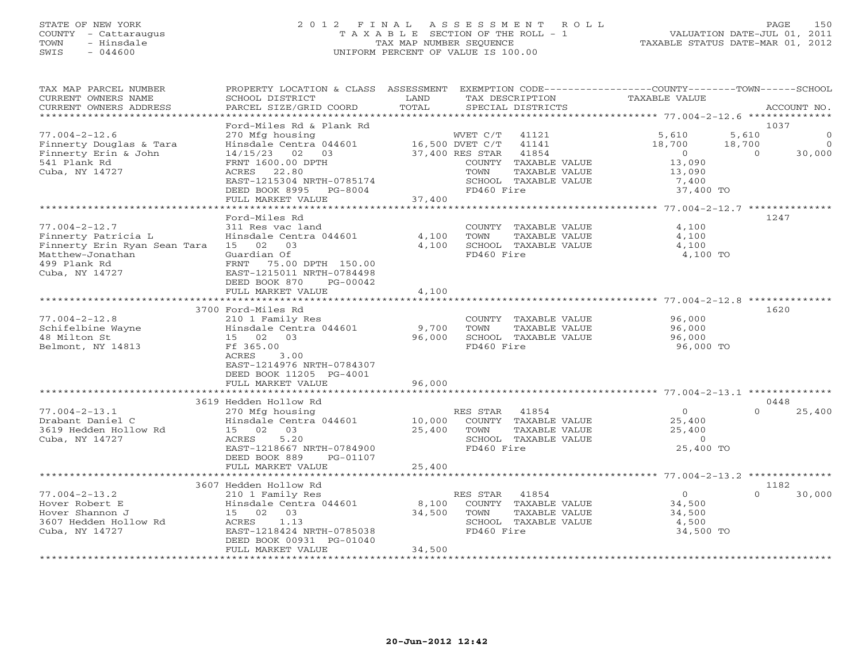# STATE OF NEW YORK 2 0 1 2 F I N A L A S S E S S M E N T R O L L PAGE 150 COUNTY - Cattaraugus T A X A B L E SECTION OF THE ROLL - 1 VALUATION DATE-JUL 01, 2011 TOWN - Hinsdale TAX MAP NUMBER SEQUENCE TAXABLE STATUS DATE-MAR 01, 2012 SWIS - 044600 UNIFORM PERCENT OF VALUE IS 100.00UNIFORM PERCENT OF VALUE IS 100.00

| TAX MAP PARCEL NUMBER<br>CURRENT OWNERS NAME<br>CURRENT OWNERS ADDRESS                                                           | PROPERTY LOCATION & CLASS ASSESSMENT<br>SCHOOL DISTRICT<br>PARCEL SIZE/GRID COORD                                                                                                              | LAND<br>TOTAL             | TAX DESCRIPTION<br>SPECIAL DISTRICTS                                 |                                                                                          | EXEMPTION CODE-----------------COUNTY-------TOWN------SCHOOL<br><b>TAXABLE VALUE</b> |                             | ACCOUNT NO.                     |
|----------------------------------------------------------------------------------------------------------------------------------|------------------------------------------------------------------------------------------------------------------------------------------------------------------------------------------------|---------------------------|----------------------------------------------------------------------|------------------------------------------------------------------------------------------|--------------------------------------------------------------------------------------|-----------------------------|---------------------------------|
| *************************                                                                                                        |                                                                                                                                                                                                |                           |                                                                      |                                                                                          |                                                                                      |                             |                                 |
| $77.004 - 2 - 12.6$<br>Finnerty Douglas & Tara<br>Finnerty Erin & John<br>541 Plank Rd<br>Cuba, NY 14727                         | Ford-Miles Rd & Plank Rd<br>270 Mfg housing<br>Hinsdale Centra 044601<br>14/15/23<br>02<br>03<br>FRNT 1600.00 DPTH<br>22.80<br>ACRES<br>EAST-1215304 NRTH-0785174<br>DEED BOOK 8995<br>PG-8004 |                           | WVET C/T<br>16,500 DVET C/T<br>37,400 RES STAR<br>TOWN<br>FD460 Fire | 41121<br>41141<br>41854<br>COUNTY TAXABLE VALUE<br>TAXABLE VALUE<br>SCHOOL TAXABLE VALUE | 5,610<br>18,700<br>$\circ$<br>13,090<br>13,090<br>7,400<br>37,400 TO                 | 5,610<br>18,700<br>$\Omega$ | 1037<br>0<br>$\Omega$<br>30,000 |
|                                                                                                                                  | FULL MARKET VALUE<br>******************                                                                                                                                                        | 37,400                    |                                                                      |                                                                                          |                                                                                      |                             |                                 |
| $77.004 - 2 - 12.7$<br>Finnerty Patricia L<br>Finnerty Erin Ryan Sean Tara<br>Matthew-Jonathan<br>499 Plank Rd<br>Cuba, NY 14727 | Ford-Miles Rd<br>311 Res vac land<br>Hinsdale Centra 044601<br>15 02 03<br>Guardian Of<br>FRNT<br>75.00 DPTH 150.00<br>EAST-1215011 NRTH-0784498<br>DEED BOOK 870<br>$PG-00042$                | 4,100<br>4,100            | TOWN<br>FD460 Fire                                                   | COUNTY TAXABLE VALUE<br>TAXABLE VALUE<br>SCHOOL TAXABLE VALUE                            | 4,100<br>4,100<br>4,100<br>4,100 TO                                                  |                             | 1247                            |
|                                                                                                                                  | FULL MARKET VALUE                                                                                                                                                                              | 4,100                     |                                                                      |                                                                                          |                                                                                      |                             |                                 |
|                                                                                                                                  |                                                                                                                                                                                                |                           |                                                                      |                                                                                          |                                                                                      |                             |                                 |
| $77.004 - 2 - 12.8$<br>Schifelbine Wayne<br>48 Milton St<br>Belmont, NY 14813                                                    | 3700 Ford-Miles Rd<br>210 1 Family Res<br>Hinsdale Centra 044601<br>03<br>15 02<br>Ff 365.00<br>ACRES<br>3.00<br>EAST-1214976 NRTH-0784307<br>DEED BOOK 11205 PG-4001<br>FULL MARKET VALUE     | 9,700<br>96,000<br>96,000 | TOWN<br>FD460 Fire                                                   | COUNTY TAXABLE VALUE<br>TAXABLE VALUE<br>SCHOOL TAXABLE VALUE                            | 96,000<br>96,000<br>96,000<br>96,000 TO                                              |                             | 1620                            |
|                                                                                                                                  | 3619 Hedden Hollow Rd                                                                                                                                                                          |                           |                                                                      |                                                                                          |                                                                                      |                             | 0448                            |
| $77.004 - 2 - 13.1$<br>Drabant Daniel C<br>3619 Hedden Hollow Rd<br>Cuba, NY 14727                                               | 270 Mfg housing<br>Hinsdale Centra 044601<br>15 02<br>03<br>ACRES<br>5.20<br>EAST-1218667 NRTH-0784900<br>DEED BOOK 889<br>PG-01107                                                            | 10,000<br>25,400          | RES STAR<br>TOWN<br>FD460 Fire                                       | 41854<br>COUNTY TAXABLE VALUE<br>TAXABLE VALUE<br>SCHOOL TAXABLE VALUE                   | $\circ$<br>25,400<br>25,400<br>$\overline{0}$<br>25,400 TO                           | $\Omega$                    | 25,400                          |
|                                                                                                                                  | FULL MARKET VALUE<br>******************                                                                                                                                                        | 25,400                    | *******************************                                      |                                                                                          | ********* 77.004-2-13.2 **************                                               |                             |                                 |
|                                                                                                                                  | 3607 Hedden Hollow Rd                                                                                                                                                                          |                           |                                                                      |                                                                                          |                                                                                      |                             | 1182                            |
| $77.004 - 2 - 13.2$<br>Hover Robert E<br>Hover Shannon J<br>3607 Hedden Hollow Rd<br>Cuba, NY 14727                              | 210 1 Family Res<br>Hinsdale Centra 044601<br>15 02<br>03<br>ACRES<br>1.13<br>EAST-1218424 NRTH-0785038<br>DEED BOOK 00931 PG-01040<br>FULL MARKET VALUE                                       | 8,100<br>34,500<br>34,500 | RES STAR<br>TOWN<br>FD460 Fire                                       | 41854<br>COUNTY TAXABLE VALUE<br>TAXABLE VALUE<br>SCHOOL TAXABLE VALUE                   | $\circ$<br>34,500<br>34,500<br>4,500<br>34,500 TO                                    | $\Omega$                    | 30,000                          |
|                                                                                                                                  |                                                                                                                                                                                                |                           |                                                                      |                                                                                          |                                                                                      |                             |                                 |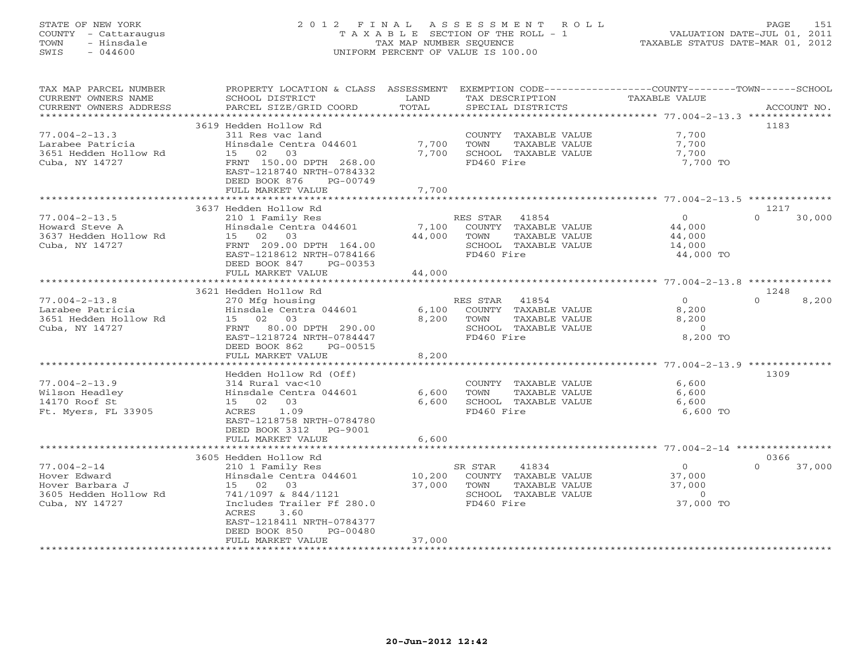# STATE OF NEW YORK 2 0 1 2 F I N A L A S S E S S M E N T R O L L PAGE 151 COUNTY - Cattaraugus T A X A B L E SECTION OF THE ROLL - 1 VALUATION DATE-JUL 01, 2011 TOWN - Hinsdale TAX MAP NUMBER SEQUENCE TAXABLE STATUS DATE-MAR 01, 2012 SWIS - 044600 UNIFORM PERCENT OF VALUE IS 100.00UNIFORM PERCENT OF VALUE IS 100.00

| TAX MAP PARCEL NUMBER<br>CURRENT OWNERS NAME<br>CURRENT OWNERS ADDRESS                          | PROPERTY LOCATION & CLASS ASSESSMENT<br>SCHOOL DISTRICT<br>PARCEL SIZE/GRID COORD                                                                                                                               | LAND<br>TOTAL                    | EXEMPTION CODE-----------------COUNTY-------TOWN------SCHOOL<br>TAX DESCRIPTION<br>SPECIAL DISTRICTS     | <b>TAXABLE VALUE</b>                                | ACCOUNT NO.              |
|-------------------------------------------------------------------------------------------------|-----------------------------------------------------------------------------------------------------------------------------------------------------------------------------------------------------------------|----------------------------------|----------------------------------------------------------------------------------------------------------|-----------------------------------------------------|--------------------------|
| *************************                                                                       |                                                                                                                                                                                                                 |                                  |                                                                                                          |                                                     |                          |
| $77.004 - 2 - 13.3$<br>Larabee Patricia<br>3651 Hedden Hollow Rd<br>Cuba, NY 14727              | 3619 Hedden Hollow Rd<br>311 Res vac land<br>Hinsdale Centra 044601<br>03<br>15 02<br>FRNT 150.00 DPTH 268.00<br>EAST-1218740 NRTH-0784332<br>DEED BOOK 876<br>PG-00749                                         | 7,700<br>7,700                   | COUNTY TAXABLE VALUE<br>TOWN<br>TAXABLE VALUE<br>SCHOOL TAXABLE VALUE<br>FD460 Fire                      | 7,700<br>7,700<br>7,700<br>7,700 TO                 | 1183                     |
|                                                                                                 | FULL MARKET VALUE<br>**********************                                                                                                                                                                     | 7,700<br>* * * * * * * * * * * * |                                                                                                          |                                                     |                          |
|                                                                                                 |                                                                                                                                                                                                                 |                                  |                                                                                                          | ********************* 77.004-2-13.5 **************  |                          |
| $77.004 - 2 - 13.5$<br>Howard Steve A<br>3637 Hedden Hollow Rd<br>Cuba, NY 14727                | 3637 Hedden Hollow Rd<br>210 1 Family Res<br>Hinsdale Centra 044601<br>15 02 03<br>FRNT 209.00 DPTH 164.00<br>EAST-1218612 NRTH-0784166<br>DEED BOOK 847<br>PG-00353<br>FULL MARKET VALUE                       | 7,100<br>44,000<br>44,000        | RES STAR 41854<br>COUNTY TAXABLE VALUE<br>TOWN<br>TAXABLE VALUE<br>SCHOOL TAXABLE VALUE<br>FD460 Fire    | $\circ$<br>44,000<br>44,000<br>14,000<br>44,000 TO  | 1217<br>$\cap$<br>30,000 |
|                                                                                                 | **********************                                                                                                                                                                                          |                                  |                                                                                                          |                                                     |                          |
|                                                                                                 | 3621 Hedden Hollow Rd                                                                                                                                                                                           |                                  |                                                                                                          |                                                     | 1248                     |
| $77.004 - 2 - 13.8$<br>Larabee Patricia<br>3651 Hedden Hollow Rd<br>Cuba, NY 14727              | 270 Mfg housing<br>Hinsdale Centra 044601<br>15 02 03<br>FRNT 80.00 DPTH 290.00<br>EAST-1218724 NRTH-0784447<br>DEED BOOK 862<br>PG-00515<br>FULL MARKET VALUE                                                  | 6,100<br>8,200<br>8,200          | RES STAR<br>41854<br>COUNTY TAXABLE VALUE<br>TOWN<br>TAXABLE VALUE<br>SCHOOL TAXABLE VALUE<br>FD460 Fire | $\Omega$<br>8,200<br>8,200<br>$\Omega$<br>8,200 TO  | $\Omega$<br>8,200        |
|                                                                                                 | . * * * * * * * * * * * * * * * * * *                                                                                                                                                                           | ***********                      |                                                                                                          | ******************** 77.004-2-13.9 **************   |                          |
| $77.004 - 2 - 13.9$<br>Wilson Headley<br>14170 Roof St<br>Ft. Myers, FL 33905                   | Hedden Hollow Rd (Off)<br>314 Rural vac<10<br>Hinsdale Centra 044601<br>15 02 03<br>1.09<br>ACRES<br>EAST-1218758 NRTH-0784780<br>DEED BOOK 3312<br>PG-9001<br>FULL MARKET VALUE                                | 6,600<br>6,600<br>6,600          | COUNTY TAXABLE VALUE<br><b>TOWN</b><br>TAXABLE VALUE<br>SCHOOL TAXABLE VALUE<br>FD460 Fire               | 6,600<br>6,600<br>6,600<br>6,600 TO                 | 1309                     |
|                                                                                                 |                                                                                                                                                                                                                 |                                  |                                                                                                          |                                                     |                          |
|                                                                                                 | 3605 Hedden Hollow Rd                                                                                                                                                                                           |                                  |                                                                                                          |                                                     | 0366                     |
| $77.004 - 2 - 14$<br>Hover Edward<br>Hover Barbara J<br>3605 Hedden Hollow Rd<br>Cuba, NY 14727 | 210 1 Family Res<br>Hinsdale Centra 044601<br>15 02<br>03<br>741/1097 & 844/1121<br>Includes Trailer Ff 280.0<br>ACRES<br>3.60<br>EAST-1218411 NRTH-0784377<br>DEED BOOK 850<br>$PG-00480$<br>FULL MARKET VALUE | 10,200<br>37,000<br>37,000       | 41834<br>SR STAR<br>COUNTY TAXABLE VALUE<br>TOWN<br>TAXABLE VALUE<br>SCHOOL TAXABLE VALUE<br>FD460 Fire  | $\circ$<br>37,000<br>37,000<br>$\circ$<br>37,000 TO | 37,000<br>$\Omega$       |
|                                                                                                 |                                                                                                                                                                                                                 |                                  | *******************************                                                                          |                                                     |                          |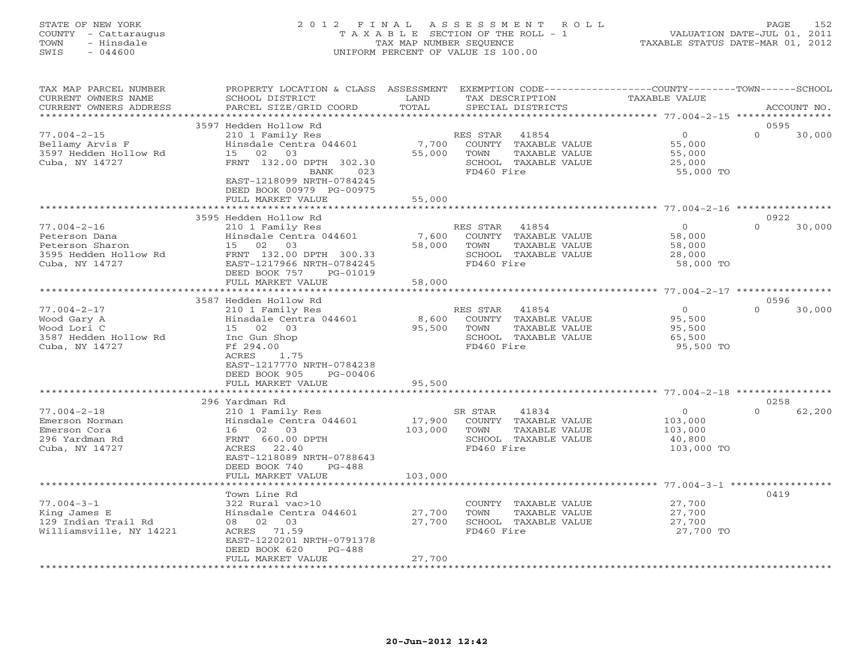# STATE OF NEW YORK 2 0 1 2 F I N A L A S S E S S M E N T R O L L PAGE 152 COUNTY - Cattaraugus T A X A B L E SECTION OF THE ROLL - 1 VALUATION DATE-JUL 01, 2011 TOWN - Hinsdale TAX MAP NUMBER SEQUENCE TAXABLE STATUS DATE-MAR 01, 2012 SWIS - 044600 UNIFORM PERCENT OF VALUE IS 100.00UNIFORM PERCENT OF VALUE IS 100.00

| SCHOOL DISTRICT<br>PARCEL SIZE/GRID COORD                                                                                                                            | LAND<br>TOTAL                                                                                                                                            | TAX DESCRIPTION<br>SPECIAL DISTRICTS                                                                    | TAXABLE VALUE                                                                             | ACCOUNT NO.                                                                               |
|----------------------------------------------------------------------------------------------------------------------------------------------------------------------|----------------------------------------------------------------------------------------------------------------------------------------------------------|---------------------------------------------------------------------------------------------------------|-------------------------------------------------------------------------------------------|-------------------------------------------------------------------------------------------|
|                                                                                                                                                                      |                                                                                                                                                          |                                                                                                         |                                                                                           |                                                                                           |
| 210 1 Family Res<br>Hinsdale Centra 044601<br>02<br>03<br>15<br>FRNT 132.00 DPTH 302.30<br>023<br>BANK<br>EAST-1218099 NRTH-0784245<br>DEED BOOK 00979 PG-00975      | 55,000                                                                                                                                                   | 41854<br>COUNTY TAXABLE VALUE<br>TAXABLE VALUE<br>TOWN<br>SCHOOL TAXABLE VALUE<br>FD460 Fire            | $\overline{O}$<br>55,000<br>55,000<br>25,000<br>55,000 TO                                 | 0595<br>$\Omega$<br>30,000                                                                |
| *******************                                                                                                                                                  |                                                                                                                                                          |                                                                                                         |                                                                                           |                                                                                           |
| 210 1 Family Res<br>Hinsdale Centra 044601<br>15 02 03<br>FRNT 132.00 DPTH 300.33<br>EAST-1217966 NRTH-0784245<br>DEED BOOK 757<br>PG-01019                          | 58,000                                                                                                                                                   | 41854<br>COUNTY TAXABLE VALUE<br>TOWN<br>TAXABLE VALUE<br>SCHOOL TAXABLE VALUE<br>FD460 Fire            | $\overline{0}$<br>58,000<br>58,000<br>28,000<br>58,000 TO                                 | 0922<br>30,000<br>$\Omega$                                                                |
|                                                                                                                                                                      |                                                                                                                                                          |                                                                                                         |                                                                                           |                                                                                           |
|                                                                                                                                                                      |                                                                                                                                                          |                                                                                                         |                                                                                           | 0596                                                                                      |
| 210 1 Family Res<br>Hinsdale Centra 044601<br>15 02 03<br>Inc Gun Shop<br>Ff 294.00<br>ACRES<br>1.75<br>EAST-1217770 NRTH-0784238<br>DEED BOOK 905<br>PG-00406       | 8,600<br>95,500                                                                                                                                          | 41854<br>COUNTY TAXABLE VALUE<br>TOWN<br>TAXABLE VALUE<br>SCHOOL TAXABLE VALUE<br>FD460 Fire            | $\Omega$<br>95,500<br>95,500<br>65,500<br>95,500 TO                                       | $\cap$<br>30,000                                                                          |
| FULL MARKET VALUE                                                                                                                                                    | 95,500                                                                                                                                                   |                                                                                                         |                                                                                           |                                                                                           |
|                                                                                                                                                                      |                                                                                                                                                          |                                                                                                         |                                                                                           | 0258                                                                                      |
| 210 1 Family Res<br>Hinsdale Centra 044601<br>16 02 03<br>FRNT 660.00 DPTH<br>ACRES 22.40<br>EAST-1218089 NRTH-0788643<br>DEED BOOK 740<br>$PG-488$                  | 103,000                                                                                                                                                  | 41834<br>SR STAR<br>COUNTY TAXABLE VALUE<br>TOWN<br>TAXABLE VALUE<br>SCHOOL TAXABLE VALUE<br>FD460 Fire | $\overline{0}$<br>103,000<br>103,000<br>40,800<br>103,000 TO                              | $\Omega$<br>62,200                                                                        |
|                                                                                                                                                                      |                                                                                                                                                          |                                                                                                         |                                                                                           |                                                                                           |
| Town Line Rd<br>322 Rural vac>10<br>Hinsdale Centra 044601<br>08 02 03<br>ACRES 71.59<br>EAST-1220201 NRTH-0791378<br>DEED BOOK 620<br>$PG-488$<br>FULL MARKET VALUE | 27,700<br>27,700<br>27,700                                                                                                                               | COUNTY TAXABLE VALUE<br>TOWN<br>TAXABLE VALUE<br>SCHOOL TAXABLE VALUE<br>FD460 Fire                     | 27,700<br>27,700<br>27,700<br>27,700 TO                                                   | 0419                                                                                      |
|                                                                                                                                                                      | 3597 Hedden Hollow Rd<br>FULL MARKET VALUE<br>3595 Hedden Hollow Rd<br>FULL MARKET VALUE<br>3587 Hedden Hollow Rd<br>296 Yardman Rd<br>FULL MARKET VALUE | PROPERTY LOCATION & CLASS ASSESSMENT<br>55,000<br>58,000<br>103,000                                     | RES STAR<br>7,700<br>* * * * * * * * * * * * *<br>RES STAR<br>7,600<br>RES STAR<br>17,900 | EXEMPTION CODE-----------------COUNTY-------TOWN-----SCHOOL<br>********** 77.004-3-1 **** |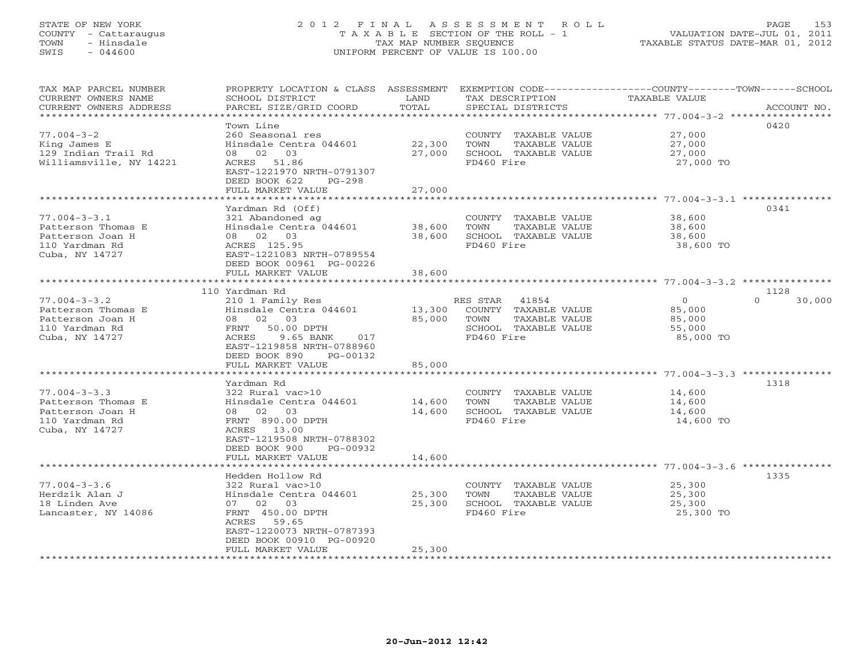# STATE OF NEW YORK 2 0 1 2 F I N A L A S S E S S M E N T R O L L PAGE 153 COUNTY - Cattaraugus T A X A B L E SECTION OF THE ROLL - 1 VALUATION DATE-JUL 01, 2011 TOWN - Hinsdale TAX MAP NUMBER SEQUENCE TAXABLE STATUS DATE-MAR 01, 2012 SWIS - 044600 UNIFORM PERCENT OF VALUE IS 100.00UNIFORM PERCENT OF VALUE IS 100.00

| TAX MAP PARCEL NUMBER<br>CURRENT OWNERS NAME<br>CURRENT OWNERS ADDRESS<br>********************** | SCHOOL DISTRICT<br>PARCEL SIZE/GRID COORD                                                                                                                                             | LAND<br>TOTAL              | TAX DESCRIPTION<br>SPECIAL DISTRICTS                                                                  | PROPERTY LOCATION & CLASS ASSESSMENT EXEMPTION CODE---------------COUNTY-------TOWN-----SCHOOL<br>TAXABLE VALUE<br>ACCOUNT NO. |
|--------------------------------------------------------------------------------------------------|---------------------------------------------------------------------------------------------------------------------------------------------------------------------------------------|----------------------------|-------------------------------------------------------------------------------------------------------|--------------------------------------------------------------------------------------------------------------------------------|
| $77.004 - 3 - 2$<br>King James E<br>129 Indian Trail Rd<br>Williamsville, NY 14221               | Town Line<br>260 Seasonal res<br>Hinsdale Centra 044601<br>08 02 03<br>ACRES 51.86<br>EAST-1221970 NRTH-0791307<br>DEED BOOK 622<br>PG-298<br>FULL MARKET VALUE                       | 22,300<br>27,000<br>27,000 | COUNTY TAXABLE VALUE<br>TOWN<br>TAXABLE VALUE<br>SCHOOL TAXABLE VALUE<br>FD460 Fire                   | 0420<br>27,000<br>27,000<br>27,000<br>27,000 TO                                                                                |
|                                                                                                  |                                                                                                                                                                                       |                            |                                                                                                       |                                                                                                                                |
| $77.004 - 3 - 3.1$<br>Patterson Thomas E<br>Patterson Joan H<br>110 Yardman Rd<br>Cuba, NY 14727 | Yardman Rd (Off)<br>321 Abandoned ag<br>Hinsdale Centra 044601<br>08 02 03<br>ACRES 125.95<br>EAST-1221083 NRTH-0789554<br>DEED BOOK 00961 PG-00226                                   | 38,600<br>38,600           | COUNTY TAXABLE VALUE<br>TOWN<br>TAXABLE VALUE<br>SCHOOL TAXABLE VALUE<br>FD460 Fire                   | 0341<br>38,600<br>38,600<br>38,600<br>38,600 TO                                                                                |
|                                                                                                  | FULL MARKET VALUE                                                                                                                                                                     | 38,600                     |                                                                                                       |                                                                                                                                |
|                                                                                                  | 110 Yardman Rd                                                                                                                                                                        |                            |                                                                                                       | 1128                                                                                                                           |
| $77.004 - 3 - 3.2$<br>Patterson Thomas E<br>Patterson Joan H<br>110 Yardman Rd<br>Cuba, NY 14727 | 210 1 Family Res<br>Hinsdale Centra 044601<br>08 02 03<br>FRNT 50.00 DPTH<br>ACRES<br>9.65 BANK<br>017<br>EAST-1219858 NRTH-0788960<br>DEED BOOK 890<br>PG-00132<br>FULL MARKET VALUE | 13,300<br>85,000<br>85,000 | RES STAR 41854<br>COUNTY TAXABLE VALUE<br>TOWN<br>TAXABLE VALUE<br>SCHOOL TAXABLE VALUE<br>FD460 Fire | $\overline{O}$<br>$\Omega$<br>30,000<br>85,000<br>85,000<br>55,000<br>85,000 TO                                                |
|                                                                                                  |                                                                                                                                                                                       |                            |                                                                                                       |                                                                                                                                |
| $77.004 - 3 - 3.3$<br>Patterson Thomas E<br>Patterson Joan H<br>110 Yardman Rd<br>Cuba, NY 14727 | Yardman Rd<br>322 Rural vac>10<br>Hinsdale Centra 044601<br>08 02 03<br>FRNT 890.00 DPTH<br>ACRES 13.00<br>EAST-1219508 NRTH-0788302<br>DEED BOOK 900<br>PG-00932                     | 14,600<br>14,600           | COUNTY TAXABLE VALUE<br>TOWN<br>TAXABLE VALUE<br>SCHOOL TAXABLE VALUE<br>FD460 Fire                   | 1318<br>14,600<br>14,600<br>14,600<br>14,600 TO                                                                                |
|                                                                                                  | FULL MARKET VALUE                                                                                                                                                                     | 14,600                     |                                                                                                       |                                                                                                                                |
| $77.004 - 3 - 3.6$<br>Herdzik Alan J<br>18 Linden Ave<br>Lancaster, NY 14086                     | Hedden Hollow Rd<br>322 Rural vac>10<br>Hinsdale Centra 044601<br>07 02 03<br>FRNT 450.00 DPTH<br>ACRES 59.65<br>EAST-1220073 NRTH-0787393<br>DEED BOOK 00910 PG-00920                | 25,300<br>25,300           | COUNTY TAXABLE VALUE<br>TOWN<br>TAXABLE VALUE<br>SCHOOL TAXABLE VALUE<br>FD460 Fire                   | 1335<br>25,300<br>25,300<br>25,300<br>25,300 TO                                                                                |
|                                                                                                  | FULL MARKET VALUE                                                                                                                                                                     | 25,300                     |                                                                                                       |                                                                                                                                |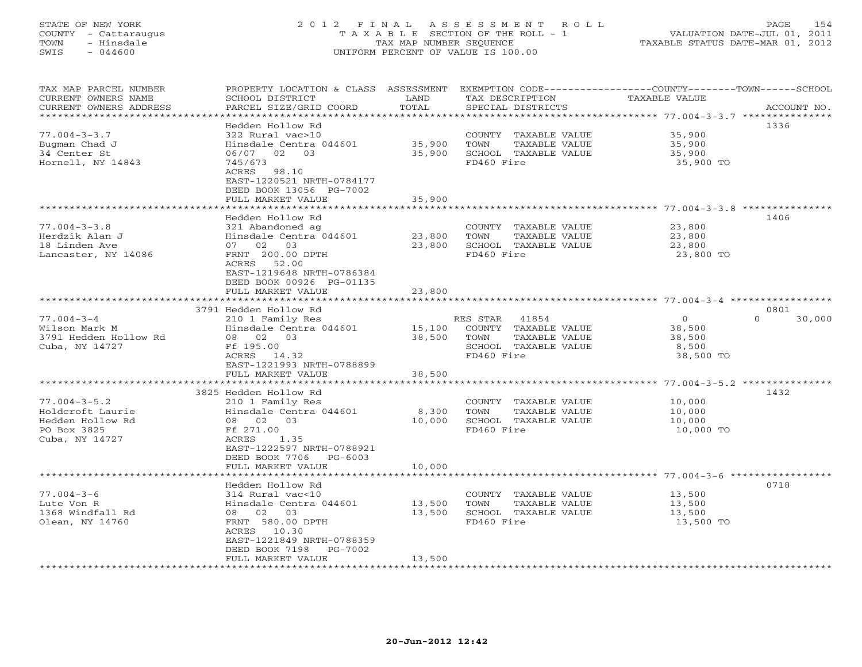# STATE OF NEW YORK 2 0 1 2 F I N A L A S S E S S M E N T R O L L PAGE 154 COUNTY - Cattaraugus T A X A B L E SECTION OF THE ROLL - 1 VALUATION DATE-JUL 01, 2011 TOWN - Hinsdale TAX MAP NUMBER SEQUENCE TAXABLE STATUS DATE-MAR 01, 2012 SWIS - 044600 UNIFORM PERCENT OF VALUE IS 100.00UNIFORM PERCENT OF VALUE IS 100.00

| TAX MAP PARCEL NUMBER<br>CURRENT OWNERS NAME<br>CURRENT OWNERS ADDRESS                      | PROPERTY LOCATION & CLASS ASSESSMENT<br>SCHOOL DISTRICT<br>PARCEL SIZE/GRID COORD                                                                                                                  | LAND<br>TOTAL              | EXEMPTION CODE-----------------COUNTY-------TOWN------SCHOOL<br>TAX DESCRIPTION<br>SPECIAL DISTRICTS     | TAXABLE VALUE                                                                          | ACCOUNT NO.                |
|---------------------------------------------------------------------------------------------|----------------------------------------------------------------------------------------------------------------------------------------------------------------------------------------------------|----------------------------|----------------------------------------------------------------------------------------------------------|----------------------------------------------------------------------------------------|----------------------------|
| ************************                                                                    |                                                                                                                                                                                                    |                            |                                                                                                          |                                                                                        |                            |
| $77.004 - 3 - 3.7$<br>Bugman Chad J<br>34 Center St<br>Hornell, NY 14843                    | Hedden Hollow Rd<br>322 Rural vac>10<br>Hinsdale Centra 044601<br>06/07<br>02<br>03<br>745/673<br>ACRES<br>98.10<br>EAST-1220521 NRTH-0784177                                                      | 35,900<br>35,900           | COUNTY TAXABLE VALUE<br>TOWN<br>TAXABLE VALUE<br>SCHOOL TAXABLE VALUE<br>FD460 Fire                      | 35,900<br>35,900<br>35,900<br>35,900 TO                                                | 1336                       |
|                                                                                             | DEED BOOK 13056 PG-7002                                                                                                                                                                            |                            |                                                                                                          |                                                                                        |                            |
|                                                                                             | FULL MARKET VALUE                                                                                                                                                                                  | 35,900                     |                                                                                                          | $77.004 - 3 - 3.8$                                                                     |                            |
| $77.004 - 3 - 3.8$<br>Herdzik Alan J<br>18 Linden Ave<br>Lancaster, NY 14086                | Hedden Hollow Rd<br>321 Abandoned ag<br>Hinsdale Centra 044601<br>07 02<br>03<br>FRNT 200.00 DPTH<br>52.00<br>ACRES<br>EAST-1219648 NRTH-0786384<br>DEED BOOK 00926 PG-01135<br>FULL MARKET VALUE  | 23,800<br>23,800<br>23,800 | COUNTY TAXABLE VALUE<br>TOWN<br>TAXABLE VALUE<br>SCHOOL TAXABLE VALUE<br>FD460 Fire                      | 23,800<br>23,800<br>23,800<br>23,800 TO                                                | 1406                       |
|                                                                                             |                                                                                                                                                                                                    |                            |                                                                                                          | ******** 77.004-3-4 **                                                                 |                            |
| $77.004 - 3 - 4$<br>Wilson Mark M<br>3791 Hedden Hollow Rd<br>Cuba, NY 14727                | 3791 Hedden Hollow Rd<br>210 1 Family Res<br>Hinsdale Centra 044601<br>03<br>08 02<br>Ff 195.00<br>ACRES 14.32<br>EAST-1221993 NRTH-0788899<br>FULL MARKET VALUE                                   | 15,100<br>38,500<br>38,500 | 41854<br>RES STAR<br>COUNTY TAXABLE VALUE<br>TOWN<br>TAXABLE VALUE<br>SCHOOL TAXABLE VALUE<br>FD460 Fire | $\circ$<br>38,500<br>38,500<br>8,500<br>38,500 TO                                      | 0801<br>$\Omega$<br>30,000 |
|                                                                                             |                                                                                                                                                                                                    |                            |                                                                                                          | ************* 77.004-3-5.2 ***************                                             |                            |
| $77.004 - 3 - 5.2$<br>Holdcroft Laurie<br>Hedden Hollow Rd<br>PO Box 3825<br>Cuba, NY 14727 | 3825 Hedden Hollow Rd<br>210 1 Family Res<br>Hinsdale Centra 044601<br>08 02<br>03<br>Ff 271.00<br>ACRES<br>1.35<br>EAST-1222597 NRTH-0788921<br>DEED BOOK 7706<br>PG-6003                         | 8,300<br>10,000            | COUNTY<br>TAXABLE VALUE<br>TOWN<br>TAXABLE VALUE<br>SCHOOL TAXABLE VALUE<br>FD460 Fire                   | 10,000<br>10,000<br>10,000<br>10,000 TO                                                | 1432                       |
|                                                                                             | FULL MARKET VALUE                                                                                                                                                                                  | 10,000                     |                                                                                                          |                                                                                        |                            |
| $77.004 - 3 - 6$<br>Lute Von R<br>1368 Windfall Rd<br>Olean, NY 14760                       | Hedden Hollow Rd<br>314 Rural vac<10<br>Hinsdale Centra 044601<br>08 02<br>03<br>FRNT 580.00 DPTH<br>10.30<br>ACRES<br>EAST-1221849 NRTH-0788359<br>DEED BOOK 7198<br>PG-7002<br>FULL MARKET VALUE | 13,500<br>13,500<br>13,500 | COUNTY<br>TAXABLE VALUE<br>TOWN<br>TAXABLE VALUE<br>SCHOOL TAXABLE VALUE<br>FD460 Fire                   | ********************* 77.004-3-6 **********<br>13,500<br>13,500<br>13,500<br>13,500 TO | 0718                       |
|                                                                                             |                                                                                                                                                                                                    |                            |                                                                                                          |                                                                                        |                            |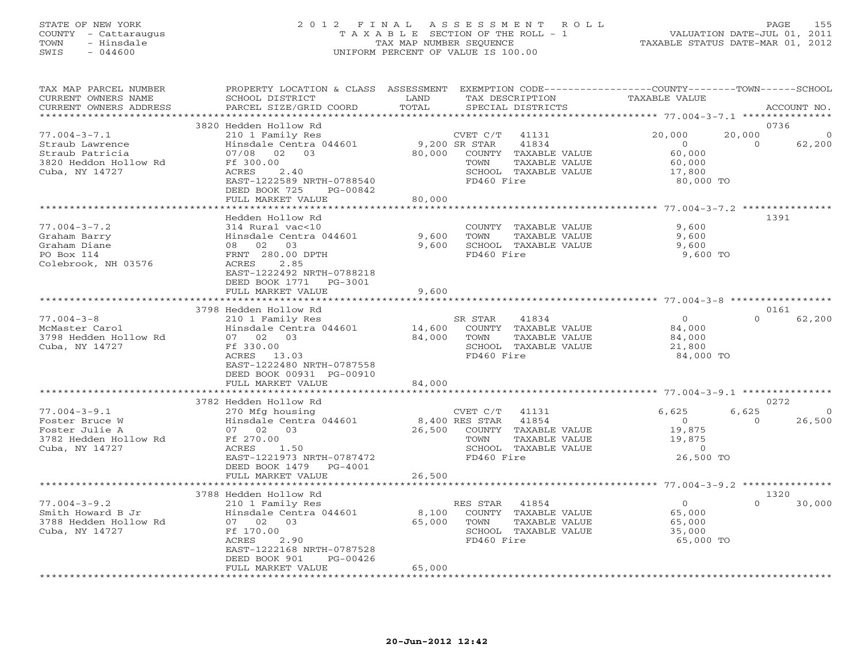#### STATE OF NEW YORK 2 0 1 2 F I N A L A S S E S S M E N T R O L L PAGE 155 COUNTY - Cattaraugus T A X A B L E SECTION OF THE ROLL - 1 VALUATION DATE-JUL 01, 2011 TOWN - Hinsdale TAX MAP NUMBER SEQUENCE TAXABLE STATUS DATE-MAR 01, 2012 SWIS - 044600 UNIFORM PERCENT OF VALUE IS 100.00UNIFORM PERCENT OF VALUE IS 100.00

| TAX MAP PARCEL NUMBER<br>CURRENT OWNERS NAME<br>CURRENT OWNERS ADDRESS                              | PROPERTY LOCATION & CLASS ASSESSMENT<br>SCHOOL DISTRICT<br>PARCEL SIZE/GRID COORD                                                                                                                 | LAND<br>TAX DESCRIPTION<br>TOTAL<br>SPECIAL DISTRICTS                                                                                         | EXEMPTION CODE-----------------COUNTY-------TOWN------SCHOOL<br>TAXABLE VALUE<br>ACCOUNT NO.                    |
|-----------------------------------------------------------------------------------------------------|---------------------------------------------------------------------------------------------------------------------------------------------------------------------------------------------------|-----------------------------------------------------------------------------------------------------------------------------------------------|-----------------------------------------------------------------------------------------------------------------|
|                                                                                                     |                                                                                                                                                                                                   | **********                                                                                                                                    |                                                                                                                 |
| $77.004 - 3 - 7.1$<br>Straub Lawrence<br>Straub Patricia<br>3820 Heddon Hollow Rd<br>Cuba, NY 14727 | 3820 Hedden Hollow Rd<br>210 1 Family Res<br>Hinsdale Centra 044601<br>07/08<br>02<br>03<br>Ff 300.00<br>ACRES<br>2.40<br>EAST-1222589 NRTH-0788540<br>DEED BOOK 725<br>PG-00842                  | CVET C/T<br>41131<br>9,200 SR STAR<br>41834<br>80,000<br>COUNTY TAXABLE VALUE<br>TAXABLE VALUE<br>TOWN<br>SCHOOL TAXABLE VALUE<br>FD460 Fire  | 0736<br>20,000<br>20,000<br>$\overline{0}$<br>62,200<br>$\Omega$<br>60,000<br>60,000<br>17,800<br>80,000 TO     |
|                                                                                                     | FULL MARKET VALUE                                                                                                                                                                                 | 80,000                                                                                                                                        |                                                                                                                 |
|                                                                                                     |                                                                                                                                                                                                   |                                                                                                                                               | ******** 77.004-3-7.2 *********                                                                                 |
| $77.004 - 3 - 7.2$<br>Graham Barry<br>Graham Diane<br>PO Box 114<br>Colebrook, NH 03576             | Hedden Hollow Rd<br>314 Rural vac<10<br>Hinsdale Centra 044601<br>08 02 03<br>FRNT 280.00 DPTH<br>2.85<br>ACRES<br>EAST-1222492 NRTH-0788218<br>DEED BOOK 1771<br>$PG-3001$                       | COUNTY<br>TAXABLE VALUE<br>9,600<br>TOWN<br>TAXABLE VALUE<br>SCHOOL TAXABLE VALUE<br>9,600<br>FD460 Fire                                      | 1391<br>9,600<br>9,600<br>9,600<br>9,600 TO                                                                     |
|                                                                                                     | FULL MARKET VALUE                                                                                                                                                                                 | 9,600                                                                                                                                         |                                                                                                                 |
|                                                                                                     |                                                                                                                                                                                                   |                                                                                                                                               |                                                                                                                 |
|                                                                                                     | 3798 Hedden Hollow Rd                                                                                                                                                                             |                                                                                                                                               | 0161                                                                                                            |
| $77.004 - 3 - 8$<br>McMaster Carol<br>3798 Hedden Hollow Rd<br>Cuba, NY 14727                       | 210 1 Family Res<br>Hinsdale Centra 044601<br>07 02<br>03<br>Ff 330.00<br>ACRES 13.03<br>EAST-1222480 NRTH-0787558<br>DEED BOOK 00931 PG-00910                                                    | SR STAR<br>41834<br>14,600<br>COUNTY<br>TAXABLE VALUE<br>84,000<br>TOWN<br>TAXABLE VALUE<br>SCHOOL TAXABLE VALUE<br>FD460 Fire                | $\overline{0}$<br>$\Omega$<br>62,200<br>84,000<br>84,000<br>21,800<br>84,000 TO                                 |
|                                                                                                     | FULL MARKET VALUE                                                                                                                                                                                 | 84,000                                                                                                                                        |                                                                                                                 |
|                                                                                                     | **********************                                                                                                                                                                            |                                                                                                                                               |                                                                                                                 |
|                                                                                                     | 3782 Hedden Hollow Rd                                                                                                                                                                             |                                                                                                                                               | 0272                                                                                                            |
| $77.004 - 3 - 9.1$<br>Foster Bruce W<br>Foster Julie A<br>3782 Hedden Hollow Rd<br>Cuba, NY 14727   | 270 Mfg housing<br>Hinsdale Centra 044601<br>07 02<br>03<br>Ff 270.00<br>ACRES<br>1.50<br>EAST-1221973 NRTH-0787472<br>DEED BOOK 1479<br>PG-4001                                                  | CVET C/T<br>41131<br>41854<br>8,400 RES STAR<br>26,500<br>COUNTY TAXABLE VALUE<br>TAXABLE VALUE<br>TOWN<br>SCHOOL TAXABLE VALUE<br>FD460 Fire | 6,625<br>6,625<br>$\overline{0}$<br>26,500<br>$\Omega$<br>$\Omega$<br>19,875<br>19,875<br>$\Omega$<br>26,500 TO |
|                                                                                                     | FULL MARKET VALUE                                                                                                                                                                                 | 26,500                                                                                                                                        |                                                                                                                 |
|                                                                                                     |                                                                                                                                                                                                   |                                                                                                                                               | ********* 77.004-3-9.2 ***************                                                                          |
| $77.004 - 3 - 9.2$<br>Smith Howard B Jr<br>3788 Hedden Hollow Rd<br>Cuba, NY 14727                  | 3788 Hedden Hollow Rd<br>210 1 Family Res<br>Hinsdale Centra 044601<br>07 02<br>03<br>Ff 170.00<br>ACRES<br>2.90<br>EAST-1222168 NRTH-0787528<br>DEED BOOK 901<br>$PG-00426$<br>FULL MARKET VALUE | 41854<br>RES STAR<br>8,100<br>COUNTY TAXABLE VALUE<br>65,000<br>TOWN<br>TAXABLE VALUE<br>SCHOOL TAXABLE VALUE<br>FD460 Fire<br>65,000         | 1320<br>$\overline{0}$<br>$\Omega$<br>30,000<br>65,000<br>65,000<br>35,000<br>65,000 TO                         |
|                                                                                                     |                                                                                                                                                                                                   |                                                                                                                                               |                                                                                                                 |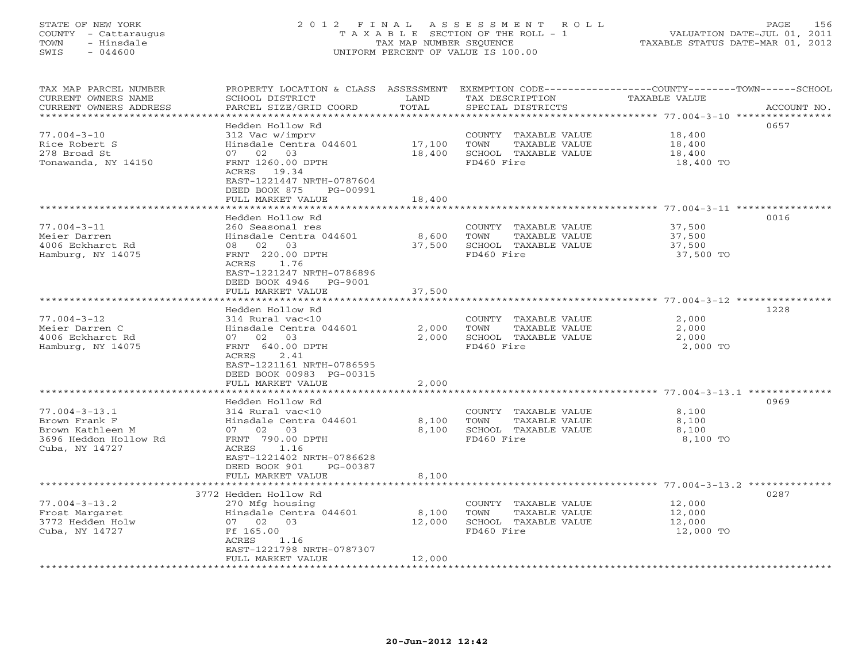# STATE OF NEW YORK 2 0 1 2 F I N A L A S S E S S M E N T R O L L PAGE 156 COUNTY - Cattaraugus T A X A B L E SECTION OF THE ROLL - 1 VALUATION DATE-JUL 01, 2011 TOWN - Hinsdale TAX MAP NUMBER SEQUENCE TAXABLE STATUS DATE-MAR 01, 2012 SWIS - 044600 UNIFORM PERCENT OF VALUE IS 100.00

TAX MAP PARCEL NUMBER PROPERTY LOCATION & CLASS ASSESSMENT EXEMPTION CODE-----------------COUNTY-------TOWN------SCHOOL<br>CURRENT OWNERS NAME SCHOOL DISTRICT LAND TAX DESC \*\*\*\*\*\*\*\*\*\*\*\*\*\*\*\*\*\*\*\*\*\*\*\*\*\*\*\*\*\*\*\*\*\*\*\*\*\*\*\*\*\*\*\*\*\*\*\*\*\*\*\*\*\*\*\*\*\*\*\*\*\*\*\*\*\*\*\*\*\*\*\*\*\*\*\*\*\*\*\*\*\*\*\*\*\*\*\*\*\*\*\*\*\*\*\*\*\*\*\*\*\*\* 77.004-3-10 \*\*\*\*\*\*\*\*\*\*\*\*\*\*\*\* Hedden Hollow Rd 065777.004-3-10 312 Vac w/imprv COUNTY TAXABLE VALUE 18,400 Rice Robert S Hinsdale Centra 044601 17,100 TOWN TAXABLE VALUE 18,400 278 Broad St 07 02 03 18,400 SCHOOL TAXABLE VALUE 18,400 Tonawanda, NY 14150 FRNT 1260.00 DPTH FD460 Fire 18,400 TO ACRES 19.34 EAST-1221447 NRTH-0787604 DEED BOOK 875 PG-00991FULL MARKET VALUE 18,400 \*\*\*\*\*\*\*\*\*\*\*\*\*\*\*\*\*\*\*\*\*\*\*\*\*\*\*\*\*\*\*\*\*\*\*\*\*\*\*\*\*\*\*\*\*\*\*\*\*\*\*\*\*\*\*\*\*\*\*\*\*\*\*\*\*\*\*\*\*\*\*\*\*\*\*\*\*\*\*\*\*\*\*\*\*\*\*\*\*\*\*\*\*\*\*\*\*\*\*\*\*\*\* 77.004-3-11 \*\*\*\*\*\*\*\*\*\*\*\*\*\*\*\* Hedden Hollow Rd 001677.004-3-11 260 Seasonal res COUNTY TAXABLE VALUE 37,500 Meier Darren Hinsdale Centra 044601 8,600 TOWN TAXABLE VALUE 37,500 4006 Eckharct Rd 08 02 03 37,500 SCHOOL TAXABLE VALUE 37,500 Hamburg, NY 14075 FRNT 220.00 DPTH FD460 Fire 37,500 TO ACRES 1.76 EAST-1221247 NRTH-0786896 DEED BOOK 4946 PG-9001 FULL MARKET VALUE 37,500 \*\*\*\*\*\*\*\*\*\*\*\*\*\*\*\*\*\*\*\*\*\*\*\*\*\*\*\*\*\*\*\*\*\*\*\*\*\*\*\*\*\*\*\*\*\*\*\*\*\*\*\*\*\*\*\*\*\*\*\*\*\*\*\*\*\*\*\*\*\*\*\*\*\*\*\*\*\*\*\*\*\*\*\*\*\*\*\*\*\*\*\*\*\*\*\*\*\*\*\*\*\*\* 77.004-3-12 \*\*\*\*\*\*\*\*\*\*\*\*\*\*\*\* Hedden Hollow Rd 122877.004-3-12 314 Rural vac<10 COUNTY TAXABLE VALUE 2,000 Meier Darren C Hinsdale Centra 044601 2,000 TOWN TAXABLE VALUE 2,000 4006 Eckharct Rd 07 02 03 2,000 SCHOOL TAXABLE VALUE 2,000 Hamburg, NY 14075 FRNT 640.00 DPTH FD460 Fire 2,000 TO ACRES 2.41 EAST-1221161 NRTH-0786595DEED BOOK 00983 PG-00315 FULL MARKET VALUE 2,000 \*\*\*\*\*\*\*\*\*\*\*\*\*\*\*\*\*\*\*\*\*\*\*\*\*\*\*\*\*\*\*\*\*\*\*\*\*\*\*\*\*\*\*\*\*\*\*\*\*\*\*\*\*\*\*\*\*\*\*\*\*\*\*\*\*\*\*\*\*\*\*\*\*\*\*\*\*\*\*\*\*\*\*\*\*\*\*\*\*\*\*\*\*\*\*\*\*\*\*\*\*\*\* 77.004-3-13.1 \*\*\*\*\*\*\*\*\*\*\*\*\*\* Hedden Hollow Rd 096977.004-3-13.1 314 Rural vac<10 COUNTY TAXABLE VALUE 8,100 Brown Frank F Hinsdale Centra 044601 8,100 TOWN TAXABLE VALUE 8,100 Brown Kathleen M 07 02 03 8,100 SCHOOL TAXABLE VALUE 8,100 3696 Heddon Hollow Rd FRNT 790.00 DPTH FD460 Fire 8,100 TO Cuba, NY 14727 ACRES 1.16 EAST-1221402 NRTH-0786628 DEED BOOK 901 PG-00387 FULL MARKET VALUE 8,100 \*\*\*\*\*\*\*\*\*\*\*\*\*\*\*\*\*\*\*\*\*\*\*\*\*\*\*\*\*\*\*\*\*\*\*\*\*\*\*\*\*\*\*\*\*\*\*\*\*\*\*\*\*\*\*\*\*\*\*\*\*\*\*\*\*\*\*\*\*\*\*\*\*\*\*\*\*\*\*\*\*\*\*\*\*\*\*\*\*\*\*\*\*\*\*\*\*\*\*\*\*\*\* 77.004-3-13.2 \*\*\*\*\*\*\*\*\*\*\*\*\*\* 3772 Hedden Hollow Rd 028777.004-3-13.2 270 Mfg housing COUNTY TAXABLE VALUE 12,000 Frost Margaret Hinsdale Centra 044601 8,100 TOWN TAXABLE VALUE 12,000 3772 Hedden Holw 07 02 03 12,000 SCHOOL TAXABLE VALUE 12,000 Cuba, NY 14727 Ff 165.00 FD460 Fire 12,000 TO ACRES 1.16 EAST-1221798 NRTH-0787307 FULL MARKET VALUE 12,000 \*\*\*\*\*\*\*\*\*\*\*\*\*\*\*\*\*\*\*\*\*\*\*\*\*\*\*\*\*\*\*\*\*\*\*\*\*\*\*\*\*\*\*\*\*\*\*\*\*\*\*\*\*\*\*\*\*\*\*\*\*\*\*\*\*\*\*\*\*\*\*\*\*\*\*\*\*\*\*\*\*\*\*\*\*\*\*\*\*\*\*\*\*\*\*\*\*\*\*\*\*\*\*\*\*\*\*\*\*\*\*\*\*\*\*\*\*\*\*\*\*\*\*\*\*\*\*\*\*\*\*\*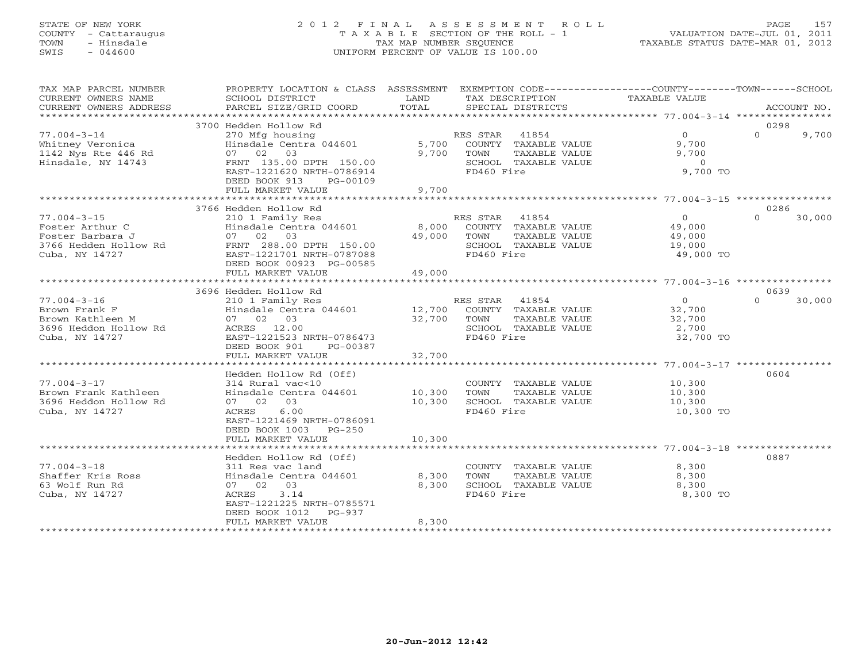# STATE OF NEW YORK 2 0 1 2 F I N A L A S S E S S M E N T R O L L PAGE 157 COUNTY - Cattaraugus T A X A B L E SECTION OF THE ROLL - 1 VALUATION DATE-JUL 01, 2011 TOWN - Hinsdale TAX MAP NUMBER SEQUENCE TAXABLE STATUS DATE-MAR 01, 2012 SWIS - 044600 UNIFORM PERCENT OF VALUE IS 100.00UNIFORM PERCENT OF VALUE IS 100.00

| TAX MAP PARCEL NUMBER<br>CURRENT OWNERS NAME<br>CURRENT OWNERS ADDRESS                              | PROPERTY LOCATION & CLASS ASSESSMENT EXEMPTION CODE---------------COUNTY-------TOWN-----SCHOOL<br>SCHOOL DISTRICT<br>PARCEL SIZE/GRID COORD                                              | LAND<br>TOTAL              | TAX DESCRIPTION<br>SPECIAL DISTRICTS                                                                            | TAXABLE VALUE                                       | ACCOUNT NO.                |
|-----------------------------------------------------------------------------------------------------|------------------------------------------------------------------------------------------------------------------------------------------------------------------------------------------|----------------------------|-----------------------------------------------------------------------------------------------------------------|-----------------------------------------------------|----------------------------|
| *************************                                                                           |                                                                                                                                                                                          |                            |                                                                                                                 |                                                     |                            |
| $77.004 - 3 - 14$<br>Whitney Veronica<br>1142 Nys Rte 446 Rd<br>Hinsdale, NY 14743                  | 3700 Hedden Hollow Rd<br>270 Mfg housing<br>Hinsdale Centra 044601<br>07 02 03<br>FRNT 135.00 DPTH 150.00<br>EAST-1221620 NRTH-0786914<br>DEED BOOK 913<br>PG-00109<br>FULL MARKET VALUE | 5,700<br>9,700<br>9,700    | RES STAR<br>41854<br>COUNTY TAXABLE VALUE<br>TOWN<br>TAXABLE VALUE<br>SCHOOL TAXABLE VALUE<br>FD460 Fire        | $\Omega$<br>9,700<br>9,700<br>$\Omega$<br>9,700 TO  | 0298<br>$\Omega$<br>9,700  |
|                                                                                                     |                                                                                                                                                                                          |                            |                                                                                                                 |                                                     |                            |
| $77.004 - 3 - 15$<br>Foster Arthur C<br>Foster Barbara J<br>3766 Hedden Hollow Rd<br>Cuba, NY 14727 | 3766 Hedden Hollow Rd<br>210 1 Family Res<br>Hinsdale Centra 044601<br>07 02 03<br>FRNT 288.00 DPTH 150.00<br>EAST-1221701 NRTH-0787088<br>DEED BOOK 00923 PG-00585<br>FULL MARKET VALUE | 8,000<br>49,000<br>49,000  | RES STAR 41854<br>COUNTY TAXABLE VALUE<br>TOWN<br>TAXABLE VALUE<br>SCHOOL TAXABLE VALUE<br>FD460 Fire           | $\Omega$<br>49,000<br>49,000<br>19,000<br>49,000 TO | 0286<br>$\Omega$<br>30,000 |
|                                                                                                     |                                                                                                                                                                                          |                            |                                                                                                                 |                                                     |                            |
|                                                                                                     | 3696 Hedden Hollow Rd                                                                                                                                                                    |                            |                                                                                                                 |                                                     | 0639                       |
| $77.004 - 3 - 16$<br>Brown Frank F<br>Brown Kathleen M<br>3696 Heddon Hollow Rd<br>Cuba, NY 14727   | 210 1 Family Res<br>Hinsdale Centra 044601<br>07 02 03<br>ACRES 12.00<br>EAST-1221523 NRTH-0786473<br>DEED BOOK 901<br>PG-00387                                                          | 32,700                     | RES STAR<br>41854<br>12,700 COUNTY TAXABLE VALUE<br>TAXABLE VALUE<br>TOWN<br>SCHOOL TAXABLE VALUE<br>FD460 Fire | $\circ$<br>32,700<br>32,700<br>2,700<br>32,700 TO   | 30,000<br>$\cap$           |
|                                                                                                     | FULL MARKET VALUE                                                                                                                                                                        | 32,700                     |                                                                                                                 |                                                     |                            |
|                                                                                                     |                                                                                                                                                                                          |                            |                                                                                                                 |                                                     |                            |
| $77.004 - 3 - 17$<br>Brown Frank Kathleen<br>3696 Heddon Hollow Rd<br>Cuba, NY 14727                | Hedden Hollow Rd (Off)<br>314 Rural vac<10<br>Hinsdale Centra 044601<br>07 02 03<br>6.00<br>ACRES<br>EAST-1221469 NRTH-0786091<br>DEED BOOK 1003<br>$PG-250$<br>FULL MARKET VALUE        | 10,300<br>10,300<br>10,300 | COUNTY TAXABLE VALUE<br>TOWN<br>TAXABLE VALUE<br>SCHOOL TAXABLE VALUE<br>FD460 Fire                             | 10,300<br>10,300<br>10,300<br>10,300 TO             | 0604                       |
|                                                                                                     |                                                                                                                                                                                          |                            |                                                                                                                 |                                                     |                            |
| $77.004 - 3 - 18$<br>Shaffer Kris Ross<br>63 Wolf Run Rd<br>Cuba, NY 14727                          | Hedden Hollow Rd (Off)<br>311 Res vac land<br>Hinsdale Centra 044601<br>07 02 03<br>3.14<br>ACRES<br>EAST-1221225 NRTH-0785571<br>DEED BOOK 1012<br>$PG-937$<br>FULL MARKET VALUE        | 8,300<br>8,300<br>8,300    | COUNTY TAXABLE VALUE<br>TOWN<br>TAXABLE VALUE<br>SCHOOL TAXABLE VALUE<br>FD460 Fire                             | 8,300<br>8,300<br>8,300<br>8,300 TO                 | 0887                       |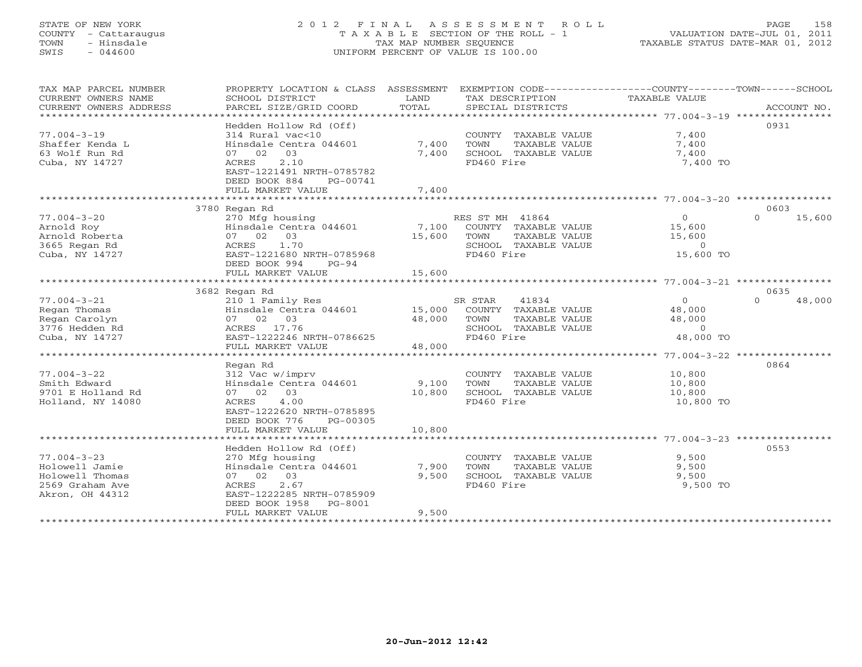# STATE OF NEW YORK 2 0 1 2 F I N A L A S S E S S M E N T R O L L PAGE 158 COUNTY - Cattaraugus T A X A B L E SECTION OF THE ROLL - 1 VALUATION DATE-JUL 01, 2011 TOWN - Hinsdale TAX MAP NUMBER SEQUENCE TAXABLE STATUS DATE-MAR 01, 2012 SWIS - 044600 UNIFORM PERCENT OF VALUE IS 100.00UNIFORM PERCENT OF VALUE IS 100.00

| TAX MAP PARCEL NUMBER<br>CURRENT OWNERS NAME<br>CURRENT OWNERS ADDRESS                       | PROPERTY LOCATION & CLASS ASSESSMENT<br>SCHOOL DISTRICT<br>PARCEL SIZE/GRID COORD                                                                                 | LAND<br>TOTAL             | EXEMPTION CODE----------------COUNTY-------TOWN------SCHOOL<br>TAX DESCRIPTION<br>SPECIAL DISTRICTS     | TAXABLE VALUE                                              | ACCOUNT NO.        |
|----------------------------------------------------------------------------------------------|-------------------------------------------------------------------------------------------------------------------------------------------------------------------|---------------------------|---------------------------------------------------------------------------------------------------------|------------------------------------------------------------|--------------------|
|                                                                                              |                                                                                                                                                                   |                           |                                                                                                         |                                                            |                    |
| $77.004 - 3 - 19$<br>Shaffer Kenda L<br>63 Wolf Run Rd<br>Cuba, NY 14727                     | Hedden Hollow Rd (Off)<br>314 Rural vac<10<br>Hinsdale Centra 044601<br>07 02 03<br>2.10<br>ACRES<br>EAST-1221491 NRTH-0785782                                    | 7,400<br>7,400            | COUNTY TAXABLE VALUE<br>TOWN<br>TAXABLE VALUE<br>SCHOOL TAXABLE VALUE<br>FD460 Fire                     | 7,400<br>7,400<br>7,400<br>7,400 TO                        | 0931               |
|                                                                                              | DEED BOOK 884<br>PG-00741<br>FULL MARKET VALUE                                                                                                                    | 7,400                     |                                                                                                         |                                                            |                    |
|                                                                                              |                                                                                                                                                                   |                           |                                                                                                         |                                                            |                    |
|                                                                                              | 3780 Regan Rd                                                                                                                                                     |                           |                                                                                                         |                                                            | 0603               |
| $77.004 - 3 - 20$<br>Arnold Roy<br>Arnold Roberta<br>3665 Regan Rd<br>Cuba, NY 14727         | 270 Mfg housing<br>Hinsdale Centra 044601<br>07 02 03<br>1.70<br>ACRES<br>EAST-1221680 NRTH-0785968<br>DEED BOOK 994<br>$PG-94$                                   | 7,100<br>15,600           | RES ST MH 41864<br>COUNTY TAXABLE VALUE<br>TOWN<br>TAXABLE VALUE<br>SCHOOL TAXABLE VALUE<br>FD460 Fire  | $\overline{0}$<br>15,600<br>15,600<br>$\circ$<br>15,600 TO | $\Omega$<br>15,600 |
|                                                                                              | FULL MARKET VALUE                                                                                                                                                 | 15,600                    |                                                                                                         |                                                            |                    |
|                                                                                              |                                                                                                                                                                   |                           |                                                                                                         |                                                            |                    |
|                                                                                              | 3682 Regan Rd                                                                                                                                                     |                           |                                                                                                         |                                                            | 0635               |
| $77.004 - 3 - 21$<br>Regan Thomas<br>Regan Carolyn<br>3776 Hedden Rd<br>Cuba, NY 14727       | 210 1 Family Res<br>Hinsdale Centra 044601 15,000<br>07 02 03<br>ACRES 17.76<br>EAST-1222246 NRTH-0786625                                                         | 48,000                    | 41834<br>SR STAR<br>COUNTY TAXABLE VALUE<br>TOWN<br>TAXABLE VALUE<br>SCHOOL TAXABLE VALUE<br>FD460 Fire | $\Omega$<br>48,000<br>48,000<br>$\circ$<br>48,000 TO       | $\Omega$<br>48,000 |
|                                                                                              | FULL MARKET VALUE                                                                                                                                                 | 48,000                    |                                                                                                         |                                                            |                    |
|                                                                                              |                                                                                                                                                                   |                           |                                                                                                         | ********************** 77.004-3-22 ****************        |                    |
| $77.004 - 3 - 22$<br>Smith Edward<br>9701 E Holland Rd<br>Holland, NY 14080                  | Regan Rd<br>312 Vac w/imprv<br>Hinsdale Centra 044601<br>07 02 03<br>4.00<br>ACRES<br>EAST-1222620 NRTH-0785895<br>DEED BOOK 776<br>PG-00305<br>FULL MARKET VALUE | 9,100<br>10,800<br>10,800 | COUNTY TAXABLE VALUE<br>TOWN<br>TAXABLE VALUE<br>SCHOOL TAXABLE VALUE<br>FD460 Fire                     | 10,800<br>10,800<br>10,800<br>10,800 TO                    | 0864               |
|                                                                                              |                                                                                                                                                                   |                           |                                                                                                         |                                                            |                    |
|                                                                                              | Hedden Hollow Rd (Off)                                                                                                                                            |                           |                                                                                                         |                                                            | 0553               |
| $77.004 - 3 - 23$<br>Holowell Jamie<br>Holowell Thomas<br>2569 Graham Ave<br>Akron, OH 44312 | 270 Mfg housing<br>Hinsdale Centra 044601<br>07 02 03<br>2.67<br>ACRES<br>EAST-1222285 NRTH-0785909<br>DEED BOOK 1958<br>PG-8001                                  | 7,900<br>9,500            | COUNTY TAXABLE VALUE<br>TOWN<br>TAXABLE VALUE<br>SCHOOL TAXABLE VALUE<br>FD460 Fire                     | 9,500<br>9,500<br>9,500<br>9,500 TO                        |                    |
|                                                                                              | FULL MARKET VALUE                                                                                                                                                 | 9,500                     |                                                                                                         |                                                            |                    |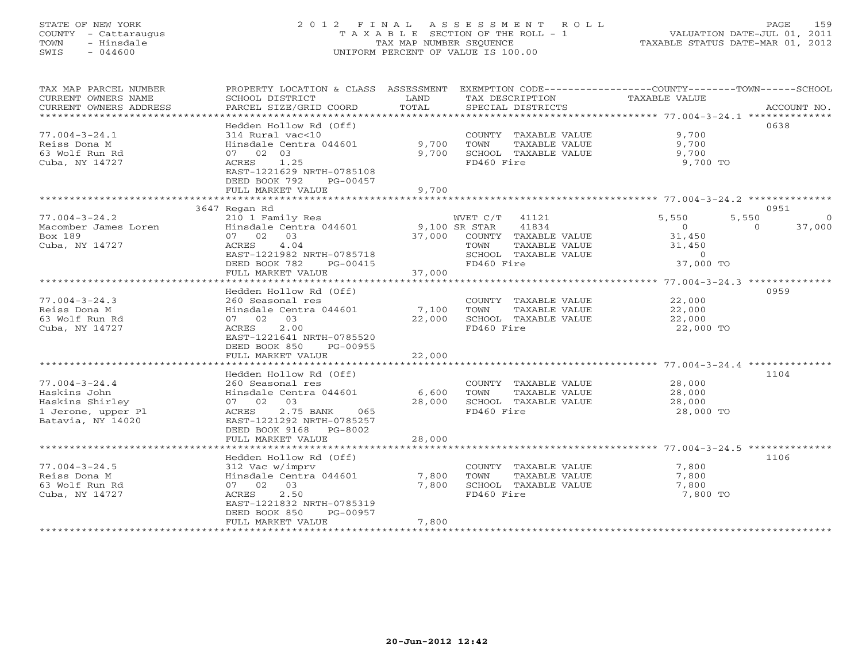# STATE OF NEW YORK 2 0 1 2 F I N A L A S S E S S M E N T R O L L PAGE 159 COUNTY - Cattaraugus T A X A B L E SECTION OF THE ROLL - 1 VALUATION DATE-JUL 01, 2011 TOWN - Hinsdale TAX MAP NUMBER SEQUENCE TAXABLE STATUS DATE-MAR 01, 2012 SWIS - 044600 UNIFORM PERCENT OF VALUE IS 100.00UNIFORM PERCENT OF VALUE IS 100.00

| TAX MAP PARCEL NUMBER<br>CURRENT OWNERS NAME<br>CURRENT OWNERS ADDRESS                            | PROPERTY LOCATION & CLASS<br>SCHOOL DISTRICT<br>PARCEL SIZE/GRID COORD<br>*******************                                                                                                                | ASSESSMENT<br>LAND<br>TOTAL<br>************** | TAX DESCRIPTION<br>SPECIAL DISTRICTS                                                                              | EXEMPTION CODE-----------------COUNTY-------TOWN------SCHOOL<br>TAXABLE VALUE                | ACCOUNT NO.                             |
|---------------------------------------------------------------------------------------------------|--------------------------------------------------------------------------------------------------------------------------------------------------------------------------------------------------------------|-----------------------------------------------|-------------------------------------------------------------------------------------------------------------------|----------------------------------------------------------------------------------------------|-----------------------------------------|
| $77.004 - 3 - 24.1$<br>Reiss Dona M<br>63 Wolf Run Rd<br>Cuba, NY 14727                           | Hedden Hollow Rd (Off)<br>314 Rural vac<10<br>Hinsdale Centra 044601<br>07 02 03<br>1.25<br>ACRES<br>EAST-1221629 NRTH-0785108<br>DEED BOOK 792<br>PG-00457<br>FULL MARKET VALUE                             | 9,700<br>9,700<br>9,700                       | COUNTY TAXABLE VALUE<br>TOWN<br>TAXABLE VALUE<br>SCHOOL TAXABLE VALUE<br>FD460 Fire                               | 9,700<br>9,700<br>9,700<br>9,700 TO                                                          | 0638                                    |
|                                                                                                   | 3647 Regan Rd                                                                                                                                                                                                |                                               |                                                                                                                   |                                                                                              | 0951                                    |
| $77.004 - 3 - 24.2$<br>Macomber James Loren<br>Box 189<br>Cuba, NY 14727                          | 210 1 Family Res<br>Hinsdale Centra 044601<br>03<br>07 02<br>ACRES<br>4.04<br>EAST-1221982 NRTH-0785718<br>DEED BOOK 782<br>PG-00415<br>FULL MARKET VALUE                                                    | 9,100 SR STAR<br>37,000<br>37,000             | WVET C/T<br>41121<br>41834<br>COUNTY TAXABLE VALUE<br>TAXABLE VALUE<br>TOWN<br>SCHOOL TAXABLE VALUE<br>FD460 Fire | 5,550<br>$\circ$<br>31,450<br>31,450<br>$\circ$<br>37,000 TO                                 | 5,550<br>$\Omega$<br>37,000<br>$\Omega$ |
|                                                                                                   |                                                                                                                                                                                                              |                                               |                                                                                                                   |                                                                                              |                                         |
| $77.004 - 3 - 24.3$<br>Reiss Dona M<br>63 Wolf Run Rd<br>Cuba, NY 14727                           | Hedden Hollow Rd (Off)<br>260 Seasonal res<br>Hinsdale Centra 044601<br>07 02<br>03<br>ACRES<br>2.00<br>EAST-1221641 NRTH-0785520<br>DEED BOOK 850<br>PG-00955                                               | 7,100<br>22,000                               | COUNTY TAXABLE VALUE<br>TOWN<br>TAXABLE VALUE<br>SCHOOL TAXABLE VALUE<br>FD460 Fire                               | 22,000<br>22,000<br>22,000<br>22,000 TO                                                      | 0959                                    |
|                                                                                                   | FULL MARKET VALUE                                                                                                                                                                                            | 22,000                                        |                                                                                                                   |                                                                                              |                                         |
| $77.004 - 3 - 24.4$<br>Haskins John<br>Haskins Shirley<br>1 Jerone, upper Pl<br>Batavia, NY 14020 | ******************<br>Hedden Hollow Rd (Off)<br>260 Seasonal res<br>Hinsdale Centra 044601<br>07 02<br>03<br>2.75 BANK<br>ACRES<br>065<br>EAST-1221292 NRTH-0785257<br>DEED BOOK 9168<br>PG-8002             | * * * * * * * * * * * * *<br>6,600<br>28,000  | COUNTY TAXABLE VALUE<br>TOWN<br>TAXABLE VALUE<br>SCHOOL TAXABLE VALUE<br>FD460 Fire                               | ******************** 77.004-3-24.4 **************<br>28,000<br>28,000<br>28,000<br>28,000 TO | 1104                                    |
|                                                                                                   | FULL MARKET VALUE                                                                                                                                                                                            | 28,000                                        |                                                                                                                   |                                                                                              |                                         |
| $77.004 - 3 - 24.5$<br>Reiss Dona M<br>63 Wolf Run Rd<br>Cuba, NY 14727                           | **********************<br>Hedden Hollow Rd (Off)<br>312 Vac w/imprv<br>Hinsdale Centra 044601<br>07 02<br>03<br>ACRES<br>2.50<br>EAST-1221832 NRTH-0785319<br>DEED BOOK 850<br>PG-00957<br>FULL MARKET VALUE | 7,800<br>7,800<br>7,800                       | COUNTY TAXABLE VALUE<br>TOWN<br>TAXABLE VALUE<br>SCHOOL TAXABLE VALUE<br>FD460 Fire                               | 7,800<br>7,800<br>7,800<br>7,800 TO                                                          | 1106                                    |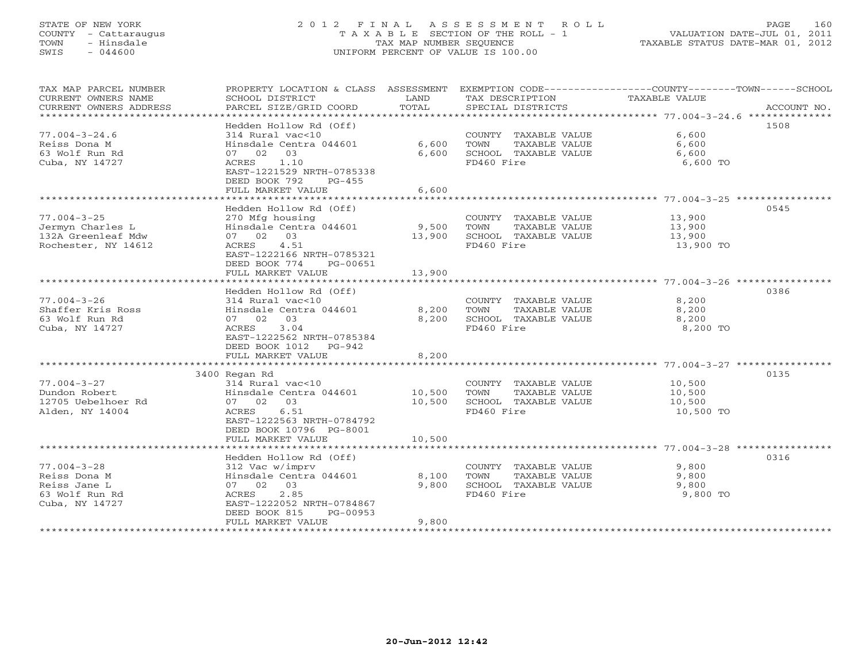# STATE OF NEW YORK 2 0 1 2 F I N A L A S S E S S M E N T R O L L PAGE 160 COUNTY - Cattaraugus T A X A B L E SECTION OF THE ROLL - 1 VALUATION DATE-JUL 01, 2011 TOWN - Hinsdale TAX MAP NUMBER SEQUENCE TAXABLE STATUS DATE-MAR 01, 2012 SWIS - 044600 UNIFORM PERCENT OF VALUE IS 100.00UNIFORM PERCENT OF VALUE IS 100.00

| TAX MAP PARCEL NUMBER<br>CURRENT OWNERS NAME<br>CURRENT OWNERS ADDRESS | PROPERTY LOCATION & CLASS ASSESSMENT<br>SCHOOL DISTRICT<br>PARCEL SIZE/GRID COORD | LAND<br>TOTAL | TAX DESCRIPTION<br>SPECIAL DISTRICTS          | EXEMPTION CODE-----------------COUNTY-------TOWN------SCHOOL<br>TAXABLE VALUE<br>ACCOUNT NO. |
|------------------------------------------------------------------------|-----------------------------------------------------------------------------------|---------------|-----------------------------------------------|----------------------------------------------------------------------------------------------|
| ************************                                               |                                                                                   |               |                                               |                                                                                              |
|                                                                        | Hedden Hollow Rd (Off)                                                            |               |                                               | 1508                                                                                         |
| $77.004 - 3 - 24.6$                                                    | 314 Rural vac<10                                                                  |               | COUNTY TAXABLE VALUE                          | 6,600                                                                                        |
| Reiss Dona M                                                           | Hinsdale Centra 044601                                                            | 6,600         | TOWN<br>TAXABLE VALUE                         | 6,600                                                                                        |
| 63 Wolf Run Rd                                                         | 07 02 03                                                                          | 6,600         | SCHOOL TAXABLE VALUE                          | 6,600                                                                                        |
| Cuba, NY 14727                                                         | ACRES 1.10                                                                        |               | FD460 Fire                                    | 6,600 TO                                                                                     |
|                                                                        | EAST-1221529 NRTH-0785338<br>DEED BOOK 792<br>$PG-455$                            |               |                                               |                                                                                              |
|                                                                        | FULL MARKET VALUE                                                                 | 6,600         |                                               |                                                                                              |
|                                                                        | *******************************                                                   |               |                                               |                                                                                              |
|                                                                        | Hedden Hollow Rd (Off)                                                            |               |                                               | 0545                                                                                         |
| $77.004 - 3 - 25$                                                      | 270 Mfg housing                                                                   |               | COUNTY TAXABLE VALUE                          | 13,900                                                                                       |
| Jermyn Charles L                                                       | Hinsdale Centra 044601                                                            | 9,500         | TOWN<br>TAXABLE VALUE                         | 13,900                                                                                       |
| 132A Greenleaf Mdw                                                     | 07 02 03                                                                          | 13,900        | SCHOOL TAXABLE VALUE                          | 13,900                                                                                       |
| Rochester, NY 14612                                                    | 4.51<br>ACRES                                                                     |               | FD460 Fire                                    | 13,900 TO                                                                                    |
|                                                                        | EAST-1222166 NRTH-0785321                                                         |               |                                               |                                                                                              |
|                                                                        | DEED BOOK 774<br>PG-00651                                                         |               |                                               |                                                                                              |
|                                                                        | FULL MARKET VALUE<br>**********************                                       | 13,900        |                                               |                                                                                              |
|                                                                        | Hedden Hollow Rd (Off)                                                            |               |                                               | 0386                                                                                         |
| $77.004 - 3 - 26$                                                      | 314 Rural vac<10                                                                  |               | COUNTY TAXABLE VALUE                          | 8,200                                                                                        |
| Shaffer Kris Ross                                                      | Hinsdale Centra 044601                                                            | 8,200         | TOWN<br>TAXABLE VALUE                         | 8,200                                                                                        |
| 63 Wolf Run Rd                                                         | 07 02 03                                                                          | 8,200         | SCHOOL TAXABLE VALUE                          | 8,200                                                                                        |
| Cuba, NY 14727                                                         | 3.04<br>ACRES                                                                     |               | FD460 Fire                                    | 8,200 TO                                                                                     |
|                                                                        | EAST-1222562 NRTH-0785384                                                         |               |                                               |                                                                                              |
|                                                                        | DEED BOOK 1012 PG-942                                                             |               |                                               |                                                                                              |
|                                                                        | FULL MARKET VALUE                                                                 | 8,200         |                                               |                                                                                              |
|                                                                        |                                                                                   |               |                                               |                                                                                              |
|                                                                        | 3400 Regan Rd                                                                     |               |                                               | 0135                                                                                         |
| $77.004 - 3 - 27$<br>Dundon Robert                                     | 314 Rural vac<10<br>Hinsdale Centra 044601                                        | 10,500        | COUNTY TAXABLE VALUE<br>TOWN<br>TAXABLE VALUE | 10,500                                                                                       |
| 12705 Uebelhoer Rd                                                     | 07 02 03                                                                          | 10,500        | SCHOOL TAXABLE VALUE                          | 10,500<br>10,500                                                                             |
| Alden, NY 14004                                                        | 6.51<br>ACRES                                                                     |               | FD460 Fire                                    | 10,500 TO                                                                                    |
|                                                                        | EAST-1222563 NRTH-0784792                                                         |               |                                               |                                                                                              |
|                                                                        | DEED BOOK 10796 PG-8001                                                           |               |                                               |                                                                                              |
|                                                                        | FULL MARKET VALUE                                                                 | 10,500        |                                               |                                                                                              |
|                                                                        |                                                                                   |               |                                               |                                                                                              |
|                                                                        | Hedden Hollow Rd (Off)                                                            |               |                                               | 0316                                                                                         |
| $77.004 - 3 - 28$                                                      | 312 Vac w/imprv                                                                   |               | COUNTY TAXABLE VALUE                          | 9,800                                                                                        |
| Reiss Dona M                                                           | Hinsdale Centra 044601                                                            | 8,100         | TOWN<br>TAXABLE VALUE                         | 9,800                                                                                        |
| Reiss Jane L                                                           | 07 02 03                                                                          | 9,800         | SCHOOL TAXABLE VALUE                          | 9,800                                                                                        |
| 63 Wolf Run Rd<br>Cuba, NY 14727                                       | ACRES<br>2.85<br>EAST-1222052 NRTH-0784867                                        |               | FD460 Fire                                    | 9,800 TO                                                                                     |
|                                                                        | DEED BOOK 815<br>PG-00953                                                         |               |                                               |                                                                                              |
|                                                                        | FULL MARKET VALUE                                                                 | 9,800         |                                               |                                                                                              |
|                                                                        | **********************                                                            |               | ****************************                  |                                                                                              |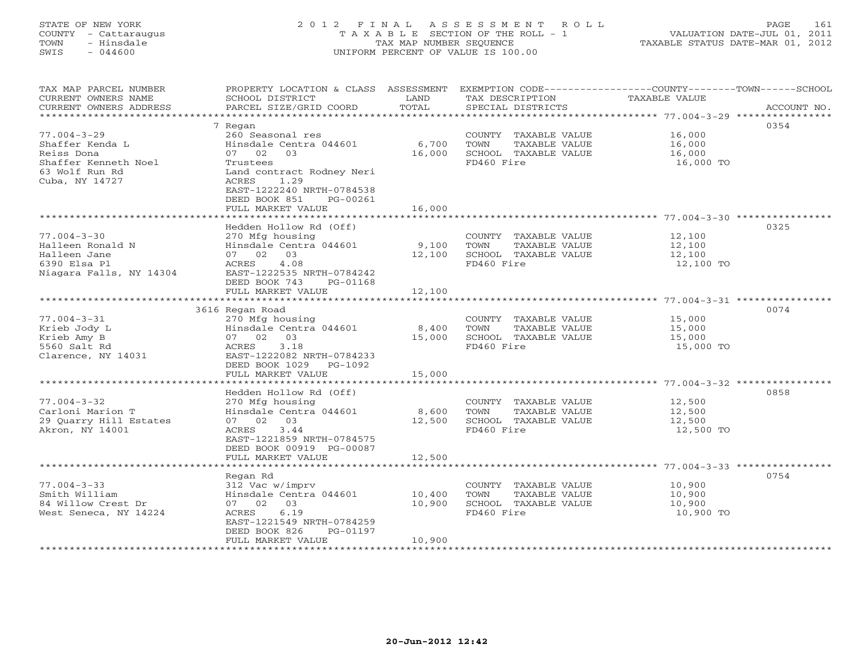# STATE OF NEW YORK 2 0 1 2 F I N A L A S S E S S M E N T R O L L PAGE 161 COUNTY - Cattaraugus T A X A B L E SECTION OF THE ROLL - 1 VALUATION DATE-JUL 01, 2011 TOWN - Hinsdale TAX MAP NUMBER SEQUENCE TAXABLE STATUS DATE-MAR 01, 2012 SWIS - 044600 UNIFORM PERCENT OF VALUE IS 100.00UNIFORM PERCENT OF VALUE IS 100.00

| TAX MAP PARCEL NUMBER<br>CURRENT OWNERS NAME<br>CURRENT OWNERS ADDRESS                           | PROPERTY LOCATION & CLASS ASSESSMENT<br>SCHOOL DISTRICT<br>PARCEL SIZE/GRID COORD                                                                         | LAND<br>TOTAL    | TAX DESCRIPTION<br>SPECIAL DISTRICTS                                                | EXEMPTION CODE-----------------COUNTY-------TOWN------SCHOOL<br>TAXABLE VALUE<br>ACCOUNT NO. |
|--------------------------------------------------------------------------------------------------|-----------------------------------------------------------------------------------------------------------------------------------------------------------|------------------|-------------------------------------------------------------------------------------|----------------------------------------------------------------------------------------------|
| **************************                                                                       |                                                                                                                                                           |                  |                                                                                     |                                                                                              |
| $77.004 - 3 - 29$<br>Shaffer Kenda L<br>Reiss Dona                                               | 7 Regan<br>260 Seasonal res<br>Hinsdale Centra 044601<br>07 02 03                                                                                         | 6,700<br>16,000  | COUNTY TAXABLE VALUE<br>TOWN<br>TAXABLE VALUE<br>SCHOOL TAXABLE VALUE               | 0354<br>16,000<br>16,000<br>16,000                                                           |
| Shaffer Kenneth Noel<br>63 Wolf Run Rd<br>Cuba, NY 14727                                         | Trustees<br>Land contract Rodney Neri<br>1.29<br>ACRES<br>EAST-1222240 NRTH-0784538<br>DEED BOOK 851<br>PG-00261<br>FULL MARKET VALUE                     | 16,000           | FD460 Fire                                                                          | 16,000 TO                                                                                    |
|                                                                                                  | ***********************                                                                                                                                   |                  |                                                                                     |                                                                                              |
| $77.004 - 3 - 30$<br>Halleen Ronald N<br>Halleen Jane<br>6390 Elsa Pl<br>Niagara Falls, NY 14304 | Hedden Hollow Rd (Off)<br>270 Mfg housing<br>Hinsdale Centra 044601<br>07 02 03<br>4.08<br>ACRES<br>EAST-1222535 NRTH-0784242                             | 9,100<br>12,100  | COUNTY TAXABLE VALUE<br>TOWN<br>TAXABLE VALUE<br>SCHOOL TAXABLE VALUE<br>FD460 Fire | 0325<br>12,100<br>12,100<br>12,100<br>12,100 TO                                              |
|                                                                                                  | DEED BOOK 743<br>PG-01168<br>FULL MARKET VALUE                                                                                                            | 12,100           |                                                                                     |                                                                                              |
|                                                                                                  | 3616 Regan Road                                                                                                                                           |                  |                                                                                     | 0074                                                                                         |
| $77.004 - 3 - 31$<br>Krieb Jody L<br>Krieb Amy B<br>5560 Salt Rd<br>Clarence, NY 14031           | 270 Mfg housing<br>Hinsdale Centra 044601<br>07 02 03<br>ACRES<br>3.18<br>EAST-1222082 NRTH-0784233<br>DEED BOOK 1029<br>PG-1092                          | 8,400<br>15,000  | COUNTY TAXABLE VALUE<br>TOWN<br>TAXABLE VALUE<br>SCHOOL TAXABLE VALUE<br>FD460 Fire | 15,000<br>15,000<br>15,000<br>15,000 TO                                                      |
|                                                                                                  | FULL MARKET VALUE                                                                                                                                         | 15,000           |                                                                                     |                                                                                              |
|                                                                                                  |                                                                                                                                                           |                  |                                                                                     |                                                                                              |
| $77.004 - 3 - 32$<br>Carloni Marion T<br>29 Quarry Hill Estates<br>Akron, NY 14001               | Hedden Hollow Rd (Off)<br>270 Mfg housing<br>Hinsdale Centra 044601<br>07 02 03<br>3.44<br>ACRES<br>EAST-1221859 NRTH-0784575<br>DEED BOOK 00919 PG-00087 | 8,600<br>12,500  | COUNTY TAXABLE VALUE<br>TAXABLE VALUE<br>TOWN<br>SCHOOL TAXABLE VALUE<br>FD460 Fire | 0858<br>12,500<br>12,500<br>12,500<br>12,500 TO                                              |
|                                                                                                  | FULL MARKET VALUE<br>**************************                                                                                                           | 12,500           |                                                                                     |                                                                                              |
|                                                                                                  | Regan Rd                                                                                                                                                  |                  |                                                                                     | 0754                                                                                         |
| $77.004 - 3 - 33$<br>Smith William<br>84 Willow Crest Dr<br>West Seneca, NY 14224                | 312 Vac w/imprv<br>Hinsdale Centra 044601<br>07 02 03<br>6.19<br>ACRES<br>EAST-1221549 NRTH-0784259<br>DEED BOOK 826<br>PG-01197                          | 10,400<br>10,900 | COUNTY TAXABLE VALUE<br>TOWN<br>TAXABLE VALUE<br>SCHOOL TAXABLE VALUE<br>FD460 Fire | 10,900<br>10,900<br>10,900<br>10,900 TO                                                      |
| ****************                                                                                 | FULL MARKET VALUE                                                                                                                                         | 10,900           |                                                                                     |                                                                                              |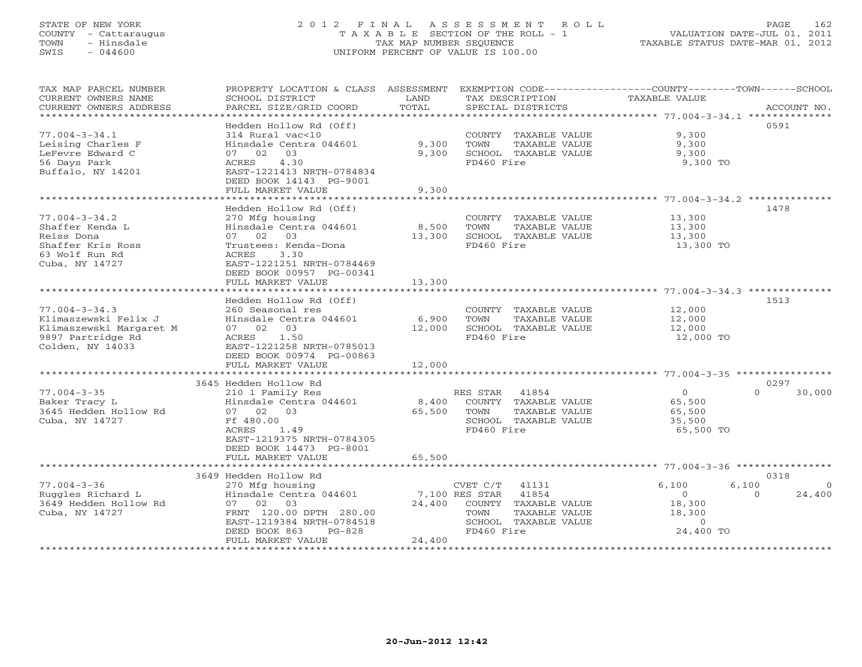# STATE OF NEW YORK 2 0 1 2 F I N A L A S S E S S M E N T R O L L PAGE 162 COUNTY - Cattaraugus T A X A B L E SECTION OF THE ROLL - 1 VALUATION DATE-JUL 01, 2011 TOWN - Hinsdale TAX MAP NUMBER SEQUENCE TAXABLE STATUS DATE-MAR 01, 2012 SWIS - 044600 UNIFORM PERCENT OF VALUE IS 100.00UNIFORM PERCENT OF VALUE IS 100.00

| *************************<br>Hedden Hollow Rd (Off)<br>0591<br>$77.004 - 3 - 34.1$<br>314 Rural vac<10<br>COUNTY TAXABLE VALUE<br>9,300<br>Leising Charles F<br>Hinsdale Centra 044601<br>9,300<br>TOWN<br>TAXABLE VALUE<br>9,300<br>LeFevre Edward C<br>03<br>9,300<br>SCHOOL TAXABLE VALUE<br>9,300<br>07 02<br>56 Days Park<br>4.30<br>FD460 Fire<br>ACRES<br>9,300 TO<br>Buffalo, NY 14201<br>EAST-1221413 NRTH-0784834<br>DEED BOOK 14143 PG-9001<br>FULL MARKET VALUE<br>9,300<br>Hedden Hollow Rd (Off)<br>1478<br>$77.004 - 3 - 34.2$<br>270 Mfg housing<br>COUNTY TAXABLE VALUE<br>13,300<br>Shaffer Kenda L<br>Hinsdale Centra 044601<br>8,500<br>TOWN<br>TAXABLE VALUE<br>13,300<br>Reiss Dona<br>07 02 03<br>13,300<br>SCHOOL TAXABLE VALUE<br>13,300<br>Shaffer Kris Ross<br>FD460 Fire<br>Trustees: Kenda-Dona<br>13,300 TO<br>63 Wolf Run Rd<br>ACRES<br>3.30<br>Cuba, NY 14727<br>EAST-1221251 NRTH-0784469<br>DEED BOOK 00957 PG-00341<br>FULL MARKET VALUE<br>13,300<br>Hedden Hollow Rd (Off)<br>1513<br>$77.004 - 3 - 34.3$<br>12,000<br>260 Seasonal res<br>COUNTY TAXABLE VALUE<br>Hinsdale Centra 044601<br>6,900<br>TOWN<br>TAXABLE VALUE<br>Klimaszewski Felix J<br>12,000<br>Klimaszewski Margaret M<br>07 02 03<br>SCHOOL TAXABLE VALUE<br>12,000<br>12,000<br>9897 Partridge Rd<br>1.50<br>FD460 Fire<br>12,000 TO<br>ACRES<br>Colden, NY 14033<br>EAST-1221258 NRTH-0785013<br>DEED BOOK 00974 PG-00863<br>FULL MARKET VALUE<br>12,000<br>3645 Hedden Hollow Rd<br>0297<br>$77.004 - 3 - 35$<br>$\circ$<br>210 1 Family Res<br>RES STAR 41854<br>$\Omega$<br>30,000<br>Baker Tracy L<br>Hinsdale Centra 044601<br>8,400<br>COUNTY TAXABLE VALUE<br>65,500<br>3645 Hedden Hollow Rd<br>07 02<br>03<br>TOWN<br>TAXABLE VALUE<br>65,500<br>65,500<br>Cuba, NY 14727<br>Ff 480.00<br>SCHOOL TAXABLE VALUE<br>35,500<br>1.49<br>ACRES<br>FD460 Fire<br>65,500 TO<br>EAST-1219375 NRTH-0784305<br>DEED BOOK 14473 PG-8001<br>FULL MARKET VALUE<br>65,500<br>0318<br>3649 Hedden Hollow Rd<br>$77.004 - 3 - 36$<br>6,100<br>6,100<br>CVET C/T<br>41131<br>270 Mfg housing<br>Ruggles Richard L<br>Hinsdale Centra 044601<br>7,100 RES STAR<br>41854<br>$\Omega$<br>24,400<br>$\Omega$<br>3649 Hedden Hollow Rd<br>24,400<br>18,300<br>07 02 03<br>COUNTY TAXABLE VALUE<br>Cuba, NY 14727<br>FRNT 120.00 DPTH 280.00<br>TOWN<br>TAXABLE VALUE<br>18,300<br>EAST-1219384 NRTH-0784518<br>SCHOOL TAXABLE VALUE<br>$\Omega$<br>DEED BOOK 863<br>FD460 Fire<br>24,400 TO<br>$PG-828$<br>FULL MARKET VALUE<br>24,400 | TAX MAP PARCEL NUMBER<br>CURRENT OWNERS NAME | PROPERTY LOCATION & CLASS ASSESSMENT<br>SCHOOL DISTRICT | LAND  | TAX DESCRIPTION   | EXEMPTION CODE-----------------COUNTY-------TOWN------SCHOOL<br>TAXABLE VALUE |             |
|--------------------------------------------------------------------------------------------------------------------------------------------------------------------------------------------------------------------------------------------------------------------------------------------------------------------------------------------------------------------------------------------------------------------------------------------------------------------------------------------------------------------------------------------------------------------------------------------------------------------------------------------------------------------------------------------------------------------------------------------------------------------------------------------------------------------------------------------------------------------------------------------------------------------------------------------------------------------------------------------------------------------------------------------------------------------------------------------------------------------------------------------------------------------------------------------------------------------------------------------------------------------------------------------------------------------------------------------------------------------------------------------------------------------------------------------------------------------------------------------------------------------------------------------------------------------------------------------------------------------------------------------------------------------------------------------------------------------------------------------------------------------------------------------------------------------------------------------------------------------------------------------------------------------------------------------------------------------------------------------------------------------------------------------------------------------------------------------------------------------------------------------------------------------------------------------------------------------------------------------------------------------------------------------------------------------------------------------------------------------------------------------------------------------------------------------------------------------------------------------------------------------------------------|----------------------------------------------|---------------------------------------------------------|-------|-------------------|-------------------------------------------------------------------------------|-------------|
|                                                                                                                                                                                                                                                                                                                                                                                                                                                                                                                                                                                                                                                                                                                                                                                                                                                                                                                                                                                                                                                                                                                                                                                                                                                                                                                                                                                                                                                                                                                                                                                                                                                                                                                                                                                                                                                                                                                                                                                                                                                                                                                                                                                                                                                                                                                                                                                                                                                                                                                                      | CURRENT OWNERS ADDRESS                       | PARCEL SIZE/GRID COORD                                  | TOTAL | SPECIAL DISTRICTS |                                                                               | ACCOUNT NO. |
|                                                                                                                                                                                                                                                                                                                                                                                                                                                                                                                                                                                                                                                                                                                                                                                                                                                                                                                                                                                                                                                                                                                                                                                                                                                                                                                                                                                                                                                                                                                                                                                                                                                                                                                                                                                                                                                                                                                                                                                                                                                                                                                                                                                                                                                                                                                                                                                                                                                                                                                                      |                                              |                                                         |       |                   |                                                                               |             |
|                                                                                                                                                                                                                                                                                                                                                                                                                                                                                                                                                                                                                                                                                                                                                                                                                                                                                                                                                                                                                                                                                                                                                                                                                                                                                                                                                                                                                                                                                                                                                                                                                                                                                                                                                                                                                                                                                                                                                                                                                                                                                                                                                                                                                                                                                                                                                                                                                                                                                                                                      |                                              |                                                         |       |                   |                                                                               |             |
|                                                                                                                                                                                                                                                                                                                                                                                                                                                                                                                                                                                                                                                                                                                                                                                                                                                                                                                                                                                                                                                                                                                                                                                                                                                                                                                                                                                                                                                                                                                                                                                                                                                                                                                                                                                                                                                                                                                                                                                                                                                                                                                                                                                                                                                                                                                                                                                                                                                                                                                                      |                                              |                                                         |       |                   |                                                                               |             |
|                                                                                                                                                                                                                                                                                                                                                                                                                                                                                                                                                                                                                                                                                                                                                                                                                                                                                                                                                                                                                                                                                                                                                                                                                                                                                                                                                                                                                                                                                                                                                                                                                                                                                                                                                                                                                                                                                                                                                                                                                                                                                                                                                                                                                                                                                                                                                                                                                                                                                                                                      |                                              |                                                         |       |                   |                                                                               |             |
|                                                                                                                                                                                                                                                                                                                                                                                                                                                                                                                                                                                                                                                                                                                                                                                                                                                                                                                                                                                                                                                                                                                                                                                                                                                                                                                                                                                                                                                                                                                                                                                                                                                                                                                                                                                                                                                                                                                                                                                                                                                                                                                                                                                                                                                                                                                                                                                                                                                                                                                                      |                                              |                                                         |       |                   |                                                                               |             |
|                                                                                                                                                                                                                                                                                                                                                                                                                                                                                                                                                                                                                                                                                                                                                                                                                                                                                                                                                                                                                                                                                                                                                                                                                                                                                                                                                                                                                                                                                                                                                                                                                                                                                                                                                                                                                                                                                                                                                                                                                                                                                                                                                                                                                                                                                                                                                                                                                                                                                                                                      |                                              |                                                         |       |                   |                                                                               |             |
|                                                                                                                                                                                                                                                                                                                                                                                                                                                                                                                                                                                                                                                                                                                                                                                                                                                                                                                                                                                                                                                                                                                                                                                                                                                                                                                                                                                                                                                                                                                                                                                                                                                                                                                                                                                                                                                                                                                                                                                                                                                                                                                                                                                                                                                                                                                                                                                                                                                                                                                                      |                                              |                                                         |       |                   |                                                                               |             |
|                                                                                                                                                                                                                                                                                                                                                                                                                                                                                                                                                                                                                                                                                                                                                                                                                                                                                                                                                                                                                                                                                                                                                                                                                                                                                                                                                                                                                                                                                                                                                                                                                                                                                                                                                                                                                                                                                                                                                                                                                                                                                                                                                                                                                                                                                                                                                                                                                                                                                                                                      |                                              |                                                         |       |                   |                                                                               |             |
|                                                                                                                                                                                                                                                                                                                                                                                                                                                                                                                                                                                                                                                                                                                                                                                                                                                                                                                                                                                                                                                                                                                                                                                                                                                                                                                                                                                                                                                                                                                                                                                                                                                                                                                                                                                                                                                                                                                                                                                                                                                                                                                                                                                                                                                                                                                                                                                                                                                                                                                                      |                                              |                                                         |       |                   |                                                                               |             |
|                                                                                                                                                                                                                                                                                                                                                                                                                                                                                                                                                                                                                                                                                                                                                                                                                                                                                                                                                                                                                                                                                                                                                                                                                                                                                                                                                                                                                                                                                                                                                                                                                                                                                                                                                                                                                                                                                                                                                                                                                                                                                                                                                                                                                                                                                                                                                                                                                                                                                                                                      |                                              |                                                         |       |                   |                                                                               |             |
|                                                                                                                                                                                                                                                                                                                                                                                                                                                                                                                                                                                                                                                                                                                                                                                                                                                                                                                                                                                                                                                                                                                                                                                                                                                                                                                                                                                                                                                                                                                                                                                                                                                                                                                                                                                                                                                                                                                                                                                                                                                                                                                                                                                                                                                                                                                                                                                                                                                                                                                                      |                                              |                                                         |       |                   |                                                                               |             |
|                                                                                                                                                                                                                                                                                                                                                                                                                                                                                                                                                                                                                                                                                                                                                                                                                                                                                                                                                                                                                                                                                                                                                                                                                                                                                                                                                                                                                                                                                                                                                                                                                                                                                                                                                                                                                                                                                                                                                                                                                                                                                                                                                                                                                                                                                                                                                                                                                                                                                                                                      |                                              |                                                         |       |                   |                                                                               |             |
|                                                                                                                                                                                                                                                                                                                                                                                                                                                                                                                                                                                                                                                                                                                                                                                                                                                                                                                                                                                                                                                                                                                                                                                                                                                                                                                                                                                                                                                                                                                                                                                                                                                                                                                                                                                                                                                                                                                                                                                                                                                                                                                                                                                                                                                                                                                                                                                                                                                                                                                                      |                                              |                                                         |       |                   |                                                                               |             |
|                                                                                                                                                                                                                                                                                                                                                                                                                                                                                                                                                                                                                                                                                                                                                                                                                                                                                                                                                                                                                                                                                                                                                                                                                                                                                                                                                                                                                                                                                                                                                                                                                                                                                                                                                                                                                                                                                                                                                                                                                                                                                                                                                                                                                                                                                                                                                                                                                                                                                                                                      |                                              |                                                         |       |                   |                                                                               |             |
|                                                                                                                                                                                                                                                                                                                                                                                                                                                                                                                                                                                                                                                                                                                                                                                                                                                                                                                                                                                                                                                                                                                                                                                                                                                                                                                                                                                                                                                                                                                                                                                                                                                                                                                                                                                                                                                                                                                                                                                                                                                                                                                                                                                                                                                                                                                                                                                                                                                                                                                                      |                                              |                                                         |       |                   |                                                                               |             |
|                                                                                                                                                                                                                                                                                                                                                                                                                                                                                                                                                                                                                                                                                                                                                                                                                                                                                                                                                                                                                                                                                                                                                                                                                                                                                                                                                                                                                                                                                                                                                                                                                                                                                                                                                                                                                                                                                                                                                                                                                                                                                                                                                                                                                                                                                                                                                                                                                                                                                                                                      |                                              |                                                         |       |                   |                                                                               |             |
|                                                                                                                                                                                                                                                                                                                                                                                                                                                                                                                                                                                                                                                                                                                                                                                                                                                                                                                                                                                                                                                                                                                                                                                                                                                                                                                                                                                                                                                                                                                                                                                                                                                                                                                                                                                                                                                                                                                                                                                                                                                                                                                                                                                                                                                                                                                                                                                                                                                                                                                                      |                                              |                                                         |       |                   |                                                                               |             |
|                                                                                                                                                                                                                                                                                                                                                                                                                                                                                                                                                                                                                                                                                                                                                                                                                                                                                                                                                                                                                                                                                                                                                                                                                                                                                                                                                                                                                                                                                                                                                                                                                                                                                                                                                                                                                                                                                                                                                                                                                                                                                                                                                                                                                                                                                                                                                                                                                                                                                                                                      |                                              |                                                         |       |                   |                                                                               |             |
|                                                                                                                                                                                                                                                                                                                                                                                                                                                                                                                                                                                                                                                                                                                                                                                                                                                                                                                                                                                                                                                                                                                                                                                                                                                                                                                                                                                                                                                                                                                                                                                                                                                                                                                                                                                                                                                                                                                                                                                                                                                                                                                                                                                                                                                                                                                                                                                                                                                                                                                                      |                                              |                                                         |       |                   |                                                                               |             |
|                                                                                                                                                                                                                                                                                                                                                                                                                                                                                                                                                                                                                                                                                                                                                                                                                                                                                                                                                                                                                                                                                                                                                                                                                                                                                                                                                                                                                                                                                                                                                                                                                                                                                                                                                                                                                                                                                                                                                                                                                                                                                                                                                                                                                                                                                                                                                                                                                                                                                                                                      |                                              |                                                         |       |                   |                                                                               |             |
|                                                                                                                                                                                                                                                                                                                                                                                                                                                                                                                                                                                                                                                                                                                                                                                                                                                                                                                                                                                                                                                                                                                                                                                                                                                                                                                                                                                                                                                                                                                                                                                                                                                                                                                                                                                                                                                                                                                                                                                                                                                                                                                                                                                                                                                                                                                                                                                                                                                                                                                                      |                                              |                                                         |       |                   |                                                                               |             |
|                                                                                                                                                                                                                                                                                                                                                                                                                                                                                                                                                                                                                                                                                                                                                                                                                                                                                                                                                                                                                                                                                                                                                                                                                                                                                                                                                                                                                                                                                                                                                                                                                                                                                                                                                                                                                                                                                                                                                                                                                                                                                                                                                                                                                                                                                                                                                                                                                                                                                                                                      |                                              |                                                         |       |                   |                                                                               |             |
|                                                                                                                                                                                                                                                                                                                                                                                                                                                                                                                                                                                                                                                                                                                                                                                                                                                                                                                                                                                                                                                                                                                                                                                                                                                                                                                                                                                                                                                                                                                                                                                                                                                                                                                                                                                                                                                                                                                                                                                                                                                                                                                                                                                                                                                                                                                                                                                                                                                                                                                                      |                                              |                                                         |       |                   |                                                                               |             |
|                                                                                                                                                                                                                                                                                                                                                                                                                                                                                                                                                                                                                                                                                                                                                                                                                                                                                                                                                                                                                                                                                                                                                                                                                                                                                                                                                                                                                                                                                                                                                                                                                                                                                                                                                                                                                                                                                                                                                                                                                                                                                                                                                                                                                                                                                                                                                                                                                                                                                                                                      |                                              |                                                         |       |                   |                                                                               |             |
|                                                                                                                                                                                                                                                                                                                                                                                                                                                                                                                                                                                                                                                                                                                                                                                                                                                                                                                                                                                                                                                                                                                                                                                                                                                                                                                                                                                                                                                                                                                                                                                                                                                                                                                                                                                                                                                                                                                                                                                                                                                                                                                                                                                                                                                                                                                                                                                                                                                                                                                                      |                                              |                                                         |       |                   |                                                                               |             |
|                                                                                                                                                                                                                                                                                                                                                                                                                                                                                                                                                                                                                                                                                                                                                                                                                                                                                                                                                                                                                                                                                                                                                                                                                                                                                                                                                                                                                                                                                                                                                                                                                                                                                                                                                                                                                                                                                                                                                                                                                                                                                                                                                                                                                                                                                                                                                                                                                                                                                                                                      |                                              |                                                         |       |                   |                                                                               |             |
|                                                                                                                                                                                                                                                                                                                                                                                                                                                                                                                                                                                                                                                                                                                                                                                                                                                                                                                                                                                                                                                                                                                                                                                                                                                                                                                                                                                                                                                                                                                                                                                                                                                                                                                                                                                                                                                                                                                                                                                                                                                                                                                                                                                                                                                                                                                                                                                                                                                                                                                                      |                                              |                                                         |       |                   |                                                                               |             |
|                                                                                                                                                                                                                                                                                                                                                                                                                                                                                                                                                                                                                                                                                                                                                                                                                                                                                                                                                                                                                                                                                                                                                                                                                                                                                                                                                                                                                                                                                                                                                                                                                                                                                                                                                                                                                                                                                                                                                                                                                                                                                                                                                                                                                                                                                                                                                                                                                                                                                                                                      |                                              |                                                         |       |                   |                                                                               |             |
|                                                                                                                                                                                                                                                                                                                                                                                                                                                                                                                                                                                                                                                                                                                                                                                                                                                                                                                                                                                                                                                                                                                                                                                                                                                                                                                                                                                                                                                                                                                                                                                                                                                                                                                                                                                                                                                                                                                                                                                                                                                                                                                                                                                                                                                                                                                                                                                                                                                                                                                                      |                                              |                                                         |       |                   |                                                                               |             |
|                                                                                                                                                                                                                                                                                                                                                                                                                                                                                                                                                                                                                                                                                                                                                                                                                                                                                                                                                                                                                                                                                                                                                                                                                                                                                                                                                                                                                                                                                                                                                                                                                                                                                                                                                                                                                                                                                                                                                                                                                                                                                                                                                                                                                                                                                                                                                                                                                                                                                                                                      |                                              |                                                         |       |                   |                                                                               |             |
|                                                                                                                                                                                                                                                                                                                                                                                                                                                                                                                                                                                                                                                                                                                                                                                                                                                                                                                                                                                                                                                                                                                                                                                                                                                                                                                                                                                                                                                                                                                                                                                                                                                                                                                                                                                                                                                                                                                                                                                                                                                                                                                                                                                                                                                                                                                                                                                                                                                                                                                                      |                                              |                                                         |       |                   |                                                                               |             |
|                                                                                                                                                                                                                                                                                                                                                                                                                                                                                                                                                                                                                                                                                                                                                                                                                                                                                                                                                                                                                                                                                                                                                                                                                                                                                                                                                                                                                                                                                                                                                                                                                                                                                                                                                                                                                                                                                                                                                                                                                                                                                                                                                                                                                                                                                                                                                                                                                                                                                                                                      |                                              |                                                         |       |                   |                                                                               |             |
|                                                                                                                                                                                                                                                                                                                                                                                                                                                                                                                                                                                                                                                                                                                                                                                                                                                                                                                                                                                                                                                                                                                                                                                                                                                                                                                                                                                                                                                                                                                                                                                                                                                                                                                                                                                                                                                                                                                                                                                                                                                                                                                                                                                                                                                                                                                                                                                                                                                                                                                                      |                                              |                                                         |       |                   |                                                                               |             |
|                                                                                                                                                                                                                                                                                                                                                                                                                                                                                                                                                                                                                                                                                                                                                                                                                                                                                                                                                                                                                                                                                                                                                                                                                                                                                                                                                                                                                                                                                                                                                                                                                                                                                                                                                                                                                                                                                                                                                                                                                                                                                                                                                                                                                                                                                                                                                                                                                                                                                                                                      |                                              |                                                         |       |                   |                                                                               |             |
|                                                                                                                                                                                                                                                                                                                                                                                                                                                                                                                                                                                                                                                                                                                                                                                                                                                                                                                                                                                                                                                                                                                                                                                                                                                                                                                                                                                                                                                                                                                                                                                                                                                                                                                                                                                                                                                                                                                                                                                                                                                                                                                                                                                                                                                                                                                                                                                                                                                                                                                                      |                                              |                                                         |       |                   |                                                                               |             |
|                                                                                                                                                                                                                                                                                                                                                                                                                                                                                                                                                                                                                                                                                                                                                                                                                                                                                                                                                                                                                                                                                                                                                                                                                                                                                                                                                                                                                                                                                                                                                                                                                                                                                                                                                                                                                                                                                                                                                                                                                                                                                                                                                                                                                                                                                                                                                                                                                                                                                                                                      |                                              |                                                         |       |                   |                                                                               |             |
|                                                                                                                                                                                                                                                                                                                                                                                                                                                                                                                                                                                                                                                                                                                                                                                                                                                                                                                                                                                                                                                                                                                                                                                                                                                                                                                                                                                                                                                                                                                                                                                                                                                                                                                                                                                                                                                                                                                                                                                                                                                                                                                                                                                                                                                                                                                                                                                                                                                                                                                                      |                                              |                                                         |       |                   |                                                                               |             |
|                                                                                                                                                                                                                                                                                                                                                                                                                                                                                                                                                                                                                                                                                                                                                                                                                                                                                                                                                                                                                                                                                                                                                                                                                                                                                                                                                                                                                                                                                                                                                                                                                                                                                                                                                                                                                                                                                                                                                                                                                                                                                                                                                                                                                                                                                                                                                                                                                                                                                                                                      |                                              |                                                         |       |                   |                                                                               |             |
|                                                                                                                                                                                                                                                                                                                                                                                                                                                                                                                                                                                                                                                                                                                                                                                                                                                                                                                                                                                                                                                                                                                                                                                                                                                                                                                                                                                                                                                                                                                                                                                                                                                                                                                                                                                                                                                                                                                                                                                                                                                                                                                                                                                                                                                                                                                                                                                                                                                                                                                                      |                                              |                                                         |       |                   |                                                                               |             |
|                                                                                                                                                                                                                                                                                                                                                                                                                                                                                                                                                                                                                                                                                                                                                                                                                                                                                                                                                                                                                                                                                                                                                                                                                                                                                                                                                                                                                                                                                                                                                                                                                                                                                                                                                                                                                                                                                                                                                                                                                                                                                                                                                                                                                                                                                                                                                                                                                                                                                                                                      |                                              |                                                         |       |                   |                                                                               |             |
|                                                                                                                                                                                                                                                                                                                                                                                                                                                                                                                                                                                                                                                                                                                                                                                                                                                                                                                                                                                                                                                                                                                                                                                                                                                                                                                                                                                                                                                                                                                                                                                                                                                                                                                                                                                                                                                                                                                                                                                                                                                                                                                                                                                                                                                                                                                                                                                                                                                                                                                                      |                                              |                                                         |       |                   |                                                                               |             |
|                                                                                                                                                                                                                                                                                                                                                                                                                                                                                                                                                                                                                                                                                                                                                                                                                                                                                                                                                                                                                                                                                                                                                                                                                                                                                                                                                                                                                                                                                                                                                                                                                                                                                                                                                                                                                                                                                                                                                                                                                                                                                                                                                                                                                                                                                                                                                                                                                                                                                                                                      |                                              |                                                         |       |                   |                                                                               |             |
|                                                                                                                                                                                                                                                                                                                                                                                                                                                                                                                                                                                                                                                                                                                                                                                                                                                                                                                                                                                                                                                                                                                                                                                                                                                                                                                                                                                                                                                                                                                                                                                                                                                                                                                                                                                                                                                                                                                                                                                                                                                                                                                                                                                                                                                                                                                                                                                                                                                                                                                                      |                                              |                                                         |       |                   |                                                                               |             |
|                                                                                                                                                                                                                                                                                                                                                                                                                                                                                                                                                                                                                                                                                                                                                                                                                                                                                                                                                                                                                                                                                                                                                                                                                                                                                                                                                                                                                                                                                                                                                                                                                                                                                                                                                                                                                                                                                                                                                                                                                                                                                                                                                                                                                                                                                                                                                                                                                                                                                                                                      |                                              |                                                         |       |                   |                                                                               |             |
|                                                                                                                                                                                                                                                                                                                                                                                                                                                                                                                                                                                                                                                                                                                                                                                                                                                                                                                                                                                                                                                                                                                                                                                                                                                                                                                                                                                                                                                                                                                                                                                                                                                                                                                                                                                                                                                                                                                                                                                                                                                                                                                                                                                                                                                                                                                                                                                                                                                                                                                                      |                                              |                                                         |       |                   |                                                                               |             |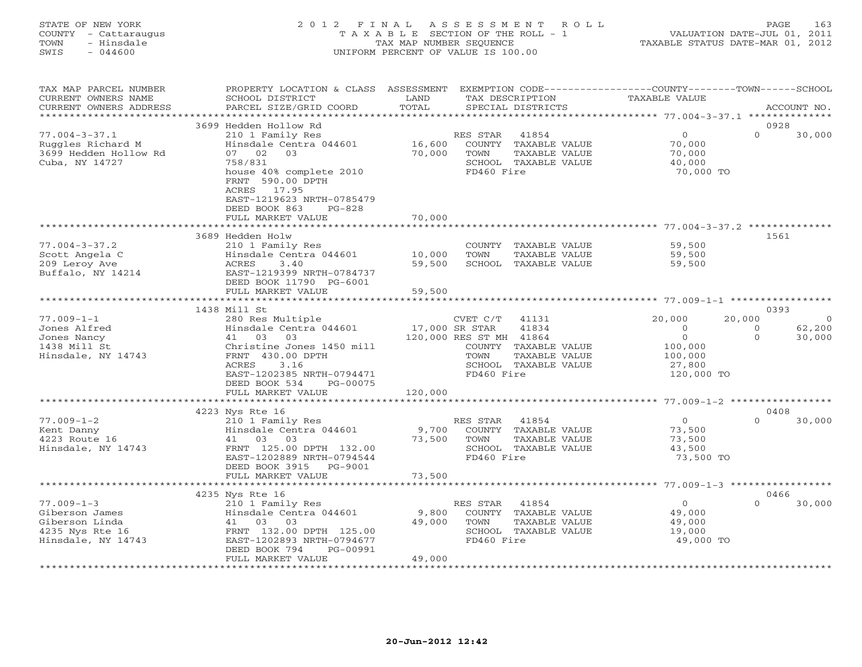# STATE OF NEW YORK 2 0 1 2 F I N A L A S S E S S M E N T R O L L PAGE 163 COUNTY - Cattaraugus T A X A B L E SECTION OF THE ROLL - 1 VALUATION DATE-JUL 01, 2011 TOWN - Hinsdale TAX MAP NUMBER SEQUENCE TAXABLE STATUS DATE-MAR 01, 2012 SWIS - 044600 UNIFORM PERCENT OF VALUE IS 100.00UNIFORM PERCENT OF VALUE IS 100.00

| TAX MAP PARCEL NUMBER<br>CURRENT OWNERS NAME<br>CURRENT OWNERS ADDRESS                        | PROPERTY LOCATION & CLASS ASSESSMENT<br>SCHOOL DISTRICT<br>PARCEL SIZE/GRID COORD                                                                                  | LAND<br>TOTAL            | EXEMPTION CODE-----------------COUNTY-------TOWN------SCHOOL<br>TAX DESCRIPTION<br>SPECIAL DISTRICTS                    | <b>TAXABLE VALUE</b>                                               |                      | ACCOUNT NO.      |
|-----------------------------------------------------------------------------------------------|--------------------------------------------------------------------------------------------------------------------------------------------------------------------|--------------------------|-------------------------------------------------------------------------------------------------------------------------|--------------------------------------------------------------------|----------------------|------------------|
| *********************                                                                         |                                                                                                                                                                    |                          |                                                                                                                         |                                                                    |                      |                  |
|                                                                                               | 3699 Hedden Hollow Rd                                                                                                                                              |                          |                                                                                                                         |                                                                    |                      | 0928             |
| $77.004 - 3 - 37.1$<br>Ruggles Richard M<br>3699 Hedden Hollow Rd<br>Cuba, NY 14727           | 210 1 Family Res<br>Hinsdale Centra 044601<br>07 02<br>03<br>758/831<br>house 40% complete 2010<br>FRNT 590.00 DPTH<br>17.95<br>ACRES<br>EAST-1219623 NRTH-0785479 | 16,600<br>70,000         | RES STAR<br>41854<br>COUNTY TAXABLE VALUE<br>TOWN<br>TAXABLE VALUE<br>SCHOOL TAXABLE VALUE<br>FD460 Fire                | $\circ$<br>70,000<br>70,000<br>40,000<br>70,000 TO                 | $\Omega$             | 30,000           |
|                                                                                               | DEED BOOK 863<br>$PG-828$                                                                                                                                          |                          |                                                                                                                         |                                                                    |                      |                  |
|                                                                                               | FULL MARKET VALUE                                                                                                                                                  | 70,000                   |                                                                                                                         |                                                                    |                      |                  |
|                                                                                               | ********************                                                                                                                                               | **************           |                                                                                                                         |                                                                    |                      | 1561             |
| $77.004 - 3 - 37.2$<br>Scott Angela C<br>209 Leroy Ave<br>Buffalo, NY 14214                   | 3689 Hedden Holw<br>210 1 Family Res<br>Hinsdale Centra 044601<br>3.40<br>ACRES<br>EAST-1219399 NRTH-0784737<br>DEED BOOK 11790 PG-6001                            | 10,000<br>59,500         | COUNTY TAXABLE VALUE<br>TAXABLE VALUE<br>TOWN<br>SCHOOL TAXABLE VALUE                                                   | 59,500<br>59,500<br>59,500                                         |                      |                  |
|                                                                                               | FULL MARKET VALUE                                                                                                                                                  | 59,500                   |                                                                                                                         |                                                                    |                      |                  |
|                                                                                               |                                                                                                                                                                    |                          |                                                                                                                         | ********** 77.009-1-1 **********                                   |                      |                  |
| $77.009 - 1 - 1$                                                                              | 1438 Mill St<br>280 Res Multiple                                                                                                                                   |                          | CVET C/T<br>41131                                                                                                       | 20,000                                                             | 20,000               | 0393<br>0        |
| Jones Alfred<br>Jones Nancy<br>1438 Mill St<br>Hinsdale, NY 14743                             | Hinsdale Centra 044601<br>41 03<br>0.3<br>Christine Jones 1450 mill<br>FRNT 430.00 DPTH<br>3.16<br>ACRES<br>EAST-1202385 NRTH-0794471<br>DEED BOOK 534<br>PG-00075 | 17,000 SR STAR           | 41834<br>120,000 RES ST MH 41864<br>COUNTY TAXABLE VALUE<br>TOWN<br>TAXABLE VALUE<br>SCHOOL TAXABLE VALUE<br>FD460 Fire | $\Omega$<br>$\Omega$<br>100,000<br>100,000<br>27,800<br>120,000 TO | $\Omega$<br>$\Omega$ | 62,200<br>30,000 |
|                                                                                               | FULL MARKET VALUE                                                                                                                                                  | 120,000                  |                                                                                                                         |                                                                    |                      |                  |
|                                                                                               | ************************                                                                                                                                           |                          |                                                                                                                         |                                                                    |                      |                  |
|                                                                                               | 4223 Nys Rte 16                                                                                                                                                    |                          |                                                                                                                         |                                                                    |                      | 0408             |
| $77.009 - 1 - 2$<br>Kent Danny<br>4223 Route 16<br>Hinsdale, NY 14743                         | 210 1 Family Res<br>Hinsdale Centra 044601<br>41 03<br>03<br>FRNT 125.00 DPTH 132.00<br>EAST-1202889 NRTH-0794544<br>DEED BOOK 3915<br>PG-9001                     | 9,700<br>73,500          | RES STAR<br>41854<br>COUNTY TAXABLE VALUE<br>TOWN<br>TAXABLE VALUE<br>SCHOOL TAXABLE VALUE<br>FD460 Fire                | $\circ$<br>73,500<br>73,500<br>43,500<br>73,500 TO                 | $\Omega$             | 30,000           |
|                                                                                               | FULL MARKET VALUE                                                                                                                                                  | 73,500                   |                                                                                                                         |                                                                    |                      |                  |
|                                                                                               | ************************                                                                                                                                           |                          |                                                                                                                         |                                                                    |                      |                  |
|                                                                                               | 4235 Nys Rte 16                                                                                                                                                    |                          |                                                                                                                         |                                                                    |                      | 0466             |
| $77.009 - 1 - 3$<br>Giberson James<br>Giberson Linda<br>4235 Nys Rte 16<br>Hinsdale, NY 14743 | 210 1 Family Res<br>Hinsdale Centra 044601<br>41 03 03<br>FRNT 132.00 DPTH 125.00<br>EAST-1202893 NRTH-0794677<br>DEED BOOK 794<br>PG-00991                        | 9,800<br>49,000          | RES STAR<br>41854<br>COUNTY TAXABLE VALUE<br>TOWN<br>TAXABLE VALUE<br>SCHOOL TAXABLE VALUE<br>FD460 Fire                | $\Omega$<br>49,000<br>49,000<br>19,000<br>49,000 TO                | $\Omega$             | 30,000           |
|                                                                                               | FULL MARKET VALUE<br>***********************                                                                                                                       | 49,000<br>************** |                                                                                                                         |                                                                    |                      |                  |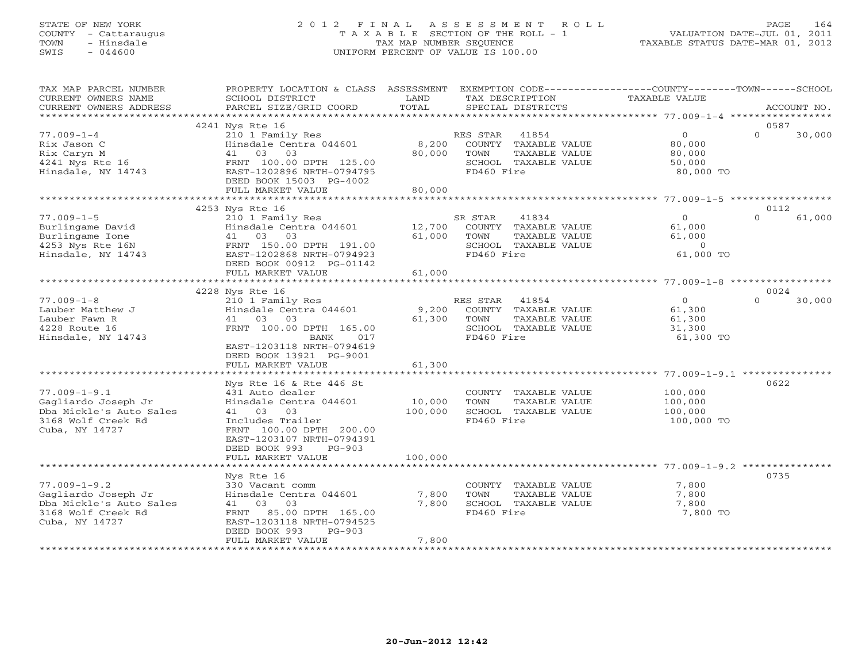# STATE OF NEW YORK 2 0 1 2 F I N A L A S S E S S M E N T R O L L PAGE 164 COUNTY - Cattaraugus T A X A B L E SECTION OF THE ROLL - 1 VALUATION DATE-JUL 01, 2011 TOWN - Hinsdale TAX MAP NUMBER SEQUENCE TAXABLE STATUS DATE-MAR 01, 2012 SWIS - 044600 UNIFORM PERCENT OF VALUE IS 100.00UNIFORM PERCENT OF VALUE IS 100.00

| TAX MAP PARCEL NUMBER<br>CURRENT OWNERS NAME<br>CURRENT OWNERS ADDRESS                                       | PROPERTY LOCATION & CLASS ASSESSMENT<br>SCHOOL DISTRICT<br>PARCEL SIZE/GRID COORD                                                                                                  | LAND<br>TOTAL              | TAX DESCRIPTION<br>SPECIAL DISTRICTS                                                                     | EXEMPTION CODE----------------COUNTY-------TOWN------SCHOOL<br>TAXABLE VALUE |                  | ACCOUNT NO. |
|--------------------------------------------------------------------------------------------------------------|------------------------------------------------------------------------------------------------------------------------------------------------------------------------------------|----------------------------|----------------------------------------------------------------------------------------------------------|------------------------------------------------------------------------------|------------------|-------------|
|                                                                                                              |                                                                                                                                                                                    |                            |                                                                                                          |                                                                              |                  |             |
| $77.009 - 1 - 4$<br>Rix Jason C<br>Rix Caryn M<br>4241 Nys Rte 16<br>Hinsdale, NY 14743                      | 4241 Nys Rte 16<br>210 1 Family Res<br>Hinsdale Centra 044601<br>41 03 03<br>FRNT 100.00 DPTH 125.00<br>EAST-1202896 NRTH-0794795<br>DEED BOOK 15003 PG-4002<br>FULL MARKET VALUE  | 8,200<br>80,000<br>80,000  | 41854<br>RES STAR<br>COUNTY TAXABLE VALUE<br>TOWN<br>TAXABLE VALUE<br>SCHOOL TAXABLE VALUE<br>FD460 Fire | $\overline{0}$<br>80,000<br>80,000<br>50,000<br>80,000 TO                    | 0587<br>$\Omega$ | 30,000      |
|                                                                                                              |                                                                                                                                                                                    |                            |                                                                                                          |                                                                              |                  |             |
| $77.009 - 1 - 5$<br>Burlingame David<br>Burlingame Ione<br>4253 Nys Rte 16N<br>Hinsdale, NY 14743            | 4253 Nys Rte 16<br>210 1 Family Res<br>Hinsdale Centra 044601<br>41 03 03<br>FRNT 150.00 DPTH 191.00<br>EAST-1202868 NRTH-0794923<br>DEED BOOK 00912 PG-01142<br>FULL MARKET VALUE | 12,700<br>61,000<br>61,000 | SR STAR<br>41834<br>COUNTY TAXABLE VALUE<br>TOWN<br>TAXABLE VALUE<br>SCHOOL TAXABLE VALUE<br>FD460 Fire  | $\Omega$<br>61,000<br>61,000<br>$\overline{0}$<br>61,000 TO                  | 0112<br>$\Omega$ | 61,000      |
|                                                                                                              | 4228 Nys Rte 16                                                                                                                                                                    |                            |                                                                                                          |                                                                              | 0024             |             |
| $77.009 - 1 - 8$<br>Lauber Matthew J<br>Lauber Fawn R<br>4228 Route 16<br>Hinsdale, NY 14743                 | 210 1 Family Res<br>Hinsdale Centra 044601<br>41 03 03<br>FRNT 100.00 DPTH 165.00<br>BANK<br>017<br>EAST-1203118 NRTH-0794619<br>DEED BOOK 13921 PG-9001<br>FULL MARKET VALUE      | 9,200<br>61,300<br>61,300  | RES STAR<br>41854<br>COUNTY TAXABLE VALUE<br>TOWN<br>TAXABLE VALUE<br>SCHOOL TAXABLE VALUE<br>FD460 Fire | $\Omega$<br>61,300<br>61,300<br>31,300<br>61,300 TO                          | $\Omega$         | 30,000      |
|                                                                                                              | Nys Rte 16 & Rte 446 St                                                                                                                                                            |                            |                                                                                                          |                                                                              | 0622             |             |
| $77.009 - 1 - 9.1$<br>Gagliardo Joseph Jr<br>Dba Mickle's Auto Sales<br>3168 Wolf Creek Rd<br>Cuba, NY 14727 | 431 Auto dealer<br>Hinsdale Centra 044601<br>41 03 03<br>Includes Trailer<br>FRNT 100.00 DPTH 200.00<br>EAST-1203107 NRTH-0794391<br>DEED BOOK 993<br>$PG-903$                     | 10,000<br>100,000          | COUNTY TAXABLE VALUE<br>TOWN<br>TAXABLE VALUE<br>SCHOOL TAXABLE VALUE<br>FD460 Fire                      | 100,000<br>100,000<br>100,000<br>100,000 TO                                  |                  |             |
|                                                                                                              | FULL MARKET VALUE                                                                                                                                                                  | 100,000                    |                                                                                                          |                                                                              |                  |             |
|                                                                                                              | Nys Rte 16                                                                                                                                                                         |                            |                                                                                                          |                                                                              | 0735             |             |
| $77.009 - 1 - 9.2$<br>Gagliardo Joseph Jr<br>Dba Mickle's Auto Sales<br>3168 Wolf Creek Rd<br>Cuba, NY 14727 | 330 Vacant comm<br>Hinsdale Centra 044601<br>41 03<br>03<br>FRNT 85.00 DPTH 165.00<br>EAST-1203118 NRTH-0794525<br>$PG-903$<br>DEED BOOK 993                                       | 7,800<br>7,800             | COUNTY TAXABLE VALUE<br>TOWN<br>TAXABLE VALUE<br>SCHOOL TAXABLE VALUE<br>FD460 Fire                      | 7,800<br>7,800<br>7,800<br>7,800 TO                                          |                  |             |
|                                                                                                              | FULL MARKET VALUE                                                                                                                                                                  | 7,800                      |                                                                                                          |                                                                              |                  |             |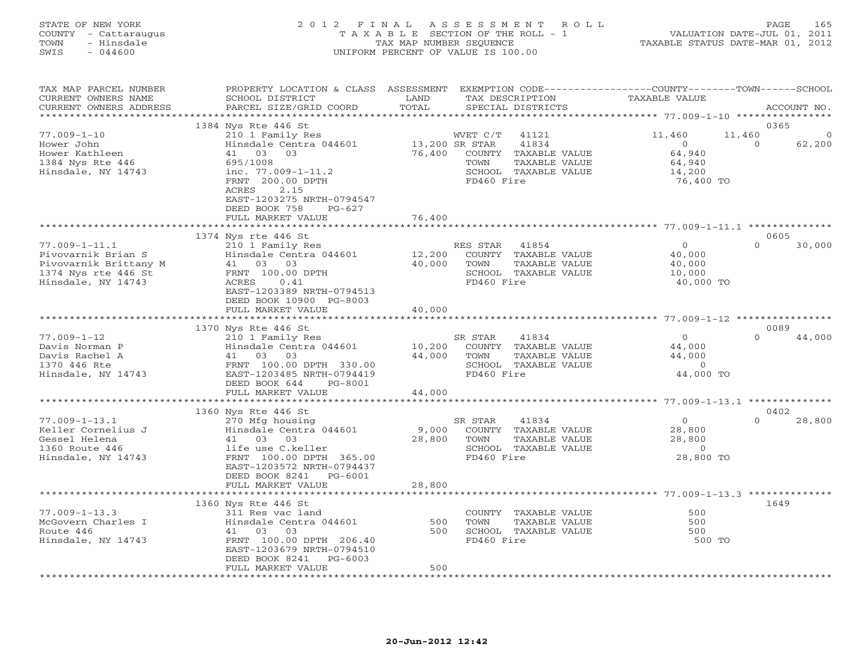#### STATE OF NEW YORK 2 0 1 2 F I N A L A S S E S S M E N T R O L L PAGE 165 COUNTY - Cattaraugus T A X A B L E SECTION OF THE ROLL - 1 VALUATION DATE-JUL 01, 2011 TOWN - Hinsdale TAX MAP NUMBER SEQUENCE TAXABLE STATUS DATE-MAR 01, 2012 SWIS - 044600 UNIFORM PERCENT OF VALUE IS 100.00UNIFORM PERCENT OF VALUE IS 100.00

| TAX MAP PARCEL NUMBER<br>CURRENT OWNERS NAME<br>CURRENT OWNERS ADDRESS | PROPERTY LOCATION & CLASS ASSESSMENT<br>SCHOOL DISTRICT<br>PARCEL SIZE/GRID COORD                                                                                         | LAND<br>TOTAL            | TAX DESCRIPTION<br>SPECIAL DISTRICTS                                                | EXEMPTION CODE----------------COUNTY-------TOWN-----SCHOOL<br><b>TAXABLE VALUE</b> | ACCOUNT NO.                  |
|------------------------------------------------------------------------|---------------------------------------------------------------------------------------------------------------------------------------------------------------------------|--------------------------|-------------------------------------------------------------------------------------|------------------------------------------------------------------------------------|------------------------------|
| *********************                                                  |                                                                                                                                                                           |                          |                                                                                     |                                                                                    |                              |
| $77.009 - 1 - 10$<br>Hower John                                        | 1384 Nys Rte 446 St<br>210 1 Family Res                                                                                                                                   |                          | WVET C/T<br>41121<br>41834                                                          | 11,460<br>11,460<br>$\Omega$                                                       | 0365<br>$\Omega$<br>$\Omega$ |
| Hower Kathleen<br>1384 Nys Rte 446<br>Hinsdale, NY 14743               | Hinsdale Centra 044601<br>41 03 03<br>695/1008<br>inc. $77.009 - 1 - 11.2$<br>FRNT 200.00 DPTH<br>2.15<br>ACRES<br>EAST-1203275 NRTH-0794547<br>DEED BOOK 758<br>$PG-627$ | 13,200 SR STAR<br>76,400 | COUNTY TAXABLE VALUE<br>TOWN<br>TAXABLE VALUE<br>SCHOOL TAXABLE VALUE<br>FD460 Fire | 64,940<br>64,940<br>14,200<br>76,400 TO                                            | 62,200                       |
|                                                                        | FULL MARKET VALUE                                                                                                                                                         | 76,400                   |                                                                                     |                                                                                    |                              |
|                                                                        | 1374 Nys rte 446 St                                                                                                                                                       |                          |                                                                                     |                                                                                    | 0605                         |
| $77.009 - 1 - 11.1$                                                    | 210 1 Family Res                                                                                                                                                          |                          | RES STAR 41854                                                                      | $\overline{0}$                                                                     | $\Omega$<br>30,000           |
| Pivovarnik Brian S                                                     | Hinsdale Centra 044601                                                                                                                                                    | 12,200                   | COUNTY TAXABLE VALUE                                                                | 40,000                                                                             |                              |
| Pivovarnik Brittany M                                                  | 41 03<br>03                                                                                                                                                               | 40,000                   | TAXABLE VALUE<br>TOWN                                                               | 40,000                                                                             |                              |
| 1374 Nys rte 446 St                                                    | FRNT 100.00 DPTH                                                                                                                                                          |                          | SCHOOL TAXABLE VALUE                                                                | 10,000                                                                             |                              |
| Hinsdale, NY 14743                                                     | ACRES<br>0.41<br>EAST-1203389 NRTH-0794513<br>DEED BOOK 10900 PG-8003<br>FULL MARKET VALUE                                                                                | 40,000                   | FD460 Fire                                                                          | 40,000 TO                                                                          |                              |
|                                                                        |                                                                                                                                                                           |                          |                                                                                     |                                                                                    |                              |
|                                                                        | 1370 Nys Rte 446 St                                                                                                                                                       |                          |                                                                                     |                                                                                    | 0089                         |
| $77.009 - 1 - 12$                                                      | 210 1 Family Res                                                                                                                                                          |                          | 41834<br>SR STAR                                                                    | $\overline{0}$                                                                     | $\Omega$<br>44,000           |
| Davis Norman P                                                         | Hinsdale Centra 044601                                                                                                                                                    | 10,200                   | COUNTY TAXABLE VALUE                                                                | 44,000                                                                             |                              |
| Davis Rachel A                                                         | 41 03 03                                                                                                                                                                  | 44,000                   | TOWN<br>TAXABLE VALUE                                                               | 44,000                                                                             |                              |
| 1370 446 Rte                                                           | FRNT 100.00 DPTH 330.00                                                                                                                                                   |                          | SCHOOL TAXABLE VALUE                                                                | $\overline{0}$                                                                     |                              |
| Hinsdale, NY 14743                                                     | EAST-1203485 NRTH-0794419                                                                                                                                                 |                          | FD460 Fire                                                                          | 44,000 TO                                                                          |                              |
|                                                                        | DEED BOOK 644<br>PG-8001                                                                                                                                                  |                          |                                                                                     |                                                                                    |                              |
|                                                                        | FULL MARKET VALUE                                                                                                                                                         | 44,000                   |                                                                                     |                                                                                    |                              |
|                                                                        |                                                                                                                                                                           |                          |                                                                                     |                                                                                    |                              |
|                                                                        | 1360 Nys Rte 446 St                                                                                                                                                       |                          |                                                                                     |                                                                                    | 0402                         |
| $77.009 - 1 - 13.1$                                                    | 270 Mfg housing                                                                                                                                                           |                          | SR STAR<br>41834                                                                    | $\overline{O}$                                                                     | $\Omega$<br>28,800           |
| Keller Cornelius J                                                     | Hinsdale Centra 044601                                                                                                                                                    | 9,000                    | COUNTY TAXABLE VALUE                                                                | 28,800                                                                             |                              |
| Gessel Helena                                                          | 41 03 03                                                                                                                                                                  | 28,800                   | TOWN<br>TAXABLE VALUE                                                               | 28,800                                                                             |                              |
| 1360 Route 446                                                         | life use C.keller                                                                                                                                                         |                          | SCHOOL TAXABLE VALUE                                                                | $\overline{0}$                                                                     |                              |
| Hinsdale, NY 14743                                                     | FRNT 100.00 DPTH 365.00                                                                                                                                                   |                          | FD460 Fire                                                                          | 28,800 TO                                                                          |                              |
|                                                                        | EAST-1203572 NRTH-0794437                                                                                                                                                 |                          |                                                                                     |                                                                                    |                              |
|                                                                        | DEED BOOK 8241<br>PG-6001                                                                                                                                                 |                          |                                                                                     |                                                                                    |                              |
|                                                                        | FULL MARKET VALUE                                                                                                                                                         | 28,800                   |                                                                                     |                                                                                    |                              |
|                                                                        | 1360 Nys Rte 446 St                                                                                                                                                       |                          |                                                                                     |                                                                                    | 1649                         |
| $77.009 - 1 - 13.3$                                                    | 311 Res vac land                                                                                                                                                          |                          | COUNTY TAXABLE VALUE                                                                | 500                                                                                |                              |
| McGovern Charles I                                                     | Hinsdale Centra 044601                                                                                                                                                    | 500                      | TAXABLE VALUE<br>TOWN                                                               | 500                                                                                |                              |
| Route 446                                                              | 03<br>41 03                                                                                                                                                               | 500                      | SCHOOL TAXABLE VALUE                                                                | 500                                                                                |                              |
| Hinsdale, NY 14743                                                     | FRNT 100.00 DPTH 206.40                                                                                                                                                   |                          | FD460 Fire                                                                          | 500 TO                                                                             |                              |
|                                                                        | EAST-1203679 NRTH-0794510                                                                                                                                                 |                          |                                                                                     |                                                                                    |                              |
|                                                                        | DEED BOOK 8241<br>$PG-6003$                                                                                                                                               |                          |                                                                                     |                                                                                    |                              |
|                                                                        | FULL MARKET VALUE                                                                                                                                                         | 500                      |                                                                                     |                                                                                    |                              |
|                                                                        |                                                                                                                                                                           |                          |                                                                                     |                                                                                    |                              |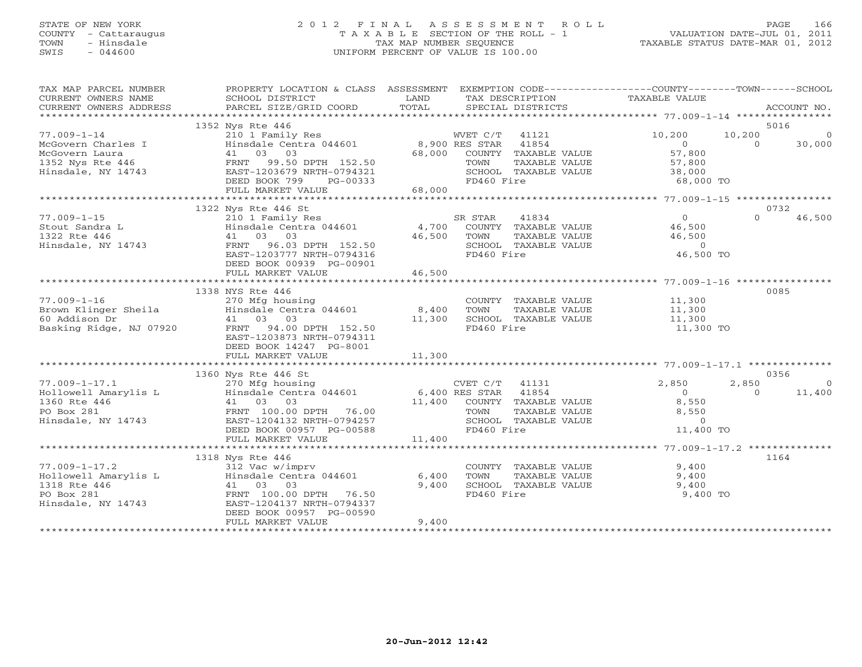# STATE OF NEW YORK 2 0 1 2 F I N A L A S S E S S M E N T R O L L PAGE 166 COUNTY - Cattaraugus T A X A B L E SECTION OF THE ROLL - 1 VALUATION DATE-JUL 01, 2011 TOWN - Hinsdale TAX MAP NUMBER SEQUENCE TAXABLE STATUS DATE-MAR 01, 2012 SWIS - 044600 UNIFORM PERCENT OF VALUE IS 100.00UNIFORM PERCENT OF VALUE IS 100.00

| TAX MAP PARCEL NUMBER<br>CURRENT OWNERS NAME         | SCHOOL DISTRICT<br><b>Example 12 Distribution of the LAND</b>                                                                                                                                                                                               |                   | TAX DESCRIPTION             | PROPERTY LOCATION & CLASS ASSESSMENT EXEMPTION CODE----------------COUNTY-------TOWN------SCHOOL<br>TAXABLE VALUE                                                                                                                                                                                                                                                                                                                            |                    |
|------------------------------------------------------|-------------------------------------------------------------------------------------------------------------------------------------------------------------------------------------------------------------------------------------------------------------|-------------------|-----------------------------|----------------------------------------------------------------------------------------------------------------------------------------------------------------------------------------------------------------------------------------------------------------------------------------------------------------------------------------------------------------------------------------------------------------------------------------------|--------------------|
|                                                      |                                                                                                                                                                                                                                                             |                   |                             |                                                                                                                                                                                                                                                                                                                                                                                                                                              |                    |
| $77.009 - 1 - 14$                                    | 1352 Nys Rte 446<br>Nys kie 440<br>210 1 Family Res MVET C/T 41121<br>Hinsdale Centra 044601 8,900 RES STAR 41854                                                                                                                                           |                   |                             | 10,200<br>10,200                                                                                                                                                                                                                                                                                                                                                                                                                             | 5016<br>$\sim$ 0   |
|                                                      |                                                                                                                                                                                                                                                             |                   |                             | $\overline{0}$                                                                                                                                                                                                                                                                                                                                                                                                                               | 30,000             |
|                                                      | Fragment Charles I and Hinsdale Centra 044601 at 8,900 RES STAR 41854<br>McGovern Laura (1 03 03 68,000 COUNTY TAXABLE VALUE<br>1352 Nys Rte 446 FRNT 99.50 DPTH 152.50 TOWN TAXABLE VALUE<br>Hinsdale, NY 14743 EAST-1203679 NRTH-0                        |                   |                             | $\begin{array}{c} 0 \\ 57,800 \end{array}$                                                                                                                                                                                                                                                                                                                                                                                                   |                    |
|                                                      |                                                                                                                                                                                                                                                             |                   |                             |                                                                                                                                                                                                                                                                                                                                                                                                                                              |                    |
|                                                      |                                                                                                                                                                                                                                                             |                   |                             |                                                                                                                                                                                                                                                                                                                                                                                                                                              |                    |
|                                                      |                                                                                                                                                                                                                                                             | $PG-00333$        |                             | TOWN TAXABLE VALUE<br>SCHOOL TAXABLE VALUE 57,800<br>FD460 Fire 68,000 TO                                                                                                                                                                                                                                                                                                                                                                    |                    |
|                                                      |                                                                                                                                                                                                                                                             |                   |                             |                                                                                                                                                                                                                                                                                                                                                                                                                                              |                    |
|                                                      |                                                                                                                                                                                                                                                             |                   |                             |                                                                                                                                                                                                                                                                                                                                                                                                                                              |                    |
|                                                      | 1322 Nys Rte 446 St<br>Nys Rte 446 St<br>210 1 Family Res<br>Hinsdale Centra 044601 4,700 COUNTY TAXABLE VALUE<br>46.500 TOWN TAXABLE VALUE                                                                                                                 |                   |                             |                                                                                                                                                                                                                                                                                                                                                                                                                                              | 0732               |
| $77.009 - 1 - 15$                                    |                                                                                                                                                                                                                                                             |                   |                             | 0<br>46,500<br>46,500                                                                                                                                                                                                                                                                                                                                                                                                                        | 46,500<br>$\Omega$ |
| Stout Sandra L<br>1322 Rte 446<br>Hinsdale, NY 14743 |                                                                                                                                                                                                                                                             |                   |                             |                                                                                                                                                                                                                                                                                                                                                                                                                                              |                    |
|                                                      |                                                                                                                                                                                                                                                             |                   |                             |                                                                                                                                                                                                                                                                                                                                                                                                                                              |                    |
|                                                      | FRNT 96.03 DPTH 152.50                                                                                                                                                                                                                                      |                   | SCHOOL TAXABLE VALUE        | $\sim$ 0                                                                                                                                                                                                                                                                                                                                                                                                                                     |                    |
|                                                      | EAST-1203777 NRTH-0794316                                                                                                                                                                                                                                   |                   | FD460 Fire                  | 46,500 TO                                                                                                                                                                                                                                                                                                                                                                                                                                    |                    |
|                                                      | DEED BOOK 00939 PG-00901                                                                                                                                                                                                                                    |                   |                             |                                                                                                                                                                                                                                                                                                                                                                                                                                              |                    |
|                                                      | FULL MARKET VALUE                                                                                                                                                                                                                                           | 46,500            |                             |                                                                                                                                                                                                                                                                                                                                                                                                                                              |                    |
|                                                      |                                                                                                                                                                                                                                                             |                   |                             |                                                                                                                                                                                                                                                                                                                                                                                                                                              |                    |
|                                                      | 1338 NYS Rte 446                                                                                                                                                                                                                                            |                   |                             |                                                                                                                                                                                                                                                                                                                                                                                                                                              | 0085               |
| $77.009 - 1 - 16$                                    |                                                                                                                                                                                                                                                             |                   | COUNTY TAXABLE VALUE 11,300 |                                                                                                                                                                                                                                                                                                                                                                                                                                              |                    |
|                                                      | 270 Mfg housing<br>Hinsdale Centra 044601 8,400<br>41 03 03 11,300                                                                                                                                                                                          |                   | TOWN<br>TAXABLE VALUE       | 11,300                                                                                                                                                                                                                                                                                                                                                                                                                                       |                    |
|                                                      |                                                                                                                                                                                                                                                             | $8,400$<br>11,300 | SCHOOL TAXABLE VALUE 11,300 |                                                                                                                                                                                                                                                                                                                                                                                                                                              |                    |
|                                                      | 77.009-1-16 270 Mfg housing<br>Brown Klinger Sheila Hinsdale Centra 044601<br>60 Addison Dr 41 03 03<br>Basking Ridge, NJ 07920 FRNT 94.00 DPTH 152.50                                                                                                      |                   | FD460 Fire                  | 11,300 TO                                                                                                                                                                                                                                                                                                                                                                                                                                    |                    |
|                                                      | EAST-1203873 NRTH-0794311                                                                                                                                                                                                                                   |                   |                             |                                                                                                                                                                                                                                                                                                                                                                                                                                              |                    |
|                                                      | DEED BOOK 14247 PG-8001                                                                                                                                                                                                                                     |                   |                             |                                                                                                                                                                                                                                                                                                                                                                                                                                              |                    |
|                                                      | FULL MARKET VALUE                                                                                                                                                                                                                                           | 11,300            |                             |                                                                                                                                                                                                                                                                                                                                                                                                                                              |                    |
|                                                      | 1360 Nys Rte 446 St                                                                                                                                                                                                                                         |                   |                             |                                                                                                                                                                                                                                                                                                                                                                                                                                              | 0356               |
|                                                      |                                                                                                                                                                                                                                                             |                   |                             | 2,850<br>2,850                                                                                                                                                                                                                                                                                                                                                                                                                               | $\overline{0}$     |
|                                                      |                                                                                                                                                                                                                                                             |                   |                             | $\overline{0}$<br>$\overline{0}$                                                                                                                                                                                                                                                                                                                                                                                                             | 11,400             |
|                                                      |                                                                                                                                                                                                                                                             |                   |                             | 8,550                                                                                                                                                                                                                                                                                                                                                                                                                                        |                    |
|                                                      |                                                                                                                                                                                                                                                             |                   |                             |                                                                                                                                                                                                                                                                                                                                                                                                                                              |                    |
|                                                      |                                                                                                                                                                                                                                                             |                   |                             |                                                                                                                                                                                                                                                                                                                                                                                                                                              |                    |
|                                                      |                                                                                                                                                                                                                                                             |                   |                             | $\begin{tabular}{lllllllll} TAXABLE & $\mathsf{v}_{\mathsf{a}\mathsf{a}\mathsf{b}\mathsf{c}\mathsf{b}}$ & $\mathsf{0}$ & $\mathsf{0}$\\ TAXABLE & $\mathsf{V}\mathsf{A} \mathsf{L}\mathsf{U} \mathsf{E}$ & $\mathsf{0}$ & $\mathsf{0}$\\ \textcolor{red}{\color{red}\textbf{max}}\mathsf{B} \mathsf{E}$ & $\mathsf{V}\mathsf{A} \mathsf{L}\mathsf{U} \mathsf{E}$ & $\mathsf{1}$ & $\mathsf{1}$ & $\mathsf{40}$\\ \end{tabular}$<br>11,400 TO |                    |
|                                                      |                                                                                                                                                                                                                                                             |                   |                             |                                                                                                                                                                                                                                                                                                                                                                                                                                              |                    |
|                                                      |                                                                                                                                                                                                                                                             |                   |                             |                                                                                                                                                                                                                                                                                                                                                                                                                                              |                    |
|                                                      | 1318 Nys Rte 446                                                                                                                                                                                                                                            |                   |                             |                                                                                                                                                                                                                                                                                                                                                                                                                                              | 1164               |
|                                                      |                                                                                                                                                                                                                                                             |                   | COUNTY TAXABLE VALUE        | 9,400                                                                                                                                                                                                                                                                                                                                                                                                                                        |                    |
|                                                      |                                                                                                                                                                                                                                                             | 6,400             | TOWN                        | TAXABLE VALUE 9,400                                                                                                                                                                                                                                                                                                                                                                                                                          |                    |
|                                                      | 77.009-1-17.2<br>Hollowell Amarylis L<br>1318 Rte 446<br>PO Box 281<br>Hinsdale, NY 14743<br>Hinsdale, NY 14743<br>PO Box 281<br>Hinsdale, NY 14743<br>PO Box 281<br>PO Box 281<br>PO Box 281<br>PO Box 281<br>PO Box 281<br>PO Box 281<br>PO Box 281<br>PO | 9,400             | SCHOOL TAXABLE VALUE        | 9,400                                                                                                                                                                                                                                                                                                                                                                                                                                        |                    |
|                                                      |                                                                                                                                                                                                                                                             |                   | FD460 Fire                  | 9,400 TO                                                                                                                                                                                                                                                                                                                                                                                                                                     |                    |
|                                                      |                                                                                                                                                                                                                                                             |                   |                             |                                                                                                                                                                                                                                                                                                                                                                                                                                              |                    |
|                                                      | DEED BOOK 00957 PG-00590                                                                                                                                                                                                                                    |                   |                             |                                                                                                                                                                                                                                                                                                                                                                                                                                              |                    |
|                                                      | FULL MARKET VALUE                                                                                                                                                                                                                                           | 9,400             |                             |                                                                                                                                                                                                                                                                                                                                                                                                                                              |                    |
|                                                      |                                                                                                                                                                                                                                                             |                   |                             |                                                                                                                                                                                                                                                                                                                                                                                                                                              |                    |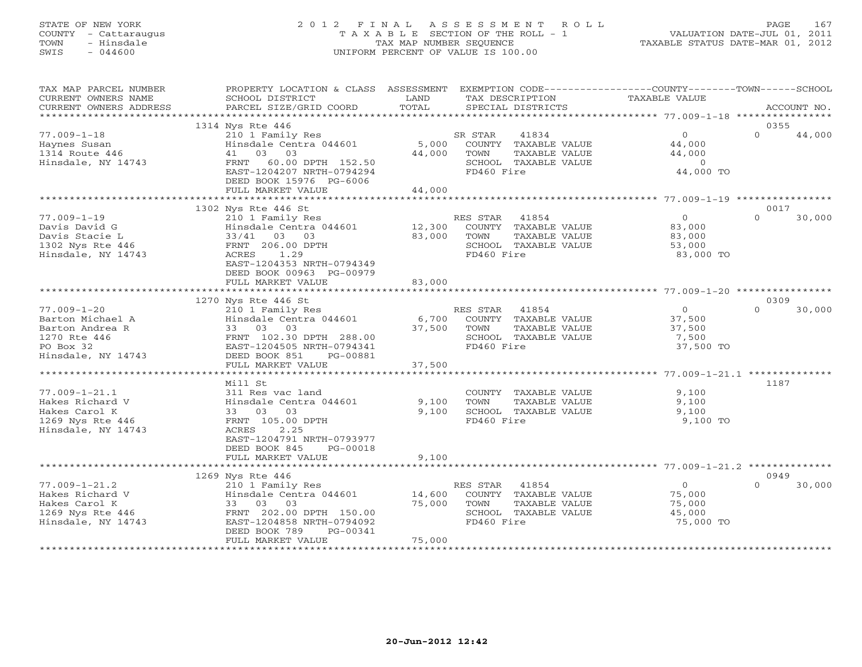# STATE OF NEW YORK 2 0 1 2 F I N A L A S S E S S M E N T R O L L PAGE 167 COUNTY - Cattaraugus T A X A B L E SECTION OF THE ROLL - 1 VALUATION DATE-JUL 01, 2011 TOWN - Hinsdale TAX MAP NUMBER SEQUENCE TAXABLE STATUS DATE-MAR 01, 2012 SWIS - 044600 UNIFORM PERCENT OF VALUE IS 100.00UNIFORM PERCENT OF VALUE IS 100.00

| TAX MAP PARCEL NUMBER<br>CURRENT OWNERS NAME                              | PROPERTY LOCATION & CLASS ASSESSMENT<br>SCHOOL DISTRICT                                                       | LAND             |                               | TAX DESCRIPTION                                                              | EXEMPTION CODE-----------------COUNTY-------TOWN------SCHOOL<br>TAXABLE VALUE |          |             |
|---------------------------------------------------------------------------|---------------------------------------------------------------------------------------------------------------|------------------|-------------------------------|------------------------------------------------------------------------------|-------------------------------------------------------------------------------|----------|-------------|
| CURRENT OWNERS ADDRESS                                                    | PARCEL SIZE/GRID COORD                                                                                        | TOTAL            |                               | SPECIAL DISTRICTS                                                            |                                                                               |          | ACCOUNT NO. |
|                                                                           | 1314 Nys Rte 446                                                                                              |                  |                               |                                                                              |                                                                               | 0355     |             |
| $77.009 - 1 - 18$<br>Haynes Susan<br>1314 Route 446<br>Hinsdale, NY 14743 | 210 1 Family Res<br>Hinsdale Centra 044601<br>41 03 03<br>FRNT 60.00 DPTH 152.50<br>EAST-1204207 NRTH-0794294 | 44,000           | SR STAR<br>TOWN<br>FD460 Fire | 41834<br>5,000 COUNTY TAXABLE VALUE<br>TAXABLE VALUE<br>SCHOOL TAXABLE VALUE | $\circ$<br>44,000<br>44,000<br>$\overline{0}$<br>44,000 TO                    | $\Omega$ | 44,000      |
|                                                                           | DEED BOOK 15976 PG-6006                                                                                       |                  |                               |                                                                              |                                                                               |          |             |
|                                                                           | FULL MARKET VALUE                                                                                             | 44,000           |                               |                                                                              |                                                                               |          |             |
|                                                                           |                                                                                                               |                  |                               |                                                                              |                                                                               |          |             |
|                                                                           | 1302 Nys Rte 446 St                                                                                           |                  |                               |                                                                              |                                                                               | 0017     |             |
| $77.009 - 1 - 19$<br>Davis David G<br>Davis Stacie L                      | 210 1 Family Res<br>Hinsdale Centra 044601<br>33/41 03 03                                                     | 12,300<br>83,000 | RES STAR 41854<br>TOWN        | COUNTY TAXABLE VALUE<br>TAXABLE VALUE                                        | $\Omega$<br>83,000<br>83,000                                                  | $\Omega$ | 30,000      |
| 1302 Nys Rte 446<br>Hinsdale, NY 14743                                    | FRNT 206.00 DPTH<br>ACRES<br>1.29<br>EAST-1204353 NRTH-0794349                                                |                  | FD460 Fire                    | SCHOOL TAXABLE VALUE                                                         | 53,000<br>83,000 TO                                                           |          |             |
|                                                                           | DEED BOOK 00963 PG-00979                                                                                      |                  |                               |                                                                              |                                                                               |          |             |
|                                                                           | FULL MARKET VALUE                                                                                             | 83,000           |                               |                                                                              |                                                                               |          |             |
|                                                                           |                                                                                                               |                  |                               |                                                                              |                                                                               |          |             |
|                                                                           | 1270 Nys Rte 446 St                                                                                           |                  |                               |                                                                              |                                                                               | 0309     |             |
| $77.009 - 1 - 20$                                                         | 210 1 Family Res                                                                                              |                  | RES STAR 41854                |                                                                              | $\overline{0}$                                                                | $\Omega$ | 30,000      |
| Barton Michael A                                                          | Hinsdale Centra 044601                                                                                        |                  |                               | 6,700 COUNTY TAXABLE VALUE                                                   | 37,500                                                                        |          |             |
| Barton Andrea R                                                           | 33 03 03                                                                                                      | 37,500           | TOWN                          | TAXABLE VALUE                                                                | 37,500                                                                        |          |             |
| 1270 Rte 446                                                              | FRNT 102.30 DPTH 288.00                                                                                       |                  |                               | SCHOOL TAXABLE VALUE                                                         | 7,500                                                                         |          |             |
| PO Box 32                                                                 | EAST-1204505 NRTH-0794341                                                                                     |                  | FD460 Fire                    |                                                                              | 37,500 TO                                                                     |          |             |
| Hinsdale, NY 14743                                                        | DEED BOOK 851<br>PG-00881                                                                                     |                  |                               |                                                                              |                                                                               |          |             |
|                                                                           | FULL MARKET VALUE                                                                                             | 37,500           |                               |                                                                              |                                                                               |          |             |
|                                                                           |                                                                                                               |                  |                               |                                                                              |                                                                               |          |             |
|                                                                           | Mill St                                                                                                       |                  |                               |                                                                              |                                                                               | 1187     |             |
| $77.009 - 1 - 21.1$                                                       | 311 Res vac land                                                                                              |                  |                               | COUNTY TAXABLE VALUE                                                         | 9.100                                                                         |          |             |
| Hakes Richard V                                                           | Hinsdale Centra 044601                                                                                        | 9,100            | TOWN                          | TAXABLE VALUE                                                                | 9,100                                                                         |          |             |
| Hakes Carol K                                                             | 33 03 03                                                                                                      | 9,100            |                               | SCHOOL TAXABLE VALUE                                                         | 9,100                                                                         |          |             |
| 1269 Nys Rte 446                                                          | FRNT 105.00 DPTH                                                                                              |                  | FD460 Fire                    |                                                                              | 9,100 TO                                                                      |          |             |
| Hinsdale, NY 14743                                                        | 2.25<br>ACRES<br>EAST-1204791 NRTH-0793977<br>DEED BOOK 845<br>PG-00018                                       |                  |                               |                                                                              |                                                                               |          |             |
|                                                                           | FULL MARKET VALUE                                                                                             | 9,100            |                               |                                                                              |                                                                               |          |             |
|                                                                           |                                                                                                               |                  |                               |                                                                              |                                                                               |          |             |
|                                                                           | 1269 Nys Rte 446                                                                                              |                  |                               |                                                                              |                                                                               | 0949     |             |
| $77.009 - 1 - 21.2$                                                       | 210 1 Family Res                                                                                              |                  | RES STAR                      | 41854                                                                        | $\overline{0}$                                                                | $\Omega$ | 30,000      |
| Hakes Richard V                                                           | Hinsdale Centra 044601                                                                                        | 14,600           |                               | COUNTY TAXABLE VALUE                                                         | 75,000                                                                        |          |             |
| Hakes Carol K                                                             | 33 03 03                                                                                                      | 75,000           | TOWN                          | TAXABLE VALUE                                                                | 75,000                                                                        |          |             |
| 1269 Nys Rte 446                                                          | FRNT 202.00 DPTH 150.00                                                                                       |                  |                               | SCHOOL TAXABLE VALUE                                                         | 45,000                                                                        |          |             |
| Hinsdale, NY 14743                                                        | EAST-1204858 NRTH-0794092                                                                                     |                  | FD460 Fire                    |                                                                              | 75,000 TO                                                                     |          |             |
|                                                                           | DEED BOOK 789<br>PG-00341                                                                                     |                  |                               |                                                                              |                                                                               |          |             |
|                                                                           | FULL MARKET VALUE                                                                                             | 75,000           |                               |                                                                              |                                                                               |          |             |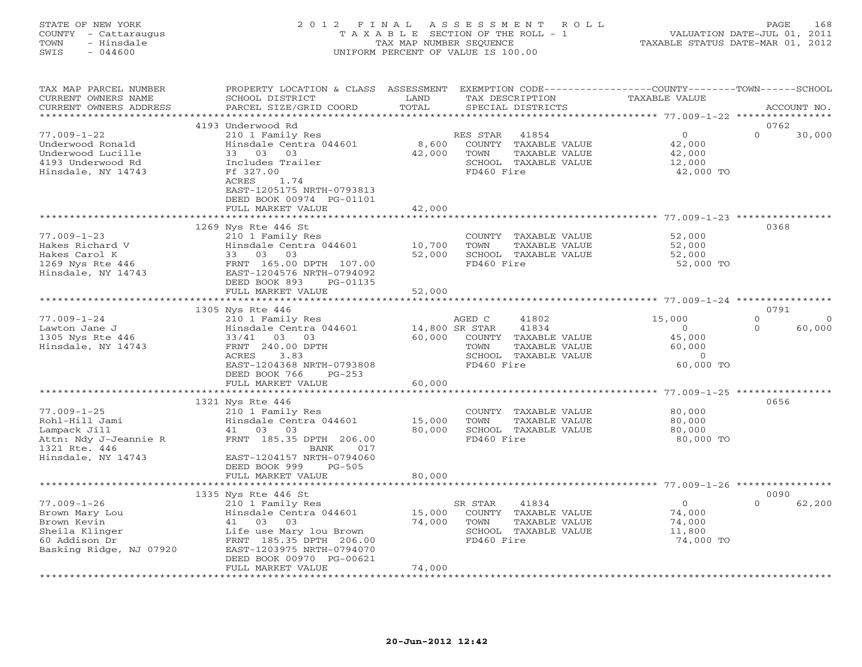#### STATE OF NEW YORK 2 0 1 2 F I N A L A S S E S S M E N T R O L L PAGE 168 COUNTY - Cattaraugus T A X A B L E SECTION OF THE ROLL - 1 VALUATION DATE-JUL 01, 2011 TOWN - Hinsdale TAX MAP NUMBER SEQUENCE TAXABLE STATUS DATE-MAR 01, 2012 SWIS - 044600 UNIFORM PERCENT OF VALUE IS 100.00UNIFORM PERCENT OF VALUE IS 100.00

| TAX MAP PARCEL NUMBER<br>CURRENT OWNERS NAME<br>CURRENT OWNERS ADDRESS | PROPERTY LOCATION & CLASS ASSESSMENT<br>SCHOOL DISTRICT<br>PARCEL SIZE/GRID COORD           | LAND<br>TOTAL         | EXEMPTION CODE-----------------COUNTY-------TOWN-----SCHOOL<br>TAX DESCRIPTION<br>SPECIAL DISTRICTS | <b>TAXABLE VALUE</b>          | ACCOUNT NO.                 |
|------------------------------------------------------------------------|---------------------------------------------------------------------------------------------|-----------------------|-----------------------------------------------------------------------------------------------------|-------------------------------|-----------------------------|
| *********************                                                  | **********************                                                                      |                       |                                                                                                     |                               |                             |
| $77.009 - 1 - 22$<br>Underwood Ronald                                  | 4193 Underwood Rd<br>210 1 Family Res<br>Hinsdale Centra 044601                             | 8,600                 | RES STAR<br>41854<br>COUNTY TAXABLE VALUE                                                           | $\circ$<br>42,000             | 0762<br>$\Omega$<br>30,000  |
| Underwood Lucille<br>4193 Underwood Rd<br>Hinsdale, NY 14743           | 33 03 03<br>Includes Trailer<br>Ff 327.00                                                   | 42,000                | TOWN<br>TAXABLE VALUE<br>SCHOOL TAXABLE VALUE<br>FD460 Fire                                         | 42,000<br>12,000<br>42,000 TO |                             |
|                                                                        | ACRES<br>1.74<br>EAST-1205175 NRTH-0793813<br>DEED BOOK 00974 PG-01101<br>FULL MARKET VALUE | 42,000                |                                                                                                     |                               |                             |
|                                                                        | ***********************                                                                     | ***************       |                                                                                                     |                               |                             |
|                                                                        | 1269 Nys Rte 446 St                                                                         |                       |                                                                                                     |                               | 0368                        |
| $77.009 - 1 - 23$<br>Hakes Richard V<br>Hakes Carol K                  | 210 1 Family Res<br>Hinsdale Centra 044601<br>33 03<br>03                                   | 10,700<br>52,000      | COUNTY TAXABLE VALUE<br>TOWN<br>TAXABLE VALUE<br>SCHOOL TAXABLE VALUE                               | 52,000<br>52,000<br>52,000    |                             |
| 1269 Nys Rte 446<br>Hinsdale, NY 14743                                 | FRNT 165.00 DPTH 107.00<br>EAST-1204576 NRTH-0794092<br>DEED BOOK 893<br>PG-01135           |                       | FD460 Fire                                                                                          | 52,000 TO                     |                             |
|                                                                        | FULL MARKET VALUE<br>**********************                                                 | 52,000<br>*********** |                                                                                                     |                               |                             |
|                                                                        | 1305 Nys Rte 446                                                                            |                       |                                                                                                     |                               | 0791                        |
| $77.009 - 1 - 24$                                                      | 210 1 Family Res                                                                            |                       | AGED C<br>41802                                                                                     | 15,000                        | $\mathbf{0}$<br>$\mathbf 0$ |
| Lawton Jane J                                                          | Hinsdale Centra 044601                                                                      |                       | 14,800 SR STAR<br>41834                                                                             | $\circ$                       | $\Omega$<br>60,000          |
| 1305 Nys Rte 446                                                       | 33/41<br>03<br>03                                                                           | 60,000                | COUNTY TAXABLE VALUE                                                                                | 45,000                        |                             |
| Hinsdale, NY 14743                                                     | FRNT 240.00 DPTH                                                                            |                       | TOWN<br>TAXABLE VALUE                                                                               | 60,000                        |                             |
|                                                                        | 3.83<br>ACRES                                                                               |                       | SCHOOL TAXABLE VALUE                                                                                | $\circ$                       |                             |
|                                                                        | EAST-1204368 NRTH-0793808                                                                   |                       | FD460 Fire                                                                                          | 60,000 TO                     |                             |
|                                                                        | DEED BOOK 766<br>$PG-253$                                                                   |                       |                                                                                                     |                               |                             |
|                                                                        | FULL MARKET VALUE                                                                           | 60,000                |                                                                                                     |                               |                             |
|                                                                        | 1321 Nys Rte 446                                                                            |                       |                                                                                                     |                               | 0656                        |
| $77.009 - 1 - 25$                                                      | 210 1 Family Res                                                                            |                       | COUNTY TAXABLE VALUE                                                                                | 80,000                        |                             |
| Rohl-Hill Jami                                                         | Hinsdale Centra 044601                                                                      | 15,000                | TOWN<br>TAXABLE VALUE                                                                               | 80,000                        |                             |
| Lampack Jill                                                           | 41 03<br>03                                                                                 | 80,000                | SCHOOL TAXABLE VALUE                                                                                | 80,000                        |                             |
| Attn: Ndy J-Jeannie R<br>1321 Rte. 446                                 | FRNT 185.35 DPTH 206.00<br>BANK<br>017                                                      |                       | FD460 Fire                                                                                          | 80,000 TO                     |                             |
| Hinsdale, NY 14743                                                     | EAST-1204157 NRTH-0794060<br>DEED BOOK 999<br>$PG-505$<br>FULL MARKET VALUE                 | 80,000                |                                                                                                     |                               |                             |
|                                                                        |                                                                                             |                       |                                                                                                     |                               |                             |
|                                                                        | 1335 Nys Rte 446 St                                                                         |                       |                                                                                                     |                               | 0090                        |
| $77.009 - 1 - 26$                                                      | 210 1 Family Res                                                                            |                       | 41834<br>SR STAR                                                                                    | $\circ$                       | $\Omega$<br>62,200          |
| Brown Mary Lou                                                         | Hinsdale Centra 044601                                                                      | 15,000                | COUNTY TAXABLE VALUE                                                                                | 74,000                        |                             |
| Brown Kevin                                                            | 03<br>41<br>03                                                                              | 74,000                | TOWN<br>TAXABLE VALUE                                                                               | 74,000                        |                             |
| Sheila Klinger                                                         | Life use Mary lou Brown                                                                     |                       | SCHOOL TAXABLE VALUE                                                                                | 11,800                        |                             |
| 60 Addison Dr                                                          | FRNT 185.35 DPTH 206.00                                                                     |                       | FD460 Fire                                                                                          | 74,000 TO                     |                             |
| Basking Ridge, NJ 07920                                                | EAST-1203975 NRTH-0794070                                                                   |                       |                                                                                                     |                               |                             |
|                                                                        | DEED BOOK 00970 PG-00621<br>FULL MARKET VALUE                                               | 74,000                |                                                                                                     |                               |                             |
|                                                                        |                                                                                             |                       |                                                                                                     |                               |                             |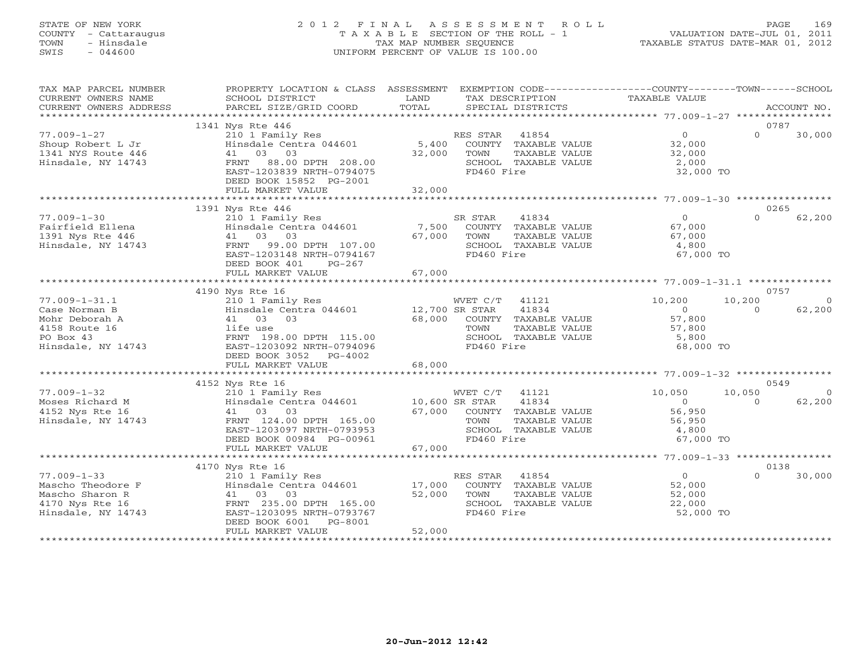# STATE OF NEW YORK 2 0 1 2 F I N A L A S S E S S M E N T R O L L PAGE 169 COUNTY - Cattaraugus T A X A B L E SECTION OF THE ROLL - 1 VALUATION DATE-JUL 01, 2011 TOWN - Hinsdale TAX MAP NUMBER SEQUENCE TAXABLE STATUS DATE-MAR 01, 2012 SWIS - 044600 UNIFORM PERCENT OF VALUE IS 100.00UNIFORM PERCENT OF VALUE IS 100.00

| TAX MAP PARCEL NUMBER<br>CURRENT OWNERS NAME                                                       | PROPERTY LOCATION & CLASS ASSESSMENT<br>SCHOOL DISTRICT                                                                                                              | LAND             | EXEMPTION CODE-----------------COUNTY-------TOWN------SCHOOL<br>TAX DESCRIPTION                             | TAXABLE VALUE                                             |                  |             |
|----------------------------------------------------------------------------------------------------|----------------------------------------------------------------------------------------------------------------------------------------------------------------------|------------------|-------------------------------------------------------------------------------------------------------------|-----------------------------------------------------------|------------------|-------------|
| CURRENT OWNERS ADDRESS                                                                             | PARCEL SIZE/GRID COORD                                                                                                                                               | TOTAL            | SPECIAL DISTRICTS                                                                                           |                                                           |                  | ACCOUNT NO. |
|                                                                                                    |                                                                                                                                                                      |                  |                                                                                                             |                                                           |                  |             |
| $77.009 - 1 - 27$<br>Shoup Robert L Jr<br>1341 NYS Route 446<br>Hinsdale, NY 14743                 | 1341 Nys Rte 446<br>210 1 Family Res<br>Hinsdale Centra 044601<br>41 03 03<br>FRNT 88.00 DPTH 208.00<br>EAST-1203839 NRTH-0794075<br>DEED BOOK 15852 PG-2001         | 32,000           | RES STAR 41854<br>5,400 COUNTY TAXABLE VALUE<br>TAXABLE VALUE<br>TOWN<br>SCHOOL TAXABLE VALUE<br>FD460 Fire | $\overline{0}$<br>32,000<br>32,000<br>2,000<br>32,000 TO  | 0787<br>$\Omega$ | 30,000      |
|                                                                                                    | FULL MARKET VALUE                                                                                                                                                    | 32,000           |                                                                                                             |                                                           |                  |             |
|                                                                                                    |                                                                                                                                                                      |                  |                                                                                                             |                                                           |                  |             |
| $77.009 - 1 - 30$<br>Fairfield Ellena<br>1391 Nys Rte 446<br>Hinsdale, NY 14743                    | 1391 Nys Rte 446<br>210 1 Family Res<br>Hinsdale Centra 044601<br>41 03 03<br>99.00 DPTH 107.00<br>FRNT<br>EAST-1203148 NRTH-0794167<br>DEED BOOK 401<br>PG-267      | 7,500<br>67,000  | SR STAR<br>41834<br>COUNTY TAXABLE VALUE<br>TOWN<br>TAXABLE VALUE<br>SCHOOL TAXABLE VALUE<br>FD460 Fire     | $\overline{0}$<br>67,000<br>67,000<br>4,800<br>67,000 TO  | 0265<br>$\Omega$ | 62,200      |
|                                                                                                    |                                                                                                                                                                      |                  |                                                                                                             |                                                           |                  |             |
|                                                                                                    |                                                                                                                                                                      |                  |                                                                                                             |                                                           |                  |             |
| $77.009 - 1 - 31.1$                                                                                | 4190 Nys Rte 16<br>210 1 Family Res                                                                                                                                  |                  | WVET C/T<br>41121                                                                                           | 10,200                                                    | 0757<br>10,200   | $\Omega$    |
| Case Norman B<br>Mohr Deborah A<br>4158 Route 16<br>PO Box 43<br>Hinsdale, NY 14743                | Hinsdale Centra 044601 12,700 SR STAR<br>41 03<br>0.3<br>life use<br>FRNT 198.00 DPTH 115.00<br>EAST-1203092 NRTH-0794096<br>DEED BOOK 3052 PG-4002                  | 68,000           | 41834<br>COUNTY TAXABLE VALUE<br>TOWN<br>TAXABLE VALUE<br>SCHOOL TAXABLE VALUE<br>FD460 Fire                | $\overline{0}$<br>57,800<br>57,800<br>5,800<br>68,000 TO  | $\Omega$         | 62,200      |
|                                                                                                    | FULL MARKET VALUE                                                                                                                                                    | 68,000           |                                                                                                             |                                                           |                  |             |
|                                                                                                    |                                                                                                                                                                      |                  |                                                                                                             |                                                           |                  |             |
| $77.009 - 1 - 32$                                                                                  | 4152 Nys Rte 16<br>210 1 Family Res                                                                                                                                  |                  | WVET C/T 41121                                                                                              | 10,050                                                    | 0549<br>10,050   | $\Omega$    |
| Moses Richard M<br>4152 Nys Rte 16<br>Hinsdale, NY 14743                                           | Hinsdale Centra 044601 10,600 SR STAR<br>41 03 03<br>FRNT 124.00 DPTH 165.00<br>EAST-1203097 NRTH-0793953<br>DEED BOOK 00984 PG-00961                                | 67,000           | 41834<br>COUNTY TAXABLE VALUE<br>TAXABLE VALUE<br>TOWN<br>SCHOOL TAXABLE VALUE<br>FD460 Fire                | $\overline{0}$<br>56,950<br>56,950<br>4,800<br>67,000 TO  | $\Omega$         | 62,200      |
|                                                                                                    | FULL MARKET VALUE                                                                                                                                                    | 67,000           |                                                                                                             |                                                           |                  |             |
|                                                                                                    | 4170 Nys Rte 16                                                                                                                                                      |                  |                                                                                                             |                                                           | 0138             |             |
| $77.009 - 1 - 33$<br>Mascho Theodore F<br>Mascho Sharon R<br>4170 Nys Rte 16<br>Hinsdale, NY 14743 | 210 1 Family Res<br>Hinsdale Centra 044601 17,000<br>41 03 03<br>FRNT 235.00 DPTH 165.00<br>EAST-1203095 NRTH-0793767<br>DEED BOOK 6001 PG-8001<br>FULL MARKET VALUE | 52,000<br>52,000 | RES STAR 41854<br>COUNTY TAXABLE VALUE<br>TOWN<br>TAXABLE VALUE<br>SCHOOL TAXABLE VALUE<br>FD460 Fire       | $\overline{O}$<br>52,000<br>52,000<br>22,000<br>52,000 TO | $\cap$           | 30,000      |
|                                                                                                    |                                                                                                                                                                      |                  |                                                                                                             |                                                           |                  |             |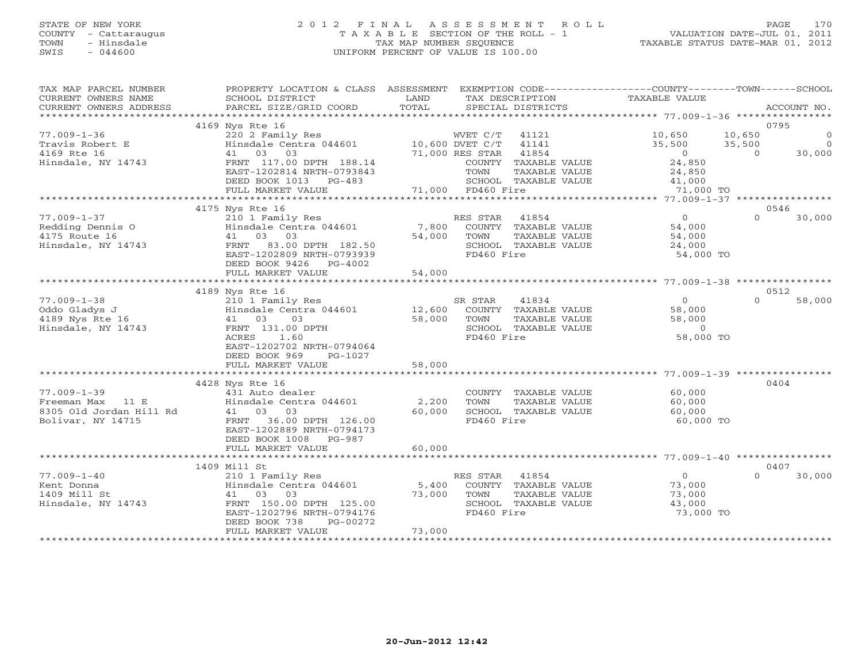## STATE OF NEW YORK 2 0 1 2 F I N A L A S S E S S M E N T R O L L PAGE 170 COUNTY - Cattaraugus T A X A B L E SECTION OF THE ROLL - 1 VALUATION DATE-JUL 01, 2011 TOWN - Hinsdale TAX MAP NUMBER SEQUENCE TAXABLE STATUS DATE-MAR 01, 2012 SWIS - 044600 UNIFORM PERCENT OF VALUE IS 100.00UNIFORM PERCENT OF VALUE IS 100.00

| TAX MAP PARCEL NUMBER<br>CURRENT OWNERS NAME<br>CURRENT OWNERS ADDRESS | PROPERTY LOCATION & CLASS ASSESSMENT EXEMPTION CODE----------------COUNTY-------TOWN------SCHOOL<br>SCHOOL DISTRICT<br>PARCEL SIZE/GRID COORD                                                  | <b>EXAMPLE SERVICE SERVICE SERVICE SERVICE SERVICE SERVICE SERVICE SERVICE SERVICE SERVICE SERVICE SERVICE SERVICE</b><br>TOTAL | TAX DESCRIPTION<br>SPECIAL DISTRICTS                          | TAXABLE VALUE                      | ACCOUNT NO.            |
|------------------------------------------------------------------------|------------------------------------------------------------------------------------------------------------------------------------------------------------------------------------------------|---------------------------------------------------------------------------------------------------------------------------------|---------------------------------------------------------------|------------------------------------|------------------------|
|                                                                        |                                                                                                                                                                                                |                                                                                                                                 |                                                               |                                    |                        |
|                                                                        | 4169 Nys Rte 16                                                                                                                                                                                |                                                                                                                                 |                                                               |                                    | 0795                   |
| $77.009 - 1 - 36$<br>Travis Robert E<br>4169 Rte 16                    |                                                                                                                                                                                                |                                                                                                                                 |                                                               | 10,650<br>$35,500$ $35,500$<br>0 0 | $10,650$ 0<br>$\sim$ 0 |
| Hinsdale, NY 14743                                                     | Nys Rte 16<br>220 2 Family Res<br>Hinsdale Centra 044601<br>41 03 03<br>FRNT 117.00 DPTH 188.14<br>FAST-1202814 NRTH-0793843<br>71,000 RES STAR 41854<br>70WN TAXABLE<br>DEED BOOK 1013 PG-483 |                                                                                                                                 | COUNTY TAXABLE VALUE<br>TAXABLE VALUE<br>SCHOOL TAXABLE VALUE | 24,850<br>24,850                   | 30,000                 |
|                                                                        | FULL MARKET VALUE                                                                                                                                                                              |                                                                                                                                 | 3<br>3 SCHOOL TAX<br>71,000 FD460 Fire                        | $41,000$<br>71 000<br>71,000 TO    |                        |
|                                                                        |                                                                                                                                                                                                |                                                                                                                                 |                                                               |                                    |                        |
| $77.009 - 1 - 37$                                                      | 4175 Nys Rte 16                                                                                                                                                                                |                                                                                                                                 |                                                               | $\overline{0}$                     | 0546<br>$\Omega$       |
| Redding Dennis O                                                       | 210 1 Family Res<br>Hinsdale Centra 044601 7,800                                                                                                                                               |                                                                                                                                 | RES STAR 41854                                                |                                    | 30,000                 |
| 4175 Route 16                                                          | 41 03 03                                                                                                                                                                                       | 54,000                                                                                                                          | TOWN<br>TAXABLE VALUE                                         | 54,000                             |                        |
| Hinsdale, NY 14743                                                     | FRNT 83.00 DPTH 182.50                                                                                                                                                                         |                                                                                                                                 | SCHOOL TAXABLE VALUE                                          | 24,000                             |                        |
|                                                                        | EAST-1202809 NRTH-0793939                                                                                                                                                                      |                                                                                                                                 | FD460 Fire                                                    | 54,000 TO                          |                        |
|                                                                        | DEED BOOK 9426   PG-4002<br>FULL MARKET VALUE                                                                                                                                                  | 54,000                                                                                                                          |                                                               |                                    |                        |
|                                                                        |                                                                                                                                                                                                |                                                                                                                                 |                                                               |                                    |                        |
|                                                                        | 4189 Nys Rte 16                                                                                                                                                                                |                                                                                                                                 |                                                               |                                    | 0512                   |
| $77.009 - 1 - 38$                                                      | 210 1 Family Res                                                                                                                                                                               |                                                                                                                                 | SR STAR<br>41834                                              | $\overline{0}$                     | $\cap$<br>58,000       |
| Oddo Gladys J                                                          | Example 2 12,600 COUNTY TAXABLE VALUE<br>41 03 03 58,000 TOWN TAXABLE VALUE                                                                                                                    |                                                                                                                                 |                                                               | 58,000                             |                        |
| 4189 Nys Rte 16                                                        |                                                                                                                                                                                                |                                                                                                                                 | TAXABLE VALUE                                                 | 58,000                             |                        |
| Hinsdale, NY 14743                                                     | FRNT 131.00 DPTH                                                                                                                                                                               |                                                                                                                                 | SCHOOL TAXABLE VALUE                                          | $\overline{0}$                     |                        |
|                                                                        | 1.60<br>ACRES<br>EAST-1202702 NRTH-0794064                                                                                                                                                     |                                                                                                                                 | FD460 Fire                                                    | 58,000 TO                          |                        |
|                                                                        | DEED BOOK 969<br>PG-1027                                                                                                                                                                       |                                                                                                                                 |                                                               |                                    |                        |
|                                                                        | FULL MARKET VALUE                                                                                                                                                                              | 58,000                                                                                                                          |                                                               |                                    |                        |
|                                                                        |                                                                                                                                                                                                |                                                                                                                                 |                                                               |                                    |                        |
|                                                                        | 4428 Nys Rte 16                                                                                                                                                                                |                                                                                                                                 |                                                               |                                    | 0404                   |
| $77.009 - 1 - 39$                                                      | Nys Note<br>131 Auto dealer<br>Hinsdale Centra 044601 2,200<br>41 03 03 60,000                                                                                                                 |                                                                                                                                 | COUNTY TAXABLE VALUE 60,000                                   |                                    |                        |
| Freeman Max 11 E<br>8305 Old Jordan Hill Rd                            |                                                                                                                                                                                                |                                                                                                                                 | TOWN<br>TAXABLE VALUE                                         | 60,000                             |                        |
|                                                                        | 41 03 03                                                                                                                                                                                       | 60,000                                                                                                                          | SCHOOL TAXABLE VALUE                                          | 60,000                             |                        |
| Bolivar, NY 14715                                                      | FRNT 36.00 DPTH 126.00<br>EAST-1202889 NRTH-0794173<br>DEED BOOK 1008 PG-987                                                                                                                   |                                                                                                                                 | FD460 Fire                                                    | 60,000 TO                          |                        |
|                                                                        | FULL MARKET VALUE                                                                                                                                                                              | 60,000                                                                                                                          |                                                               |                                    |                        |
|                                                                        | 1409 Mill St                                                                                                                                                                                   |                                                                                                                                 |                                                               |                                    | 0407                   |
| $77.009 - 1 - 40$                                                      |                                                                                                                                                                                                |                                                                                                                                 | RES STAR 41854                                                | $\overline{0}$                     | $\cap$<br>30,000       |
| Kent Donna                                                             | 210 1 Family Res<br>Hinsdale Centra 044601 5,400                                                                                                                                               |                                                                                                                                 | COUNTY TAXABLE VALUE 73,000                                   |                                    |                        |
| 1409 Mill St                                                           |                                                                                                                                                                                                |                                                                                                                                 | 73,000 TOWN<br>TAXABLE VALUE                                  | 73,000                             |                        |
| Hinsdale, NY 14743                                                     | 41 03 03<br>FRNT 150.00 DPTH 125.00 73,00                                                                                                                                                      |                                                                                                                                 | SCHOOL TAXABLE VALUE                                          | 43,000                             |                        |
|                                                                        | EAST-1202796 NRTH-0794176                                                                                                                                                                      |                                                                                                                                 | FD460 Fire                                                    | 73,000 TO                          |                        |
|                                                                        | DEED BOOK 738<br>PG-00272<br>FULL MARKET VALUE                                                                                                                                                 | 73,000                                                                                                                          |                                                               |                                    |                        |
|                                                                        |                                                                                                                                                                                                |                                                                                                                                 |                                                               |                                    |                        |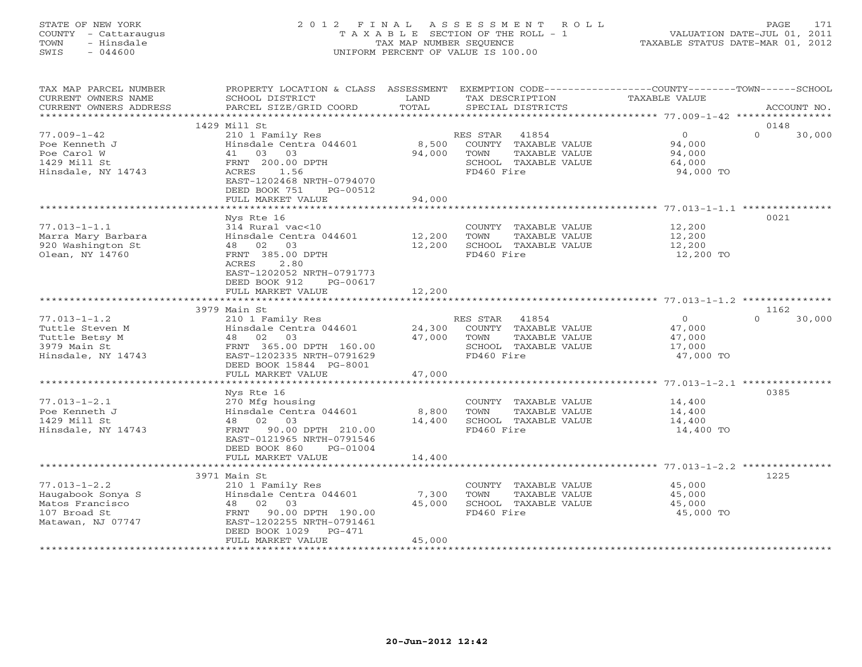# STATE OF NEW YORK 2 0 1 2 F I N A L A S S E S S M E N T R O L L PAGE 171 COUNTY - Cattaraugus T A X A B L E SECTION OF THE ROLL - 1 VALUATION DATE-JUL 01, 2011 TOWN - Hinsdale TAX MAP NUMBER SEQUENCE TAXABLE STATUS DATE-MAR 01, 2012 SWIS - 044600 UNIFORM PERCENT OF VALUE IS 100.00UNIFORM PERCENT OF VALUE IS 100.00

| TAX MAP PARCEL NUMBER<br>CURRENT OWNERS NAME<br>CURRENT OWNERS ADDRESS                          | PROPERTY LOCATION & CLASS ASSESSMENT<br>SCHOOL DISTRICT<br>PARCEL SIZE/GRID COORD                                                                                                      | LAND<br>TOTAL             | TAX DESCRIPTION<br>SPECIAL DISTRICTS                                                                     | EXEMPTION CODE-----------------COUNTY-------TOWN------SCHOOL<br>TAXABLE VALUE | ACCOUNT NO.    |
|-------------------------------------------------------------------------------------------------|----------------------------------------------------------------------------------------------------------------------------------------------------------------------------------------|---------------------------|----------------------------------------------------------------------------------------------------------|-------------------------------------------------------------------------------|----------------|
| *************************                                                                       |                                                                                                                                                                                        |                           |                                                                                                          |                                                                               |                |
| $77.009 - 1 - 42$<br>Poe Kenneth J<br>Poe Carol W<br>1429 Mill St<br>Hinsdale, NY 14743         | 1429 Mill St<br>210 1 Family Res<br>Hinsdale Centra 044601<br>41 03<br>03<br>FRNT 200.00 DPTH<br>1.56<br>ACRES                                                                         | 8,500<br>94,000           | RES STAR<br>41854<br>COUNTY TAXABLE VALUE<br>TOWN<br>TAXABLE VALUE<br>SCHOOL TAXABLE VALUE<br>FD460 Fire | $\overline{0}$<br>$\Omega$<br>94,000<br>94,000<br>64,000<br>94,000 TO         | 0148<br>30,000 |
|                                                                                                 | EAST-1202468 NRTH-0794070<br>DEED BOOK 751<br>PG-00512<br>FULL MARKET VALUE                                                                                                            | 94,000                    |                                                                                                          |                                                                               |                |
|                                                                                                 | Nys Rte 16                                                                                                                                                                             |                           |                                                                                                          |                                                                               | 0021           |
| $77.013 - 1 - 1.1$<br>Marra Mary Barbara<br>920 Washington St<br>Olean, NY 14760                | 314 Rural vac<10<br>Hinsdale Centra 044601<br>48 02 03<br>FRNT 385.00 DPTH<br>ACRES<br>2.80<br>EAST-1202052 NRTH-0791773                                                               | 12,200<br>12,200          | COUNTY TAXABLE VALUE<br>TOWN<br>TAXABLE VALUE<br>SCHOOL TAXABLE VALUE<br>FD460 Fire                      | 12,200<br>12,200<br>12,200<br>12,200 TO                                       |                |
|                                                                                                 | DEED BOOK 912<br>PG-00617                                                                                                                                                              |                           |                                                                                                          |                                                                               |                |
|                                                                                                 | FULL MARKET VALUE                                                                                                                                                                      | 12,200                    |                                                                                                          |                                                                               |                |
|                                                                                                 | 3979 Main St                                                                                                                                                                           |                           |                                                                                                          |                                                                               | 1162           |
| $77.013 - 1 - 1.2$<br>Tuttle Steven M<br>Tuttle Betsy M<br>3979 Main St<br>Hinsdale, NY 14743   | 210 1 Family Res<br>Hinsdale Centra 044601<br>48 02 03<br>FRNT 365.00 DPTH 160.00<br>EAST-1202335 NRTH-0791629<br>DEED BOOK 15844 PG-8001                                              | 24,300<br>47,000          | RES STAR 41854<br>COUNTY TAXABLE VALUE<br>TOWN<br>TAXABLE VALUE<br>SCHOOL TAXABLE VALUE<br>FD460 Fire    | $\circ$<br>$\Omega$<br>47,000<br>47,000<br>17,000<br>47,000 TO                | 30,000         |
|                                                                                                 | FULL MARKET VALUE                                                                                                                                                                      | 47,000                    |                                                                                                          |                                                                               |                |
| $77.013 - 1 - 2.1$<br>Poe Kenneth J<br>1429 Mill St<br>Hinsdale, NY 14743                       | Nys Rte 16<br>270 Mfg housing<br>Hinsdale Centra 044601<br>48 02 03<br>90.00 DPTH 210.00<br>FRNT<br>EAST-0121965 NRTH-0791546                                                          | 8,800<br>14,400           | COUNTY TAXABLE VALUE<br>TOWN<br>TAXABLE VALUE<br>SCHOOL TAXABLE VALUE<br>FD460 Fire                      | 14,400<br>14,400<br>14,400<br>14,400 TO                                       | 0385           |
|                                                                                                 | DEED BOOK 860<br>PG-01004<br>FULL MARKET VALUE                                                                                                                                         | 14,400                    |                                                                                                          |                                                                               |                |
|                                                                                                 |                                                                                                                                                                                        |                           |                                                                                                          | ************************* 77.013-1-2.2 ***********                            |                |
| $77.013 - 1 - 2.2$<br>Haugabook Sonya S<br>Matos Francisco<br>107 Broad St<br>Matawan, NJ 07747 | 3971 Main St<br>210 1 Family Res<br>Hinsdale Centra 044601<br>02 03<br>48<br>FRNT<br>90.00 DPTH 190.00<br>EAST-1202255 NRTH-0791461<br>DEED BOOK 1029<br>$PG-471$<br>FULL MARKET VALUE | 7,300<br>45,000<br>45,000 | COUNTY TAXABLE VALUE<br><b>TOWN</b><br>TAXABLE VALUE<br>SCHOOL TAXABLE VALUE<br>FD460 Fire               | 45,000<br>45,000<br>45,000<br>45,000 TO                                       | 1225           |
|                                                                                                 |                                                                                                                                                                                        |                           |                                                                                                          |                                                                               |                |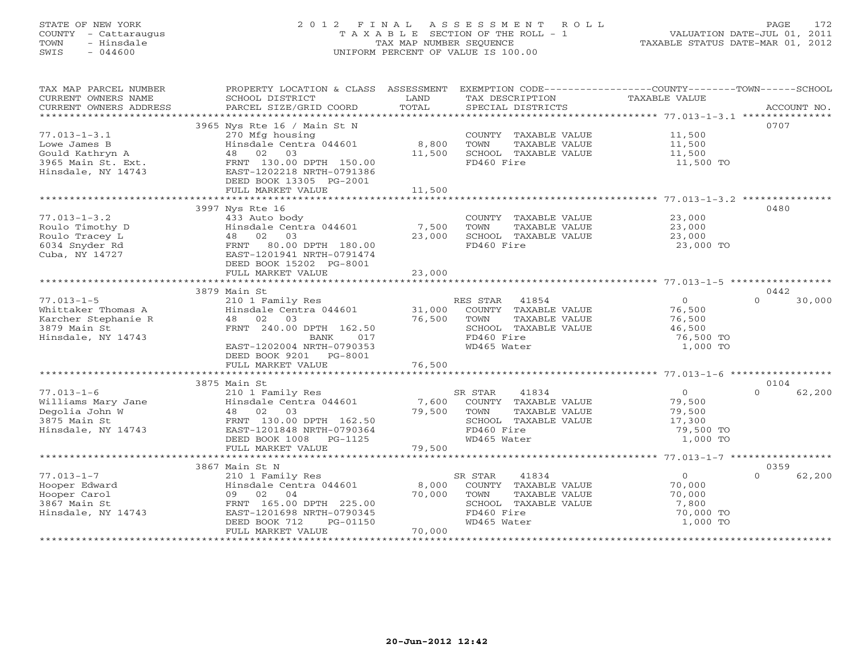# STATE OF NEW YORK 2 0 1 2 F I N A L A S S E S S M E N T R O L L PAGE 172 COUNTY - Cattaraugus T A X A B L E SECTION OF THE ROLL - 1 VALUATION DATE-JUL 01, 2011 TOWN - Hinsdale TAX MAP NUMBER SEQUENCE TAXABLE STATUS DATE-MAR 01, 2012 SWIS - 044600 UNIFORM PERCENT OF VALUE IS 100.00UNIFORM PERCENT OF VALUE IS 100.00

| TAX MAP PARCEL NUMBER                                                                                                                                                                                                                                                                                                                                                                                                                                                                                          | PROPERTY LOCATION & CLASS ASSESSMENT                                 |        | EXEMPTION CODE-----------------COUNTY-------TOWN------SCHOOL |                      |                    |
|----------------------------------------------------------------------------------------------------------------------------------------------------------------------------------------------------------------------------------------------------------------------------------------------------------------------------------------------------------------------------------------------------------------------------------------------------------------------------------------------------------------|----------------------------------------------------------------------|--------|--------------------------------------------------------------|----------------------|--------------------|
| CURRENT OWNERS NAME                                                                                                                                                                                                                                                                                                                                                                                                                                                                                            | SCHOOL DISTRICT                                                      | LAND   | TAX DESCRIPTION                                              | TAXABLE VALUE        |                    |
|                                                                                                                                                                                                                                                                                                                                                                                                                                                                                                                |                                                                      |        |                                                              |                      |                    |
|                                                                                                                                                                                                                                                                                                                                                                                                                                                                                                                |                                                                      |        |                                                              |                      |                    |
|                                                                                                                                                                                                                                                                                                                                                                                                                                                                                                                | 3965 Nys Rte 16 / Main St N                                          |        |                                                              |                      | 0707               |
| $77.013 - 1 - 3.1$                                                                                                                                                                                                                                                                                                                                                                                                                                                                                             | 270 Mfg housing                                                      |        | COUNTY TAXABLE VALUE 11,500                                  |                      |                    |
| Lowe James B                                                                                                                                                                                                                                                                                                                                                                                                                                                                                                   | Hinsdale Centra 044601 8,800                                         |        | TOWN<br>TAXABLE VALUE                                        | 11,500               |                    |
| Gould Kathryn A                                                                                                                                                                                                                                                                                                                                                                                                                                                                                                | 48 02 03                                                             | 11,500 | SCHOOL TAXABLE VALUE 11,500                                  |                      |                    |
| 3965 Main St. Ext.                                                                                                                                                                                                                                                                                                                                                                                                                                                                                             | FRNT 130.00 DPTH 150.00                                              |        | FD460 Fire                                                   | 11,500 TO            |                    |
| Hinsdale, NY 14743                                                                                                                                                                                                                                                                                                                                                                                                                                                                                             | EAST-1202218 NRTH-0791386                                            |        |                                                              |                      |                    |
|                                                                                                                                                                                                                                                                                                                                                                                                                                                                                                                | DEED BOOK 13305 PG-2001                                              |        |                                                              |                      |                    |
|                                                                                                                                                                                                                                                                                                                                                                                                                                                                                                                | FULL MARKET VALUE                                                    | 11,500 |                                                              |                      |                    |
|                                                                                                                                                                                                                                                                                                                                                                                                                                                                                                                |                                                                      |        |                                                              |                      |                    |
|                                                                                                                                                                                                                                                                                                                                                                                                                                                                                                                | 3997 Nys Rte 16                                                      |        |                                                              |                      | 0480               |
| $77.013 - 1 - 3.2$                                                                                                                                                                                                                                                                                                                                                                                                                                                                                             | 433 Auto body                                                        |        | COUNTY TAXABLE VALUE                                         | 23,000               |                    |
| Roulo Timothy D                                                                                                                                                                                                                                                                                                                                                                                                                                                                                                | Hinsdale Centra 044601 7,500                                         |        | TOWN                                                         | TAXABLE VALUE 23,000 |                    |
| Roulo Tracey L                                                                                                                                                                                                                                                                                                                                                                                                                                                                                                 | 48 02 03                                                             | 23,000 | SCHOOL TAXABLE VALUE                                         | 23,000               |                    |
| 6034 Snyder Rd                                                                                                                                                                                                                                                                                                                                                                                                                                                                                                 | 80.00 DPTH 180.00<br>FRNT                                            |        | FD460 Fire                                                   | 23,000 TO            |                    |
| Cuba, NY 14727                                                                                                                                                                                                                                                                                                                                                                                                                                                                                                 | EAST-1201941 NRTH-0791474                                            |        |                                                              |                      |                    |
|                                                                                                                                                                                                                                                                                                                                                                                                                                                                                                                | DEED BOOK 15202 PG-8001                                              |        |                                                              |                      |                    |
|                                                                                                                                                                                                                                                                                                                                                                                                                                                                                                                |                                                                      |        |                                                              |                      |                    |
|                                                                                                                                                                                                                                                                                                                                                                                                                                                                                                                |                                                                      |        |                                                              |                      |                    |
|                                                                                                                                                                                                                                                                                                                                                                                                                                                                                                                | 3879 Main St                                                         |        |                                                              |                      | 0442               |
| $77.013 - 1 - 5$                                                                                                                                                                                                                                                                                                                                                                                                                                                                                               |                                                                      |        | RES STAR<br>41854                                            | $\Omega$             | $\Omega$<br>30,000 |
| Whittaker Thomas A                                                                                                                                                                                                                                                                                                                                                                                                                                                                                             | 210 1 Family Res<br>Hinsdale Centra 044601 31,000<br>48 02 03 76,500 |        | COUNTY TAXABLE VALUE                                         | 76,500               |                    |
| Karcher Stephanie R                                                                                                                                                                                                                                                                                                                                                                                                                                                                                            |                                                                      | 76,500 | TAXABLE VALUE<br>TOWN                                        | 76,500               |                    |
| 3879 Main St                                                                                                                                                                                                                                                                                                                                                                                                                                                                                                   | FRNT 240.00 DPTH 162.50                                              |        | SCHOOL TAXABLE VALUE                                         | 46,500               |                    |
| Hinsdale, NY 14743                                                                                                                                                                                                                                                                                                                                                                                                                                                                                             | BANK<br>017                                                          |        | FD460 Fire                                                   | 76,500 TO            |                    |
|                                                                                                                                                                                                                                                                                                                                                                                                                                                                                                                | EAST-1202004 NRTH-0790353                                            |        | WD465 Water                                                  | 1,000 TO             |                    |
|                                                                                                                                                                                                                                                                                                                                                                                                                                                                                                                | DEED BOOK 9201 PG-8001                                               |        |                                                              |                      |                    |
|                                                                                                                                                                                                                                                                                                                                                                                                                                                                                                                | FULL MARKET VALUE                                                    | 76,500 |                                                              |                      |                    |
|                                                                                                                                                                                                                                                                                                                                                                                                                                                                                                                |                                                                      |        |                                                              |                      |                    |
|                                                                                                                                                                                                                                                                                                                                                                                                                                                                                                                | 3875 Main St                                                         |        |                                                              |                      | 0104               |
| $77.013 - 1 - 6$                                                                                                                                                                                                                                                                                                                                                                                                                                                                                               | 210 1 Family Res<br>Hinsdale Centra 044601 7,600<br>48 02 03 79,500  |        | 41834<br>SR STAR                                             | 0<br>79,500          | 62,200<br>$\cap$   |
|                                                                                                                                                                                                                                                                                                                                                                                                                                                                                                                |                                                                      |        | COUNTY TAXABLE VALUE                                         |                      |                    |
|                                                                                                                                                                                                                                                                                                                                                                                                                                                                                                                | 48 02 03                                                             | 79,500 | TAXABLE VALUE<br>TOWN                                        | 79,500               |                    |
| Williams Mary Jane<br>Degolia John W<br>3875 Main St                                                                                                                                                                                                                                                                                                                                                                                                                                                           | FRNT 130.00 DPTH 162.50                                              |        | SCHOOL TAXABLE VALUE<br>FD460 Fire                           | 17,300               |                    |
| Hinsdale, NY 14743                                                                                                                                                                                                                                                                                                                                                                                                                                                                                             | EAST-1201848 NRTH-0790364                                            |        |                                                              | 79,500 TO            |                    |
|                                                                                                                                                                                                                                                                                                                                                                                                                                                                                                                | DEED BOOK 1008 PG-1125                                               |        | WD465 Water                                                  | 1,000 TO             |                    |
|                                                                                                                                                                                                                                                                                                                                                                                                                                                                                                                | FULL MARKET VALUE                                                    | 79,500 |                                                              |                      |                    |
|                                                                                                                                                                                                                                                                                                                                                                                                                                                                                                                |                                                                      |        |                                                              |                      |                    |
|                                                                                                                                                                                                                                                                                                                                                                                                                                                                                                                | 3867 Main St N                                                       |        |                                                              |                      | 0359               |
| $77.013 - 1 - 7$                                                                                                                                                                                                                                                                                                                                                                                                                                                                                               | 210 1 Family Res<br>Hinsdale Centra 044601 8,000                     |        | 41834<br>SR STAR                                             | $\Omega$             | $\Omega$<br>62,200 |
| Hooper Edward                                                                                                                                                                                                                                                                                                                                                                                                                                                                                                  |                                                                      |        | COUNTY TAXABLE VALUE                                         | 70,000               |                    |
| Hooper Carol<br>$\label{eq:2.1} \begin{split} \mathcal{L}_{\text{max}}(\mathbf{r}) = \mathcal{L}_{\text{max}}(\mathbf{r}) \mathcal{L}_{\text{max}}(\mathbf{r}) \mathcal{L}_{\text{max}}(\mathbf{r}) \mathcal{L}_{\text{max}}(\mathbf{r}) \mathcal{L}_{\text{max}}(\mathbf{r}) \mathcal{L}_{\text{max}}(\mathbf{r}) \mathcal{L}_{\text{max}}(\mathbf{r}) \mathcal{L}_{\text{max}}(\mathbf{r}) \mathcal{L}_{\text{max}}(\mathbf{r}) \mathcal{L}_{\text{max}}(\mathbf{r}) \mathcal{L}_{\text{max}}(\mathbf{r}) \$ | 09 02 04                                                             | 70,000 | TOWN<br>TAXABLE VALUE                                        | 70,000               |                    |
| 3867 Main St                                                                                                                                                                                                                                                                                                                                                                                                                                                                                                   | FRNT 165.00 DPTH 225.00                                              |        | SCHOOL TAXABLE VALUE                                         | 7,800                |                    |
| Hinsdale, NY 14743                                                                                                                                                                                                                                                                                                                                                                                                                                                                                             | EAST-1201698 NRTH-0790345                                            |        | FD460 Fire                                                   | 70,000 TO            |                    |
|                                                                                                                                                                                                                                                                                                                                                                                                                                                                                                                | DEED BOOK 712<br>PG-01150                                            |        | WD465 Water                                                  | 1,000 TO             |                    |
|                                                                                                                                                                                                                                                                                                                                                                                                                                                                                                                | FULL MARKET VALUE                                                    | 70,000 |                                                              |                      |                    |
|                                                                                                                                                                                                                                                                                                                                                                                                                                                                                                                |                                                                      |        |                                                              |                      |                    |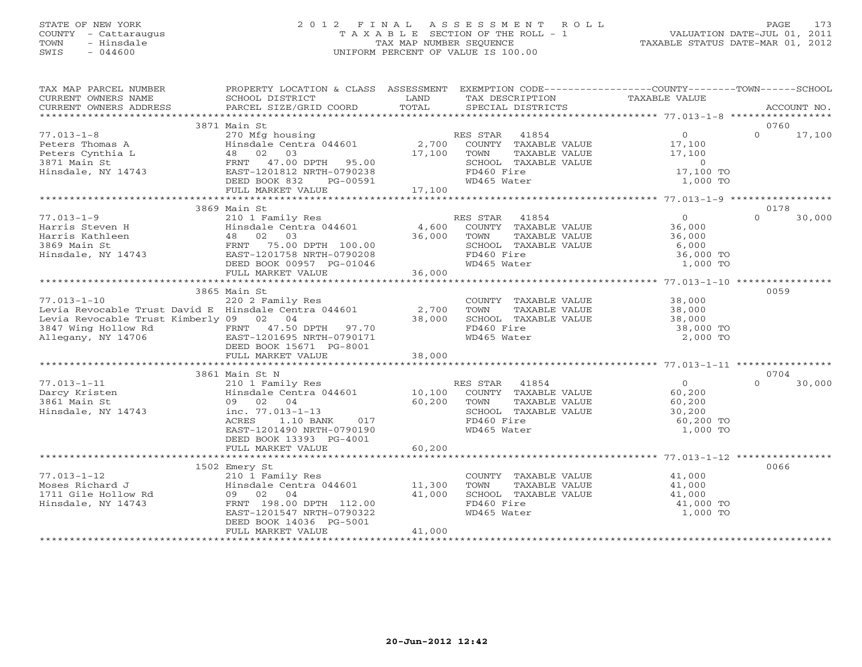# STATE OF NEW YORK 2 0 1 2 F I N A L A S S E S S M E N T R O L L PAGE 173 COUNTY - Cattaraugus T A X A B L E SECTION OF THE ROLL - 1 VALUATION DATE-JUL 01, 2011 TOWN - Hinsdale TAX MAP NUMBER SEQUENCE TAXABLE STATUS DATE-MAR 01, 2012 SWIS - 044600 UNIFORM PERCENT OF VALUE IS 100.00UNIFORM PERCENT OF VALUE IS 100.00

| TAX MAP PARCEL NUMBER                                                                                                                                                                                                                                                                                                                                                                            | PROPERTY LOCATION & CLASS ASSESSMENT EXEMPTION CODE----------------COUNTY-------TOWN------SCHOOL                                                                                                                   |                 |                                                                                                                                                                                                                              |                                              |          |        |
|--------------------------------------------------------------------------------------------------------------------------------------------------------------------------------------------------------------------------------------------------------------------------------------------------------------------------------------------------------------------------------------------------|--------------------------------------------------------------------------------------------------------------------------------------------------------------------------------------------------------------------|-----------------|------------------------------------------------------------------------------------------------------------------------------------------------------------------------------------------------------------------------------|----------------------------------------------|----------|--------|
| CURRENT OWNERS NAME SCHOOL DISTRICT<br>CURRENT OWNERS ADDRESS PARCEL SIZE/GRID COORD                                                                                                                                                                                                                                                                                                             |                                                                                                                                                                                                                    |                 |                                                                                                                                                                                                                              |                                              |          |        |
|                                                                                                                                                                                                                                                                                                                                                                                                  |                                                                                                                                                                                                                    |                 |                                                                                                                                                                                                                              |                                              |          |        |
|                                                                                                                                                                                                                                                                                                                                                                                                  |                                                                                                                                                                                                                    |                 |                                                                                                                                                                                                                              |                                              |          |        |
|                                                                                                                                                                                                                                                                                                                                                                                                  | 3871 Main St                                                                                                                                                                                                       |                 |                                                                                                                                                                                                                              |                                              | 0760     |        |
| $77.013 - 1 - 8$                                                                                                                                                                                                                                                                                                                                                                                 | RES STAR 41854<br>270 Mfg housing<br>Hinsdale Centra 044601 2,700 COUNTY TAXABLE VALUE<br>48 02 03 17,100 TOWN TAXABLE VALUE<br>FRNT 47.00 DPTH 95.00 5CHOOL TAXABLE VALUE<br>EAST-1201812 NRTH-0790238 FD460 Fire |                 |                                                                                                                                                                                                                              | $\begin{array}{c} 0 \\ 17,100 \end{array}$   | $\Omega$ | 17,100 |
| Peters Thomas A Hinsdale Centra 044601<br>Peters Cynthia L 48 02 03<br>3871 Main St FRNT 47.00 DPTH 95.00<br>Hinsdale, NY 14743 EAST-1201812 NRTH-0790238                                                                                                                                                                                                                                        |                                                                                                                                                                                                                    |                 |                                                                                                                                                                                                                              |                                              |          |        |
|                                                                                                                                                                                                                                                                                                                                                                                                  |                                                                                                                                                                                                                    |                 |                                                                                                                                                                                                                              |                                              |          |        |
|                                                                                                                                                                                                                                                                                                                                                                                                  |                                                                                                                                                                                                                    |                 |                                                                                                                                                                                                                              |                                              |          |        |
|                                                                                                                                                                                                                                                                                                                                                                                                  |                                                                                                                                                                                                                    |                 |                                                                                                                                                                                                                              |                                              |          |        |
|                                                                                                                                                                                                                                                                                                                                                                                                  | DEED BOOK 832<br>PG-00591                                                                                                                                                                                          | 00591<br>17,100 | COMINITY TAXABLE VALUE<br>TOWN TAXABLE VALUE<br>SCHOOL TAXABLE VALUE<br>FD460 Fire<br>WD465 Water 1,000 TO<br>WD465 Water                                                                                                    |                                              |          |        |
|                                                                                                                                                                                                                                                                                                                                                                                                  | FULL MARKET VALUE                                                                                                                                                                                                  |                 |                                                                                                                                                                                                                              |                                              |          |        |
|                                                                                                                                                                                                                                                                                                                                                                                                  |                                                                                                                                                                                                                    |                 |                                                                                                                                                                                                                              |                                              |          |        |
|                                                                                                                                                                                                                                                                                                                                                                                                  | 3869 Main St                                                                                                                                                                                                       |                 |                                                                                                                                                                                                                              |                                              | 0178     |        |
|                                                                                                                                                                                                                                                                                                                                                                                                  |                                                                                                                                                                                                                    |                 | ES STAR 41854<br>COUNTY TAXABLE VALUE 36,000<br>RES STAR 41854                                                                                                                                                               |                                              | $\Omega$ | 30,000 |
|                                                                                                                                                                                                                                                                                                                                                                                                  | $210$ I family $Res$<br>Hinsdale Centra 044601 4,600                                                                                                                                                               |                 |                                                                                                                                                                                                                              |                                              |          |        |
|                                                                                                                                                                                                                                                                                                                                                                                                  |                                                                                                                                                                                                                    | 36,000          |                                                                                                                                                                                                                              |                                              |          |        |
|                                                                                                                                                                                                                                                                                                                                                                                                  |                                                                                                                                                                                                                    |                 |                                                                                                                                                                                                                              |                                              |          |        |
|                                                                                                                                                                                                                                                                                                                                                                                                  | EAST-1201758 NRTH-0790208                                                                                                                                                                                          |                 |                                                                                                                                                                                                                              |                                              |          |        |
| 77.013-1-9<br>Harris Steven H Hinsdale Centra 044601<br>Harris Kathleen 48 02 03<br>3869 Main St FRNT 75.00 DPTH 100.00<br>Hinsdale, NY 14743 EAST-1201758 NRTH-0790208<br>DEED BOOK 00957 PG-01046                                                                                                                                                                                              |                                                                                                                                                                                                                    |                 | TOWN TAXABLE VALUE 36,000<br>SCHOOL TAXABLE VALUE 6,000<br>FD460 Fire 36,000 TO<br>WD465 Water 1,000 TO                                                                                                                      |                                              |          |        |
|                                                                                                                                                                                                                                                                                                                                                                                                  |                                                                                                                                                                                                                    |                 |                                                                                                                                                                                                                              |                                              |          |        |
|                                                                                                                                                                                                                                                                                                                                                                                                  |                                                                                                                                                                                                                    |                 |                                                                                                                                                                                                                              |                                              |          |        |
|                                                                                                                                                                                                                                                                                                                                                                                                  | 3865 Main St                                                                                                                                                                                                       |                 |                                                                                                                                                                                                                              |                                              | 0059     |        |
| $77.013 - 1 - 10$                                                                                                                                                                                                                                                                                                                                                                                | 220 2 Family Res                                                                                                                                                                                                   |                 | COUNTY TAXABLE VALUE 38,000                                                                                                                                                                                                  |                                              |          |        |
|                                                                                                                                                                                                                                                                                                                                                                                                  |                                                                                                                                                                                                                    |                 |                                                                                                                                                                                                                              |                                              |          |        |
|                                                                                                                                                                                                                                                                                                                                                                                                  |                                                                                                                                                                                                                    |                 |                                                                                                                                                                                                                              |                                              |          |        |
|                                                                                                                                                                                                                                                                                                                                                                                                  |                                                                                                                                                                                                                    |                 | TOWN TAXABLE VALUE 38,000<br>SCHOOL TAXABLE VALUE 38,000<br>FD460 Fire 38,000 TO<br>WD465 Water 2,000 TO                                                                                                                     |                                              |          |        |
|                                                                                                                                                                                                                                                                                                                                                                                                  |                                                                                                                                                                                                                    |                 |                                                                                                                                                                                                                              |                                              |          |        |
| Levia Revocable Trust David E Hinsdale Centra 044601 2,700<br>Levia Revocable Trust Kimberly 09 02 04 38,000<br>3847 Wing Hollow Rd FRNT 47.50 DPTH 97.70<br>Allegany, NY 14706 BAST-120165671 PG-8001<br>EESD BOOK 15671 PG-8001                                                                                                                                                                |                                                                                                                                                                                                                    | 38,000          |                                                                                                                                                                                                                              |                                              |          |        |
|                                                                                                                                                                                                                                                                                                                                                                                                  | FULL MARKET VALUE                                                                                                                                                                                                  |                 |                                                                                                                                                                                                                              |                                              |          |        |
|                                                                                                                                                                                                                                                                                                                                                                                                  | 3861 Main St N                                                                                                                                                                                                     |                 |                                                                                                                                                                                                                              |                                              | 0704     |        |
| $\begin{tabular}{lllllllllllllllllllll} \hline $\gamma/0.013-1-11$ & 210\ 1\ Family Res & 0.100\ 1\ 0.100\ 1\ 0.000\text{NTY} & TAXABLE VALUE \\ 3861\ \text{Main St} & 09\quad 02\quad 04 & 60.200\quad\text{TOWN} & TAXABLE VALUE \\ 41854\ \text{I, NY}\ 14743 & 10.100\quad\text{COUNTY} & TAXABLE VALUE \\ 50.200\quad\text{TOWN} & TAXABLE VALUE \\ 60.200\quad\text{TAXABLE VALUE} & 50.$ |                                                                                                                                                                                                                    |                 |                                                                                                                                                                                                                              |                                              | $\Omega$ | 30,000 |
|                                                                                                                                                                                                                                                                                                                                                                                                  |                                                                                                                                                                                                                    |                 |                                                                                                                                                                                                                              | $\begin{array}{c} 0 \\ 60,200 \end{array}$   |          |        |
|                                                                                                                                                                                                                                                                                                                                                                                                  |                                                                                                                                                                                                                    |                 |                                                                                                                                                                                                                              |                                              |          |        |
|                                                                                                                                                                                                                                                                                                                                                                                                  |                                                                                                                                                                                                                    |                 |                                                                                                                                                                                                                              | TAXABLE VALUE 60,200<br>TAXABLE VALUE 30,200 |          |        |
|                                                                                                                                                                                                                                                                                                                                                                                                  |                                                                                                                                                                                                                    |                 |                                                                                                                                                                                                                              | 60,200 TO                                    |          |        |
|                                                                                                                                                                                                                                                                                                                                                                                                  | EAST-1201490 NRTH-0790190                                                                                                                                                                                          |                 | WD465 Water                                                                                                                                                                                                                  | 1,000 TO                                     |          |        |
|                                                                                                                                                                                                                                                                                                                                                                                                  | DEED BOOK 13393 PG-4001                                                                                                                                                                                            |                 |                                                                                                                                                                                                                              |                                              |          |        |
|                                                                                                                                                                                                                                                                                                                                                                                                  | FULL MARKET VALUE                                                                                                                                                                                                  | 60,200          |                                                                                                                                                                                                                              |                                              |          |        |
|                                                                                                                                                                                                                                                                                                                                                                                                  |                                                                                                                                                                                                                    |                 |                                                                                                                                                                                                                              |                                              |          |        |
|                                                                                                                                                                                                                                                                                                                                                                                                  | 1502 Emery St                                                                                                                                                                                                      |                 |                                                                                                                                                                                                                              |                                              | 0066     |        |
|                                                                                                                                                                                                                                                                                                                                                                                                  |                                                                                                                                                                                                                    |                 |                                                                                                                                                                                                                              |                                              |          |        |
|                                                                                                                                                                                                                                                                                                                                                                                                  | 210 1 Family Res<br>Hinsdale Centra 044601 11,300                                                                                                                                                                  |                 | $\begin{tabular}{llllll} \multicolumn{2}{c}{\text{COUNTY}} & \text{TAXABLE VALUE} & & & \multicolumn{2}{c}{41,000} \\ \multicolumn{2}{c}{\text{TOWN}} & \text{TAXABLE VALUE} & & & \multicolumn{2}{c}{41,000} \end{tabular}$ |                                              |          |        |
|                                                                                                                                                                                                                                                                                                                                                                                                  | 09 02 04                                                                                                                                                                                                           | 41,000          | SCHOOL TAXABLE VALUE                                                                                                                                                                                                         | 41,000<br>41,000 TO                          |          |        |
|                                                                                                                                                                                                                                                                                                                                                                                                  | FRNT 198.00 DPTH 112.00                                                                                                                                                                                            |                 | FD460 Fire                                                                                                                                                                                                                   |                                              |          |        |
| ,,.u15-1-1∠<br>Moses Richard J<br>1711 Gile Hollow Rd<br>Hinsdale, NY 14743                                                                                                                                                                                                                                                                                                                      | EAST-1201547 NRTH-0790322                                                                                                                                                                                          |                 | WD465 Water                                                                                                                                                                                                                  | 1,000 TO                                     |          |        |
|                                                                                                                                                                                                                                                                                                                                                                                                  | DEED BOOK 14036 PG-5001                                                                                                                                                                                            |                 |                                                                                                                                                                                                                              |                                              |          |        |
|                                                                                                                                                                                                                                                                                                                                                                                                  | FULL MARKET VALUE                                                                                                                                                                                                  | 41,000          |                                                                                                                                                                                                                              |                                              |          |        |
|                                                                                                                                                                                                                                                                                                                                                                                                  |                                                                                                                                                                                                                    |                 |                                                                                                                                                                                                                              |                                              |          |        |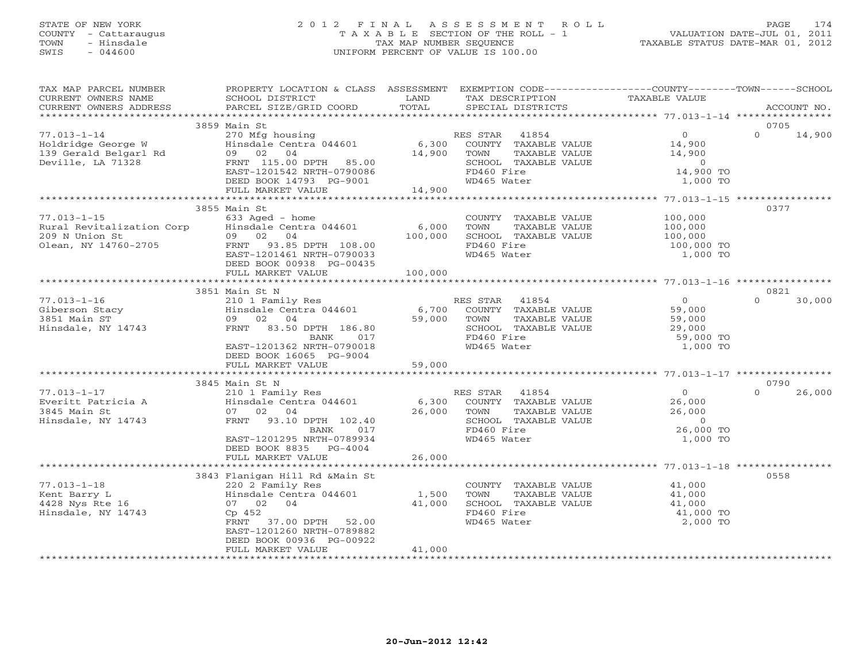# STATE OF NEW YORK 2 0 1 2 F I N A L A S S E S S M E N T R O L L PAGE 174 COUNTY - Cattaraugus T A X A B L E SECTION OF THE ROLL - 1 VALUATION DATE-JUL 01, 2011 TOWN - Hinsdale TAX MAP NUMBER SEQUENCE TAXABLE STATUS DATE-MAR 01, 2012 SWIS - 044600 UNIFORM PERCENT OF VALUE IS 100.00UNIFORM PERCENT OF VALUE IS 100.00

| TAX MAP PARCEL NUMBER<br>CURRENT OWNERS NAME<br>CURRENT OWNERS ADDRESS                   | PROPERTY LOCATION & CLASS ASSESSMENT<br>SCHOOL DISTRICT<br>PARCEL SIZE/GRID COORD                                                                                                          | LAND<br>TOTAL                   | EXEMPTION CODE----------------COUNTY-------TOWN-----SCHOOL<br>TAX DESCRIPTION<br>SPECIAL DISTRICTS                                         | TAXABLE VALUE                                                                                         |                  | ACCOUNT NO. |
|------------------------------------------------------------------------------------------|--------------------------------------------------------------------------------------------------------------------------------------------------------------------------------------------|---------------------------------|--------------------------------------------------------------------------------------------------------------------------------------------|-------------------------------------------------------------------------------------------------------|------------------|-------------|
|                                                                                          |                                                                                                                                                                                            |                                 |                                                                                                                                            |                                                                                                       |                  |             |
|                                                                                          | 3859 Main St                                                                                                                                                                               |                                 |                                                                                                                                            |                                                                                                       | 0705             |             |
| $77.013 - 1 - 14$<br>Holdridge George W<br>139 Gerald Belgarl Rd<br>Deville, LA 71328    | 270 Mfg housing<br>Hinsdale Centra 044601 6,300<br>09 02<br>04<br>FRNT 115.00 DPTH 85.00<br>EAST-1201542 NRTH-0790086                                                                      | 14,900                          | RES STAR<br>ES STAR 41854<br>COUNTY TAXABLE VALUE<br>TOWN<br>TAXABLE VALUE<br>SCHOOL TAXABLE VALUE<br>FD460 Fire                           | $\overline{0}$<br>$\begin{smallmatrix}&&0\14,900\end{smallmatrix}$<br>14,900<br>$\sim$ 0<br>14,900 TO | $\Omega$         | 14,900      |
|                                                                                          | DEED BOOK 14793 PG-9001<br>FULL MARKET VALUE                                                                                                                                               | 14,900                          | WD465 Water                                                                                                                                | 1,000 TO                                                                                              |                  |             |
|                                                                                          |                                                                                                                                                                                            |                                 |                                                                                                                                            |                                                                                                       |                  |             |
|                                                                                          | 3855 Main St                                                                                                                                                                               |                                 |                                                                                                                                            |                                                                                                       | 0377             |             |
| $77.013 - 1 - 15$<br>Rural Revitalization Corp<br>209 N Union St<br>Olean, NY 14760-2705 | $633$ Aged - home<br>Hinsdale Centra 044601<br>09 02 04<br>FRNT 93.85 DPTH 108.00<br>EAST-1201461 NRTH-0790033<br>DEED BOOK 00938 PG-00435                                                 | 6,000<br>100,000                | TOWN TAXABLE VALUE 100,000<br>TOWN TAXABLE VALUE 100,000<br>SCHOOL TAXABLE VALUE 100,000<br>FD460 Fire 100,000<br>WD465 Wr/<br>WD465 Water | 100,000 TO<br>1,000 TO                                                                                |                  |             |
|                                                                                          | FULL MARKET VALUE                                                                                                                                                                          | 100,000                         |                                                                                                                                            |                                                                                                       |                  |             |
|                                                                                          |                                                                                                                                                                                            |                                 |                                                                                                                                            |                                                                                                       |                  |             |
|                                                                                          | 3851 Main St N                                                                                                                                                                             |                                 |                                                                                                                                            |                                                                                                       | 0821             |             |
| $77.013 - 1 - 16$<br>Giberson Stacy<br>3851 Main ST<br>Hinsdale, NY 14743                | 210 1 Family Res<br>Hinsdale Centra 044601<br>09 02 04<br>FRNT 83.50 DPTH 186.80<br>BANK 017<br>EAST-1201362 NRTH-0790018<br>DEED BOOK 16065 PG-9004<br>FULL MARKET VALUE                  | RI<br>6,700<br>59,000<br>59,000 | ES STAR 41854<br>COUNTY TAXABLE VALUE<br>RES STAR<br>TOWN      TAXABLE VALUE<br>SCHOOL   TAXABLE VALUE<br>FD460 Fire<br>WD465 Water        | $\overline{0}$<br>59,000<br>$59,000$<br>$29,000$<br>59,000 TO<br>1,000 TO                             | $\Omega$         | 30,000      |
|                                                                                          |                                                                                                                                                                                            |                                 |                                                                                                                                            |                                                                                                       |                  |             |
| $77.013 - 1 - 17$<br>Everitt Patricia A<br>3845 Main St<br>Hinsdale, NY 14743            | 3845 Main St N<br>Main St N<br>210 1 Family Res<br>Hinsdale Centra 044601<br>07 02 04<br>FRNT 93.10 DPTH 102.40<br>017<br>BANK<br>EAST-1201295 NRTH-0789934<br>DEED BOOK 8835 PG-4004      |                                 | RES STAR 41854<br>6,300 COUNTY TAXABLE VALUE<br>26,000 TOWN TAXABLE VALUE<br>SCHOOL TAXABLE VALUE<br>FD460 Fire<br>WD465 Water             | $\begin{array}{c} 0 \ 26,000 \ 26,000 \end{array}$<br>$\overline{0}$<br>26,000 TO<br>1,000 TO         | 0790<br>$\Omega$ | 26,000      |
|                                                                                          | FULL MARKET VALUE                                                                                                                                                                          | 26,000                          |                                                                                                                                            |                                                                                                       |                  |             |
|                                                                                          |                                                                                                                                                                                            |                                 |                                                                                                                                            |                                                                                                       |                  |             |
| $77.013 - 1 - 18$<br>Kent Barry L<br>4428 Nys Rte 16<br>Hinsdale, NY 14743               | 3843 Flanigan Hill Rd &Main St<br>220 2 Family Res<br>Hinsdale Centra 044601 1,500<br>07 02 04<br>Cp 452<br>FRNT 37.00 DPTH 52.00<br>EAST-1201260 NRTH-0789882<br>DEED BOOK 00936 PG-00922 | 41,000                          | COUNTY TAXABLE VALUE<br>TOWN<br>TAXABLE VALUE<br>SCHOOL TAXABLE VALUE<br>FD460 Fire<br>WD465 Water                                         | 41,000<br>41,000<br>41,000<br>41,000 TO<br>2,000 TO                                                   | 0558             |             |
|                                                                                          | FULL MARKET VALUE                                                                                                                                                                          | 41,000                          |                                                                                                                                            |                                                                                                       |                  |             |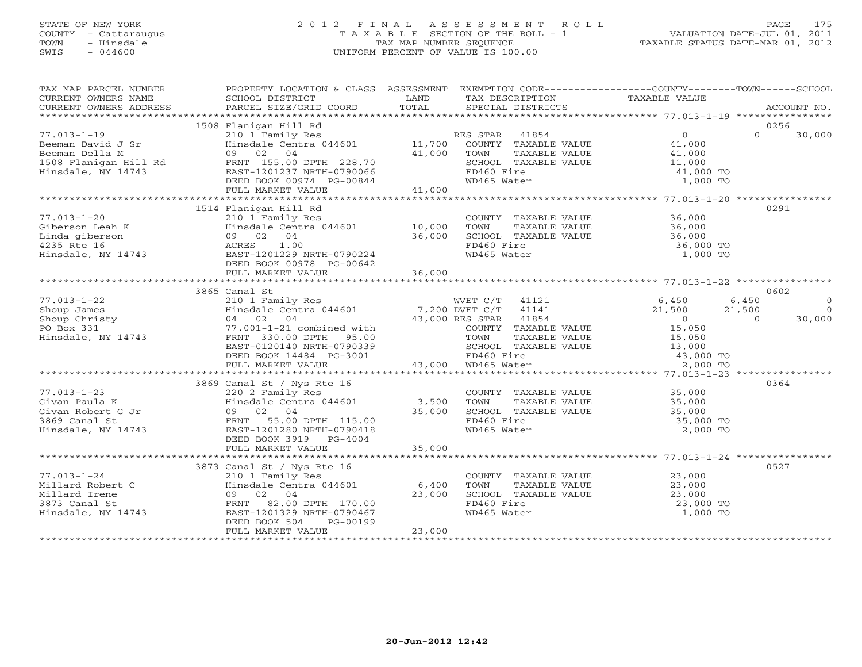# STATE OF NEW YORK 2 0 1 2 F I N A L A S S E S S M E N T R O L L PAGE 175 COUNTY - Cattaraugus T A X A B L E SECTION OF THE ROLL - 1 VALUATION DATE-JUL 01, 2011 TOWN - Hinsdale TAX MAP NUMBER SEQUENCE TAXABLE STATUS DATE-MAR 01, 2012 SWIS - 044600 UNIFORM PERCENT OF VALUE IS 100.00UNIFORM PERCENT OF VALUE IS 100.00

| TAX MAP PARCEL NUMBER<br>CURRENT OWNERS ADDRESS                                                                                                                                                                                                                                                                                                                                                                                  | PROPERTY LOCATION & CLASS ASSESSMENT EXEMPTION CODE----------------COUNTY-------TOWN------SCHOOL                                                                                  |        |                                                                                                                                  |          |                        |
|----------------------------------------------------------------------------------------------------------------------------------------------------------------------------------------------------------------------------------------------------------------------------------------------------------------------------------------------------------------------------------------------------------------------------------|-----------------------------------------------------------------------------------------------------------------------------------------------------------------------------------|--------|----------------------------------------------------------------------------------------------------------------------------------|----------|------------------------|
|                                                                                                                                                                                                                                                                                                                                                                                                                                  |                                                                                                                                                                                   |        |                                                                                                                                  |          |                        |
|                                                                                                                                                                                                                                                                                                                                                                                                                                  |                                                                                                                                                                                   |        |                                                                                                                                  |          |                        |
|                                                                                                                                                                                                                                                                                                                                                                                                                                  |                                                                                                                                                                                   |        |                                                                                                                                  |          | 30,000                 |
|                                                                                                                                                                                                                                                                                                                                                                                                                                  |                                                                                                                                                                                   |        |                                                                                                                                  |          |                        |
|                                                                                                                                                                                                                                                                                                                                                                                                                                  |                                                                                                                                                                                   |        |                                                                                                                                  |          |                        |
|                                                                                                                                                                                                                                                                                                                                                                                                                                  |                                                                                                                                                                                   |        |                                                                                                                                  |          |                        |
|                                                                                                                                                                                                                                                                                                                                                                                                                                  |                                                                                                                                                                                   |        |                                                                                                                                  |          |                        |
|                                                                                                                                                                                                                                                                                                                                                                                                                                  |                                                                                                                                                                                   |        |                                                                                                                                  |          |                        |
|                                                                                                                                                                                                                                                                                                                                                                                                                                  |                                                                                                                                                                                   |        |                                                                                                                                  |          |                        |
|                                                                                                                                                                                                                                                                                                                                                                                                                                  | 1514 Flanigan Hill Rd                                                                                                                                                             |        |                                                                                                                                  |          | 0291                   |
| $\begin{array}{cccccccc} 77.013-1-20 & & & 210 & 1 &\text{Family Res} & & & & \text{COUNTY} & \text{TXABLE VALUE} & & 36,000 \\ \text{Giberson Leah K} & & & & & & & \text{Hinsdale Centre} & & 36,000 \\ \text{Linda giberson} & & & & & & & 09 & 02 & 04 & & & & 36,000 \\ 4235 Rte 16 & & & & & & & \text{ROREI} & 1.00 & & & \text{TOMN} & \text{TXABLE VALUE} & & 36,000 \\ \text{Hinsdale of the RRES} & & & & & & & 10,0$ |                                                                                                                                                                                   |        |                                                                                                                                  |          |                        |
|                                                                                                                                                                                                                                                                                                                                                                                                                                  |                                                                                                                                                                                   |        |                                                                                                                                  |          |                        |
|                                                                                                                                                                                                                                                                                                                                                                                                                                  |                                                                                                                                                                                   |        |                                                                                                                                  |          |                        |
|                                                                                                                                                                                                                                                                                                                                                                                                                                  |                                                                                                                                                                                   |        |                                                                                                                                  |          |                        |
|                                                                                                                                                                                                                                                                                                                                                                                                                                  |                                                                                                                                                                                   |        |                                                                                                                                  |          |                        |
|                                                                                                                                                                                                                                                                                                                                                                                                                                  | DEED BOOK 00978 PG-00642                                                                                                                                                          |        |                                                                                                                                  |          |                        |
|                                                                                                                                                                                                                                                                                                                                                                                                                                  |                                                                                                                                                                                   |        |                                                                                                                                  |          |                        |
|                                                                                                                                                                                                                                                                                                                                                                                                                                  |                                                                                                                                                                                   |        |                                                                                                                                  |          |                        |
|                                                                                                                                                                                                                                                                                                                                                                                                                                  | 3865 Canal St                                                                                                                                                                     |        |                                                                                                                                  |          | 0602                   |
|                                                                                                                                                                                                                                                                                                                                                                                                                                  |                                                                                                                                                                                   |        |                                                                                                                                  |          | 6,450<br>$\circ$       |
|                                                                                                                                                                                                                                                                                                                                                                                                                                  |                                                                                                                                                                                   |        |                                                                                                                                  |          | $\overline{0}$         |
|                                                                                                                                                                                                                                                                                                                                                                                                                                  |                                                                                                                                                                                   |        |                                                                                                                                  |          | $21,500$ 0<br>0 30,000 |
|                                                                                                                                                                                                                                                                                                                                                                                                                                  |                                                                                                                                                                                   |        |                                                                                                                                  |          |                        |
|                                                                                                                                                                                                                                                                                                                                                                                                                                  |                                                                                                                                                                                   |        |                                                                                                                                  |          |                        |
|                                                                                                                                                                                                                                                                                                                                                                                                                                  |                                                                                                                                                                                   |        |                                                                                                                                  |          |                        |
|                                                                                                                                                                                                                                                                                                                                                                                                                                  |                                                                                                                                                                                   |        |                                                                                                                                  |          |                        |
|                                                                                                                                                                                                                                                                                                                                                                                                                                  | EAST-0120140 NRTH-0790339<br>DEED BOOK 14484 PG-3001 FD460 Fire<br>FULL MARKET VALUE 43,000 WD465 Water                                                                           |        | TOWN TAXABLE VALUE $15,050$<br>SCHOOL TAXABLE VALUE $13,000$<br>FD460 Fire $43,000$ TO<br>WD465 Water 2,000 TO                   |          |                        |
|                                                                                                                                                                                                                                                                                                                                                                                                                                  |                                                                                                                                                                                   |        |                                                                                                                                  |          |                        |
|                                                                                                                                                                                                                                                                                                                                                                                                                                  |                                                                                                                                                                                   |        |                                                                                                                                  |          | 0364                   |
| $77.013 - 1 - 23$                                                                                                                                                                                                                                                                                                                                                                                                                |                                                                                                                                                                                   |        |                                                                                                                                  |          |                        |
|                                                                                                                                                                                                                                                                                                                                                                                                                                  |                                                                                                                                                                                   |        |                                                                                                                                  |          |                        |
|                                                                                                                                                                                                                                                                                                                                                                                                                                  |                                                                                                                                                                                   |        |                                                                                                                                  |          |                        |
| Vivan Paula K<br>Givan Robert G Jr<br>3869 Canal St<br>Hinsdale Centra 044601<br>3869 Canal St<br>Hinsdale, NY 14743<br>EAST-1201280 NRTH-0790418                                                                                                                                                                                                                                                                                |                                                                                                                                                                                   |        | COUNTY TAXABLE VALUE<br>TOWN TAXABLE VALUE 35,000<br>SCHOOL TAXABLE VALUE 35,000<br>FD460 Fire 35,000 TO<br>WD465 Water 2,000 TO |          |                        |
|                                                                                                                                                                                                                                                                                                                                                                                                                                  |                                                                                                                                                                                   |        |                                                                                                                                  |          |                        |
|                                                                                                                                                                                                                                                                                                                                                                                                                                  | DEED BOOK 3919 PG-4004                                                                                                                                                            |        |                                                                                                                                  |          |                        |
|                                                                                                                                                                                                                                                                                                                                                                                                                                  |                                                                                                                                                                                   |        |                                                                                                                                  |          |                        |
|                                                                                                                                                                                                                                                                                                                                                                                                                                  |                                                                                                                                                                                   |        |                                                                                                                                  |          |                        |
|                                                                                                                                                                                                                                                                                                                                                                                                                                  |                                                                                                                                                                                   |        |                                                                                                                                  |          | 0527                   |
| $77.013 - 1 - 24$                                                                                                                                                                                                                                                                                                                                                                                                                |                                                                                                                                                                                   |        |                                                                                                                                  |          |                        |
| Millard Robert C                                                                                                                                                                                                                                                                                                                                                                                                                 | 3873 Canal St / Nys Rte 16<br>3873 Canal St / Nys Rte 16<br>210 1 Family Res<br>C Hinsdale Centra 044601 6,400<br>09 02 04<br>FRNT 82.00 DPTH 170.00<br>EAST-1201329 NRTH-0790467 |        | COUNTY TAXABLE VALUE<br>TOWN TAXABLE VALUE 23,000<br>SCHOOL TAXABLE VALUE 23,000<br>FD460 Fire 23,000 TO                         |          |                        |
| Millard Irene                                                                                                                                                                                                                                                                                                                                                                                                                    |                                                                                                                                                                                   |        |                                                                                                                                  |          |                        |
| 3873 Canal St                                                                                                                                                                                                                                                                                                                                                                                                                    |                                                                                                                                                                                   |        | FD460 Fire<br>WD465 Water                                                                                                        |          |                        |
| Hinsdale, NY 14743                                                                                                                                                                                                                                                                                                                                                                                                               |                                                                                                                                                                                   |        |                                                                                                                                  | 1,000 TO |                        |
|                                                                                                                                                                                                                                                                                                                                                                                                                                  | DEED BOOK 504<br>PG-00199                                                                                                                                                         | 23,000 |                                                                                                                                  |          |                        |
|                                                                                                                                                                                                                                                                                                                                                                                                                                  | FULL MARKET VALUE                                                                                                                                                                 |        |                                                                                                                                  |          |                        |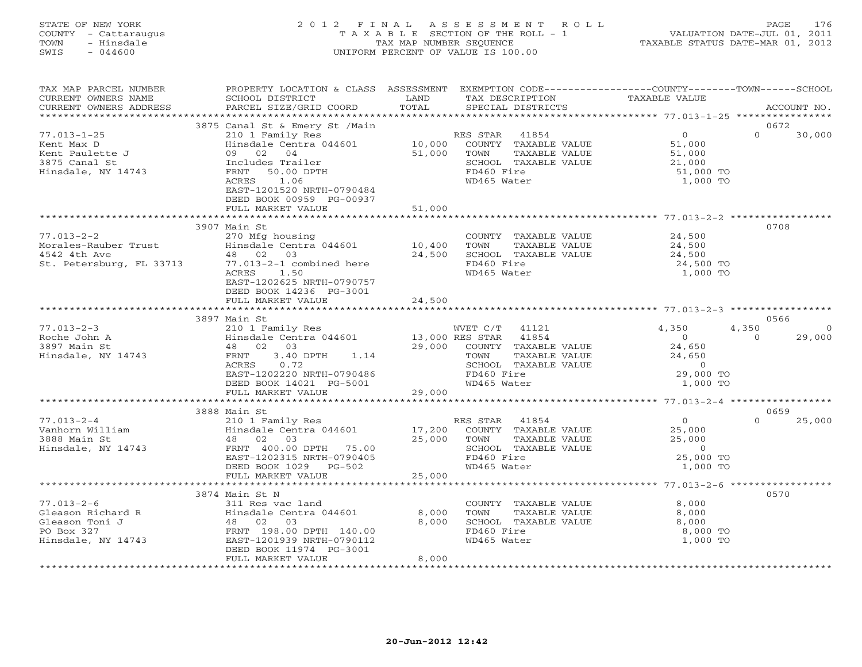#### STATE OF NEW YORK 2 0 1 2 F I N A L A S S E S S M E N T R O L L PAGE 176 COUNTY - Cattaraugus T A X A B L E SECTION OF THE ROLL - 1 VALUATION DATE-JUL 01, 2011 TOWN - Hinsdale TAX MAP NUMBER SEQUENCE TAXABLE STATUS DATE-MAR 01, 2012 SWIS - 044600 UNIFORM PERCENT OF VALUE IS 100.00UNIFORM PERCENT OF VALUE IS 100.00

| TAX MAP PARCEL NUMBER<br>CURRENT OWNERS NAME<br>CURRENT OWNERS ADDRESS<br>*********************** | PROPERTY LOCATION & CLASS ASSESSMENT<br>SCHOOL DISTRICT<br>PARCEL SIZE/GRID COORD                                                                                                                                                       | LAND<br>TAX DESCRIPTION<br>TOTAL<br>SPECIAL DISTRICTS                                                                                                         | EXEMPTION CODE-----------------COUNTY-------TOWN------SCHOOL<br>TAXABLE VALUE<br>ACCOUNT NO.                       |
|---------------------------------------------------------------------------------------------------|-----------------------------------------------------------------------------------------------------------------------------------------------------------------------------------------------------------------------------------------|---------------------------------------------------------------------------------------------------------------------------------------------------------------|--------------------------------------------------------------------------------------------------------------------|
|                                                                                                   |                                                                                                                                                                                                                                         |                                                                                                                                                               |                                                                                                                    |
| $77.013 - 1 - 25$<br>Kent Max D<br>Kent Paulette J<br>3875 Canal St<br>Hinsdale, NY 14743         | 3875 Canal St & Emery St /Main<br>210 1 Family Res<br>Hinsdale Centra 044601<br>09<br>02<br>04<br>Includes Trailer<br>FRNT<br>50.00 DPTH<br>1.06<br>ACRES<br>EAST-1201520 NRTH-0790484<br>DEED BOOK 00959 PG-00937<br>FULL MARKET VALUE | RES STAR<br>41854<br>10,000<br>COUNTY TAXABLE VALUE<br>51,000<br>TAXABLE VALUE<br>TOWN<br>SCHOOL TAXABLE VALUE<br>FD460 Fire<br>WD465 Water<br>51,000         | 0672<br>$\circ$<br>$\Omega$<br>30,000<br>51,000<br>51,000<br>21,000<br>51,000 TO<br>1,000 TO                       |
|                                                                                                   | ***********************                                                                                                                                                                                                                 | **************                                                                                                                                                |                                                                                                                    |
| $77.013 - 2 - 2$<br>Morales-Rauber Trust<br>4542 4th Ave<br>St. Petersburg, FL 33713              | 3907 Main St<br>270 Mfg housing<br>Hinsdale Centra 044601<br>48 02 03<br>77.013-2-1 combined here<br>1.50<br>ACRES<br>EAST-1202625 NRTH-0790757<br>DEED BOOK 14236 PG-3001                                                              | COUNTY TAXABLE VALUE<br>10,400<br>TOWN<br>TAXABLE VALUE<br>24,500<br>SCHOOL TAXABLE VALUE<br>FD460 Fire<br>WD465 Water                                        | 0708<br>24,500<br>24,500<br>24,500<br>24,500 TO<br>1,000 TO                                                        |
|                                                                                                   | FULL MARKET VALUE                                                                                                                                                                                                                       | 24,500                                                                                                                                                        |                                                                                                                    |
|                                                                                                   |                                                                                                                                                                                                                                         |                                                                                                                                                               |                                                                                                                    |
|                                                                                                   | 3897 Main St                                                                                                                                                                                                                            |                                                                                                                                                               | 0566                                                                                                               |
| $77.013 - 2 - 3$<br>Roche John A<br>3897 Main St<br>Hinsdale, NY 14743                            | 210 1 Family Res<br>Hinsdale Centra 044601<br>48 02 03<br>3.40 DPTH<br>FRNT<br>1.14<br>ACRES<br>0.72<br>EAST-1202220 NRTH-0790486<br>DEED BOOK 14021 PG-5001                                                                            | WVET C/T<br>41121<br>13,000 RES STAR<br>41854<br>29,000<br>COUNTY TAXABLE VALUE<br>TOWN<br>TAXABLE VALUE<br>SCHOOL TAXABLE VALUE<br>FD460 Fire<br>WD465 Water | 4,350<br>4,350<br>$\circ$<br>$\circ$<br>$\Omega$<br>29,000<br>24,650<br>24,650<br>$\circ$<br>29,000 TO<br>1,000 TO |
|                                                                                                   | FULL MARKET VALUE                                                                                                                                                                                                                       | 29,000                                                                                                                                                        |                                                                                                                    |
|                                                                                                   |                                                                                                                                                                                                                                         |                                                                                                                                                               |                                                                                                                    |
| $77.013 - 2 - 4$<br>Vanhorn William<br>3888 Main St<br>Hinsdale, NY 14743                         | 3888 Main St<br>210 1 Family Res<br>Hinsdale Centra 044601<br>48 02<br>03<br>FRNT 400.00 DPTH 75.00<br>EAST-1202315 NRTH-0790405<br>DEED BOOK 1029<br>$PG-502$                                                                          | RES STAR<br>41854<br>17,200<br>COUNTY TAXABLE VALUE<br>25,000<br>TOWN<br>TAXABLE VALUE<br>SCHOOL TAXABLE VALUE<br>FD460 Fire<br>WD465 Water<br>25,000         | 0659<br>$\circ$<br>$\Omega$<br>25,000<br>25,000<br>25,000<br>$\circ$<br>25,000 TO<br>1,000 TO                      |
|                                                                                                   | FULL MARKET VALUE                                                                                                                                                                                                                       |                                                                                                                                                               |                                                                                                                    |
|                                                                                                   | 3874 Main St N                                                                                                                                                                                                                          |                                                                                                                                                               | 0570                                                                                                               |
| $77.013 - 2 - 6$<br>Gleason Richard R<br>Gleason Toni J<br>PO Box 327<br>Hinsdale, NY 14743       | 311 Res vac land<br>Hinsdale Centra 044601<br>48 02<br>03<br>FRNT 198.00 DPTH 140.00<br>EAST-1201939 NRTH-0790112<br>DEED BOOK 11974 PG-3001<br>FULL MARKET VALUE                                                                       | COUNTY TAXABLE VALUE<br>8,000<br>TOWN<br>TAXABLE VALUE<br>8,000<br>SCHOOL TAXABLE VALUE<br>FD460 Fire<br>WD465 Water<br>8,000                                 | 8,000<br>8,000<br>8,000<br>8,000 TO<br>1,000 TO                                                                    |
|                                                                                                   |                                                                                                                                                                                                                                         |                                                                                                                                                               |                                                                                                                    |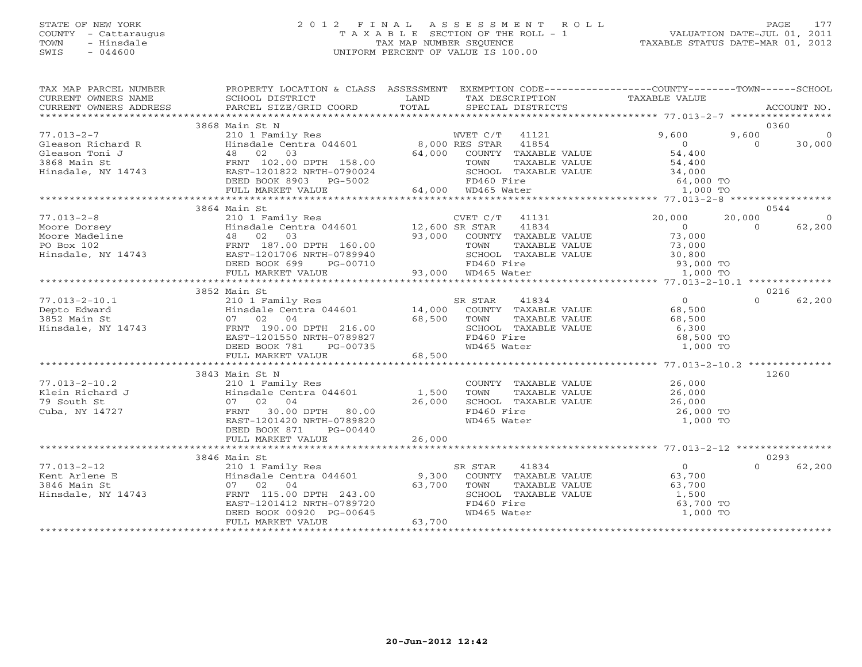## STATE OF NEW YORK 2 0 1 2 F I N A L A S S E S S M E N T R O L L PAGE 177 COUNTY - Cattaraugus T A X A B L E SECTION OF THE ROLL - 1 VALUATION DATE-JUL 01, 2011 TOWN - Hinsdale TAX MAP NUMBER SEQUENCE TAXABLE STATUS DATE-MAR 01, 2012 SWIS - 044600 UNIFORM PERCENT OF VALUE IS 100.00UNIFORM PERCENT OF VALUE IS 100.00

| TAX MAP PARCEL NUMBER<br>CURRENT OWNERS NAME<br>CURRENT OWNERS ADDRESS | PROPERTY LOCATION & CLASS ASSESSMENT EXEMPTION CODE----------------COUNTY-------TOWN------SCHOOL<br>SCHOOL DISTRICT<br>PARCEL SIZE/GRID COORD | LAND<br>TOTAL | TAX DESCRIPTION<br>SPECIAL DISTRICTS                                                                                    | TAXABLE VALUE                                                                                       | ACCOUNT NO.                                           |
|------------------------------------------------------------------------|-----------------------------------------------------------------------------------------------------------------------------------------------|---------------|-------------------------------------------------------------------------------------------------------------------------|-----------------------------------------------------------------------------------------------------|-------------------------------------------------------|
|                                                                        |                                                                                                                                               |               |                                                                                                                         |                                                                                                     |                                                       |
| $77.013 - 2 - 7$<br>Gleason Richard R                                  | 3868 Main St N<br>210 1 Family Res<br>Hinsdale Centra 044601 8,000 RES STAR                                                                   |               | WVET C/T 41121<br>41854                                                                                                 | 9,600                                                                                               | 0360<br>9,600<br>$\overline{0}$<br>$\Omega$<br>30,000 |
| Gleason Toni J<br>3868 Main St<br>Hinsdale, NY 14743                   | 48 02 03<br>FRNT 102.00 DPTH 158.00<br>EAST-1201822 NRTH-0790024<br>DEED BOOK 8903<br>PG-5002                                                 | 64,000        | COUNTY TAXABLE VALUE<br>TAXABLE VALUE<br>TOWN<br>SCHOOL TAXABLE VALUE<br>FD460 Fire<br>FD460 Fire<br>64,000 WD465 Water | $\begin{array}{c}\n0 \\ 54\n\end{array}$<br>54,400<br>34,000<br>LUE 34,000<br>64,000 TO<br>1,000 TO |                                                       |
|                                                                        | FULL MARKET VALUE                                                                                                                             |               |                                                                                                                         |                                                                                                     |                                                       |
|                                                                        | 3864 Main St                                                                                                                                  |               |                                                                                                                         |                                                                                                     | 0544                                                  |
| $77.013 - 2 - 8$                                                       | 210 1 Family Res                                                                                                                              |               | CVET C/T 41131                                                                                                          | 20,000                                                                                              | 20,000                                                |
| Moore Dorsey                                                           | Hinsdale Centra 044601 12,600 SR STAR                                                                                                         |               | 41834                                                                                                                   | $\Omega$                                                                                            | $\Omega$<br>62,200                                    |
| Moore Dorsey<br>Moore Madeline<br>PO Box 102<br>Hinsdale, NY 14743     | 48 02<br>03                                                                                                                                   | 93,000        | COUNTY TAXABLE VALUE                                                                                                    | 73,000                                                                                              |                                                       |
|                                                                        | FRNT 187.00 DPTH 160.00                                                                                                                       |               | TAXABLE VALUE<br>TOWN                                                                                                   | 73,000                                                                                              |                                                       |
|                                                                        | EAST-1201706 NRTH-0789940                                                                                                                     |               | SCHOOL TAXABLE VALUE                                                                                                    | 30,800                                                                                              |                                                       |
|                                                                        | DEED BOOK 699<br>PG-00710                                                                                                                     |               |                                                                                                                         | 93,000 TO<br>1,000 TO                                                                               |                                                       |
|                                                                        | FULL MARKET VALUE                                                                                                                             |               |                                                                                                                         |                                                                                                     |                                                       |
|                                                                        | 3852 Main St                                                                                                                                  |               |                                                                                                                         |                                                                                                     | 0216                                                  |
| $77.013 - 2 - 10.1$                                                    | 210 1 Family Res                                                                                                                              |               | 41834<br>SR STAR                                                                                                        | $\overline{0}$                                                                                      | $\Omega$<br>62,200                                    |
| Depto Edward                                                           | $14,000$<br>Hinsdale Centra 044601 14,000                                                                                                     |               | R STAR 41834<br>COUNTY TAXABLE VALUE                                                                                    | 68,500                                                                                              |                                                       |
| 3852 Main St                                                           | 07 02 04                                                                                                                                      | 68,500        | TOWN<br>TAXABLE VALUE                                                                                                   | 68,500                                                                                              |                                                       |
| Hinsdale, NY 14743                                                     | FRNT 190.00 DPTH 216.00                                                                                                                       |               | SCHOOL TAXABLE VALUE                                                                                                    | 6,300                                                                                               |                                                       |
|                                                                        | EAST-1201550 NRTH-0789827                                                                                                                     |               | FD460 Fire                                                                                                              | 68,500 TO                                                                                           |                                                       |
|                                                                        | DEED BOOK 781<br>PG-00735                                                                                                                     |               | WD465 Water                                                                                                             | 1,000 TO                                                                                            |                                                       |
|                                                                        | FULL MARKET VALUE                                                                                                                             | 68,500        |                                                                                                                         |                                                                                                     |                                                       |
|                                                                        |                                                                                                                                               |               |                                                                                                                         |                                                                                                     |                                                       |
|                                                                        | 3843 Main St N                                                                                                                                |               |                                                                                                                         |                                                                                                     | 1260                                                  |
| $77.013 - 2 - 10.2$                                                    | 210 1 Family Res                                                                                                                              |               | COUNTY TAXABLE VALUE                                                                                                    | 26,000                                                                                              |                                                       |
| Klein Richard J<br>79 South St                                         | Hinsdale Centra 044601 1,500<br>07 02 04                                                                                                      | 26,000        | <b>TOWN</b><br>TAXABLE VALUE<br>SCHOOL TAXABLE VALUE                                                                    | 26,000<br>26,000                                                                                    |                                                       |
| Cuba, NY 14727                                                         | FRNT<br>30.00 DPTH 80.00                                                                                                                      |               | FD460 Fire                                                                                                              | 26,000 TO                                                                                           |                                                       |
|                                                                        | EAST-1201420 NRTH-0789820                                                                                                                     |               | WD465 Water                                                                                                             | 1,000 TO                                                                                            |                                                       |
|                                                                        | DEED BOOK 871<br>PG-00440                                                                                                                     |               |                                                                                                                         |                                                                                                     |                                                       |
|                                                                        | FULL MARKET VALUE                                                                                                                             | 26,000        |                                                                                                                         |                                                                                                     |                                                       |
|                                                                        |                                                                                                                                               |               |                                                                                                                         |                                                                                                     |                                                       |
|                                                                        | 3846 Main St                                                                                                                                  |               |                                                                                                                         |                                                                                                     | 0293                                                  |
| $77.013 - 2 - 12$                                                      | 210 1 Family Res                                                                                                                              |               | 41834<br>SR STAR                                                                                                        | $\overline{0}$                                                                                      | $\Omega$<br>62,200                                    |
| Kent Arlene E                                                          | Hinsdale Centra 044601                                                                                                                        | 9,300         | COUNTY TAXABLE VALUE                                                                                                    | 63,700                                                                                              |                                                       |
| 3846 Main St                                                           | 04<br>07 02                                                                                                                                   | 63,700        | TOWN<br>TAXABLE VALUE                                                                                                   | 63,700                                                                                              |                                                       |
| Hinsdale, NY 14743                                                     | FRNT 115.00 DPTH 243.00                                                                                                                       |               | SCHOOL TAXABLE VALUE                                                                                                    | 1,500                                                                                               |                                                       |
|                                                                        | EAST-1201412 NRTH-0789720                                                                                                                     |               | FD460 Fire                                                                                                              | 63,700 TO<br>1,000 TO                                                                               |                                                       |
|                                                                        | DEED BOOK 00920 PG-00645<br>FULL MARKET VALUE                                                                                                 | 63,700        | WD465 Water                                                                                                             |                                                                                                     |                                                       |
|                                                                        |                                                                                                                                               |               |                                                                                                                         |                                                                                                     |                                                       |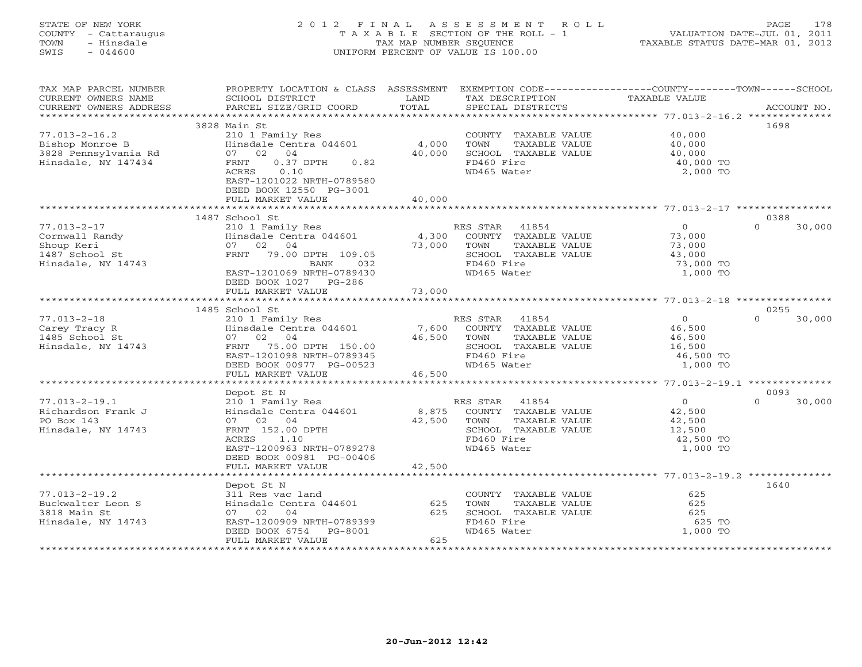# STATE OF NEW YORK 2 0 1 2 F I N A L A S S E S S M E N T R O L L PAGE 178 COUNTY - Cattaraugus T A X A B L E SECTION OF THE ROLL - 1 VALUATION DATE-JUL 01, 2011 TOWN - Hinsdale TAX MAP NUMBER SEQUENCE TAXABLE STATUS DATE-MAR 01, 2012 SWIS - 044600 UNIFORM PERCENT OF VALUE IS 100.00UNIFORM PERCENT OF VALUE IS 100.00

| TAX MAP PARCEL NUMBER<br>CURRENT OWNERS NAME | PROPERTY LOCATION & CLASS ASSESSMENT<br>SCHOOL DISTRICT | LAND<br>TOTAL | EXEMPTION CODE----------------COUNTY-------TOWN------SCHOOL<br>TAX DESCRIPTION | TAXABLE VALUE         |                    |
|----------------------------------------------|---------------------------------------------------------|---------------|--------------------------------------------------------------------------------|-----------------------|--------------------|
| CURRENT OWNERS ADDRESS                       | PARCEL SIZE/GRID COORD                                  |               | SPECIAL DISTRICTS                                                              |                       | ACCOUNT NO.        |
|                                              | 3828 Main St                                            |               |                                                                                |                       | 1698               |
| $77.013 - 2 - 16.2$                          | 210 1 Family Res                                        |               | COUNTY TAXABLE VALUE                                                           | 40,000                |                    |
| Bishop Monroe B                              | Hinsdale Centra 044601                                  | 4,000         | TOWN<br>TAXABLE VALUE                                                          | 40,000                |                    |
| 3828 Pennsylvania Rd                         | 07 02 04                                                | 40,000        | SCHOOL TAXABLE VALUE                                                           | 40,000                |                    |
| Hinsdale, NY 147434                          | $0.37$ DPTH<br>0.82<br>FRNT                             |               | FD460 Fire                                                                     | 40,000 TO             |                    |
|                                              | ACRES<br>0.10                                           |               | WD465 Water                                                                    | 2,000 TO              |                    |
|                                              | EAST-1201022 NRTH-0789580                               |               |                                                                                |                       |                    |
|                                              | DEED BOOK 12550 PG-3001                                 |               |                                                                                |                       |                    |
|                                              | FULL MARKET VALUE                                       | 40,000        |                                                                                |                       |                    |
|                                              |                                                         |               |                                                                                |                       | 0388               |
| $77.013 - 2 - 17$                            | 1487 School St<br>210 1 Family Res                      |               | RES STAR 41854                                                                 | $\overline{0}$        | $\Omega$<br>30,000 |
| Cornwall Randy                               | Hinsdale Centra 044601                                  | 4,300         | COUNTY TAXABLE VALUE                                                           | 73,000                |                    |
| Shoup Keri                                   | 07 02 04                                                | 73,000        | TOWN<br>TAXABLE VALUE                                                          | 73,000                |                    |
| 1487 School St                               | FRNT 79.00 DPTH 109.05                                  |               | SCHOOL TAXABLE VALUE                                                           | 43,000                |                    |
| Hinsdale, NY 14743                           | BANK<br>032                                             |               | FD460 Fire                                                                     | 73,000 TO             |                    |
|                                              | EAST-1201069 NRTH-0789430                               |               | WD465 Water                                                                    | 1,000 TO              |                    |
|                                              | DEED BOOK 1027 PG-286                                   |               |                                                                                |                       |                    |
|                                              | FULL MARKET VALUE                                       | 73,000        |                                                                                |                       |                    |
|                                              |                                                         |               |                                                                                |                       |                    |
|                                              | 1485 School St                                          |               |                                                                                |                       | 0255               |
| $77.013 - 2 - 18$                            | 210 1 Family Res                                        |               | RES STAR 41854                                                                 | $\Omega$              | $\cap$<br>30,000   |
| Carey Tracy R                                | Hinsdale Centra 044601                                  | 7,600         | COUNTY TAXABLE VALUE                                                           | 46,500                |                    |
| 1485 School St                               | 07 02 04                                                | 46,500        | TOWN<br>TAXABLE VALUE                                                          | 46,500                |                    |
| Hinsdale, NY 14743                           | 75.00 DPTH 150.00<br>FRNT                               |               | SCHOOL TAXABLE VALUE                                                           | 16,500                |                    |
|                                              | EAST-1201098 NRTH-0789345<br>DEED BOOK 00977 PG-00523   |               | FD460 Fire<br>WD465 Water                                                      | 46,500 TO<br>1,000 TO |                    |
|                                              | FULL MARKET VALUE                                       | 46,500        |                                                                                |                       |                    |
|                                              |                                                         |               |                                                                                |                       |                    |
|                                              | Depot St N                                              |               |                                                                                |                       | 0093               |
| $77.013 - 2 - 19.1$                          | 210 1 Family Res                                        |               | 41854<br>RES STAR                                                              | $\overline{0}$        | 30,000<br>$\Omega$ |
| Richardson Frank J                           | Hinsdale Centra 044601                                  | 8,875         | COUNTY TAXABLE VALUE                                                           | 42,500                |                    |
| PO Box 143                                   | 07 02 04                                                | 42,500        | TOWN<br>TAXABLE VALUE                                                          | 42,500                |                    |
| Hinsdale, NY 14743                           | FRNT 152.00 DPTH                                        |               | SCHOOL TAXABLE VALUE                                                           | 12,500                |                    |
|                                              | ACRES<br>1.10                                           |               | FD460 Fire                                                                     | 42,500 TO             |                    |
|                                              | EAST-1200963 NRTH-0789278                               |               | WD465 Water                                                                    | 1,000 TO              |                    |
|                                              | DEED BOOK 00981 PG-00406                                |               |                                                                                |                       |                    |
|                                              | FULL MARKET VALUE<br>************************           | 42,500        |                                                                                |                       |                    |
|                                              |                                                         |               |                                                                                |                       |                    |
| $77.013 - 2 - 19.2$                          | Depot St N<br>311 Res vac land                          |               |                                                                                | 625                   | 1640               |
| Buckwalter Leon S                            | Hinsdale Centra 044601                                  | 625           | COUNTY TAXABLE VALUE<br>TAXABLE VALUE<br>TOWN                                  | 625                   |                    |
| 3818 Main St                                 | 07 02 04                                                | 625           | SCHOOL TAXABLE VALUE                                                           | 625                   |                    |
| Hinsdale, NY 14743                           | EAST-1200909 NRTH-0789399                               |               | FD460 Fire                                                                     | 625 TO                |                    |
|                                              | DEED BOOK 6754<br>PG-8001                               |               | WD465 Water                                                                    | 1,000 TO              |                    |
|                                              | FULL MARKET VALUE                                       | 625           |                                                                                |                       |                    |
|                                              |                                                         |               |                                                                                |                       |                    |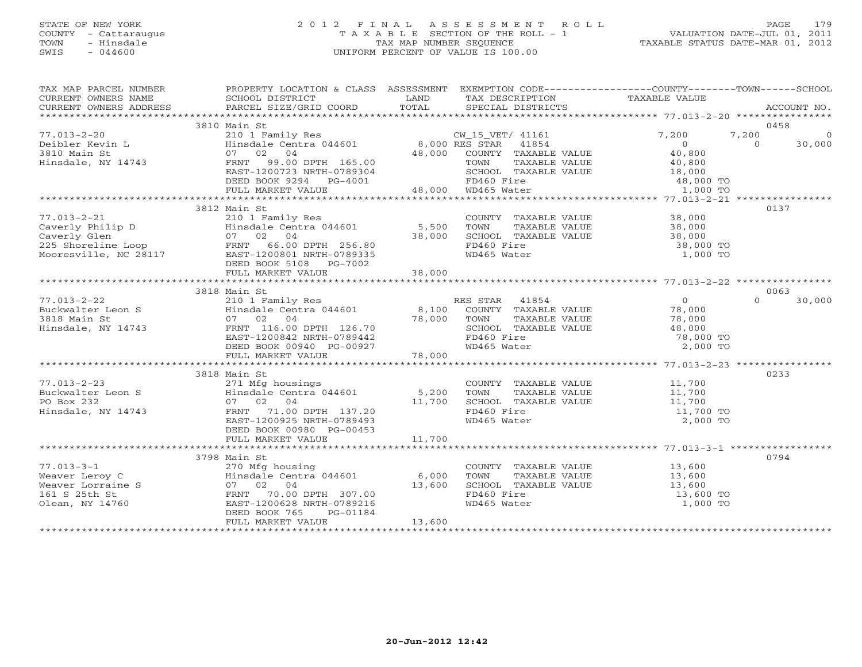# STATE OF NEW YORK 2 0 1 2 F I N A L A S S E S S M E N T R O L L PAGE 179 COUNTY - Cattaraugus T A X A B L E SECTION OF THE ROLL - 1 VALUATION DATE-JUL 01, 2011 TOWN - Hinsdale TAX MAP NUMBER SEQUENCE TAXABLE STATUS DATE-MAR 01, 2012 SWIS - 044600 UNIFORM PERCENT OF VALUE IS 100.00UNIFORM PERCENT OF VALUE IS 100.00

| TAX MAP PARCEL NUMBER                                                                                                                                                                                                                                                                                                                                                                                                                | PROPERTY LOCATION & CLASS ASSESSMENT EXEMPTION CODE---------------COUNTY-------TOWN------SCHOOL                                                                                                                                          |        |                                                                                                                                                      |          |                            |
|--------------------------------------------------------------------------------------------------------------------------------------------------------------------------------------------------------------------------------------------------------------------------------------------------------------------------------------------------------------------------------------------------------------------------------------|------------------------------------------------------------------------------------------------------------------------------------------------------------------------------------------------------------------------------------------|--------|------------------------------------------------------------------------------------------------------------------------------------------------------|----------|----------------------------|
|                                                                                                                                                                                                                                                                                                                                                                                                                                      |                                                                                                                                                                                                                                          |        |                                                                                                                                                      |          |                            |
| $\begin{array}{cccccccc} 77.013-2-20 & 3810\text{ Main St} & 2101\text{ Family Res} & 0 & 0 & 0\\ \text{Deibler Kevin L} & 2101 & \text{Family Res} & 8,000\text{ RES STRA} & 41854 & 7,200 & 7,200 & 0\\ \text{Hinsdale centra 044601} & 8,000\text{ RES STRA} & 41854 & 0 & 0 & 30,000\\ \text{Hinsdale, NY 14743} & 0 & 30,000 & 0 & 30,000\\ \text{Hinsdale, NY 14743}$<br>Deibler Kevin L<br>3810 Main St<br>Hinsdale, NY 14743 | 3810 Main St                                                                                                                                                                                                                             |        |                                                                                                                                                      |          | 0458                       |
|                                                                                                                                                                                                                                                                                                                                                                                                                                      |                                                                                                                                                                                                                                          |        |                                                                                                                                                      |          |                            |
|                                                                                                                                                                                                                                                                                                                                                                                                                                      | 3812 Main St                                                                                                                                                                                                                             |        |                                                                                                                                                      |          | 0137                       |
| 77.013-2-21<br>Caverly Philip D<br>Caverly Glen<br>225 Shoreline Loop<br>Mooresville, NC 28117<br>2310 1 Family Res<br>225 Shoreline Loop<br>225 Shoreline Loop<br>235 Shoreline Loop<br>23117<br>236.00 DPTH 256.80<br>235 Shoreline Loop<br>23117<br>2                                                                                                                                                                             |                                                                                                                                                                                                                                          |        | COUNTY TAXABLE VALUE 38,000<br>TOWN TAXABLE VALUE 38,000<br>SCHOOL TAXABLE VALUE 38,000<br>FD465 Mator<br>WD465 Water                                | 1,000 TO |                            |
|                                                                                                                                                                                                                                                                                                                                                                                                                                      |                                                                                                                                                                                                                                          |        |                                                                                                                                                      |          |                            |
|                                                                                                                                                                                                                                                                                                                                                                                                                                      |                                                                                                                                                                                                                                          |        |                                                                                                                                                      |          |                            |
|                                                                                                                                                                                                                                                                                                                                                                                                                                      | 3818 Main St                                                                                                                                                                                                                             |        |                                                                                                                                                      |          | 0063<br>$\Omega$<br>30,000 |
| $77.013 - 2 - 22$<br>Buckwalter Leon S<br>3818 Main St<br>Hinsdale, NY 14743                                                                                                                                                                                                                                                                                                                                                         | main State of Pamily Res<br>210 1 Family Res<br>Hinsdale Centra 044601 8,100 COUNTY TAXABLE VALUE 78,000<br>78,000 TOWN TAXABLE VALUE 78,000<br>FRNT 116.00 DPTH 126.70 8CHOOL TAXABLE VALUE 48,000<br>EAST-1200842 NRTH-0789442 FD460 F |        | SCHOOL TAXABLE VALUE 48,000<br>FD460 Fire 78,000 TO                                                                                                  |          |                            |
|                                                                                                                                                                                                                                                                                                                                                                                                                                      |                                                                                                                                                                                                                                          |        |                                                                                                                                                      |          |                            |
|                                                                                                                                                                                                                                                                                                                                                                                                                                      |                                                                                                                                                                                                                                          |        |                                                                                                                                                      |          |                            |
| $77.013 - 2 - 23$<br>$2-23$<br>Buckwalter Leon S<br>PO Box 232<br>Hinsdale NY 14540<br>Hinsdale, NY 14743                                                                                                                                                                                                                                                                                                                            | 3818 Main St<br>07 02 04 11,700<br>FRNT 71.00 DPTH 137.20 11,700<br>EAST-1200925 NRTH-0789493<br>DEED BOOK 00980 PG-00453                                                                                                                |        | COUNTY TAXABLE VALUE $11,700$<br>TOWN TAXABLE VALUE $11,700$<br>SCHOOL TAXABLE VALUE $11,700$<br>FD460 Fire $11,700$ TO<br>FD460 Fire<br>WD465 Water | 2,000 TO | 0233                       |
|                                                                                                                                                                                                                                                                                                                                                                                                                                      |                                                                                                                                                                                                                                          |        |                                                                                                                                                      |          |                            |
|                                                                                                                                                                                                                                                                                                                                                                                                                                      |                                                                                                                                                                                                                                          |        |                                                                                                                                                      |          |                            |
| $77.013 - 3 - 1$<br>77.013-3-1<br>Weaver Leroy C<br>Weaver Lorraine S<br>161 S 25th St<br>Olean, NY 14760                                                                                                                                                                                                                                                                                                                            | 3798 Main St<br>270 Mfg housing<br>Hinsdale Centra 044601 6,000<br>07 02 04 13,600<br>FRNT 70.00 DPTH 307.00 13,600<br>EAST-1200628 NRTH-0789216<br>DEED BOOK 765<br>PG-01184<br>FULL MARKET VALUE                                       | 13,600 | COUNTY TAXABLE VALUE 13,600<br>TOWN TAXABLE VALUE 13,600<br>SCHOOL TAXABLE VALUE 13,600<br>FD460 Fire 13,600 TO<br>FD460 Fire<br>WD465 Water         | 1,000 TO | 0794                       |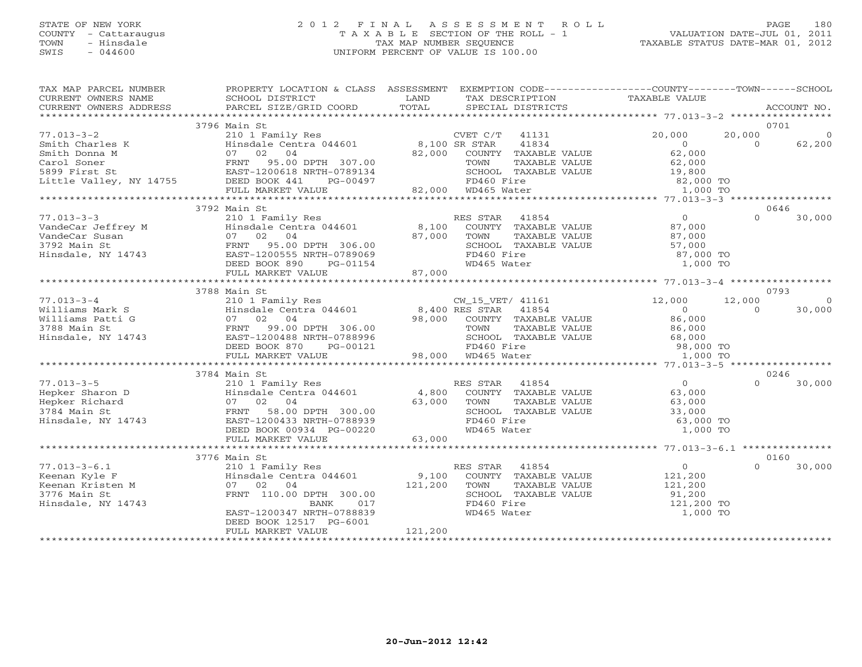# STATE OF NEW YORK 2 0 1 2 F I N A L A S S E S S M E N T R O L L PAGE 180 COUNTY - Cattaraugus T A X A B L E SECTION OF THE ROLL - 1 VALUATION DATE-JUL 01, 2011 TOWN - Hinsdale TAX MAP NUMBER SEQUENCE TAXABLE STATUS DATE-MAR 01, 2012 SWIS - 044600 UNIFORM PERCENT OF VALUE IS 100.00UNIFORM PERCENT OF VALUE IS 100.00

| TAX MAP PARCEL NUMBER                                                                                        |                                                          |                                                                                                                                                                                                                                           | PROPERTY LOCATION & CLASS ASSESSMENT EXEMPTION CODE----------------COUNTY-------TOWN------SCHOOL                                                                                                                                                                                                                                                                                                 |
|--------------------------------------------------------------------------------------------------------------|----------------------------------------------------------|-------------------------------------------------------------------------------------------------------------------------------------------------------------------------------------------------------------------------------------------|--------------------------------------------------------------------------------------------------------------------------------------------------------------------------------------------------------------------------------------------------------------------------------------------------------------------------------------------------------------------------------------------------|
|                                                                                                              |                                                          |                                                                                                                                                                                                                                           |                                                                                                                                                                                                                                                                                                                                                                                                  |
|                                                                                                              | 3796 Main St                                             |                                                                                                                                                                                                                                           | 0701                                                                                                                                                                                                                                                                                                                                                                                             |
| $77.013 - 3 - 2$                                                                                             | 210 1 Family Res<br>Hinsdale Centra 044601 8,100 SR STAR | CVET C/T 41131                                                                                                                                                                                                                            | 20,000<br>20,000<br>$\overline{0}$                                                                                                                                                                                                                                                                                                                                                               |
|                                                                                                              |                                                          | 3, 100 SK STAR 41834<br>82,000 COUNTY TAXABLE VALUE<br>TOWN TAXABLE VALUE<br>SCHOOL TALLE VALUE                                                                                                                                           | 62,200<br>$\begin{array}{c} 0 \\ 62,000 \end{array}$<br>$\Omega$                                                                                                                                                                                                                                                                                                                                 |
|                                                                                                              |                                                          |                                                                                                                                                                                                                                           |                                                                                                                                                                                                                                                                                                                                                                                                  |
|                                                                                                              |                                                          | FOWN TAXABLE VALUE<br>TOWN TAXABLE VALUE<br>SCHOOL TAXABLE VALUE<br>FD460 Fire<br>WD465 Water<br>WD465 Water<br>1,000 TO                                                                                                                  |                                                                                                                                                                                                                                                                                                                                                                                                  |
|                                                                                                              |                                                          |                                                                                                                                                                                                                                           |                                                                                                                                                                                                                                                                                                                                                                                                  |
|                                                                                                              |                                                          | 00497 FD460 Fire<br>82,000 WD465 Water                                                                                                                                                                                                    |                                                                                                                                                                                                                                                                                                                                                                                                  |
|                                                                                                              | FULL MARKET VALUE                                        |                                                                                                                                                                                                                                           |                                                                                                                                                                                                                                                                                                                                                                                                  |
|                                                                                                              |                                                          |                                                                                                                                                                                                                                           |                                                                                                                                                                                                                                                                                                                                                                                                  |
|                                                                                                              | 3792 Main St                                             |                                                                                                                                                                                                                                           | 0646<br>$\begin{matrix}0\\87\end{matrix}$<br>$\begin{array}{cccccccc} \text{7.013--3--3} & \text{5.792 Mann SE} & \text{7.913--3} & \text{6.7000} & \text{6.7000} & \text{6.7000} & \text{6.7000} & \text{6.7000} & \text{6.7000} & \text{6.7000} & \text{6.7000} & \text{6.7000} & \text{6.7000} & \text{6.7000} & \text{6.7000} & \text{6.7000} & \text{6.7000} & \text{6.7000} & \text{6.700$ |
| $77.013 - 3 - 3$<br>77.013–3–3<br>VandeCar Jeffrey M<br>VandeCar Susan<br>3792 Main St<br>Hinsdale, NY 14743 |                                                          |                                                                                                                                                                                                                                           |                                                                                                                                                                                                                                                                                                                                                                                                  |
|                                                                                                              |                                                          |                                                                                                                                                                                                                                           |                                                                                                                                                                                                                                                                                                                                                                                                  |
|                                                                                                              |                                                          |                                                                                                                                                                                                                                           |                                                                                                                                                                                                                                                                                                                                                                                                  |
|                                                                                                              |                                                          |                                                                                                                                                                                                                                           |                                                                                                                                                                                                                                                                                                                                                                                                  |
|                                                                                                              |                                                          |                                                                                                                                                                                                                                           |                                                                                                                                                                                                                                                                                                                                                                                                  |
|                                                                                                              |                                                          |                                                                                                                                                                                                                                           |                                                                                                                                                                                                                                                                                                                                                                                                  |
|                                                                                                              |                                                          |                                                                                                                                                                                                                                           |                                                                                                                                                                                                                                                                                                                                                                                                  |
|                                                                                                              | 3788 Main St                                             |                                                                                                                                                                                                                                           | 0793                                                                                                                                                                                                                                                                                                                                                                                             |
| $77.013 - 3 - 4$                                                                                             |                                                          |                                                                                                                                                                                                                                           | 12,000<br>$\bigcirc$                                                                                                                                                                                                                                                                                                                                                                             |
| Williams Mark S<br>Williams Patti G<br>3788 Main St<br>Hinsdale, NY 14743                                    |                                                          |                                                                                                                                                                                                                                           | $\Omega$<br>30,000                                                                                                                                                                                                                                                                                                                                                                               |
|                                                                                                              |                                                          |                                                                                                                                                                                                                                           |                                                                                                                                                                                                                                                                                                                                                                                                  |
|                                                                                                              |                                                          |                                                                                                                                                                                                                                           |                                                                                                                                                                                                                                                                                                                                                                                                  |
|                                                                                                              |                                                          |                                                                                                                                                                                                                                           |                                                                                                                                                                                                                                                                                                                                                                                                  |
|                                                                                                              |                                                          |                                                                                                                                                                                                                                           |                                                                                                                                                                                                                                                                                                                                                                                                  |
|                                                                                                              |                                                          | TOWN TAXABLE VALUE<br>SCHOOL TAXABLE VALUE<br>SCHOOL TAXABLE VALUE<br>FD460 Fire<br>WD465 Water<br>WD465 Water<br>1,000 TO                                                                                                                |                                                                                                                                                                                                                                                                                                                                                                                                  |
|                                                                                                              |                                                          |                                                                                                                                                                                                                                           |                                                                                                                                                                                                                                                                                                                                                                                                  |
|                                                                                                              | 3784 Main St                                             |                                                                                                                                                                                                                                           | 0246                                                                                                                                                                                                                                                                                                                                                                                             |
|                                                                                                              |                                                          | 210 1 Family Res<br>Hinsdale Centra 044601 4,800 COUNTY TAXABLE VALUE 63,000<br>07 02 04 63,000 TOWN TAXABLE VALUE 63,000<br>FRNT 58.00 DPTH 300.00 63,000 SCHOOL TAXABLE VALUE 63,000<br>EAST-1200433 NRTH-0788939 FD460 Fire 63,000<br> | $\Omega$<br>30,000                                                                                                                                                                                                                                                                                                                                                                               |
|                                                                                                              |                                                          |                                                                                                                                                                                                                                           |                                                                                                                                                                                                                                                                                                                                                                                                  |
|                                                                                                              |                                                          |                                                                                                                                                                                                                                           |                                                                                                                                                                                                                                                                                                                                                                                                  |
|                                                                                                              |                                                          |                                                                                                                                                                                                                                           |                                                                                                                                                                                                                                                                                                                                                                                                  |
| 77.013-3-5<br>Hepker Sharon D<br>Hepker Richard<br>3784 Main St<br>Hinsdale, NY 14743                        |                                                          |                                                                                                                                                                                                                                           |                                                                                                                                                                                                                                                                                                                                                                                                  |
|                                                                                                              |                                                          |                                                                                                                                                                                                                                           |                                                                                                                                                                                                                                                                                                                                                                                                  |
|                                                                                                              | FULL MARKET VALUE                                        | TOWN TAXABLE VALUE<br>SCHOOL TAXABLE VALUE<br>FD460 Fire 63,000 TO<br>FD465 Water 1,000 TO<br>1,000 TO<br>63,000                                                                                                                          |                                                                                                                                                                                                                                                                                                                                                                                                  |
|                                                                                                              |                                                          |                                                                                                                                                                                                                                           |                                                                                                                                                                                                                                                                                                                                                                                                  |
|                                                                                                              | 3776 Main St                                             |                                                                                                                                                                                                                                           | 0160                                                                                                                                                                                                                                                                                                                                                                                             |
| $77.013 - 3 - 6.1$                                                                                           | 210 1 Family Res                                         | RES STAR 41854                                                                                                                                                                                                                            | $\overline{0}$<br>$\Omega$<br>30,000                                                                                                                                                                                                                                                                                                                                                             |
|                                                                                                              |                                                          |                                                                                                                                                                                                                                           |                                                                                                                                                                                                                                                                                                                                                                                                  |
| Keenan Kyle F<br>Keenan Kristen M<br>3776 Main St                                                            |                                                          | X10 1 Pamily ACS<br>Hinsdale Centra 044601 9,100 COUNTY TAXABLE VALUE 121,200<br>07 02 04 121,200 TOWN TAXABLE VALUE 121,200                                                                                                              |                                                                                                                                                                                                                                                                                                                                                                                                  |
|                                                                                                              | FRNT 110.00 DPTH 300.00                                  | TOWN TAAADDE VADUL<br>SCHOOL TAXABLE VALUE 91,200<br>FD160 Fire 121,200 TO                                                                                                                                                                |                                                                                                                                                                                                                                                                                                                                                                                                  |
| Hinsdale, NY 14743                                                                                           | BANK<br>017                                              |                                                                                                                                                                                                                                           |                                                                                                                                                                                                                                                                                                                                                                                                  |
|                                                                                                              | EAST-1200347 NRTH-0788839                                | WD465 Water                                                                                                                                                                                                                               | 1,000 TO                                                                                                                                                                                                                                                                                                                                                                                         |
|                                                                                                              | DEED BOOK 12517 PG-6001                                  |                                                                                                                                                                                                                                           |                                                                                                                                                                                                                                                                                                                                                                                                  |
|                                                                                                              | FULL MARKET VALUE                                        | 121,200                                                                                                                                                                                                                                   |                                                                                                                                                                                                                                                                                                                                                                                                  |
|                                                                                                              |                                                          |                                                                                                                                                                                                                                           |                                                                                                                                                                                                                                                                                                                                                                                                  |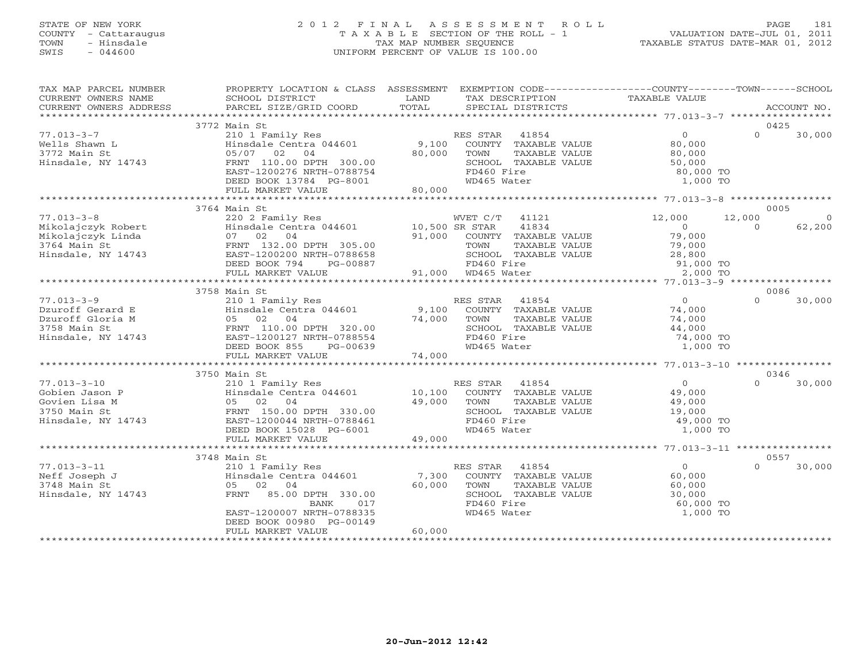# STATE OF NEW YORK 2 0 1 2 F I N A L A S S E S S M E N T R O L L PAGE 181 COUNTY - Cattaraugus T A X A B L E SECTION OF THE ROLL - 1 VALUATION DATE-JUL 01, 2011 TOWN - Hinsdale TAX MAP NUMBER SEQUENCE TAXABLE STATUS DATE-MAR 01, 2012 SWIS - 044600 UNIFORM PERCENT OF VALUE IS 100.00UNIFORM PERCENT OF VALUE IS 100.00

| TAX MAP PARCEL NUMBER                                                                       | PROPERTY LOCATION & CLASS ASSESSMENT EXEMPTION CODE----------------COUNTY-------TOWN------SCHOOL |             |                                                                            |                                                                             |                          |
|---------------------------------------------------------------------------------------------|--------------------------------------------------------------------------------------------------|-------------|----------------------------------------------------------------------------|-----------------------------------------------------------------------------|--------------------------|
| CURRENT OWNERS NAME                                                                         | SCHOOL DISTRICT                                                                                  | LAND        | TAX DESCRIPTION                                                            | TAXABLE VALUE                                                               |                          |
| CURRENT OWNERS ADDRESS                                                                      | PARCEL SIZE/GRID COORD                                                                           | TOTAL       | SPECIAL DISTRICTS                                                          |                                                                             | ACCOUNT NO.              |
|                                                                                             |                                                                                                  |             |                                                                            |                                                                             |                          |
|                                                                                             | 3772 Main St                                                                                     |             |                                                                            |                                                                             | 0425<br>$\Omega$         |
| $77.013 - 3 - 7$                                                                            | 210 1 Family Res                                                                                 |             | RES STAR 41854                                                             | $\overline{0}$                                                              | 30,000                   |
| Wells Shawn L                                                                               | Hinsdale Centra 044601                                                                           |             | 9,100 COUNTY TAXABLE VALUE                                                 | 80,000                                                                      |                          |
| 3772 Main St                                                                                | 05/07 02 04                                                                                      | 80,000      | TAXABLE VALUE<br>TOWN                                                      | 80,000                                                                      |                          |
| Hinsdale, NY 14743                                                                          | FRNT 110.00 DPTH 300.00                                                                          |             | SCHOOL TAXABLE VALUE                                                       | 50,000                                                                      |                          |
|                                                                                             | EAST-1200276 NRTH-0788754                                                                        |             | FD460 Fire                                                                 | 80,000 TO                                                                   |                          |
|                                                                                             | DEED BOOK 13784 PG-8001<br>FULL MARKET VALUE                                                     | 80,000      | WD465 Water                                                                | 1,000 TO                                                                    |                          |
|                                                                                             |                                                                                                  |             |                                                                            |                                                                             |                          |
|                                                                                             | 3764 Main St                                                                                     |             |                                                                            |                                                                             | 0005                     |
| $77.013 - 3 - 8$                                                                            | 220 2 Family Res                                                                                 |             | WVET C/T 41121                                                             | 12,000                                                                      | 12,000<br>$\overline{0}$ |
| 77.013-3-8<br>Mikolajczyk Robert<br>Mikolajczyk Linda<br>3764 Main St<br>Hinsdale, NY 14743 | Hinsdale Centra 044601 10,500 SR STAR                                                            |             | 41834                                                                      | $\overline{0}$                                                              | $\Omega$<br>62,200       |
|                                                                                             | 07 02 04                                                                                         |             | 91,000 COUNTY TAXABLE VALUE                                                | 79,000                                                                      |                          |
|                                                                                             | FRNT 132.00 DPTH 305.00                                                                          |             | TAXABLE VALUE                                                              | 79,000                                                                      |                          |
|                                                                                             | EAST-1200200 NRTH-0788658                                                                        |             | SCHOOL TAXABLE VALUE                                                       |                                                                             |                          |
|                                                                                             | DEED BOOK 794                                                                                    |             |                                                                            |                                                                             |                          |
|                                                                                             | FULL MARKET VALUE                                                                                |             | H 305.00 TOWN TAXA<br>H-0788658 SCHOOL TAXA<br>PG-00887 91,000 WD465 Water |                                                                             |                          |
|                                                                                             |                                                                                                  |             |                                                                            | , $\frac{1}{28}$ , $\frac{1}{200}$ value<br>value<br>91, 000 TO<br>2.000 mo |                          |
|                                                                                             | 3758 Main St                                                                                     |             |                                                                            |                                                                             | 0086                     |
| $77.013 - 3 - 9$                                                                            | 210 1 Family Res                                                                                 |             | RES STAR 41854                                                             | $\overline{0}$                                                              | $\Omega$<br>30,000       |
|                                                                                             | Thin Sale Centra 044601 9,100 COUNTY TAXABLE VALUE<br>05 02 04 74,000 TOWN TAXABLE VALUE         |             |                                                                            |                                                                             |                          |
|                                                                                             |                                                                                                  |             |                                                                            | 74,000<br>74,000                                                            |                          |
|                                                                                             |                                                                                                  |             | SCHOOL TAXABLE VALUE                                                       | 44,000                                                                      |                          |
| Dzuroff Gerard E<br>Dzuroff Gloria M<br>3758 Main St<br>Hinsdale, NY 14743                  | 05 02 04<br>FRNT 110.00 DPTH 320.00<br>FRNT 110.00 DPTH 320.00                                   |             | FD460 Fire                                                                 | 74,000 TO                                                                   |                          |
|                                                                                             | DEED BOOK 855<br>PG-00639                                                                        |             | WD465 Water                                                                | 1,000 TO                                                                    |                          |
|                                                                                             | FULL MARKET VALUE                                                                                | 74,000      |                                                                            |                                                                             |                          |
|                                                                                             |                                                                                                  |             |                                                                            |                                                                             |                          |
|                                                                                             | 3750 Main St                                                                                     |             |                                                                            |                                                                             | 0346                     |
| $77.013 - 3 - 10$                                                                           | 210 1 Family Res                                                                                 |             | RES STAR 41854                                                             | $\Omega$                                                                    | $\Omega$<br>30,000       |
|                                                                                             |                                                                                                  | 10,100      | COUNTY TAXABLE VALUE                                                       | 49,000                                                                      |                          |
|                                                                                             |                                                                                                  | 49,000 TOWN | TAXABLE VALUE                                                              | 49,000<br>19,000                                                            |                          |
|                                                                                             |                                                                                                  |             | SCHOOL TAXABLE VALUE                                                       |                                                                             |                          |
|                                                                                             |                                                                                                  |             | FD460 Fire                                                                 | 49,000 TO                                                                   |                          |
|                                                                                             |                                                                                                  |             | WD465 Water                                                                | 1,000 TO                                                                    |                          |
|                                                                                             | FULL MARKET VALUE                                                                                | 49,000      |                                                                            |                                                                             |                          |
|                                                                                             |                                                                                                  |             |                                                                            |                                                                             |                          |
|                                                                                             | 3748 Main St                                                                                     |             |                                                                            |                                                                             | 0557                     |
| $77.013 - 3 - 11$                                                                           | 210 1 Family Res                                                                                 |             | RES STAR 41854                                                             | $\overline{0}$                                                              | $\Omega$<br>30,000       |
| Neff Joseph J                                                                               | Hinsdale Centra 044601                                                                           | 7,300       | COUNTY TAXABLE VALUE                                                       | 60,000<br>60,000                                                            |                          |
| 3748 Main St                                                                                | 05 02 04                                                                                         | 60,000      | TOWN<br>TAXABLE VALUE                                                      |                                                                             |                          |
| Hinsdale, NY 14743                                                                          | FRNT<br>85.00 DPTH 330.00                                                                        |             | SCHOOL TAXABLE VALUE                                                       | 30,000                                                                      |                          |
|                                                                                             | 017<br>BANK                                                                                      |             | FD460 Fire                                                                 | 60,000 TO                                                                   |                          |
|                                                                                             | EAST-1200007 NRTH-0788335                                                                        |             | WD465 Water                                                                | 1,000 TO                                                                    |                          |
|                                                                                             | DEED BOOK 00980 PG-00149                                                                         |             |                                                                            |                                                                             |                          |
|                                                                                             | FULL MARKET VALUE                                                                                | 60,000      |                                                                            |                                                                             |                          |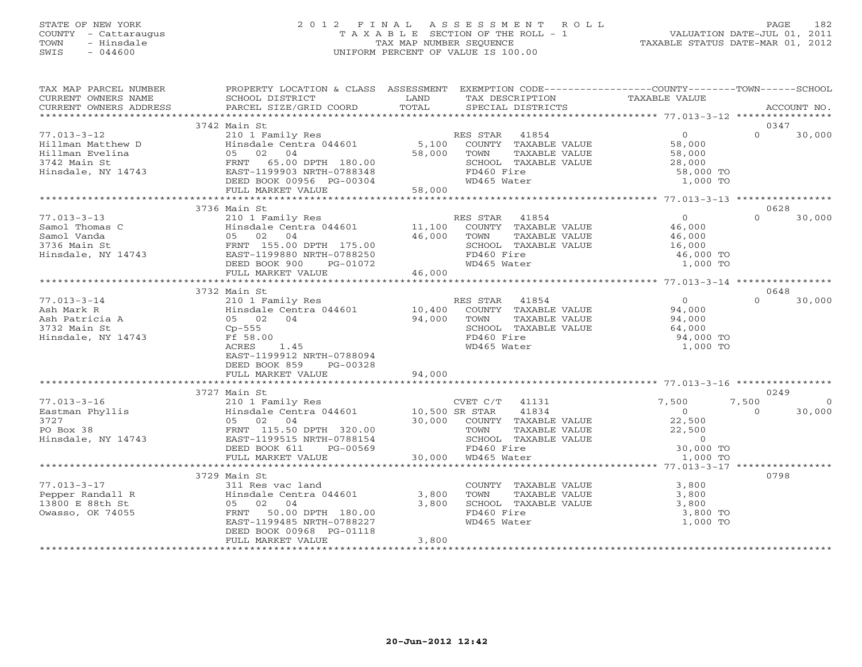# STATE OF NEW YORK 2 0 1 2 F I N A L A S S E S S M E N T R O L L PAGE 182 COUNTY - Cattaraugus T A X A B L E SECTION OF THE ROLL - 1 VALUATION DATE-JUL 01, 2011 TOWN - Hinsdale TAX MAP NUMBER SEQUENCE TAXABLE STATUS DATE-MAR 01, 2012 SWIS - 044600 UNIFORM PERCENT OF VALUE IS 100.00UNIFORM PERCENT OF VALUE IS 100.00

| TAX MAP PARCEL NUMBER                                               | PROPERTY LOCATION & CLASS ASSESSMENT                                                                        |                      |                                       |               | EXEMPTION CODE-----------------COUNTY-------TOWN------SCHOOL               |          |             |
|---------------------------------------------------------------------|-------------------------------------------------------------------------------------------------------------|----------------------|---------------------------------------|---------------|----------------------------------------------------------------------------|----------|-------------|
| CURRENT OWNERS NAME                                                 | SCHOOL DISTRICT                                                                                             | LAND<br>TOTAL        | TAX DESCRIPTION                       |               | TAXABLE VALUE                                                              |          | ACCOUNT NO. |
| CURRENT OWNERS ADDRESS                                              | PARCEL SIZE/GRID COORD                                                                                      |                      | SPECIAL DISTRICTS                     |               |                                                                            |          |             |
|                                                                     | 3742 Main St                                                                                                |                      |                                       |               |                                                                            |          | 0347        |
| $77.013 - 3 - 12$                                                   |                                                                                                             |                      | RES STAR 41854                        |               | $\overline{0}$                                                             | $\Omega$ | 30,000      |
| Hillman Matthew D                                                   | 210 1 Family Res<br>Hinsdale Centra 044601                                                                  | $5,100$ <sup>R</sup> | ES STAR 41854<br>COUNTY TAXABLE VALUE |               | 58,000                                                                     |          |             |
| Hillman Evelina                                                     | 05 02 04                                                                                                    | 58,000               | TOWN                                  | TAXABLE VALUE |                                                                            |          |             |
| 3742 Main St                                                        | FRNT 65.00 DPTH 180.00                                                                                      |                      | SCHOOL TAXABLE VALUE                  |               | $58,000$<br>28,000                                                         |          |             |
| Hinsdale, NY 14743                                                  |                                                                                                             |                      | FD460 Fire                            |               | 58,000 TO                                                                  |          |             |
|                                                                     |                                                                                                             |                      | WD465 Water                           |               | 1,000 TO                                                                   |          |             |
|                                                                     | FRNT 65.00 DPTH 180.00<br>EAST-1199903 NRTH-0788348<br>DEED BOOK 00956 PG-00304<br>FULL MARKET VALUE 58,000 |                      |                                       |               |                                                                            |          |             |
|                                                                     |                                                                                                             |                      |                                       |               |                                                                            |          |             |
|                                                                     | 3736 Main St                                                                                                |                      |                                       |               |                                                                            |          | 0628        |
| $77.013 - 3 - 13$                                                   | 210 1 Family Res                                                                                            |                      | RES STAR 41854                        |               | $\overline{0}$                                                             | $\Omega$ | 30,000      |
| Samol Thomas C                                                      |                                                                                                             | 11,100               |                                       |               |                                                                            |          |             |
|                                                                     | Hinsdale Centra 044601<br>05 02 04                                                                          |                      | TOWN                                  | TAXABLE VALUE | 46,000<br>46,000                                                           |          |             |
| Samol Thomas C<br>Samol Vanda<br>3736 Main St<br>Hinsdale, NY 14743 | Hinsual<br>05 02 04<br>FRNT 155.00 DPTH 175.00<br>PAST-1199880 NRTH-0788250<br>200 1072                     |                      | SCHOOL TAXABLE VALUE                  |               | 16,000                                                                     |          |             |
|                                                                     |                                                                                                             |                      | FD460 Fire                            |               | 46,000 TO                                                                  |          |             |
|                                                                     |                                                                                                             |                      | WD465 Water                           |               | 1,000 TO                                                                   |          |             |
|                                                                     | FULL MARKET VALUE                                                                                           | 46,000               |                                       |               |                                                                            |          |             |
|                                                                     |                                                                                                             |                      |                                       |               |                                                                            |          |             |
|                                                                     | 3732 Main St                                                                                                |                      |                                       |               |                                                                            |          | 0648        |
| $77.013 - 3 - 14$                                                   | 210 1 Family Res                                                                                            |                      | RES STAR 41854                        |               | $\overline{0}$                                                             | $\Omega$ | 30,000      |
|                                                                     | Hinsdale Centra 044601 10,400                                                                               |                      |                                       |               | ES STAR 41854<br>COUNTY TAXABLE VALUE 94,000<br>TOUNT TAXARLE VALUE 94,000 |          |             |
| Ash Mark R<br>Ash Patricia A                                        | 05 02 04                                                                                                    | 94,000               |                                       |               |                                                                            |          |             |
| 3732 Main St                                                        | $Cp-555$                                                                                                    |                      | SCHOOL TAXABLE VALUE                  |               | 64,000                                                                     |          |             |
| Hinsdale, NY 14743                                                  | Ff 58.00                                                                                                    |                      | FD460 Fire                            |               | 94,000 TO                                                                  |          |             |
|                                                                     | 1.45<br>ACRES                                                                                               |                      | WD465 Water                           |               | 1,000 TO                                                                   |          |             |
|                                                                     | EAST-1199912 NRTH-0788094                                                                                   |                      |                                       |               |                                                                            |          |             |
|                                                                     | DEED BOOK 859<br>PG-00328                                                                                   |                      |                                       |               |                                                                            |          |             |
|                                                                     | FULL MARKET VALUE                                                                                           | 94,000               |                                       |               |                                                                            |          |             |
|                                                                     |                                                                                                             |                      |                                       |               |                                                                            |          |             |
|                                                                     | 3727 Main St                                                                                                |                      |                                       |               |                                                                            |          | 0249        |
| $77.013 - 3 - 16$                                                   | 210 1 Family Res                                                                                            |                      | CVET C/T 41131                        |               | 7,500                                                                      | 7,500    | $\Omega$    |
| Eastman Phyllis                                                     | Hinsdale Centra 044601 10,500 SR STAR                                                                       |                      |                                       | 41834         | $\overline{0}$                                                             | $\Omega$ | 30,000      |
| 3727                                                                | 05 02 04                                                                                                    |                      | 30,000 COUNTY TAXABLE VALUE           |               | 22,500                                                                     |          |             |
| PO Box 38                                                           | FRNT 115.50 DPTH 320.00                                                                                     |                      | TOWN                                  | TAXABLE VALUE | 22,500                                                                     |          |             |
| Hinsdale, NY 14743                                                  | EAST-1199515 NRTH-0788154                                                                                   |                      | SCHOOL TAXABLE VALUE                  |               | VALUE<br>VALUE 30,000 TO<br>1.000 TO                                       |          |             |
|                                                                     | DEED BOOK 611<br>PG-00569                                                                                   | 30,000               | FD460 Fire                            |               |                                                                            |          |             |
|                                                                     | FULL MARKET VALUE                                                                                           |                      | WD465 Water                           |               | 1,000 TO                                                                   |          |             |
|                                                                     |                                                                                                             |                      |                                       |               |                                                                            |          |             |
|                                                                     | 3729 Main St                                                                                                |                      |                                       |               |                                                                            | 0798     |             |
| $77.013 - 3 - 17$                                                   | 311 Res vac land<br>Hinsdale Centra 044601                                                                  |                      | COUNTY TAXABLE VALUE                  |               | 3,800                                                                      |          |             |
| Pepper Randall R                                                    |                                                                                                             | 3,800                | TOWN                                  | TAXABLE VALUE | 3,800                                                                      |          |             |
| 13800 E 88th St                                                     | 05 02 04                                                                                                    | 3,800                | SCHOOL TAXABLE VALUE                  |               | 3,800                                                                      |          |             |
| Owasso, OK 74055                                                    | FRNT<br>50.00 DPTH 180.00                                                                                   |                      | FD460 Fire                            |               | 3,800 TO                                                                   |          |             |
|                                                                     | EAST-1199485 NRTH-0788227                                                                                   |                      | WD465 Water                           |               | 1,000 TO                                                                   |          |             |
|                                                                     | DEED BOOK 00968 PG-01118                                                                                    |                      |                                       |               |                                                                            |          |             |
|                                                                     | FULL MARKET VALUE                                                                                           | 3,800                |                                       |               |                                                                            |          |             |
|                                                                     |                                                                                                             |                      |                                       |               |                                                                            |          |             |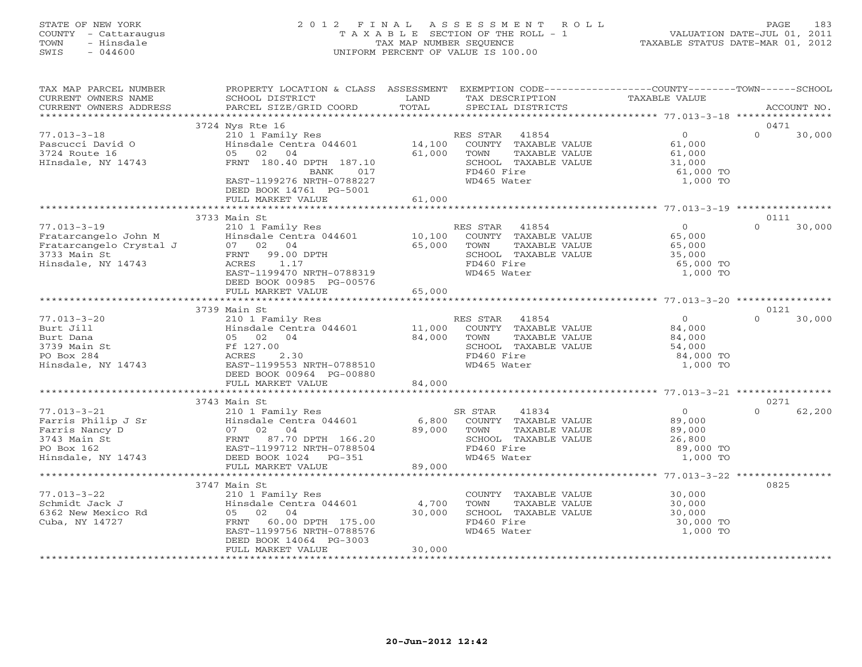# STATE OF NEW YORK 2 0 1 2 F I N A L A S S E S S M E N T R O L L PAGE 183 COUNTY - Cattaraugus T A X A B L E SECTION OF THE ROLL - 1 VALUATION DATE-JUL 01, 2011 TOWN - Hinsdale TAX MAP NUMBER SEQUENCE TAXABLE STATUS DATE-MAR 01, 2012 SWIS - 044600 UNIFORM PERCENT OF VALUE IS 100.00UNIFORM PERCENT OF VALUE IS 100.00

| TAX MAP PARCEL NUMBER<br>CURRENT OWNERS NAME<br>CURRENT OWNERS ADDRESS                                                                                                                                                                                                                                                                                                    | PROPERTY LOCATION & CLASS ASSESSMENT EXEMPTION CODE----------------COUNTY-------TOWN------SCHOOL<br>SCHOOL DISTRICT<br>PARCEL SIZE/GRID COORD                                                                                                                                                                                | <b>EXAMPLE SETTING STATE</b><br>TOTAL |                                                           | TAX DESCRIPTION TAXABLE VALUE SPECIAL DISTRICTS                                     |                                                        | ACCOUNT NO.    |
|---------------------------------------------------------------------------------------------------------------------------------------------------------------------------------------------------------------------------------------------------------------------------------------------------------------------------------------------------------------------------|------------------------------------------------------------------------------------------------------------------------------------------------------------------------------------------------------------------------------------------------------------------------------------------------------------------------------|---------------------------------------|-----------------------------------------------------------|-------------------------------------------------------------------------------------|--------------------------------------------------------|----------------|
|                                                                                                                                                                                                                                                                                                                                                                           |                                                                                                                                                                                                                                                                                                                              |                                       |                                                           |                                                                                     |                                                        |                |
|                                                                                                                                                                                                                                                                                                                                                                           | 3724 Nys Rte 16                                                                                                                                                                                                                                                                                                              |                                       |                                                           |                                                                                     |                                                        | 0471           |
| $77.013 - 3 - 18$<br>Pascucci David O<br>3724 Route 16<br>HInsdale, NY 14743                                                                                                                                                                                                                                                                                              | 210 1 Family Res<br>210 1 Family Res<br>Hinsdale Centra 044601 14,100 COUNTY TAXABLE VALUE<br>05 02 04<br>FRNT 180.40 DPTH 187.10<br>BANK 017<br>EAST-1199276 NRTH-0788227<br>DEED BOOK 14761 PG-5001                                                                                                                        | 61,000                                | TOWN<br>SCHOOL TAXABLE VALUE<br>FD460 Fire<br>WD465 Water | $0$<br>$61,000$<br>$61,000$<br>$31,000$<br>TAXABLE VALUE                            | $0 \qquad \qquad$<br>$\Omega$<br>61,000 TO<br>1,000 TO | 30,000         |
|                                                                                                                                                                                                                                                                                                                                                                           | FULL MARKET VALUE                                                                                                                                                                                                                                                                                                            | 61,000                                |                                                           |                                                                                     |                                                        |                |
|                                                                                                                                                                                                                                                                                                                                                                           | 3733 Main St                                                                                                                                                                                                                                                                                                                 |                                       |                                                           |                                                                                     |                                                        | 0111           |
| $77.013 - 3 - 19$<br>The Carterian Community of Trains of Trains of Trains and Trains and Trains of Trains and Trains of Trains and Trains and Trains and Trains and Trains and Trains and Trains and Trains and Trains and Trains and Trains and T<br>Hinsdale, NY 14743                                                                                                 | mail Strait of the RES STAR 41854 0<br>210 1 Family Res 10.100 COUNTY TAXABLE VALUE 65,000<br>07 02 04 65,000 TOWN TAXABLE VALUE 65,000<br>FRNT 99.00 DPTH 65,000 SCHOOL TAXABLE VALUE 35,000<br>ACRES 1.17 10000000000000000000000000<br>EAST-1199470 NRTH-0788319<br>DEED BOOK 00985 PG-00576<br>FIILL MARKET VALUE 65,000 |                                       | WD465 Water                                               | SCHOOL TAXABLE VALUE 35,000<br>FD460 Fire 65,000 TO                                 | $\Omega$<br>1,000 TO                                   | 30,000         |
|                                                                                                                                                                                                                                                                                                                                                                           |                                                                                                                                                                                                                                                                                                                              |                                       |                                                           |                                                                                     |                                                        |                |
|                                                                                                                                                                                                                                                                                                                                                                           |                                                                                                                                                                                                                                                                                                                              |                                       |                                                           |                                                                                     |                                                        |                |
| $77.013 - 3 - 20$<br>Put Jill<br>Burt Dana<br>Burt Dana<br>3739 Main St<br>PO Box 284<br>Hinsdale, NY 14743<br>EAST-11995                                                                                                                                                                                                                                                 | 3739 Main St<br>EIVITEERS RES STAR 41854<br>Hinsdale Centra 044601 11,000 COUNTY TAXABLE VALUE<br>05 02 04 84,000 TOWN TAXABLE VALUE<br>FI 12.00 SCHOOL TAXABLE VALUE<br>ACRES 2.30 EAST-1199553 NRTH-0700510<br>EAST-1199553 NRTH-0788510<br>DEED BOOK 00964 PG-00880                                                       |                                       | WD465 Water                                               | $\begin{array}{c} 0 \\ 84,000 \end{array}$<br>TAXABLE VALUE<br>$84,000$<br>$54,000$ | $\Omega$<br>84,000 TO<br>1,000 TO                      | 0121<br>30,000 |
|                                                                                                                                                                                                                                                                                                                                                                           | FULL MARKET VALUE                                                                                                                                                                                                                                                                                                            | 84,000                                |                                                           |                                                                                     |                                                        |                |
|                                                                                                                                                                                                                                                                                                                                                                           |                                                                                                                                                                                                                                                                                                                              |                                       |                                                           |                                                                                     |                                                        |                |
|                                                                                                                                                                                                                                                                                                                                                                           |                                                                                                                                                                                                                                                                                                                              |                                       |                                                           |                                                                                     |                                                        | 0271           |
| 77.013-3-21<br>Farris Philip J Sr $\begin{array}{l} 21011 \text{ Family Res} \\ \text{Farris} \\ \text{Farris} \\ 3743 \text{ Main} \\ 1834 \\ \text{Farris} \\ 1834 \\ \text{Farris} \\ 1834 \\ \text{Farris} \\ 1834 \\ \text{Farris} \\ 1834 \\ 1834 \\ \text{Farris} \\ 1834 \\ 1834 \\ 1834 \\ 1834 \\ 1834 \\ 1834 \\ 1834 \\ 1834 \\ 1834 \\ 1834 \\ 1834 \\ 1834$ |                                                                                                                                                                                                                                                                                                                              |                                       | SCHOOL TAXABLE VALUE                                      | 89,000<br>89,000<br>26,800                                                          | $\overline{0}$<br>$\Omega$<br>89,000 TO<br>1,000 TO    | 62,200         |
|                                                                                                                                                                                                                                                                                                                                                                           |                                                                                                                                                                                                                                                                                                                              |                                       |                                                           |                                                                                     |                                                        |                |
| $77.013 - 3 - 22$<br>77.013-3-22<br>Schmidt Jack J<br>6362 New Mexico Rd<br>Cuba, NY 14727                                                                                                                                                                                                                                                                                | 3747 Main St<br>210 1 Family Res<br>Hinsdale Centra 044601<br>05 02 04<br>FRNT 60.00 DPTH 175.00<br>EAST-1199756 NRTH-0788576<br>DEED BOOK 14064 PG-3003                                                                                                                                                                     | 4,700<br>30,000                       | TOWN<br>SCHOOL TAXABLE VALUE<br>FD460 Fire<br>WD465 Water | COUNTY TAXABLE VALUE 30,000<br>$30,000$<br>$30,000$<br>TAXABLE VALUE                | 30,000 TO<br>1,000 TO                                  | 0825           |
|                                                                                                                                                                                                                                                                                                                                                                           | FULL MARKET VALUE                                                                                                                                                                                                                                                                                                            | 30,000                                |                                                           |                                                                                     |                                                        |                |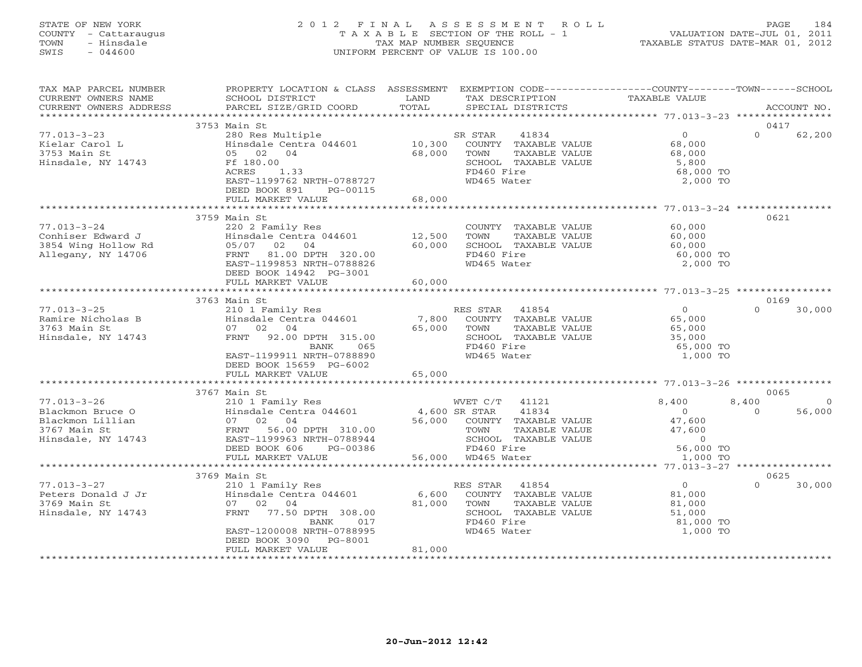# STATE OF NEW YORK 2 0 1 2 F I N A L A S S E S S M E N T R O L L PAGE 184 COUNTY - Cattaraugus T A X A B L E SECTION OF THE ROLL - 1 VALUATION DATE-JUL 01, 2011 TOWN - Hinsdale TAX MAP NUMBER SEQUENCE TAXABLE STATUS DATE-MAR 01, 2012 SWIS - 044600 UNIFORM PERCENT OF VALUE IS 100.00UNIFORM PERCENT OF VALUE IS 100.00

| TAX MAP PARCEL NUMBER<br>CURRENT OWNERS NAME<br>CURRENT OWNERS ADDRESS                          | PROPERTY LOCATION & CLASS ASSESSMENT<br>SCHOOL DISTRICT<br>and the state of the LAND<br>PARCEL SIZE/GRID COORD                                                                      | TOTAL                      | EXEMPTION CODE-----------------COUNTY-------TOWN------SCHOOL<br>TAX DESCRIPTION<br>SPECIAL DISTRICTS                     | TAXABLE VALUE                                                        | ACCOUNT NO.                            |
|-------------------------------------------------------------------------------------------------|-------------------------------------------------------------------------------------------------------------------------------------------------------------------------------------|----------------------------|--------------------------------------------------------------------------------------------------------------------------|----------------------------------------------------------------------|----------------------------------------|
|                                                                                                 |                                                                                                                                                                                     |                            |                                                                                                                          |                                                                      |                                        |
| $77.013 - 3 - 23$<br>Kielar Carol L<br>3753 Main St<br>Hinsdale, NY 14743                       | 3753 Main St<br>280 Res Multiple<br>Hinsdale Centra 044601<br>05 02 04<br>Ff 180.00<br>ACRES<br>1.33<br>EAST-1199762 NRTH-0788727<br>DEED BOOK 891<br>PG-00115<br>FULL MARKET VALUE | 10,300<br>68,000<br>68,000 | SR STAR<br>41834<br>COUNTY TAXABLE VALUE<br>TAXABLE VALUE<br>TOWN<br>SCHOOL TAXABLE VALUE<br>FD460 Fire<br>WD465 Water   | $\overline{0}$<br>68,000<br>68,000<br>5,800<br>68,000 TO<br>2,000 TO | 0417<br>$\Omega$<br>62,200             |
|                                                                                                 |                                                                                                                                                                                     |                            |                                                                                                                          |                                                                      |                                        |
| $77.013 - 3 - 24$<br>Conhiser Edward J<br>3854 Wing Hollow Rd<br>Allegany, NY 14706             | 3759 Main St<br>220 2 Family Res<br>Hinsdale Centra 044601 12,500<br>05/07 02 04<br>FRNT 81.00 DPTH 320.00<br>EAST-1199853 NRTH-0788826<br>DEED BOOK 14942 PG-3001                  | 60,000                     | COUNTY TAXABLE VALUE<br>TAXABLE VALUE<br>TOWN<br>SCHOOL TAXABLE VALUE<br>FD460 Fire<br>WD465 Water                       | 60,000<br>60,000<br>60,000<br>60,000 TO<br>2,000 TO                  | 0621                                   |
|                                                                                                 | FULL MARKET VALUE                                                                                                                                                                   | 60,000                     |                                                                                                                          |                                                                      |                                        |
|                                                                                                 | 3763 Main St                                                                                                                                                                        |                            |                                                                                                                          |                                                                      | 0169                                   |
| $77.013 - 3 - 25$<br>Ramire Nicholas B<br>3763 Main St<br>Hinsdale, NY 14743                    | 210 1 Family Res<br>Hinsdale Centra 044601<br>07 02 04<br>FRNT 92.00 DPTH 315.00<br>BANK<br>065<br>EAST-1199911 NRTH-0788890<br>DEED BOOK 15659 PG-6002                             | 7,800<br>65,000            | RES STAR<br>41854<br>COUNTY TAXABLE VALUE<br>TAXABLE VALUE<br>TOWN<br>SCHOOL TAXABLE VALUE<br>FD460 Fire<br>WD465 Water  | $\Omega$<br>65,000<br>65,000<br>35,000<br>65,000 TO<br>1,000 TO      | $\cap$<br>30,000                       |
|                                                                                                 | FULL MARKET VALUE                                                                                                                                                                   | 65,000                     |                                                                                                                          |                                                                      |                                        |
|                                                                                                 | 3767 Main St                                                                                                                                                                        |                            |                                                                                                                          |                                                                      | 0065                                   |
| $77.013 - 3 - 26$<br>Blackmon Bruce O<br>Blackmon Lillian<br>3767 Main St<br>Hinsdale, NY 14743 | 210 1 Family Res<br>Hinsdale Centra 044601 4,600 SR STAR<br>07 02 04<br>56.00 DPTH 310.00<br>FRNT<br>EAST-1199963 NRTH-0788944<br>DEED BOOK 606<br>PG-00386                         |                            | WVET C/T<br>41121<br>41834<br>56,000 COUNTY TAXABLE VALUE<br>TOWN<br>TAXABLE VALUE<br>SCHOOL TAXABLE VALUE<br>FD460 Fire | 8,400<br>$\overline{O}$<br>47,600<br>47,600<br>$\sim$ 0<br>56,000 TO | 8,400<br>$\circ$<br>$\Omega$<br>56,000 |
|                                                                                                 | FULL MARKET VALUE<br>**************************                                                                                                                                     |                            | 56,000 WD465 Water                                                                                                       | 1,000 TO                                                             |                                        |
|                                                                                                 | 3769 Main St                                                                                                                                                                        |                            |                                                                                                                          |                                                                      | 0625                                   |
| $77.013 - 3 - 27$<br>Peters Donald J Jr<br>3769 Main St<br>Hinsdale, NY 14743                   | 210 1 Family Res<br>Hinsdale Centra 044601<br>07 02 04<br>FRNT 77.50 DPTH 308.00<br>BANK<br>017<br>EAST-1200008 NRTH-0788995<br>DEED BOOK 3090 PG-8001                              | 6,600<br>81,000            | RES STAR<br>41854<br>COUNTY TAXABLE VALUE<br>TOWN<br>TAXABLE VALUE<br>SCHOOL TAXABLE VALUE<br>FD460 Fire<br>WD465 Water  | $\Omega$<br>81,000<br>81,000<br>51,000<br>81,000 TO<br>1,000 TO      | $\Omega$<br>30,000                     |
|                                                                                                 | FULL MARKET VALUE                                                                                                                                                                   | 81,000                     |                                                                                                                          |                                                                      |                                        |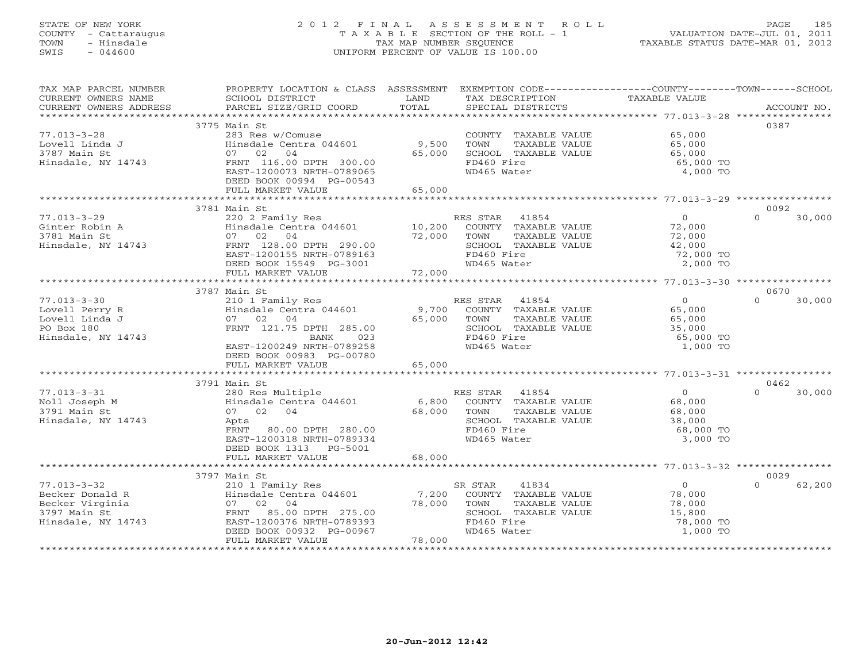# STATE OF NEW YORK 2 0 1 2 F I N A L A S S E S S M E N T R O L L PAGE 185 COUNTY - Cattaraugus T A X A B L E SECTION OF THE ROLL - 1 VALUATION DATE-JUL 01, 2011 TOWN - Hinsdale TAX MAP NUMBER SEQUENCE TAXABLE STATUS DATE-MAR 01, 2012 SWIS - 044600 UNIFORM PERCENT OF VALUE IS 100.00UNIFORM PERCENT OF VALUE IS 100.00

| TAX MAP PARCEL NUMBER                                                                                                                                                                                                                                                                                                                                                                                                                                                                                                  | PROPERTY LOCATION & CLASS ASSESSMENT EXEMPTION CODE----------------COUNTY-------TOWN------SCHOOL                                                      |             |                            |                  |                    |
|------------------------------------------------------------------------------------------------------------------------------------------------------------------------------------------------------------------------------------------------------------------------------------------------------------------------------------------------------------------------------------------------------------------------------------------------------------------------------------------------------------------------|-------------------------------------------------------------------------------------------------------------------------------------------------------|-------------|----------------------------|------------------|--------------------|
| CURRENT OWNERS NAME                                                                                                                                                                                                                                                                                                                                                                                                                                                                                                    | SCHOOL DISTRICT                                                                                                                                       | LAND        | TAX DESCRIPTION            | TAXABLE VALUE    |                    |
| $\begin{minipage}{.45\textwidth} \begin{minipage}{.45\textwidth} \begin{minipage}{.45\textwidth} \begin{minipage}{.45\textwidth} \begin{minipage}{.45\textwidth} \begin{minipage}{.45\textwidth} \begin{minipage}{.45\textwidth} \begin{minipage}{.45\textwidth} \begin{minipage}{.45\textwidth} \begin{minipage}{.45\textwidth} \begin{minipage}{.45\textwidth} \begin{minipage}{.45\textwidth} \begin{minipage}{.45\textwidth} \begin{minipage}{.45\textwidth} \begin{minipage}{.45\textwidth} \begin{minipage}{.45$ |                                                                                                                                                       |             |                            |                  |                    |
|                                                                                                                                                                                                                                                                                                                                                                                                                                                                                                                        |                                                                                                                                                       |             |                            |                  |                    |
|                                                                                                                                                                                                                                                                                                                                                                                                                                                                                                                        | 3775 Main St                                                                                                                                          |             |                            |                  | 0387               |
| $77.013 - 3 - 28$                                                                                                                                                                                                                                                                                                                                                                                                                                                                                                      | 283 Res w/Comuse                                                                                                                                      |             | COUNTY TAXABLE VALUE       | 65,000<br>65,000 |                    |
| Lovell Linda J                                                                                                                                                                                                                                                                                                                                                                                                                                                                                                         | Hinsdale Centra 044601 9,500 TOWN                                                                                                                     |             | TAXABLE VALUE              |                  |                    |
| 3787 Main St                                                                                                                                                                                                                                                                                                                                                                                                                                                                                                           | 07 02 04                                                                                                                                              | 65,000      | SCHOOL TAXABLE VALUE       | 65,000           |                    |
| Hinsdale, NY 14743                                                                                                                                                                                                                                                                                                                                                                                                                                                                                                     | FRNT 116.00 DPTH 300.00                                                                                                                               |             | FD460 Fire<br>WD465 Water  | 65,000 TO        |                    |
|                                                                                                                                                                                                                                                                                                                                                                                                                                                                                                                        | EAST-1200073 NRTH-0789065<br>DEED BOOK 00994 PG-00543                                                                                                 |             |                            | 4,000 TO         |                    |
|                                                                                                                                                                                                                                                                                                                                                                                                                                                                                                                        | FULL MARKET VALUE                                                                                                                                     | 65,000      |                            |                  |                    |
|                                                                                                                                                                                                                                                                                                                                                                                                                                                                                                                        |                                                                                                                                                       |             |                            |                  |                    |
|                                                                                                                                                                                                                                                                                                                                                                                                                                                                                                                        | 3781 Main St                                                                                                                                          |             |                            |                  | 0092               |
| $77.013 - 3 - 29$                                                                                                                                                                                                                                                                                                                                                                                                                                                                                                      | Main Strainly Res<br>220 2 Family Res<br>Hinsdale Centra 044601 10,200 COUNTY TAXABLE VALUE<br>22,000 TOWN TAXABLE VALUE<br>22,000 TOWN TAXABLE VALUE |             |                            | $\overline{O}$   | $\Omega$<br>30,000 |
| Ginter Robin A                                                                                                                                                                                                                                                                                                                                                                                                                                                                                                         |                                                                                                                                                       |             |                            | 72,000           |                    |
| 3781 Main St                                                                                                                                                                                                                                                                                                                                                                                                                                                                                                           |                                                                                                                                                       |             |                            | 72,000           |                    |
| Hinsdale, NY 14743                                                                                                                                                                                                                                                                                                                                                                                                                                                                                                     | FRNT 128.00 DPTH 290.00                                                                                                                               |             | SCHOOL TAXABLE VALUE       | 42,000           |                    |
|                                                                                                                                                                                                                                                                                                                                                                                                                                                                                                                        | EAST-1200155 NRTH-0789163                                                                                                                             |             | FD460 Fire                 | 72,000 TO        |                    |
|                                                                                                                                                                                                                                                                                                                                                                                                                                                                                                                        | DEED BOOK 15549 PG-3001                                                                                                                               |             | WD465 Water                | 2,000 TO         |                    |
|                                                                                                                                                                                                                                                                                                                                                                                                                                                                                                                        | FULL MARKET VALUE                                                                                                                                     | 72,000      |                            |                  |                    |
|                                                                                                                                                                                                                                                                                                                                                                                                                                                                                                                        |                                                                                                                                                       |             |                            |                  |                    |
|                                                                                                                                                                                                                                                                                                                                                                                                                                                                                                                        | 3787 Main St                                                                                                                                          |             |                            |                  | 0670               |
| $77.013 - 3 - 30$                                                                                                                                                                                                                                                                                                                                                                                                                                                                                                      | 210 1 Family Res                                                                                                                                      |             | RES STAR 41854             | $\overline{0}$   | $\Omega$<br>30,000 |
| Lovell Perry R                                                                                                                                                                                                                                                                                                                                                                                                                                                                                                         | Hinsdale Centra 044601                                                                                                                                |             | 9,700 COUNTY TAXABLE VALUE | 65,000<br>65,000 |                    |
| Lovell Linda J                                                                                                                                                                                                                                                                                                                                                                                                                                                                                                         | 07 02 04                                                                                                                                              | 65,000      | TOWN<br>TAXABLE VALUE      |                  |                    |
| PO Box 180                                                                                                                                                                                                                                                                                                                                                                                                                                                                                                             | FRNT 121.75 DPTH 285.00                                                                                                                               |             | SCHOOL TAXABLE VALUE       | 35,000           |                    |
| Hinsdale, NY 14743                                                                                                                                                                                                                                                                                                                                                                                                                                                                                                     | BANK<br>023                                                                                                                                           |             | FD460 Fire                 | 65,000 TO        |                    |
|                                                                                                                                                                                                                                                                                                                                                                                                                                                                                                                        | EAST-1200249 NRTH-0789258                                                                                                                             |             | WD465 Water                | 1,000 TO         |                    |
|                                                                                                                                                                                                                                                                                                                                                                                                                                                                                                                        | DEED BOOK 00983 PG-00780                                                                                                                              |             |                            |                  |                    |
|                                                                                                                                                                                                                                                                                                                                                                                                                                                                                                                        | FULL MARKET VALUE                                                                                                                                     | 65,000      |                            |                  |                    |
|                                                                                                                                                                                                                                                                                                                                                                                                                                                                                                                        | 3791 Main St                                                                                                                                          |             |                            |                  | 0462               |
| $77.013 - 3 - 31$                                                                                                                                                                                                                                                                                                                                                                                                                                                                                                      |                                                                                                                                                       |             |                            | $\overline{0}$   | $\Omega$<br>30,000 |
| Noll Joseph M                                                                                                                                                                                                                                                                                                                                                                                                                                                                                                          |                                                                                                                                                       |             |                            | 68,000           |                    |
| 3791 Main St                                                                                                                                                                                                                                                                                                                                                                                                                                                                                                           | 07 02 04                                                                                                                                              | 68,000 TOWN | TAXABLE VALUE              | 68,000           |                    |
| Hinsdale, NY 14743                                                                                                                                                                                                                                                                                                                                                                                                                                                                                                     | Apts                                                                                                                                                  |             | SCHOOL TAXABLE VALUE       | 38,000           |                    |
|                                                                                                                                                                                                                                                                                                                                                                                                                                                                                                                        | 80.00 DPTH 280.00<br>FRNT                                                                                                                             |             | FD460 Fire                 | 68,000 TO        |                    |
|                                                                                                                                                                                                                                                                                                                                                                                                                                                                                                                        | EAST-1200318 NRTH-0789334                                                                                                                             |             | WD465 Water                | 3,000 TO         |                    |
|                                                                                                                                                                                                                                                                                                                                                                                                                                                                                                                        | DEED BOOK 1313 PG-5001                                                                                                                                |             |                            |                  |                    |
|                                                                                                                                                                                                                                                                                                                                                                                                                                                                                                                        | FULL MARKET VALUE                                                                                                                                     | 68,000      |                            |                  |                    |
|                                                                                                                                                                                                                                                                                                                                                                                                                                                                                                                        |                                                                                                                                                       |             |                            |                  |                    |
|                                                                                                                                                                                                                                                                                                                                                                                                                                                                                                                        | 3797 Main St                                                                                                                                          |             |                            |                  | 0029               |
| $77.013 - 3 - 32$                                                                                                                                                                                                                                                                                                                                                                                                                                                                                                      |                                                                                                                                                       |             | SR STAR<br>41834           | $\overline{0}$   | 62,200<br>$\Omega$ |
| Becker Donald R                                                                                                                                                                                                                                                                                                                                                                                                                                                                                                        | 210 1 Family Res<br>Hinsdale Centra 044601 7,200                                                                                                      |             | COUNTY TAXABLE VALUE       | 78,000           |                    |
| Becker Virginia                                                                                                                                                                                                                                                                                                                                                                                                                                                                                                        | 07 02 04                                                                                                                                              | 78,000      | TOWN<br>TAXABLE VALUE      | 78,000           |                    |
| 3797 Main St                                                                                                                                                                                                                                                                                                                                                                                                                                                                                                           | FRNT 85.00 DPTH 275.00                                                                                                                                |             | SCHOOL TAXABLE VALUE       | 15,800           |                    |
| Hinsdale, NY 14743                                                                                                                                                                                                                                                                                                                                                                                                                                                                                                     | EAST-1200376 NRTH-0789393                                                                                                                             |             | FD460 Fire                 | 78,000 TO        |                    |
|                                                                                                                                                                                                                                                                                                                                                                                                                                                                                                                        | DEED BOOK 00932 PG-00967<br>FULL MARKET VALUE                                                                                                         | 78,000      | WD465 Water                | 1,000 TO         |                    |
|                                                                                                                                                                                                                                                                                                                                                                                                                                                                                                                        | ************************                                                                                                                              |             |                            |                  |                    |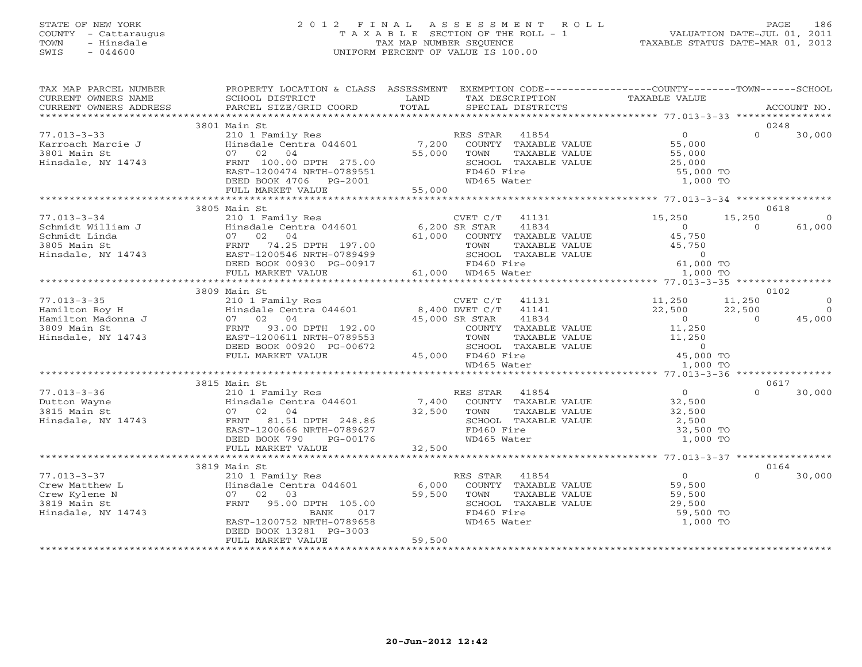# STATE OF NEW YORK 2 0 1 2 F I N A L A S S E S S M E N T R O L L PAGE 186 COUNTY - Cattaraugus T A X A B L E SECTION OF THE ROLL - 1 VALUATION DATE-JUL 01, 2011 TOWN - Hinsdale TAX MAP NUMBER SEQUENCE TAXABLE STATUS DATE-MAR 01, 2012 SWIS - 044600 UNIFORM PERCENT OF VALUE IS 100.00UNIFORM PERCENT OF VALUE IS 100.00

| TAX MAP PARCEL NUMBER<br>CURRENT OWNERS NAME                                                                                                                                                                                       | PROPERTY LOCATION & CLASS ASSESSMENT<br>SCHOOL DISTRICT                                                                                                                                                                                                     | LAND                     | TAX DESCRIPTION                                                            | EXEMPTION CODE----------------COUNTY-------TOWN------SCHOOL<br>TAXABLE VALUE      |                |                |
|------------------------------------------------------------------------------------------------------------------------------------------------------------------------------------------------------------------------------------|-------------------------------------------------------------------------------------------------------------------------------------------------------------------------------------------------------------------------------------------------------------|--------------------------|----------------------------------------------------------------------------|-----------------------------------------------------------------------------------|----------------|----------------|
| CURRENT OWNERS ADDRESS                                                                                                                                                                                                             | PARCEL SIZE/GRID COORD                                                                                                                                                                                                                                      | TOTAL                    | SPECIAL DISTRICTS                                                          |                                                                                   |                | ACCOUNT NO.    |
|                                                                                                                                                                                                                                    | 3801 Main St<br>VALUE 1.55,000<br>Main St<br>210 1 Family Res 144601 7,200 COUNTY TAXABLE VALUE 55,000<br>7,200 COUNTY TAXABLE VALUE 55,000<br>755,000 TOWN TAXABLE VALUE 55,000<br>8CHOOL TAXABLE VALUE 25,000<br>85,000 SCHOOL TAXABLE VALUE 25,000       |                          |                                                                            |                                                                                   |                | 0248           |
| $77.013 - 3 - 33$                                                                                                                                                                                                                  |                                                                                                                                                                                                                                                             |                          |                                                                            |                                                                                   | $\Omega$       | 30,000         |
| Karroach Marcie J                                                                                                                                                                                                                  |                                                                                                                                                                                                                                                             |                          |                                                                            |                                                                                   |                |                |
| 3801 Main St                                                                                                                                                                                                                       |                                                                                                                                                                                                                                                             |                          |                                                                            |                                                                                   |                |                |
| Hinsdale, NY 14743                                                                                                                                                                                                                 |                                                                                                                                                                                                                                                             |                          |                                                                            |                                                                                   |                |                |
|                                                                                                                                                                                                                                    | FRNT 100.00 DPTH 275.00<br>EAST-1200474 NRTH-0789551<br>DEED BOOK 4706 PG-2001                                                                                                                                                                              |                          | FD460 Fire                                                                 | 55,000 TO                                                                         |                |                |
|                                                                                                                                                                                                                                    |                                                                                                                                                                                                                                                             |                          | WD465 Water                                                                | 1,000 TO                                                                          |                |                |
|                                                                                                                                                                                                                                    | FULL MARKET VALUE                                                                                                                                                                                                                                           | 55,000                   |                                                                            |                                                                                   |                |                |
|                                                                                                                                                                                                                                    |                                                                                                                                                                                                                                                             |                          |                                                                            |                                                                                   |                |                |
|                                                                                                                                                                                                                                    | 3805 Main St                                                                                                                                                                                                                                                |                          |                                                                            |                                                                                   |                | 0618           |
| $77.013 - 3 - 34$                                                                                                                                                                                                                  | 210 1 Family Res                                                                                                                                                                                                                                            |                          | CVET $C/T$ 41131                                                           | 15,250                                                                            | 15,250         | $\Omega$       |
|                                                                                                                                                                                                                                    |                                                                                                                                                                                                                                                             |                          |                                                                            | $\overline{0}$                                                                    | $\Omega$       | 61,000         |
| 9.1.000 SR STAR 41834<br>Schmidt Linda (1979) 3805 Main State (1979) 3805 Main State (1979) 3805 Main State (1979) 3805 Main State (1979)<br>Schmidt Linda (1979) 3805 Main State (1979) 3805 Main State (1979) 3805 Main State (1 |                                                                                                                                                                                                                                                             |                          |                                                                            | 45,750                                                                            |                |                |
|                                                                                                                                                                                                                                    |                                                                                                                                                                                                                                                             |                          |                                                                            | 45,750                                                                            |                |                |
|                                                                                                                                                                                                                                    |                                                                                                                                                                                                                                                             |                          |                                                                            | $\Omega$                                                                          |                |                |
|                                                                                                                                                                                                                                    | DEED BOOK 00930 PG-00917                                                                                                                                                                                                                                    |                          |                                                                            | 61,000 TO                                                                         |                |                |
|                                                                                                                                                                                                                                    | FULL MARKET VALUE                                                                                                                                                                                                                                           |                          |                                                                            | 1,000 TO                                                                          |                |                |
|                                                                                                                                                                                                                                    |                                                                                                                                                                                                                                                             |                          |                                                                            |                                                                                   |                |                |
|                                                                                                                                                                                                                                    | 3809 Main St                                                                                                                                                                                                                                                |                          |                                                                            |                                                                                   |                | 0102           |
| $77.013 - 3 - 35$                                                                                                                                                                                                                  |                                                                                                                                                                                                                                                             |                          | $CVET C/T$ 41131                                                           | 11,250                                                                            | 11,250         | $\Omega$       |
| Hamilton Roy H                                                                                                                                                                                                                     | 210 1 Family Res<br>Hinsdale Centra 044601 8,400 DVET C/T 41141                                                                                                                                                                                             |                          |                                                                            | 22,500                                                                            | 22,500         | $\overline{a}$ |
| Hamilton Madonna J                                                                                                                                                                                                                 | 07 02 04                                                                                                                                                                                                                                                    | 45,000 SR STAR<br>COUNTY | 41834                                                                      | $\overline{0}$                                                                    | $\overline{0}$ | 45,000         |
| 3809 Main St                                                                                                                                                                                                                       | FRNT<br>93.00 DPTH 192.00                                                                                                                                                                                                                                   |                          | COUNTY TAXABLE VALUE                                                       | 11,250                                                                            |                |                |
| Hinsdale, NY 14743                                                                                                                                                                                                                 | EAST-1200611 NRTH-0789553                                                                                                                                                                                                                                   |                          | TOWN                                                                       |                                                                                   |                |                |
|                                                                                                                                                                                                                                    | DEED BOOK 00920 PG-00672                                                                                                                                                                                                                                    |                          | SCHOOL TAXABLE VALUE                                                       |                                                                                   |                |                |
|                                                                                                                                                                                                                                    | FULL MARKET VALUE                                                                                                                                                                                                                                           |                          |                                                                            | TAXABLE VALUE $11,250$<br>TAXABLE VALUE $0$<br>ire $45,000$ TO<br>ater $1,000$ TO |                |                |
|                                                                                                                                                                                                                                    |                                                                                                                                                                                                                                                             |                          | $45,000$ FD460 Fire<br>$WD465$ MD465 Water<br>$WD465$ Water<br>WD465 Water |                                                                                   |                |                |
|                                                                                                                                                                                                                                    | 3815 Main St                                                                                                                                                                                                                                                |                          |                                                                            |                                                                                   |                | 0617           |
| $77.013 - 3 - 36$                                                                                                                                                                                                                  | 210 1 Family Res                                                                                                                                                                                                                                            |                          | RES STAR 41854                                                             | $\overline{0}$                                                                    | $\Omega$       | 30,000         |
| Dutton Wayne                                                                                                                                                                                                                       |                                                                                                                                                                                                                                                             |                          |                                                                            | 32,500                                                                            |                |                |
| 3815 Main St                                                                                                                                                                                                                       |                                                                                                                                                                                                                                                             |                          |                                                                            | 32,500                                                                            |                |                |
| Hinsdale, NY 14743                                                                                                                                                                                                                 |                                                                                                                                                                                                                                                             |                          |                                                                            | 2,500                                                                             |                |                |
|                                                                                                                                                                                                                                    |                                                                                                                                                                                                                                                             |                          |                                                                            | 32,500 TO                                                                         |                |                |
|                                                                                                                                                                                                                                    | Frame and the set of the set of the set of the set of the set of the set of the set of the set of the set of the set of the set of the set of the set of the set of the set of the set of the set of the set of the set of the<br>DEED BOOK 790<br>PG-00176 |                          | WD465 Water                                                                | 1,000 TO                                                                          |                |                |
|                                                                                                                                                                                                                                    | FULL MARKET VALUE                                                                                                                                                                                                                                           | 32,500                   |                                                                            |                                                                                   |                |                |
|                                                                                                                                                                                                                                    |                                                                                                                                                                                                                                                             |                          |                                                                            |                                                                                   |                |                |
|                                                                                                                                                                                                                                    | 3819 Main St                                                                                                                                                                                                                                                |                          |                                                                            |                                                                                   |                | 0164           |
| $77.013 - 3 - 37$                                                                                                                                                                                                                  | 210 1 Family Res                                                                                                                                                                                                                                            |                          | RES STAR 41854                                                             |                                                                                   | $\cap$         | 30,000         |
| Crew Matthew L                                                                                                                                                                                                                     | Hinsdale Centra 044601 6,000 COUNTY TAXABLE VALUE                                                                                                                                                                                                           |                          |                                                                            | 0<br>59,500<br>59,500                                                             |                |                |
| Crew Kylene N                                                                                                                                                                                                                      | 07 02 03                                                                                                                                                                                                                                                    | 59,500                   | TOWN<br>TAXABLE VALUE                                                      |                                                                                   |                |                |
| 3819 Main St                                                                                                                                                                                                                       | FRNT 95.00 DPTH 105.00                                                                                                                                                                                                                                      |                          | SCHOOL TAXABLE VALUE                                                       | 29,500                                                                            |                |                |
| Hinsdale, NY 14743                                                                                                                                                                                                                 | BANK<br>017                                                                                                                                                                                                                                                 |                          | FD460 Fire                                                                 | 59,500 TO                                                                         |                |                |
|                                                                                                                                                                                                                                    | EAST-1200752 NRTH-0789658                                                                                                                                                                                                                                   |                          | WD465 Water                                                                | 1,000 TO                                                                          |                |                |
|                                                                                                                                                                                                                                    | DEED BOOK 13281 PG-3003                                                                                                                                                                                                                                     |                          |                                                                            |                                                                                   |                |                |
|                                                                                                                                                                                                                                    | FULL MARKET VALUE                                                                                                                                                                                                                                           | 59,500                   |                                                                            |                                                                                   |                |                |
|                                                                                                                                                                                                                                    |                                                                                                                                                                                                                                                             |                          |                                                                            |                                                                                   |                |                |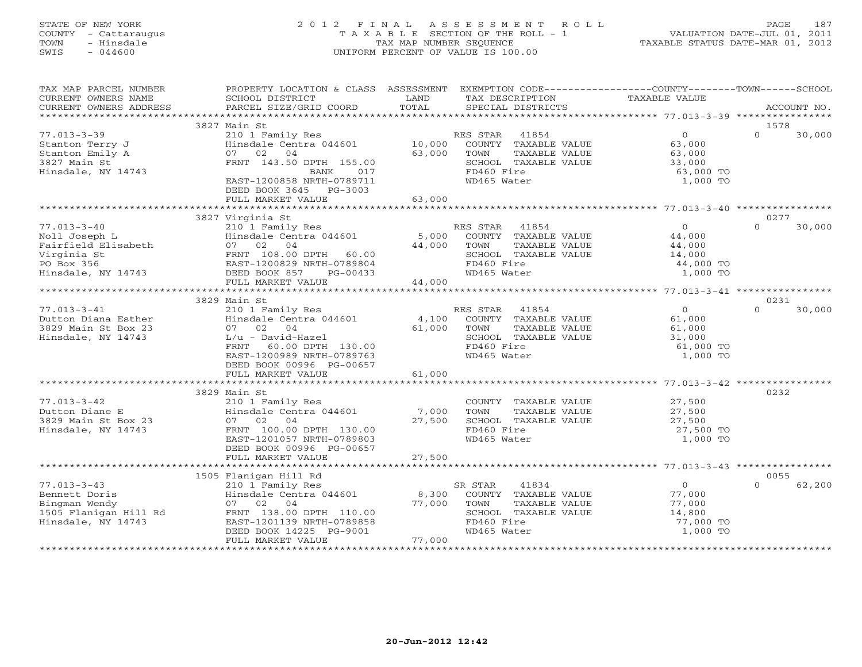# STATE OF NEW YORK 2 0 1 2 F I N A L A S S E S S M E N T R O L L PAGE 187 COUNTY - Cattaraugus T A X A B L E SECTION OF THE ROLL - 1 VALUATION DATE-JUL 01, 2011 TOWN - Hinsdale TAX MAP NUMBER SEQUENCE TAXABLE STATUS DATE-MAR 01, 2012 SWIS - 044600 UNIFORM PERCENT OF VALUE IS 100.00UNIFORM PERCENT OF VALUE IS 100.00

| TAX MAP PARCEL NUMBER<br>CURRENT OWNERS NAME<br>CURRENT OWNERS ADDRESS                                       | PROPERTY LOCATION & CLASS ASSESSMENT EXEMPTION CODE---------------COUNTY-------TOWN------SCHOOL<br>SCHOOL DISTRICT<br>PARCEL SIZE/GRID COORD                                                                   | LAND<br>TOTAL                       | TAX DESCRIPTION<br>SPECIAL DISTRICTS                                                                               | TAXABLE VALUE                                                         | ACCOUNT NO.        |
|--------------------------------------------------------------------------------------------------------------|----------------------------------------------------------------------------------------------------------------------------------------------------------------------------------------------------------------|-------------------------------------|--------------------------------------------------------------------------------------------------------------------|-----------------------------------------------------------------------|--------------------|
|                                                                                                              |                                                                                                                                                                                                                |                                     |                                                                                                                    |                                                                       |                    |
|                                                                                                              | 3827 Main St                                                                                                                                                                                                   |                                     |                                                                                                                    |                                                                       | 1578               |
| $77.013 - 3 - 39$<br>Stanton Terry J<br>Stanton Emily A<br>3827 Main St<br>Hinsdale, NY 14743                | 210 1 Family Res<br>Hinsdale Centra 044601<br>07 02 04<br>FRNT 143.50 DPTH 155.00<br>017<br>BANK<br>EAST-1200858 NRTH-0789711<br>DEED BOOK 3645 PG-3003                                                        | 10,000<br>63,000<br>TOWN            | RES STAR 41854<br>COUNTY TAXABLE VALUE<br>TAXABLE VALUE<br>SCHOOL TAXABLE VALUE<br>FD460 Fire<br>WD465 Water       | $\overline{0}$<br>63,000<br>63,000<br>33,000<br>63,000 TO<br>1,000 TO | $\Omega$<br>30,000 |
|                                                                                                              | FULL MARKET VALUE                                                                                                                                                                                              | 63,000                              |                                                                                                                    |                                                                       |                    |
|                                                                                                              | 3827 Virginia St                                                                                                                                                                                               |                                     |                                                                                                                    |                                                                       | 0277               |
| $77.013 - 3 - 40$<br>Noll Joseph L<br>Fairfield Elisabeth<br>Virginia St<br>PO Box 356<br>Hinsdale, NY 14743 | EXAMPLE THE STAR 41854<br>210 1 Family Res RES STAR 41854<br>Hinsdale Centra 044601 5,000 COUNTY TAXABLE VALUE<br>07 02 04<br>FRNT 108.00 DPTH 60.00<br>EAST-1200829 NRTH-0789804<br>DEED BOOK 857<br>PG-00433 | 44,000 TOWN                         | TAXABLE VALUE<br>SCHOOL TAXABLE VALUE<br>FD460 Fire<br>WD465 Water                                                 | $\Omega$<br>44,000<br>44,000<br>14,000<br>44,000 TO<br>1,000 TO       | $\Omega$<br>30,000 |
|                                                                                                              | FULL MARKET VALUE                                                                                                                                                                                              | 44,000                              |                                                                                                                    |                                                                       |                    |
|                                                                                                              | 3829 Main St                                                                                                                                                                                                   |                                     |                                                                                                                    |                                                                       | 0231               |
| $77.013 - 3 - 41$<br>Dutton Diana Esther<br>3829 Main St Box 23<br>Hinsdale, NY 14743                        | 210 1 Family Res<br>Hinsdale Centra 044601<br>07 02 04<br>$L/u$ - David-Hazel<br>FRNT<br>60.00 DPTH 130.00<br>EAST-1200989 NRTH-0789763<br>DEED BOOK 00996 PG-00657                                            | 61,000<br>TOWN                      | RES STAR 41854<br>4,100 COUNTY TAXABLE VALUE<br>TAXABLE VALUE<br>SCHOOL TAXABLE VALUE<br>FD460 Fire<br>WD465 Water | $\overline{0}$<br>61,000<br>61,000<br>31,000<br>61,000 TO<br>1,000 TO | $\Omega$<br>30,000 |
|                                                                                                              | FULL MARKET VALUE                                                                                                                                                                                              | 61,000                              |                                                                                                                    |                                                                       |                    |
| $77.013 - 3 - 42$<br>Dutton Diane E<br>3829 Main St Box 23<br>Hinsdale, NY 14743                             | 3829 Main St<br>210 1 Family Res<br>Hinsdale Centra 044601 7,000<br>07 02 04<br>FRNT 100.00 DPTH 130.00<br>EAST-1201057 NRTH-0789803<br>DEED BOOK 00996 PG-00657                                               | TOWN<br>27,500                      | COUNTY TAXABLE VALUE<br>TAXABLE VALUE<br>SCHOOL TAXABLE VALUE<br>FD460 Fire<br>WD465 Water                         | 27,500<br>27,500<br>27,500<br>27,500 TO<br>1,000 TO                   | 0232               |
|                                                                                                              | FULL MARKET VALUE                                                                                                                                                                                              | 27,500                              |                                                                                                                    |                                                                       |                    |
|                                                                                                              | 1505 Flanigan Hill Rd                                                                                                                                                                                          |                                     |                                                                                                                    |                                                                       | 0055               |
| $77.013 - 3 - 43$<br>Bennett Doris<br>Bingman Wendy<br>1505 Flanigan Hill Rd<br>Hinsdale, NY 14743           | Flanigan Hill Rd<br>210 1 Family Res<br>Hinsdale Centra 044601               8,300<br>07 02 04<br>FRNT 138.00 DPTH 110.00<br>EAST-1201139 NRTH-0789858<br>DEED BOOK 14225 PG-9001<br>FULL MARKET VALUE         | SR STAR<br>77,000<br>TOWN<br>77,000 | 41834<br>COUNTY TAXABLE VALUE<br>TAXABLE VALUE<br>SCHOOL TAXABLE VALUE<br>FD460 Fire<br>WD465 Water                | $\overline{0}$<br>77,000<br>77,000<br>14,800<br>77,000 TO<br>1,000 TO | 62,200<br>$\Omega$ |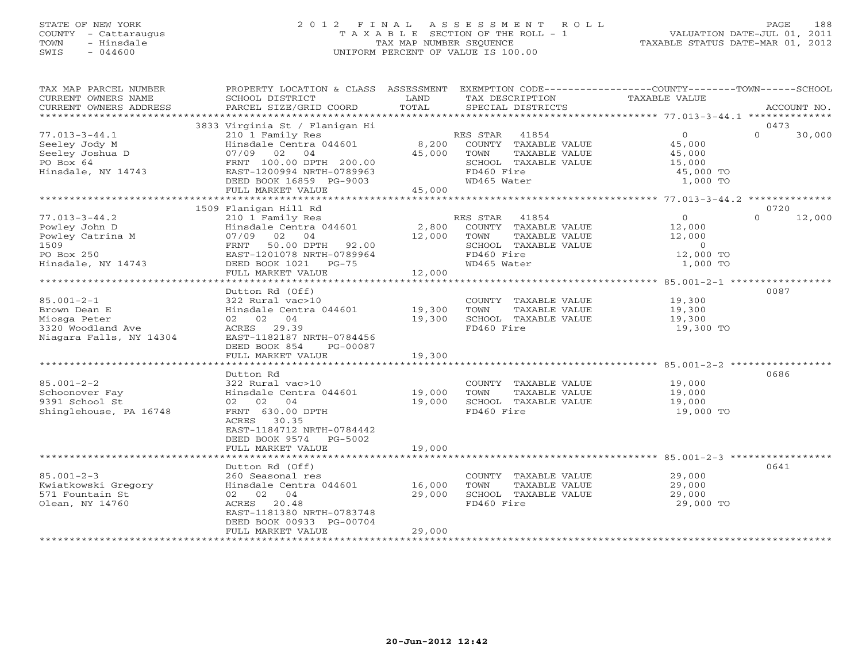# STATE OF NEW YORK 2 0 1 2 F I N A L A S S E S S M E N T R O L L PAGE 188 COUNTY - Cattaraugus T A X A B L E SECTION OF THE ROLL - 1 VALUATION DATE-JUL 01, 2011 TOWN - Hinsdale TAX MAP NUMBER SEQUENCE TAXABLE STATUS DATE-MAR 01, 2012 SWIS - 044600 UNIFORM PERCENT OF VALUE IS 100.00UNIFORM PERCENT OF VALUE IS 100.00

| TAX MAP PARCEL NUMBER<br>CURRENT OWNERS NAME<br>CURRENT OWNERS ADDRESS                               | PROPERTY LOCATION & CLASS ASSESSMENT<br>SCHOOL DISTRICT<br>PARCEL SIZE/GRID COORD                                                                                                                     | LAND<br>TOTAL              | EXEMPTION CODE-----------------COUNTY-------TOWN------SCHOOL<br>TAX DESCRIPTION<br>SPECIAL DISTRICTS                    | TAXABLE VALUE                                                                 | ACCOUNT NO.                |
|------------------------------------------------------------------------------------------------------|-------------------------------------------------------------------------------------------------------------------------------------------------------------------------------------------------------|----------------------------|-------------------------------------------------------------------------------------------------------------------------|-------------------------------------------------------------------------------|----------------------------|
|                                                                                                      |                                                                                                                                                                                                       |                            |                                                                                                                         |                                                                               |                            |
| $77.013 - 3 - 44.1$<br>Seeley Jody M<br>Seeley Joshua D<br>PO Box 64<br>Hinsdale, NY 14743           | 3833 Virginia St / Flanigan Hi<br>210 1 Family Res<br>Hinsdale Centra 044601<br>07/09 02<br>04<br>FRNT 100.00 DPTH 200.00<br>EAST-1200994 NRTH-0789963<br>DEED BOOK 16859 PG-9003                     | 8,200<br>45,000            | RES STAR 41854<br>COUNTY TAXABLE VALUE<br>TOWN<br>TAXABLE VALUE<br>SCHOOL TAXABLE VALUE<br>FD460 Fire<br>WD465 Water    | $\overline{0}$<br>45,000<br>45,000<br>15,000<br>45,000 TO<br>1,000 TO         | 0473<br>$\Omega$<br>30,000 |
|                                                                                                      | FULL MARKET VALUE                                                                                                                                                                                     | 45,000                     |                                                                                                                         |                                                                               |                            |
|                                                                                                      | 1509 Flanigan Hill Rd                                                                                                                                                                                 |                            |                                                                                                                         |                                                                               | 0720                       |
| $77.013 - 3 - 44.2$<br>Powley John D<br>Powley Catrina M<br>1509<br>PO Box 250<br>Hinsdale, NY 14743 | 210 1 Family Res<br>Hinsdale Centra 044601<br>07/09<br>02<br>04<br>50.00 DPTH 92.00<br>FRNT<br>EAST-1201078 NRTH-0789964<br>DEED BOOK 1021 PG-75                                                      | 2,800<br>12,000            | RES STAR<br>41854<br>COUNTY TAXABLE VALUE<br>TOWN<br>TAXABLE VALUE<br>SCHOOL TAXABLE VALUE<br>FD460 Fire<br>WD465 Water | $\overline{0}$<br>12,000<br>12,000<br>$\overline{0}$<br>12,000 TO<br>1,000 TO | 12,000<br>$\Omega$         |
|                                                                                                      | FULL MARKET VALUE                                                                                                                                                                                     | 12,000                     |                                                                                                                         |                                                                               |                            |
| $85.001 - 2 - 1$<br>Brown Dean E<br>Miosga Peter<br>3320 Woodland Ave<br>Niagara Falls, NY 14304     | Dutton Rd (Off)<br>322 Rural vac>10<br>Hinsdale Centra 044601<br>02 02 04<br>ACRES 29.39<br>EAST-1182187 NRTH-0784456<br>DEED BOOK 854<br>PG-00087<br>FULL MARKET VALUE<br>************************** | 19,300<br>19,300<br>19,300 | COUNTY TAXABLE VALUE<br>TOWN<br>TAXABLE VALUE<br>SCHOOL TAXABLE VALUE<br>FD460 Fire                                     | 19,300<br>19,300<br>19,300<br>19,300 TO                                       | 0087                       |
| $85.001 - 2 - 2$<br>Schoonover Fay<br>9391 School St<br>Shinglehouse, PA 16748                       | Dutton Rd<br>322 Rural vac>10<br>Hinsdale Centra 044601<br>02 02 04<br>FRNT 630.00 DPTH<br>ACRES 30.35<br>EAST-1184712 NRTH-0784442<br>DEED BOOK 9574<br>PG-5002<br>FULL MARKET VALUE                 | 19,000<br>19,000<br>19,000 | COUNTY TAXABLE VALUE<br>TOWN<br>TAXABLE VALUE<br>SCHOOL TAXABLE VALUE<br>FD460 Fire                                     | 19,000<br>19,000<br>19,000<br>19,000 TO                                       | 0686                       |
|                                                                                                      |                                                                                                                                                                                                       |                            |                                                                                                                         |                                                                               |                            |
| $85.001 - 2 - 3$<br>Kwiatkowski Gregory<br>571 Fountain St<br>Olean, NY 14760                        | Dutton Rd (Off)<br>260 Seasonal res<br>Hinsdale Centra 044601<br>02 02 04<br>ACRES 20.48<br>EAST-1181380 NRTH-0783748<br>DEED BOOK 00933 PG-00704                                                     | 16,000<br>29,000           | COUNTY TAXABLE VALUE<br>TOWN<br>TAXABLE VALUE<br>SCHOOL TAXABLE VALUE<br>FD460 Fire                                     | 29,000<br>29,000<br>29,000<br>29,000 TO                                       | 0641                       |
|                                                                                                      | FULL MARKET VALUE                                                                                                                                                                                     | 29,000                     |                                                                                                                         |                                                                               |                            |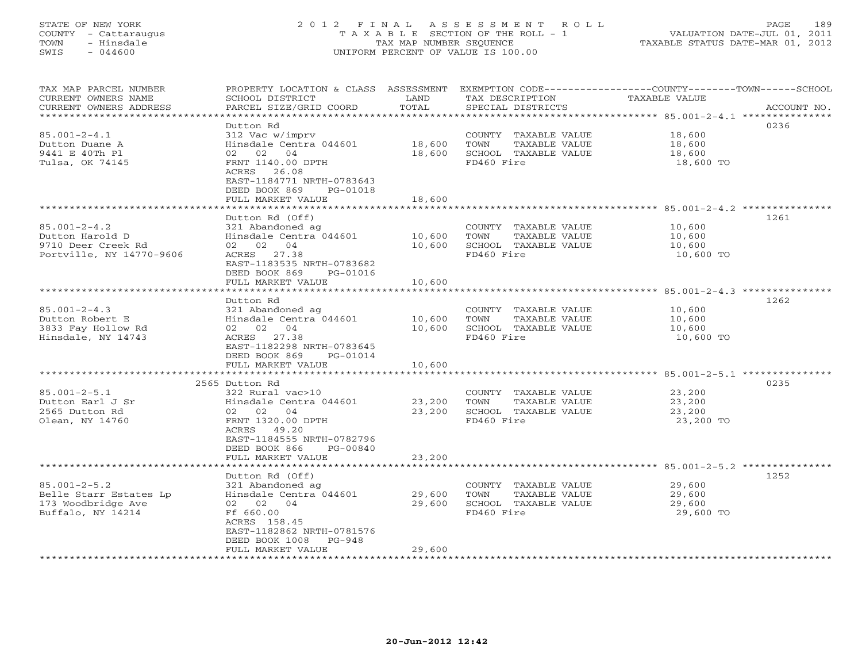# STATE OF NEW YORK 2 0 1 2 F I N A L A S S E S S M E N T R O L L PAGE 189 COUNTY - Cattaraugus T A X A B L E SECTION OF THE ROLL - 1 VALUATION DATE-JUL 01, 2011 TOWN - Hinsdale TAX MAP NUMBER SEQUENCE TAXABLE STATUS DATE-MAR 01, 2012 SWIS - 044600 UNIFORM PERCENT OF VALUE IS 100.00UNIFORM PERCENT OF VALUE IS 100.00

| TAX MAP PARCEL NUMBER<br>CURRENT OWNERS NAME | PROPERTY LOCATION & CLASS<br>SCHOOL DISTRICT<br>PARCEL SIZE/GRID COORD | ASSESSMENT<br>LAND<br>TOTAL | TAX DESCRIPTION                               | EXEMPTION CODE-----------------COUNTY-------TOWN------SCHOOL<br><b>TAXABLE VALUE</b> |             |
|----------------------------------------------|------------------------------------------------------------------------|-----------------------------|-----------------------------------------------|--------------------------------------------------------------------------------------|-------------|
| CURRENT OWNERS ADDRESS                       |                                                                        | *********                   | SPECIAL DISTRICTS                             | ********************* 85.001-2-4.1 ****************                                  | ACCOUNT NO. |
|                                              | Dutton Rd                                                              |                             |                                               |                                                                                      | 0236        |
| $85.001 - 2 - 4.1$                           | 312 Vac w/imprv                                                        |                             | COUNTY TAXABLE VALUE                          | 18,600                                                                               |             |
| Dutton Duane A                               | Hinsdale Centra 044601                                                 | 18,600                      | TOWN<br>TAXABLE VALUE                         | 18,600                                                                               |             |
| 9441 E 40Th Pl                               | 02 02 04                                                               | 18,600                      | SCHOOL TAXABLE VALUE                          | 18,600                                                                               |             |
| Tulsa, OK 74145                              | FRNT 1140.00 DPTH                                                      |                             | FD460 Fire                                    | 18,600 TO                                                                            |             |
|                                              | ACRES 26.08                                                            |                             |                                               |                                                                                      |             |
|                                              | EAST-1184771 NRTH-0783643                                              |                             |                                               |                                                                                      |             |
|                                              | DEED BOOK 869<br>PG-01018                                              |                             |                                               |                                                                                      |             |
|                                              | FULL MARKET VALUE                                                      | 18,600                      |                                               |                                                                                      |             |
|                                              |                                                                        |                             |                                               |                                                                                      |             |
|                                              | Dutton Rd (Off)                                                        |                             |                                               |                                                                                      | 1261        |
| $85.001 - 2 - 4.2$                           | 321 Abandoned ag                                                       |                             | COUNTY TAXABLE VALUE                          | 10,600                                                                               |             |
| Dutton Harold D                              | Hinsdale Centra 044601                                                 | 10,600                      | TOWN<br>TAXABLE VALUE                         | 10,600                                                                               |             |
| 9710 Deer Creek Rd                           | 02 02<br>04                                                            | 10,600                      | SCHOOL TAXABLE VALUE                          | 10,600                                                                               |             |
| Portville, NY 14770-9606                     | ACRES 27.38<br>EAST-1183535 NRTH-0783682                               |                             | FD460 Fire                                    | 10,600 TO                                                                            |             |
|                                              | DEED BOOK 869<br>PG-01016                                              |                             |                                               |                                                                                      |             |
|                                              | FULL MARKET VALUE                                                      | 10,600                      |                                               |                                                                                      |             |
|                                              |                                                                        |                             |                                               |                                                                                      |             |
|                                              | Dutton Rd                                                              |                             |                                               |                                                                                      | 1262        |
| $85.001 - 2 - 4.3$                           | 321 Abandoned ag                                                       |                             | COUNTY TAXABLE VALUE                          | 10,600                                                                               |             |
| Dutton Robert E                              | Hinsdale Centra 044601                                                 | 10,600                      | TOWN<br>TAXABLE VALUE                         | 10,600                                                                               |             |
| 3833 Fay Hollow Rd                           | 02 02 04                                                               | 10,600                      | SCHOOL TAXABLE VALUE                          | 10,600                                                                               |             |
| Hinsdale, NY 14743                           | 27.38<br>ACRES                                                         |                             | FD460 Fire                                    | 10,600 TO                                                                            |             |
|                                              | EAST-1182298 NRTH-0783645                                              |                             |                                               |                                                                                      |             |
|                                              | DEED BOOK 869<br>PG-01014                                              |                             |                                               |                                                                                      |             |
|                                              | FULL MARKET VALUE                                                      | 10,600                      |                                               |                                                                                      |             |
|                                              |                                                                        |                             |                                               |                                                                                      |             |
| $85.001 - 2 - 5.1$                           | 2565 Dutton Rd                                                         |                             |                                               |                                                                                      | 0235        |
| Dutton Earl J Sr                             | 322 Rural vac>10<br>Hinsdale Centra 044601                             | 23,200                      | COUNTY TAXABLE VALUE<br>TOWN<br>TAXABLE VALUE | 23,200                                                                               |             |
| 2565 Dutton Rd                               | 02 02<br>04                                                            | 23,200                      | SCHOOL TAXABLE VALUE                          | 23,200<br>23,200                                                                     |             |
| Olean, NY 14760                              | FRNT 1320.00 DPTH                                                      |                             | FD460 Fire                                    | 23,200 TO                                                                            |             |
|                                              | ACRES<br>49.20                                                         |                             |                                               |                                                                                      |             |
|                                              | EAST-1184555 NRTH-0782796                                              |                             |                                               |                                                                                      |             |
|                                              | DEED BOOK 866<br>PG-00840                                              |                             |                                               |                                                                                      |             |
|                                              | FULL MARKET VALUE                                                      | 23,200                      |                                               |                                                                                      |             |
|                                              | ******************                                                     |                             |                                               | ************************ 85.001-2-5.2 ***************                                |             |
|                                              | Dutton Rd (Off)                                                        |                             |                                               |                                                                                      | 1252        |
| $85.001 - 2 - 5.2$                           | 321 Abandoned ag                                                       |                             | COUNTY TAXABLE VALUE                          | 29,600                                                                               |             |
| Belle Starr Estates Lp                       | Hinsdale Centra 044601                                                 | 29,600                      | TOWN<br>TAXABLE VALUE                         | 29,600                                                                               |             |
| 173 Woodbridge Ave                           | 02 02 04                                                               | 29,600                      | SCHOOL TAXABLE VALUE                          | 29,600                                                                               |             |
| Buffalo, NY 14214                            | Ff 660.00                                                              |                             | FD460 Fire                                    | 29,600 TO                                                                            |             |
|                                              | ACRES 158.45                                                           |                             |                                               |                                                                                      |             |
|                                              | EAST-1182862 NRTH-0781576                                              |                             |                                               |                                                                                      |             |
|                                              | DEED BOOK 1008<br>$PG-948$<br>FULL MARKET VALUE                        | 29,600                      |                                               |                                                                                      |             |
|                                              |                                                                        |                             |                                               |                                                                                      |             |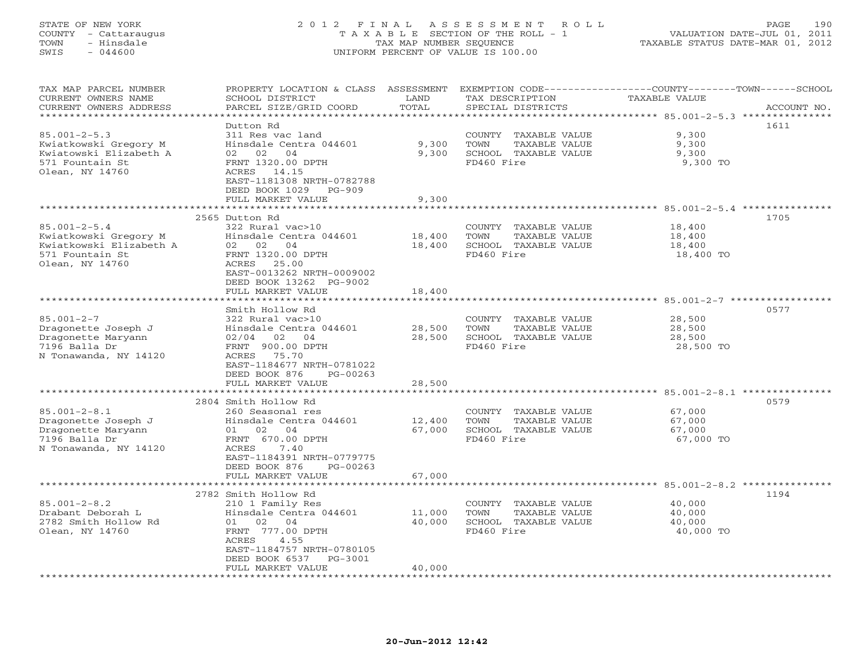# STATE OF NEW YORK 2 0 1 2 F I N A L A S S E S S M E N T R O L L PAGE 190 COUNTY - Cattaraugus T A X A B L E SECTION OF THE ROLL - 1 VALUATION DATE-JUL 01, 2011 TOWN - Hinsdale TAX MAP NUMBER SEQUENCE TAXABLE STATUS DATE-MAR 01, 2012 SWIS - 044600 UNIFORM PERCENT OF VALUE IS 100.00UNIFORM PERCENT OF VALUE IS 100.00

| ********************<br>********************<br>****************<br>************************************* 85.001-2-5.3 ****************<br>1611<br>Dutton Rd<br>$85.001 - 2 - 5.3$<br>9,300<br>311 Res vac land<br>TAXABLE VALUE<br>COUNTY<br>9,300<br>Kwiatkowski Gregory M<br>Hinsdale Centra 044601<br>TOWN<br>TAXABLE VALUE<br>9,300<br>SCHOOL TAXABLE VALUE<br>Kwiatowski Elizabeth A<br>02 02 04<br>9,300<br>9,300<br>FRNT 1320.00 DPTH<br>FD460 Fire<br>571 Fountain St<br>9,300 TO<br>Olean, NY 14760<br>ACRES 14.15<br>EAST-1181308 NRTH-0782788<br>DEED BOOK 1029<br>$PG-909$<br>FULL MARKET VALUE<br>9,300<br>*******<br>1705<br>2565 Dutton Rd<br>$85.001 - 2 - 5.4$<br>322 Rural vac>10<br>COUNTY TAXABLE VALUE<br>18,400<br>Hinsdale Centra 044601<br>18,400<br>Kwiatkowski Gregory M<br>TOWN<br>TAXABLE VALUE<br>18,400<br>Kwiatkowski Elizabeth A<br>02 02 04<br>18,400<br>SCHOOL TAXABLE VALUE<br>18,400<br>571 Fountain St<br>FRNT 1320.00 DPTH<br>FD460 Fire<br>18,400 TO<br>Olean, NY 14760<br>25.00<br>ACRES<br>EAST-0013262 NRTH-0009002<br>DEED BOOK 13262 PG-9002<br>18,400<br>FULL MARKET VALUE<br>**********<br>****************<br>********************* 85.001-2-7 ************<br>0577<br>Smith Hollow Rd<br>$85.001 - 2 - 7$<br>322 Rural vac>10<br>28,500<br>COUNTY<br>TAXABLE VALUE<br>28,500<br>Dragonette Joseph J<br>Hinsdale Centra 044601<br>TOWN<br>TAXABLE VALUE<br>28,500<br>02/04<br>02<br>04<br>28,500<br>SCHOOL TAXABLE VALUE<br>28,500<br>Dragonette Maryann<br>7196 Balla Dr<br>FRNT 900.00 DPTH<br>FD460 Fire<br>28,500 TO<br>N Tonawanda, NY 14120<br>ACRES<br>75.70<br>EAST-1184677 NRTH-0781022<br>DEED BOOK 876<br>$PG-00263$<br>FULL MARKET VALUE<br>28,500<br>***********************<br>0579<br>2804 Smith Hollow Rd<br>$85.001 - 2 - 8.1$<br>260 Seasonal res<br>67,000<br>COUNTY<br>TAXABLE VALUE<br>Dragonette Joseph J<br>Hinsdale Centra 044601<br>12,400<br>TOWN<br>TAXABLE VALUE<br>67,000<br>67,000<br>SCHOOL TAXABLE VALUE<br>Dragonette Maryann<br>02<br>04<br>67,000<br>01 |
|--------------------------------------------------------------------------------------------------------------------------------------------------------------------------------------------------------------------------------------------------------------------------------------------------------------------------------------------------------------------------------------------------------------------------------------------------------------------------------------------------------------------------------------------------------------------------------------------------------------------------------------------------------------------------------------------------------------------------------------------------------------------------------------------------------------------------------------------------------------------------------------------------------------------------------------------------------------------------------------------------------------------------------------------------------------------------------------------------------------------------------------------------------------------------------------------------------------------------------------------------------------------------------------------------------------------------------------------------------------------------------------------------------------------------------------------------------------------------------------------------------------------------------------------------------------------------------------------------------------------------------------------------------------------------------------------------------------------------------------------------------------------------------------------------------------------------------------------------------------------------------------------------------------------------------------------------------------------------------------------------------------------------------------------|
|                                                                                                                                                                                                                                                                                                                                                                                                                                                                                                                                                                                                                                                                                                                                                                                                                                                                                                                                                                                                                                                                                                                                                                                                                                                                                                                                                                                                                                                                                                                                                                                                                                                                                                                                                                                                                                                                                                                                                                                                                                            |
|                                                                                                                                                                                                                                                                                                                                                                                                                                                                                                                                                                                                                                                                                                                                                                                                                                                                                                                                                                                                                                                                                                                                                                                                                                                                                                                                                                                                                                                                                                                                                                                                                                                                                                                                                                                                                                                                                                                                                                                                                                            |
|                                                                                                                                                                                                                                                                                                                                                                                                                                                                                                                                                                                                                                                                                                                                                                                                                                                                                                                                                                                                                                                                                                                                                                                                                                                                                                                                                                                                                                                                                                                                                                                                                                                                                                                                                                                                                                                                                                                                                                                                                                            |
|                                                                                                                                                                                                                                                                                                                                                                                                                                                                                                                                                                                                                                                                                                                                                                                                                                                                                                                                                                                                                                                                                                                                                                                                                                                                                                                                                                                                                                                                                                                                                                                                                                                                                                                                                                                                                                                                                                                                                                                                                                            |
|                                                                                                                                                                                                                                                                                                                                                                                                                                                                                                                                                                                                                                                                                                                                                                                                                                                                                                                                                                                                                                                                                                                                                                                                                                                                                                                                                                                                                                                                                                                                                                                                                                                                                                                                                                                                                                                                                                                                                                                                                                            |
|                                                                                                                                                                                                                                                                                                                                                                                                                                                                                                                                                                                                                                                                                                                                                                                                                                                                                                                                                                                                                                                                                                                                                                                                                                                                                                                                                                                                                                                                                                                                                                                                                                                                                                                                                                                                                                                                                                                                                                                                                                            |
|                                                                                                                                                                                                                                                                                                                                                                                                                                                                                                                                                                                                                                                                                                                                                                                                                                                                                                                                                                                                                                                                                                                                                                                                                                                                                                                                                                                                                                                                                                                                                                                                                                                                                                                                                                                                                                                                                                                                                                                                                                            |
|                                                                                                                                                                                                                                                                                                                                                                                                                                                                                                                                                                                                                                                                                                                                                                                                                                                                                                                                                                                                                                                                                                                                                                                                                                                                                                                                                                                                                                                                                                                                                                                                                                                                                                                                                                                                                                                                                                                                                                                                                                            |
|                                                                                                                                                                                                                                                                                                                                                                                                                                                                                                                                                                                                                                                                                                                                                                                                                                                                                                                                                                                                                                                                                                                                                                                                                                                                                                                                                                                                                                                                                                                                                                                                                                                                                                                                                                                                                                                                                                                                                                                                                                            |
|                                                                                                                                                                                                                                                                                                                                                                                                                                                                                                                                                                                                                                                                                                                                                                                                                                                                                                                                                                                                                                                                                                                                                                                                                                                                                                                                                                                                                                                                                                                                                                                                                                                                                                                                                                                                                                                                                                                                                                                                                                            |
|                                                                                                                                                                                                                                                                                                                                                                                                                                                                                                                                                                                                                                                                                                                                                                                                                                                                                                                                                                                                                                                                                                                                                                                                                                                                                                                                                                                                                                                                                                                                                                                                                                                                                                                                                                                                                                                                                                                                                                                                                                            |
|                                                                                                                                                                                                                                                                                                                                                                                                                                                                                                                                                                                                                                                                                                                                                                                                                                                                                                                                                                                                                                                                                                                                                                                                                                                                                                                                                                                                                                                                                                                                                                                                                                                                                                                                                                                                                                                                                                                                                                                                                                            |
|                                                                                                                                                                                                                                                                                                                                                                                                                                                                                                                                                                                                                                                                                                                                                                                                                                                                                                                                                                                                                                                                                                                                                                                                                                                                                                                                                                                                                                                                                                                                                                                                                                                                                                                                                                                                                                                                                                                                                                                                                                            |
|                                                                                                                                                                                                                                                                                                                                                                                                                                                                                                                                                                                                                                                                                                                                                                                                                                                                                                                                                                                                                                                                                                                                                                                                                                                                                                                                                                                                                                                                                                                                                                                                                                                                                                                                                                                                                                                                                                                                                                                                                                            |
|                                                                                                                                                                                                                                                                                                                                                                                                                                                                                                                                                                                                                                                                                                                                                                                                                                                                                                                                                                                                                                                                                                                                                                                                                                                                                                                                                                                                                                                                                                                                                                                                                                                                                                                                                                                                                                                                                                                                                                                                                                            |
|                                                                                                                                                                                                                                                                                                                                                                                                                                                                                                                                                                                                                                                                                                                                                                                                                                                                                                                                                                                                                                                                                                                                                                                                                                                                                                                                                                                                                                                                                                                                                                                                                                                                                                                                                                                                                                                                                                                                                                                                                                            |
|                                                                                                                                                                                                                                                                                                                                                                                                                                                                                                                                                                                                                                                                                                                                                                                                                                                                                                                                                                                                                                                                                                                                                                                                                                                                                                                                                                                                                                                                                                                                                                                                                                                                                                                                                                                                                                                                                                                                                                                                                                            |
|                                                                                                                                                                                                                                                                                                                                                                                                                                                                                                                                                                                                                                                                                                                                                                                                                                                                                                                                                                                                                                                                                                                                                                                                                                                                                                                                                                                                                                                                                                                                                                                                                                                                                                                                                                                                                                                                                                                                                                                                                                            |
|                                                                                                                                                                                                                                                                                                                                                                                                                                                                                                                                                                                                                                                                                                                                                                                                                                                                                                                                                                                                                                                                                                                                                                                                                                                                                                                                                                                                                                                                                                                                                                                                                                                                                                                                                                                                                                                                                                                                                                                                                                            |
|                                                                                                                                                                                                                                                                                                                                                                                                                                                                                                                                                                                                                                                                                                                                                                                                                                                                                                                                                                                                                                                                                                                                                                                                                                                                                                                                                                                                                                                                                                                                                                                                                                                                                                                                                                                                                                                                                                                                                                                                                                            |
|                                                                                                                                                                                                                                                                                                                                                                                                                                                                                                                                                                                                                                                                                                                                                                                                                                                                                                                                                                                                                                                                                                                                                                                                                                                                                                                                                                                                                                                                                                                                                                                                                                                                                                                                                                                                                                                                                                                                                                                                                                            |
|                                                                                                                                                                                                                                                                                                                                                                                                                                                                                                                                                                                                                                                                                                                                                                                                                                                                                                                                                                                                                                                                                                                                                                                                                                                                                                                                                                                                                                                                                                                                                                                                                                                                                                                                                                                                                                                                                                                                                                                                                                            |
|                                                                                                                                                                                                                                                                                                                                                                                                                                                                                                                                                                                                                                                                                                                                                                                                                                                                                                                                                                                                                                                                                                                                                                                                                                                                                                                                                                                                                                                                                                                                                                                                                                                                                                                                                                                                                                                                                                                                                                                                                                            |
|                                                                                                                                                                                                                                                                                                                                                                                                                                                                                                                                                                                                                                                                                                                                                                                                                                                                                                                                                                                                                                                                                                                                                                                                                                                                                                                                                                                                                                                                                                                                                                                                                                                                                                                                                                                                                                                                                                                                                                                                                                            |
|                                                                                                                                                                                                                                                                                                                                                                                                                                                                                                                                                                                                                                                                                                                                                                                                                                                                                                                                                                                                                                                                                                                                                                                                                                                                                                                                                                                                                                                                                                                                                                                                                                                                                                                                                                                                                                                                                                                                                                                                                                            |
|                                                                                                                                                                                                                                                                                                                                                                                                                                                                                                                                                                                                                                                                                                                                                                                                                                                                                                                                                                                                                                                                                                                                                                                                                                                                                                                                                                                                                                                                                                                                                                                                                                                                                                                                                                                                                                                                                                                                                                                                                                            |
|                                                                                                                                                                                                                                                                                                                                                                                                                                                                                                                                                                                                                                                                                                                                                                                                                                                                                                                                                                                                                                                                                                                                                                                                                                                                                                                                                                                                                                                                                                                                                                                                                                                                                                                                                                                                                                                                                                                                                                                                                                            |
|                                                                                                                                                                                                                                                                                                                                                                                                                                                                                                                                                                                                                                                                                                                                                                                                                                                                                                                                                                                                                                                                                                                                                                                                                                                                                                                                                                                                                                                                                                                                                                                                                                                                                                                                                                                                                                                                                                                                                                                                                                            |
|                                                                                                                                                                                                                                                                                                                                                                                                                                                                                                                                                                                                                                                                                                                                                                                                                                                                                                                                                                                                                                                                                                                                                                                                                                                                                                                                                                                                                                                                                                                                                                                                                                                                                                                                                                                                                                                                                                                                                                                                                                            |
|                                                                                                                                                                                                                                                                                                                                                                                                                                                                                                                                                                                                                                                                                                                                                                                                                                                                                                                                                                                                                                                                                                                                                                                                                                                                                                                                                                                                                                                                                                                                                                                                                                                                                                                                                                                                                                                                                                                                                                                                                                            |
|                                                                                                                                                                                                                                                                                                                                                                                                                                                                                                                                                                                                                                                                                                                                                                                                                                                                                                                                                                                                                                                                                                                                                                                                                                                                                                                                                                                                                                                                                                                                                                                                                                                                                                                                                                                                                                                                                                                                                                                                                                            |
|                                                                                                                                                                                                                                                                                                                                                                                                                                                                                                                                                                                                                                                                                                                                                                                                                                                                                                                                                                                                                                                                                                                                                                                                                                                                                                                                                                                                                                                                                                                                                                                                                                                                                                                                                                                                                                                                                                                                                                                                                                            |
|                                                                                                                                                                                                                                                                                                                                                                                                                                                                                                                                                                                                                                                                                                                                                                                                                                                                                                                                                                                                                                                                                                                                                                                                                                                                                                                                                                                                                                                                                                                                                                                                                                                                                                                                                                                                                                                                                                                                                                                                                                            |
| 7196 Balla Dr<br>FRNT 670.00 DPTH<br>FD460 Fire<br>67,000 TO                                                                                                                                                                                                                                                                                                                                                                                                                                                                                                                                                                                                                                                                                                                                                                                                                                                                                                                                                                                                                                                                                                                                                                                                                                                                                                                                                                                                                                                                                                                                                                                                                                                                                                                                                                                                                                                                                                                                                                               |
| N Tonawanda, NY 14120<br>ACRES<br>7.40                                                                                                                                                                                                                                                                                                                                                                                                                                                                                                                                                                                                                                                                                                                                                                                                                                                                                                                                                                                                                                                                                                                                                                                                                                                                                                                                                                                                                                                                                                                                                                                                                                                                                                                                                                                                                                                                                                                                                                                                     |
| EAST-1184391 NRTH-0779775                                                                                                                                                                                                                                                                                                                                                                                                                                                                                                                                                                                                                                                                                                                                                                                                                                                                                                                                                                                                                                                                                                                                                                                                                                                                                                                                                                                                                                                                                                                                                                                                                                                                                                                                                                                                                                                                                                                                                                                                                  |
| DEED BOOK 876<br>$PG-00263$                                                                                                                                                                                                                                                                                                                                                                                                                                                                                                                                                                                                                                                                                                                                                                                                                                                                                                                                                                                                                                                                                                                                                                                                                                                                                                                                                                                                                                                                                                                                                                                                                                                                                                                                                                                                                                                                                                                                                                                                                |
| FULL MARKET VALUE<br>67,000                                                                                                                                                                                                                                                                                                                                                                                                                                                                                                                                                                                                                                                                                                                                                                                                                                                                                                                                                                                                                                                                                                                                                                                                                                                                                                                                                                                                                                                                                                                                                                                                                                                                                                                                                                                                                                                                                                                                                                                                                |
|                                                                                                                                                                                                                                                                                                                                                                                                                                                                                                                                                                                                                                                                                                                                                                                                                                                                                                                                                                                                                                                                                                                                                                                                                                                                                                                                                                                                                                                                                                                                                                                                                                                                                                                                                                                                                                                                                                                                                                                                                                            |
| 1194<br>2782 Smith Hollow Rd                                                                                                                                                                                                                                                                                                                                                                                                                                                                                                                                                                                                                                                                                                                                                                                                                                                                                                                                                                                                                                                                                                                                                                                                                                                                                                                                                                                                                                                                                                                                                                                                                                                                                                                                                                                                                                                                                                                                                                                                               |
| $85.001 - 2 - 8.2$<br>210 1 Family Res<br>40,000<br>COUNTY<br>TAXABLE VALUE                                                                                                                                                                                                                                                                                                                                                                                                                                                                                                                                                                                                                                                                                                                                                                                                                                                                                                                                                                                                                                                                                                                                                                                                                                                                                                                                                                                                                                                                                                                                                                                                                                                                                                                                                                                                                                                                                                                                                                |
| Drabant Deborah L<br>Hinsdale Centra 044601<br>11,000<br>TOWN<br>TAXABLE VALUE<br>40,000                                                                                                                                                                                                                                                                                                                                                                                                                                                                                                                                                                                                                                                                                                                                                                                                                                                                                                                                                                                                                                                                                                                                                                                                                                                                                                                                                                                                                                                                                                                                                                                                                                                                                                                                                                                                                                                                                                                                                   |
| 2782 Smith Hollow Rd<br>40,000<br>SCHOOL TAXABLE VALUE<br>02<br>04<br>40,000<br>01                                                                                                                                                                                                                                                                                                                                                                                                                                                                                                                                                                                                                                                                                                                                                                                                                                                                                                                                                                                                                                                                                                                                                                                                                                                                                                                                                                                                                                                                                                                                                                                                                                                                                                                                                                                                                                                                                                                                                         |
| Olean, NY 14760<br>FRNT 777.00 DPTH<br>FD460 Fire<br>40,000 TO                                                                                                                                                                                                                                                                                                                                                                                                                                                                                                                                                                                                                                                                                                                                                                                                                                                                                                                                                                                                                                                                                                                                                                                                                                                                                                                                                                                                                                                                                                                                                                                                                                                                                                                                                                                                                                                                                                                                                                             |
| 4.55<br>ACRES                                                                                                                                                                                                                                                                                                                                                                                                                                                                                                                                                                                                                                                                                                                                                                                                                                                                                                                                                                                                                                                                                                                                                                                                                                                                                                                                                                                                                                                                                                                                                                                                                                                                                                                                                                                                                                                                                                                                                                                                                              |
| EAST-1184757 NRTH-0780105                                                                                                                                                                                                                                                                                                                                                                                                                                                                                                                                                                                                                                                                                                                                                                                                                                                                                                                                                                                                                                                                                                                                                                                                                                                                                                                                                                                                                                                                                                                                                                                                                                                                                                                                                                                                                                                                                                                                                                                                                  |
| DEED BOOK 6537<br>PG-3001                                                                                                                                                                                                                                                                                                                                                                                                                                                                                                                                                                                                                                                                                                                                                                                                                                                                                                                                                                                                                                                                                                                                                                                                                                                                                                                                                                                                                                                                                                                                                                                                                                                                                                                                                                                                                                                                                                                                                                                                                  |
| 40,000<br>FULL MARKET VALUE                                                                                                                                                                                                                                                                                                                                                                                                                                                                                                                                                                                                                                                                                                                                                                                                                                                                                                                                                                                                                                                                                                                                                                                                                                                                                                                                                                                                                                                                                                                                                                                                                                                                                                                                                                                                                                                                                                                                                                                                                |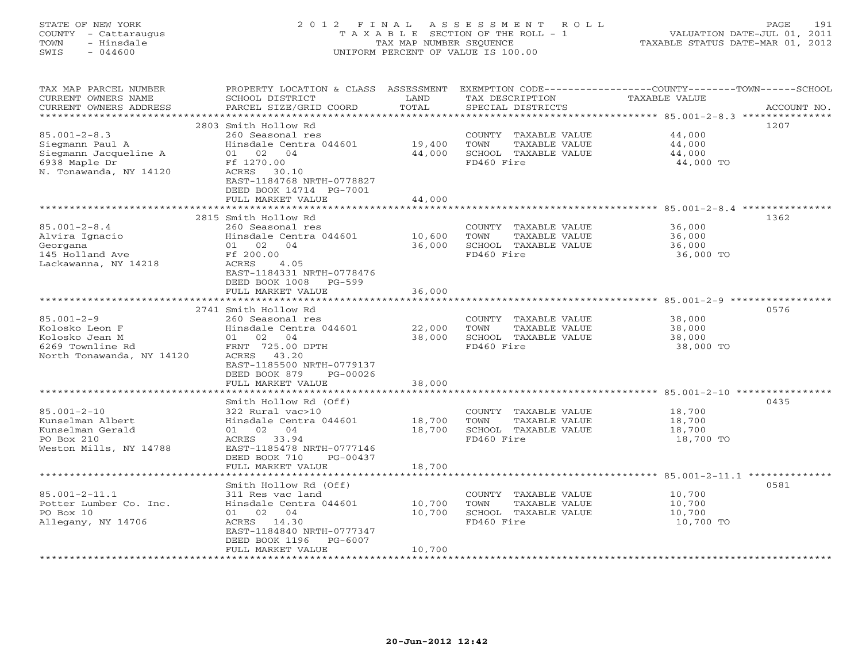# STATE OF NEW YORK 2 0 1 2 F I N A L A S S E S S M E N T R O L L PAGE 191 COUNTY - Cattaraugus T A X A B L E SECTION OF THE ROLL - 1 VALUATION DATE-JUL 01, 2011 TOWN - Hinsdale TAX MAP NUMBER SEQUENCE TAXABLE STATUS DATE-MAR 01, 2012 SWIS - 044600 UNIFORM PERCENT OF VALUE IS 100.00UNIFORM PERCENT OF VALUE IS 100.00

| TAX MAP PARCEL NUMBER<br>CURRENT OWNERS NAME<br>CURRENT OWNERS ADDRESS                                    | PROPERTY LOCATION & CLASS ASSESSMENT<br>SCHOOL DISTRICT<br>PARCEL SIZE/GRID COORD                                                                                                                                            | LAND<br>TOTAL              | TAX DESCRIPTION<br>SPECIAL DISTRICTS                                                | EXEMPTION CODE-----------------COUNTY-------TOWN------SCHOOL<br><b>TAXABLE VALUE</b><br>ACCOUNT NO. |
|-----------------------------------------------------------------------------------------------------------|------------------------------------------------------------------------------------------------------------------------------------------------------------------------------------------------------------------------------|----------------------------|-------------------------------------------------------------------------------------|-----------------------------------------------------------------------------------------------------|
| $85.001 - 2 - 8.3$<br>Siegmann Paul A<br>Siegmann Jacqueline A<br>6938 Maple Dr<br>N. Tonawanda, NY 14120 | 2803 Smith Hollow Rd<br>260 Seasonal res<br>Hinsdale Centra 044601<br>01 02 04<br>Ff 1270.00<br>ACRES<br>30.10<br>EAST-1184768 NRTH-0778827<br>DEED BOOK 14714 PG-7001<br>FULL MARKET VALUE<br>***************************** | 19,400<br>44,000<br>44,000 | COUNTY TAXABLE VALUE<br>TOWN<br>TAXABLE VALUE<br>SCHOOL TAXABLE VALUE<br>FD460 Fire | 1207<br>44,000<br>44,000<br>44,000<br>44,000 TO                                                     |
| $85.001 - 2 - 8.4$<br>Alvira Ignacio<br>Georgana<br>145 Holland Ave<br>Lackawanna, NY 14218               | 2815 Smith Hollow Rd<br>260 Seasonal res<br>Hinsdale Centra 044601<br>01 02<br>04<br>Ff 200.00<br>ACRES<br>4.05<br>EAST-1184331 NRTH-0778476<br>DEED BOOK 1008<br>$PG-599$                                                   | 10,600<br>36,000           | COUNTY TAXABLE VALUE<br>TAXABLE VALUE<br>TOWN<br>SCHOOL TAXABLE VALUE<br>FD460 Fire | 1362<br>36,000<br>36,000<br>36,000<br>36,000 TO                                                     |
|                                                                                                           | FULL MARKET VALUE                                                                                                                                                                                                            | 36,000                     |                                                                                     |                                                                                                     |
| $85.001 - 2 - 9$<br>Kolosko Leon F<br>Kolosko Jean M<br>6269 Townline Rd<br>North Tonawanda, NY 14120     | 2741 Smith Hollow Rd<br>260 Seasonal res<br>Hinsdale Centra 044601<br>01 02 04<br>FRNT 725.00 DPTH<br>ACRES 43.20<br>EAST-1185500 NRTH-0779137<br>DEED BOOK 879<br>PG-00026<br>FULL MARKET VALUE                             | 22,000<br>38,000<br>38,000 | COUNTY TAXABLE VALUE<br>TOWN<br>TAXABLE VALUE<br>SCHOOL TAXABLE VALUE<br>FD460 Fire | 0576<br>38,000<br>38,000<br>38,000<br>38,000 TO                                                     |
|                                                                                                           | Smith Hollow Rd (Off)                                                                                                                                                                                                        |                            |                                                                                     | 0435                                                                                                |
| $85.001 - 2 - 10$<br>Kunselman Albert<br>Kunselman Gerald<br>PO Box 210<br>Weston Mills, NY 14788         | 322 Rural vac>10<br>Hinsdale Centra 044601<br>01 02<br>04<br>ACRES 33.94<br>EAST-1185478 NRTH-0777146<br>DEED BOOK 710<br>$PG-00437$                                                                                         | 18,700<br>18,700           | COUNTY TAXABLE VALUE<br>TOWN<br>TAXABLE VALUE<br>SCHOOL TAXABLE VALUE<br>FD460 Fire | 18,700<br>18,700<br>18,700<br>18,700 TO                                                             |
|                                                                                                           | FULL MARKET VALUE<br>*******************                                                                                                                                                                                     | 18,700                     |                                                                                     |                                                                                                     |
| $85.001 - 2 - 11.1$<br>Potter Lumber Co. Inc.<br>PO Box 10<br>Allegany, NY 14706                          | Smith Hollow Rd (Off)<br>311 Res vac land<br>Hinsdale Centra 044601<br>02 04<br>01<br>ACRES<br>14.30<br>EAST-1184840 NRTH-0777347<br>DEED BOOK 1196<br>$PG-6007$<br>FULL MARKET VALUE                                        | 10,700<br>10,700<br>10,700 | COUNTY TAXABLE VALUE<br>TOWN<br>TAXABLE VALUE<br>SCHOOL TAXABLE VALUE<br>FD460 Fire | 0581<br>10,700<br>10,700<br>10,700<br>10,700 TO                                                     |
|                                                                                                           |                                                                                                                                                                                                                              |                            |                                                                                     |                                                                                                     |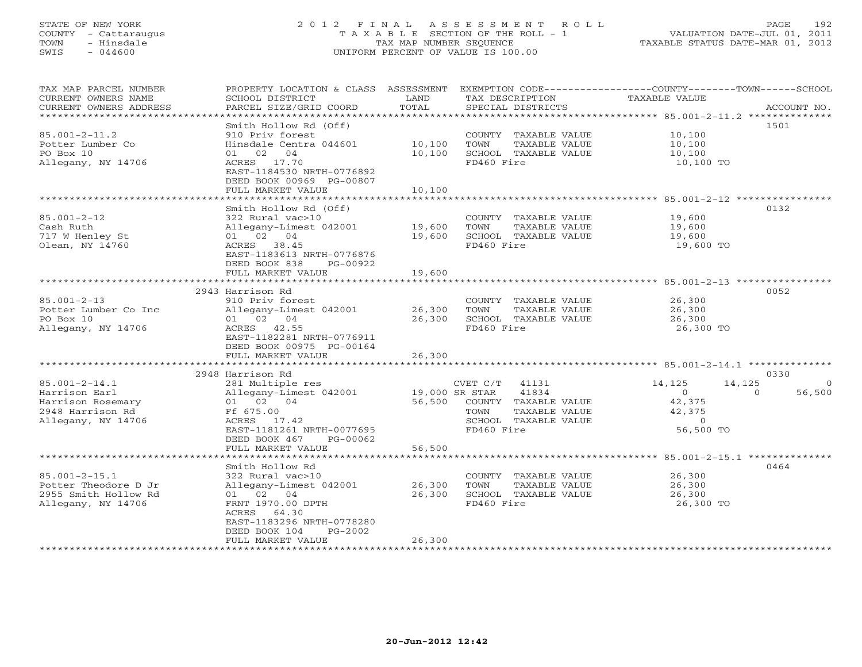# STATE OF NEW YORK 2 0 1 2 F I N A L A S S E S S M E N T R O L L PAGE 192 COUNTY - Cattaraugus T A X A B L E SECTION OF THE ROLL - 1 VALUATION DATE-JUL 01, 2011 TOWN - Hinsdale TAX MAP NUMBER SEQUENCE TAXABLE STATUS DATE-MAR 01, 2012 SWIS - 044600 UNIFORM PERCENT OF VALUE IS 100.00UNIFORM PERCENT OF VALUE IS 100.00

| TAX MAP PARCEL NUMBER<br>CURRENT OWNERS NAME<br>CURRENT OWNERS ADDRESS | SCHOOL DISTRICT<br>PARCEL SIZE/GRID COORD | LAND<br>TOTAL  | TAX DESCRIPTION<br>SPECIAL DISTRICTS | PROPERTY LOCATION & CLASS ASSESSMENT EXEMPTION CODE----------------COUNTY-------TOWN------SCHOOL<br>TAXABLE VALUE | ACCOUNT NO. |
|------------------------------------------------------------------------|-------------------------------------------|----------------|--------------------------------------|-------------------------------------------------------------------------------------------------------------------|-------------|
| ***********************                                                |                                           |                |                                      |                                                                                                                   |             |
|                                                                        | Smith Hollow Rd (Off)                     |                |                                      |                                                                                                                   | 1501        |
| $85.001 - 2 - 11.2$                                                    | 910 Priv forest                           |                | COUNTY TAXABLE VALUE                 | 10,100                                                                                                            |             |
| Potter Lumber Co                                                       | Hinsdale Centra 044601                    | 10,100         | TOWN<br>TAXABLE VALUE                | 10,100                                                                                                            |             |
| PO Box 10                                                              | 01 02 04                                  | 10,100         | SCHOOL TAXABLE VALUE                 | 10,100                                                                                                            |             |
| Allegany, NY 14706                                                     | ACRES 17.70<br>EAST-1184530 NRTH-0776892  |                | FD460 Fire                           | 10,100 TO                                                                                                         |             |
|                                                                        | DEED BOOK 00969 PG-00807                  |                |                                      |                                                                                                                   |             |
|                                                                        | FULL MARKET VALUE                         | 10,100         |                                      |                                                                                                                   |             |
|                                                                        |                                           |                |                                      |                                                                                                                   |             |
|                                                                        | Smith Hollow Rd (Off)                     |                |                                      |                                                                                                                   | 0132        |
| $85.001 - 2 - 12$                                                      | 322 Rural vac>10                          |                | COUNTY TAXABLE VALUE                 | 19,600                                                                                                            |             |
| Cash Ruth                                                              | Allegany-Limest 042001                    | 19,600         | TOWN<br>TAXABLE VALUE                | 19,600                                                                                                            |             |
| 717 W Henley St                                                        | 01 02 04                                  | 19,600         | SCHOOL TAXABLE VALUE                 | 19,600                                                                                                            |             |
| Olean, NY 14760                                                        | ACRES 38.45                               |                | FD460 Fire                           | 19,600 TO                                                                                                         |             |
|                                                                        | EAST-1183613 NRTH-0776876                 |                |                                      |                                                                                                                   |             |
|                                                                        | DEED BOOK 838<br>PG-00922                 |                |                                      |                                                                                                                   |             |
|                                                                        | FULL MARKET VALUE                         | 19,600         |                                      |                                                                                                                   |             |
|                                                                        |                                           |                |                                      |                                                                                                                   |             |
|                                                                        | 2943 Harrison Rd                          |                |                                      |                                                                                                                   | 0052        |
| $85.001 - 2 - 13$                                                      | 910 Priv forest                           |                | COUNTY TAXABLE VALUE                 | 26,300                                                                                                            |             |
| Potter Lumber Co Inc                                                   | Allegany-Limest 042001                    | 26,300         | TAXABLE VALUE<br>TOWN                | 26,300                                                                                                            |             |
| PO Box 10                                                              | 01 02 04                                  | 26,300         | SCHOOL TAXABLE VALUE                 | 26,300                                                                                                            |             |
| Allegany, NY 14706                                                     | ACRES 42.55                               |                | FD460 Fire                           | 26,300 TO                                                                                                         |             |
|                                                                        | EAST-1182281 NRTH-0776911                 |                |                                      |                                                                                                                   |             |
|                                                                        | DEED BOOK 00975 PG-00164                  |                |                                      |                                                                                                                   |             |
|                                                                        | FULL MARKET VALUE                         | 26,300         |                                      |                                                                                                                   |             |
|                                                                        |                                           |                |                                      |                                                                                                                   |             |
|                                                                        | 2948 Harrison Rd                          |                |                                      |                                                                                                                   | 0330        |
| $85.001 - 2 - 14.1$                                                    | 281 Multiple res                          |                | $CVET C/T$ 41131                     | 14,125<br>14,125                                                                                                  | $\Omega$    |
| Harrison Earl                                                          | Allegany-Limest 042001                    | 19,000 SR STAR | 41834                                | $\Omega$<br>$\Omega$                                                                                              | 56,500      |
| Harrison Rosemary                                                      | 01 02 04                                  |                | 56,500 COUNTY TAXABLE VALUE          | 42,375                                                                                                            |             |
| 2948 Harrison Rd                                                       | Ff 675.00                                 |                | TAXABLE VALUE<br>TOWN                | 42,375                                                                                                            |             |
| Allegany, NY 14706                                                     | ACRES 17.42                               |                | SCHOOL TAXABLE VALUE                 | $\overline{0}$                                                                                                    |             |
|                                                                        | EAST-1181261 NRTH-0077695                 |                | FD460 Fire                           | 56,500 TO                                                                                                         |             |
|                                                                        | DEED BOOK 467<br>PG-00062                 |                |                                      |                                                                                                                   |             |
|                                                                        | FULL MARKET VALUE                         | 56,500         |                                      |                                                                                                                   |             |
|                                                                        |                                           |                |                                      |                                                                                                                   |             |
|                                                                        | Smith Hollow Rd                           |                |                                      |                                                                                                                   | 0464        |
| $85.001 - 2 - 15.1$                                                    | 322 Rural vac>10                          |                | COUNTY TAXABLE VALUE                 | 26,300                                                                                                            |             |
| Potter Theodore D Jr                                                   | Allegany-Limest 042001                    | 26,300         | TOWN<br>TAXABLE VALUE                | 26,300                                                                                                            |             |
| 2955 Smith Hollow Rd                                                   | 01 02 04                                  | 26,300         | SCHOOL TAXABLE VALUE<br>FD460 Fire   | 26,300                                                                                                            |             |
| Allegany, NY 14706                                                     | FRNT 1970.00 DPTH<br>ACRES 64.30          |                |                                      | 26,300 TO                                                                                                         |             |
|                                                                        | EAST-1183296 NRTH-0778280                 |                |                                      |                                                                                                                   |             |
|                                                                        | PG-2002<br>DEED BOOK 104                  |                |                                      |                                                                                                                   |             |
|                                                                        | FULL MARKET VALUE                         | 26,300         |                                      |                                                                                                                   |             |
|                                                                        |                                           |                |                                      |                                                                                                                   |             |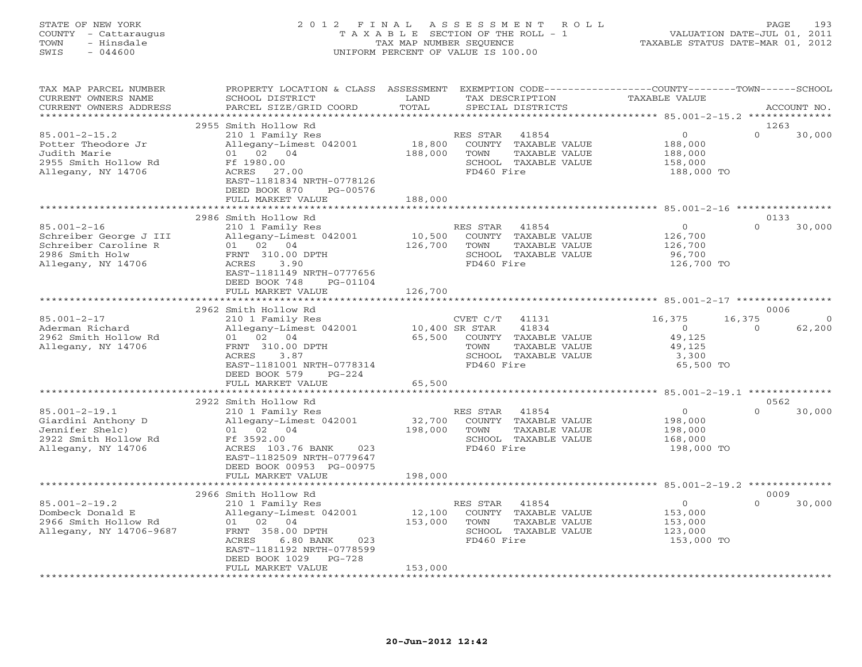# STATE OF NEW YORK 2 0 1 2 F I N A L A S S E S S M E N T R O L L PAGE 193 COUNTY - Cattaraugus T A X A B L E SECTION OF THE ROLL - 1 VALUATION DATE-JUL 01, 2011 TOWN - Hinsdale TAX MAP NUMBER SEQUENCE TAXABLE STATUS DATE-MAR 01, 2012 SWIS - 044600 UNIFORM PERCENT OF VALUE IS 100.00UNIFORM PERCENT OF VALUE IS 100.00

| TAX MAP PARCEL NUMBER<br>CURRENT OWNERS NAME                                                                 | PROPERTY LOCATION & CLASS ASSESSMENT EXEMPTION CODE----------------COUNTY-------TOWN------SCHOOL<br>SCHOOL DISTRICT                                                                          | LAND                     | TAX DESCRIPTION                                                                                          | TAXABLE VALUE                                                 |                                  |
|--------------------------------------------------------------------------------------------------------------|----------------------------------------------------------------------------------------------------------------------------------------------------------------------------------------------|--------------------------|----------------------------------------------------------------------------------------------------------|---------------------------------------------------------------|----------------------------------|
| CURRENT OWNERS ADDRESS<br>********************                                                               | PARCEL SIZE/GRID COORD                                                                                                                                                                       | TOTAL                    | SPECIAL DISTRICTS                                                                                        |                                                               | ACCOUNT NO.                      |
|                                                                                                              | 2955 Smith Hollow Rd                                                                                                                                                                         |                          |                                                                                                          |                                                               | 1263                             |
| $85.001 - 2 - 15.2$<br>Potter Theodore Jr<br>Judith Marie<br>2955 Smith Hollow Rd<br>Allegany, NY 14706      | 210 1 Family Res<br>Allegany-Limest 042001<br>01 02 04<br>Ff 1980.00<br>ACRES 27.00<br>EAST-1181834 NRTH-0778126<br>DEED BOOK 870<br>PG-00576                                                | 18,800<br>188,000        | RES STAR<br>41854<br>COUNTY TAXABLE VALUE<br>TOWN<br>TAXABLE VALUE<br>SCHOOL TAXABLE VALUE<br>FD460 Fire | $\circ$<br>188,000<br>188,000<br>158,000<br>188,000 TO        | $\Omega$<br>30,000               |
|                                                                                                              | FULL MARKET VALUE                                                                                                                                                                            | 188,000                  |                                                                                                          |                                                               |                                  |
|                                                                                                              |                                                                                                                                                                                              |                          |                                                                                                          |                                                               |                                  |
| $85.001 - 2 - 16$<br>Schreiber George J III<br>Schreiber Caroline R<br>2986 Smith Holw<br>Allegany, NY 14706 | 2986 Smith Hollow Rd<br>210 1 Family Res<br>Allegany-Limest 042001<br>01 02 04<br>FRNT 310.00 DPTH<br>ACRES<br>3.90<br>EAST-1181149 NRTH-0777656<br>DEED BOOK 748<br>PG-01104                | 10,500<br>126,700        | RES STAR<br>41854<br>COUNTY TAXABLE VALUE<br>TOWN<br>TAXABLE VALUE<br>SCHOOL TAXABLE VALUE<br>FD460 Fire | $\Omega$<br>126,700<br>126,700<br>96,700<br>126,700 TO        | 0133<br>$\cap$<br>30,000         |
|                                                                                                              | FULL MARKET VALUE                                                                                                                                                                            | 126,700                  |                                                                                                          |                                                               |                                  |
|                                                                                                              |                                                                                                                                                                                              |                          |                                                                                                          |                                                               |                                  |
| $85.001 - 2 - 17$                                                                                            | 2962 Smith Hollow Rd<br>210 1 Family Res                                                                                                                                                     |                          | $CVET C/T$ 41131                                                                                         | 16,375                                                        | 0006<br>16,375<br>$\overline{0}$ |
| Aderman Richard<br>2962 Smith Hollow Rd<br>Allegany, NY 14706                                                | Allegany-Limest 042001<br>01 02 04<br>FRNT 310.00 DPTH<br>ACRES<br>3.87<br>EAST-1181001 NRTH-0778314<br>DEED BOOK 579<br>$PG-224$                                                            | 10,400 SR STAR<br>65,500 | 41834<br>COUNTY TAXABLE VALUE<br>TOWN<br>TAXABLE VALUE<br>SCHOOL TAXABLE VALUE<br>FD460 Fire             | $\overline{O}$<br>49,125<br>49,125<br>3,300<br>65,500 TO      | 62,200<br>$\Omega$               |
|                                                                                                              | FULL MARKET VALUE                                                                                                                                                                            | 65,500                   |                                                                                                          |                                                               |                                  |
|                                                                                                              |                                                                                                                                                                                              |                          |                                                                                                          |                                                               |                                  |
|                                                                                                              | 2922 Smith Hollow Rd                                                                                                                                                                         |                          |                                                                                                          |                                                               | 0562                             |
| $85.001 - 2 - 19.1$<br>Giardini Anthony D<br>Jennifer Shelc)<br>2922 Smith Hollow Rd<br>Allegany, NY 14706   | 210 1 Family Res<br>Allegany-Limest 042001<br>01 02 04<br>Ff 3592.00<br>ACRES 103.76 BANK<br>023<br>EAST-1182509 NRTH-0779647<br>DEED BOOK 00953 PG-00975                                    | 32,700<br>198,000        | RES STAR 41854<br>COUNTY TAXABLE VALUE<br>TOWN<br>TAXABLE VALUE<br>SCHOOL TAXABLE VALUE<br>FD460 Fire    | $\overline{O}$<br>198,000<br>198,000<br>168,000<br>198,000 TO | 30,000<br>$\Omega$               |
|                                                                                                              | FULL MARKET VALUE                                                                                                                                                                            | 198,000                  |                                                                                                          |                                                               |                                  |
|                                                                                                              |                                                                                                                                                                                              |                          |                                                                                                          |                                                               |                                  |
| $85.001 - 2 - 19.2$<br>Dombeck Donald E<br>2966 Smith Hollow Rd<br>Allegany, NY 14706-9687                   | 2966 Smith Hollow Rd<br>210 1 Family Res<br>Allegany-Limest 042001<br>01 02 04<br>FRNT 358.00 DPTH<br>ACRES<br>$6.80$ BANK<br>023<br>EAST-1181192 NRTH-0778599<br>DEED BOOK 1029<br>$PG-728$ | 12,100<br>153,000        | 41854<br>RES STAR<br>COUNTY TAXABLE VALUE<br>TOWN<br>TAXABLE VALUE<br>SCHOOL TAXABLE VALUE<br>FD460 Fire | $\overline{0}$<br>153,000<br>153,000<br>123,000<br>153,000 TO | 0009<br>$\Omega$<br>30,000       |
|                                                                                                              | FULL MARKET VALUE                                                                                                                                                                            | 153,000                  |                                                                                                          |                                                               |                                  |
|                                                                                                              |                                                                                                                                                                                              |                          |                                                                                                          |                                                               |                                  |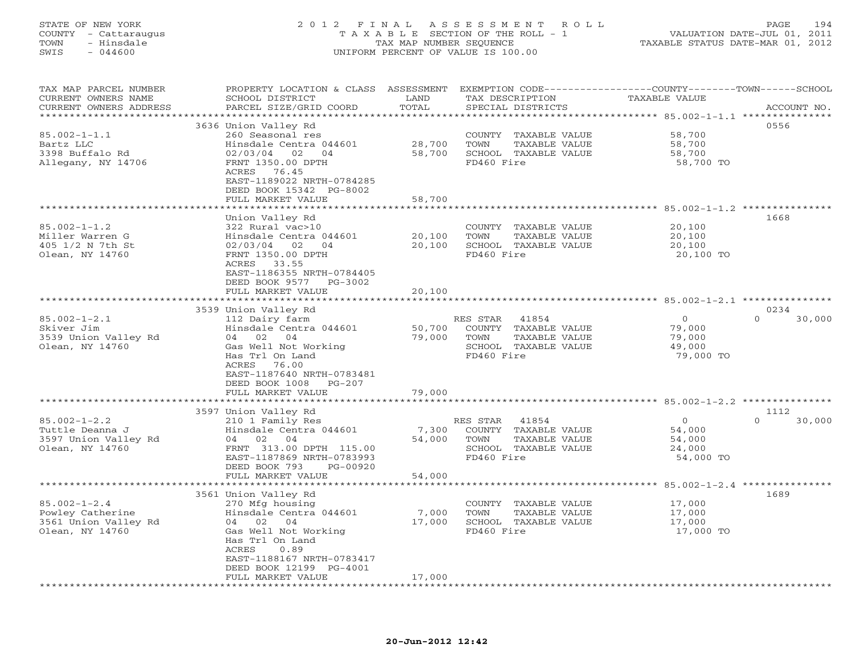# STATE OF NEW YORK 2 0 1 2 F I N A L A S S E S S M E N T R O L L PAGE 194 COUNTY - Cattaraugus T A X A B L E SECTION OF THE ROLL - 1 VALUATION DATE-JUL 01, 2011 TOWN - Hinsdale TAX MAP NUMBER SEQUENCE TAXABLE STATUS DATE-MAR 01, 2012 SWIS - 044600 UNIFORM PERCENT OF VALUE IS 100.00UNIFORM PERCENT OF VALUE IS 100.00

| TAX MAP PARCEL NUMBER<br>CURRENT OWNERS NAME<br>CURRENT OWNERS ADDRESS | PROPERTY LOCATION & CLASS ASSESSMENT<br>SCHOOL DISTRICT<br>PARCEL SIZE/GRID COORD | LAND<br>TOTAL     | TAX DESCRIPTION<br>SPECIAL DISTRICTS | EXEMPTION CODE-----------------COUNTY-------TOWN------SCHOOL<br>TAXABLE VALUE | ACCOUNT NO.                        |
|------------------------------------------------------------------------|-----------------------------------------------------------------------------------|-------------------|--------------------------------------|-------------------------------------------------------------------------------|------------------------------------|
| *********************                                                  | ***************************                                                       |                   |                                      |                                                                               |                                    |
|                                                                        | 3636 Union Valley Rd                                                              |                   |                                      |                                                                               | 0556                               |
| $85.002 - 1 - 1.1$                                                     | 260 Seasonal res                                                                  |                   | COUNTY TAXABLE VALUE                 | 58,700                                                                        |                                    |
| Bartz LLC                                                              | Hinsdale Centra 044601                                                            | 28,700            | TOWN<br>TAXABLE VALUE                | 58,700                                                                        |                                    |
| 3398 Buffalo Rd                                                        | 02/03/04<br>02<br>04                                                              | 58,700            | SCHOOL TAXABLE VALUE                 | 58,700                                                                        |                                    |
| Allegany, NY 14706                                                     | FRNT 1350.00 DPTH                                                                 |                   | FD460 Fire                           | 58,700 TO                                                                     |                                    |
|                                                                        | ACRES<br>76.45                                                                    |                   |                                      |                                                                               |                                    |
|                                                                        | EAST-1189022 NRTH-0784285                                                         |                   |                                      |                                                                               |                                    |
|                                                                        | DEED BOOK 15342 PG-8002                                                           |                   |                                      |                                                                               |                                    |
|                                                                        | FULL MARKET VALUE<br>**************                                               | 58,700            |                                      |                                                                               |                                    |
|                                                                        |                                                                                   |                   |                                      | ********** 85.002-1-1.2                                                       |                                    |
|                                                                        | Union Valley Rd                                                                   |                   |                                      |                                                                               | 1668                               |
| $85.002 - 1 - 1.2$<br>Miller Warren G                                  | 322 Rural vac>10                                                                  | 20,100            | COUNTY TAXABLE VALUE<br>TOWN         | 20,100                                                                        |                                    |
| 405 1/2 N 7th St                                                       | Hinsdale Centra 044601                                                            | 20,100            | TAXABLE VALUE                        | 20,100<br>20,100                                                              |                                    |
| Olean, NY 14760                                                        | 02/03/04<br>02<br>04<br>FRNT 1350.00 DPTH                                         |                   | SCHOOL TAXABLE VALUE<br>FD460 Fire   | 20,100 TO                                                                     |                                    |
|                                                                        | ACRES 33.55                                                                       |                   |                                      |                                                                               |                                    |
|                                                                        | EAST-1186355 NRTH-0784405                                                         |                   |                                      |                                                                               |                                    |
|                                                                        | DEED BOOK 9577<br>PG-3002                                                         |                   |                                      |                                                                               |                                    |
|                                                                        | FULL MARKET VALUE                                                                 | 20,100            |                                      |                                                                               |                                    |
|                                                                        | ******************                                                                |                   |                                      |                                                                               |                                    |
|                                                                        | 3539 Union Valley Rd                                                              |                   |                                      |                                                                               | 0234                               |
| $85.002 - 1 - 2.1$                                                     | 112 Dairy farm                                                                    |                   | 41854<br>RES STAR                    | $\Omega$                                                                      | $\Omega$<br>30,000                 |
| Skiver Jim                                                             | Hinsdale Centra 044601                                                            | 50,700            | COUNTY TAXABLE VALUE                 | 79,000                                                                        |                                    |
| 3539 Union Valley Rd                                                   | 04 02 04                                                                          | 79,000            | <b>TOWN</b><br>TAXABLE VALUE         | 79,000                                                                        |                                    |
| Olean, NY 14760                                                        | Gas Well Not Working                                                              |                   | SCHOOL TAXABLE VALUE                 | 49,000                                                                        |                                    |
|                                                                        | Has Trl On Land                                                                   |                   | FD460 Fire                           | 79,000 TO                                                                     |                                    |
|                                                                        | ACRES<br>76.00                                                                    |                   |                                      |                                                                               |                                    |
|                                                                        | EAST-1187640 NRTH-0783481                                                         |                   |                                      |                                                                               |                                    |
|                                                                        | DEED BOOK 1008<br>$PG-207$                                                        |                   |                                      |                                                                               |                                    |
|                                                                        | FULL MARKET VALUE                                                                 | 79,000<br>******* |                                      | ************** 85.002-1-2.2 ****************                                  |                                    |
|                                                                        | 3597 Union Valley Rd                                                              |                   |                                      |                                                                               | 1112                               |
| $85.002 - 1 - 2.2$                                                     | 210 1 Family Res                                                                  |                   | RES STAR<br>41854                    | $\circ$                                                                       | $\Omega$<br>30,000                 |
| Tuttle Deanna J                                                        | Hinsdale Centra 044601                                                            | 7,300             | COUNTY<br>TAXABLE VALUE              | 54,000                                                                        |                                    |
| 3597 Union Valley Rd                                                   | 04 02 04                                                                          | 54,000            | TOWN<br>TAXABLE VALUE                | 54,000                                                                        |                                    |
| Olean, NY 14760                                                        | FRNT 313.00 DPTH 115.00                                                           |                   | SCHOOL TAXABLE VALUE                 | 24,000                                                                        |                                    |
|                                                                        | EAST-1187869 NRTH-0783993                                                         |                   | FD460 Fire                           | 54,000 TO                                                                     |                                    |
|                                                                        | DEED BOOK 793<br>PG-00920                                                         |                   |                                      |                                                                               |                                    |
|                                                                        | FULL MARKET VALUE                                                                 | 54,000            |                                      |                                                                               |                                    |
|                                                                        | ***********************                                                           |                   | *********************                |                                                                               | $85.002 - 1 - 2.4$ *************** |
|                                                                        | 3561 Union Valley Rd                                                              |                   |                                      |                                                                               | 1689                               |
| $85.002 - 1 - 2.4$                                                     | 270 Mfg housing                                                                   |                   | COUNTY TAXABLE VALUE                 | 17,000                                                                        |                                    |
| Powley Catherine                                                       | Hinsdale Centra 044601                                                            | 7,000             | TOWN<br>TAXABLE VALUE                | 17,000                                                                        |                                    |
| 3561 Union Valley Rd                                                   | 04 02 04                                                                          | 17,000            | SCHOOL TAXABLE VALUE                 | 17,000                                                                        |                                    |
| Olean, NY 14760                                                        | Gas Well Not Working                                                              |                   | FD460 Fire                           | 17,000 TO                                                                     |                                    |
|                                                                        | Has Trl On Land                                                                   |                   |                                      |                                                                               |                                    |
|                                                                        | ACRES<br>0.89                                                                     |                   |                                      |                                                                               |                                    |
|                                                                        | EAST-1188167 NRTH-0783417<br>DEED BOOK 12199 PG-4001                              |                   |                                      |                                                                               |                                    |
|                                                                        | FULL MARKET VALUE                                                                 | 17,000            |                                      |                                                                               |                                    |
|                                                                        |                                                                                   |                   |                                      |                                                                               |                                    |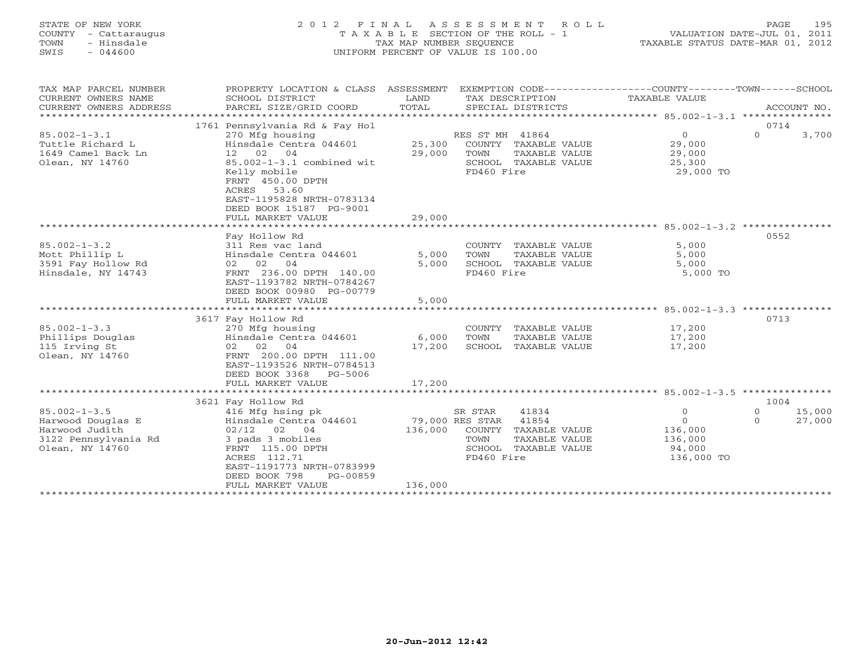# STATE OF NEW YORK 2 0 1 2 F I N A L A S S E S S M E N T R O L L PAGE 195 COUNTY - Cattaraugus T A X A B L E SECTION OF THE ROLL - 1 VALUATION DATE-JUL 01, 2011 TOWN - Hinsdale TAX MAP NUMBER SEQUENCE TAXABLE STATUS DATE-MAR 01, 2012 SWIS - 044600 UNIFORM PERCENT OF VALUE IS 100.00UNIFORM PERCENT OF VALUE IS 100.00

| EXEMPTION CODE-----------------COUNTY-------TOWN------SCHOOL<br>TAX MAP PARCEL NUMBER<br>ASSESSMENT<br>PROPERTY LOCATION & CLASS<br>CURRENT OWNERS NAME<br>SCHOOL DISTRICT<br>LAND<br>TAX DESCRIPTION<br>TAXABLE VALUE<br>TOTAL<br>CURRENT OWNERS ADDRESS<br>PARCEL SIZE/GRID COORD<br>SPECIAL DISTRICTS |                      | ACCOUNT NO. |
|----------------------------------------------------------------------------------------------------------------------------------------------------------------------------------------------------------------------------------------------------------------------------------------------------------|----------------------|-------------|
| 1761 Pennsylvania Rd & Fay Hol                                                                                                                                                                                                                                                                           | 0714                 |             |
| $85.002 - 1 - 3.1$<br>RES ST MH 41864<br>$\circ$<br>270 Mfg housing<br>Hinsdale Centra 044601<br>25,300<br>COUNTY TAXABLE VALUE<br>29,000<br>Tuttle Richard L                                                                                                                                            | $\Omega$             | 3,700       |
| 12 02<br>04<br>29,000<br>1649 Camel Back Ln<br>TOWN<br>TAXABLE VALUE<br>29,000                                                                                                                                                                                                                           |                      |             |
| 85.002-1-3.1 combined wit<br>Olean, NY 14760<br>SCHOOL TAXABLE VALUE<br>25,300                                                                                                                                                                                                                           |                      |             |
| Kelly mobile<br>FD460 Fire<br>29,000 TO<br>FRNT 450.00 DPTH<br>53.60<br>ACRES<br>EAST-1195828 NRTH-0783134<br>DEED BOOK 15187 PG-9001                                                                                                                                                                    |                      |             |
| 29,000<br>FULL MARKET VALUE                                                                                                                                                                                                                                                                              |                      |             |
|                                                                                                                                                                                                                                                                                                          |                      |             |
| Fay Hollow Rd                                                                                                                                                                                                                                                                                            | 0552                 |             |
| $85.002 - 1 - 3.2$<br>5,000<br>311 Res vac land<br>COUNTY TAXABLE VALUE                                                                                                                                                                                                                                  |                      |             |
| Mott Phillip L<br>Hinsdale Centra 044601<br>5,000<br>TOWN<br>TAXABLE VALUE<br>5,000                                                                                                                                                                                                                      |                      |             |
| 3591 Fay Hollow Rd<br>02 02 04<br>5,000<br>SCHOOL TAXABLE VALUE<br>5,000                                                                                                                                                                                                                                 |                      |             |
| FRNT 236.00 DPTH 140.00<br>Hinsdale, NY 14743<br>FD460 Fire<br>5,000 TO<br>EAST-1193782 NRTH-0784267<br>DEED BOOK 00980 PG-00779                                                                                                                                                                         |                      |             |
| FULL MARKET VALUE<br>5,000                                                                                                                                                                                                                                                                               |                      |             |
|                                                                                                                                                                                                                                                                                                          |                      |             |
| 3617 Fay Hollow Rd                                                                                                                                                                                                                                                                                       | 0713                 |             |
| $85.002 - 1 - 3.3$<br>270 Mfg housing<br>COUNTY TAXABLE VALUE<br>17,200                                                                                                                                                                                                                                  |                      |             |
| Phillips Douglas<br>Hinsdale Centra 044601<br>6,000<br>17,200<br>TOWN<br>TAXABLE VALUE                                                                                                                                                                                                                   |                      |             |
| 115 Irving St<br>02 02 04<br>17,200<br>SCHOOL TAXABLE VALUE<br>17,200<br>FRNT 200.00 DPTH 111.00<br>Olean, NY 14760                                                                                                                                                                                      |                      |             |
| EAST-1193526 NRTH-0784513                                                                                                                                                                                                                                                                                |                      |             |
| DEED BOOK 3368<br>PG-5006                                                                                                                                                                                                                                                                                |                      |             |
| FULL MARKET VALUE<br>17,200                                                                                                                                                                                                                                                                              |                      |             |
|                                                                                                                                                                                                                                                                                                          |                      |             |
| 3621 Fay Hollow Rd                                                                                                                                                                                                                                                                                       | 1004                 |             |
| $85.002 - 1 - 3.5$<br>416 Mfg hsing pk<br>SR STAR<br>41834<br>$\circ$<br>$\Omega$                                                                                                                                                                                                                        | $\Omega$<br>$\Omega$ | 15,000      |
| 79,000 RES STAR<br>41854<br>Harwood Douglas E<br>Hinsdale Centra 044601                                                                                                                                                                                                                                  |                      | 27,000      |
| Harwood Judith<br>$02/12$ 02 04<br>136,000<br>COUNTY TAXABLE VALUE<br>136,000                                                                                                                                                                                                                            |                      |             |
| 3122 Pennsylvania Rd<br>3 pads 3 mobiles<br>TOWN<br>TAXABLE VALUE<br>136,000                                                                                                                                                                                                                             |                      |             |
| Olean, NY 14760<br>FRNT 115.00 DPTH<br>SCHOOL TAXABLE VALUE<br>94,000<br>FD460 Fire                                                                                                                                                                                                                      |                      |             |
| ACRES 112.71<br>136,000 TO<br>EAST-1191773 NRTH-0783999                                                                                                                                                                                                                                                  |                      |             |
| DEED BOOK 798<br>PG-00859                                                                                                                                                                                                                                                                                |                      |             |
| 136,000<br>FULL MARKET VALUE                                                                                                                                                                                                                                                                             |                      |             |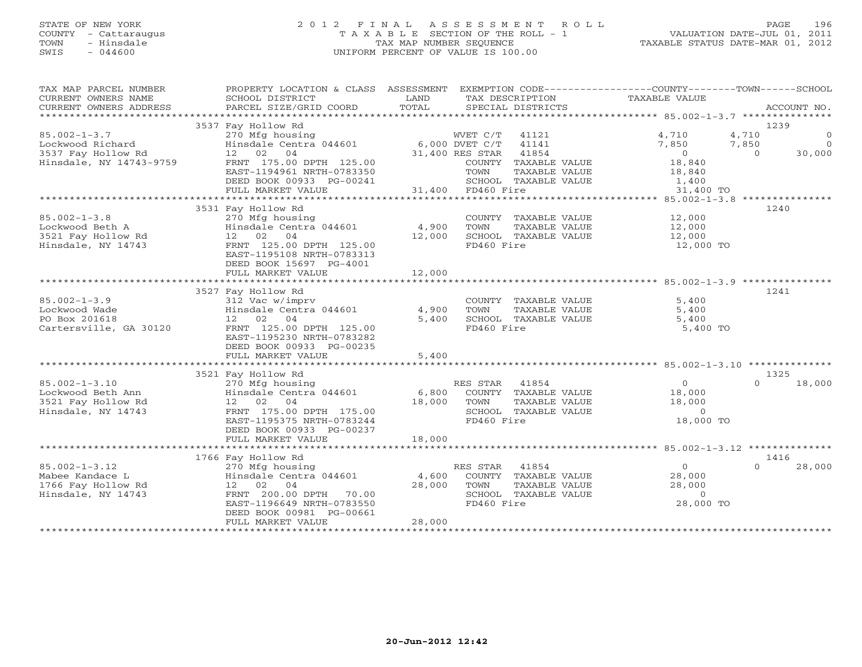# STATE OF NEW YORK 2 0 1 2 F I N A L A S S E S S M E N T R O L L PAGE 196 COUNTY - Cattaraugus T A X A B L E SECTION OF THE ROLL - 1 VALUATION DATE-JUL 01, 2011 TOWN - Hinsdale TAX MAP NUMBER SEQUENCE TAXABLE STATUS DATE-MAR 01, 2012 SWIS - 044600 UNIFORM PERCENT OF VALUE IS 100.00

| TAX MAP PARCEL NUMBER<br>CURRENT OWNERS NAME<br>CURRENT OWNERS ADDRESS | PROPERTY LOCATION & CLASS ASSESSMENT<br>SCHOOL DISTRICT<br>PARCEL SIZE/GRID COORD | LAND<br>TOTAL  | EXEMPTION CODE-----------------COUNTY-------TOWN------SCHOOL<br>TAX DESCRIPTION<br>SPECIAL DISTRICTS | TAXABLE VALUE      | ACCOUNT NO.                         |
|------------------------------------------------------------------------|-----------------------------------------------------------------------------------|----------------|------------------------------------------------------------------------------------------------------|--------------------|-------------------------------------|
|                                                                        |                                                                                   |                |                                                                                                      |                    |                                     |
| $85.002 - 1 - 3.7$                                                     | 3537 Fay Hollow Rd<br>270 Mfg housing                                             |                | WVET C/T 41121                                                                                       | 4,710              | 1239<br>4,710<br>$\overline{0}$     |
| Lockwood Richard                                                       | Hinsdale Centra 044601 6,000 DVET C/T<br>12 02 04                                 |                | 41141                                                                                                | 7,850              | $\Omega$<br>7,850<br>$\overline{0}$ |
| 3537 Fay Hollow Rd<br>Hinsdale, NY 14743-9759                          | FRNT 175.00 DPTH 125.00                                                           |                | 41854<br>31,400 RES STAR<br>COUNTY TAXABLE VALUE                                                     | $\Omega$<br>18,840 | 30,000                              |
|                                                                        | EAST-1194961 NRTH-0783350                                                         |                | TOWN<br>TAXABLE VALUE                                                                                | 18,840             |                                     |
|                                                                        | DEED BOOK 00933 PG-00241                                                          |                | SCHOOL TAXABLE VALUE                                                                                 | 1,400              |                                     |
|                                                                        | FULL MARKET VALUE                                                                 |                | 31,400 FD460 Fire                                                                                    | 31,400 TO          |                                     |
|                                                                        | 3531 Fay Hollow Rd                                                                |                |                                                                                                      |                    | 1240                                |
| $85.002 - 1 - 3.8$                                                     | 270 Mfg housing                                                                   |                | COUNTY TAXABLE VALUE                                                                                 | 12,000             |                                     |
| Lockwood Beth A                                                        | Hinsdale Centra 044601                                                            | 4,900          | TOWN<br>TAXABLE VALUE                                                                                | 12,000             |                                     |
| 3521 Fay Hollow Rd                                                     | 12 02 04                                                                          | 12,000         | SCHOOL TAXABLE VALUE                                                                                 | 12,000             |                                     |
| Hinsdale, NY 14743                                                     | FRNT 125.00 DPTH 125.00                                                           |                | FD460 Fire                                                                                           | 12,000 TO          |                                     |
|                                                                        | EAST-1195108 NRTH-0783313                                                         |                |                                                                                                      |                    |                                     |
|                                                                        | DEED BOOK 15697 PG-4001                                                           |                |                                                                                                      |                    |                                     |
|                                                                        | FULL MARKET VALUE                                                                 | 12,000         |                                                                                                      |                    |                                     |
|                                                                        |                                                                                   |                |                                                                                                      |                    |                                     |
|                                                                        | 3527 Fay Hollow Rd                                                                |                |                                                                                                      |                    | 1241                                |
| $85.002 - 1 - 3.9$                                                     | 312 Vac w/imprv                                                                   |                | COUNTY TAXABLE VALUE                                                                                 | 5,400              |                                     |
| Lockwood Wade<br>PO Box 201618                                         | Hinsdale Centra 044601<br>12 02 04                                                | 4,900<br>5,400 | TOWN<br>TAXABLE VALUE<br>SCHOOL TAXABLE VALUE                                                        | 5,400<br>5,400     |                                     |
| Cartersville, GA 30120                                                 | FRNT 125.00 DPTH 125.00                                                           |                | FD460 Fire                                                                                           | 5,400 TO           |                                     |
|                                                                        | EAST-1195230 NRTH-0783282                                                         |                |                                                                                                      |                    |                                     |
|                                                                        | DEED BOOK 00933 PG-00235                                                          |                |                                                                                                      |                    |                                     |
|                                                                        | FULL MARKET VALUE                                                                 | 5,400          |                                                                                                      |                    |                                     |
|                                                                        |                                                                                   |                |                                                                                                      |                    |                                     |
|                                                                        | 3521 Fay Hollow Rd                                                                |                |                                                                                                      |                    | 1325                                |
| $85.002 - 1 - 3.10$                                                    | 270 Mfg housing                                                                   |                | RES STAR<br>41854                                                                                    | $\overline{0}$     | 18,000<br>$\Omega$                  |
| Lockwood Beth Ann                                                      | z70 Mig nousing<br>Hinsdale Centra 044601                                         | 6,800          | COUNTY TAXABLE VALUE                                                                                 | 18,000             |                                     |
| 3521 Fay Hollow Rd                                                     | 12 02 04                                                                          | 18,000         | TOWN<br>TAXABLE VALUE                                                                                | 18,000             |                                     |
| Hinsdale, NY 14743                                                     | FRNT 175.00 DPTH 175.00                                                           |                | SCHOOL TAXABLE VALUE                                                                                 | $\Omega$           |                                     |
|                                                                        | EAST-1195375 NRTH-0783244                                                         |                | FD460 Fire                                                                                           | 18,000 TO          |                                     |
|                                                                        | DEED BOOK 00933 PG-00237<br>FULL MARKET VALUE                                     | 18,000         |                                                                                                      |                    |                                     |
|                                                                        |                                                                                   |                |                                                                                                      |                    |                                     |
|                                                                        | 1766 Fay Hollow Rd                                                                |                |                                                                                                      |                    | 1416                                |
| $85.002 - 1 - 3.12$                                                    | 270 Mfg housing                                                                   |                | 41854<br>RES STAR                                                                                    | 0                  | $\Omega$<br>28,000                  |
| Mabee Kandace L                                                        | Hinsdale Centra 044601                                                            | 4,600          | COUNTY TAXABLE VALUE                                                                                 | 28,000             |                                     |
| 1766 Fay Hollow Rd                                                     | 12 02 04                                                                          | 28,000         | TOWN<br>TAXABLE VALUE                                                                                | 28,000             |                                     |
| Hinsdale, NY 14743                                                     | FRNT 200.00 DPTH 70.00                                                            |                | SCHOOL TAXABLE VALUE                                                                                 | $\Omega$           |                                     |
|                                                                        | EAST-1196649 NRTH-0783550                                                         |                | FD460 Fire                                                                                           | 28,000 TO          |                                     |
|                                                                        | DEED BOOK 00981 PG-00661                                                          |                |                                                                                                      |                    |                                     |
|                                                                        | FULL MARKET VALUE                                                                 | 28,000         |                                                                                                      |                    |                                     |
|                                                                        |                                                                                   |                |                                                                                                      |                    |                                     |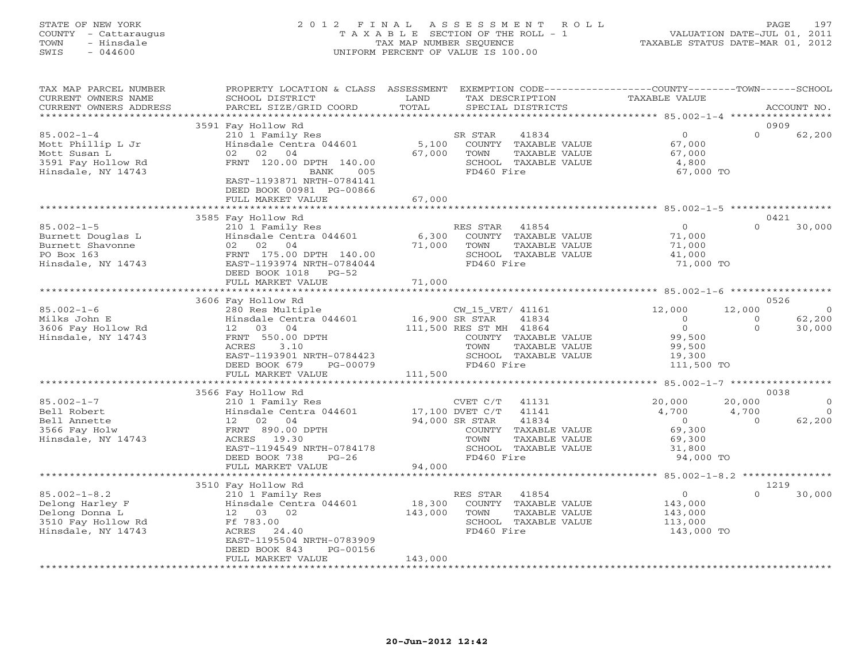# STATE OF NEW YORK 2 0 1 2 F I N A L A S S E S S M E N T R O L L PAGE 197 COUNTY - Cattaraugus T A X A B L E SECTION OF THE ROLL - 1 VALUATION DATE-JUL 01, 2011 TOWN - Hinsdale TAX MAP NUMBER SEQUENCE TAXABLE STATUS DATE-MAR 01, 2012 SWIS - 044600 UNIFORM PERCENT OF VALUE IS 100.00UNIFORM PERCENT OF VALUE IS 100.00

| TAX MAP PARCEL NUMBER<br>CURRENT OWNERS NAME<br>CURRENT OWNERS ADDRESS                              | PROPERTY LOCATION & CLASS ASSESSMENT<br>SCHOOL DISTRICT<br>PARCEL SIZE/GRID COORD                                                                                                                    | LAND<br>TOTAL                     | EXEMPTION CODE-----------------COUNTY-------TOWN------SCHOOL<br>TAX DESCRIPTION<br>SPECIAL DISTRICTS                                        | <b>TAXABLE VALUE</b>                                                         |                                | ACCOUNT NO.                          |
|-----------------------------------------------------------------------------------------------------|------------------------------------------------------------------------------------------------------------------------------------------------------------------------------------------------------|-----------------------------------|---------------------------------------------------------------------------------------------------------------------------------------------|------------------------------------------------------------------------------|--------------------------------|--------------------------------------|
| *********************                                                                               |                                                                                                                                                                                                      |                                   |                                                                                                                                             |                                                                              |                                |                                      |
| $85.002 - 1 - 4$<br>Mott Phillip L Jr<br>Mott Susan L<br>3591 Fay Hollow Rd<br>Hinsdale, NY 14743   | 3591 Fay Hollow Rd<br>210 1 Family Res<br>Hinsdale Centra 044601<br>02 02 04<br>FRNT 120.00 DPTH 140.00<br>BANK<br>005<br>EAST-1193871 NRTH-0784141<br>DEED BOOK 00981 PG-00866<br>FULL MARKET VALUE | 5,100<br>67,000<br>67,000         | SR STAR<br>41834<br>COUNTY TAXABLE VALUE<br>TOWN<br>TAXABLE VALUE<br>SCHOOL TAXABLE VALUE<br>FD460 Fire                                     | $\overline{0}$<br>67,000<br>67,000<br>4,800<br>67,000 TO                     | $\Omega$                       | 0909<br>62,200                       |
|                                                                                                     | **************************                                                                                                                                                                           |                                   |                                                                                                                                             |                                                                              |                                |                                      |
| $85.002 - 1 - 5$<br>Burnett Douglas L<br>Burnett Shavonne<br>PO Box 163<br>Hinsdale, NY 14743       | 3585 Fay Hollow Rd<br>210 1 Family Res<br>Hinsdale Centra 044601<br>02 02 04<br>FRNT 175.00 DPTH 140.00<br>EAST-1193974 NRTH-0784044<br>DEED BOOK 1018 PG-52                                         | 6,300<br>71,000                   | RES STAR<br>41854<br>COUNTY TAXABLE VALUE<br>TOWN<br>TAXABLE VALUE<br>SCHOOL TAXABLE VALUE<br>FD460 Fire                                    | $\overline{0}$<br>71,000<br>71,000<br>41,000<br>71,000 TO                    | $\Omega$                       | 0421<br>30,000                       |
|                                                                                                     | FULL MARKET VALUE                                                                                                                                                                                    | 71,000                            |                                                                                                                                             |                                                                              |                                |                                      |
|                                                                                                     |                                                                                                                                                                                                      |                                   |                                                                                                                                             |                                                                              |                                |                                      |
| $85.002 - 1 - 6$<br>Milks John E<br>3606 Fay Hollow Rd<br>Hinsdale, NY 14743                        | 3606 Fay Hollow Rd<br>280 Res Multiple<br>Hinsdale Centra 044601<br>12 03 04<br>FRNT 550.00 DPTH<br>ACRES<br>3.10<br>EAST-1193901 NRTH-0784423<br>DEED BOOK 679<br>PG-00079<br>FULL MARKET VALUE     | 16,900 SR STAR<br>111,500         | CW_15_VET/ 41161<br>41834<br>111,500 RES ST MH 41864<br>COUNTY TAXABLE VALUE<br>TOWN<br>TAXABLE VALUE<br>SCHOOL TAXABLE VALUE<br>FD460 Fire | 12,000<br>$\circ$<br>$\Omega$<br>99,500<br>99,500<br>19,300<br>111,500 TO    | 12,000<br>$\Omega$<br>$\Omega$ | 0526<br>$\Omega$<br>62,200<br>30,000 |
|                                                                                                     | **************************                                                                                                                                                                           |                                   |                                                                                                                                             |                                                                              |                                |                                      |
|                                                                                                     | 3566 Fay Hollow Rd                                                                                                                                                                                   |                                   |                                                                                                                                             |                                                                              |                                | 0038                                 |
| $85.002 - 1 - 7$<br>Bell Robert<br>Bell Annette<br>3566 Fay Holw<br>Hinsdale, NY 14743              | 210 1 Family Res<br>Hinsdale Centra 044601<br>12 02 04<br>FRNT 890.00 DPTH<br>ACRES 19.30<br>EAST-1194549 NRTH-0784178<br>DEED BOOK 738<br>$PG-26$                                                   | 17,100 DVET C/T<br>94,000 SR STAR | CVET C/T<br>41131<br>41141<br>41834<br>COUNTY TAXABLE VALUE<br>TOWN<br>TAXABLE VALUE<br>SCHOOL TAXABLE VALUE<br>FD460 Fire                  | 20,000<br>4,700<br>$\overline{0}$<br>69,300<br>69,300<br>31,800<br>94,000 TO | 20,000<br>4,700<br>$\Omega$    | $\Omega$<br>$\Omega$<br>62,200       |
|                                                                                                     | FULL MARKET VALUE                                                                                                                                                                                    | 94,000                            |                                                                                                                                             |                                                                              |                                |                                      |
|                                                                                                     | 3510 Fay Hollow Rd                                                                                                                                                                                   |                                   |                                                                                                                                             |                                                                              |                                | 1219                                 |
| $85.002 - 1 - 8.2$<br>Delong Harley F<br>Delong Donna L<br>3510 Fay Hollow Rd<br>Hinsdale, NY 14743 | 210 1 Family Res<br>Hinsdale Centra 044601<br>12 03 02<br>Ff 783.00<br>ACRES<br>24.40<br>EAST-1195504 NRTH-0783909                                                                                   | 18,300<br>143,000                 | RES STAR<br>41854<br>COUNTY TAXABLE VALUE<br>TOWN<br>TAXABLE VALUE<br>SCHOOL TAXABLE VALUE<br>FD460 Fire                                    | $\overline{0}$<br>143,000<br>143,000<br>113,000<br>143,000 TO                | $\Omega$                       | 30,000                               |
|                                                                                                     | DEED BOOK 843<br>PG-00156<br>FULL MARKET VALUE                                                                                                                                                       | 143,000                           |                                                                                                                                             |                                                                              |                                |                                      |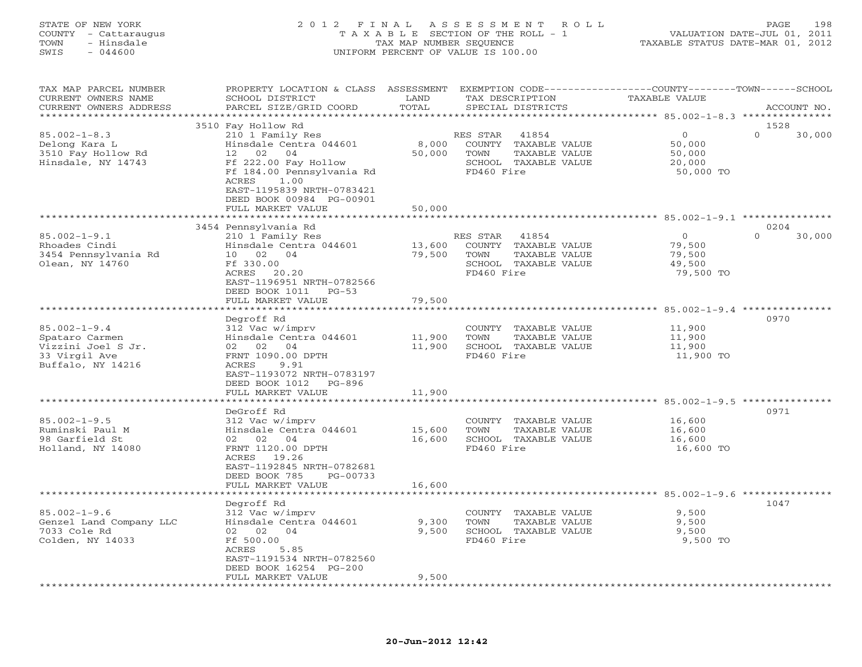# STATE OF NEW YORK 2 0 1 2 F I N A L A S S E S S M E N T R O L L PAGE 198 COUNTY - Cattaraugus T A X A B L E SECTION OF THE ROLL - 1 VALUATION DATE-JUL 01, 2011 TOWN - Hinsdale TAX MAP NUMBER SEQUENCE TAXABLE STATUS DATE-MAR 01, 2012 SWIS - 044600 UNIFORM PERCENT OF VALUE IS 100.00UNIFORM PERCENT OF VALUE IS 100.00

| TAX MAP PARCEL NUMBER<br>CURRENT OWNERS NAME<br>CURRENT OWNERS ADDRESS                           | PROPERTY LOCATION & CLASS ASSESSMENT<br>SCHOOL DISTRICT<br>PARCEL SIZE/GRID COORD                                                                                                                                              | LAND<br>TOTAL              | TAX DESCRIPTION<br>SPECIAL DISTRICTS                                                                     | EXEMPTION CODE-----------------COUNTY-------TOWN------SCHOOL<br>TAXABLE VALUE<br>ACCOUNT NO. |
|--------------------------------------------------------------------------------------------------|--------------------------------------------------------------------------------------------------------------------------------------------------------------------------------------------------------------------------------|----------------------------|----------------------------------------------------------------------------------------------------------|----------------------------------------------------------------------------------------------|
|                                                                                                  |                                                                                                                                                                                                                                | * * * * * * * *            |                                                                                                          | ********** 85.002-1-8.3 ***************                                                      |
| $85.002 - 1 - 8.3$<br>Delong Kara L<br>3510 Fay Hollow Rd<br>Hinsdale, NY 14743                  | 3510 Fay Hollow Rd<br>210 1 Family Res<br>Hinsdale Centra 044601<br>02<br>12 <sup>7</sup><br>04<br>Ff 222.00 Fay Hollow<br>Ff 184.00 Pennsylvania Rd<br>ACRES<br>1.00<br>EAST-1195839 NRTH-0783421<br>DEED BOOK 00984 PG-00901 | 8,000<br>50,000            | 41854<br>RES STAR<br>COUNTY TAXABLE VALUE<br>TOWN<br>TAXABLE VALUE<br>SCHOOL TAXABLE VALUE<br>FD460 Fire | 1528<br>$\Omega$<br>$\Omega$<br>30,000<br>50,000<br>50,000<br>20,000<br>50,000 TO            |
|                                                                                                  | FULL MARKET VALUE<br>*********************                                                                                                                                                                                     | 50,000<br>***********      |                                                                                                          |                                                                                              |
|                                                                                                  |                                                                                                                                                                                                                                |                            |                                                                                                          |                                                                                              |
| $85.002 - 1 - 9.1$<br>Rhoades Cindi<br>3454 Pennsylvania Rd<br>Olean, NY 14760                   | 3454 Pennsylvania Rd<br>210 1 Family Res<br>Hinsdale Centra 044601<br>10<br>02<br>04<br>Ff 330.00<br>ACRES 20.20<br>EAST-1196951 NRTH-0782566<br>DEED BOOK 1011<br>$PG-53$                                                     | 13,600<br>79,500           | RES STAR<br>41854<br>COUNTY TAXABLE VALUE<br>TOWN<br>TAXABLE VALUE<br>SCHOOL TAXABLE VALUE<br>FD460 Fire | 0204<br>$\Omega$<br>$\circ$<br>30,000<br>79,500<br>79,500<br>49,500<br>79,500 TO             |
|                                                                                                  | FULL MARKET VALUE                                                                                                                                                                                                              | 79,500                     |                                                                                                          |                                                                                              |
|                                                                                                  |                                                                                                                                                                                                                                | ************               |                                                                                                          | ************************* 85.002-1-9.4 ***************                                       |
| $85.002 - 1 - 9.4$<br>Spataro Carmen<br>Vizzini Joel S Jr.<br>33 Virgil Ave<br>Buffalo, NY 14216 | Degroff Rd<br>312 Vac w/imprv<br>Hinsdale Centra 044601<br>02<br>02<br>04<br>FRNT 1090.00 DPTH<br>ACRES<br>9.91<br>EAST-1193072 NRTH-0783197<br>DEED BOOK 1012<br>PG-896<br>FULL MARKET VALUE                                  | 11,900<br>11,900<br>11,900 | COUNTY TAXABLE VALUE<br>TOWN<br>TAXABLE VALUE<br>SCHOOL TAXABLE VALUE<br>FD460 Fire                      | 0970<br>11,900<br>11,900<br>11,900<br>11,900 TO                                              |
|                                                                                                  |                                                                                                                                                                                                                                | *********                  |                                                                                                          | ******************************* 85.002-1-9.5 ***************                                 |
| $85.002 - 1 - 9.5$<br>Ruminski Paul M<br>98 Garfield St<br>Holland, NY 14080                     | DeGroff Rd<br>312 Vac w/imprv<br>Hinsdale Centra 044601<br>02 02 04<br>FRNT 1120.00 DPTH<br>ACRES 19.26<br>EAST-1192845 NRTH-0782681<br>DEED BOOK 785<br>PG-00733                                                              | 15,600<br>16,600           | COUNTY TAXABLE VALUE<br>TOWN<br>TAXABLE VALUE<br>SCHOOL TAXABLE VALUE<br>FD460 Fire                      | 0971<br>16,600<br>16,600<br>16,600<br>16,600 TO                                              |
|                                                                                                  | FULL MARKET VALUE                                                                                                                                                                                                              | 16,600                     |                                                                                                          |                                                                                              |
|                                                                                                  |                                                                                                                                                                                                                                |                            |                                                                                                          |                                                                                              |
| $85.002 - 1 - 9.6$<br>Genzel Land Company LLC<br>7033 Cole Rd<br>Colden, NY 14033                | Degroff Rd<br>312 Vac w/imprv<br>Hinsdale Centra 044601<br>02<br>04<br>02<br>Ff 500.00<br>ACRES<br>5.85<br>EAST-1191534 NRTH-0782560<br>DEED BOOK 16254 PG-200                                                                 | 9,300<br>9,500             | COUNTY TAXABLE VALUE<br>TOWN<br>TAXABLE VALUE<br>SCHOOL TAXABLE VALUE<br>FD460 Fire                      | 1047<br>9,500<br>9,500<br>9,500<br>9,500 TO                                                  |
| *********************                                                                            | FULL MARKET VALUE<br>***********************                                                                                                                                                                                   | 9,500                      |                                                                                                          |                                                                                              |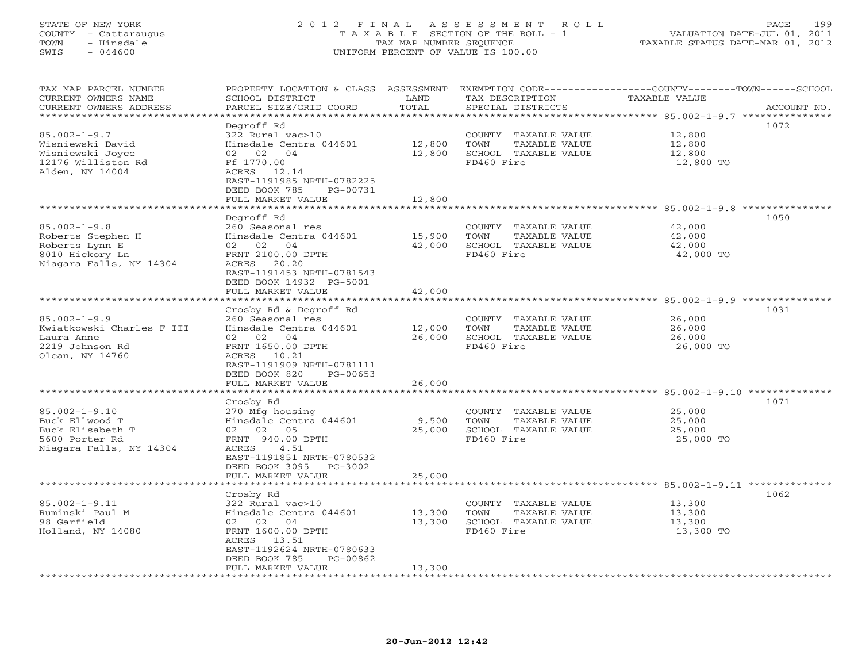# STATE OF NEW YORK 2 0 1 2 F I N A L A S S E S S M E N T R O L L PAGE 199 COUNTY - Cattaraugus T A X A B L E SECTION OF THE ROLL - 1 VALUATION DATE-JUL 01, 2011 TOWN - Hinsdale TAX MAP NUMBER SEQUENCE TAXABLE STATUS DATE-MAR 01, 2012 SWIS - 044600 UNIFORM PERCENT OF VALUE IS 100.00UNIFORM PERCENT OF VALUE IS 100.00

| *********************<br>Degroff Rd<br>1072<br>$85.002 - 1 - 9.7$<br>322 Rural vac>10<br>12,800<br>COUNTY TAXABLE VALUE<br>12,800<br>Wisniewski David<br>Hinsdale Centra 044601<br>TOWN<br>TAXABLE VALUE<br>12,800<br>12,800<br>SCHOOL TAXABLE VALUE<br>Wisniewski Joyce<br>02 02<br>04<br>12,800<br>FD460 Fire<br>12176 Williston Rd<br>Ff 1770.00<br>12,800 TO<br>Alden, NY 14004<br>ACRES 12.14<br>EAST-1191985 NRTH-0782225<br>DEED BOOK 785<br>PG-00731<br>FULL MARKET VALUE<br>12,800<br>1050<br>Degroff Rd<br>$85.002 - 1 - 9.8$<br>260 Seasonal res<br>42,000<br>COUNTY TAXABLE VALUE<br>Hinsdale Centra 044601<br>15,900<br><b>TOWN</b><br>TAXABLE VALUE<br>42,000<br>Roberts Stephen H<br>42,000<br>Roberts Lynn E<br>02 02<br>04<br>SCHOOL TAXABLE VALUE<br>42,000<br>8010 Hickory Ln<br>FRNT 2100.00 DPTH<br>FD460 Fire<br>42,000 TO<br>Niagara Falls, NY 14304<br>ACRES<br>20.20<br>EAST-1191453 NRTH-0781543<br>DEED BOOK 14932 PG-5001<br>FULL MARKET VALUE<br>42,000<br>******************<br>******************************* 85.002-1-9.9 ***************<br>************<br>1031<br>Crosby Rd & Degroff Rd<br>$85.002 - 1 - 9.9$<br>260 Seasonal res<br>26,000<br>COUNTY TAXABLE VALUE<br>Kwiatkowski Charles F III<br>Hinsdale Centra 044601<br>12,000<br>26,000<br>TOWN<br>TAXABLE VALUE<br>Laura Anne<br>02<br>04<br>26,000<br>SCHOOL TAXABLE VALUE<br>26,000<br>02<br>FRNT 1650.00 DPTH<br>FD460 Fire<br>26,000 TO<br>2219 Johnson Rd<br>Olean, NY 14760<br>ACRES 10.21<br>EAST-1191909 NRTH-0781111<br>DEED BOOK 820<br>PG-00653<br>FULL MARKET VALUE<br>26,000<br>***************** 85.002-1-9.10 *********<br>1071<br>Crosby Rd<br>$85.002 - 1 - 9.10$<br>270 Mfg housing<br>25,000<br>COUNTY TAXABLE VALUE<br>9,500<br>Buck Ellwood T<br>Hinsdale Centra 044601<br>TOWN<br>TAXABLE VALUE<br>25,000<br>Buck Elisabeth T<br>02 02 05<br>25,000<br>SCHOOL TAXABLE VALUE<br>25,000<br>5600 Porter Rd<br>FRNT 940.00 DPTH<br>FD460 Fire<br>25,000 TO<br>Niagara Falls, NY 14304<br>ACRES<br>4.51<br>EAST-1191851 NRTH-0780532<br>DEED BOOK 3095 PG-3002<br>FULL MARKET VALUE<br>25,000<br>********************************* 85.002-1-9.11 **************<br>1062<br>Crosby Rd<br>$85.002 - 1 - 9.11$<br>13,300<br>322 Rural vac>10<br>COUNTY<br>TAXABLE VALUE<br>Ruminski Paul M<br>Hinsdale Centra 044601<br>13,300<br>TOWN<br>TAXABLE VALUE<br>13,300<br>98 Garfield<br>13,300<br>SCHOOL TAXABLE VALUE<br>02 02<br>04<br>13,300<br>FD460 Fire<br>Holland, NY 14080<br>FRNT 1600.00 DPTH<br>13,300 TO<br>ACRES<br>13.51<br>EAST-1192624 NRTH-0780633<br>DEED BOOK 785<br>PG-00862<br>13,300<br>FULL MARKET VALUE<br>* * * * * * * * * * * * * * * * * * | TAX MAP PARCEL NUMBER<br>CURRENT OWNERS NAME | PROPERTY LOCATION & CLASS ASSESSMENT<br>SCHOOL DISTRICT | LAND  | TAX DESCRIPTION   | EXEMPTION CODE-----------------COUNTY-------TOWN-----SCHOOL<br>TAXABLE VALUE |
|-------------------------------------------------------------------------------------------------------------------------------------------------------------------------------------------------------------------------------------------------------------------------------------------------------------------------------------------------------------------------------------------------------------------------------------------------------------------------------------------------------------------------------------------------------------------------------------------------------------------------------------------------------------------------------------------------------------------------------------------------------------------------------------------------------------------------------------------------------------------------------------------------------------------------------------------------------------------------------------------------------------------------------------------------------------------------------------------------------------------------------------------------------------------------------------------------------------------------------------------------------------------------------------------------------------------------------------------------------------------------------------------------------------------------------------------------------------------------------------------------------------------------------------------------------------------------------------------------------------------------------------------------------------------------------------------------------------------------------------------------------------------------------------------------------------------------------------------------------------------------------------------------------------------------------------------------------------------------------------------------------------------------------------------------------------------------------------------------------------------------------------------------------------------------------------------------------------------------------------------------------------------------------------------------------------------------------------------------------------------------------------------------------------------------------------------------------------------------------------------------------------------------------------------------------------------------------------------------------------------------------------------------------------------------------|----------------------------------------------|---------------------------------------------------------|-------|-------------------|------------------------------------------------------------------------------|
|                                                                                                                                                                                                                                                                                                                                                                                                                                                                                                                                                                                                                                                                                                                                                                                                                                                                                                                                                                                                                                                                                                                                                                                                                                                                                                                                                                                                                                                                                                                                                                                                                                                                                                                                                                                                                                                                                                                                                                                                                                                                                                                                                                                                                                                                                                                                                                                                                                                                                                                                                                                                                                                                               | CURRENT OWNERS ADDRESS                       | PARCEL SIZE/GRID COORD                                  | TOTAL | SPECIAL DISTRICTS | ACCOUNT NO.                                                                  |
|                                                                                                                                                                                                                                                                                                                                                                                                                                                                                                                                                                                                                                                                                                                                                                                                                                                                                                                                                                                                                                                                                                                                                                                                                                                                                                                                                                                                                                                                                                                                                                                                                                                                                                                                                                                                                                                                                                                                                                                                                                                                                                                                                                                                                                                                                                                                                                                                                                                                                                                                                                                                                                                                               |                                              |                                                         |       |                   |                                                                              |
|                                                                                                                                                                                                                                                                                                                                                                                                                                                                                                                                                                                                                                                                                                                                                                                                                                                                                                                                                                                                                                                                                                                                                                                                                                                                                                                                                                                                                                                                                                                                                                                                                                                                                                                                                                                                                                                                                                                                                                                                                                                                                                                                                                                                                                                                                                                                                                                                                                                                                                                                                                                                                                                                               |                                              |                                                         |       |                   |                                                                              |
|                                                                                                                                                                                                                                                                                                                                                                                                                                                                                                                                                                                                                                                                                                                                                                                                                                                                                                                                                                                                                                                                                                                                                                                                                                                                                                                                                                                                                                                                                                                                                                                                                                                                                                                                                                                                                                                                                                                                                                                                                                                                                                                                                                                                                                                                                                                                                                                                                                                                                                                                                                                                                                                                               |                                              |                                                         |       |                   |                                                                              |
|                                                                                                                                                                                                                                                                                                                                                                                                                                                                                                                                                                                                                                                                                                                                                                                                                                                                                                                                                                                                                                                                                                                                                                                                                                                                                                                                                                                                                                                                                                                                                                                                                                                                                                                                                                                                                                                                                                                                                                                                                                                                                                                                                                                                                                                                                                                                                                                                                                                                                                                                                                                                                                                                               |                                              |                                                         |       |                   |                                                                              |
|                                                                                                                                                                                                                                                                                                                                                                                                                                                                                                                                                                                                                                                                                                                                                                                                                                                                                                                                                                                                                                                                                                                                                                                                                                                                                                                                                                                                                                                                                                                                                                                                                                                                                                                                                                                                                                                                                                                                                                                                                                                                                                                                                                                                                                                                                                                                                                                                                                                                                                                                                                                                                                                                               |                                              |                                                         |       |                   |                                                                              |
|                                                                                                                                                                                                                                                                                                                                                                                                                                                                                                                                                                                                                                                                                                                                                                                                                                                                                                                                                                                                                                                                                                                                                                                                                                                                                                                                                                                                                                                                                                                                                                                                                                                                                                                                                                                                                                                                                                                                                                                                                                                                                                                                                                                                                                                                                                                                                                                                                                                                                                                                                                                                                                                                               |                                              |                                                         |       |                   |                                                                              |
|                                                                                                                                                                                                                                                                                                                                                                                                                                                                                                                                                                                                                                                                                                                                                                                                                                                                                                                                                                                                                                                                                                                                                                                                                                                                                                                                                                                                                                                                                                                                                                                                                                                                                                                                                                                                                                                                                                                                                                                                                                                                                                                                                                                                                                                                                                                                                                                                                                                                                                                                                                                                                                                                               |                                              |                                                         |       |                   |                                                                              |
|                                                                                                                                                                                                                                                                                                                                                                                                                                                                                                                                                                                                                                                                                                                                                                                                                                                                                                                                                                                                                                                                                                                                                                                                                                                                                                                                                                                                                                                                                                                                                                                                                                                                                                                                                                                                                                                                                                                                                                                                                                                                                                                                                                                                                                                                                                                                                                                                                                                                                                                                                                                                                                                                               |                                              |                                                         |       |                   |                                                                              |
|                                                                                                                                                                                                                                                                                                                                                                                                                                                                                                                                                                                                                                                                                                                                                                                                                                                                                                                                                                                                                                                                                                                                                                                                                                                                                                                                                                                                                                                                                                                                                                                                                                                                                                                                                                                                                                                                                                                                                                                                                                                                                                                                                                                                                                                                                                                                                                                                                                                                                                                                                                                                                                                                               |                                              |                                                         |       |                   |                                                                              |
|                                                                                                                                                                                                                                                                                                                                                                                                                                                                                                                                                                                                                                                                                                                                                                                                                                                                                                                                                                                                                                                                                                                                                                                                                                                                                                                                                                                                                                                                                                                                                                                                                                                                                                                                                                                                                                                                                                                                                                                                                                                                                                                                                                                                                                                                                                                                                                                                                                                                                                                                                                                                                                                                               |                                              |                                                         |       |                   |                                                                              |
|                                                                                                                                                                                                                                                                                                                                                                                                                                                                                                                                                                                                                                                                                                                                                                                                                                                                                                                                                                                                                                                                                                                                                                                                                                                                                                                                                                                                                                                                                                                                                                                                                                                                                                                                                                                                                                                                                                                                                                                                                                                                                                                                                                                                                                                                                                                                                                                                                                                                                                                                                                                                                                                                               |                                              |                                                         |       |                   |                                                                              |
|                                                                                                                                                                                                                                                                                                                                                                                                                                                                                                                                                                                                                                                                                                                                                                                                                                                                                                                                                                                                                                                                                                                                                                                                                                                                                                                                                                                                                                                                                                                                                                                                                                                                                                                                                                                                                                                                                                                                                                                                                                                                                                                                                                                                                                                                                                                                                                                                                                                                                                                                                                                                                                                                               |                                              |                                                         |       |                   |                                                                              |
|                                                                                                                                                                                                                                                                                                                                                                                                                                                                                                                                                                                                                                                                                                                                                                                                                                                                                                                                                                                                                                                                                                                                                                                                                                                                                                                                                                                                                                                                                                                                                                                                                                                                                                                                                                                                                                                                                                                                                                                                                                                                                                                                                                                                                                                                                                                                                                                                                                                                                                                                                                                                                                                                               |                                              |                                                         |       |                   |                                                                              |
|                                                                                                                                                                                                                                                                                                                                                                                                                                                                                                                                                                                                                                                                                                                                                                                                                                                                                                                                                                                                                                                                                                                                                                                                                                                                                                                                                                                                                                                                                                                                                                                                                                                                                                                                                                                                                                                                                                                                                                                                                                                                                                                                                                                                                                                                                                                                                                                                                                                                                                                                                                                                                                                                               |                                              |                                                         |       |                   |                                                                              |
|                                                                                                                                                                                                                                                                                                                                                                                                                                                                                                                                                                                                                                                                                                                                                                                                                                                                                                                                                                                                                                                                                                                                                                                                                                                                                                                                                                                                                                                                                                                                                                                                                                                                                                                                                                                                                                                                                                                                                                                                                                                                                                                                                                                                                                                                                                                                                                                                                                                                                                                                                                                                                                                                               |                                              |                                                         |       |                   |                                                                              |
|                                                                                                                                                                                                                                                                                                                                                                                                                                                                                                                                                                                                                                                                                                                                                                                                                                                                                                                                                                                                                                                                                                                                                                                                                                                                                                                                                                                                                                                                                                                                                                                                                                                                                                                                                                                                                                                                                                                                                                                                                                                                                                                                                                                                                                                                                                                                                                                                                                                                                                                                                                                                                                                                               |                                              |                                                         |       |                   |                                                                              |
|                                                                                                                                                                                                                                                                                                                                                                                                                                                                                                                                                                                                                                                                                                                                                                                                                                                                                                                                                                                                                                                                                                                                                                                                                                                                                                                                                                                                                                                                                                                                                                                                                                                                                                                                                                                                                                                                                                                                                                                                                                                                                                                                                                                                                                                                                                                                                                                                                                                                                                                                                                                                                                                                               |                                              |                                                         |       |                   |                                                                              |
|                                                                                                                                                                                                                                                                                                                                                                                                                                                                                                                                                                                                                                                                                                                                                                                                                                                                                                                                                                                                                                                                                                                                                                                                                                                                                                                                                                                                                                                                                                                                                                                                                                                                                                                                                                                                                                                                                                                                                                                                                                                                                                                                                                                                                                                                                                                                                                                                                                                                                                                                                                                                                                                                               |                                              |                                                         |       |                   |                                                                              |
|                                                                                                                                                                                                                                                                                                                                                                                                                                                                                                                                                                                                                                                                                                                                                                                                                                                                                                                                                                                                                                                                                                                                                                                                                                                                                                                                                                                                                                                                                                                                                                                                                                                                                                                                                                                                                                                                                                                                                                                                                                                                                                                                                                                                                                                                                                                                                                                                                                                                                                                                                                                                                                                                               |                                              |                                                         |       |                   |                                                                              |
|                                                                                                                                                                                                                                                                                                                                                                                                                                                                                                                                                                                                                                                                                                                                                                                                                                                                                                                                                                                                                                                                                                                                                                                                                                                                                                                                                                                                                                                                                                                                                                                                                                                                                                                                                                                                                                                                                                                                                                                                                                                                                                                                                                                                                                                                                                                                                                                                                                                                                                                                                                                                                                                                               |                                              |                                                         |       |                   |                                                                              |
|                                                                                                                                                                                                                                                                                                                                                                                                                                                                                                                                                                                                                                                                                                                                                                                                                                                                                                                                                                                                                                                                                                                                                                                                                                                                                                                                                                                                                                                                                                                                                                                                                                                                                                                                                                                                                                                                                                                                                                                                                                                                                                                                                                                                                                                                                                                                                                                                                                                                                                                                                                                                                                                                               |                                              |                                                         |       |                   |                                                                              |
|                                                                                                                                                                                                                                                                                                                                                                                                                                                                                                                                                                                                                                                                                                                                                                                                                                                                                                                                                                                                                                                                                                                                                                                                                                                                                                                                                                                                                                                                                                                                                                                                                                                                                                                                                                                                                                                                                                                                                                                                                                                                                                                                                                                                                                                                                                                                                                                                                                                                                                                                                                                                                                                                               |                                              |                                                         |       |                   |                                                                              |
|                                                                                                                                                                                                                                                                                                                                                                                                                                                                                                                                                                                                                                                                                                                                                                                                                                                                                                                                                                                                                                                                                                                                                                                                                                                                                                                                                                                                                                                                                                                                                                                                                                                                                                                                                                                                                                                                                                                                                                                                                                                                                                                                                                                                                                                                                                                                                                                                                                                                                                                                                                                                                                                                               |                                              |                                                         |       |                   |                                                                              |
|                                                                                                                                                                                                                                                                                                                                                                                                                                                                                                                                                                                                                                                                                                                                                                                                                                                                                                                                                                                                                                                                                                                                                                                                                                                                                                                                                                                                                                                                                                                                                                                                                                                                                                                                                                                                                                                                                                                                                                                                                                                                                                                                                                                                                                                                                                                                                                                                                                                                                                                                                                                                                                                                               |                                              |                                                         |       |                   |                                                                              |
|                                                                                                                                                                                                                                                                                                                                                                                                                                                                                                                                                                                                                                                                                                                                                                                                                                                                                                                                                                                                                                                                                                                                                                                                                                                                                                                                                                                                                                                                                                                                                                                                                                                                                                                                                                                                                                                                                                                                                                                                                                                                                                                                                                                                                                                                                                                                                                                                                                                                                                                                                                                                                                                                               |                                              |                                                         |       |                   |                                                                              |
|                                                                                                                                                                                                                                                                                                                                                                                                                                                                                                                                                                                                                                                                                                                                                                                                                                                                                                                                                                                                                                                                                                                                                                                                                                                                                                                                                                                                                                                                                                                                                                                                                                                                                                                                                                                                                                                                                                                                                                                                                                                                                                                                                                                                                                                                                                                                                                                                                                                                                                                                                                                                                                                                               |                                              |                                                         |       |                   |                                                                              |
|                                                                                                                                                                                                                                                                                                                                                                                                                                                                                                                                                                                                                                                                                                                                                                                                                                                                                                                                                                                                                                                                                                                                                                                                                                                                                                                                                                                                                                                                                                                                                                                                                                                                                                                                                                                                                                                                                                                                                                                                                                                                                                                                                                                                                                                                                                                                                                                                                                                                                                                                                                                                                                                                               |                                              |                                                         |       |                   |                                                                              |
|                                                                                                                                                                                                                                                                                                                                                                                                                                                                                                                                                                                                                                                                                                                                                                                                                                                                                                                                                                                                                                                                                                                                                                                                                                                                                                                                                                                                                                                                                                                                                                                                                                                                                                                                                                                                                                                                                                                                                                                                                                                                                                                                                                                                                                                                                                                                                                                                                                                                                                                                                                                                                                                                               |                                              |                                                         |       |                   |                                                                              |
|                                                                                                                                                                                                                                                                                                                                                                                                                                                                                                                                                                                                                                                                                                                                                                                                                                                                                                                                                                                                                                                                                                                                                                                                                                                                                                                                                                                                                                                                                                                                                                                                                                                                                                                                                                                                                                                                                                                                                                                                                                                                                                                                                                                                                                                                                                                                                                                                                                                                                                                                                                                                                                                                               |                                              |                                                         |       |                   |                                                                              |
|                                                                                                                                                                                                                                                                                                                                                                                                                                                                                                                                                                                                                                                                                                                                                                                                                                                                                                                                                                                                                                                                                                                                                                                                                                                                                                                                                                                                                                                                                                                                                                                                                                                                                                                                                                                                                                                                                                                                                                                                                                                                                                                                                                                                                                                                                                                                                                                                                                                                                                                                                                                                                                                                               |                                              |                                                         |       |                   |                                                                              |
|                                                                                                                                                                                                                                                                                                                                                                                                                                                                                                                                                                                                                                                                                                                                                                                                                                                                                                                                                                                                                                                                                                                                                                                                                                                                                                                                                                                                                                                                                                                                                                                                                                                                                                                                                                                                                                                                                                                                                                                                                                                                                                                                                                                                                                                                                                                                                                                                                                                                                                                                                                                                                                                                               |                                              |                                                         |       |                   |                                                                              |
|                                                                                                                                                                                                                                                                                                                                                                                                                                                                                                                                                                                                                                                                                                                                                                                                                                                                                                                                                                                                                                                                                                                                                                                                                                                                                                                                                                                                                                                                                                                                                                                                                                                                                                                                                                                                                                                                                                                                                                                                                                                                                                                                                                                                                                                                                                                                                                                                                                                                                                                                                                                                                                                                               |                                              |                                                         |       |                   |                                                                              |
|                                                                                                                                                                                                                                                                                                                                                                                                                                                                                                                                                                                                                                                                                                                                                                                                                                                                                                                                                                                                                                                                                                                                                                                                                                                                                                                                                                                                                                                                                                                                                                                                                                                                                                                                                                                                                                                                                                                                                                                                                                                                                                                                                                                                                                                                                                                                                                                                                                                                                                                                                                                                                                                                               |                                              |                                                         |       |                   |                                                                              |
|                                                                                                                                                                                                                                                                                                                                                                                                                                                                                                                                                                                                                                                                                                                                                                                                                                                                                                                                                                                                                                                                                                                                                                                                                                                                                                                                                                                                                                                                                                                                                                                                                                                                                                                                                                                                                                                                                                                                                                                                                                                                                                                                                                                                                                                                                                                                                                                                                                                                                                                                                                                                                                                                               |                                              |                                                         |       |                   |                                                                              |
|                                                                                                                                                                                                                                                                                                                                                                                                                                                                                                                                                                                                                                                                                                                                                                                                                                                                                                                                                                                                                                                                                                                                                                                                                                                                                                                                                                                                                                                                                                                                                                                                                                                                                                                                                                                                                                                                                                                                                                                                                                                                                                                                                                                                                                                                                                                                                                                                                                                                                                                                                                                                                                                                               |                                              |                                                         |       |                   |                                                                              |
|                                                                                                                                                                                                                                                                                                                                                                                                                                                                                                                                                                                                                                                                                                                                                                                                                                                                                                                                                                                                                                                                                                                                                                                                                                                                                                                                                                                                                                                                                                                                                                                                                                                                                                                                                                                                                                                                                                                                                                                                                                                                                                                                                                                                                                                                                                                                                                                                                                                                                                                                                                                                                                                                               |                                              |                                                         |       |                   |                                                                              |
|                                                                                                                                                                                                                                                                                                                                                                                                                                                                                                                                                                                                                                                                                                                                                                                                                                                                                                                                                                                                                                                                                                                                                                                                                                                                                                                                                                                                                                                                                                                                                                                                                                                                                                                                                                                                                                                                                                                                                                                                                                                                                                                                                                                                                                                                                                                                                                                                                                                                                                                                                                                                                                                                               |                                              |                                                         |       |                   |                                                                              |
|                                                                                                                                                                                                                                                                                                                                                                                                                                                                                                                                                                                                                                                                                                                                                                                                                                                                                                                                                                                                                                                                                                                                                                                                                                                                                                                                                                                                                                                                                                                                                                                                                                                                                                                                                                                                                                                                                                                                                                                                                                                                                                                                                                                                                                                                                                                                                                                                                                                                                                                                                                                                                                                                               |                                              |                                                         |       |                   |                                                                              |
|                                                                                                                                                                                                                                                                                                                                                                                                                                                                                                                                                                                                                                                                                                                                                                                                                                                                                                                                                                                                                                                                                                                                                                                                                                                                                                                                                                                                                                                                                                                                                                                                                                                                                                                                                                                                                                                                                                                                                                                                                                                                                                                                                                                                                                                                                                                                                                                                                                                                                                                                                                                                                                                                               |                                              |                                                         |       |                   |                                                                              |
|                                                                                                                                                                                                                                                                                                                                                                                                                                                                                                                                                                                                                                                                                                                                                                                                                                                                                                                                                                                                                                                                                                                                                                                                                                                                                                                                                                                                                                                                                                                                                                                                                                                                                                                                                                                                                                                                                                                                                                                                                                                                                                                                                                                                                                                                                                                                                                                                                                                                                                                                                                                                                                                                               |                                              |                                                         |       |                   |                                                                              |
|                                                                                                                                                                                                                                                                                                                                                                                                                                                                                                                                                                                                                                                                                                                                                                                                                                                                                                                                                                                                                                                                                                                                                                                                                                                                                                                                                                                                                                                                                                                                                                                                                                                                                                                                                                                                                                                                                                                                                                                                                                                                                                                                                                                                                                                                                                                                                                                                                                                                                                                                                                                                                                                                               |                                              |                                                         |       |                   |                                                                              |
|                                                                                                                                                                                                                                                                                                                                                                                                                                                                                                                                                                                                                                                                                                                                                                                                                                                                                                                                                                                                                                                                                                                                                                                                                                                                                                                                                                                                                                                                                                                                                                                                                                                                                                                                                                                                                                                                                                                                                                                                                                                                                                                                                                                                                                                                                                                                                                                                                                                                                                                                                                                                                                                                               |                                              |                                                         |       |                   |                                                                              |
|                                                                                                                                                                                                                                                                                                                                                                                                                                                                                                                                                                                                                                                                                                                                                                                                                                                                                                                                                                                                                                                                                                                                                                                                                                                                                                                                                                                                                                                                                                                                                                                                                                                                                                                                                                                                                                                                                                                                                                                                                                                                                                                                                                                                                                                                                                                                                                                                                                                                                                                                                                                                                                                                               |                                              |                                                         |       |                   |                                                                              |
|                                                                                                                                                                                                                                                                                                                                                                                                                                                                                                                                                                                                                                                                                                                                                                                                                                                                                                                                                                                                                                                                                                                                                                                                                                                                                                                                                                                                                                                                                                                                                                                                                                                                                                                                                                                                                                                                                                                                                                                                                                                                                                                                                                                                                                                                                                                                                                                                                                                                                                                                                                                                                                                                               |                                              |                                                         |       |                   |                                                                              |
|                                                                                                                                                                                                                                                                                                                                                                                                                                                                                                                                                                                                                                                                                                                                                                                                                                                                                                                                                                                                                                                                                                                                                                                                                                                                                                                                                                                                                                                                                                                                                                                                                                                                                                                                                                                                                                                                                                                                                                                                                                                                                                                                                                                                                                                                                                                                                                                                                                                                                                                                                                                                                                                                               |                                              |                                                         |       |                   |                                                                              |
|                                                                                                                                                                                                                                                                                                                                                                                                                                                                                                                                                                                                                                                                                                                                                                                                                                                                                                                                                                                                                                                                                                                                                                                                                                                                                                                                                                                                                                                                                                                                                                                                                                                                                                                                                                                                                                                                                                                                                                                                                                                                                                                                                                                                                                                                                                                                                                                                                                                                                                                                                                                                                                                                               |                                              |                                                         |       |                   |                                                                              |
|                                                                                                                                                                                                                                                                                                                                                                                                                                                                                                                                                                                                                                                                                                                                                                                                                                                                                                                                                                                                                                                                                                                                                                                                                                                                                                                                                                                                                                                                                                                                                                                                                                                                                                                                                                                                                                                                                                                                                                                                                                                                                                                                                                                                                                                                                                                                                                                                                                                                                                                                                                                                                                                                               |                                              |                                                         |       |                   |                                                                              |
|                                                                                                                                                                                                                                                                                                                                                                                                                                                                                                                                                                                                                                                                                                                                                                                                                                                                                                                                                                                                                                                                                                                                                                                                                                                                                                                                                                                                                                                                                                                                                                                                                                                                                                                                                                                                                                                                                                                                                                                                                                                                                                                                                                                                                                                                                                                                                                                                                                                                                                                                                                                                                                                                               |                                              |                                                         |       |                   |                                                                              |
|                                                                                                                                                                                                                                                                                                                                                                                                                                                                                                                                                                                                                                                                                                                                                                                                                                                                                                                                                                                                                                                                                                                                                                                                                                                                                                                                                                                                                                                                                                                                                                                                                                                                                                                                                                                                                                                                                                                                                                                                                                                                                                                                                                                                                                                                                                                                                                                                                                                                                                                                                                                                                                                                               |                                              |                                                         |       |                   |                                                                              |
|                                                                                                                                                                                                                                                                                                                                                                                                                                                                                                                                                                                                                                                                                                                                                                                                                                                                                                                                                                                                                                                                                                                                                                                                                                                                                                                                                                                                                                                                                                                                                                                                                                                                                                                                                                                                                                                                                                                                                                                                                                                                                                                                                                                                                                                                                                                                                                                                                                                                                                                                                                                                                                                                               |                                              |                                                         |       |                   |                                                                              |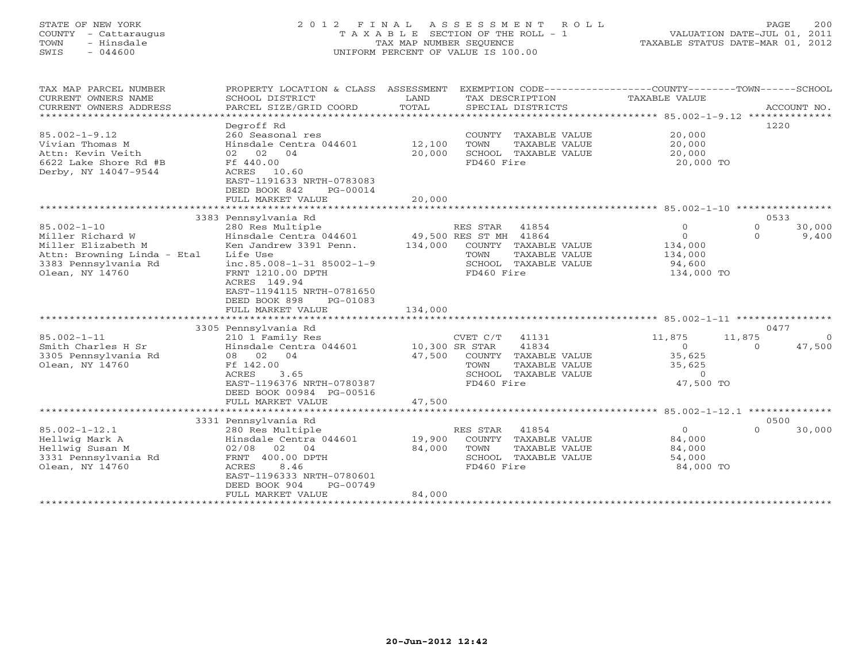# STATE OF NEW YORK 2 0 1 2 F I N A L A S S E S S M E N T R O L L PAGE 200 COUNTY - Cattaraugus T A X A B L E SECTION OF THE ROLL - 1 VALUATION DATE-JUL 01, 2011 TOWN - Hinsdale TAX MAP NUMBER SEQUENCE TAXABLE STATUS DATE-MAR 01, 2012 SWIS - 044600 UNIFORM PERCENT OF VALUE IS 100.00UNIFORM PERCENT OF VALUE IS 100.00

| TAX MAP PARCEL NUMBER<br>CURRENT OWNERS NAME<br>CURRENT OWNERS ADDRESS                                                                | PROPERTY LOCATION & CLASS<br>SCHOOL DISTRICT<br>PARCEL SIZE/GRID COORD<br>***********************                                                                                                                                                         | ASSESSMENT<br>LAND<br>TOTAL<br>*************** | TAX DESCRIPTION<br>SPECIAL DISTRICTS                     |                                                                        | EXEMPTION CODE-----------------COUNTY-------TOWN-----SCHOOL<br>TAXABLE VALUE |                             | ACCOUNT NO.        |
|---------------------------------------------------------------------------------------------------------------------------------------|-----------------------------------------------------------------------------------------------------------------------------------------------------------------------------------------------------------------------------------------------------------|------------------------------------------------|----------------------------------------------------------|------------------------------------------------------------------------|------------------------------------------------------------------------------|-----------------------------|--------------------|
| $85.002 - 1 - 9.12$<br>Vivian Thomas M<br>Attn: Kevin Veith<br>6622 Lake Shore Rd #B<br>Derby, NY 14047-9544                          | Degroff Rd<br>260 Seasonal res<br>Hinsdale Centra 044601<br>02 02<br>04<br>Ff 440.00<br>ACRES<br>10.60<br>EAST-1191633 NRTH-0783083<br>DEED BOOK 842<br>PG-00014<br>FULL MARKET VALUE                                                                     | 12,100<br>20,000<br>20,000                     | COUNTY<br>TOWN<br>FD460 Fire                             | TAXABLE VALUE<br>TAXABLE VALUE<br>SCHOOL TAXABLE VALUE                 | 20,000<br>20,000<br>20,000<br>20,000 TO                                      | 1220                        |                    |
|                                                                                                                                       |                                                                                                                                                                                                                                                           |                                                |                                                          |                                                                        |                                                                              |                             |                    |
| $85.002 - 1 - 10$<br>Miller Richard W<br>Miller Elizabeth M<br>Attn: Browning Linda - Etal<br>3383 Pennsylvania Rd<br>Olean, NY 14760 | 3383 Pennsylvania Rd<br>280 Res Multiple<br>Hinsdale Centra 044601<br>Ken Jandrew 3391 Penn.<br>Life Use<br>inc.85.008-1-31 85002-1-9<br>FRNT 1210.00 DPTH<br>ACRES 149.94<br>EAST-1194115 NRTH-0781650<br>DEED BOOK 898<br>PG-01083<br>FULL MARKET VALUE | 134,000<br>134,000                             | RES STAR<br>49,500 RES ST MH 41864<br>TOWN<br>FD460 Fire | 41854<br>COUNTY TAXABLE VALUE<br>TAXABLE VALUE<br>SCHOOL TAXABLE VALUE | $\mathbf{0}$<br>$\Omega$<br>134,000<br>134,000<br>94,600<br>134,000 TO       | 0533<br>$\circ$<br>$\Omega$ | 30,000<br>9,400    |
|                                                                                                                                       |                                                                                                                                                                                                                                                           |                                                |                                                          |                                                                        |                                                                              |                             |                    |
| $85.002 - 1 - 11$<br>Smith Charles H Sr<br>3305 Pennsylvania Rd<br>Olean, NY 14760                                                    | 3305 Pennsylvania Rd<br>210 1 Family Res<br>Hinsdale Centra 044601<br>08 02 04<br>Ff 142.00<br>3.65<br>ACRES<br>EAST-1196376 NRTH-0780387<br>DEED BOOK 00984 PG-00516<br>FULL MARKET VALUE                                                                | 10,300 SR STAR<br>47,500<br>47,500             | CVET C/T<br>COUNTY<br>TOWN<br>SCHOOL<br>FD460 Fire       | 41131<br>41834<br>TAXABLE VALUE<br>TAXABLE VALUE<br>TAXABLE VALUE      | 11,875<br>$\circ$<br>35,625<br>35,625<br>$\Omega$<br>47,500 TO               | 0477<br>11,875<br>$\Omega$  | $\Omega$<br>47,500 |
|                                                                                                                                       | ************************                                                                                                                                                                                                                                  |                                                |                                                          |                                                                        |                                                                              |                             |                    |
|                                                                                                                                       | 3331 Pennsylvania Rd                                                                                                                                                                                                                                      |                                                |                                                          |                                                                        |                                                                              | 0500                        |                    |
| $85.002 - 1 - 12.1$<br>Hellwig Mark A<br>Hellwig Susan M<br>3331 Pennsylvania Rd<br>Olean, NY 14760                                   | 280 Res Multiple<br>Hinsdale Centra 044601<br>02<br>02/08<br>04<br>FRNT 400.00 DPTH<br>8.46<br>ACRES<br>EAST-1196333 NRTH-0780601<br>DEED BOOK 904<br>PG-00749<br>FULL MARKET VALUE                                                                       | 19,900<br>84,000<br>84,000                     | RES STAR<br>COUNTY<br>TOWN<br>FD460 Fire                 | 41854<br>TAXABLE VALUE<br>TAXABLE VALUE<br>SCHOOL TAXABLE VALUE        | $\circ$<br>84,000<br>84,000<br>54,000<br>84,000 TO                           | $\Omega$                    | 30,000             |
|                                                                                                                                       |                                                                                                                                                                                                                                                           |                                                |                                                          |                                                                        |                                                                              |                             |                    |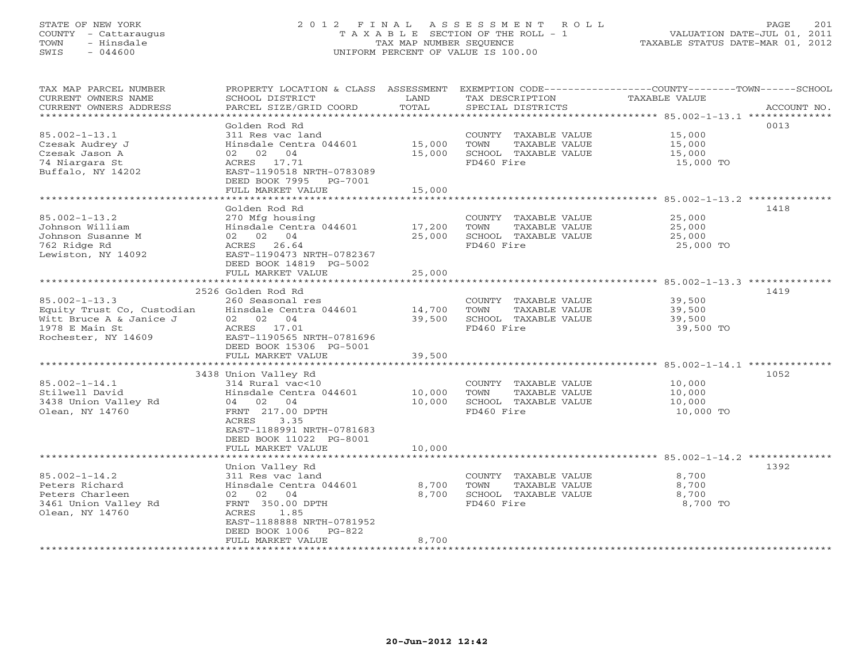# STATE OF NEW YORK 2 0 1 2 F I N A L A S S E S S M E N T R O L L PAGE 201 COUNTY - Cattaraugus T A X A B L E SECTION OF THE ROLL - 1 VALUATION DATE-JUL 01, 2011 TOWN - Hinsdale TAX MAP NUMBER SEQUENCE TAXABLE STATUS DATE-MAR 01, 2012 SWIS - 044600 UNIFORM PERCENT OF VALUE IS 100.00UNIFORM PERCENT OF VALUE IS 100.00

| TAX MAP PARCEL NUMBER<br>CURRENT OWNERS NAME<br>CURRENT OWNERS ADDRESS<br>************************* | PROPERTY LOCATION & CLASS ASSESSMENT<br>SCHOOL DISTRICT<br>PARCEL SIZE/GRID COORD          | LAND<br>TOTAL    | TAX DESCRIPTION<br>SPECIAL DISTRICTS                                  | EXEMPTION CODE-----------------COUNTY-------TOWN------SCHOOL<br><b>TAXABLE VALUE</b><br>ACCOUNT NO. |
|-----------------------------------------------------------------------------------------------------|--------------------------------------------------------------------------------------------|------------------|-----------------------------------------------------------------------|-----------------------------------------------------------------------------------------------------|
| $85.002 - 1 - 13.1$<br>Czesak Audrey J<br>Czesak Jason A                                            | Golden Rod Rd<br>311 Res vac land<br>Hinsdale Centra 044601<br>02 02 04                    | 15,000<br>15,000 | COUNTY TAXABLE VALUE<br>TOWN<br>TAXABLE VALUE<br>SCHOOL TAXABLE VALUE | 0013<br>15,000<br>15,000<br>15,000                                                                  |
| 74 Niargara St<br>Buffalo, NY 14202                                                                 | ACRES 17.71<br>EAST-1190518 NRTH-0783089<br>DEED BOOK 7995<br>PG-7001<br>FULL MARKET VALUE | 15,000           | FD460 Fire                                                            | 15,000 TO                                                                                           |
|                                                                                                     |                                                                                            |                  |                                                                       |                                                                                                     |
|                                                                                                     | Golden Rod Rd                                                                              |                  |                                                                       | 1418                                                                                                |
| $85.002 - 1 - 13.2$                                                                                 | 270 Mfg housing                                                                            |                  | COUNTY TAXABLE VALUE                                                  | 25,000                                                                                              |
| Johnson William                                                                                     | Hinsdale Centra 044601                                                                     | 17,200           | TOWN<br>TAXABLE VALUE                                                 | 25,000                                                                                              |
| Johnson Susanne M                                                                                   | 02 02 04                                                                                   | 25,000           | SCHOOL TAXABLE VALUE                                                  | 25,000                                                                                              |
| 762 Ridge Rd                                                                                        | ACRES<br>26.64                                                                             |                  | FD460 Fire                                                            | 25,000 TO                                                                                           |
| Lewiston, NY 14092                                                                                  | EAST-1190473 NRTH-0782367                                                                  |                  |                                                                       |                                                                                                     |
|                                                                                                     | DEED BOOK 14819 PG-5002                                                                    |                  |                                                                       |                                                                                                     |
|                                                                                                     | FULL MARKET VALUE                                                                          | 25,000           |                                                                       |                                                                                                     |
|                                                                                                     |                                                                                            |                  |                                                                       |                                                                                                     |
|                                                                                                     | 2526 Golden Rod Rd                                                                         |                  |                                                                       | 1419                                                                                                |
| $85.002 - 1 - 13.3$                                                                                 | 260 Seasonal res                                                                           |                  | COUNTY TAXABLE VALUE                                                  | 39,500                                                                                              |
| Equity Trust Co, Custodian                                                                          | Hinsdale Centra 044601                                                                     | 14,700           | TAXABLE VALUE<br>TOWN                                                 | 39,500                                                                                              |
| Witt Bruce A & Janice J                                                                             | 02 02 04                                                                                   | 39,500           | SCHOOL TAXABLE VALUE                                                  | 39,500                                                                                              |
| 1978 E Main St<br>Rochester, NY 14609                                                               | ACRES 17.01<br>EAST-1190565 NRTH-0781696                                                   |                  | FD460 Fire                                                            | 39,500 TO                                                                                           |
|                                                                                                     | DEED BOOK 15306 PG-5001                                                                    |                  |                                                                       |                                                                                                     |
|                                                                                                     | FULL MARKET VALUE                                                                          | 39,500           |                                                                       |                                                                                                     |
|                                                                                                     |                                                                                            |                  |                                                                       | ************************************ 85.002-1-14.1 **************                                   |
|                                                                                                     | 3438 Union Valley Rd                                                                       |                  |                                                                       | 1052                                                                                                |
| $85.002 - 1 - 14.1$                                                                                 | 314 Rural vac<10                                                                           |                  | COUNTY TAXABLE VALUE                                                  | 10,000                                                                                              |
| Stilwell David                                                                                      | Hinsdale Centra 044601                                                                     | 10,000           | TOWN<br>TAXABLE VALUE                                                 | 10,000                                                                                              |
| 3438 Union Valley Rd                                                                                | 04 02 04                                                                                   | 10,000           | SCHOOL TAXABLE VALUE                                                  | 10,000                                                                                              |
| Olean, NY 14760                                                                                     | FRNT 217.00 DPTH                                                                           |                  | FD460 Fire                                                            | 10,000 TO                                                                                           |
|                                                                                                     | ACRES<br>3.35                                                                              |                  |                                                                       |                                                                                                     |
|                                                                                                     | EAST-1188991 NRTH-0781683                                                                  |                  |                                                                       |                                                                                                     |
|                                                                                                     | DEED BOOK 11022 PG-8001                                                                    |                  |                                                                       |                                                                                                     |
|                                                                                                     | FULL MARKET VALUE                                                                          | 10,000           |                                                                       |                                                                                                     |
|                                                                                                     |                                                                                            |                  |                                                                       |                                                                                                     |
|                                                                                                     | Union Valley Rd                                                                            |                  |                                                                       | 1392                                                                                                |
| $85.002 - 1 - 14.2$<br>Peters Richard                                                               | 311 Res vac land<br>Hinsdale Centra 044601                                                 |                  | COUNTY TAXABLE VALUE<br>TOWN                                          | 8,700                                                                                               |
| Peters Charleen                                                                                     | 02 02 04                                                                                   | 8,700<br>8,700   | TAXABLE VALUE<br>SCHOOL TAXABLE VALUE                                 | 8,700<br>8,700                                                                                      |
| 3461 Union Valley Rd                                                                                | FRNT 350.00 DPTH                                                                           |                  | FD460 Fire                                                            | 8,700 TO                                                                                            |
| Olean, NY 14760                                                                                     | 1.85<br>ACRES                                                                              |                  |                                                                       |                                                                                                     |
|                                                                                                     | EAST-1188888 NRTH-0781952                                                                  |                  |                                                                       |                                                                                                     |
|                                                                                                     | DEED BOOK 1006<br>$PG-822$                                                                 |                  |                                                                       |                                                                                                     |
|                                                                                                     | FULL MARKET VALUE                                                                          | 8,700            |                                                                       |                                                                                                     |
|                                                                                                     |                                                                                            |                  |                                                                       |                                                                                                     |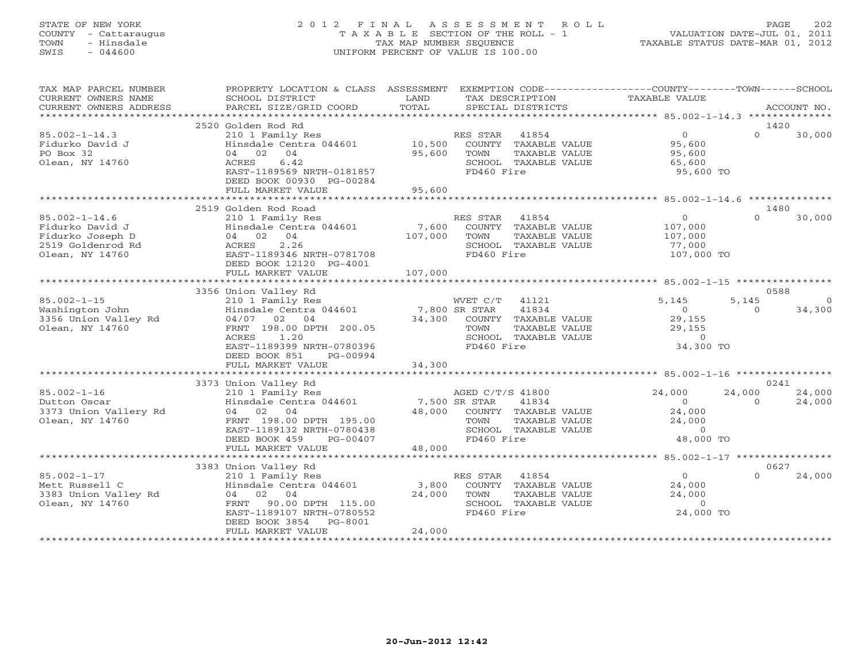# STATE OF NEW YORK 2 0 1 2 F I N A L A S S E S S M E N T R O L L PAGE 202 COUNTY - Cattaraugus T A X A B L E SECTION OF THE ROLL - 1 VALUATION DATE-JUL 01, 2011 TOWN - Hinsdale TAX MAP NUMBER SEQUENCE TAXABLE STATUS DATE-MAR 01, 2012 SWIS - 044600 UNIFORM PERCENT OF VALUE IS 100.00UNIFORM PERCENT OF VALUE IS 100.00

| TAX MAP PARCEL NUMBER  | PROPERTY LOCATION & CLASS ASSESSMENT                                                  |         | EXEMPTION CODE-----------------COUNTY-------TOWN------SCHOOL      |                             |                  |             |
|------------------------|---------------------------------------------------------------------------------------|---------|-------------------------------------------------------------------|-----------------------------|------------------|-------------|
| CURRENT OWNERS NAME    | SCHOOL DISTRICT                                                                       | LAND    | TAX DESCRIPTION                                                   | TAXABLE VALUE               |                  |             |
| CURRENT OWNERS ADDRESS | PARCEL SIZE/GRID COORD                                                                | TOTAL   | SPECIAL DISTRICTS                                                 |                             |                  | ACCOUNT NO. |
|                        | 2520 Golden Rod Rd                                                                    |         |                                                                   |                             | 1420             |             |
| $85.002 - 1 - 14.3$    | 210 1 Family Res                                                                      |         | 41854<br>RES STAR                                                 | $\overline{0}$              | $\Omega$         | 30,000      |
| Fidurko David J        | Hinsdale Centra 044601 10,500                                                         |         | COUNTY TAXABLE VALUE                                              | 95,600                      |                  |             |
| PO Box 32              | 04 02 04                                                                              | 95,600  | TOWN<br>TAXABLE VALUE                                             | 95,600                      |                  |             |
| Olean, NY 14760        | 6.42<br>ACRES                                                                         |         | SCHOOL TAXABLE VALUE                                              | 65,600                      |                  |             |
|                        | EAST-1189569 NRTH-0181857                                                             |         | FD460 Fire                                                        | 95,600 TO                   |                  |             |
|                        | DEED BOOK 00930 PG-00284                                                              |         |                                                                   |                             |                  |             |
|                        | FULL MARKET VALUE                                                                     | 95,600  |                                                                   |                             |                  |             |
|                        |                                                                                       |         |                                                                   |                             |                  |             |
| $85.002 - 1 - 14.6$    | 2519 Golden Rod Road<br>210 1 Family Res                                              |         | RES STAR 41854                                                    | $\overline{0}$              | 1480<br>$\Omega$ | 30,000      |
| Fidurko David J        | Hinsdale Centra $044601$ 7,600                                                        |         | COUNTY TAXABLE VALUE                                              | 107,000                     |                  |             |
| Fidurko Joseph D       | 04 02 04                                                                              | 107,000 | TOWN<br>TAXABLE VALUE                                             | 107,000                     |                  |             |
| 2519 Goldenrod Rd      | 2.26<br>ACRES                                                                         |         | SCHOOL TAXABLE VALUE                                              | 77,000                      |                  |             |
| Olean, NY 14760        | EAST-1189346 NRTH-0781708                                                             |         | FD460 Fire                                                        | 107,000 TO                  |                  |             |
|                        | DEED BOOK 12120 PG-4001                                                               |         |                                                                   |                             |                  |             |
|                        |                                                                                       |         |                                                                   |                             |                  |             |
|                        |                                                                                       |         |                                                                   |                             |                  |             |
|                        | 3356 Union Valley Rd                                                                  |         |                                                                   |                             | 0588             |             |
| $85.002 - 1 - 15$      |                                                                                       |         | WVET C/T<br>41121                                                 | 5,145                       | 5,145            | $\Omega$    |
| Washington John        | 210 1 Family Res<br>Hinsdale Centra 044601 7,800 SR STAR<br>04/07 02 04 34,300 COUNTY |         | 41834                                                             | $\overline{0}$              | $\Omega$         | 34,300      |
| 3356 Union Valley Rd   |                                                                                       |         | COUNTY TAXABLE VALUE<br>TOWN                                      | 29,155                      |                  |             |
| Olean, NY 14760        | FRNT 198.00 DPTH 200.05<br>ACRES<br>1.20                                              |         | TAAADDD<br>TAXABLE VALUE<br>COLORER VALUE<br>SCHOOL TAXABLE VALUE | 29,155<br>$\Omega$          |                  |             |
|                        | EAST-1189399 NRTH-0780396                                                             |         | FD460 Fire                                                        | 34,300 TO                   |                  |             |
|                        | DEED BOOK 851<br>PG-00994                                                             |         |                                                                   |                             |                  |             |
|                        | FULL MARKET VALUE                                                                     | 34,300  |                                                                   |                             |                  |             |
|                        |                                                                                       |         |                                                                   |                             |                  |             |
|                        | 3373 Union Valley Rd                                                                  |         |                                                                   |                             | 0241             |             |
| $85.002 - 1 - 16$      |                                                                                       |         | AGED C/T/S 41800                                                  | 24,000                      | 24,000           | 24,000      |
| Dutton Oscar           | 210 1 Family Res<br>Finsdale Centra 044601 7,500 SR STAR                              |         | 41834                                                             | $\overline{0}$              | $\Omega$         | 24,000      |
| 3373 Union Vallery Rd  | 04 02 04                                                                              |         | 48,000 COUNTY TAXABLE VALUE                                       | 24,000                      |                  |             |
| Olean, NY 14760        | FRNT 198.00 DPTH 195.00                                                               |         | TAXABLE VALUE<br>TOWN                                             | 24,000                      |                  |             |
|                        | EAST-1189132 NRTH-0780438<br>DEED BOOK 459<br>PG-00407                                |         | SCHOOL TAXABLE VALUE<br>FD460 Fire                                | $\overline{0}$<br>48,000 TO |                  |             |
|                        | FULL MARKET VALUE                                                                     | 48,000  |                                                                   |                             |                  |             |
|                        |                                                                                       |         |                                                                   |                             |                  |             |
|                        | 3383 Union Valley Rd                                                                  |         |                                                                   |                             | 0627             |             |
| $85.002 - 1 - 17$      | 210 1 Family Res                                                                      |         | RES STAR 41854                                                    | $\overline{0}$              | $\Omega$         | 24,000      |
| Mett Russell C         | Hinsdale Centra 044601 3,800                                                          |         | COUNTY TAXABLE VALUE                                              | 24,000                      |                  |             |
| 3383 Union Valley Rd   | 04 02 04                                                                              | 24,000  | TOWN<br>TAXABLE VALUE                                             | 24,000                      |                  |             |
| Olean, NY 14760        | 90.00 DPTH 115.00<br>FRNT                                                             |         | SCHOOL TAXABLE VALUE                                              | $\overline{0}$              |                  |             |
|                        | EAST-1189107 NRTH-0780552                                                             |         | FD460 Fire                                                        | 24,000 TO                   |                  |             |
|                        | DEED BOOK 3854<br>PG-8001                                                             |         |                                                                   |                             |                  |             |
|                        | FULL MARKET VALUE<br>************************                                         | 24,000  |                                                                   |                             |                  |             |
|                        |                                                                                       |         |                                                                   |                             |                  |             |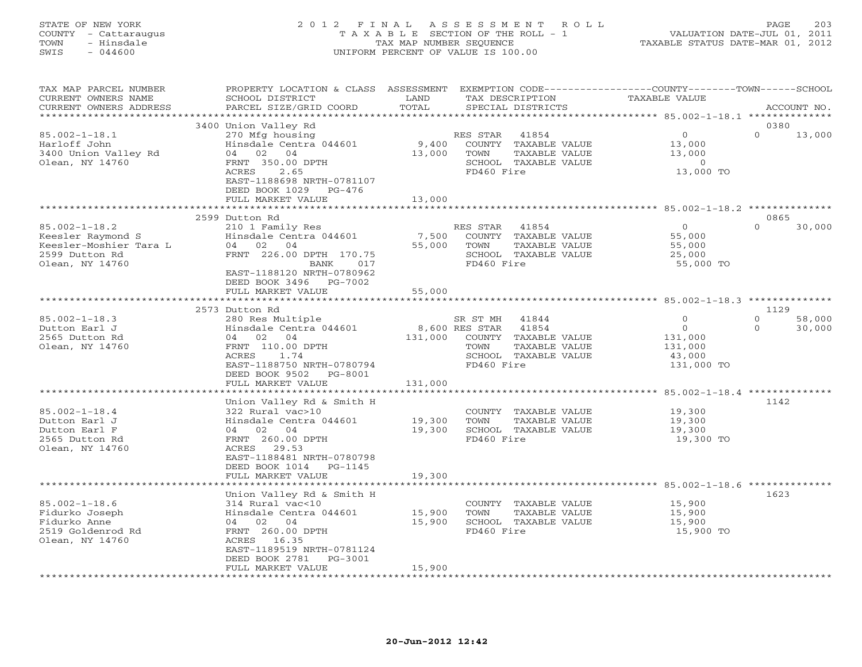# STATE OF NEW YORK 2 0 1 2 F I N A L A S S E S S M E N T R O L L PAGE 203 COUNTY - Cattaraugus T A X A B L E SECTION OF THE ROLL - 1 VALUATION DATE-JUL 01, 2011 TOWN - Hinsdale TAX MAP NUMBER SEQUENCE TAXABLE STATUS DATE-MAR 01, 2012 SWIS - 044600 UNIFORM PERCENT OF VALUE IS 100.00UNIFORM PERCENT OF VALUE IS 100.00

| TAX MAP PARCEL NUMBER<br>CURRENT OWNERS NAME    | PROPERTY LOCATION & CLASS ASSESSMENT<br>SCHOOL DISTRICT | LAND             |                                  | EXEMPTION CODE-----------------COUNTY-------TOWN-----SCHOOL<br>TAX DESCRIPTION | TAXABLE VALUE |                  |                  |                  |
|-------------------------------------------------|---------------------------------------------------------|------------------|----------------------------------|--------------------------------------------------------------------------------|---------------|------------------|------------------|------------------|
| CURRENT OWNERS ADDRESS<br>********************* | PARCEL SIZE/GRID COORD<br>**************************    | TOTAL            |                                  | SPECIAL DISTRICTS                                                              |               |                  |                  | ACCOUNT NO.      |
|                                                 | 3400 Union Valley Rd                                    |                  |                                  |                                                                                |               |                  | 0380             |                  |
| $85.002 - 1 - 18.1$                             | 270 Mfg housing                                         |                  | RES STAR                         | 41854                                                                          |               | $\overline{0}$   | $\Omega$         | 13,000           |
| Harloff John                                    | Hinsdale Centra 044601                                  | 9,400            |                                  | COUNTY TAXABLE VALUE                                                           |               | 13,000           |                  |                  |
| 3400 Union Valley Rd                            | 04 02 04                                                | 13,000           | TOWN                             | TAXABLE VALUE                                                                  |               | 13,000           |                  |                  |
| Olean, NY 14760                                 | FRNT 350.00 DPTH                                        |                  |                                  | SCHOOL TAXABLE VALUE                                                           |               | $\overline{0}$   |                  |                  |
|                                                 | 2.65<br>ACRES                                           |                  | FD460 Fire                       |                                                                                |               | 13,000 TO        |                  |                  |
|                                                 | EAST-1188698 NRTH-0781107                               |                  |                                  |                                                                                |               |                  |                  |                  |
|                                                 | DEED BOOK 1029 PG-476                                   |                  |                                  |                                                                                |               |                  |                  |                  |
|                                                 | FULL MARKET VALUE                                       | 13,000           |                                  |                                                                                |               |                  |                  |                  |
|                                                 | 2599 Dutton Rd                                          |                  |                                  |                                                                                |               |                  | 0865             |                  |
| $85.002 - 1 - 18.2$                             | 210 1 Family Res                                        |                  | RES STAR 41854                   |                                                                                |               | $\Omega$         | $\Omega$         | 30,000           |
| Keesler Raymond S                               | Hinsdale Centra 044601                                  | 7,500            |                                  | COUNTY TAXABLE VALUE                                                           |               | 55,000           |                  |                  |
| Keesler-Moshier Tara L                          | 04 02 04                                                | 55,000           | TOWN                             | TAXABLE VALUE                                                                  |               | 55,000           |                  |                  |
| 2599 Dutton Rd                                  | FRNT 226.00 DPTH 170.75                                 |                  |                                  | SCHOOL TAXABLE VALUE                                                           |               | 25,000           |                  |                  |
| Olean, NY 14760                                 | 017<br>BANK                                             |                  | FD460 Fire                       |                                                                                |               | 55,000 TO        |                  |                  |
|                                                 | EAST-1188120 NRTH-0780962                               |                  |                                  |                                                                                |               |                  |                  |                  |
|                                                 | DEED BOOK 3496 PG-7002                                  |                  |                                  |                                                                                |               |                  |                  |                  |
|                                                 | FULL MARKET VALUE                                       | 55,000           |                                  |                                                                                |               |                  |                  |                  |
|                                                 |                                                         |                  |                                  |                                                                                |               |                  |                  |                  |
| $85.002 - 1 - 18.3$                             | 2573 Dutton Rd                                          |                  |                                  |                                                                                |               | $\Omega$         | 1129<br>$\Omega$ |                  |
| Dutton Earl J                                   | 280 Res Multiple<br>Hinsdale Centra 044601              |                  | SR ST MH 41844<br>8,600 RES STAR | 41854                                                                          |               | $\circ$          | $\circ$          | 58,000<br>30,000 |
| 2565 Dutton Rd                                  | 04 02 04                                                | 131,000          |                                  | COUNTY TAXABLE VALUE                                                           |               | 131,000          |                  |                  |
| Olean, NY 14760                                 | FRNT 110.00 DPTH                                        |                  | TOWN                             | TAXABLE VALUE                                                                  |               | 131,000          |                  |                  |
|                                                 | ACRES<br>1.74                                           |                  |                                  | SCHOOL TAXABLE VALUE                                                           |               | 43,000           |                  |                  |
|                                                 | EAST-1188750 NRTH-0780794                               |                  | FD460 Fire                       |                                                                                |               | 131,000 TO       |                  |                  |
|                                                 | DEED BOOK 9502<br>PG-8001                               |                  |                                  |                                                                                |               |                  |                  |                  |
|                                                 | FULL MARKET VALUE                                       | 131,000          |                                  |                                                                                |               |                  |                  |                  |
|                                                 |                                                         |                  |                                  |                                                                                |               |                  |                  |                  |
|                                                 | Union Valley Rd & Smith H                               |                  |                                  |                                                                                |               |                  | 1142             |                  |
| $85.002 - 1 - 18.4$<br>Dutton Earl J            | 322 Rural vac>10<br>Hinsdale Centra 044601              | 19,300           | TOWN                             | COUNTY TAXABLE VALUE<br>TAXABLE VALUE                                          |               | 19,300<br>19,300 |                  |                  |
| Dutton Earl F                                   | 04 02 04                                                | 19,300           |                                  | SCHOOL TAXABLE VALUE                                                           |               | 19,300           |                  |                  |
| 2565 Dutton Rd                                  | FRNT 260.00 DPTH                                        |                  | FD460 Fire                       |                                                                                |               | 19,300 TO        |                  |                  |
| Olean, NY 14760                                 | ACRES 29.53                                             |                  |                                  |                                                                                |               |                  |                  |                  |
|                                                 | EAST-1188481 NRTH-0780798                               |                  |                                  |                                                                                |               |                  |                  |                  |
|                                                 | DEED BOOK 1014 PG-1145                                  |                  |                                  |                                                                                |               |                  |                  |                  |
|                                                 | FULL MARKET VALUE                                       | 19,300           |                                  |                                                                                |               |                  |                  |                  |
|                                                 |                                                         |                  |                                  |                                                                                |               |                  |                  |                  |
|                                                 | Union Valley Rd & Smith H                               |                  |                                  |                                                                                |               |                  | 1623             |                  |
| $85.002 - 1 - 18.6$                             | 314 Rural vac<10                                        |                  |                                  | COUNTY TAXABLE VALUE                                                           |               | 15,900           |                  |                  |
| Fidurko Joseph<br>Fidurko Anne                  | Hinsdale Centra 044601<br>04 02 04                      | 15,900<br>15,900 | TOWN                             | TAXABLE VALUE<br>SCHOOL TAXABLE VALUE                                          |               | 15,900<br>15,900 |                  |                  |
| 2519 Goldenrod Rd                               | FRNT 260.00 DPTH                                        |                  | FD460 Fire                       |                                                                                |               | 15,900 TO        |                  |                  |
| Olean, NY 14760                                 | ACRES 16.35                                             |                  |                                  |                                                                                |               |                  |                  |                  |
|                                                 | EAST-1189519 NRTH-0781124                               |                  |                                  |                                                                                |               |                  |                  |                  |
|                                                 | DEED BOOK 2781<br>PG-3001                               |                  |                                  |                                                                                |               |                  |                  |                  |
|                                                 | FULL MARKET VALUE                                       | 15,900           |                                  |                                                                                |               |                  |                  |                  |
|                                                 |                                                         |                  |                                  |                                                                                |               |                  |                  |                  |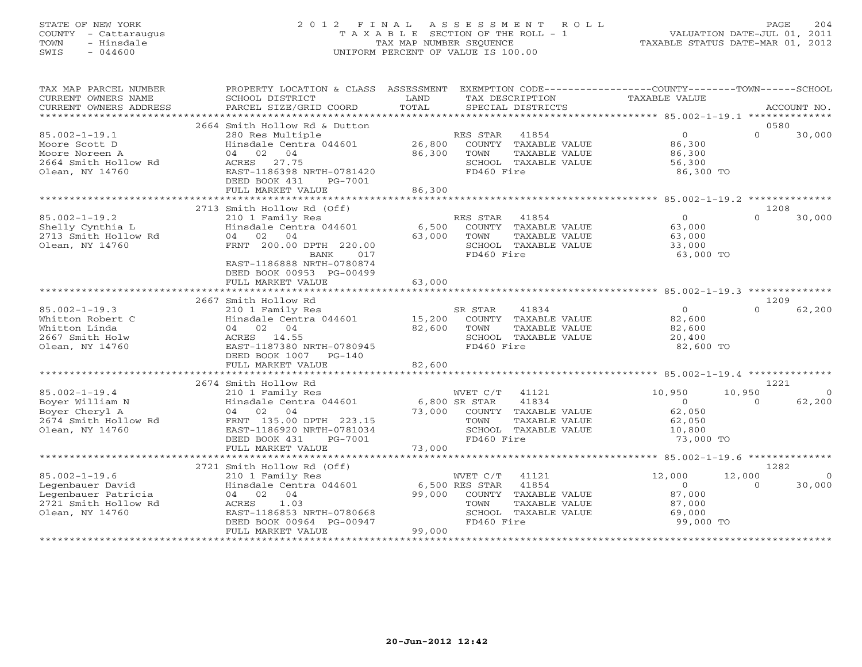# STATE OF NEW YORK 2 0 1 2 F I N A L A S S E S S M E N T R O L L PAGE 204 COUNTY - Cattaraugus T A X A B L E SECTION OF THE ROLL - 1 VALUATION DATE-JUL 01, 2011 TOWN - Hinsdale TAX MAP NUMBER SEQUENCE TAXABLE STATUS DATE-MAR 01, 2012 SWIS - 044600 UNIFORM PERCENT OF VALUE IS 100.00UNIFORM PERCENT OF VALUE IS 100.00

| TAX MAP PARCEL NUMBER<br>CURRENT OWNERS NAME<br>CURRENT OWNERS ADDRESS                                    | PROPERTY LOCATION & CLASS ASSESSMENT<br>SCHOOL DISTRICT<br>PARCEL SIZE/GRID COORD                                                                                                             | LAND<br>TAX DESCRIPTION<br>TOTAL<br>SPECIAL DISTRICTS                                                                                                        | EXEMPTION CODE-----------------COUNTY-------TOWN------SCHOOL<br>TAXABLE VALUE<br>ACCOUNT NO.                      |
|-----------------------------------------------------------------------------------------------------------|-----------------------------------------------------------------------------------------------------------------------------------------------------------------------------------------------|--------------------------------------------------------------------------------------------------------------------------------------------------------------|-------------------------------------------------------------------------------------------------------------------|
| *************************                                                                                 |                                                                                                                                                                                               |                                                                                                                                                              |                                                                                                                   |
| $85.002 - 1 - 19.1$<br>Moore Scott D<br>Moore Noreen A<br>2664 Smith Hollow Rd<br>Olean, NY 14760         | 2664 Smith Hollow Rd & Dutton<br>280 Res Multiple<br>Hinsdale Centra 044601<br>04<br>04<br>02<br>ACRES<br>27.75<br>EAST-1186398 NRTH-0781420<br>DEED BOOK 431<br>PG-7001<br>FULL MARKET VALUE | RES STAR<br>41854<br>26,800<br>COUNTY TAXABLE VALUE<br>86,300<br>TOWN<br>TAXABLE VALUE<br>SCHOOL TAXABLE VALUE<br>FD460 Fire<br>86,300                       | 0580<br>$\Omega$<br>$\Omega$<br>30,000<br>86,300<br>86,300<br>56,300<br>86,300 TO                                 |
|                                                                                                           | *************************<br>2713 Smith Hollow Rd (Off)                                                                                                                                       | *************                                                                                                                                                | *****************************85.002-1-19.2 ***************<br>1208                                                |
| $85.002 - 1 - 19.2$<br>Shelly Cynthia L<br>2713 Smith Hollow Rd<br>Olean, NY 14760                        | 210 1 Family Res<br>Hinsdale Centra 044601<br>02<br>04<br>04<br>FRNT 200.00 DPTH 220.00<br>BANK<br>017<br>EAST-1186888 NRTH-0780874<br>DEED BOOK 00953 PG-00499                               | RES STAR<br>41854<br>6,500<br>COUNTY TAXABLE VALUE<br>63,000<br>TOWN<br>TAXABLE VALUE<br>SCHOOL TAXABLE VALUE<br>FD460 Fire                                  | $\overline{O}$<br>$\Omega$<br>30,000<br>63,000<br>63,000<br>33,000<br>63,000 TO                                   |
|                                                                                                           | FULL MARKET VALUE                                                                                                                                                                             | 63,000                                                                                                                                                       |                                                                                                                   |
|                                                                                                           |                                                                                                                                                                                               |                                                                                                                                                              |                                                                                                                   |
| $85.002 - 1 - 19.3$<br>Whitton Robert C<br>Whitton Linda<br>2667 Smith Holw<br>Olean, NY 14760            | 2667 Smith Hollow Rd<br>210 1 Family Res<br>Hinsdale Centra 044601<br>04 02 04<br>ACRES 14.55<br>EAST-1187380 NRTH-0780945<br>DEED BOOK 1007 PG-140                                           | SR STAR<br>41834<br>COUNTY TAXABLE VALUE<br>15,200<br>82,600<br>TOWN<br>TAXABLE VALUE<br>SCHOOL TAXABLE VALUE<br>FD460 Fire                                  | 1209<br>$\overline{0}$<br>$\Omega$<br>62,200<br>82,600<br>82,600<br>20,400<br>82,600 TO                           |
|                                                                                                           | FULL MARKET VALUE                                                                                                                                                                             | 82,600                                                                                                                                                       |                                                                                                                   |
|                                                                                                           | 2674 Smith Hollow Rd                                                                                                                                                                          |                                                                                                                                                              | 1221                                                                                                              |
| $85.002 - 1 - 19.4$<br>Boyer William N<br>Boyer Cheryl A<br>2674 Smith Hollow Rd<br>Olean, NY 14760       | 210 1 Family Res<br>Hinsdale Centra 044601<br>02<br>04<br>04<br>FRNT 135.00 DPTH 223.15<br>EAST-1186920 NRTH-0781034<br>DEED BOOK 431<br>PG-7001<br>FULL MARKET VALUE                         | WVET C/T<br>41121<br>41834<br>$6,800$ SR STAR<br>73,000<br>COUNTY TAXABLE VALUE<br>TOWN<br>TAXABLE VALUE<br>SCHOOL TAXABLE VALUE<br>FD460 Fire<br>73,000     | 10,950<br>10,950<br>$\Omega$<br>62,200<br>$\circ$<br>$\Omega$<br>62,050<br>62,050<br>10,800<br>73,000 TO          |
|                                                                                                           | ******************                                                                                                                                                                            | *************                                                                                                                                                | ********************* 85.002-1-19.6 ***************                                                               |
| $85.002 - 1 - 19.6$<br>Legenbauer David<br>Legenbauer Patricia<br>2721 Smith Hollow Rd<br>Olean, NY 14760 | 2721 Smith Hollow Rd (Off)<br>210 1 Family Res<br>Hinsdale Centra 044601<br>04<br>04 02<br>ACRES<br>1.03<br>EAST-1186853 NRTH-0780668<br>DEED BOOK 00964 PG-00947<br>FULL MARKET VALUE        | 41121<br>WVET C/T<br>$6,500$ RES STAR<br>41854<br>99,000<br>TAXABLE VALUE<br>COUNTY<br>TOWN<br>TAXABLE VALUE<br>SCHOOL TAXABLE VALUE<br>FD460 Fire<br>99,000 | 1282<br>12,000<br>12,000<br>$\Omega$<br>$\Omega$<br>30,000<br>$\Omega$<br>87,000<br>87,000<br>69,000<br>99,000 TO |
|                                                                                                           |                                                                                                                                                                                               | * * * * * * * * * * * * * * * * *                                                                                                                            |                                                                                                                   |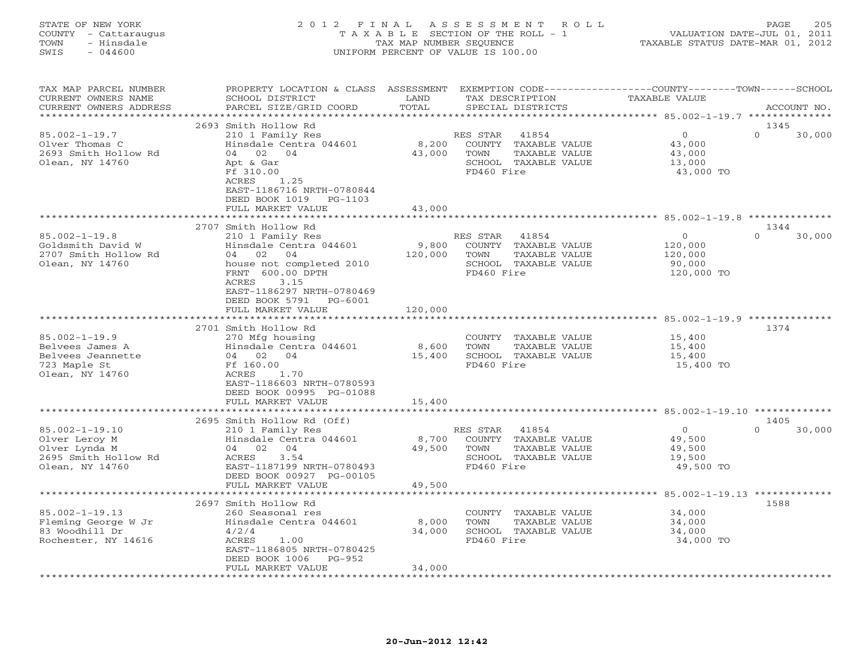STATE OF NEW YORK 2 0 1 2 F I N A L A S S E S S M E N T R O L L PAGE 205 COUNTY - Cattaraugus T A X A B L E SECTION OF THE ROLL - 1 VALUATION DATE-JUL 01, 2011 TOWN - Hinsdale TAX MAP NUMBER SEQUENCE TAXABLE STATUS DATE-MAR 01, 2012 SWIS - 044600 UNIFORM PERCENT OF VALUE IS 100.00UNIFORM PERCENT OF VALUE IS 100.00

| TAX MAP PARCEL NUMBER<br>CURRENT OWNERS NAME<br>CURRENT OWNERS ADDRESS                            | PROPERTY LOCATION & CLASS ASSESSMENT<br>SCHOOL DISTRICT<br>PARCEL SIZE/GRID COORD                                                                                                                        | LAND<br>TOTAL               | TAX DESCRIPTION                | EXEMPTION CODE-----------------COUNTY-------TOWN-----SCHOOL<br>SPECIAL DISTRICTS | TAXABLE VALUE |                                                           | ACCOUNT NO.                                      |  |
|---------------------------------------------------------------------------------------------------|----------------------------------------------------------------------------------------------------------------------------------------------------------------------------------------------------------|-----------------------------|--------------------------------|----------------------------------------------------------------------------------|---------------|-----------------------------------------------------------|--------------------------------------------------|--|
| ******************                                                                                |                                                                                                                                                                                                          | ********                    |                                |                                                                                  |               |                                                           | ****************** 85.002-1-19.7 *************** |  |
|                                                                                                   | 2693 Smith Hollow Rd                                                                                                                                                                                     |                             |                                |                                                                                  |               |                                                           | 1345                                             |  |
| $85.002 - 1 - 19.7$<br>Olver Thomas C<br>2693 Smith Hollow Rd<br>Olean, NY 14760                  | 210 1 Family Res<br>Hinsdale Centra 044601<br>04 02 04<br>Apt & Gar<br>Ff 310.00<br>ACRES<br>1.25<br>EAST-1186716 NRTH-0780844<br>DEED BOOK 1019 PG-1103                                                 | 8,200<br>43,000             | RES STAR<br>TOWN<br>FD460 Fire | 41854<br>COUNTY TAXABLE VALUE<br>TAXABLE VALUE<br>SCHOOL TAXABLE VALUE           |               | $\circ$<br>43,000<br>43,000<br>13,000<br>43,000 TO        | $\Omega$<br>30,000                               |  |
|                                                                                                   | FULL MARKET VALUE<br>****************                                                                                                                                                                    | 43,000                      |                                |                                                                                  |               |                                                           |                                                  |  |
|                                                                                                   | 2707 Smith Hollow Rd                                                                                                                                                                                     |                             |                                |                                                                                  |               |                                                           | 1344                                             |  |
| $85.002 - 1 - 19.8$<br>Goldsmith David W<br>2707 Smith Hollow Rd<br>Olean, NY 14760               | 210 1 Family Res<br>Hinsdale Centra 044601<br>04 02 04<br>house not completed 2010<br>FRNT 600.00 DPTH<br>ACRES<br>3.15<br>EAST-1186297 NRTH-0780469<br>DEED BOOK 5791<br>$PG-6001$<br>FULL MARKET VALUE | 9,800<br>120,000<br>120,000 | RES STAR<br>TOWN<br>FD460 Fire | 41854<br>COUNTY TAXABLE VALUE<br>TAXABLE VALUE<br>SCHOOL TAXABLE VALUE           |               | $\Omega$<br>120,000<br>120,000<br>90,000<br>120,000 TO    | 30,000<br>$\Omega$                               |  |
|                                                                                                   |                                                                                                                                                                                                          |                             |                                |                                                                                  |               |                                                           |                                                  |  |
|                                                                                                   | 2701 Smith Hollow Rd                                                                                                                                                                                     |                             |                                |                                                                                  |               |                                                           | 1374                                             |  |
| $85.002 - 1 - 19.9$<br>Belvees James A<br>Belvees Jeannette<br>723 Maple St<br>Olean, NY 14760    | 270 Mfg housing<br>Hinsdale Centra 044601<br>04 02 04<br>Ff 160.00<br>ACRES<br>1.70<br>EAST-1186603 NRTH-0780593<br>DEED BOOK 00995 PG-01088                                                             | 8,600<br>15,400             | TOWN<br>FD460 Fire             | COUNTY TAXABLE VALUE<br>TAXABLE VALUE<br>SCHOOL TAXABLE VALUE                    |               | 15,400<br>15,400<br>15,400<br>15,400 TO                   |                                                  |  |
|                                                                                                   | FULL MARKET VALUE<br>*********************                                                                                                                                                               | 15,400                      |                                |                                                                                  |               |                                                           |                                                  |  |
|                                                                                                   | 2695 Smith Hollow Rd (Off)                                                                                                                                                                               |                             |                                |                                                                                  |               |                                                           | 1405                                             |  |
| $85.002 - 1 - 19.10$<br>Olver Leroy M<br>Olver Lynda M<br>2695 Smith Hollow Rd<br>Olean, NY 14760 | 210 1 Family Res<br>Hinsdale Centra 044601<br>04 02 04<br>3.54<br>ACRES<br>EAST-1187199 NRTH-0780493<br>DEED BOOK 00927 PG-00105<br>FULL MARKET VALUE                                                    | 8,700<br>49,500<br>49,500   | RES STAR<br>TOWN<br>FD460 Fire | 41854<br>COUNTY TAXABLE VALUE<br>TAXABLE VALUE<br>SCHOOL TAXABLE VALUE           |               | $\overline{O}$<br>49,500<br>49,500<br>19,500<br>49,500 TO | $\Omega$<br>30,000                               |  |
|                                                                                                   | *****************                                                                                                                                                                                        |                             |                                |                                                                                  |               |                                                           | **** 85.002-1-19.13 *************                |  |
|                                                                                                   | 2697 Smith Hollow Rd                                                                                                                                                                                     |                             |                                |                                                                                  |               |                                                           | 1588                                             |  |
| $85.002 - 1 - 19.13$<br>Fleming George W Jr<br>83 Woodhill Dr<br>Rochester, NY 14616              | 260 Seasonal res<br>Hinsdale Centra 044601<br>4/2/4<br>ACRES<br>1.00<br>EAST-1186805 NRTH-0780425<br>DEED BOOK 1006<br>$PG-952$                                                                          | 8,000<br>34,000             | TOWN<br>FD460 Fire             | COUNTY TAXABLE VALUE<br>TAXABLE VALUE<br>SCHOOL TAXABLE VALUE                    |               | 34,000<br>34,000<br>34,000<br>34,000 TO                   |                                                  |  |
|                                                                                                   | FULL MARKET VALUE<br>*****************                                                                                                                                                                   | 34,000                      |                                |                                                                                  |               |                                                           |                                                  |  |
|                                                                                                   |                                                                                                                                                                                                          |                             |                                |                                                                                  |               |                                                           |                                                  |  |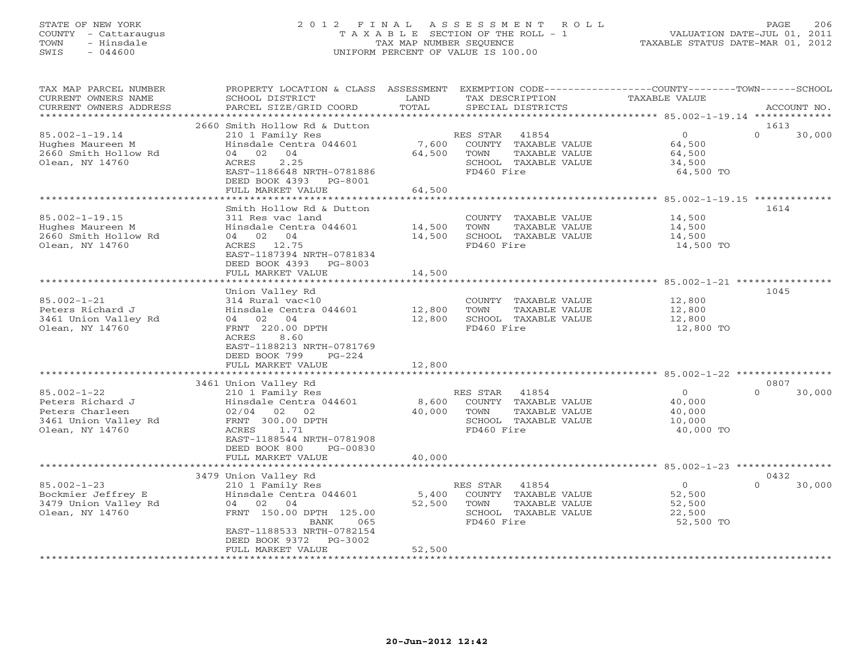# STATE OF NEW YORK 2 0 1 2 F I N A L A S S E S S M E N T R O L L PAGE 206 COUNTY - Cattaraugus T A X A B L E SECTION OF THE ROLL - 1 VALUATION DATE-JUL 01, 2011 TOWN - Hinsdale TAX MAP NUMBER SEQUENCE TAXABLE STATUS DATE-MAR 01, 2012 SWIS - 044600 UNIFORM PERCENT OF VALUE IS 100.00UNIFORM PERCENT OF VALUE IS 100.00

| TAX MAP PARCEL NUMBER<br>CURRENT OWNERS NAME<br>CURRENT OWNERS ADDRESS                              | PROPERTY LOCATION & CLASS ASSESSMENT<br>SCHOOL DISTRICT<br>PARCEL SIZE/GRID COORD                                                                                                                | LAND<br>TOTAL              | EXEMPTION CODE-----------------COUNTY-------TOWN------SCHOOL<br>TAX DESCRIPTION<br>SPECIAL DISTRICTS     | TAXABLE VALUE                                             | ACCOUNT NO.                |
|-----------------------------------------------------------------------------------------------------|--------------------------------------------------------------------------------------------------------------------------------------------------------------------------------------------------|----------------------------|----------------------------------------------------------------------------------------------------------|-----------------------------------------------------------|----------------------------|
|                                                                                                     |                                                                                                                                                                                                  |                            |                                                                                                          |                                                           |                            |
| $85.002 - 1 - 19.14$<br>Hughes Maureen M<br>2660 Smith Hollow Rd<br>Olean, NY 14760                 | 2660 Smith Hollow Rd & Dutton<br>210 1 Family Res<br>Hinsdale Centra 044601<br>04 02<br>04<br>2.25<br>ACRES<br>EAST-1186648 NRTH-0781886<br>DEED BOOK 4393 PG-8001<br>FULL MARKET VALUE          | 7,600<br>64,500<br>64,500  | RES STAR<br>41854<br>COUNTY TAXABLE VALUE<br>TAXABLE VALUE<br>TOWN<br>SCHOOL TAXABLE VALUE<br>FD460 Fire | $\overline{0}$<br>64,500<br>64,500<br>34,500<br>64,500 TO | 1613<br>$\Omega$<br>30,000 |
|                                                                                                     |                                                                                                                                                                                                  |                            |                                                                                                          |                                                           |                            |
| $85.002 - 1 - 19.15$<br>Hughes Maureen M<br>2660 Smith Hollow Rd<br>Olean, NY 14760                 | Smith Hollow Rd & Dutton<br>311 Res vac land<br>Hinsdale Centra 044601<br>04 02 04<br>ACRES 12.75<br>EAST-1187394 NRTH-0781834<br>DEED BOOK 4393 PG-8003                                         | 14,500<br>14,500           | COUNTY TAXABLE VALUE<br>TAXABLE VALUE<br>TOWN<br>SCHOOL TAXABLE VALUE<br>FD460 Fire                      | 14,500<br>14,500<br>14,500<br>14,500 TO                   | 1614                       |
|                                                                                                     | FULL MARKET VALUE                                                                                                                                                                                | 14,500                     |                                                                                                          |                                                           |                            |
| $85.002 - 1 - 21$<br>Peters Richard J<br>3461 Union Valley Rd<br>Olean, NY 14760                    | Union Valley Rd<br>314 Rural vac<10<br>Hinsdale Centra 044601<br>04 02<br>04<br>FRNT 220.00 DPTH<br>8.60<br>ACRES<br>EAST-1188213 NRTH-0781769<br>DEED BOOK 799<br>$PG-224$<br>FULL MARKET VALUE | 12,800<br>12,800<br>12,800 | COUNTY TAXABLE VALUE<br>TOWN<br>TAXABLE VALUE<br>SCHOOL TAXABLE VALUE<br>FD460 Fire                      | 12,800<br>12,800<br>12,800<br>12,800 TO                   | 1045                       |
|                                                                                                     | 3461 Union Valley Rd                                                                                                                                                                             |                            |                                                                                                          |                                                           | 0807                       |
| $85.002 - 1 - 22$<br>Peters Richard J<br>Peters Charleen<br>3461 Union Valley Rd<br>Olean, NY 14760 | 210 1 Family Res<br>Hinsdale Centra 044601<br>$02/04$ 02 02<br>FRNT 300.00 DPTH<br><b>ACRES</b><br>1.71<br>EAST-1188544 NRTH-0781908<br>DEED BOOK 800<br>$PG-00830$                              | 8,600<br>40,000            | 41854<br>RES STAR<br>COUNTY TAXABLE VALUE<br>TOWN<br>TAXABLE VALUE<br>SCHOOL TAXABLE VALUE<br>FD460 Fire | $\overline{0}$<br>40,000<br>40,000<br>10,000<br>40,000 TO | $\Omega$<br>30,000         |
|                                                                                                     | FULL MARKET VALUE<br>***************************                                                                                                                                                 | 40,000                     |                                                                                                          |                                                           |                            |
|                                                                                                     | 3479 Union Valley Rd                                                                                                                                                                             |                            |                                                                                                          |                                                           | 0432                       |
| $85.002 - 1 - 23$<br>Bockmier Jeffrey E<br>3479 Union Valley Rd<br>Olean, NY 14760                  | 210 1 Family Res<br>Hinsdale Centra 044601<br>04 02<br>04<br>FRNT 150.00 DPTH 125.00<br>BANK<br>065<br>EAST-1188533 NRTH-0782154<br>DEED BOOK 9372<br>PG-3002                                    | 5,400<br>52,500            | RES STAR<br>41854<br>COUNTY TAXABLE VALUE<br>TOWN<br>TAXABLE VALUE<br>SCHOOL TAXABLE VALUE<br>FD460 Fire | $\Omega$<br>52,500<br>52,500<br>22,500<br>52,500 TO       | $\Omega$<br>30,000         |
|                                                                                                     | FULL MARKET VALUE                                                                                                                                                                                | 52,500                     |                                                                                                          |                                                           |                            |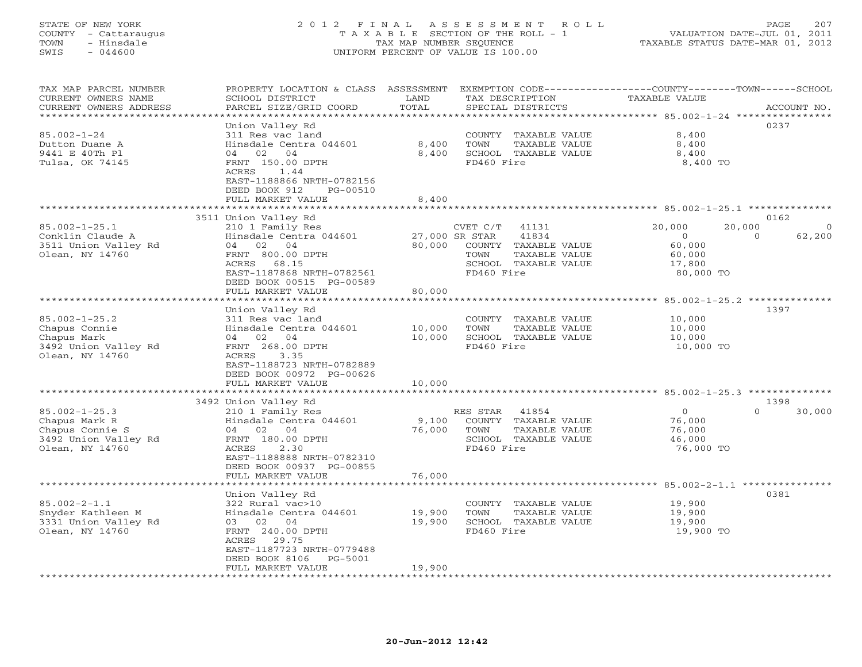# STATE OF NEW YORK 2 0 1 2 F I N A L A S S E S S M E N T R O L L PAGE 207 COUNTY - Cattaraugus T A X A B L E SECTION OF THE ROLL - 1 VALUATION DATE-JUL 01, 2011 TOWN - Hinsdale TAX MAP NUMBER SEQUENCE TAXABLE STATUS DATE-MAR 01, 2012 SWIS - 044600 UNIFORM PERCENT OF VALUE IS 100.00UNIFORM PERCENT OF VALUE IS 100.00

| TAX MAP PARCEL NUMBER<br>CURRENT OWNERS NAME    | PROPERTY LOCATION & CLASS ASSESSMENT<br>SCHOOL DISTRICT | LAND               | TAX DESCRIPTION                               | EXEMPTION CODE-----------------COUNTY-------TOWN------SCHOOL<br>TAXABLE VALUE |                    |
|-------------------------------------------------|---------------------------------------------------------|--------------------|-----------------------------------------------|-------------------------------------------------------------------------------|--------------------|
| CURRENT OWNERS ADDRESS<br>********************* | PARCEL SIZE/GRID COORD                                  | TOTAL              | SPECIAL DISTRICTS                             |                                                                               | ACCOUNT NO.        |
|                                                 | Union Valley Rd                                         |                    |                                               |                                                                               | 0237               |
| $85.002 - 1 - 24$                               | 311 Res vac land                                        |                    | COUNTY TAXABLE VALUE                          | 8,400                                                                         |                    |
| Dutton Duane A                                  | Hinsdale Centra 044601                                  | 8,400              | TOWN<br>TAXABLE VALUE                         | 8,400                                                                         |                    |
| 9441 E 40Th Pl                                  | 04 02 04                                                | 8,400              | SCHOOL TAXABLE VALUE                          | 8,400                                                                         |                    |
| Tulsa, OK 74145                                 | FRNT 150.00 DPTH                                        |                    | FD460 Fire                                    | 8,400 TO                                                                      |                    |
|                                                 | ACRES<br>1.44                                           |                    |                                               |                                                                               |                    |
|                                                 | EAST-1188866 NRTH-0782156                               |                    |                                               |                                                                               |                    |
|                                                 | DEED BOOK 912<br>PG-00510                               |                    |                                               |                                                                               |                    |
|                                                 | FULL MARKET VALUE                                       | 8,400              |                                               |                                                                               |                    |
|                                                 |                                                         |                    |                                               | ********************* 85.002-1-25.1 **************                            |                    |
|                                                 | 3511 Union Valley Rd                                    |                    |                                               |                                                                               | 0162               |
| $85.002 - 1 - 25.1$                             | 210 1 Family Res                                        |                    | CVET C/T<br>41131                             | 20,000<br>20,000                                                              | $\Omega$           |
| Conklin Claude A                                | Hinsdale Centra 044601                                  |                    | 27,000 SR STAR<br>41834                       | $\overline{0}$                                                                | 62,200<br>$\Omega$ |
| 3511 Union Valley Rd                            | 04 02 04                                                | 80,000             | COUNTY TAXABLE VALUE                          | 60,000                                                                        |                    |
| Olean, NY 14760                                 | FRNT 800.00 DPTH                                        |                    | TOWN<br>TAXABLE VALUE                         | 60,000                                                                        |                    |
|                                                 | ACRES<br>68.15                                          |                    | SCHOOL TAXABLE VALUE                          | 17,800                                                                        |                    |
|                                                 | EAST-1187868 NRTH-0782561                               |                    | FD460 Fire                                    | 80,000 TO                                                                     |                    |
|                                                 | DEED BOOK 00515 PG-00589                                |                    |                                               |                                                                               |                    |
|                                                 | FULL MARKET VALUE<br>*********************              | 80,000<br>******** |                                               |                                                                               |                    |
|                                                 |                                                         |                    |                                               | ***************** 85.002-1-25.2 **************                                |                    |
| $85.002 - 1 - 25.2$                             | Union Valley Rd<br>311 Res vac land                     |                    | COUNTY                                        | 10,000                                                                        | 1397               |
| Chapus Connie                                   | Hinsdale Centra 044601                                  | 10,000             | TAXABLE VALUE<br><b>TOWN</b><br>TAXABLE VALUE | 10,000                                                                        |                    |
| Chapus Mark                                     | 04<br>02<br>04                                          | 10,000             | SCHOOL TAXABLE VALUE                          | 10,000                                                                        |                    |
| 3492 Union Valley Rd                            | FRNT 268.00 DPTH                                        |                    | FD460 Fire                                    | 10,000 TO                                                                     |                    |
| Olean, NY 14760                                 | ACRES<br>3.35                                           |                    |                                               |                                                                               |                    |
|                                                 | EAST-1188723 NRTH-0782889                               |                    |                                               |                                                                               |                    |
|                                                 | DEED BOOK 00972 PG-00626                                |                    |                                               |                                                                               |                    |
|                                                 | FULL MARKET VALUE                                       | 10,000             |                                               |                                                                               |                    |
|                                                 | ***********************                                 |                    |                                               |                                                                               |                    |
|                                                 | 3492 Union Valley Rd                                    |                    |                                               |                                                                               | 1398               |
| $85.002 - 1 - 25.3$                             | 210 1 Family Res                                        |                    | RES STAR<br>41854                             | $\circ$                                                                       | $\Omega$<br>30,000 |
| Chapus Mark R                                   | Hinsdale Centra 044601                                  | 9,100              | COUNTY TAXABLE VALUE                          | 76,000                                                                        |                    |
| Chapus Connie S                                 | 04<br>02<br>04                                          | 76,000             | TOWN<br>TAXABLE VALUE                         | 76,000                                                                        |                    |
| 3492 Union Valley Rd                            | FRNT 180.00 DPTH                                        |                    | SCHOOL TAXABLE VALUE                          | 46,000                                                                        |                    |
| Olean, NY 14760                                 | ACRES<br>2.30                                           |                    | FD460 Fire                                    | 76,000 TO                                                                     |                    |
|                                                 | EAST-1188888 NRTH-0782310                               |                    |                                               |                                                                               |                    |
|                                                 | DEED BOOK 00937 PG-00855                                |                    |                                               |                                                                               |                    |
|                                                 | FULL MARKET VALUE<br>******************                 | 76,000             |                                               | **************** 85.002-2-1.1 *********                                       |                    |
|                                                 | Union Valley Rd                                         |                    |                                               |                                                                               | 0381               |
| $85.002 - 2 - 1.1$                              | 322 Rural vac>10                                        |                    | COUNTY TAXABLE VALUE                          | 19,900                                                                        |                    |
| Snyder Kathleen M                               | Hinsdale Centra 044601                                  | 19,900             | <b>TOWN</b><br>TAXABLE VALUE                  | 19,900                                                                        |                    |
| 3331 Union Valley Rd                            | 04<br>03<br>02                                          | 19,900             | SCHOOL TAXABLE VALUE                          | 19,900                                                                        |                    |
| Olean, NY 14760                                 | FRNT 240.00 DPTH                                        |                    | FD460 Fire                                    | 19,900 TO                                                                     |                    |
|                                                 | ACRES<br>29.75                                          |                    |                                               |                                                                               |                    |
|                                                 | EAST-1187723 NRTH-0779488                               |                    |                                               |                                                                               |                    |
|                                                 | DEED BOOK 8106<br>PG-5001                               |                    |                                               |                                                                               |                    |
|                                                 | FULL MARKET VALUE                                       | 19,900             |                                               |                                                                               |                    |
| * * * * * * * * * * * * * * * * * * * *         |                                                         |                    |                                               |                                                                               |                    |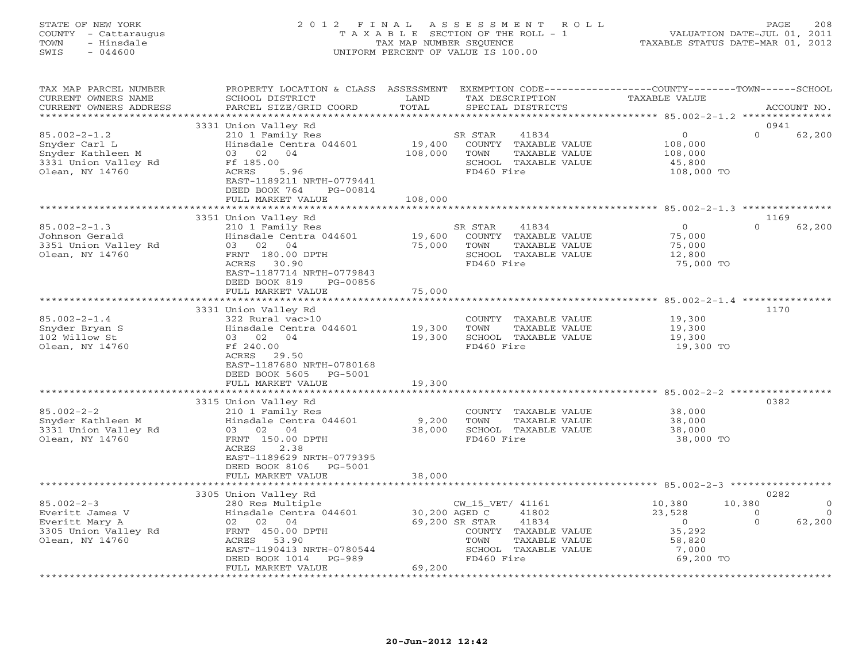# STATE OF NEW YORK 2 0 1 2 F I N A L A S S E S S M E N T R O L L PAGE 208 COUNTY - Cattaraugus T A X A B L E SECTION OF THE ROLL - 1 VALUATION DATE-JUL 01, 2011 TOWN - Hinsdale TAX MAP NUMBER SEQUENCE TAXABLE STATUS DATE-MAR 01, 2012 SWIS - 044600 UNIFORM PERCENT OF VALUE IS 100.00

| TAX MAP PARCEL NUMBER  | PROPERTY LOCATION & CLASS ASSESSMENT |               | EXEMPTION CODE----------------COUNTY-------TOWN-----SCHOOL |                          |                               |
|------------------------|--------------------------------------|---------------|------------------------------------------------------------|--------------------------|-------------------------------|
| CURRENT OWNERS NAME    | SCHOOL DISTRICT                      | LAND          | TAX DESCRIPTION                                            | TAXABLE VALUE            |                               |
| CURRENT OWNERS ADDRESS | PARCEL SIZE/GRID COORD               | TOTAL         | SPECIAL DISTRICTS                                          |                          | ACCOUNT NO.                   |
|                        |                                      |               |                                                            |                          |                               |
|                        | 3331 Union Valley Rd                 |               |                                                            |                          | 0941                          |
| $85.002 - 2 - 1.2$     | 210 1 Family Res                     |               | 41834<br>SR STAR                                           | $\circ$                  | $\Omega$<br>62,200            |
| Snyder Carl L          | Hinsdale Centra 044601               | 19,400        | COUNTY TAXABLE VALUE                                       | 108,000                  |                               |
| Snyder Kathleen M      | 03 02<br>04                          | 108,000       | TOWN<br>TAXABLE VALUE                                      | 108,000                  |                               |
| 3331 Union Valley Rd   | Ff 185.00                            |               | SCHOOL TAXABLE VALUE                                       | 45,800                   |                               |
| Olean, NY 14760        | ACRES<br>5.96                        |               | FD460 Fire                                                 | 108,000 TO               |                               |
|                        | EAST-1189211 NRTH-0779441            |               |                                                            |                          |                               |
|                        | DEED BOOK 764<br>PG-00814            |               |                                                            |                          |                               |
|                        | FULL MARKET VALUE                    | 108,000       |                                                            |                          |                               |
|                        |                                      |               |                                                            |                          |                               |
|                        | 3351 Union Valley Rd                 |               |                                                            |                          | 1169                          |
| $85.002 - 2 - 1.3$     | 210 1 Family Res                     |               | SR STAR<br>41834                                           | $\circ$                  | $\Omega$<br>62,200            |
| Johnson Gerald         | Hinsdale Centra 044601               | 19,600        | COUNTY TAXABLE VALUE                                       | 75,000                   |                               |
| 3351 Union Valley Rd   | 03 02 04                             | 75,000        | TOWN<br>TAXABLE VALUE                                      | 75,000                   |                               |
| Olean, NY 14760        | FRNT 180.00 DPTH                     |               | SCHOOL TAXABLE VALUE                                       | 12,800                   |                               |
|                        | ACRES<br>30.90                       |               | FD460 Fire                                                 | 75,000 TO                |                               |
|                        | EAST-1187714 NRTH-0779843            |               |                                                            |                          |                               |
|                        | DEED BOOK 819<br>PG-00856            |               |                                                            |                          |                               |
|                        | FULL MARKET VALUE                    | 75,000        |                                                            |                          |                               |
|                        |                                      |               |                                                            |                          |                               |
|                        | 3331 Union Valley Rd                 |               |                                                            |                          | 1170                          |
| $85.002 - 2 - 1.4$     | 322 Rural vac>10                     |               | COUNTY TAXABLE VALUE                                       | 19,300                   |                               |
| Snyder Bryan S         | Hinsdale Centra 044601               | 19,300        | TOWN<br>TAXABLE VALUE                                      | 19,300                   |                               |
| 102 Willow St          | 03 02 04                             | 19,300        | SCHOOL TAXABLE VALUE                                       | 19,300                   |                               |
| Olean, NY 14760        | Ff 240.00                            |               | FD460 Fire                                                 | 19,300 TO                |                               |
|                        | ACRES<br>29.50                       |               |                                                            |                          |                               |
|                        | EAST-1187680 NRTH-0780168            |               |                                                            |                          |                               |
|                        | DEED BOOK 5605<br>PG-5001            |               |                                                            |                          |                               |
|                        | FULL MARKET VALUE                    | 19,300        |                                                            |                          |                               |
|                        |                                      |               |                                                            |                          |                               |
|                        | 3315 Union Valley Rd                 |               |                                                            |                          | 0382                          |
| $85.002 - 2 - 2$       | 210 1 Family Res                     |               | COUNTY TAXABLE VALUE                                       | 38,000                   |                               |
| Snyder Kathleen M      | Hinsdale Centra 044601               | 9,200         | TOWN<br>TAXABLE VALUE                                      | 38,000                   |                               |
| 3331 Union Valley Rd   | 03 02 04                             | 38,000        | SCHOOL TAXABLE VALUE                                       | 38,000                   |                               |
| Olean, NY 14760        | FRNT 150.00 DPTH                     |               | FD460 Fire                                                 | 38,000 TO                |                               |
|                        | <b>ACRES</b><br>2.38                 |               |                                                            |                          |                               |
|                        | EAST-1189629 NRTH-0779395            |               |                                                            |                          |                               |
|                        | DEED BOOK 8106<br>PG-5001            |               |                                                            |                          |                               |
|                        | FULL MARKET VALUE                    | 38,000        |                                                            |                          |                               |
|                        |                                      |               |                                                            |                          |                               |
|                        |                                      |               |                                                            |                          | 0282                          |
| $85.002 - 2 - 3$       | 3305 Union Valley Rd                 |               |                                                            |                          |                               |
|                        | 280 Res Multiple                     |               | CW_15_VET/ 41161                                           | 10,380                   | 10,380<br>$\circ$<br>$\Omega$ |
| Everitt James V        | Hinsdale Centra 044601               | 30,200 AGED C | 41802                                                      | 23,528<br>$\overline{0}$ | $\circ$<br>$\Omega$           |
| Everitt Mary A         | 02 02 04                             |               | 69,200 SR STAR<br>41834                                    |                          | 62,200                        |
| 3305 Union Valley Rd   | FRNT 450.00 DPTH                     |               | COUNTY TAXABLE VALUE                                       | 35,292                   |                               |
| Olean, NY 14760        | 53.90<br>ACRES                       |               | TOWN<br>TAXABLE VALUE                                      | 58,820                   |                               |
|                        | EAST-1190413 NRTH-0780544            |               | SCHOOL TAXABLE VALUE                                       | 7,000                    |                               |
|                        | $PG-989$<br>DEED BOOK 1014           |               | FD460 Fire                                                 | 69,200 TO                |                               |
|                        | FULL MARKET VALUE                    | 69,200        |                                                            |                          |                               |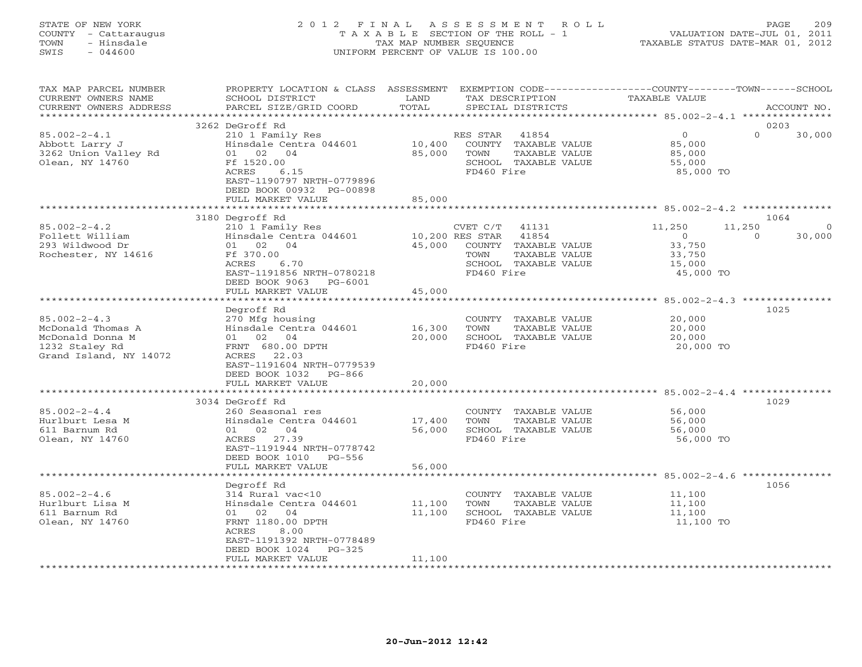# STATE OF NEW YORK 2 0 1 2 F I N A L A S S E S S M E N T R O L L PAGE 209 COUNTY - Cattaraugus T A X A B L E SECTION OF THE ROLL - 1 VALUATION DATE-JUL 01, 2011 TOWN - Hinsdale TAX MAP NUMBER SEQUENCE TAXABLE STATUS DATE-MAR 01, 2012 SWIS - 044600 UNIFORM PERCENT OF VALUE IS 100.00UNIFORM PERCENT OF VALUE IS 100.00

| TAX MAP PARCEL NUMBER<br>CURRENT OWNERS NAME<br>CURRENT OWNERS ADDRESS                                  | PROPERTY LOCATION & CLASS ASSESSMENT<br>SCHOOL DISTRICT<br>PARCEL SIZE/GRID COORD                                                                                                             | LAND<br>TOTAL              | TAX DESCRIPTION<br>SPECIAL DISTRICTS                                                                                              | EXEMPTION CODE-----------------COUNTY-------TOWN------SCHOOL<br><b>TAXABLE VALUE</b>         | ACCOUNT NO.    |
|---------------------------------------------------------------------------------------------------------|-----------------------------------------------------------------------------------------------------------------------------------------------------------------------------------------------|----------------------------|-----------------------------------------------------------------------------------------------------------------------------------|----------------------------------------------------------------------------------------------|----------------|
| ************************                                                                                |                                                                                                                                                                                               |                            |                                                                                                                                   |                                                                                              |                |
| $85.002 - 2 - 4.1$<br>Abbott Larry J<br>3262 Union Valley Rd<br>Olean, NY 14760                         | 3262 DeGroff Rd<br>210 1 Family Res<br>Hinsdale Centra 044601<br>01 02 04<br>Ff 1520.00<br>ACRES<br>6.15<br>EAST-1190797 NRTH-0779896<br>DEED BOOK 00932 PG-00898                             | 10,400<br>85,000           | RES STAR<br>41854<br>COUNTY TAXABLE VALUE<br>TOWN<br>TAXABLE VALUE<br>SCHOOL TAXABLE VALUE<br>FD460 Fire                          | $\circ$<br>$\Omega$<br>85,000<br>85,000<br>55,000<br>85,000 TO                               | 0203<br>30,000 |
|                                                                                                         | FULL MARKET VALUE                                                                                                                                                                             | 85,000                     |                                                                                                                                   |                                                                                              |                |
| $85.002 - 2 - 4.2$<br>Follett William<br>293 Wildwood Dr<br>Rochester, NY 14616                         | 3180 Degroff Rd<br>210 1 Family Res<br>Hinsdale Centra 044601<br>01 02 04<br>Ff 370.00<br>ACRES<br>6.70<br>EAST-1191856 NRTH-0780218<br>DEED BOOK 9063<br>$PG-6001$                           | 45,000                     | CVET C/T<br>41131<br>10,200 RES STAR 41854<br>COUNTY TAXABLE VALUE<br>TOWN<br>TAXABLE VALUE<br>SCHOOL TAXABLE VALUE<br>FD460 Fire | 11,250<br>11,250<br>$\overline{0}$<br>$\Omega$<br>33,750<br>33,750<br>15,000<br>45,000 TO    | 1064<br>30,000 |
|                                                                                                         | FULL MARKET VALUE                                                                                                                                                                             | 45,000<br>************     |                                                                                                                                   |                                                                                              |                |
| $85.002 - 2 - 4.3$<br>McDonald Thomas A<br>McDonald Donna M<br>1232 Staley Rd<br>Grand Island, NY 14072 | Degroff Rd<br>270 Mfg housing<br>Hinsdale Centra 044601<br>02 04<br>01<br>FRNT 680.00 DPTH<br>22.03<br>ACRES<br>EAST-1191604 NRTH-0779539<br>DEED BOOK 1032<br>$PG-866$<br>FULL MARKET VALUE  | 16,300<br>20,000<br>20,000 | COUNTY TAXABLE VALUE<br>TOWN<br>TAXABLE VALUE<br>SCHOOL TAXABLE VALUE<br>FD460 Fire                                               | ******************** 85.002-2-4.3 ***************<br>20,000<br>20,000<br>20,000<br>20,000 TO | 1025           |
|                                                                                                         |                                                                                                                                                                                               |                            |                                                                                                                                   |                                                                                              |                |
| $85.002 - 2 - 4.4$<br>Hurlburt Lesa M<br>611 Barnum Rd<br>Olean, NY 14760                               | 3034 DeGroff Rd<br>260 Seasonal res<br>Hinsdale Centra 044601<br>01 02 04<br>ACRES 27.39<br>EAST-1191944 NRTH-0778742<br>DEED BOOK 1010 PG-556                                                | 17,400<br>56,000           | COUNTY TAXABLE VALUE<br>TAXABLE VALUE<br>TOWN<br>SCHOOL TAXABLE VALUE<br>FD460 Fire                                               | 56,000<br>56,000<br>56,000<br>56,000 TO                                                      | 1029           |
|                                                                                                         | FULL MARKET VALUE                                                                                                                                                                             | 56,000                     |                                                                                                                                   |                                                                                              |                |
| $85.002 - 2 - 4.6$<br>Hurlburt Lisa M<br>611 Barnum Rd<br>Olean, NY 14760                               | Degroff Rd<br>314 Rural vac<10<br>Hinsdale Centra 044601<br>01 02<br>04<br>FRNT 1180.00 DPTH<br>ACRES<br>8.00<br>EAST-1191392 NRTH-0778489<br>DEED BOOK 1024<br>$PG-325$<br>FULL MARKET VALUE | 11,100<br>11,100           | COUNTY TAXABLE VALUE<br>TOWN<br>TAXABLE VALUE<br>SCHOOL TAXABLE VALUE<br>FD460 Fire                                               | 11,100<br>11,100<br>11,100<br>11,100 TO                                                      | 1056           |
| ***********************                                                                                 |                                                                                                                                                                                               | 11,100                     |                                                                                                                                   |                                                                                              |                |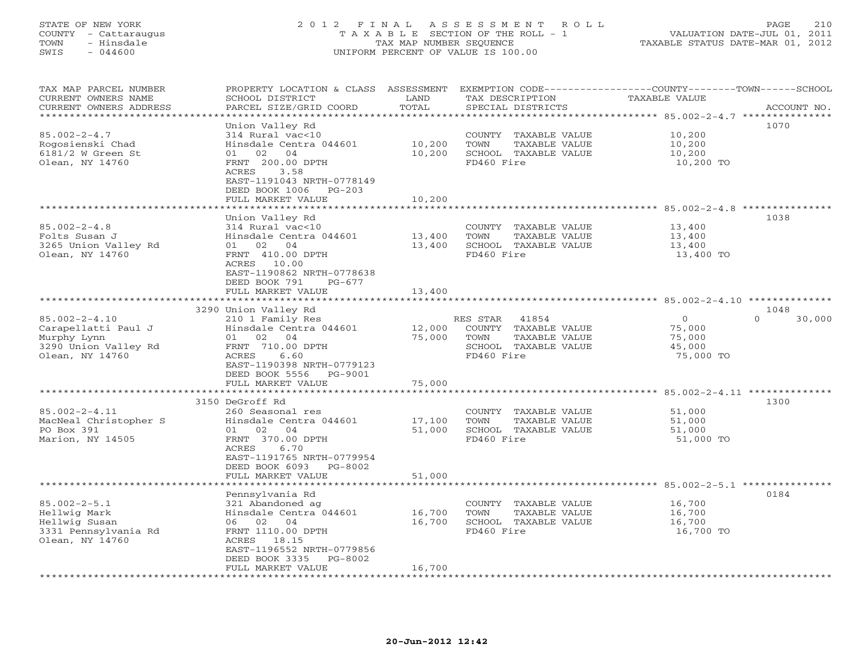# STATE OF NEW YORK 2 0 1 2 F I N A L A S S E S S M E N T R O L L PAGE 210 COUNTY - Cattaraugus T A X A B L E SECTION OF THE ROLL - 1 VALUATION DATE-JUL 01, 2011 TOWN - Hinsdale TAX MAP NUMBER SEQUENCE TAXABLE STATUS DATE-MAR 01, 2012 SWIS - 044600 UNIFORM PERCENT OF VALUE IS 100.00UNIFORM PERCENT OF VALUE IS 100.00

| TAX MAP PARCEL NUMBER<br>CURRENT OWNERS NAME<br>CURRENT OWNERS ADDRESS<br>*************************  | PROPERTY LOCATION & CLASS ASSESSMENT<br>SCHOOL DISTRICT<br>PARCEL SIZE/GRID COORD                                                                                                                    | LAND<br>TOTAL              | EXEMPTION CODE-----------------COUNTY-------TOWN-----SCHOOL<br>TAX DESCRIPTION<br>SPECIAL DISTRICTS         | TAXABLE VALUE                                               | ACCOUNT NO.        |
|------------------------------------------------------------------------------------------------------|------------------------------------------------------------------------------------------------------------------------------------------------------------------------------------------------------|----------------------------|-------------------------------------------------------------------------------------------------------------|-------------------------------------------------------------|--------------------|
| $85.002 - 2 - 4.7$<br>Rogosienski Chad<br>6181/2 W Green St<br>Olean, NY 14760                       | Union Valley Rd<br>314 Rural vac<10<br>Hinsdale Centra 044601<br>02<br>04<br>01<br>FRNT 200.00 DPTH<br>3.58<br>ACRES<br>EAST-1191043 NRTH-0778149<br>DEED BOOK 1006<br>$PG-203$<br>FULL MARKET VALUE | 10,200<br>10,200<br>10,200 | COUNTY TAXABLE VALUE<br>TOWN<br>TAXABLE VALUE<br>SCHOOL TAXABLE VALUE<br>FD460 Fire                         | 10,200<br>10,200<br>10,200<br>10,200 TO                     | 1070               |
|                                                                                                      |                                                                                                                                                                                                      |                            |                                                                                                             |                                                             |                    |
| $85.002 - 2 - 4.8$<br>Folts Susan J<br>3265 Union Valley Rd<br>Olean, NY 14760                       | Union Valley Rd<br>314 Rural vac<10<br>Hinsdale Centra 044601<br>01 02 04<br>FRNT 410.00 DPTH<br>ACRES 10.00                                                                                         | 13,400<br>13,400           | COUNTY TAXABLE VALUE<br>TOWN<br>TAXABLE VALUE<br>SCHOOL TAXABLE VALUE<br>FD460 Fire                         | 13,400<br>13,400<br>13,400<br>13,400 TO                     | 1038               |
|                                                                                                      | EAST-1190862 NRTH-0778638<br>DEED BOOK 791<br>$PG-677$<br>FULL MARKET VALUE<br>**************************                                                                                            | 13,400<br>************     |                                                                                                             | ****************************** 85.002-2-4.10 ************** |                    |
|                                                                                                      | 3290 Union Valley Rd                                                                                                                                                                                 |                            |                                                                                                             |                                                             | 1048               |
| $85.002 - 2 - 4.10$<br>Carapellatti Paul J<br>Murphy Lynn<br>3290 Union Valley Rd<br>Olean, NY 14760 | 210 1 Family Res<br>Hinsdale Centra 044601<br>01<br>02 04<br>FRNT 710.00 DPTH<br>ACRES<br>6.60<br>EAST-1190398 NRTH-0779123<br>DEED BOOK 5556<br>PG-9001                                             | 12,000<br>75,000           | RES STAR<br>41854<br>COUNTY<br>TAXABLE VALUE<br>TOWN<br>TAXABLE VALUE<br>SCHOOL TAXABLE VALUE<br>FD460 Fire | $\circ$<br>75,000<br>75,000<br>45,000<br>75,000 TO          | $\Omega$<br>30,000 |
|                                                                                                      | FULL MARKET VALUE                                                                                                                                                                                    | 75,000                     |                                                                                                             |                                                             |                    |
|                                                                                                      | ************************                                                                                                                                                                             | * * * * * * * * * *        |                                                                                                             | ******************** 85.002-2-4.11 *************            |                    |
| $85.002 - 2 - 4.11$<br>MacNeal Christopher S<br>PO Box 391<br>Marion, NY 14505                       | 3150 DeGroff Rd<br>260 Seasonal res<br>Hinsdale Centra 044601<br>01<br>02<br>04<br>FRNT 370.00 DPTH<br>ACRES<br>6.70<br>EAST-1191765 NRTH-0779954<br>DEED BOOK 6093<br>PG-8002                       | 17,100<br>51,000           | COUNTY<br>TAXABLE VALUE<br>TOWN<br>TAXABLE VALUE<br>SCHOOL TAXABLE VALUE<br>FD460 Fire                      | 51,000<br>51,000<br>51,000<br>51,000 TO                     | 1300               |
|                                                                                                      | FULL MARKET VALUE                                                                                                                                                                                    | 51,000                     |                                                                                                             |                                                             |                    |
|                                                                                                      | *****************                                                                                                                                                                                    |                            |                                                                                                             | *********** 85.002-2-5.1 *********                          |                    |
| $85.002 - 2 - 5.1$<br>Hellwig Mark<br>Hellwig Susan<br>3331 Pennsylvania Rd<br>Olean, NY 14760       | Pennsylvania Rd<br>321 Abandoned ag<br>Hinsdale Centra 044601<br>06 02 04<br>FRNT 1110.00 DPTH<br>ACRES 18.15<br>EAST-1196552 NRTH-0779856<br>DEED BOOK 3335<br>PG-8002                              | 16,700<br>16,700           | COUNTY TAXABLE VALUE<br><b>TAXABLE VALUE</b><br>TOWN<br>SCHOOL TAXABLE VALUE<br>FD460 Fire                  | 16,700<br>16,700<br>16,700<br>16,700 TO                     | 0184               |
| *********************                                                                                | FULL MARKET VALUE                                                                                                                                                                                    | 16,700                     |                                                                                                             |                                                             |                    |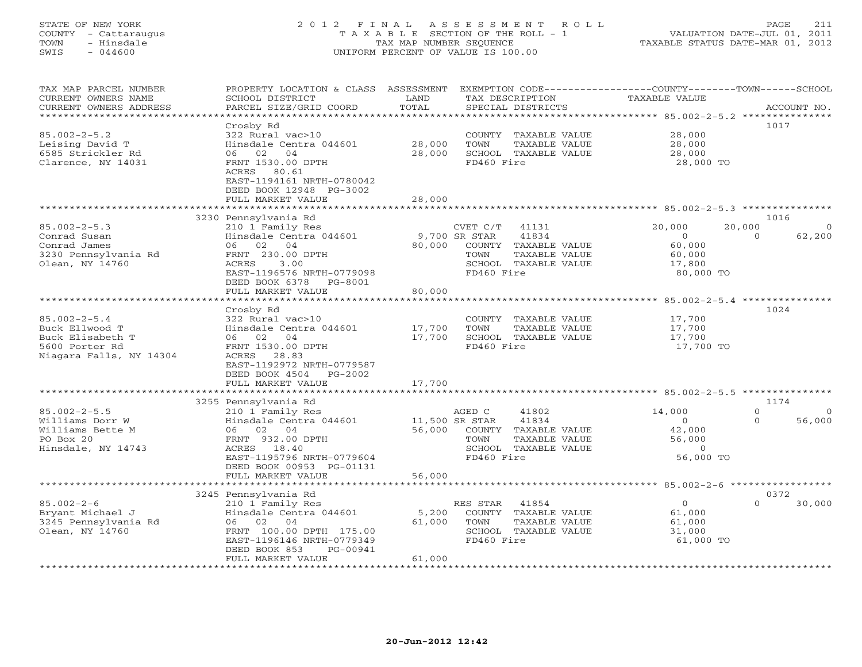# STATE OF NEW YORK 2 0 1 2 F I N A L A S S E S S M E N T R O L L PAGE 211 COUNTY - Cattaraugus T A X A B L E SECTION OF THE ROLL - 1 VALUATION DATE-JUL 01, 2011 TOWN - Hinsdale TAX MAP NUMBER SEQUENCE TAXABLE STATUS DATE-MAR 01, 2012 SWIS - 044600 UNIFORM PERCENT OF VALUE IS 100.00UNIFORM PERCENT OF VALUE IS 100.00

| TAX MAP PARCEL NUMBER<br>CURRENT OWNERS NAME<br>CURRENT OWNERS ADDRESS<br>*********************       | PROPERTY LOCATION & CLASS ASSESSMENT<br>SCHOOL DISTRICT<br>PARCEL SIZE/GRID COORD                                                                                                                     | LAND<br>TOTAL              | EXEMPTION CODE-----------------COUNTY-------TOWN------SCHOOL<br>TAX DESCRIPTION<br>SPECIAL DISTRICTS                                  | <b>TAXABLE VALUE</b>                                           | ACCOUNT NO.                                        |
|-------------------------------------------------------------------------------------------------------|-------------------------------------------------------------------------------------------------------------------------------------------------------------------------------------------------------|----------------------------|---------------------------------------------------------------------------------------------------------------------------------------|----------------------------------------------------------------|----------------------------------------------------|
| $85.002 - 2 - 5.2$<br>Leising David T<br>6585 Strickler Rd<br>Clarence, NY 14031                      | Crosby Rd<br>322 Rural vac>10<br>Hinsdale Centra 044601<br>06<br>02<br>04<br>FRNT 1530.00 DPTH<br>ACRES 80.61<br>EAST-1194161 NRTH-0780042<br>DEED BOOK 12948 PG-3002<br>FULL MARKET VALUE            | 28,000<br>28,000<br>28,000 | COUNTY<br>TAXABLE VALUE<br>TOWN<br>TAXABLE VALUE<br>SCHOOL TAXABLE VALUE<br>FD460 Fire                                                | 28,000<br>28,000<br>28,000<br>28,000 TO                        | 1017                                               |
|                                                                                                       | 3230 Pennsylvania Rd                                                                                                                                                                                  |                            |                                                                                                                                       |                                                                | 1016                                               |
| $85.002 - 2 - 5.3$<br>Conrad Susan<br>Conrad James<br>3230 Pennsylvania Rd<br>Olean, NY 14760         | 210 1 Family Res<br>Hinsdale Centra 044601<br>04<br>06<br>02<br>FRNT 230.00 DPTH<br>ACRES<br>3.00<br>EAST-1196576 NRTH-0779098<br>DEED BOOK 6378<br>PG-8001<br>FULL MARKET VALUE                      | 80,000<br>80,000           | CVET C/T<br>41131<br>9,700 SR STAR<br>41834<br>COUNTY<br>TAXABLE VALUE<br>TOWN<br>TAXABLE VALUE<br>SCHOOL TAXABLE VALUE<br>FD460 Fire | 20,000<br>$\circ$<br>60,000<br>60,000<br>17,800<br>80,000 TO   | 20,000<br>62,200<br>$\Omega$                       |
|                                                                                                       |                                                                                                                                                                                                       |                            |                                                                                                                                       | ******* 85.002-2-5.4 ****************                          |                                                    |
| $85.002 - 2 - 5.4$<br>Buck Ellwood T<br>Buck Elisabeth T<br>5600 Porter Rd<br>Niagara Falls, NY 14304 | Crosby Rd<br>322 Rural vac>10<br>Hinsdale Centra 044601<br>06 02 04<br>FRNT 1530.00 DPTH<br>28.83<br>ACRES<br>EAST-1192972 NRTH-0779587<br>DEED BOOK 4504<br>$PG-2002$<br>FULL MARKET VALUE           | 17,700<br>17,700<br>17,700 | COUNTY TAXABLE VALUE<br>TOWN<br>TAXABLE VALUE<br>SCHOOL TAXABLE VALUE<br>FD460 Fire                                                   | 17,700<br>17,700<br>17,700<br>17,700 TO                        | 1024                                               |
|                                                                                                       |                                                                                                                                                                                                       |                            |                                                                                                                                       |                                                                |                                                    |
| $85.002 - 2 - 5.5$<br>Williams Dorr W<br>Williams Bette M<br>PO Box 20<br>Hinsdale, NY 14743          | 3255 Pennsylvania Rd<br>210 1 Family Res<br>Hinsdale Centra 044601<br>02 04<br>06<br>FRNT 932.00 DPTH<br>18.40<br>ACRES<br>EAST-1195796 NRTH-0779604<br>DEED BOOK 00953 PG-01131<br>FULL MARKET VALUE | 56,000<br>56,000           | AGED C<br>41802<br>11,500 SR STAR<br>41834<br>COUNTY TAXABLE VALUE<br>TOWN<br>TAXABLE VALUE<br>SCHOOL TAXABLE VALUE<br>FD460 Fire     | 14,000<br>$\circ$<br>42,000<br>56,000<br>$\Omega$<br>56,000 TO | 1174<br>$\Omega$<br>$\Omega$<br>56,000<br>$\Omega$ |
|                                                                                                       | ******************                                                                                                                                                                                    |                            | ************************************ 85.002-2-6 *****************                                                                     |                                                                |                                                    |
| $85.002 - 2 - 6$<br>Bryant Michael J<br>3245 Pennsylvania Rd<br>Olean, NY 14760                       | 3245 Pennsylvania Rd<br>210 1 Family Res<br>Hinsdale Centra 044601<br>04<br>06<br>02<br>FRNT 100.00 DPTH 175.00                                                                                       | 5,200<br>61,000            | RES STAR<br>41854<br>COUNTY<br>TAXABLE VALUE<br>TOWN<br>TAXABLE VALUE<br>SCHOOL TAXABLE VALUE                                         | $\circ$<br>61,000<br>61,000<br>31,000                          | 0372<br>$\Omega$<br>30,000                         |
| ************************                                                                              | EAST-1196146 NRTH-0779349<br>PG-00941<br>DEED BOOK 853<br>FULL MARKET VALUE                                                                                                                           | 61,000                     | FD460 Fire                                                                                                                            | 61,000 TO                                                      |                                                    |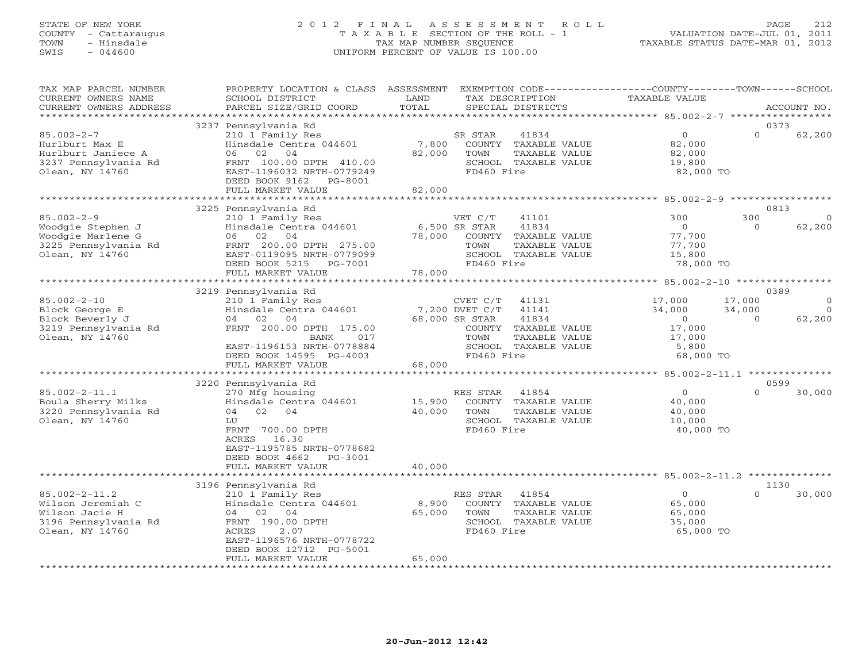# STATE OF NEW YORK 2 0 1 2 F I N A L A S S E S S M E N T R O L L PAGE 212 COUNTY - Cattaraugus T A X A B L E SECTION OF THE ROLL - 1 VALUATION DATE-JUL 01, 2011 TOWN - Hinsdale TAX MAP NUMBER SEQUENCE TAXABLE STATUS DATE-MAR 01, 2012 SWIS - 044600 UNIFORM PERCENT OF VALUE IS 100.00UNIFORM PERCENT OF VALUE IS 100.00

| TAX MAP PARCEL NUMBER<br>CURRENT OWNERS NAME<br>CURRENT OWNERS ADDRESS                                | PROPERTY LOCATION & CLASS ASSESSMENT EXEMPTION CODE---------------COUNTY-------TOWN------SCHOOL<br>SCHOOL DISTRICT<br>PARCEL SIZE/GRID COORD                                                | LAND<br>TOTAL                  |                                                                    | TAX DESCRIPTION<br>SPECIAL DISTRICTS                                                     | <b>TAXABLE VALUE</b>                                                         |                              | ACCOUNT NO.                          |
|-------------------------------------------------------------------------------------------------------|---------------------------------------------------------------------------------------------------------------------------------------------------------------------------------------------|--------------------------------|--------------------------------------------------------------------|------------------------------------------------------------------------------------------|------------------------------------------------------------------------------|------------------------------|--------------------------------------|
| *************************                                                                             |                                                                                                                                                                                             |                                |                                                                    |                                                                                          |                                                                              |                              |                                      |
| $85.002 - 2 - 7$<br>Hurlburt Max E<br>Hurlburt Janiece A<br>3237 Pennsylvania Rd<br>Olean, NY 14760   | 3237 Pennsylvania Rd<br>210 1 Family Res<br>Hinsdale Centra 044601<br>02<br>06<br>04<br>FRNT 100.00 DPTH 410.00<br>EAST-1196032 NRTH-0779249<br>DEED BOOK 9162 PG-8001<br>FULL MARKET VALUE | 7,800<br>82,000<br>82,000      | SR STAR<br>TOWN<br>FD460 Fire                                      | 41834<br>COUNTY TAXABLE VALUE<br>TAXABLE VALUE<br>SCHOOL TAXABLE VALUE                   | $\circ$<br>82,000<br>82,000<br>19,800<br>82,000 TO                           | $\Omega$                     | 0373<br>62,200                       |
|                                                                                                       |                                                                                                                                                                                             |                                |                                                                    |                                                                                          |                                                                              |                              |                                      |
| $85.002 - 2 - 9$<br>Woodgie Stephen J<br>Woodgie Marlene G<br>3225 Pennsylvania Rd<br>Olean, NY 14760 | 3225 Pennsylvania Rd<br>210 1 Family Res<br>Hinsdale Centra 044601<br>06 02 04<br>FRNT 200.00 DPTH 275.00<br>EAST-0119095 NRTH-0779099                                                      | 78,000                         | VET C/T<br>6,500 SR STAR<br>TOWN                                   | 41101<br>41834<br>COUNTY TAXABLE VALUE<br>TAXABLE VALUE<br>SCHOOL TAXABLE VALUE          | 300<br>$\Omega$<br>77,700<br>77,700<br>15,800                                | 300<br>$\Omega$              | 0813<br>$\Omega$<br>62,200           |
|                                                                                                       | DEED BOOK 5215<br>PG-7001<br>FULL MARKET VALUE                                                                                                                                              | 78,000                         | FD460 Fire                                                         |                                                                                          | 78,000 TO                                                                    |                              |                                      |
|                                                                                                       | 3219 Pennsylvania Rd                                                                                                                                                                        |                                |                                                                    |                                                                                          |                                                                              |                              | 0389                                 |
| $85.002 - 2 - 10$<br>Block George E<br>Block Beverly J<br>3219 Pennsylvania Rd<br>Olean, NY 14760     | 210 1 Family Res<br>Hinsdale Centra 044601<br>04<br>02<br>04<br>FRNT 200.00 DPTH 175.00<br><b>BANK</b><br>017<br>EAST-1196153 NRTH-0778884<br>DEED BOOK 14595 PG-4003<br>FULL MARKET VALUE  | 68,000                         | CVET C/T<br>7,200 DVET C/T<br>68,000 SR STAR<br>TOWN<br>FD460 Fire | 41131<br>41141<br>41834<br>COUNTY TAXABLE VALUE<br>TAXABLE VALUE<br>SCHOOL TAXABLE VALUE | 17,000<br>34,000<br>$\overline{0}$<br>17,000<br>17,000<br>5,800<br>68,000 TO | 17,000<br>34,000<br>$\Omega$ | $\overline{O}$<br>$\Omega$<br>62,200 |
|                                                                                                       |                                                                                                                                                                                             |                                |                                                                    |                                                                                          |                                                                              |                              |                                      |
| $85.002 - 2 - 11.1$<br>Boula Sherry Milks<br>3220 Pennsylvania Rd<br>Olean, NY 14760                  | 3220 Pennsylvania Rd<br>270 Mfg housing<br>Hinsdale Centra 044601<br>04<br>02 04<br>LU<br>FRNT 700.00 DPTH<br>16.30<br>ACRES<br>EAST-1195785 NRTH-0778682<br>DEED BOOK 4662<br>PG-3001      | 15,900<br>40,000               | RES STAR<br>TOWN<br>FD460 Fire                                     | 41854<br>COUNTY TAXABLE VALUE<br>TAXABLE VALUE<br>SCHOOL TAXABLE VALUE                   | $\circ$<br>40,000<br>40,000<br>10,000<br>40,000 TO                           | $\Omega$                     | 0599<br>30,000                       |
|                                                                                                       | FULL MARKET VALUE                                                                                                                                                                           | 40,000                         |                                                                    |                                                                                          |                                                                              |                              |                                      |
| $85.002 - 2 - 11.2$<br>Wilson Jeremiah C<br>Wilson Jacie H<br>3196 Pennsylvania Rd<br>Olean, NY 14760 | 3196 Pennsylvania Rd<br>210 1 Family Res<br>Hinsdale Centra 044601<br>02<br>04<br>04<br>FRNT 190.00 DPTH<br>ACRES<br>2.07<br>EAST-1196576 NRTH-0778722<br>DEED BOOK 12712 PG-5001           | 8,900<br>65,000                | RES STAR<br>TOWN<br>FD460 Fire                                     | 41854<br>COUNTY TAXABLE VALUE<br>TAXABLE VALUE<br>SCHOOL TAXABLE VALUE                   | $\circ$<br>65,000<br>65,000<br>35,000<br>65,000 TO                           | $\Omega$                     | 1130<br>30,000                       |
|                                                                                                       | FULL MARKET VALUE                                                                                                                                                                           | 65,000<br>******************** |                                                                    |                                                                                          |                                                                              |                              |                                      |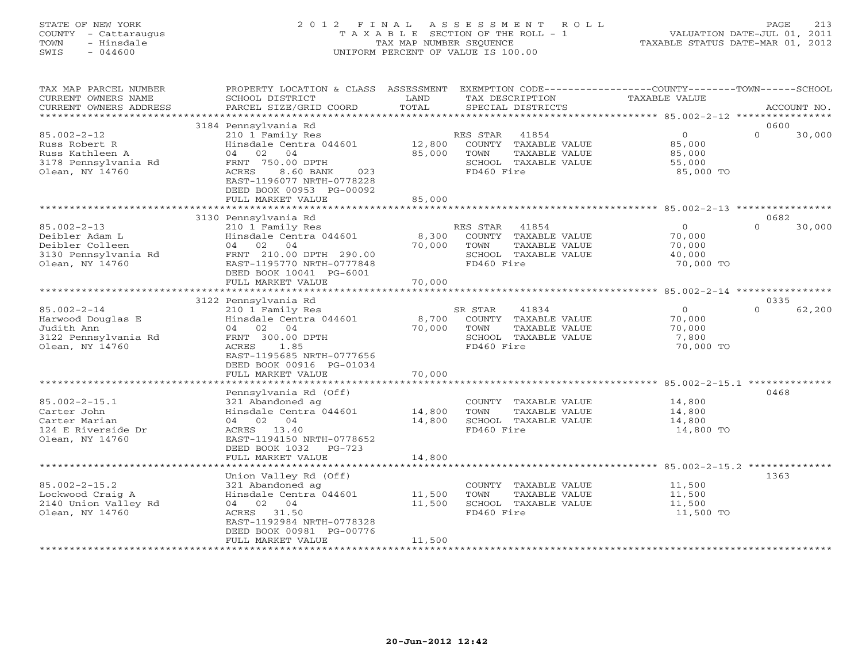# STATE OF NEW YORK 2 0 1 2 F I N A L A S S E S S M E N T R O L L PAGE 213 COUNTY - Cattaraugus T A X A B L E SECTION OF THE ROLL - 1 VALUATION DATE-JUL 01, 2011 TOWN - Hinsdale TAX MAP NUMBER SEQUENCE TAXABLE STATUS DATE-MAR 01, 2012 SWIS - 044600 UNIFORM PERCENT OF VALUE IS 100.00UNIFORM PERCENT OF VALUE IS 100.00

| TAX MAP PARCEL NUMBER<br>CURRENT OWNERS NAME<br>CURRENT OWNERS ADDRESS                            | PROPERTY LOCATION & CLASS ASSESSMENT<br>SCHOOL DISTRICT<br>PARCEL SIZE/GRID COORD                                                                                                                                   | LAND<br>TOTAL              | EXEMPTION CODE-----------------COUNTY-------TOWN------SCHOOL<br>TAX DESCRIPTION<br>SPECIAL DISTRICTS     | TAXABLE VALUE                                          | ACCOUNT NO.                |
|---------------------------------------------------------------------------------------------------|---------------------------------------------------------------------------------------------------------------------------------------------------------------------------------------------------------------------|----------------------------|----------------------------------------------------------------------------------------------------------|--------------------------------------------------------|----------------------------|
| ***********************                                                                           |                                                                                                                                                                                                                     |                            |                                                                                                          |                                                        |                            |
| $85.002 - 2 - 12$<br>Russ Robert R<br>Russ Kathleen A<br>3178 Pennsylvania Rd<br>Olean, NY 14760  | 3184 Pennsylvania Rd<br>210 1 Family Res<br>Hinsdale Centra 044601<br>04<br>04<br>02<br>FRNT 750.00 DPTH<br>ACRES<br>8.60 BANK<br>023<br>EAST-1196077 NRTH-0778228<br>DEED BOOK 00953 PG-00092<br>FULL MARKET VALUE | 12,800<br>85,000<br>85,000 | RES STAR<br>41854<br>COUNTY TAXABLE VALUE<br>TOWN<br>TAXABLE VALUE<br>SCHOOL TAXABLE VALUE<br>FD460 Fire | $\mathbf 0$<br>85,000<br>85,000<br>55,000<br>85,000 TO | 0600<br>$\Omega$<br>30,000 |
|                                                                                                   |                                                                                                                                                                                                                     |                            |                                                                                                          |                                                        |                            |
| $85.002 - 2 - 13$<br>Deibler Adam L<br>Deibler Colleen<br>3130 Pennsylvania Rd<br>Olean, NY 14760 | 3130 Pennsylvania Rd<br>210 1 Family Res<br>Hinsdale Centra 044601<br>02<br>04<br>04<br>FRNT 210.00 DPTH 290.00<br>EAST-1195770 NRTH-0777848<br>DEED BOOK 10041 PG-6001                                             | 8,300<br>70,000            | RES STAR<br>41854<br>COUNTY TAXABLE VALUE<br>TOWN<br>TAXABLE VALUE<br>SCHOOL TAXABLE VALUE<br>FD460 Fire | $\circ$<br>70,000<br>70,000<br>40,000<br>70,000 TO     | 0682<br>$\Omega$<br>30,000 |
|                                                                                                   | FULL MARKET VALUE                                                                                                                                                                                                   | 70,000<br>**********       |                                                                                                          |                                                        |                            |
|                                                                                                   | 3122 Pennsylvania Rd                                                                                                                                                                                                |                            |                                                                                                          | ********************* 85.002-2-14 *****************    | 0335                       |
| $85.002 - 2 - 14$<br>Harwood Douglas E<br>Judith Ann<br>3122 Pennsylvania Rd<br>Olean, NY 14760   | 210 1 Family Res<br>Hinsdale Centra 044601<br>02<br>04<br>04<br>FRNT 300.00 DPTH<br>ACRES<br>1.85<br>EAST-1195685 NRTH-0777656<br>DEED BOOK 00916 PG-01034                                                          | 8,700<br>70,000            | 41834<br>SR STAR<br>COUNTY TAXABLE VALUE<br>TOWN<br>TAXABLE VALUE<br>SCHOOL TAXABLE VALUE<br>FD460 Fire  | $\mathbf{0}$<br>70,000<br>70,000<br>7,800<br>70,000 TO | 62,200<br>$\Omega$         |
|                                                                                                   | FULL MARKET VALUE                                                                                                                                                                                                   | 70,000                     |                                                                                                          |                                                        |                            |
| $85.002 - 2 - 15.1$<br>Carter John<br>Carter Marian<br>124 E Riverside Dr<br>Olean, NY 14760      | *********************<br>Pennsylvania Rd (Off)<br>321 Abandoned ag<br>Hinsdale Centra 044601<br>04 02 04<br>ACRES 13.40<br>EAST-1194150 NRTH-0778652<br>DEED BOOK 1032<br>$PG-723$<br>FULL MARKET VALUE             | 14,800<br>14,800<br>14,800 | COUNTY TAXABLE VALUE<br>TOWN<br>TAXABLE VALUE<br>SCHOOL TAXABLE VALUE<br>FD460 Fire                      | 14,800<br>14,800<br>14,800<br>14,800 TO                | 0468                       |
|                                                                                                   |                                                                                                                                                                                                                     | * * * * * * * *            |                                                                                                          | ********************* 85.002-2-15.2 **********         |                            |
| $85.002 - 2 - 15.2$<br>Lockwood Craig A<br>2140 Union Valley Rd<br>Olean, NY 14760                | Union Valley Rd (Off)<br>321 Abandoned ag<br>Hinsdale Centra 044601<br>02<br>04<br>04<br>ACRES<br>31.50<br>EAST-1192984 NRTH-0778328<br>DEED BOOK 00981 PG-00776<br>FULL MARKET VALUE                               | 11,500<br>11,500<br>11,500 | COUNTY<br>TAXABLE VALUE<br>TOWN<br>TAXABLE VALUE<br>SCHOOL TAXABLE VALUE<br>FD460 Fire                   | 11,500<br>11,500<br>11,500<br>11,500 TO                | 1363                       |
|                                                                                                   |                                                                                                                                                                                                                     |                            |                                                                                                          |                                                        |                            |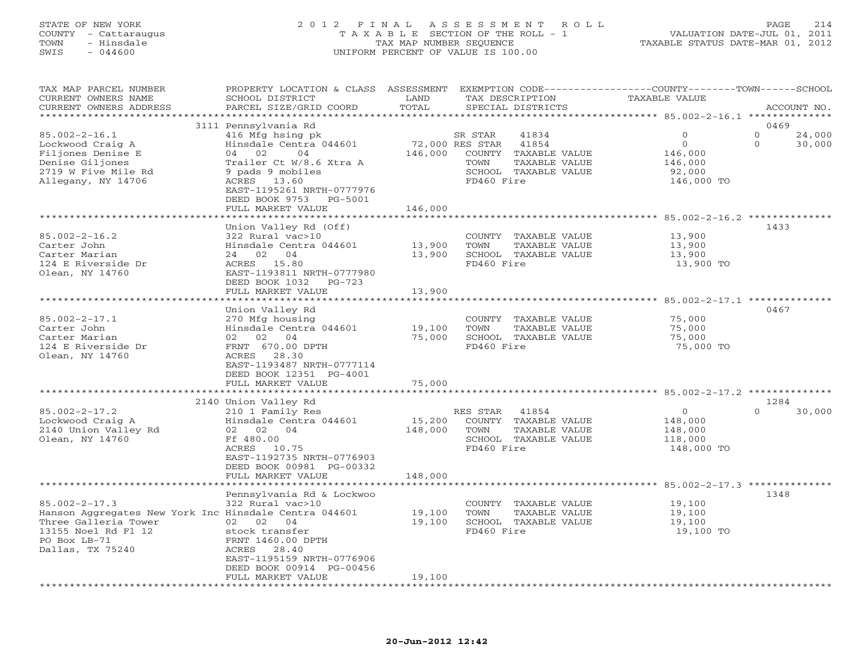# STATE OF NEW YORK 2 0 1 2 F I N A L A S S E S S M E N T R O L L PAGE 214 COUNTY - Cattaraugus T A X A B L E SECTION OF THE ROLL - 1 VALUATION DATE-JUL 01, 2011 TOWN - Hinsdale TAX MAP NUMBER SEQUENCE TAXABLE STATUS DATE-MAR 01, 2012 SWIS - 044600 UNIFORM PERCENT OF VALUE IS 100.00UNIFORM PERCENT OF VALUE IS 100.00

| TAX MAP PARCEL NUMBER<br>CURRENT OWNERS NAME<br>CURRENT OWNERS ADDRESS                                                                                          | PROPERTY LOCATION & CLASS ASSESSMENT<br>SCHOOL DISTRICT<br>PARCEL SIZE/GRID COORD                                                                                                                         | LAND<br>TOTAL                 | TAX DESCRIPTION                                  | EXEMPTION CODE-----------------COUNTY-------TOWN------SCHOOL<br>SPECIAL DISTRICTS | TAXABLE VALUE                                                     |                                  | ACCOUNT NO.      |
|-----------------------------------------------------------------------------------------------------------------------------------------------------------------|-----------------------------------------------------------------------------------------------------------------------------------------------------------------------------------------------------------|-------------------------------|--------------------------------------------------|-----------------------------------------------------------------------------------|-------------------------------------------------------------------|----------------------------------|------------------|
|                                                                                                                                                                 |                                                                                                                                                                                                           | * * * * * * * * *             |                                                  |                                                                                   | ********** 85.002-2-16.1 ***************                          |                                  |                  |
| $85.002 - 2 - 16.1$<br>Lockwood Craig A<br>Filjones Denise E<br>Denise Giljones<br>2719 W Five Mile Rd<br>Allegany, NY 14706                                    | 3111 Pennsylvania Rd<br>416 Mfg hsing pk<br>Hinsdale Centra 044601<br>04 02<br>04<br>Trailer Ct W/8.6 Xtra A<br>9 pads 9 mobiles<br>ACRES 13.60<br>EAST-1195261 NRTH-0777976<br>DEED BOOK 9753<br>PG-5001 | 146,000                       | SR STAR<br>72,000 RES STAR<br>TOWN<br>FD460 Fire | 41834<br>41854<br>COUNTY TAXABLE VALUE<br>TAXABLE VALUE<br>SCHOOL TAXABLE VALUE   | $\Omega$<br>$\circ$<br>146,000<br>146,000<br>92,000<br>146,000 TO | 0469<br>$\Omega$<br>$\mathbf{O}$ | 24,000<br>30,000 |
|                                                                                                                                                                 | FULL MARKET VALUE                                                                                                                                                                                         | 146,000                       |                                                  |                                                                                   |                                                                   |                                  |                  |
| $85.002 - 2 - 16.2$<br>Carter John<br>Carter Marian<br>124 E Riverside Dr<br>Olean, NY 14760                                                                    | Union Valley Rd (Off)<br>322 Rural vac>10<br>Hinsdale Centra 044601<br>24 02 04<br>ACRES 15.80<br>EAST-1193811 NRTH-0777980<br>DEED BOOK 1032<br>$PG-723$                                                 | *********<br>13,900<br>13,900 | TOWN<br>FD460 Fire                               | COUNTY TAXABLE VALUE<br>TAXABLE VALUE<br>SCHOOL TAXABLE VALUE                     | 13,900<br>13,900<br>13,900<br>13,900 TO                           | 1433                             |                  |
|                                                                                                                                                                 | FULL MARKET VALUE                                                                                                                                                                                         | 13,900                        |                                                  |                                                                                   |                                                                   |                                  |                  |
| $85.002 - 2 - 17.1$<br>Carter John<br>Carter Marian<br>124 E Riverside Dr<br>Olean, NY 14760                                                                    | Union Valley Rd<br>270 Mfg housing<br>Hinsdale Centra 044601<br>02 04<br>02<br>FRNT 670.00 DPTH<br>ACRES 28.30<br>EAST-1193487 NRTH-0777114<br>DEED BOOK 12351 PG-4001<br>FULL MARKET VALUE               | 19,100<br>75,000<br>75,000    | TOWN<br>FD460 Fire                               | COUNTY TAXABLE VALUE<br>TAXABLE VALUE<br>SCHOOL TAXABLE VALUE                     | 75,000<br>75,000<br>75,000<br>75,000 TO                           | 0467                             |                  |
|                                                                                                                                                                 | 2140 Union Valley Rd                                                                                                                                                                                      |                               |                                                  |                                                                                   |                                                                   | 1284                             |                  |
| $85.002 - 2 - 17.2$<br>Lockwood Craig A<br>2140 Union Valley Rd<br>Olean, NY 14760                                                                              | 210 1 Family Res<br>Hinsdale Centra 044601<br>02<br>04<br>02<br>Ff 480.00<br>ACRES 10.75<br>EAST-1192735 NRTH-0776903<br>DEED BOOK 00981 PG-00332                                                         | 15,200<br>148,000             | RES STAR<br>TOWN<br>FD460 Fire                   | 41854<br>COUNTY TAXABLE VALUE<br>TAXABLE VALUE<br>SCHOOL TAXABLE VALUE            | $\Omega$<br>148,000<br>148,000<br>118,000<br>148,000 TO           | $\Omega$                         | 30,000           |
|                                                                                                                                                                 | FULL MARKET VALUE                                                                                                                                                                                         | 148,000                       |                                                  |                                                                                   |                                                                   |                                  |                  |
| $85.002 - 2 - 17.3$<br>Hanson Aggregates New York Inc Hinsdale Centra 044601<br>Three Galleria Tower<br>13155 Noel Rd Fl 12<br>PO Box LB-71<br>Dallas, TX 75240 | Pennsylvania Rd & Lockwoo<br>322 Rural vac>10<br>02 02 04<br>stock transfer<br>FRNT 1460.00 DPTH<br>28.40<br>ACRES<br>EAST-1195159 NRTH-0776906<br>DEED BOOK 00914 PG-00456                               | 19,100<br>19,100              | TOWN<br>FD460 Fire                               | COUNTY TAXABLE VALUE<br>TAXABLE VALUE<br>SCHOOL TAXABLE VALUE                     | $85.002 - 2 - 17.3$ **<br>19,100<br>19,100<br>19,100<br>19,100 TO | 1348                             |                  |
|                                                                                                                                                                 | FULL MARKET VALUE<br>************************                                                                                                                                                             | 19,100<br>***************     |                                                  |                                                                                   |                                                                   |                                  |                  |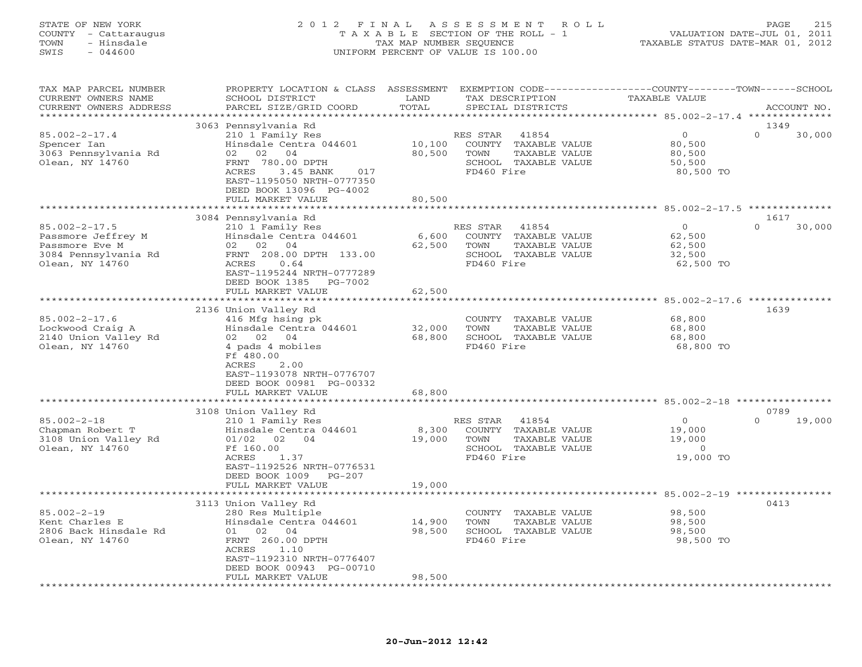# STATE OF NEW YORK 2 0 1 2 F I N A L A S S E S S M E N T R O L L PAGE 215 COUNTY - Cattaraugus T A X A B L E SECTION OF THE ROLL - 1 VALUATION DATE-JUL 01, 2011 TOWN - Hinsdale TAX MAP NUMBER SEQUENCE TAXABLE STATUS DATE-MAR 01, 2012 SWIS - 044600 UNIFORM PERCENT OF VALUE IS 100.00UNIFORM PERCENT OF VALUE IS 100.00

| TAX MAP PARCEL NUMBER<br>CURRENT OWNERS NAME                                                           | PROPERTY LOCATION & CLASS ASSESSMENT<br>SCHOOL DISTRICT                                                                                                                                                        | LAND                       | TAX DESCRIPTION                                                                                          | EXEMPTION CODE-----------------COUNTY-------TOWN------SCHOOL<br>TAXABLE VALUE |                            |
|--------------------------------------------------------------------------------------------------------|----------------------------------------------------------------------------------------------------------------------------------------------------------------------------------------------------------------|----------------------------|----------------------------------------------------------------------------------------------------------|-------------------------------------------------------------------------------|----------------------------|
| CURRENT OWNERS ADDRESS<br>*********************                                                        | PARCEL SIZE/GRID COORD                                                                                                                                                                                         | TOTAL                      | SPECIAL DISTRICTS                                                                                        |                                                                               | ACCOUNT NO.                |
| $85.002 - 2 - 17.4$<br>Spencer Ian<br>3063 Pennsylvania Rd<br>Olean, NY 14760                          | 3063 Pennsylvania Rd<br>210 1 Family Res<br>Hinsdale Centra 044601<br>02 02 04<br>FRNT 780.00 DPTH<br>ACRES<br>3.45 BANK<br>017<br>EAST-1195050 NRTH-0777350<br>DEED BOOK 13096 PG-4002                        | 10,100<br>80,500           | 41854<br>RES STAR<br>COUNTY TAXABLE VALUE<br>TOWN<br>TAXABLE VALUE<br>SCHOOL TAXABLE VALUE<br>FD460 Fire | $\mathbf{O}$<br>80,500<br>80,500<br>50,500<br>80,500 TO                       | 1349<br>$\Omega$<br>30,000 |
|                                                                                                        | FULL MARKET VALUE<br>***********************                                                                                                                                                                   | 80,500<br>***********      |                                                                                                          | ************************** 85.002-2-17.5 **************                       |                            |
| $85.002 - 2 - 17.5$<br>Passmore Jeffrey M<br>Passmore Eve M<br>3084 Pennsylvania Rd<br>Olean, NY 14760 | 3084 Pennsylvania Rd<br>210 1 Family Res<br>Hinsdale Centra 044601<br>02 02<br>04<br>FRNT 208.00 DPTH 133.00<br>ACRES<br>0.64<br>EAST-1195244 NRTH-0777289<br>DEED BOOK 1385<br>PG-7002<br>FULL MARKET VALUE   | 6,600<br>62,500<br>62,500  | RES STAR<br>41854<br>COUNTY TAXABLE VALUE<br>TAXABLE VALUE<br>TOWN<br>SCHOOL TAXABLE VALUE<br>FD460 Fire | $\circ$<br>62,500<br>62,500<br>32,500<br>62,500 TO                            | 1617<br>$\Omega$<br>30,000 |
|                                                                                                        | *********************                                                                                                                                                                                          | ************               |                                                                                                          | **************** 85.002-2-17.6 **************                                 |                            |
| $85.002 - 2 - 17.6$<br>Lockwood Craig A<br>2140 Union Valley Rd<br>Olean, NY 14760                     | 2136 Union Valley Rd<br>416 Mfg hsing pk<br>Hinsdale Centra 044601<br>02 02 04<br>4 pads 4 mobiles<br>Ff 480.00<br>ACRES<br>2.00<br>EAST-1193078 NRTH-0776707<br>DEED BOOK 00981 PG-00332<br>FULL MARKET VALUE | 32,000<br>68,800<br>68,800 | COUNTY TAXABLE VALUE<br>TOWN<br>TAXABLE VALUE<br>SCHOOL TAXABLE VALUE<br>FD460 Fire                      | 68,800<br>68,800<br>68,800<br>68,800 TO                                       | 1639                       |
|                                                                                                        |                                                                                                                                                                                                                | *************              |                                                                                                          | ********************************** 85.002-2-18 ****************               |                            |
| $85.002 - 2 - 18$<br>Chapman Robert T<br>3108 Union Valley Rd<br>Olean, NY 14760                       | 3108 Union Valley Rd<br>210 1 Family Res<br>Hinsdale Centra 044601<br>$01/02$ 02<br>04<br>Ff 160.00<br>ACRES<br>1.37<br>EAST-1192526 NRTH-0776531<br>DEED BOOK 1009<br>$PG-207$<br>FULL MARKET VALUE           | 8,300<br>19,000<br>19,000  | RES STAR<br>41854<br>COUNTY TAXABLE VALUE<br>TOWN<br>TAXABLE VALUE<br>SCHOOL TAXABLE VALUE<br>FD460 Fire | $\circ$<br>19,000<br>19,000<br>$\circ$<br>19,000 TO                           | 0789<br>$\Omega$<br>19,000 |
|                                                                                                        |                                                                                                                                                                                                                |                            |                                                                                                          |                                                                               |                            |
| $85.002 - 2 - 19$<br>Kent Charles E<br>2806 Back Hinsdale Rd<br>Olean, NY 14760                        | 3113 Union Valley Rd<br>280 Res Multiple<br>Hinsdale Centra 044601<br>02<br>04<br>01<br>FRNT 260.00 DPTH<br>ACRES<br>1.10<br>EAST-1192310 NRTH-0776407<br>DEED BOOK 00943 PG-00710<br>FULL MARKET VALUE        | 14,900<br>98,500<br>98,500 | COUNTY TAXABLE VALUE<br>TOWN<br>TAXABLE VALUE<br>SCHOOL TAXABLE VALUE<br>FD460 Fire                      | 98,500<br>98,500<br>98,500<br>98,500 TO                                       | 0413                       |
| *************************                                                                              | ***********************                                                                                                                                                                                        | * * * * * * * * *          |                                                                                                          |                                                                               |                            |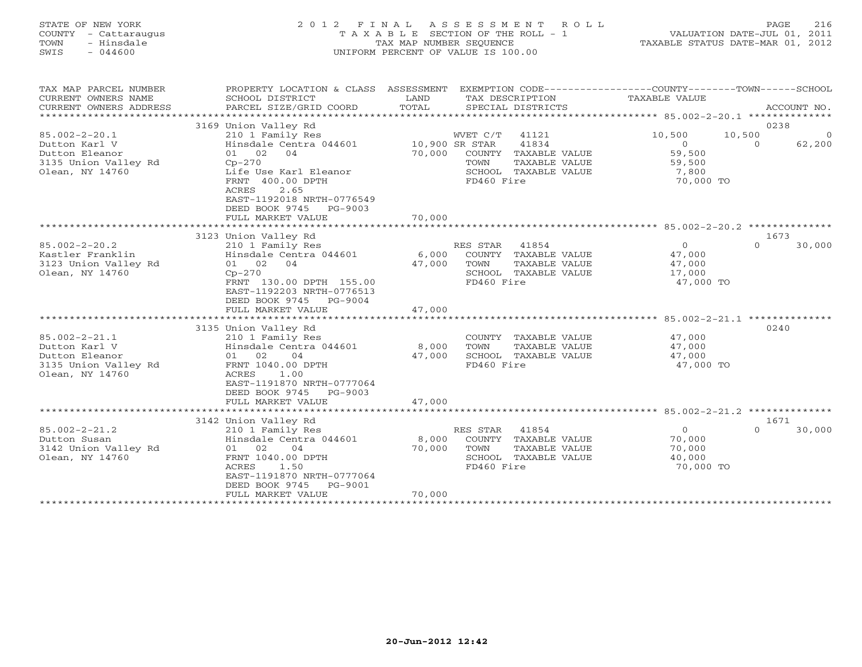# STATE OF NEW YORK 2 0 1 2 F I N A L A S S E S S M E N T R O L L PAGE 216 COUNTY - Cattaraugus T A X A B L E SECTION OF THE ROLL - 1 VALUATION DATE-JUL 01, 2011 TOWN - Hinsdale TAX MAP NUMBER SEQUENCE TAXABLE STATUS DATE-MAR 01, 2012 SWIS - 044600 UNIFORM PERCENT OF VALUE IS 100.00UNIFORM PERCENT OF VALUE IS 100.00

| TAX MAP PARCEL NUMBER<br>CURRENT OWNERS NAME<br>CURRENT OWNERS ADDRESS<br>********************    | PROPERTY LOCATION & CLASS ASSESSMENT<br>SCHOOL DISTRICT<br>PARCEL SIZE/GRID COORD                                                                                                 | LAND<br>TOTAL   | EXEMPTION CODE-----------------COUNTY-------TOWN------SCHOOL<br>TAX DESCRIPTION<br>SPECIAL DISTRICTS              | TAXABLE VALUE                                                      | ACCOUNT NO.                                      |
|---------------------------------------------------------------------------------------------------|-----------------------------------------------------------------------------------------------------------------------------------------------------------------------------------|-----------------|-------------------------------------------------------------------------------------------------------------------|--------------------------------------------------------------------|--------------------------------------------------|
| $85.002 - 2 - 20.1$<br>Dutton Karl V<br>Dutton Eleanor<br>3135 Union Valley Rd<br>Olean, NY 14760 | 3169 Union Valley Rd<br>210 1 Family Res<br>Hinsdale Centra 044601 10,900 SR STAR<br>01 02<br>04<br>$Cp-270$<br>Life Use Karl Eleanor<br>FRNT 400.00 DPTH                         | 70,000          | WVET C/T<br>41121<br>41834<br>COUNTY TAXABLE VALUE<br>TOWN<br>TAXABLE VALUE<br>SCHOOL TAXABLE VALUE<br>FD460 Fire | 10,500<br>$\overline{O}$<br>59,500<br>59,500<br>7,800<br>70,000 TO | 0238<br>10,500<br>$\Omega$<br>62,200<br>$\Omega$ |
|                                                                                                   | ACRES<br>2.65<br>EAST-1192018 NRTH-0776549<br>DEED BOOK 9745<br>PG-9003<br>FULL MARKET VALUE                                                                                      | 70,000          |                                                                                                                   |                                                                    |                                                  |
|                                                                                                   | 3123 Union Valley Rd                                                                                                                                                              |                 |                                                                                                                   |                                                                    | 1673                                             |
| $85.002 - 2 - 20.2$<br>Kastler Franklin<br>3123 Union Valley Rd<br>Olean, NY 14760                | 210 1 Family Res<br>Hinsdale Centra 044601 6,000<br>01 02<br>04<br>$Cp-270$<br>FRNT 130.00 DPTH 155.00<br>EAST-1192203 NRTH-0776513<br>DEED BOOK 9745<br>PG-9004                  | 47,000          | RES STAR 41854<br>COUNTY TAXABLE VALUE<br>TOWN<br>TAXABLE VALUE<br>SCHOOL TAXABLE VALUE<br>FD460 Fire             | $\overline{0}$<br>47,000<br>47,000<br>17,000<br>47,000 TO          | $\Omega$<br>30,000                               |
|                                                                                                   | FULL MARKET VALUE                                                                                                                                                                 | 47,000          |                                                                                                                   |                                                                    |                                                  |
| $85.002 - 2 - 21.1$<br>Dutton Karl V<br>Dutton Eleanor<br>3135 Union Valley Rd<br>Olean, NY 14760 | 3135 Union Valley Rd<br>210 1 Family Res<br>Hinsdale Centra 044601<br>01 02<br>04<br>FRNT 1040.00 DPTH<br>ACRES<br>1.00<br>EAST-1191870 NRTH-0777064<br>DEED BOOK 9745<br>PG-9003 | 8,000<br>47,000 | COUNTY TAXABLE VALUE<br>TOWN<br>TAXABLE VALUE<br>SCHOOL TAXABLE VALUE<br>FD460 Fire                               | 47,000<br>47,000<br>47,000<br>47,000 TO                            | 0240                                             |
|                                                                                                   | FULL MARKET VALUE                                                                                                                                                                 | 47,000          |                                                                                                                   |                                                                    |                                                  |
|                                                                                                   |                                                                                                                                                                                   |                 |                                                                                                                   |                                                                    |                                                  |
|                                                                                                   | 3142 Union Valley Rd                                                                                                                                                              |                 |                                                                                                                   |                                                                    | 1671                                             |
| $85.002 - 2 - 21.2$<br>Dutton Susan<br>3142 Union Valley Rd<br>Olean, NY 14760                    | 210 1 Family Res<br>Hinsdale Centra 044601<br>01 02<br>04<br>FRNT 1040.00 DPTH<br>ACRES<br>1.50<br>EAST-1191870 NRTH-0777064<br>DEED BOOK 9745<br>PG-9001                         | 8,000<br>70,000 | RES STAR<br>41854<br>COUNTY TAXABLE VALUE<br>TOWN<br>TAXABLE VALUE<br>SCHOOL TAXABLE VALUE<br>FD460 Fire          | $\overline{0}$<br>70,000<br>70,000<br>40,000<br>70,000 TO          | 30,000<br>$\Omega$                               |
|                                                                                                   | FULL MARKET VALUE                                                                                                                                                                 | 70,000          |                                                                                                                   |                                                                    |                                                  |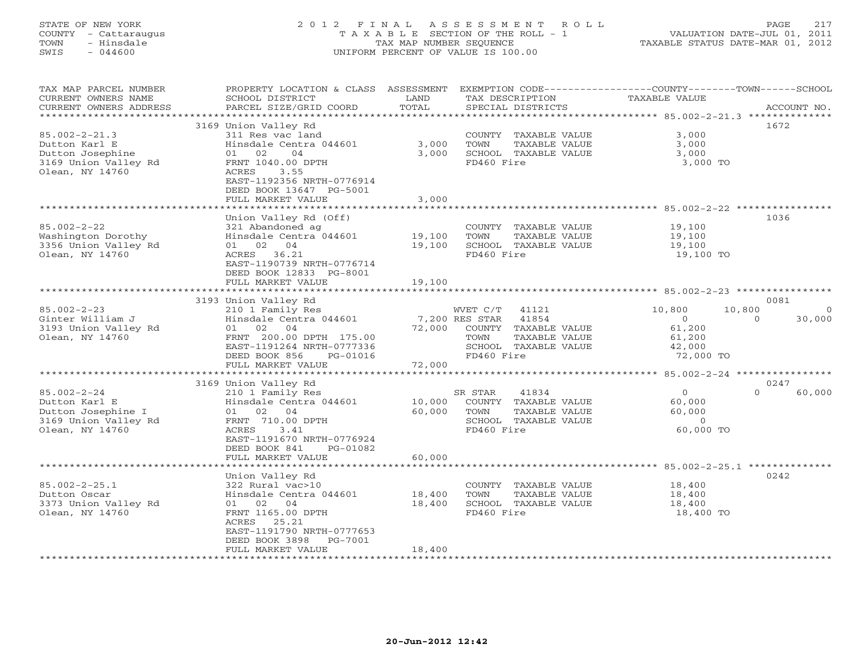# STATE OF NEW YORK 2 0 1 2 F I N A L A S S E S S M E N T R O L L PAGE 217 COUNTY - Cattaraugus T A X A B L E SECTION OF THE ROLL - 1 VALUATION DATE-JUL 01, 2011 TOWN - Hinsdale TAX MAP NUMBER SEQUENCE TAXABLE STATUS DATE-MAR 01, 2012 SWIS - 044600 UNIFORM PERCENT OF VALUE IS 100.00UNIFORM PERCENT OF VALUE IS 100.00

| TAX MAP PARCEL NUMBER<br>CURRENT OWNERS NAME<br>CURRENT OWNERS ADDRESS           | PROPERTY LOCATION & CLASS ASSESSMENT<br>SCHOOL DISTRICT<br>PARCEL SIZE/GRID COORD          | LAND<br>TOTAL  | TAX DESCRIPTION<br>SPECIAL DISTRICTS                                                | EXEMPTION CODE----------------COUNTY-------TOWN------SCHOOL<br>TAXABLE VALUE | ACCOUNT NO.    |
|----------------------------------------------------------------------------------|--------------------------------------------------------------------------------------------|----------------|-------------------------------------------------------------------------------------|------------------------------------------------------------------------------|----------------|
| ***********************                                                          |                                                                                            |                |                                                                                     |                                                                              |                |
|                                                                                  | 3169 Union Valley Rd                                                                       |                |                                                                                     |                                                                              | 1672           |
| $85.002 - 2 - 21.3$<br>Dutton Karl E<br>Dutton Josephine<br>3169 Union Valley Rd | 311 Res vac land<br>Hinsdale Centra 044601<br>01 02<br>04<br>FRNT 1040.00 DPTH             | 3,000<br>3,000 | COUNTY TAXABLE VALUE<br>TOWN<br>TAXABLE VALUE<br>SCHOOL TAXABLE VALUE<br>FD460 Fire | 3,000<br>3,000<br>3,000<br>3,000 TO                                          |                |
| Olean, NY 14760                                                                  | 3.55<br>ACRES<br>EAST-1192356 NRTH-0776914<br>DEED BOOK 13647 PG-5001<br>FULL MARKET VALUE | 3,000          |                                                                                     |                                                                              |                |
|                                                                                  |                                                                                            |                |                                                                                     |                                                                              |                |
|                                                                                  | Union Valley Rd (Off)                                                                      |                |                                                                                     |                                                                              | 1036           |
| $85.002 - 2 - 22$                                                                | 321 Abandoned ag                                                                           |                | COUNTY TAXABLE VALUE                                                                | 19,100                                                                       |                |
| Washington Dorothy                                                               | Hinsdale Centra 044601                                                                     | 19,100         | TOWN<br>TAXABLE VALUE                                                               | 19,100                                                                       |                |
| 3356 Union Valley Rd                                                             | 01 02 04                                                                                   | 19,100         | SCHOOL TAXABLE VALUE                                                                | 19,100                                                                       |                |
| Olean, NY 14760                                                                  | ACRES 36.21                                                                                |                | FD460 Fire                                                                          | 19,100 TO                                                                    |                |
|                                                                                  | EAST-1190739 NRTH-0776714                                                                  |                |                                                                                     |                                                                              |                |
|                                                                                  | DEED BOOK 12833 PG-8001                                                                    |                |                                                                                     |                                                                              |                |
|                                                                                  | FULL MARKET VALUE                                                                          | 19,100         |                                                                                     |                                                                              |                |
|                                                                                  |                                                                                            |                |                                                                                     |                                                                              |                |
|                                                                                  | 3193 Union Valley Rd                                                                       |                |                                                                                     |                                                                              | 0081           |
| $85.002 - 2 - 23$                                                                | 210 1 Family Res                                                                           |                | WVET C/T 41121                                                                      | 10,800<br>10,800                                                             | $\overline{0}$ |
| Ginter William J                                                                 | Hinsdale Centra 044601                                                                     |                | 7,200 RES STAR<br>41854                                                             | $\Omega$<br>$\Omega$                                                         | 30,000         |
| 3193 Union Valley Rd                                                             | 01 02 04                                                                                   | 72,000         | COUNTY TAXABLE VALUE                                                                | 61,200                                                                       |                |
| Olean, NY 14760                                                                  | FRNT 200.00 DPTH 175.00                                                                    |                | TOWN<br>TAXABLE VALUE<br>SCHOOL TAXABLE VALUE                                       | 61,200                                                                       |                |
|                                                                                  | EAST-1191264 NRTH-0777336<br>DEED BOOK 856<br>PG-01016                                     |                | FD460 Fire                                                                          | 42,000<br>72,000 TO                                                          |                |
|                                                                                  | FULL MARKET VALUE                                                                          | 72,000         |                                                                                     |                                                                              |                |
|                                                                                  |                                                                                            |                |                                                                                     |                                                                              |                |
|                                                                                  | 3169 Union Valley Rd                                                                       |                |                                                                                     |                                                                              | 0247           |
| $85.002 - 2 - 24$                                                                | 210 1 Family Res                                                                           |                | 41834<br>SR STAR                                                                    | $\Omega$<br>$\Omega$                                                         | 60,000         |
| Dutton Karl E                                                                    | Hinsdale Centra 044601                                                                     | 10,000         | COUNTY TAXABLE VALUE                                                                | 60,000                                                                       |                |
| Dutton Josephine I                                                               | 01 02 04                                                                                   | 60,000         | TOWN<br>TAXABLE VALUE                                                               | 60,000                                                                       |                |
| 3169 Union Valley Rd                                                             | FRNT 710.00 DPTH                                                                           |                | SCHOOL TAXABLE VALUE                                                                | $\circ$                                                                      |                |
| Olean, NY 14760                                                                  | 3.41<br>ACRES                                                                              |                | FD460 Fire                                                                          | 60,000 TO                                                                    |                |
|                                                                                  | EAST-1191670 NRTH-0776924                                                                  |                |                                                                                     |                                                                              |                |
|                                                                                  | DEED BOOK 841<br>PG-01082                                                                  |                |                                                                                     |                                                                              |                |
|                                                                                  | FULL MARKET VALUE                                                                          | 60,000         |                                                                                     |                                                                              |                |
| *********************                                                            |                                                                                            |                |                                                                                     |                                                                              |                |
|                                                                                  | Union Valley Rd                                                                            |                |                                                                                     |                                                                              | 0242           |
| $85.002 - 2 - 25.1$                                                              | 322 Rural vac>10                                                                           |                | COUNTY TAXABLE VALUE                                                                | 18,400                                                                       |                |
| Dutton Oscar                                                                     | Hinsdale Centra 044601                                                                     | 18,400         | TAXABLE VALUE<br>TOWN                                                               | 18,400                                                                       |                |
| 3373 Union Valley Rd                                                             | 01 02 04                                                                                   | 18,400         | SCHOOL TAXABLE VALUE                                                                | 18,400                                                                       |                |
| Olean, NY 14760                                                                  | FRNT 1165.00 DPTH                                                                          |                | FD460 Fire                                                                          | 18,400 TO                                                                    |                |
|                                                                                  | ACRES 25.21                                                                                |                |                                                                                     |                                                                              |                |
|                                                                                  | EAST-1191790 NRTH-0777653                                                                  |                |                                                                                     |                                                                              |                |
|                                                                                  | DEED BOOK 3898<br>PG-7001<br>FULL MARKET VALUE                                             | 18,400         |                                                                                     |                                                                              |                |
|                                                                                  |                                                                                            |                | *******************************                                                     |                                                                              |                |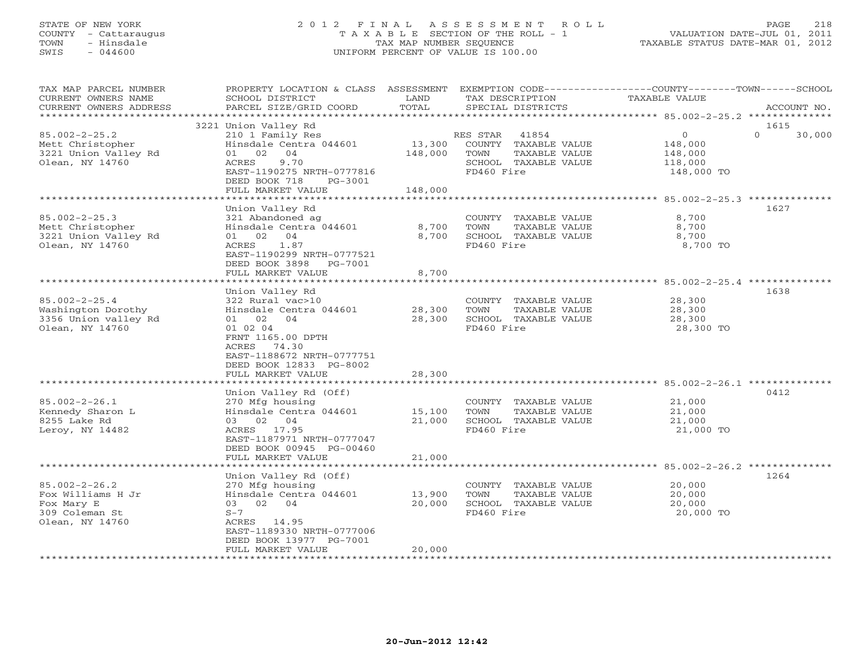# STATE OF NEW YORK 2 0 1 2 F I N A L A S S E S S M E N T R O L L PAGE 218 COUNTY - Cattaraugus T A X A B L E SECTION OF THE ROLL - 1 VALUATION DATE-JUL 01, 2011 TOWN - Hinsdale TAX MAP NUMBER SEQUENCE TAXABLE STATUS DATE-MAR 01, 2012 SWIS - 044600 UNIFORM PERCENT OF VALUE IS 100.00UNIFORM PERCENT OF VALUE IS 100.00

| TAX MAP PARCEL NUMBER  |                           |          |                       | PROPERTY LOCATION & CLASS ASSESSMENT EXEMPTION CODE----------------COUNTY-------TOWN------SCHOOL |
|------------------------|---------------------------|----------|-----------------------|--------------------------------------------------------------------------------------------------|
| CURRENT OWNERS NAME    | SCHOOL DISTRICT           | LAND     | TAX DESCRIPTION       | TAXABLE VALUE                                                                                    |
| CURRENT OWNERS ADDRESS | PARCEL SIZE/GRID COORD    | TOTAL    | SPECIAL DISTRICTS     | ACCOUNT NO.                                                                                      |
|                        |                           |          |                       |                                                                                                  |
|                        | 3221 Union Valley Rd      |          |                       | 1615                                                                                             |
| $85.002 - 2 - 25.2$    | 210 1 Family Res          |          | RES STAR<br>41854     | $\mathbf{0}$<br>$\Omega$<br>30,000                                                               |
| Mett Christopher       | Hinsdale Centra 044601    | 13,300   | COUNTY TAXABLE VALUE  | 148,000                                                                                          |
| 3221 Union Valley Rd   | 01 02<br>04               | 148,000  | TOWN<br>TAXABLE VALUE | 148,000                                                                                          |
| Olean, NY 14760        | 9.70<br>ACRES             |          | SCHOOL TAXABLE VALUE  | 118,000                                                                                          |
|                        | EAST-1190275 NRTH-0777816 |          | FD460 Fire            | 148,000 TO                                                                                       |
|                        | DEED BOOK 718<br>PG-3001  |          |                       |                                                                                                  |
|                        | FULL MARKET VALUE         | 148,000  |                       |                                                                                                  |
|                        |                           |          |                       |                                                                                                  |
|                        | Union Valley Rd           |          |                       | 1627                                                                                             |
| $85.002 - 2 - 25.3$    | 321 Abandoned ag          |          | COUNTY TAXABLE VALUE  | 8,700                                                                                            |
| Mett Christopher       | Hinsdale Centra 044601    | 8,700    | TOWN<br>TAXABLE VALUE | 8,700                                                                                            |
| 3221 Union Valley Rd   | 01 02<br>04               | 8,700    | SCHOOL TAXABLE VALUE  | 8,700                                                                                            |
| Olean, NY 14760        | ACRES<br>1.87             |          | FD460 Fire            | 8,700 TO                                                                                         |
|                        | EAST-1190299 NRTH-0777521 |          |                       |                                                                                                  |
|                        | DEED BOOK 3898<br>PG-7001 |          |                       |                                                                                                  |
|                        | FULL MARKET VALUE         | 8,700    |                       |                                                                                                  |
|                        | *******************       | ******** |                       | ******************** 85.002-2-25.4 *********                                                     |
|                        | Union Valley Rd           |          |                       | 1638                                                                                             |
| $85.002 - 2 - 25.4$    | 322 Rural vac>10          |          | COUNTY TAXABLE VALUE  | 28,300                                                                                           |
| Washington Dorothy     | Hinsdale Centra 044601    | 28,300   | TOWN<br>TAXABLE VALUE | 28,300                                                                                           |
| 3356 Union valley Rd   | 01 02<br>04               | 28,300   | SCHOOL TAXABLE VALUE  | 28,300                                                                                           |
| Olean, NY 14760        | 01 02 04                  |          | FD460 Fire            | 28,300 TO                                                                                        |
|                        | FRNT 1165.00 DPTH         |          |                       |                                                                                                  |
|                        | 74.30<br>ACRES            |          |                       |                                                                                                  |
|                        | EAST-1188672 NRTH-0777751 |          |                       |                                                                                                  |
|                        |                           |          |                       |                                                                                                  |
|                        | DEED BOOK 12833 PG-8002   |          |                       |                                                                                                  |
|                        | FULL MARKET VALUE         | 28,300   |                       |                                                                                                  |
|                        |                           |          |                       |                                                                                                  |
|                        | Union Valley Rd (Off)     |          |                       | 0412                                                                                             |
| $85.002 - 2 - 26.1$    | 270 Mfg housing           |          | COUNTY TAXABLE VALUE  | 21,000                                                                                           |
| Kennedy Sharon L       | Hinsdale Centra 044601    | 15,100   | TOWN<br>TAXABLE VALUE | 21,000                                                                                           |
| 8255 Lake Rd           | 03 02<br>04               | 21,000   | SCHOOL TAXABLE VALUE  | 21,000                                                                                           |
| Leroy, NY 14482        | ACRES 17.95               |          | FD460 Fire            | 21,000 TO                                                                                        |
|                        | EAST-1187971 NRTH-0777047 |          |                       |                                                                                                  |
|                        | DEED BOOK 00945 PG-00460  |          |                       |                                                                                                  |
|                        | FULL MARKET VALUE         | 21,000   |                       |                                                                                                  |
|                        |                           |          |                       |                                                                                                  |
|                        | Union Valley Rd (Off)     |          |                       | 1264                                                                                             |
| $85.002 - 2 - 26.2$    | 270 Mfg housing           |          | COUNTY TAXABLE VALUE  | 20,000                                                                                           |
| Fox Williams H Jr      | Hinsdale Centra 044601    | 13,900   | TOWN<br>TAXABLE VALUE | 20,000                                                                                           |
| Fox Mary E             | 03<br>02<br>04            | 20,000   | SCHOOL TAXABLE VALUE  | 20,000                                                                                           |
| 309 Coleman St         | $S-7$                     |          | FD460 Fire            | 20,000 TO                                                                                        |
| Olean, NY 14760        | ACRES 14.95               |          |                       |                                                                                                  |
|                        | EAST-1189330 NRTH-0777006 |          |                       |                                                                                                  |
|                        | DEED BOOK 13977 PG-7001   |          |                       |                                                                                                  |
|                        | FULL MARKET VALUE         | 20,000   |                       |                                                                                                  |
|                        |                           |          |                       |                                                                                                  |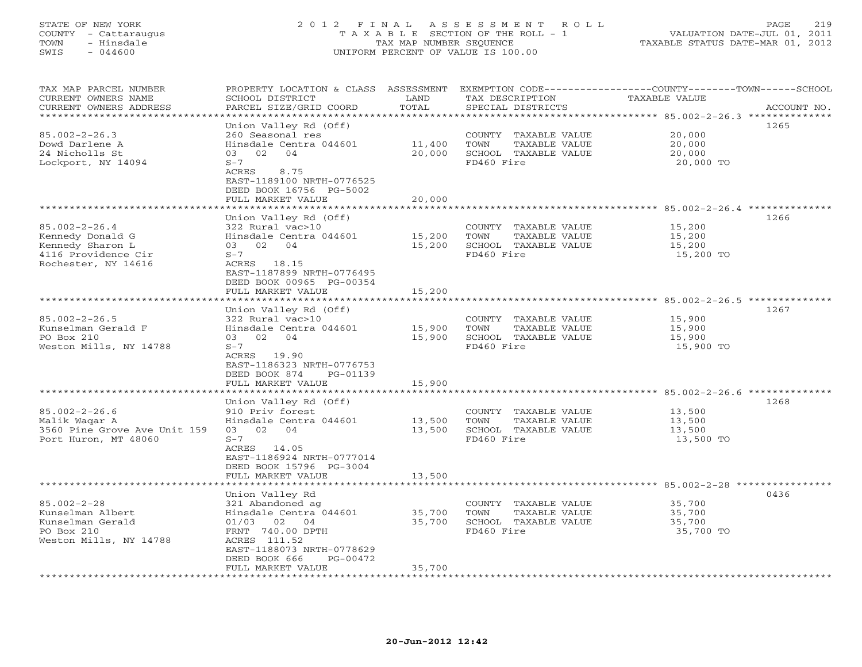# STATE OF NEW YORK 2 0 1 2 F I N A L A S S E S S M E N T R O L L PAGE 219 COUNTY - Cattaraugus T A X A B L E SECTION OF THE ROLL - 1 VALUATION DATE-JUL 01, 2011 TOWN - Hinsdale TAX MAP NUMBER SEQUENCE TAXABLE STATUS DATE-MAR 01, 2012 SWIS - 044600 UNIFORM PERCENT OF VALUE IS 100.00UNIFORM PERCENT OF VALUE IS 100.00

| TAX MAP PARCEL NUMBER<br>CURRENT OWNERS NAME<br>CURRENT OWNERS ADDRESS | PROPERTY LOCATION & CLASS ASSESSMENT<br>SCHOOL DISTRICT<br>PARCEL SIZE/GRID COORD | LAND<br>TOTAL           | TAX DESCRIPTION<br>SPECIAL DISTRICTS          | EXEMPTION CODE-----------------COUNTY-------TOWN-----SCHOOL<br>TAXABLE VALUE<br>ACCOUNT NO. |
|------------------------------------------------------------------------|-----------------------------------------------------------------------------------|-------------------------|-----------------------------------------------|---------------------------------------------------------------------------------------------|
|                                                                        |                                                                                   | * * * * * * * * * *     |                                               | ****************** 85.002-2-26.3 **************                                             |
|                                                                        | Union Valley Rd (Off)                                                             |                         |                                               | 1265                                                                                        |
| $85.002 - 2 - 26.3$                                                    | 260 Seasonal res                                                                  |                         | COUNTY TAXABLE VALUE                          | 20,000                                                                                      |
| Dowd Darlene A                                                         | Hinsdale Centra 044601<br>03 02<br>04                                             | 11,400<br>20,000        | TOWN<br>TAXABLE VALUE<br>SCHOOL TAXABLE VALUE | 20,000                                                                                      |
| 24 Nicholls St<br>Lockport, NY 14094                                   | $S-7$                                                                             |                         | FD460 Fire                                    | 20,000<br>20,000 TO                                                                         |
|                                                                        | 8.75<br>ACRES                                                                     |                         |                                               |                                                                                             |
|                                                                        | EAST-1189100 NRTH-0776525                                                         |                         |                                               |                                                                                             |
|                                                                        | DEED BOOK 16756 PG-5002                                                           |                         |                                               |                                                                                             |
|                                                                        | FULL MARKET VALUE                                                                 | 20,000                  |                                               |                                                                                             |
|                                                                        | * * * * * * * * * * * * * * *                                                     |                         |                                               | *********************************** 85.002-2-26.4 **************                            |
|                                                                        | Union Valley Rd (Off)                                                             |                         |                                               | 1266                                                                                        |
| $85.002 - 2 - 26.4$                                                    | 322 Rural vac>10                                                                  |                         | COUNTY TAXABLE VALUE                          | 15,200                                                                                      |
| Kennedy Donald G                                                       | Hinsdale Centra 044601                                                            | 15,200                  | TOWN<br>TAXABLE VALUE                         | 15,200                                                                                      |
| Kennedy Sharon L                                                       | 03 02 04<br>$S-7$                                                                 | 15,200                  | SCHOOL TAXABLE VALUE<br>FD460 Fire            | 15,200                                                                                      |
| 4116 Providence Cir<br>Rochester, NY 14616                             | ACRES 18.15                                                                       |                         |                                               | 15,200 TO                                                                                   |
|                                                                        | EAST-1187899 NRTH-0776495                                                         |                         |                                               |                                                                                             |
|                                                                        | DEED BOOK 00965 PG-00354                                                          |                         |                                               |                                                                                             |
|                                                                        | FULL MARKET VALUE                                                                 | 15,200                  |                                               |                                                                                             |
|                                                                        | * * * * * * * * * * * * * * * * * *                                               | *********               |                                               | ****************************** 85.002-2-26.5 *************                                  |
|                                                                        | Union Valley Rd (Off)                                                             |                         |                                               | 1267                                                                                        |
| $85.002 - 2 - 26.5$                                                    | 322 Rural vac>10                                                                  |                         | COUNTY TAXABLE VALUE                          | 15,900                                                                                      |
| Kunselman Gerald F                                                     | Hinsdale Centra 044601                                                            | 15,900                  | TAXABLE VALUE<br>TOWN                         | 15,900                                                                                      |
| PO Box 210                                                             | 03<br>02 04                                                                       | 15,900                  | SCHOOL TAXABLE VALUE                          | 15,900                                                                                      |
| Weston Mills, NY 14788                                                 | $S-7$                                                                             |                         | FD460 Fire                                    | 15,900 TO                                                                                   |
|                                                                        | ACRES 19.90                                                                       |                         |                                               |                                                                                             |
|                                                                        | EAST-1186323 NRTH-0776753<br>DEED BOOK 874<br>PG-01139                            |                         |                                               |                                                                                             |
|                                                                        | FULL MARKET VALUE                                                                 | 15,900                  |                                               |                                                                                             |
|                                                                        | * * * * * * * * * * * * * * * * * * *                                             | ************            |                                               |                                                                                             |
|                                                                        | Union Valley Rd (Off)                                                             |                         |                                               | 1268                                                                                        |
| $85.002 - 2 - 26.6$                                                    | 910 Priv forest                                                                   |                         | COUNTY TAXABLE VALUE                          | 13,500                                                                                      |
| Malik Waqar A                                                          | Hinsdale Centra 044601                                                            | 13,500                  | TAXABLE VALUE<br>TOWN                         | 13,500                                                                                      |
| 3560 Pine Grove Ave Unit 159                                           | 02 04<br>03                                                                       | 13,500                  | SCHOOL TAXABLE VALUE                          | 13,500                                                                                      |
| Port Huron, MT 48060                                                   | $S-7$                                                                             |                         | FD460 Fire                                    | 13,500 TO                                                                                   |
|                                                                        | ACRES 14.05                                                                       |                         |                                               |                                                                                             |
|                                                                        | EAST-1186924 NRTH-0777014                                                         |                         |                                               |                                                                                             |
|                                                                        | DEED BOOK 15796 PG-3004<br>FULL MARKET VALUE                                      | 13,500                  |                                               |                                                                                             |
|                                                                        | **************                                                                    | * * * * * * * * * * * * |                                               | ******************************85.002-2-28 ************                                      |
|                                                                        | Union Valley Rd                                                                   |                         |                                               | 0436                                                                                        |
| $85.002 - 2 - 28$                                                      | 321 Abandoned ag                                                                  |                         | COUNTY TAXABLE VALUE                          | 35,700                                                                                      |
| Kunselman Albert                                                       | Hinsdale Centra 044601                                                            | 35,700                  | TOWN<br>TAXABLE VALUE                         | 35,700                                                                                      |
| Kunselman Gerald                                                       | 01/03 02 04                                                                       | 35,700                  | SCHOOL TAXABLE VALUE                          | 35,700                                                                                      |
| PO Box 210                                                             | FRNT 740.00 DPTH                                                                  |                         | FD460 Fire                                    | 35,700 TO                                                                                   |
| Weston Mills, NY 14788                                                 | ACRES 111.52                                                                      |                         |                                               |                                                                                             |
|                                                                        | EAST-1188073 NRTH-0778629                                                         |                         |                                               |                                                                                             |
|                                                                        | DEED BOOK 666<br>PG-00472                                                         |                         |                                               |                                                                                             |
| *****************                                                      | FULL MARKET VALUE                                                                 | 35,700                  |                                               |                                                                                             |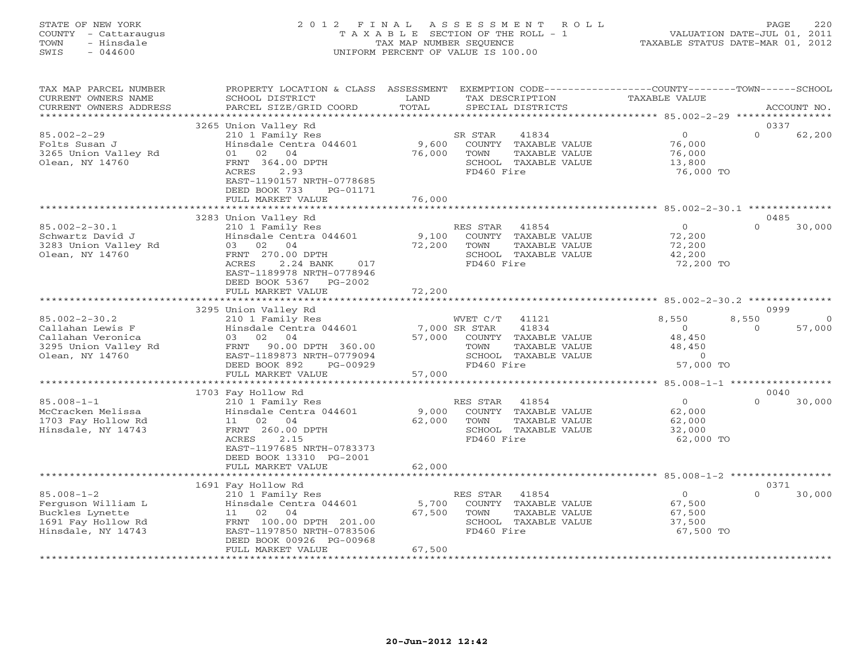# STATE OF NEW YORK 2 0 1 2 F I N A L A S S E S S M E N T R O L L PAGE 220 COUNTY - Cattaraugus T A X A B L E SECTION OF THE ROLL - 1 VALUATION DATE-JUL 01, 2011 TOWN - Hinsdale TAX MAP NUMBER SEQUENCE TAXABLE STATUS DATE-MAR 01, 2012 SWIS - 044600 UNIFORM PERCENT OF VALUE IS 100.00UNIFORM PERCENT OF VALUE IS 100.00

| TAX MAP PARCEL NUMBER<br>CURRENT OWNERS NAME<br>CURRENT OWNERS ADDRESS                                  | PROPERTY LOCATION & CLASS<br>SCHOOL DISTRICT<br>PARCEL SIZE/GRID COORD                                                                                                                                   | ASSESSMENT<br>LAND<br>TOTAL | EXEMPTION CODE-----------------COUNTY-------TOWN------SCHOOL<br>TAX DESCRIPTION<br>SPECIAL DISTRICTS                               | TAXABLE VALUE                                                           | ACCOUNT NO.                |
|---------------------------------------------------------------------------------------------------------|----------------------------------------------------------------------------------------------------------------------------------------------------------------------------------------------------------|-----------------------------|------------------------------------------------------------------------------------------------------------------------------------|-------------------------------------------------------------------------|----------------------------|
| ********************                                                                                    |                                                                                                                                                                                                          |                             |                                                                                                                                    |                                                                         |                            |
| $85.002 - 2 - 29$<br>Folts Susan J<br>3265 Union Valley Rd<br>Olean, NY 14760                           | 3265 Union Valley Rd<br>210 1 Family Res<br>Hinsdale Centra 044601<br>02<br>04<br>01<br>FRNT 364.00 DPTH<br>ACRES<br>2.93<br>EAST-1190157 NRTH-0778685<br>DEED BOOK 733<br>PG-01171<br>FULL MARKET VALUE | 9,600<br>76,000<br>76,000   | SR STAR<br>41834<br>COUNTY<br>TAXABLE VALUE<br>TOWN<br>TAXABLE VALUE<br>SCHOOL TAXABLE VALUE<br>FD460 Fire                         | $\circ$<br>76,000<br>76,000<br>13,800<br>76,000 TO                      | 0337<br>$\Omega$<br>62,200 |
|                                                                                                         |                                                                                                                                                                                                          | ************                |                                                                                                                                    |                                                                         |                            |
| $85.002 - 2 - 30.1$<br>Schwartz David J<br>3283 Union Valley Rd<br>Olean, NY 14760                      | 3283 Union Valley Rd<br>210 1 Family Res<br>Hinsdale Centra 044601<br>02<br>04<br>03<br>FRNT 270.00 DPTH<br><b>ACRES</b><br>2.24 BANK<br>017<br>EAST-1189978 NRTH-0778946<br>DEED BOOK 5367<br>$PG-2002$ | 9,100<br>72,200             | RES STAR<br>41854<br>COUNTY<br>TAXABLE VALUE<br>TOWN<br>TAXABLE VALUE<br>SCHOOL TAXABLE VALUE<br>FD460 Fire                        | $\Omega$<br>72,200<br>72,200<br>42,200<br>72,200 TO                     | 0485<br>$\Omega$<br>30,000 |
|                                                                                                         | FULL MARKET VALUE                                                                                                                                                                                        | 72,200                      |                                                                                                                                    |                                                                         |                            |
|                                                                                                         |                                                                                                                                                                                                          |                             |                                                                                                                                    |                                                                         |                            |
| $85.002 - 2 - 30.2$<br>Callahan Lewis F<br>Callahan Veronica<br>3295 Union Valley Rd<br>Olean, NY 14760 | 3295 Union Valley Rd<br>210 1 Family Res<br>Hinsdale Centra 044601<br>03<br>02<br>04<br>90.00 DPTH 360.00<br>FRNT<br>EAST-1189873 NRTH-0779094<br>DEED BOOK 892<br>PG-00929<br>FULL MARKET VALUE         | 57,000<br>57,000            | 41121<br>WVET C/T<br>41834<br>7,000 SR STAR<br>COUNTY TAXABLE VALUE<br>TOWN<br>TAXABLE VALUE<br>SCHOOL TAXABLE VALUE<br>FD460 Fire | 8,550<br>8,550<br>$\Omega$<br>48,450<br>48,450<br>$\Omega$<br>57,000 TO | 0999<br>$\Omega$<br>57,000 |
|                                                                                                         |                                                                                                                                                                                                          | **********                  |                                                                                                                                    | ************** 85.008-1-1 ******************                            |                            |
| $85.008 - 1 - 1$<br>McCracken Melissa<br>1703 Fay Hollow Rd<br>Hinsdale, NY 14743                       | 1703 Fay Hollow Rd<br>210 1 Family Res<br>Hinsdale Centra 044601<br>02<br>04<br>11<br>FRNT 260.00 DPTH<br>ACRES<br>2.15<br>EAST-1197685 NRTH-0783373<br>DEED BOOK 13310 PG-2001                          | 9,000<br>62,000<br>62,000   | RES STAR<br>41854<br>COUNTY TAXABLE VALUE<br>TOWN<br>TAXABLE VALUE<br>SCHOOL TAXABLE VALUE<br>FD460 Fire                           | $\circ$<br>62,000<br>62,000<br>32,000<br>62,000 TO                      | 0040<br>$\Omega$<br>30,000 |
|                                                                                                         | FULL MARKET VALUE                                                                                                                                                                                        |                             |                                                                                                                                    |                                                                         |                            |
|                                                                                                         | 1691 Fay Hollow Rd                                                                                                                                                                                       |                             |                                                                                                                                    |                                                                         | 0371                       |
| $85.008 - 1 - 2$<br>Ferguson William L<br>Buckles Lynette<br>1691 Fay Hollow Rd<br>Hinsdale, NY 14743   | 210 1 Family Res<br>Hinsdale Centra 044601<br>11<br>02<br>04<br>FRNT 100.00 DPTH 201.00<br>EAST-1197850 NRTH-0783506<br>DEED BOOK 00926 PG-00968<br>FULL MARKET VALUE                                    | 5,700<br>67,500<br>67,500   | RES STAR<br>41854<br>COUNTY TAXABLE VALUE<br>TOWN<br>TAXABLE VALUE<br>SCHOOL TAXABLE VALUE<br>FD460 Fire                           | $\circ$<br>67,500<br>67,500<br>37,500<br>67,500 TO                      | $\Omega$<br>30,000         |
|                                                                                                         | * * * * * * * * * * * * * * * * * * * *                                                                                                                                                                  | ***********                 |                                                                                                                                    |                                                                         |                            |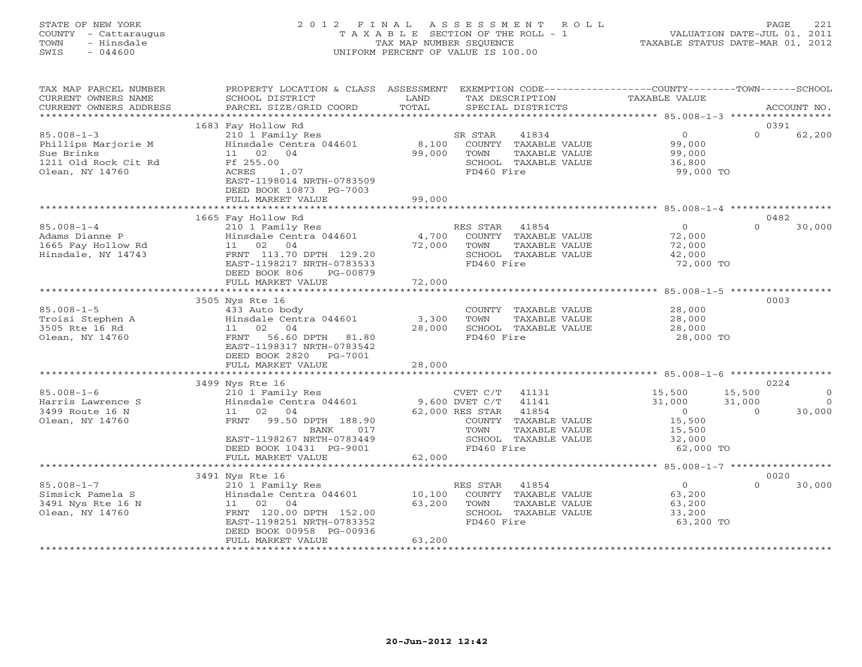# STATE OF NEW YORK 2 0 1 2 F I N A L A S S E S S M E N T R O L L PAGE 221 COUNTY - Cattaraugus T A X A B L E SECTION OF THE ROLL - 1 VALUATION DATE-JUL 01, 2011 TOWN - Hinsdale TAX MAP NUMBER SEQUENCE TAXABLE STATUS DATE-MAR 01, 2012 SWIS - 044600 UNIFORM PERCENT OF VALUE IS 100.00UNIFORM PERCENT OF VALUE IS 100.00

| TAX MAP PARCEL NUMBER<br>CURRENT OWNERS NAME<br>CURRENT OWNERS ADDRESS                           | PROPERTY LOCATION & CLASS<br>SCHOOL DISTRICT<br>PARCEL SIZE/GRID COORD                                                                                                                        | ASSESSMENT<br>LAND<br>TOTAL                       | EXEMPTION CODE-----------------COUNTY-------TOWN------SCHOOL<br>TAX DESCRIPTION<br>SPECIAL DISTRICTS                                                            | TAXABLE VALUE                                                                                                 |                              | ACCOUNT NO.                        |
|--------------------------------------------------------------------------------------------------|-----------------------------------------------------------------------------------------------------------------------------------------------------------------------------------------------|---------------------------------------------------|-----------------------------------------------------------------------------------------------------------------------------------------------------------------|---------------------------------------------------------------------------------------------------------------|------------------------------|------------------------------------|
| *******************                                                                              |                                                                                                                                                                                               |                                                   |                                                                                                                                                                 |                                                                                                               |                              |                                    |
| $85.008 - 1 - 3$<br>Phillips Marjorie M<br>Sue Brinks<br>1211 Old Rock Cit Rd<br>Olean, NY 14760 | 1683 Fay Hollow Rd<br>210 1 Family Res<br>Hinsdale Centra 044601<br>11<br>02<br>04<br>Ff 255.00<br>ACRES<br>1.07<br>EAST-1198014 NRTH-0783509<br>DEED BOOK 10873 PG-7003<br>FULL MARKET VALUE | 8,100<br>99,000<br>99,000                         | SR STAR<br>41834<br>COUNTY TAXABLE VALUE<br>TOWN<br>TAXABLE VALUE<br>SCHOOL TAXABLE VALUE<br>FD460 Fire                                                         | $\mathbf{0}$<br>99,000<br>99,000<br>36,800<br>99,000 TO                                                       | 0391<br>$\Omega$             | 62,200                             |
|                                                                                                  |                                                                                                                                                                                               | ************                                      |                                                                                                                                                                 | ***************** 85.008-1-4 ***************                                                                  |                              |                                    |
| $85.008 - 1 - 4$<br>Adams Dianne P<br>1665 Fay Hollow Rd<br>Hinsdale, NY 14743                   | 1665 Fay Hollow Rd<br>210 1 Family Res<br>Hinsdale Centra 044601<br>02<br>04<br>11<br>FRNT 113.70 DPTH 129.20<br>EAST-1198217 NRTH-0783533<br>DEED BOOK 806<br>PG-00879<br>FULL MARKET VALUE  | 4,700<br>72,000<br>72,000                         | RES STAR<br>41854<br>COUNTY TAXABLE VALUE<br>TOWN<br>TAXABLE VALUE<br>SCHOOL TAXABLE VALUE<br>FD460 Fire                                                        | $\Omega$<br>72,000<br>72,000<br>42,000<br>72,000 TO                                                           | 0482<br>$\Omega$             | 30,000                             |
|                                                                                                  | ****************************                                                                                                                                                                  |                                                   |                                                                                                                                                                 |                                                                                                               |                              |                                    |
| $85.008 - 1 - 5$<br>Troisi Stephen A<br>3505 Rte 16 Rd<br>Olean, NY 14760                        | 3505 Nys Rte 16<br>433 Auto body<br>Hinsdale Centra 044601<br>02 04<br>11<br>56.60 DPTH<br>FRNT<br>81.80<br>EAST-1198317 NRTH-0783542<br>DEED BOOK 2820<br>PG-7001<br>FULL MARKET VALUE       | 3,300<br>28,000<br>28,000                         | COUNTY TAXABLE VALUE<br>TOWN<br>TAXABLE VALUE<br>SCHOOL TAXABLE VALUE<br>FD460 Fire                                                                             | 28,000<br>28,000<br>28,000<br>28,000 TO                                                                       | 0003                         |                                    |
|                                                                                                  | 3499 Nys Rte 16                                                                                                                                                                               |                                                   |                                                                                                                                                                 |                                                                                                               | 0224                         |                                    |
| $85.008 - 1 - 6$<br>Harris Lawrence S<br>3499 Route 16 N<br>Olean, NY 14760                      | 210 1 Family Res<br>Hinsdale Centra 044601<br>11<br>02<br>04<br>99.50 DPTH 188.90<br>FRNT<br>017<br>BANK<br>EAST-1198267 NRTH-0783449<br>DEED BOOK 10431 PG-9001                              |                                                   | CVET C/T<br>41131<br>9,600 DVET C/T<br>41141<br>62,000 RES STAR<br>41854<br>COUNTY TAXABLE VALUE<br>TAXABLE VALUE<br>TOWN<br>SCHOOL TAXABLE VALUE<br>FD460 Fire | 15,500<br>31,000<br>$\overline{0}$<br>15,500<br>15,500<br>32,000<br>62,000 TO                                 | 15,500<br>31,000<br>$\Omega$ | $\mathbf{0}$<br>$\Omega$<br>30,000 |
|                                                                                                  | FULL MARKET VALUE                                                                                                                                                                             | 62,000                                            |                                                                                                                                                                 |                                                                                                               |                              |                                    |
| $85.008 - 1 - 7$<br>Simsick Pamela S<br>3491 Nys Rte 16 N<br>Olean, NY 14760                     | 3491 Nys Rte 16<br>210 1 Family Res<br>Hinsdale Centra 044601<br>04<br>11<br>02<br>FRNT 120.00 DPTH 152.00<br>EAST-1198251 NRTH-0783352<br>DEED BOOK 00958 PG-00936<br>FULL MARKET VALUE      | *******************<br>10,100<br>63,200<br>63,200 | 41854<br>RES STAR<br>COUNTY<br>TAXABLE VALUE<br>TOWN<br>TAXABLE VALUE<br>SCHOOL TAXABLE VALUE<br>FD460 Fire                                                     | ************************ 85.008-1-7 ******************<br>$\Omega$<br>63,200<br>63,200<br>33,200<br>63,200 TO | 0020<br>$\Omega$             | 30,000                             |
|                                                                                                  |                                                                                                                                                                                               |                                                   |                                                                                                                                                                 |                                                                                                               |                              |                                    |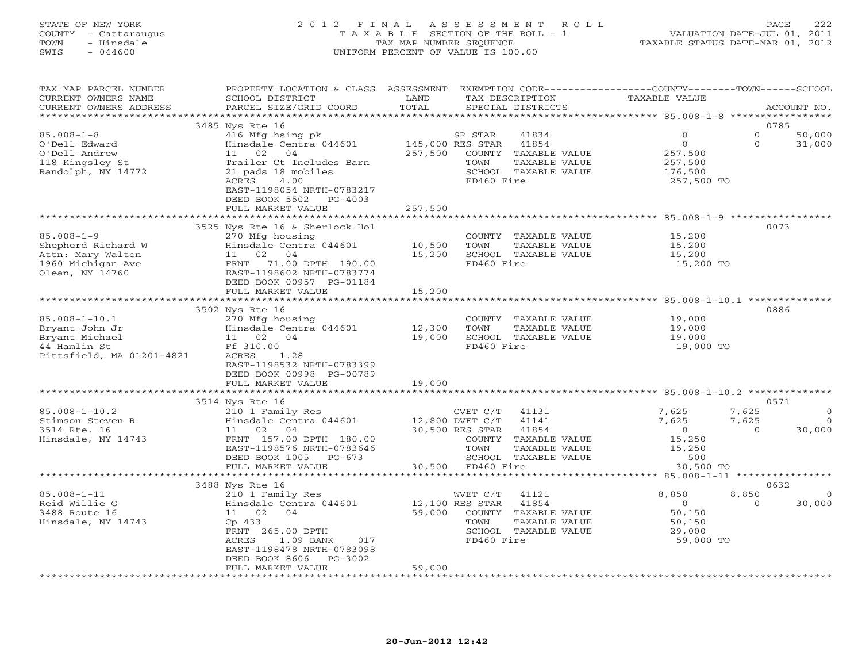## STATE OF NEW YORK 2 0 1 2 F I N A L A S S E S S M E N T R O L L PAGE 222 COUNTY - Cattaraugus T A X A B L E SECTION OF THE ROLL - 1 VALUATION DATE-JUL 01, 2011 TOWN - Hinsdale TAX MAP NUMBER SEQUENCE TAXABLE STATUS DATE-MAR 01, 2012 SWIS - 044600 UNIFORM PERCENT OF VALUE IS 100.00UNIFORM PERCENT OF VALUE IS 100.00

| TAX MAP PARCEL NUMBER<br>CURRENT OWNERS NAME<br>CURRENT OWNERS ADDRESS                               | PROPERTY LOCATION & CLASS ASSESSMENT<br>SCHOOL DISTRICT<br>PARCEL SIZE/GRID COORD                                                                                                   | LAND<br>TOTAL             | EXEMPTION CODE-----------------COUNTY-------TOWN------SCHOOL<br>TAX DESCRIPTION<br>SPECIAL DISTRICTS                                               | TAXABLE VALUE                                                       | ACCOUNT NO.                                                  |
|------------------------------------------------------------------------------------------------------|-------------------------------------------------------------------------------------------------------------------------------------------------------------------------------------|---------------------------|----------------------------------------------------------------------------------------------------------------------------------------------------|---------------------------------------------------------------------|--------------------------------------------------------------|
| **********************                                                                               |                                                                                                                                                                                     |                           |                                                                                                                                                    |                                                                     |                                                              |
|                                                                                                      | 3485 Nys Rte 16                                                                                                                                                                     |                           |                                                                                                                                                    |                                                                     | 0785                                                         |
| $85.008 - 1 - 8$<br>O'Dell Edward<br>O'Dell Andrew<br>118 Kingsley St<br>Randolph, NY 14772          | 416 Mfg hsing pk<br>Hinsdale Centra 044601<br>11 02<br>04<br>Trailer Ct Includes Barn<br>21 pads 18 mobiles<br>ACRES<br>4.00<br>EAST-1198054 NRTH-0783217<br>DEED BOOK 5502 PG-4003 | 257,500                   | SR STAR<br>41834<br>145,000 RES STAR<br>41854<br>COUNTY TAXABLE VALUE<br>TOWN<br>TAXABLE VALUE<br>SCHOOL TAXABLE VALUE<br>FD460 Fire               | $\Omega$<br>$\Omega$<br>257,500<br>257,500<br>176,500<br>257,500 TO | $\circ$<br>50,000<br>$\Omega$<br>31,000                      |
|                                                                                                      | FULL MARKET VALUE                                                                                                                                                                   | 257,500                   |                                                                                                                                                    |                                                                     |                                                              |
|                                                                                                      |                                                                                                                                                                                     |                           |                                                                                                                                                    |                                                                     |                                                              |
| $85.008 - 1 - 9$<br>Shepherd Richard W<br>Attn: Mary Walton<br>1960 Michigan Ave<br>Olean, NY 14760  | 3525 Nys Rte 16 & Sherlock Hol<br>270 Mfg housing<br>Hinsdale Centra 044601<br>11 02 04<br>FRNT 71.00 DPTH 190.00<br>EAST-1198602 NRTH-0783774<br>DEED BOOK 00957 PG-01184          | 10,500<br>15,200          | COUNTY TAXABLE VALUE<br>TOWN<br>TAXABLE VALUE<br>SCHOOL TAXABLE VALUE<br>FD460 Fire                                                                | 15,200<br>15,200<br>15,200<br>15,200 TO                             | 0073                                                         |
|                                                                                                      | FULL MARKET VALUE                                                                                                                                                                   | 15,200                    |                                                                                                                                                    |                                                                     |                                                              |
|                                                                                                      |                                                                                                                                                                                     |                           |                                                                                                                                                    |                                                                     |                                                              |
| $85.008 - 1 - 10.1$<br>Bryant John Jr<br>Bryant Michael<br>44 Hamlin St<br>Pittsfield, MA 01201-4821 | 3502 Nys Rte 16<br>270 Mfg housing<br>Hinsdale Centra 044601<br>11 02<br>04<br>Ff 310.00<br>ACRES<br>1.28<br>EAST-1198532 NRTH-0783399<br>DEED BOOK 00998 PG-00789                  | 12,300<br>19,000          | COUNTY TAXABLE VALUE<br>TAXABLE VALUE<br>TOWN<br>SCHOOL TAXABLE VALUE<br>FD460 Fire                                                                | 19,000<br>19,000<br>19,000<br>19,000 TO                             | 0886                                                         |
|                                                                                                      | FULL MARKET VALUE                                                                                                                                                                   | 19,000                    |                                                                                                                                                    |                                                                     |                                                              |
|                                                                                                      |                                                                                                                                                                                     |                           |                                                                                                                                                    |                                                                     |                                                              |
|                                                                                                      | 3514 Nys Rte 16                                                                                                                                                                     |                           |                                                                                                                                                    |                                                                     | 0571                                                         |
| $85.008 - 1 - 10.2$<br>Stimson Steven R<br>3514 Rte. 16<br>Hinsdale, NY 14743                        | 210 1 Family Res<br>Hinsdale Centra 044601<br>04<br>11 02<br>FRNT 157.00 DPTH 180.00<br>EAST-1198576 NRTH-0783646<br>DEED BOOK 1005<br>PG-673                                       |                           | CVET C/T<br>41131<br>12,800 DVET C/T<br>41141<br>30,500 RES STAR<br>41854<br>COUNTY TAXABLE VALUE<br>TOWN<br>TAXABLE VALUE<br>SCHOOL TAXABLE VALUE | 7,625<br>7,625<br>$\overline{0}$<br>15,250<br>15,250<br>500         | 7,625<br>$\Omega$<br>7,625<br>$\Omega$<br>30,000<br>$\Omega$ |
|                                                                                                      | FULL MARKET VALUE<br>***************************                                                                                                                                    |                           | 30,500 FD460 Fire                                                                                                                                  | 30,500 TO                                                           |                                                              |
|                                                                                                      | 3488 Nys Rte 16                                                                                                                                                                     |                           |                                                                                                                                                    |                                                                     | 0632                                                         |
| $85.008 - 1 - 11$<br>Reid Willie G<br>3488 Route 16<br>Hinsdale, NY 14743                            | 210 1 Family Res<br>Hinsdale Centra 044601<br>11 02 04<br>Cp 433<br>FRNT 265.00 DPTH<br>ACRES<br>1.09 BANK<br>017<br>EAST-1198478 NRTH-0783098                                      | 12,100 RES STAR<br>59,000 | 41121<br>WVET C/T<br>41854<br>COUNTY TAXABLE VALUE<br>TAXABLE VALUE<br>TOWN<br>SCHOOL TAXABLE VALUE<br>FD460 Fire                                  | 8,850<br>$\overline{0}$<br>50, 150<br>50,150<br>29,000<br>59,000 TO | 8,850<br>$\Omega$<br>30,000<br>$\Omega$                      |
|                                                                                                      | $PG-3002$<br>DEED BOOK 8606<br>FULL MARKET VALUE                                                                                                                                    | 59,000                    |                                                                                                                                                    |                                                                     |                                                              |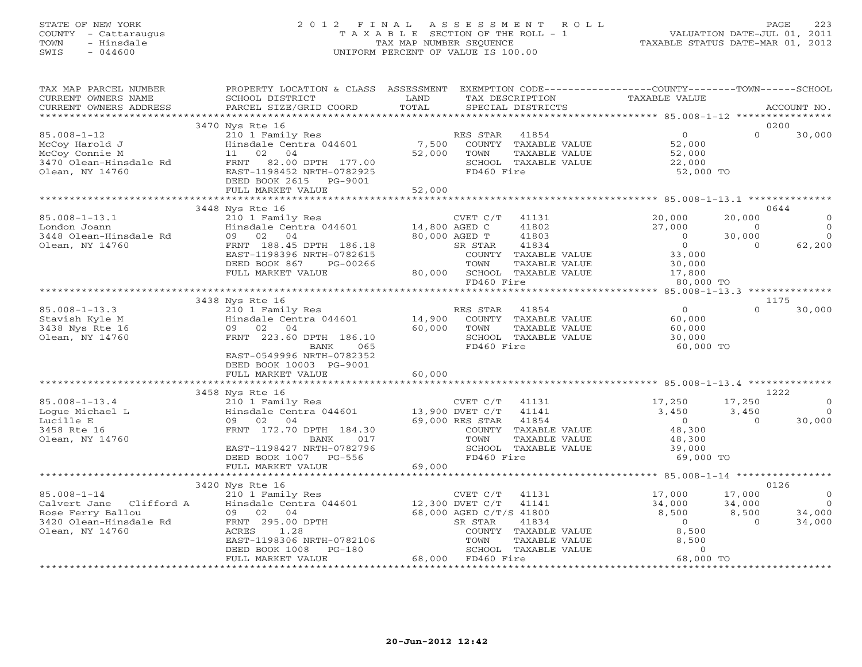# STATE OF NEW YORK 2 0 1 2 F I N A L A S S E S S M E N T R O L L PAGE 223 COUNTY - Cattaraugus T A X A B L E SECTION OF THE ROLL - 1 VALUATION DATE-JUL 01, 2011 TOWN - Hinsdale TAX MAP NUMBER SEQUENCE TAXABLE STATUS DATE-MAR 01, 2012 SWIS - 044600 UNIFORM PERCENT OF VALUE IS 100.00UNIFORM PERCENT OF VALUE IS 100.00

| TAX MAP PARCEL NUMBER<br>CURRENT OWNERS NAME<br>CURRENT OWNERS ADDRESS                                         | PROPERTY LOCATION & CLASS ASSESSMENT<br>SCHOOL DISTRICT<br>PARCEL SIZE/GRID COORD                                                                                                           | LAND<br>TOTAL              | TAX DESCRIPTION                                                                | SPECIAL DISTRICTS                                                                                 | EXEMPTION CODE-----------------COUNTY-------TOWN------SCHOOL<br><b>TAXABLE VALUE</b> |                                         | ACCOUNT NO.                                            |
|----------------------------------------------------------------------------------------------------------------|---------------------------------------------------------------------------------------------------------------------------------------------------------------------------------------------|----------------------------|--------------------------------------------------------------------------------|---------------------------------------------------------------------------------------------------|--------------------------------------------------------------------------------------|-----------------------------------------|--------------------------------------------------------|
| *************************                                                                                      |                                                                                                                                                                                             |                            |                                                                                |                                                                                                   |                                                                                      |                                         |                                                        |
| $85.008 - 1 - 12$<br>McCoy Harold J<br>McCoy Connie M<br>3470 Olean-Hinsdale Rd<br>Olean, NY 14760             | 3470 Nys Rte 16<br>210 1 Family Res<br>Hinsdale Centra 044601<br>02<br>04<br>11<br>82.00 DPTH 177.00<br>FRNT<br>EAST-1198452 NRTH-0782925<br>DEED BOOK 2615<br>PG-9001<br>FULL MARKET VALUE | 7,500<br>52,000<br>52,000  | RES STAR<br>TOWN<br>FD460 Fire                                                 | 41854<br>COUNTY TAXABLE VALUE<br>TAXABLE VALUE<br>SCHOOL TAXABLE VALUE                            | $\circ$<br>52,000<br>52,000<br>22,000<br>52,000 TO                                   | $\Omega$                                | 0200<br>30,000                                         |
|                                                                                                                |                                                                                                                                                                                             |                            |                                                                                |                                                                                                   |                                                                                      |                                         |                                                        |
|                                                                                                                | 3448 Nys Rte 16                                                                                                                                                                             |                            |                                                                                |                                                                                                   |                                                                                      |                                         | 0644                                                   |
| $85.008 - 1 - 13.1$<br>London Joann<br>3448 Olean-Hinsdale Rd<br>Olean, NY 14760                               | 210 1 Family Res<br>Hinsdale Centra 044601<br>09 02 04<br>FRNT 188.45 DPTH 186.18<br>EAST-1198396 NRTH-0782615<br>DEED BOOK 867<br>PG-00266<br>FULL MARKET VALUE                            | 14,800 AGED C<br>80,000    | CVET C/T<br>80,000 AGED T<br>SR STAR<br>TOWN<br>FD460 Fire                     | 41131<br>41802<br>41803<br>41834<br>COUNTY TAXABLE VALUE<br>TAXABLE VALUE<br>SCHOOL TAXABLE VALUE | 20,000<br>27,000<br>$\circ$<br>$\Omega$<br>33,000<br>30,000<br>17,800<br>80,000 TO   | 20,000<br>$\circ$<br>30,000<br>$\Omega$ | $\Omega$<br>$\overline{0}$<br>$\overline{0}$<br>62,200 |
|                                                                                                                |                                                                                                                                                                                             |                            |                                                                                |                                                                                                   |                                                                                      |                                         |                                                        |
|                                                                                                                | 3438 Nys Rte 16                                                                                                                                                                             |                            |                                                                                |                                                                                                   |                                                                                      |                                         | 1175                                                   |
| $85.008 - 1 - 13.3$<br>Stavish Kyle M<br>3438 Nys Rte 16<br>Olean, NY 14760                                    | 210 1 Family Res<br>Hinsdale Centra 044601<br>09 02<br>04<br>FRNT 223.60 DPTH 186.10<br>BANK<br>065<br>EAST-0549996 NRTH-0782352<br>DEED BOOK 10003 PG-9001<br>FULL MARKET VALUE            | 14,900<br>60,000<br>60,000 | RES STAR<br>TOWN<br>FD460 Fire                                                 | 41854<br>COUNTY TAXABLE VALUE<br>TAXABLE VALUE<br>SCHOOL TAXABLE VALUE                            | $\overline{0}$<br>60,000<br>60,000<br>30,000<br>60,000 TO                            | $\Omega$                                | 30,000                                                 |
|                                                                                                                |                                                                                                                                                                                             |                            |                                                                                |                                                                                                   |                                                                                      |                                         |                                                        |
|                                                                                                                | 3458 Nys Rte 16                                                                                                                                                                             |                            |                                                                                |                                                                                                   |                                                                                      |                                         | 1222                                                   |
| $85.008 - 1 - 13.4$<br>Loque Michael L<br>Lucille E<br>3458 Rte 16<br>Olean, NY 14760                          | 210 1 Family Res<br>Hinsdale Centra 044601<br>09 02<br>04<br>FRNT 172.70 DPTH 184.30<br><b>BANK</b><br>017<br>EAST-1198427 NRTH-0782796<br>DEED BOOK 1007 PG-556                            |                            | CVET C/T<br>13,900 DVET C/T<br>69,000 RES STAR<br>COUNTY<br>TOWN<br>FD460 Fire | 41131<br>41141<br>41854<br>TAXABLE VALUE<br>TAXABLE VALUE<br>SCHOOL TAXABLE VALUE                 | 17,250<br>3,450<br>$\circ$<br>48,300<br>48,300<br>39,000<br>69,000 TO                | 17,250<br>3,450<br>$\Omega$             | $\Omega$<br>$\Omega$<br>30,000                         |
|                                                                                                                | FULL MARKET VALUE<br>**********************                                                                                                                                                 | 69,000                     |                                                                                |                                                                                                   |                                                                                      |                                         |                                                        |
|                                                                                                                | 3420 Nys Rte 16                                                                                                                                                                             |                            |                                                                                |                                                                                                   |                                                                                      |                                         | 0126                                                   |
| $85.008 - 1 - 14$<br>Calvert Jane Clifford A<br>Rose Ferry Ballou<br>3420 Olean-Hinsdale Rd<br>Olean, NY 14760 | 210 1 Family Res<br>Hinsdale Centra 044601<br>09 02 04<br>FRNT 295.00 DPTH<br>ACRES<br>1.28<br>EAST-1198306 NRTH-0782106<br>DEED BOOK 1008<br>PG-180                                        |                            | CVET C/T<br>12,300 DVET C/T<br>68,000 AGED C/T/S 41800<br>SR STAR<br>TOWN      | 41131<br>41141<br>41834<br>COUNTY TAXABLE VALUE<br>TAXABLE VALUE<br>SCHOOL TAXABLE VALUE          | 17,000<br>34,000<br>8,500<br>$\overline{0}$<br>8,500<br>8,500<br>$\circ$             | 17,000<br>34,000<br>8,500<br>$\Omega$   | $\Omega$<br>$\overline{0}$<br>34,000<br>34,000         |
|                                                                                                                | FULL MARKET VALUE                                                                                                                                                                           |                            | 68,000 FD460 Fire                                                              |                                                                                                   | 68,000 TO                                                                            |                                         | ******************                                     |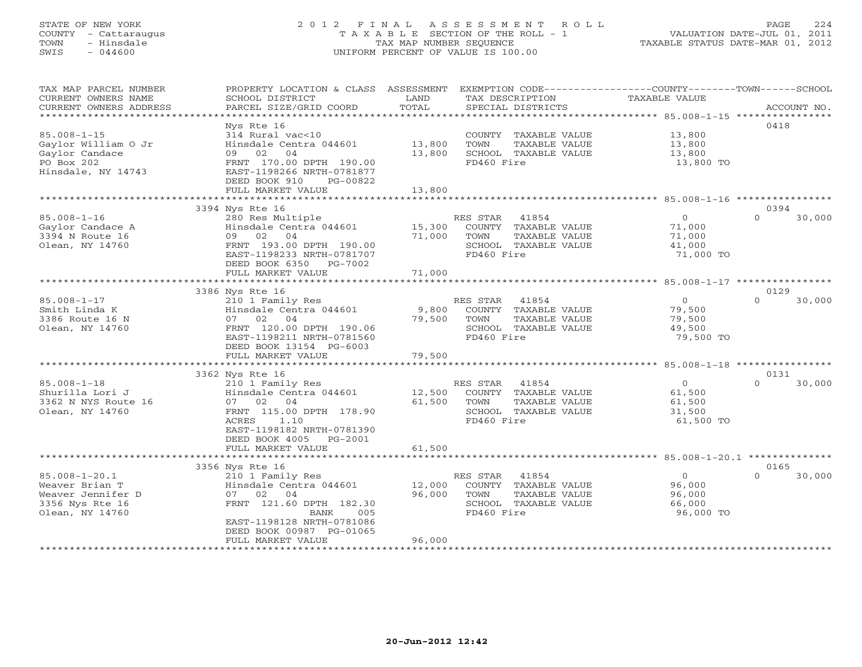# STATE OF NEW YORK 2 0 1 2 F I N A L A S S E S S M E N T R O L L PAGE 224 COUNTY - Cattaraugus T A X A B L E SECTION OF THE ROLL - 1 VALUATION DATE-JUL 01, 2011 TOWN - Hinsdale TAX MAP NUMBER SEQUENCE TAXABLE STATUS DATE-MAR 01, 2012 SWIS - 044600 UNIFORM PERCENT OF VALUE IS 100.00UNIFORM PERCENT OF VALUE IS 100.00

| TAX MAP PARCEL NUMBER<br>CURRENT OWNERS NAME<br>CURRENT OWNERS ADDRESS | PROPERTY LOCATION & CLASS ASSESSMENT<br>SCHOOL DISTRICT<br>PARCEL SIZE/GRID COORD | LAND<br>TOTAL |            | TAX DESCRIPTION<br>SPECIAL DISTRICTS | EXEMPTION CODE-----------------COUNTY-------TOWN------SCHOOL<br>TAXABLE VALUE |                  | ACCOUNT NO. |
|------------------------------------------------------------------------|-----------------------------------------------------------------------------------|---------------|------------|--------------------------------------|-------------------------------------------------------------------------------|------------------|-------------|
| ********************                                                   |                                                                                   |               |            |                                      |                                                                               |                  |             |
|                                                                        | Nys Rte 16                                                                        |               |            |                                      |                                                                               | 0418             |             |
| $85.008 - 1 - 15$                                                      | 314 Rural vac<10                                                                  |               |            | COUNTY TAXABLE VALUE                 | 13,800                                                                        |                  |             |
| Gaylor William O Jr                                                    | Hinsdale Centra 044601                                                            | 13,800        | TOWN       | TAXABLE VALUE                        | 13,800                                                                        |                  |             |
| Gaylor Candace                                                         | 04<br>02<br>09                                                                    | 13,800        |            | SCHOOL TAXABLE VALUE                 | 13,800                                                                        |                  |             |
| PO Box 202                                                             | FRNT 170.00 DPTH 190.00                                                           |               | FD460 Fire |                                      | 13,800 TO                                                                     |                  |             |
| Hinsdale, NY 14743                                                     | EAST-1198266 NRTH-0781877                                                         |               |            |                                      |                                                                               |                  |             |
|                                                                        | DEED BOOK 910<br>PG-00822                                                         |               |            |                                      |                                                                               |                  |             |
|                                                                        | FULL MARKET VALUE<br>**********************                                       | 13,800        |            |                                      |                                                                               |                  |             |
|                                                                        | 3394 Nys Rte 16                                                                   |               |            |                                      |                                                                               | 0394             |             |
| $85.008 - 1 - 16$                                                      | 280 Res Multiple                                                                  |               | RES STAR   | 41854                                | $\mathbf{0}$                                                                  | $\Omega$         | 30,000      |
| Gaylor Candace A                                                       | Hinsdale Centra 044601                                                            | 15,300        |            | COUNTY TAXABLE VALUE                 | 71,000                                                                        |                  |             |
| 3394 N Route 16                                                        | 09 02<br>04                                                                       | 71,000        | TOWN       | TAXABLE VALUE                        | 71,000                                                                        |                  |             |
| Olean, NY 14760                                                        | FRNT 193.00 DPTH 190.00                                                           |               |            | SCHOOL TAXABLE VALUE                 | 41,000                                                                        |                  |             |
|                                                                        | EAST-1198233 NRTH-0781707                                                         |               | FD460 Fire |                                      | 71,000 TO                                                                     |                  |             |
|                                                                        | DEED BOOK 6350<br>PG-7002                                                         |               |            |                                      |                                                                               |                  |             |
|                                                                        | FULL MARKET VALUE                                                                 | 71,000        |            |                                      |                                                                               |                  |             |
|                                                                        |                                                                                   |               |            |                                      |                                                                               |                  |             |
|                                                                        | 3386 Nys Rte 16                                                                   |               |            |                                      |                                                                               | 0129             |             |
| $85.008 - 1 - 17$                                                      | 210 1 Family Res                                                                  |               | RES STAR   | 41854                                | $\Omega$                                                                      | $\Omega$         | 30,000      |
| Smith Linda K                                                          | Hinsdale Centra 044601                                                            | 9,800         |            | COUNTY TAXABLE VALUE                 | 79,500                                                                        |                  |             |
| 3386 Route 16 N                                                        | 07 02 04                                                                          | 79,500        | TOWN       | TAXABLE VALUE                        | 79,500                                                                        |                  |             |
| Olean, NY 14760                                                        | FRNT 120.00 DPTH 190.06<br>EAST-1198211 NRTH-0781560                              |               | FD460 Fire | SCHOOL TAXABLE VALUE                 | 49,500<br>79,500 TO                                                           |                  |             |
|                                                                        | DEED BOOK 13154 PG-6003                                                           |               |            |                                      |                                                                               |                  |             |
|                                                                        | FULL MARKET VALUE                                                                 | 79,500        |            |                                      |                                                                               |                  |             |
|                                                                        | ***********************                                                           |               |            |                                      |                                                                               |                  |             |
|                                                                        | 3362 Nys Rte 16                                                                   |               |            |                                      |                                                                               | 0131             |             |
| $85.008 - 1 - 18$                                                      | 210 1 Family Res                                                                  |               | RES STAR   | 41854                                | $\circ$                                                                       | $\Omega$         | 30,000      |
| Shurilla Lori J                                                        | Hinsdale Centra 044601                                                            | 12,500        |            | COUNTY TAXABLE VALUE                 | 61,500                                                                        |                  |             |
| 3362 N NYS Route 16                                                    | 07 02<br>04                                                                       | 61,500        | TOWN       | TAXABLE VALUE                        | 61,500                                                                        |                  |             |
| Olean, NY 14760                                                        | FRNT 115.00 DPTH 178.90                                                           |               |            | SCHOOL TAXABLE VALUE                 | 31,500                                                                        |                  |             |
|                                                                        | ACRES<br>1.10                                                                     |               | FD460 Fire |                                      | 61,500 TO                                                                     |                  |             |
|                                                                        | EAST-1198182 NRTH-0781390                                                         |               |            |                                      |                                                                               |                  |             |
|                                                                        | DEED BOOK 4005<br>PG-2001                                                         |               |            |                                      |                                                                               |                  |             |
|                                                                        | FULL MARKET VALUE                                                                 | 61,500        |            |                                      |                                                                               |                  |             |
|                                                                        |                                                                                   |               |            |                                      |                                                                               |                  |             |
|                                                                        | 3356 Nys Rte 16                                                                   |               |            |                                      |                                                                               | 0165<br>$\Omega$ |             |
| $85.008 - 1 - 20.1$<br>Weaver Brian T                                  | 210 1 Family Res<br>Hinsdale Centra 044601                                        | 12,000        | RES STAR   | 41854<br>COUNTY TAXABLE VALUE        | $\circ$<br>96,000                                                             |                  | 30,000      |
| Weaver Jennifer D                                                      | 07<br>02<br>04                                                                    | 96,000        | TOWN       | TAXABLE VALUE                        | 96,000                                                                        |                  |             |
| 3356 Nys Rte 16                                                        | FRNT 121.60 DPTH 182.30                                                           |               |            | SCHOOL TAXABLE VALUE                 | 66,000                                                                        |                  |             |
| Olean, NY 14760                                                        | 005<br>BANK                                                                       |               | FD460 Fire |                                      | 96,000 TO                                                                     |                  |             |
|                                                                        | EAST-1198128 NRTH-0781086                                                         |               |            |                                      |                                                                               |                  |             |
|                                                                        | DEED BOOK 00987 PG-01065                                                          |               |            |                                      |                                                                               |                  |             |
|                                                                        | FULL MARKET VALUE                                                                 | 96,000        |            |                                      |                                                                               |                  |             |
|                                                                        |                                                                                   |               |            |                                      |                                                                               |                  |             |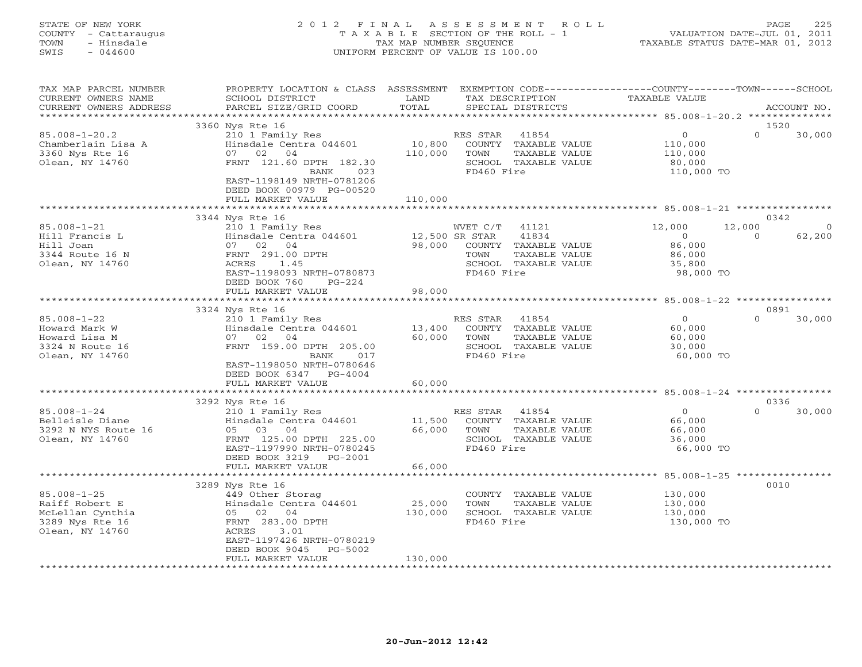# STATE OF NEW YORK 2 0 1 2 F I N A L A S S E S S M E N T R O L L PAGE 225 COUNTY - Cattaraugus T A X A B L E SECTION OF THE ROLL - 1 VALUATION DATE-JUL 01, 2011 TOWN - Hinsdale TAX MAP NUMBER SEQUENCE TAXABLE STATUS DATE-MAR 01, 2012 SWIS - 044600 UNIFORM PERCENT OF VALUE IS 100.00UNIFORM PERCENT OF VALUE IS 100.00

| TAX MAP PARCEL NUMBER<br>CURRENT OWNERS NAME<br>CURRENT OWNERS ADDRESS                        | PROPERTY LOCATION & CLASS ASSESSMENT<br>SCHOOL DISTRICT<br>PARCEL SIZE/GRID COORD                                                                                                                          | LAND<br>TOTAL                | EXEMPTION CODE-----------------COUNTY-------TOWN------SCHOOL<br>TAX DESCRIPTION<br>SPECIAL DISTRICTS                                | <b>TAXABLE VALUE</b>                                                  | ACCOUNT NO.                                      |
|-----------------------------------------------------------------------------------------------|------------------------------------------------------------------------------------------------------------------------------------------------------------------------------------------------------------|------------------------------|-------------------------------------------------------------------------------------------------------------------------------------|-----------------------------------------------------------------------|--------------------------------------------------|
|                                                                                               | ********************                                                                                                                                                                                       |                              | ***********************                                                                                                             | ********************* 85.008-1-20.2 ***************                   |                                                  |
| $85.008 - 1 - 20.2$<br>Chamberlain Lisa A<br>3360 Nys Rte 16<br>Olean, NY 14760               | 3360 Nys Rte 16<br>210 1 Family Res<br>Hinsdale Centra 044601<br>07 02 04<br>FRNT 121.60 DPTH 182.30<br>BANK<br>023<br>EAST-1198149 NRTH-0781206<br>DEED BOOK 00979 PG-00520                               | 10,800<br>110,000            | RES STAR<br>41854<br>COUNTY TAXABLE VALUE<br>TOWN<br>TAXABLE VALUE<br>SCHOOL TAXABLE VALUE<br>FD460 Fire                            | $\circ$<br>110,000<br>110,000<br>80,000<br>110,000 TO                 | 1520<br>$\Omega$<br>30,000                       |
|                                                                                               | FULL MARKET VALUE                                                                                                                                                                                          | 110,000<br>.                 |                                                                                                                                     | ************************ 85.008-1-21 ***************                  |                                                  |
| $85.008 - 1 - 21$<br>Hill Francis L<br>Hill Joan<br>3344 Route 16 N<br>Olean, NY 14760        | 3344 Nys Rte 16<br>210 1 Family Res<br>Hinsdale Centra 044601<br>07 02 04<br>FRNT 291.00 DPTH<br><b>ACRES</b><br>1.45<br>EAST-1198093 NRTH-0780873<br>DEED BOOK 760<br>$PG-224$                            | 98,000                       | WVET C/T<br>41121<br>41834<br>12,500 SR STAR<br>COUNTY TAXABLE VALUE<br>TAXABLE VALUE<br>TOWN<br>SCHOOL TAXABLE VALUE<br>FD460 Fire | 12,000<br>$\overline{0}$<br>86,000<br>86,000<br>35,800<br>98,000 TO   | 0342<br>12,000<br>$\Omega$<br>62,200<br>$\Omega$ |
|                                                                                               | FULL MARKET VALUE                                                                                                                                                                                          | 98,000                       |                                                                                                                                     |                                                                       |                                                  |
|                                                                                               | *******                                                                                                                                                                                                    | ********************         |                                                                                                                                     | ************************ 85.008-1-22 *****************                |                                                  |
| $85.008 - 1 - 22$<br>Howard Mark W<br>Howard Lisa M<br>3324 N Route 16<br>Olean, NY 14760     | 3324 Nys Rte 16<br>210 1 Family Res<br>Hinsdale Centra 044601<br>02<br>04<br>07<br>FRNT 159.00 DPTH 205.00<br>017<br>BANK<br>EAST-1198050 NRTH-0780646<br>DEED BOOK 6347<br>$PG-4004$<br>FULL MARKET VALUE | 13,400<br>60,000<br>60,000   | 41854<br>RES STAR<br>COUNTY TAXABLE VALUE<br>TOWN<br>TAXABLE VALUE<br>SCHOOL TAXABLE VALUE<br>FD460 Fire                            | $\overline{0}$<br>60,000<br>60,000<br>30,000<br>60,000 TO             | 0891<br>$\Omega$<br>30,000                       |
|                                                                                               |                                                                                                                                                                                                            |                              |                                                                                                                                     |                                                                       |                                                  |
| $85.008 - 1 - 24$<br>Belleisle Diane<br>3292 N NYS Route 16<br>Olean, NY 14760                | 3292 Nys Rte 16<br>210 1 Family Res<br>Hinsdale Centra 044601<br>05 03 04<br>FRNT 125.00 DPTH 225.00<br>EAST-1197990 NRTH-0780245<br>DEED BOOK 3219<br>PG-2001                                             | 11,500<br>66,000             | 41854<br>RES STAR<br>COUNTY TAXABLE VALUE<br>TOWN<br>TAXABLE VALUE<br>SCHOOL TAXABLE VALUE<br>FD460 Fire                            | $\Omega$<br>66,000<br>66,000<br>36,000<br>66,000 TO                   | 0336<br>$\Omega$<br>30,000                       |
|                                                                                               | FULL MARKET VALUE<br>*****************                                                                                                                                                                     | 66,000                       |                                                                                                                                     |                                                                       |                                                  |
| $85.008 - 1 - 25$<br>Raiff Robert E<br>McLellan Cynthia<br>3289 Nys Rte 16<br>Olean, NY 14760 | 3289 Nys Rte 16<br>449 Other Storag<br>Hinsdale Centra 044601<br>05 02 04<br>FRNT 283.00 DPTH<br>ACRES<br>3.01<br>EAST-1197426 NRTH-0780219<br>DEED BOOK 9045<br>PG-5002<br>FULL MARKET VALUE              | 25,000<br>130,000<br>130,000 | COUNTY TAXABLE VALUE<br>TOWN<br>TAXABLE VALUE<br>SCHOOL TAXABLE VALUE<br>FD460 Fire                                                 | ***** 85.008-1-25 ****<br>130,000<br>130,000<br>130,000<br>130,000 TO | 0010                                             |
|                                                                                               |                                                                                                                                                                                                            |                              |                                                                                                                                     |                                                                       |                                                  |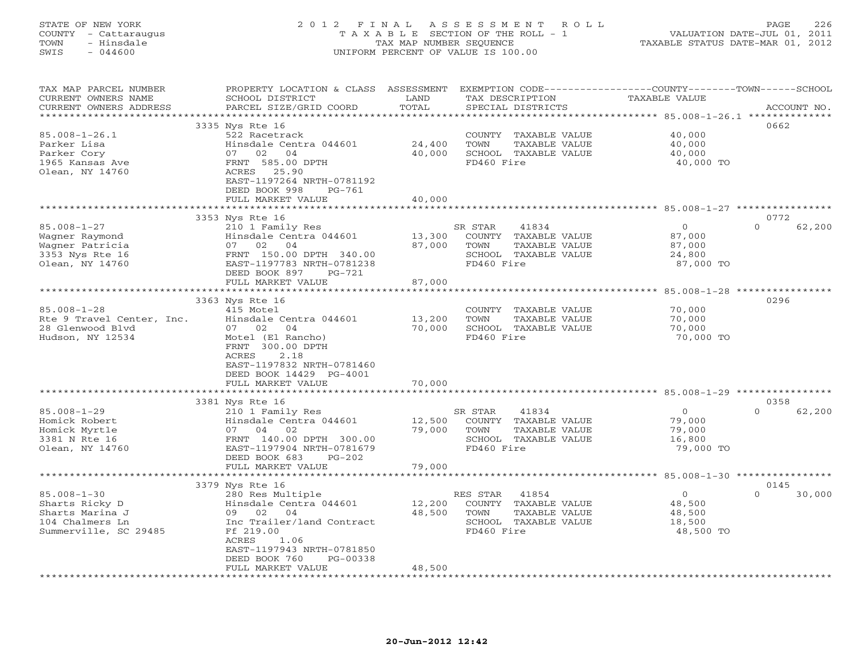# STATE OF NEW YORK 2 0 1 2 F I N A L A S S E S S M E N T R O L L PAGE 226 COUNTY - Cattaraugus T A X A B L E SECTION OF THE ROLL - 1 VALUATION DATE-JUL 01, 2011 TOWN - Hinsdale TAX MAP NUMBER SEQUENCE TAXABLE STATUS DATE-MAR 01, 2012 SWIS - 044600 UNIFORM PERCENT OF VALUE IS 100.00UNIFORM PERCENT OF VALUE IS 100.00

| TAX MAP PARCEL NUMBER<br>CURRENT OWNERS NAME | PROPERTY LOCATION & CLASS ASSESSMENT<br>SCHOOL DISTRICT | LAND   | EXEMPTION CODE----------------COUNTY-------TOWN------SCHOOL<br>TAX DESCRIPTION | TAXABLE VALUE |                    |
|----------------------------------------------|---------------------------------------------------------|--------|--------------------------------------------------------------------------------|---------------|--------------------|
| CURRENT OWNERS ADDRESS                       | PARCEL SIZE/GRID COORD                                  | TOTAL  | SPECIAL DISTRICTS                                                              |               | ACCOUNT NO.        |
| *********************                        |                                                         |        |                                                                                |               |                    |
|                                              | 3335 Nys Rte 16                                         |        |                                                                                |               | 0662               |
| $85.008 - 1 - 26.1$                          | 522 Racetrack                                           |        | COUNTY TAXABLE VALUE                                                           | 40,000        |                    |
| Parker Lisa                                  | Hinsdale Centra 044601                                  | 24,400 | TOWN<br>TAXABLE VALUE                                                          | 40,000        |                    |
| Parker Cory                                  | 07 02 04                                                | 40,000 | SCHOOL TAXABLE VALUE                                                           | 40,000        |                    |
| 1965 Kansas Ave                              | FRNT 585.00 DPTH                                        |        | FD460 Fire                                                                     | 40,000 TO     |                    |
| Olean, NY 14760                              | ACRES 25.90                                             |        |                                                                                |               |                    |
|                                              | EAST-1197264 NRTH-0781192<br>DEED BOOK 998<br>$PG-761$  |        |                                                                                |               |                    |
|                                              | FULL MARKET VALUE                                       | 40,000 |                                                                                |               |                    |
|                                              | *******************************                         |        |                                                                                |               |                    |
|                                              | 3353 Nys Rte 16                                         |        |                                                                                |               | 0772               |
| $85.008 - 1 - 27$                            | 210 1 Family Res                                        |        | SR STAR<br>41834                                                               | $\Omega$      | $\Omega$<br>62,200 |
| Wagner Raymond                               | Hinsdale Centra 044601                                  | 13,300 | COUNTY TAXABLE VALUE                                                           | 87,000        |                    |
| Wagner Patricia                              | 07 02 04                                                | 87,000 | TOWN<br>TAXABLE VALUE                                                          | 87,000        |                    |
| 3353 Nys Rte 16                              | FRNT 150.00 DPTH 340.00                                 |        | SCHOOL TAXABLE VALUE                                                           | 24,800        |                    |
| Olean, NY 14760                              | EAST-1197783 NRTH-0781238                               |        | FD460 Fire                                                                     | 87,000 TO     |                    |
|                                              | DEED BOOK 897<br>PG-721                                 |        |                                                                                |               |                    |
|                                              | FULL MARKET VALUE                                       | 87,000 |                                                                                |               |                    |
|                                              |                                                         |        |                                                                                |               |                    |
|                                              | 3363 Nys Rte 16                                         |        |                                                                                |               | 0296               |
| $85.008 - 1 - 28$                            | 415 Motel                                               |        | COUNTY TAXABLE VALUE                                                           | 70,000        |                    |
| Rte 9 Travel Center, Inc.                    | Hinsdale Centra 044601                                  | 13,200 | TOWN<br>TAXABLE VALUE                                                          | 70,000        |                    |
| 28 Glenwood Blvd                             | 07 02 04                                                | 70,000 | SCHOOL TAXABLE VALUE                                                           | 70,000        |                    |
| Hudson, NY 12534                             | Motel (El Rancho)                                       |        | FD460 Fire                                                                     | 70,000 TO     |                    |
|                                              | FRNT 300.00 DPTH<br>ACRES<br>2.18                       |        |                                                                                |               |                    |
|                                              | EAST-1197832 NRTH-0781460                               |        |                                                                                |               |                    |
|                                              | DEED BOOK 14429 PG-4001                                 |        |                                                                                |               |                    |
|                                              | FULL MARKET VALUE                                       | 70,000 |                                                                                |               |                    |
|                                              |                                                         |        |                                                                                |               |                    |
|                                              | 3381 Nys Rte 16                                         |        |                                                                                |               | 0358               |
| $85.008 - 1 - 29$                            | 210 1 Family Res                                        |        | 41834<br>SR STAR                                                               | $\Omega$      | 62,200<br>$\Omega$ |
| Homick Robert                                | Hinsdale Centra 044601                                  | 12,500 | COUNTY TAXABLE VALUE                                                           | 79,000        |                    |
| Homick Myrtle                                | 07 04<br>02                                             | 79,000 | TOWN<br>TAXABLE VALUE                                                          | 79,000        |                    |
| 3381 N Rte 16                                | FRNT 140.00 DPTH 300.00                                 |        | SCHOOL TAXABLE VALUE                                                           | 16,800        |                    |
| Olean, NY 14760                              | EAST-1197904 NRTH-0781679                               |        | FD460 Fire                                                                     | 79,000 TO     |                    |
|                                              | DEED BOOK 683<br>$PG-202$                               |        |                                                                                |               |                    |
|                                              | FULL MARKET VALUE                                       | 79,000 |                                                                                |               |                    |
|                                              | **************************                              |        |                                                                                |               |                    |
|                                              | 3379 Nys Rte 16                                         |        |                                                                                | $\circ$       | 0145<br>$\Omega$   |
| $85.008 - 1 - 30$<br>Sharts Ricky D          | 280 Res Multiple<br>Hinsdale Centra 044601              | 12,200 | RES STAR<br>41854<br>COUNTY TAXABLE VALUE                                      | 48,500        | 30,000             |
| Sharts Marina J                              | 09 02 04                                                | 48,500 | TOWN<br>TAXABLE VALUE                                                          | 48,500        |                    |
| 104 Chalmers Ln                              | Inc Trailer/land Contract                               |        | SCHOOL TAXABLE VALUE                                                           | 18,500        |                    |
| Summerville, SC 29485                        | Ff 219.00                                               |        | FD460 Fire                                                                     | 48,500 TO     |                    |
|                                              | ACRES<br>1.06                                           |        |                                                                                |               |                    |
|                                              | EAST-1197943 NRTH-0781850                               |        |                                                                                |               |                    |
|                                              | DEED BOOK 760<br>PG-00338                               |        |                                                                                |               |                    |
|                                              | FULL MARKET VALUE                                       | 48,500 |                                                                                |               |                    |
|                                              | ***************************                             |        |                                                                                |               |                    |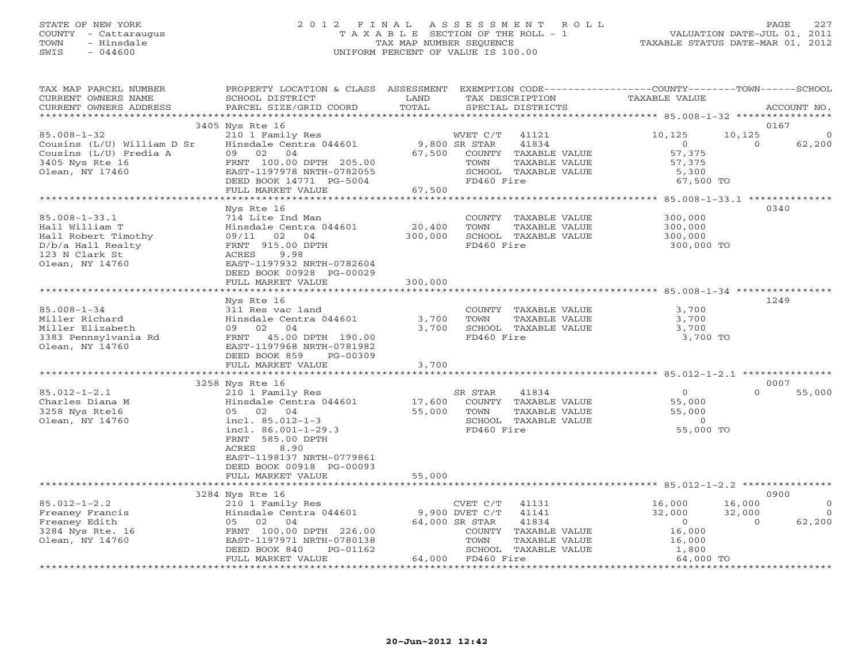# STATE OF NEW YORK 2 0 1 2 F I N A L A S S E S S M E N T R O L L PAGE 227 COUNTY - Cattaraugus T A X A B L E SECTION OF THE ROLL - 1 VALUATION DATE-JUL 01, 2011 TOWN - Hinsdale TAX MAP NUMBER SEQUENCE TAXABLE STATUS DATE-MAR 01, 2012 SWIS - 044600 UNIFORM PERCENT OF VALUE IS 100.00UNIFORM PERCENT OF VALUE IS 100.00

| TAX MAP PARCEL NUMBER                         | PROPERTY LOCATION & CLASS ASSESSMENT      |                |                   |                                              | EXEMPTION CODE----------------COUNTY-------TOWN------SCHOOL |          |                |
|-----------------------------------------------|-------------------------------------------|----------------|-------------------|----------------------------------------------|-------------------------------------------------------------|----------|----------------|
| CURRENT OWNERS NAME<br>CURRENT OWNERS ADDRESS | SCHOOL DISTRICT<br>PARCEL SIZE/GRID COORD | LAND<br>TOTAL  |                   | TAX DESCRIPTION<br>SPECIAL DISTRICTS         | TAXABLE VALUE                                               |          | ACCOUNT NO.    |
|                                               |                                           |                |                   |                                              |                                                             |          |                |
|                                               | 3405 Nys Rte 16                           |                |                   |                                              |                                                             | 0167     |                |
| $85.008 - 1 - 32$                             | 210 1 Family Res                          |                | WVET C/T 41121    |                                              | 10,125                                                      | 10,125   | 0              |
| Cousins (L/U) William D Sr                    | Hinsdale Centra 044601 9,800 SR STAR      |                |                   | 41834                                        | $\overline{0}$                                              | $\Omega$ | 62,200         |
| Cousins (L/U) Fredia A                        | 09 02 04                                  | 67,500         |                   | COUNTY TAXABLE VALUE                         | 57,375                                                      |          |                |
| 3405 Nys Rte 16                               | FRNT 100.00 DPTH 205.00                   |                | TOWN              | TAXABLE VALUE                                | 57,375                                                      |          |                |
| Olean, NY 17460                               | EAST-1197978 NRTH-0782055                 |                |                   | SCHOOL TAXABLE VALUE                         | 5,300                                                       |          |                |
|                                               | DEED BOOK 14771 PG-5004                   |                | FD460 Fire        |                                              | 67,500 TO                                                   |          |                |
|                                               | FULL MARKET VALUE                         | 67,500         |                   |                                              |                                                             |          |                |
|                                               |                                           |                |                   |                                              |                                                             |          |                |
|                                               | Nys Rte 16                                |                |                   |                                              |                                                             |          | 0340           |
| $85.008 - 1 - 33.1$                           | 714 Lite Ind Man                          |                |                   | COUNTY TAXABLE VALUE                         | 300,000                                                     |          |                |
| Hall William T                                | Hinsdale Centra 044601                    | 20,400         | TOWN              | TAXABLE VALUE                                | 300,000<br>300,000                                          |          |                |
| Hall Robert Timothy                           | 09/11 02 04                               | 300,000        |                   | SCHOOL TAXABLE VALUE                         |                                                             |          |                |
| D/b/a Hall Realty                             | FRNT 915.00 DPTH                          |                | FD460 Fire        |                                              | 300,000 TO                                                  |          |                |
| 123 N Clark St                                | ACRES<br>9.98                             |                |                   |                                              |                                                             |          |                |
| Olean, NY 14760                               | EAST-1197932 NRTH-0782604                 |                |                   |                                              |                                                             |          |                |
|                                               | DEED BOOK 00928 PG-00029                  |                |                   |                                              |                                                             |          |                |
|                                               | FULL MARKET VALUE                         | 300,000        |                   |                                              |                                                             |          |                |
|                                               |                                           |                |                   |                                              |                                                             |          |                |
|                                               | Nys Rte 16                                |                |                   |                                              |                                                             | 1249     |                |
| $85.008 - 1 - 34$                             | 311 Res vac land                          |                |                   | COUNTY TAXABLE VALUE                         | 3,700                                                       |          |                |
| Miller Richard                                | Hinsdale Centra 044601                    | 3,700          | TOWN              | TAXABLE VALUE                                | 3,700                                                       |          |                |
| Miller Elizabeth                              | 09 02 04                                  | 3,700          |                   | SCHOOL TAXABLE VALUE                         | 3,700                                                       |          |                |
| 3383 Pennsylvania Rd                          | FRNT 45.00 DPTH 190.00                    |                | FD460 Fire        |                                              | 3,700 TO                                                    |          |                |
| Olean, NY 14760                               | EAST-1197968 NRTH-0781982                 |                |                   |                                              |                                                             |          |                |
|                                               | DEED BOOK 859<br>PG-00309                 |                |                   |                                              |                                                             |          |                |
|                                               | FULL MARKET VALUE                         | 3,700          |                   |                                              |                                                             |          |                |
|                                               |                                           |                |                   |                                              |                                                             |          |                |
| $85.012 - 1 - 2.1$                            | 3258 Nys Rte 16<br>210 1 Family Res       |                | SR STAR           | 41834                                        | $\overline{0}$                                              | $\Omega$ | 0007<br>55,000 |
| Charles Diana M                               | Hinsdale Centra 044601                    |                |                   |                                              | 55,000                                                      |          |                |
| 3258 Nys Rte16                                |                                           | 55,000         | TOWN              | 17,600 COUNTY TAXABLE VALUE<br>TAXABLE VALUE | 55,000                                                      |          |                |
| Olean, NY 14760                               | 05 02 04<br>incl. 85.012-1-3              |                |                   | SCHOOL TAXABLE VALUE                         | $\overline{0}$                                              |          |                |
|                                               | incl. $86.001 - 1 - 29.3$                 |                | FD460 Fire        |                                              | 55,000 TO                                                   |          |                |
|                                               | FRNT 585.00 DPTH                          |                |                   |                                              |                                                             |          |                |
|                                               | ACRES<br>8.90                             |                |                   |                                              |                                                             |          |                |
|                                               | EAST-1198137 NRTH-0779861                 |                |                   |                                              |                                                             |          |                |
|                                               | DEED BOOK 00918 PG-00093                  |                |                   |                                              |                                                             |          |                |
|                                               | FULL MARKET VALUE                         | 55,000         |                   |                                              |                                                             |          |                |
|                                               |                                           |                |                   |                                              |                                                             |          |                |
|                                               | 3284 Nys Rte 16                           |                |                   |                                              |                                                             |          | 0900           |
| $85.012 - 1 - 2.2$                            | 210 1 Family Res                          |                | CVET C/T          | 41131                                        | 16,000                                                      | 16,000   | $\circ$        |
| Freaney Francis                               | Hinsdale Centra 044601                    | 9,900 DVET C/T |                   | 41141                                        | 32,000                                                      | 32,000   | $\overline{0}$ |
| Freaney Edith                                 | 05 02 04                                  |                | 64,000 SR STAR    | 41834                                        | $\sim$ 0                                                    | $\Omega$ | 62,200         |
| 3284 Nys Rte. 16                              | FRNT 100.00 DPTH 226.00                   |                |                   | COUNTY TAXABLE VALUE                         | 16,000                                                      |          |                |
| Olean, NY 14760                               | EAST-1197971 NRTH-0780138                 |                | TOWN              | TAXABLE VALUE                                |                                                             |          |                |
|                                               | DEED BOOK 840<br>PG-01162                 |                |                   | SCHOOL TAXABLE VALUE                         | $\frac{1}{16}$ , 000<br>1, 800                              |          |                |
|                                               | FULL MARKET VALUE                         |                | 64,000 FD460 Fire |                                              | 64,000 TO                                                   |          |                |
|                                               |                                           |                |                   |                                              |                                                             |          |                |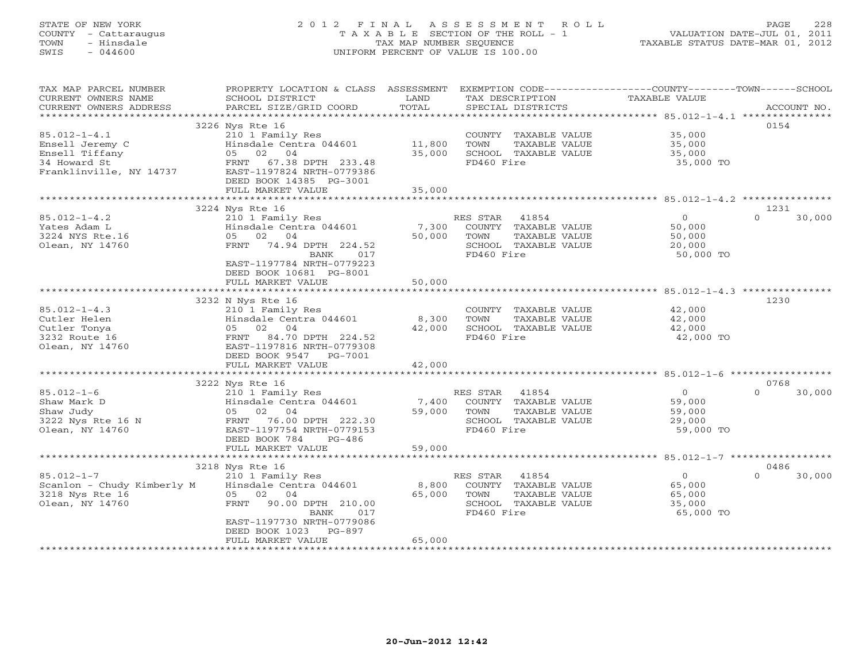# STATE OF NEW YORK 2 0 1 2 F I N A L A S S E S S M E N T R O L L PAGE 228 COUNTY - Cattaraugus T A X A B L E SECTION OF THE ROLL - 1 VALUATION DATE-JUL 01, 2011 TOWN - Hinsdale TAX MAP NUMBER SEQUENCE TAXABLE STATUS DATE-MAR 01, 2012 SWIS - 044600 UNIFORM PERCENT OF VALUE IS 100.00UNIFORM PERCENT OF VALUE IS 100.00

| TAX MAP PARCEL NUMBER<br>CURRENT OWNERS NAME       | PROPERTY LOCATION & CLASS ASSESSMENT<br>SCHOOL DISTRICT                                                        | LAND            | EXEMPTION CODE-----------------COUNTY-------TOWN-----SCHOOL<br>TAX DESCRIPTION | TAXABLE VALUE       |                    |
|----------------------------------------------------|----------------------------------------------------------------------------------------------------------------|-----------------|--------------------------------------------------------------------------------|---------------------|--------------------|
| CURRENT OWNERS ADDRESS<br>************************ | PARCEL SIZE/GRID COORD                                                                                         | TOTAL           | SPECIAL DISTRICTS                                                              |                     | ACCOUNT NO.        |
|                                                    | 3226 Nys Rte 16                                                                                                |                 |                                                                                |                     | 0154               |
| $85.012 - 1 - 4.1$                                 | 210 1 Family Res                                                                                               |                 | COUNTY TAXABLE VALUE                                                           | 35,000              |                    |
| Ensell Jeremy C                                    | Hinsdale Centra 044601                                                                                         | 11,800          | TOWN<br>TAXABLE VALUE                                                          | 35,000              |                    |
| Ensell Tiffany                                     | 05 02 04                                                                                                       | 35,000          | SCHOOL TAXABLE VALUE                                                           | 35,000              |                    |
| 34 Howard St                                       | 67.38 DPTH 233.48<br>FRNT                                                                                      |                 | FD460 Fire                                                                     | 35,000 TO           |                    |
| Franklinville, NY 14737                            | EAST-1197824 NRTH-0779386                                                                                      |                 |                                                                                |                     |                    |
|                                                    | DEED BOOK 14385 PG-3001                                                                                        |                 |                                                                                |                     |                    |
|                                                    | FULL MARKET VALUE                                                                                              | 35,000          |                                                                                |                     |                    |
|                                                    |                                                                                                                |                 |                                                                                |                     |                    |
|                                                    | 3224 Nys Rte 16                                                                                                |                 |                                                                                |                     | 1231               |
| $85.012 - 1 - 4.2$                                 | 210 1 Family Res                                                                                               |                 | RES STAR 41854                                                                 | $\circ$             | $\Omega$<br>30,000 |
| Yates Adam L                                       | Hinsdale Centra 044601                                                                                         | 7,300           | COUNTY TAXABLE VALUE                                                           | 50,000              |                    |
| 3224 NYS Rte.16                                    | 02 04<br>05                                                                                                    | 50,000          | TOWN<br>TAXABLE VALUE                                                          | 50,000              |                    |
| Olean, NY 14760                                    | 74.94 DPTH 224.52<br>FRNT<br><b>BANK</b><br>017                                                                |                 | SCHOOL TAXABLE VALUE<br>FD460 Fire                                             | 20,000<br>50,000 TO |                    |
|                                                    | EAST-1197784 NRTH-0779223                                                                                      |                 |                                                                                |                     |                    |
|                                                    | DEED BOOK 10681 PG-8001                                                                                        |                 |                                                                                |                     |                    |
|                                                    | FULL MARKET VALUE                                                                                              | 50,000          |                                                                                |                     |                    |
|                                                    | بالمراجات المالي بالمراجات المالي المالي المالي المالي المالي المالي المالي المالي المالي المالي المالي المالي | ************    |                                                                                |                     |                    |
|                                                    | 3232 N Nys Rte 16                                                                                              |                 |                                                                                |                     | 1230               |
| $85.012 - 1 - 4.3$                                 | 210 1 Family Res                                                                                               |                 | COUNTY TAXABLE VALUE                                                           | 42,000              |                    |
| Cutler Helen                                       | Hinsdale Centra 044601                                                                                         | 8,300           | TOWN<br>TAXABLE VALUE                                                          | 42,000              |                    |
| Cutler Tonya                                       | 05 02 04                                                                                                       | 42,000          | SCHOOL TAXABLE VALUE                                                           | 42,000              |                    |
| 3232 Route 16                                      | 84.70 DPTH 224.52<br>FRNT                                                                                      |                 | FD460 Fire                                                                     | 42,000 TO           |                    |
| Olean, NY 14760                                    | EAST-1197816 NRTH-0779308                                                                                      |                 |                                                                                |                     |                    |
|                                                    | DEED BOOK 9547 PG-7001                                                                                         |                 |                                                                                |                     |                    |
|                                                    | FULL MARKET VALUE                                                                                              | 42,000          |                                                                                |                     |                    |
|                                                    | 3222 Nys Rte 16                                                                                                |                 |                                                                                |                     | 0768               |
| $85.012 - 1 - 6$                                   | 210 1 Family Res                                                                                               |                 | 41854<br>RES STAR                                                              | $\circ$             | 30,000<br>$\Omega$ |
| Shaw Mark D                                        | Hinsdale Centra 044601                                                                                         | 7,400           | COUNTY TAXABLE VALUE                                                           | 59,000              |                    |
| Shaw Judy                                          | 05 02 04                                                                                                       | 59,000          | TOWN<br>TAXABLE VALUE                                                          | 59,000              |                    |
| 3222 Nys Rte 16 N                                  | FRNT 76.00 DPTH 222.30                                                                                         |                 | SCHOOL TAXABLE VALUE                                                           | 29,000              |                    |
| Olean, NY 14760                                    | EAST-1197754 NRTH-0779153                                                                                      |                 | FD460 Fire                                                                     | 59,000 TO           |                    |
|                                                    | DEED BOOK 784<br>$PG-486$                                                                                      |                 |                                                                                |                     |                    |
|                                                    | FULL MARKET VALUE                                                                                              | 59,000          |                                                                                |                     |                    |
|                                                    |                                                                                                                |                 |                                                                                |                     |                    |
|                                                    | 3218 Nys Rte 16                                                                                                |                 |                                                                                |                     | 0486               |
| $85.012 - 1 - 7$                                   | 210 1 Family Res                                                                                               |                 | 41854<br>RES STAR                                                              | $\overline{0}$      | 30,000<br>$\cap$   |
| Scanlon - Chudy Kimberly M<br>3218 Nys Rte 16      | Hinsdale Centra 044601<br>05 02 04                                                                             | 8,800<br>65,000 | COUNTY TAXABLE VALUE<br>TOWN<br>TAXABLE VALUE                                  | 65,000<br>65,000    |                    |
| Olean, NY 14760                                    | FRNT<br>90.00 DPTH 210.00                                                                                      |                 | SCHOOL TAXABLE VALUE                                                           | 35,000              |                    |
|                                                    | <b>BANK</b><br>017                                                                                             |                 | FD460 Fire                                                                     | 65,000 TO           |                    |
|                                                    | EAST-1197730 NRTH-0779086                                                                                      |                 |                                                                                |                     |                    |
|                                                    | DEED BOOK 1023<br><b>PG-897</b>                                                                                |                 |                                                                                |                     |                    |
|                                                    | FULL MARKET VALUE                                                                                              | 65,000          |                                                                                |                     |                    |
|                                                    |                                                                                                                |                 |                                                                                |                     |                    |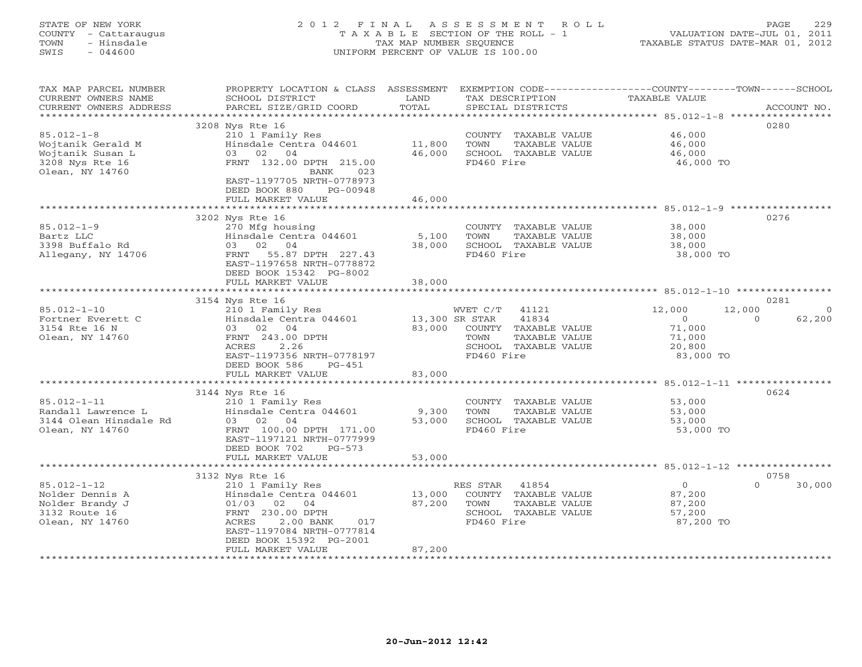# STATE OF NEW YORK 2 0 1 2 F I N A L A S S E S S M E N T R O L L PAGE 229 COUNTY - Cattaraugus T A X A B L E SECTION OF THE ROLL - 1 VALUATION DATE-JUL 01, 2011 TOWN - Hinsdale TAX MAP NUMBER SEQUENCE TAXABLE STATUS DATE-MAR 01, 2012 SWIS - 044600 UNIFORM PERCENT OF VALUE IS 100.00

TAX MAP PARCEL NUMBER PROPERTY LOCATION & CLASS ASSESSMENT EXEMPTION CODE-----------------COUNTY-------TOWN------SCHOOL<br>CURRENT OWNERS NAME SCHOOL DISTRICT LAND TAX DESC \*\*\*\*\*\*\*\*\*\*\*\*\*\*\*\*\*\*\*\*\*\*\*\*\*\*\*\*\*\*\*\*\*\*\*\*\*\*\*\*\*\*\*\*\*\*\*\*\*\*\*\*\*\*\*\*\*\*\*\*\*\*\*\*\*\*\*\*\*\*\*\*\*\*\*\*\*\*\*\*\*\*\*\*\*\*\*\*\*\*\*\*\*\*\*\*\*\*\*\*\*\*\* 85.012-1-8 \*\*\*\*\*\*\*\*\*\*\*\*\*\*\*\*\* 3208 Nys Rte 16 0280 85.012-1-8 210 1 Family Res COUNTY TAXABLE VALUE 46,000 Wojtanik Gerald M Hinsdale Centra 044601 11,800 TOWN TAXABLE VALUE 46,000 Wojtanik Susan L 03 02 04 46,000 SCHOOL TAXABLE VALUE 46,000 3208 Nys Rte 16 FRNT 132.00 DPTH 215.00 FD460 Fire 46,000 TO 023 BANK 023<br>EAST-1197705 NRTH-0778973<br>DEED BOOK 880 PG-00948 FULL MARKET VALUE 46,000 \*\*\*\*\*\*\*\*\*\*\*\*\*\*\*\*\*\*\*\*\*\*\*\*\*\*\*\*\*\*\*\*\*\*\*\*\*\*\*\*\*\*\*\*\*\*\*\*\*\*\*\*\*\*\*\*\*\*\*\*\*\*\*\*\*\*\*\*\*\*\*\*\*\*\*\*\*\*\*\*\*\*\*\*\*\*\*\*\*\*\*\*\*\*\*\*\*\*\*\*\*\*\* 85.012-1-9 \*\*\*\*\*\*\*\*\*\*\*\*\*\*\*\*\* 3202 Nys Rte 16 0276 85.012-1-9 270 Mfg housing COUNTY TAXABLE VALUE 38,000 Bartz LLC Hinsdale Centra 044601 5,100 TOWN TAXABLE VALUE 38,000 3398 Buffalo Rd 03 02 04 38,000 SCHOOL TAXABLE VALUE 38,000 Allegany, NY 14706 FRNT 55.87 DPTH 227.43 FD460 Fire 38,000 TO EAST-1197658 NRTH-0778872 DEED BOOK 15342 PG-8002 FULL MARKET VALUE 38,000 \*\*\*\*\*\*\*\*\*\*\*\*\*\*\*\*\*\*\*\*\*\*\*\*\*\*\*\*\*\*\*\*\*\*\*\*\*\*\*\*\*\*\*\*\*\*\*\*\*\*\*\*\*\*\*\*\*\*\*\*\*\*\*\*\*\*\*\*\*\*\*\*\*\*\*\*\*\*\*\*\*\*\*\*\*\*\*\*\*\*\*\*\*\*\*\*\*\*\*\*\*\*\* 85.012-1-10 \*\*\*\*\*\*\*\*\*\*\*\*\*\*\*\* 3154 Nys Rte 16 0281 85.012-1-10 210 1 Family Res WVET C/T 41121 12,000 12,000 0 Fortner Everett C Hinsdale Centra 044601 13,300 SR STAR 41834 0 0 62,200 3154 Rte 16 N 03 02 04 83,000 COUNTY TAXABLE VALUE 71,000 Olean, NY 14760 FRNT 243.00 DPTH TOWN TAXABLE VALUE 71,000 ACRES 2.26 SCHOOL TAXABLE VALUE 20,800 EAST-1197356 NRTH-0778197 FD460 Fire 83,000 TO DEED BOOK 586 PG-451 FULL MARKET VALUE 83,000 \*\*\*\*\*\*\*\*\*\*\*\*\*\*\*\*\*\*\*\*\*\*\*\*\*\*\*\*\*\*\*\*\*\*\*\*\*\*\*\*\*\*\*\*\*\*\*\*\*\*\*\*\*\*\*\*\*\*\*\*\*\*\*\*\*\*\*\*\*\*\*\*\*\*\*\*\*\*\*\*\*\*\*\*\*\*\*\*\*\*\*\*\*\*\*\*\*\*\*\*\*\*\* 85.012-1-11 \*\*\*\*\*\*\*\*\*\*\*\*\*\*\*\* 3144 Nys Rte 16 0624 85.012-1-11 210 1 Family Res COUNTY TAXABLE VALUE 53,000 Randall Lawrence L Hinsdale Centra 044601 9,300 TOWN TAXABLE VALUE 53,000 3144 Olean Hinsdale Rd 03 02 04 53,000 SCHOOL TAXABLE VALUE 53,000 Olean, NY 14760 FRNT 100.00 DPTH 171.00 FD460 Fire 53,000 TO EAST-1197121 NRTH-0777999 DEED BOOK 702 PG-573 FULL MARKET VALUE 53,000 \*\*\*\*\*\*\*\*\*\*\*\*\*\*\*\*\*\*\*\*\*\*\*\*\*\*\*\*\*\*\*\*\*\*\*\*\*\*\*\*\*\*\*\*\*\*\*\*\*\*\*\*\*\*\*\*\*\*\*\*\*\*\*\*\*\*\*\*\*\*\*\*\*\*\*\*\*\*\*\*\*\*\*\*\*\*\*\*\*\*\*\*\*\*\*\*\*\*\*\*\*\*\* 85.012-1-12 \*\*\*\*\*\*\*\*\*\*\*\*\*\*\*\* 3132 Nys Rte 16 0758 85.012-1-12 210 1 Family Res RES STAR 41854 0 30,000 Nolder Dennis A Hinsdale Centra 044601 13,000 COUNTY TAXABLE VALUE 87,200 Nolder Brandy J 01/03 02 04 87,200 TOWN TAXABLE VALUE 87,200 3132 Route 16 FRNT 230.00 DPTH SCHOOL TAXABLE VALUE 57,200 Olean, NY 14760 ACRES 2.00 BANK 017 FD460 Fire 87,200 TO EAST-1197084 NRTH-0777814 DEED BOOK 15392 PG-2001 FULL MARKET VALUE 87,200 \*\*\*\*\*\*\*\*\*\*\*\*\*\*\*\*\*\*\*\*\*\*\*\*\*\*\*\*\*\*\*\*\*\*\*\*\*\*\*\*\*\*\*\*\*\*\*\*\*\*\*\*\*\*\*\*\*\*\*\*\*\*\*\*\*\*\*\*\*\*\*\*\*\*\*\*\*\*\*\*\*\*\*\*\*\*\*\*\*\*\*\*\*\*\*\*\*\*\*\*\*\*\*\*\*\*\*\*\*\*\*\*\*\*\*\*\*\*\*\*\*\*\*\*\*\*\*\*\*\*\*\*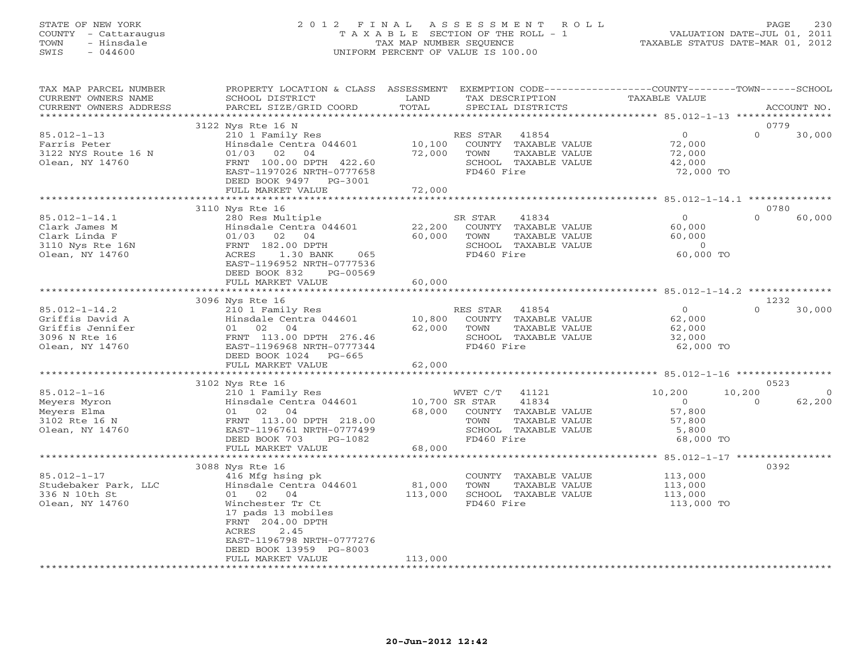# STATE OF NEW YORK 2 0 1 2 F I N A L A S S E S S M E N T R O L L PAGE 230 COUNTY - Cattaraugus T A X A B L E SECTION OF THE ROLL - 1 VALUATION DATE-JUL 01, 2011 TOWN - Hinsdale TAX MAP NUMBER SEQUENCE TAXABLE STATUS DATE-MAR 01, 2012 SWIS - 044600 UNIFORM PERCENT OF VALUE IS 100.00UNIFORM PERCENT OF VALUE IS 100.00

| TAX MAP PARCEL NUMBER  | PROPERTY LOCATION & CLASS ASSESSMENT |                | EXEMPTION CODE-----------------COUNTY-------TOWN------SCHOOL |                |                          |
|------------------------|--------------------------------------|----------------|--------------------------------------------------------------|----------------|--------------------------|
| CURRENT OWNERS NAME    | SCHOOL DISTRICT                      | LAND           | TAX DESCRIPTION                                              | TAXABLE VALUE  |                          |
| CURRENT OWNERS ADDRESS | PARCEL SIZE/GRID COORD               | TOTAL          | SPECIAL DISTRICTS                                            |                | ACCOUNT NO.              |
| ********************** |                                      |                |                                                              |                |                          |
|                        | 3122 Nys Rte 16 N                    |                |                                                              |                | 0779                     |
| $85.012 - 1 - 13$      | 210 1 Family Res                     |                | RES STAR<br>41854                                            | $\overline{O}$ | $\Omega$<br>30,000       |
| Farris Peter           | Hinsdale Centra 044601               | 10,100         | COUNTY TAXABLE VALUE                                         | 72,000         |                          |
| 3122 NYS Route 16 N    | $01/03$ 02<br>04                     | 72,000         | TOWN<br>TAXABLE VALUE                                        | 72,000         |                          |
| Olean, NY 14760        | FRNT 100.00 DPTH 422.60              |                | SCHOOL TAXABLE VALUE                                         | 42,000         |                          |
|                        | EAST-1197026 NRTH-0777658            |                | FD460 Fire                                                   | 72,000 TO      |                          |
|                        | DEED BOOK 9497 PG-3001               |                |                                                              |                |                          |
|                        | FULL MARKET VALUE                    | 72,000         |                                                              |                |                          |
|                        |                                      |                |                                                              |                |                          |
|                        | 3110 Nys Rte 16                      |                |                                                              |                | 0780                     |
| $85.012 - 1 - 14.1$    | 280 Res Multiple                     |                | SR STAR<br>41834                                             | $\overline{O}$ | $\Omega$<br>60,000       |
| Clark James M          | Hinsdale Centra 044601               | 22,200         | COUNTY TAXABLE VALUE                                         | 60,000         |                          |
| Clark Linda F          | $01/03$ 02 04                        | 60,000         | TOWN<br>TAXABLE VALUE                                        | 60,000         |                          |
| 3110 Nys Rte 16N       | FRNT 182.00 DPTH                     |                | SCHOOL TAXABLE VALUE                                         | $\overline{0}$ |                          |
| Olean, NY 14760        | 1.30 BANK<br>ACRES<br>065            |                | FD460 Fire                                                   | 60,000 TO      |                          |
|                        | EAST-1196952 NRTH-0777536            |                |                                                              |                |                          |
|                        | DEED BOOK 832<br>PG-00569            |                |                                                              |                |                          |
|                        | FULL MARKET VALUE                    | 60,000         |                                                              |                |                          |
|                        | ******************************       |                |                                                              |                |                          |
|                        | 3096 Nys Rte 16                      |                |                                                              |                | 1232                     |
| $85.012 - 1 - 14.2$    | 210 1 Family Res                     |                | 41854<br>RES STAR                                            | $\Omega$       | $\cap$<br>30,000         |
| Griffis David A        | Hinsdale Centra 044601               | 10,800         | COUNTY TAXABLE VALUE                                         | 62,000         |                          |
| Griffis Jennifer       | 01 02 04                             | 62,000         | TOWN<br>TAXABLE VALUE                                        | 62,000         |                          |
| 3096 N Rte 16          | FRNT 113.00 DPTH 276.46              |                | SCHOOL TAXABLE VALUE                                         | 32,000         |                          |
| Olean, NY 14760        | EAST-1196968 NRTH-0777344            |                | FD460 Fire                                                   | 62,000 TO      |                          |
|                        | DEED BOOK 1024<br>PG-665             |                |                                                              |                |                          |
|                        | FULL MARKET VALUE                    | 62,000         |                                                              |                |                          |
|                        |                                      |                |                                                              |                |                          |
|                        | 3102 Nys Rte 16                      |                |                                                              |                | 0523                     |
| $85.012 - 1 - 16$      | 210 1 Family Res                     |                | WVET C/T<br>41121                                            | 10,200         | 10,200<br>$\overline{0}$ |
| Meyers Myron           | Hinsdale Centra 044601               | 10,700 SR STAR | 41834                                                        | $\overline{0}$ | $\Omega$<br>62,200       |
| Meyers Elma            | 01 02 04                             | 68,000         | COUNTY TAXABLE VALUE                                         | 57,800         |                          |
| 3102 Rte 16 N          | FRNT 113.00 DPTH 218.00              |                | TOWN<br>TAXABLE VALUE                                        | 57,800         |                          |
| Olean, NY 14760        | EAST-1196761 NRTH-0777499            |                | SCHOOL TAXABLE VALUE                                         | 5,800          |                          |
|                        | DEED BOOK 703<br>PG-1082             |                | FD460 Fire                                                   | 68,000 TO      |                          |
|                        | FULL MARKET VALUE                    | 68,000         |                                                              |                |                          |
|                        |                                      |                |                                                              |                |                          |
|                        | 3088 Nys Rte 16                      |                |                                                              |                | 0392                     |
| $85.012 - 1 - 17$      | 416 Mfg hsing pk                     |                | COUNTY TAXABLE VALUE                                         | 113,000        |                          |
| Studebaker Park, LLC   | Hinsdale Centra 044601               | 81,000         | TOWN<br>TAXABLE VALUE                                        | 113,000        |                          |
| 336 N 10th St          | 01 02<br>04                          | 113,000        | SCHOOL TAXABLE VALUE                                         | 113,000        |                          |
| Olean, NY 14760        | Winchester Tr Ct                     |                | FD460 Fire                                                   | 113,000 TO     |                          |
|                        | 17 pads 13 mobiles                   |                |                                                              |                |                          |
|                        | FRNT 204.00 DPTH                     |                |                                                              |                |                          |
|                        | 2.45<br>ACRES                        |                |                                                              |                |                          |
|                        | EAST-1196798 NRTH-0777276            |                |                                                              |                |                          |
|                        | DEED BOOK 13959 PG-8003              |                |                                                              |                |                          |
|                        | FULL MARKET VALUE                    | 113,000        |                                                              |                |                          |
|                        |                                      |                |                                                              |                |                          |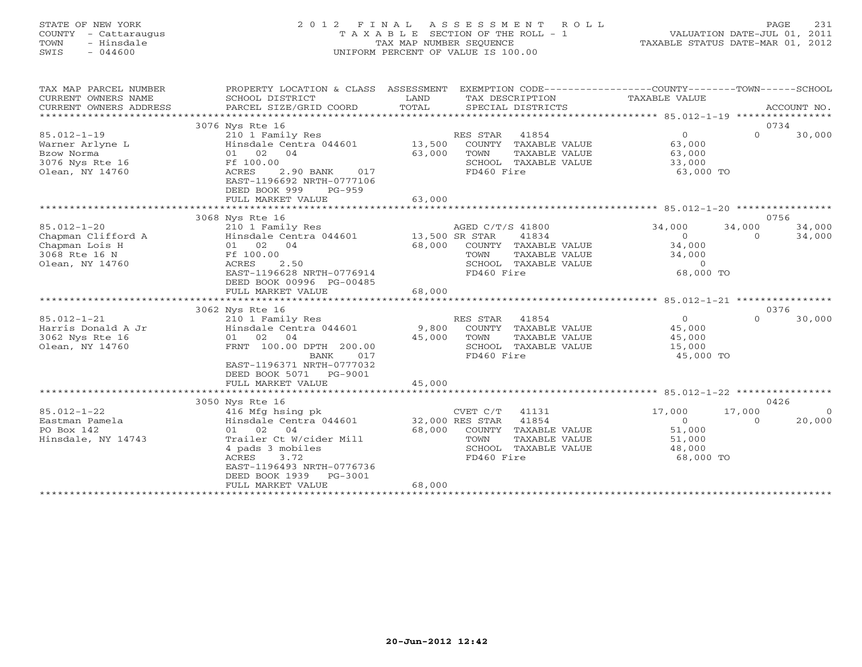# STATE OF NEW YORK 2 0 1 2 F I N A L A S S E S S M E N T R O L L PAGE 231 COUNTY - Cattaraugus T A X A B L E SECTION OF THE ROLL - 1 VALUATION DATE-JUL 01, 2011 TOWN - Hinsdale TAX MAP NUMBER SEQUENCE TAXABLE STATUS DATE-MAR 01, 2012 SWIS - 044600 UNIFORM PERCENT OF VALUE IS 100.00UNIFORM PERCENT OF VALUE IS 100.00

| TAX MAP PARCEL NUMBER<br>CURRENT OWNERS NAME<br>CURRENT OWNERS ADDRESS | PROPERTY LOCATION & CLASS ASSESSMENT<br>SCHOOL DISTRICT<br>PARCEL SIZE/GRID COORD   | LAND<br>TOTAL         |                  | TAX DESCRIPTION<br>SPECIAL DISTRICTS  | EXEMPTION CODE-----------------COUNTY-------TOWN------SCHOOL<br>TAXABLE VALUE |          | ACCOUNT NO. |
|------------------------------------------------------------------------|-------------------------------------------------------------------------------------|-----------------------|------------------|---------------------------------------|-------------------------------------------------------------------------------|----------|-------------|
| *******************                                                    |                                                                                     |                       |                  |                                       |                                                                               |          |             |
|                                                                        | 3076 Nys Rte 16                                                                     |                       |                  |                                       |                                                                               |          | 0734        |
| $85.012 - 1 - 19$                                                      | 210 1 Family Res                                                                    |                       | RES STAR         | 41854                                 | $\Omega$                                                                      | $\Omega$ | 30,000      |
| Warner Arlyne L                                                        | Hinsdale Centra 044601                                                              | 13,500                | COUNTY           | TAXABLE VALUE                         | 63,000                                                                        |          |             |
| Bzow Norma                                                             | 01 02 04                                                                            | 63,000                | TOWN             | TAXABLE VALUE                         | 63,000                                                                        |          |             |
| 3076 Nys Rte 16                                                        | Ff 100.00                                                                           |                       |                  | SCHOOL TAXABLE VALUE                  | 33,000                                                                        |          |             |
| Olean, NY 14760                                                        | ACRES<br>2.90 BANK<br>017<br>EAST-1196692 NRTH-0777106<br>DEED BOOK 999<br>$PG-959$ |                       | FD460 Fire       |                                       | 63,000 TO                                                                     |          |             |
|                                                                        | FULL MARKET VALUE                                                                   | 63,000                |                  |                                       |                                                                               |          |             |
|                                                                        |                                                                                     |                       |                  |                                       |                                                                               |          |             |
|                                                                        | 3068 Nys Rte 16                                                                     |                       |                  |                                       |                                                                               |          | 0756        |
| $85.012 - 1 - 20$                                                      | 210 1 Family Res                                                                    |                       | AGED C/T/S 41800 |                                       | 34,000                                                                        | 34,000   | 34,000      |
| Chapman Clifford A                                                     | Hinsdale Centra 044601                                                              | 13,500 SR STAR        |                  | 41834                                 | $\circ$                                                                       | $\Omega$ | 34,000      |
| Chapman Lois H                                                         | 01 02 04                                                                            | 68,000                |                  | COUNTY TAXABLE VALUE                  | 34,000                                                                        |          |             |
| 3068 Rte 16 N                                                          | Ff 100.00                                                                           |                       | TOWN             | TAXABLE VALUE                         | 34,000                                                                        |          |             |
| Olean, NY 14760                                                        | ACRES<br>2.50                                                                       |                       |                  | SCHOOL TAXABLE VALUE                  | $\overline{0}$                                                                |          |             |
|                                                                        | EAST-1196628 NRTH-0776914                                                           |                       | FD460 Fire       |                                       | 68,000 TO                                                                     |          |             |
|                                                                        | DEED BOOK 00996 PG-00485                                                            |                       |                  |                                       |                                                                               |          |             |
|                                                                        | FULL MARKET VALUE<br>*************************                                      | 68,000                |                  |                                       |                                                                               |          |             |
|                                                                        |                                                                                     | ********************* |                  |                                       | ********************* 85.012-1-21 *****************                           |          |             |
|                                                                        | 3062 Nys Rte 16                                                                     |                       |                  |                                       |                                                                               |          | 0376        |
| $85.012 - 1 - 21$                                                      | 210 1 Family Res                                                                    |                       | RES STAR         | 41854                                 | $\Omega$                                                                      | $\Omega$ | 30,000      |
| Harris Donald A Jr                                                     | Hinsdale Centra 044601                                                              | 9,800                 |                  | COUNTY TAXABLE VALUE                  | 45,000                                                                        |          |             |
| 3062 Nys Rte 16<br>Olean, NY 14760                                     | 01 02 04<br>FRNT 100.00 DPTH 200.00                                                 | 45,000                | TOWN             | TAXABLE VALUE<br>SCHOOL TAXABLE VALUE | 45,000<br>15,000                                                              |          |             |
|                                                                        | BANK<br>017                                                                         |                       | FD460 Fire       |                                       | 45,000 TO                                                                     |          |             |
|                                                                        | EAST-1196371 NRTH-0777032                                                           |                       |                  |                                       |                                                                               |          |             |
|                                                                        | DEED BOOK 5071<br>PG-9001                                                           |                       |                  |                                       |                                                                               |          |             |
|                                                                        | FULL MARKET VALUE                                                                   | 45,000                |                  |                                       |                                                                               |          |             |
|                                                                        |                                                                                     |                       |                  |                                       |                                                                               |          |             |
|                                                                        | 3050 Nys Rte 16                                                                     |                       |                  |                                       |                                                                               |          | 0426        |
| $85.012 - 1 - 22$                                                      | 416 Mfg hsing pk                                                                    |                       | CVET C/T         | 41131                                 | 17,000                                                                        | 17,000   | $\Omega$    |
| Eastman Pamela                                                         | Hinsdale Centra 044601                                                              | 32,000 RES STAR       |                  | 41854                                 | $\Omega$                                                                      | $\Omega$ | 20,000      |
| PO Box 142                                                             | 01 02<br>04                                                                         | 68,000                |                  | COUNTY TAXABLE VALUE                  | 51,000                                                                        |          |             |
| Hinsdale, NY 14743                                                     | Trailer Ct W/cider Mill                                                             |                       | TOWN             | TAXABLE VALUE                         | 51,000                                                                        |          |             |
|                                                                        | 4 pads 3 mobiles                                                                    |                       |                  | SCHOOL TAXABLE VALUE                  | 48,000                                                                        |          |             |
|                                                                        | 3.72<br>ACRES                                                                       |                       | FD460 Fire       |                                       | 68,000 TO                                                                     |          |             |
|                                                                        | EAST-1196493 NRTH-0776736                                                           |                       |                  |                                       |                                                                               |          |             |
|                                                                        | DEED BOOK 1939<br>PG-3001                                                           |                       |                  |                                       |                                                                               |          |             |
|                                                                        | FULL MARKET VALUE                                                                   | 68,000                |                  |                                       |                                                                               |          |             |
|                                                                        |                                                                                     |                       |                  |                                       |                                                                               |          |             |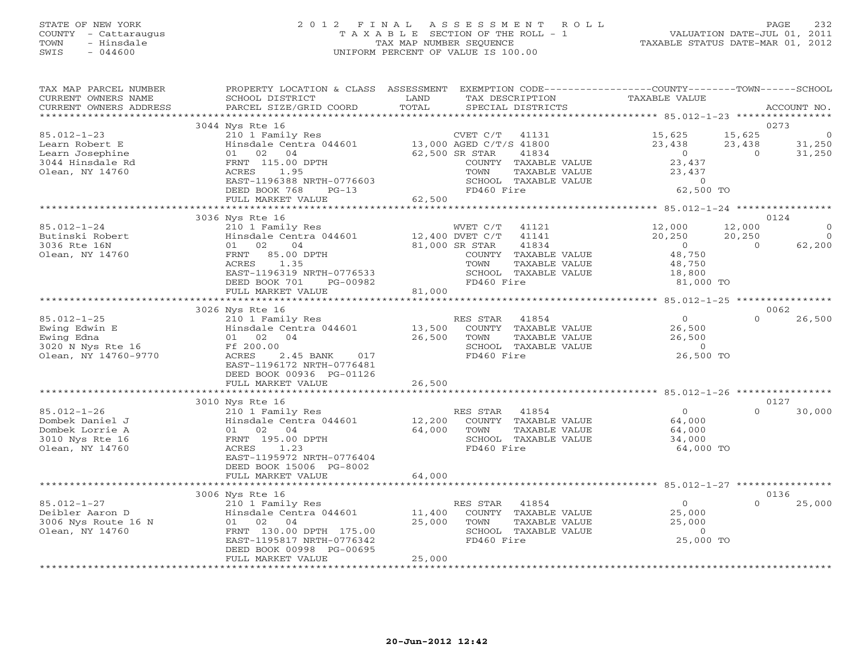# STATE OF NEW YORK 2 0 1 2 F I N A L A S S E S S M E N T R O L L PAGE 232 COUNTY - Cattaraugus T A X A B L E SECTION OF THE ROLL - 1 VALUATION DATE-JUL 01, 2011 TOWN - Hinsdale TAX MAP NUMBER SEQUENCE TAXABLE STATUS DATE-MAR 01, 2012 SWIS - 044600 UNIFORM PERCENT OF VALUE IS 100.00UNIFORM PERCENT OF VALUE IS 100.00

| TAX MAP PARCEL NUMBER<br>CURRENT OWNERS NAME<br>CURRENT OWNERS ADDRESS                        | PROPERTY LOCATION & CLASS ASSESSMENT<br>SCHOOL DISTRICT<br>PARCEL SIZE/GRID COORD                                                                                                                     | LAND<br>TOTAL              |                                                                             | TAX DESCRIPTION<br>SPECIAL DISTRICTS                                                     | EXEMPTION CODE-----------------COUNTY-------TOWN------SCHOOL<br><b>TAXABLE VALUE</b> |                              | ACCOUNT NO.                            |
|-----------------------------------------------------------------------------------------------|-------------------------------------------------------------------------------------------------------------------------------------------------------------------------------------------------------|----------------------------|-----------------------------------------------------------------------------|------------------------------------------------------------------------------------------|--------------------------------------------------------------------------------------|------------------------------|----------------------------------------|
|                                                                                               |                                                                                                                                                                                                       |                            |                                                                             |                                                                                          |                                                                                      |                              |                                        |
| $85.012 - 1 - 23$<br>Learn Robert E<br>Learn Josephine<br>3044 Hinsdale Rd<br>Olean, NY 14760 | 3044 Nys Rte 16<br>210 1 Family Res<br>Hinsdale Centra 044601<br>02 04<br>01<br>FRNT 115.00 DPTH<br>1.95<br>ACRES<br>EAST-1196388 NRTH-0776603<br>DEED BOOK 768<br>$PG-13$                            |                            | CVET C/T<br>13,000 AGED C/T/S 41800<br>62,500 SR STAR<br>TOWN<br>FD460 Fire | 41131<br>41834<br>COUNTY TAXABLE VALUE<br>TAXABLE VALUE<br>SCHOOL TAXABLE VALUE          | 15,625<br>23,438<br>$\circ$<br>23,437<br>23,437<br>$\circ$<br>62,500 TO              | 15,625<br>23,438<br>$\Omega$ | 0273<br>0<br>31,250<br>31,250          |
|                                                                                               | FULL MARKET VALUE<br>************************                                                                                                                                                         | 62,500                     |                                                                             |                                                                                          |                                                                                      |                              |                                        |
| $85.012 - 1 - 24$<br>Butinski Robert<br>3036 Rte 16N<br>Olean, NY 14760                       | 3036 Nys Rte 16<br>210 1 Family Res<br>Hinsdale Centra 044601<br>02<br>04<br>01<br>85.00 DPTH<br>FRNT<br>1.35<br>ACRES<br>EAST-1196319 NRTH-0776533<br>DEED BOOK 701<br>PG-00982<br>FULL MARKET VALUE | 12,400 DVET C/T<br>81,000  | WVET C/T<br>81,000 SR STAR<br>TOWN<br>FD460 Fire                            | 41121<br>41141<br>41834<br>COUNTY TAXABLE VALUE<br>TAXABLE VALUE<br>SCHOOL TAXABLE VALUE | 12,000<br>20,250<br>$\overline{0}$<br>48,750<br>48,750<br>18,800<br>81,000 TO        | 12,000<br>20,250<br>$\Omega$ | 0124<br>$\Omega$<br>$\Omega$<br>62,200 |
|                                                                                               |                                                                                                                                                                                                       |                            |                                                                             |                                                                                          |                                                                                      |                              |                                        |
| $85.012 - 1 - 25$<br>Ewing Edwin E<br>Ewing Edna<br>3020 N Nys Rte 16<br>Olean, NY 14760-9770 | 3026 Nys Rte 16<br>210 1 Family Res<br>Hinsdale Centra 044601<br>01 02 04<br>Ff 200.00<br>ACRES<br>2.45 BANK<br>017<br>EAST-1196172 NRTH-0776481<br>DEED BOOK 00936 PG-01126<br>FULL MARKET VALUE     | 13,500<br>26,500<br>26,500 | RES STAR<br>TOWN<br>FD460 Fire                                              | 41854<br>COUNTY TAXABLE VALUE<br>TAXABLE VALUE<br>SCHOOL TAXABLE VALUE                   | $\overline{0}$<br>26,500<br>26,500<br>$\overline{0}$<br>26,500 TO                    | $\Omega$                     | 0062<br>26,500                         |
|                                                                                               |                                                                                                                                                                                                       |                            |                                                                             |                                                                                          |                                                                                      |                              |                                        |
| $85.012 - 1 - 26$<br>Dombek Daniel J<br>Dombek Lorrie A<br>3010 Nys Rte 16<br>Olean, NY 14760 | 3010 Nys Rte 16<br>210 1 Family Res<br>Hinsdale Centra 044601<br>02 04<br>01<br>FRNT 195.00 DPTH<br>ACRES<br>1.23<br>EAST-1195972 NRTH-0776404<br>DEED BOOK 15006 PG-8002                             | 12,200<br>64,000           | RES STAR<br>TOWN<br>FD460 Fire                                              | 41854<br>COUNTY TAXABLE VALUE<br>TAXABLE VALUE<br>SCHOOL TAXABLE VALUE                   | $\overline{O}$<br>64,000<br>64,000<br>34,000<br>64,000 TO                            | $\Omega$                     | 0127<br>30,000                         |
|                                                                                               | FULL MARKET VALUE<br>**********************                                                                                                                                                           | 64,000                     |                                                                             |                                                                                          |                                                                                      |                              |                                        |
|                                                                                               | 3006 Nys Rte 16                                                                                                                                                                                       |                            |                                                                             |                                                                                          |                                                                                      |                              | 0136                                   |
| $85.012 - 1 - 27$<br>Deibler Aaron D<br>3006 Nys Route 16 N<br>Olean, NY 14760                | 210 1 Family Res<br>Hinsdale Centra 044601<br>01 02 04<br>FRNT 130.00 DPTH 175.00<br>EAST-1195817 NRTH-0776342<br>DEED BOOK 00998 PG-00695<br>FULL MARKET VALUE                                       | 11,400<br>25,000<br>25,000 | RES STAR<br>TOWN<br>FD460 Fire                                              | 41854<br>COUNTY TAXABLE VALUE<br>TAXABLE VALUE<br>SCHOOL TAXABLE VALUE                   | $\overline{0}$<br>25,000<br>25,000<br>$\circ$<br>25,000 TO                           | $\Omega$                     | 25,000                                 |
|                                                                                               | **************************                                                                                                                                                                            | *****************          |                                                                             |                                                                                          |                                                                                      |                              |                                        |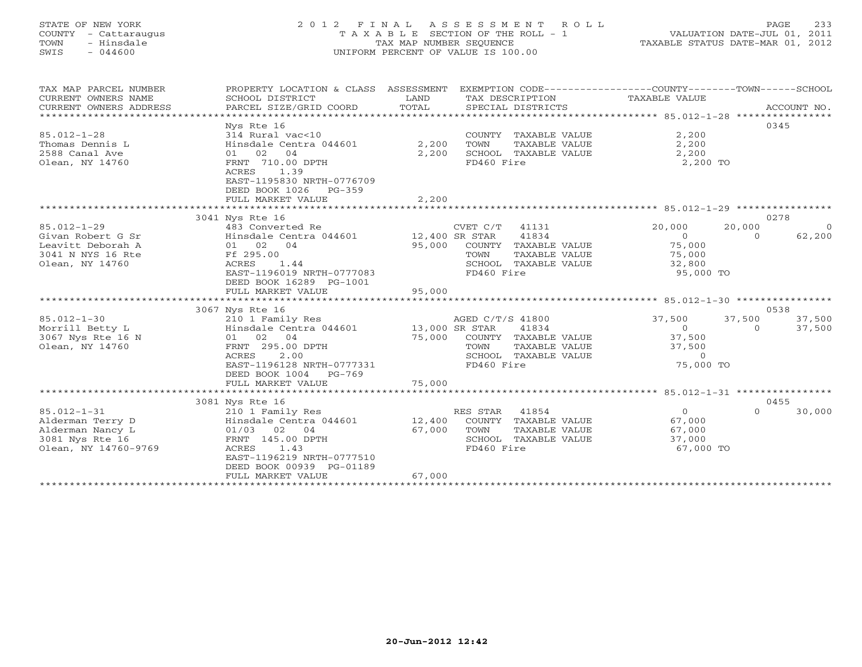# STATE OF NEW YORK 2 0 1 2 F I N A L A S S E S S M E N T R O L L PAGE 233 COUNTY - Cattaraugus T A X A B L E SECTION OF THE ROLL - 1 VALUATION DATE-JUL 01, 2011 TOWN - Hinsdale TAX MAP NUMBER SEQUENCE TAXABLE STATUS DATE-MAR 01, 2012 SWIS - 044600 UNIFORM PERCENT OF VALUE IS 100.00UNIFORM PERCENT OF VALUE IS 100.00

| TAX MAP PARCEL NUMBER  | PROPERTY LOCATION & CLASS ASSESSMENT          |        | EXEMPTION CODE-----------------COUNTY-------TOWN------SCHOOL |                |                          |
|------------------------|-----------------------------------------------|--------|--------------------------------------------------------------|----------------|--------------------------|
| CURRENT OWNERS NAME    | SCHOOL DISTRICT                               | LAND   | TAX DESCRIPTION                                              | TAXABLE VALUE  |                          |
| CURRENT OWNERS ADDRESS | PARCEL SIZE/GRID COORD                        | TOTAL  | SPECIAL DISTRICTS                                            |                | ACCOUNT NO.              |
|                        |                                               |        |                                                              |                |                          |
|                        | Nys Rte 16                                    |        |                                                              |                | 0345                     |
| $85.012 - 1 - 28$      | 314 Rural vac<10                              |        | COUNTY TAXABLE VALUE                                         | 2,200          |                          |
| Thomas Dennis L        | Hinsdale Centra 044601 2,200                  |        | TOWN<br>TAXABLE VALUE                                        | 2,200          |                          |
| 2588 Canal Ave         | 01 02<br>04                                   | 2,200  | SCHOOL TAXABLE VALUE                                         | 2,200          |                          |
| Olean, NY 14760        | FRNT 710.00 DPTH                              |        | FD460 Fire                                                   | 2,200 TO       |                          |
|                        | ACRES<br>1.39                                 |        |                                                              |                |                          |
|                        | EAST-1195830 NRTH-0776709                     |        |                                                              |                |                          |
|                        | DEED BOOK 1026 PG-359<br>FULL MARKET VALUE    | 2,200  |                                                              |                |                          |
|                        | ***************************                   |        |                                                              |                |                          |
|                        | 3041 Nys Rte 16                               |        |                                                              |                | 0278                     |
| $85.012 - 1 - 29$      | 483 Converted Re                              |        | $CVET C/T$ 41131                                             | 20,000         | 20,000<br>$\overline{0}$ |
| Givan Robert G Sr      | Hinsdale Centra 044601 12,400 SR STAR         |        | 41834                                                        | $\sim$ 0       | 62,200<br>$\Omega$       |
| Leavitt Deborah A      | 01 02 04                                      |        | 95,000 COUNTY TAXABLE VALUE                                  | 75,000         |                          |
| 3041 N NYS 16 Rte      | Ff 295.00                                     |        | TOWN<br>TAXABLE VALUE                                        | 75,000         |                          |
| Olean, NY 14760        | ACRES<br>1.44                                 |        | SCHOOL TAXABLE VALUE                                         | 32,800         |                          |
|                        | EAST-1196019 NRTH-0777083                     |        | FD460 Fire                                                   | 95,000 TO      |                          |
|                        | DEED BOOK 16289 PG-1001                       |        |                                                              |                |                          |
|                        | FULL MARKET VALUE                             | 95,000 |                                                              |                |                          |
|                        |                                               |        |                                                              |                |                          |
|                        | 3067 Nys Rte 16                               |        |                                                              |                | 0538                     |
| $85.012 - 1 - 30$      | 210 1 Family Res                              |        | AGED C/T/S 41800                                             | 37,500         | 37,500<br>37,500         |
| Morrill Betty L        | Hinsdale Centra 044601 13,000 SR STAR         |        | 41834                                                        | $\Omega$       | 37,500<br>$\Omega$       |
| 3067 Nys Rte 16 N      | 01 02 04                                      | 75,000 | COUNTY TAXABLE VALUE                                         | 37,500         |                          |
| Olean, NY 14760        | FRNT 295.00 DPTH                              |        | TOWN<br>TAXABLE VALUE                                        | 37,500         |                          |
|                        | 2.00<br>ACRES                                 |        | SCHOOL TAXABLE VALUE                                         | $\Omega$       |                          |
|                        | EAST-1196128 NRTH-0777331                     |        | FD460 Fire                                                   | 75,000 TO      |                          |
|                        | DEED BOOK 1004<br>PG-769<br>FULL MARKET VALUE | 75,000 |                                                              |                |                          |
|                        |                                               |        |                                                              |                |                          |
|                        | 3081 Nys Rte 16                               |        |                                                              |                | 0455                     |
| $85.012 - 1 - 31$      | 210 1 Family Res                              |        | RES STAR 41854                                               | $\overline{0}$ | $\Omega$<br>30,000       |
| Alderman Terry D       | Hinsdale Centra 044601                        | 12,400 | COUNTY TAXABLE VALUE                                         | 67,000         |                          |
| Alderman Nancy L       | 01/03 02 04                                   | 67,000 | TOWN<br>TAXABLE VALUE                                        | 67,000         |                          |
| 3081 Nys Rte 16        | FRNT 145.00 DPTH                              |        | SCHOOL TAXABLE VALUE                                         | 37,000         |                          |
| Olean, NY 14760-9769   | ACRES<br>1.43                                 |        | FD460 Fire                                                   | 67,000 TO      |                          |
|                        | EAST-1196219 NRTH-0777510                     |        |                                                              |                |                          |
|                        | DEED BOOK 00939 PG-01189                      |        |                                                              |                |                          |
|                        | FULL MARKET VALUE                             | 67,000 |                                                              |                |                          |
|                        |                                               |        |                                                              |                |                          |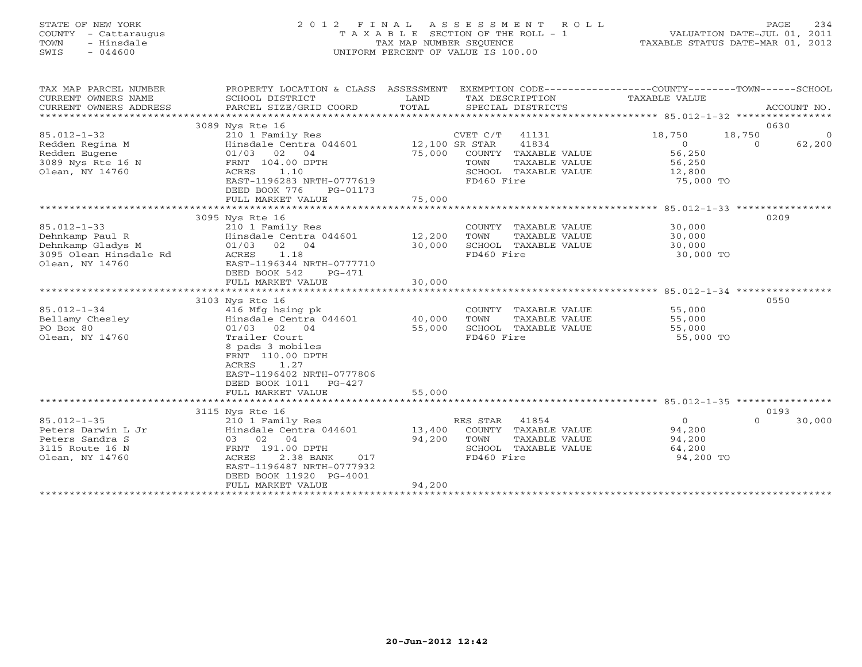# STATE OF NEW YORK 2 0 1 2 F I N A L A S S E S S M E N T R O L L PAGE 234 COUNTY - Cattaraugus T A X A B L E SECTION OF THE ROLL - 1 VALUATION DATE-JUL 01, 2011 TOWN - Hinsdale TAX MAP NUMBER SEQUENCE TAXABLE STATUS DATE-MAR 01, 2012 SWIS - 044600 UNIFORM PERCENT OF VALUE IS 100.00UNIFORM PERCENT OF VALUE IS 100.00

| TAX MAP PARCEL NUMBER<br>CURRENT OWNERS NAME<br>CURRENT OWNERS ADDRESS                                 | PROPERTY LOCATION & CLASS ASSESSMENT<br>SCHOOL DISTRICT<br>PARCEL SIZE/GRID COORD                                                                                                                                                                           | LAND<br>TOTAL                        | TAX DESCRIPTION<br>SPECIAL DISTRICTS                                                                           | EXEMPTION CODE-----------------COUNTY-------TOWN------SCHOOL<br>TAXABLE VALUE             | ACCOUNT NO.                      |
|--------------------------------------------------------------------------------------------------------|-------------------------------------------------------------------------------------------------------------------------------------------------------------------------------------------------------------------------------------------------------------|--------------------------------------|----------------------------------------------------------------------------------------------------------------|-------------------------------------------------------------------------------------------|----------------------------------|
| $85.012 - 1 - 32$<br>Redden Regina M<br>Redden Eugene<br>3089 Nys Rte 16 N<br>Olean, NY 14760          | 3089 Nys Rte 16<br>210 1 Family Res<br>Hinsdale Centra 044601 12,100 SR STAR<br>$01/03$ 02 04<br>FRNT 104.00 DPTH<br>1.10<br>ACRES<br>EAST-1196283 NRTH-0777619<br>DEED BOOK 776<br>PG-01173<br>FULL MARKET VALUE                                           | 75,000<br>75,000                     | CVET C/T 41131<br>41834<br>COUNTY TAXABLE VALUE<br>TOWN<br>TAXABLE VALUE<br>SCHOOL TAXABLE VALUE<br>FD460 Fire | 18,750<br>18,750<br>$\overline{0}$<br>$\Omega$<br>56,250<br>56,250<br>12,800<br>75,000 TO | 0630<br>$\overline{0}$<br>62,200 |
| $85.012 - 1 - 33$<br>Dehnkamp Paul R<br>Dehnkamp Gladys M<br>3095 Olean Hinsdale Rd<br>Olean, NY 14760 | 3095 Nys Rte 16<br>210 1 Family Res<br>Hinsdale Centra 044601<br>02 04<br>01/03<br>ACRES<br>1.18<br>EAST-1196344 NRTH-0777710<br>DEED BOOK 542<br>$PG-471$                                                                                                  | 12,200<br>30,000                     | COUNTY TAXABLE VALUE<br>TOWN<br>TAXABLE VALUE<br>SCHOOL TAXABLE VALUE<br>FD460 Fire                            | 30,000<br>30,000<br>30,000<br>30,000 TO                                                   | 0209                             |
| $85.012 - 1 - 34$<br>Bellamy Chesley<br>PO Box 80<br>Olean, NY 14760                                   | FULL MARKET VALUE<br>3103 Nys Rte 16<br>416 Mfg hsing pk<br>Hinsdale Centra 044601<br>$01/03$ 02 04<br>Trailer Court<br>8 pads 3 mobiles<br>FRNT 110.00 DPTH<br>1.27<br>ACRES<br>EAST-1196402 NRTH-0777806<br>DEED BOOK 1011<br>PG-427<br>FULL MARKET VALUE | 30,000<br>40,000<br>55,000<br>55,000 | COUNTY TAXABLE VALUE<br>TAXABLE VALUE<br>TOWN<br>SCHOOL TAXABLE VALUE<br>FD460 Fire                            | 55,000<br>55,000<br>55,000<br>55,000 TO                                                   | 0550                             |
| $85.012 - 1 - 35$<br>Peters Darwin L Jr<br>Peters Sandra S<br>3115 Route 16 N<br>Olean, NY 14760       | 3115 Nys Rte 16<br>210 1 Family Res<br>Hinsdale Centra 044601<br>03 02 04<br>FRNT 191.00 DPTH<br>2.38 BANK<br>017<br>ACRES<br>EAST-1196487 NRTH-0777932<br>DEED BOOK 11920 PG-4001<br>FULL MARKET VALUE<br>*******************************                  | 13,400<br>94,200<br>94,200           | RES STAR<br>41854<br>COUNTY TAXABLE VALUE<br>TOWN<br>TAXABLE VALUE<br>SCHOOL TAXABLE VALUE<br>FD460 Fire       | $\overline{0}$<br>$\Omega$<br>94,200<br>94,200<br>64,200<br>94,200 TO                     | 0193<br>30,000                   |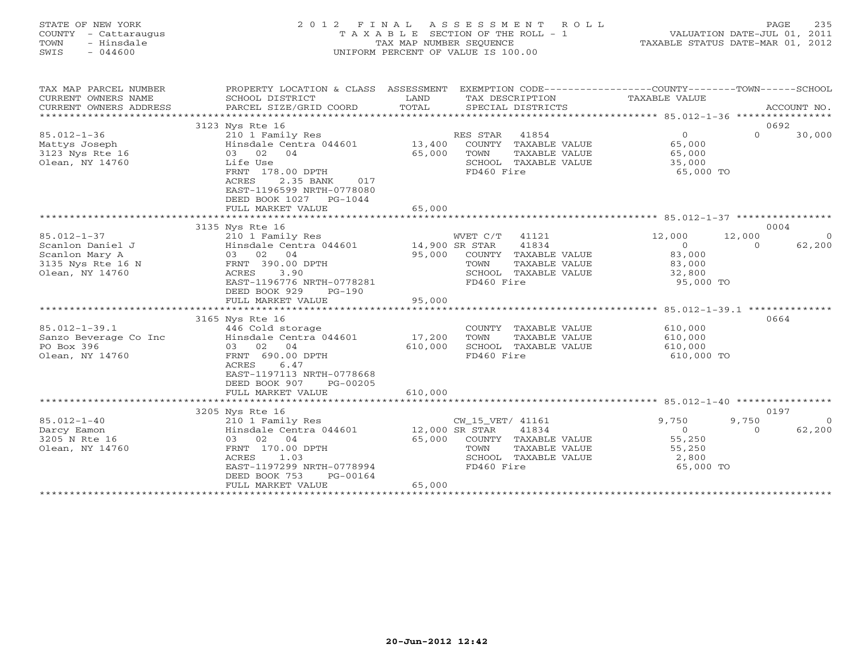| STATE OF NEW YORK<br>COUNTY - Cattaraugus<br>- Hinsdale<br>TOWN<br>SWIS<br>$-044600$ |                                      | 2012 FINAL ASSESSMENT ROLL<br>T A X A B L E SECTION OF THE ROLL - 1<br>TAX MAP NUMBER SEOUENCE<br>UNIFORM PERCENT OF VALUE IS 100.00 |                                                       | 235<br>PAGE.<br>VALUATION DATE-JUL 01, 2011<br>TAXABLE STATUS DATE-MAR 01, 2012 |
|--------------------------------------------------------------------------------------|--------------------------------------|--------------------------------------------------------------------------------------------------------------------------------------|-------------------------------------------------------|---------------------------------------------------------------------------------|
| TAX MAP PARCEL NUMBER                                                                | PROPERTY LOCATION & CLASS ASSESSMENT | TAX DESCRIPTION                                                                                                                      | EXEMPTION CODE-----------------COUNTY-------TOWN----- | --SCHOOL                                                                        |
| CURRENT OWNERS NAME                                                                  | SCHOOL DISTRICT                      | T.AND.                                                                                                                               | TAXARLE VALUE                                         |                                                                                 |

| CONTUNI OMNUNO IMENU   | PONDON DIPLATOI                                   | ᅭᅭ<br>IIII DHUCILI IIUN            |                                                    |            |                           |
|------------------------|---------------------------------------------------|------------------------------------|----------------------------------------------------|------------|---------------------------|
| CURRENT OWNERS ADDRESS | PARCEL SIZE/GRID COORD                            | TOTAL<br>SPECIAL DISTRICTS         |                                                    |            | ACCOUNT NO.               |
| ******************     |                                                   |                                    |                                                    |            |                           |
|                        | 3123 Nys Rte 16                                   |                                    |                                                    |            | 0692                      |
| $85.012 - 1 - 36$      | 210 1 Family Res                                  | RES STAR                           | 41854                                              | $\circ$    | $\Omega$<br>30,000        |
| Mattys Joseph          | Hinsdale Centra 044601                            | 13,400                             | COUNTY TAXABLE VALUE                               | 65,000     |                           |
| 3123 Nys Rte 16        | 03 02 04                                          | 65,000<br>TOWN                     | TAXABLE VALUE                                      | 65,000     |                           |
| Olean, NY 14760        | Life Use                                          |                                    | SCHOOL TAXABLE VALUE                               | 35,000     |                           |
|                        | FRNT 178.00 DPTH                                  | FD460 Fire                         |                                                    | 65,000 TO  |                           |
|                        | <b>ACRES</b><br>2.35 BANK<br>017                  |                                    |                                                    |            |                           |
|                        | EAST-1196599 NRTH-0778080                         |                                    |                                                    |            |                           |
|                        | DEED BOOK 1027 PG-1044                            |                                    |                                                    |            |                           |
|                        | FULL MARKET VALUE                                 | 65,000                             |                                                    |            |                           |
|                        |                                                   |                                    |                                                    |            |                           |
|                        | 3135 Nys Rte 16                                   |                                    |                                                    |            | 0004                      |
| $85.012 - 1 - 37$      | 210 1 Family Res                                  | WVET C/T                           | 41121                                              | 12,000     | 12,000<br>$\Omega$        |
| Scanlon Daniel J       | Hinsdale Centra 044601                            | 14,900 SR STAR                     | 41834                                              | $\Omega$   | 62,200<br>$\Omega$        |
| Scanlon Mary A         | 03 02 04                                          | 95,000                             | COUNTY TAXABLE VALUE                               | 83,000     |                           |
| 3135 Nys Rte 16 N      | FRNT 390.00 DPTH                                  | TOWN                               | TAXABLE VALUE                                      | 83,000     |                           |
| Olean, NY 14760        | 3.90<br>ACRES                                     |                                    | SCHOOL TAXABLE VALUE                               | 32,800     |                           |
|                        | EAST-1196776 NRTH-0778281                         | FD460 Fire                         |                                                    | 95,000 TO  |                           |
|                        | DEED BOOK 929<br>$PG-190$                         |                                    |                                                    |            |                           |
|                        | FULL MARKET VALUE<br>**************************** | 95,000<br>**************           |                                                    |            |                           |
|                        |                                                   |                                    | ********************* 85.012-1-39.1 ************** |            |                           |
|                        | 3165 Nys Rte 16                                   |                                    |                                                    |            | 0664                      |
| $85.012 - 1 - 39.1$    | 446 Cold storage                                  |                                    | COUNTY TAXABLE VALUE                               | 610,000    |                           |
| Sanzo Beverage Co Inc  | Hinsdale Centra 044601                            | 17,200<br>TOWN                     | TAXABLE VALUE                                      | 610,000    |                           |
| PO Box 396             | 03 02 04                                          | 610,000                            | SCHOOL TAXABLE VALUE                               | 610,000    |                           |
| Olean, NY 14760        | FRNT 690.00 DPTH                                  | FD460 Fire                         |                                                    | 610,000 TO |                           |
|                        | 6.47<br>ACRES                                     |                                    |                                                    |            |                           |
|                        | EAST-1197113 NRTH-0778668                         |                                    |                                                    |            |                           |
|                        | DEED BOOK 907<br>PG-00205                         |                                    |                                                    |            |                           |
|                        | FULL MARKET VALUE                                 | 610,000                            |                                                    |            |                           |
|                        |                                                   |                                    |                                                    |            |                           |
| $85.012 - 1 - 40$      | 3205 Nys Rte 16                                   |                                    |                                                    | 9,750      | 0197<br>9,750<br>$\Omega$ |
| Darcy Eamon            | 210 1 Family Res<br>Hinsdale Centra 044601        | CW_15_VET/ 41161<br>12,000 SR STAR | 41834                                              | $\circ$    | 62,200<br>$\Omega$        |
| 3205 N Rte 16          | 03 02 04                                          | 65,000                             | COUNTY TAXABLE VALUE                               | 55,250     |                           |
| Olean, NY 14760        | FRNT 170.00 DPTH                                  | TOWN                               | TAXABLE VALUE                                      | 55,250     |                           |
|                        | 1.03<br>ACRES                                     |                                    | SCHOOL TAXABLE VALUE                               | 2,800      |                           |
|                        | EAST-1197299 NRTH-0778994                         | FD460 Fire                         |                                                    | 65,000 TO  |                           |
|                        | DEED BOOK 753<br>PG-00164                         |                                    |                                                    |            |                           |
|                        | FULL MARKET VALUE                                 | 65,000                             |                                                    |            |                           |
|                        | ***************************                       |                                    |                                                    |            |                           |
|                        |                                                   |                                    |                                                    |            |                           |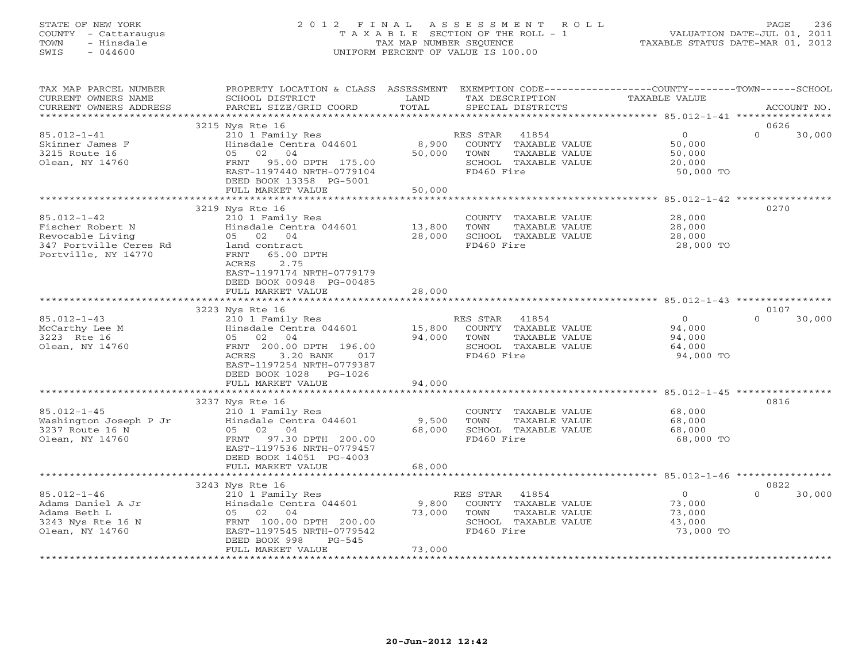# STATE OF NEW YORK 2 0 1 2 F I N A L A S S E S S M E N T R O L L PAGE 236 COUNTY - Cattaraugus T A X A B L E SECTION OF THE ROLL - 1 VALUATION DATE-JUL 01, 2011 TOWN - Hinsdale TAX MAP NUMBER SEQUENCE TAXABLE STATUS DATE-MAR 01, 2012 SWIS - 044600 UNIFORM PERCENT OF VALUE IS 100.00UNIFORM PERCENT OF VALUE IS 100.00

| TAX MAP PARCEL NUMBER<br>CURRENT OWNERS NAME<br>CURRENT OWNERS ADDRESS                                     | PROPERTY LOCATION & CLASS ASSESSMENT EXEMPTION CODE---------------COUNTY-------TOWN------SCHOOL<br>SCHOOL DISTRICT<br>PARCEL SIZE/GRID COORD                                     | LAND<br>TOTAL             | TAX DESCRIPTION<br>SPECIAL DISTRICTS                                                                     | TAXABLE VALUE                                             | ACCOUNT NO.        |
|------------------------------------------------------------------------------------------------------------|----------------------------------------------------------------------------------------------------------------------------------------------------------------------------------|---------------------------|----------------------------------------------------------------------------------------------------------|-----------------------------------------------------------|--------------------|
| ***********************                                                                                    |                                                                                                                                                                                  |                           |                                                                                                          |                                                           |                    |
|                                                                                                            | 3215 Nys Rte 16                                                                                                                                                                  |                           |                                                                                                          |                                                           | 0626               |
| $85.012 - 1 - 41$<br>Skinner James F<br>3215 Route 16<br>Olean, NY 14760                                   | 210 1 Family Res<br>Hinsdale Centra 044601<br>05 02 04<br>FRNT 95.00 DPTH 175.00<br>EAST-1197440 NRTH-0779104<br>DEED BOOK 13358 PG-5001<br>FULL MARKET VALUE                    | 8,900<br>50,000<br>50,000 | RES STAR<br>41854<br>COUNTY TAXABLE VALUE<br>TOWN<br>TAXABLE VALUE<br>SCHOOL TAXABLE VALUE<br>FD460 Fire | $\overline{0}$<br>50,000<br>50,000<br>20,000<br>50,000 TO | $\Omega$<br>30,000 |
|                                                                                                            |                                                                                                                                                                                  |                           |                                                                                                          |                                                           |                    |
|                                                                                                            | 3219 Nys Rte 16                                                                                                                                                                  |                           |                                                                                                          |                                                           | 0270               |
| $85.012 - 1 - 42$<br>Fischer Robert N<br>Revocable Living<br>347 Portville Ceres Rd<br>Portville, NY 14770 | 210 1 Family Res<br>Hinsdale Centra 044601<br>05 02 04<br>land contract<br>65.00 DPTH<br>FRNT<br>ACRES<br>2.75<br>EAST-1197174 NRTH-0779179<br>DEED BOOK 00948 PG-00485          | 13,800<br>28,000          | COUNTY TAXABLE VALUE<br>TOWN<br>TAXABLE VALUE<br>SCHOOL TAXABLE VALUE<br>FD460 Fire                      | 28,000<br>28,000<br>28,000<br>28,000 TO                   |                    |
|                                                                                                            | FULL MARKET VALUE                                                                                                                                                                | 28,000                    |                                                                                                          |                                                           |                    |
|                                                                                                            | 3223 Nys Rte 16                                                                                                                                                                  |                           |                                                                                                          |                                                           | 0107               |
| $85.012 - 1 - 43$<br>McCarthy Lee M<br>3223 Rte 16<br>Olean, NY 14760                                      | 210 1 Family Res<br>Hinsdale Centra 044601<br>05 02 04<br>FRNT 200.00 DPTH 196.00<br>3.20 BANK<br>ACRES<br>017<br>EAST-1197254 NRTH-0779387<br>DEED BOOK 1028 PG-1026            | 15,800<br>94,000          | RES STAR<br>41854<br>COUNTY TAXABLE VALUE<br>TOWN<br>TAXABLE VALUE<br>SCHOOL TAXABLE VALUE<br>FD460 Fire | $\Omega$<br>94,000<br>94,000<br>64,000<br>94,000 TO       | $\Omega$<br>30,000 |
|                                                                                                            | FULL MARKET VALUE                                                                                                                                                                | 94,000                    |                                                                                                          |                                                           |                    |
|                                                                                                            |                                                                                                                                                                                  |                           |                                                                                                          |                                                           | 0816               |
| $85.012 - 1 - 45$<br>Washington Joseph P Jr<br>3237 Route 16 N<br>Olean, NY 14760                          | 3237 Nys Rte 16<br>210 1 Family Res<br>Hinsdale Centra 044601<br>05 02 04<br>FRNT 97.30 DPTH 200.00<br>EAST-1197536 NRTH-0779457<br>DEED BOOK 14051 PG-4003<br>FULL MARKET VALUE | 9,500<br>68,000<br>68,000 | COUNTY TAXABLE VALUE<br>TOWN<br>TAXABLE VALUE<br>SCHOOL TAXABLE VALUE<br>FD460 Fire                      | 68,000<br>68,000<br>68,000<br>68,000 TO                   |                    |
|                                                                                                            |                                                                                                                                                                                  |                           |                                                                                                          |                                                           |                    |
|                                                                                                            | 3243 Nys Rte 16                                                                                                                                                                  |                           |                                                                                                          |                                                           | 0822               |
| $85.012 - 1 - 46$<br>Adams Daniel A Jr<br>Adams Beth L<br>3243 Nys Rte 16 N<br>Olean, NY 14760             | 210 1 Family Res<br>Hinsdale Centra 044601<br>05 02 04<br>FRNT 100.00 DPTH 200.00<br>EAST-1197545 NRTH-0779542<br>DEED BOOK 998<br>PG-545<br>FULL MARKET VALUE                   | 9,800<br>73,000<br>73,000 | RES STAR 41854<br>COUNTY TAXABLE VALUE<br>TAXABLE VALUE<br>TOWN<br>SCHOOL TAXABLE VALUE<br>FD460 Fire    | $\overline{0}$<br>73,000<br>73,000<br>43,000<br>73,000 TO | 30,000<br>$\Omega$ |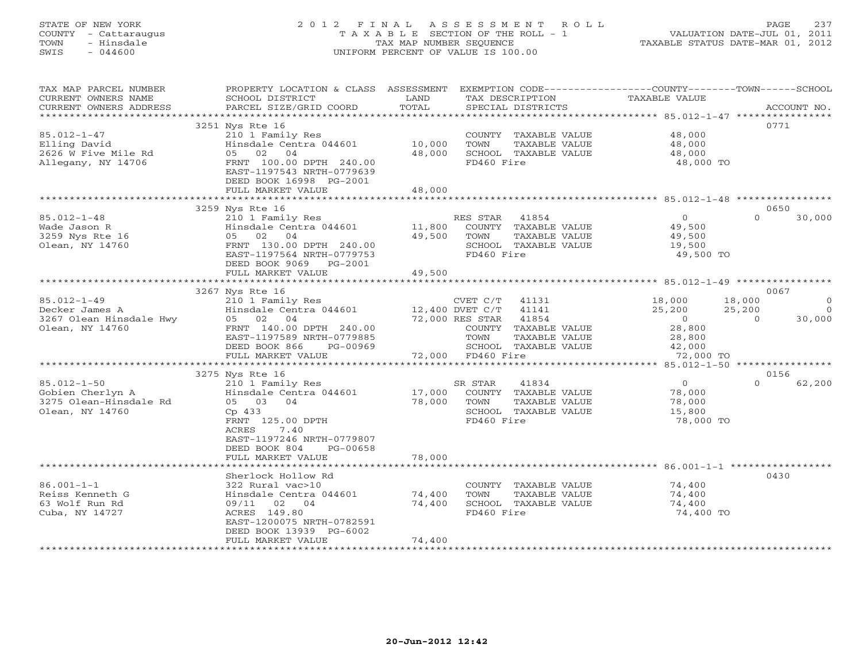# STATE OF NEW YORK 2 0 1 2 F I N A L A S S E S S M E N T R O L L PAGE 237 COUNTY - Cattaraugus T A X A B L E SECTION OF THE ROLL - 1 VALUATION DATE-JUL 01, 2011 TOWN - Hinsdale TAX MAP NUMBER SEQUENCE TAXABLE STATUS DATE-MAR 01, 2012 SWIS - 044600 UNIFORM PERCENT OF VALUE IS 100.00UNIFORM PERCENT OF VALUE IS 100.00

| TAX MAP PARCEL NUMBER<br>CURRENT OWNERS NAME<br>CURRENT OWNERS ADDRESS                                   | PROPERTY LOCATION & CLASS<br>SCHOOL DISTRICT<br>PARCEL SIZE/GRID COORD                                                                                                                                  | ASSESSMENT<br>LAND<br>TOTAL | EXEMPTION CODE----------------COUNTY-------TOWN-----SCHOOL<br>TAX DESCRIPTION<br>SPECIAL DISTRICTS                                                                      | TAXABLE VALUE                                                          | ACCOUNT NO.                                                   |
|----------------------------------------------------------------------------------------------------------|---------------------------------------------------------------------------------------------------------------------------------------------------------------------------------------------------------|-----------------------------|-------------------------------------------------------------------------------------------------------------------------------------------------------------------------|------------------------------------------------------------------------|---------------------------------------------------------------|
| **********************<br>$85.012 - 1 - 47$<br>Elling David<br>2626 W Five Mile Rd<br>Allegany, NY 14706 | 3251 Nys Rte 16<br>210 1 Family Res<br>Hinsdale Centra 044601<br>05 02<br>04<br>FRNT 100.00 DPTH 240.00<br>EAST-1197543 NRTH-0779639<br>DEED BOOK 16998 PG-2001<br>FULL MARKET VALUE                    | 10,000<br>48,000<br>48,000  | COUNTY TAXABLE VALUE<br>TOWN<br>TAXABLE VALUE<br>SCHOOL TAXABLE VALUE<br>FD460 Fire                                                                                     | 48,000<br>48,000<br>48,000<br>48,000 TO                                | 0771                                                          |
|                                                                                                          | ************************                                                                                                                                                                                |                             |                                                                                                                                                                         |                                                                        |                                                               |
| $85.012 - 1 - 48$<br>Wade Jason R<br>3259 Nys Rte 16<br>Olean, NY 14760                                  | 3259 Nys Rte 16<br>210 1 Family Res<br>Hinsdale Centra 044601<br>05 02 04<br>FRNT 130.00 DPTH 240.00<br>EAST-1197564 NRTH-0779753<br>DEED BOOK 9069 PG-2001<br>FULL MARKET VALUE                        | 11,800<br>49,500<br>49,500  | RES STAR<br>41854<br>COUNTY TAXABLE VALUE<br>TOWN<br>TAXABLE VALUE<br>SCHOOL TAXABLE VALUE<br>FD460 Fire                                                                | $\circ$<br>49,500<br>49,500<br>19,500<br>49,500 TO                     | 0650<br>$\Omega$<br>30,000                                    |
|                                                                                                          | 3267 Nys Rte 16                                                                                                                                                                                         |                             |                                                                                                                                                                         |                                                                        | 0067                                                          |
| $85.012 - 1 - 49$<br>Decker James A<br>3267 Olean Hinsdale Hwy<br>Olean, NY 14760                        | 210 1 Family Res<br>Hinsdale Centra 044601<br>05 02 04<br>FRNT 140.00 DPTH 240.00<br>EAST-1197589 NRTH-0779885<br>DEED BOOK 866<br>PG-00969<br>FULL MARKET VALUE                                        |                             | CVET C/T<br>41131<br>41141<br>12,400 DVET C/T<br>72,000 RES STAR<br>41854<br>COUNTY TAXABLE VALUE<br>TOWN<br>TAXABLE VALUE<br>SCHOOL TAXABLE VALUE<br>72,000 FD460 Fire | 18,000<br>25,200<br>$\circ$<br>28,800<br>28,800<br>42,000<br>72,000 TO | 18,000<br>$\circ$<br>25,200<br>$\Omega$<br>$\Omega$<br>30,000 |
|                                                                                                          | **************************                                                                                                                                                                              |                             |                                                                                                                                                                         |                                                                        | 0156                                                          |
| $85.012 - 1 - 50$<br>Gobien Cherlyn A<br>3275 Olean-Hinsdale Rd<br>Olean, NY 14760                       | 3275 Nys Rte 16<br>210 1 Family Res<br>Hinsdale Centra 044601<br>05 03 04<br>Cp 433<br>FRNT 125.00 DPTH<br>ACRES<br>7.40<br>EAST-1197246 NRTH-0779807<br>DEED BOOK 804<br>PG-00658<br>FULL MARKET VALUE | 17,000<br>78,000<br>78,000  | 41834<br>SR STAR<br>COUNTY TAXABLE VALUE<br>TAXABLE VALUE<br>TOWN<br>SCHOOL TAXABLE VALUE<br>FD460 Fire                                                                 | $\Omega$<br>78,000<br>78,000<br>15,800<br>78,000 TO                    | 62,200<br>$\Omega$                                            |
|                                                                                                          |                                                                                                                                                                                                         |                             |                                                                                                                                                                         |                                                                        |                                                               |
| $86.001 - 1 - 1$<br>Reiss Kenneth G<br>63 Wolf Run Rd<br>Cuba, NY 14727                                  | Sherlock Hollow Rd<br>322 Rural vac>10<br>Hinsdale Centra 044601<br>09/11<br>02<br>04<br>ACRES 149.80<br>EAST-1200075 NRTH-0782591<br>DEED BOOK 13939 PG-6002<br>FULL MARKET VALUE                      | 74,400<br>74,400<br>74,400  | COUNTY TAXABLE VALUE<br>TOWN<br>TAXABLE VALUE<br>SCHOOL TAXABLE VALUE<br>FD460 Fire<br>*************************************                                            | 74,400<br>74,400<br>74,400<br>74,400 TO                                | 0430                                                          |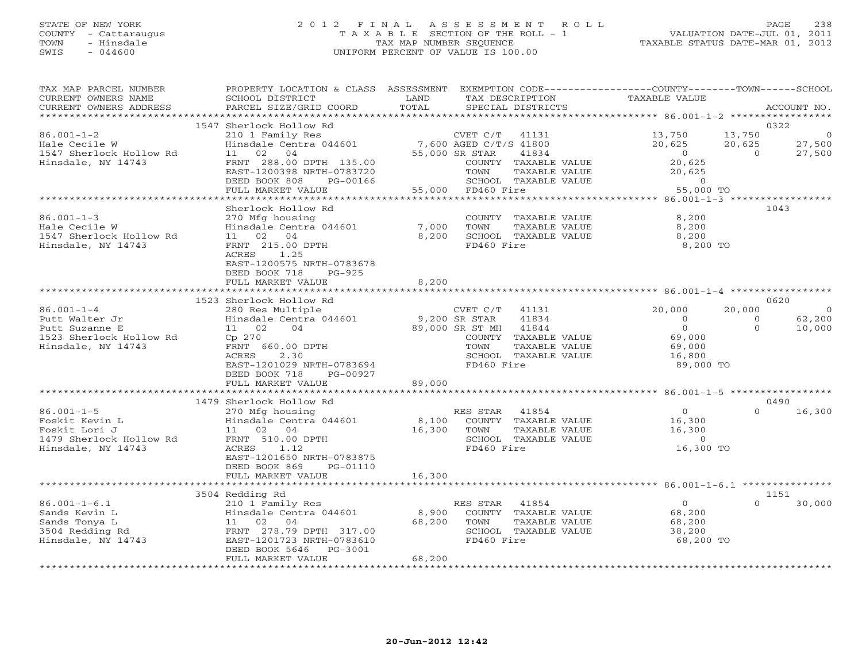# STATE OF NEW YORK 2 0 1 2 F I N A L A S S E S S M E N T R O L L PAGE 238 COUNTY - Cattaraugus T A X A B L E SECTION OF THE ROLL - 1 VALUATION DATE-JUL 01, 2011 TOWN - Hinsdale TAX MAP NUMBER SEQUENCE TAXABLE STATUS DATE-MAR 01, 2012 SWIS - 044600 UNIFORM PERCENT OF VALUE IS 100.00UNIFORM PERCENT OF VALUE IS 100.00

| TAX MAP PARCEL NUMBER<br>CURRENT OWNERS NAME<br>CURRENT OWNERS ADDRESS<br>*********************       | PROPERTY LOCATION & CLASS ASSESSMENT<br>SCHOOL DISTRICT<br>PARCEL SIZE/GRID COORD                                                                                                                           | LAND<br>TAX DESCRIPTION<br>TOTAL<br>SPECIAL DISTRICTS                                                                                                                                      | EXEMPTION CODE-----------------COUNTY-------TOWN------SCHOOL<br>TAXABLE VALUE<br>ACCOUNT NO.                                                                                                                   |
|-------------------------------------------------------------------------------------------------------|-------------------------------------------------------------------------------------------------------------------------------------------------------------------------------------------------------------|--------------------------------------------------------------------------------------------------------------------------------------------------------------------------------------------|----------------------------------------------------------------------------------------------------------------------------------------------------------------------------------------------------------------|
|                                                                                                       |                                                                                                                                                                                                             |                                                                                                                                                                                            |                                                                                                                                                                                                                |
| $86.001 - 1 - 2$<br>Hale Cecile W<br>1547 Sherlock Hollow Rd<br>Hinsdale, NY 14743                    | 1547 Sherlock Hollow Rd<br>11 02 04<br>FRNT 288.00 DPTH 135.00<br>EAST-1200398 NRTH-0783720<br>DEED BOOK 808<br>PG-00166<br>FULL MARKET VALUE                                                               | 210 1 Family Res<br>Hinsdale Centra 044601 7,600 AGED C/T/S 41800<br>55,000 SR STAR<br>41834<br>COUNTY TAXABLE VALUE<br>TOWN<br>TAXABLE VALUE<br>SCHOOL TAXABLE VALUE<br>55,000 FD460 Fire | 0322<br>13,750<br>13,750<br>20,625<br>27,500<br>20,625<br>$\overline{0}$<br>27,500<br>$\overline{0}$<br>20,625<br>20,625<br>$\begin{array}{ccccc}\n\text{55,000} & & & 0 \\ \text{55,000} & & & \n\end{array}$ |
|                                                                                                       |                                                                                                                                                                                                             |                                                                                                                                                                                            |                                                                                                                                                                                                                |
| $86.001 - 1 - 3$<br>Hale Cecile W<br>1547 Sherlock Hollow Rd<br>Hinsdale, NY 14743                    | Sherlock Hollow Rd<br>270 Mfg housing<br>Hinsdale Centra 044601<br>11 02 04<br>FRNT 215.00 DPTH<br>1.25<br>ACRES<br>EAST-1200575 NRTH-0783678<br>DEED BOOK 718<br>PG-925<br>FULL MARKET VALUE               | COUNTY TAXABLE VALUE<br>7,000<br>TOWN<br>TAXABLE VALUE<br>8,200<br>SCHOOL TAXABLE VALUE<br>FD460 Fire<br>8,200                                                                             | 1043<br>8,200<br>8,200<br>8,200<br>8,200 TO                                                                                                                                                                    |
|                                                                                                       |                                                                                                                                                                                                             |                                                                                                                                                                                            |                                                                                                                                                                                                                |
| $86.001 - 1 - 4$<br>Putt Walter Jr<br>Putt Suzanne E<br>1523 Sherlock Hollow Rd<br>Hinsdale, NY 14743 | 1523 Sherlock Hollow Rd<br>280 Res Multiple<br>Hinsdale Centra 044601 9,200 SR STAR<br>11 02<br>04<br>Cp 270<br>FRNT 660.00 DPTH<br>2.30<br>ACRES<br>EAST-1201029 NRTH-0783694<br>DEED BOOK 718<br>PG-00927 | CVET C/T 41131<br>41834<br>89,000 SR ST MH 41844<br>COUNTY TAXABLE VALUE<br>TOWN<br>TAXABLE VALUE<br>SCHOOL TAXABLE VALUE<br>FD460 Fire                                                    | 0620<br>20,000<br>20,000<br>$\overline{0}$<br>62,200<br>$\overline{O}$<br>$\Omega$<br>$\overline{0}$<br>$\Omega$<br>10,000<br>69,000<br>69,000<br>16,800<br>89,000 TO                                          |
|                                                                                                       | FULL MARKET VALUE                                                                                                                                                                                           | 89,000                                                                                                                                                                                     |                                                                                                                                                                                                                |
|                                                                                                       | 1479 Sherlock Hollow Rd                                                                                                                                                                                     |                                                                                                                                                                                            | 0490                                                                                                                                                                                                           |
| $86.001 - 1 - 5$<br>Foskit Kevin L<br>Foskit Lori J<br>1479 Sherlock Hollow Rd<br>Hinsdale, NY 14743  | 270 Mfg housing<br>Hinsdale Centra 044601<br>11 02 04<br>FRNT 510.00 DPTH<br>ACRES<br>1.12<br>EAST-1201650 NRTH-0783875<br>DEED BOOK 869<br>PG-01110<br>FULL MARKET VALUE                                   | RES STAR 41854<br>8,100 COUNTY TAXABLE VALUE<br>16,300<br>TAXABLE VALUE<br>TOWN<br>SCHOOL TAXABLE VALUE<br>FD460 Fire<br>16,300                                                            | $\overline{0}$<br>$\Omega$<br>16,300<br>16,300<br>16,300<br>$\overline{0}$<br>16,300 TO                                                                                                                        |
|                                                                                                       |                                                                                                                                                                                                             |                                                                                                                                                                                            |                                                                                                                                                                                                                |
|                                                                                                       | 3504 Redding Rd                                                                                                                                                                                             |                                                                                                                                                                                            | 1151                                                                                                                                                                                                           |
| $86.001 - 1 - 6.1$<br>Sands Kevin L<br>Sands Tonya L<br>3504 Redding Rd<br>Hinsdale, NY 14743         | 210 1 Family Res<br>Hinsdale Centra 044601<br>11 02 04<br>FRNT 278.79 DPTH 317.00<br>EAST-1201723 NRTH-0783610<br>DEED BOOK 5646<br>PG-3001<br>FULL MARKET VALUE                                            | RES STAR 41854<br>8,900<br>COUNTY TAXABLE VALUE<br>68,200<br>TOWN<br>TAXABLE VALUE<br>SCHOOL TAXABLE VALUE<br>FD460 Fire<br>68,200                                                         | $\overline{0}$<br>$\Omega$<br>30,000<br>68,200<br>68,200<br>38,200<br>68,200 TO                                                                                                                                |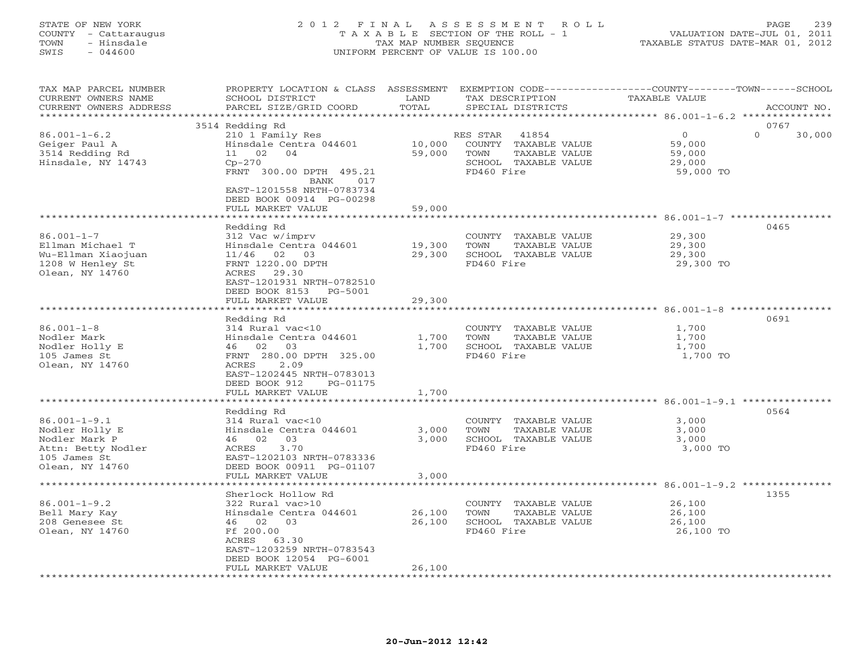# STATE OF NEW YORK 2 0 1 2 F I N A L A S S E S S M E N T R O L L PAGE 239 COUNTY - Cattaraugus T A X A B L E SECTION OF THE ROLL - 1 VALUATION DATE-JUL 01, 2011 TOWN - Hinsdale TAX MAP NUMBER SEQUENCE TAXABLE STATUS DATE-MAR 01, 2012 SWIS - 044600 UNIFORM PERCENT OF VALUE IS 100.00UNIFORM PERCENT OF VALUE IS 100.00

| 3514 Redding Rd<br>0767<br>$\Omega$<br>$86.001 - 1 - 6.2$<br>$\Omega$<br>210 1 Family Res<br>30,000<br>RES STAR<br>41854<br>Geiger Paul A<br>Hinsdale Centra 044601<br>10,000<br>COUNTY TAXABLE VALUE<br>59,000<br>3514 Redding Rd<br>11 02 04<br>59,000<br>TOWN<br>TAXABLE VALUE<br>59,000<br>Hinsdale, NY 14743<br>$Cp-270$<br>SCHOOL TAXABLE VALUE<br>29,000<br>FD460 Fire<br>FRNT 300.00 DPTH 495.21<br>59,000 TO<br>BANK<br>017<br>EAST-1201558 NRTH-0783734<br>DEED BOOK 00914 PG-00298<br>FULL MARKET VALUE<br>59,000<br>Redding Rd<br>0465<br>$86.001 - 1 - 7$<br>29,300<br>312 Vac w/imprv<br>COUNTY TAXABLE VALUE<br>Ellman Michael T<br>Hinsdale Centra 044601<br>19,300<br>TOWN<br>TAXABLE VALUE<br>29,300<br>SCHOOL TAXABLE VALUE<br>Wu-Ellman Xiaojuan<br>11/46 02 03<br>29,300<br>29,300<br>FD460 Fire<br>1208 W Henley St<br>FRNT 1220.00 DPTH<br>29,300 TO<br>Olean, NY 14760<br>ACRES 29.30<br>EAST-1201931 NRTH-0782510<br>DEED BOOK 8153 PG-5001<br>FULL MARKET VALUE<br>29,300<br>0691<br>Redding Rd<br>$86.001 - 1 - 8$<br>314 Rural vac<10<br>1,700<br>COUNTY TAXABLE VALUE<br>Hinsdale Centra 044601<br>1,700<br>1,700<br>Nodler Mark<br>TOWN<br>TAXABLE VALUE<br>Nodler Holly E<br>46 02 03<br>1,700<br>SCHOOL TAXABLE VALUE<br>1,700<br>FD460 Fire<br>105 James St<br>FRNT 280.00 DPTH 325.00<br>1,700 TO<br>Olean, NY 14760<br>2.09<br>ACRES<br>EAST-1202445 NRTH-0783013<br>DEED BOOK 912<br>PG-01175<br>1,700<br>FULL MARKET VALUE<br>0564<br>Redding Rd<br>$86.001 - 1 - 9.1$<br>314 Rural vac<10<br>COUNTY TAXABLE VALUE<br>3,000<br>Nodler Holly E<br>Hinsdale Centra 044601<br>3,000<br>TOWN<br>TAXABLE VALUE<br>3,000<br>46 02 03<br>3,000<br>SCHOOL TAXABLE VALUE<br>3,000<br>Nodler Mark P<br>FD460 Fire<br>3,000 TO<br>Attn: Betty Nodler<br>3.70<br>ACRES<br>105 James St<br>EAST-1202103 NRTH-0783336<br>Olean, NY 14760<br>DEED BOOK 00911 PG-01107<br>FULL MARKET VALUE<br>3,000<br>1355<br>Sherlock Hollow Rd<br>$86.001 - 1 - 9.2$<br>26,100<br>322 Rural vac>10<br>COUNTY TAXABLE VALUE<br>Bell Mary Kay<br>Hinsdale Centra 044601<br>26,100<br>TAXABLE VALUE<br>26,100<br>TOWN<br>208 Genesee St<br>46 02 03<br>26,100<br>SCHOOL TAXABLE VALUE<br>26,100<br>Olean, NY 14760<br>Ff 200.00<br>FD460 Fire<br>26,100 TO<br>ACRES 63.30<br>EAST-1203259 NRTH-0783543<br>DEED BOOK 12054 PG-6001<br>FULL MARKET VALUE<br>26,100 | TAX MAP PARCEL NUMBER<br>CURRENT OWNERS NAME<br>CURRENT OWNERS ADDRESS | PROPERTY LOCATION & CLASS ASSESSMENT<br>SCHOOL DISTRICT<br>PARCEL SIZE/GRID COORD | LAND<br>TOTAL | TAX DESCRIPTION<br>SPECIAL DISTRICTS |  | EXEMPTION CODE----------------COUNTY-------TOWN------SCHOOL<br><b>TAXABLE VALUE</b> | ACCOUNT NO. |
|------------------------------------------------------------------------------------------------------------------------------------------------------------------------------------------------------------------------------------------------------------------------------------------------------------------------------------------------------------------------------------------------------------------------------------------------------------------------------------------------------------------------------------------------------------------------------------------------------------------------------------------------------------------------------------------------------------------------------------------------------------------------------------------------------------------------------------------------------------------------------------------------------------------------------------------------------------------------------------------------------------------------------------------------------------------------------------------------------------------------------------------------------------------------------------------------------------------------------------------------------------------------------------------------------------------------------------------------------------------------------------------------------------------------------------------------------------------------------------------------------------------------------------------------------------------------------------------------------------------------------------------------------------------------------------------------------------------------------------------------------------------------------------------------------------------------------------------------------------------------------------------------------------------------------------------------------------------------------------------------------------------------------------------------------------------------------------------------------------------------------------------------------------------------------------------------------------------------------------------------------------------------------------------------------------------------------------------------------------------------|------------------------------------------------------------------------|-----------------------------------------------------------------------------------|---------------|--------------------------------------|--|-------------------------------------------------------------------------------------|-------------|
|                                                                                                                                                                                                                                                                                                                                                                                                                                                                                                                                                                                                                                                                                                                                                                                                                                                                                                                                                                                                                                                                                                                                                                                                                                                                                                                                                                                                                                                                                                                                                                                                                                                                                                                                                                                                                                                                                                                                                                                                                                                                                                                                                                                                                                                                                                                                                                        |                                                                        |                                                                                   |               |                                      |  |                                                                                     |             |
|                                                                                                                                                                                                                                                                                                                                                                                                                                                                                                                                                                                                                                                                                                                                                                                                                                                                                                                                                                                                                                                                                                                                                                                                                                                                                                                                                                                                                                                                                                                                                                                                                                                                                                                                                                                                                                                                                                                                                                                                                                                                                                                                                                                                                                                                                                                                                                        |                                                                        |                                                                                   |               |                                      |  |                                                                                     |             |
|                                                                                                                                                                                                                                                                                                                                                                                                                                                                                                                                                                                                                                                                                                                                                                                                                                                                                                                                                                                                                                                                                                                                                                                                                                                                                                                                                                                                                                                                                                                                                                                                                                                                                                                                                                                                                                                                                                                                                                                                                                                                                                                                                                                                                                                                                                                                                                        |                                                                        |                                                                                   |               |                                      |  |                                                                                     |             |
|                                                                                                                                                                                                                                                                                                                                                                                                                                                                                                                                                                                                                                                                                                                                                                                                                                                                                                                                                                                                                                                                                                                                                                                                                                                                                                                                                                                                                                                                                                                                                                                                                                                                                                                                                                                                                                                                                                                                                                                                                                                                                                                                                                                                                                                                                                                                                                        |                                                                        |                                                                                   |               |                                      |  |                                                                                     |             |
|                                                                                                                                                                                                                                                                                                                                                                                                                                                                                                                                                                                                                                                                                                                                                                                                                                                                                                                                                                                                                                                                                                                                                                                                                                                                                                                                                                                                                                                                                                                                                                                                                                                                                                                                                                                                                                                                                                                                                                                                                                                                                                                                                                                                                                                                                                                                                                        |                                                                        |                                                                                   |               |                                      |  |                                                                                     |             |
|                                                                                                                                                                                                                                                                                                                                                                                                                                                                                                                                                                                                                                                                                                                                                                                                                                                                                                                                                                                                                                                                                                                                                                                                                                                                                                                                                                                                                                                                                                                                                                                                                                                                                                                                                                                                                                                                                                                                                                                                                                                                                                                                                                                                                                                                                                                                                                        |                                                                        |                                                                                   |               |                                      |  |                                                                                     |             |
|                                                                                                                                                                                                                                                                                                                                                                                                                                                                                                                                                                                                                                                                                                                                                                                                                                                                                                                                                                                                                                                                                                                                                                                                                                                                                                                                                                                                                                                                                                                                                                                                                                                                                                                                                                                                                                                                                                                                                                                                                                                                                                                                                                                                                                                                                                                                                                        |                                                                        |                                                                                   |               |                                      |  |                                                                                     |             |
|                                                                                                                                                                                                                                                                                                                                                                                                                                                                                                                                                                                                                                                                                                                                                                                                                                                                                                                                                                                                                                                                                                                                                                                                                                                                                                                                                                                                                                                                                                                                                                                                                                                                                                                                                                                                                                                                                                                                                                                                                                                                                                                                                                                                                                                                                                                                                                        |                                                                        |                                                                                   |               |                                      |  |                                                                                     |             |
|                                                                                                                                                                                                                                                                                                                                                                                                                                                                                                                                                                                                                                                                                                                                                                                                                                                                                                                                                                                                                                                                                                                                                                                                                                                                                                                                                                                                                                                                                                                                                                                                                                                                                                                                                                                                                                                                                                                                                                                                                                                                                                                                                                                                                                                                                                                                                                        |                                                                        |                                                                                   |               |                                      |  |                                                                                     |             |
|                                                                                                                                                                                                                                                                                                                                                                                                                                                                                                                                                                                                                                                                                                                                                                                                                                                                                                                                                                                                                                                                                                                                                                                                                                                                                                                                                                                                                                                                                                                                                                                                                                                                                                                                                                                                                                                                                                                                                                                                                                                                                                                                                                                                                                                                                                                                                                        |                                                                        |                                                                                   |               |                                      |  |                                                                                     |             |
|                                                                                                                                                                                                                                                                                                                                                                                                                                                                                                                                                                                                                                                                                                                                                                                                                                                                                                                                                                                                                                                                                                                                                                                                                                                                                                                                                                                                                                                                                                                                                                                                                                                                                                                                                                                                                                                                                                                                                                                                                                                                                                                                                                                                                                                                                                                                                                        |                                                                        |                                                                                   |               |                                      |  |                                                                                     |             |
|                                                                                                                                                                                                                                                                                                                                                                                                                                                                                                                                                                                                                                                                                                                                                                                                                                                                                                                                                                                                                                                                                                                                                                                                                                                                                                                                                                                                                                                                                                                                                                                                                                                                                                                                                                                                                                                                                                                                                                                                                                                                                                                                                                                                                                                                                                                                                                        |                                                                        |                                                                                   |               |                                      |  |                                                                                     |             |
|                                                                                                                                                                                                                                                                                                                                                                                                                                                                                                                                                                                                                                                                                                                                                                                                                                                                                                                                                                                                                                                                                                                                                                                                                                                                                                                                                                                                                                                                                                                                                                                                                                                                                                                                                                                                                                                                                                                                                                                                                                                                                                                                                                                                                                                                                                                                                                        |                                                                        |                                                                                   |               |                                      |  |                                                                                     |             |
|                                                                                                                                                                                                                                                                                                                                                                                                                                                                                                                                                                                                                                                                                                                                                                                                                                                                                                                                                                                                                                                                                                                                                                                                                                                                                                                                                                                                                                                                                                                                                                                                                                                                                                                                                                                                                                                                                                                                                                                                                                                                                                                                                                                                                                                                                                                                                                        |                                                                        |                                                                                   |               |                                      |  |                                                                                     |             |
|                                                                                                                                                                                                                                                                                                                                                                                                                                                                                                                                                                                                                                                                                                                                                                                                                                                                                                                                                                                                                                                                                                                                                                                                                                                                                                                                                                                                                                                                                                                                                                                                                                                                                                                                                                                                                                                                                                                                                                                                                                                                                                                                                                                                                                                                                                                                                                        |                                                                        |                                                                                   |               |                                      |  |                                                                                     |             |
|                                                                                                                                                                                                                                                                                                                                                                                                                                                                                                                                                                                                                                                                                                                                                                                                                                                                                                                                                                                                                                                                                                                                                                                                                                                                                                                                                                                                                                                                                                                                                                                                                                                                                                                                                                                                                                                                                                                                                                                                                                                                                                                                                                                                                                                                                                                                                                        |                                                                        |                                                                                   |               |                                      |  |                                                                                     |             |
|                                                                                                                                                                                                                                                                                                                                                                                                                                                                                                                                                                                                                                                                                                                                                                                                                                                                                                                                                                                                                                                                                                                                                                                                                                                                                                                                                                                                                                                                                                                                                                                                                                                                                                                                                                                                                                                                                                                                                                                                                                                                                                                                                                                                                                                                                                                                                                        |                                                                        |                                                                                   |               |                                      |  |                                                                                     |             |
|                                                                                                                                                                                                                                                                                                                                                                                                                                                                                                                                                                                                                                                                                                                                                                                                                                                                                                                                                                                                                                                                                                                                                                                                                                                                                                                                                                                                                                                                                                                                                                                                                                                                                                                                                                                                                                                                                                                                                                                                                                                                                                                                                                                                                                                                                                                                                                        |                                                                        |                                                                                   |               |                                      |  |                                                                                     |             |
|                                                                                                                                                                                                                                                                                                                                                                                                                                                                                                                                                                                                                                                                                                                                                                                                                                                                                                                                                                                                                                                                                                                                                                                                                                                                                                                                                                                                                                                                                                                                                                                                                                                                                                                                                                                                                                                                                                                                                                                                                                                                                                                                                                                                                                                                                                                                                                        |                                                                        |                                                                                   |               |                                      |  |                                                                                     |             |
|                                                                                                                                                                                                                                                                                                                                                                                                                                                                                                                                                                                                                                                                                                                                                                                                                                                                                                                                                                                                                                                                                                                                                                                                                                                                                                                                                                                                                                                                                                                                                                                                                                                                                                                                                                                                                                                                                                                                                                                                                                                                                                                                                                                                                                                                                                                                                                        |                                                                        |                                                                                   |               |                                      |  |                                                                                     |             |
|                                                                                                                                                                                                                                                                                                                                                                                                                                                                                                                                                                                                                                                                                                                                                                                                                                                                                                                                                                                                                                                                                                                                                                                                                                                                                                                                                                                                                                                                                                                                                                                                                                                                                                                                                                                                                                                                                                                                                                                                                                                                                                                                                                                                                                                                                                                                                                        |                                                                        |                                                                                   |               |                                      |  |                                                                                     |             |
|                                                                                                                                                                                                                                                                                                                                                                                                                                                                                                                                                                                                                                                                                                                                                                                                                                                                                                                                                                                                                                                                                                                                                                                                                                                                                                                                                                                                                                                                                                                                                                                                                                                                                                                                                                                                                                                                                                                                                                                                                                                                                                                                                                                                                                                                                                                                                                        |                                                                        |                                                                                   |               |                                      |  |                                                                                     |             |
|                                                                                                                                                                                                                                                                                                                                                                                                                                                                                                                                                                                                                                                                                                                                                                                                                                                                                                                                                                                                                                                                                                                                                                                                                                                                                                                                                                                                                                                                                                                                                                                                                                                                                                                                                                                                                                                                                                                                                                                                                                                                                                                                                                                                                                                                                                                                                                        |                                                                        |                                                                                   |               |                                      |  |                                                                                     |             |
|                                                                                                                                                                                                                                                                                                                                                                                                                                                                                                                                                                                                                                                                                                                                                                                                                                                                                                                                                                                                                                                                                                                                                                                                                                                                                                                                                                                                                                                                                                                                                                                                                                                                                                                                                                                                                                                                                                                                                                                                                                                                                                                                                                                                                                                                                                                                                                        |                                                                        |                                                                                   |               |                                      |  |                                                                                     |             |
|                                                                                                                                                                                                                                                                                                                                                                                                                                                                                                                                                                                                                                                                                                                                                                                                                                                                                                                                                                                                                                                                                                                                                                                                                                                                                                                                                                                                                                                                                                                                                                                                                                                                                                                                                                                                                                                                                                                                                                                                                                                                                                                                                                                                                                                                                                                                                                        |                                                                        |                                                                                   |               |                                      |  |                                                                                     |             |
|                                                                                                                                                                                                                                                                                                                                                                                                                                                                                                                                                                                                                                                                                                                                                                                                                                                                                                                                                                                                                                                                                                                                                                                                                                                                                                                                                                                                                                                                                                                                                                                                                                                                                                                                                                                                                                                                                                                                                                                                                                                                                                                                                                                                                                                                                                                                                                        |                                                                        |                                                                                   |               |                                      |  |                                                                                     |             |
|                                                                                                                                                                                                                                                                                                                                                                                                                                                                                                                                                                                                                                                                                                                                                                                                                                                                                                                                                                                                                                                                                                                                                                                                                                                                                                                                                                                                                                                                                                                                                                                                                                                                                                                                                                                                                                                                                                                                                                                                                                                                                                                                                                                                                                                                                                                                                                        |                                                                        |                                                                                   |               |                                      |  |                                                                                     |             |
|                                                                                                                                                                                                                                                                                                                                                                                                                                                                                                                                                                                                                                                                                                                                                                                                                                                                                                                                                                                                                                                                                                                                                                                                                                                                                                                                                                                                                                                                                                                                                                                                                                                                                                                                                                                                                                                                                                                                                                                                                                                                                                                                                                                                                                                                                                                                                                        |                                                                        |                                                                                   |               |                                      |  |                                                                                     |             |
|                                                                                                                                                                                                                                                                                                                                                                                                                                                                                                                                                                                                                                                                                                                                                                                                                                                                                                                                                                                                                                                                                                                                                                                                                                                                                                                                                                                                                                                                                                                                                                                                                                                                                                                                                                                                                                                                                                                                                                                                                                                                                                                                                                                                                                                                                                                                                                        |                                                                        |                                                                                   |               |                                      |  |                                                                                     |             |
|                                                                                                                                                                                                                                                                                                                                                                                                                                                                                                                                                                                                                                                                                                                                                                                                                                                                                                                                                                                                                                                                                                                                                                                                                                                                                                                                                                                                                                                                                                                                                                                                                                                                                                                                                                                                                                                                                                                                                                                                                                                                                                                                                                                                                                                                                                                                                                        |                                                                        |                                                                                   |               |                                      |  |                                                                                     |             |
|                                                                                                                                                                                                                                                                                                                                                                                                                                                                                                                                                                                                                                                                                                                                                                                                                                                                                                                                                                                                                                                                                                                                                                                                                                                                                                                                                                                                                                                                                                                                                                                                                                                                                                                                                                                                                                                                                                                                                                                                                                                                                                                                                                                                                                                                                                                                                                        |                                                                        |                                                                                   |               |                                      |  |                                                                                     |             |
|                                                                                                                                                                                                                                                                                                                                                                                                                                                                                                                                                                                                                                                                                                                                                                                                                                                                                                                                                                                                                                                                                                                                                                                                                                                                                                                                                                                                                                                                                                                                                                                                                                                                                                                                                                                                                                                                                                                                                                                                                                                                                                                                                                                                                                                                                                                                                                        |                                                                        |                                                                                   |               |                                      |  |                                                                                     |             |
|                                                                                                                                                                                                                                                                                                                                                                                                                                                                                                                                                                                                                                                                                                                                                                                                                                                                                                                                                                                                                                                                                                                                                                                                                                                                                                                                                                                                                                                                                                                                                                                                                                                                                                                                                                                                                                                                                                                                                                                                                                                                                                                                                                                                                                                                                                                                                                        |                                                                        |                                                                                   |               |                                      |  |                                                                                     |             |
|                                                                                                                                                                                                                                                                                                                                                                                                                                                                                                                                                                                                                                                                                                                                                                                                                                                                                                                                                                                                                                                                                                                                                                                                                                                                                                                                                                                                                                                                                                                                                                                                                                                                                                                                                                                                                                                                                                                                                                                                                                                                                                                                                                                                                                                                                                                                                                        |                                                                        |                                                                                   |               |                                      |  |                                                                                     |             |
|                                                                                                                                                                                                                                                                                                                                                                                                                                                                                                                                                                                                                                                                                                                                                                                                                                                                                                                                                                                                                                                                                                                                                                                                                                                                                                                                                                                                                                                                                                                                                                                                                                                                                                                                                                                                                                                                                                                                                                                                                                                                                                                                                                                                                                                                                                                                                                        |                                                                        |                                                                                   |               |                                      |  |                                                                                     |             |
|                                                                                                                                                                                                                                                                                                                                                                                                                                                                                                                                                                                                                                                                                                                                                                                                                                                                                                                                                                                                                                                                                                                                                                                                                                                                                                                                                                                                                                                                                                                                                                                                                                                                                                                                                                                                                                                                                                                                                                                                                                                                                                                                                                                                                                                                                                                                                                        |                                                                        |                                                                                   |               |                                      |  |                                                                                     |             |
|                                                                                                                                                                                                                                                                                                                                                                                                                                                                                                                                                                                                                                                                                                                                                                                                                                                                                                                                                                                                                                                                                                                                                                                                                                                                                                                                                                                                                                                                                                                                                                                                                                                                                                                                                                                                                                                                                                                                                                                                                                                                                                                                                                                                                                                                                                                                                                        |                                                                        |                                                                                   |               |                                      |  |                                                                                     |             |
|                                                                                                                                                                                                                                                                                                                                                                                                                                                                                                                                                                                                                                                                                                                                                                                                                                                                                                                                                                                                                                                                                                                                                                                                                                                                                                                                                                                                                                                                                                                                                                                                                                                                                                                                                                                                                                                                                                                                                                                                                                                                                                                                                                                                                                                                                                                                                                        |                                                                        |                                                                                   |               |                                      |  |                                                                                     |             |
|                                                                                                                                                                                                                                                                                                                                                                                                                                                                                                                                                                                                                                                                                                                                                                                                                                                                                                                                                                                                                                                                                                                                                                                                                                                                                                                                                                                                                                                                                                                                                                                                                                                                                                                                                                                                                                                                                                                                                                                                                                                                                                                                                                                                                                                                                                                                                                        |                                                                        |                                                                                   |               |                                      |  |                                                                                     |             |
|                                                                                                                                                                                                                                                                                                                                                                                                                                                                                                                                                                                                                                                                                                                                                                                                                                                                                                                                                                                                                                                                                                                                                                                                                                                                                                                                                                                                                                                                                                                                                                                                                                                                                                                                                                                                                                                                                                                                                                                                                                                                                                                                                                                                                                                                                                                                                                        |                                                                        |                                                                                   |               |                                      |  |                                                                                     |             |
|                                                                                                                                                                                                                                                                                                                                                                                                                                                                                                                                                                                                                                                                                                                                                                                                                                                                                                                                                                                                                                                                                                                                                                                                                                                                                                                                                                                                                                                                                                                                                                                                                                                                                                                                                                                                                                                                                                                                                                                                                                                                                                                                                                                                                                                                                                                                                                        |                                                                        |                                                                                   |               |                                      |  |                                                                                     |             |
|                                                                                                                                                                                                                                                                                                                                                                                                                                                                                                                                                                                                                                                                                                                                                                                                                                                                                                                                                                                                                                                                                                                                                                                                                                                                                                                                                                                                                                                                                                                                                                                                                                                                                                                                                                                                                                                                                                                                                                                                                                                                                                                                                                                                                                                                                                                                                                        |                                                                        |                                                                                   |               |                                      |  |                                                                                     |             |
|                                                                                                                                                                                                                                                                                                                                                                                                                                                                                                                                                                                                                                                                                                                                                                                                                                                                                                                                                                                                                                                                                                                                                                                                                                                                                                                                                                                                                                                                                                                                                                                                                                                                                                                                                                                                                                                                                                                                                                                                                                                                                                                                                                                                                                                                                                                                                                        |                                                                        |                                                                                   |               |                                      |  |                                                                                     |             |
|                                                                                                                                                                                                                                                                                                                                                                                                                                                                                                                                                                                                                                                                                                                                                                                                                                                                                                                                                                                                                                                                                                                                                                                                                                                                                                                                                                                                                                                                                                                                                                                                                                                                                                                                                                                                                                                                                                                                                                                                                                                                                                                                                                                                                                                                                                                                                                        |                                                                        |                                                                                   |               |                                      |  |                                                                                     |             |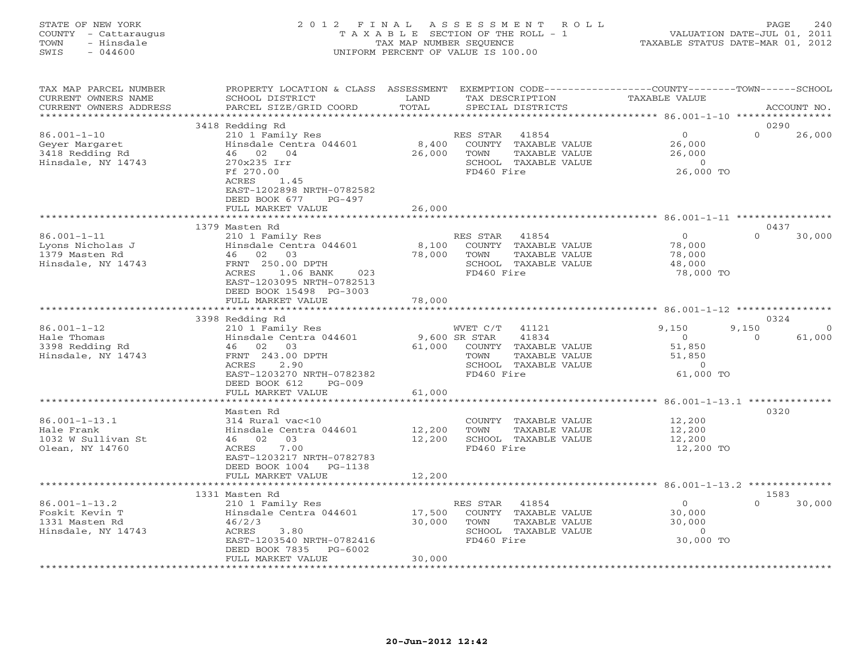| STATE OF NEW YORK<br>COUNTY - Cattaraugus<br>- Hinsdale<br>TOWN<br>SWIS<br>$-044600$ |                                                                                                                                                                                  | 2012 FINAL ASSESSMENT<br>ROLL<br>T A X A B L E SECTION OF THE ROLL - 1<br>TAX MAP NUMBER SEQUENCE<br>UNIFORM PERCENT OF VALUE IS 100.00                 | PAGE<br>240<br>VALUATION DATE-JUL 01, 2011<br>TAXABLE STATUS DATE-MAR 01, 2012    |
|--------------------------------------------------------------------------------------|----------------------------------------------------------------------------------------------------------------------------------------------------------------------------------|---------------------------------------------------------------------------------------------------------------------------------------------------------|-----------------------------------------------------------------------------------|
| TAX MAP PARCEL NUMBER<br>CURRENT OWNERS NAME<br>CURRENT OWNERS ADDRESS               | SCHOOL DISTRICT<br>PARCEL SIZE/GRID COORD                                                                                                                                        | PROPERTY LOCATION & CLASS ASSESSMENT EXEMPTION CODE---------------COUNTY-------TOWN-----SCHOOL<br>LAND<br>TAX DESCRIPTION<br>TOTAL<br>SPECIAL DISTRICTS | TAXABLE VALUE<br>ACCOUNT NO.                                                      |
| ***********************                                                              |                                                                                                                                                                                  |                                                                                                                                                         |                                                                                   |
|                                                                                      | 3418 Redding Rd                                                                                                                                                                  |                                                                                                                                                         | 0290                                                                              |
| $86.001 - 1 - 10$<br>Geyer Margaret<br>3418 Redding Rd<br>Hinsdale, NY 14743         | 210 1 Family Res<br>Hinsdale Centra 044601<br>46 02 04<br>270x235 Irr<br>Ff 270.00<br>ACRES<br>1.45<br>EAST-1202898 NRTH-0782582<br>DEED BOOK 677<br>PG-497<br>FULL MARKET VALUE | RES STAR<br>41854<br>8,400<br>COUNTY TAXABLE VALUE<br>26,000<br>TOWN<br>TAXABLE VALUE<br>SCHOOL TAXABLE VALUE<br>FD460 Fire<br>26,000                   | $\Omega$<br>$\Omega$<br>26,000<br>26,000<br>26,000<br>$\overline{0}$<br>26,000 TO |
|                                                                                      |                                                                                                                                                                                  |                                                                                                                                                         |                                                                                   |
|                                                                                      | 1379 Masten Rd                                                                                                                                                                   |                                                                                                                                                         | 0437                                                                              |
| $86.001 - 1 - 11$<br>Lyons Nicholas J<br>1379 Masten Rd<br>Hinsdale, NY 14743        | 210 1 Family Res<br>Hinsdale Centra 044601<br>46 02 03<br>FRNT 250.00 DPTH<br>ACRES<br>1.06 BANK<br>023<br>EAST-1203095 NRTH-0782513<br>DEED BOOK 15498 PG-3003                  | RES STAR<br>41854<br>8,100<br>COUNTY TAXABLE VALUE<br>78,000<br>TOWN<br>TAXABLE VALUE<br>SCHOOL TAXABLE VALUE<br>FD460 Fire                             | $\overline{0}$<br>$\Omega$<br>30,000<br>78,000<br>78,000<br>48,000<br>78,000 TO   |
|                                                                                      | FULL MARKET VALUE                                                                                                                                                                | 78,000                                                                                                                                                  |                                                                                   |
|                                                                                      |                                                                                                                                                                                  |                                                                                                                                                         |                                                                                   |
| $86.001 - 1 - 12$                                                                    | 3398 Redding Rd<br>210 1 Family Res                                                                                                                                              | WVET C/T<br>41121                                                                                                                                       | 0324<br>9.150<br>9,150<br>$\Omega$                                                |
| Hale Thomas<br>3398 Redding Rd<br>Hinsdale, NY 14743                                 | Hinsdale Centra 044601<br>46 02 03<br>FRNT 243.00 DPTH<br>ACRES<br>2.90<br>EAST-1203270 NRTH-0782382<br>DEED BOOK 612<br>$PG-009$                                                | 9,600 SR STAR<br>41834<br>61,000<br>COUNTY TAXABLE VALUE<br>TOWN<br>TAXABLE VALUE<br>SCHOOL TAXABLE VALUE<br>FD460 Fire                                 | 61,000<br>$\Omega$<br>$\overline{O}$<br>51,850<br>51,850<br>$\Omega$<br>61,000 TO |
|                                                                                      | FULL MARKET VALUE                                                                                                                                                                | 61,000                                                                                                                                                  |                                                                                   |
|                                                                                      | Masten Rd                                                                                                                                                                        |                                                                                                                                                         | 0320                                                                              |
| $86.001 - 1 - 13.1$<br>Hale Frank<br>1032 W Sullivan St<br>Olean, NY 14760           | 314 Rural vac<10<br>Hinsdale Centra 044601<br>03<br>46 02<br>7.00<br>ACRES<br>EAST-1203217 NRTH-0782783<br>DEED BOOK 1004 PG-1138                                                | COUNTY TAXABLE VALUE<br>TAXABLE VALUE<br>12,200<br>TOWN<br>12,200<br>SCHOOL TAXABLE VALUE<br>FD460 Fire                                                 | 12,200<br>12,200<br>12,200<br>12,200 TO                                           |
|                                                                                      | FULL MARKET VALUE                                                                                                                                                                | 12,200                                                                                                                                                  |                                                                                   |
|                                                                                      | 1331 Masten Rd                                                                                                                                                                   |                                                                                                                                                         | 1583                                                                              |
| $86.001 - 1 - 13.2$<br>Foskit Kevin T<br>1331 Masten Rd                              | 210 1 Family Res<br>Hinsdale Centra 044601<br>46/2/3                                                                                                                             | 41854<br>RES STAR<br>17,500<br>COUNTY TAXABLE VALUE<br>30,000<br>TOWN<br>TAXABLE VALUE                                                                  | $\circ$<br>30,000<br>30,000<br>30,000                                             |

 $30,000 \qquad {\rm TOWN} \qquad {\rm TAXABLE\ VALUE} \\ 3.80 \qquad {\rm SCHOOL} \quad {\rm TAXABLE\ VALUE}$ 

\*\*\*\*\*\*\*\*\*\*\*\*\*\*\*\*\*\*\*\*\*\*\*\*\*\*\*\*\*\*\*\*\*\*\*\*\*\*\*\*\*\*\*\*\*\*\*\*\*\*\*\*\*\*\*\*\*\*\*\*\*\*\*\*\*\*\*\*\*\*\*\*\*\*\*\*\*\*\*\*\*\*\*\*\*\*\*\*\*\*\*\*\*\*\*\*\*\*\*\*\*\*\*\*\*\*\*\*\*\*\*\*\*\*\*\*\*\*\*\*\*\*\*\*\*\*\*\*\*\*\*\*

EAST-1203540 NRTH-0782416 FD460 Fire 30,000 TO

Hinsdale, NY 14743 ACRES 3.80 SCHOOL TAXABLE VALUE 0

DEED BOOK 7835 PG-6002

FULL MARKET VALUE 30,000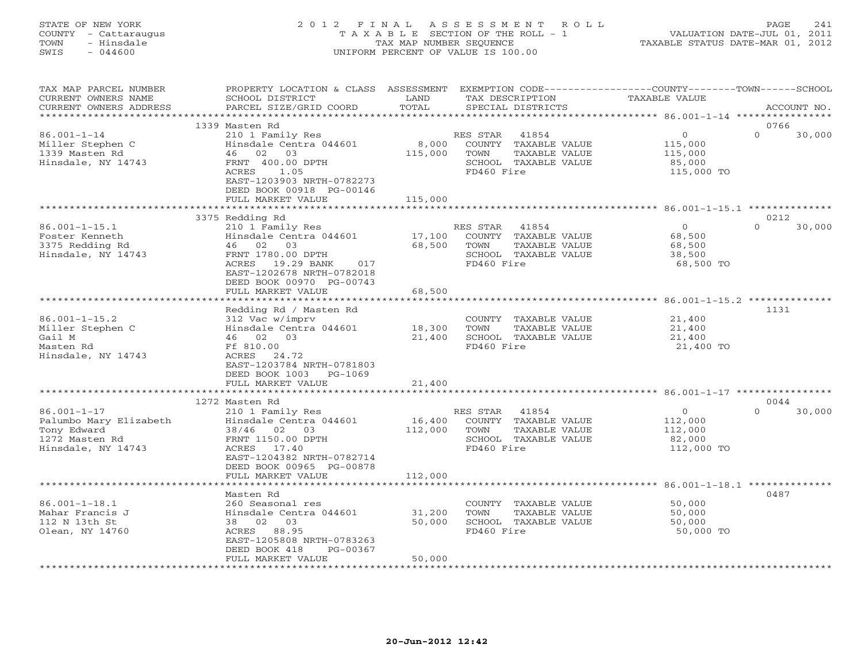# STATE OF NEW YORK 2 0 1 2 F I N A L A S S E S S M E N T R O L L PAGE 241 COUNTY - Cattaraugus T A X A B L E SECTION OF THE ROLL - 1 VALUATION DATE-JUL 01, 2011 TOWN - Hinsdale TAX MAP NUMBER SEQUENCE TAXABLE STATUS DATE-MAR 01, 2012 SWIS - 044600 UNIFORM PERCENT OF VALUE IS 100.00UNIFORM PERCENT OF VALUE IS 100.00

| TAX MAP PARCEL NUMBER<br>CURRENT OWNERS NAME<br>CURRENT OWNERS ADDRESS               | PROPERTY LOCATION & CLASS<br>SCHOOL DISTRICT<br>PARCEL SIZE/GRID COORD                                                                                                                      | ASSESSMENT<br>LAND<br>TOTAL | EXEMPTION CODE-----------------COUNTY-------TOWN------SCHOOL<br>TAX DESCRIPTION<br>SPECIAL DISTRICTS     | TAXABLE VALUE                                            | ACCOUNT NO.                |
|--------------------------------------------------------------------------------------|---------------------------------------------------------------------------------------------------------------------------------------------------------------------------------------------|-----------------------------|----------------------------------------------------------------------------------------------------------|----------------------------------------------------------|----------------------------|
|                                                                                      |                                                                                                                                                                                             | * * * * * * *               |                                                                                                          | *********** 86.001-1-14 *****************                |                            |
| $86.001 - 1 - 14$<br>Miller Stephen C<br>1339 Masten Rd<br>Hinsdale, NY 14743        | 1339 Masten Rd<br>210 1 Family Res<br>Hinsdale Centra 044601<br>46 02 03<br>FRNT 400.00 DPTH<br>ACRES<br>1.05<br>EAST-1203903 NRTH-0782273<br>DEED BOOK 00918 PG-00146<br>FULL MARKET VALUE | 8,000<br>115,000<br>115,000 | 41854<br>RES STAR<br>COUNTY TAXABLE VALUE<br>TOWN<br>TAXABLE VALUE<br>SCHOOL TAXABLE VALUE<br>FD460 Fire | $\circ$<br>115,000<br>115,000<br>85,000<br>115,000 TO    | 0766<br>$\Omega$<br>30,000 |
|                                                                                      |                                                                                                                                                                                             | ********                    |                                                                                                          |                                                          |                            |
| $86.001 - 1 - 15.1$<br>Foster Kenneth<br>3375 Redding Rd<br>Hinsdale, NY 14743       | 3375 Redding Rd<br>210 1 Family Res<br>Hinsdale Centra 044601<br>46 02 03<br>FRNT 1780.00 DPTH<br>ACRES<br>19.29 BANK<br>017<br>EAST-1202678 NRTH-0782018<br>DEED BOOK 00970 PG-00743       | 17,100<br>68,500            | RES STAR<br>41854<br>COUNTY TAXABLE VALUE<br>TOWN<br>TAXABLE VALUE<br>SCHOOL TAXABLE VALUE<br>FD460 Fire | $\Omega$<br>68,500<br>68,500<br>38,500<br>68,500 TO      | 0212<br>$\Omega$<br>30,000 |
|                                                                                      | FULL MARKET VALUE                                                                                                                                                                           | 68,500                      |                                                                                                          |                                                          |                            |
|                                                                                      | *********************<br>Redding Rd / Masten Rd                                                                                                                                             | ************                |                                                                                                          |                                                          | 1131                       |
| $86.001 - 1 - 15.2$<br>Miller Stephen C<br>Gail M<br>Masten Rd<br>Hinsdale, NY 14743 | 312 Vac w/imprv<br>Hinsdale Centra 044601<br>02 03<br>46<br>Ff 810.00<br>ACRES<br>24.72<br>EAST-1203784 NRTH-0781803<br>DEED BOOK 1003<br>PG-1069                                           | 18,300<br>21,400            | COUNTY TAXABLE VALUE<br>TOWN<br>TAXABLE VALUE<br>SCHOOL TAXABLE VALUE<br>FD460 Fire                      | 21,400<br>21,400<br>21,400<br>21,400 TO                  |                            |
|                                                                                      | FULL MARKET VALUE                                                                                                                                                                           | 21,400                      |                                                                                                          | ******************************* 86.001-1-17 ************ |                            |
| $86.001 - 1 - 17$<br>Palumbo Mary Elizabeth                                          | 1272 Masten Rd<br>210 1 Family Res<br>Hinsdale Centra 044601                                                                                                                                | 16,400                      | 41854<br>RES STAR<br>COUNTY TAXABLE VALUE                                                                | $\circ$<br>112,000                                       | 0044<br>30,000<br>$\Omega$ |
| Tony Edward<br>1272 Masten Rd<br>Hinsdale, NY 14743                                  | 38/46<br>02 03<br>FRNT 1150.00 DPTH<br>17.40<br>ACRES<br>EAST-1204382 NRTH-0782714<br>DEED BOOK 00965 PG-00878                                                                              | 112,000                     | TOWN<br>TAXABLE VALUE<br>SCHOOL TAXABLE VALUE<br>FD460 Fire                                              | 112,000<br>82,000<br>112,000 TO                          |                            |
|                                                                                      | FULL MARKET VALUE<br>***********************                                                                                                                                                | 112,000                     |                                                                                                          |                                                          |                            |
| $86.001 - 1 - 18.1$<br>Mahar Francis J<br>112 N 13th St<br>Olean, NY 14760           | Masten Rd<br>260 Seasonal res<br>Hinsdale Centra 044601<br>38 02 03<br>ACRES 88.95<br>EAST-1205808 NRTH-0783263<br>DEED BOOK 418<br>PG-00367                                                | 31,200<br>50,000            | COUNTY TAXABLE VALUE<br>TOWN<br>TAXABLE VALUE<br>SCHOOL TAXABLE VALUE<br>FD460 Fire                      | 50,000<br>50,000<br>50,000<br>50,000 TO                  | 0487                       |
|                                                                                      | FULL MARKET VALUE                                                                                                                                                                           | 50,000                      |                                                                                                          |                                                          |                            |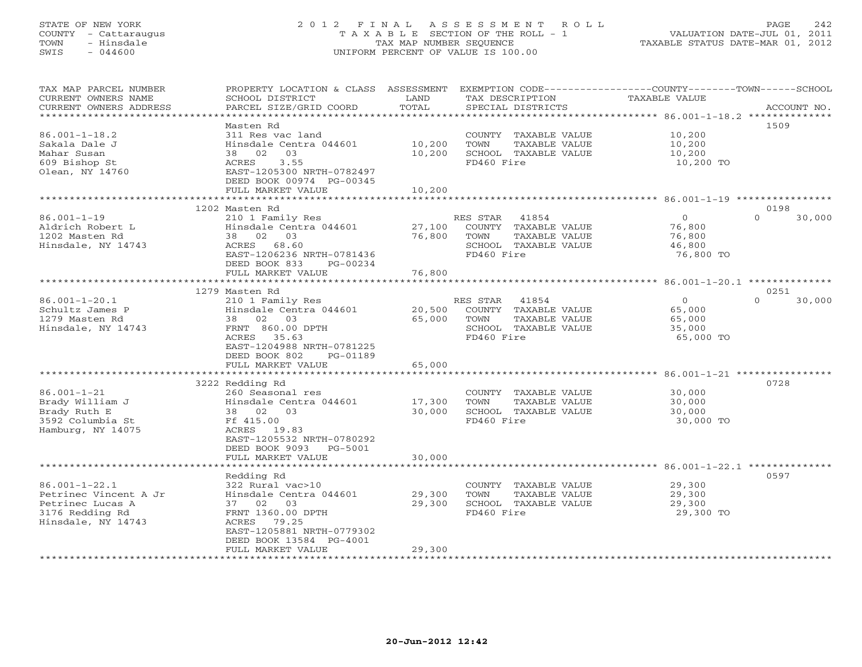# STATE OF NEW YORK 2 0 1 2 F I N A L A S S E S S M E N T R O L L PAGE 242 COUNTY - Cattaraugus T A X A B L E SECTION OF THE ROLL - 1 VALUATION DATE-JUL 01, 2011 TOWN - Hinsdale TAX MAP NUMBER SEQUENCE TAXABLE STATUS DATE-MAR 01, 2012 SWIS - 044600 UNIFORM PERCENT OF VALUE IS 100.00UNIFORM PERCENT OF VALUE IS 100.00

| TAX MAP PARCEL NUMBER<br>CURRENT OWNERS NAME<br>CURRENT OWNERS ADDRESS | PROPERTY LOCATION & CLASS ASSESSMENT<br>SCHOOL DISTRICT<br>PARCEL SIZE/GRID COORD | LAND<br>TOTAL    | TAX DESCRIPTION<br>SPECIAL DISTRICTS                                                | EXEMPTION CODE-----------------COUNTY-------TOWN------SCHOOL<br>TAXABLE VALUE<br>ACCOUNT NO. |
|------------------------------------------------------------------------|-----------------------------------------------------------------------------------|------------------|-------------------------------------------------------------------------------------|----------------------------------------------------------------------------------------------|
| **********************                                                 |                                                                                   |                  |                                                                                     |                                                                                              |
|                                                                        | Masten Rd                                                                         |                  |                                                                                     | 1509                                                                                         |
| $86.001 - 1 - 18.2$<br>Sakala Dale J<br>Mahar Susan<br>609 Bishop St   | 311 Res vac land<br>Hinsdale Centra 044601<br>38<br>02<br>03<br>ACRES<br>3.55     | 10,200<br>10,200 | COUNTY TAXABLE VALUE<br>TOWN<br>TAXABLE VALUE<br>SCHOOL TAXABLE VALUE<br>FD460 Fire | 10,200<br>10,200<br>10,200<br>10,200 TO                                                      |
| Olean, NY 14760                                                        | EAST-1205300 NRTH-0782497<br>DEED BOOK 00974 PG-00345<br>FULL MARKET VALUE        | 10,200           |                                                                                     |                                                                                              |
|                                                                        |                                                                                   |                  |                                                                                     |                                                                                              |
|                                                                        | 1202 Masten Rd                                                                    |                  |                                                                                     | 0198                                                                                         |
| $86.001 - 1 - 19$                                                      | 210 1 Family Res                                                                  |                  | RES STAR<br>41854                                                                   | $\Omega$<br>$\Omega$<br>30,000                                                               |
| Aldrich Robert L                                                       | Hinsdale Centra 044601                                                            | 27,100           | COUNTY TAXABLE VALUE                                                                | 76,800                                                                                       |
| 1202 Masten Rd                                                         | 38 02 03                                                                          | 76,800           | TOWN<br>TAXABLE VALUE                                                               | 76,800                                                                                       |
| Hinsdale, NY 14743                                                     | ACRES<br>68.60                                                                    |                  | SCHOOL TAXABLE VALUE                                                                | 46,800                                                                                       |
|                                                                        | EAST-1206236 NRTH-0781436                                                         |                  | FD460 Fire                                                                          | 76,800 TO                                                                                    |
|                                                                        | DEED BOOK 833<br>PG-00234                                                         |                  |                                                                                     |                                                                                              |
|                                                                        | FULL MARKET VALUE                                                                 | 76,800           |                                                                                     |                                                                                              |
|                                                                        | ***********************                                                           | *********        |                                                                                     | ************************* 86.001-1-20.1 **************                                       |
|                                                                        | 1279 Masten Rd                                                                    |                  |                                                                                     | 0251                                                                                         |
| $86.001 - 1 - 20.1$                                                    | 210 1 Family Res                                                                  |                  | 41854<br>RES STAR                                                                   | $\overline{O}$<br>30,000<br>$\Omega$                                                         |
| Schultz James P                                                        | Hinsdale Centra 044601                                                            | 20,500           | COUNTY TAXABLE VALUE                                                                | 65,000                                                                                       |
| 1279 Masten Rd                                                         | 02 03<br>38                                                                       | 65,000           | TOWN<br>TAXABLE VALUE                                                               | 65,000                                                                                       |
| Hinsdale, NY 14743                                                     | FRNT 860.00 DPTH                                                                  |                  | SCHOOL TAXABLE VALUE                                                                | 35,000                                                                                       |
|                                                                        | ACRES 35.63                                                                       |                  | FD460 Fire                                                                          | 65,000 TO                                                                                    |
|                                                                        | EAST-1204988 NRTH-0781225                                                         |                  |                                                                                     |                                                                                              |
|                                                                        | DEED BOOK 802<br>PG-01189                                                         |                  |                                                                                     |                                                                                              |
|                                                                        | FULL MARKET VALUE                                                                 | 65,000           |                                                                                     |                                                                                              |
|                                                                        |                                                                                   |                  |                                                                                     | $86.001 - 1 - 21$ ***                                                                        |
|                                                                        | 3222 Redding Rd                                                                   |                  |                                                                                     | 0728                                                                                         |
| $86.001 - 1 - 21$                                                      | 260 Seasonal res                                                                  |                  | COUNTY TAXABLE VALUE                                                                | 30,000                                                                                       |
| Brady William J                                                        | Hinsdale Centra 044601                                                            | 17,300           | TOWN<br>TAXABLE VALUE                                                               | 30,000                                                                                       |
| Brady Ruth E                                                           | $02$ 03<br>38                                                                     | 30,000           | SCHOOL TAXABLE VALUE                                                                | 30,000                                                                                       |
| 3592 Columbia St                                                       | Ff 415.00                                                                         |                  | FD460 Fire                                                                          | 30,000 TO                                                                                    |
| Hamburg, NY 14075                                                      | ACRES 19.83<br>EAST-1205532 NRTH-0780292                                          |                  |                                                                                     |                                                                                              |
|                                                                        | PG-5001                                                                           |                  |                                                                                     |                                                                                              |
|                                                                        | DEED BOOK 9093<br>FULL MARKET VALUE                                               | 30,000           |                                                                                     |                                                                                              |
|                                                                        |                                                                                   |                  |                                                                                     |                                                                                              |
|                                                                        | Redding Rd                                                                        |                  |                                                                                     | 0597                                                                                         |
| $86.001 - 1 - 22.1$                                                    | 322 Rural vac>10                                                                  |                  | COUNTY TAXABLE VALUE                                                                | 29,300                                                                                       |
| Petrinec Vincent A Jr                                                  | Hinsdale Centra 044601                                                            | 29,300           | TOWN<br>TAXABLE VALUE                                                               | 29,300                                                                                       |
| Petrinec Lucas A                                                       | 37 02 03                                                                          | 29,300           | SCHOOL TAXABLE VALUE                                                                | 29,300                                                                                       |
| 3176 Redding Rd                                                        | FRNT 1360.00 DPTH                                                                 |                  | FD460 Fire                                                                          | 29,300 TO                                                                                    |
| Hinsdale, NY 14743                                                     | ACRES 79.25                                                                       |                  |                                                                                     |                                                                                              |
|                                                                        | EAST-1205881 NRTH-0779302                                                         |                  |                                                                                     |                                                                                              |
|                                                                        | DEED BOOK 13584 PG-4001                                                           |                  |                                                                                     |                                                                                              |
|                                                                        | FULL MARKET VALUE                                                                 | 29,300           |                                                                                     |                                                                                              |
|                                                                        |                                                                                   |                  |                                                                                     |                                                                                              |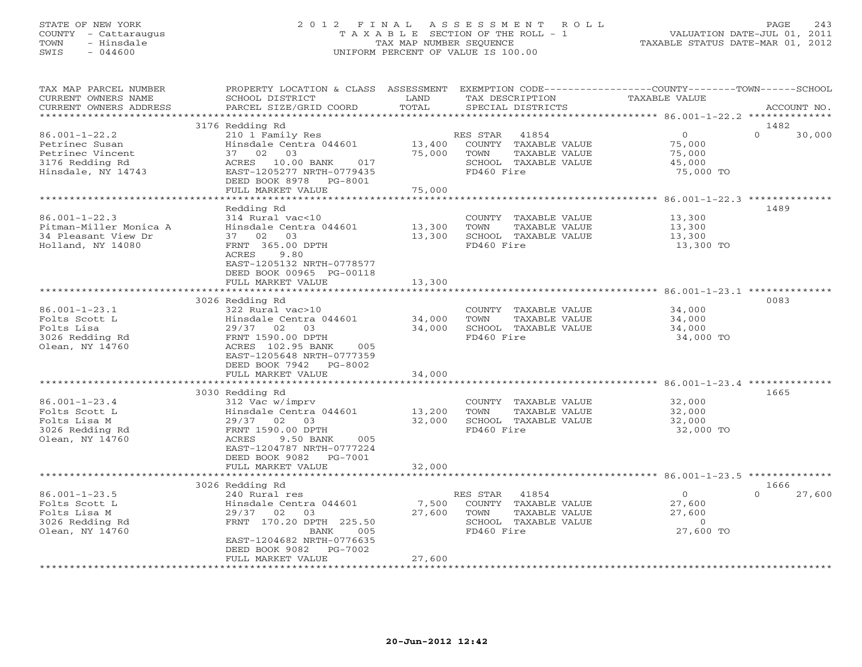# STATE OF NEW YORK 2 0 1 2 F I N A L A S S E S S M E N T R O L L PAGE 243 COUNTY - Cattaraugus T A X A B L E SECTION OF THE ROLL - 1 VALUATION DATE-JUL 01, 2011 TOWN - Hinsdale TAX MAP NUMBER SEQUENCE TAXABLE STATUS DATE-MAR 01, 2012 SWIS - 044600 UNIFORM PERCENT OF VALUE IS 100.00UNIFORM PERCENT OF VALUE IS 100.00

| TAX MAP PARCEL NUMBER<br>CURRENT OWNERS NAME<br>CURRENT OWNERS ADDRESS                             | PROPERTY LOCATION & CLASS ASSESSMENT<br>SCHOOL DISTRICT<br>PARCEL SIZE/GRID COORD                                                                                                                         | LAND<br>TOTAL                  | EXEMPTION CODE-----------------COUNTY-------TOWN------SCHOOL<br>TAX DESCRIPTION<br>SPECIAL DISTRICTS |               | TAXABLE VALUE |                                                            |                  | ACCOUNT NO. |
|----------------------------------------------------------------------------------------------------|-----------------------------------------------------------------------------------------------------------------------------------------------------------------------------------------------------------|--------------------------------|------------------------------------------------------------------------------------------------------|---------------|---------------|------------------------------------------------------------|------------------|-------------|
| **********************                                                                             |                                                                                                                                                                                                           |                                |                                                                                                      |               |               |                                                            |                  |             |
| $86.001 - 1 - 22.2$<br>Petrinec Susan<br>Petrinec Vincent<br>3176 Redding Rd<br>Hinsdale, NY 14743 | 3176 Redding Rd<br>210 1 Family Res<br>Hinsdale Centra 044601<br>37 02 03<br>ACRES 10.00 BANK<br>017<br>EAST-1205277 NRTH-0779435<br>DEED BOOK 8978 PG-8001<br>FULL MARKET VALUE                          | 13,400<br>75,000<br>75,000     | RES STAR<br>41854<br>COUNTY TAXABLE VALUE<br>TOWN<br>SCHOOL TAXABLE VALUE<br>FD460 Fire              | TAXABLE VALUE |               | 0<br>75,000<br>75,000<br>45,000<br>75,000 TO               | 1482<br>$\Omega$ | 30,000      |
|                                                                                                    |                                                                                                                                                                                                           |                                |                                                                                                      |               |               |                                                            |                  |             |
| $86.001 - 1 - 22.3$<br>Pitman-Miller Monica A<br>34 Pleasant View Dr<br>Holland, NY 14080          | Redding Rd<br>314 Rural vac<10<br>Hinsdale Centra 044601<br>37 02 03<br>FRNT 365.00 DPTH<br>ACRES<br>9.80<br>EAST-1205132 NRTH-0778577<br>DEED BOOK 00965 PG-00118<br>FULL MARKET VALUE                   | 13,300<br>13,300<br>13,300     | COUNTY TAXABLE VALUE<br>TOWN<br>SCHOOL TAXABLE VALUE<br>FD460 Fire                                   | TAXABLE VALUE |               | 13,300<br>13,300<br>13,300<br>13,300 TO                    | 1489             |             |
|                                                                                                    |                                                                                                                                                                                                           | ******************             |                                                                                                      |               |               |                                                            |                  |             |
| $86.001 - 1 - 23.1$<br>Folts Scott L<br>Folts Lisa<br>3026 Redding Rd<br>Olean, NY 14760           | 3026 Redding Rd<br>322 Rural vac>10<br>Hinsdale Centra 044601<br>29/37 02 03<br>FRNT 1590.00 DPTH<br>ACRES 102.95 BANK<br>005<br>EAST-1205648 NRTH-0777359<br>DEED BOOK 7942 PG-8002<br>FULL MARKET VALUE | 34,000<br>34,000<br>34,000     | COUNTY TAXABLE VALUE<br>TOWN<br>SCHOOL TAXABLE VALUE<br>FD460 Fire                                   | TAXABLE VALUE |               | 34,000<br>34,000<br>34,000<br>34,000 TO                    | 0083             |             |
|                                                                                                    |                                                                                                                                                                                                           |                                |                                                                                                      |               |               |                                                            |                  |             |
| $86.001 - 1 - 23.4$<br>Folts Scott L<br>Folts Lisa M<br>3026 Redding Rd<br>Olean, NY 14760         | 3030 Redding Rd<br>312 Vac w/imprv<br>Hinsdale Centra 044601<br>29/37 02 03<br>FRNT 1590.00 DPTH<br>ACRES<br>9.50 BANK<br>005<br>EAST-1204787 NRTH-0777224<br>DEED BOOK 9082 PG-7001                      | 13,200<br>32,000               | COUNTY TAXABLE VALUE<br>TOWN<br>SCHOOL TAXABLE VALUE<br>FD460 Fire                                   | TAXABLE VALUE |               | 32,000<br>32,000<br>32,000<br>32,000 TO                    | 1665             |             |
|                                                                                                    | FULL MARKET VALUE                                                                                                                                                                                         | 32,000                         |                                                                                                      |               |               |                                                            |                  |             |
|                                                                                                    | 3026 Redding Rd                                                                                                                                                                                           |                                |                                                                                                      |               |               |                                                            | 1666             |             |
| $86.001 - 1 - 23.5$<br>Folts Scott L<br>Folts Lisa M<br>3026 Redding Rd<br>Olean, NY 14760         | 240 Rural res<br>Hinsdale Centra 044601<br>29/37<br>02<br>03<br>FRNT 170.20 DPTH 225.50<br>BANK<br>005<br>EAST-1204682 NRTH-0776635<br>DEED BOOK 9082<br>PG-7002                                          | 7,500<br>27,600                | RES STAR<br>41854<br>COUNTY TAXABLE VALUE<br>TOWN<br>SCHOOL TAXABLE VALUE<br>FD460 Fire              | TAXABLE VALUE |               | $\overline{O}$<br>27,600<br>27,600<br>$\circ$<br>27,600 TO | $\Omega$         | 27,600      |
|                                                                                                    | FULL MARKET VALUE<br>************************                                                                                                                                                             | 27,600<br>******************** |                                                                                                      |               |               |                                                            |                  |             |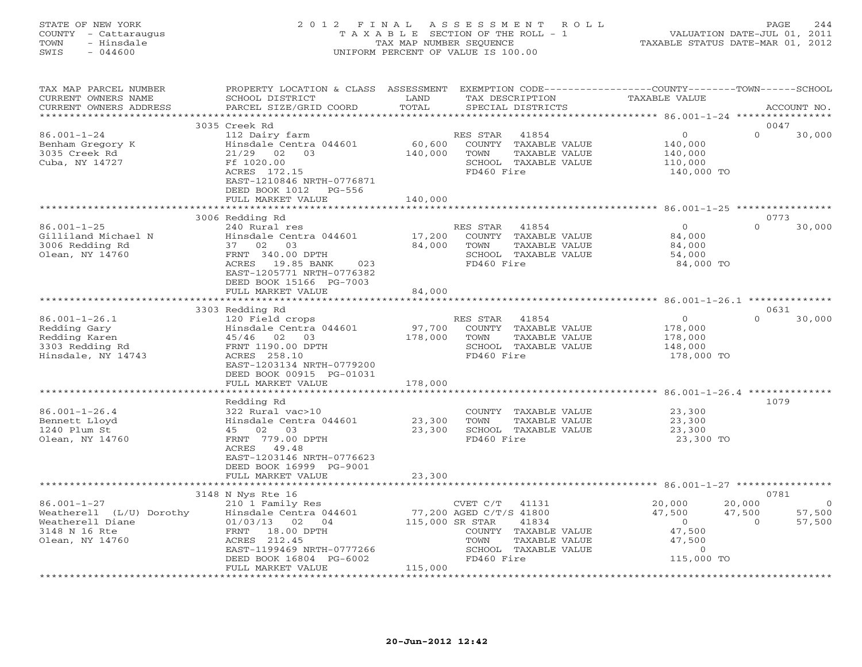# STATE OF NEW YORK 2 0 1 2 F I N A L A S S E S S M E N T R O L L PAGE 244 COUNTY - Cattaraugus T A X A B L E SECTION OF THE ROLL - 1 VALUATION DATE-JUL 01, 2011 TOWN - Hinsdale TAX MAP NUMBER SEQUENCE TAXABLE STATUS DATE-MAR 01, 2012 SWIS - 044600 UNIFORM PERCENT OF VALUE IS 100.00UNIFORM PERCENT OF VALUE IS 100.00

| TAX MAP PARCEL NUMBER<br>CURRENT OWNERS NAME<br>CURRENT OWNERS ADDRESS                                | PROPERTY LOCATION & CLASS ASSESSMENT<br>SCHOOL DISTRICT<br>PARCEL SIZE/GRID COORD                                                                         | LAND<br>TOTAL           | EXEMPTION CODE----------------COUNTY-------TOWN------SCHOOL<br>TAX DESCRIPTION<br>SPECIAL DISTRICTS                            | TAXABLE VALUE                                                                         | ACCOUNT NO.                                            |
|-------------------------------------------------------------------------------------------------------|-----------------------------------------------------------------------------------------------------------------------------------------------------------|-------------------------|--------------------------------------------------------------------------------------------------------------------------------|---------------------------------------------------------------------------------------|--------------------------------------------------------|
| ************************                                                                              |                                                                                                                                                           |                         |                                                                                                                                |                                                                                       |                                                        |
|                                                                                                       | 3035 Creek Rd                                                                                                                                             |                         |                                                                                                                                |                                                                                       | 0047                                                   |
| $86.001 - 1 - 24$<br>Benham Gregory K<br>3035 Creek Rd<br>Cuba, NY 14727                              | 112 Dairy farm<br>Hinsdale Centra 044601<br>$21/29$ 02<br>03<br>Ff 1020.00<br>ACRES 172.15<br>EAST-1210846 NRTH-0776871                                   | 60,600<br>140,000       | RES STAR<br>41854<br>COUNTY TAXABLE VALUE<br>TOWN<br>TAXABLE VALUE<br>SCHOOL TAXABLE VALUE<br>FD460 Fire                       | $\circ$<br>140,000<br>140,000<br>110,000<br>140,000 TO                                | $\Omega$<br>30,000                                     |
|                                                                                                       | DEED BOOK 1012<br>$PG-556$                                                                                                                                |                         |                                                                                                                                |                                                                                       |                                                        |
|                                                                                                       | FULL MARKET VALUE                                                                                                                                         | 140,000<br>************ |                                                                                                                                |                                                                                       |                                                        |
|                                                                                                       |                                                                                                                                                           |                         |                                                                                                                                |                                                                                       | 0773                                                   |
| $86.001 - 1 - 25$<br>Gilliland Michael N<br>3006 Redding Rd<br>Olean, NY 14760                        | 3006 Redding Rd<br>240 Rural res<br>Hinsdale Centra 044601<br>37 02 03<br>FRNT 340.00 DPTH<br>ACRES 19.85 BANK<br>023<br>EAST-1205771 NRTH-0776382        | 17,200<br>84,000        | RES STAR<br>41854<br>COUNTY TAXABLE VALUE<br>TOWN<br>TAXABLE VALUE<br>SCHOOL TAXABLE VALUE<br>FD460 Fire                       | $\circ$<br>84,000<br>84,000<br>54,000<br>84,000 TO                                    | $\Omega$<br>30,000                                     |
|                                                                                                       | DEED BOOK 15166 PG-7003<br>FULL MARKET VALUE                                                                                                              | 84,000                  |                                                                                                                                |                                                                                       |                                                        |
|                                                                                                       |                                                                                                                                                           |                         |                                                                                                                                |                                                                                       |                                                        |
| $86.001 - 1 - 26.1$<br>Redding Gary<br>Redding Karen<br>3303 Redding Rd<br>Hinsdale, NY 14743         | 3303 Redding Rd<br>120 Field crops<br>Hinsdale Centra 044601<br>45/46 02 03<br>FRNT 1190.00 DPTH<br>ACRES 258.10<br>EAST-1203134 NRTH-0779200             | 97,700<br>178,000       | RES STAR 41854<br>COUNTY TAXABLE VALUE<br>TOWN<br>TAXABLE VALUE<br>SCHOOL TAXABLE VALUE<br>FD460 Fire                          | $\circ$<br>178,000<br>178,000<br>148,000<br>178,000 TO                                | 0631<br>$\Omega$<br>30,000                             |
|                                                                                                       | DEED BOOK 00915 PG-01031<br>FULL MARKET VALUE                                                                                                             | 178,000                 |                                                                                                                                |                                                                                       |                                                        |
|                                                                                                       |                                                                                                                                                           |                         |                                                                                                                                |                                                                                       |                                                        |
|                                                                                                       | Redding Rd                                                                                                                                                |                         |                                                                                                                                |                                                                                       | 1079                                                   |
| $86.001 - 1 - 26.4$<br>Bennett Lloyd<br>1240 Plum St<br>Olean, NY 14760                               | 322 Rural vac>10<br>Hinsdale Centra 044601<br>45 02 03<br>FRNT 779.00 DPTH<br>ACRES 49.48<br>EAST-1203146 NRTH-0776623<br>DEED BOOK 16999 PG-9001         | 23,300<br>23,300        | COUNTY TAXABLE VALUE<br>TAXABLE VALUE<br>TOWN<br>SCHOOL TAXABLE VALUE<br>FD460 Fire                                            | 23,300<br>23,300<br>23,300<br>23,300 TO                                               |                                                        |
|                                                                                                       | FULL MARKET VALUE                                                                                                                                         | 23,300                  |                                                                                                                                |                                                                                       |                                                        |
|                                                                                                       | ***********************                                                                                                                                   | ***************         |                                                                                                                                |                                                                                       |                                                        |
| $86.001 - 1 - 27$<br>Weatherell (L/U) Dorothy<br>Weatherell Diane<br>3148 N 16 Rte<br>Olean, NY 14760 | 3148 N Nys Rte 16<br>210 1 Family Res<br>Hinsdale Centra 044601<br>$01/03/13$ 02<br>04<br>FRNT<br>18.00 DPTH<br>ACRES 212.45<br>EAST-1199469 NRTH-0777266 | 115,000 SR STAR         | CVET C/T<br>41131<br>77,200 AGED C/T/S 41800<br>41834<br>COUNTY TAXABLE VALUE<br>TOWN<br>TAXABLE VALUE<br>SCHOOL TAXABLE VALUE | 20,000<br>20,000<br>47,500<br>47,500<br>$\overline{0}$<br>47,500<br>47,500<br>$\circ$ | 0781<br>$\overline{0}$<br>57,500<br>$\Omega$<br>57,500 |
|                                                                                                       | DEED BOOK 16804 PG-6002<br>FULL MARKET VALUE                                                                                                              | 115,000                 | FD460 Fire                                                                                                                     | 115,000 TO                                                                            |                                                        |
|                                                                                                       |                                                                                                                                                           |                         |                                                                                                                                |                                                                                       |                                                        |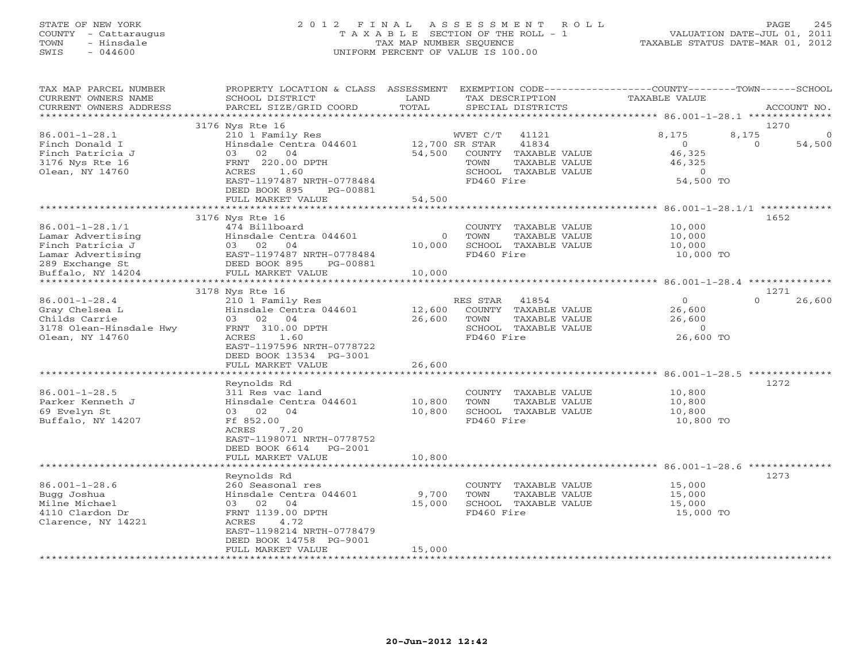# STATE OF NEW YORK 2 0 1 2 F I N A L A S S E S S M E N T R O L L PAGE 245 COUNTY - Cattaraugus T A X A B L E SECTION OF THE ROLL - 1 VALUATION DATE-JUL 01, 2011 TOWN - Hinsdale TAX MAP NUMBER SEQUENCE TAXABLE STATUS DATE-MAR 01, 2012 SWIS - 044600 UNIFORM PERCENT OF VALUE IS 100.00UNIFORM PERCENT OF VALUE IS 100.00

| TAX MAP PARCEL NUMBER<br>CURRENT OWNERS NAME<br>CURRENT OWNERS ADDRESS                               | PROPERTY LOCATION & CLASS<br>SCHOOL DISTRICT<br>PARCEL SIZE/GRID COORD                                                                                                         | ASSESSMENT<br>LAND<br>TOTAL | EXEMPTION CODE---<br>TAX DESCRIPTION<br>SPECIAL DISTRICTS                                                                           | -------------COUNTY--------TOWN------SCHOOL<br><b>TAXABLE VALUE</b>    | ACCOUNT NO.                            |
|------------------------------------------------------------------------------------------------------|--------------------------------------------------------------------------------------------------------------------------------------------------------------------------------|-----------------------------|-------------------------------------------------------------------------------------------------------------------------------------|------------------------------------------------------------------------|----------------------------------------|
|                                                                                                      |                                                                                                                                                                                | *********                   |                                                                                                                                     | ******************************** 86.001-1-28.1 ********                |                                        |
| $86.001 - 1 - 28.1$<br>Finch Donald I<br>Finch Patricia J<br>3176 Nys Rte 16<br>Olean, NY 14760      | 3176 Nys Rte 16<br>210 1 Family Res<br>Hinsdale Centra 044601<br>03<br>02<br>04<br>FRNT 220.00 DPTH<br>ACRES<br>1.60<br>EAST-1197487 NRTH-0778484                              | 54,500                      | WVET C/T<br>41121<br>41834<br>12,700 SR STAR<br>COUNTY TAXABLE VALUE<br>TAXABLE VALUE<br>TOWN<br>SCHOOL TAXABLE VALUE<br>FD460 Fire | 8,175<br>8,175<br>$\Omega$<br>46,325<br>46,325<br>$\circ$<br>54,500 TO | 1270<br>$\Omega$<br>$\Omega$<br>54,500 |
|                                                                                                      | DEED BOOK 895<br>PG-00881<br>FULL MARKET VALUE                                                                                                                                 | 54,500                      |                                                                                                                                     |                                                                        |                                        |
|                                                                                                      |                                                                                                                                                                                |                             |                                                                                                                                     | *********************** 86.001-1-28.1/1 ************                   |                                        |
| $86.001 - 1 - 28.1/1$<br>Lamar Advertising<br>Finch Patricia J<br>Lamar Advertising                  | 3176 Nys Rte 16<br>474 Billboard<br>Hinsdale Centra 044601<br>03 02<br>04<br>EAST-1197487 NRTH-0778484                                                                         | $\circ$<br>10,000           | COUNTY TAXABLE VALUE<br>TOWN<br>TAXABLE VALUE<br>SCHOOL TAXABLE VALUE<br>FD460 Fire                                                 | 10,000<br>10,000<br>10,000<br>10,000 TO                                | 1652                                   |
| 289 Exchange St                                                                                      | DEED BOOK 895<br>PG-00881                                                                                                                                                      |                             |                                                                                                                                     |                                                                        |                                        |
| Buffalo, NY 14204<br>********************                                                            | FULL MARKET VALUE<br>**************************                                                                                                                                | 10,000                      |                                                                                                                                     |                                                                        | **************                         |
|                                                                                                      | 3178 Nys Rte 16                                                                                                                                                                |                             |                                                                                                                                     |                                                                        | 1271                                   |
| $86.001 - 1 - 28.4$<br>Gray Chelsea L<br>Childs Carrie<br>3178 Olean-Hinsdale Hwy<br>Olean, NY 14760 | 210 1 Family Res<br>Hinsdale Centra 044601<br>02<br>04<br>03<br>FRNT 310.00 DPTH<br>ACRES<br>1.60<br>EAST-1197596 NRTH-0778722<br>DEED BOOK 13534 PG-3001<br>FULL MARKET VALUE | 12,600<br>26,600<br>26,600  | RES STAR<br>41854<br>COUNTY TAXABLE VALUE<br>TAXABLE VALUE<br>TOWN<br>SCHOOL TAXABLE VALUE<br>FD460 Fire                            | $\circ$<br>26,600<br>26,600<br>$\circ$<br>26,600 TO                    | $\Omega$<br>26,600                     |
|                                                                                                      | * * * * * * * * * * * * * * * * * * * *                                                                                                                                        | *************               |                                                                                                                                     | 86.001-1-28.5 ***************<br>**********************                |                                        |
| $86.001 - 1 - 28.5$<br>Parker Kenneth J<br>69 Evelyn St<br>Buffalo, NY 14207                         | Reynolds Rd<br>311 Res vac land<br>Hinsdale Centra 044601<br>02<br>04<br>03<br>Ff 852.00<br>7.20<br>ACRES<br>EAST-1198071 NRTH-0778752<br>DEED BOOK 6614<br>$PG-2001$          | 10,800<br>10,800            | COUNTY<br>TAXABLE VALUE<br>TAXABLE VALUE<br>TOWN<br>SCHOOL TAXABLE VALUE<br>FD460 Fire                                              | 10,800<br>10,800<br>10,800<br>10,800 TO                                | 1272                                   |
|                                                                                                      | FULL MARKET VALUE<br>*************************                                                                                                                                 | 10,800                      |                                                                                                                                     | *********************************** 86.001-1-28.6                      | **************                         |
| $86.001 - 1 - 28.6$<br>Bugg Joshua<br>Milne Michael<br>4110 Clardon Dr<br>Clarence, NY 14221         | Reynolds Rd<br>260 Seasonal res<br>Hinsdale Centra 044601<br>02<br>04<br>03<br>FRNT 1139.00 DPTH<br>ACRES<br>4.72<br>EAST-1198214 NRTH-0778479<br>DEED BOOK 14758 PG-9001      | 9,700<br>15,000             | COUNTY<br>TAXABLE VALUE<br>TOWN<br>TAXABLE VALUE<br>SCHOOL TAXABLE VALUE<br>FD460 Fire                                              | 15,000<br>15,000<br>15,000<br>15,000 TO                                | 1273                                   |
|                                                                                                      | FULL MARKET VALUE<br>* * * * * * * * * * * * * * * * * * *                                                                                                                     | 15,000<br>***********       | * * * * * * * * * * * * * * * *                                                                                                     |                                                                        |                                        |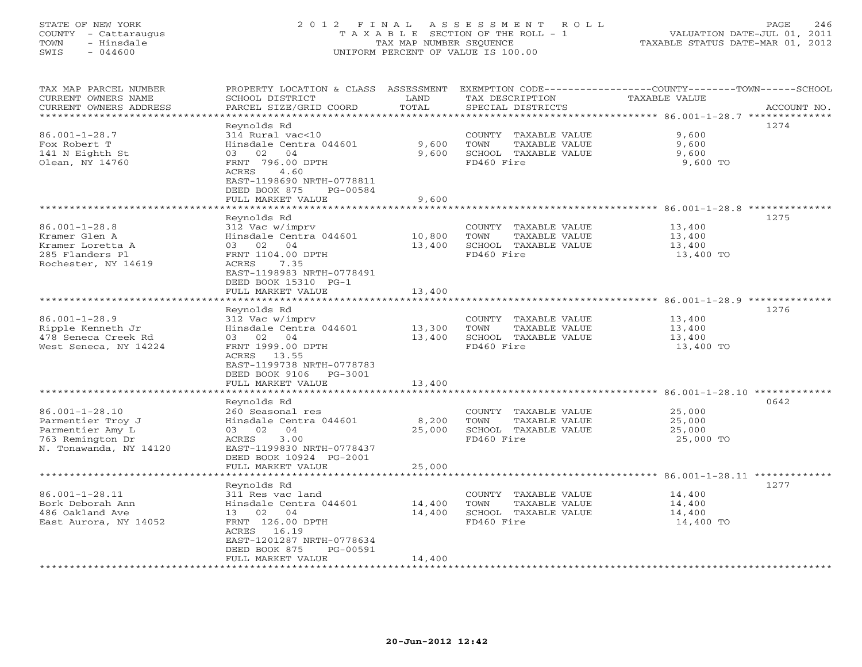# STATE OF NEW YORK 2 0 1 2 F I N A L A S S E S S M E N T R O L L PAGE 246 COUNTY - Cattaraugus T A X A B L E SECTION OF THE ROLL - 1 VALUATION DATE-JUL 01, 2011 TOWN - Hinsdale TAX MAP NUMBER SEQUENCE TAXABLE STATUS DATE-MAR 01, 2012 SWIS - 044600 UNIFORM PERCENT OF VALUE IS 100.00UNIFORM PERCENT OF VALUE IS 100.00

| TAX MAP PARCEL NUMBER  | PROPERTY LOCATION & CLASS ASSESSMENT |                  |                              | EXEMPTION CODE-----------------COUNTY-------TOWN------SCHOOL       |             |
|------------------------|--------------------------------------|------------------|------------------------------|--------------------------------------------------------------------|-------------|
| CURRENT OWNERS NAME    | SCHOOL DISTRICT                      | LAND             | TAX DESCRIPTION              | <b>TAXABLE VALUE</b>                                               |             |
| CURRENT OWNERS ADDRESS | PARCEL SIZE/GRID COORD               | TOTAL            | SPECIAL DISTRICTS            |                                                                    | ACCOUNT NO. |
| *********************  | *********************                | **************** |                              | ************************************* 86.001-1-28.7 ************** |             |
|                        | Reynolds Rd                          |                  |                              |                                                                    | 1274        |
| $86.001 - 1 - 28.7$    | 314 Rural vac<10                     |                  | COUNTY TAXABLE VALUE         | 9,600                                                              |             |
| Fox Robert T           | Hinsdale Centra 044601               | 9,600            | <b>TOWN</b><br>TAXABLE VALUE | 9,600                                                              |             |
| 141 N Eighth St        | 02<br>04<br>03                       | 9,600            | SCHOOL TAXABLE VALUE         | 9,600                                                              |             |
| Olean, NY 14760        | FRNT 796.00 DPTH                     |                  | FD460 Fire                   | 9,600 TO                                                           |             |
|                        | 4.60<br>ACRES                        |                  |                              |                                                                    |             |
|                        | EAST-1198690 NRTH-0778811            |                  |                              |                                                                    |             |
|                        | DEED BOOK 875<br>PG-00584            |                  |                              |                                                                    |             |
|                        | FULL MARKET VALUE                    | 9,600            |                              |                                                                    |             |
|                        |                                      |                  |                              | ***************** 86.001-1-28.8 *********                          |             |
|                        | Reynolds Rd                          |                  |                              |                                                                    | 1275        |
| $86.001 - 1 - 28.8$    | 312 Vac w/imprv                      |                  | COUNTY TAXABLE VALUE         | 13,400                                                             |             |
| Kramer Glen A          | Hinsdale Centra 044601               | 10,800           | TOWN<br>TAXABLE VALUE        | 13,400                                                             |             |
| Kramer Loretta A       | 03 02 04                             | 13,400           | SCHOOL TAXABLE VALUE         | 13,400                                                             |             |
| 285 Flanders Pl        | FRNT 1104.00 DPTH                    |                  | FD460 Fire                   | 13,400 TO                                                          |             |
| Rochester, NY 14619    | ACRES<br>7.35                        |                  |                              |                                                                    |             |
|                        | EAST-1198983 NRTH-0778491            |                  |                              |                                                                    |             |
|                        | DEED BOOK 15310 PG-1                 |                  |                              |                                                                    |             |
|                        | FULL MARKET VALUE                    | 13,400           |                              |                                                                    |             |
|                        |                                      |                  |                              | ******************** 86.001–1–28.9 **************                  |             |
|                        |                                      |                  |                              |                                                                    |             |
|                        | Reynolds Rd                          |                  |                              |                                                                    | 1276        |
| $86.001 - 1 - 28.9$    | 312 Vac w/imprv                      |                  | COUNTY TAXABLE VALUE         | 13,400                                                             |             |
| Ripple Kenneth Jr      | Hinsdale Centra 044601               | 13,300           | TOWN<br>TAXABLE VALUE        | 13,400                                                             |             |
| 478 Seneca Creek Rd    | 02<br>04<br>03                       | 13,400           | SCHOOL TAXABLE VALUE         | 13,400                                                             |             |
| West Seneca, NY 14224  | FRNT 1999.00 DPTH                    |                  | FD460 Fire                   | 13,400 TO                                                          |             |
|                        | ACRES 13.55                          |                  |                              |                                                                    |             |
|                        | EAST-1199738 NRTH-0778783            |                  |                              |                                                                    |             |
|                        | DEED BOOK 9106<br>PG-3001            |                  |                              |                                                                    |             |
|                        | FULL MARKET VALUE                    | 13,400           |                              |                                                                    |             |
|                        | **************************           |                  |                              |                                                                    |             |
|                        | Reynolds Rd                          |                  |                              |                                                                    | 0642        |
| $86.001 - 1 - 28.10$   | 260 Seasonal res                     |                  | COUNTY TAXABLE VALUE         | 25,000                                                             |             |
| Parmentier Troy J      | Hinsdale Centra 044601               | 8,200            | TOWN<br>TAXABLE VALUE        | 25,000                                                             |             |
| Parmentier Amy L       | 03 02<br>04                          | 25,000           | SCHOOL TAXABLE VALUE         | 25,000                                                             |             |
| 763 Remington Dr       | 3.00<br>ACRES                        |                  | FD460 Fire                   | 25,000 TO                                                          |             |
| N. Tonawanda, NY 14120 | EAST-1199830 NRTH-0778437            |                  |                              |                                                                    |             |
|                        | DEED BOOK 10924 PG-2001              |                  |                              |                                                                    |             |
|                        | FULL MARKET VALUE                    | 25,000           |                              |                                                                    |             |
|                        |                                      |                  |                              |                                                                    |             |
|                        | Reynolds Rd                          |                  |                              |                                                                    | 1277        |
| $86.001 - 1 - 28.11$   | 311 Res vac land                     |                  | COUNTY TAXABLE VALUE         | 14,400                                                             |             |
| Bork Deborah Ann       | Hinsdale Centra 044601               | 14,400           | TOWN<br>TAXABLE VALUE        | 14,400                                                             |             |
| 486 Oakland Ave        | 13 02<br>04                          | 14,400           | SCHOOL TAXABLE VALUE         | 14,400                                                             |             |
| East Aurora, NY 14052  | FRNT 126.00 DPTH                     |                  | FD460 Fire                   | 14,400 TO                                                          |             |
|                        | 16.19<br>ACRES                       |                  |                              |                                                                    |             |
|                        | EAST-1201287 NRTH-0778634            |                  |                              |                                                                    |             |
|                        | DEED BOOK 875<br>PG-00591            |                  |                              |                                                                    |             |
|                        | FULL MARKET VALUE                    | 14,400           |                              |                                                                    |             |
|                        |                                      |                  |                              |                                                                    |             |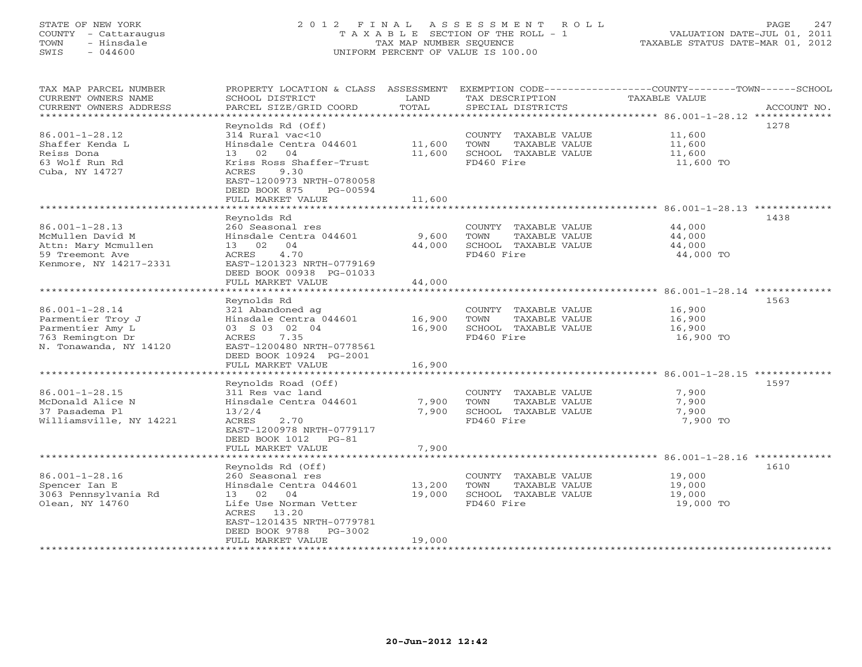# STATE OF NEW YORK 2 0 1 2 F I N A L A S S E S S M E N T R O L L PAGE 247 COUNTY - Cattaraugus T A X A B L E SECTION OF THE ROLL - 1 VALUATION DATE-JUL 01, 2011 TOWN - Hinsdale TAX MAP NUMBER SEQUENCE TAXABLE STATUS DATE-MAR 01, 2012 SWIS - 044600 UNIFORM PERCENT OF VALUE IS 100.00UNIFORM PERCENT OF VALUE IS 100.00

| TAX MAP PARCEL NUMBER<br>CURRENT OWNERS NAME     | PROPERTY LOCATION & CLASS ASSESSMENT<br>SCHOOL DISTRICT | LAND             | TAX DESCRIPTION                               | EXEMPTION CODE-----------------COUNTY-------TOWN-----SCHOOL<br>TAXABLE VALUE |             |
|--------------------------------------------------|---------------------------------------------------------|------------------|-----------------------------------------------|------------------------------------------------------------------------------|-------------|
| CURRENT OWNERS ADDRESS<br>********************** | PARCEL SIZE/GRID COORD                                  | TOTAL            | SPECIAL DISTRICTS                             |                                                                              | ACCOUNT NO. |
|                                                  | Reynolds Rd (Off)                                       |                  |                                               |                                                                              | 1278        |
| $86.001 - 1 - 28.12$                             | 314 Rural vac<10                                        |                  | COUNTY TAXABLE VALUE                          | 11,600                                                                       |             |
| Shaffer Kenda L                                  | Hinsdale Centra 044601                                  | 11,600           | TOWN<br>TAXABLE VALUE                         | 11,600                                                                       |             |
| Reiss Dona                                       | 04<br>13<br>02                                          | 11,600           | SCHOOL TAXABLE VALUE                          | 11,600                                                                       |             |
| 63 Wolf Run Rd                                   | Kriss Ross Shaffer-Trust                                |                  | FD460 Fire                                    | 11,600 TO                                                                    |             |
| Cuba, NY 14727                                   | <b>ACRES</b><br>9.30<br>EAST-1200973 NRTH-0780058       |                  |                                               |                                                                              |             |
|                                                  | DEED BOOK 875<br>PG-00594<br>FULL MARKET VALUE          | 11,600           |                                               |                                                                              |             |
|                                                  |                                                         |                  |                                               |                                                                              |             |
|                                                  | Reynolds Rd                                             |                  |                                               |                                                                              | 1438        |
| $86.001 - 1 - 28.13$                             | 260 Seasonal res                                        |                  | COUNTY TAXABLE VALUE                          | 44,000                                                                       |             |
| McMullen David M                                 | Hinsdale Centra 044601                                  | 9,600            | TOWN<br>TAXABLE VALUE                         | 44,000                                                                       |             |
| Attn: Mary Mcmullen                              | 04<br>13 02                                             | 44,000           | SCHOOL TAXABLE VALUE                          | 44,000                                                                       |             |
| 59 Treemont Ave                                  | 4.70<br>ACRES                                           |                  | FD460 Fire                                    | 44,000 TO                                                                    |             |
| Kenmore, NY 14217-2331                           | EAST-1201323 NRTH-0779169                               |                  |                                               |                                                                              |             |
|                                                  | DEED BOOK 00938 PG-01033                                |                  |                                               |                                                                              |             |
|                                                  | FULL MARKET VALUE                                       | 44,000           |                                               |                                                                              |             |
|                                                  |                                                         |                  |                                               |                                                                              |             |
|                                                  | Reynolds Rd                                             |                  |                                               |                                                                              | 1563        |
| $86.001 - 1 - 28.14$                             | 321 Abandoned ag                                        |                  | COUNTY TAXABLE VALUE                          | 16,900                                                                       |             |
| Parmentier Troy J                                | Hinsdale Centra 044601                                  | 16,900           | TOWN<br>TAXABLE VALUE                         | 16,900                                                                       |             |
| Parmentier Amy L                                 | 03 S 03 02 04                                           | 16,900           | SCHOOL TAXABLE VALUE                          | 16,900                                                                       |             |
| 763 Remington Dr                                 | ACRES<br>7.35                                           |                  | FD460 Fire                                    | 16,900 TO                                                                    |             |
| N. Tonawanda, NY 14120                           | EAST-1200480 NRTH-0778561                               |                  |                                               |                                                                              |             |
|                                                  | DEED BOOK 10924 PG-2001                                 |                  |                                               |                                                                              |             |
|                                                  | FULL MARKET VALUE                                       | 16,900           |                                               |                                                                              |             |
|                                                  |                                                         |                  |                                               |                                                                              |             |
|                                                  | Reynolds Road (Off)                                     |                  |                                               |                                                                              | 1597        |
| $86.001 - 1 - 28.15$                             | 311 Res vac land                                        |                  | COUNTY TAXABLE VALUE                          | 7,900                                                                        |             |
| McDonald Alice N                                 | Hinsdale Centra 044601                                  | 7,900            | TOWN<br>TAXABLE VALUE                         | 7,900                                                                        |             |
| 37 Pasadema Pl                                   | 13/2/4                                                  | 7,900            | SCHOOL TAXABLE VALUE                          | 7,900                                                                        |             |
| Williamsville, NY 14221                          | 2.70<br>ACRES                                           |                  | FD460 Fire                                    | 7,900 TO                                                                     |             |
|                                                  | EAST-1200978 NRTH-0779117                               |                  |                                               |                                                                              |             |
|                                                  | DEED BOOK 1012 PG-81                                    |                  |                                               |                                                                              |             |
|                                                  | FULL MARKET VALUE<br>*********************              | 7,900            |                                               |                                                                              |             |
|                                                  |                                                         |                  |                                               |                                                                              |             |
|                                                  | Reynolds Rd (Off)<br>260 Seasonal res                   |                  |                                               |                                                                              | 1610        |
| $86.001 - 1 - 28.16$                             | Hinsdale Centra 044601                                  |                  | COUNTY TAXABLE VALUE                          | 19,000                                                                       |             |
| Spencer Ian E<br>3063 Pennsylvania Rd            | 13 02 04                                                | 13,200<br>19,000 | TOWN<br>TAXABLE VALUE<br>SCHOOL TAXABLE VALUE | 19,000<br>19,000                                                             |             |
| Olean, NY 14760                                  | Life Use Norman Vetter                                  |                  | FD460 Fire                                    | 19,000 TO                                                                    |             |
|                                                  | ACRES 13.20                                             |                  |                                               |                                                                              |             |
|                                                  | EAST-1201435 NRTH-0779781                               |                  |                                               |                                                                              |             |
|                                                  | DEED BOOK 9788<br>PG-3002                               |                  |                                               |                                                                              |             |
|                                                  | FULL MARKET VALUE                                       | 19,000           |                                               |                                                                              |             |
| **********************                           |                                                         |                  |                                               |                                                                              |             |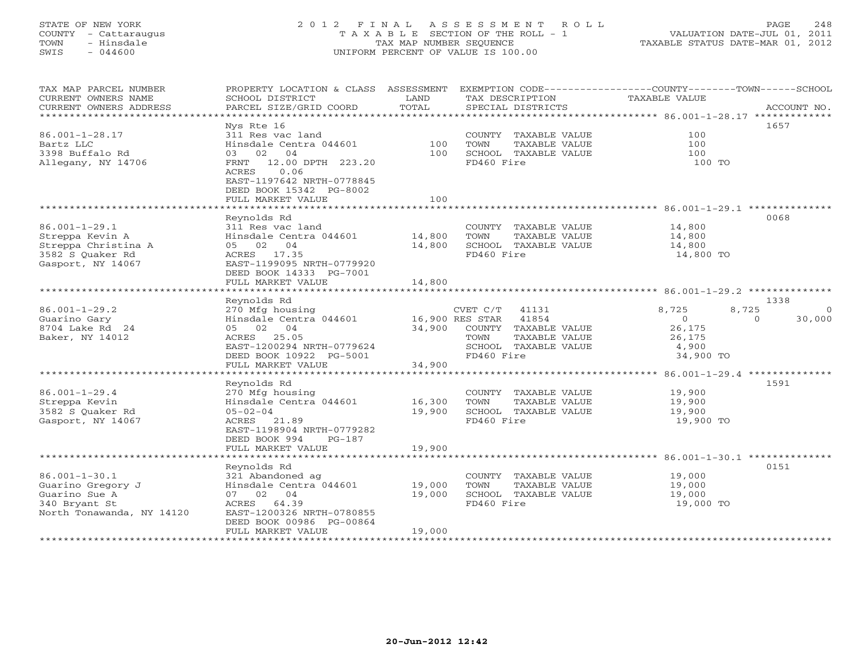# STATE OF NEW YORK 2 0 1 2 F I N A L A S S E S S M E N T R O L L PAGE 248 COUNTY - Cattaraugus T A X A B L E SECTION OF THE ROLL - 1 VALUATION DATE-JUL 01, 2011 TOWN - Hinsdale TAX MAP NUMBER SEQUENCE TAXABLE STATUS DATE-MAR 01, 2012 SWIS - 044600 UNIFORM PERCENT OF VALUE IS 100.00UNIFORM PERCENT OF VALUE IS 100.00

| TAX MAP PARCEL NUMBER<br>CURRENT OWNERS NAME<br>CURRENT OWNERS ADDRESS | PROPERTY LOCATION & CLASS ASSESSMENT<br>SCHOOL DISTRICT<br>PARCEL SIZE/GRID COORD | LAND<br>TOTAL   | TAX DESCRIPTION<br>SPECIAL DISTRICTS          | EXEMPTION CODE-----------------COUNTY-------TOWN------SCHOOL<br><b>TAXABLE VALUE</b> | ACCOUNT NO.        |
|------------------------------------------------------------------------|-----------------------------------------------------------------------------------|-----------------|-----------------------------------------------|--------------------------------------------------------------------------------------|--------------------|
| *************************                                              |                                                                                   |                 |                                               |                                                                                      |                    |
|                                                                        | Nys Rte 16                                                                        |                 |                                               |                                                                                      | 1657               |
| $86.001 - 1 - 28.17$                                                   | 311 Res vac land                                                                  |                 | COUNTY TAXABLE VALUE                          | 100                                                                                  |                    |
| Bartz LLC                                                              | Hinsdale Centra 044601                                                            | 100             | TOWN<br>TAXABLE VALUE                         | 100                                                                                  |                    |
| 3398 Buffalo Rd                                                        | 03 02<br>04                                                                       | 100             | SCHOOL TAXABLE VALUE                          | 100                                                                                  |                    |
| Allegany, NY 14706                                                     | FRNT 12.00 DPTH 223.20<br>ACRES<br>0.06<br>EAST-1197642 NRTH-0778845              |                 | FD460 Fire                                    | 100 TO                                                                               |                    |
|                                                                        | DEED BOOK 15342 PG-8002                                                           |                 |                                               |                                                                                      |                    |
|                                                                        | FULL MARKET VALUE                                                                 | 100             |                                               |                                                                                      |                    |
|                                                                        |                                                                                   |                 |                                               |                                                                                      |                    |
|                                                                        | Reynolds Rd                                                                       |                 |                                               |                                                                                      | 0068               |
| $86.001 - 1 - 29.1$                                                    | 311 Res vac land                                                                  |                 | COUNTY TAXABLE VALUE                          | 14,800                                                                               |                    |
| Streppa Kevin A                                                        | Hinsdale Centra 044601                                                            | 14,800          | TOWN<br>TAXABLE VALUE                         | 14,800                                                                               |                    |
| Streppa Christina A                                                    | 05 02 04<br>ACRES 17.35                                                           | 14,800          | SCHOOL TAXABLE VALUE<br>FD460 Fire            | 14,800<br>14,800 TO                                                                  |                    |
| 3582 S Quaker Rd<br>Gasport, NY 14067                                  | EAST-1199095 NRTH-0779920                                                         |                 |                                               |                                                                                      |                    |
|                                                                        | DEED BOOK 14333 PG-7001                                                           |                 |                                               |                                                                                      |                    |
|                                                                        | FULL MARKET VALUE                                                                 | 14,800          |                                               |                                                                                      |                    |
|                                                                        |                                                                                   |                 |                                               |                                                                                      |                    |
|                                                                        | Reynolds Rd                                                                       |                 |                                               |                                                                                      | 1338               |
| $86.001 - 1 - 29.2$                                                    | 270 Mfg housing                                                                   |                 | 41131<br>CVET C/T                             | 8,725<br>8,725                                                                       | $\Omega$           |
| Guarino Gary                                                           | Hinsdale Centra 044601                                                            | 16,900 RES STAR | 41854                                         | $\overline{O}$                                                                       | $\Omega$<br>30,000 |
| 8704 Lake Rd 24                                                        | 05 02 04                                                                          | 34,900          | COUNTY TAXABLE VALUE                          | 26,175                                                                               |                    |
| Baker, NY 14012                                                        | ACRES 25.05                                                                       |                 | TOWN<br>TAXABLE VALUE                         | 26,175                                                                               |                    |
|                                                                        | EAST-1200294 NRTH-0779624                                                         |                 | SCHOOL TAXABLE VALUE                          | 4,900                                                                                |                    |
|                                                                        | DEED BOOK 10922 PG-5001                                                           |                 | FD460 Fire                                    | 34,900 TO                                                                            |                    |
|                                                                        | FULL MARKET VALUE                                                                 | 34,900          |                                               |                                                                                      |                    |
|                                                                        |                                                                                   |                 |                                               |                                                                                      |                    |
|                                                                        | Reynolds Rd                                                                       |                 |                                               |                                                                                      | 1591               |
| $86.001 - 1 - 29.4$<br>Streppa Kevin                                   | 270 Mfg housing<br>Hinsdale Centra 044601                                         | 16,300          | COUNTY TAXABLE VALUE<br>TOWN<br>TAXABLE VALUE | 19,900<br>19,900                                                                     |                    |
| 3582 S Quaker Rd                                                       | $05 - 02 - 04$                                                                    | 19,900          | SCHOOL TAXABLE VALUE                          | 19,900                                                                               |                    |
| Gasport, NY 14067                                                      | ACRES 21.89                                                                       |                 | FD460 Fire                                    | 19,900 TO                                                                            |                    |
|                                                                        | EAST-1198904 NRTH-0779282                                                         |                 |                                               |                                                                                      |                    |
|                                                                        | DEED BOOK 994<br>$PG-187$                                                         |                 |                                               |                                                                                      |                    |
|                                                                        | FULL MARKET VALUE                                                                 | 19,900          |                                               |                                                                                      |                    |
|                                                                        |                                                                                   |                 |                                               |                                                                                      |                    |
|                                                                        | Reynolds Rd                                                                       |                 |                                               |                                                                                      | 0151               |
| $86.001 - 1 - 30.1$                                                    | 321 Abandoned ag                                                                  |                 | COUNTY TAXABLE VALUE                          | 19,000                                                                               |                    |
| Guarino Gregory J                                                      | Hinsdale Centra 044601                                                            | 19,000          | TOWN<br>TAXABLE VALUE                         | 19,000                                                                               |                    |
| Guarino Sue A                                                          | 07 02 04                                                                          | 19,000          | SCHOOL TAXABLE VALUE                          | 19,000                                                                               |                    |
| 340 Bryant St                                                          | ACRES 64.39                                                                       |                 | FD460 Fire                                    | 19,000 TO                                                                            |                    |
| North Tonawanda, NY 14120                                              | EAST-1200326 NRTH-0780855<br>DEED BOOK 00986 PG-00864                             |                 |                                               |                                                                                      |                    |
|                                                                        | FULL MARKET VALUE                                                                 | 19,000          |                                               |                                                                                      |                    |
| *****************                                                      |                                                                                   |                 |                                               |                                                                                      |                    |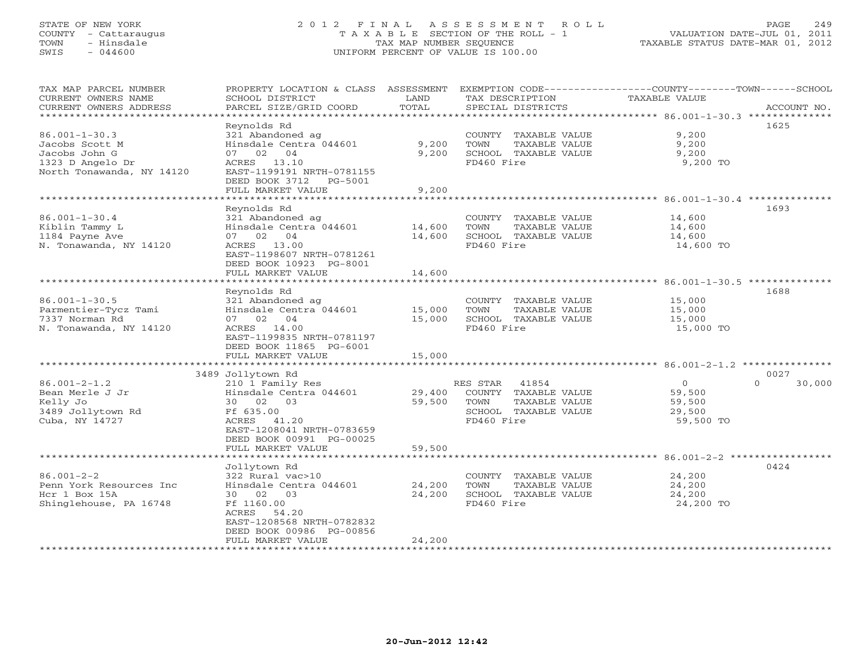# STATE OF NEW YORK 2 0 1 2 F I N A L A S S E S S M E N T R O L L PAGE 249 COUNTY - Cattaraugus T A X A B L E SECTION OF THE ROLL - 1 VALUATION DATE-JUL 01, 2011 TOWN - Hinsdale TAX MAP NUMBER SEQUENCE TAXABLE STATUS DATE-MAR 01, 2012 SWIS - 044600 UNIFORM PERCENT OF VALUE IS 100.00UNIFORM PERCENT OF VALUE IS 100.00

| TAX MAP PARCEL NUMBER<br>CURRENT OWNERS NAME<br>CURRENT OWNERS ADDRESS | PROPERTY LOCATION & CLASS ASSESSMENT<br>SCHOOL DISTRICT<br>PARCEL SIZE/GRID COORD | LAND<br>TOTAL  | TAX DESCRIPTION<br>SPECIAL DISTRICTS          | EXEMPTION CODE-----------------COUNTY-------TOWN------SCHOOL<br>TAXABLE VALUE<br>ACCOUNT NO. |
|------------------------------------------------------------------------|-----------------------------------------------------------------------------------|----------------|-----------------------------------------------|----------------------------------------------------------------------------------------------|
| *********************                                                  |                                                                                   |                |                                               |                                                                                              |
|                                                                        | Reynolds Rd                                                                       |                |                                               | 1625                                                                                         |
| $86.001 - 1 - 30.3$                                                    | 321 Abandoned ag                                                                  |                | COUNTY TAXABLE VALUE                          | 9,200                                                                                        |
| Jacobs Scott M                                                         | Hinsdale Centra 044601                                                            | 9,200          | TOWN<br>TAXABLE VALUE                         | 9,200                                                                                        |
| Jacobs John G                                                          | 07 02 04                                                                          | 9,200          | SCHOOL TAXABLE VALUE                          | 9,200                                                                                        |
| 1323 D Angelo Dr<br>North Tonawanda, NY 14120                          | ACRES 13.10<br>EAST-1199191 NRTH-0781155                                          |                | FD460 Fire                                    | 9,200 TO                                                                                     |
|                                                                        | DEED BOOK 3712 PG-5001                                                            |                |                                               |                                                                                              |
|                                                                        | FULL MARKET VALUE                                                                 | 9,200          |                                               |                                                                                              |
|                                                                        | ******************                                                                | *************  |                                               |                                                                                              |
|                                                                        | Reynolds Rd                                                                       |                |                                               | 1693                                                                                         |
| $86.001 - 1 - 30.4$                                                    | 321 Abandoned ag                                                                  |                | COUNTY TAXABLE VALUE                          | 14,600                                                                                       |
| Kiblin Tammy L                                                         | Hinsdale Centra 044601                                                            | 14,600         | TOWN<br>TAXABLE VALUE                         | 14,600                                                                                       |
| 1184 Payne Ave                                                         | 07 02 04                                                                          | 14,600         | SCHOOL TAXABLE VALUE                          | 14,600                                                                                       |
| N. Tonawanda, NY 14120                                                 | ACRES 13.00<br>EAST-1198607 NRTH-0781261                                          |                | FD460 Fire                                    | 14,600 TO                                                                                    |
|                                                                        | DEED BOOK 10923 PG-8001                                                           |                |                                               |                                                                                              |
|                                                                        | FULL MARKET VALUE                                                                 | 14,600         |                                               |                                                                                              |
|                                                                        |                                                                                   |                |                                               |                                                                                              |
|                                                                        | Reynolds Rd                                                                       |                |                                               | 1688                                                                                         |
| $86.001 - 1 - 30.5$                                                    | 321 Abandoned ag                                                                  |                | COUNTY TAXABLE VALUE                          | 15,000                                                                                       |
| Parmentier-Tycz Tami                                                   | Hinsdale Centra 044601                                                            | 15,000         | TOWN<br>TAXABLE VALUE                         | 15,000                                                                                       |
| 7337 Norman Rd<br>N. Tonawanda, NY 14120                               | 07 02 04<br>ACRES 14.00                                                           | 15,000         | SCHOOL TAXABLE VALUE<br>FD460 Fire            | 15,000<br>15,000 TO                                                                          |
|                                                                        | EAST-1199835 NRTH-0781197                                                         |                |                                               |                                                                                              |
|                                                                        | DEED BOOK 11865 PG-6001                                                           |                |                                               |                                                                                              |
|                                                                        | FULL MARKET VALUE                                                                 | 15,000         |                                               |                                                                                              |
|                                                                        | *******************                                                               | ************** |                                               |                                                                                              |
|                                                                        | 3489 Jollytown Rd                                                                 |                |                                               | 0027                                                                                         |
| $86.001 - 2 - 1.2$                                                     | 210 1 Family Res                                                                  | 29,400         | RES STAR<br>41854                             | $\Omega$<br>$\circ$<br>30,000                                                                |
| Bean Merle J Jr<br>Kelly Jo                                            | Hinsdale Centra 044601<br>30 02 03                                                | 59,500         | COUNTY TAXABLE VALUE<br>TOWN<br>TAXABLE VALUE | 59,500<br>59,500                                                                             |
| 3489 Jollytown Rd                                                      | Ff 635.00                                                                         |                | SCHOOL TAXABLE VALUE                          | 29,500                                                                                       |
| Cuba, NY 14727                                                         | ACRES 41.20                                                                       |                | FD460 Fire                                    | 59,500 TO                                                                                    |
|                                                                        | EAST-1208041 NRTH-0783659                                                         |                |                                               |                                                                                              |
|                                                                        | DEED BOOK 00991 PG-00025                                                          |                |                                               |                                                                                              |
|                                                                        | FULL MARKET VALUE                                                                 | 59,500         |                                               |                                                                                              |
|                                                                        |                                                                                   |                |                                               | 0424                                                                                         |
| $86.001 - 2 - 2$                                                       | Jollytown Rd<br>322 Rural vac>10                                                  |                | COUNTY TAXABLE VALUE                          | 24,200                                                                                       |
| Penn York Resources Inc                                                | Hinsdale Centra 044601                                                            | 24,200         | TOWN<br>TAXABLE VALUE                         | 24,200                                                                                       |
| Hcr 1 Box 15A                                                          | 30 02 03                                                                          | 24,200         | SCHOOL TAXABLE VALUE                          | 24,200                                                                                       |
| Shinglehouse, PA 16748                                                 | Ff 1160.00                                                                        |                | FD460 Fire                                    | 24,200 TO                                                                                    |
|                                                                        | ACRES<br>54.20                                                                    |                |                                               |                                                                                              |
|                                                                        | EAST-1208568 NRTH-0782832                                                         |                |                                               |                                                                                              |
|                                                                        | DEED BOOK 00986 PG-00856<br>FULL MARKET VALUE                                     |                |                                               |                                                                                              |
|                                                                        |                                                                                   | 24,200         |                                               |                                                                                              |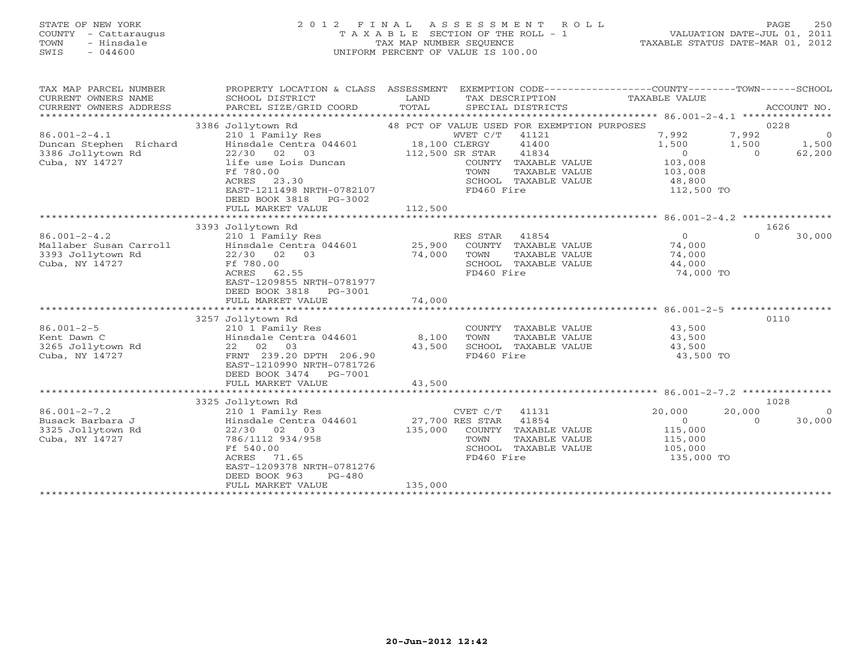# STATE OF NEW YORK 2 0 1 2 F I N A L A S S E S S M E N T R O L L PAGE 250 COUNTY - Cattaraugus T A X A B L E SECTION OF THE ROLL - 1 VALUATION DATE-JUL 01, 2011 TOWN - Hinsdale TAX MAP NUMBER SEQUENCE TAXABLE STATUS DATE-MAR 01, 2012 SWIS - 044600 UNIFORM PERCENT OF VALUE IS 100.00UNIFORM PERCENT OF VALUE IS 100.00

| TAX MAP PARCEL NUMBER<br>CURRENT OWNERS NAME<br>CURRENT OWNERS ADDRESS<br>***************** | PROPERTY LOCATION & CLASS ASSESSMENT<br>SCHOOL DISTRICT<br>PARCEL SIZE/GRID COORD                                                                                                                                       | LAND<br>TOTAL                               | EXEMPTION CODE-----------------COUNTY-------TOWN------SCHOOL<br>TAX DESCRIPTION<br>SPECIAL DISTRICTS                                                                   | TAXABLE VALUE                                                                  | ACCOUNT NO.                                                             |
|---------------------------------------------------------------------------------------------|-------------------------------------------------------------------------------------------------------------------------------------------------------------------------------------------------------------------------|---------------------------------------------|------------------------------------------------------------------------------------------------------------------------------------------------------------------------|--------------------------------------------------------------------------------|-------------------------------------------------------------------------|
| $86.001 - 2 - 4.1$<br>Duncan Stephen Richard<br>3386 Jollytown Rd<br>Cuba, NY 14727         | 3386 Jollytown Rd<br>210 1 Family Res<br>Hinsdale Centra 044601<br>22/30 02<br>03<br>life use Lois Duncan<br>Ff 780.00<br>ACRES<br>23.30<br>EAST-1211498 NRTH-0782107<br>DEED BOOK 3818<br>PG-3002<br>FULL MARKET VALUE | 18,100 CLERGY<br>112,500 SR STAR<br>112,500 | 48 PCT OF VALUE USED FOR EXEMPTION PURPOSES<br>WVET C/T 41121<br>41400<br>41834<br>COUNTY TAXABLE VALUE<br>TOWN<br>TAXABLE VALUE<br>SCHOOL TAXABLE VALUE<br>FD460 Fire | 7,992<br>1,500<br>$\overline{0}$<br>103,008<br>103,008<br>48,800<br>112,500 TO | 0228<br>7,992<br>$\overline{0}$<br>1,500<br>1,500<br>$\Omega$<br>62,200 |
|                                                                                             |                                                                                                                                                                                                                         |                                             |                                                                                                                                                                        |                                                                                |                                                                         |
| $86.001 - 2 - 4.2$<br>Mallaber Susan Carroll<br>3393 Jollytown Rd<br>Cuba, NY 14727         | 3393 Jollytown Rd<br>210 1 Family Res<br>Hinsdale Centra 044601<br>$22/30$ 02<br>03<br>Ff 780.00<br>ACRES<br>62.55<br>EAST-1209855 NRTH-0781977<br>DEED BOOK 3818<br>PG-3001                                            | 25,900<br>74,000                            | RES STAR<br>41854<br>COUNTY TAXABLE VALUE<br>TOWN<br>TAXABLE VALUE<br>SCHOOL TAXABLE VALUE<br>FD460 Fire                                                               | $\Omega$<br>74,000<br>74,000<br>44,000<br>74,000 TO                            | 1626<br>$\Omega$<br>30,000                                              |
|                                                                                             | FULL MARKET VALUE                                                                                                                                                                                                       | 74,000                                      |                                                                                                                                                                        |                                                                                |                                                                         |
| $86.001 - 2 - 5$                                                                            | 3257 Jollytown Rd<br>210 1 Family Res                                                                                                                                                                                   |                                             | COUNTY TAXABLE VALUE                                                                                                                                                   | 43,500                                                                         | 0110                                                                    |
| Kent Dawn C<br>3265 Jollytown Rd<br>Cuba, NY 14727                                          | Hinsdale Centra 044601<br>22 02 03<br>FRNT 239.20 DPTH 206.90<br>EAST-1210990 NRTH-0781726<br>DEED BOOK 3474<br>PG-7001<br>FULL MARKET VALUE                                                                            | 8,100<br>43,500<br>43,500                   | TOWN<br>TAXABLE VALUE<br>SCHOOL TAXABLE VALUE<br>FD460 Fire                                                                                                            | 43,500<br>43,500<br>43,500 TO                                                  |                                                                         |
|                                                                                             |                                                                                                                                                                                                                         |                                             |                                                                                                                                                                        |                                                                                |                                                                         |
|                                                                                             | 3325 Jollytown Rd                                                                                                                                                                                                       |                                             |                                                                                                                                                                        |                                                                                | 1028                                                                    |
| $86.001 - 2 - 7.2$<br>Busack Barbara J<br>3325 Jollytown Rd<br>Cuba, NY 14727               | 210 1 Family Res<br>Hinsdale Centra 044601<br>$22/30$ 02 03<br>786/1112 934/958<br>Ff 540.00<br>ACRES<br>71.65<br>EAST-1209378 NRTH-0781276<br>DEED BOOK 963<br>$PG-480$<br>FULL MARKET VALUE                           | 27,700 RES STAR<br>135,000<br>135,000       | CVET C/T<br>41131<br>41854<br>COUNTY TAXABLE VALUE<br>TOWN<br>TAXABLE VALUE<br>SCHOOL TAXABLE VALUE<br>FD460 Fire                                                      | 20,000<br>$\overline{0}$<br>115,000<br>115,000<br>105,000<br>135,000 TO        | 20,000<br>30,000<br>$\circ$                                             |
|                                                                                             |                                                                                                                                                                                                                         |                                             |                                                                                                                                                                        |                                                                                |                                                                         |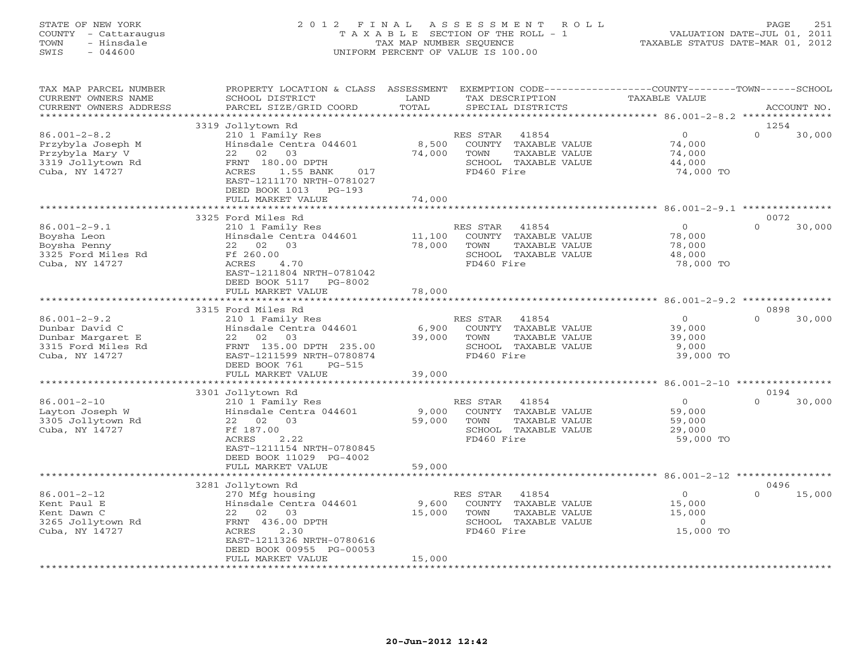# STATE OF NEW YORK 2 0 1 2 F I N A L A S S E S S M E N T R O L L PAGE 251 COUNTY - Cattaraugus T A X A B L E SECTION OF THE ROLL - 1 VALUATION DATE-JUL 01, 2011 TOWN - Hinsdale TAX MAP NUMBER SEQUENCE TAXABLE STATUS DATE-MAR 01, 2012 SWIS - 044600 UNIFORM PERCENT OF VALUE IS 100.00UNIFORM PERCENT OF VALUE IS 100.00

| TAX MAP PARCEL NUMBER<br>CURRENT OWNERS NAME<br>CURRENT OWNERS ADDRESS<br>************************* | PROPERTY LOCATION & CLASS ASSESSMENT<br>SCHOOL DISTRICT<br>PARCEL SIZE/GRID COORD                                                                                                                                                                    | LAND<br>TOTAL              | TAX DESCRIPTION<br>SPECIAL DISTRICTS                                                                        | EXEMPTION CODE-----------------COUNTY-------TOWN------SCHOOL<br>TAXABLE VALUE | ACCOUNT NO.                |
|-----------------------------------------------------------------------------------------------------|------------------------------------------------------------------------------------------------------------------------------------------------------------------------------------------------------------------------------------------------------|----------------------------|-------------------------------------------------------------------------------------------------------------|-------------------------------------------------------------------------------|----------------------------|
|                                                                                                     |                                                                                                                                                                                                                                                      |                            |                                                                                                             |                                                                               |                            |
| $86.001 - 2 - 8.2$<br>Przybyla Joseph M<br>Przybyla Mary V<br>3319 Jollytown Rd<br>Cuba, NY 14727   | 3319 Jollytown Rd<br>210 1 Family Res<br>Hinsdale Centra 044601<br>03<br>22<br>02<br>FRNT 180.00 DPTH<br>ACRES<br>1.55 BANK<br>017<br>EAST-1211170 NRTH-0781027<br>DEED BOOK 1013<br>$PG-193$<br>FULL MARKET VALUE<br>****************************** | 8,500<br>74,000<br>74,000  | RES STAR<br>41854<br>COUNTY TAXABLE VALUE<br>TAXABLE VALUE<br>TOWN<br>SCHOOL TAXABLE VALUE<br>FD460 Fire    | $\circ$<br>74,000<br>74,000<br>44,000<br>74,000 TO                            | 1254<br>$\Omega$<br>30,000 |
|                                                                                                     |                                                                                                                                                                                                                                                      |                            |                                                                                                             |                                                                               |                            |
| $86.001 - 2 - 9.1$<br>Boysha Leon<br>Boysha Penny<br>3325 Ford Miles Rd<br>Cuba, NY 14727           | 3325 Ford Miles Rd<br>210 1 Family Res<br>Hinsdale Centra 044601<br>22 02 03<br>Ff 260.00<br>ACRES<br>4.70<br>EAST-1211804 NRTH-0781042<br>DEED BOOK 5117<br>PG-8002<br>FULL MARKET VALUE                                                            | 11,100<br>78,000<br>78,000 | 41854<br>RES STAR<br>COUNTY TAXABLE VALUE<br>TAXABLE VALUE<br>TOWN<br>SCHOOL TAXABLE VALUE<br>FD460 Fire    | $\circ$<br>78,000<br>78,000<br>48,000<br>78,000 TO                            | 0072<br>$\Omega$<br>30,000 |
|                                                                                                     |                                                                                                                                                                                                                                                      |                            |                                                                                                             |                                                                               |                            |
|                                                                                                     | 3315 Ford Miles Rd                                                                                                                                                                                                                                   |                            |                                                                                                             |                                                                               | 0898                       |
| $86.001 - 2 - 9.2$<br>Dunbar David C<br>Dunbar Margaret E<br>3315 Ford Miles Rd<br>Cuba, NY 14727   | 210 1 Family Res<br>Hinsdale Centra 044601<br>02<br>03<br>22<br>FRNT 135.00 DPTH 235.00<br>EAST-1211599 NRTH-0780874<br>DEED BOOK 761<br>$PG-515$                                                                                                    | 6,900<br>39,000            | RES STAR<br>41854<br>COUNTY TAXABLE VALUE<br>TOWN<br>TAXABLE VALUE<br>SCHOOL TAXABLE VALUE<br>FD460 Fire    | $\circ$<br>39,000<br>39,000<br>9,000<br>39,000 TO                             | $\Omega$<br>30,000         |
|                                                                                                     | FULL MARKET VALUE                                                                                                                                                                                                                                    | 39,000                     |                                                                                                             |                                                                               |                            |
|                                                                                                     | 3301 Jollytown Rd                                                                                                                                                                                                                                    |                            |                                                                                                             |                                                                               | 0194                       |
| $86.001 - 2 - 10$<br>Layton Joseph W<br>3305 Jollytown Rd<br>Cuba, NY 14727                         | 210 1 Family Res<br>Hinsdale Centra 044601<br>22 02<br>03<br>Ff 187.00<br>2.22<br>ACRES<br>EAST-1211154 NRTH-0780845<br>DEED BOOK 11029 PG-4002                                                                                                      | 9,000<br>59,000            | RES STAR<br>41854<br>COUNTY TAXABLE VALUE<br>TOWN<br>TAXABLE VALUE<br>SCHOOL TAXABLE VALUE<br>FD460 Fire    | $\circ$<br>59,000<br>59,000<br>29,000<br>59,000 TO                            | $\Omega$<br>30,000         |
|                                                                                                     | FULL MARKET VALUE                                                                                                                                                                                                                                    | 59,000                     |                                                                                                             |                                                                               |                            |
|                                                                                                     |                                                                                                                                                                                                                                                      |                            |                                                                                                             |                                                                               |                            |
| $86.001 - 2 - 12$<br>Kent Paul E<br>Kent Dawn C<br>3265 Jollytown Rd<br>Cuba, NY 14727              | 3281 Jollytown Rd<br>270 Mfg housing<br>Hinsdale Centra 044601<br>22<br>02<br>03<br>FRNT 436.00 DPTH<br>ACRES<br>2.30<br>EAST-1211326 NRTH-0780616<br>DEED BOOK 00955 PG-00053                                                                       | 9,600<br>15,000            | RES STAR<br>41854<br>COUNTY<br>TAXABLE VALUE<br>TOWN<br>TAXABLE VALUE<br>SCHOOL TAXABLE VALUE<br>FD460 Fire | $\circ$<br>15,000<br>15,000<br>$\circ$<br>15,000 TO                           | 0496<br>15,000<br>$\Omega$ |
|                                                                                                     | FULL MARKET VALUE<br>********************                                                                                                                                                                                                            | 15,000<br>*************    |                                                                                                             |                                                                               |                            |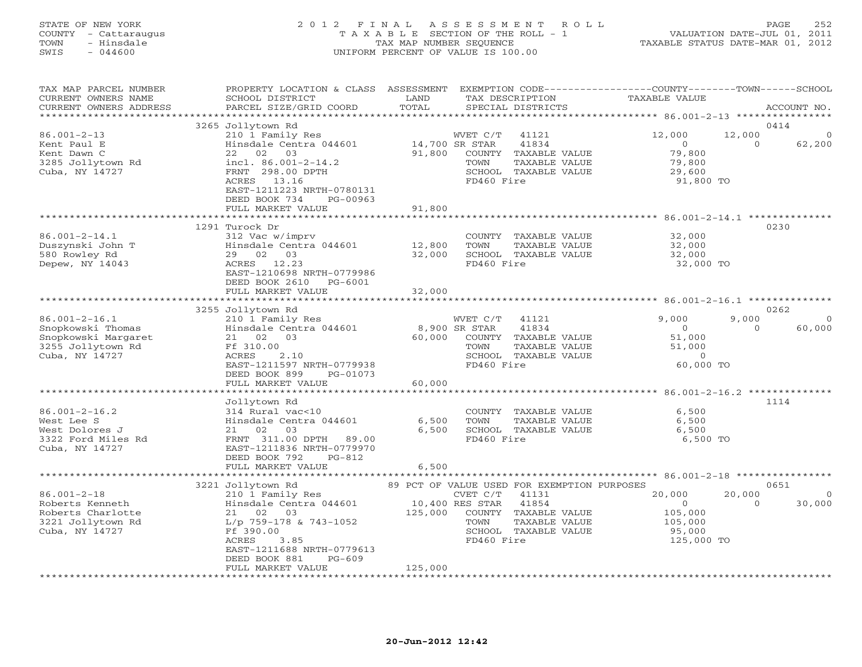## STATE OF NEW YORK 2 0 1 2 F I N A L A S S E S S M E N T R O L L PAGE 252 COUNTY - Cattaraugus T A X A B L E SECTION OF THE ROLL - 1 VALUATION DATE-JUL 01, 2011 TOWN - Hinsdale TAX MAP NUMBER SEQUENCE TAXABLE STATUS DATE-MAR 01, 2012 SWIS - 044600 UNIFORM PERCENT OF VALUE IS 100.00UNIFORM PERCENT OF VALUE IS 100.00

| TAX MAP PARCEL NUMBER<br>CURRENT OWNERS NAME<br>CURRENT OWNERS ADDRESS                 | PROPERTY LOCATION & CLASS ASSESSMENT<br>SCHOOL DISTRICT<br>PARCEL SIZE/GRID COORD                                                                   | LAND<br>TOTAL            | EXEMPTION CODE-----------------COUNTY-------TOWN------SCHOOL<br>TAX DESCRIPTION<br>SPECIAL DISTRICTS              | <b>TAXABLE VALUE</b>                                         | ACCOUNT NO.                            |
|----------------------------------------------------------------------------------------|-----------------------------------------------------------------------------------------------------------------------------------------------------|--------------------------|-------------------------------------------------------------------------------------------------------------------|--------------------------------------------------------------|----------------------------------------|
| *************************                                                              |                                                                                                                                                     |                          |                                                                                                                   |                                                              |                                        |
|                                                                                        | 3265 Jollytown Rd                                                                                                                                   |                          |                                                                                                                   |                                                              | 0414                                   |
| $86.001 - 2 - 13$<br>Kent Paul E<br>Kent Dawn C<br>3285 Jollytown Rd<br>Cuba, NY 14727 | 210 1 Family Res<br>Hinsdale Centra 044601<br>22 02 03<br>incl. $86.001 - 2 - 14.2$<br>FRNT 298.00 DPTH<br>ACRES 13.16<br>EAST-1211223 NRTH-0780131 | 14,700 SR STAR<br>91,800 | WVET C/T<br>41121<br>41834<br>COUNTY TAXABLE VALUE<br>TAXABLE VALUE<br>TOWN<br>SCHOOL TAXABLE VALUE<br>FD460 Fire | 12,000<br>$\circ$<br>79,800<br>79,800<br>29,600<br>91,800 TO | 12,000<br>$\Omega$<br>62,200           |
|                                                                                        | DEED BOOK 734<br>PG-00963<br>FULL MARKET VALUE                                                                                                      | 91,800                   |                                                                                                                   |                                                              |                                        |
|                                                                                        |                                                                                                                                                     |                          |                                                                                                                   |                                                              |                                        |
|                                                                                        | 1291 Turock Dr                                                                                                                                      |                          |                                                                                                                   |                                                              | 0230                                   |
| $86.001 - 2 - 14.1$<br>Duszynski John T<br>580 Rowley Rd<br>Depew, NY 14043            | 312 Vac w/imprv<br>Hinsdale Centra 044601<br>29 02 03<br>ACRES 12.23<br>EAST-1210698 NRTH-0779986<br>DEED BOOK 2610 PG-6001                         | 12,800<br>32,000         | COUNTY TAXABLE VALUE<br>TOWN<br>TAXABLE VALUE<br>SCHOOL TAXABLE VALUE<br>FD460 Fire                               | 32,000<br>32,000<br>32,000<br>32,000 TO                      |                                        |
|                                                                                        | FULL MARKET VALUE                                                                                                                                   | 32,000                   |                                                                                                                   |                                                              |                                        |
|                                                                                        | ***************************                                                                                                                         |                          |                                                                                                                   |                                                              |                                        |
|                                                                                        | 3255 Jollytown Rd                                                                                                                                   |                          |                                                                                                                   |                                                              | 0262                                   |
| $86.001 - 2 - 16.1$<br>Snopkowski Thomas                                               | 210 1 Family Res<br>Hinsdale Centra 044601                                                                                                          | 8,900 SR STAR            | WVET C/T<br>41121<br>41834                                                                                        | 9,000<br>$\circ$                                             | 9,000<br>$\circ$<br>$\Omega$<br>60,000 |
| Snopkowski Margaret                                                                    | 21 02 03                                                                                                                                            | 60,000                   | COUNTY TAXABLE VALUE                                                                                              | 51,000                                                       |                                        |
| 3255 Jollytown Rd                                                                      | Ff 310.00                                                                                                                                           |                          | TOWN<br>TAXABLE VALUE                                                                                             | 51,000                                                       |                                        |
| Cuba, NY 14727                                                                         | 2.10<br>ACRES                                                                                                                                       |                          | SCHOOL TAXABLE VALUE                                                                                              | $\Omega$                                                     |                                        |
|                                                                                        | EAST-1211597 NRTH-0779938                                                                                                                           |                          | FD460 Fire                                                                                                        | 60,000 TO                                                    |                                        |
|                                                                                        | DEED BOOK 899<br>PG-01073                                                                                                                           |                          |                                                                                                                   |                                                              |                                        |
|                                                                                        | FULL MARKET VALUE                                                                                                                                   | 60,000                   |                                                                                                                   |                                                              |                                        |
|                                                                                        |                                                                                                                                                     |                          |                                                                                                                   |                                                              |                                        |
|                                                                                        | Jollytown Rd                                                                                                                                        |                          |                                                                                                                   |                                                              | 1114                                   |
| $86.001 - 2 - 16.2$                                                                    | 314 Rural vac<10                                                                                                                                    |                          | COUNTY TAXABLE VALUE                                                                                              | 6,500                                                        |                                        |
| West Lee S                                                                             | Hinsdale Centra 044601                                                                                                                              | 6,500                    | TOWN<br>TAXABLE VALUE                                                                                             | 6,500                                                        |                                        |
| West Dolores J                                                                         | 21 02<br>03                                                                                                                                         | 6,500                    | SCHOOL TAXABLE VALUE                                                                                              | 6,500                                                        |                                        |
| 3322 Ford Miles Rd                                                                     | FRNT 311.00 DPTH 89.00                                                                                                                              |                          | FD460 Fire                                                                                                        | 6,500 TO                                                     |                                        |
| Cuba, NY 14727                                                                         | EAST-1211836 NRTH-0779970                                                                                                                           |                          |                                                                                                                   |                                                              |                                        |
|                                                                                        | DEED BOOK 792<br>$PG-812$                                                                                                                           |                          |                                                                                                                   |                                                              |                                        |
|                                                                                        | FULL MARKET VALUE                                                                                                                                   | 6,500                    |                                                                                                                   |                                                              |                                        |
|                                                                                        | 3221 Jollytown Rd                                                                                                                                   |                          | 89 PCT OF VALUE USED FOR EXEMPTION PURPOSES                                                                       |                                                              | 0651                                   |
| $86.001 - 2 - 18$                                                                      | 210 1 Family Res                                                                                                                                    |                          | CVET C/T<br>41131                                                                                                 | 20,000                                                       | 20,000<br>$\circ$                      |
| Roberts Kenneth                                                                        | Hinsdale Centra 044601                                                                                                                              | 10,400 RES STAR          | 41854                                                                                                             | $\circ$                                                      | 30,000<br>$\Omega$                     |
| Roberts Charlotte                                                                      | 21 02 03                                                                                                                                            | 125,000                  | COUNTY TAXABLE VALUE                                                                                              | 105,000                                                      |                                        |
| 3221 Jollytown Rd                                                                      | L/p 759-178 & 743-1052                                                                                                                              |                          | TOWN<br>TAXABLE VALUE                                                                                             | 105,000                                                      |                                        |
| Cuba, NY 14727                                                                         | Ff 390.00                                                                                                                                           |                          | SCHOOL TAXABLE VALUE                                                                                              | 95,000                                                       |                                        |
|                                                                                        | ACRES<br>3.85                                                                                                                                       |                          | FD460 Fire                                                                                                        | 125,000 TO                                                   |                                        |
|                                                                                        | EAST-1211688 NRTH-0779613                                                                                                                           |                          |                                                                                                                   |                                                              |                                        |
|                                                                                        | DEED BOOK 881<br>$PG-609$                                                                                                                           |                          |                                                                                                                   |                                                              |                                        |
|                                                                                        | FULL MARKET VALUE                                                                                                                                   | 125,000                  |                                                                                                                   |                                                              |                                        |
|                                                                                        |                                                                                                                                                     |                          |                                                                                                                   |                                                              |                                        |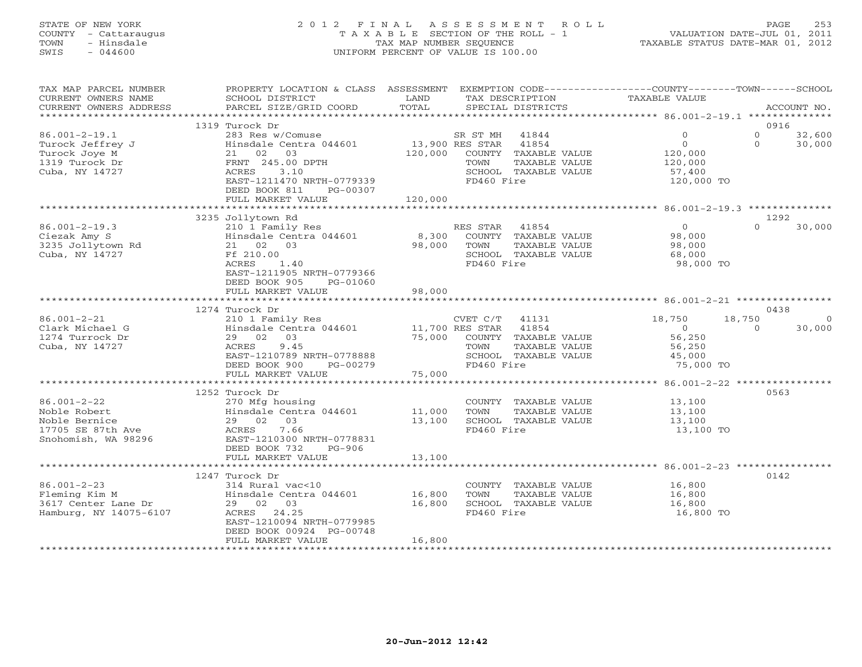# STATE OF NEW YORK 2 0 1 2 F I N A L A S S E S S M E N T R O L L PAGE 253 COUNTY - Cattaraugus T A X A B L E SECTION OF THE ROLL - 1 VALUATION DATE-JUL 01, 2011 TOWN - Hinsdale TAX MAP NUMBER SEQUENCE TAXABLE STATUS DATE-MAR 01, 2012 SWIS - 044600 UNIFORM PERCENT OF VALUE IS 100.00UNIFORM PERCENT OF VALUE IS 100.00

| TAX MAP PARCEL NUMBER<br>CURRENT OWNERS NAME<br>CURRENT OWNERS ADDRESS                         | PROPERTY LOCATION & CLASS ASSESSMENT<br>SCHOOL DISTRICT<br>PARCEL SIZE/GRID COORD                                                                                     | LAND<br>TOTAL              | TAX DESCRIPTION<br>SPECIAL DISTRICTS                                                                            |               | EXEMPTION CODE-----------------COUNTY-------TOWN------SCHOOL<br>TAXABLE VALUE |                      | ACCOUNT NO.       |
|------------------------------------------------------------------------------------------------|-----------------------------------------------------------------------------------------------------------------------------------------------------------------------|----------------------------|-----------------------------------------------------------------------------------------------------------------|---------------|-------------------------------------------------------------------------------|----------------------|-------------------|
| *************************                                                                      |                                                                                                                                                                       |                            |                                                                                                                 |               |                                                                               |                      |                   |
|                                                                                                | 1319 Turock Dr                                                                                                                                                        |                            |                                                                                                                 |               |                                                                               |                      | 0916              |
| $86.001 - 2 - 19.1$<br>Turock Jeffrey J<br>Turock Joye M<br>1319 Turock Dr<br>Cuba, NY 14727   | 283 Res w/Comuse<br>Hinsdale Centra 044601<br>03<br>21 02<br>FRNT 245.00 DPTH<br>3.10<br>ACRES<br>EAST-1211470 NRTH-0779339<br>DEED BOOK 811<br>PG-00307              | 13,900 RES STAR<br>120,000 | SR ST MH<br>41844<br>41854<br>COUNTY TAXABLE VALUE<br>TOWN<br>SCHOOL TAXABLE VALUE<br>FD460 Fire                | TAXABLE VALUE | $\mathbf{0}$<br>$\circ$<br>120,000<br>120,000<br>57,400<br>120,000 TO         | $\Omega$<br>$\Omega$ | 32,600<br>30,000  |
|                                                                                                | FULL MARKET VALUE                                                                                                                                                     | 120,000                    |                                                                                                                 |               |                                                                               |                      |                   |
|                                                                                                |                                                                                                                                                                       |                            |                                                                                                                 |               |                                                                               |                      |                   |
| $86.001 - 2 - 19.3$<br>Ciezak Amy S<br>3235 Jollytown Rd<br>Cuba, NY 14727                     | 3235 Jollytown Rd<br>210 1 Family Res<br>Hinsdale Centra 044601<br>21 02 03<br>Ff 210.00<br>ACRES<br>1.40<br>EAST-1211905 NRTH-0779366<br>DEED BOOK 905<br>PG-01060   | 8,300<br>98,000            | RES STAR<br>41854<br>COUNTY TAXABLE VALUE<br>TOWN<br>SCHOOL TAXABLE VALUE<br>FD460 Fire                         | TAXABLE VALUE | $\overline{O}$<br>98,000<br>98,000<br>68,000<br>98,000 TO                     | $\Omega$             | 1292<br>30,000    |
|                                                                                                | FULL MARKET VALUE                                                                                                                                                     | 98,000                     |                                                                                                                 |               |                                                                               |                      |                   |
|                                                                                                | ************************                                                                                                                                              |                            |                                                                                                                 |               |                                                                               |                      |                   |
|                                                                                                | 1274 Turock Dr                                                                                                                                                        |                            |                                                                                                                 |               |                                                                               |                      | 0438              |
| $86.001 - 2 - 21$<br>Clark Michael G<br>1274 Turrock Dr<br>Cuba, NY 14727                      | 210 1 Family Res<br>Hinsdale Centra 044601<br>03<br>29 02<br>9.45<br>ACRES<br>EAST-1210789 NRTH-0778888<br>DEED BOOK 900<br>PG-00279                                  | 75,000                     | $CVET C/T$ 41131<br>11,700 RES STAR 41854<br>COUNTY TAXABLE VALUE<br>TOWN<br>SCHOOL TAXABLE VALUE<br>FD460 Fire | TAXABLE VALUE | 18,750<br>$\overline{0}$<br>56,250<br>56,250<br>45,000<br>75,000 TO           | 18,750<br>$\Omega$   | $\circ$<br>30,000 |
|                                                                                                | FULL MARKET VALUE                                                                                                                                                     | 75,000                     |                                                                                                                 |               |                                                                               |                      |                   |
|                                                                                                | ***********************<br>1252 Turock Dr                                                                                                                             |                            |                                                                                                                 |               |                                                                               |                      | 0563              |
| $86.001 - 2 - 22$<br>Noble Robert<br>Noble Bernice<br>17705 SE 87th Ave<br>Snohomish, WA 98296 | 270 Mfg housing<br>Hinsdale Centra 044601<br>03<br>29 02<br>7.66<br>ACRES<br>EAST-1210300 NRTH-0778831<br>DEED BOOK 732<br>$PG-906$<br>FULL MARKET VALUE              | 11,000<br>13,100<br>13,100 | COUNTY TAXABLE VALUE<br>TOWN<br>SCHOOL TAXABLE VALUE<br>FD460 Fire                                              | TAXABLE VALUE | 13,100<br>13,100<br>13,100<br>13,100 TO                                       |                      |                   |
|                                                                                                |                                                                                                                                                                       | ************               |                                                                                                                 |               |                                                                               |                      |                   |
| $86.001 - 2 - 23$<br>Fleming Kim M<br>3617 Center Lane Dr<br>Hamburg, NY 14075-6107            | 1247 Turock Dr<br>314 Rural vac<10<br>Hinsdale Centra 044601<br>29 02 03<br>ACRES 24.25<br>EAST-1210094 NRTH-0779985<br>DEED BOOK 00924 PG-00748<br>FULL MARKET VALUE | 16,800<br>16,800<br>16,800 | COUNTY TAXABLE VALUE<br>TOWN<br>SCHOOL TAXABLE VALUE<br>FD460 Fire                                              | TAXABLE VALUE | 16,800<br>16,800<br>16,800<br>16,800 TO                                       |                      | 0142              |
|                                                                                                | **********************                                                                                                                                                |                            |                                                                                                                 |               |                                                                               |                      |                   |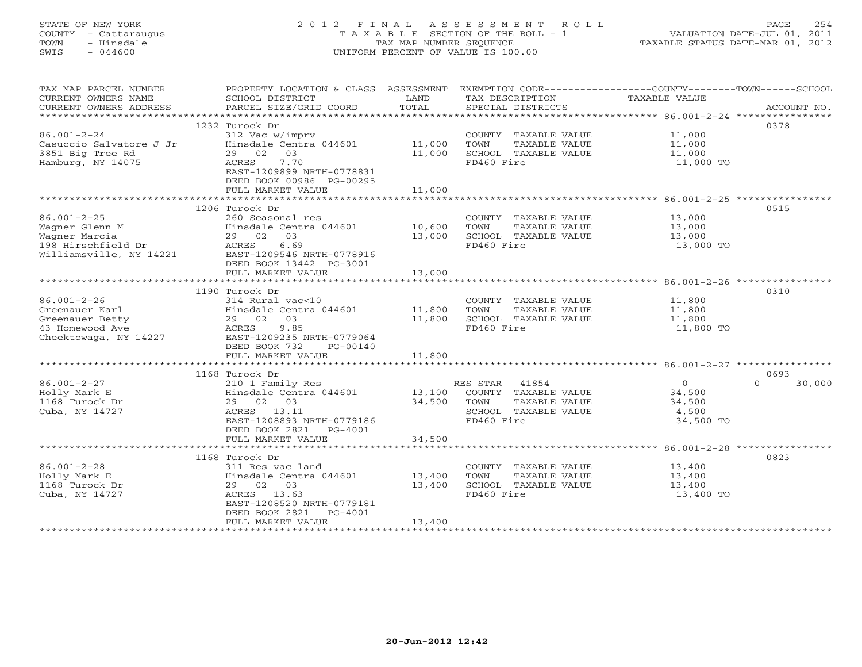# STATE OF NEW YORK 2 0 1 2 F I N A L A S S E S S M E N T R O L L PAGE 254 COUNTY - Cattaraugus T A X A B L E SECTION OF THE ROLL - 1 VALUATION DATE-JUL 01, 2011 TOWN - Hinsdale TAX MAP NUMBER SEQUENCE TAXABLE STATUS DATE-MAR 01, 2012 SWIS - 044600 UNIFORM PERCENT OF VALUE IS 100.00UNIFORM PERCENT OF VALUE IS 100.00

| TAX MAP PARCEL NUMBER<br>CURRENT OWNERS NAME<br>CURRENT OWNERS ADDRESS<br>*********************** | PROPERTY LOCATION & CLASS ASSESSMENT EXEMPTION CODE---------------COUNTY-------TOWN-----SCHOOL<br>SCHOOL DISTRICT<br>PARCEL SIZE/GRID COORD | LAND<br>TOTAL | TAX DESCRIPTION<br>SPECIAL DISTRICTS | TAXABLE VALUE | ACCOUNT NO.        |
|---------------------------------------------------------------------------------------------------|---------------------------------------------------------------------------------------------------------------------------------------------|---------------|--------------------------------------|---------------|--------------------|
|                                                                                                   |                                                                                                                                             |               |                                      |               |                    |
|                                                                                                   | 1232 Turock Dr                                                                                                                              |               |                                      |               | 0378               |
| $86.001 - 2 - 24$                                                                                 | 312 Vac w/imprv                                                                                                                             |               | COUNTY TAXABLE VALUE                 | 11,000        |                    |
| Casuccio Salvatore J Jr                                                                           | Hinsdale Centra 044601                                                                                                                      | 11,000        | TOWN<br>TAXABLE VALUE                | 11,000        |                    |
| 3851 Big Tree Rd                                                                                  | 29 02 03                                                                                                                                    | 11,000        | SCHOOL TAXABLE VALUE                 | 11,000        |                    |
| Hamburg, NY 14075                                                                                 | ACRES<br>7.70                                                                                                                               |               | FD460 Fire                           | 11,000 TO     |                    |
|                                                                                                   | EAST-1209899 NRTH-0778831                                                                                                                   |               |                                      |               |                    |
|                                                                                                   | DEED BOOK 00986 PG-00295                                                                                                                    |               |                                      |               |                    |
|                                                                                                   | FULL MARKET VALUE                                                                                                                           | 11,000        |                                      |               |                    |
|                                                                                                   |                                                                                                                                             |               |                                      |               |                    |
|                                                                                                   | 1206 Turock Dr                                                                                                                              |               |                                      |               | 0515               |
| $86.001 - 2 - 25$                                                                                 | 260 Seasonal res                                                                                                                            |               | COUNTY TAXABLE VALUE                 | 13,000        |                    |
| Wagner Glenn M                                                                                    | Hinsdale Centra 044601                                                                                                                      | 10,600        | TOWN<br>TAXABLE VALUE                | 13,000        |                    |
| Wagner Marcia                                                                                     | 29 02<br>03                                                                                                                                 | 13,000        | SCHOOL TAXABLE VALUE                 | 13,000        |                    |
| 198 Hirschfield Dr                                                                                | 6.69<br>ACRES                                                                                                                               |               | FD460 Fire                           | 13,000 TO     |                    |
| Williamsville, NY 14221                                                                           | EAST-1209546 NRTH-0778916                                                                                                                   |               |                                      |               |                    |
|                                                                                                   | DEED BOOK 13442 PG-3001                                                                                                                     |               |                                      |               |                    |
|                                                                                                   | FULL MARKET VALUE                                                                                                                           | 13,000        |                                      |               |                    |
|                                                                                                   |                                                                                                                                             |               |                                      |               |                    |
|                                                                                                   | 1190 Turock Dr                                                                                                                              |               |                                      |               | 0310               |
| $86.001 - 2 - 26$                                                                                 | 314 Rural vac<10                                                                                                                            |               | COUNTY TAXABLE VALUE                 | 11,800        |                    |
| Greenauer Karl                                                                                    | Hinsdale Centra 044601                                                                                                                      | 11,800        | TOWN<br>TAXABLE VALUE                | 11,800        |                    |
| Greenauer Betty                                                                                   | 03<br>29 02                                                                                                                                 | 11,800        | SCHOOL TAXABLE VALUE                 | 11,800        |                    |
| 43 Homewood Ave                                                                                   | 9.85<br>ACRES                                                                                                                               |               | FD460 Fire                           | 11,800 TO     |                    |
| Cheektowaga, NY 14227                                                                             | EAST-1209235 NRTH-0779064                                                                                                                   |               |                                      |               |                    |
|                                                                                                   | DEED BOOK 732<br>PG-00140                                                                                                                   |               |                                      |               |                    |
|                                                                                                   | FULL MARKET VALUE                                                                                                                           | 11,800        |                                      |               |                    |
|                                                                                                   |                                                                                                                                             |               |                                      |               |                    |
|                                                                                                   | 1168 Turock Dr                                                                                                                              |               |                                      |               | 0693               |
| $86.001 - 2 - 27$                                                                                 | 210 1 Family Res                                                                                                                            |               | RES STAR 41854                       | $\circ$       | 30,000<br>$\Omega$ |
| Holly Mark E                                                                                      | Hinsdale Centra 044601                                                                                                                      | 13,100        | COUNTY TAXABLE VALUE                 | 34,500        |                    |
| 1168 Turock Dr                                                                                    | 29 02 03                                                                                                                                    | 34,500        | TOWN<br>TAXABLE VALUE                | 34,500        |                    |
| Cuba, NY 14727                                                                                    | ACRES 13.11                                                                                                                                 |               | SCHOOL TAXABLE VALUE                 | 4,500         |                    |
|                                                                                                   | EAST-1208893 NRTH-0779186                                                                                                                   |               | FD460 Fire                           | 34,500 TO     |                    |
|                                                                                                   | DEED BOOK 2821<br>PG-4001                                                                                                                   |               |                                      |               |                    |
|                                                                                                   | FULL MARKET VALUE                                                                                                                           | 34,500        |                                      |               |                    |
|                                                                                                   |                                                                                                                                             |               |                                      |               |                    |
|                                                                                                   | 1168 Turock Dr                                                                                                                              |               |                                      |               | 0823               |
| $86.001 - 2 - 28$                                                                                 | 311 Res vac land                                                                                                                            |               | COUNTY TAXABLE VALUE                 | 13,400        |                    |
| Holly Mark E                                                                                      | Hinsdale Centra 044601                                                                                                                      | 13,400        | TOWN<br>TAXABLE VALUE                | 13,400        |                    |
| 1168 Turock Dr                                                                                    | 29 02 03                                                                                                                                    | 13,400        | SCHOOL TAXABLE VALUE                 | 13,400        |                    |
| Cuba, NY 14727                                                                                    | ACRES 13.63                                                                                                                                 |               | FD460 Fire                           | 13,400 TO     |                    |
|                                                                                                   | EAST-1208520 NRTH-0779181                                                                                                                   |               |                                      |               |                    |
|                                                                                                   | DEED BOOK 2821<br>$PG-4001$                                                                                                                 |               |                                      |               |                    |
|                                                                                                   | FULL MARKET VALUE                                                                                                                           | 13,400        |                                      |               |                    |
| ************************                                                                          | *************************                                                                                                                   |               | *******************************      |               |                    |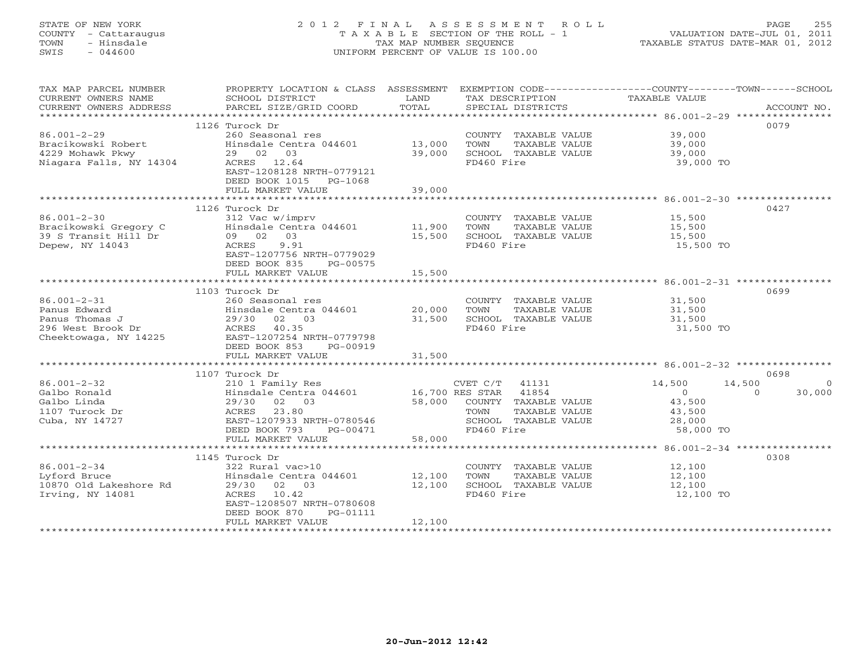# STATE OF NEW YORK 2 0 1 2 F I N A L A S S E S S M E N T R O L L PAGE 255 COUNTY - Cattaraugus T A X A B L E SECTION OF THE ROLL - 1 VALUATION DATE-JUL 01, 2011 TOWN - Hinsdale TAX MAP NUMBER SEQUENCE TAXABLE STATUS DATE-MAR 01, 2012 SWIS - 044600 UNIFORM PERCENT OF VALUE IS 100.00UNIFORM PERCENT OF VALUE IS 100.00

| TAX MAP PARCEL NUMBER<br>CURRENT OWNERS NAME<br>CURRENT OWNERS ADDRESS | PROPERTY LOCATION & CLASS ASSESSMENT EXEMPTION CODE----------------COUNTY-------TOWN------SCHOOL<br>SCHOOL DISTRICT<br>PARCEL SIZE/GRID COORD | LAND<br>TOTAL        | TAX DESCRIPTION<br>SPECIAL DISTRICTS                                  | TAXABLE VALUE              | ACCOUNT NO.        |
|------------------------------------------------------------------------|-----------------------------------------------------------------------------------------------------------------------------------------------|----------------------|-----------------------------------------------------------------------|----------------------------|--------------------|
|                                                                        | 1126 Turock Dr                                                                                                                                |                      |                                                                       |                            | 0079               |
| $86.001 - 2 - 29$<br>Bracikowski Robert<br>4229 Mohawk Pkwy            | 260 Seasonal res<br>Hinsdale Centra 044601<br>29 02 03                                                                                        | 13,000<br>39,000     | COUNTY TAXABLE VALUE<br>TAXABLE VALUE<br>TOWN<br>SCHOOL TAXABLE VALUE | 39,000<br>39,000<br>39,000 |                    |
| Niagara Falls, NY 14304                                                | ACRES 12.64<br>EAST-1208128 NRTH-0779121<br>DEED BOOK 1015 PG-1068                                                                            |                      | FD460 Fire                                                            | 39,000 TO                  |                    |
|                                                                        | FULL MARKET VALUE                                                                                                                             | 39,000               |                                                                       |                            |                    |
|                                                                        |                                                                                                                                               |                      |                                                                       |                            |                    |
|                                                                        | 1126 Turock Dr                                                                                                                                |                      |                                                                       |                            | 0427               |
| $86.001 - 2 - 30$                                                      | 312 Vac w/imprv                                                                                                                               |                      | COUNTY TAXABLE VALUE                                                  | 15,500                     |                    |
| Bracikowski Gregory C                                                  | Hinsdale Centra 044601 11,900                                                                                                                 |                      | TOWN<br>TAXABLE VALUE                                                 | 15,500                     |                    |
| 39 S Transit Hill Dr                                                   | 09 02<br>03                                                                                                                                   | 15,500               | SCHOOL TAXABLE VALUE                                                  | 15,500                     |                    |
| Depew, NY 14043                                                        | ACRES<br>9.91<br>EAST-1207756 NRTH-0779029<br>DEED BOOK 835<br>PG-00575                                                                       |                      | FD460 Fire                                                            | 15,500 TO                  |                    |
|                                                                        | FULL MARKET VALUE                                                                                                                             | 15,500               |                                                                       |                            |                    |
|                                                                        |                                                                                                                                               |                      |                                                                       |                            |                    |
|                                                                        | 1103 Turock Dr                                                                                                                                |                      |                                                                       |                            | 0699               |
| $86.001 - 2 - 31$                                                      | 260 Seasonal res                                                                                                                              |                      | COUNTY TAXABLE VALUE                                                  | 31,500                     |                    |
| Panus Edward                                                           | Hinsdale Centra 044601 20,000                                                                                                                 |                      | TOWN<br>TAXABLE VALUE                                                 | 31,500                     |                    |
| Panus Thomas J                                                         | 29/30<br>02 03                                                                                                                                | 31,500               | SCHOOL TAXABLE VALUE                                                  | 31,500                     |                    |
| 296 West Brook Dr                                                      | ACRES 40.35                                                                                                                                   |                      | FD460 Fire                                                            | 31,500 TO                  |                    |
| Cheektowaga, NY 14225                                                  | EAST-1207254 NRTH-0779798                                                                                                                     |                      |                                                                       |                            |                    |
|                                                                        | DEED BOOK 853<br>PG-00919                                                                                                                     |                      |                                                                       |                            |                    |
|                                                                        | FULL MARKET VALUE                                                                                                                             | 31,500               |                                                                       |                            |                    |
|                                                                        |                                                                                                                                               |                      |                                                                       |                            |                    |
|                                                                        | 1107 Turock Dr                                                                                                                                |                      |                                                                       |                            | 0698               |
| $86.001 - 2 - 32$                                                      | 210 1 Family Res<br>Hinsdale Centra 044601 16,700 RES STAR 41854                                                                              |                      | CVET C/T 41131                                                        | 14,500                     | 14,500<br>$\Omega$ |
| Galbo Ronald                                                           |                                                                                                                                               |                      |                                                                       | $\Omega$                   | $\Omega$<br>30,000 |
| Galbo Linda                                                            | 29/30 02 03                                                                                                                                   |                      | 58,000 COUNTY TAXABLE VALUE                                           | 43,500                     |                    |
| 1107 Turock Dr                                                         | ACRES 23.80                                                                                                                                   |                      | TOWN<br>TAXABLE VALUE                                                 | 43,500                     |                    |
| Cuba, NY 14727                                                         | EAST-1207933 NRTH-0780546                                                                                                                     |                      | SCHOOL TAXABLE VALUE                                                  | 28,000                     |                    |
|                                                                        | DEED BOOK 793<br>PG-00471                                                                                                                     |                      | FD460 Fire                                                            | 58,000 TO                  |                    |
|                                                                        | FULL MARKET VALUE                                                                                                                             | 58,000               |                                                                       |                            |                    |
|                                                                        |                                                                                                                                               |                      |                                                                       |                            |                    |
|                                                                        | 1145 Turock Dr                                                                                                                                |                      |                                                                       |                            | 0308               |
| $86.001 - 2 - 34$                                                      | 322 Rural vac>10                                                                                                                              |                      | COUNTY TAXABLE VALUE                                                  | 12,100                     |                    |
| Lyford Bruce                                                           | Hinsdale Centra 044601 12,100                                                                                                                 |                      | TAXABLE VALUE<br>TOWN                                                 | 12,100                     |                    |
| 10870 Old Lakeshore Rd                                                 | 29/30 02 03                                                                                                                                   | 12,100               | SCHOOL TAXABLE VALUE                                                  | 12,100                     |                    |
| Irving, NY 14081                                                       | ACRES 10.42                                                                                                                                   |                      | FD460 Fire                                                            | 12,100 TO                  |                    |
|                                                                        | EAST-1208507 NRTH-0780608                                                                                                                     |                      |                                                                       |                            |                    |
|                                                                        | DEED BOOK 870<br>PG-01111                                                                                                                     |                      |                                                                       |                            |                    |
|                                                                        | FULL MARKET VALUE                                                                                                                             | 12,100               |                                                                       |                            |                    |
| ************************                                               | *************************                                                                                                                     | ******************** |                                                                       |                            |                    |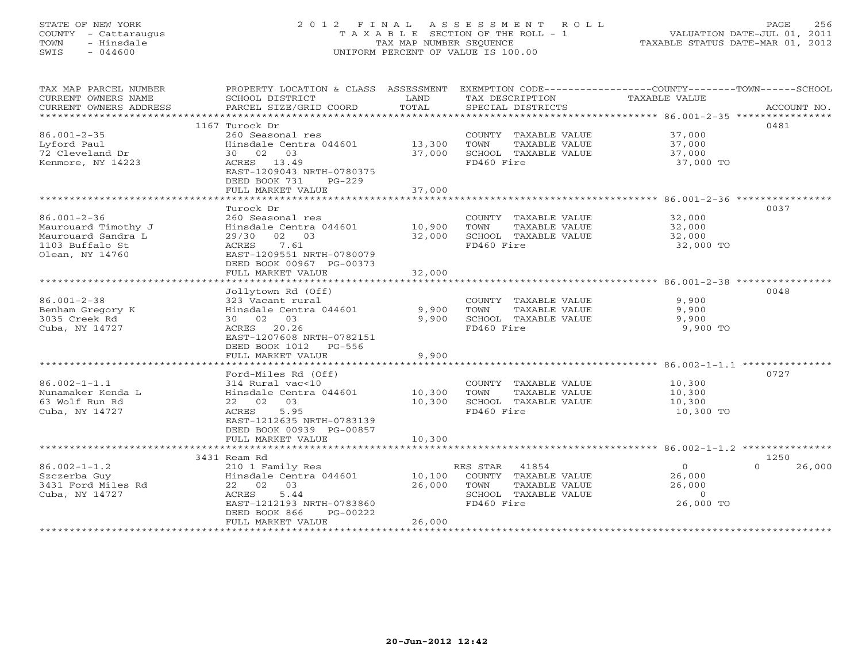# STATE OF NEW YORK 2 0 1 2 F I N A L A S S E S S M E N T R O L L PAGE 256 COUNTY - Cattaraugus T A X A B L E SECTION OF THE ROLL - 1 VALUATION DATE-JUL 01, 2011 TOWN - Hinsdale TAX MAP NUMBER SEQUENCE TAXABLE STATUS DATE-MAR 01, 2012 SWIS - 044600 UNIFORM PERCENT OF VALUE IS 100.00UNIFORM PERCENT OF VALUE IS 100.00

| TAX MAP PARCEL NUMBER<br>CURRENT OWNERS NAME<br>CURRENT OWNERS ADDRESS<br>***********************    | PROPERTY LOCATION & CLASS ASSESSMENT EXEMPTION CODE---------------COUNTY-------TOWN-----SCHOOL<br>SCHOOL DISTRICT<br>PARCEL SIZE/GRID COORD                            | LAND<br>TOTAL              | TAX DESCRIPTION<br>SPECIAL DISTRICTS                                                                  | TAXABLE VALUE                                       | ACCOUNT NO.              |
|------------------------------------------------------------------------------------------------------|------------------------------------------------------------------------------------------------------------------------------------------------------------------------|----------------------------|-------------------------------------------------------------------------------------------------------|-----------------------------------------------------|--------------------------|
| $86.001 - 2 - 35$<br>Lyford Paul<br>72 Cleveland Dr<br>Kenmore, NY 14223                             | 1167 Turock Dr<br>260 Seasonal res<br>Hinsdale Centra 044601<br>30 02 03<br>ACRES 13.49<br>EAST-1209043 NRTH-0780375<br>DEED BOOK 731<br>$PG-229$<br>FULL MARKET VALUE | 13,300<br>37,000<br>37,000 | COUNTY TAXABLE VALUE<br>TOWN<br>TAXABLE VALUE<br>SCHOOL TAXABLE VALUE<br>FD460 Fire                   | 37,000<br>37,000<br>37,000<br>37,000 TO             | 0481                     |
|                                                                                                      | Turock Dr                                                                                                                                                              |                            |                                                                                                       |                                                     | 0037                     |
| $86.001 - 2 - 36$<br>Maurouard Timothy J<br>Maurouard Sandra L<br>1103 Buffalo St<br>Olean, NY 14760 | 260 Seasonal res<br>Hinsdale Centra 044601<br>29/30 02 03<br>ACRES<br>7.61<br>EAST-1209551 NRTH-0780079<br>DEED BOOK 00967 PG-00373                                    | 10,900<br>32,000           | COUNTY TAXABLE VALUE<br>TOWN<br>TAXABLE VALUE<br>SCHOOL TAXABLE VALUE<br>FD460 Fire                   | 32,000<br>32,000<br>32,000<br>32,000 TO             |                          |
|                                                                                                      | FULL MARKET VALUE                                                                                                                                                      | 32,000                     |                                                                                                       |                                                     |                          |
| $86.001 - 2 - 38$<br>Benham Gregory K<br>3035 Creek Rd<br>Cuba, NY 14727                             | Jollytown Rd (Off)<br>323 Vacant rural<br>Hinsdale Centra 044601<br>30 02 03<br>ACRES 20.26<br>EAST-1207608 NRTH-0782151<br>DEED BOOK 1012 PG-556                      | 9,900<br>9,900             | COUNTY TAXABLE VALUE<br>TOWN<br>TAXABLE VALUE<br>SCHOOL TAXABLE VALUE<br>FD460 Fire                   | 9,900<br>9,900<br>9,900<br>9,900 TO                 | 0048                     |
|                                                                                                      | FULL MARKET VALUE                                                                                                                                                      | 9,900                      |                                                                                                       |                                                     |                          |
| $86.002 - 1 - 1.1$<br>Nunamaker Kenda L<br>63 Wolf Run Rd<br>Cuba, NY 14727                          | Ford-Miles Rd (Off)<br>314 Rural vac<10<br>Hinsdale Centra 044601<br>22 02 03<br>ACRES<br>5.95<br>EAST-1212635 NRTH-0783139<br>DEED BOOK 00939 PG-00857                | 10,300<br>10,300           | COUNTY TAXABLE VALUE<br>TOWN<br>TAXABLE VALUE<br>SCHOOL TAXABLE VALUE<br>FD460 Fire                   | 10,300<br>10,300<br>10,300<br>10,300 TO             | 0727                     |
|                                                                                                      | FULL MARKET VALUE                                                                                                                                                      | 10,300                     |                                                                                                       |                                                     |                          |
| $86.002 - 1 - 1.2$<br>Szczerba Guy<br>3431 Ford Miles Rd<br>Cuba, NY 14727                           | 3431 Ream Rd<br>210 1 Family Res<br>Hinsdale Centra 044601<br>22 02 03<br>5.44<br>ACRES<br>EAST-1212193 NRTH-0783860<br>DEED BOOK 866<br>PG-00222                      | 10,100<br>26,000<br>26,000 | RES STAR 41854<br>COUNTY TAXABLE VALUE<br>TOWN<br>TAXABLE VALUE<br>SCHOOL TAXABLE VALUE<br>FD460 Fire | $\circ$<br>26,000<br>26,000<br>$\circ$<br>26,000 TO | 1250<br>$\cap$<br>26,000 |
|                                                                                                      | FULL MARKET VALUE                                                                                                                                                      |                            |                                                                                                       |                                                     |                          |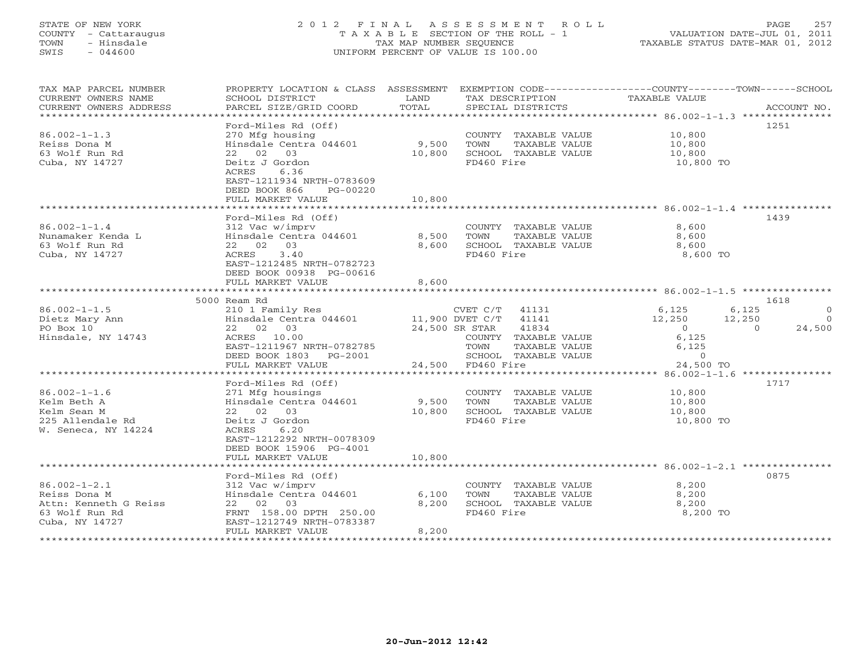# STATE OF NEW YORK 2 0 1 2 F I N A L A S S E S S M E N T R O L L PAGE 257 COUNTY - Cattaraugus T A X A B L E SECTION OF THE ROLL - 1 VALUATION DATE-JUL 01, 2011 TOWN - Hinsdale TAX MAP NUMBER SEQUENCE TAXABLE STATUS DATE-MAR 01, 2012 SWIS - 044600 UNIFORM PERCENT OF VALUE IS 100.00UNIFORM PERCENT OF VALUE IS 100.00

| TAX MAP PARCEL NUMBER<br>CURRENT OWNERS NAME<br>CURRENT OWNERS ADDRESS      | PROPERTY LOCATION & CLASS ASSESSMENT<br>SCHOOL DISTRICT<br>PARCEL SIZE/GRID COORD                                               | LAND<br>TOTAL    | TAX DESCRIPTION<br>SPECIAL DISTRICTS                                                | EXEMPTION CODE-----------------COUNTY-------TOWN-----SCHOOL<br>TAXABLE VALUE | ACCOUNT NO.      |
|-----------------------------------------------------------------------------|---------------------------------------------------------------------------------------------------------------------------------|------------------|-------------------------------------------------------------------------------------|------------------------------------------------------------------------------|------------------|
| $86.002 - 1 - 1.3$<br>Reiss Dona M                                          | Ford-Miles Rd (Off)<br>270 Mfg housing<br>Hinsdale Centra 044601                                                                | 9,500            | COUNTY TAXABLE VALUE<br>TOWN<br>TAXABLE VALUE                                       | 10,800<br>10,800                                                             | 1251             |
| 63 Wolf Run Rd<br>Cuba, NY 14727                                            | 22 02 03<br>Deitz J Gordon<br>ACRES<br>6.36<br>EAST-1211934 NRTH-0783609<br>DEED BOOK 866<br>PG-00220<br>FULL MARKET VALUE      | 10,800<br>10,800 | SCHOOL TAXABLE VALUE<br>FD460 Fire                                                  | 10,800<br>10,800 TO                                                          |                  |
|                                                                             | **********************                                                                                                          |                  |                                                                                     |                                                                              |                  |
|                                                                             | Ford-Miles Rd (Off)                                                                                                             |                  |                                                                                     |                                                                              | 1439             |
| $86.002 - 1 - 1.4$<br>Nunamaker Kenda L<br>63 Wolf Run Rd<br>Cuba, NY 14727 | 312 Vac w/imprv<br>Hinsdale Centra 044601<br>22 02 03<br>3.40<br>ACRES<br>EAST-1212485 NRTH-0782723<br>DEED BOOK 00938 PG-00616 | 8,500<br>8,600   | COUNTY TAXABLE VALUE<br>TOWN<br>TAXABLE VALUE<br>SCHOOL TAXABLE VALUE<br>FD460 Fire | 8,600<br>8,600<br>8,600<br>8,600 TO                                          |                  |
|                                                                             | FULL MARKET VALUE                                                                                                               | 8,600            |                                                                                     |                                                                              |                  |
|                                                                             |                                                                                                                                 |                  |                                                                                     |                                                                              |                  |
| $86.002 - 1 - 1.5$                                                          | 5000 Ream Rd                                                                                                                    |                  |                                                                                     | 6,125                                                                        | 1618<br>$\Omega$ |
| Dietz Mary Ann                                                              | 210 1 Family Res<br>Hinsdale Centra 044601                                                                                      |                  | CVET C/T<br>41131<br>11,900 DVET C/T<br>41141                                       | 6,125<br>12,250<br>12,250                                                    | $\circ$          |
| PO Box 10                                                                   | 22 02 03                                                                                                                        |                  | 24,500 SR STAR<br>41834                                                             | $\overline{O}$<br>$\Omega$                                                   | 24,500           |
| Hinsdale, NY 14743                                                          | ACRES 10.00                                                                                                                     |                  | COUNTY TAXABLE VALUE                                                                | 6,125                                                                        |                  |
|                                                                             | EAST-1211967 NRTH-0782785                                                                                                       |                  | TOWN<br>TAXABLE VALUE                                                               | 6,125                                                                        |                  |
|                                                                             | DEED BOOK 1803<br>$PG-2001$                                                                                                     |                  | SCHOOL TAXABLE VALUE                                                                | $\overline{0}$                                                               |                  |
|                                                                             | FULL MARKET VALUE                                                                                                               |                  | 24,500 FD460 Fire                                                                   | 24,500 TO                                                                    |                  |
|                                                                             | * * * * * * * * * * * * * * * * * * *                                                                                           |                  | *********************************                                                   | $86.002 - 1 - 1.6$ ***************                                           | 1717             |
| $86.002 - 1 - 1.6$                                                          | Ford-Miles Rd (Off)<br>271 Mfg housings                                                                                         |                  | COUNTY TAXABLE VALUE                                                                | 10,800                                                                       |                  |
| Kelm Beth A                                                                 | Hinsdale Centra 044601                                                                                                          | 9,500            | TOWN<br>TAXABLE VALUE                                                               | 10,800                                                                       |                  |
| Kelm Sean M                                                                 | 22 02 03                                                                                                                        | 10,800           | SCHOOL TAXABLE VALUE                                                                | 10,800                                                                       |                  |
| 225 Allendale Rd                                                            | Deitz J Gordon                                                                                                                  |                  | FD460 Fire                                                                          | 10,800 TO                                                                    |                  |
| W. Seneca, NY 14224                                                         | 6.20<br>ACRES<br>EAST-1212292 NRTH-0078309<br>DEED BOOK 15906 PG-4001                                                           |                  |                                                                                     |                                                                              |                  |
|                                                                             | FULL MARKET VALUE                                                                                                               | 10,800           |                                                                                     |                                                                              |                  |
|                                                                             |                                                                                                                                 |                  |                                                                                     |                                                                              |                  |
| $86.002 - 1 - 2.1$                                                          | Ford-Miles Rd (Off)<br>312 Vac w/imprv                                                                                          |                  | COUNTY TAXABLE VALUE                                                                | 8,200                                                                        | 0875             |
| Reiss Dona M                                                                | Hinsdale Centra 044601                                                                                                          | 6,100            | TOWN<br>TAXABLE VALUE                                                               | 8,200                                                                        |                  |
| Attn: Kenneth G Reiss                                                       | 22 02 03                                                                                                                        | 8,200            | SCHOOL TAXABLE VALUE                                                                | 8,200                                                                        |                  |
| 63 Wolf Run Rd                                                              | FRNT 158.00 DPTH 250.00                                                                                                         |                  | FD460 Fire                                                                          | 8,200 TO                                                                     |                  |
| Cuba, NY 14727                                                              | EAST-1212749 NRTH-0783387                                                                                                       |                  |                                                                                     |                                                                              |                  |
|                                                                             | FULL MARKET VALUE                                                                                                               | 8,200            |                                                                                     |                                                                              |                  |
|                                                                             |                                                                                                                                 |                  |                                                                                     |                                                                              |                  |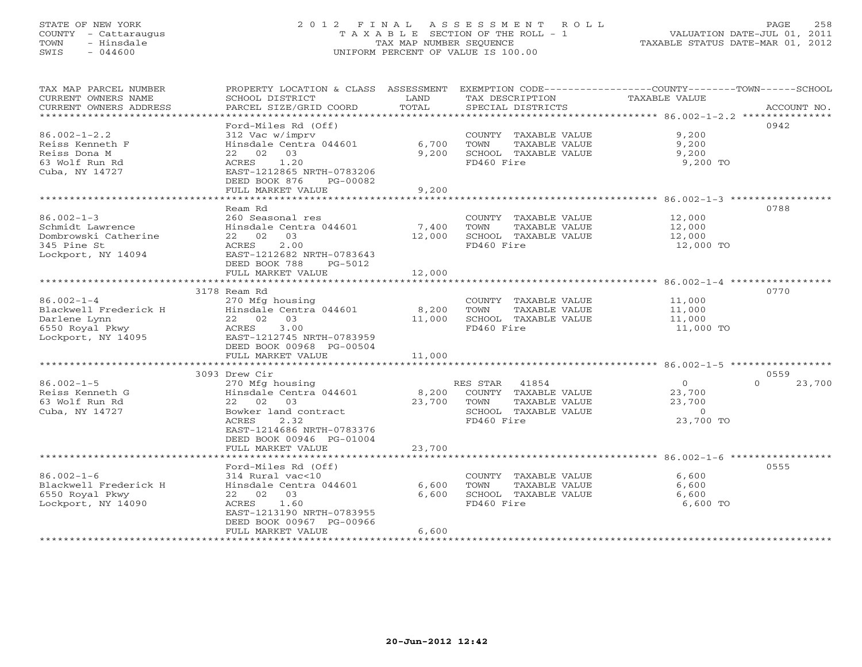# STATE OF NEW YORK 2 0 1 2 F I N A L A S S E S S M E N T R O L L PAGE 258 COUNTY - Cattaraugus T A X A B L E SECTION OF THE ROLL - 1 VALUATION DATE-JUL 01, 2011 TOWN - Hinsdale TAX MAP NUMBER SEQUENCE TAXABLE STATUS DATE-MAR 01, 2012 SWIS - 044600 UNIFORM PERCENT OF VALUE IS 100.00UNIFORM PERCENT OF VALUE IS 100.00

| TAX MAP PARCEL NUMBER  |                                                                     |            |                              | PROPERTY LOCATION & CLASS ASSESSMENT EXEMPTION CODE---------------COUNTY-------TOWN------SCHOOL |             |
|------------------------|---------------------------------------------------------------------|------------|------------------------------|-------------------------------------------------------------------------------------------------|-------------|
| CURRENT OWNERS NAME    | SCHOOL DISTRICT                                                     | LAND       | TAX DESCRIPTION              | TAXABLE VALUE                                                                                   |             |
| CURRENT OWNERS ADDRESS | PARCEL SIZE/GRID COORD                                              | TOTAL      | SPECIAL DISTRICTS            |                                                                                                 | ACCOUNT NO. |
|                        |                                                                     |            |                              |                                                                                                 |             |
|                        | Ford-Miles Rd (Off)                                                 |            |                              | 0942                                                                                            |             |
| $86.002 - 1 - 2.2$     | $312 \text{ Vac } \text{w/imprv}$ Hinsdale Centra 044601 6,700 TOWN |            | COUNTY TAXABLE VALUE         | 9,200                                                                                           |             |
| Reiss Kenneth F        |                                                                     |            | TAXABLE VALUE                | 9,200                                                                                           |             |
| Reiss Dona M           | 22 02 03                                                            |            | 9,200 SCHOOL TAXABLE VALUE   | 9,200                                                                                           |             |
| 63 Wolf Run Rd         | ACRES 1.20                                                          |            | FD460 Fire                   | 9,200 TO                                                                                        |             |
| Cuba, NY 14727         | EAST-1212865 NRTH-0783206                                           |            |                              |                                                                                                 |             |
|                        | DEED BOOK 876<br>PG-00082                                           |            |                              |                                                                                                 |             |
|                        | FULL MARKET VALUE                                                   | 9,200      |                              |                                                                                                 |             |
|                        |                                                                     |            |                              |                                                                                                 |             |
|                        | Ream Rd                                                             |            |                              | 0788                                                                                            |             |
| $86.002 - 1 - 3$       | 260 Seasonal res                                                    |            | COUNTY TAXABLE VALUE         | 12,000                                                                                          |             |
| Schmidt Lawrence       | Hinsdale Centra 044601 7,400                                        |            | TOWN<br>TAXABLE VALUE        | 12,000                                                                                          |             |
| Dombrowski Catherine   | 22 02 03                                                            | 12,000     | SCHOOL TAXABLE VALUE         | 12,000                                                                                          |             |
| 345 Pine St            | 2.00<br>ACRES                                                       |            | FD460 Fire                   | 12,000 TO                                                                                       |             |
| Lockport, NY 14094     | EAST-1212682 NRTH-0783643                                           |            |                              |                                                                                                 |             |
|                        | DEED BOOK 788<br>PG-5012                                            |            |                              |                                                                                                 |             |
|                        | FULL MARKET VALUE                                                   | 12,000     |                              |                                                                                                 |             |
|                        |                                                                     |            |                              |                                                                                                 |             |
|                        | 3178 Ream Rd                                                        |            |                              | 0770                                                                                            |             |
| $86.002 - 1 - 4$       | 270 Mfg housing                                                     |            | COUNTY TAXABLE VALUE         | 11,000                                                                                          |             |
|                        |                                                                     | 8,200 TOWN | TAXABLE VALUE                | 11,000                                                                                          |             |
|                        |                                                                     |            | 11,000 SCHOOL TAXABLE VALUE  | 11,000                                                                                          |             |
|                        |                                                                     |            | FD460 Fire                   | 11,000 TO                                                                                       |             |
|                        |                                                                     |            |                              |                                                                                                 |             |
|                        | DEED BOOK 00968 PG-00504                                            |            |                              |                                                                                                 |             |
|                        | FULL MARKET VALUE                                                   | 11,000     |                              |                                                                                                 |             |
|                        |                                                                     |            |                              |                                                                                                 |             |
|                        | 3093 Drew Cir                                                       |            |                              | 0559                                                                                            |             |
| $86.002 - 1 - 5$       | 270 Mfg housing                                                     |            | RES STAR 41854               | $\overline{0}$<br>$\Omega$                                                                      | 23,700      |
| Reiss Kenneth G        | Hinsdale Centra 044601 8,200 COUNTY TAXABLE VALUE                   |            |                              | 23,700                                                                                          |             |
| 63 Wolf Run Rd         | 22 02 03                                                            |            | 23,700 TOWN<br>TAXABLE VALUE | 23,700                                                                                          |             |
| Cuba, NY 14727         | Bowker land contract<br>ACPES 2.32                                  |            | SCHOOL TAXABLE VALUE         | $\overline{0}$                                                                                  |             |
|                        | ACRES<br>2.32                                                       |            | FD460 Fire                   | 23,700 TO                                                                                       |             |
|                        | EAST-1214686 NRTH-0783376                                           |            |                              |                                                                                                 |             |
|                        | DEED BOOK 00946 PG-01004                                            |            |                              |                                                                                                 |             |
|                        | FULL MARKET VALUE                                                   | 23,700     |                              |                                                                                                 |             |
|                        |                                                                     |            |                              |                                                                                                 |             |
|                        | Ford-Miles Rd (Off)                                                 |            |                              | 0555                                                                                            |             |
| $86.002 - 1 - 6$       | 314 Rural vac<10                                                    |            | COUNTY TAXABLE VALUE         | 6,600                                                                                           |             |
| Blackwell Frederick H  | Hinsdale Centra 044601 6,600                                        |            | TOWN<br>TAXABLE VALUE        | 6,600                                                                                           |             |
| 6550 Royal Pkwy        | 22 02 03                                                            | 6,600      | SCHOOL TAXABLE VALUE         | 6,600                                                                                           |             |
| Lockport, NY 14090     | ACRES 1.60                                                          |            | FD460 Fire                   | 6,600 TO                                                                                        |             |
|                        | EAST-1213190 NRTH-0783955                                           |            |                              |                                                                                                 |             |
|                        | DEED BOOK 00967 PG-00966                                            |            |                              |                                                                                                 |             |
|                        | FULL MARKET VALUE                                                   | 6,600      |                              |                                                                                                 |             |
|                        |                                                                     |            |                              |                                                                                                 |             |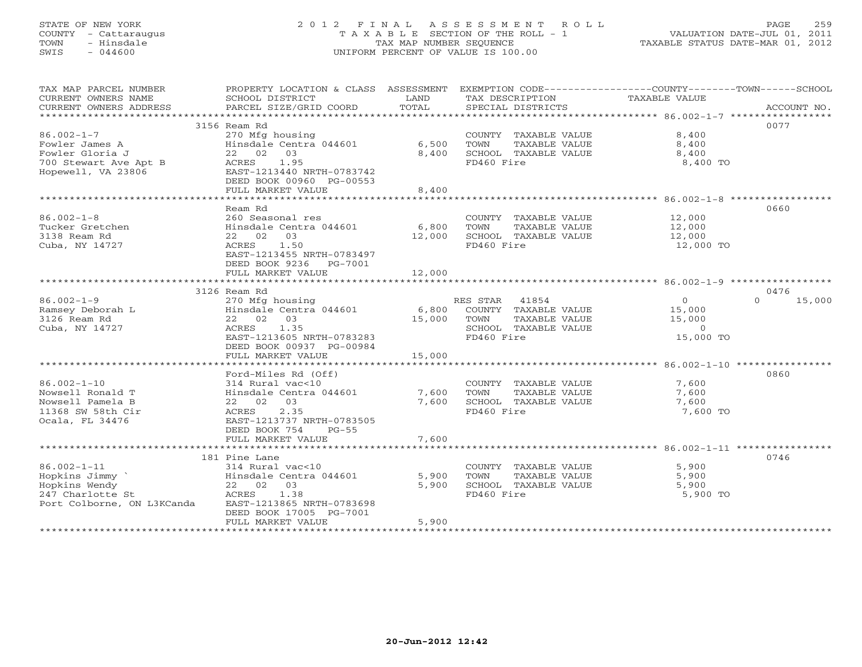# STATE OF NEW YORK 2 0 1 2 F I N A L A S S E S S M E N T R O L L PAGE 259 COUNTY - Cattaraugus T A X A B L E SECTION OF THE ROLL - 1 VALUATION DATE-JUL 01, 2011 TOWN - Hinsdale TAX MAP NUMBER SEQUENCE TAXABLE STATUS DATE-MAR 01, 2012 SWIS - 044600 UNIFORM PERCENT OF VALUE IS 100.00UNIFORM PERCENT OF VALUE IS 100.00

| TAX MAP PARCEL NUMBER                       |                                                  |        |                             | PROPERTY LOCATION & CLASS ASSESSMENT EXEMPTION CODE----------------COUNTY-------TOWN------SCHOOL |        |
|---------------------------------------------|--------------------------------------------------|--------|-----------------------------|--------------------------------------------------------------------------------------------------|--------|
| CURRENT OWNERS NAME                         | SCHOOL DISTRICT                                  | LAND   | TAX DESCRIPTION             | TAXABLE VALUE                                                                                    |        |
| CURRENT OWNERS ADDRESS                      | PARCEL SIZE/GRID COORD                           | TOTAL  | SPECIAL DISTRICTS           | ACCOUNT NO.                                                                                      |        |
|                                             |                                                  |        |                             |                                                                                                  |        |
|                                             | 3156 Ream Rd                                     |        |                             | 0077                                                                                             |        |
| $86.002 - 1 - 7$                            | 270 Mfg housing                                  |        | COUNTY TAXABLE VALUE        | 8,400                                                                                            |        |
| Fowler James A                              | Hinsdale Centra 044601                           | 6,500  | TOWN<br>TAXABLE VALUE       | 8,400                                                                                            |        |
| Fowler Gloria J                             | 22 02 03                                         | 8,400  | SCHOOL TAXABLE VALUE        | 8,400                                                                                            |        |
| 700 Stewart Ave Apt B<br>Hopewell, VA 23806 | ACRES<br>1.95                                    |        | FD460 Fire                  | 8,400 TO                                                                                         |        |
| Hopewell, VA 23806                          | EAST-1213440 NRTH-0783742                        |        |                             |                                                                                                  |        |
|                                             | DEED BOOK 00960 PG-00553                         |        |                             |                                                                                                  |        |
|                                             | FULL MARKET VALUE                                | 8,400  |                             |                                                                                                  |        |
|                                             |                                                  |        |                             |                                                                                                  |        |
|                                             | Ream Rd                                          |        |                             | 0660                                                                                             |        |
| $86.002 - 1 - 8$                            | 260 Seasonal res                                 |        | COUNTY TAXABLE VALUE        | 12,000                                                                                           |        |
| Tucker Gretchen                             | Este Beasonaires<br>Hinsdale Centra 044601 6,800 |        | TOWN<br>TAXABLE VALUE       | 12,000                                                                                           |        |
| 3138 Ream Rd                                | 22 02 03                                         | 12,000 | SCHOOL TAXABLE VALUE        | 12,000                                                                                           |        |
| Cuba, NY 14727                              | ACRES 1.50                                       |        | FD460 Fire                  | 12,000 TO                                                                                        |        |
|                                             | EAST-1213455 NRTH-0783497                        |        |                             |                                                                                                  |        |
|                                             | DEED BOOK 9236 PG-7001                           |        |                             |                                                                                                  |        |
|                                             | FULL MARKET VALUE                                | 12,000 |                             |                                                                                                  |        |
|                                             |                                                  |        |                             |                                                                                                  |        |
|                                             | 3126 Ream Rd                                     |        |                             | 0476                                                                                             |        |
| $86.002 - 1 - 9$                            | 270 Mfg housing                                  |        | RES STAR 41854              | $\bigcirc$<br>$\Omega$                                                                           | 15,000 |
| Ramsey Deborah L                            | Hinsdale Centra 044601 6,800                     |        | COUNTY TAXABLE VALUE 15,000 |                                                                                                  |        |
| 3126 Ream Rd                                | 22 02 03                                         | 15,000 | TOWN<br>TAXABLE VALUE       | 15,000                                                                                           |        |
| Cuba, NY 14727                              | ACRES 1.35                                       |        | SCHOOL TAXABLE VALUE        | $\sim$ 0                                                                                         |        |
|                                             | EAST-1213605 NRTH-0783283                        |        | FD460 Fire                  | 15,000 TO                                                                                        |        |
|                                             | DEED BOOK 00937 PG-00984                         |        |                             |                                                                                                  |        |
|                                             | FULL MARKET VALUE                                | 15,000 |                             |                                                                                                  |        |
|                                             |                                                  |        |                             |                                                                                                  |        |
|                                             | Ford-Miles Rd (Off)                              |        |                             | 0860                                                                                             |        |
| $86.002 - 1 - 10$                           | 314 Rural vac<10                                 |        | COUNTY TAXABLE VALUE        | 7,600                                                                                            |        |
| Nowsell Ronald T                            | Hinsdale Centra 044601 7,600                     |        | TOWN<br>TAXABLE VALUE       | 7,600                                                                                            |        |
| Nowsell Pamela B                            | 22 02 03                                         | 7,600  | SCHOOL TAXABLE VALUE        | 7,600                                                                                            |        |
| 11368 SW 58th Cir                           | ACRES<br>2.35                                    |        | FD460 Fire                  | 7,600 TO                                                                                         |        |
| Ocala, FL 34476                             | EAST-1213737 NRTH-0783505                        |        |                             |                                                                                                  |        |
|                                             | DEED BOOK 754<br>PG-55                           |        |                             |                                                                                                  |        |
|                                             | FULL MARKET VALUE                                | 7,600  |                             |                                                                                                  |        |
|                                             |                                                  |        |                             |                                                                                                  |        |
|                                             | 181 Pine Lane                                    |        |                             | 0746                                                                                             |        |
| $86.002 - 1 - 11$                           | 314 Rural vac<10                                 |        | COUNTY TAXABLE VALUE        | 5,900                                                                                            |        |
| Hopkins Jimmy                               | Hinsdale Centra 044601                           | 5,900  | TAXABLE VALUE<br>TOWN       | 5,900                                                                                            |        |
| Hopkins Wendy                               | 22 02 03                                         | 5,900  | SCHOOL TAXABLE VALUE        | 5,900                                                                                            |        |
| 247 Charlotte St                            | ACRES<br>1.38                                    |        | FD460 Fire                  | 5,900 TO                                                                                         |        |
| Port Colborne, ON L3KCanda                  | EAST-1213865 NRTH-0783698                        |        |                             |                                                                                                  |        |
|                                             | DEED BOOK 17005 PG-7001                          |        |                             |                                                                                                  |        |
|                                             | FULL MARKET VALUE                                | 5,900  |                             |                                                                                                  |        |
|                                             |                                                  |        |                             |                                                                                                  |        |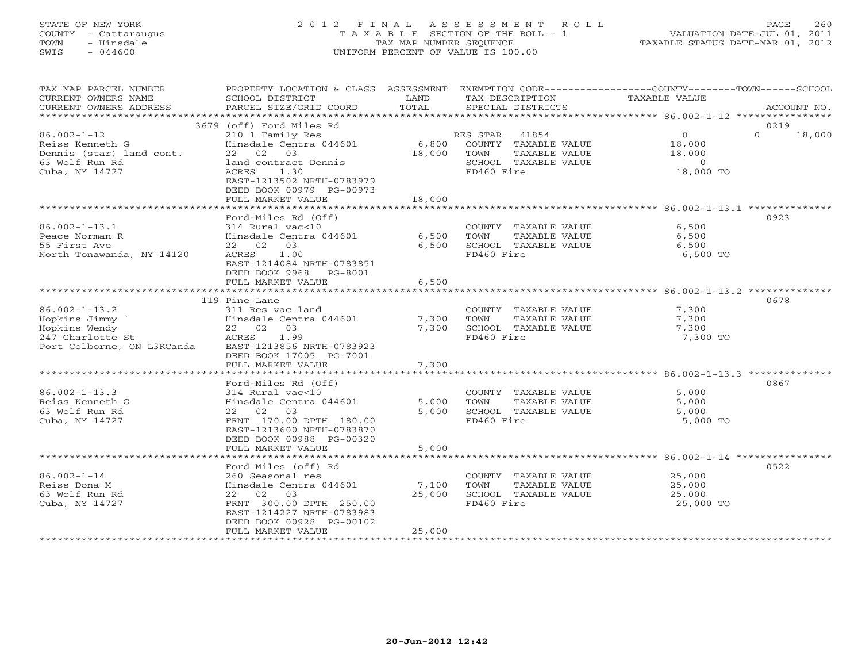## STATE OF NEW YORK 2 0 1 2 F I N A L A S S E S S M E N T R O L L PAGE 260 COUNTY - Cattaraugus T A X A B L E SECTION OF THE ROLL - 1 VALUATION DATE-JUL 01, 2011 TOWN - Hinsdale TAX MAP NUMBER SEQUENCE TAXABLE STATUS DATE-MAR 01, 2012 SWIS - 044600 UNIFORM PERCENT OF VALUE IS 100.00UNIFORM PERCENT OF VALUE IS 100.00

| TAX MAP PARCEL NUMBER<br>CURRENT OWNERS NAME                                                            | PROPERTY LOCATION & CLASS ASSESSMENT<br>SCHOOL DISTRICT                                                                                                                                   | LAND                      | EXEMPTION CODE-----------------COUNTY-------TOWN------SCHOOL<br>TAX DESCRIPTION                             | TAXABLE VALUE                                                     |                            |
|---------------------------------------------------------------------------------------------------------|-------------------------------------------------------------------------------------------------------------------------------------------------------------------------------------------|---------------------------|-------------------------------------------------------------------------------------------------------------|-------------------------------------------------------------------|----------------------------|
| CURRENT OWNERS ADDRESS                                                                                  | PARCEL SIZE/GRID COORD                                                                                                                                                                    | TOTAL                     | SPECIAL DISTRICTS                                                                                           |                                                                   | ACCOUNT NO.                |
| **********************                                                                                  |                                                                                                                                                                                           |                           |                                                                                                             |                                                                   |                            |
| $86.002 - 1 - 12$<br>Reiss Kenneth G<br>Dennis (star) land cont.<br>63 Wolf Run Rd<br>Cuba, NY 14727    | 3679 (off) Ford Miles Rd<br>210 1 Family Res<br>Hinsdale Centra 044601<br>22 02 03<br>land contract Dennis<br>ACRES<br>1.30<br>EAST-1213502 NRTH-0783979<br>DEED BOOK 00979 PG-00973      | 18,000                    | RES STAR 41854<br>6,800 COUNTY TAXABLE VALUE<br>TOWN<br>TAXABLE VALUE<br>SCHOOL TAXABLE VALUE<br>FD460 Fire | $\overline{0}$<br>18,000<br>18,000<br>$\overline{0}$<br>18,000 TO | 0219<br>$\Omega$<br>18,000 |
|                                                                                                         | FULL MARKET VALUE                                                                                                                                                                         | 18,000                    |                                                                                                             |                                                                   |                            |
| $86.002 - 1 - 13.1$<br>Peace Norman R<br>55 First Ave<br>North Tonawanda, NY 14120                      | Ford-Miles Rd (Off)<br>314 Rural vac<10<br>Hinsdale Centra 044601<br>22 02 03<br>ACRES 1.00<br>EAST-1214084 NRTH-0783851                                                                  | 6,500<br>6,500            | COUNTY TAXABLE VALUE<br>TOWN<br>TAXABLE VALUE<br>SCHOOL TAXABLE VALUE<br>FD460 Fire                         | 6,500<br>6,500<br>6,500<br>6,500 TO                               | 0923                       |
|                                                                                                         | DEED BOOK 9968 PG-8001<br>FULL MARKET VALUE                                                                                                                                               | 6,500                     |                                                                                                             | ******************* 86.002-1-13.2 ***                             |                            |
|                                                                                                         | 119 Pine Lane                                                                                                                                                                             |                           |                                                                                                             |                                                                   | 0678                       |
| $86.002 - 1 - 13.2$<br>Hopkins Jimmy<br>Hopkins Wendy<br>247 Charlotte St<br>Port Colborne, ON L3KCanda | 311 Res vac land<br>Hinsdale Centra 044601<br>22 02 03<br>1.99<br>ACRES<br>EAST-1213856 NRTH-0783923<br>DEED BOOK 17005 PG-7001                                                           | 7,300<br>7,300            | COUNTY TAXABLE VALUE<br>TOWN<br>TAXABLE VALUE<br>SCHOOL TAXABLE VALUE<br>FD460 Fire                         | 7,300<br>7,300<br>7,300<br>7,300 TO                               |                            |
|                                                                                                         | FULL MARKET VALUE                                                                                                                                                                         | 7,300                     |                                                                                                             |                                                                   |                            |
| $86.002 - 1 - 13.3$<br>Reiss Kenneth G<br>63 Wolf Run Rd<br>Cuba, NY 14727                              | Ford-Miles Rd (Off)<br>314 Rural vac<10<br>Hinsdale Centra 044601<br>03<br>22 02<br>FRNT 170.00 DPTH 180.00<br>EAST-1213600 NRTH-0783870<br>DEED BOOK 00988 PG-00320<br>FULL MARKET VALUE | 5,000<br>5,000<br>5,000   | COUNTY TAXABLE VALUE<br>TOWN<br>TAXABLE VALUE<br>SCHOOL TAXABLE VALUE<br>FD460 Fire                         | 5,000<br>5,000<br>5,000<br>5,000 TO                               | 0867                       |
|                                                                                                         |                                                                                                                                                                                           |                           |                                                                                                             |                                                                   |                            |
| $86.002 - 1 - 14$<br>Reiss Dona M<br>63 Wolf Run Rd<br>Cuba, NY 14727                                   | Ford Miles (off) Rd<br>260 Seasonal res<br>Hinsdale Centra 044601<br>22 02 03<br>FRNT 300.00 DPTH 250.00<br>EAST-1214227 NRTH-0783983<br>DEED BOOK 00928 PG-00102<br>FULL MARKET VALUE    | 7,100<br>25,000<br>25,000 | COUNTY TAXABLE VALUE<br>TOWN<br>TAXABLE VALUE<br>SCHOOL TAXABLE VALUE<br>FD460 Fire                         | 25,000<br>25,000<br>25,000<br>25,000 TO                           | 0522                       |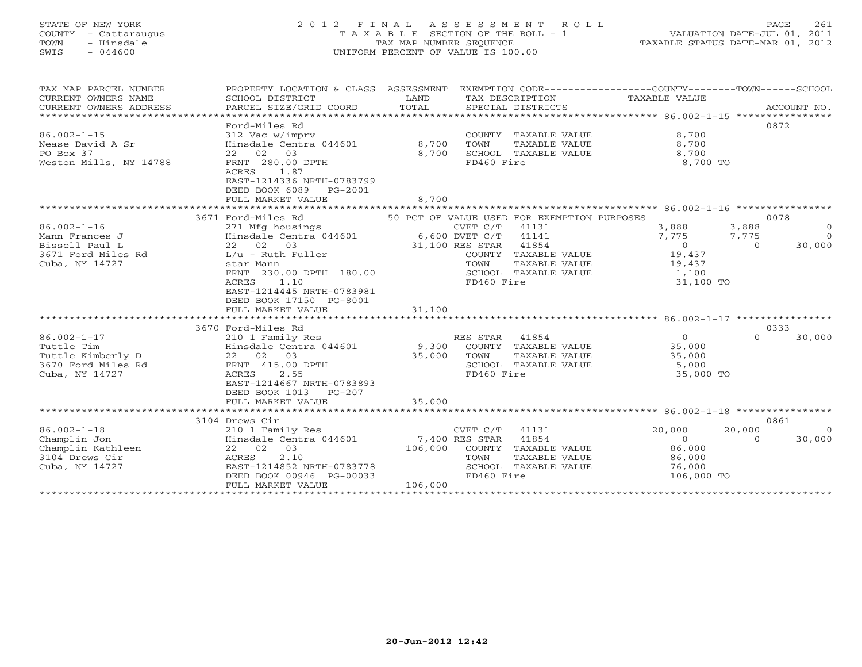# STATE OF NEW YORK 2 0 1 2 F I N A L A S S E S S M E N T R O L L PAGE 261 COUNTY - Cattaraugus T A X A B L E SECTION OF THE ROLL - 1 VALUATION DATE-JUL 01, 2011 TOWN - Hinsdale TAX MAP NUMBER SEQUENCE TAXABLE STATUS DATE-MAR 01, 2012 SWIS - 044600 UNIFORM PERCENT OF VALUE IS 100.00UNIFORM PERCENT OF VALUE IS 100.00

| TAX MAP PARCEL NUMBER<br>CURRENT OWNERS NAME<br>CURRENT OWNERS ADDRESS                                                                                                                        | PROPERTY LOCATION & CLASS ASSESSMENT EXEMPTION CODE---------------COUNTY-------TOWN------SCHOOL<br>SCHOOL DISTRICT<br>PARCEL SIZE/GRID COORD                                                                                                                                                                                                                                                                                                                                          | LAND<br>TOTAL             | TAX DESCRIPTION TAXABLE VALUE<br>SPECIAL DISTRICTS                                                                                                                                                  |                                                                                                                                          | ACCOUNT NO.                                                                                |
|-----------------------------------------------------------------------------------------------------------------------------------------------------------------------------------------------|---------------------------------------------------------------------------------------------------------------------------------------------------------------------------------------------------------------------------------------------------------------------------------------------------------------------------------------------------------------------------------------------------------------------------------------------------------------------------------------|---------------------------|-----------------------------------------------------------------------------------------------------------------------------------------------------------------------------------------------------|------------------------------------------------------------------------------------------------------------------------------------------|--------------------------------------------------------------------------------------------|
| $86.002 - 1 - 15$<br>Nease David A Sr<br>PO Box 37<br>Weston Mills, NY 14788                                                                                                                  | Ford-Miles Rd<br>312 Vac w/imprv<br>Hinsdale Centra 044601 8,700<br>22 02 03<br>FRNT 280.00 DPTH<br>1.87<br>ACRES<br>EAST-1214336 NRTH-0783799<br>DEED BOOK 6089 PG-2001<br>FULL MARKET VALUE                                                                                                                                                                                                                                                                                         | 8,700<br>8,700            | COUNTY TAXABLE VALUE<br>TOWN<br>TAXABLE VALUE<br>SCHOOL TAXABLE VALUE<br>FD460 Fire                                                                                                                 | 8,700<br>8,700<br>8,700<br>8,700 TO                                                                                                      | 0872                                                                                       |
|                                                                                                                                                                                               |                                                                                                                                                                                                                                                                                                                                                                                                                                                                                       |                           |                                                                                                                                                                                                     |                                                                                                                                          |                                                                                            |
| $86.002 - 1 - 16$<br>Mann Frances J<br>Bissell Paul L<br>3671 Ford Miles Rd<br>Cuba, NY 14727<br>$86.002 - 1 - 17$<br>Tuttle Tim<br>Tuttle Kimberly D<br>3670 Ford Miles Rd<br>Cuba, NY 14727 | 3671 Ford-Miles Rd 50 PCT OF VALUE USED FOR EXEMPTION PURPOSES<br>271 Mfg housings<br>Hinsdale Centra 044601 6,600 DVET C/T 41141<br>22 02 03 20 31,100 RES STAR 41854<br>$L/u$ - Ruth Fuller<br>star Mann<br>FRNT 230.00 DPTH 180.00<br>1.10<br>ACRES<br>EAST-1214445 NRTH-0783981<br>DEED BOOK 17150 PG-8001<br>FULL MARKET VALUE<br>3670 Ford-Miles Rd<br>210 1 Family Res<br>Hinsdale Centra 044601<br>22 02 03<br>FRNT 415.00 DPTH<br>2.55<br>ACRES<br>EAST-1214667 NRTH-0783893 | 31,100<br>9,300<br>35,000 | COUNTY TAXABLE VALUE 19,437<br>TOWN<br>TAXABLE VALUE<br>SCHOOL TAXABLE VALUE<br>FD460 Fire<br>RES STAR 41854<br>COUNTY TAXABLE VALUE<br>TAXABLE VALUE<br>TOWN<br>SCHOOL TAXABLE VALUE<br>FD460 Fire | 3,888 3,888<br>7,775 7,775<br>$\overline{0}$<br>19,437<br>1,100<br>31,100 TO<br>$\overline{0}$<br>35,000<br>35,000<br>5,000<br>35,000 TO | 0078<br>$\overline{0}$<br>$\Omega$<br>$\overline{a}$<br>30,000<br>0333<br>30,000<br>$\cap$ |
|                                                                                                                                                                                               | DEED BOOK 1013 PG-207<br>FULL MARKET VALUE                                                                                                                                                                                                                                                                                                                                                                                                                                            | 35,000                    |                                                                                                                                                                                                     |                                                                                                                                          |                                                                                            |
|                                                                                                                                                                                               |                                                                                                                                                                                                                                                                                                                                                                                                                                                                                       |                           |                                                                                                                                                                                                     |                                                                                                                                          |                                                                                            |
|                                                                                                                                                                                               | 3104 Drews Cir                                                                                                                                                                                                                                                                                                                                                                                                                                                                        |                           |                                                                                                                                                                                                     |                                                                                                                                          | 0861                                                                                       |
| $86.002 - 1 - 18$<br>Champlin Jon<br>Champlin Kathleen<br>3104 Drews Cir<br>Cuba, NY 14727                                                                                                    | 210 1 Family Res<br>Hinsdale Centra 044601 7,400 RES STAR 41854<br>22 02 03<br>2.10<br>ACRES<br>EAST-1214852 NRTH-0783778<br>DEED BOOK 00946 PG-00033<br>FULL MARKET VALUE                                                                                                                                                                                                                                                                                                            | 106,000                   | $CVET C/T$ 41131<br>106,000 COUNTY TAXABLE VALUE<br>TOWN<br>TAXABLE VALUE<br>SCHOOL TAXABLE VALUE<br>FD460 Fire                                                                                     | 20,000<br>20,000<br>$\Omega$<br>86,000<br>86,000<br>76,000<br>106,000 TO                                                                 | $\Omega$<br>30,000<br>$\Omega$                                                             |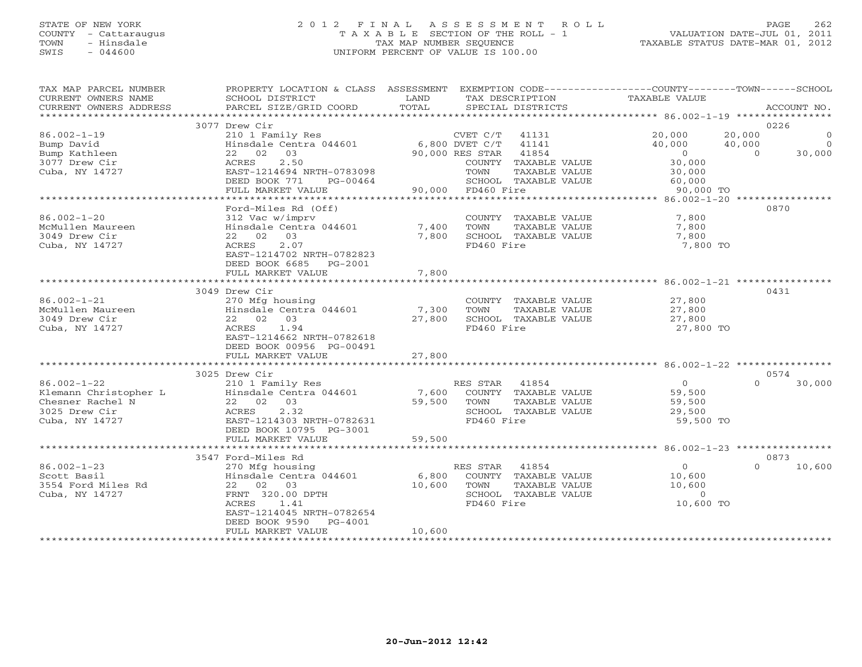## STATE OF NEW YORK 2 0 1 2 F I N A L A S S E S S M E N T R O L L PAGE 262 COUNTY - Cattaraugus T A X A B L E SECTION OF THE ROLL - 1 VALUATION DATE-JUL 01, 2011 TOWN - Hinsdale TAX MAP NUMBER SEQUENCE TAXABLE STATUS DATE-MAR 01, 2012 SWIS - 044600 UNIFORM PERCENT OF VALUE IS 100.00UNIFORM PERCENT OF VALUE IS 100.00

| TAX MAP PARCEL NUMBER<br>CURRENT OWNERS NAME<br>CURRENT OWNERS ADDRESS | PROPERTY LOCATION & CLASS ASSESSMENT<br>SCHOOL DISTRICT<br>PARCEL SIZE/GRID COORD | LAND<br>TOTAL  | EXEMPTION CODE-----------------COUNTY-------TOWN------SCHOOL<br>TAX DESCRIPTION<br>SPECIAL DISTRICTS | TAXABLE VALUE            | ACCOUNT NO.                          |
|------------------------------------------------------------------------|-----------------------------------------------------------------------------------|----------------|------------------------------------------------------------------------------------------------------|--------------------------|--------------------------------------|
|                                                                        |                                                                                   |                |                                                                                                      |                          |                                      |
|                                                                        | 3077 Drew Cir                                                                     |                |                                                                                                      |                          | 0226                                 |
| $86.002 - 1 - 19$                                                      | 210 1 Family Res                                                                  |                | CVET C/T<br>41131                                                                                    | 20,000                   | 20,000<br>$\circ$                    |
| Bump David                                                             | Hinsdale Centra 044601<br>03                                                      | 6,800 DVET C/T | 41141                                                                                                | 40,000<br>$\overline{0}$ | $\overline{O}$<br>40,000<br>$\Omega$ |
| Bump Kathleen<br>3077 Drew Cir                                         | 22 02<br>2.50<br>ACRES                                                            |                | 41854<br>90,000 RES STAR<br>COUNTY TAXABLE VALUE                                                     | 30,000                   | 30,000                               |
| Cuba, NY 14727                                                         | EAST-1214694 NRTH-0783098                                                         |                | TOWN<br>TAXABLE VALUE                                                                                | 30,000                   |                                      |
|                                                                        | DEED BOOK 771<br>PG-00464                                                         |                | SCHOOL TAXABLE VALUE                                                                                 | 60,000                   |                                      |
|                                                                        | FULL MARKET VALUE                                                                 |                | 90,000 FD460 Fire                                                                                    | 90,000 TO                |                                      |
|                                                                        | **********************************                                                |                |                                                                                                      |                          |                                      |
|                                                                        | Ford-Miles Rd (Off)                                                               |                |                                                                                                      |                          | 0870                                 |
| $86.002 - 1 - 20$                                                      | 312 Vac w/imprv                                                                   |                | COUNTY TAXABLE VALUE                                                                                 | 7,800                    |                                      |
| McMullen Maureen<br>3049 Drew Cir                                      | Hinsdale Centra 044601<br>22 02 03                                                | 7,400<br>7,800 | TOWN<br>TAXABLE VALUE<br>SCHOOL TAXABLE VALUE                                                        | 7,800                    |                                      |
| Cuba, NY 14727                                                         | 2.07<br>ACRES                                                                     |                | FD460 Fire                                                                                           | 7,800<br>7,800 TO        |                                      |
|                                                                        | EAST-1214702 NRTH-0782823                                                         |                |                                                                                                      |                          |                                      |
|                                                                        | DEED BOOK 6685 PG-2001                                                            |                |                                                                                                      |                          |                                      |
|                                                                        | FULL MARKET VALUE                                                                 | 7,800          |                                                                                                      |                          |                                      |
|                                                                        |                                                                                   |                |                                                                                                      |                          |                                      |
|                                                                        | 3049 Drew Cir                                                                     |                |                                                                                                      |                          | 0431                                 |
| $86.002 - 1 - 21$                                                      | 270 Mfg housing                                                                   |                | COUNTY TAXABLE VALUE                                                                                 | 27,800                   |                                      |
| McMullen Maureen                                                       | Hinsdale Centra 044601                                                            | 7,300          | TAXABLE VALUE<br>TOWN                                                                                | 27,800                   |                                      |
| 3049 Drew Cir                                                          | 22 02<br>03                                                                       | 27,800         | SCHOOL TAXABLE VALUE                                                                                 | 27,800                   |                                      |
| Cuba, NY 14727                                                         | 1.94<br>ACRES<br>EAST-1214662 NRTH-0782618                                        |                | FD460 Fire                                                                                           | 27,800 TO                |                                      |
|                                                                        | DEED BOOK 00956 PG-00491                                                          |                |                                                                                                      |                          |                                      |
|                                                                        | FULL MARKET VALUE                                                                 | 27,800         |                                                                                                      |                          |                                      |
|                                                                        |                                                                                   |                |                                                                                                      |                          |                                      |
|                                                                        | 3025 Drew Cir                                                                     |                |                                                                                                      |                          | 0574                                 |
| $86.002 - 1 - 22$                                                      | 210 1 Family Res                                                                  |                | RES STAR<br>41854                                                                                    | $\overline{0}$           | $\Omega$<br>30,000                   |
| Klemann Christopher L                                                  | Hinsdale Centra 044601                                                            | 7,600          | COUNTY TAXABLE VALUE                                                                                 | 59,500                   |                                      |
| Chesner Rachel N                                                       | 22 02 03                                                                          | 59,500         | TOWN<br>TAXABLE VALUE                                                                                | 59,500                   |                                      |
| 3025 Drew Cir                                                          | 2.32<br>ACRES                                                                     |                | SCHOOL TAXABLE VALUE                                                                                 | 29,500                   |                                      |
| Cuba, NY 14727                                                         | EAST-1214303 NRTH-0782631<br>DEED BOOK 10795 PG-3001                              |                | FD460 Fire                                                                                           | 59,500 TO                |                                      |
|                                                                        | FULL MARKET VALUE                                                                 | 59,500         |                                                                                                      |                          |                                      |
|                                                                        |                                                                                   |                |                                                                                                      |                          |                                      |
|                                                                        | 3547 Ford-Miles Rd                                                                |                |                                                                                                      |                          | 0873                                 |
| $86.002 - 1 - 23$                                                      | 270 Mfg housing                                                                   |                | RES STAR<br>41854                                                                                    | $\overline{0}$           | $\Omega$<br>10,600                   |
| Scott Basil                                                            | Hinsdale Centra 044601                                                            | 6,800          | COUNTY TAXABLE VALUE                                                                                 | 10,600                   |                                      |
| 3554 Ford Miles Rd                                                     | 22 02 03                                                                          | 10,600         | TOWN<br>TAXABLE VALUE                                                                                | 10,600                   |                                      |
| Cuba, NY 14727                                                         | FRNT 320.00 DPTH                                                                  |                | SCHOOL TAXABLE VALUE                                                                                 | $\circ$                  |                                      |
|                                                                        | 1.41<br>ACRES                                                                     |                | FD460 Fire                                                                                           | 10,600 TO                |                                      |
|                                                                        | EAST-1214045 NRTH-0782654<br>DEED BOOK 9590<br>PG-4001                            |                |                                                                                                      |                          |                                      |
|                                                                        | FULL MARKET VALUE                                                                 | 10,600         |                                                                                                      |                          |                                      |
|                                                                        |                                                                                   |                |                                                                                                      |                          |                                      |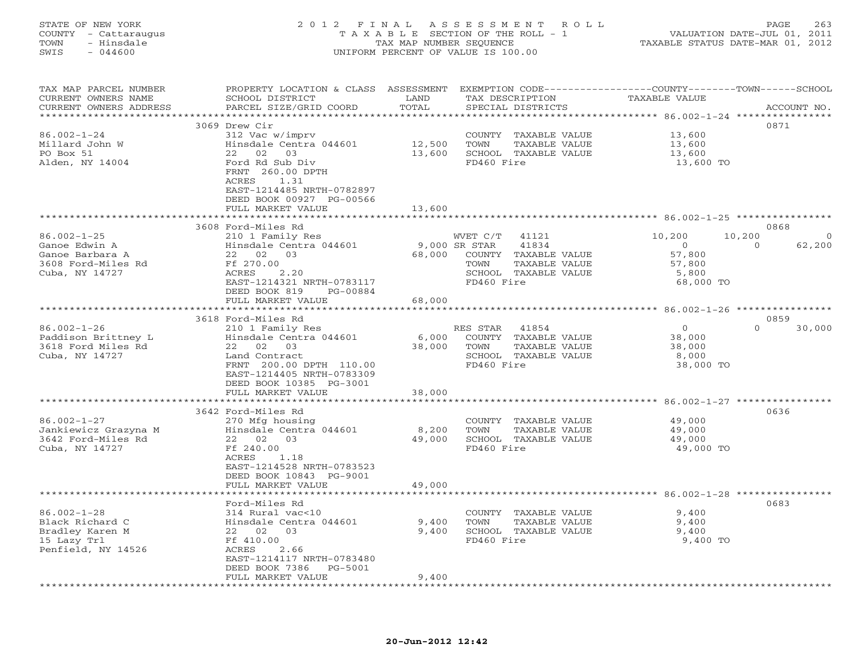## STATE OF NEW YORK 2 0 1 2 F I N A L A S S E S S M E N T R O L L PAGE 263 COUNTY - Cattaraugus T A X A B L E SECTION OF THE ROLL - 1 VALUATION DATE-JUL 01, 2011 TOWN - Hinsdale TAX MAP NUMBER SEQUENCE TAXABLE STATUS DATE-MAR 01, 2012 SWIS - 044600 UNIFORM PERCENT OF VALUE IS 100.00UNIFORM PERCENT OF VALUE IS 100.00

| TAX MAP PARCEL NUMBER<br>CURRENT OWNERS NAME | PROPERTY LOCATION & CLASS ASSESSMENT EXEMPTION CODE----------------COUNTY-------TOWN------SCHOOL<br>SCHOOL DISTRICT | LAND   | TAX DESCRIPTION                               | TAXABLE VALUE                            |          |             |
|----------------------------------------------|---------------------------------------------------------------------------------------------------------------------|--------|-----------------------------------------------|------------------------------------------|----------|-------------|
| CURRENT OWNERS ADDRESS                       | PARCEL SIZE/GRID COORD                                                                                              | TOTAL  | SPECIAL DISTRICTS                             |                                          |          | ACCOUNT NO. |
| ************************                     |                                                                                                                     |        |                                               |                                          |          |             |
|                                              | 3069 Drew Cir                                                                                                       |        |                                               |                                          | 0871     |             |
| $86.002 - 1 - 24$                            | 312 Vac w/imprv                                                                                                     |        | COUNTY TAXABLE VALUE                          | 13,600                                   |          |             |
| Millard John W                               | Hinsdale Centra 044601                                                                                              | 12,500 | TOWN<br>TAXABLE VALUE                         | 13,600                                   |          |             |
| PO Box 51                                    | 22 02 03                                                                                                            | 13,600 | SCHOOL TAXABLE VALUE                          | 13,600                                   |          |             |
| Alden, NY 14004                              | Ford Rd Sub Div                                                                                                     |        | FD460 Fire                                    | 13,600 TO                                |          |             |
|                                              | FRNT 260.00 DPTH                                                                                                    |        |                                               |                                          |          |             |
|                                              | ACRES<br>1.31                                                                                                       |        |                                               |                                          |          |             |
|                                              | EAST-1214485 NRTH-0782897                                                                                           |        |                                               |                                          |          |             |
|                                              | DEED BOOK 00927 PG-00566                                                                                            |        |                                               |                                          |          |             |
|                                              | FULL MARKET VALUE                                                                                                   | 13,600 |                                               |                                          |          |             |
|                                              |                                                                                                                     |        |                                               |                                          |          |             |
|                                              | 3608 Ford-Miles Rd                                                                                                  |        |                                               |                                          | 0868     |             |
| $86.002 - 1 - 25$                            | 210 1 Family Res                                                                                                    |        | WVET C/T 41121                                | 10,200                                   | 10,200   | $\circ$     |
| Ganoe Edwin A                                | Hinsdale Centra 044601                                                                                              |        | 9,000 SR STAR<br>41834                        | $\circ$                                  | $\Omega$ | 62,200      |
| Ganoe Barbara A                              | 22 02 03                                                                                                            | 68,000 | COUNTY TAXABLE VALUE                          | 57,800                                   |          |             |
| 3608 Ford-Miles Rd                           | Ff 270.00                                                                                                           |        | TAXABLE VALUE<br>TOWN                         | 57,800                                   |          |             |
| Cuba, NY 14727                               | ACRES<br>2.20                                                                                                       |        | SCHOOL TAXABLE VALUE                          | 5,800                                    |          |             |
|                                              | EAST-1214321 NRTH-0783117                                                                                           |        | FD460 Fire                                    | 68,000 TO                                |          |             |
|                                              | DEED BOOK 819<br>PG-00884                                                                                           |        |                                               |                                          |          |             |
|                                              | FULL MARKET VALUE                                                                                                   | 68,000 |                                               |                                          |          |             |
|                                              | ************************                                                                                            |        |                                               | *********** 86.002-1-26 **************** |          |             |
|                                              | 3618 Ford-Miles Rd                                                                                                  |        |                                               |                                          | 0859     |             |
| $86.002 - 1 - 26$                            | 210 1 Family Res                                                                                                    |        | RES STAR<br>41854                             | $\overline{0}$                           | $\Omega$ | 30,000      |
| Paddison Brittney L                          | Hinsdale Centra 044601                                                                                              | 6,000  | COUNTY TAXABLE VALUE                          | 38,000                                   |          |             |
| 3618 Ford Miles Rd                           | 22 02 03                                                                                                            | 38,000 | TOWN<br>TAXABLE VALUE                         | 38,000                                   |          |             |
| Cuba, NY 14727                               | Land Contract                                                                                                       |        | SCHOOL TAXABLE VALUE                          | 8,000                                    |          |             |
|                                              | FRNT 200.00 DPTH 110.00                                                                                             |        | FD460 Fire                                    | 38,000 TO                                |          |             |
|                                              | EAST-1214405 NRTH-0783309                                                                                           |        |                                               |                                          |          |             |
|                                              | DEED BOOK 10385 PG-3001                                                                                             |        |                                               |                                          |          |             |
|                                              | FULL MARKET VALUE                                                                                                   | 38,000 |                                               |                                          |          |             |
|                                              | ******************************                                                                                      |        |                                               |                                          |          |             |
|                                              | 3642 Ford-Miles Rd                                                                                                  |        |                                               |                                          | 0636     |             |
| $86.002 - 1 - 27$                            | 270 Mfg housing                                                                                                     |        | COUNTY TAXABLE VALUE                          | 49,000                                   |          |             |
| Jankiewicz Grazyna M                         | Hinsdale Centra 044601                                                                                              | 8,200  | TOWN<br>TAXABLE VALUE                         | 49,000                                   |          |             |
| 3642 Ford-Miles Rd                           | 22 02 03                                                                                                            | 49,000 | SCHOOL TAXABLE VALUE                          | 49,000                                   |          |             |
| Cuba, NY 14727                               | Ff 240.00                                                                                                           |        | FD460 Fire                                    | 49,000 TO                                |          |             |
|                                              | 1.18<br>ACRES                                                                                                       |        |                                               |                                          |          |             |
|                                              | EAST-1214528 NRTH-0783523                                                                                           |        |                                               |                                          |          |             |
|                                              | DEED BOOK 10843 PG-9001<br>FULL MARKET VALUE                                                                        |        |                                               |                                          |          |             |
|                                              | *******************                                                                                                 | 49,000 |                                               |                                          |          |             |
|                                              | Ford-Miles Rd                                                                                                       |        |                                               |                                          | 0683     |             |
| $86.002 - 1 - 28$                            | 314 Rural vac<10                                                                                                    |        |                                               | 9,400                                    |          |             |
| Black Richard C                              | Hinsdale Centra 044601                                                                                              | 9,400  | COUNTY TAXABLE VALUE<br>TOWN<br>TAXABLE VALUE | 9,400                                    |          |             |
| Bradley Karen M                              | 22 02<br>03                                                                                                         | 9,400  | SCHOOL TAXABLE VALUE                          | 9,400                                    |          |             |
| 15 Lazy Trl                                  | Ff 410.00                                                                                                           |        | FD460 Fire                                    | 9,400 TO                                 |          |             |
| Penfield, NY 14526                           | ACRES<br>2.66                                                                                                       |        |                                               |                                          |          |             |
|                                              | EAST-1214117 NRTH-0783480                                                                                           |        |                                               |                                          |          |             |
|                                              | DEED BOOK 7386<br>PG-5001                                                                                           |        |                                               |                                          |          |             |
|                                              | FULL MARKET VALUE                                                                                                   | 9,400  |                                               |                                          |          |             |
| *************************                    |                                                                                                                     |        |                                               |                                          |          |             |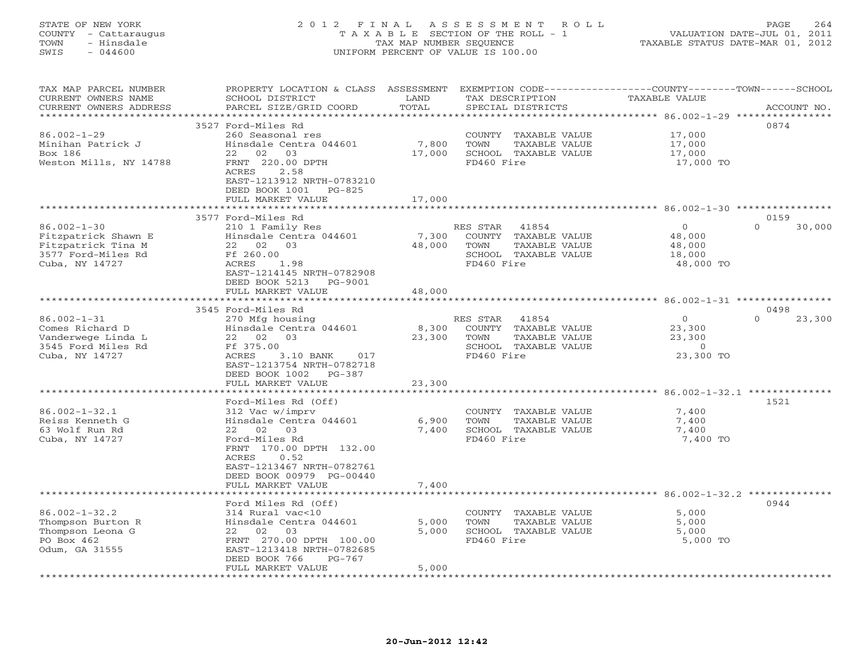## STATE OF NEW YORK 2 0 1 2 F I N A L A S S E S S M E N T R O L L PAGE 264 COUNTY - Cattaraugus T A X A B L E SECTION OF THE ROLL - 1 VALUATION DATE-JUL 01, 2011 TOWN - Hinsdale TAX MAP NUMBER SEQUENCE TAXABLE STATUS DATE-MAR 01, 2012 SWIS - 044600 UNIFORM PERCENT OF VALUE IS 100.00UNIFORM PERCENT OF VALUE IS 100.00

| ***********<br>*******************<br>3527 Ford-Miles Rd<br>0874<br>$86.002 - 1 - 29$<br>260 Seasonal res<br>17,000<br>COUNTY TAXABLE VALUE<br>7,800<br>Minihan Patrick J<br>Hinsdale Centra 044601<br>TOWN<br>TAXABLE VALUE<br>17,000<br>Box 186<br>02 03<br>SCHOOL TAXABLE VALUE<br>22<br>17,000<br>17,000<br>FRNT 220.00 DPTH<br>Weston Mills, NY 14788<br>FD460 Fire<br>17,000 TO<br>ACRES<br>2.58<br>EAST-1213912 NRTH-0783210<br>DEED BOOK 1001<br>$PG-825$<br>FULL MARKET VALUE<br>17,000<br>************************ 86.002-1-30 ***********<br>*******<br>0159<br>3577 Ford-Miles Rd<br>$86.002 - 1 - 30$<br>210 1 Family Res<br>$\circ$<br>$\Omega$<br>30,000<br>RES STAR<br>41854<br>Fitzpatrick Shawn E<br>Hinsdale Centra 044601<br>7,300<br>COUNTY TAXABLE VALUE<br>48,000<br>22 02<br>Fitzpatrick Tina M<br>03<br>48,000<br>TOWN<br>TAXABLE VALUE<br>48,000<br>3577 Ford-Miles Rd<br>Ff 260.00<br>SCHOOL TAXABLE VALUE<br>18,000<br>1.98<br>FD460 Fire<br>Cuba, NY 14727<br>ACRES<br>48,000 TO<br>EAST-1214145 NRTH-0782908<br>DEED BOOK 5213<br>PG-9001<br>FULL MARKET VALUE<br>48,000<br>0498<br>3545 Ford-Miles Rd<br>$86.002 - 1 - 31$<br>$\circ$<br>$\Omega$<br>23,300<br>270 Mfg housing<br>RES STAR<br>41854<br>Comes Richard D<br>Hinsdale Centra 044601<br>8,300<br>COUNTY TAXABLE VALUE<br>23,300<br>Vanderwege Linda L<br>22 02<br>23,300<br>23,300<br>03<br>TOWN<br>TAXABLE VALUE<br>3545 Ford Miles Rd<br>Ff 375.00<br>SCHOOL TAXABLE VALUE<br>$\overline{0}$<br>23,300 TO<br>Cuba, NY 14727<br>ACRES<br>FD460 Fire<br>3.10 BANK<br>017<br>EAST-1213754 NRTH-0782718<br>DEED BOOK 1002 PG-387<br>FULL MARKET VALUE<br>23,300<br>1521<br>Ford-Miles Rd (Off)<br>$86.002 - 1 - 32.1$<br>312 Vac w/imprv<br>COUNTY TAXABLE VALUE<br>7,400<br>Reiss Kenneth G<br>Hinsdale Centra 044601<br>6,900<br>TOWN<br>TAXABLE VALUE<br>7,400<br>63 Wolf Run Rd<br>22 02 03<br>7,400<br>SCHOOL TAXABLE VALUE<br>7,400<br>Cuba, NY 14727<br>Ford-Miles Rd<br>FD460 Fire<br>7,400 TO<br>FRNT 170.00 DPTH 132.00<br>ACRES<br>0.52<br>EAST-1213467 NRTH-0782761<br>DEED BOOK 00979 PG-00440<br>FULL MARKET VALUE<br>7,400<br>0944<br>Ford Miles Rd (Off)<br>$86.002 - 1 - 32.2$<br>5,000<br>314 Rural vac<10<br>COUNTY TAXABLE VALUE<br>Thompson Burton R<br>Hinsdale Centra 044601<br>5,000<br>TOWN<br>TAXABLE VALUE<br>5,000<br>Thompson Leona G<br>22 02<br>03<br>5,000<br>SCHOOL TAXABLE VALUE<br>5,000<br>PO Box 462<br>FRNT 270.00 DPTH 100.00<br>FD460 Fire<br>5,000 TO<br>Odum, GA 31555<br>EAST-1213418 NRTH-0782685<br>DEED BOOK 766<br>PG-767<br>FULL MARKET VALUE<br>5,000 | TAX MAP PARCEL NUMBER<br>CURRENT OWNERS NAME<br>CURRENT OWNERS ADDRESS | PROPERTY LOCATION & CLASS ASSESSMENT<br>SCHOOL DISTRICT<br>PARCEL SIZE/GRID COORD | LAND<br>TOTAL | EXEMPTION CODE-----------------COUNTY-------TOWN------SCHOOL<br>TAX DESCRIPTION<br>SPECIAL DISTRICTS | TAXABLE VALUE | ACCOUNT NO. |
|-------------------------------------------------------------------------------------------------------------------------------------------------------------------------------------------------------------------------------------------------------------------------------------------------------------------------------------------------------------------------------------------------------------------------------------------------------------------------------------------------------------------------------------------------------------------------------------------------------------------------------------------------------------------------------------------------------------------------------------------------------------------------------------------------------------------------------------------------------------------------------------------------------------------------------------------------------------------------------------------------------------------------------------------------------------------------------------------------------------------------------------------------------------------------------------------------------------------------------------------------------------------------------------------------------------------------------------------------------------------------------------------------------------------------------------------------------------------------------------------------------------------------------------------------------------------------------------------------------------------------------------------------------------------------------------------------------------------------------------------------------------------------------------------------------------------------------------------------------------------------------------------------------------------------------------------------------------------------------------------------------------------------------------------------------------------------------------------------------------------------------------------------------------------------------------------------------------------------------------------------------------------------------------------------------------------------------------------------------------------------------------------------------------------------------------------------------------------------------------------------------------------------------------------------------------------------------------------------|------------------------------------------------------------------------|-----------------------------------------------------------------------------------|---------------|------------------------------------------------------------------------------------------------------|---------------|-------------|
|                                                                                                                                                                                                                                                                                                                                                                                                                                                                                                                                                                                                                                                                                                                                                                                                                                                                                                                                                                                                                                                                                                                                                                                                                                                                                                                                                                                                                                                                                                                                                                                                                                                                                                                                                                                                                                                                                                                                                                                                                                                                                                                                                                                                                                                                                                                                                                                                                                                                                                                                                                                                 |                                                                        |                                                                                   |               |                                                                                                      |               |             |
|                                                                                                                                                                                                                                                                                                                                                                                                                                                                                                                                                                                                                                                                                                                                                                                                                                                                                                                                                                                                                                                                                                                                                                                                                                                                                                                                                                                                                                                                                                                                                                                                                                                                                                                                                                                                                                                                                                                                                                                                                                                                                                                                                                                                                                                                                                                                                                                                                                                                                                                                                                                                 |                                                                        |                                                                                   |               |                                                                                                      |               |             |
|                                                                                                                                                                                                                                                                                                                                                                                                                                                                                                                                                                                                                                                                                                                                                                                                                                                                                                                                                                                                                                                                                                                                                                                                                                                                                                                                                                                                                                                                                                                                                                                                                                                                                                                                                                                                                                                                                                                                                                                                                                                                                                                                                                                                                                                                                                                                                                                                                                                                                                                                                                                                 |                                                                        |                                                                                   |               |                                                                                                      |               |             |
|                                                                                                                                                                                                                                                                                                                                                                                                                                                                                                                                                                                                                                                                                                                                                                                                                                                                                                                                                                                                                                                                                                                                                                                                                                                                                                                                                                                                                                                                                                                                                                                                                                                                                                                                                                                                                                                                                                                                                                                                                                                                                                                                                                                                                                                                                                                                                                                                                                                                                                                                                                                                 |                                                                        |                                                                                   |               |                                                                                                      |               |             |
|                                                                                                                                                                                                                                                                                                                                                                                                                                                                                                                                                                                                                                                                                                                                                                                                                                                                                                                                                                                                                                                                                                                                                                                                                                                                                                                                                                                                                                                                                                                                                                                                                                                                                                                                                                                                                                                                                                                                                                                                                                                                                                                                                                                                                                                                                                                                                                                                                                                                                                                                                                                                 |                                                                        |                                                                                   |               |                                                                                                      |               |             |
|                                                                                                                                                                                                                                                                                                                                                                                                                                                                                                                                                                                                                                                                                                                                                                                                                                                                                                                                                                                                                                                                                                                                                                                                                                                                                                                                                                                                                                                                                                                                                                                                                                                                                                                                                                                                                                                                                                                                                                                                                                                                                                                                                                                                                                                                                                                                                                                                                                                                                                                                                                                                 |                                                                        |                                                                                   |               |                                                                                                      |               |             |
|                                                                                                                                                                                                                                                                                                                                                                                                                                                                                                                                                                                                                                                                                                                                                                                                                                                                                                                                                                                                                                                                                                                                                                                                                                                                                                                                                                                                                                                                                                                                                                                                                                                                                                                                                                                                                                                                                                                                                                                                                                                                                                                                                                                                                                                                                                                                                                                                                                                                                                                                                                                                 |                                                                        |                                                                                   |               |                                                                                                      |               |             |
|                                                                                                                                                                                                                                                                                                                                                                                                                                                                                                                                                                                                                                                                                                                                                                                                                                                                                                                                                                                                                                                                                                                                                                                                                                                                                                                                                                                                                                                                                                                                                                                                                                                                                                                                                                                                                                                                                                                                                                                                                                                                                                                                                                                                                                                                                                                                                                                                                                                                                                                                                                                                 |                                                                        |                                                                                   |               |                                                                                                      |               |             |
|                                                                                                                                                                                                                                                                                                                                                                                                                                                                                                                                                                                                                                                                                                                                                                                                                                                                                                                                                                                                                                                                                                                                                                                                                                                                                                                                                                                                                                                                                                                                                                                                                                                                                                                                                                                                                                                                                                                                                                                                                                                                                                                                                                                                                                                                                                                                                                                                                                                                                                                                                                                                 |                                                                        |                                                                                   |               |                                                                                                      |               |             |
|                                                                                                                                                                                                                                                                                                                                                                                                                                                                                                                                                                                                                                                                                                                                                                                                                                                                                                                                                                                                                                                                                                                                                                                                                                                                                                                                                                                                                                                                                                                                                                                                                                                                                                                                                                                                                                                                                                                                                                                                                                                                                                                                                                                                                                                                                                                                                                                                                                                                                                                                                                                                 |                                                                        |                                                                                   |               |                                                                                                      |               |             |
|                                                                                                                                                                                                                                                                                                                                                                                                                                                                                                                                                                                                                                                                                                                                                                                                                                                                                                                                                                                                                                                                                                                                                                                                                                                                                                                                                                                                                                                                                                                                                                                                                                                                                                                                                                                                                                                                                                                                                                                                                                                                                                                                                                                                                                                                                                                                                                                                                                                                                                                                                                                                 |                                                                        |                                                                                   |               |                                                                                                      |               |             |
|                                                                                                                                                                                                                                                                                                                                                                                                                                                                                                                                                                                                                                                                                                                                                                                                                                                                                                                                                                                                                                                                                                                                                                                                                                                                                                                                                                                                                                                                                                                                                                                                                                                                                                                                                                                                                                                                                                                                                                                                                                                                                                                                                                                                                                                                                                                                                                                                                                                                                                                                                                                                 |                                                                        |                                                                                   |               |                                                                                                      |               |             |
|                                                                                                                                                                                                                                                                                                                                                                                                                                                                                                                                                                                                                                                                                                                                                                                                                                                                                                                                                                                                                                                                                                                                                                                                                                                                                                                                                                                                                                                                                                                                                                                                                                                                                                                                                                                                                                                                                                                                                                                                                                                                                                                                                                                                                                                                                                                                                                                                                                                                                                                                                                                                 |                                                                        |                                                                                   |               |                                                                                                      |               |             |
|                                                                                                                                                                                                                                                                                                                                                                                                                                                                                                                                                                                                                                                                                                                                                                                                                                                                                                                                                                                                                                                                                                                                                                                                                                                                                                                                                                                                                                                                                                                                                                                                                                                                                                                                                                                                                                                                                                                                                                                                                                                                                                                                                                                                                                                                                                                                                                                                                                                                                                                                                                                                 |                                                                        |                                                                                   |               |                                                                                                      |               |             |
|                                                                                                                                                                                                                                                                                                                                                                                                                                                                                                                                                                                                                                                                                                                                                                                                                                                                                                                                                                                                                                                                                                                                                                                                                                                                                                                                                                                                                                                                                                                                                                                                                                                                                                                                                                                                                                                                                                                                                                                                                                                                                                                                                                                                                                                                                                                                                                                                                                                                                                                                                                                                 |                                                                        |                                                                                   |               |                                                                                                      |               |             |
|                                                                                                                                                                                                                                                                                                                                                                                                                                                                                                                                                                                                                                                                                                                                                                                                                                                                                                                                                                                                                                                                                                                                                                                                                                                                                                                                                                                                                                                                                                                                                                                                                                                                                                                                                                                                                                                                                                                                                                                                                                                                                                                                                                                                                                                                                                                                                                                                                                                                                                                                                                                                 |                                                                        |                                                                                   |               |                                                                                                      |               |             |
|                                                                                                                                                                                                                                                                                                                                                                                                                                                                                                                                                                                                                                                                                                                                                                                                                                                                                                                                                                                                                                                                                                                                                                                                                                                                                                                                                                                                                                                                                                                                                                                                                                                                                                                                                                                                                                                                                                                                                                                                                                                                                                                                                                                                                                                                                                                                                                                                                                                                                                                                                                                                 |                                                                        |                                                                                   |               |                                                                                                      |               |             |
|                                                                                                                                                                                                                                                                                                                                                                                                                                                                                                                                                                                                                                                                                                                                                                                                                                                                                                                                                                                                                                                                                                                                                                                                                                                                                                                                                                                                                                                                                                                                                                                                                                                                                                                                                                                                                                                                                                                                                                                                                                                                                                                                                                                                                                                                                                                                                                                                                                                                                                                                                                                                 |                                                                        |                                                                                   |               |                                                                                                      |               |             |
|                                                                                                                                                                                                                                                                                                                                                                                                                                                                                                                                                                                                                                                                                                                                                                                                                                                                                                                                                                                                                                                                                                                                                                                                                                                                                                                                                                                                                                                                                                                                                                                                                                                                                                                                                                                                                                                                                                                                                                                                                                                                                                                                                                                                                                                                                                                                                                                                                                                                                                                                                                                                 |                                                                        |                                                                                   |               |                                                                                                      |               |             |
|                                                                                                                                                                                                                                                                                                                                                                                                                                                                                                                                                                                                                                                                                                                                                                                                                                                                                                                                                                                                                                                                                                                                                                                                                                                                                                                                                                                                                                                                                                                                                                                                                                                                                                                                                                                                                                                                                                                                                                                                                                                                                                                                                                                                                                                                                                                                                                                                                                                                                                                                                                                                 |                                                                        |                                                                                   |               |                                                                                                      |               |             |
|                                                                                                                                                                                                                                                                                                                                                                                                                                                                                                                                                                                                                                                                                                                                                                                                                                                                                                                                                                                                                                                                                                                                                                                                                                                                                                                                                                                                                                                                                                                                                                                                                                                                                                                                                                                                                                                                                                                                                                                                                                                                                                                                                                                                                                                                                                                                                                                                                                                                                                                                                                                                 |                                                                        |                                                                                   |               |                                                                                                      |               |             |
|                                                                                                                                                                                                                                                                                                                                                                                                                                                                                                                                                                                                                                                                                                                                                                                                                                                                                                                                                                                                                                                                                                                                                                                                                                                                                                                                                                                                                                                                                                                                                                                                                                                                                                                                                                                                                                                                                                                                                                                                                                                                                                                                                                                                                                                                                                                                                                                                                                                                                                                                                                                                 |                                                                        |                                                                                   |               |                                                                                                      |               |             |
|                                                                                                                                                                                                                                                                                                                                                                                                                                                                                                                                                                                                                                                                                                                                                                                                                                                                                                                                                                                                                                                                                                                                                                                                                                                                                                                                                                                                                                                                                                                                                                                                                                                                                                                                                                                                                                                                                                                                                                                                                                                                                                                                                                                                                                                                                                                                                                                                                                                                                                                                                                                                 |                                                                        |                                                                                   |               |                                                                                                      |               |             |
|                                                                                                                                                                                                                                                                                                                                                                                                                                                                                                                                                                                                                                                                                                                                                                                                                                                                                                                                                                                                                                                                                                                                                                                                                                                                                                                                                                                                                                                                                                                                                                                                                                                                                                                                                                                                                                                                                                                                                                                                                                                                                                                                                                                                                                                                                                                                                                                                                                                                                                                                                                                                 |                                                                        |                                                                                   |               |                                                                                                      |               |             |
|                                                                                                                                                                                                                                                                                                                                                                                                                                                                                                                                                                                                                                                                                                                                                                                                                                                                                                                                                                                                                                                                                                                                                                                                                                                                                                                                                                                                                                                                                                                                                                                                                                                                                                                                                                                                                                                                                                                                                                                                                                                                                                                                                                                                                                                                                                                                                                                                                                                                                                                                                                                                 |                                                                        |                                                                                   |               |                                                                                                      |               |             |
|                                                                                                                                                                                                                                                                                                                                                                                                                                                                                                                                                                                                                                                                                                                                                                                                                                                                                                                                                                                                                                                                                                                                                                                                                                                                                                                                                                                                                                                                                                                                                                                                                                                                                                                                                                                                                                                                                                                                                                                                                                                                                                                                                                                                                                                                                                                                                                                                                                                                                                                                                                                                 |                                                                        |                                                                                   |               |                                                                                                      |               |             |
|                                                                                                                                                                                                                                                                                                                                                                                                                                                                                                                                                                                                                                                                                                                                                                                                                                                                                                                                                                                                                                                                                                                                                                                                                                                                                                                                                                                                                                                                                                                                                                                                                                                                                                                                                                                                                                                                                                                                                                                                                                                                                                                                                                                                                                                                                                                                                                                                                                                                                                                                                                                                 |                                                                        |                                                                                   |               |                                                                                                      |               |             |
|                                                                                                                                                                                                                                                                                                                                                                                                                                                                                                                                                                                                                                                                                                                                                                                                                                                                                                                                                                                                                                                                                                                                                                                                                                                                                                                                                                                                                                                                                                                                                                                                                                                                                                                                                                                                                                                                                                                                                                                                                                                                                                                                                                                                                                                                                                                                                                                                                                                                                                                                                                                                 |                                                                        |                                                                                   |               |                                                                                                      |               |             |
|                                                                                                                                                                                                                                                                                                                                                                                                                                                                                                                                                                                                                                                                                                                                                                                                                                                                                                                                                                                                                                                                                                                                                                                                                                                                                                                                                                                                                                                                                                                                                                                                                                                                                                                                                                                                                                                                                                                                                                                                                                                                                                                                                                                                                                                                                                                                                                                                                                                                                                                                                                                                 |                                                                        |                                                                                   |               |                                                                                                      |               |             |
|                                                                                                                                                                                                                                                                                                                                                                                                                                                                                                                                                                                                                                                                                                                                                                                                                                                                                                                                                                                                                                                                                                                                                                                                                                                                                                                                                                                                                                                                                                                                                                                                                                                                                                                                                                                                                                                                                                                                                                                                                                                                                                                                                                                                                                                                                                                                                                                                                                                                                                                                                                                                 |                                                                        |                                                                                   |               |                                                                                                      |               |             |
|                                                                                                                                                                                                                                                                                                                                                                                                                                                                                                                                                                                                                                                                                                                                                                                                                                                                                                                                                                                                                                                                                                                                                                                                                                                                                                                                                                                                                                                                                                                                                                                                                                                                                                                                                                                                                                                                                                                                                                                                                                                                                                                                                                                                                                                                                                                                                                                                                                                                                                                                                                                                 |                                                                        |                                                                                   |               |                                                                                                      |               |             |
|                                                                                                                                                                                                                                                                                                                                                                                                                                                                                                                                                                                                                                                                                                                                                                                                                                                                                                                                                                                                                                                                                                                                                                                                                                                                                                                                                                                                                                                                                                                                                                                                                                                                                                                                                                                                                                                                                                                                                                                                                                                                                                                                                                                                                                                                                                                                                                                                                                                                                                                                                                                                 |                                                                        |                                                                                   |               |                                                                                                      |               |             |
|                                                                                                                                                                                                                                                                                                                                                                                                                                                                                                                                                                                                                                                                                                                                                                                                                                                                                                                                                                                                                                                                                                                                                                                                                                                                                                                                                                                                                                                                                                                                                                                                                                                                                                                                                                                                                                                                                                                                                                                                                                                                                                                                                                                                                                                                                                                                                                                                                                                                                                                                                                                                 |                                                                        |                                                                                   |               |                                                                                                      |               |             |
|                                                                                                                                                                                                                                                                                                                                                                                                                                                                                                                                                                                                                                                                                                                                                                                                                                                                                                                                                                                                                                                                                                                                                                                                                                                                                                                                                                                                                                                                                                                                                                                                                                                                                                                                                                                                                                                                                                                                                                                                                                                                                                                                                                                                                                                                                                                                                                                                                                                                                                                                                                                                 |                                                                        |                                                                                   |               |                                                                                                      |               |             |
|                                                                                                                                                                                                                                                                                                                                                                                                                                                                                                                                                                                                                                                                                                                                                                                                                                                                                                                                                                                                                                                                                                                                                                                                                                                                                                                                                                                                                                                                                                                                                                                                                                                                                                                                                                                                                                                                                                                                                                                                                                                                                                                                                                                                                                                                                                                                                                                                                                                                                                                                                                                                 |                                                                        |                                                                                   |               |                                                                                                      |               |             |
|                                                                                                                                                                                                                                                                                                                                                                                                                                                                                                                                                                                                                                                                                                                                                                                                                                                                                                                                                                                                                                                                                                                                                                                                                                                                                                                                                                                                                                                                                                                                                                                                                                                                                                                                                                                                                                                                                                                                                                                                                                                                                                                                                                                                                                                                                                                                                                                                                                                                                                                                                                                                 |                                                                        |                                                                                   |               |                                                                                                      |               |             |
|                                                                                                                                                                                                                                                                                                                                                                                                                                                                                                                                                                                                                                                                                                                                                                                                                                                                                                                                                                                                                                                                                                                                                                                                                                                                                                                                                                                                                                                                                                                                                                                                                                                                                                                                                                                                                                                                                                                                                                                                                                                                                                                                                                                                                                                                                                                                                                                                                                                                                                                                                                                                 |                                                                        |                                                                                   |               |                                                                                                      |               |             |
|                                                                                                                                                                                                                                                                                                                                                                                                                                                                                                                                                                                                                                                                                                                                                                                                                                                                                                                                                                                                                                                                                                                                                                                                                                                                                                                                                                                                                                                                                                                                                                                                                                                                                                                                                                                                                                                                                                                                                                                                                                                                                                                                                                                                                                                                                                                                                                                                                                                                                                                                                                                                 |                                                                        |                                                                                   |               |                                                                                                      |               |             |
|                                                                                                                                                                                                                                                                                                                                                                                                                                                                                                                                                                                                                                                                                                                                                                                                                                                                                                                                                                                                                                                                                                                                                                                                                                                                                                                                                                                                                                                                                                                                                                                                                                                                                                                                                                                                                                                                                                                                                                                                                                                                                                                                                                                                                                                                                                                                                                                                                                                                                                                                                                                                 |                                                                        |                                                                                   |               |                                                                                                      |               |             |
|                                                                                                                                                                                                                                                                                                                                                                                                                                                                                                                                                                                                                                                                                                                                                                                                                                                                                                                                                                                                                                                                                                                                                                                                                                                                                                                                                                                                                                                                                                                                                                                                                                                                                                                                                                                                                                                                                                                                                                                                                                                                                                                                                                                                                                                                                                                                                                                                                                                                                                                                                                                                 |                                                                        |                                                                                   |               |                                                                                                      |               |             |
|                                                                                                                                                                                                                                                                                                                                                                                                                                                                                                                                                                                                                                                                                                                                                                                                                                                                                                                                                                                                                                                                                                                                                                                                                                                                                                                                                                                                                                                                                                                                                                                                                                                                                                                                                                                                                                                                                                                                                                                                                                                                                                                                                                                                                                                                                                                                                                                                                                                                                                                                                                                                 |                                                                        |                                                                                   |               |                                                                                                      |               |             |
|                                                                                                                                                                                                                                                                                                                                                                                                                                                                                                                                                                                                                                                                                                                                                                                                                                                                                                                                                                                                                                                                                                                                                                                                                                                                                                                                                                                                                                                                                                                                                                                                                                                                                                                                                                                                                                                                                                                                                                                                                                                                                                                                                                                                                                                                                                                                                                                                                                                                                                                                                                                                 |                                                                        |                                                                                   |               |                                                                                                      |               |             |
|                                                                                                                                                                                                                                                                                                                                                                                                                                                                                                                                                                                                                                                                                                                                                                                                                                                                                                                                                                                                                                                                                                                                                                                                                                                                                                                                                                                                                                                                                                                                                                                                                                                                                                                                                                                                                                                                                                                                                                                                                                                                                                                                                                                                                                                                                                                                                                                                                                                                                                                                                                                                 |                                                                        |                                                                                   |               |                                                                                                      |               |             |
|                                                                                                                                                                                                                                                                                                                                                                                                                                                                                                                                                                                                                                                                                                                                                                                                                                                                                                                                                                                                                                                                                                                                                                                                                                                                                                                                                                                                                                                                                                                                                                                                                                                                                                                                                                                                                                                                                                                                                                                                                                                                                                                                                                                                                                                                                                                                                                                                                                                                                                                                                                                                 |                                                                        |                                                                                   |               |                                                                                                      |               |             |
|                                                                                                                                                                                                                                                                                                                                                                                                                                                                                                                                                                                                                                                                                                                                                                                                                                                                                                                                                                                                                                                                                                                                                                                                                                                                                                                                                                                                                                                                                                                                                                                                                                                                                                                                                                                                                                                                                                                                                                                                                                                                                                                                                                                                                                                                                                                                                                                                                                                                                                                                                                                                 |                                                                        |                                                                                   |               |                                                                                                      |               |             |
|                                                                                                                                                                                                                                                                                                                                                                                                                                                                                                                                                                                                                                                                                                                                                                                                                                                                                                                                                                                                                                                                                                                                                                                                                                                                                                                                                                                                                                                                                                                                                                                                                                                                                                                                                                                                                                                                                                                                                                                                                                                                                                                                                                                                                                                                                                                                                                                                                                                                                                                                                                                                 |                                                                        |                                                                                   |               |                                                                                                      |               |             |
|                                                                                                                                                                                                                                                                                                                                                                                                                                                                                                                                                                                                                                                                                                                                                                                                                                                                                                                                                                                                                                                                                                                                                                                                                                                                                                                                                                                                                                                                                                                                                                                                                                                                                                                                                                                                                                                                                                                                                                                                                                                                                                                                                                                                                                                                                                                                                                                                                                                                                                                                                                                                 |                                                                        |                                                                                   |               |                                                                                                      |               |             |
|                                                                                                                                                                                                                                                                                                                                                                                                                                                                                                                                                                                                                                                                                                                                                                                                                                                                                                                                                                                                                                                                                                                                                                                                                                                                                                                                                                                                                                                                                                                                                                                                                                                                                                                                                                                                                                                                                                                                                                                                                                                                                                                                                                                                                                                                                                                                                                                                                                                                                                                                                                                                 |                                                                        |                                                                                   |               |                                                                                                      |               |             |
|                                                                                                                                                                                                                                                                                                                                                                                                                                                                                                                                                                                                                                                                                                                                                                                                                                                                                                                                                                                                                                                                                                                                                                                                                                                                                                                                                                                                                                                                                                                                                                                                                                                                                                                                                                                                                                                                                                                                                                                                                                                                                                                                                                                                                                                                                                                                                                                                                                                                                                                                                                                                 |                                                                        |                                                                                   |               |                                                                                                      |               |             |
|                                                                                                                                                                                                                                                                                                                                                                                                                                                                                                                                                                                                                                                                                                                                                                                                                                                                                                                                                                                                                                                                                                                                                                                                                                                                                                                                                                                                                                                                                                                                                                                                                                                                                                                                                                                                                                                                                                                                                                                                                                                                                                                                                                                                                                                                                                                                                                                                                                                                                                                                                                                                 |                                                                        |                                                                                   |               |                                                                                                      |               |             |
|                                                                                                                                                                                                                                                                                                                                                                                                                                                                                                                                                                                                                                                                                                                                                                                                                                                                                                                                                                                                                                                                                                                                                                                                                                                                                                                                                                                                                                                                                                                                                                                                                                                                                                                                                                                                                                                                                                                                                                                                                                                                                                                                                                                                                                                                                                                                                                                                                                                                                                                                                                                                 |                                                                        |                                                                                   |               |                                                                                                      |               |             |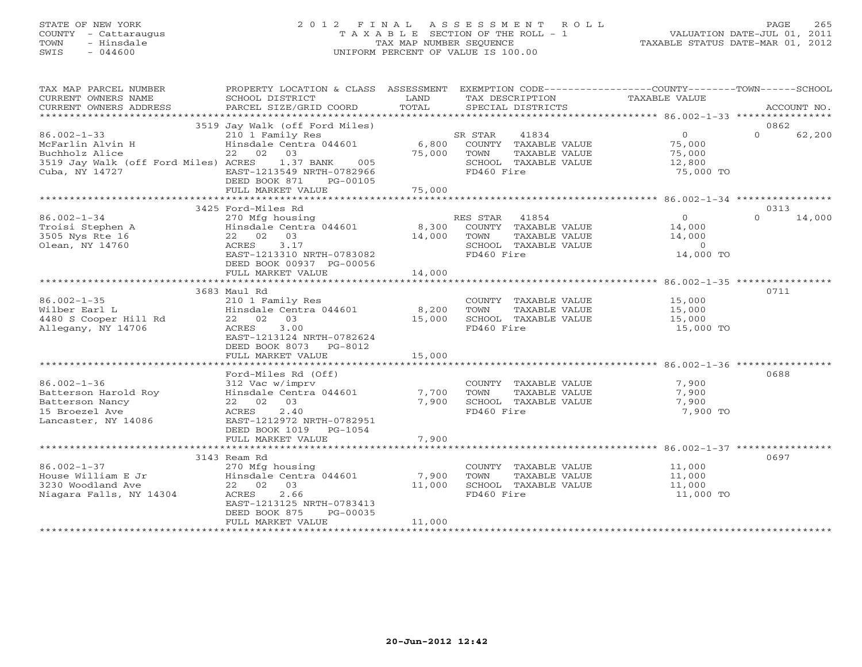# STATE OF NEW YORK 2 0 1 2 F I N A L A S S E S S M E N T R O L L PAGE 265 COUNTY - Cattaraugus T A X A B L E SECTION OF THE ROLL - 1 VALUATION DATE-JUL 01, 2011 TOWN - Hinsdale TAX MAP NUMBER SEQUENCE TAXABLE STATUS DATE-MAR 01, 2012 SWIS - 044600 UNIFORM PERCENT OF VALUE IS 100.00UNIFORM PERCENT OF VALUE IS 100.00

| TAX MAP PARCEL NUMBER                                                                                                                                                                                                          | PROPERTY LOCATION & CLASS ASSESSMENT EXEMPTION CODE----------------COUNTY-------TOWN------SCHOOL                                                                                       |                       |                                                 |               |                                                     |          |             |
|--------------------------------------------------------------------------------------------------------------------------------------------------------------------------------------------------------------------------------|----------------------------------------------------------------------------------------------------------------------------------------------------------------------------------------|-----------------------|-------------------------------------------------|---------------|-----------------------------------------------------|----------|-------------|
| CURRENT OWNERS NAME                                                                                                                                                                                                            | <b>EXAMPLE SERVICE SERVICE SERVICE SERVICE SERVICE SERVICE SERVICE SERVICE SERVICE SERVICE SERVICE SERVICE SERVICE</b><br>SCHOOL DISTRICT<br>PARCEL SIZE/GRID COORD                    | TOTAL                 | TAX DESCRIPTION<br>SPECIAL DISTRICTS            |               | TAXABLE VALUE                                       |          | ACCOUNT NO. |
| CURRENT OWNERS ADDRESS                                                                                                                                                                                                         |                                                                                                                                                                                        |                       |                                                 |               |                                                     |          |             |
|                                                                                                                                                                                                                                | 3519 Jay Walk (off Ford Miles)                                                                                                                                                         |                       |                                                 |               |                                                     | 0862     |             |
| $86.002 - 1 - 33$                                                                                                                                                                                                              |                                                                                                                                                                                        |                       |                                                 |               |                                                     | $\Omega$ | 62,200      |
| McFarlin Alvin H<br>Buchholz Alice                                                                                                                                                                                             |                                                                                                                                                                                        |                       |                                                 |               |                                                     |          |             |
| Buchholz Alice                                                                                                                                                                                                                 | 22 02 03                                                                                                                                                                               |                       |                                                 | TAXABLE VALUE | 75,000                                              |          |             |
| 3519 Jay Walk (off Ford Miles) ACRES 1.37 BANK 005                                                                                                                                                                             |                                                                                                                                                                                        | 75,000 TOWN<br>SCHOOL | SCHOOL TAXABLE VALUE                            |               | 12,800                                              |          |             |
| Cuba, NY 14727                                                                                                                                                                                                                 | EAST-1213549 NRTH-0782966                                                                                                                                                              |                       | FD460 Fire                                      |               | 75,000 TO                                           |          |             |
|                                                                                                                                                                                                                                | DEED BOOK 871<br>PG-00105                                                                                                                                                              |                       |                                                 |               |                                                     |          |             |
|                                                                                                                                                                                                                                |                                                                                                                                                                                        |                       |                                                 |               |                                                     |          |             |
|                                                                                                                                                                                                                                |                                                                                                                                                                                        |                       |                                                 |               |                                                     | 0313     |             |
| $86.002 - 1 - 34$                                                                                                                                                                                                              | 3425 Ford-Miles Rd<br>Ford-Miles Rd<br>270 Mfg housing<br>Hinsdale Centra 044601 8,300 COUNTY TAXABLE VALUE<br>22 02 03 17 14,000 TOWN TAXABLE VALUE<br>2--- 2 17 5CHOOL TAXABLE VALUE |                       |                                                 |               | $\overline{0}$                                      | $\Omega$ | 14,000      |
|                                                                                                                                                                                                                                |                                                                                                                                                                                        |                       |                                                 |               |                                                     |          |             |
| Troisi Stephen A<br>3505 Nys Rte 16                                                                                                                                                                                            |                                                                                                                                                                                        |                       |                                                 |               | 14,000<br>14,000                                    |          |             |
| Olean, NY 14760                                                                                                                                                                                                                |                                                                                                                                                                                        |                       | SCHOOL TAXABLE VALUE                            |               | $\overline{0}$                                      |          |             |
|                                                                                                                                                                                                                                |                                                                                                                                                                                        |                       |                                                 |               | 14,000 TO                                           |          |             |
|                                                                                                                                                                                                                                | DEED BOOK 00937 PG-00056                                                                                                                                                               |                       |                                                 |               |                                                     |          |             |
|                                                                                                                                                                                                                                | FULL MARKET VALUE                                                                                                                                                                      | 14,000                |                                                 |               |                                                     |          |             |
|                                                                                                                                                                                                                                |                                                                                                                                                                                        |                       |                                                 |               |                                                     |          |             |
|                                                                                                                                                                                                                                | 3683 Maul Rd                                                                                                                                                                           |                       |                                                 |               |                                                     | 0711     |             |
| $86.002 - 1 - 35$                                                                                                                                                                                                              | 210 1 Family Res<br>Hinsdale Centra 044601 8,200                                                                                                                                       |                       |                                                 |               | COUNTY TAXABLE VALUE 15,000                         |          |             |
| 86.002-1-35<br>Wilber Earl L<br>4480 S Cooper Hill Rd                                                                                                                                                                          |                                                                                                                                                                                        |                       | TOWN                                            | TAXABLE VALUE | 15,000                                              |          |             |
|                                                                                                                                                                                                                                | 22 02 03                                                                                                                                                                               | 15,000                | SCHOOL TAXABLE VALUE                            |               | 15,000                                              |          |             |
| Allegany, NY 14706                                                                                                                                                                                                             | ACRES 3.00                                                                                                                                                                             |                       | FD460 Fire                                      |               | 15,000 TO                                           |          |             |
|                                                                                                                                                                                                                                | EAST-1213124 NRTH-0782624                                                                                                                                                              |                       |                                                 |               |                                                     |          |             |
|                                                                                                                                                                                                                                | DEED BOOK 8073 PG-8012<br>FULL MARKET VALUE                                                                                                                                            | 15,000                |                                                 |               |                                                     |          |             |
|                                                                                                                                                                                                                                |                                                                                                                                                                                        |                       |                                                 |               |                                                     |          |             |
|                                                                                                                                                                                                                                | Ford-Miles Rd (Off)                                                                                                                                                                    |                       |                                                 |               |                                                     | 0688     |             |
|                                                                                                                                                                                                                                |                                                                                                                                                                                        |                       |                                                 |               |                                                     |          |             |
|                                                                                                                                                                                                                                |                                                                                                                                                                                        |                       | COUNTY TAXABLE VALUE<br>TOWN      TAXABLE VALUE |               | 7,900<br>7,900                                      |          |             |
|                                                                                                                                                                                                                                |                                                                                                                                                                                        |                       | SCHOOL TAXABLE VALUE                            |               | 7,900                                               |          |             |
| CONCORRECTED MATCH CONTROLL ON THE SALE OF THE MATCH CONTROLL OF THE MATCH CONTROLL OF THE MATCH CONTROLL OF THE MATCH CONTROLL OF THE MATCH CONTROLL OF THE MATCH CONTROLL OF THE MATCH CONTROLL OF THE MATCH CONTROLL OF THE |                                                                                                                                                                                        |                       | FD460 Fire                                      |               | 7,900 TO                                            |          |             |
| Lancaster, NY 14086                                                                                                                                                                                                            | EAST-1212972 NRTH-0782951                                                                                                                                                              |                       |                                                 |               |                                                     |          |             |
|                                                                                                                                                                                                                                | DEED BOOK 1019 PG-1054                                                                                                                                                                 |                       |                                                 |               |                                                     |          |             |
|                                                                                                                                                                                                                                | FULL MARKET VALUE                                                                                                                                                                      | 7,900                 |                                                 |               |                                                     |          |             |
|                                                                                                                                                                                                                                |                                                                                                                                                                                        |                       |                                                 |               |                                                     |          |             |
|                                                                                                                                                                                                                                | 3143 Ream Rd                                                                                                                                                                           |                       |                                                 |               |                                                     | 0697     |             |
| $86.002 - 1 - 37$                                                                                                                                                                                                              | 270 Mfg housing                                                                                                                                                                        |                       | TOWN                                            |               | COUNTY TAXABLE VALUE 11,000<br>TAXABLE VALUE 11,000 |          |             |
|                                                                                                                                                                                                                                |                                                                                                                                                                                        |                       | SCHOOL TAXABLE VALUE                            |               | 11,000                                              |          |             |
| Niagara Falls, NY 14304                                                                                                                                                                                                        | 2.66<br>ACRES                                                                                                                                                                          |                       | FD460 Fire                                      |               | 11,000 TO                                           |          |             |
|                                                                                                                                                                                                                                | EAST-1213125 NRTH-0783413                                                                                                                                                              |                       |                                                 |               |                                                     |          |             |
|                                                                                                                                                                                                                                | DEED BOOK 875<br>PG-00035                                                                                                                                                              |                       |                                                 |               |                                                     |          |             |
|                                                                                                                                                                                                                                | FULL MARKET VALUE                                                                                                                                                                      | 11,000                |                                                 |               |                                                     |          |             |
|                                                                                                                                                                                                                                |                                                                                                                                                                                        |                       |                                                 |               |                                                     |          |             |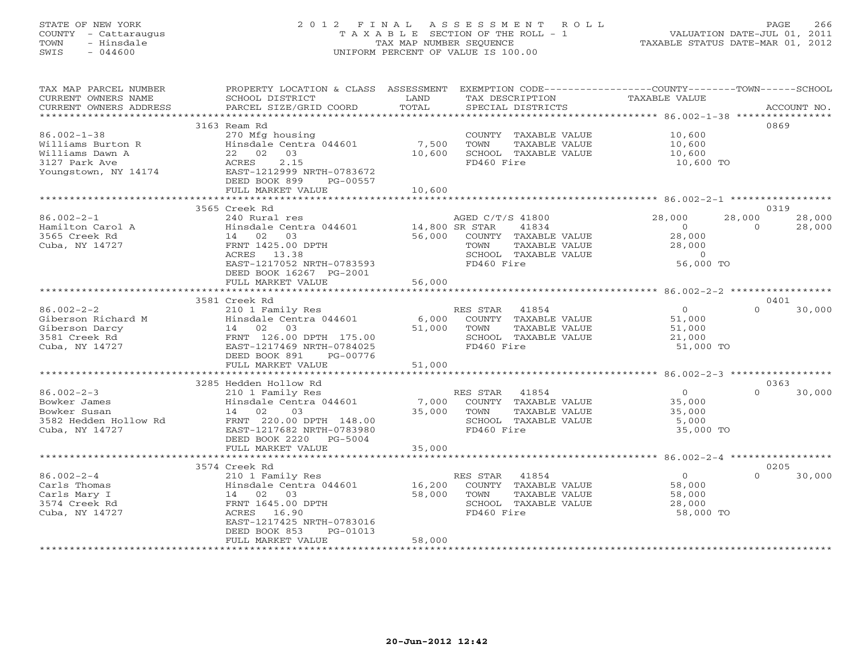# STATE OF NEW YORK 2 0 1 2 F I N A L A S S E S S M E N T R O L L PAGE 266 COUNTY - Cattaraugus T A X A B L E SECTION OF THE ROLL - 1 VALUATION DATE-JUL 01, 2011 TOWN - Hinsdale TAX MAP NUMBER SEQUENCE TAXABLE STATUS DATE-MAR 01, 2012 SWIS - 044600 UNIFORM PERCENT OF VALUE IS 100.00UNIFORM PERCENT OF VALUE IS 100.00

| TAX MAP PARCEL NUMBER<br>CURRENT OWNERS NAME | PROPERTY LOCATION & CLASS ASSESSMENT<br>SCHOOL DISTRICT | LAND   | EXEMPTION CODE-----------------COUNTY-------TOWN------SCHOOL<br>TAX DESCRIPTION | TAXABLE VALUE            |                    |
|----------------------------------------------|---------------------------------------------------------|--------|---------------------------------------------------------------------------------|--------------------------|--------------------|
| CURRENT OWNERS ADDRESS                       | PARCEL SIZE/GRID COORD                                  | TOTAL  | SPECIAL DISTRICTS                                                               |                          | ACCOUNT NO.        |
| ******************                           | **********************                                  |        |                                                                                 |                          |                    |
|                                              | 3163 Ream Rd                                            |        |                                                                                 |                          | 0869               |
| $86.002 - 1 - 38$                            | 270 Mfg housing                                         |        | COUNTY TAXABLE VALUE                                                            | 10,600                   |                    |
| Williams Burton R                            | Hinsdale Centra 044601                                  | 7,500  | TOWN<br>TAXABLE VALUE                                                           | 10,600                   |                    |
| Williams Dawn A                              | 22 02 03                                                | 10,600 | SCHOOL TAXABLE VALUE                                                            | 10,600                   |                    |
| 3127 Park Ave                                | 2.15<br>ACRES                                           |        | FD460 Fire                                                                      | 10,600 TO                |                    |
| Youngstown, NY 14174                         | EAST-1212999 NRTH-0783672                               |        |                                                                                 |                          |                    |
|                                              | DEED BOOK 899<br>PG-00557                               |        |                                                                                 |                          |                    |
|                                              | FULL MARKET VALUE                                       | 10,600 |                                                                                 |                          |                    |
|                                              | 3565 Creek Rd                                           |        |                                                                                 |                          | 0319               |
| $86.002 - 2 - 1$                             | 240 Rural res                                           |        | AGED C/T/S 41800                                                                | 28,000                   | 28,000<br>28,000   |
| Hamilton Carol A                             | Hinsdale Centra 044601                                  |        | 41834<br>14,800 SR STAR                                                         | $\circ$                  | 28,000<br>$\Omega$ |
| 3565 Creek Rd                                | 03<br>14 02                                             | 56,000 | COUNTY TAXABLE VALUE                                                            | 28,000                   |                    |
| Cuba, NY 14727                               | FRNT 1425.00 DPTH                                       |        | TOWN<br>TAXABLE VALUE                                                           | 28,000                   |                    |
|                                              | ACRES 13.38                                             |        | SCHOOL TAXABLE VALUE                                                            | $\circ$                  |                    |
|                                              | EAST-1217052 NRTH-0783593                               |        | FD460 Fire                                                                      | 56,000 TO                |                    |
|                                              | DEED BOOK 16267 PG-2001                                 |        |                                                                                 |                          |                    |
|                                              | FULL MARKET VALUE                                       | 56,000 |                                                                                 |                          |                    |
|                                              |                                                         |        |                                                                                 |                          |                    |
|                                              | 3581 Creek Rd                                           |        |                                                                                 |                          | 0401               |
| $86.002 - 2 - 2$                             | 210 1 Family Res                                        |        | RES STAR<br>41854                                                               | $\circ$                  | $\Omega$<br>30,000 |
| Giberson Richard M                           | Hinsdale Centra 044601                                  | 6,000  | COUNTY TAXABLE VALUE                                                            | 51,000                   |                    |
| Giberson Darcy                               | 14 02 03                                                | 51,000 | TAXABLE VALUE<br>TOWN                                                           | 51,000                   |                    |
| 3581 Creek Rd<br>Cuba, NY 14727              | FRNT 126.00 DPTH 175.00<br>EAST-1217469 NRTH-0784025    |        | SCHOOL TAXABLE VALUE<br>FD460 Fire                                              | 21,000                   |                    |
|                                              | DEED BOOK 891<br>PG-00776                               |        |                                                                                 | 51,000 TO                |                    |
|                                              | FULL MARKET VALUE                                       | 51,000 |                                                                                 |                          |                    |
|                                              |                                                         |        |                                                                                 |                          |                    |
|                                              | 3285 Hedden Hollow Rd                                   |        |                                                                                 |                          | 0363               |
| $86.002 - 2 - 3$                             | 210 1 Family Res                                        |        | RES STAR<br>41854                                                               | $\circ$                  | 30,000<br>$\Omega$ |
| Bowker James                                 | Hinsdale Centra 044601                                  | 7,000  | COUNTY TAXABLE VALUE                                                            | 35,000                   |                    |
| Bowker Susan                                 | 14 02<br>03                                             | 35,000 | TOWN<br>TAXABLE VALUE                                                           | 35,000                   |                    |
| 3582 Hedden Hollow Rd                        | FRNT 220.00 DPTH 148.00                                 |        | SCHOOL TAXABLE VALUE                                                            | 5,000                    |                    |
| Cuba, NY 14727                               | EAST-1217682 NRTH-0783980                               |        | FD460 Fire                                                                      | 35,000 TO                |                    |
|                                              | DEED BOOK 2220<br>PG-5004                               |        |                                                                                 |                          |                    |
|                                              | FULL MARKET VALUE                                       | 35,000 |                                                                                 |                          |                    |
|                                              |                                                         |        |                                                                                 |                          |                    |
|                                              | 3574 Creek Rd                                           |        |                                                                                 |                          | 0205<br>$\Omega$   |
| $86.002 - 2 - 4$<br>Carls Thomas             | 210 1 Family Res<br>Hinsdale Centra 044601              | 16,200 | 41854<br>RES STAR<br>COUNTY TAXABLE VALUE                                       | $\overline{0}$<br>58,000 | 30,000             |
| Carls Mary I                                 | 14 02 03                                                | 58,000 | TAXABLE VALUE<br>TOWN                                                           | 58,000                   |                    |
| 3574 Creek Rd                                | FRNT 1645.00 DPTH                                       |        | SCHOOL TAXABLE VALUE                                                            | 28,000                   |                    |
| Cuba, NY 14727                               | 16.90<br>ACRES                                          |        | FD460 Fire                                                                      | 58,000 TO                |                    |
|                                              | EAST-1217425 NRTH-0783016                               |        |                                                                                 |                          |                    |
|                                              | DEED BOOK 853<br>PG-01013                               |        |                                                                                 |                          |                    |
|                                              | FULL MARKET VALUE                                       | 58,000 |                                                                                 |                          |                    |
|                                              |                                                         |        |                                                                                 |                          |                    |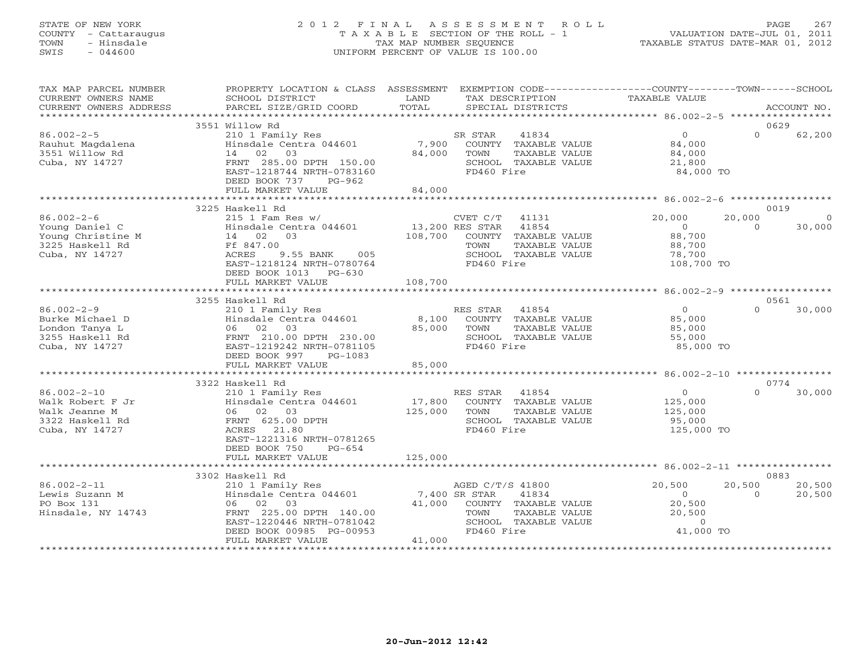# STATE OF NEW YORK 2 0 1 2 F I N A L A S S E S S M E N T R O L L PAGE 267 COUNTY - Cattaraugus T A X A B L E SECTION OF THE ROLL - 1 VALUATION DATE-JUL 01, 2011 TOWN - Hinsdale TAX MAP NUMBER SEQUENCE TAXABLE STATUS DATE-MAR 01, 2012 SWIS - 044600 UNIFORM PERCENT OF VALUE IS 100.00UNIFORM PERCENT OF VALUE IS 100.00

| TAX MAP PARCEL NUMBER<br>CURRENT OWNERS NAME<br>CURRENT OWNERS ADDRESS                      | PROPERTY LOCATION & CLASS ASSESSMENT<br>SCHOOL DISTRICT<br>PARCEL SIZE/GRID COORD                                                                                                          | LAND<br>TOTAL                | TAX DESCRIPTION<br>SPECIAL DISTRICTS                                                                                    | EXEMPTION CODE-----------------COUNTY-------TOWN------SCHOOL<br>TAXABLE VALUE | ACCOUNT NO.                                    |
|---------------------------------------------------------------------------------------------|--------------------------------------------------------------------------------------------------------------------------------------------------------------------------------------------|------------------------------|-------------------------------------------------------------------------------------------------------------------------|-------------------------------------------------------------------------------|------------------------------------------------|
|                                                                                             |                                                                                                                                                                                            |                              |                                                                                                                         |                                                                               |                                                |
|                                                                                             | 3551 Willow Rd                                                                                                                                                                             |                              |                                                                                                                         |                                                                               | 0629                                           |
| $86.002 - 2 - 5$<br>Rauhut Magdalena<br>3551 Willow Rd<br>Cuba, NY 14727                    | 210 1 Family Res<br>Hinsdale Centra 044601<br>14 02 03<br>FRNT 285.00 DPTH 150.00<br>EAST-1218744 NRTH-0783160<br>DEED BOOK 737<br>PG-962                                                  | 84,000                       | 41834<br>SR STAR<br>7,900 COUNTY TAXABLE VALUE<br>TOWN<br>TAXABLE VALUE<br>SCHOOL TAXABLE VALUE<br>FD460 Fire           | $\overline{0}$<br>84,000<br>84,000<br>21,800<br>84,000 TO                     | $\Omega$<br>62,200                             |
|                                                                                             | FULL MARKET VALUE                                                                                                                                                                          | 84,000                       |                                                                                                                         |                                                                               |                                                |
|                                                                                             |                                                                                                                                                                                            |                              |                                                                                                                         |                                                                               |                                                |
|                                                                                             | 3225 Haskell Rd                                                                                                                                                                            |                              |                                                                                                                         |                                                                               | 0019                                           |
| $86.002 - 2 - 6$<br>Young Daniel C<br>Young Christine M<br>Trackell Rd<br>Cuba, NY 14727    | $215$ 1 Fam Res w/<br>$\verb Hinsdale Centra 044601  13,200 RES STAR 41854 $<br>$14$ 02 03<br>Ff 847.00<br>ACRES<br>9.55 BANK<br>005<br>EAST-1218124 NRTH-0780764<br>DEED BOOK 1013 PG-630 | 108,700                      | CVET C/T 41131<br>COUNTY TAXABLE VALUE<br>TOWN<br>TAXABLE VALUE<br>SCHOOL TAXABLE VALUE<br>FD460 Fire                   | 20,000<br>$\overline{0}$<br>88,700<br>88,700<br>78,700<br>108,700 TO          | 20,000<br>$\overline{0}$<br>$\Omega$<br>30,000 |
|                                                                                             | FULL MARKET VALUE                                                                                                                                                                          | 108,700                      |                                                                                                                         |                                                                               |                                                |
|                                                                                             |                                                                                                                                                                                            |                              |                                                                                                                         |                                                                               |                                                |
|                                                                                             | 3255 Haskell Rd<br>210 1 Family Res                                                                                                                                                        |                              |                                                                                                                         |                                                                               | 0561<br>$\cap$                                 |
| $86.002 - 2 - 9$<br>Burke Michael D<br>London Tanya L<br>3255 Haskell Rd<br>Cuba, NY 14727  | Hinsdale Centra 044601 8,100 COUNTY TAXABLE VALUE<br>06 02 03<br>FRNT 210.00 DPTH 230.00<br>EAST-1219242 NRTH-0781105<br>DEED BOOK 997<br>PG-1083                                          | 85,000                       | RES STAR 41854<br>TAXABLE VALUE<br>TOWN<br>SCHOOL TAXABLE VALUE<br>FD460 Fire                                           | $\overline{0}$<br>85,000<br>85,000<br>55,000<br>85,000 TO                     | 30,000                                         |
|                                                                                             | FULL MARKET VALUE                                                                                                                                                                          | 85,000                       |                                                                                                                         |                                                                               |                                                |
|                                                                                             |                                                                                                                                                                                            |                              |                                                                                                                         |                                                                               |                                                |
|                                                                                             | 3322 Haskell Rd                                                                                                                                                                            |                              |                                                                                                                         | $\overline{0}$                                                                | 0774<br>$\Omega$                               |
| $86.002 - 2 - 10$<br>Walk Robert F Jr<br>Walk Jeanne M<br>3322 Haskell Rd<br>Cuba, NY 14727 | 210 1 Family Res<br>Hinsdale Centra 044601<br>06 02 03<br>FRNT 625.00 DPTH<br>ACRES 21.80<br>EAST-1221316 NRTH-0781265<br>DEED BOOK 750<br>$PG-654$<br>FULL MARKET VALUE                   | 17,800<br>125,000<br>125,000 | RES STAR 41854<br>COUNTY TAXABLE VALUE<br>TOWN<br>TAXABLE VALUE<br>SCHOOL TAXABLE VALUE<br>FD460 Fire                   | 125,000<br>125,000<br>95,000<br>125,000 TO                                    | 30,000                                         |
|                                                                                             |                                                                                                                                                                                            |                              |                                                                                                                         |                                                                               |                                                |
|                                                                                             | 3302 Haskell Rd                                                                                                                                                                            |                              |                                                                                                                         |                                                                               | 0883                                           |
| $86.002 - 2 - 11$<br>Lewis Suzann M<br>PO Box 131<br>Hinsdale, NY 14743                     | 210 1 Family Res<br>Hinsdale Centra 044601<br>06 02 03                                                                                                                                     | 7,400 SR STAR                | AGED C/T/S 41800<br>41834<br>41,000 COUNTY TAXABLE VALUE<br>TOWN<br>TAXABLE VALUE<br>SCHOOL TAXABLE VALUE<br>FD460 Fire | 20,500<br>$\circ$<br>20,500<br>20,500<br>$\circ$<br>41,000 TO                 | 20,500<br>20,500<br>20,500<br>$\Omega$         |
|                                                                                             | FULL MARKET VALUE                                                                                                                                                                          | 41,000                       |                                                                                                                         |                                                                               |                                                |
|                                                                                             |                                                                                                                                                                                            |                              |                                                                                                                         |                                                                               |                                                |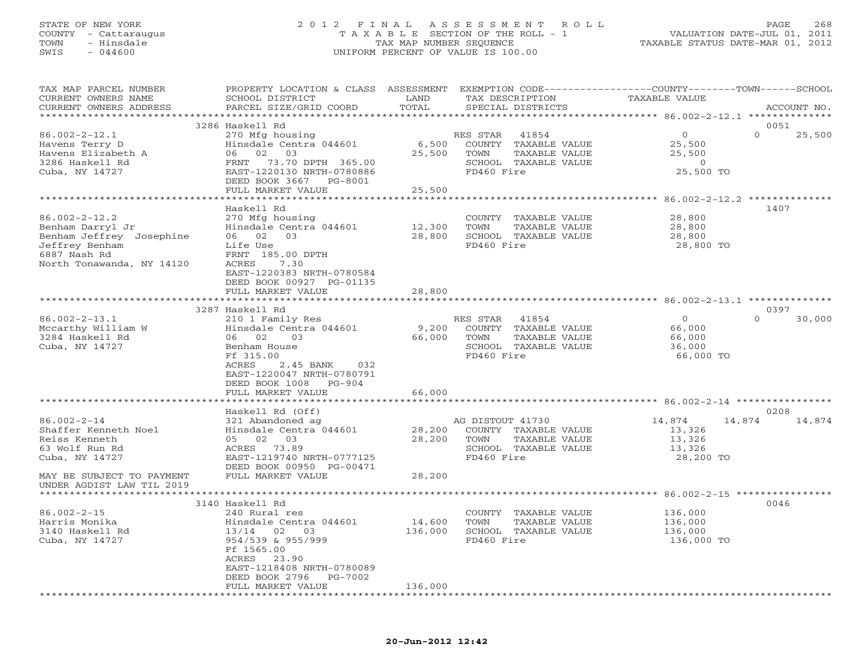## STATE OF NEW YORK 2 0 1 2 F I N A L A S S E S S M E N T R O L L PAGE 268 COUNTY - Cattaraugus T A X A B L E SECTION OF THE ROLL - 1 VALUATION DATE-JUL 01, 2011 TOWN - Hinsdale TAX MAP NUMBER SEQUENCE TAXABLE STATUS DATE-MAR 01, 2012 SWIS - 044600 UNIFORM PERCENT OF VALUE IS 100.00UNIFORM PERCENT OF VALUE IS 100.00

| TAX MAP PARCEL NUMBER     | PROPERTY LOCATION & CLASS ASSESSMENT EXEMPTION CODE---------------COUNTY-------TOWN------SCHOOL |         |                       |                  |                    |
|---------------------------|-------------------------------------------------------------------------------------------------|---------|-----------------------|------------------|--------------------|
| CURRENT OWNERS NAME       | SCHOOL DISTRICT                                                                                 | LAND    | TAX DESCRIPTION       | TAXABLE VALUE    |                    |
| CURRENT OWNERS ADDRESS    | PARCEL SIZE/GRID COORD                                                                          | TOTAL   | SPECIAL DISTRICTS     |                  | ACCOUNT NO.        |
|                           | ******************************                                                                  |         |                       |                  |                    |
|                           | 3286 Haskell Rd                                                                                 |         |                       |                  | 0051               |
| $86.002 - 2 - 12.1$       | 270 Mfg housing                                                                                 |         | RES STAR<br>41854     | $\overline{0}$   | $\Omega$<br>25,500 |
|                           |                                                                                                 |         |                       |                  |                    |
| Havens Terry D            | Hinsdale Centra 044601                                                                          | 6,500   | COUNTY TAXABLE VALUE  | 25,500           |                    |
| Havens Elizabeth A        | 06 02<br>03                                                                                     | 25,500  | TOWN<br>TAXABLE VALUE | 25,500           |                    |
| 3286 Haskell Rd           | FRNT 73.70 DPTH 365.00                                                                          |         | SCHOOL TAXABLE VALUE  | $\circ$          |                    |
| Cuba, NY 14727            | EAST-1220130 NRTH-0780886                                                                       |         | FD460 Fire            | 25,500 TO        |                    |
|                           | DEED BOOK 3667 PG-8001                                                                          |         |                       |                  |                    |
|                           | FULL MARKET VALUE                                                                               | 25,500  |                       |                  |                    |
|                           |                                                                                                 |         |                       |                  |                    |
|                           | Haskell Rd                                                                                      |         |                       |                  | 1407               |
| $86.002 - 2 - 12.2$       | 270 Mfg housing                                                                                 |         | COUNTY TAXABLE VALUE  | 28,800           |                    |
| Benham Darryl Jr          | Hinsdale Centra 044601                                                                          | 12,300  | TOWN<br>TAXABLE VALUE | 28,800           |                    |
|                           | 06 02 03                                                                                        | 28,800  | SCHOOL TAXABLE VALUE  |                  |                    |
| Benham Jeffrey Josephine  |                                                                                                 |         |                       | 28,800           |                    |
| Jeffrey Benham            | Life Use                                                                                        |         | FD460 Fire            | 28,800 TO        |                    |
| 6887 Nash Rd              | FRNT 185.00 DPTH                                                                                |         |                       |                  |                    |
| North Tonawanda, NY 14120 | ACRES<br>7.30                                                                                   |         |                       |                  |                    |
|                           | EAST-1220383 NRTH-0780584                                                                       |         |                       |                  |                    |
|                           | DEED BOOK 00927 PG-01135                                                                        |         |                       |                  |                    |
|                           | FULL MARKET VALUE                                                                               | 28,800  |                       |                  |                    |
|                           |                                                                                                 |         |                       |                  |                    |
|                           | 3287 Haskell Rd                                                                                 |         |                       |                  | 0397               |
| $86.002 - 2 - 13.1$       | 210 1 Family Res                                                                                |         | RES STAR 41854        | $\overline{O}$   | $\Omega$<br>30,000 |
|                           |                                                                                                 |         |                       |                  |                    |
| Mccarthy William W        | Hinsdale Centra 044601                                                                          | 9,200   | COUNTY TAXABLE VALUE  | 66,000           |                    |
| 3284 Haskell Rd           | 06 02<br>03                                                                                     | 66,000  | TOWN<br>TAXABLE VALUE | 66,000           |                    |
| Cuba, NY 14727            | Benham House                                                                                    |         | SCHOOL TAXABLE VALUE  | 36,000           |                    |
|                           | Ff 315.00                                                                                       |         | FD460 Fire            | 66,000 TO        |                    |
|                           | ACRES<br>2.45 BANK<br>032                                                                       |         |                       |                  |                    |
|                           | EAST-1220047 NRTH-0780791                                                                       |         |                       |                  |                    |
|                           | DEED BOOK 1008 PG-904                                                                           |         |                       |                  |                    |
|                           | FULL MARKET VALUE                                                                               | 66,000  |                       |                  |                    |
|                           |                                                                                                 |         |                       |                  |                    |
|                           | Haskell Rd (Off)                                                                                |         |                       |                  | 0208               |
|                           |                                                                                                 |         |                       |                  |                    |
| $86.002 - 2 - 14$         | 321 Abandoned ag                                                                                |         | AG DISTOUT 41730      | 14,874<br>14,874 | 14,874             |
| Shaffer Kenneth Noel      | Hinsdale Centra 044601                                                                          | 28,200  | COUNTY TAXABLE VALUE  | 13,326           |                    |
| Reiss Kenneth             | 05 02 03                                                                                        | 28,200  | TOWN<br>TAXABLE VALUE | 13,326           |                    |
| 63 Wolf Run Rd            | ACRES 73.89                                                                                     |         | SCHOOL TAXABLE VALUE  | 13,326           |                    |
| Cuba, NY 14727            | EAST-1219740 NRTH-0777125                                                                       |         | FD460 Fire            | 28,200 TO        |                    |
|                           | DEED BOOK 00950 PG-00471                                                                        |         |                       |                  |                    |
| MAY BE SUBJECT TO PAYMENT | FULL MARKET VALUE                                                                               | 28,200  |                       |                  |                    |
| UNDER AGDIST LAW TIL 2019 |                                                                                                 |         |                       |                  |                    |
|                           |                                                                                                 |         |                       |                  |                    |
|                           | 3140 Haskell Rd                                                                                 |         |                       |                  | 0046               |
|                           |                                                                                                 |         |                       |                  |                    |
| $86.002 - 2 - 15$         | 240 Rural res                                                                                   |         | COUNTY TAXABLE VALUE  | 136,000          |                    |
| Harris Monika             | Hinsdale Centra 044601                                                                          | 14,600  | TAXABLE VALUE<br>TOWN | 136,000          |                    |
| 3140 Haskell Rd           | 13/14 02<br>03                                                                                  | 136,000 | SCHOOL TAXABLE VALUE  | 136,000          |                    |
| Cuba, NY 14727            | 954/539 & 955/999                                                                               |         | FD460 Fire            | 136,000 TO       |                    |
|                           | Ff 1565.00                                                                                      |         |                       |                  |                    |
|                           | 23.90<br>ACRES                                                                                  |         |                       |                  |                    |
|                           | EAST-1218408 NRTH-0780089                                                                       |         |                       |                  |                    |
|                           | DEED BOOK 2796<br>PG-7002                                                                       |         |                       |                  |                    |
|                           | FULL MARKET VALUE                                                                               | 136,000 |                       |                  |                    |
|                           |                                                                                                 |         |                       |                  |                    |
|                           |                                                                                                 |         |                       |                  |                    |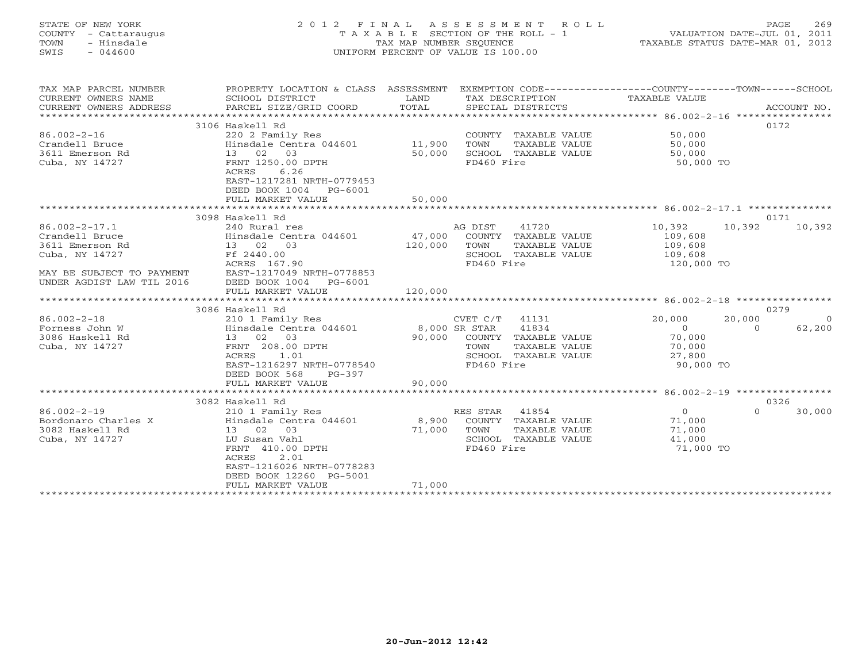# STATE OF NEW YORK 2 0 1 2 F I N A L A S S E S S M E N T R O L L PAGE 269 COUNTY - Cattaraugus T A X A B L E SECTION OF THE ROLL - 1 VALUATION DATE-JUL 01, 2011 TOWN - Hinsdale TAX MAP NUMBER SEQUENCE TAXABLE STATUS DATE-MAR 01, 2012 SWIS - 044600 UNIFORM PERCENT OF VALUE IS 100.00UNIFORM PERCENT OF VALUE IS 100.00

| TAX MAP PARCEL NUMBER<br>CURRENT OWNERS NAME<br>CURRENT OWNERS ADDRESS | PROPERTY LOCATION & CLASS ASSESSMENT<br>SCHOOL DISTRICT<br>PARCEL SIZE/GRID COORD | LAND<br>TOTAL | EXEMPTION CODE-----------------COUNTY-------TOWN------SCHOOL<br>TAX DESCRIPTION<br>SPECIAL DISTRICTS | TAXABLE VALUE  | ACCOUNT NO.          |
|------------------------------------------------------------------------|-----------------------------------------------------------------------------------|---------------|------------------------------------------------------------------------------------------------------|----------------|----------------------|
| *************************                                              |                                                                                   |               |                                                                                                      |                |                      |
|                                                                        | 3106 Haskell Rd                                                                   |               |                                                                                                      |                | 0172                 |
| $86.002 - 2 - 16$                                                      | 220 2 Family Res                                                                  |               | COUNTY TAXABLE VALUE                                                                                 | 50,000         |                      |
| Crandell Bruce                                                         | Hinsdale Centra 044601                                                            | 11,900        | TOWN<br>TAXABLE VALUE                                                                                | 50,000         |                      |
| 3611 Emerson Rd                                                        | 13 02 03                                                                          | 50,000        | SCHOOL TAXABLE VALUE                                                                                 | 50,000         |                      |
| Cuba, NY 14727                                                         | FRNT 1250.00 DPTH                                                                 |               | FD460 Fire                                                                                           | 50,000 TO      |                      |
|                                                                        | 6.26<br>ACRES                                                                     |               |                                                                                                      |                |                      |
|                                                                        | EAST-1217281 NRTH-0779453                                                         |               |                                                                                                      |                |                      |
|                                                                        | DEED BOOK 1004<br>PG-6001                                                         |               |                                                                                                      |                |                      |
|                                                                        | FULL MARKET VALUE                                                                 | 50,000        |                                                                                                      |                |                      |
|                                                                        |                                                                                   |               |                                                                                                      |                |                      |
|                                                                        | 3098 Haskell Rd                                                                   |               |                                                                                                      |                | 0171                 |
| $86.002 - 2 - 17.1$                                                    | 240 Rural res                                                                     |               | AG DIST<br>41720                                                                                     | 10,392         | 10,392<br>10,392     |
| Crandell Bruce                                                         | Hinsdale Centra 044601                                                            | 47,000        | COUNTY TAXABLE VALUE                                                                                 | 109,608        |                      |
| 3611 Emerson Rd                                                        | 13 02 03                                                                          | 120,000       | TOWN<br>TAXABLE VALUE                                                                                | 109,608        |                      |
| Cuba, NY 14727                                                         | Ff 2440.00                                                                        |               | SCHOOL TAXABLE VALUE                                                                                 | 109,608        |                      |
|                                                                        | ACRES 167.90                                                                      |               | FD460 Fire                                                                                           | 120,000 TO     |                      |
| MAY BE SUBJECT TO PAYMENT                                              | EAST-1217049 NRTH-0778853                                                         |               |                                                                                                      |                |                      |
| UNDER AGDIST LAW TIL 2016                                              | DEED BOOK 1004<br>PG-6001                                                         |               |                                                                                                      |                |                      |
|                                                                        | FULL MARKET VALUE                                                                 | 120,000       |                                                                                                      |                |                      |
|                                                                        |                                                                                   |               |                                                                                                      |                |                      |
|                                                                        | 3086 Haskell Rd                                                                   |               |                                                                                                      |                | 0279                 |
| $86.002 - 2 - 18$                                                      | 210 1 Family Res                                                                  |               | CVET C/T 41131                                                                                       | 20,000         | 20,000<br>$\bigcirc$ |
| Forness John W                                                         | Hinsdale Centra 044601                                                            | 8,000 SR STAR | 41834                                                                                                | $\circ$        | 62,200<br>$\Omega$   |
| 3086 Haskell Rd                                                        | 13 02 03                                                                          | 90,000        | COUNTY TAXABLE VALUE                                                                                 | 70,000         |                      |
| Cuba, NY 14727                                                         | FRNT 208.00 DPTH                                                                  |               | TOWN<br>TAXABLE VALUE                                                                                | 70,000         |                      |
|                                                                        | ACRES<br>1.01                                                                     |               | SCHOOL TAXABLE VALUE                                                                                 | 27,800         |                      |
|                                                                        | EAST-1216297 NRTH-0778540                                                         |               | FD460 Fire                                                                                           | 90,000 TO      |                      |
|                                                                        | DEED BOOK 568<br>$PG-397$                                                         |               |                                                                                                      |                |                      |
|                                                                        | FULL MARKET VALUE                                                                 | 90,000        |                                                                                                      |                |                      |
|                                                                        |                                                                                   |               |                                                                                                      |                |                      |
|                                                                        | 3082 Haskell Rd                                                                   |               |                                                                                                      |                | 0326                 |
| $86.002 - 2 - 19$                                                      | 210 1 Family Res                                                                  |               | RES STAR 41854                                                                                       | $\overline{O}$ | $\Omega$<br>30,000   |
| Bordonaro Charles X                                                    | Hinsdale Centra 044601                                                            | 8,900         | COUNTY TAXABLE VALUE                                                                                 | 71,000         |                      |
| 3082 Haskell Rd                                                        | 13 02 03                                                                          | 71,000        | TOWN<br>TAXABLE VALUE                                                                                | 71,000         |                      |
| Cuba, NY 14727                                                         | LU Susan Vahl                                                                     |               | SCHOOL TAXABLE VALUE                                                                                 | 41,000         |                      |
|                                                                        | FRNT 410.00 DPTH                                                                  |               | FD460 Fire                                                                                           | 71,000 TO      |                      |
|                                                                        | ACRES<br>2.01                                                                     |               |                                                                                                      |                |                      |
|                                                                        | EAST-1216026 NRTH-0778283                                                         |               |                                                                                                      |                |                      |
|                                                                        | DEED BOOK 12260 PG-5001                                                           |               |                                                                                                      |                |                      |
|                                                                        | FULL MARKET VALUE<br>***********************                                      | 71,000        |                                                                                                      |                |                      |
|                                                                        |                                                                                   |               |                                                                                                      |                |                      |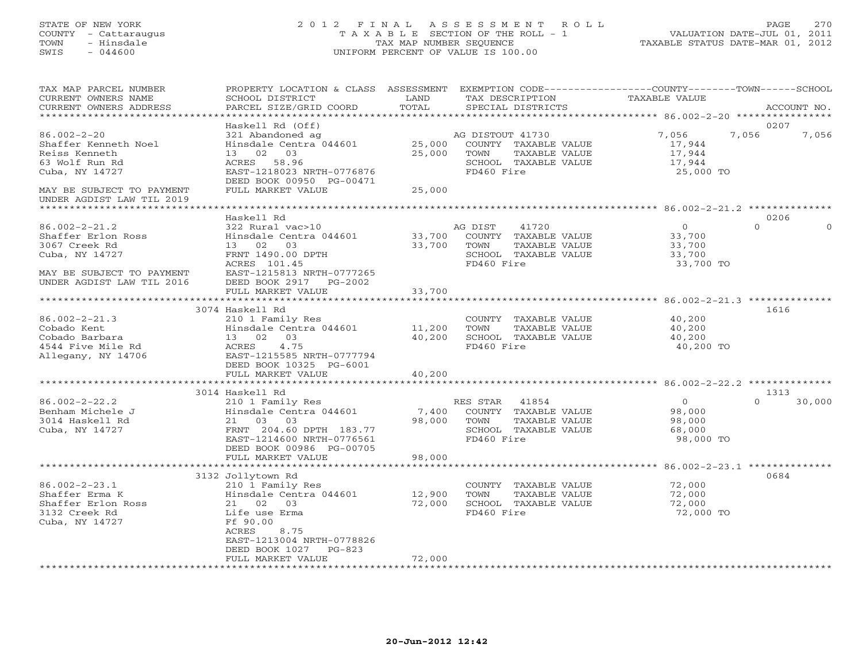## STATE OF NEW YORK 2 0 1 2 F I N A L A S S E S S M E N T R O L L PAGE 270 COUNTY - Cattaraugus T A X A B L E SECTION OF THE ROLL - 1 VALUATION DATE-JUL 01, 2011 TOWN - Hinsdale TAX MAP NUMBER SEQUENCE TAXABLE STATUS DATE-MAR 01, 2012 SWIS - 044600 UNIFORM PERCENT OF VALUE IS 100.00UNIFORM PERCENT OF VALUE IS 100.00

| TAX MAP PARCEL NUMBER<br>CURRENT OWNERS NAME<br>CURRENT OWNERS ADDRESS<br>*********************                                        | PROPERTY LOCATION & CLASS ASSESSMENT<br>SCHOOL DISTRICT<br>PARCEL SIZE/GRID COORD                                                                                                       | LAND<br>TOTAL                 | EXEMPTION CODE-----------------COUNTY-------TOWN------SCHOOL<br>TAX DESCRIPTION<br>SPECIAL DISTRICTS     | TAXABLE VALUE                                      | ACCOUNT NO.                        |
|----------------------------------------------------------------------------------------------------------------------------------------|-----------------------------------------------------------------------------------------------------------------------------------------------------------------------------------------|-------------------------------|----------------------------------------------------------------------------------------------------------|----------------------------------------------------|------------------------------------|
|                                                                                                                                        |                                                                                                                                                                                         |                               |                                                                                                          |                                                    |                                    |
| $86.002 - 2 - 20$<br>Shaffer Kenneth Noel<br>Reiss Kenneth<br>63 Wolf Run Rd<br>Cuba, NY 14727<br>MAY BE SUBJECT TO PAYMENT            | Haskell Rd (Off)<br>321 Abandoned ag<br>Hinsdale Centra 044601<br>13 02 03<br>ACRES 58.96<br>EAST-1218023 NRTH-0776876<br>DEED BOOK 00950 PG-00471<br>FULL MARKET VALUE                 | 25,000<br>25,000<br>25,000    | AG DISTOUT 41730<br>COUNTY TAXABLE VALUE<br>TOWN<br>TAXABLE VALUE<br>SCHOOL TAXABLE VALUE<br>FD460 Fire  | 7,056<br>17,944<br>17,944<br>17,944<br>25,000 TO   | 0207<br>7,056<br>7,056             |
| UNDER AGDIST LAW TIL 2019                                                                                                              |                                                                                                                                                                                         |                               |                                                                                                          |                                                    |                                    |
|                                                                                                                                        |                                                                                                                                                                                         |                               |                                                                                                          |                                                    |                                    |
| $86.002 - 2 - 21.2$<br>Shaffer Erlon Ross<br>3067 Creek Rd<br>Cuba, NY 14727<br>MAY BE SUBJECT TO PAYMENT<br>UNDER AGDIST LAW TIL 2016 | Haskell Rd<br>322 Rural vac>10<br>Hinsdale Centra 044601<br>13 02<br>03<br>FRNT 1490.00 DPTH<br>ACRES 101.45<br>EAST-1215813 NRTH-0777265<br>DEED BOOK 2917<br>PG-2002                  | 33,700<br>33,700              | 41720<br>AG DIST<br>COUNTY TAXABLE VALUE<br>TOWN<br>TAXABLE VALUE<br>SCHOOL TAXABLE VALUE<br>FD460 Fire  | $\circ$<br>33,700<br>33,700<br>33,700<br>33,700 TO | 0206<br>$\Omega$<br>$\Omega$       |
|                                                                                                                                        | FULL MARKET VALUE                                                                                                                                                                       | 33,700                        |                                                                                                          |                                                    |                                    |
|                                                                                                                                        |                                                                                                                                                                                         | ************                  |                                                                                                          |                                                    | $86.002 - 2 - 21.3$ ************** |
| $86.002 - 2 - 21.3$<br>Cobado Kent<br>Cobado Barbara<br>4544 Five Mile Rd<br>Allegany, NY 14706                                        | 3074 Haskell Rd<br>210 1 Family Res<br>Hinsdale Centra 044601<br>13 02 03<br>ACRES<br>4.75<br>EAST-1215585 NRTH-0777794<br>DEED BOOK 10325 PG-6001<br>FULL MARKET VALUE                 | 11,200<br>40,200<br>40,200    | COUNTY TAXABLE VALUE<br>TOWN<br>TAXABLE VALUE<br>SCHOOL TAXABLE VALUE<br>FD460 Fire                      | 40,200<br>40,200<br>40,200<br>40,200 TO            | 1616                               |
|                                                                                                                                        | *****************************                                                                                                                                                           |                               |                                                                                                          |                                                    |                                    |
| $86.002 - 2 - 22.2$<br>Benham Michele J<br>3014 Haskell Rd<br>Cuba, NY 14727                                                           | 3014 Haskell Rd<br>210 1 Family Res<br>Hinsdale Centra 044601<br>21 03 03<br>FRNT 204.60 DPTH 183.77<br>EAST-1214600 NRTH-0776561<br>DEED BOOK 00986 PG-00705                           | 7,400<br>98,000               | RES STAR<br>41854<br>COUNTY TAXABLE VALUE<br>TOWN<br>TAXABLE VALUE<br>SCHOOL TAXABLE VALUE<br>FD460 Fire | $\circ$<br>98,000<br>98,000<br>68,000<br>98,000 TO | 1313<br>$\Omega$<br>30,000         |
|                                                                                                                                        | FULL MARKET VALUE                                                                                                                                                                       | 98,000<br>******************* |                                                                                                          | ********************* 86.002-2-23.1 ************** |                                    |
| $86.002 - 2 - 23.1$<br>Shaffer Erma K<br>Shaffer Erlon Ross<br>3132 Creek Rd<br>Cuba, NY 14727                                         | 3132 Jollytown Rd<br>210 1 Family Res<br>Hinsdale Centra 044601<br>21 02<br>03<br>Life use Erma<br>Ff 90.00<br>ACRES<br>8.75<br>EAST-1213004 NRTH-0778826<br>DEED BOOK 1027<br>$PG-823$ | 12,900<br>72,000              | COUNTY TAXABLE VALUE<br>TOWN<br>TAXABLE VALUE<br>SCHOOL TAXABLE VALUE<br>FD460 Fire                      | 72,000<br>72,000<br>72,000<br>72,000 TO            | 0684                               |
| ********************                                                                                                                   | FULL MARKET VALUE                                                                                                                                                                       | 72,000                        | ************************                                                                                 |                                                    |                                    |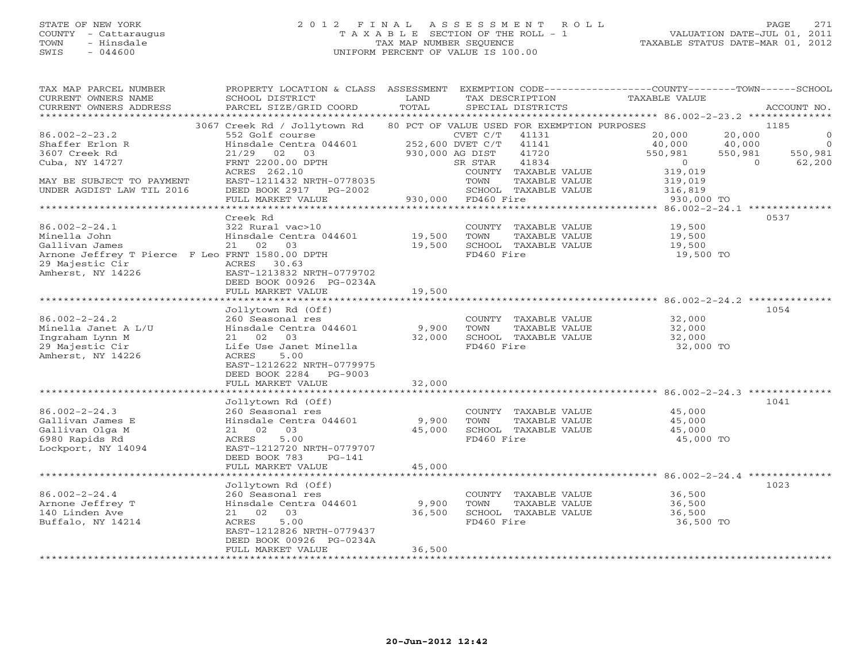# STATE OF NEW YORK 2 0 1 2 F I N A L A S S E S S M E N T R O L L PAGE 271 COUNTY - Cattaraugus T A X A B L E SECTION OF THE ROLL - 1 VALUATION DATE-JUL 01, 2011 TOWN - Hinsdale TAX MAP NUMBER SEQUENCE TAXABLE STATUS DATE-MAR 01, 2012 SWIS - 044600 UNIFORM PERCENT OF VALUE IS 100.00UNIFORM PERCENT OF VALUE IS 100.00

| TAX MAP PARCEL NUMBER<br>CURRENT OWNERS NAME<br>CURRENT OWNERS ADDRESS | PROPERTY LOCATION & CLASS<br>SCHOOL DISTRICT<br>PARCEL SIZE/GRID COORD | ASSESSMENT<br>LAND<br>TOTAL | TAX DESCRIPTION<br>SPECIAL DISTRICTS        | EXEMPTION CODE-----------------COUNTY-------TOWN------SCHOOL<br>TAXABLE VALUE | ACCOUNT NO.              |
|------------------------------------------------------------------------|------------------------------------------------------------------------|-----------------------------|---------------------------------------------|-------------------------------------------------------------------------------|--------------------------|
|                                                                        |                                                                        |                             |                                             |                                                                               |                          |
|                                                                        | 3067 Creek Rd / Jollytown Rd                                           |                             | 80 PCT OF VALUE USED FOR EXEMPTION PURPOSES |                                                                               | 1185                     |
| $86.002 - 2 - 23.2$                                                    | 552 Golf course                                                        |                             | CVET C/T<br>41131                           | 20,000                                                                        | 20,000<br>$\circ$        |
| Shaffer Erlon R                                                        | Hinsdale Centra 044601                                                 |                             | 252,600 DVET C/T<br>41141                   | 40,000                                                                        | 40,000<br>$\overline{0}$ |
| 3607 Creek Rd                                                          | $21/29$ 02 03                                                          |                             | 930,000 AG DIST<br>41720                    | 550,981                                                                       | 550,981<br>550,981       |
| Cuba, NY 14727                                                         | FRNT 2200.00 DPTH                                                      |                             | 41834<br>SR STAR                            | $\overline{0}$                                                                | $\overline{0}$<br>62,200 |
|                                                                        | ACRES 262.10                                                           |                             | COUNTY TAXABLE VALUE                        | 319,019                                                                       |                          |
| MAY BE SUBJECT TO PAYMENT                                              | EAST-1211432 NRTH-0778035                                              |                             | TOWN<br>TAXABLE VALUE                       | 319,019                                                                       |                          |
| UNDER AGDIST LAW TIL 2016                                              | DEED BOOK 2917 PG-2002                                                 |                             | SCHOOL TAXABLE VALUE                        | 316,819                                                                       |                          |
|                                                                        | FULL MARKET VALUE                                                      |                             | 930,000 FD460 Fire                          | 930,000 TO                                                                    |                          |
|                                                                        |                                                                        |                             |                                             |                                                                               |                          |
|                                                                        | Creek Rd                                                               |                             |                                             |                                                                               | 0537                     |
|                                                                        |                                                                        |                             |                                             |                                                                               |                          |
| $86.002 - 2 - 24.1$                                                    | 322 Rural vac>10                                                       |                             | COUNTY TAXABLE VALUE                        | 19,500                                                                        |                          |
| Minella John                                                           | Hinsdale Centra 044601 19,500                                          |                             | TOWN<br>TAXABLE VALUE                       | 19,500                                                                        |                          |
| Gallivan James                                                         | 21 02 03                                                               | 19,500                      | SCHOOL TAXABLE VALUE                        | 19,500                                                                        |                          |
| Arnone Jeffrey T Pierce F Leo FRNT 1580.00 DPTH                        |                                                                        |                             | FD460 Fire                                  | 19,500 TO                                                                     |                          |
| 29 Majestic Cir                                                        | ACRES 30.63                                                            |                             |                                             |                                                                               |                          |
| Amherst, NY 14226                                                      | EAST-1213832 NRTH-0779702                                              |                             |                                             |                                                                               |                          |
|                                                                        | DEED BOOK 00926 PG-0234A                                               |                             |                                             |                                                                               |                          |
|                                                                        | FULL MARKET VALUE                                                      | 19,500                      |                                             |                                                                               |                          |
|                                                                        |                                                                        |                             |                                             |                                                                               |                          |
|                                                                        | Jollytown Rd (Off)                                                     |                             |                                             |                                                                               | 1054                     |
| $86.002 - 2 - 24.2$                                                    | 260 Seasonal res                                                       |                             | COUNTY TAXABLE VALUE                        | 32,000                                                                        |                          |
| Minella Janet A L/U                                                    | Hinsdale Centra 044601                                                 | 9,900                       | TOWN<br>TAXABLE VALUE                       | 32,000                                                                        |                          |
| Ingraham Lynn M                                                        | 21 02 03                                                               | 32,000                      | SCHOOL TAXABLE VALUE                        | 32,000                                                                        |                          |
| 29 Majestic Cir                                                        | Life Use Janet Minella                                                 |                             | FD460 Fire                                  | 32,000 TO                                                                     |                          |
| Amherst, NY 14226                                                      | ACRES<br>5.00                                                          |                             |                                             |                                                                               |                          |
|                                                                        | EAST-1212622 NRTH-0779975                                              |                             |                                             |                                                                               |                          |
|                                                                        | DEED BOOK 2284<br>PG-9003                                              |                             |                                             |                                                                               |                          |
|                                                                        | FULL MARKET VALUE                                                      | 32,000                      |                                             |                                                                               |                          |
|                                                                        |                                                                        |                             |                                             |                                                                               |                          |
|                                                                        | Jollytown Rd (Off)                                                     |                             |                                             |                                                                               | 1041                     |
| $86.002 - 2 - 24.3$                                                    | 260 Seasonal res                                                       |                             | COUNTY TAXABLE VALUE                        | 45,000                                                                        |                          |
| Gallivan James E                                                       | Hinsdale Centra 044601                                                 | 9,900                       | TOWN<br>TAXABLE VALUE                       | 45,000                                                                        |                          |
| Gallivan Olga M                                                        | 21 02 03                                                               | 45,000                      | SCHOOL TAXABLE VALUE                        | 45,000                                                                        |                          |
| 6980 Rapids Rd                                                         | 5.00<br>ACRES                                                          |                             | FD460 Fire                                  | 45,000 TO                                                                     |                          |
| Lockport, NY 14094                                                     | EAST-1212720 NRTH-0779707                                              |                             |                                             |                                                                               |                          |
|                                                                        |                                                                        |                             |                                             |                                                                               |                          |
|                                                                        | DEED BOOK 783<br>$PG-141$                                              |                             |                                             |                                                                               |                          |
|                                                                        | FULL MARKET VALUE                                                      | 45,000                      |                                             |                                                                               |                          |
|                                                                        |                                                                        |                             |                                             |                                                                               |                          |
|                                                                        | Jollytown Rd (Off)                                                     |                             |                                             |                                                                               | 1023                     |
| $86.002 - 2 - 24.4$                                                    | 260 Seasonal res                                                       |                             | COUNTY TAXABLE VALUE                        | 36,500                                                                        |                          |
| Arnone Jeffrey T                                                       | Hinsdale Centra 044601                                                 | 9,900                       | TOWN<br>TAXABLE VALUE                       | 36,500                                                                        |                          |
| 140 Linden Ave                                                         | 21 02 03                                                               | 36,500                      | SCHOOL TAXABLE VALUE                        | 36,500                                                                        |                          |
| Buffalo, NY 14214                                                      | 5.00<br>ACRES                                                          |                             | FD460 Fire                                  | 36,500 TO                                                                     |                          |
|                                                                        | EAST-1212826 NRTH-0779437                                              |                             |                                             |                                                                               |                          |
|                                                                        | DEED BOOK 00926 PG-0234A                                               |                             |                                             |                                                                               |                          |
|                                                                        | FULL MARKET VALUE                                                      | 36,500                      |                                             |                                                                               |                          |
|                                                                        |                                                                        |                             |                                             |                                                                               |                          |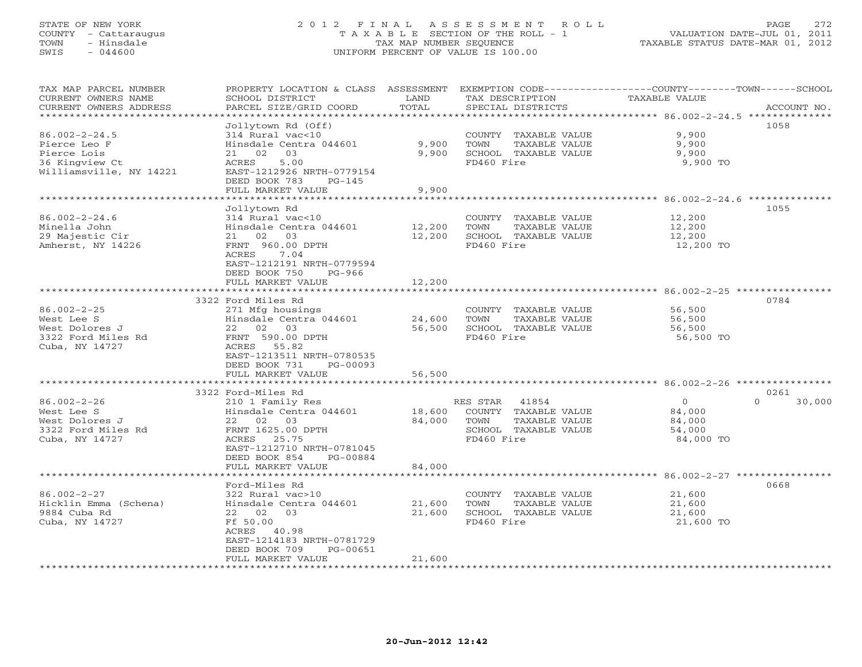# STATE OF NEW YORK 2 0 1 2 F I N A L A S S E S S M E N T R O L L PAGE 272 COUNTY - Cattaraugus T A X A B L E SECTION OF THE ROLL - 1 VALUATION DATE-JUL 01, 2011 TOWN - Hinsdale TAX MAP NUMBER SEQUENCE TAXABLE STATUS DATE-MAR 01, 2012 SWIS - 044600 UNIFORM PERCENT OF VALUE IS 100.00UNIFORM PERCENT OF VALUE IS 100.00

| TAX MAP PARCEL NUMBER<br>CURRENT OWNERS NAME<br>CURRENT OWNERS ADDRESS                                                     | PROPERTY LOCATION & CLASS ASSESSMENT<br>SCHOOL DISTRICT<br>PARCEL SIZE/GRID COORD                                                                                                                                        | LAND<br>TOTAL              | TAX DESCRIPTION<br>SPECIAL DISTRICTS                                                                  | EXEMPTION CODE----------------COUNTY-------TOWN-----SCHOOL<br><b>TAXABLE VALUE</b><br>ACCOUNT NO. |
|----------------------------------------------------------------------------------------------------------------------------|--------------------------------------------------------------------------------------------------------------------------------------------------------------------------------------------------------------------------|----------------------------|-------------------------------------------------------------------------------------------------------|---------------------------------------------------------------------------------------------------|
| ***********************<br>$86.002 - 2 - 24.5$<br>Pierce Leo F<br>Pierce Lois<br>36 Kingview Ct<br>Williamsville, NY 14221 | Jollytown Rd (Off)<br>314 Rural vac<10<br>Hinsdale Centra 044601<br>21 02<br>03<br>5.00<br>ACRES<br>EAST-1212926 NRTH-0779154<br>DEED BOOK 783<br>$PG-145$<br>FULL MARKET VALUE                                          | 9,900<br>9,900<br>9,900    | COUNTY TAXABLE VALUE<br>TOWN<br>TAXABLE VALUE<br>SCHOOL TAXABLE VALUE<br>FD460 Fire                   | 1058<br>9,900<br>9,900<br>9,900<br>9,900 TO                                                       |
| $86.002 - 2 - 24.6$<br>Minella John<br>29 Majestic Cir<br>Amherst, NY 14226                                                | Jollytown Rd<br>314 Rural vac<10<br>Hinsdale Centra 044601<br>21 02 03<br>FRNT 960.00 DPTH<br>7.04<br>ACRES<br>EAST-1212191 NRTH-0779594<br>DEED BOOK 750<br>PG-966<br>FULL MARKET VALUE                                 | 12,200<br>12,200<br>12,200 | COUNTY TAXABLE VALUE<br>TAXABLE VALUE<br>TOWN<br>SCHOOL TAXABLE VALUE<br>FD460 Fire                   | 1055<br>12,200<br>12,200<br>12,200<br>12,200 TO                                                   |
| $86.002 - 2 - 25$<br>West Lee S<br>West Dolores J<br>3322 Ford Miles Rd<br>Cuba, NY 14727                                  | 3322 Ford Miles Rd<br>271 Mfg housings<br>Hinsdale Centra 044601<br>22 02 03<br>FRNT 590.00 DPTH<br>ACRES 55.82<br>EAST-1213511 NRTH-0780535<br>DEED BOOK 731<br>PG-00093<br>FULL MARKET VALUE                           | 24,600<br>56,500<br>56,500 | COUNTY TAXABLE VALUE<br>TAXABLE VALUE<br>TOWN<br>SCHOOL TAXABLE VALUE<br>FD460 Fire                   | 0784<br>56,500<br>56,500<br>56,500<br>56,500 TO                                                   |
| $86.002 - 2 - 26$<br>West Lee S<br>West Dolores J<br>3322 Ford Miles Rd<br>Cuba, NY 14727                                  | *********************<br>3322 Ford-Miles Rd<br>210 1 Family Res<br>Hinsdale Centra 044601<br>22 02 03<br>FRNT 1625.00 DPTH<br>ACRES 25.75<br>EAST-1212710 NRTH-0781045<br>DEED BOOK 854<br>PG-00884<br>FULL MARKET VALUE | 18,600<br>84,000<br>84,000 | RES STAR 41854<br>COUNTY TAXABLE VALUE<br>TOWN<br>TAXABLE VALUE<br>SCHOOL TAXABLE VALUE<br>FD460 Fire | 0261<br>$\Omega$<br>$\Omega$<br>30,000<br>84,000<br>84,000<br>54,000<br>84,000 TO                 |
| $86.002 - 2 - 27$<br>Hicklin Emma (Schena)<br>9884 Cuba Rd<br>Cuba, NY 14727                                               | Ford-Miles Rd<br>322 Rural vac>10<br>Hinsdale Centra 044601<br>22 02<br>03<br>Ff 50.00<br>ACRES 40.98<br>EAST-1214183 NRTH-0781729<br>DEED BOOK 709<br>PG-00651<br>FULL MARKET VALUE                                     | 21,600<br>21,600<br>21,600 | COUNTY TAXABLE VALUE<br>TAXABLE VALUE<br>TOWN<br>SCHOOL TAXABLE VALUE<br>FD460 Fire                   | 0668<br>21,600<br>21,600<br>21,600<br>21,600 TO                                                   |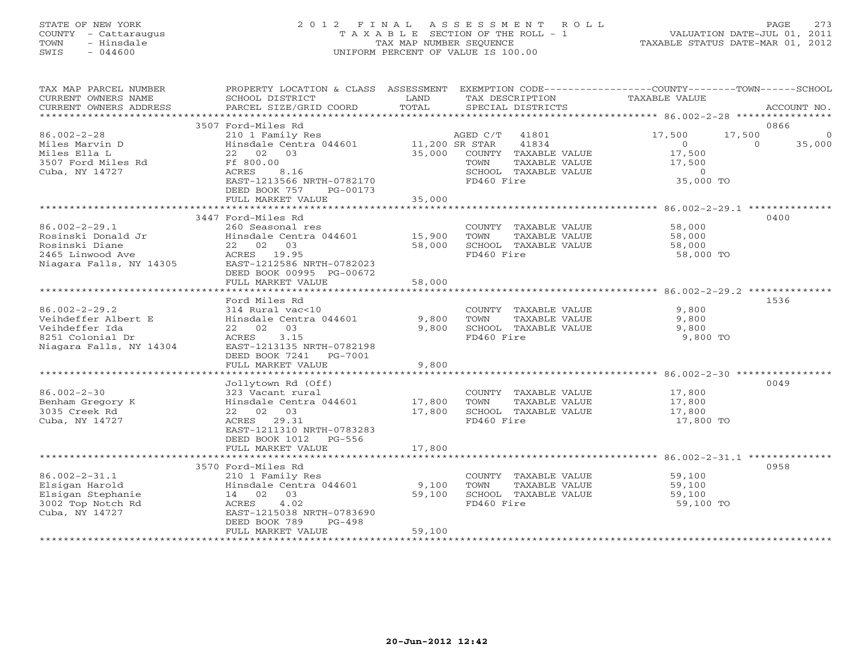# STATE OF NEW YORK 2 0 1 2 F I N A L A S S E S S M E N T R O L L PAGE 273 COUNTY - Cattaraugus T A X A B L E SECTION OF THE ROLL - 1 VALUATION DATE-JUL 01, 2011 TOWN - Hinsdale TAX MAP NUMBER SEQUENCE TAXABLE STATUS DATE-MAR 01, 2012 SWIS - 044600 UNIFORM PERCENT OF VALUE IS 100.00UNIFORM PERCENT OF VALUE IS 100.00

| TAX MAP PARCEL NUMBER<br>CURRENT OWNERS NAME<br>CURRENT OWNERS ADDRESS | PROPERTY LOCATION & CLASS ASSESSMENT<br>SCHOOL DISTRICT<br>PARCEL SIZE/GRID COORD | LAND<br>TOTAL        | EXEMPTION CODE-----------------COUNTY-------TOWN-----SCHOOL<br>TAX DESCRIPTION<br>SPECIAL DISTRICTS | <b>TAXABLE VALUE</b>                  | ACCOUNT NO.               |
|------------------------------------------------------------------------|-----------------------------------------------------------------------------------|----------------------|-----------------------------------------------------------------------------------------------------|---------------------------------------|---------------------------|
| **********************                                                 |                                                                                   |                      |                                                                                                     |                                       |                           |
| $86.002 - 2 - 28$                                                      | 3507 Ford-Miles Rd<br>210 1 Family Res                                            |                      | AGED C/T<br>41801                                                                                   | 17,500                                | 0866<br>17,500<br>$\circ$ |
| Miles Marvin D<br>Miles Ella L                                         | Hinsdale Centra 044601 11,200 SR STAR<br>22 02 03                                 | 35,000               | 41834<br>COUNTY TAXABLE VALUE                                                                       | $\Omega$<br>17,500                    | $\Omega$<br>35,000        |
| 3507 Ford Miles Rd<br>Cuba, NY 14727                                   | Ff 800.00<br>ACRES<br>8.16<br>EAST-1213566 NRTH-0782170                           |                      | TAXABLE VALUE<br>TOWN<br>SCHOOL TAXABLE VALUE<br>FD460 Fire                                         | 17,500<br>$\overline{0}$<br>35,000 TO |                           |
|                                                                        | DEED BOOK 757<br>PG-00173<br>FULL MARKET VALUE                                    | 35,000               |                                                                                                     |                                       |                           |
|                                                                        | **************************                                                        | ******************** |                                                                                                     |                                       |                           |
|                                                                        | 3447 Ford-Miles Rd                                                                |                      |                                                                                                     |                                       | 0400                      |
| $86.002 - 2 - 29.1$                                                    | 260 Seasonal res                                                                  |                      | COUNTY TAXABLE VALUE                                                                                | 58,000                                |                           |
| Rosinski Donald Jr<br>Rosinski Diane                                   | Hinsdale Centra 044601<br>22 02 03                                                | 15,900<br>58,000     | TAXABLE VALUE<br>TOWN<br>SCHOOL TAXABLE VALUE                                                       | 58,000<br>58,000                      |                           |
| 2465 Linwood Ave                                                       | ACRES 19.95                                                                       |                      | FD460 Fire                                                                                          | 58,000 TO                             |                           |
| Niagara Falls, NY 14305                                                | EAST-1212586 NRTH-0782023<br>DEED BOOK 00995 PG-00672                             |                      |                                                                                                     |                                       |                           |
|                                                                        | FULL MARKET VALUE                                                                 | 58,000               |                                                                                                     |                                       |                           |
|                                                                        |                                                                                   |                      |                                                                                                     |                                       |                           |
|                                                                        | Ford Miles Rd                                                                     |                      |                                                                                                     |                                       | 1536                      |
| $86.002 - 2 - 29.2$<br>Veihdeffer Albert E                             | 314 Rural vac<10<br>Hinsdale Centra 044601                                        | 9,800                | COUNTY TAXABLE VALUE<br>TOWN<br>TAXABLE VALUE                                                       | 9,800<br>9,800                        |                           |
| Veihdeffer Ida                                                         | 22 02 03                                                                          | 9,800                | SCHOOL TAXABLE VALUE                                                                                | 9,800                                 |                           |
| 8251 Colonial Dr                                                       | 3.15<br>ACRES                                                                     |                      | FD460 Fire                                                                                          | 9,800 TO                              |                           |
| Niagara Falls, NY 14304                                                | EAST-1213135 NRTH-0782198                                                         |                      |                                                                                                     |                                       |                           |
|                                                                        | DEED BOOK 7241<br>PG-7001                                                         |                      |                                                                                                     |                                       |                           |
|                                                                        | FULL MARKET VALUE                                                                 | 9,800                |                                                                                                     |                                       |                           |
|                                                                        |                                                                                   |                      |                                                                                                     |                                       |                           |
|                                                                        | Jollytown Rd (Off)                                                                |                      |                                                                                                     |                                       | 0049                      |
| $86.002 - 2 - 30$                                                      | 323 Vacant rural                                                                  |                      | COUNTY TAXABLE VALUE                                                                                | 17,800                                |                           |
| Benham Gregory K                                                       | Hinsdale Centra 044601                                                            | 17,800               | TOWN<br>TAXABLE VALUE                                                                               | 17,800                                |                           |
| 3035 Creek Rd<br>Cuba, NY 14727                                        | 22 02 03<br>ACRES 29.31                                                           | 17,800               | SCHOOL TAXABLE VALUE<br>FD460 Fire                                                                  | 17,800<br>17,800 TO                   |                           |
|                                                                        | EAST-1211310 NRTH-0783283                                                         |                      |                                                                                                     |                                       |                           |
|                                                                        | DEED BOOK 1012<br>PG-556                                                          |                      |                                                                                                     |                                       |                           |
|                                                                        | FULL MARKET VALUE                                                                 | 17,800               |                                                                                                     |                                       |                           |
|                                                                        |                                                                                   |                      |                                                                                                     |                                       |                           |
|                                                                        | 3570 Ford-Miles Rd                                                                |                      |                                                                                                     |                                       | 0958                      |
| $86.002 - 2 - 31.1$                                                    | 210 1 Family Res                                                                  |                      | COUNTY TAXABLE VALUE                                                                                | 59,100                                |                           |
| Elsigan Harold                                                         | Hinsdale Centra 044601                                                            | 9,100                | TOWN<br>TAXABLE VALUE                                                                               | 59,100                                |                           |
| Elsigan Stephanie                                                      | 14 02 03                                                                          | 59,100               | SCHOOL TAXABLE VALUE                                                                                | 59,100                                |                           |
| 3002 Top Notch Rd                                                      | 4.02<br>ACRES                                                                     |                      | FD460 Fire                                                                                          | 59,100 TO                             |                           |
| Cuba, NY 14727                                                         | EAST-1215038 NRTH-0783690<br>$PG-498$<br>DEED BOOK 789                            |                      |                                                                                                     |                                       |                           |
|                                                                        | FULL MARKET VALUE                                                                 | 59,100               |                                                                                                     |                                       |                           |
|                                                                        |                                                                                   |                      |                                                                                                     |                                       |                           |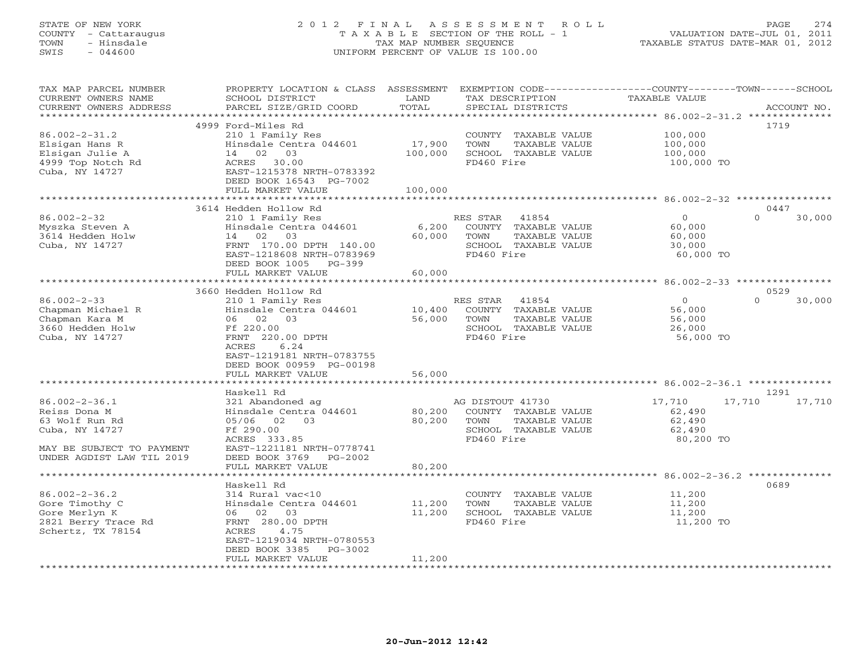# STATE OF NEW YORK 2 0 1 2 F I N A L A S S E S S M E N T R O L L PAGE 274 COUNTY - Cattaraugus T A X A B L E SECTION OF THE ROLL - 1 VALUATION DATE-JUL 01, 2011 TOWN - Hinsdale TAX MAP NUMBER SEQUENCE TAXABLE STATUS DATE-MAR 01, 2012 SWIS - 044600 UNIFORM PERCENT OF VALUE IS 100.00UNIFORM PERCENT OF VALUE IS 100.00

| TAX MAP PARCEL NUMBER<br>CURRENT OWNERS NAME                                                                                      | PROPERTY LOCATION & CLASS ASSESSMENT<br>SCHOOL DISTRICT                                                                                       | LAND              | TAX DESCRIPTION                                                                                         | EXEMPTION CODE-----------------COUNTY-------TOWN------SCHOOL<br><b>TAXABLE VALUE</b> |                            |
|-----------------------------------------------------------------------------------------------------------------------------------|-----------------------------------------------------------------------------------------------------------------------------------------------|-------------------|---------------------------------------------------------------------------------------------------------|--------------------------------------------------------------------------------------|----------------------------|
| CURRENT OWNERS ADDRESS<br>**********************                                                                                  | PARCEL SIZE/GRID COORD                                                                                                                        | TOTAL             | SPECIAL DISTRICTS                                                                                       |                                                                                      | ACCOUNT NO.                |
|                                                                                                                                   | 4999 Ford-Miles Rd                                                                                                                            |                   |                                                                                                         |                                                                                      | 1719                       |
| $86.002 - 2 - 31.2$<br>Elsigan Hans R<br>Elsigan Julie A<br>4999 Top Notch Rd<br>Cuba, NY 14727                                   | 210 1 Family Res<br>Hinsdale Centra 044601<br>14 02 03<br>ACRES 30.00<br>EAST-1215378 NRTH-0783392<br>DEED BOOK 16543 PG-7002                 | 17,900<br>100,000 | COUNTY TAXABLE VALUE<br>TOWN<br>TAXABLE VALUE<br>SCHOOL TAXABLE VALUE<br>FD460 Fire                     | 100,000<br>100,000<br>100,000<br>100,000 TO                                          |                            |
|                                                                                                                                   | FULL MARKET VALUE                                                                                                                             | 100,000           |                                                                                                         |                                                                                      |                            |
|                                                                                                                                   |                                                                                                                                               |                   |                                                                                                         |                                                                                      |                            |
| $86.002 - 2 - 32$                                                                                                                 | 3614 Hedden Hollow Rd<br>210 1 Family Res                                                                                                     |                   | RES STAR<br>41854                                                                                       | $\Omega$                                                                             | 0447<br>$\Omega$<br>30,000 |
| Myszka Steven A<br>3614 Hedden Holw<br>Cuba, NY 14727                                                                             | Hinsdale Centra 044601<br>14 02 03<br>FRNT 170.00 DPTH 140.00<br>EAST-1218608 NRTH-0783969<br>DEED BOOK 1005<br>$PG-399$                      | 6,200<br>60,000   | COUNTY TAXABLE VALUE<br>TOWN<br>TAXABLE VALUE<br>SCHOOL TAXABLE VALUE<br>FD460 Fire                     | 60,000<br>60,000<br>30,000<br>60,000 TO                                              |                            |
|                                                                                                                                   | FULL MARKET VALUE                                                                                                                             | 60,000            |                                                                                                         |                                                                                      |                            |
|                                                                                                                                   |                                                                                                                                               |                   |                                                                                                         |                                                                                      |                            |
|                                                                                                                                   | 3660 Hedden Hollow Rd                                                                                                                         |                   |                                                                                                         |                                                                                      | 0529                       |
| $86.002 - 2 - 33$<br>Chapman Michael R<br>Chapman Kara M<br>3660 Hedden Holw<br>Cuba, NY 14727                                    | 210 1 Family Res<br>Hinsdale Centra 044601<br>06 02 03<br>Ff 220.00<br>FRNT 220.00 DPTH<br>6.24<br>ACRES                                      | 10,400<br>56,000  | RES STAR 41854<br>COUNTY TAXABLE VALUE<br>TOWN<br>TAXABLE VALUE<br>SCHOOL TAXABLE VALUE<br>FD460 Fire   | $\circ$<br>56,000<br>56,000<br>26,000<br>56,000 TO                                   | $\Omega$<br>30,000         |
|                                                                                                                                   | EAST-1219181 NRTH-0783755<br>DEED BOOK 00959 PG-00198<br>FULL MARKET VALUE                                                                    | 56,000            |                                                                                                         |                                                                                      |                            |
|                                                                                                                                   |                                                                                                                                               |                   |                                                                                                         |                                                                                      |                            |
|                                                                                                                                   | Haskell Rd                                                                                                                                    |                   |                                                                                                         |                                                                                      | 1291                       |
| $86.002 - 2 - 36.1$<br>Reiss Dona M<br>63 Wolf Run Rd<br>Cuba, NY 14727<br>MAY BE SUBJECT TO PAYMENT<br>UNDER AGDIST LAW TIL 2019 | 321 Abandoned ag<br>Hinsdale Centra 044601<br>05/06 02 03<br>Ff 290.00<br>ACRES 333.85<br>EAST-1221181 NRTH-0778741<br>DEED BOOK 3769 PG-2002 | 80,200<br>80,200  | AG DISTOUT 41730<br>COUNTY TAXABLE VALUE<br>TOWN<br>TAXABLE VALUE<br>SCHOOL TAXABLE VALUE<br>FD460 Fire | 17,710<br>17,710<br>62,490<br>62,490<br>62,490<br>80,200 TO                          | 17,710                     |
|                                                                                                                                   | FULL MARKET VALUE                                                                                                                             | 80,200            |                                                                                                         |                                                                                      |                            |
|                                                                                                                                   | ******************                                                                                                                            | ****************  |                                                                                                         |                                                                                      |                            |
| $86.002 - 2 - 36.2$<br>Gore Timothy C<br>Gore Merlyn K<br>2821 Berry Trace Rd<br>Schertz, TX 78154                                | Haskell Rd<br>314 Rural vac<10<br>Hinsdale Centra 044601<br>06 02 03<br>FRNT 280.00 DPTH<br>ACRES<br>4.75<br>EAST-1219034 NRTH-0780553        | 11,200<br>11,200  | COUNTY TAXABLE VALUE<br>TOWN<br>TAXABLE VALUE<br>SCHOOL TAXABLE VALUE<br>FD460 Fire                     | 11,200<br>11,200<br>11,200<br>11,200 TO                                              | 0689                       |
| ***********************                                                                                                           | DEED BOOK 3385<br>PG-3002<br>FULL MARKET VALUE                                                                                                | 11,200            |                                                                                                         |                                                                                      |                            |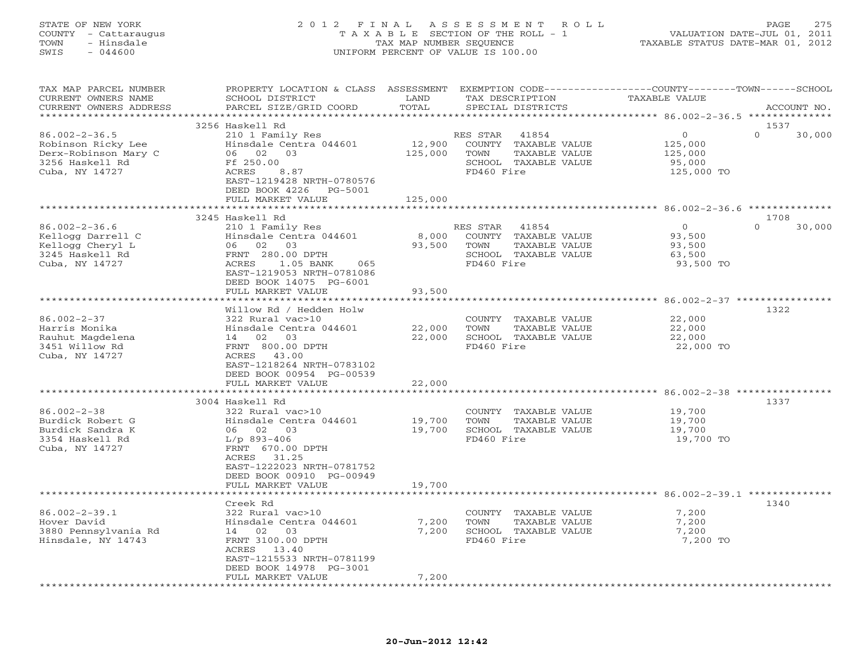# STATE OF NEW YORK 2 0 1 2 F I N A L A S S E S S M E N T R O L L PAGE 275 COUNTY - Cattaraugus T A X A B L E SECTION OF THE ROLL - 1 VALUATION DATE-JUL 01, 2011 TOWN - Hinsdale TAX MAP NUMBER SEQUENCE TAXABLE STATUS DATE-MAR 01, 2012 SWIS - 044600 UNIFORM PERCENT OF VALUE IS 100.00UNIFORM PERCENT OF VALUE IS 100.00

| TAX MAP PARCEL NUMBER<br>CURRENT OWNERS NAME | PROPERTY LOCATION & CLASS ASSESSMENT<br>SCHOOL DISTRICT | LAND           | TAX DESCRIPTION                               | EXEMPTION CODE-----------------COUNTY-------TOWN------SCHOOL<br>TAXABLE VALUE |             |
|----------------------------------------------|---------------------------------------------------------|----------------|-----------------------------------------------|-------------------------------------------------------------------------------|-------------|
| CURRENT OWNERS ADDRESS                       | PARCEL SIZE/GRID COORD                                  | TOTAL          | SPECIAL DISTRICTS                             |                                                                               | ACCOUNT NO. |
|                                              |                                                         | **********     |                                               | ********************* 86.002-2-36.5 **************                            |             |
|                                              | 3256 Haskell Rd                                         |                |                                               | 1537                                                                          |             |
| $86.002 - 2 - 36.5$                          | 210 1 Family Res                                        |                | 41854<br>RES STAR                             | $\mathbf{O}$<br>$\Omega$                                                      | 30,000      |
| Robinson Ricky Lee                           | Hinsdale Centra 044601                                  | 12,900         | COUNTY TAXABLE VALUE                          | 125,000                                                                       |             |
| Derx-Robinson Mary C                         | 06 02 03                                                | 125,000        | TOWN<br>TAXABLE VALUE                         | 125,000                                                                       |             |
| 3256 Haskell Rd                              | Ff 250.00                                               |                | SCHOOL TAXABLE VALUE                          | 95,000                                                                        |             |
| Cuba, NY 14727                               | ACRES<br>8.87                                           |                | FD460 Fire                                    | 125,000 TO                                                                    |             |
|                                              | EAST-1219428 NRTH-0780576                               |                |                                               |                                                                               |             |
|                                              | DEED BOOK 4226 PG-5001                                  |                |                                               |                                                                               |             |
|                                              | FULL MARKET VALUE                                       | 125,000        |                                               |                                                                               |             |
|                                              | 3245 Haskell Rd                                         |                |                                               | 1708                                                                          |             |
| $86.002 - 2 - 36.6$                          | 210 1 Family Res                                        |                | 41854<br>RES STAR                             | $\overline{0}$<br>$\Omega$                                                    | 30,000      |
| Kellogg Darrell C                            | Hinsdale Centra 044601                                  | 8,000          | COUNTY TAXABLE VALUE                          | 93,500                                                                        |             |
| Kellogg Cheryl L                             | 06 02 03                                                | 93,500         | TOWN<br>TAXABLE VALUE                         | 93,500                                                                        |             |
| 3245 Haskell Rd                              | FRNT 280.00 DPTH                                        |                | SCHOOL TAXABLE VALUE                          | 63,500                                                                        |             |
| Cuba, NY 14727                               | ACRES<br>1.05 BANK<br>065                               |                | FD460 Fire                                    | 93,500 TO                                                                     |             |
|                                              | EAST-1219053 NRTH-0781086                               |                |                                               |                                                                               |             |
|                                              | DEED BOOK 14075 PG-6001                                 |                |                                               |                                                                               |             |
|                                              | FULL MARKET VALUE                                       | 93,500         |                                               |                                                                               |             |
|                                              |                                                         |                |                                               |                                                                               |             |
|                                              | Willow Rd / Hedden Holw                                 |                |                                               | 1322                                                                          |             |
| $86.002 - 2 - 37$                            | 322 Rural vac>10                                        |                | COUNTY TAXABLE VALUE                          | 22,000                                                                        |             |
| Harris Monika                                | Hinsdale Centra 044601                                  | 22,000         | TAXABLE VALUE<br>TOWN                         | 22,000                                                                        |             |
| Rauhut Magdelena                             | 14 02 03                                                | 22,000         | SCHOOL TAXABLE VALUE                          | 22,000                                                                        |             |
| 3451 Willow Rd                               | FRNT 800.00 DPTH                                        |                | FD460 Fire                                    | 22,000 TO                                                                     |             |
| Cuba, NY 14727                               | ACRES 43.00                                             |                |                                               |                                                                               |             |
|                                              | EAST-1218264 NRTH-0783102                               |                |                                               |                                                                               |             |
|                                              | DEED BOOK 00954 PG-00539                                |                |                                               |                                                                               |             |
|                                              | FULL MARKET VALUE                                       | 22,000         |                                               |                                                                               |             |
|                                              | 3004 Haskell Rd                                         |                |                                               | 1337                                                                          |             |
| $86.002 - 2 - 38$                            | 322 Rural vac>10                                        |                | COUNTY TAXABLE VALUE                          | 19,700                                                                        |             |
| Burdick Robert G                             | Hinsdale Centra 044601                                  | 19,700         | TOWN<br>TAXABLE VALUE                         | 19,700                                                                        |             |
| Burdick Sandra K                             | 06 02 03                                                | 19,700         | SCHOOL TAXABLE VALUE                          | 19,700                                                                        |             |
| 3354 Haskell Rd                              | $L/p$ 893-406                                           |                | FD460 Fire                                    | 19,700 TO                                                                     |             |
| Cuba, NY 14727                               | FRNT 670.00 DPTH                                        |                |                                               |                                                                               |             |
|                                              | ACRES 31.25                                             |                |                                               |                                                                               |             |
|                                              | EAST-1222023 NRTH-0781752                               |                |                                               |                                                                               |             |
|                                              | DEED BOOK 00910 PG-00949                                |                |                                               |                                                                               |             |
|                                              | FULL MARKET VALUE                                       | 19,700         |                                               |                                                                               |             |
|                                              |                                                         |                |                                               |                                                                               |             |
|                                              | Creek Rd                                                |                |                                               | 1340                                                                          |             |
| $86.002 - 2 - 39.1$                          | 322 Rural vac>10                                        |                | COUNTY TAXABLE VALUE                          | 7,200                                                                         |             |
| Hover David<br>3880 Pennsylvania Rd          | Hinsdale Centra 044601<br>14 02<br>03                   | 7,200<br>7,200 | TOWN<br>TAXABLE VALUE<br>SCHOOL TAXABLE VALUE | 7,200<br>7,200                                                                |             |
| Hinsdale, NY 14743                           | FRNT 3100.00 DPTH                                       |                | FD460 Fire                                    | 7,200 TO                                                                      |             |
|                                              | ACRES 13.40                                             |                |                                               |                                                                               |             |
|                                              | EAST-1215533 NRTH-0781199                               |                |                                               |                                                                               |             |
|                                              | DEED BOOK 14978 PG-3001                                 |                |                                               |                                                                               |             |
|                                              | FULL MARKET VALUE                                       | 7,200          |                                               |                                                                               |             |
|                                              |                                                         |                |                                               |                                                                               |             |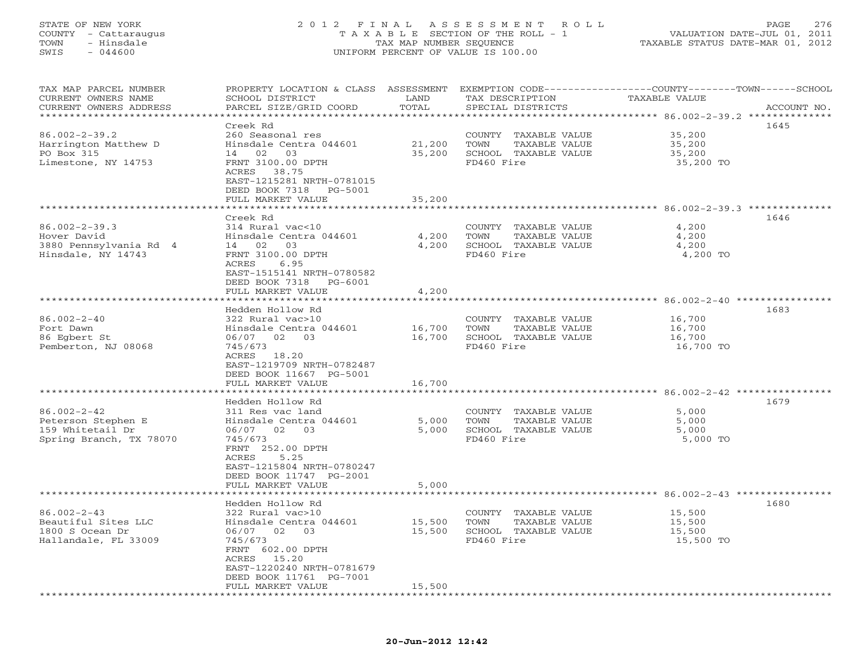## STATE OF NEW YORK 2 0 1 2 F I N A L A S S E S S M E N T R O L L PAGE 276 COUNTY - Cattaraugus T A X A B L E SECTION OF THE ROLL - 1 VALUATION DATE-JUL 01, 2011 TOWN - Hinsdale TAX MAP NUMBER SEQUENCE TAXABLE STATUS DATE-MAR 01, 2012 SWIS - 044600 UNIFORM PERCENT OF VALUE IS 100.00UNIFORM PERCENT OF VALUE IS 100.00

| TAX MAP PARCEL NUMBER<br>CURRENT OWNERS NAME        | PROPERTY LOCATION & CLASS ASSESSMENT EXEMPTION CODE----------------COUNTY-------TOWN------SCHOOL<br>SCHOOL DISTRICT | LAND                           | TAX DESCRIPTION       | TAXABLE VALUE                                     |             |
|-----------------------------------------------------|---------------------------------------------------------------------------------------------------------------------|--------------------------------|-----------------------|---------------------------------------------------|-------------|
| CURRENT OWNERS ADDRESS<br>************************* | PARCEL SIZE/GRID COORD                                                                                              | TOTAL                          | SPECIAL DISTRICTS     |                                                   | ACCOUNT NO. |
|                                                     | Creek Rd                                                                                                            |                                |                       |                                                   | 1645        |
| $86.002 - 2 - 39.2$                                 | 260 Seasonal res                                                                                                    |                                | COUNTY TAXABLE VALUE  | 35,200                                            |             |
| Harrington Matthew D                                | Hinsdale Centra 044601                                                                                              | 21,200                         | TAXABLE VALUE<br>TOWN | 35,200                                            |             |
| PO Box 315                                          | 14 02 03                                                                                                            | 35,200                         | SCHOOL TAXABLE VALUE  | 35,200                                            |             |
|                                                     | FRNT 3100.00 DPTH                                                                                                   |                                | FD460 Fire            |                                                   |             |
| Limestone, NY 14753                                 | ACRES 38.75                                                                                                         |                                |                       | 35,200 TO                                         |             |
|                                                     | EAST-1215281 NRTH-0781015                                                                                           |                                |                       |                                                   |             |
|                                                     | DEED BOOK 7318 PG-5001                                                                                              |                                |                       |                                                   |             |
|                                                     | FULL MARKET VALUE                                                                                                   | 35,200                         |                       |                                                   |             |
|                                                     |                                                                                                                     |                                |                       | ************************ 86.002-2-39.3 ********** |             |
|                                                     | Creek Rd                                                                                                            |                                |                       |                                                   | 1646        |
| $86.002 - 2 - 39.3$                                 | 314 Rural vac<10                                                                                                    |                                | COUNTY TAXABLE VALUE  | 4,200                                             |             |
| Hover David                                         | Hinsdale Centra 044601                                                                                              | 4,200                          | TOWN<br>TAXABLE VALUE | 4,200                                             |             |
| 3880 Pennsylvania Rd 4                              | 14 02 03                                                                                                            | 4,200                          | SCHOOL TAXABLE VALUE  | 4,200                                             |             |
| Hinsdale, NY 14743                                  | FRNT 3100.00 DPTH                                                                                                   |                                | FD460 Fire            | 4,200 TO                                          |             |
|                                                     | ACRES<br>6.95                                                                                                       |                                |                       |                                                   |             |
|                                                     | EAST-1515141 NRTH-0780582                                                                                           |                                |                       |                                                   |             |
|                                                     | DEED BOOK 7318 PG-6001                                                                                              |                                |                       |                                                   |             |
|                                                     | FULL MARKET VALUE                                                                                                   | 4,200                          |                       |                                                   |             |
|                                                     |                                                                                                                     |                                |                       | ****************** 86.002-2-40 ************       |             |
|                                                     |                                                                                                                     |                                |                       |                                                   | 1683        |
|                                                     | Hedden Hollow Rd                                                                                                    |                                |                       |                                                   |             |
| $86.002 - 2 - 40$                                   | 322 Rural vac>10                                                                                                    |                                | COUNTY TAXABLE VALUE  | 16,700                                            |             |
| Fort Dawn                                           | Hinsdale Centra 044601                                                                                              | 16,700                         | TOWN<br>TAXABLE VALUE | 16,700                                            |             |
| 86 Egbert St                                        | 06/07 02 03                                                                                                         | 16,700                         | SCHOOL TAXABLE VALUE  | 16,700                                            |             |
| Pemberton, NJ 08068                                 | 745/673                                                                                                             |                                | FD460 Fire            | 16,700 TO                                         |             |
|                                                     | ACRES 18.20                                                                                                         |                                |                       |                                                   |             |
|                                                     | EAST-1219709 NRTH-0782487                                                                                           |                                |                       |                                                   |             |
|                                                     | DEED BOOK 11667 PG-5001                                                                                             |                                |                       |                                                   |             |
|                                                     | FULL MARKET VALUE                                                                                                   | 16,700                         |                       |                                                   |             |
|                                                     | * * * * * * * * * * * * * * * * *                                                                                   | * * * * * * * * * * *          |                       |                                                   |             |
|                                                     | Hedden Hollow Rd                                                                                                    |                                |                       |                                                   | 1679        |
| $86.002 - 2 - 42$                                   | 311 Res vac land                                                                                                    |                                | COUNTY TAXABLE VALUE  | 5,000                                             |             |
| Peterson Stephen E                                  | Hinsdale Centra 044601                                                                                              | 5,000                          | TOWN<br>TAXABLE VALUE | 5,000                                             |             |
| 159 Whitetail Dr                                    | 06/07 02 03                                                                                                         | 5,000                          | SCHOOL TAXABLE VALUE  | 5,000                                             |             |
| Spring Branch, TX 78070                             | 745/673                                                                                                             |                                | FD460 Fire            | 5,000 TO                                          |             |
|                                                     | FRNT 252.00 DPTH                                                                                                    |                                |                       |                                                   |             |
|                                                     | 5.25<br>ACRES                                                                                                       |                                |                       |                                                   |             |
|                                                     | EAST-1215804 NRTH-0780247                                                                                           |                                |                       |                                                   |             |
|                                                     | DEED BOOK 11747 PG-2001                                                                                             |                                |                       |                                                   |             |
|                                                     | FULL MARKET VALUE                                                                                                   | 5,000                          |                       |                                                   |             |
|                                                     |                                                                                                                     |                                |                       |                                                   |             |
|                                                     | Hedden Hollow Rd                                                                                                    |                                |                       |                                                   | 1680        |
| $86.002 - 2 - 43$                                   | 322 Rural vac>10                                                                                                    |                                | COUNTY TAXABLE VALUE  | 15,500                                            |             |
| Beautiful Sites LLC                                 | Hinsdale Centra 044601                                                                                              | 15,500                         | TOWN<br>TAXABLE VALUE | 15,500                                            |             |
| 1800 S Ocean Dr                                     | 06/07 02 03                                                                                                         | 15,500                         | SCHOOL TAXABLE VALUE  | 15,500                                            |             |
| Hallandale, FL 33009                                | 745/673                                                                                                             |                                | FD460 Fire            | 15,500 TO                                         |             |
|                                                     | FRNT 602.00 DPTH                                                                                                    |                                |                       |                                                   |             |
|                                                     | ACRES 15.20                                                                                                         |                                |                       |                                                   |             |
|                                                     | EAST-1220240 NRTH-0781679                                                                                           |                                |                       |                                                   |             |
|                                                     |                                                                                                                     |                                |                       |                                                   |             |
|                                                     | DEED BOOK 11761 PG-7001                                                                                             |                                |                       |                                                   |             |
| ***********************                             | FULL MARKET VALUE<br>***********************                                                                        | 15,500<br>******************** |                       |                                                   |             |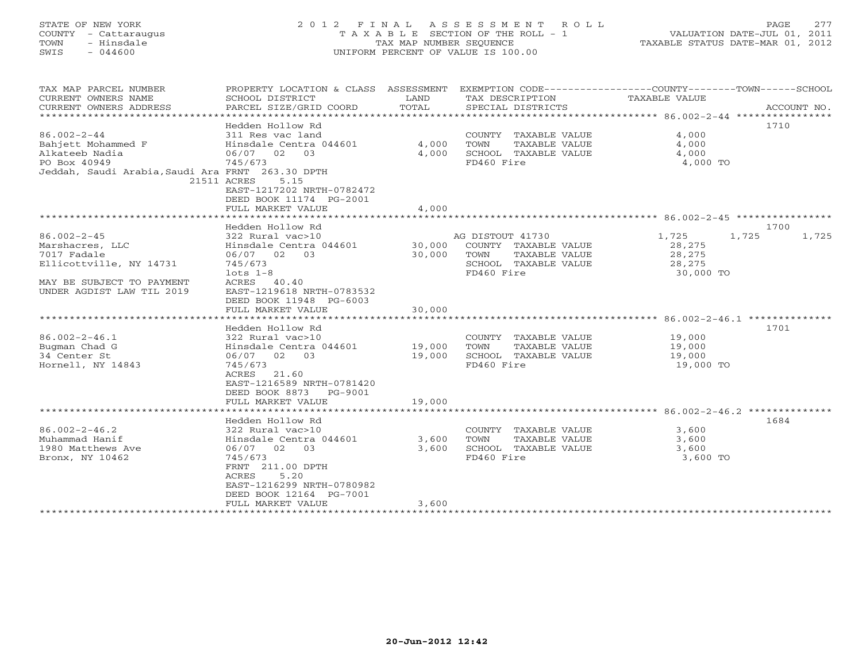# STATE OF NEW YORK 2 0 1 2 F I N A L A S S E S S M E N T R O L L PAGE 277 COUNTY - Cattaraugus T A X A B L E SECTION OF THE ROLL - 1 VALUATION DATE-JUL 01, 2011 TOWN - Hinsdale TAX MAP NUMBER SEQUENCE TAXABLE STATUS DATE-MAR 01, 2012 SWIS - 044600 UNIFORM PERCENT OF VALUE IS 100.00UNIFORM PERCENT OF VALUE IS 100.00

| TAX MAP PARCEL NUMBER                            |                                |                |                       | PROPERTY LOCATION & CLASS ASSESSMENT EXEMPTION CODE---------------COUNTY-------TOWN------SCHOOL |             |
|--------------------------------------------------|--------------------------------|----------------|-----------------------|-------------------------------------------------------------------------------------------------|-------------|
| CURRENT OWNERS NAME                              | SCHOOL DISTRICT                | LAND           | TAX DESCRIPTION       | TAXABLE VALUE                                                                                   |             |
| CURRENT OWNERS ADDRESS                           | PARCEL SIZE/GRID COORD         | TOTAL          | SPECIAL DISTRICTS     |                                                                                                 | ACCOUNT NO. |
|                                                  |                                |                |                       |                                                                                                 |             |
|                                                  | Hedden Hollow Rd               |                |                       | 1710                                                                                            |             |
| $86.002 - 2 - 44$                                | 311 Res vac land               |                | COUNTY TAXABLE VALUE  | 4,000                                                                                           |             |
| Bahjett Mohammed F                               | Hinsdale Centra 044601         | 4,000          | TOWN<br>TAXABLE VALUE | 4,000                                                                                           |             |
| Alkateeb Nadia                                   | 06/07 02<br>03                 | 4,000          | SCHOOL TAXABLE VALUE  | 4,000                                                                                           |             |
| PO Box 40949                                     | 745/673                        |                | FD460 Fire            | 4,000 TO                                                                                        |             |
| Jeddah, Saudi Arabia, Saudi Ara FRNT 263.30 DPTH |                                |                |                       |                                                                                                 |             |
|                                                  | 21511 ACRES<br>5.15            |                |                       |                                                                                                 |             |
|                                                  | EAST-1217202 NRTH-0782472      |                |                       |                                                                                                 |             |
|                                                  | DEED BOOK 11174 PG-2001        |                |                       |                                                                                                 |             |
|                                                  | FULL MARKET VALUE              | 4,000          |                       |                                                                                                 |             |
|                                                  | ****************************** |                |                       |                                                                                                 |             |
|                                                  | Hedden Hollow Rd               |                |                       | 1700                                                                                            |             |
| $86.002 - 2 - 45$                                | 322 Rural vac>10               |                | AG DISTOUT 41730      | 1,725<br>1,725                                                                                  | 1,725       |
| Marshacres, LLC                                  | Hinsdale Centra 044601         | 30,000         | COUNTY TAXABLE VALUE  | 28,275                                                                                          |             |
| 7017 Fadale                                      | 06/07 02 03                    | 30,000         | TOWN<br>TAXABLE VALUE | 28,275                                                                                          |             |
| Ellicottville, NY 14731                          | 745/673                        |                | SCHOOL TAXABLE VALUE  | 28,275                                                                                          |             |
|                                                  | $lots 1-8$                     |                | FD460 Fire            | 30,000 TO                                                                                       |             |
| MAY BE SUBJECT TO PAYMENT                        | ACRES<br>40.40                 |                |                       |                                                                                                 |             |
| UNDER AGDIST LAW TIL 2019                        | EAST-1219618 NRTH-0783532      |                |                       |                                                                                                 |             |
|                                                  | DEED BOOK 11948 PG-6003        |                |                       |                                                                                                 |             |
|                                                  | FULL MARKET VALUE              | 30,000         |                       |                                                                                                 |             |
|                                                  | *****************              | ************** |                       |                                                                                                 |             |
|                                                  | Hedden Hollow Rd               |                |                       | 1701                                                                                            |             |
| $86.002 - 2 - 46.1$                              | 322 Rural vac>10               |                | COUNTY TAXABLE VALUE  | 19,000                                                                                          |             |
| Bugman Chad G                                    | Hinsdale Centra 044601         | 19,000         | TOWN<br>TAXABLE VALUE | 19,000                                                                                          |             |
| 34 Center St                                     | 06/07 02<br>03                 | 19,000         | SCHOOL TAXABLE VALUE  | 19,000                                                                                          |             |
| Hornell, NY 14843                                | 745/673                        |                | FD460 Fire            | 19,000 TO                                                                                       |             |
|                                                  | 21.60<br>ACRES                 |                |                       |                                                                                                 |             |
|                                                  | EAST-1216589 NRTH-0781420      |                |                       |                                                                                                 |             |
|                                                  | DEED BOOK 8873<br>PG-9001      |                |                       |                                                                                                 |             |
|                                                  | FULL MARKET VALUE              | 19,000         |                       |                                                                                                 |             |
|                                                  |                                |                |                       |                                                                                                 |             |
|                                                  |                                |                |                       | 1684                                                                                            |             |
|                                                  | Hedden Hollow Rd               |                |                       |                                                                                                 |             |
| $86.002 - 2 - 46.2$                              | 322 Rural vac>10               |                | COUNTY TAXABLE VALUE  | 3,600                                                                                           |             |
| Muhammad Hanif                                   | Hinsdale Centra 044601         | 3,600          | TOWN<br>TAXABLE VALUE | 3,600                                                                                           |             |
| 1980 Matthews Ave                                | 06/07 02<br>03                 | 3,600          | SCHOOL TAXABLE VALUE  | 3,600                                                                                           |             |
| Bronx, NY 10462                                  | 745/673                        |                | FD460 Fire            | 3,600 TO                                                                                        |             |
|                                                  | FRNT 211.00 DPTH               |                |                       |                                                                                                 |             |
|                                                  | ACRES<br>5.20                  |                |                       |                                                                                                 |             |
|                                                  | EAST-1216299 NRTH-0780982      |                |                       |                                                                                                 |             |
|                                                  | DEED BOOK 12164 PG-7001        |                |                       |                                                                                                 |             |
|                                                  | FULL MARKET VALUE              | 3,600          |                       |                                                                                                 |             |
|                                                  | *******************            |                |                       |                                                                                                 |             |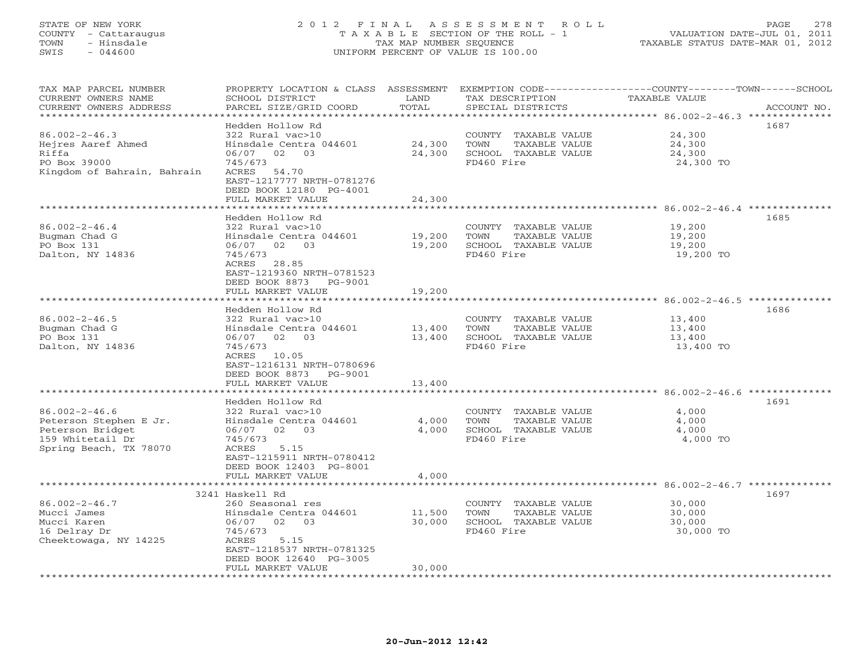## STATE OF NEW YORK 2 0 1 2 F I N A L A S S E S S M E N T R O L L PAGE 278 COUNTY - Cattaraugus T A X A B L E SECTION OF THE ROLL - 1 VALUATION DATE-JUL 01, 2011 TOWN - Hinsdale TAX MAP NUMBER SEQUENCE TAXABLE STATUS DATE-MAR 01, 2012 SWIS - 044600 UNIFORM PERCENT OF VALUE IS 100.00UNIFORM PERCENT OF VALUE IS 100.00

| TAX MAP PARCEL NUMBER<br>CURRENT OWNERS NAME<br>CURRENT OWNERS ADDRESS | PROPERTY LOCATION & CLASS ASSESSMENT<br>SCHOOL DISTRICT<br>PARCEL SIZE/GRID COORD                        | LAND<br>TOTAL                     | TAX DESCRIPTION<br>SPECIAL DISTRICTS                                  | EXEMPTION CODE-----------------COUNTY-------TOWN-----SCHOOL<br>TAXABLE VALUE<br>ACCOUNT NO. |
|------------------------------------------------------------------------|----------------------------------------------------------------------------------------------------------|-----------------------------------|-----------------------------------------------------------------------|---------------------------------------------------------------------------------------------|
|                                                                        |                                                                                                          | * * * * * * * * * *               |                                                                       |                                                                                             |
| $86.002 - 2 - 46.3$<br>Hejres Aaref Ahmed<br>Riffa                     | Hedden Hollow Rd<br>322 Rural vac>10<br>Hinsdale Centra 044601<br>06/07 02 03                            | 24,300<br>24,300                  | COUNTY TAXABLE VALUE<br>TOWN<br>TAXABLE VALUE<br>SCHOOL TAXABLE VALUE | 1687<br>24,300<br>24,300<br>24,300                                                          |
| PO Box 39000<br>Kingdom of Bahrain, Bahrain                            | 745/673<br>ACRES 54.70<br>EAST-1217777 NRTH-0781276<br>DEED BOOK 12180 PG-4001                           |                                   | FD460 Fire                                                            | 24,300 TO                                                                                   |
|                                                                        | FULL MARKET VALUE<br>*******************                                                                 | 24,300<br>* * * * * * * * * * * * |                                                                       |                                                                                             |
|                                                                        |                                                                                                          |                                   |                                                                       | 1685                                                                                        |
| $86.002 - 2 - 46.4$<br>Bugman Chad G<br>PO Box 131                     | Hedden Hollow Rd<br>322 Rural vac>10<br>Hinsdale Centra 044601<br>06/07 02 03                            | 19,200<br>19,200                  | COUNTY TAXABLE VALUE<br>TOWN<br>TAXABLE VALUE<br>SCHOOL TAXABLE VALUE | 19,200<br>19,200<br>19,200                                                                  |
| Dalton, NY 14836                                                       | 745/673<br>ACRES<br>28.85<br>EAST-1219360 NRTH-0781523<br>DEED BOOK 8873<br>PG-9001<br>FULL MARKET VALUE | 19,200                            | FD460 Fire                                                            | 19,200 TO                                                                                   |
|                                                                        |                                                                                                          |                                   |                                                                       |                                                                                             |
|                                                                        | Hedden Hollow Rd                                                                                         |                                   |                                                                       | 1686                                                                                        |
| $86.002 - 2 - 46.5$                                                    | 322 Rural vac>10                                                                                         |                                   | COUNTY TAXABLE VALUE                                                  | 13,400                                                                                      |
| Bugman Chad G                                                          | Hinsdale Centra 044601                                                                                   | 13,400                            | TOWN<br>TAXABLE VALUE                                                 | 13,400                                                                                      |
| PO Box 131                                                             | 06/07 02 03                                                                                              | 13,400                            | SCHOOL TAXABLE VALUE                                                  | 13,400                                                                                      |
| Dalton, NY 14836                                                       | 745/673<br>ACRES 10.05<br>EAST-1216131 NRTH-0780696<br>DEED BOOK 8873 PG-9001                            |                                   | FD460 Fire                                                            | 13,400 TO                                                                                   |
|                                                                        | FULL MARKET VALUE                                                                                        | 13,400                            |                                                                       |                                                                                             |
|                                                                        |                                                                                                          |                                   |                                                                       |                                                                                             |
|                                                                        | Hedden Hollow Rd                                                                                         |                                   |                                                                       | 1691                                                                                        |
| $86.002 - 2 - 46.6$                                                    | 322 Rural vac>10                                                                                         |                                   | COUNTY TAXABLE VALUE                                                  | 4,000                                                                                       |
| Peterson Stephen E Jr.                                                 | Hinsdale Centra 044601                                                                                   | 4,000<br>4,000                    | TOWN<br>TAXABLE VALUE                                                 | 4,000                                                                                       |
| Peterson Bridget<br>159 Whitetail Dr                                   | 06/07 02 03<br>745/673                                                                                   |                                   | SCHOOL TAXABLE VALUE<br>FD460 Fire                                    | 4,000<br>4,000 TO                                                                           |
| Spring Beach, TX 78070                                                 | ACRES<br>5.15                                                                                            |                                   |                                                                       |                                                                                             |
|                                                                        | EAST-1215911 NRTH-0780412<br>DEED BOOK 12403 PG-8001                                                     |                                   |                                                                       |                                                                                             |
|                                                                        | FULL MARKET VALUE                                                                                        | 4,000                             |                                                                       |                                                                                             |
|                                                                        | 3241 Haskell Rd                                                                                          |                                   |                                                                       | 1697                                                                                        |
| $86.002 - 2 - 46.7$                                                    | 260 Seasonal res                                                                                         |                                   | COUNTY TAXABLE VALUE                                                  | 30,000                                                                                      |
| Mucci James                                                            | Hinsdale Centra 044601                                                                                   | 11,500                            | TOWN<br>TAXABLE VALUE                                                 | 30,000                                                                                      |
| Mucci Karen                                                            | 06/07 02 03                                                                                              | 30,000                            | SCHOOL TAXABLE VALUE                                                  | 30,000                                                                                      |
| 16 Delray Dr<br>Cheektowaga, NY 14225                                  | 745/673<br>ACRES<br>5.15                                                                                 |                                   | FD460 Fire                                                            | 30,000 TO                                                                                   |
|                                                                        | EAST-1218537 NRTH-0781325                                                                                |                                   |                                                                       |                                                                                             |
|                                                                        | DEED BOOK 12640 PG-3005                                                                                  |                                   |                                                                       |                                                                                             |
|                                                                        | FULL MARKET VALUE                                                                                        | 30,000                            |                                                                       |                                                                                             |
|                                                                        |                                                                                                          |                                   |                                                                       |                                                                                             |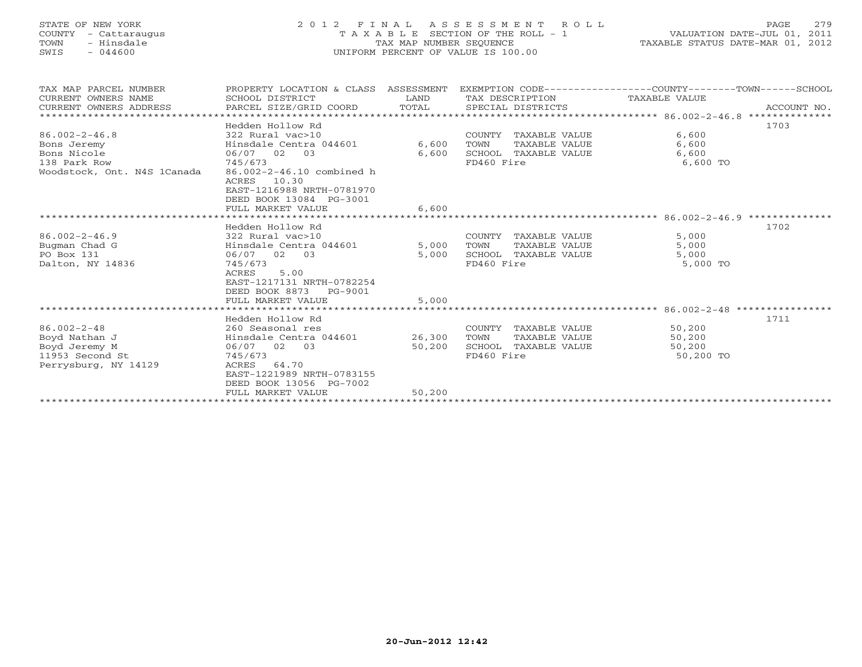# STATE OF NEW YORK 2 0 1 2 F I N A L A S S E S S M E N T R O L L PAGE 279 COUNTY - Cattaraugus T A X A B L E SECTION OF THE ROLL - 1 VALUATION DATE-JUL 01, 2011 TOWN - Hinsdale TAX MAP NUMBER SEQUENCE TAXABLE STATUS DATE-MAR 01, 2012 SWIS - 044600 UNIFORM PERCENT OF VALUE IS 100.00UNIFORM PERCENT OF VALUE IS 100.00

| TAX MAP PARCEL NUMBER<br>CURRENT OWNERS NAME | PROPERTY LOCATION & CLASS ASSESSMENT<br>SCHOOL DISTRICT        | LAND   | TAX DESCRIPTION       | EXEMPTION CODE-----------------COUNTY-------TOWN------SCHOOL<br>TAXABLE VALUE |             |
|----------------------------------------------|----------------------------------------------------------------|--------|-----------------------|-------------------------------------------------------------------------------|-------------|
| CURRENT OWNERS ADDRESS                       | PARCEL SIZE/GRID COORD                                         | TOTAL  | SPECIAL DISTRICTS     |                                                                               | ACCOUNT NO. |
|                                              |                                                                |        |                       |                                                                               |             |
|                                              | Hedden Hollow Rd                                               |        |                       |                                                                               | 1703        |
| $86.002 - 2 - 46.8$                          | 322 Rural vac>10                                               |        | COUNTY TAXABLE VALUE  | 6,600                                                                         |             |
| Bons Jeremy                                  | Hinsdale Centra 044601                                         | 6,600  | TAXABLE VALUE<br>TOWN | 6,600                                                                         |             |
| Bons Nicole                                  | 06/07 02 03                                                    | 6,600  | SCHOOL TAXABLE VALUE  | 6,600                                                                         |             |
| 138 Park Row                                 | 745/673                                                        |        | FD460 Fire            | 6,600 TO                                                                      |             |
| Woodstock, Ont. N4S 1Canada                  | 86.002-2-46.10 combined h                                      |        |                       |                                                                               |             |
|                                              | 10.30<br>ACRES                                                 |        |                       |                                                                               |             |
|                                              | EAST-1216988 NRTH-0781970                                      |        |                       |                                                                               |             |
|                                              | DEED BOOK 13084 PG-3001                                        |        |                       |                                                                               |             |
|                                              | FULL MARKET VALUE                                              | 6,600  |                       |                                                                               |             |
|                                              |                                                                |        |                       |                                                                               |             |
|                                              | Hedden Hollow Rd                                               |        |                       |                                                                               | 1702        |
| $86.002 - 2 - 46.9$                          | 322 Rural vac>10<br>322 Rural vac>10<br>Hinsdale Centra 044601 |        | COUNTY TAXABLE VALUE  | 5,000                                                                         |             |
| Bugman Chad G                                |                                                                | 5,000  | TAXABLE VALUE<br>TOWN | 5,000                                                                         |             |
| PO Box 131                                   | 06/07 02 03                                                    | 5,000  | SCHOOL TAXABLE VALUE  | 5,000                                                                         |             |
| Dalton, NY 14836                             | 745/673                                                        |        | FD460 Fire            | 5,000 TO                                                                      |             |
|                                              | 5.00<br>ACRES                                                  |        |                       |                                                                               |             |
|                                              | EAST-1217131 NRTH-0782254                                      |        |                       |                                                                               |             |
|                                              | DEED BOOK 8873<br>PG-9001                                      |        |                       |                                                                               |             |
|                                              | FULL MARKET VALUE                                              | 5,000  |                       |                                                                               |             |
|                                              |                                                                |        |                       |                                                                               |             |
|                                              | Hedden Hollow Rd                                               |        |                       |                                                                               | 1711        |
| $86.002 - 2 - 48$                            | 260 Seasonal res                                               |        | COUNTY TAXABLE VALUE  | 50,200                                                                        |             |
| Boyd Nathan J                                | Hinsdale Centra 044601                                         | 26,300 | TAXABLE VALUE<br>TOWN | 50,200                                                                        |             |
| Boyd Jeremy M                                | 06/07 02 03                                                    | 50,200 | SCHOOL TAXABLE VALUE  | 50,200                                                                        |             |
| 11953 Second St                              | 745/673                                                        |        | FD460 Fire            | 50,200 TO                                                                     |             |
| Perrysburg, NY 14129                         | 64.70<br>ACRES                                                 |        |                       |                                                                               |             |
|                                              | EAST-1221989 NRTH-0783155                                      |        |                       |                                                                               |             |
|                                              | DEED BOOK 13056 PG-7002                                        |        |                       |                                                                               |             |
|                                              | FULL MARKET VALUE                                              | 50,200 |                       |                                                                               |             |
|                                              |                                                                |        |                       |                                                                               |             |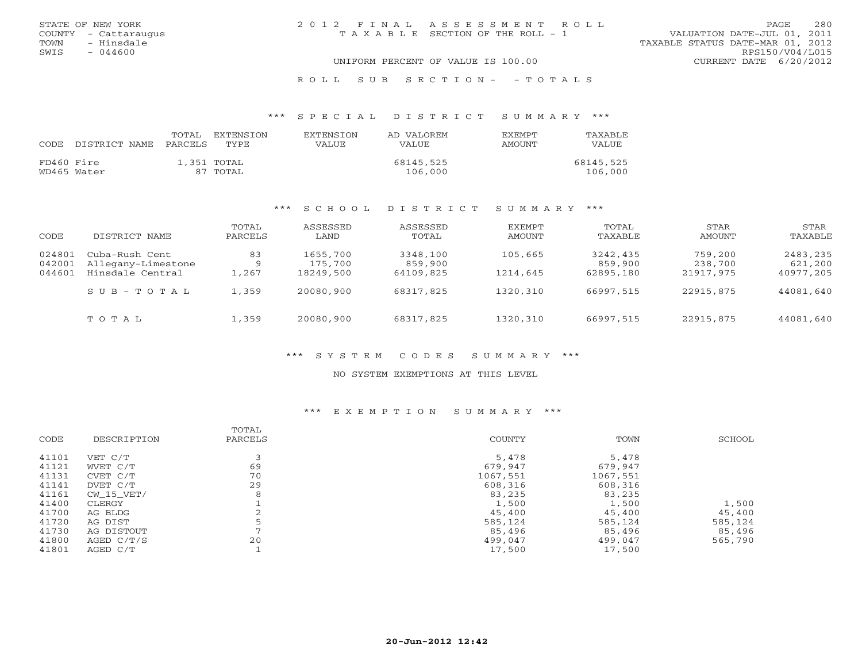| STATE OF NEW YORK                  |  | 2012 FINAL ASSESSMENT ROLL            |                        |                                  | <b>PAGE</b>     | 280 |
|------------------------------------|--|---------------------------------------|------------------------|----------------------------------|-----------------|-----|
| COUNTY - Cattaraugus               |  | T A X A B L E SECTION OF THE ROLL - 1 |                        | VALUATION DATE-JUL 01, 2011      |                 |     |
| - Hinsdale<br>TOWN                 |  |                                       |                        | TAXABLE STATUS DATE-MAR 01, 2012 |                 |     |
| SWIS<br>$-044600$                  |  |                                       |                        |                                  | RPS150/V04/L015 |     |
| UNIFORM PERCENT OF VALUE IS 100.00 |  |                                       | CURRENT DATE 6/20/2012 |                                  |                 |     |
|                                    |  |                                       |                        |                                  |                 |     |

### R O L L S U B S E C T I O N - - T O T A L S

### \*\*\* S P E C I A L D I S T R I C T S U M M A R Y \*\*\*

| CODE       | DISTRICT NAME | TOTAL<br>PARCELS | EXTENSTON<br>TYPE.      | <b>EXTENSION</b><br>VALUE | AD VALOREM<br><b>VALUE</b> | <b>EXEMPT</b><br><b>AMOUNT</b> | TAXABLE<br>VALUE     |
|------------|---------------|------------------|-------------------------|---------------------------|----------------------------|--------------------------------|----------------------|
| FD460 Fire | WD465 Water   |                  | 1,351 TOTAL<br>87 TOTAL |                           | 68145,525<br>106,000       |                                | 68145,525<br>106,000 |

### \*\*\* S C H O O L D I S T R I C T S U M M A R Y \*\*\*

| CODE                       | DISTRICT NAME                                            | TOTAL<br>PARCELS        | ASSESSED<br>LAND                 | ASSESSED<br>TOTAL                | EXEMPT<br>AMOUNT    | TOTAL<br>TAXABLE                 | STAR<br>AMOUNT                  | STAR<br>TAXABLE                  |
|----------------------------|----------------------------------------------------------|-------------------------|----------------------------------|----------------------------------|---------------------|----------------------------------|---------------------------------|----------------------------------|
| 024801<br>042001<br>044601 | Cuba-Rush Cent<br>Allegany-Limestone<br>Hinsdale Central | 83<br>-9<br>$\pm$ , 267 | 1655,700<br>175,700<br>18249,500 | 3348,100<br>859,900<br>64109,825 | 105,665<br>1214,645 | 3242,435<br>859,900<br>62895,180 | 759,200<br>238,700<br>21917,975 | 2483,235<br>621,200<br>40977,205 |
|                            | $S \cup B - T \cup T A L$                                | 1,359                   | 20080,900                        | 68317,825                        | 1320,310            | 66997,515                        | 22915,875                       | 44081,640                        |
|                            | TOTAL                                                    | 1,359                   | 20080,900                        | 68317,825                        | 1320,310            | 66997,515                        | 22915,875                       | 44081,640                        |

### \*\*\* S Y S T E M C O D E S S U M M A R Y \*\*\*

#### NO SYSTEM EXEMPTIONS AT THIS LEVEL

### \*\*\* E X E M P T I O N S U M M A R Y \*\*\*

| DESCRIPTION | PARCELS        | <b>COUNTY</b> | TOWN     | SCHOOL  |
|-------------|----------------|---------------|----------|---------|
| VET C/T     |                | 5,478         | 5,478    |         |
| WVET C/T    | 69             | 679,947       | 679,947  |         |
| CVET C/T    | 70             | 1067,551      | 1067,551 |         |
| DVET C/T    | 29             | 608,316       | 608,316  |         |
| CW 15 VET/  | 8              | 83,235        | 83,235   |         |
| CLERGY      |                | 1,500         | 1,500    | 1,500   |
| AG BLDG     |                | 45,400        | 45,400   | 45,400  |
| AG DIST     |                | 585,124       | 585,124  | 585,124 |
| AG DISTOUT  | $\overline{ }$ | 85,496        | 85,496   | 85,496  |
| AGED C/T/S  | 20             | 499,047       | 499,047  | 565,790 |
| AGED C/T    |                | 17,500        | 17,500   |         |
|             |                |               |          | TOTAL   |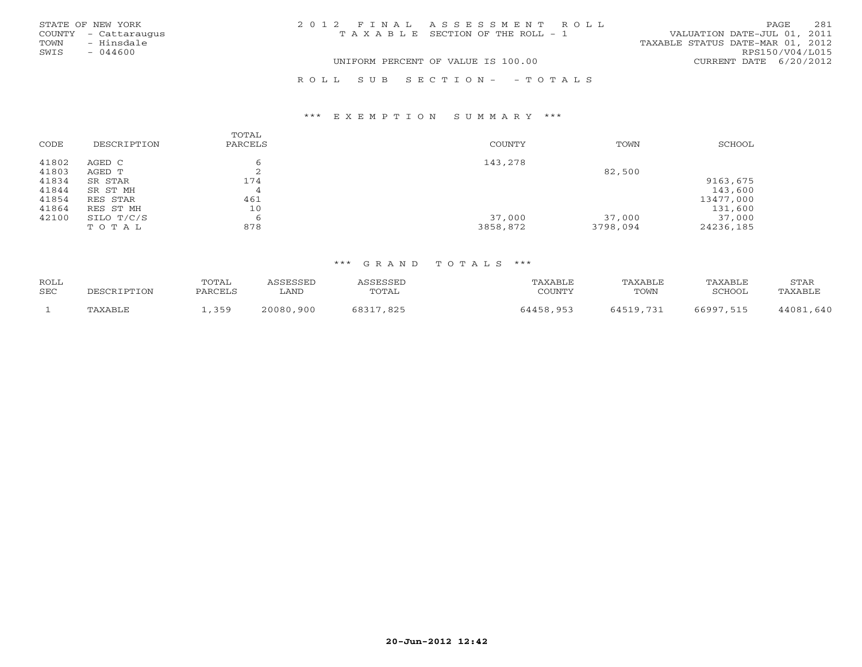|      | STATE OF NEW YORK    | 2012 FINAL ASSESSMENT ROLL            |                                  | PAGE            | 281 |
|------|----------------------|---------------------------------------|----------------------------------|-----------------|-----|
|      | COUNTY - Cattaraugus | T A X A B L E SECTION OF THE ROLL - 1 | VALUATION DATE-JUL 01, 2011      |                 |     |
| TOWN | - Hinsdale           |                                       | TAXABLE STATUS DATE-MAR 01, 2012 |                 |     |
| SWIS | $-044600$            |                                       |                                  | RPS150/V04/L015 |     |
|      |                      | UNIFORM PERCENT OF VALUE IS 100.00    | CURRENT DATE 6/20/2012           |                 |     |
|      |                      |                                       |                                  |                 |     |

### \*\*\* E X E M P T I O N S U M M A R Y \*\*\*

| CODE  | DESCRIPTION | TOTAL<br>PARCELS | COUNTY   | TOWN     | SCHOOL    |
|-------|-------------|------------------|----------|----------|-----------|
| 41802 | AGED C      |                  | 143,278  |          |           |
| 41803 | AGED T      | ∠                |          | 82,500   |           |
| 41834 | SR STAR     | 174              |          |          | 9163,675  |
| 41844 | SR ST MH    | 4                |          |          | 143,600   |
| 41854 | RES STAR    | 461              |          |          | 13477,000 |
| 41864 | RES ST MH   | 10               |          |          | 131,600   |
| 42100 | SILO T/C/S  | O                | 37,000   | 37,000   | 37,000    |
|       | TOTAL       | 878              | 3858,872 | 3798,094 | 24236,185 |

R O L L S U B S E C T I O N - - T O T A L S

## \*\*\* G R A N D T O T A L S \*\*\*

| <b>ROLL</b><br>SEC | DESCRIPTION | <b>TOTAL</b><br>PARCELS | CCFCCFD<br>LAND | <b>TOTAL</b>  | TAXABLE<br>COUNTY | TAXABLE<br>TOWN | TAXABLE<br>SCHOOL | STAR<br><b>FAXABI</b> J |
|--------------------|-------------|-------------------------|-----------------|---------------|-------------------|-----------------|-------------------|-------------------------|
|                    | TAXARI.E    | 350<br>---              | 20080,900       | 68317<br>,825 | 64458.953         | 64519.731       | 66997<br>515      | 44081<br>, 640          |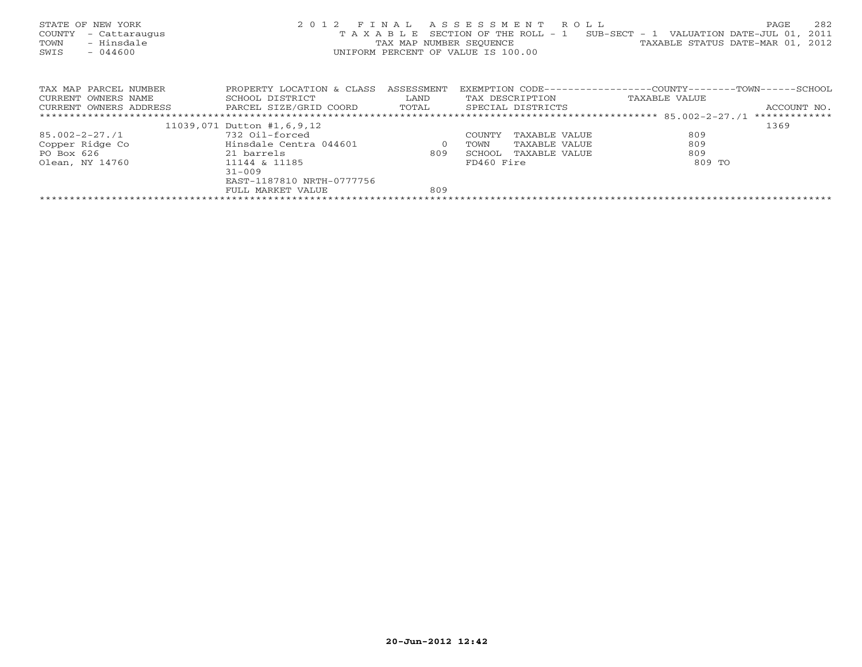| STATE OF NEW YORK<br>COUNTY<br>- Cattaraugus<br>- Hinsdale<br>TOWN<br>$-044600$<br>SWIS |                                                |                | 2012 FINAL ASSESSMENT ROLL<br>UNIFORM PERCENT OF VALUE IS 100.00 | 282<br>PAGE<br>T A X A B L E SECTION OF THE ROLL - 1 SUB-SECT - 1 VALUATION DATE-JUL 01, 2011<br>TAX MAP NUMBER SEQUENCE TAN TAXABLE STATUS DATE-MAR 01, 2012 |
|-----------------------------------------------------------------------------------------|------------------------------------------------|----------------|------------------------------------------------------------------|---------------------------------------------------------------------------------------------------------------------------------------------------------------|
| TAX MAP PARCEL NUMBER                                                                   | PROPERTY LOCATION & CLASS ASSESSMENT           |                |                                                                  | EXEMPTION CODE-----------------COUNTY-------TOWN------SCHOOL                                                                                                  |
| CURRENT OWNERS NAME                                                                     | SCHOOL DISTRICT                                | LAND           | TAX DESCRIPTION                                                  | TAXABLE VALUE                                                                                                                                                 |
| CURRENT OWNERS ADDRESS                                                                  | PARCEL SIZE/GRID COORD TOTAL SPECIAL DISTRICTS |                |                                                                  | ACCOUNT NO.                                                                                                                                                   |
|                                                                                         |                                                |                |                                                                  |                                                                                                                                                               |
|                                                                                         | 11039,071 Dutton #1,6,9,12                     |                |                                                                  | 1369                                                                                                                                                          |
| 85.002-2-27./1                                                                          | 732 Oil-forced                                 |                | COUNTY<br>TAXABLE VALUE                                          | 809                                                                                                                                                           |
| Copper Ridge Co                                                                         | Hinsdale Centra 044601                         | $\overline{0}$ | TAXABLE VALUE<br>TOWN                                            | 809                                                                                                                                                           |
| PO Box 626                                                                              | 21 barrels                                     | 809            | SCHOOL<br>TAXABLE VALUE                                          | 809                                                                                                                                                           |
| Olean, NY 14760                                                                         | 11144 & 11185                                  |                | FD460 Fire                                                       | 809 TO                                                                                                                                                        |
|                                                                                         | $31 - 009$                                     |                |                                                                  |                                                                                                                                                               |
|                                                                                         | EAST-1187810 NRTH-0777756                      |                |                                                                  |                                                                                                                                                               |
|                                                                                         | FULL MARKET VALUE                              | 809            |                                                                  |                                                                                                                                                               |
|                                                                                         |                                                |                |                                                                  |                                                                                                                                                               |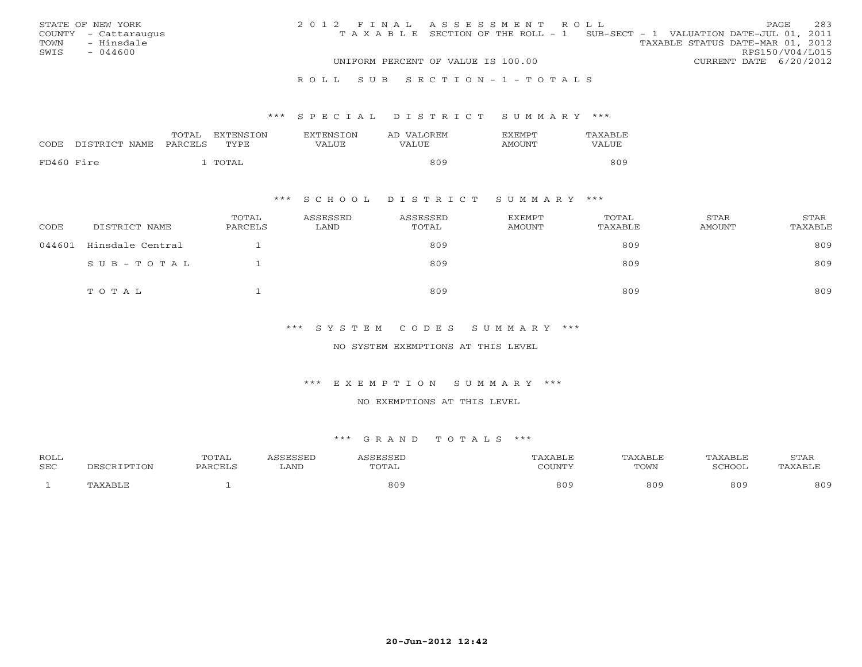|      | STATE OF NEW YORK    | 2012 FINAL ASSESSMENT ROLL |                                                                                |                                  |                        | PAGE. | 283 |
|------|----------------------|----------------------------|--------------------------------------------------------------------------------|----------------------------------|------------------------|-------|-----|
|      | COUNTY - Cattaraugus |                            | T A X A B L E SECTION OF THE ROLL - 1 SUB-SECT - 1 VALUATION DATE-JUL 01, 2011 |                                  |                        |       |     |
| TOWN | - Hinsdale           |                            |                                                                                | TAXABLE STATUS DATE-MAR 01, 2012 |                        |       |     |
| SWIS | $-044600$            |                            |                                                                                |                                  | RPS150/V04/L015        |       |     |
|      |                      |                            | UNIFORM PERCENT OF VALUE IS 100.00                                             |                                  | CURRENT DATE 6/20/2012 |       |     |
|      |                      |                            |                                                                                |                                  |                        |       |     |

#### R O L L S U B S E C T I O N - 1 - T O T A L S

### \*\*\* S P E C I A L D I S T R I C T S U M M A R Y \*\*\*

|            | CODE DISTRICT NAME PARCELS | TOTAL | EXTENSION<br>TYPE | <b>EXTENSION</b><br>VALUE | AD VALOREM<br>VALUE | <b>EXEMPT</b><br><b>AMOUNT</b> | TAXABLE<br>VALUE |
|------------|----------------------------|-------|-------------------|---------------------------|---------------------|--------------------------------|------------------|
| FD460 Fire |                            |       | TOTAL             |                           | 809                 |                                | 809              |

## \*\*\* S C H O O L D I S T R I C T S U M M A R Y \*\*\*

| CODE   | DISTRICT NAME    | TOTAL<br>PARCELS | ASSESSED<br>LAND | ASSESSED<br>TOTAL | EXEMPT<br>AMOUNT | TOTAL<br>TAXABLE | STAR<br>AMOUNT | <b>STAR</b><br>TAXABLE |
|--------|------------------|------------------|------------------|-------------------|------------------|------------------|----------------|------------------------|
| 044601 | Hinsdale Central |                  |                  | 809               |                  | 809              |                | 809                    |
|        | SUB-TOTAL        |                  |                  | 809               |                  | 809              |                | 809                    |
|        | TOTAL            |                  |                  | 809               |                  | 809              |                | 809                    |

## \*\*\* S Y S T E M C O D E S S U M M A R Y \*\*\*

### NO SYSTEM EXEMPTIONS AT THIS LEVEL

### \*\*\* E X E M P T I O N S U M M A R Y \*\*\*

#### NO EXEMPTIONS AT THIS LEVEL

#### \*\*\* G R A N D T O T A L S \*\*\*

| <b>ROLL</b> |             | TOTAL   | <b>COFCOFT</b> | SSESSEL | <b>TAXABLF</b> | <b>TAXABLE</b> | TAXABLE | <b>STAR</b>     |
|-------------|-------------|---------|----------------|---------|----------------|----------------|---------|-----------------|
| <b>SEC</b>  | DESCRIPTION | PARCELS | LAND           | TOTAL   | COUNTY         | TOWN           | SCHOOL  | <b>TAXABL.</b>  |
|             | "AXABLE     |         |                | 809     | 809            | 809            | 809     | 80 <sup>c</sup> |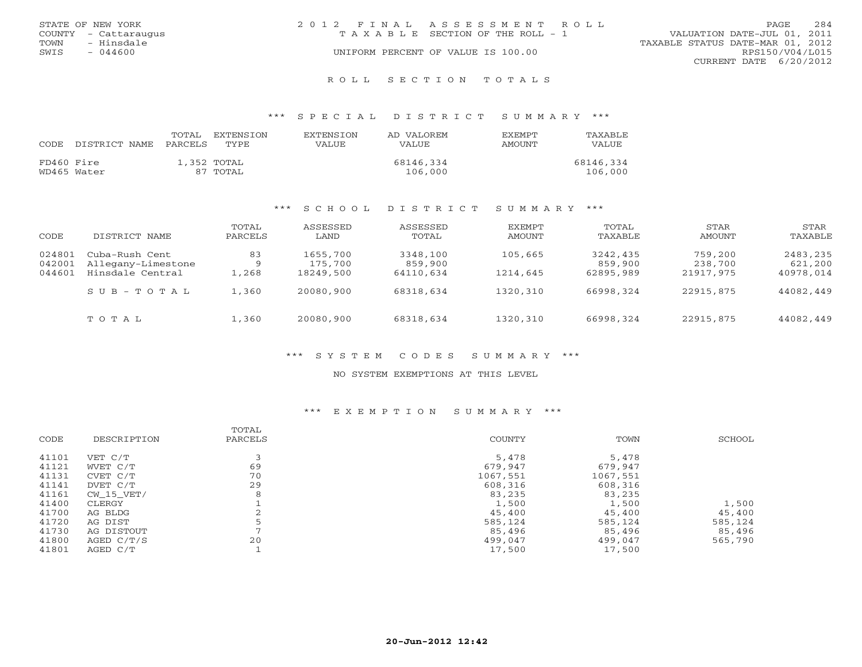| STATE OF NEW YORK |                      | 2012 FINAL ASSESSMENT ROLL            |                                  | <b>PAGE</b>            | 284 |
|-------------------|----------------------|---------------------------------------|----------------------------------|------------------------|-----|
|                   | COUNTY - Cattaraugus | T A X A B L E SECTION OF THE ROLL - 1 | VALUATION DATE-JUL 01, 2011      |                        |     |
| TOWN              | - Hinsdale           |                                       | TAXABLE STATUS DATE-MAR 01, 2012 |                        |     |
| SWIS              | - 044600             | UNIFORM PERCENT OF VALUE IS 100.00    |                                  | RPS150/V04/L015        |     |
|                   |                      |                                       |                                  | CURRENT DATE 6/20/2012 |     |
|                   |                      |                                       |                                  |                        |     |

#### R O L L S E C T I O N T O T A L S

### \*\*\* S P E C I A L D I S T R I C T S U M M A R Y \*\*\*

|            |               | TOTAL   | EXTENSTON     | <b>EXTENSION</b> | AD VALOREM | <b>FXFMPT</b> | TAXABLE   |
|------------|---------------|---------|---------------|------------------|------------|---------------|-----------|
| CODE       | DISTRICT NAME | PARCELS | <b>TYPE</b>   | VALUE            | VALUE      | <b>AMOUNT</b> | VALUE     |
| FD460 Fire |               |         | $1.352$ TOTAL |                  | 68146,334  |               | 68146,334 |
|            | WD465 Water   |         | 87 TOTAL      |                  | 106,000    |               | 106,000   |

### \*\*\* S C H O O L D I S T R I C T S U M M A R Y \*\*\*

| CODE                       | DISTRICT NAME                                            | TOTAL<br>PARCELS        | ASSESSED<br>LAND                 | ASSESSED<br>TOTAL                | EXEMPT<br>AMOUNT     | TOTAL<br>TAXABLE                 | STAR<br>AMOUNT                  | STAR<br>TAXABLE                  |
|----------------------------|----------------------------------------------------------|-------------------------|----------------------------------|----------------------------------|----------------------|----------------------------------|---------------------------------|----------------------------------|
| 024801<br>042001<br>044601 | Cuba-Rush Cent<br>Allegany-Limestone<br>Hinsdale Central | 83<br>-9<br>$\pm$ , 268 | 1655,700<br>175,700<br>18249,500 | 3348,100<br>859,900<br>64110,634 | 105,665<br>1214,645  | 3242,435<br>859,900<br>62895,989 | 759,200<br>238,700<br>21917,975 | 2483,235<br>621,200<br>40978,014 |
|                            | $S$ U B - T O T A L<br>TOTAL                             | 1,360<br>.,360          | 20080,900<br>20080,900           | 68318,634<br>68318,634           | 1320,310<br>1320,310 | 66998,324<br>66998,324           | 22915,875<br>22915,875          | 44082,449<br>44082,449           |

### \*\*\* S Y S T E M C O D E S S U M M A R Y \*\*\*

#### NO SYSTEM EXEMPTIONS AT THIS LEVEL

### \*\*\* E X E M P T I O N S U M M A R Y \*\*\*

| TOWN<br>COUNTY<br>CODE<br>DESCRIPTION<br>PARCELS | SCHOOL  |
|--------------------------------------------------|---------|
| 41101<br>5,478<br>VET C/T<br>5,478               |         |
| 69<br>41121<br>679,947<br>679,947<br>WVET C/T    |         |
| 70<br>41131<br>1067,551<br>1067,551<br>CVET C/T  |         |
| 29<br>41141<br>608,316<br>608,316<br>DVET C/T    |         |
| 41161<br>83,235<br>8<br>83,235<br>CW 15 VET/     |         |
| 41400<br>1,500<br>1,500<br>CLERGY                | 1,500   |
| 41700<br>45,400<br>45,400<br>AG BLDG             | 45,400  |
| 41720<br>585,124<br>585,124<br>AG DIST           | 585,124 |
| 41730<br>85,496<br>85,496<br>AG DISTOUT          | 85,496  |
| 20<br>41800<br>499,047<br>499,047<br>AGED C/T/S  | 565,790 |
| 41801<br>17,500<br>17,500<br>AGED C/T            |         |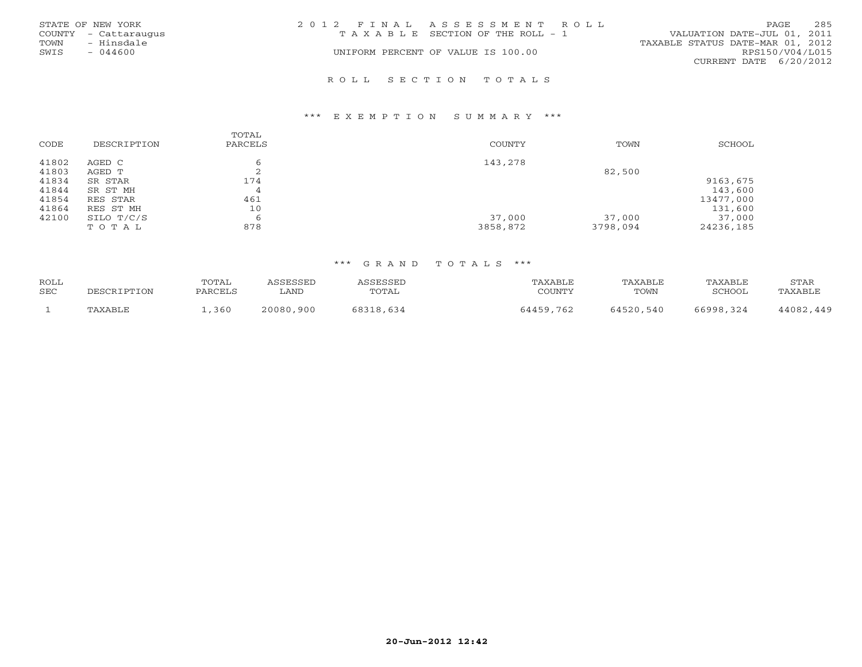|      | STATE OF NEW YORK    | 2012 FINAL ASSESSMENT ROLL |                                       |                                  | PAGE            | 285 |
|------|----------------------|----------------------------|---------------------------------------|----------------------------------|-----------------|-----|
|      | COUNTY - Cattaraugus |                            | T A X A B L E SECTION OF THE ROLL - 1 | VALUATION DATE-JUL 01, 2011      |                 |     |
| TOWN | - Hinsdale           |                            |                                       | TAXABLE STATUS DATE-MAR 01, 2012 |                 |     |
| SWIS | $-044600$            |                            | UNIFORM PERCENT OF VALUE IS 100.00    |                                  | RPS150/V04/L015 |     |
|      |                      |                            |                                       | CURRENT DATE 6/20/2012           |                 |     |
|      |                      |                            |                                       |                                  |                 |     |

#### R O L L S E C T I O N T O T A L S

#### \*\*\* E X E M P T I O N S U M M A R Y \*\*\*

| CODE  | DESCRIPTION | TOTAL<br>PARCELS | <b>COUNTY</b> | TOWN     | SCHOOL    |
|-------|-------------|------------------|---------------|----------|-----------|
| 41802 | AGED C      | 6                | 143,278       |          |           |
| 41803 | AGED T      | ∠                |               | 82,500   |           |
| 41834 | SR STAR     | 174              |               |          | 9163,675  |
| 41844 | SR ST MH    | $\overline{4}$   |               |          | 143,600   |
| 41854 | RES STAR    | 461              |               |          | 13477,000 |
| 41864 | RES ST MH   | 10               |               |          | 131,600   |
| 42100 | SILO T/C/S  | 6                | 37,000        | 37,000   | 37,000    |
|       | TOTAL       | 878              | 3858,872      | 3798,094 | 24236,185 |

## \*\*\* G R A N D T O T A L S \*\*\*

| ROLL |             | TOTAL   | <b>\SSESSED</b> | ASSESSED  | TAXABLE   | TAXABLE   | TAXABLE   | STAR      |
|------|-------------|---------|-----------------|-----------|-----------|-----------|-----------|-----------|
| SEC  | DESCRIPTION | PARCELS | LAND            | TOTAL     | COUNTY    | TOWN      | SCHOOL    | TAXABLE   |
|      | TAXABLE     |         | 20080,900       |           | 64459,762 | 64520,540 | 66998,324 | 44082,449 |
|      |             | ,360    |                 | 68318,634 |           |           |           |           |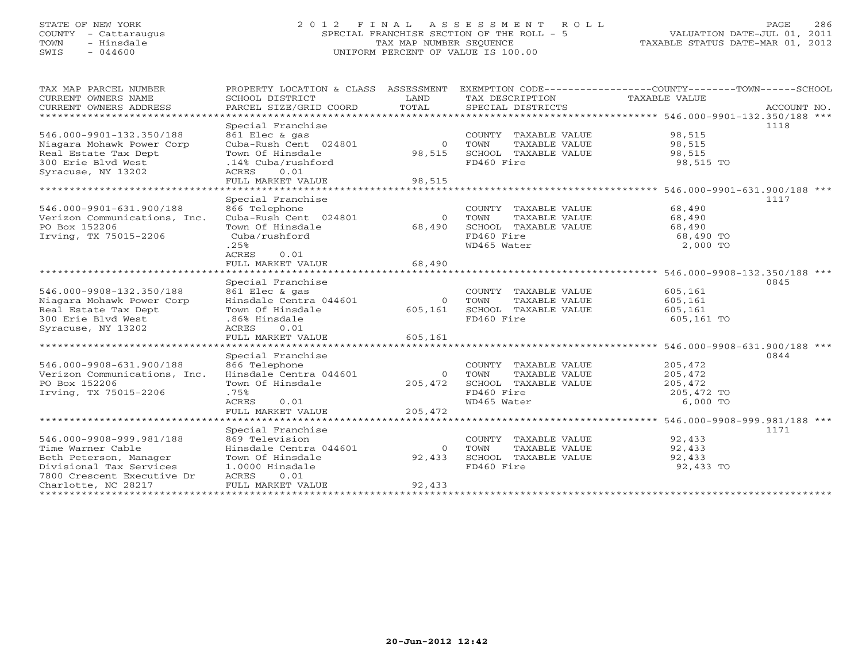# STATE OF NEW YORK 2 0 1 2 F I N A L A S S E S S M E N T R O L L PAGE 286 COUNTY - Cattaraugus SPECIAL FRANCHISE SECTION OF THE ROLL - 5 VALUATION DATE-JUL 01, 2011 TOWN - Hinsdale TAX MAP NUMBER SEQUENCE TAXABLE STATUS DATE-MAR 01, 2012 SWIS - 044600 UNIFORM PERCENT OF VALUE IS 100.00UNIFORM PERCENT OF VALUE IS 100.00

| TAX MAP PARCEL NUMBER             | PROPERTY LOCATION & CLASS               |                | ASSESSMENT EXEMPTION CODE-----------------COUNTY-------TOWN------SCHOOL |                                                        |             |
|-----------------------------------|-----------------------------------------|----------------|-------------------------------------------------------------------------|--------------------------------------------------------|-------------|
| CURRENT OWNERS NAME               | SCHOOL DISTRICT                         | LAND           | TAX DESCRIPTION                                                         | TAXABLE VALUE                                          |             |
| CURRENT OWNERS ADDRESS            | PARCEL SIZE/GRID COORD                  | TOTAL          | SPECIAL DISTRICTS                                                       |                                                        | ACCOUNT NO. |
| ********************************* |                                         |                |                                                                         |                                                        |             |
|                                   | Special Franchise                       |                |                                                                         |                                                        | 1118        |
| 546.000-9901-132.350/188          | 861 Elec & gas                          |                | COUNTY TAXABLE VALUE                                                    | 98,515                                                 |             |
| Niagara Mohawk Power Corp         | Cuba-Rush Cent 024801                   | $\overline{0}$ | TOWN<br>TAXABLE VALUE                                                   | 98,515                                                 |             |
| Real Estate Tax Dept              | Town Of Hinsdale                        | 98,515         | SCHOOL TAXABLE VALUE                                                    | 98,515                                                 |             |
| 300 Erie Blvd West                | .14% Cuba/rushford                      |                | FD460 Fire                                                              | 98,515 TO                                              |             |
| Syracuse, NY 13202                | 0.01<br>ACRES                           |                |                                                                         |                                                        |             |
|                                   | FULL MARKET VALUE<br>****************** | 98,515         |                                                                         |                                                        |             |
|                                   |                                         |                |                                                                         | ******************** 546.000-9901-631.900/188 ***      |             |
|                                   | Special Franchise                       |                |                                                                         |                                                        | 1117        |
| 546.000-9901-631.900/188          | 866 Telephone                           |                | COUNTY TAXABLE VALUE                                                    | 68,490                                                 |             |
| Verizon Communications, Inc.      | Cuba-Rush Cent 024801                   | $\Omega$       | TOWN<br>TAXABLE VALUE                                                   | 68,490                                                 |             |
| PO Box 152206                     | Town Of Hinsdale                        | 68,490         | SCHOOL TAXABLE VALUE                                                    | 68,490                                                 |             |
| Irving, TX 75015-2206             | Cuba/rushford                           |                | FD460 Fire                                                              | 68,490 TO                                              |             |
|                                   | .25%                                    |                | WD465 Water                                                             | 2,000 TO                                               |             |
|                                   | ACRES<br>0.01<br>FULL MARKET VALUE      | 68,490         |                                                                         |                                                        |             |
|                                   |                                         |                |                                                                         |                                                        |             |
|                                   | Special Franchise                       |                |                                                                         |                                                        | 0845        |
| 546.000-9908-132.350/188          | 861 Elec & gas                          |                | COUNTY TAXABLE VALUE                                                    | 605,161                                                |             |
| Niagara Mohawk Power Corp         | Hinsdale Centra 044601                  | $\Omega$       | TOWN<br>TAXABLE VALUE                                                   | 605,161                                                |             |
| Real Estate Tax Dept              | Town Of Hinsdale                        | 605,161        | SCHOOL TAXABLE VALUE                                                    | 605,161                                                |             |
| 300 Erie Blvd West                | .86% Hinsdale                           |                | FD460 Fire                                                              | 605,161 TO                                             |             |
| Syracuse, NY 13202                | 0.01<br>ACRES                           |                |                                                                         |                                                        |             |
|                                   | FULL MARKET VALUE                       | 605,161        |                                                                         |                                                        |             |
|                                   |                                         |                |                                                                         |                                                        |             |
|                                   | Special Franchise                       |                |                                                                         |                                                        | 0844        |
| 546.000-9908-631.900/188          | 866 Telephone                           |                | COUNTY TAXABLE VALUE                                                    | 205,472                                                |             |
| Verizon Communications, Inc.      | Hinsdale Centra 044601                  | $\circ$        | TOWN<br>TAXABLE VALUE                                                   | 205,472                                                |             |
| PO Box 152206                     | Town Of Hinsdale                        | 205,472        | SCHOOL TAXABLE VALUE                                                    | 205,472                                                |             |
| Irving, TX 75015-2206             | .75%                                    |                | FD460 Fire                                                              | 205,472 TO                                             |             |
|                                   | ACRES<br>0.01                           |                | WD465 Water                                                             | 6,000 TO                                               |             |
|                                   | FULL MARKET VALUE                       | 205,472        |                                                                         |                                                        |             |
|                                   | ******************                      |                |                                                                         | ************************* 546.000-9908-999.981/188 *** |             |
|                                   | Special Franchise                       |                |                                                                         |                                                        | 1171        |
| 546.000-9908-999.981/188          | 869 Television                          |                | COUNTY TAXABLE VALUE                                                    | 92,433                                                 |             |
| Time Warner Cable                 | Hinsdale Centra 044601                  | $\Omega$       | TOWN<br>TAXABLE VALUE                                                   | 92,433                                                 |             |
| Beth Peterson, Manager            | Town Of Hinsdale                        | 92,433         | SCHOOL TAXABLE VALUE                                                    | 92,433                                                 |             |
| Divisional Tax Services           | 1.0000 Hinsdale                         |                | FD460 Fire                                                              | 92,433 TO                                              |             |
| 7800 Crescent Executive Dr        | ACRES<br>0.01                           |                |                                                                         |                                                        |             |
| Charlotte, NC 28217               | FULL MARKET VALUE                       | 92,433         |                                                                         |                                                        |             |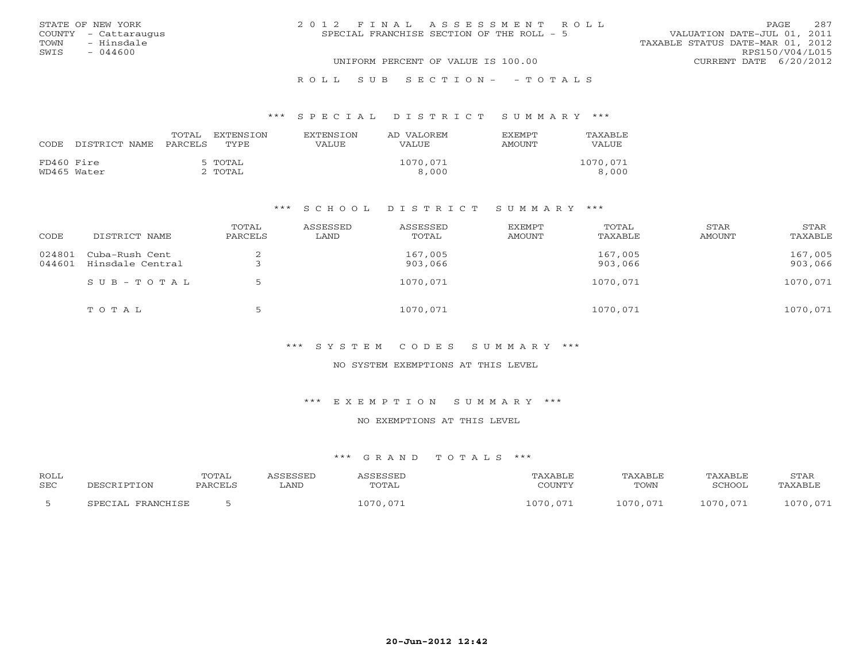|      | STATE OF NEW YORK    | 2012 FINAL ASSESSMENT ROLL                                               | PAGE.           | 287 |
|------|----------------------|--------------------------------------------------------------------------|-----------------|-----|
|      | COUNTY - Cattaraugus | VALUATION DATE-JUL 01, 2011<br>SPECIAL FRANCHISE SECTION OF THE ROLL - 5 |                 |     |
| TOWN | - Hinsdale           | TAXABLE STATUS DATE-MAR 01, 2012                                         |                 |     |
| SWIS | $-044600$            |                                                                          | RPS150/V04/L015 |     |
|      |                      | UNIFORM PERCENT OF VALUE IS 100.00<br>CURRENT DATE 6/20/2012             |                 |     |
|      |                      |                                                                          |                 |     |

### R O L L S U B S E C T I O N - - T O T A L S

### \*\*\* S P E C I A L D I S T R I C T S U M M A R Y \*\*\*

| CODE       | DISTRICT NAME | TOTAL<br>PARCELS | EXTENSTON<br>TYPE  | <b>EXTENSION</b><br>VALUE | AD VALOREM<br>VALUE. | <b>EXEMPT</b><br>AMOUNT | TAXABLE<br>VALUE  |
|------------|---------------|------------------|--------------------|---------------------------|----------------------|-------------------------|-------------------|
| FD460 Fire | WD465 Water   |                  | 5 TOTAL<br>2 ТОТАL |                           | 1070,071<br>8,000    |                         | 1070,071<br>8,000 |

### \*\*\* S C H O O L D I S T R I C T S U M M A R Y \*\*\*

| CODE             | DISTRICT NAME                      | TOTAL<br>PARCELS | ASSESSED<br>LAND | ASSESSED<br>TOTAL  | EXEMPT<br>AMOUNT | TOTAL<br>TAXABLE   | STAR<br>AMOUNT | STAR<br>TAXABLE    |
|------------------|------------------------------------|------------------|------------------|--------------------|------------------|--------------------|----------------|--------------------|
| 024801<br>044601 | Cuba-Rush Cent<br>Hinsdale Central |                  |                  | 167,005<br>903,066 |                  | 167,005<br>903,066 |                | 167,005<br>903,066 |
|                  | SUB-TOTAL                          |                  |                  | 1070,071           |                  | 1070,071           |                | 1070,071           |
|                  | TOTAL                              | 5                |                  | 1070,071           |                  | 1070,071           |                | 1070,071           |

### \*\*\* S Y S T E M C O D E S S U M M A R Y \*\*\*

### NO SYSTEM EXEMPTIONS AT THIS LEVEL

### \*\*\* E X E M P T I O N S U M M A R Y \*\*\*

### NO EXEMPTIONS AT THIS LEVEL

## \*\*\* G R A N D T O T A L S \*\*\*

| <b>ROLL</b><br><b>SEC</b> | DESCRIPTION       | TOTAL<br>PARCELS | <i><b>\SSESSED</b></i><br>∟AND | ASSESSED<br>TOTAL | TAXABLE<br>COUNTY | TAXABLE<br>TOWN | TAXABLE<br>SCHOOL | STAR<br>TAXABLE        |
|---------------------------|-------------------|------------------|--------------------------------|-------------------|-------------------|-----------------|-------------------|------------------------|
|                           | SPECIAL FRANCHISE |                  |                                | 1070.071          | 1070,071          | 1070 071        | 1070,071          | 070 071<br><u>v.v.</u> |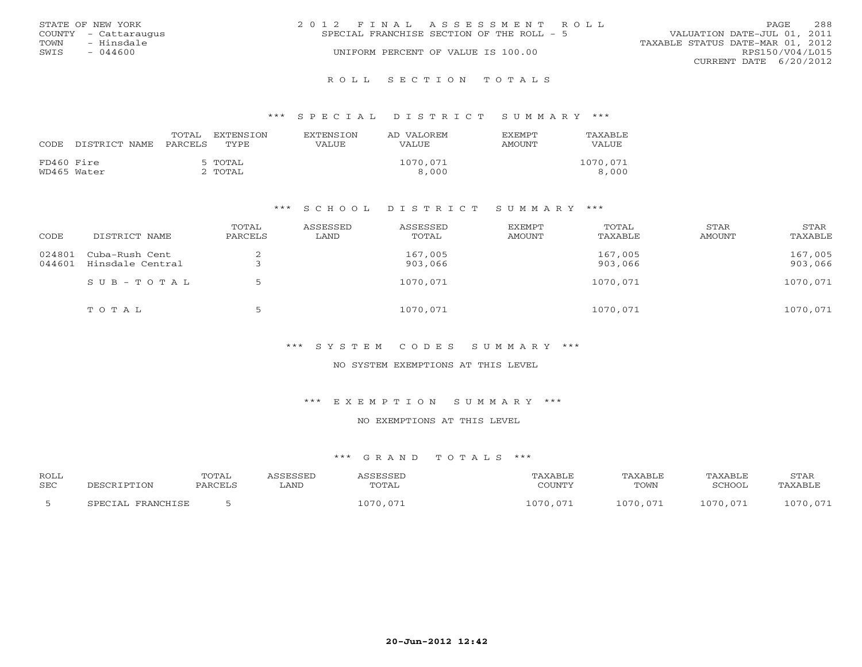| STATE OF NEW YORK    | 2012 FINAL ASSESSMENT ROLL<br>PAGE.                                      | 288 |
|----------------------|--------------------------------------------------------------------------|-----|
| COUNTY - Cattaraugus | VALUATION DATE-JUL 01, 2011<br>SPECIAL FRANCHISE SECTION OF THE ROLL - 5 |     |
| - Hinsdale<br>TOWN   | TAXABLE STATUS DATE-MAR 01, 2012                                         |     |
| SWIS<br>$-044600$    | UNIFORM PERCENT OF VALUE IS 100.00<br>RPS150/V04/L015                    |     |
|                      | CURRENT DATE 6/20/2012                                                   |     |
|                      |                                                                          |     |

R O L L S E C T I O N T O T A L S

### \*\*\* S P E C I A L D I S T R I C T S U M M A R Y \*\*\*

| CODE       | DISTRICT NAME | TOTAL<br>PARCELS | EXTENSTON<br>TYPE. | <b>EXTENSION</b><br>VALUE | AD VALOREM<br>VALUE. | <b>F.X F.M PT</b><br>AMOUNT | TAXABLE<br>VALUE  |
|------------|---------------|------------------|--------------------|---------------------------|----------------------|-----------------------------|-------------------|
| FD460 Fire | WD465 Water   |                  | 5 TOTAL<br>2 TOTAL |                           | 1070,071<br>8,000    |                             | 1070,071<br>8,000 |

### \*\*\* S C H O O L D I S T R I C T S U M M A R Y \*\*\*

| CODE             | DISTRICT NAME                      | TOTAL<br>PARCELS | ASSESSED<br>LAND | ASSESSED<br>TOTAL  | EXEMPT<br>AMOUNT | TOTAL<br>TAXABLE   | STAR<br>AMOUNT | STAR<br>TAXABLE    |
|------------------|------------------------------------|------------------|------------------|--------------------|------------------|--------------------|----------------|--------------------|
| 024801<br>044601 | Cuba-Rush Cent<br>Hinsdale Central | ∠                |                  | 167,005<br>903,066 |                  | 167,005<br>903,066 |                | 167,005<br>903,066 |
|                  | SUB-TOTAL                          |                  |                  | 1070,071           |                  | 1070,071           |                | 1070,071           |
|                  | TOTAL                              | 5                |                  | 1070,071           |                  | 1070,071           |                | 1070,071           |

### \*\*\* S Y S T E M C O D E S S U M M A R Y \*\*\*

### NO SYSTEM EXEMPTIONS AT THIS LEVEL

### \*\*\* E X E M P T I O N S U M M A R Y \*\*\*

### NO EXEMPTIONS AT THIS LEVEL

## \*\*\* G R A N D T O T A L S \*\*\*

| <b>ROLL</b><br><b>SEC</b> | DESCRIPTION       | TOTAL<br>PARCELS | <i><b>\SSESSED</b></i><br>LAND | ASSESSED<br>TOTAL | TAXABLE<br>COUNTY | TAXABLE<br>TOWN | TAXABLE<br>SCHOOL | STAR<br>TAXABLE |
|---------------------------|-------------------|------------------|--------------------------------|-------------------|-------------------|-----------------|-------------------|-----------------|
|                           | SPECIAL FRANCHISE |                  |                                | 1070.071          | LO70.071          | 1070,071        | 1070.071          | 1070,071        |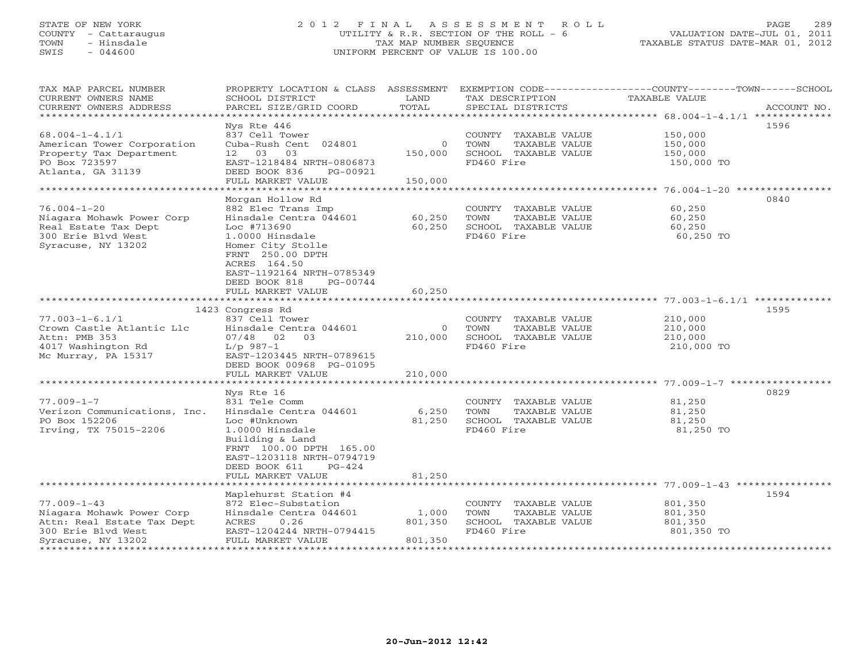# STATE OF NEW YORK 2 0 1 2 F I N A L A S S E S S M E N T R O L L PAGE 289 COUNTY - Cattaraugus UTILITY & R.R. SECTION OF THE ROLL - 6 VALUATION DATE-JUL 01, 2011 TOWN - Hinsdale TAX MAP NUMBER SEQUENCE TAXABLE STATUS DATE-MAR 01, 2012 SWIS - 044600 UNIFORM PERCENT OF VALUE IS 100.00UNIFORM PERCENT OF VALUE IS 100.00

| TAX MAP PARCEL NUMBER<br>CURRENT OWNERS NAME             | SCHOOL DISTRICT                          | LAND             | TAX DESCRIPTION                               | PROPERTY LOCATION & CLASS ASSESSMENT EXEMPTION CODE----------------COUNTY-------TOWN------SCHOOL<br>TAXABLE VALUE |
|----------------------------------------------------------|------------------------------------------|------------------|-----------------------------------------------|-------------------------------------------------------------------------------------------------------------------|
| CURRENT OWNERS ADDRESS<br>****************************** | PARCEL SIZE/GRID COORD                   | TOTAL            | SPECIAL DISTRICTS                             | ACCOUNT NO.                                                                                                       |
|                                                          | Nys Rte 446                              |                  |                                               | 1596                                                                                                              |
| $68.004 - 1 - 4.1/1$                                     | 837 Cell Tower                           |                  | COUNTY TAXABLE VALUE                          | 150,000                                                                                                           |
| American Tower Corporation                               | Cuba-Rush Cent 024801                    | $\Omega$         | TOWN<br>TAXABLE VALUE                         | 150,000                                                                                                           |
| Property Tax Department                                  | 03<br>12 03                              | 150,000          | SCHOOL TAXABLE VALUE                          | 150,000                                                                                                           |
| PO Box 723597                                            | EAST-1218484 NRTH-0806873                |                  | FD460 Fire                                    | 150,000 TO                                                                                                        |
| Atlanta, GA 31139                                        | DEED BOOK 836<br>PG-00921                |                  |                                               |                                                                                                                   |
|                                                          | FULL MARKET VALUE                        | 150,000          |                                               |                                                                                                                   |
|                                                          |                                          |                  |                                               |                                                                                                                   |
|                                                          | Morgan Hollow Rd                         |                  |                                               | 0840                                                                                                              |
| $76.004 - 1 - 20$                                        | 882 Elec Trans Imp                       |                  | COUNTY TAXABLE VALUE                          | 60,250                                                                                                            |
| Niagara Mohawk Power Corp<br>Real Estate Tax Dept        | Hinsdale Centra 044601<br>Loc #713690    | 60,250<br>60,250 | TOWN<br>TAXABLE VALUE<br>SCHOOL TAXABLE VALUE | 60,250                                                                                                            |
| 300 Erie Blyd West                                       | 1.0000 Hinsdale                          |                  | FD460 Fire                                    | 60,250<br>60,250 TO                                                                                               |
| Syracuse, NY 13202                                       | Homer City Stolle                        |                  |                                               |                                                                                                                   |
|                                                          | FRNT 250.00 DPTH                         |                  |                                               |                                                                                                                   |
|                                                          | ACRES 164.50                             |                  |                                               |                                                                                                                   |
|                                                          | EAST-1192164 NRTH-0785349                |                  |                                               |                                                                                                                   |
|                                                          | DEED BOOK 818<br>PG-00744                |                  |                                               |                                                                                                                   |
|                                                          | FULL MARKET VALUE                        | 60,250           |                                               |                                                                                                                   |
|                                                          |                                          |                  |                                               |                                                                                                                   |
|                                                          | 1423 Congress Rd                         |                  |                                               | 1595                                                                                                              |
| $77.003 - 1 - 6.1/1$<br>Crown Castle Atlantic Llc        | 837 Cell Tower<br>Hinsdale Centra 044601 | $\circ$          | COUNTY TAXABLE VALUE<br>TOWN<br>TAXABLE VALUE | 210,000<br>210,000                                                                                                |
| Attn: PMB 353                                            | $07/48$ 02<br>0 <sub>3</sub>             | 210,000          | SCHOOL TAXABLE VALUE                          | 210,000                                                                                                           |
| 4017 Washington Rd                                       | $L/p$ 987-1                              |                  | FD460 Fire                                    | 210,000 TO                                                                                                        |
| Mc Murray, PA 15317                                      | EAST-1203445 NRTH-0789615                |                  |                                               |                                                                                                                   |
|                                                          | DEED BOOK 00968 PG-01095                 |                  |                                               |                                                                                                                   |
|                                                          | FULL MARKET VALUE                        | 210,000          |                                               |                                                                                                                   |
|                                                          |                                          |                  |                                               |                                                                                                                   |
|                                                          | Nys Rte 16                               |                  |                                               | 0829                                                                                                              |
| $77.009 - 1 - 7$                                         | 831 Tele Comm                            |                  | COUNTY TAXABLE VALUE                          | 81,250                                                                                                            |
| Verizon Communications, Inc.<br>PO Box 152206            | Hinsdale Centra 044601<br>Loc #Unknown   | 6,250            | TOWN<br>TAXABLE VALUE                         | 81,250                                                                                                            |
| Irving, TX 75015-2206                                    | 1.0000 Hinsdale                          | 81,250           | SCHOOL TAXABLE VALUE<br>FD460 Fire            | 81,250<br>81,250 TO                                                                                               |
|                                                          | Building & Land                          |                  |                                               |                                                                                                                   |
|                                                          | FRNT 100.00 DPTH 165.00                  |                  |                                               |                                                                                                                   |
|                                                          | EAST-1203118 NRTH-0794719                |                  |                                               |                                                                                                                   |
|                                                          | DEED BOOK 611<br>$PG-424$                |                  |                                               |                                                                                                                   |
|                                                          | FULL MARKET VALUE                        | 81,250           |                                               |                                                                                                                   |
|                                                          |                                          |                  |                                               |                                                                                                                   |
|                                                          | Maplehurst Station #4                    |                  |                                               | 1594                                                                                                              |
| $77.009 - 1 - 43$                                        | 872 Elec-Substation                      |                  | COUNTY TAXABLE VALUE                          | 801,350                                                                                                           |
| Niagara Mohawk Power Corp<br>Attn: Real Estate Tax Dept  | Hinsdale Centra 044601<br>ACRES<br>0.26  | 1,000<br>801,350 | TOWN<br>TAXABLE VALUE<br>SCHOOL TAXABLE VALUE | 801,350<br>801,350                                                                                                |
| 300 Erie Blvd West                                       | EAST-1204244 NRTH-0794415                |                  | FD460 Fire                                    | 801,350 TO                                                                                                        |
| Syracuse, NY 13202                                       | FULL MARKET VALUE                        | 801,350          |                                               |                                                                                                                   |
|                                                          |                                          |                  |                                               |                                                                                                                   |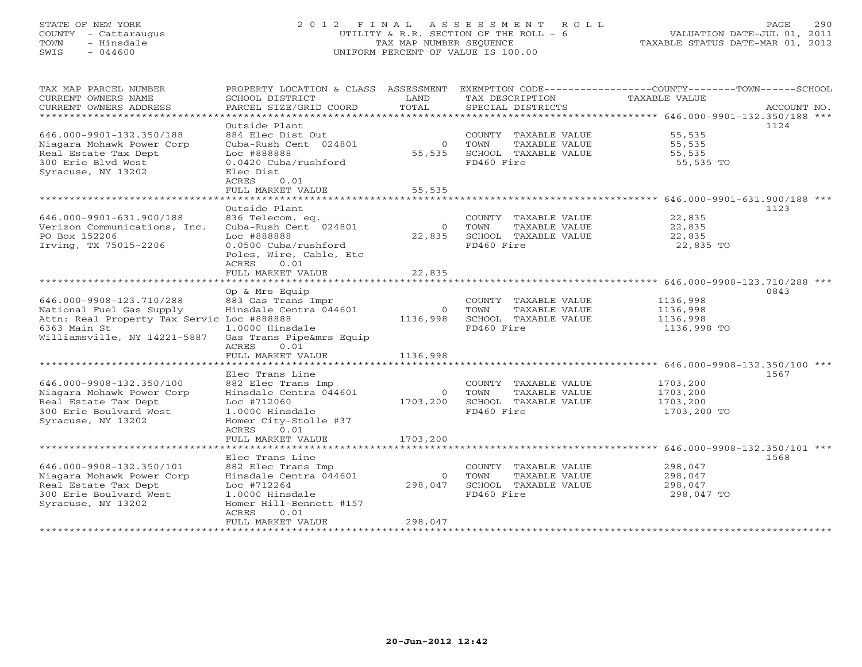# STATE OF NEW YORK 2 0 1 2 F I N A L A S S E S S M E N T R O L L PAGE 290 COUNTY - Cattaraugus UTILITY & R.R. SECTION OF THE ROLL - 6 VALUATION DATE-JUL 01, 2011 TOWN - Hinsdale TAX MAP NUMBER SEQUENCE TAX<br>
SWIS - 044600 TAXABLE SEQUENCE TAXABLE SEQUENCE TAXABLE STATUS DATE-MAR ON TAXABLE SEQUENCE TAXABLE SEQUENCE SWIS - 044600 UNIFORM PERCENT OF VALUE IS 100.00

|                                  | VALUAIIUN DAIE-UUL VI, ZUII |  |  |
|----------------------------------|-----------------------------|--|--|
| TAXABLE STATUS DATE-MAR 01, 2012 |                             |  |  |

| *************************<br>Outside Plant<br>1124<br>646.000-9901-132.350/188<br>884 Elec Dist Out<br>55,535<br>COUNTY TAXABLE VALUE<br>Niagara Mohawk Power Corp<br>Cuba-Rush Cent 024801<br>$\overline{0}$<br>TOWN<br>TAXABLE VALUE<br>55,535<br>Real Estate Tax Dept<br>Loc #888888<br>55,535<br>SCHOOL TAXABLE VALUE<br>55,535<br>FD460 Fire<br>300 Erie Blvd West<br>0.0420 Cuba/rushford<br>55,535 TO<br>Syracuse, NY 13202<br>Elec Dist<br>0.01<br>ACRES<br>55,535<br>FULL MARKET VALUE<br>Outside Plant<br>1123<br>646.000-9901-631.900/188<br>22,835<br>836 Telecom. eq.<br>COUNTY TAXABLE VALUE<br>Verizon Communications, Inc.<br>Cuba-Rush Cent 024801<br>$\overline{0}$<br>TOWN<br>TAXABLE VALUE<br>22,835<br>PO Box 152206<br>Loc #888888<br>22,835<br>SCHOOL TAXABLE VALUE<br>22,835<br>FD460 Fire<br>Irving, TX 75015-2206<br>0.0500 Cuba/rushford<br>22,835 TO<br>Poles, Wire, Cable, Etc<br>ACRES<br>0.01<br>22,835<br>FULL MARKET VALUE<br>*************<br>0843<br>Op & Mrs Equip<br>883 Gas Trans Impr<br>646.000-9908-123.710/288<br>COUNTY TAXABLE VALUE<br>1136,998<br>National Fuel Gas Supply<br>Hinsdale Centra 044601<br>TOWN<br>TAXABLE VALUE<br>1136,998<br>$\overline{0}$<br>Attn: Real Property Tax Servic Loc #888888<br>1136,998<br>SCHOOL TAXABLE VALUE<br>1136,998<br>6363 Main St<br>FD460 Fire<br>1.0000 Hinsdale<br>1136,998 TO<br>Williamsville, NY 14221-5887<br>Gas Trans Pipe&mrs Equip<br>0.01<br>ACRES<br>FULL MARKET VALUE<br>1136,998<br>Elec Trans Line<br>1567<br>646.000-9908-132.350/100<br>882 Elec Trans Imp<br>COUNTY TAXABLE VALUE<br>1703,200<br>Hinsdale Centra 044601<br>TAXABLE VALUE<br>Niagara Mohawk Power Corp<br>$\circ$<br>TOWN<br>1703,200<br>Real Estate Tax Dept<br>Loc #712060<br>1703,200<br>SCHOOL TAXABLE VALUE<br>1703,200<br>FD460 Fire<br>300 Erie Boulvard West<br>1.0000 Hinsdale<br>1703,200 TO<br>Homer City-Stolle #37<br>Syracuse, NY 13202<br>0.01<br>ACRES<br>1703,200<br>FULL MARKET VALUE<br>Elec Trans Line<br>1568<br>646.000-9908-132.350/101<br>882 Elec Trans Imp<br>COUNTY TAXABLE VALUE<br>298,047<br>Niagara Mohawk Power Corp<br>Hinsdale Centra 044601<br>TAXABLE VALUE<br>298,047<br>$\circ$<br>TOWN<br>Real Estate Tax Dept<br>Loc #712264<br>298,047<br>SCHOOL TAXABLE VALUE<br>298,047<br>FD460 Fire<br>300 Erie Boulvard West<br>1.0000 Hinsdale<br>298,047 TO<br>Syracuse, NY 13202<br>Homer Hill-Bennett #157<br>0.01<br><b>ACRES</b><br>298,047<br>FULL MARKET VALUE<br>***************** | TAX MAP PARCEL NUMBER<br>CURRENT OWNERS NAME<br>CURRENT OWNERS ADDRESS | PROPERTY LOCATION & CLASS ASSESSMENT<br>SCHOOL DISTRICT<br>PARCEL SIZE/GRID COORD | LAND<br>TOTAL | TAX DESCRIPTION<br>SPECIAL DISTRICTS | EXEMPTION CODE-----------------COUNTY-------TOWN------SCHOOL<br><b>TAXABLE VALUE</b> | ACCOUNT NO. |
|---------------------------------------------------------------------------------------------------------------------------------------------------------------------------------------------------------------------------------------------------------------------------------------------------------------------------------------------------------------------------------------------------------------------------------------------------------------------------------------------------------------------------------------------------------------------------------------------------------------------------------------------------------------------------------------------------------------------------------------------------------------------------------------------------------------------------------------------------------------------------------------------------------------------------------------------------------------------------------------------------------------------------------------------------------------------------------------------------------------------------------------------------------------------------------------------------------------------------------------------------------------------------------------------------------------------------------------------------------------------------------------------------------------------------------------------------------------------------------------------------------------------------------------------------------------------------------------------------------------------------------------------------------------------------------------------------------------------------------------------------------------------------------------------------------------------------------------------------------------------------------------------------------------------------------------------------------------------------------------------------------------------------------------------------------------------------------------------------------------------------------------------------------------------------------------------------------------------------------------------------------------------------------------------------------------------------------------------------------------------------------------------------------------------------------------------------------------------------------------------------|------------------------------------------------------------------------|-----------------------------------------------------------------------------------|---------------|--------------------------------------|--------------------------------------------------------------------------------------|-------------|
|                                                                                                                                                                                                                                                                                                                                                                                                                                                                                                                                                                                                                                                                                                                                                                                                                                                                                                                                                                                                                                                                                                                                                                                                                                                                                                                                                                                                                                                                                                                                                                                                                                                                                                                                                                                                                                                                                                                                                                                                                                                                                                                                                                                                                                                                                                                                                                                                                                                                                                   |                                                                        |                                                                                   |               |                                      |                                                                                      |             |
|                                                                                                                                                                                                                                                                                                                                                                                                                                                                                                                                                                                                                                                                                                                                                                                                                                                                                                                                                                                                                                                                                                                                                                                                                                                                                                                                                                                                                                                                                                                                                                                                                                                                                                                                                                                                                                                                                                                                                                                                                                                                                                                                                                                                                                                                                                                                                                                                                                                                                                   |                                                                        |                                                                                   |               |                                      |                                                                                      |             |
|                                                                                                                                                                                                                                                                                                                                                                                                                                                                                                                                                                                                                                                                                                                                                                                                                                                                                                                                                                                                                                                                                                                                                                                                                                                                                                                                                                                                                                                                                                                                                                                                                                                                                                                                                                                                                                                                                                                                                                                                                                                                                                                                                                                                                                                                                                                                                                                                                                                                                                   |                                                                        |                                                                                   |               |                                      |                                                                                      |             |
|                                                                                                                                                                                                                                                                                                                                                                                                                                                                                                                                                                                                                                                                                                                                                                                                                                                                                                                                                                                                                                                                                                                                                                                                                                                                                                                                                                                                                                                                                                                                                                                                                                                                                                                                                                                                                                                                                                                                                                                                                                                                                                                                                                                                                                                                                                                                                                                                                                                                                                   |                                                                        |                                                                                   |               |                                      |                                                                                      |             |
|                                                                                                                                                                                                                                                                                                                                                                                                                                                                                                                                                                                                                                                                                                                                                                                                                                                                                                                                                                                                                                                                                                                                                                                                                                                                                                                                                                                                                                                                                                                                                                                                                                                                                                                                                                                                                                                                                                                                                                                                                                                                                                                                                                                                                                                                                                                                                                                                                                                                                                   |                                                                        |                                                                                   |               |                                      |                                                                                      |             |
|                                                                                                                                                                                                                                                                                                                                                                                                                                                                                                                                                                                                                                                                                                                                                                                                                                                                                                                                                                                                                                                                                                                                                                                                                                                                                                                                                                                                                                                                                                                                                                                                                                                                                                                                                                                                                                                                                                                                                                                                                                                                                                                                                                                                                                                                                                                                                                                                                                                                                                   |                                                                        |                                                                                   |               |                                      |                                                                                      |             |
|                                                                                                                                                                                                                                                                                                                                                                                                                                                                                                                                                                                                                                                                                                                                                                                                                                                                                                                                                                                                                                                                                                                                                                                                                                                                                                                                                                                                                                                                                                                                                                                                                                                                                                                                                                                                                                                                                                                                                                                                                                                                                                                                                                                                                                                                                                                                                                                                                                                                                                   |                                                                        |                                                                                   |               |                                      |                                                                                      |             |
|                                                                                                                                                                                                                                                                                                                                                                                                                                                                                                                                                                                                                                                                                                                                                                                                                                                                                                                                                                                                                                                                                                                                                                                                                                                                                                                                                                                                                                                                                                                                                                                                                                                                                                                                                                                                                                                                                                                                                                                                                                                                                                                                                                                                                                                                                                                                                                                                                                                                                                   |                                                                        |                                                                                   |               |                                      |                                                                                      |             |
|                                                                                                                                                                                                                                                                                                                                                                                                                                                                                                                                                                                                                                                                                                                                                                                                                                                                                                                                                                                                                                                                                                                                                                                                                                                                                                                                                                                                                                                                                                                                                                                                                                                                                                                                                                                                                                                                                                                                                                                                                                                                                                                                                                                                                                                                                                                                                                                                                                                                                                   |                                                                        |                                                                                   |               |                                      |                                                                                      |             |
|                                                                                                                                                                                                                                                                                                                                                                                                                                                                                                                                                                                                                                                                                                                                                                                                                                                                                                                                                                                                                                                                                                                                                                                                                                                                                                                                                                                                                                                                                                                                                                                                                                                                                                                                                                                                                                                                                                                                                                                                                                                                                                                                                                                                                                                                                                                                                                                                                                                                                                   |                                                                        |                                                                                   |               |                                      |                                                                                      |             |
|                                                                                                                                                                                                                                                                                                                                                                                                                                                                                                                                                                                                                                                                                                                                                                                                                                                                                                                                                                                                                                                                                                                                                                                                                                                                                                                                                                                                                                                                                                                                                                                                                                                                                                                                                                                                                                                                                                                                                                                                                                                                                                                                                                                                                                                                                                                                                                                                                                                                                                   |                                                                        |                                                                                   |               |                                      |                                                                                      |             |
|                                                                                                                                                                                                                                                                                                                                                                                                                                                                                                                                                                                                                                                                                                                                                                                                                                                                                                                                                                                                                                                                                                                                                                                                                                                                                                                                                                                                                                                                                                                                                                                                                                                                                                                                                                                                                                                                                                                                                                                                                                                                                                                                                                                                                                                                                                                                                                                                                                                                                                   |                                                                        |                                                                                   |               |                                      |                                                                                      |             |
|                                                                                                                                                                                                                                                                                                                                                                                                                                                                                                                                                                                                                                                                                                                                                                                                                                                                                                                                                                                                                                                                                                                                                                                                                                                                                                                                                                                                                                                                                                                                                                                                                                                                                                                                                                                                                                                                                                                                                                                                                                                                                                                                                                                                                                                                                                                                                                                                                                                                                                   |                                                                        |                                                                                   |               |                                      |                                                                                      |             |
|                                                                                                                                                                                                                                                                                                                                                                                                                                                                                                                                                                                                                                                                                                                                                                                                                                                                                                                                                                                                                                                                                                                                                                                                                                                                                                                                                                                                                                                                                                                                                                                                                                                                                                                                                                                                                                                                                                                                                                                                                                                                                                                                                                                                                                                                                                                                                                                                                                                                                                   |                                                                        |                                                                                   |               |                                      |                                                                                      |             |
|                                                                                                                                                                                                                                                                                                                                                                                                                                                                                                                                                                                                                                                                                                                                                                                                                                                                                                                                                                                                                                                                                                                                                                                                                                                                                                                                                                                                                                                                                                                                                                                                                                                                                                                                                                                                                                                                                                                                                                                                                                                                                                                                                                                                                                                                                                                                                                                                                                                                                                   |                                                                        |                                                                                   |               |                                      |                                                                                      |             |
|                                                                                                                                                                                                                                                                                                                                                                                                                                                                                                                                                                                                                                                                                                                                                                                                                                                                                                                                                                                                                                                                                                                                                                                                                                                                                                                                                                                                                                                                                                                                                                                                                                                                                                                                                                                                                                                                                                                                                                                                                                                                                                                                                                                                                                                                                                                                                                                                                                                                                                   |                                                                        |                                                                                   |               |                                      |                                                                                      |             |
|                                                                                                                                                                                                                                                                                                                                                                                                                                                                                                                                                                                                                                                                                                                                                                                                                                                                                                                                                                                                                                                                                                                                                                                                                                                                                                                                                                                                                                                                                                                                                                                                                                                                                                                                                                                                                                                                                                                                                                                                                                                                                                                                                                                                                                                                                                                                                                                                                                                                                                   |                                                                        |                                                                                   |               |                                      |                                                                                      |             |
|                                                                                                                                                                                                                                                                                                                                                                                                                                                                                                                                                                                                                                                                                                                                                                                                                                                                                                                                                                                                                                                                                                                                                                                                                                                                                                                                                                                                                                                                                                                                                                                                                                                                                                                                                                                                                                                                                                                                                                                                                                                                                                                                                                                                                                                                                                                                                                                                                                                                                                   |                                                                        |                                                                                   |               |                                      |                                                                                      |             |
|                                                                                                                                                                                                                                                                                                                                                                                                                                                                                                                                                                                                                                                                                                                                                                                                                                                                                                                                                                                                                                                                                                                                                                                                                                                                                                                                                                                                                                                                                                                                                                                                                                                                                                                                                                                                                                                                                                                                                                                                                                                                                                                                                                                                                                                                                                                                                                                                                                                                                                   |                                                                        |                                                                                   |               |                                      |                                                                                      |             |
|                                                                                                                                                                                                                                                                                                                                                                                                                                                                                                                                                                                                                                                                                                                                                                                                                                                                                                                                                                                                                                                                                                                                                                                                                                                                                                                                                                                                                                                                                                                                                                                                                                                                                                                                                                                                                                                                                                                                                                                                                                                                                                                                                                                                                                                                                                                                                                                                                                                                                                   |                                                                        |                                                                                   |               |                                      |                                                                                      |             |
|                                                                                                                                                                                                                                                                                                                                                                                                                                                                                                                                                                                                                                                                                                                                                                                                                                                                                                                                                                                                                                                                                                                                                                                                                                                                                                                                                                                                                                                                                                                                                                                                                                                                                                                                                                                                                                                                                                                                                                                                                                                                                                                                                                                                                                                                                                                                                                                                                                                                                                   |                                                                        |                                                                                   |               |                                      |                                                                                      |             |
|                                                                                                                                                                                                                                                                                                                                                                                                                                                                                                                                                                                                                                                                                                                                                                                                                                                                                                                                                                                                                                                                                                                                                                                                                                                                                                                                                                                                                                                                                                                                                                                                                                                                                                                                                                                                                                                                                                                                                                                                                                                                                                                                                                                                                                                                                                                                                                                                                                                                                                   |                                                                        |                                                                                   |               |                                      |                                                                                      |             |
|                                                                                                                                                                                                                                                                                                                                                                                                                                                                                                                                                                                                                                                                                                                                                                                                                                                                                                                                                                                                                                                                                                                                                                                                                                                                                                                                                                                                                                                                                                                                                                                                                                                                                                                                                                                                                                                                                                                                                                                                                                                                                                                                                                                                                                                                                                                                                                                                                                                                                                   |                                                                        |                                                                                   |               |                                      |                                                                                      |             |
|                                                                                                                                                                                                                                                                                                                                                                                                                                                                                                                                                                                                                                                                                                                                                                                                                                                                                                                                                                                                                                                                                                                                                                                                                                                                                                                                                                                                                                                                                                                                                                                                                                                                                                                                                                                                                                                                                                                                                                                                                                                                                                                                                                                                                                                                                                                                                                                                                                                                                                   |                                                                        |                                                                                   |               |                                      |                                                                                      |             |
|                                                                                                                                                                                                                                                                                                                                                                                                                                                                                                                                                                                                                                                                                                                                                                                                                                                                                                                                                                                                                                                                                                                                                                                                                                                                                                                                                                                                                                                                                                                                                                                                                                                                                                                                                                                                                                                                                                                                                                                                                                                                                                                                                                                                                                                                                                                                                                                                                                                                                                   |                                                                        |                                                                                   |               |                                      |                                                                                      |             |
|                                                                                                                                                                                                                                                                                                                                                                                                                                                                                                                                                                                                                                                                                                                                                                                                                                                                                                                                                                                                                                                                                                                                                                                                                                                                                                                                                                                                                                                                                                                                                                                                                                                                                                                                                                                                                                                                                                                                                                                                                                                                                                                                                                                                                                                                                                                                                                                                                                                                                                   |                                                                        |                                                                                   |               |                                      |                                                                                      |             |
|                                                                                                                                                                                                                                                                                                                                                                                                                                                                                                                                                                                                                                                                                                                                                                                                                                                                                                                                                                                                                                                                                                                                                                                                                                                                                                                                                                                                                                                                                                                                                                                                                                                                                                                                                                                                                                                                                                                                                                                                                                                                                                                                                                                                                                                                                                                                                                                                                                                                                                   |                                                                        |                                                                                   |               |                                      |                                                                                      |             |
|                                                                                                                                                                                                                                                                                                                                                                                                                                                                                                                                                                                                                                                                                                                                                                                                                                                                                                                                                                                                                                                                                                                                                                                                                                                                                                                                                                                                                                                                                                                                                                                                                                                                                                                                                                                                                                                                                                                                                                                                                                                                                                                                                                                                                                                                                                                                                                                                                                                                                                   |                                                                        |                                                                                   |               |                                      |                                                                                      |             |
|                                                                                                                                                                                                                                                                                                                                                                                                                                                                                                                                                                                                                                                                                                                                                                                                                                                                                                                                                                                                                                                                                                                                                                                                                                                                                                                                                                                                                                                                                                                                                                                                                                                                                                                                                                                                                                                                                                                                                                                                                                                                                                                                                                                                                                                                                                                                                                                                                                                                                                   |                                                                        |                                                                                   |               |                                      |                                                                                      |             |
|                                                                                                                                                                                                                                                                                                                                                                                                                                                                                                                                                                                                                                                                                                                                                                                                                                                                                                                                                                                                                                                                                                                                                                                                                                                                                                                                                                                                                                                                                                                                                                                                                                                                                                                                                                                                                                                                                                                                                                                                                                                                                                                                                                                                                                                                                                                                                                                                                                                                                                   |                                                                        |                                                                                   |               |                                      |                                                                                      |             |
|                                                                                                                                                                                                                                                                                                                                                                                                                                                                                                                                                                                                                                                                                                                                                                                                                                                                                                                                                                                                                                                                                                                                                                                                                                                                                                                                                                                                                                                                                                                                                                                                                                                                                                                                                                                                                                                                                                                                                                                                                                                                                                                                                                                                                                                                                                                                                                                                                                                                                                   |                                                                        |                                                                                   |               |                                      |                                                                                      |             |
|                                                                                                                                                                                                                                                                                                                                                                                                                                                                                                                                                                                                                                                                                                                                                                                                                                                                                                                                                                                                                                                                                                                                                                                                                                                                                                                                                                                                                                                                                                                                                                                                                                                                                                                                                                                                                                                                                                                                                                                                                                                                                                                                                                                                                                                                                                                                                                                                                                                                                                   |                                                                        |                                                                                   |               |                                      |                                                                                      |             |
|                                                                                                                                                                                                                                                                                                                                                                                                                                                                                                                                                                                                                                                                                                                                                                                                                                                                                                                                                                                                                                                                                                                                                                                                                                                                                                                                                                                                                                                                                                                                                                                                                                                                                                                                                                                                                                                                                                                                                                                                                                                                                                                                                                                                                                                                                                                                                                                                                                                                                                   |                                                                        |                                                                                   |               |                                      |                                                                                      |             |
|                                                                                                                                                                                                                                                                                                                                                                                                                                                                                                                                                                                                                                                                                                                                                                                                                                                                                                                                                                                                                                                                                                                                                                                                                                                                                                                                                                                                                                                                                                                                                                                                                                                                                                                                                                                                                                                                                                                                                                                                                                                                                                                                                                                                                                                                                                                                                                                                                                                                                                   |                                                                        |                                                                                   |               |                                      |                                                                                      |             |
|                                                                                                                                                                                                                                                                                                                                                                                                                                                                                                                                                                                                                                                                                                                                                                                                                                                                                                                                                                                                                                                                                                                                                                                                                                                                                                                                                                                                                                                                                                                                                                                                                                                                                                                                                                                                                                                                                                                                                                                                                                                                                                                                                                                                                                                                                                                                                                                                                                                                                                   |                                                                        |                                                                                   |               |                                      |                                                                                      |             |
|                                                                                                                                                                                                                                                                                                                                                                                                                                                                                                                                                                                                                                                                                                                                                                                                                                                                                                                                                                                                                                                                                                                                                                                                                                                                                                                                                                                                                                                                                                                                                                                                                                                                                                                                                                                                                                                                                                                                                                                                                                                                                                                                                                                                                                                                                                                                                                                                                                                                                                   |                                                                        |                                                                                   |               |                                      |                                                                                      |             |
|                                                                                                                                                                                                                                                                                                                                                                                                                                                                                                                                                                                                                                                                                                                                                                                                                                                                                                                                                                                                                                                                                                                                                                                                                                                                                                                                                                                                                                                                                                                                                                                                                                                                                                                                                                                                                                                                                                                                                                                                                                                                                                                                                                                                                                                                                                                                                                                                                                                                                                   |                                                                        |                                                                                   |               |                                      |                                                                                      |             |
|                                                                                                                                                                                                                                                                                                                                                                                                                                                                                                                                                                                                                                                                                                                                                                                                                                                                                                                                                                                                                                                                                                                                                                                                                                                                                                                                                                                                                                                                                                                                                                                                                                                                                                                                                                                                                                                                                                                                                                                                                                                                                                                                                                                                                                                                                                                                                                                                                                                                                                   |                                                                        |                                                                                   |               |                                      |                                                                                      |             |
|                                                                                                                                                                                                                                                                                                                                                                                                                                                                                                                                                                                                                                                                                                                                                                                                                                                                                                                                                                                                                                                                                                                                                                                                                                                                                                                                                                                                                                                                                                                                                                                                                                                                                                                                                                                                                                                                                                                                                                                                                                                                                                                                                                                                                                                                                                                                                                                                                                                                                                   |                                                                        |                                                                                   |               |                                      |                                                                                      |             |
|                                                                                                                                                                                                                                                                                                                                                                                                                                                                                                                                                                                                                                                                                                                                                                                                                                                                                                                                                                                                                                                                                                                                                                                                                                                                                                                                                                                                                                                                                                                                                                                                                                                                                                                                                                                                                                                                                                                                                                                                                                                                                                                                                                                                                                                                                                                                                                                                                                                                                                   |                                                                        |                                                                                   |               |                                      |                                                                                      |             |
|                                                                                                                                                                                                                                                                                                                                                                                                                                                                                                                                                                                                                                                                                                                                                                                                                                                                                                                                                                                                                                                                                                                                                                                                                                                                                                                                                                                                                                                                                                                                                                                                                                                                                                                                                                                                                                                                                                                                                                                                                                                                                                                                                                                                                                                                                                                                                                                                                                                                                                   |                                                                        |                                                                                   |               |                                      |                                                                                      |             |
|                                                                                                                                                                                                                                                                                                                                                                                                                                                                                                                                                                                                                                                                                                                                                                                                                                                                                                                                                                                                                                                                                                                                                                                                                                                                                                                                                                                                                                                                                                                                                                                                                                                                                                                                                                                                                                                                                                                                                                                                                                                                                                                                                                                                                                                                                                                                                                                                                                                                                                   |                                                                        |                                                                                   |               |                                      |                                                                                      |             |
|                                                                                                                                                                                                                                                                                                                                                                                                                                                                                                                                                                                                                                                                                                                                                                                                                                                                                                                                                                                                                                                                                                                                                                                                                                                                                                                                                                                                                                                                                                                                                                                                                                                                                                                                                                                                                                                                                                                                                                                                                                                                                                                                                                                                                                                                                                                                                                                                                                                                                                   |                                                                        |                                                                                   |               |                                      |                                                                                      |             |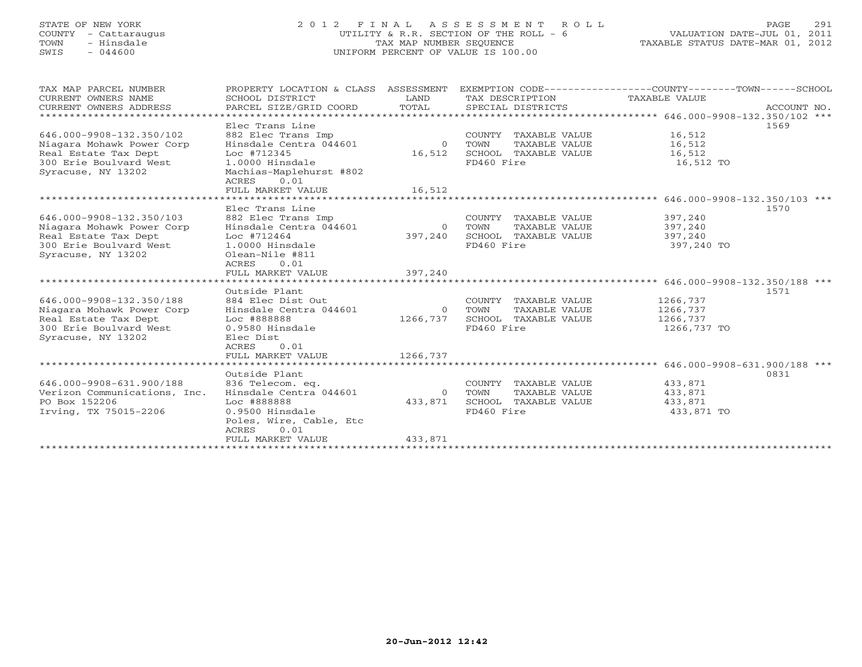# STATE OF NEW YORK 2 0 1 2 F I N A L A S S E S S M E N T R O L L PAGE 291 COUNTY - Cattaraugus UTILITY & R.R. SECTION OF THE ROLL - 6 VALUATION DATE-JUL 01, 2011 TOWN - Hinsdale TAX MAP NUMBER SEQUENCE TAXABLE STATUS DATE-MAR 01, 2012 SWIS - 044600 UNIFORM PERCENT OF VALUE IS 100.00UNIFORM PERCENT OF VALUE IS 100.00

| TAX MAP PARCEL NUMBER<br>CURRENT OWNERS NAME<br>CURRENT OWNERS ADDRESS                                                        | PROPERTY LOCATION & CLASS ASSESSMENT EXEMPTION CODE---------------COUNTY-------TOWN------SCHOOL<br>SCHOOL DISTRICT<br>PARCEL SIZE/GRID COORD                   | LAND<br>TOTAL                        | TAX DESCRIPTION TAXABLE VALUE<br>SPECIAL DISTRICTS                                             |                                                 | ACCOUNT NO. |
|-------------------------------------------------------------------------------------------------------------------------------|----------------------------------------------------------------------------------------------------------------------------------------------------------------|--------------------------------------|------------------------------------------------------------------------------------------------|-------------------------------------------------|-------------|
| 646.000-9908-132.350/102<br>Niagara Mohawk Power Corp<br>Real Estate Tax Dept<br>300 Erie Boulvard West<br>Syracuse, NY 13202 | Elec Trans Line<br>882 Elec Trans Imp<br>Hinsdale Centra 044601<br>Loc #712345<br>1.0000 Hinsdale<br>Machias-Maplehurst #802<br>0.01<br>ACRES                  | 0 TOWN<br>16,512                     | COUNTY TAXABLE VALUE<br>TAXABLE VALUE<br>SCHOOL TAXABLE VALUE 16,512<br>FD460 Fire             | 16,512<br>16,512<br>16,512 TO                   | 1569        |
|                                                                                                                               | FULL MARKET VALUE                                                                                                                                              | 16,512                               |                                                                                                |                                                 |             |
|                                                                                                                               |                                                                                                                                                                |                                      |                                                                                                | ****************** 646.000-9908-132.350/103 *** |             |
| 646.000-9908-132.350/103<br>Niagara Mohawk Power Corp<br>Real Estate Tax Dept<br>300 Erie Boulvard West<br>Syracuse, NY 13202 | Elec Trans Line<br>882 Elec Trans Imp<br>Hinsdale Centra 044601<br>Loc #712464<br>1.0000 Hinsdale<br>Olean-Nile #811<br>0.01<br>ACRES<br>FULL MARKET VALUE     | $\overline{0}$<br>397,240<br>397,240 | COUNTY TAXABLE VALUE<br>TOWN<br>TAXABLE VALUE<br>SCHOOL TAXABLE VALUE<br>FD460 Fire            | 397,240<br>397,240<br>397,240<br>397,240 TO     | 1570        |
|                                                                                                                               | Outside Plant                                                                                                                                                  |                                      |                                                                                                |                                                 | 1571        |
| 646.000-9908-132.350/188<br>Niagara Mohawk Power Corp<br>Real Estate Tax Dept<br>300 Erie Boulvard West<br>Syracuse, NY 13202 | 884 Elec Dist Out<br>Hinsdale Centra 044601<br>Loc #888888<br>0.9580 Hinsdale<br>Elec Dist<br>0.01<br>ACRES<br>FULL MARKET VALUE                               | 1266,737                             | COUNTY TAXABLE VALUE<br>0 TOWN<br>TAXABLE VALUE<br>1266,737 SCHOOL TAXABLE VALUE<br>FD460 Fire | 1266,737<br>1266,737<br>1266,737<br>1266,737 TO |             |
|                                                                                                                               |                                                                                                                                                                |                                      |                                                                                                |                                                 |             |
| 646.000-9908-631.900/188<br>Verizon Communications, Inc.<br>PO Box 152206<br>Irving, TX 75015-2206                            | Outside Plant<br>836 Telecom. eq.<br>Hinsdale Centra 044601<br>Loc #888888<br>0.9500 Hinsdale<br>Poles, Wire, Cable, Etc<br>0.01<br>ACRES<br>FULL MARKET VALUE | $\Omega$<br>433,871<br>433,871       | COUNTY TAXABLE VALUE<br>TOWN<br>TAXABLE VALUE<br>SCHOOL TAXABLE VALUE<br>FD460 Fire            | 433,871<br>433,871<br>433,871<br>433,871 TO     | 0831        |
|                                                                                                                               |                                                                                                                                                                |                                      |                                                                                                |                                                 |             |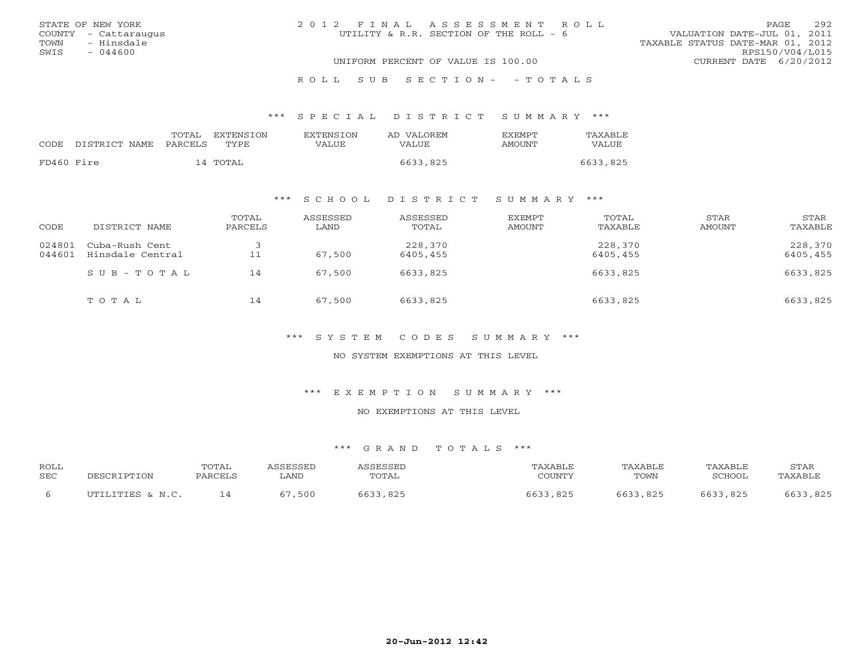|      | STATE OF NEW YORK    | 2012 FINAL ASSESSMENT ROLL             |                                  | <b>PAGE</b>     | 292 |
|------|----------------------|----------------------------------------|----------------------------------|-----------------|-----|
|      | COUNTY - Cattaraugus | UTILITY & R.R. SECTION OF THE ROLL - 6 | VALUATION DATE-JUL 01, 2011      |                 |     |
| TOWN | - Hinsdale           |                                        | TAXABLE STATUS DATE-MAR 01, 2012 |                 |     |
| SWIS | $-044600$            |                                        |                                  | RPS150/V04/L015 |     |
|      |                      | UNIFORM PERCENT OF VALUE IS 100.00     | CURRENT DATE 6/20/2012           |                 |     |
|      |                      |                                        |                                  |                 |     |

#### R O L L S U B S E C T I O N - - T O T A L S

#### \*\*\* S P E C I A L D I S T R I C T S U M M A R Y \*\*\*

| <b>EXTENSION</b><br>TOTAL<br>EXTENSION<br>AD VALOREM<br><b>FXFMPT</b><br>CODE DISTRICT NAME<br>TYPE.<br>PARCELS<br>VALUE<br>VALUE<br>AMOUNT | VALUE    |
|---------------------------------------------------------------------------------------------------------------------------------------------|----------|
| FD460 Fire<br>6633,825<br>14 TOTAL                                                                                                          | 6633,825 |

## \*\*\* S C H O O L D I S T R I C T S U M M A R Y \*\*\*

| CODE             | DISTRICT NAME                      | TOTAL<br>PARCELS | ASSESSED<br>LAND | ASSESSED<br>TOTAL   | EXEMPT<br>AMOUNT | TOTAL<br>TAXABLE    | STAR<br>AMOUNT | STAR<br>TAXABLE     |
|------------------|------------------------------------|------------------|------------------|---------------------|------------------|---------------------|----------------|---------------------|
| 024801<br>044601 | Cuba-Rush Cent<br>Hinsdale Central | 11               | 67,500           | 228,370<br>6405,455 |                  | 228,370<br>6405,455 |                | 228,370<br>6405,455 |
|                  | $SUB - TO T AL$                    | 14               | 67,500           | 6633,825            |                  | 6633,825            |                | 6633,825            |
|                  | TOTAL                              | 14               | 67,500           | 6633,825            |                  | 6633,825            |                | 6633,825            |

\*\*\* S Y S T E M C O D E S S U M M A R Y \*\*\*

NO SYSTEM EXEMPTIONS AT THIS LEVEL

\*\*\* E X E M P T I O N S U M M A R Y \*\*\*

NO EXEMPTIONS AT THIS LEVEL

| <b>ROLL</b> |                  | TOTAL   | <b>CCFCCFD</b> | <b>SCRCCET</b> | AXABLE      | TAXABLE  | TAXABLE | STAR    |
|-------------|------------------|---------|----------------|----------------|-------------|----------|---------|---------|
| <b>SEC</b>  | DECOD.           | PARCELS | LAND           | TOTAL          | COUNTY      | TOWN     | CHOOL"  | TAXABLE |
|             | UTILITIES & N.C. |         | 500            | .825           | 5633<br>825 | 6633,825 | , 825   | ,825    |
|             |                  |         |                |                |             |          |         |         |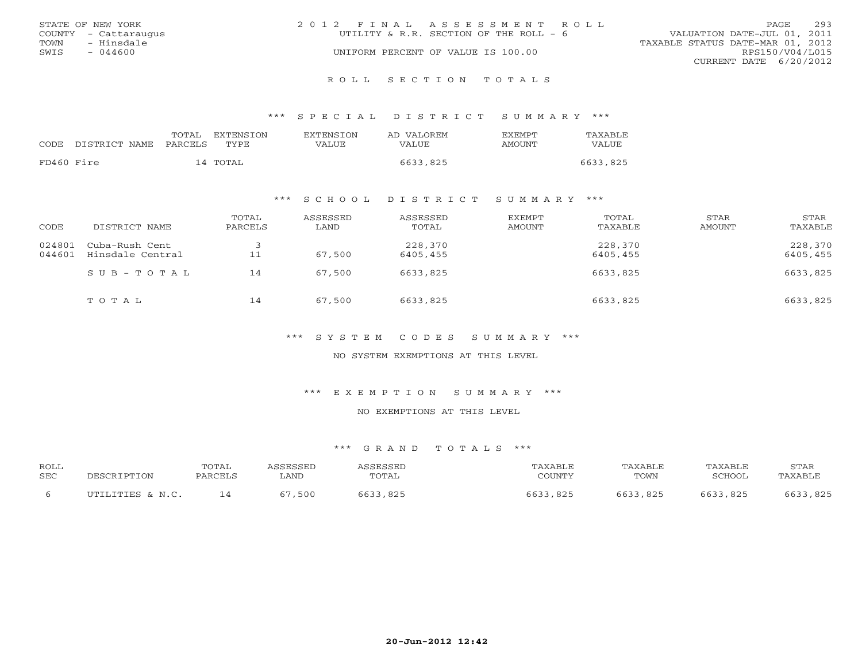|      | STATE OF NEW YORK    | 2012 FINAL ASSESSMENT ROLL             |                                  | <b>PAGE</b>            | 293 |
|------|----------------------|----------------------------------------|----------------------------------|------------------------|-----|
|      | COUNTY - Cattaraugus | UTILITY & R.R. SECTION OF THE ROLL - 6 | VALUATION DATE-JUL 01, 2011      |                        |     |
| TOWN | - Hinsdale           |                                        | TAXABLE STATUS DATE-MAR 01, 2012 |                        |     |
| SWIS | $-044600$            | UNIFORM PERCENT OF VALUE IS 100.00     |                                  | RPS150/V04/L015        |     |
|      |                      |                                        |                                  | CURRENT DATE 6/20/2012 |     |
|      |                      |                                        |                                  |                        |     |

R O L L S E C T I O N T O T A L S

\*\*\* S P E C I A L D I S T R I C T S U M M A R Y \*\*\*

| CODE.      | DISTRICT NAME | TOTAL<br>PARCELS | EXTENSTON<br>TYPE. | <b>EXTENSION</b><br>VALUE | AD VALOREM<br>VALUE. | <b>EXEMPT</b><br>AMOUNT | TAXABLE<br><b>VALUE</b> |
|------------|---------------|------------------|--------------------|---------------------------|----------------------|-------------------------|-------------------------|
| FD460 Fire |               |                  | 14 TOTAL           |                           | 6633,825             |                         | 6633,825                |

## \*\*\* S C H O O L D I S T R I C T S U M M A R Y \*\*\*

| CODE             | DISTRICT NAME                      | TOTAL<br>PARCELS | ASSESSED<br>LAND | ASSESSED<br>TOTAL   | <b>EXEMPT</b><br>AMOUNT | TOTAL<br>TAXABLE    | STAR<br>AMOUNT | STAR<br>TAXABLE     |
|------------------|------------------------------------|------------------|------------------|---------------------|-------------------------|---------------------|----------------|---------------------|
| 024801<br>044601 | Cuba-Rush Cent<br>Hinsdale Central | 11               | 67,500           | 228,370<br>6405,455 |                         | 228,370<br>6405,455 |                | 228,370<br>6405,455 |
|                  | SUB-TOTAL                          | 14               | 67,500           | 6633,825            |                         | 6633,825            |                | 6633,825            |
|                  | TOTAL                              | 14               | 67,500           | 6633,825            |                         | 6633,825            |                | 6633,825            |

\*\*\* S Y S T E M C O D E S S U M M A R Y \*\*\*

NO SYSTEM EXEMPTIONS AT THIS LEVEL

\*\*\* E X E M P T I O N S U M M A R Y \*\*\*

NO EXEMPTIONS AT THIS LEVEL

| <b>ROLL</b> |                  | TOTAL   | <b>CCFCCFD</b> | <b>SCRCCET</b> | AXABLE      | TAXABLE  | TAXABLE | STAR    |
|-------------|------------------|---------|----------------|----------------|-------------|----------|---------|---------|
| <b>SEC</b>  | DECOD.           | PARCELS | LAND           | TOTAL          | COUNTY      | TOWN     | CHOOL"  | TAXABLE |
|             | UTILITIES & N.C. |         | 500            | .825           | 5633<br>825 | 6633,825 | , 825   | ,825    |
|             |                  |         |                |                |             |          |         |         |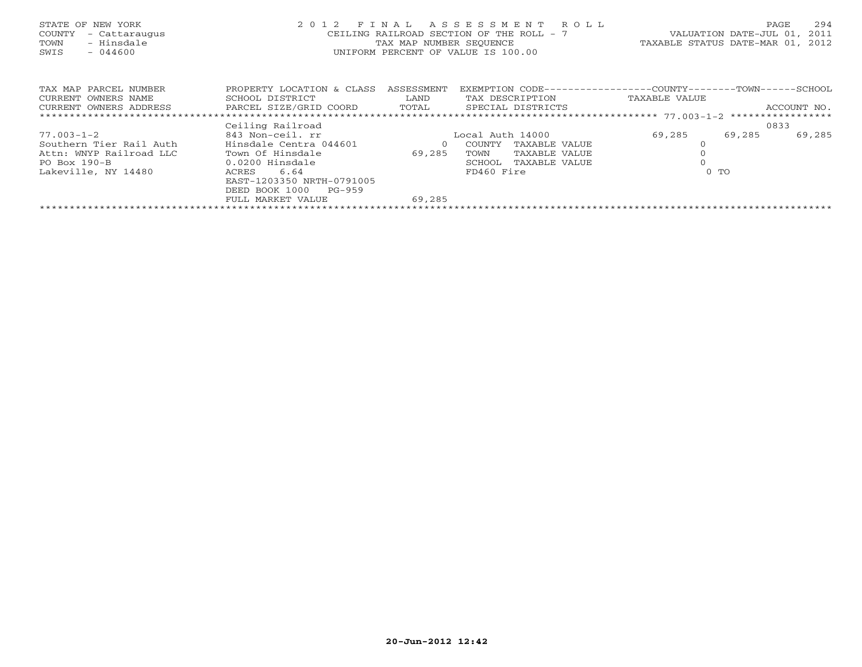| STATE OF NEW YORK<br>COUNTY<br>- Cattaraugus<br>- Hinsdale<br>TOWN<br>$-044600$<br>SWIS | 2 0 1 2<br>FINAL<br>CEILING RAILROAD SECTION OF THE ROLL - 7<br>TAX MAP NUMBER SEOUENCE<br>UNIFORM PERCENT OF VALUE IS 100.00 | VALUATION DATE-JUL 01,<br>TAXABLE STATUS DATE-MAR 01, |                         | 294<br>PAGE<br>2011<br>2012                  |        |             |
|-----------------------------------------------------------------------------------------|-------------------------------------------------------------------------------------------------------------------------------|-------------------------------------------------------|-------------------------|----------------------------------------------|--------|-------------|
| TAX MAP PARCEL NUMBER                                                                   | PROPERTY LOCATION & CLASS                                                                                                     | ASSESSMENT                                            | EXEMPTION CODE---       | --------------COUNTY--------TOWN------SCHOOL |        |             |
| CURRENT OWNERS NAME                                                                     | SCHOOL DISTRICT                                                                                                               | LAND                                                  | TAX DESCRIPTION         | TAXABLE VALUE                                |        |             |
| CURRENT OWNERS ADDRESS                                                                  | PARCEL SIZE/GRID COORD                                                                                                        | TOTAL                                                 | SPECIAL DISTRICTS       |                                              |        | ACCOUNT NO. |
|                                                                                         |                                                                                                                               |                                                       |                         |                                              |        |             |
|                                                                                         | Ceiling Railroad                                                                                                              |                                                       |                         |                                              |        | 0833        |
| $77.003 - 1 - 2$                                                                        | 843 Non-ceil. rr                                                                                                              |                                                       | Local Auth 14000        | 69,285                                       | 69,285 | 69,285      |
| Southern Tier Rail Auth                                                                 | Hinsdale Centra 044601                                                                                                        | $\circ$                                               | COUNTY<br>TAXABLE VALUE |                                              |        |             |
| Attn: WNYP Railroad LLC                                                                 | Town Of Hinsdale                                                                                                              | 69,285                                                | TOWN<br>TAXABLE VALUE   |                                              |        |             |
| $PO$ Box $190-B$                                                                        | 0.0200 Hinsdale                                                                                                               |                                                       | SCHOOL<br>TAXABLE VALUE |                                              |        |             |
| Lakeville, NY 14480                                                                     | 6.64<br>ACRES                                                                                                                 |                                                       | FD460 Fire              | $0$ TO                                       |        |             |
|                                                                                         | EAST-1203350 NRTH-0791005                                                                                                     |                                                       |                         |                                              |        |             |
|                                                                                         | DEED BOOK 1000<br>PG-959                                                                                                      |                                                       |                         |                                              |        |             |
|                                                                                         | FULL MARKET VALUE                                                                                                             | 69,285                                                |                         |                                              |        |             |
|                                                                                         |                                                                                                                               |                                                       |                         |                                              |        |             |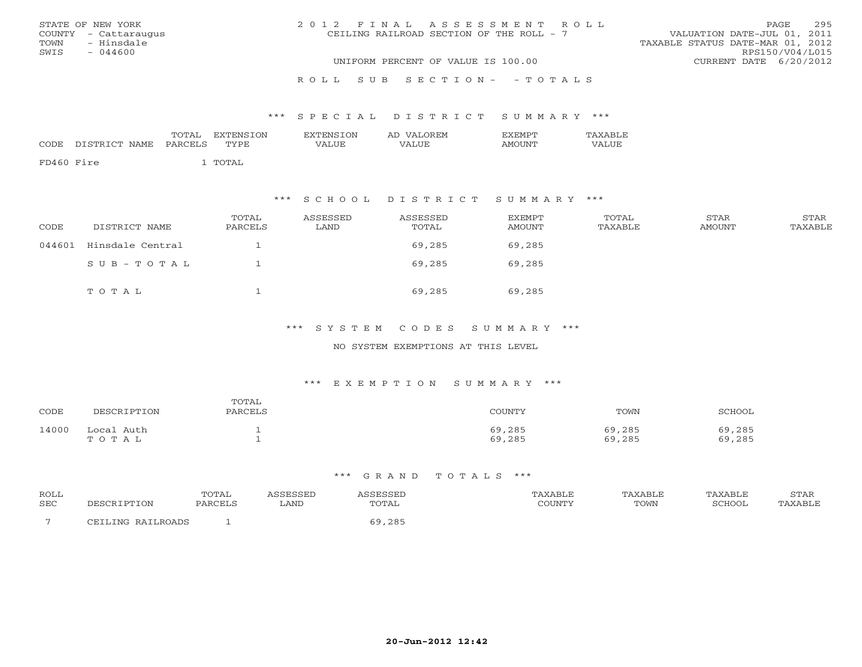| STATE OF NEW YORK    | 2012 FINAL ASSESSMENT ROLL               | 295<br>PAGE                      |
|----------------------|------------------------------------------|----------------------------------|
| COUNTY - Cattaraugus | CEILING RAILROAD SECTION OF THE ROLL - 7 | VALUATION DATE-JUL 01, 2011      |
| TOWN<br>- Hinsdale   |                                          | TAXABLE STATUS DATE-MAR 01, 2012 |
| SWIS<br>$-044600$    |                                          | RPS150/V04/L015                  |
|                      | UNIFORM PERCENT OF VALUE IS 100.00       | CURRENT DATE 6/20/2012           |
|                      | ROLL SUB SECTION- - TOTALS               |                                  |

#### \*\*\* S P E C I A L D I S T R I C T S U M M A R Y \*\*\*

| CODE       | DISTRICT NAME | TOTAL<br>PARCELS | EXTENSION<br>TYPE | <b>EXTENSION</b><br>VALUE | AD VALOREM<br>VALUE | <b>FXFMPT</b><br>AMOUNT | TAXABLE<br>VALUE |
|------------|---------------|------------------|-------------------|---------------------------|---------------------|-------------------------|------------------|
| FD460 Fire |               |                  | TOTAL             |                           |                     |                         |                  |

## \*\*\* S C H O O L D I S T R I C T S U M M A R Y \*\*\*

| CODE   | DISTRICT NAME    | TOTAL<br>PARCELS | ASSESSED<br>LAND | ASSESSED<br>TOTAL | <b>EXEMPT</b><br><b>AMOUNT</b> | TOTAL<br>TAXABLE | STAR<br>AMOUNT | STAR<br>TAXABLE |
|--------|------------------|------------------|------------------|-------------------|--------------------------------|------------------|----------------|-----------------|
| 044601 | Hinsdale Central |                  |                  | 69,285            | 69,285                         |                  |                |                 |
|        | $SUB - TO T AL$  |                  |                  | 69,285            | 69,285                         |                  |                |                 |
|        | TOTAL            |                  |                  | 69,285            | 69,285                         |                  |                |                 |

## \*\*\* S Y S T E M C O D E S S U M M A R Y \*\*\*

### NO SYSTEM EXEMPTIONS AT THIS LEVEL

#### \*\*\* E X E M P T I O N S U M M A R Y \*\*\*

| CODE  | DESCRIPTION         | TOTAL<br>PARCELS | COUNTY           | TOWN             | SCHOOL           |
|-------|---------------------|------------------|------------------|------------------|------------------|
| 14000 | Local Auth<br>TOTAL |                  | 69,285<br>69,285 | 69,285<br>69,285 | 69,285<br>69,285 |

| ROLL | TOTAL         |      |                               |              | AXABLE | `AXABLE | ----- |
|------|---------------|------|-------------------------------|--------------|--------|---------|-------|
| SEC  | $\mathcal{L}$ | LAND | TOTAL                         | <b>OUNTY</b> | TOWN   | ∩מרים   | :ABLE |
|      |               |      | $\cap$ $\cap$ $\Gamma$<br>- 0 |              |        |         |       |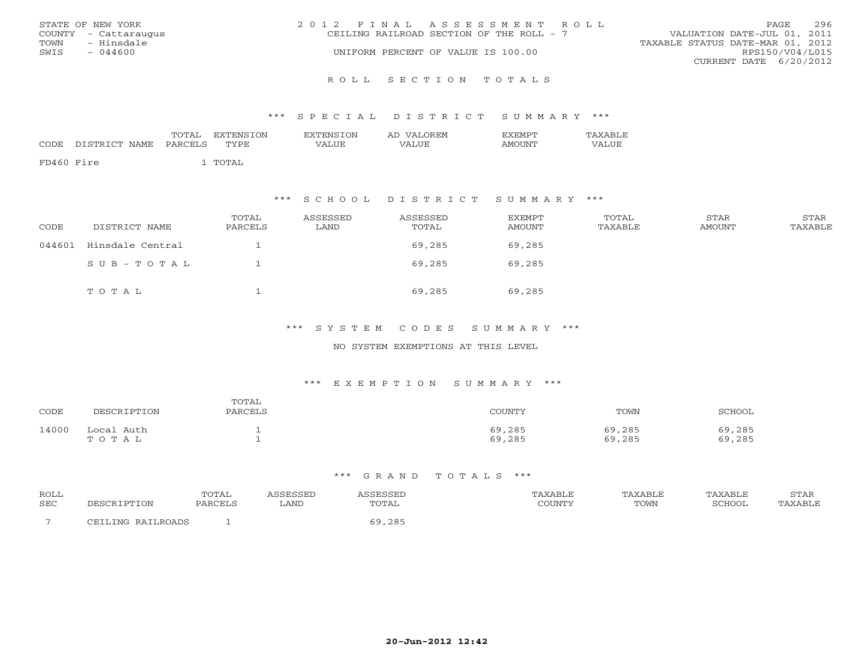|      | STATE OF NEW YORK    | 2012 FINAL ASSESSMENT ROLL                                              | PAGE            | 296 |
|------|----------------------|-------------------------------------------------------------------------|-----------------|-----|
|      | COUNTY - Cattaraugus | VALUATION DATE-JUL 01, 2011<br>CEILING RAILROAD SECTION OF THE ROLL - 7 |                 |     |
| TOWN | - Hinsdale           | TAXABLE STATUS DATE-MAR 01, 2012                                        |                 |     |
| SWIS | $-044600$            | UNIFORM PERCENT OF VALUE IS 100.00                                      | RPS150/V04/L015 |     |
|      |                      | CURRENT DATE 6/20/2012                                                  |                 |     |
|      |                      |                                                                         |                 |     |

#### R O L L S E C T I O N T O T A L S

#### \*\*\* S P E C I A L D I S T R I C T S U M M A R Y \*\*\*

| CODE       | DISTRICT NAME PARCELS | TOTAL | EXTENSTON<br>TYPE | EXTENSION<br>VALUE | AD VALOREM<br>VALUE | EXEMPT<br><b>AMOUNT</b> | TAXABLE<br>VALUE |
|------------|-----------------------|-------|-------------------|--------------------|---------------------|-------------------------|------------------|
| FD460 Fire |                       |       | . TOTAL           |                    |                     |                         |                  |

## \*\*\* S C H O O L D I S T R I C T S U M M A R Y \*\*\*

| CODE   | DISTRICT NAME    | TOTAL<br>PARCELS | ASSESSED<br>LAND | ASSESSED<br>TOTAL | EXEMPT<br>AMOUNT | TOTAL<br>TAXABLE | STAR<br><b>AMOUNT</b> | STAR<br>TAXABLE |
|--------|------------------|------------------|------------------|-------------------|------------------|------------------|-----------------------|-----------------|
| 044601 | Hinsdale Central |                  |                  | 69,285            | 69,285           |                  |                       |                 |
|        | $SUB - TO T AL$  |                  |                  | 69,285            | 69,285           |                  |                       |                 |
|        | TOTAL            |                  |                  | 69,285            | 69,285           |                  |                       |                 |

## \*\*\* S Y S T E M C O D E S S U M M A R Y \*\*\*

### NO SYSTEM EXEMPTIONS AT THIS LEVEL

#### \*\*\* E X E M P T I O N S U M M A R Y \*\*\*

| CODE  | DESCRIPTION         | TOTAL<br>PARCELS | COUNTY           | TOWN             | SCHOOL           |
|-------|---------------------|------------------|------------------|------------------|------------------|
| 14000 | Local Auth<br>TOTAL |                  | 69,285<br>69,285 | 69,285<br>69,285 | 69,285<br>69,285 |

| ROLL       |       | TOTAL   |      |                                               | AXABLE | AXABLF | 'AXABLE | <b>STAR</b> |
|------------|-------|---------|------|-----------------------------------------------|--------|--------|---------|-------------|
| <b>SEC</b> | . ION | PARCELS | LAND | TOTAL                                         |        | TOWN   | SCHOOL  | AXABLE      |
|            |       |         |      | $\cap$ $\cap$ $\Box$<br>╭<br>$ \sim$ $\sim$ . |        |        |         |             |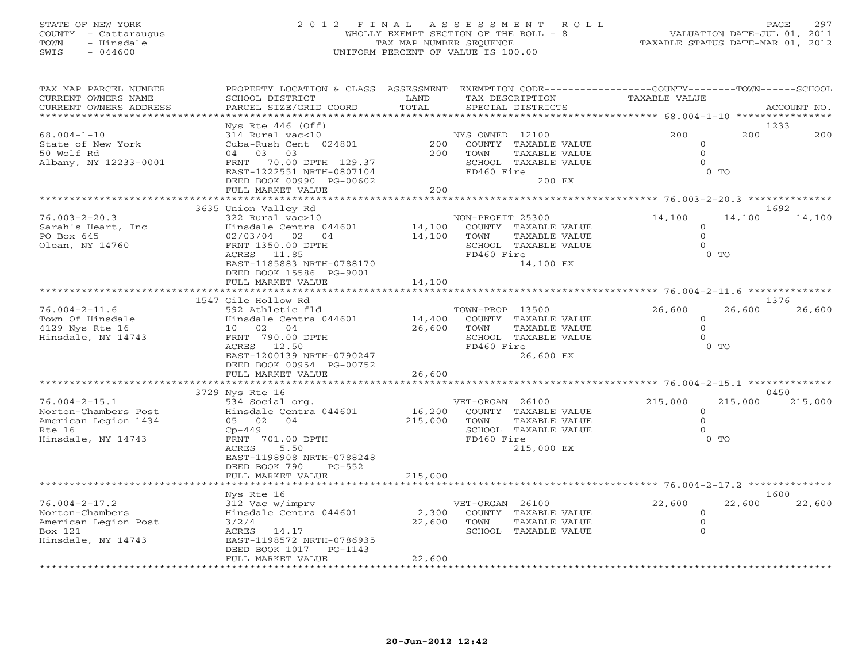# STATE OF NEW YORK 2 0 1 2 F I N A L A S S E S S M E N T R O L L PAGE 297 COUNTY - Cattaraugus WHOLLY EXEMPT SECTION OF THE ROLL - 8 VALUATION DATE-JUL 01, 2011 TOWN - Hinsdale TAX MAP NUMBER SEQUENCE TAXABLE STATUS DATE-MAR 01, 2012 SWIS - 044600 UNIFORM PERCENT OF VALUE IS 100.00

| TAX MAP PARCEL NUMBER<br>CURRENT OWNERS NAME | PROPERTY LOCATION & CLASS ASSESSMENT<br>SCHOOL DISTRICT | LAND    | TAX DESCRIPTION  | EXEMPTION CODE----------------COUNTY-------TOWN------SCHOOL | TAXABLE VALUE                            |                     |         |                 |
|----------------------------------------------|---------------------------------------------------------|---------|------------------|-------------------------------------------------------------|------------------------------------------|---------------------|---------|-----------------|
| CURRENT OWNERS ADDRESS<br>**************     | PARCEL SIZE/GRID COORD                                  | TOTAL   |                  | SPECIAL DISTRICTS                                           |                                          |                     |         | ACCOUNT NO.     |
|                                              | Nys Rte $446$ (Off)                                     |         |                  |                                                             |                                          |                     |         | 1233            |
| $68.004 - 1 - 10$<br>State of New York       | 314 Rural vac<10<br>Cuba-Rush Cent 024801               | 200     | NYS OWNED 12100  | COUNTY TAXABLE VALUE                                        |                                          | 200<br>$\circ$      | 200     | 200             |
| 50 Wolf Rd                                   | 04 03<br>03                                             | 200     | TOWN             | TAXABLE VALUE                                               |                                          | $\Omega$            |         |                 |
| Albany, NY 12233-0001                        | FRNT 70.00 DPTH 129.37<br>EAST-1222551 NRTH-0807104     |         | FD460 Fire       | SCHOOL TAXABLE VALUE                                        |                                          | $\Omega$<br>$0$ TO  |         |                 |
|                                              | DEED BOOK 00990 PG-00602                                |         |                  | 200 EX                                                      |                                          |                     |         |                 |
|                                              | FULL MARKET VALUE                                       | 200     |                  |                                                             |                                          |                     |         |                 |
|                                              |                                                         |         |                  |                                                             |                                          |                     |         |                 |
|                                              | 3635 Union Valley Rd                                    |         |                  |                                                             |                                          |                     |         | 1692            |
| $76.003 - 2 - 20.3$<br>Sarah's Heart, Inc    | 322 Rural vac>10<br>Hinsdale Centra 044601              | 14,100  | NON-PROFIT 25300 | COUNTY TAXABLE VALUE                                        | 14,100                                   | $\circ$             | 14,100  | 14,100          |
| PO Box 645                                   | 02 04<br>02/03/04                                       | 14,100  | TOWN             | TAXABLE VALUE                                               |                                          | $\Omega$            |         |                 |
| Olean, NY 14760                              | FRNT 1350.00 DPTH                                       |         |                  | SCHOOL TAXABLE VALUE                                        |                                          | $\Omega$            |         |                 |
|                                              | ACRES 11.85                                             |         | FD460 Fire       |                                                             |                                          | $0$ TO              |         |                 |
|                                              | EAST-1185883 NRTH-0788170                               |         |                  | 14,100 EX                                                   |                                          |                     |         |                 |
|                                              | DEED BOOK 15586 PG-9001                                 |         |                  |                                                             |                                          |                     |         |                 |
|                                              | FULL MARKET VALUE                                       | 14,100  |                  |                                                             |                                          |                     |         |                 |
|                                              | 1547 Gile Hollow Rd                                     |         |                  |                                                             |                                          |                     |         | 1376            |
| $76.004 - 2 - 11.6$                          | 592 Athletic fld                                        |         | TOWN-PROP 13500  |                                                             | 26,600                                   |                     | 26,600  | 26,600          |
| Town Of Hinsdale                             | Hinsdale Centra 044601                                  | 14,400  |                  | COUNTY TAXABLE VALUE                                        |                                          | $\circ$             |         |                 |
| 4129 Nys Rte 16                              | 10 02 04                                                | 26,600  | TOWN             | <b>TAXABLE VALUE</b>                                        |                                          | $\circ$             |         |                 |
| Hinsdale, NY 14743                           | FRNT 790.00 DPTH<br>ACRES 12.50                         |         | FD460 Fire       | SCHOOL TAXABLE VALUE                                        |                                          | $\Omega$<br>$0$ TO  |         |                 |
|                                              | EAST-1200139 NRTH-0790247                               |         |                  | 26,600 EX                                                   |                                          |                     |         |                 |
|                                              | DEED BOOK 00954 PG-00752                                |         |                  |                                                             |                                          |                     |         |                 |
|                                              | FULL MARKET VALUE                                       | 26,600  |                  |                                                             |                                          |                     |         |                 |
|                                              |                                                         |         |                  |                                                             | ********************* 76.004-2-15.1 **** |                     |         |                 |
| $76.004 - 2 - 15.1$                          | 3729 Nys Rte 16<br>534 Social org.                      |         | VET-ORGAN 26100  |                                                             | 215,000                                  |                     | 215,000 | 0450<br>215,000 |
| Norton-Chambers Post                         | Hinsdale Centra 044601                                  | 16,200  |                  | COUNTY TAXABLE VALUE                                        |                                          | $\circ$             |         |                 |
| American Legion 1434                         | 05 02 04                                                | 215,000 | TOWN             | TAXABLE VALUE                                               |                                          | $\Omega$            |         |                 |
| Rte 16                                       | $Cp-449$                                                |         |                  | SCHOOL TAXABLE VALUE                                        |                                          | $\Omega$            |         |                 |
| Hinsdale, NY 14743                           | FRNT 701.00 DPTH                                        |         | FD460 Fire       |                                                             |                                          | $0$ TO              |         |                 |
|                                              | ACRES<br>5.50                                           |         |                  | 215,000 EX                                                  |                                          |                     |         |                 |
|                                              | EAST-1198908 NRTH-0788248<br>DEED BOOK 790<br>$PG-552$  |         |                  |                                                             |                                          |                     |         |                 |
|                                              | FULL MARKET VALUE                                       | 215,000 |                  |                                                             |                                          |                     |         |                 |
|                                              |                                                         |         |                  |                                                             |                                          |                     |         |                 |
|                                              | Nys Rte 16                                              |         |                  |                                                             |                                          |                     |         | 1600            |
| $76.004 - 2 - 17.2$                          | 312 Vac w/imprv                                         |         | VET-ORGAN 26100  |                                                             | 22,600                                   |                     | 22,600  | 22,600          |
| Norton-Chambers                              | Hinsdale Centra 044601                                  | 2,300   |                  | COUNTY TAXABLE VALUE                                        |                                          | $\circ$             |         |                 |
| American Legion Post<br>Box 121              | 3/2/4<br>ACRES<br>14.17                                 | 22,600  | TOWN             | TAXABLE VALUE<br>SCHOOL TAXABLE VALUE                       |                                          | $\circ$<br>$\Omega$ |         |                 |
| Hinsdale, NY 14743                           | EAST-1198572 NRTH-0786935                               |         |                  |                                                             |                                          |                     |         |                 |
|                                              | DEED BOOK 1017<br>PG-1143                               |         |                  |                                                             |                                          |                     |         |                 |
|                                              | FULL MARKET VALUE                                       | 22,600  |                  |                                                             |                                          |                     |         |                 |
|                                              |                                                         |         |                  | ***********************************                         |                                          |                     |         |                 |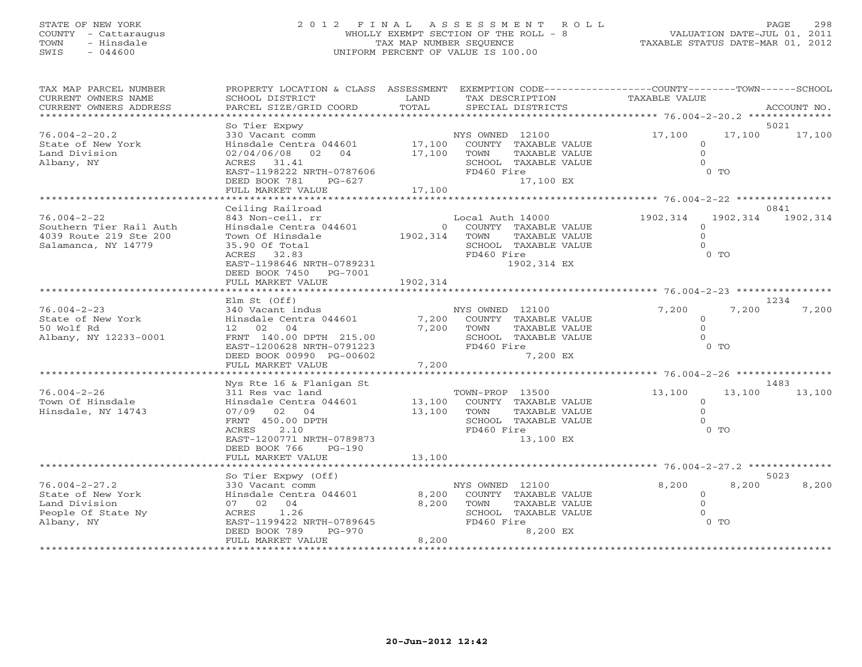# STATE OF NEW YORK 2 0 1 2 F I N A L A S S E S S M E N T R O L L PAGE 298 COUNTY - Cattaraugus WHOLLY EXEMPT SECTION OF THE ROLL - 8 VALUATION DATE-JUL 01, 2011 TOWN - Hinsdale TAX MAP NUMBER SEQUENCE TAXABLE STATUS DATE-MAR 01, 2012 SWIS - 044600 UNIFORM PERCENT OF VALUE IS 100.00UNIFORM PERCENT OF VALUE IS 100.00

| TAX MAP PARCEL NUMBER<br>CURRENT OWNERS NAME<br>CURRENT OWNERS ADDRESS<br>********************** | PROPERTY LOCATION & CLASS ASSESSMENT<br>SCHOOL DISTRICT<br>PARCEL SIZE/GRID COORD                                                                                                                  | LAND<br>TOTAL              | EXEMPTION CODE-----------------COUNTY-------TOWN------SCHOOL<br>TAX DESCRIPTION<br>SPECIAL DISTRICTS                       | TAXABLE VALUE                               | ACCOUNT NO.                            |
|--------------------------------------------------------------------------------------------------|----------------------------------------------------------------------------------------------------------------------------------------------------------------------------------------------------|----------------------------|----------------------------------------------------------------------------------------------------------------------------|---------------------------------------------|----------------------------------------|
|                                                                                                  |                                                                                                                                                                                                    |                            |                                                                                                                            |                                             |                                        |
| $76.004 - 2 - 20.2$<br>State of New York<br>Land Division<br>Albany, NY                          | So Tier Expwy<br>330 Vacant comm<br>Hinsdale Centra 044601<br>02/04/06/08 02 04<br>ACRES 31.41<br>EAST-1198222 NRTH-0787606<br>DEED BOOK 781<br>PG-627<br>FULL MARKET VALUE                        | 17,100<br>17,100<br>17,100 | NYS OWNED 12100<br>COUNTY TAXABLE VALUE<br>TAXABLE VALUE<br>TOWN<br>SCHOOL TAXABLE VALUE<br>FD460 Fire<br>17,100 EX        | 17,100<br>$\circ$<br>$\Omega$<br>$\Omega$   | 5021<br>17,100<br>17,100<br>$0$ TO     |
|                                                                                                  |                                                                                                                                                                                                    |                            |                                                                                                                            |                                             |                                        |
| $76.004 - 2 - 22$<br>Southern Tier Rail Auth<br>4039 Route 219 Ste 200<br>Salamanca, NY 14779    | Ceiling Railroad<br>843 Non-ceil. rr<br>Hinsdale Centra 044601<br>Town Of Hinsdale<br>35.90 Of Total<br>ACRES 32.83<br>EAST-1198646 NRTH-0789231<br>DEED BOOK 7450<br>PG-7001<br>FULL MARKET VALUE | 1902,314<br>1902,314       | Local Auth 14000<br>0 COUNTY TAXABLE VALUE<br>TOWN<br>TAXABLE VALUE<br>SCHOOL TAXABLE VALUE<br>FD460 Fire<br>1902,314 EX   | 1902,314<br>$\circ$<br>$\Omega$<br>$\Omega$ | 0841<br>1902,314<br>1902,314<br>$0$ TO |
|                                                                                                  |                                                                                                                                                                                                    |                            |                                                                                                                            |                                             |                                        |
| $76.004 - 2 - 23$<br>State of New York<br>50 Wolf Rd<br>Albany, NY 12233-0001                    | Elm St (Off)<br>340 Vacant indus<br>Hinsdale Centra 044601<br>12 02 04<br>FRNT 140.00 DPTH 215.00<br>EAST-1200628 NRTH-0791223<br>DEED BOOK 00990 PG-00602<br>FULL MARKET VALUE                    | 7,200<br>7,200             | NYS OWNED 12100<br>7,200 COUNTY TAXABLE VALUE<br>TAXABLE VALUE<br>TOWN<br>SCHOOL TAXABLE VALUE<br>FD460 Fire<br>7,200 EX   | 7,200<br>$\circ$<br>$\Omega$<br>$\Omega$    | 1234<br>7,200<br>7,200<br>$0$ TO       |
|                                                                                                  |                                                                                                                                                                                                    |                            |                                                                                                                            |                                             |                                        |
| $76.004 - 2 - 26$<br>Town Of Hinsdale<br>Hinsdale, NY 14743                                      | Nys Rte 16 & Flanigan St<br>311 Res vac land<br>Hinsdale Centra 044601<br>07/09 02 04<br>FRNT 450.00 DPTH<br>2.10<br>ACRES<br>EAST-1200771 NRTH-0789873<br>DEED BOOK 766<br>$PG-190$               | 13,100                     | TOWN-PROP 13500<br>13,100 COUNTY TAXABLE VALUE<br>TOWN<br>TAXABLE VALUE<br>SCHOOL TAXABLE VALUE<br>FD460 Fire<br>13,100 EX | 13,100<br>$\circ$<br>$\circ$<br>$\Omega$    | 1483<br>13,100<br>13,100<br>$0$ TO     |
|                                                                                                  | FULL MARKET VALUE                                                                                                                                                                                  | 13,100                     |                                                                                                                            |                                             |                                        |
|                                                                                                  | So Tier Expwy (Off)                                                                                                                                                                                |                            |                                                                                                                            |                                             | 5023                                   |
| $76.004 - 2 - 27.2$<br>State of New York<br>Land Division<br>People Of State Ny<br>Albany, NY    | 330 Vacant comm<br>Hinsdale Centra 044601<br>07 02 04<br>1.26<br>ACRES<br>EAST-1199422 NRTH-0789645<br>DEED BOOK 789<br>PG-970<br>FULL MARKET VALUE                                                | 8,200<br>8,200<br>8,200    | NYS OWNED 12100<br>COUNTY TAXABLE VALUE<br>TAXABLE VALUE<br>TOWN<br>SCHOOL TAXABLE VALUE<br>FD460 Fire<br>8,200 EX         | 8,200<br>$\circ$<br>$\Omega$<br>$\Omega$    | 8,200<br>8,200<br>0 <sub>T</sub>       |
|                                                                                                  |                                                                                                                                                                                                    |                            |                                                                                                                            |                                             |                                        |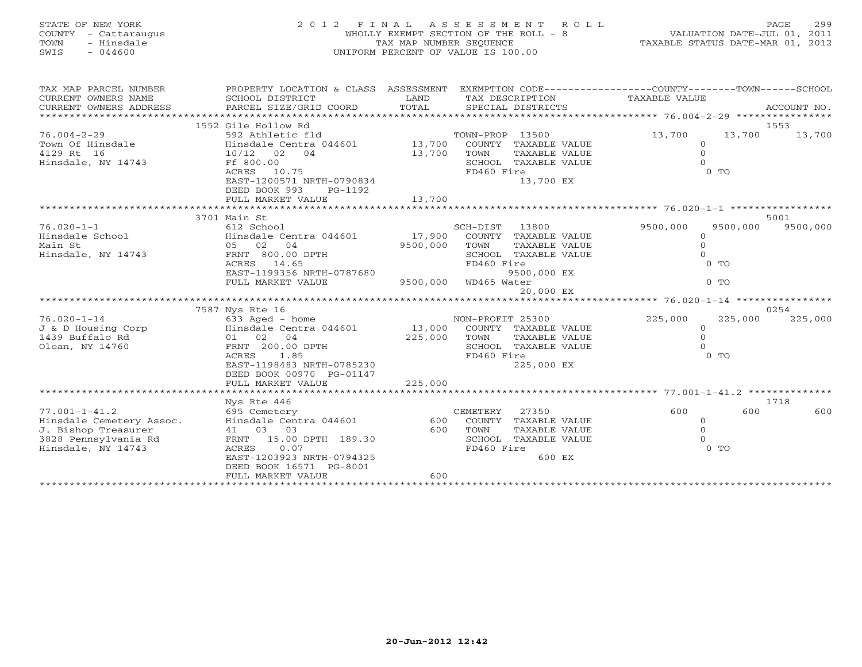| STATE OF NEW YORK<br>COUNTY<br>- Cattaraugus<br>- Hinsdale<br>TOWN<br>$-044600$<br>SWIS | 2012 FINAL ASSESSMENT ROLL<br>WHOLLY EXEMPT SECTION OF THE ROLL - 8 VALUATION DATE-JUL 01, 2011<br>TAX MAP NUMBER SEQUENCE TAXIBLE STATUS DATE-MAR 01, 2012<br>2 0 1 2 F I N A L A S S E S S M E N T<br>WHOLLY EXEMPT SECTION OF THE ROLL<br>TAX MAP NUMBER SEQUENCE<br>UNIFORM PERCENT OF VALUE IS 100.00 |          |             |                      |                               |          |               |  |  |  |
|-----------------------------------------------------------------------------------------|------------------------------------------------------------------------------------------------------------------------------------------------------------------------------------------------------------------------------------------------------------------------------------------------------------|----------|-------------|----------------------|-------------------------------|----------|---------------|--|--|--|
| TAX MAP PARCEL NUMBER                                                                   | PROPERTY LOCATION & CLASS ASSESSMENT EXEMPTION CODE-----------------COUNTY-------TOWN------SCHOOL                                                                                                                                                                                                          |          |             |                      |                               |          |               |  |  |  |
| CURRENT OWNERS NAME                                                                     | <b>Example 12</b> LAND<br>SCHOOL DISTRICT                                                                                                                                                                                                                                                                  |          |             |                      | TAX DESCRIPTION TAXABLE VALUE |          |               |  |  |  |
| CURRENT OWNERS ADDRESS PARCEL SIZE/GRID COORD TOTAL SPECIAL DISTRICTS                   |                                                                                                                                                                                                                                                                                                            |          |             |                      |                               |          | ACCOUNT NO.   |  |  |  |
|                                                                                         | 1553                                                                                                                                                                                                                                                                                                       |          |             |                      |                               |          |               |  |  |  |
|                                                                                         | 1552 Gile Hollow Rd                                                                                                                                                                                                                                                                                        |          |             |                      | 13,700                        |          | 13,700 13,700 |  |  |  |
|                                                                                         |                                                                                                                                                                                                                                                                                                            |          |             |                      | $\circ$                       |          |               |  |  |  |
| 4129 Rt 16<br>$10/12$ 02 04                                                             |                                                                                                                                                                                                                                                                                                            |          | TOWN        | TAXABLE VALUE        | $\Omega$                      |          |               |  |  |  |
| Hinsdale, NY 14743                                                                      | Ff 800.00                                                                                                                                                                                                                                                                                                  | 13,700   |             |                      |                               |          |               |  |  |  |
|                                                                                         | Ff 800.00<br>ACRES 10.75<br>EAST-1200571 NRTH-0790834<br>SCHOOL TAXABLE VALUE<br>$0$ TO<br>FD460 Fire                                                                                                                                                                                                      |          |             |                      |                               |          |               |  |  |  |
|                                                                                         |                                                                                                                                                                                                                                                                                                            |          |             | 13,700 EX            |                               |          |               |  |  |  |
|                                                                                         | DEED BOOK 993<br>PG-1192                                                                                                                                                                                                                                                                                   |          |             |                      |                               |          |               |  |  |  |
|                                                                                         |                                                                                                                                                                                                                                                                                                            |          |             |                      |                               |          |               |  |  |  |
|                                                                                         |                                                                                                                                                                                                                                                                                                            |          |             |                      |                               |          |               |  |  |  |
|                                                                                         | 3701 Main St                                                                                                                                                                                                                                                                                               |          |             |                      |                               |          | 5001          |  |  |  |
|                                                                                         |                                                                                                                                                                                                                                                                                                            |          |             |                      | 9500,000                      | 9500,000 | 9500,000      |  |  |  |
|                                                                                         |                                                                                                                                                                                                                                                                                                            |          |             |                      |                               |          |               |  |  |  |
|                                                                                         |                                                                                                                                                                                                                                                                                                            |          |             |                      | $\mathbf{0}$                  |          |               |  |  |  |
| Hinsdale, NY 14743                                                                      | FRNT 800.00 DPTH<br>ACRES 14.65                                                                                                                                                                                                                                                                            |          |             | SCHOOL TAXABLE VALUE |                               |          |               |  |  |  |
|                                                                                         |                                                                                                                                                                                                                                                                                                            |          | FD460 Fire  |                      |                               | $0$ TO   |               |  |  |  |
|                                                                                         | EAST-1199356 NRTH-0787680                                                                                                                                                                                                                                                                                  |          |             | 9500,000 EX          |                               |          |               |  |  |  |
|                                                                                         | FULL MARKET VALUE                                                                                                                                                                                                                                                                                          | 9500,000 | WD465 Water |                      |                               | $0$ TO   |               |  |  |  |
|                                                                                         |                                                                                                                                                                                                                                                                                                            |          |             | 20,000 EX            |                               |          |               |  |  |  |
|                                                                                         |                                                                                                                                                                                                                                                                                                            |          |             |                      |                               |          |               |  |  |  |

7587 Nys Rte 16 0254

\*\*\*\*\*\*\*\*\*\*\*\*\*\*\*\*\*\*\*\*\*\*\*\*\*\*\*\*\*\*\*\*\*\*\*\*\*\*\*\*\*\*\*\*\*\*\*\*\*\*\*\*\*\*\*\*\*\*\*\*\*\*\*\*\*\*\*\*\*\*\*\*\*\*\*\*\*\*\*\*\*\*\*\*\*\*\*\*\*\*\*\*\*\*\*\*\*\*\*\*\*\*\* 77.001-1-41.2 \*\*\*\*\*\*\*\*\*\*\*\*\*\*

77.001-1-41.2 695 Cemetery CEMETERY 27350 600 600 600

\*\*\*\*\*\*\*\*\*\*\*\*\*\*\*\*\*\*\*\* \*\*\*\*\*\*\*\*\*\*\*\*\*\*\*\*\*\*\*\*\*\*\*\*\*\*\*\*\*\*\*\*\*\*\*\*\*\*\*\*\*\*\*\*\*\*\*\*\*\*\*\*\*\*\*\*\*\*\*\*\*\*\*\*\*\*\*\*\*\*\*\*\*\*\*\*\*\*\*\*\*\*\*\*\*\*\*\*\*\*\*\*\*\*\*\*\*\*\*\*\*\*\*\*\*\*\*\*\*\*\*\*\*\*\*\*\*\*\*\*\*\*\*\*\*\*\*\*\*\*\*\*

ACRES 1.85 CONTROL 2.0 TO TO THE RESERVE TO THE RESERVE TO THE RESERVE TO TO TO

Nys Rte 446 1718

76.020-1-14 633 Aged - home NON-PROFIT 25300 225,000 225,000 225,000 J & D Housing Corp Hinsdale Centra 044601 13,000 COUNTY TAXABLE VALUE 0 1439 Buffalo Rd 01 02 04 225,000 TOWN TAXABLE VALUE 0 Olean, NY 14760 FRNT 200.00 DPTH SCHOOL TAXABLE VALUE 0

Hinsdale Cemetery Assoc. Hinsdale Centra 044601 600 COUNTY TAXABLE VALUE 0 J. Bishop Treasurer 41 03 03 600 TOWN TAXABLE VALUE 0 3828 Pennsylvania Rd FRNT 15.00 DPTH 189.30 SCHOOL TAXABLE VALUE 0 ACRES 0.07<br>EAST-1203923 NRTH-0794325 FD460 Fire 600 EX

DEED BOOK 00970 PG-01147

EAST-1203923 NRTH-0794325 DEED BOOK 16571 PG-8001

FULL MARKET VALUE 600

FULL MARKET VALUE 225,000

EAST-1198483 NRTH-0785230 225,000 EX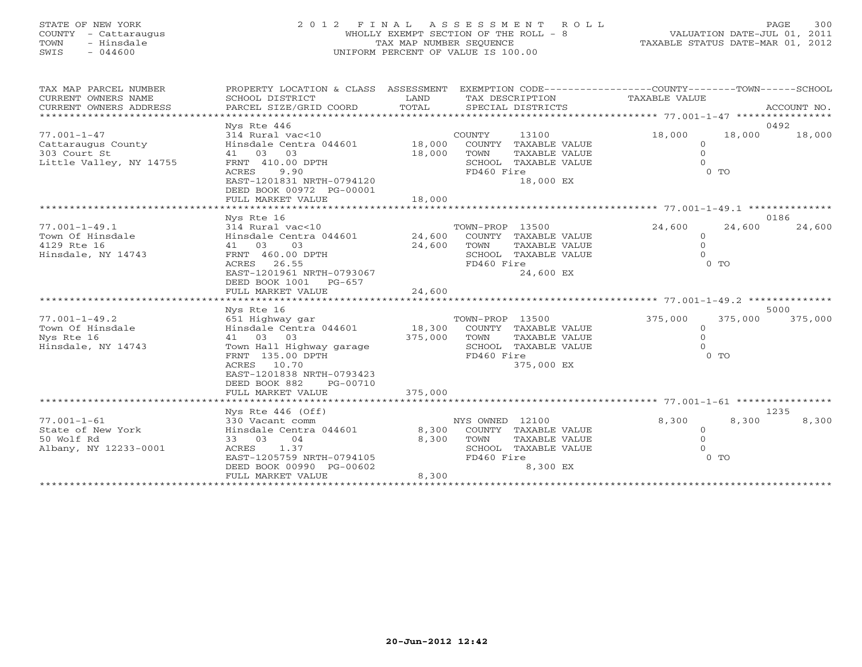# STATE OF NEW YORK 2 0 1 2 F I N A L A S S E S S M E N T R O L L PAGE 300 COUNTY - Cattaraugus WHOLLY EXEMPT SECTION OF THE ROLL - 8 VALUATION DATE-JUL 01, 2011 TOWN - Hinsdale TAX MAP NUMBER SEQUENCE TAXABLE STATUS DATE-MAR 01, 2012 SWIS - 044600 UNIFORM PERCENT OF VALUE IS 100.00

| TAX MAP PARCEL NUMBER<br>CURRENT OWNERS NAME<br>CURRENT OWNERS ADDRESS | PROPERTY LOCATION & CLASS ASSESSMENT<br>SCHOOL DISTRICT<br>PARCEL SIZE/GRID COORD                                                          | LAND<br>TOTAL  |                 | TAX DESCRIPTION<br>SPECIAL DISTRICTS         | EXEMPTION CODE-----------------COUNTY-------TOWN------SCHOOL<br>TAXABLE VALUE |         | ACCOUNT NO.    |
|------------------------------------------------------------------------|--------------------------------------------------------------------------------------------------------------------------------------------|----------------|-----------------|----------------------------------------------|-------------------------------------------------------------------------------|---------|----------------|
|                                                                        |                                                                                                                                            |                |                 |                                              |                                                                               |         |                |
| $77.001 - 1 - 47$<br>Cattaraugus County                                | Nys Rte 446<br>314 Rural vac<10<br>Hinsdale Centra 044601 18,000                                                                           |                | COUNTY          | 13100<br>COUNTY TAXABLE VALUE                | 18,000<br>$\Omega$                                                            | 18,000  | 0492<br>18,000 |
| 303 Court St                                                           | 41 03 03                                                                                                                                   | 18,000         | TOWN            | TAXABLE VALUE                                | $\circ$<br>$\Omega$                                                           |         |                |
| Little Valley, NY 14755                                                | FRNT 410.00 DPTH<br>ACRES<br>9.90<br>EAST-1201831 NRTH-0794120<br>DEED BOOK 00972 PG-00001                                                 |                | FD460 Fire      | SCHOOL TAXABLE VALUE<br>18,000 EX            |                                                                               | $0$ TO  |                |
|                                                                        | FULL MARKET VALUE<br>*******************                                                                                                   | 18,000         |                 |                                              |                                                                               |         |                |
|                                                                        | Nys Rte 16                                                                                                                                 |                |                 |                                              |                                                                               |         | 0186           |
| $77.001 - 1 - 49.1$<br>Town Of Hinsdale<br>4129 Rte 16                 | 314 Rural vac<10<br>Hinsdale Centra 044601<br>41 03<br>03                                                                                  | 24,600 TOWN    | TOWN-PROP 13500 | 24,600 COUNTY TAXABLE VALUE<br>TAXABLE VALUE | 24,600<br>$\Omega$<br>$\overline{0}$                                          | 24,600  | 24,600         |
| Hinsdale, NY 14743                                                     | FRNT 460.00 DPTH<br>ACRES 26.55<br>EAST-1201961 NRTH-0793067<br>DEED BOOK 1001 PG-657<br>FULL MARKET VALUE                                 | 24,600         | FD460 Fire      | SCHOOL TAXABLE VALUE<br>24,600 EX            | $\Omega$                                                                      | $0$ TO  |                |
|                                                                        |                                                                                                                                            |                |                 |                                              |                                                                               |         |                |
|                                                                        | Nys Rte 16                                                                                                                                 |                |                 |                                              |                                                                               |         | 5000           |
| $77.001 - 1 - 49.2$<br>Town Of Hinsdale<br>Nys Rte 16                  | 651 Highway gar<br>Hinsdale Centra 044601 18,300 COUNTY TAXABLE VALUE<br>41 03 03                                                          | 375,000 TOWN   | TOWN-PROP 13500 | TAXABLE VALUE                                | 375,000<br>$\circ$<br>$\mathbf{0}$                                            | 375,000 | 375,000        |
| Hinsdale, NY 14743                                                     | Town Hall Highway garage<br>FRNT 135.00 DPTH<br>ACRES 10.70<br>EAST-1201838 NRTH-0793423<br>DEED BOOK 882<br>PG-00710<br>FULL MARKET VALUE | 375,000        | FD460 Fire      | SCHOOL TAXABLE VALUE<br>375,000 EX           | $\Omega$                                                                      | $0$ TO  |                |
|                                                                        |                                                                                                                                            |                |                 |                                              |                                                                               |         |                |
| $77.001 - 1 - 61$                                                      | Nys Rte 446 (Off)<br>330 Vacant comm                                                                                                       |                | NYS OWNED 12100 |                                              | 8,300                                                                         | 8,300   | 1235<br>8,300  |
| State of New York<br>50 Wolf Rd                                        | Hinsdale Centra 044601<br>33 03<br>04                                                                                                      | 8,300<br>8,300 | TOWN            | COUNTY TAXABLE VALUE<br>TAXABLE VALUE        | $\circ$<br>$\circ$                                                            |         |                |
| Albany, NY 12233-0001                                                  | ACRES 1.37<br>EAST-1205759 NRTH-0794105<br>DEED BOOK 00990 PG-00602<br>FULL MARKET VALUE                                                   | 8,300          | FD460 Fire      | SCHOOL TAXABLE VALUE<br>8,300 EX             | $\cap$                                                                        | $0$ TO  |                |
|                                                                        | ***************************                                                                                                                |                |                 |                                              |                                                                               |         |                |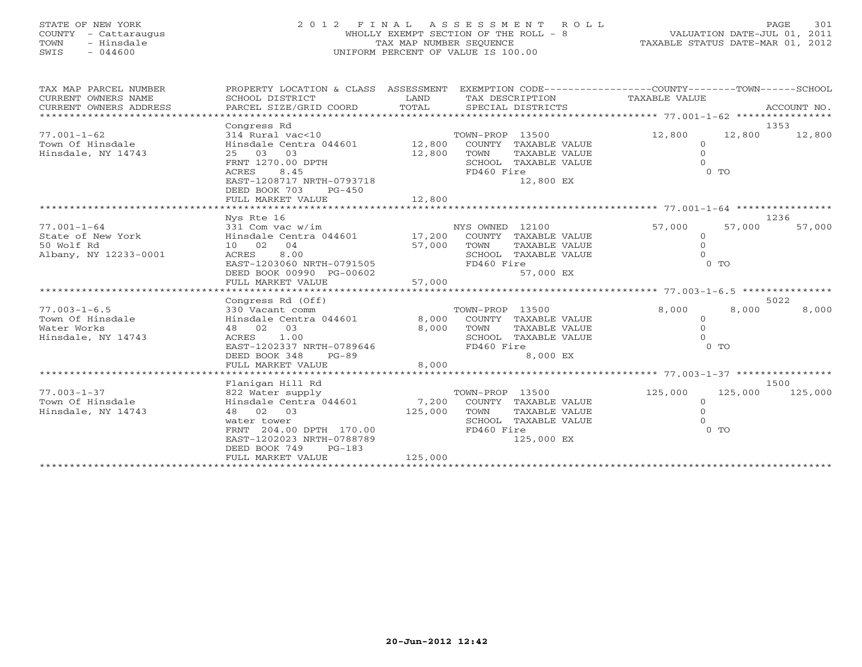# STATE OF NEW YORK 2 0 1 2 F I N A L A S S E S S M E N T R O L L PAGE 301 COUNTY - Cattaraugus WHOLLY EXEMPT SECTION OF THE ROLL - 8 VALUATION DATE-JUL 01, 2011 TOWN - Hinsdale TAX MAP NUMBER SEQUENCE TAXABLE STATUS DATE-MAR 01, 2012 SWIS - 044600 UNIFORM PERCENT OF VALUE IS 100.00UNIFORM PERCENT OF VALUE IS 100.00

| TAX MAP PARCEL NUMBER<br>CURRENT OWNERS NAME<br>CURRENT OWNERS ADDRESS                                                                                       | PROPERTY LOCATION & CLASS ASSESSMENT EXEMPTION CODE---------------COUNTY-------TOWN------SCHOOL<br>SCHOOL DISTRICT<br>PARCEL SIZE/GRID COORD<br>***************************                                                                                                                     | LAND<br>TOTAL                                | TAX DESCRIPTION<br>SPECIAL DISTRICTS                                                                                                                                                                                          | TAXABLE VALUE                                                               | ACCOUNT NO.                                                            |
|--------------------------------------------------------------------------------------------------------------------------------------------------------------|-------------------------------------------------------------------------------------------------------------------------------------------------------------------------------------------------------------------------------------------------------------------------------------------------|----------------------------------------------|-------------------------------------------------------------------------------------------------------------------------------------------------------------------------------------------------------------------------------|-----------------------------------------------------------------------------|------------------------------------------------------------------------|
| $77.001 - 1 - 62$<br>Town Of Hinsdale<br>Hinsdale, NY 14743                                                                                                  | Congress Rd<br>314 Rural vac<10<br>Hinsdale Centra 044601<br>25 03 03<br>FRNT 1270.00 DPTH<br>ACRES<br>8.45<br>EAST-1208717 NRTH-0793718<br>DEED BOOK 703<br>$PG-450$<br>FULL MARKET VALUE                                                                                                      | 12,800<br>12,800<br>12,800                   | TOWN-PROP 13500<br>COUNTY TAXABLE VALUE<br>TOWN<br>TAXABLE VALUE<br>SCHOOL TAXABLE VALUE<br>FD460 Fire<br>12,800 EX                                                                                                           | 12,800<br>$\circ$<br>$\circ$                                                | 1353<br>12,800<br>12,800<br>0 <sub>0</sub>                             |
|                                                                                                                                                              |                                                                                                                                                                                                                                                                                                 |                                              |                                                                                                                                                                                                                               |                                                                             |                                                                        |
| $77.001 - 1 - 64$<br>State of New York<br>50 Wolf Rd<br>Albany, NY 12233-0001<br>$77.003 - 1 - 6.5$<br>Town Of Hinsdale<br>Water Works<br>Hinsdale, NY 14743 | Nys Rte 16<br>331 Com vac w/im<br>Hinsdale Centra 044601<br>10 02 04<br>8.00<br>ACRES<br>EAST-1203060 NRTH-0791505<br>DEED BOOK 00990 PG-00602<br>FULL MARKET VALUE<br>Congress Rd (Off)<br>330 Vacant comm<br>Hinsdale Centra 044601<br>48 02 03<br>1.00<br>ACRES<br>EAST-1202337 NRTH-0789646 | 17,200<br>57,000<br>57,000<br>8,000<br>8,000 | NYS OWNED 12100<br>COUNTY TAXABLE VALUE<br>TOWN<br>TAXABLE VALUE<br>SCHOOL TAXABLE VALUE<br>FD460 Fire<br>57,000 EX<br>TOWN-PROP 13500<br>COUNTY TAXABLE VALUE<br>TOWN<br>TAXABLE VALUE<br>SCHOOL TAXABLE VALUE<br>FD460 Fire | 57,000<br>$\overline{0}$<br>$\Omega$<br>8,000<br>$\overline{0}$<br>$\Omega$ | 1236<br>57,000<br>57,000<br>$0$ TO<br>5022<br>8,000<br>8,000<br>$0$ TO |
|                                                                                                                                                              | DEED BOOK 348<br>$PG-89$<br>FULL MARKET VALUE                                                                                                                                                                                                                                                   | 8,000                                        | 8,000 EX                                                                                                                                                                                                                      |                                                                             |                                                                        |
|                                                                                                                                                              |                                                                                                                                                                                                                                                                                                 |                                              |                                                                                                                                                                                                                               |                                                                             |                                                                        |
| $77.003 - 1 - 37$<br>Town Of Hinsdale<br>Hinsdale, NY 14743                                                                                                  | Flanigan Hill Rd<br>822 Water supply<br>Hinsdale Centra 044601<br>48 02 03<br>water tower<br>FRNT 204.00 DPTH 170.00<br>EAST-1202023 NRTH-0788789<br>DEED BOOK 749<br>$PG-183$<br>FULL MARKET VALUE                                                                                             | 7,200<br>125,000<br>125,000                  | TOWN-PROP 13500<br>COUNTY TAXABLE VALUE<br>TOWN<br>TAXABLE VALUE<br>SCHOOL TAXABLE VALUE<br>FD460 Fire<br>125,000 EX                                                                                                          | 125,000<br>$\Omega$<br>$\Omega$                                             | 1500<br>125,000<br>125,000<br>$0$ TO                                   |
|                                                                                                                                                              |                                                                                                                                                                                                                                                                                                 |                                              |                                                                                                                                                                                                                               |                                                                             |                                                                        |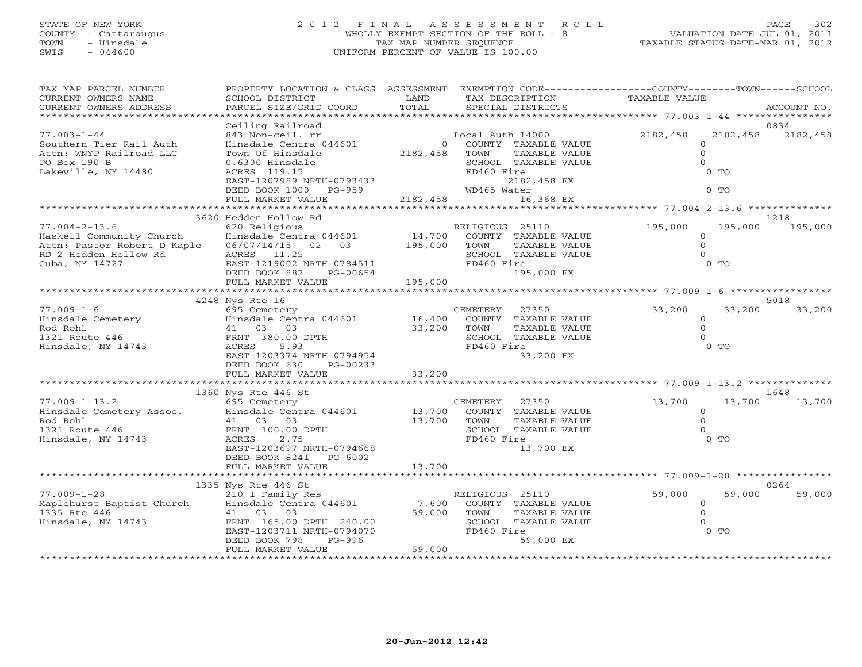# STATE OF NEW YORK 2 0 1 2 F I N A L A S S E S S M E N T R O L L PAGE 302 COUNTY - Cattaraugus WHOLLY EXEMPT SECTION OF THE ROLL - 8 VALUATION DATE-JUL 01, 2011 TOWN - Hinsdale TAX MAP NUMBER SEQUENCE TAXABLE STATUS DATE-MAR 01, 2012 SWIS - 044600 UNIFORM PERCENT OF VALUE IS 100.00

| TAX MAP PARCEL NUMBER<br>CURRENT OWNERS NAME                                                                              | PROPERTY LOCATION & CLASS ASSESSMENT<br>SCHOOL DISTRICT                                                                                                                                          | LAND                                             | TAX DESCRIPTION                                                                                                                                    | EXEMPTION CODE-----------------COUNTY-------TOWN------SCHOOL<br>TAXABLE VALUE |                  |
|---------------------------------------------------------------------------------------------------------------------------|--------------------------------------------------------------------------------------------------------------------------------------------------------------------------------------------------|--------------------------------------------------|----------------------------------------------------------------------------------------------------------------------------------------------------|-------------------------------------------------------------------------------|------------------|
| CURRENT OWNERS ADDRESS<br>***********************                                                                         | PARCEL SIZE/GRID COORD                                                                                                                                                                           | TOTAL                                            | SPECIAL DISTRICTS                                                                                                                                  |                                                                               | ACCOUNT NO.      |
| $77.003 - 1 - 44$<br>Southern Tier Rail Auth<br>Attn: WNYP Railroad LLC<br>PO Box 190-B<br>Lakeville, NY 14480            | Ceiling Railroad<br>843 Non-ceil. rr<br>Hinsdale Centra 044601<br>Town Of Hinsdale<br>0.6300 Hinsdale<br>ACRES 119.15<br>EAST-1207989 NRTH-0793433<br>DEED BOOK 1000 PG-959<br>FULL MARKET VALUE | 0<br>2182,458<br>2182,458                        | Local Auth 14000<br>COUNTY TAXABLE VALUE<br>TAXABLE VALUE<br>TOWN<br>SCHOOL TAXABLE VALUE<br>FD460 Fire<br>2182,458 EX<br>WD465 Water<br>16,368 EX | 2182,458<br>2182,458<br>$\Omega$<br>$\Omega$<br>$\Omega$<br>$0$ TO<br>$0$ TO  | 0834<br>2182,458 |
|                                                                                                                           | 3620 Hedden Hollow Rd                                                                                                                                                                            |                                                  |                                                                                                                                                    |                                                                               | 1218             |
| $77.004 - 2 - 13.6$<br>Haskell Community Church<br>Attn: Pastor Robert D Kaple<br>RD 2 Hedden Hollow Rd<br>Cuba, NY 14727 | 620 Religious<br>Hinsdale Centra 044601<br>06/07/14/15 02 03<br>ACRES 11.25<br>EAST-1219002 NRTH-0784511<br>DEED BOOK 882<br>PG-00654<br>FULL MARKET VALUE                                       | 14,700<br>195,000<br>195,000                     | RELIGIOUS 25110<br>COUNTY TAXABLE VALUE<br>TOWN<br>TAXABLE VALUE<br>SCHOOL TAXABLE VALUE<br>FD460 Fire<br>195,000 EX                               | 195,000<br>195,000<br>$\circ$<br>$\circ$<br>$\Omega$<br>$0$ TO                | 195,000          |
|                                                                                                                           | ***************************<br>4248 Nys Rte 16                                                                                                                                                   |                                                  |                                                                                                                                                    |                                                                               | 5018             |
| $77.009 - 1 - 6$<br>Hinsdale Cemetery<br>Rod Rohl<br>1321 Route 446<br>Hinsdale, NY 14743                                 | 695 Cemetery<br>Hinsdale Centra 044601<br>41 03 03<br>FRNT 380.00 DPTH<br>5.93<br>ACRES<br>EAST-1203374 NRTH-0794954<br>DEED BOOK 630<br>PG-00233                                                | 16,400<br>33,200                                 | CEMETERY<br>27350<br>COUNTY TAXABLE VALUE<br>TOWN<br>TAXABLE VALUE<br>SCHOOL TAXABLE VALUE<br>FD460 Fire<br>33,200 EX                              | 33,200<br>33,200<br>$\circ$<br>$\circ$<br>$\Omega$<br>$0$ TO                  | 33,200           |
|                                                                                                                           | FULL MARKET VALUE                                                                                                                                                                                | 33,200                                           |                                                                                                                                                    |                                                                               |                  |
| $77.009 - 1 - 13.2$<br>Hinsdale Cemetery Assoc.<br>Rod Rohl<br>1321 Route 446<br>Hinsdale, NY 14743                       | 1360 Nys Rte 446 St<br>695 Cemetery<br>Hinsdale Centra 044601<br>41 03 03<br>FRNT 100.00 DPTH<br>ACRES<br>2.75<br>EAST-1203697 NRTH-0794668<br>DEED BOOK 8241<br>PG-6002<br>FULL MARKET VALUE    | 13,700<br>13,700<br>13,700                       | CEMETERY<br>27350<br>COUNTY TAXABLE VALUE<br>TOWN<br>TAXABLE VALUE<br>SCHOOL TAXABLE VALUE<br>FD460 Fire<br>13,700 EX                              | 13,700<br>13,700<br>$\mathbf{0}$<br>$\Omega$<br>$\Omega$<br>$0$ TO            | 1648<br>13,700   |
|                                                                                                                           |                                                                                                                                                                                                  |                                                  |                                                                                                                                                    |                                                                               |                  |
| $77.009 - 1 - 28$<br>Maplehurst Baptist Church<br>1335 Rte 446<br>Hinsdale, NY 14743                                      | 1335 Nys Rte 446 St<br>210 1 Family Res<br>Hinsdale Centra 044601<br>41 03 03<br>FRNT 165.00 DPTH 240.00<br>EAST-1203711 NRTH-0794070<br>DEED BOOK 798<br>$PG-996$<br>FULL MARKET VALUE          | 7,600<br>59,000<br>59,000<br>******************* | RELIGIOUS 25110<br>COUNTY TAXABLE VALUE<br>TOWN<br>TAXABLE VALUE<br>SCHOOL TAXABLE VALUE<br>FD460 Fire<br>59,000 EX                                | 59,000<br>59,000<br>$\circ$<br>$\Omega$<br>$\mathbf{O}$<br>$0$ TO             | 0264<br>59,000   |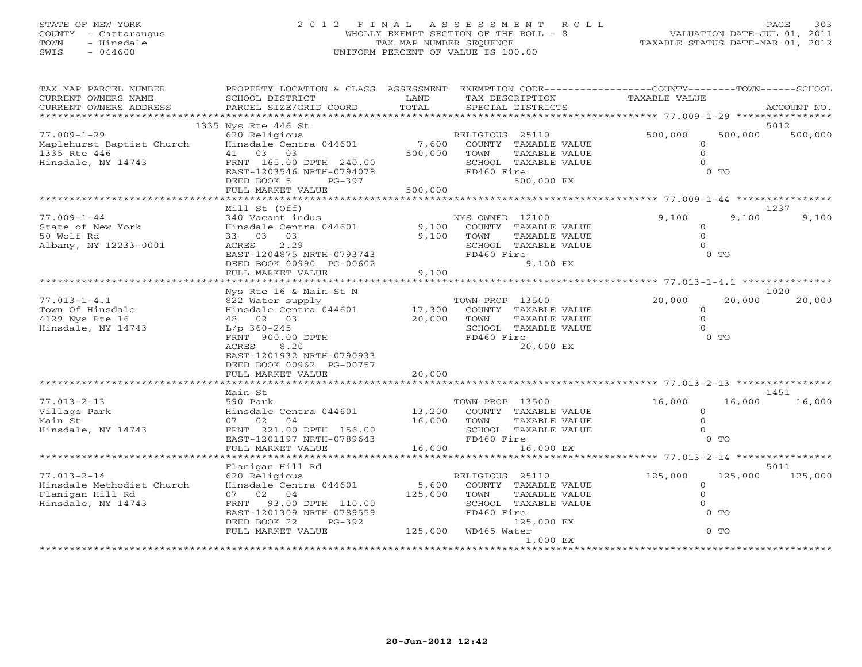# STATE OF NEW YORK 2 0 1 2 F I N A L A S S E S S M E N T R O L L PAGE 303 COUNTY - Cattaraugus WHOLLY EXEMPT SECTION OF THE ROLL - 8 VALUATION DATE-JUL 01, 2011 TOWN - Hinsdale TAX MAP NUMBER SEQUENCE TAXABLE STATUS DATE-MAR 01, 2012 SWIS - 044600 UNIFORM PERCENT OF VALUE IS 100.00

| TAX MAP PARCEL NUMBER                                  | PROPERTY LOCATION & CLASS ASSESSMENT EXEMPTION CODE---------------COUNTY-------TOWN------SCHOOL |         |                             |                |         |                 |
|--------------------------------------------------------|-------------------------------------------------------------------------------------------------|---------|-----------------------------|----------------|---------|-----------------|
| CURRENT OWNERS NAME                                    | SCHOOL DISTRICT                                                                                 | LAND    | TAX DESCRIPTION             | TAXABLE VALUE  |         |                 |
| CURRENT OWNERS ADDRESS                                 | PARCEL SIZE/GRID COORD                                                                          | TOTAL   | SPECIAL DISTRICTS           |                |         | ACCOUNT NO.     |
|                                                        |                                                                                                 |         |                             |                |         |                 |
|                                                        | 1335 Nys Rte 446 St                                                                             |         |                             |                |         | 5012            |
| $77.009 - 1 - 29$                                      | 620 Religious                                                                                   |         | RELIGIOUS 25110             | 500,000        |         | 500,000 500,000 |
| Maplehurst Baptist Church Hinsdale Centra 044601 7,600 |                                                                                                 |         | COUNTY TAXABLE VALUE        | $\circ$        |         |                 |
| 1335 Rte 446                                           | 41 03 03                                                                                        | 500,000 | TOWN<br>TAXABLE VALUE       | $\circ$        |         |                 |
| Hinsdale, NY 14743                                     |                                                                                                 |         | SCHOOL TAXABLE VALUE        | $\Omega$       |         |                 |
|                                                        | FRNT 165.00 DPTH 240.00<br>EAST-1203546 NRTH-0794078                                            |         | FD460 Fire                  |                | $0$ TO  |                 |
|                                                        | DEED BOOK 5<br>PG-397                                                                           |         | 500,000 EX                  |                |         |                 |
|                                                        |                                                                                                 |         |                             |                |         |                 |
|                                                        | Mill St (Off)                                                                                   |         |                             |                |         | 1237            |
| $77.009 - 1 - 44$                                      | 340 Vacant indus                                                                                |         | NYS OWNED 12100             | 9,100          | 9,100   | 9,100           |
| State of New York                                      | Hinsdale Centra 044601 9,100                                                                    |         | COUNTY TAXABLE VALUE        | $\circ$        |         |                 |
| 50 Wolf Rd                                             | 33 03 03                                                                                        | 9,100   | TOWN<br>TAXABLE VALUE       | $\circ$        |         |                 |
| Albany, NY 12233-0001                                  | ACRES<br>2.29                                                                                   |         | SCHOOL TAXABLE VALUE        | $\Omega$       |         |                 |
|                                                        | EAST-1204875 NRTH-0793743                                                                       |         | FD460 Fire                  |                | $0$ TO  |                 |
|                                                        | DEED BOOK 00990 PG-00602                                                                        |         | 9,100 EX                    |                |         |                 |
|                                                        | FULL MARKET VALUE                                                                               | 9,100   |                             |                |         |                 |
|                                                        |                                                                                                 |         |                             |                |         |                 |
|                                                        | Nys Rte 16 & Main St N                                                                          |         |                             |                |         | 1020            |
| $77.013 - 1 - 4.1$                                     | 822 Water supply                                                                                |         | TOWN-PROP 13500             | 20,000         | 20,000  | 20,000          |
| Town Of Hinsdale                                       |                                                                                                 |         |                             | $\overline{0}$ |         |                 |
| 4129 Nys Rte 16                                        | Hinsdale Centra 044601 17,300 COUNTY TAXABLE VALUE<br>48 02 03 20,000 TOWN TAXABLE VALUE        |         |                             | $\circ$        |         |                 |
| Hinsdale, NY 14743                                     | $L/p$ 360-245                                                                                   |         | SCHOOL TAXABLE VALUE        | $\Omega$       |         |                 |
|                                                        | FRNT 900.00 DPTH                                                                                |         | FD460 Fire                  |                | $0$ TO  |                 |
|                                                        | 8.20<br>ACRES                                                                                   |         | 20,000 EX                   |                |         |                 |
|                                                        | EAST-1201932 NRTH-0790933                                                                       |         |                             |                |         |                 |
|                                                        | DEED BOOK 00962 PG-00757                                                                        |         |                             |                |         |                 |
|                                                        | FULL MARKET VALUE                                                                               | 20,000  |                             |                |         |                 |
|                                                        |                                                                                                 |         |                             |                |         |                 |
|                                                        | Main St                                                                                         |         |                             |                |         | 1451            |
| $77.013 - 2 - 13$                                      | 590 Park                                                                                        |         | TOWN-PROP 13500             | 16,000         | 16,000  | 16,000          |
| Village Park                                           | Hinsdale Centra 044601                                                                          |         | 13,200 COUNTY TAXABLE VALUE | $\overline{0}$ |         |                 |
| Main St                                                | 07 02 04                                                                                        | 16,000  | TOWN<br>TAXABLE VALUE       | $\Omega$       |         |                 |
| Hinsdale, NY 14743                                     | U.<br>FRNT 221.00 DPTH 156.00<br>FAST-1201197 NRTH-0789643                                      |         | SCHOOL TAXABLE VALUE        | $\Omega$       | $0$ TO  |                 |
|                                                        |                                                                                                 | 16,000  | FD460 Fire                  |                |         |                 |
|                                                        | FULL MARKET VALUE                                                                               |         | 16,000 EX                   |                |         |                 |
|                                                        | Flanigan Hill Rd                                                                                |         |                             |                |         | 5011            |
| $77.013 - 2 - 14$                                      | 620 Religious                                                                                   |         | RELIGIOUS 25110             | 125,000        | 125,000 | 125,000         |
| Hinsdale Methodist Church                              | Hinsdale Centra 044601                                                                          | 5,600   | COUNTY TAXABLE VALUE        | $\circ$        |         |                 |
| Flanigan Hill Rd                                       | 07 02 04                                                                                        | 125,000 | TOWN<br>TAXABLE VALUE       | $\circ$        |         |                 |
| Hinsdale, NY 14743                                     | FRNT 93.00 DPTH 110.00                                                                          |         | SCHOOL TAXABLE VALUE        | $\circ$        |         |                 |
|                                                        | EAST-1201309 NRTH-0789559                                                                       |         | FD460 Fire                  |                | $0$ TO  |                 |
|                                                        | DEED BOOK 22<br>PG-392                                                                          |         | 125,000 EX                  |                |         |                 |
|                                                        | FULL MARKET VALUE                                                                               |         | 125,000 WD465 Water         |                | $0$ TO  |                 |
|                                                        |                                                                                                 |         | 1,000 EX                    |                |         |                 |
|                                                        |                                                                                                 |         |                             |                |         |                 |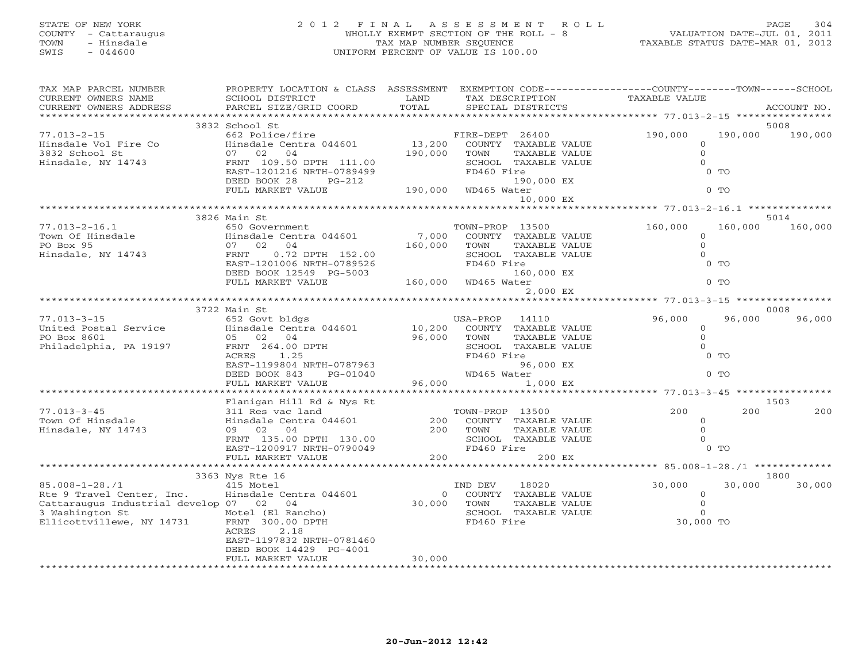# STATE OF NEW YORK 2 0 1 2 F I N A L A S S E S S M E N T R O L L PAGE 304 COUNTY - Cattaraugus WHOLLY EXEMPT SECTION OF THE ROLL - 8 VALUATION DATE-JUL 01, 2011 TOWN - Hinsdale TAX MAP NUMBER SEQUENCE TAXABLE STATUS DATE-MAR 01, 2012 SWIS - 044600 UNIFORM PERCENT OF VALUE IS 100.00UNIFORM PERCENT OF VALUE IS 100.00

| TAX MAP PARCEL NUMBER                   | PROPERTY LOCATION & CLASS ASSESSMENT                 |                             | EXEMPTION CODE-----------------COUNTY-------TOWN------SCHOOL |                                                                 |                    |        |
|-----------------------------------------|------------------------------------------------------|-----------------------------|--------------------------------------------------------------|-----------------------------------------------------------------|--------------------|--------|
| CURRENT OWNERS NAME                     | SCHOOL DISTRICT                                      | LAND                        | TAX DESCRIPTION                                              | <b>TAXABLE VALUE</b>                                            |                    |        |
| CURRENT OWNERS ADDRESS                  | PARCEL SIZE/GRID COORD                               | TOTAL                       | SPECIAL DISTRICTS                                            |                                                                 | ACCOUNT NO.        |        |
|                                         | 3832 School St                                       |                             |                                                              |                                                                 | 5008               |        |
| $77.013 - 2 - 15$                       | 662 Police/fire                                      |                             | FIRE-DEPT 26400                                              | 190,000                                                         | 190,000<br>190,000 |        |
| Hinsdale Vol Fire Co                    | Hinsdale Centra 044601                               | 13,200                      | COUNTY TAXABLE VALUE                                         | $\Omega$                                                        |                    |        |
| 3832 School St                          | 07 02 04                                             | 190,000                     | TOWN<br>TAXABLE VALUE                                        | $\circ$                                                         |                    |        |
| Hinsdale, NY 14743                      | FRNT 109.50 DPTH 111.00                              |                             | SCHOOL TAXABLE VALUE                                         | $\Omega$                                                        |                    |        |
|                                         | EAST-1201216 NRTH-0789499                            |                             | FD460 Fire                                                   | $0$ TO                                                          |                    |        |
|                                         | DEED BOOK 28<br>$PG-212$                             |                             | 190,000 EX                                                   |                                                                 |                    |        |
|                                         | FULL MARKET VALUE                                    | 190,000                     | WD465 Water                                                  | $0$ TO                                                          |                    |        |
|                                         |                                                      |                             | 10,000 EX                                                    |                                                                 |                    |        |
|                                         |                                                      |                             |                                                              | ********************************* 77.013-2-16.1 *************** |                    |        |
|                                         | 3826 Main St                                         |                             |                                                              |                                                                 | 5014               |        |
| $77.013 - 2 - 16.1$                     | 650 Government                                       |                             | TOWN-PROP 13500                                              | 160,000                                                         | 160,000<br>160,000 |        |
| Town Of Hinsdale                        | Hinsdale Centra 044601                               | 7,000                       | COUNTY TAXABLE VALUE                                         | $\Omega$                                                        |                    |        |
| PO Box 95                               | 07 02 04                                             | 160,000                     | TOWN<br>TAXABLE VALUE                                        | $\Omega$<br>$\Omega$                                            |                    |        |
| Hinsdale, NY 14743                      | 0.72 DPTH 152.00<br>FRNT                             |                             | SCHOOL TAXABLE VALUE                                         | $0$ TO                                                          |                    |        |
|                                         | EAST-1201006 NRTH-0789526<br>DEED BOOK 12549 PG-5003 |                             | FD460 Fire<br>160,000 EX                                     |                                                                 |                    |        |
|                                         | FULL MARKET VALUE                                    | 160,000                     | WD465 Water                                                  | $0$ TO                                                          |                    |        |
|                                         |                                                      |                             | 2,000 EX                                                     |                                                                 |                    |        |
|                                         |                                                      |                             |                                                              |                                                                 |                    |        |
|                                         | 3722 Main St                                         |                             |                                                              |                                                                 | 0008               |        |
| $77.013 - 3 - 15$                       | 652 Govt bldgs                                       |                             | USA-PROP<br>14110                                            | 96,000                                                          | 96,000             | 96,000 |
| United Postal Service                   | Hinsdale Centra 044601                               | 10,200                      | COUNTY TAXABLE VALUE                                         | $\circ$                                                         |                    |        |
| PO Box 8601                             | 05 02 04                                             | 96,000                      | TOWN<br>TAXABLE VALUE                                        | $\circ$                                                         |                    |        |
| Philadelphia, PA 19197                  | FRNT 264.00 DPTH                                     |                             | SCHOOL TAXABLE VALUE                                         | $\Omega$                                                        |                    |        |
|                                         | ACRES<br>1.25                                        |                             | FD460 Fire                                                   | $0$ TO                                                          |                    |        |
|                                         | EAST-1199804 NRTH-0787963                            |                             | 96,000 EX                                                    |                                                                 |                    |        |
|                                         | DEED BOOK 843<br>PG-01040                            |                             | WD465 Water                                                  | $0$ TO                                                          |                    |        |
|                                         | FULL MARKET VALUE                                    | 96,000                      | 1,000 EX                                                     |                                                                 |                    |        |
|                                         |                                                      |                             |                                                              |                                                                 |                    |        |
| $77.013 - 3 - 45$                       | Flanigan Hill Rd & Nys Rt<br>311 Res vac land        |                             | TOWN-PROP 13500                                              | 200                                                             | 1503<br>200        | 200    |
| Town Of Hinsdale                        | Hinsdale Centra 044601                               | 200                         | COUNTY TAXABLE VALUE                                         | $\circ$                                                         |                    |        |
| Hinsdale, NY 14743                      | 09 02 04                                             | 200                         | TOWN<br>TAXABLE VALUE                                        | $\circ$                                                         |                    |        |
|                                         | FRNT 135.00 DPTH 130.00                              |                             | SCHOOL TAXABLE VALUE                                         | $\Omega$                                                        |                    |        |
|                                         | EAST-1200917 NRTH-0790049                            |                             | FD460 Fire                                                   | $0$ TO                                                          |                    |        |
|                                         | FULL MARKET VALUE                                    | 200                         | 200 EX                                                       |                                                                 |                    |        |
|                                         | ************************                             | * * * * * * * * * * * * * * |                                                              | *********** 85.008-1-28./1 *************                        |                    |        |
|                                         | 3363 Nys Rte 16                                      |                             |                                                              |                                                                 | 1800               |        |
| $85.008 - 1 - 28.71$                    | 415 Motel                                            |                             | 18020<br>IND DEV                                             | 30,000                                                          | 30,000             | 30,000 |
| Rte 9 Travel Center, Inc.               | Hinsdale Centra 044601                               | $\overline{O}$              | COUNTY TAXABLE VALUE                                         | $\overline{0}$                                                  |                    |        |
| Cattaraugus Industrial develop 07 02 04 |                                                      | 30,000                      | TOWN<br>TAXABLE VALUE                                        | $\circ$                                                         |                    |        |
| 3 Washington St                         | Motel (El Rancho)                                    |                             | SCHOOL TAXABLE VALUE                                         | $\overline{O}$                                                  |                    |        |
| Ellicottvillewe, NY 14731               | FRNT 300.00 DPTH                                     |                             | FD460 Fire                                                   | 30,000 TO                                                       |                    |        |
|                                         | 2.18<br>ACRES                                        |                             |                                                              |                                                                 |                    |        |
|                                         | EAST-1197832 NRTH-0781460<br>DEED BOOK 14429 PG-4001 |                             |                                                              |                                                                 |                    |        |
|                                         | FULL MARKET VALUE                                    | 30,000                      |                                                              |                                                                 |                    |        |
|                                         |                                                      |                             |                                                              |                                                                 |                    |        |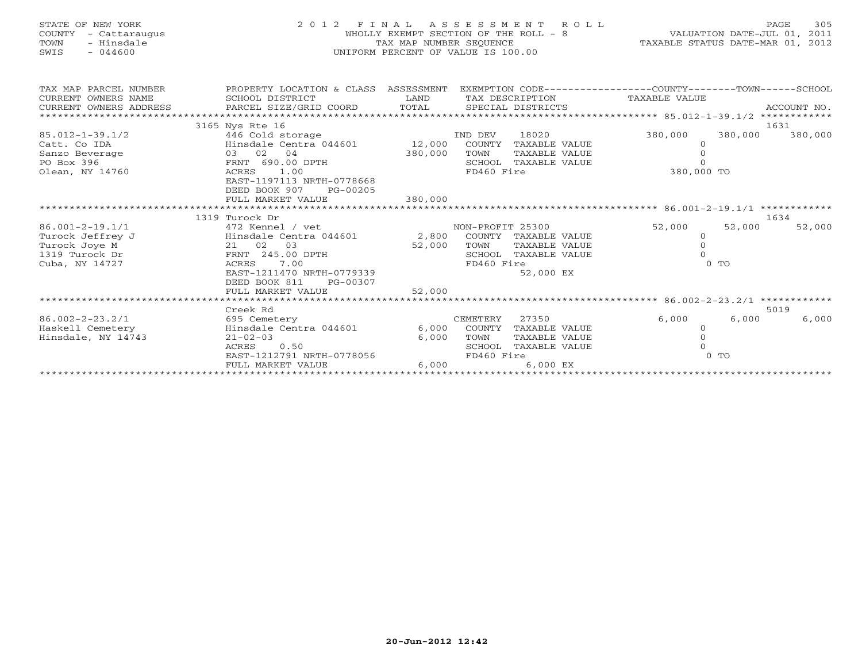| STATE OF NEW YORK<br>2012 FINAL<br>WHOLLY EXEMPT SECTION OF THE ROLL - 8<br>COUNTY<br>- Cattaraugus<br>- Hinsdale<br>TAX MAP NUMBER SEQUENCE<br>TOWN<br>$-044600$<br>UNIFORM PERCENT OF VALUE IS 100.00<br>SWIS |                                                                                                                                                                                               |                              | ASSESSMENT<br>ROLL.                                                                                                        | 305<br>PAGE<br>VALUATION DATE-JUL 01, 2011<br>TAXABLE STATUS DATE-MAR 01, 2012 |                            |  |
|-----------------------------------------------------------------------------------------------------------------------------------------------------------------------------------------------------------------|-----------------------------------------------------------------------------------------------------------------------------------------------------------------------------------------------|------------------------------|----------------------------------------------------------------------------------------------------------------------------|--------------------------------------------------------------------------------|----------------------------|--|
| TAX MAP PARCEL NUMBER<br>CURRENT OWNERS NAME<br>CURRENT OWNERS ADDRESS<br>*************************                                                                                                             | PROPERTY LOCATION & CLASS ASSESSMENT<br>SCHOOL DISTRICT<br>PARCEL SIZE/GRID COORD                                                                                                             | LAND<br>TOTAL                | EXEMPTION CODE-----------------COUNTY-------TOWN------SCHOOL<br>TAX DESCRIPTION<br>SPECIAL DISTRICTS                       | TAXABLE VALUE                                                                  | ACCOUNT NO.                |  |
| $85.012 - 1 - 39.1/2$<br>Catt. Co IDA<br>Sanzo Beverage<br>PO Box 396<br>Olean, NY 14760                                                                                                                        | 3165 Nys Rte 16<br>446 Cold storage<br>Hinsdale Centra 044601<br>03 02 04<br>FRNT 690.00 DPTH<br>ACRES<br>1.00<br>EAST-1197113 NRTH-0778668<br>DEED BOOK 907<br>PG-00205<br>FULL MARKET VALUE | 12,000<br>380,000<br>380,000 | IND DEV<br>18020<br>COUNTY TAXABLE VALUE<br>TOWN<br>TAXABLE VALUE<br>SCHOOL TAXABLE VALUE<br>FD460 Fire                    | 380,000<br>$\Omega$<br>380,000 TO                                              | 1631<br>380,000<br>380,000 |  |
|                                                                                                                                                                                                                 | 1319 Turock Dr                                                                                                                                                                                |                              |                                                                                                                            |                                                                                | 1634                       |  |
| $86.001 - 2 - 19.1/1$<br>Turock Jeffrey J<br>Turock Joye M<br>1319 Turock Dr<br>Cuba, NY 14727                                                                                                                  | 472 Kennel / vet<br>Hinsdale Centra 044601<br>21 02 03<br>FRNT 245.00 DPTH<br>7.00<br>ACRES<br>EAST-1211470 NRTH-0779339<br>DEED BOOK 811<br>PG-00307<br>FULL MARKET VALUE                    | 52,000<br>52,000             | NON-PROFIT 25300<br>2,800 COUNTY TAXABLE VALUE<br>TAXABLE VALUE<br>TOWN<br>SCHOOL TAXABLE VALUE<br>FD460 Fire<br>52,000 EX | 52,000<br>$\Omega$<br>$\Omega$<br>$0$ TO                                       | 52,000<br>52,000           |  |
|                                                                                                                                                                                                                 |                                                                                                                                                                                               |                              |                                                                                                                            |                                                                                |                            |  |
| $86.002 - 2 - 23.2/1$<br>Haskell Cemetery<br>Hinsdale, NY 14743                                                                                                                                                 | Creek Rd<br>695 Cemetery<br>Hinsdale Centra 044601<br>$21 - 02 - 03$<br><b>ACRES</b><br>0.50<br>EAST-1212791 NRTH-0778056<br>FULL MARKET VALUE                                                | 6,000<br>6,000<br>6,000      | CEMETERY<br>27350<br>COUNTY<br>TAXABLE VALUE<br>TOWN<br>TAXABLE VALUE<br>SCHOOL TAXABLE VALUE<br>FD460 Fire<br>$6.000$ EX  | 6,000<br>$\Omega$<br>$0$ TO                                                    | 5019<br>6,000<br>6,000     |  |
| **********************                                                                                                                                                                                          |                                                                                                                                                                                               |                              |                                                                                                                            |                                                                                |                            |  |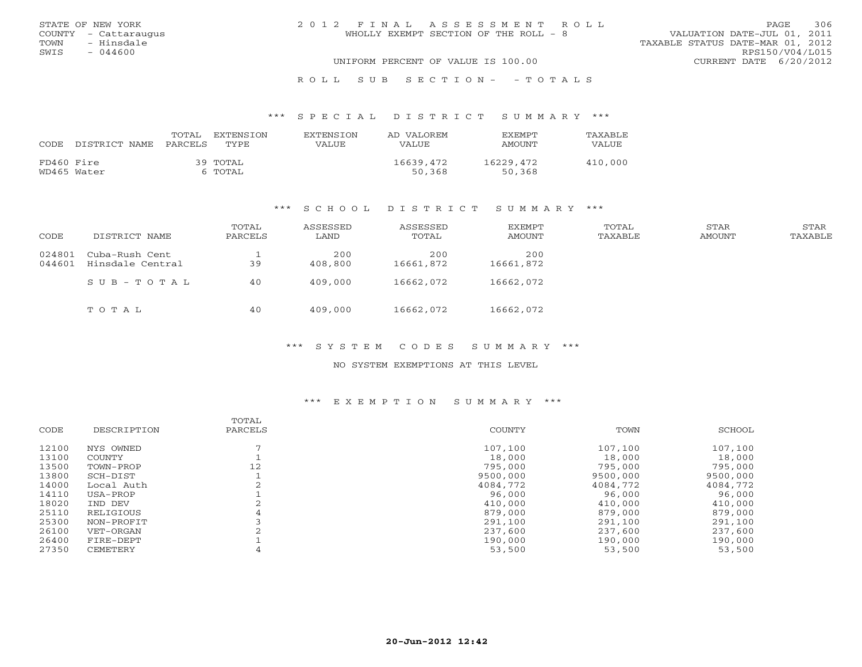|      | STATE OF NEW YORK    | 2012 FINAL ASSESSMENT ROLL            |                                  |                        | PAGE | 306 |
|------|----------------------|---------------------------------------|----------------------------------|------------------------|------|-----|
|      | COUNTY - Cattaraugus | WHOLLY EXEMPT SECTION OF THE ROLL - 8 | VALUATION DATE-JUL 01, 2011      |                        |      |     |
| TOWN | - Hinsdale           |                                       | TAXABLE STATUS DATE-MAR 01, 2012 |                        |      |     |
| SWIS | $-044600$            |                                       |                                  | RPS150/V04/L015        |      |     |
|      |                      | UNIFORM PERCENT OF VALUE IS 100.00    |                                  | CURRENT DATE 6/20/2012 |      |     |
|      |                      |                                       |                                  |                        |      |     |

## R O L L S U B S E C T I O N - - T O T A L S

#### \*\*\* S P E C I A L D I S T R I C T S U M M A R Y \*\*\*

| CODE       | DISTRICT NAME | TOTAL<br>PARCELS | EXTENSTON<br><b>TYPE</b> | <b>EXTENSION</b><br>VALUE | AD VALOREM<br><b>VALUE</b> | <b>EXEMPT</b><br>AMOUNT | <b>TAXABLF</b><br>VALUE |
|------------|---------------|------------------|--------------------------|---------------------------|----------------------------|-------------------------|-------------------------|
| FD460 Fire | WD465 Water   |                  | 39 TOTAL<br>6 TOTAL      |                           | 16639,472<br>50,368        | 16229,472<br>50,368     | 410,000                 |

### \*\*\* S C H O O L D I S T R I C T S U M M A R Y \*\*\*

| CODE             | DISTRICT NAME                      | TOTAL<br>PARCELS | ASSESSED<br>LAND | ASSESSED<br>TOTAL | EXEMPT<br>AMOUNT | TOTAL<br>TAXABLE | STAR<br><b>AMOUNT</b> | STAR<br>TAXABLE |
|------------------|------------------------------------|------------------|------------------|-------------------|------------------|------------------|-----------------------|-----------------|
| 024801<br>044601 | Cuba-Rush Cent<br>Hinsdale Central | 39               | 200<br>408,800   | 200<br>16661,872  | 200<br>16661,872 |                  |                       |                 |
|                  | $SUB - TO T AL$                    | 40               | 409,000          | 16662,072         | 16662,072        |                  |                       |                 |
|                  | TOTAL                              | 40               | 409,000          | 16662,072         | 16662,072        |                  |                       |                 |

### \*\*\* S Y S T E M C O D E S S U M M A R Y \*\*\*

## NO SYSTEM EXEMPTIONS AT THIS LEVEL

#### \*\*\* E X E M P T I O N S U M M A R Y \*\*\*

|       |             | TOTAL   |          |          |          |
|-------|-------------|---------|----------|----------|----------|
| CODE  | DESCRIPTION | PARCELS | COUNTY   | TOWN     | SCHOOL   |
| 12100 | NYS OWNED   |         | 107,100  | 107,100  | 107,100  |
| 13100 | COUNTY      |         | 18,000   | 18,000   | 18,000   |
| 13500 | TOWN-PROP   | 12      | 795,000  | 795,000  | 795,000  |
| 13800 | SCH-DIST    |         | 9500,000 | 9500,000 | 9500,000 |
| 14000 | Local Auth  |         | 4084,772 | 4084,772 | 4084,772 |
| 14110 | USA-PROP    |         | 96,000   | 96,000   | 96,000   |
| 18020 | IND DEV     |         | 410,000  | 410,000  | 410,000  |
| 25110 | RELIGIOUS   | 4       | 879,000  | 879,000  | 879,000  |
| 25300 | NON-PROFIT  |         | 291,100  | 291,100  | 291,100  |
| 26100 | VET-ORGAN   |         | 237,600  | 237,600  | 237,600  |
| 26400 | FIRE-DEPT   |         | 190,000  | 190,000  | 190,000  |
| 27350 | CEMETERY    |         | 53,500   | 53,500   | 53,500   |
|       |             |         |          |          |          |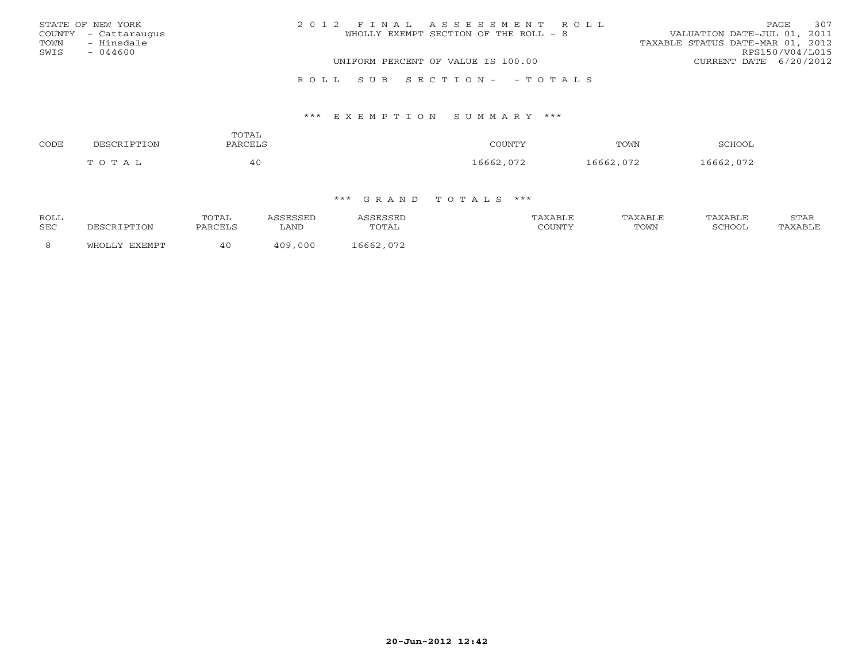|      | STATE OF NEW YORK    | 2012 FINAL ASSESSMENT ROLL |                                       |                                  | <b>PAGE</b>     | 307 |
|------|----------------------|----------------------------|---------------------------------------|----------------------------------|-----------------|-----|
|      | COUNTY - Cattaraugus |                            | WHOLLY EXEMPT SECTION OF THE ROLL - 8 | VALUATION DATE-JUL 01, 2011      |                 |     |
| TOWN | - Hinsdale           |                            |                                       | TAXABLE STATUS DATE-MAR 01, 2012 |                 |     |
| SWIS | $-044600$            |                            |                                       |                                  | RPS150/V04/L015 |     |
|      |                      |                            | UNIFORM PERCENT OF VALUE IS 100.00    | CURRENT DATE 6/20/2012           |                 |     |
|      |                      |                            |                                       |                                  |                 |     |

### R O L L S U B S E C T I O N - - T O T A L S

### \*\*\* E X E M P T I O N S U M M A R Y \*\*\*

| CODE | ברס חר          | TOTAL<br><b>PARCELS</b> | COUNTY          | TOWN                         | SCHOO                |
|------|-----------------|-------------------------|-----------------|------------------------------|----------------------|
|      | <b>OTX</b><br>m | —π                      | $\cap$<br>16662 | 16662<br>ハワつ<br><u>v / 4</u> | 16662 072<br>$\cdot$ |

| ROLL<br>SEC | DESCRIPTION | TOTAL<br>PARCELS | LAND                     | SESSEL<br>TOTAL | TAXABLE<br>$\gamma$ $\cap$ ttat $\sqcap$ t $\gamma$ | AXABLF<br>TOWN | AXABLF<br><b>SCHOOL</b> | STAR<br>TAXABLE |
|-------------|-------------|------------------|--------------------------|-----------------|-----------------------------------------------------|----------------|-------------------------|-----------------|
|             | FYFMDT      | 40               | 000<br>$\wedge$ $\wedge$ | 16662,072       |                                                     |                |                         |                 |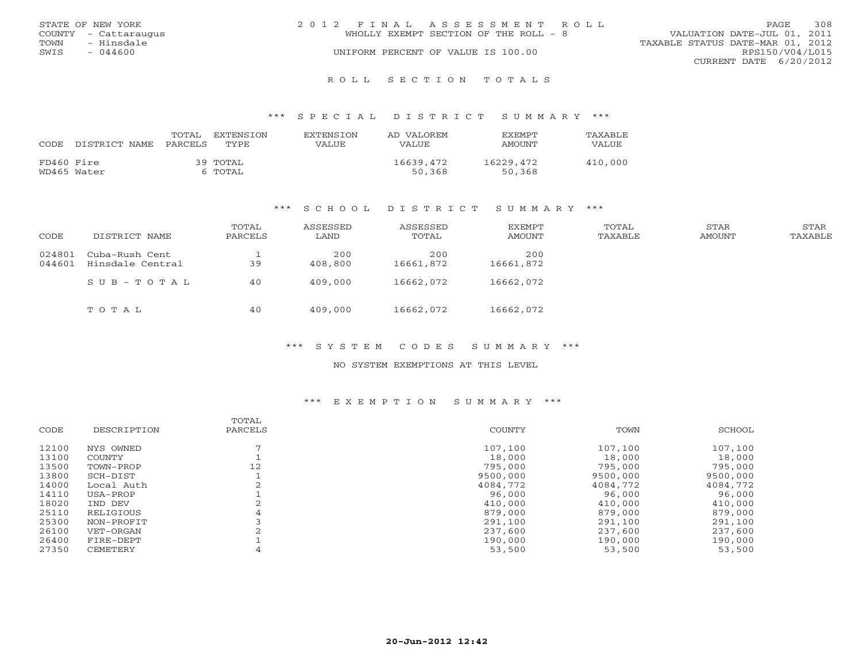|      | STATE OF NEW YORK    | 2012 FINAL ASSESSMENT ROLL                                           | PAGE.                  | 308 |
|------|----------------------|----------------------------------------------------------------------|------------------------|-----|
|      | COUNTY - Cattaraugus | VALUATION DATE-JUL 01, 2011<br>WHOLLY EXEMPT SECTION OF THE ROLL - 8 |                        |     |
| TOWN | - Hinsdale           | TAXABLE STATUS DATE-MAR 01, 2012                                     |                        |     |
| SWIS | - 044600             | UNIFORM PERCENT OF VALUE IS 100.00                                   | RPS150/V04/L015        |     |
|      |                      |                                                                      | CURRENT DATE 6/20/2012 |     |
|      |                      |                                                                      |                        |     |

R O L L S E C T I O N T O T A L S

## \*\*\* S P E C I A L D I S T R I C T S U M M A R Y \*\*\*

| CODE       | DISTRICT NAME | TOTAL<br>PARCELS | EXTENSION<br>TYPE.  | EXTENSION<br>VALUE | AD VALOREM<br>VALUE | <b>FXFMPT</b><br>AMOUNT | TAXABLE<br>VALUE |
|------------|---------------|------------------|---------------------|--------------------|---------------------|-------------------------|------------------|
| FD460 Fire | WD465 Water   |                  | 39 TOTAL<br>6 TOTAL |                    | 16639,472<br>50,368 | 16229,472<br>50,368     | 410,000          |

## \*\*\* S C H O O L D I S T R I C T S U M M A R Y \*\*\*

| CODE             | DISTRICT NAME                      | TOTAL<br>PARCELS | ASSESSED<br>LAND | ASSESSED<br>TOTAL | EXEMPT<br>AMOUNT | TOTAL<br>TAXABLE | STAR<br>AMOUNT | STAR<br>TAXABLE |
|------------------|------------------------------------|------------------|------------------|-------------------|------------------|------------------|----------------|-----------------|
| 024801<br>044601 | Cuba-Rush Cent<br>Hinsdale Central | 39               | 200<br>408,800   | 200<br>16661,872  | 200<br>16661,872 |                  |                |                 |
|                  | $SUB - TO T AL$                    | 40               | 409,000          | 16662,072         | 16662,072        |                  |                |                 |
|                  | TOTAL                              | 40               | 409,000          | 16662,072         | 16662,072        |                  |                |                 |

## \*\*\* S Y S T E M C O D E S S U M M A R Y \*\*\*

## NO SYSTEM EXEMPTIONS AT THIS LEVEL

## \*\*\* E X E M P T I O N S U M M A R Y \*\*\*

|       |             | TOTAL   |          |          |          |
|-------|-------------|---------|----------|----------|----------|
| CODE  | DESCRIPTION | PARCELS | COUNTY   | TOWN     | SCHOOL   |
|       |             |         |          |          |          |
| 12100 | NYS OWNED   |         | 107,100  | 107,100  | 107,100  |
| 13100 | COUNTY      |         | 18,000   | 18,000   | 18,000   |
| 13500 | TOWN-PROP   | 12      | 795,000  | 795,000  | 795,000  |
| 13800 | SCH-DIST    |         | 9500,000 | 9500,000 | 9500,000 |
| 14000 | Local Auth  |         | 4084,772 | 4084,772 | 4084,772 |
| 14110 | USA-PROP    |         | 96,000   | 96,000   | 96,000   |
| 18020 | IND DEV     |         | 410,000  | 410,000  | 410,000  |
| 25110 | RELIGIOUS   | 4       | 879,000  | 879,000  | 879,000  |
| 25300 | NON-PROFIT  |         | 291,100  | 291,100  | 291,100  |
| 26100 | VET-ORGAN   |         | 237,600  | 237,600  | 237,600  |
| 26400 | FIRE-DEPT   |         | 190,000  | 190,000  | 190,000  |
| 27350 | CEMETERY    |         | 53,500   | 53,500   | 53,500   |
|       |             |         |          |          |          |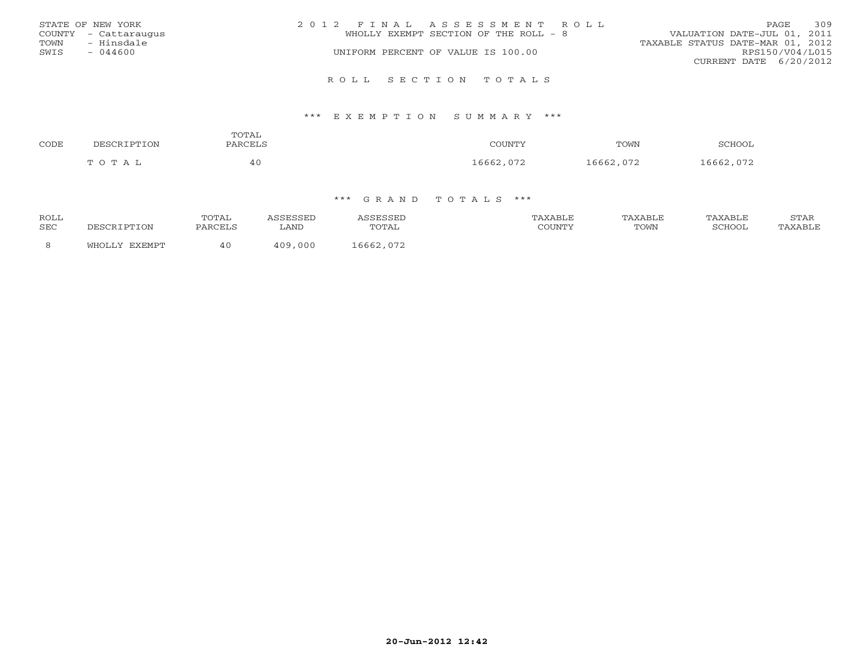|      | STATE OF NEW YORK    | 2012 FINAL ASSESSMENT ROLL                                           | <b>PAGE</b>     | 309 |
|------|----------------------|----------------------------------------------------------------------|-----------------|-----|
|      | COUNTY - Cattaraugus | VALUATION DATE-JUL 01, 2011<br>WHOLLY EXEMPT SECTION OF THE ROLL - 8 |                 |     |
| TOWN | - Hinsdale           | TAXABLE STATUS DATE-MAR 01, 2012                                     |                 |     |
| SWIS | - 044600             | UNIFORM PERCENT OF VALUE IS 100.00                                   | RPS150/V04/L015 |     |
|      |                      | CURRENT DATE 6/20/2012                                               |                 |     |
|      |                      |                                                                      |                 |     |

#### R O L L S E C T I O N T O T A L S

#### \*\*\* E X E M P T I O N S U M M A R Y \*\*\*

| CODE | DESCRIPTION | TOTAL<br>PARCELS | COUNTY    | TOWN      | SCHOOL    |
|------|-------------|------------------|-----------|-----------|-----------|
|      | TOTAL       | 40               | 16662,072 | 16662,072 | 16662,072 |

| ROLL       |                 | TOTAL   | <b>SSEL</b>  |                       | PAXABLE | AXABLE | AXABLF | STAR    |
|------------|-----------------|---------|--------------|-----------------------|---------|--------|--------|---------|
| <b>SEC</b> | <b>TTON</b>     | PARCELS | . AND        | TOTAL                 | COUNTY  | TOWN   | SCHOO1 | TAXABLE |
|            | FYFMDT<br>™HOT… |         | 000<br>1 N Q | 16662<br>$07^{\circ}$ |         |        |        |         |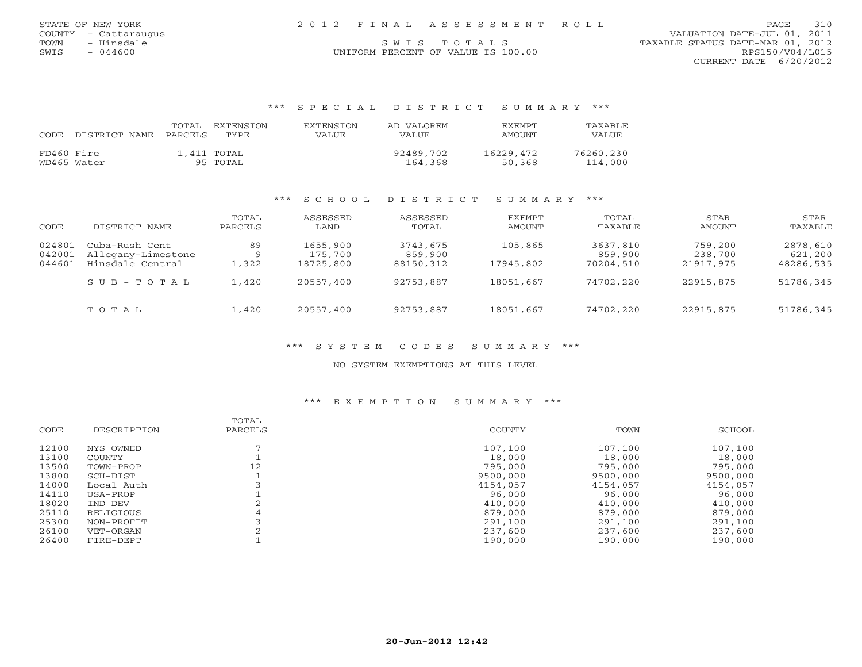|      | STATE OF NEW YORK    |  | 2012 FINAL ASSESSMENT ROLL         | 310<br>PAGE                      |
|------|----------------------|--|------------------------------------|----------------------------------|
|      | COUNTY - Cattaraugus |  |                                    | VALUATION DATE-JUL 01, 2011      |
| TOWN | - Hinsdale           |  | SWIS TOTALS                        | TAXABLE STATUS DATE-MAR 01, 2012 |
| SWIS | - 044600             |  | UNIFORM PERCENT OF VALUE IS 100.00 | RPS150/V04/L015                  |

CURRENT DATE 6/20/2012

## \*\*\* S P E C I A L D I S T R I C T S U M M A R Y \*\*\*

| CODE.      | DISTRICT NAME | TOTAL<br>PARCELS | EXTENSTON<br>TYPE.      | EXTENSION<br>VALUE | AD VALOREM<br>VALUE. | <b>EXEMPT</b><br>AMOUNT | TAXABLE<br>VALUE     |
|------------|---------------|------------------|-------------------------|--------------------|----------------------|-------------------------|----------------------|
| FD460 Fire | WD465 Water   |                  | 1,411 TOTAL<br>95 TOTAL |                    | 92489,702<br>164,368 | 16229,472<br>50,368     | 76260,230<br>114,000 |

## \*\*\* S C H O O L D I S T R I C T S U M M A R Y \*\*\*

| CODE                       | DISTRICT NAME                                            | TOTAL<br>PARCELS  | ASSESSED<br>LAND                 | ASSESSED<br>TOTAL                | EXEMPT<br>AMOUNT     | TOTAL<br>TAXABLE                 | STAR<br>AMOUNT                  | STAR<br>TAXABLE                  |
|----------------------------|----------------------------------------------------------|-------------------|----------------------------------|----------------------------------|----------------------|----------------------------------|---------------------------------|----------------------------------|
| 024801<br>042001<br>044601 | Cuba-Rush Cent<br>Allegany-Limestone<br>Hinsdale Central | 89<br>- Q<br>,322 | 1655,900<br>175,700<br>18725,800 | 3743,675<br>859,900<br>88150,312 | 105,865<br>17945,802 | 3637,810<br>859,900<br>70204,510 | 759,200<br>238,700<br>21917,975 | 2878,610<br>621,200<br>48286,535 |
|                            | $SUB - TO T AL$                                          | 1,420             | 20557,400                        | 92753,887                        | 18051,667            | 74702,220                        | 22915,875                       | 51786,345                        |
|                            | TOTAL                                                    | ⊥,420             | 20557,400                        | 92753,887                        | 18051,667            | 74702,220                        | 22915,875                       | 51786,345                        |

## \*\*\* S Y S T E M C O D E S S U M M A R Y \*\*\*

## NO SYSTEM EXEMPTIONS AT THIS LEVEL

## \*\*\* E X E M P T I O N S U M M A R Y \*\*\*

|       |               | TOTAL   |          |          |          |
|-------|---------------|---------|----------|----------|----------|
| CODE  | DESCRIPTION   | PARCELS | COUNTY   | TOWN     | SCHOOL   |
| 12100 | NYS OWNED     |         | 107,100  | 107,100  | 107,100  |
| 13100 | <b>COUNTY</b> |         | 18,000   | 18,000   | 18,000   |
| 13500 | TOWN-PROP     | 12      | 795,000  | 795,000  | 795,000  |
| 13800 | SCH-DIST      |         | 9500,000 | 9500,000 | 9500,000 |
| 14000 | Local Auth    |         | 4154,057 | 4154,057 | 4154,057 |
| 14110 | USA-PROP      |         | 96,000   | 96,000   | 96,000   |
| 18020 | IND DEV       |         | 410,000  | 410,000  | 410,000  |
| 25110 | RELIGIOUS     | 4       | 879,000  | 879,000  | 879,000  |
| 25300 | NON-PROFIT    |         | 291,100  | 291,100  | 291,100  |
| 26100 | VET-ORGAN     |         | 237,600  | 237,600  | 237,600  |
| 26400 | FIRE-DEPT     |         | 190,000  | 190,000  | 190,000  |
|       |               |         |          |          |          |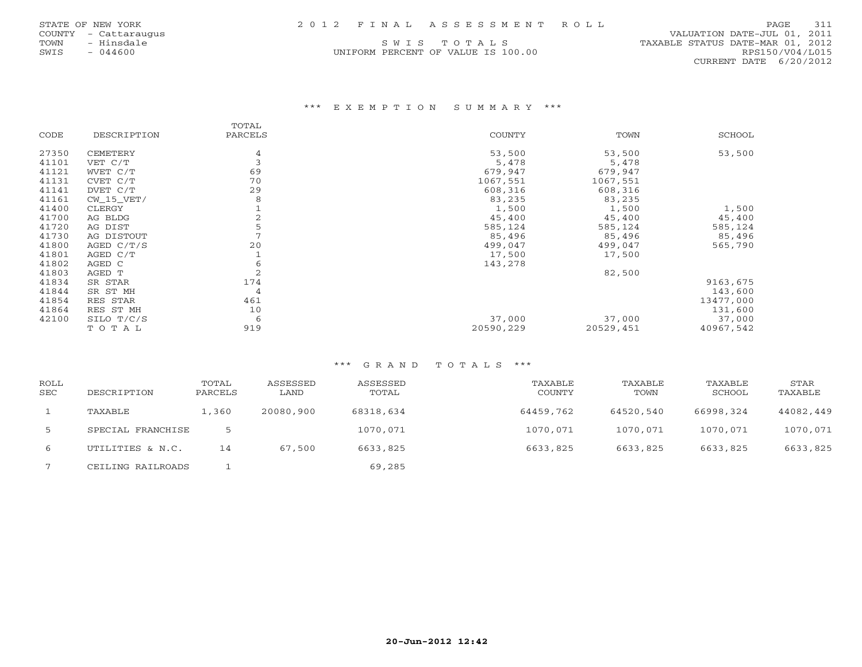| STATE OF NEW YORK |  | 2012 FINAL ASSESSMENT ROLL | PAGE 311 |  |
|-------------------|--|----------------------------|----------|--|
|                   |  |                            |          |  |

UNIFORM PERCENT OF VALUE IS 100.00 RPS150/V04/L015

 COUNTY - Cattaraugus VALUATION DATE-JUL 01, 2011 TOWN - Hinsdale S W I S T O T A L S<br>
SWIS - 044600<br>
SWIS - 044600 CONFORM PERCENT OF VALUE IS 100.00 RPS150/V04/L015 CURRENT DATE 6/20/2012

## \*\*\* E X E M P T I O N S U M M A R Y \*\*\*

|       |              | TOTAL   |               |           |           |
|-------|--------------|---------|---------------|-----------|-----------|
| CODE  | DESCRIPTION  | PARCELS | <b>COUNTY</b> | TOWN      | SCHOOL    |
| 27350 | CEMETERY     | 4       | 53,500        | 53,500    | 53,500    |
| 41101 | VET C/T      | 3       | 5,478         | 5,478     |           |
| 41121 | WVET C/T     | 69      | 679,947       | 679,947   |           |
| 41131 | CVET C/T     | 70      | 1067,551      | 1067,551  |           |
| 41141 | DVET C/T     | 29      | 608,316       | 608,316   |           |
| 41161 | $CW_15_VET/$ | 8       | 83,235        | 83,235    |           |
| 41400 | CLERGY       |         | 1,500         | 1,500     | 1,500     |
| 41700 | AG BLDG      | 2       | 45,400        | 45,400    | 45,400    |
| 41720 | AG DIST      |         | 585,124       | 585,124   | 585,124   |
| 41730 | AG DISTOUT   |         | 85,496        | 85,496    | 85,496    |
| 41800 | AGED $C/T/S$ | 20      | 499,047       | 499,047   | 565,790   |
| 41801 | AGED C/T     |         | 17,500        | 17,500    |           |
| 41802 | AGED C       | 6       | 143,278       |           |           |
| 41803 | AGED T       | 2       |               | 82,500    |           |
| 41834 | SR STAR      | 174     |               |           | 9163,675  |
| 41844 | SR ST MH     | 4       |               |           | 143,600   |
| 41854 | RES STAR     | 461     |               |           | 13477,000 |
| 41864 | RES ST MH    | 10      |               |           | 131,600   |
| 42100 | SILO T/C/S   | 6       | 37,000        | 37,000    | 37,000    |
|       | TOTAL        | 919     | 20590,229     | 20529,451 | 40967,542 |

| <b>ROLL</b><br><b>SEC</b> | DESCRIPTION       | TOTAL<br>PARCELS | ASSESSED<br>LAND | ASSESSED<br>TOTAL | TAXABLE<br><b>COUNTY</b> | TAXABLE<br>TOWN | TAXABLE<br>SCHOOL | STAR<br>TAXABLE |
|---------------------------|-------------------|------------------|------------------|-------------------|--------------------------|-----------------|-------------------|-----------------|
|                           | TAXABLE           | 1,360            | 20080,900        | 68318,634         | 64459,762                | 64520,540       | 66998,324         | 44082,449       |
| -5                        | SPECIAL FRANCHISE |                  |                  | 1070,071          | 1070,071                 | 1070,071        | 1070,071          | 1070,071        |
| 6                         | UTILITIES & N.C.  | 14               | 67,500           | 6633,825          | 6633,825                 | 6633,825        | 6633,825          | 6633,825        |
|                           | CEILING RAILROADS |                  |                  | 69,285            |                          |                 |                   |                 |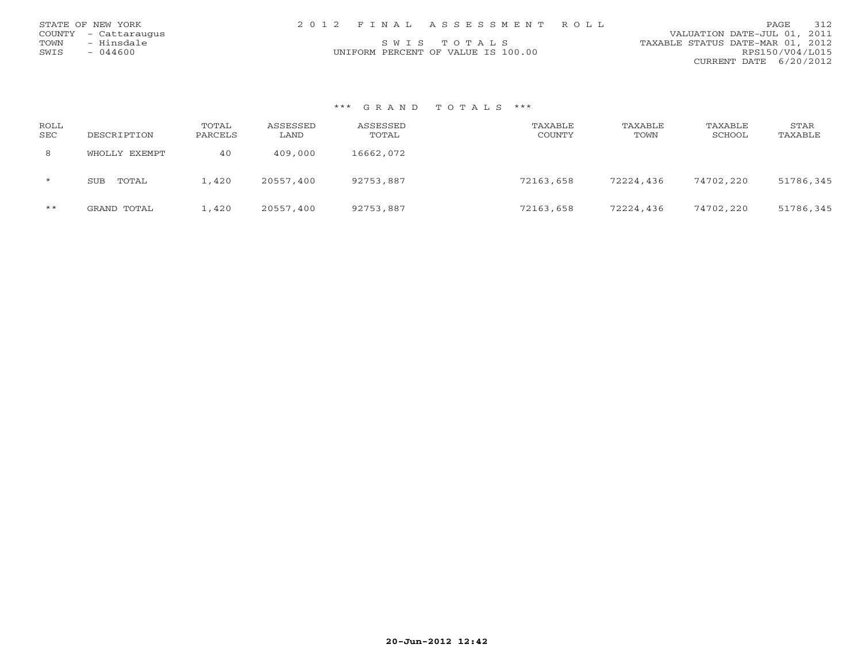| STATE OF NEW YORK    | 2012 FINAL ASSESSMENT ROLL         | 312<br><b>PAGE</b>               |
|----------------------|------------------------------------|----------------------------------|
| COUNTY - Cattaraugus |                                    | VALUATION DATE-JUL 01, 2011      |
| TOWN<br>- Hinsdale   | SWIS TOTALS                        | TAXABLE STATUS DATE-MAR 01, 2012 |
| SWIS<br>$-044600$    | UNIFORM PERCENT OF VALUE IS 100.00 | RPS150/V04/L015                  |
|                      |                                    | CURRENT DATE 6/20/2012           |

| ROLL<br><b>SEC</b> | DESCRIPTION         | TOTAL<br>PARCELS | ASSESSED<br>LAND | ASSESSED<br>TOTAL | TAXABLE<br><b>COUNTY</b> | TAXABLE<br>TOWN | TAXABLE<br>SCHOOL | STAR<br>TAXABLE |
|--------------------|---------------------|------------------|------------------|-------------------|--------------------------|-----------------|-------------------|-----------------|
| 8                  | WHOLLY EXEMPT       | 40               | 409,000          | 16662,072         |                          |                 |                   |                 |
| $\star$            | TOTAL<br><b>SUB</b> | $\pm$ , 420      | 20557,400        | 92753,887         | 72163,658                | 72224,436       | 74702,220         | 51786,345       |
| $***$              | GRAND TOTAL         | $\perp$ , 420    | 20557,400        | 92753,887         | 72163,658                | 72224,436       | 74702,220         | 51786,345       |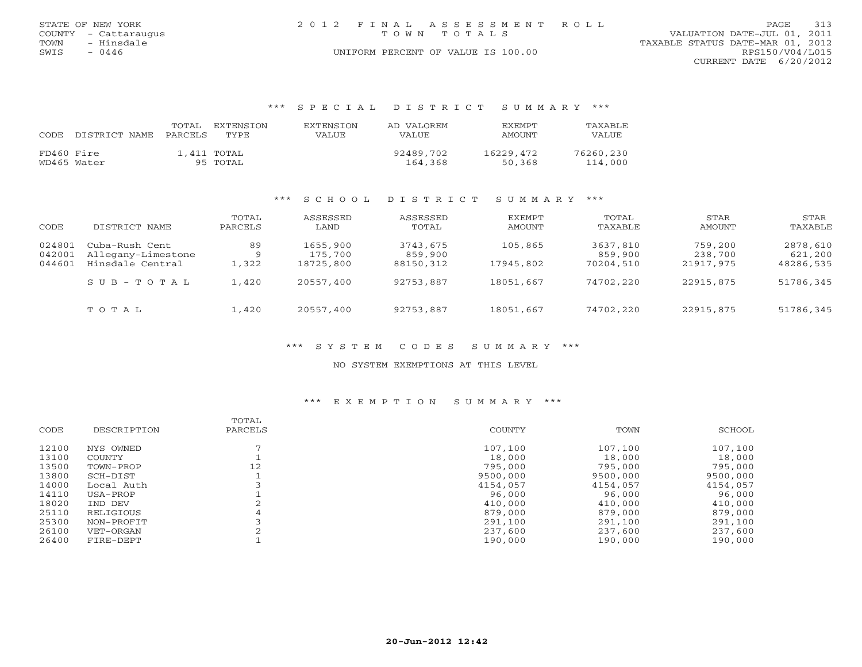|      | STATE OF NEW YORK    | 2012 FINAL ASSESSMENT ROLL         | 313<br>PAGE                      |  |  |
|------|----------------------|------------------------------------|----------------------------------|--|--|
|      | COUNTY - Cattaraugus | TOWN TOTALS                        | VALUATION DATE-JUL 01, 2011      |  |  |
| TOWN | - Hinsdale           |                                    | TAXABLE STATUS DATE-MAR 01, 2012 |  |  |
| SWIS | $-0446$              | UNIFORM PERCENT OF VALUE IS 100.00 | RPS150/V04/L015                  |  |  |
|      |                      |                                    | CURRENT DATE $6/20/2012$         |  |  |

## \*\*\* S P E C I A L D I S T R I C T S U M M A R Y \*\*\*

| CODE       | DISTRICT NAME | TOTAL<br>PARCELS | EXTENSTON<br>TYPE       | EXTENSTON<br>VALUE | AD VALOREM<br>VALUE  | <b>EXEMPT</b><br>AMOUNT | <b>TAXABLF</b><br>VALUE |
|------------|---------------|------------------|-------------------------|--------------------|----------------------|-------------------------|-------------------------|
| FD460 Fire | WD465 Water   |                  | 1,411 TOTAL<br>95 TOTAL |                    | 92489,702<br>164,368 | 16229,472<br>50,368     | 76260,230<br>114,000    |

## \*\*\* S C H O O L D I S T R I C T S U M M A R Y \*\*\*

| CODE                       | DISTRICT NAME                                            | TOTAL<br>PARCELS | ASSESSED<br>LAND                 | ASSESSED<br>TOTAL                | EXEMPT<br>AMOUNT     | TOTAL<br>TAXABLE                 | STAR<br>AMOUNT                  | STAR<br>TAXABLE                  |
|----------------------------|----------------------------------------------------------|------------------|----------------------------------|----------------------------------|----------------------|----------------------------------|---------------------------------|----------------------------------|
| 024801<br>042001<br>044601 | Cuba-Rush Cent<br>Allegany-Limestone<br>Hinsdale Central | 89<br>Q<br>1,322 | 1655,900<br>175,700<br>18725,800 | 3743,675<br>859,900<br>88150,312 | 105,865<br>17945,802 | 3637,810<br>859,900<br>70204,510 | 759,200<br>238,700<br>21917,975 | 2878,610<br>621,200<br>48286,535 |
|                            | $S \cup B - T \cup T A L$                                | 1,420            | 20557,400                        | 92753,887                        | 18051,667            | 74702,220                        | 22915,875                       | 51786,345                        |
|                            | TOTAL                                                    | 1,420            | 20557,400                        | 92753,887                        | 18051,667            | 74702,220                        | 22915,875                       | 51786,345                        |

## \*\*\* S Y S T E M C O D E S S U M M A R Y \*\*\*

## NO SYSTEM EXEMPTIONS AT THIS LEVEL

### \*\*\* E X E M P T I O N S U M M A R Y \*\*\*

|       |               | TOTAL   |          |          |          |
|-------|---------------|---------|----------|----------|----------|
| CODE  | DESCRIPTION   | PARCELS | COUNTY   | TOWN     | SCHOOL   |
| 12100 | NYS OWNED     |         | 107,100  | 107,100  | 107,100  |
| 13100 | <b>COUNTY</b> |         | 18,000   | 18,000   | 18,000   |
| 13500 | TOWN-PROP     | 12      | 795,000  | 795,000  | 795,000  |
| 13800 | SCH-DIST      |         | 9500,000 | 9500,000 | 9500,000 |
| 14000 | Local Auth    |         | 4154,057 | 4154,057 | 4154,057 |
| 14110 | USA-PROP      |         | 96,000   | 96,000   | 96,000   |
| 18020 | IND DEV       |         | 410,000  | 410,000  | 410,000  |
| 25110 | RELIGIOUS     | 4       | 879,000  | 879,000  | 879,000  |
| 25300 | NON-PROFIT    |         | 291,100  | 291,100  | 291,100  |
| 26100 | VET-ORGAN     |         | 237,600  | 237,600  | 237,600  |
| 26400 | FIRE-DEPT     |         | 190,000  | 190,000  | 190,000  |
|       |               |         |          |          |          |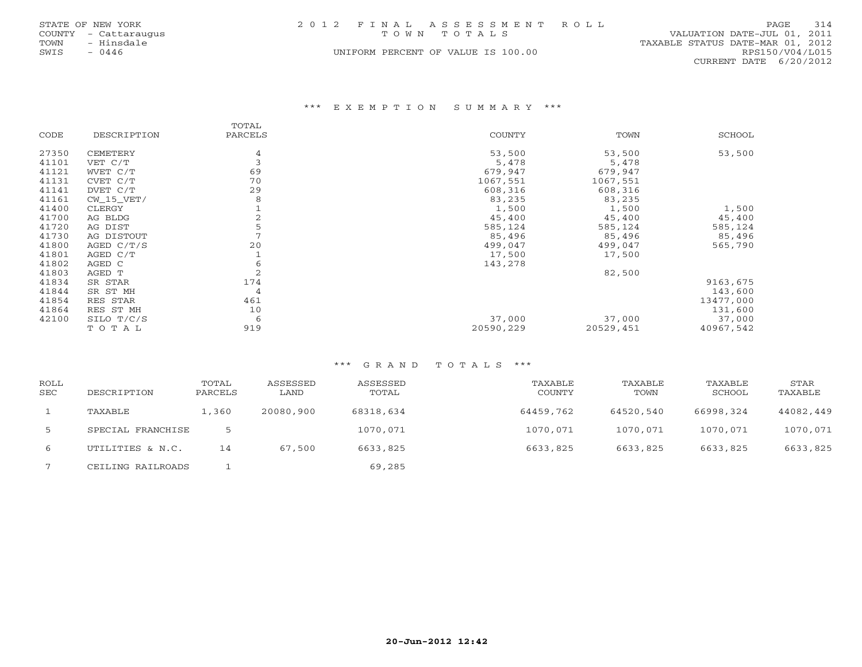|      | STATE OF NEW YORK    |  | 2012 FINAL ASSESSMENT ROLL         |                                  | PAGE            | 314 |
|------|----------------------|--|------------------------------------|----------------------------------|-----------------|-----|
|      | COUNTY - Cattaraugus |  | TOWN TOTALS                        | VALUATION DATE-JUL 01, 2011      |                 |     |
| TOWN | - Hinsdale           |  |                                    | TAXABLE STATUS DATE-MAR 01, 2012 |                 |     |
| SWIS | $-0446$              |  | UNIFORM PERCENT OF VALUE IS 100.00 |                                  | RPS150/V04/L015 |     |
|      |                      |  |                                    | CURRENT DATE 6/20/2012           |                 |     |

## \*\*\* E X E M P T I O N S U M M A R Y \*\*\*

|       |              | TOTAL   |           |           |               |
|-------|--------------|---------|-----------|-----------|---------------|
| CODE  | DESCRIPTION  | PARCELS | COUNTY    | TOWN      | <b>SCHOOL</b> |
| 27350 | CEMETERY     | 4       | 53,500    | 53,500    | 53,500        |
| 41101 | VET C/T      | 3       | 5,478     | 5,478     |               |
| 41121 | WVET C/T     | 69      | 679,947   | 679,947   |               |
| 41131 | CVET C/T     | 70      | 1067,551  | 1067,551  |               |
| 41141 | DVET C/T     | 29      | 608,316   | 608,316   |               |
| 41161 | $CW_15_VET/$ | 8       | 83,235    | 83,235    |               |
| 41400 | CLERGY       |         | 1,500     | 1,500     | 1,500         |
| 41700 | AG BLDG      |         | 45,400    | 45,400    | 45,400        |
| 41720 | AG DIST      | 5       | 585,124   | 585,124   | 585,124       |
| 41730 | AG DISTOUT   |         | 85,496    | 85,496    | 85,496        |
| 41800 | AGED $C/T/S$ | 20      | 499,047   | 499,047   | 565,790       |
| 41801 | AGED C/T     |         | 17,500    | 17,500    |               |
| 41802 | AGED C       | 6       | 143,278   |           |               |
| 41803 | AGED T       | 2       |           | 82,500    |               |
| 41834 | SR STAR      | 174     |           |           | 9163,675      |
| 41844 | SR ST MH     | 4       |           |           | 143,600       |
| 41854 | RES STAR     | 461     |           |           | 13477,000     |
| 41864 | RES ST MH    | 10      |           |           | 131,600       |
| 42100 | SILO T/C/S   | 6       | 37,000    | 37,000    | 37,000        |
|       | TOTAL        | 919     | 20590,229 | 20529,451 | 40967,542     |

| <b>ROLL</b><br><b>SEC</b> | DESCRIPTION       | TOTAL<br>PARCELS | ASSESSED<br>LAND | ASSESSED<br>TOTAL | TAXABLE<br><b>COUNTY</b> | TAXABLE<br>TOWN | TAXABLE<br>SCHOOL | STAR<br>TAXABLE |
|---------------------------|-------------------|------------------|------------------|-------------------|--------------------------|-----------------|-------------------|-----------------|
|                           | TAXABLE           | 1,360            | 20080,900        | 68318,634         | 64459,762                | 64520,540       | 66998,324         | 44082,449       |
| -5                        | SPECIAL FRANCHISE |                  |                  | 1070,071          | 1070,071                 | 1070,071        | 1070,071          | 1070,071        |
| 6                         | UTILITIES & N.C.  | 14               | 67,500           | 6633,825          | 6633,825                 | 6633,825        | 6633,825          | 6633,825        |
|                           | CEILING RAILROADS |                  |                  | 69,285            |                          |                 |                   |                 |